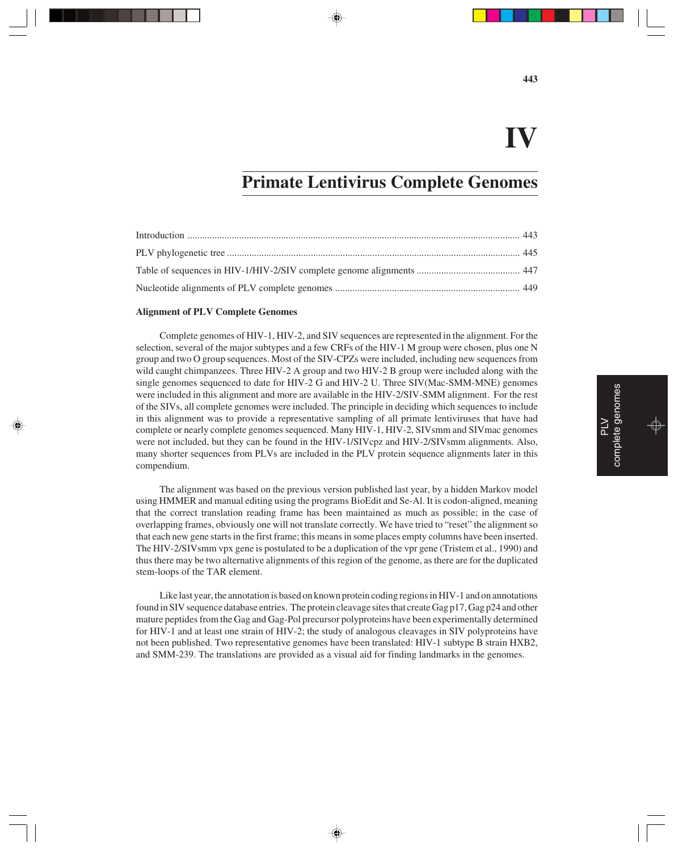# **Primate Lentivirus Complete Genomes**

#### **Alignment of PLV Complete Genomes**

Complete genomes of HIV-1, HIV-2, and SIV sequences are represented in the alignment. For the selection, several of the major subtypes and a few CRFs of the HIV-1 M group were chosen, plus one N group and two O group sequences. Most of the SIV-CPZs were included, including new sequences from wild caught chimpanzees. Three HIV-2 A group and two HIV-2 B group were included along with the single genomes sequenced to date for HIV-2 G and HIV-2 U. Three SIV(Mac-SMM-MNE) genomes were included in this alignment and more are available in the HIV-2/SIV-SMM alignment. For the rest of the SIVs, all complete genomes were included. The principle in deciding which sequences to include in this alignment was to provide a representative sampling of all primate lentiviruses that have had complete or nearly complete genomes sequenced. Many HIV-1, HIV-2, SIVsmm and SIVmac genomes were not included, but they can be found in the HIV-1/SIVcpz and HIV-2/SIVsmm alignments. Also, many shorter sequences from PLVs are included in the PLV protein sequence alignments later in this compendium.

The alignment was based on the previous version published last year, by a hidden Markov model using HMMER and manual editing using the programs BioEdit and Se-Al. It is codon-aligned, meaning that the correct translation reading frame has been maintained as much as possible; in the case of overlapping frames, obviously one will not translate correctly. We have tried to "reset" the alignment so that each new gene starts in the first frame; this means in some places empty columns have been inserted. The HIV-2/SIVsmm vpx gene is postulated to be a duplication of the vpr gene (Tristem et al., 1990) and thus there may be two alternative alignments of this region of the genome, as there are for the duplicated stem-loops of the TAR element.

Like last year, the annotation is based on known protein coding regions in HIV-1 and on annotations found in SIV sequence database entries. The protein cleavage sites that create Gag p17, Gag p24 and other mature peptides from the Gag and Gag-Pol precursor polyproteins have been experimentally determined for HIV-1 and at least one strain of HIV-2; the study of analogous cleavages in SIV polyproteins have not been published. Two representative genomes have been translated: HIV-1 subtype B strain HXB2, and SMM-239. The translations are provided as a visual aid for finding landmarks in the genomes.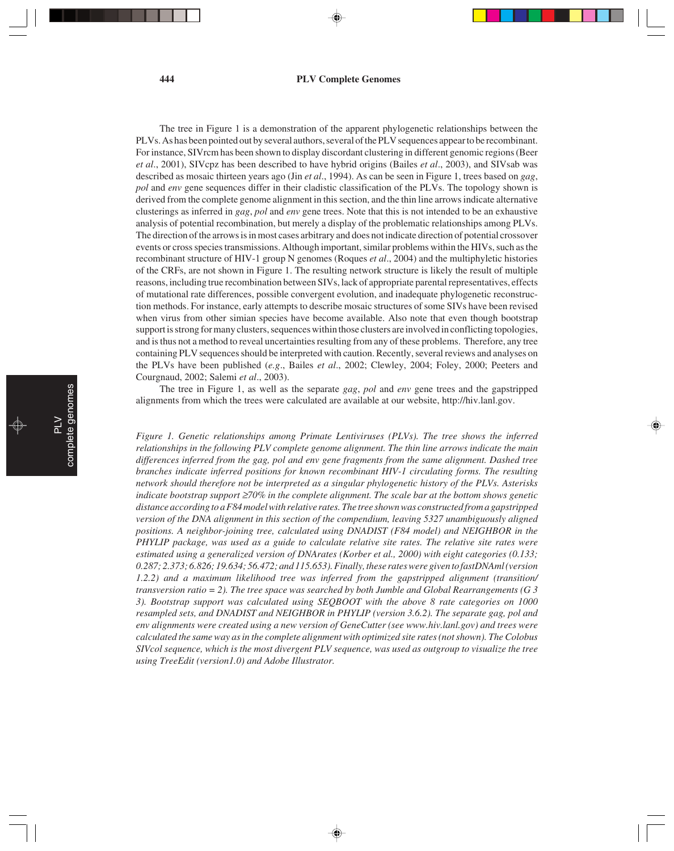The tree in Figure 1 is a demonstration of the apparent phylogenetic relationships between the PLVs. As has been pointed out by several authors, several of the PLV sequences appear to be recombinant. For instance, SIVrcm has been shown to display discordant clustering in different genomic regions (Beer *et al*., 2001), SIVcpz has been described to have hybrid origins (Bailes *et al*., 2003), and SIVsab was described as mosaic thirteen years ago (Jin *et al*., 1994). As can be seen in Figure 1, trees based on *gag*, *pol* and *env* gene sequences differ in their cladistic classification of the PLVs. The topology shown is derived from the complete genome alignment in this section, and the thin line arrows indicate alternative clusterings as inferred in *gag*, *pol* and *env* gene trees. Note that this is not intended to be an exhaustive analysis of potential recombination, but merely a display of the problematic relationships among PLVs. The direction of the arrows is in most cases arbitrary and does not indicate direction of potential crossover events or cross species transmissions. Although important, similar problems within the HIVs, such as the recombinant structure of HIV-1 group N genomes (Roques *et al*., 2004) and the multiphyletic histories of the CRFs, are not shown in Figure 1. The resulting network structure is likely the result of multiple reasons, including true recombination between SIVs, lack of appropriate parental representatives, effects of mutational rate differences, possible convergent evolution, and inadequate phylogenetic reconstruction methods. For instance, early attempts to describe mosaic structures of some SIVs have been revised when virus from other simian species have become available. Also note that even though bootstrap support is strong for many clusters, sequences within those clusters are involved in conflicting topologies, and is thus not a method to reveal uncertainties resulting from any of these problems. Therefore, any tree containing PLV sequences should be interpreted with caution. Recently, several reviews and analyses on the PLVs have been published (*e.g*., Bailes *et al*., 2002; Clewley, 2004; Foley, 2000; Peeters and Courgnaud, 2002; Salemi *et al*., 2003).

The tree in Figure 1, as well as the separate *gag*, *pol* and *env* gene trees and the gapstripped alignments from which the trees were calculated are available at our website, http://hiv.lanl.gov.

*Figure 1. Genetic relationships among Primate Lentiviruses (PLVs). The tree shows the inferred relationships in the following PLV complete genome alignment. The thin line arrows indicate the main differences inferred from the gag, pol and env gene fragments from the same alignment. Dashed tree branches indicate inferred positions for known recombinant HIV-1 circulating forms. The resulting network should therefore not be interpreted as a singular phylogenetic history of the PLVs. Asterisks indicate bootstrap support* ≥*70% in the complete alignment. The scale bar at the bottom shows genetic distance according to a F84 model with relative rates. The tree shown was constructed from a gapstripped version of the DNA alignment in this section of the compendium, leaving 5327 unambiguously aligned positions. A neighbor-joining tree, calculated using DNADIST (F84 model) and NEIGHBOR in the PHYLIP package, was used as a guide to calculate relative site rates. The relative site rates were estimated using a generalized version of DNArates (Korber et al., 2000) with eight categories (0.133; 0.287; 2.373; 6.826; 19.634; 56.472; and 115.653). Finally, these rates were given to fastDNAml (version 1.2.2) and a maximum likelihood tree was inferred from the gapstripped alignment (transition/ transversion ratio = 2). The tree space was searched by both Jumble and Global Rearrangements (G 3 3). Bootstrap support was calculated using SEQBOOT with the above 8 rate categories on 1000 resampled sets, and DNADIST and NEIGHBOR in PHYLIP (version 3.6.2). The separate gag, pol and env alignments were created using a new version of GeneCutter (see www.hiv.lanl.gov) and trees were calculated the same way as in the complete alignment with optimized site rates (not shown). The Colobus SIVcol sequence, which is the most divergent PLV sequence, was used as outgroup to visualize the tree using TreeEdit (version1.0) and Adobe Illustrator.*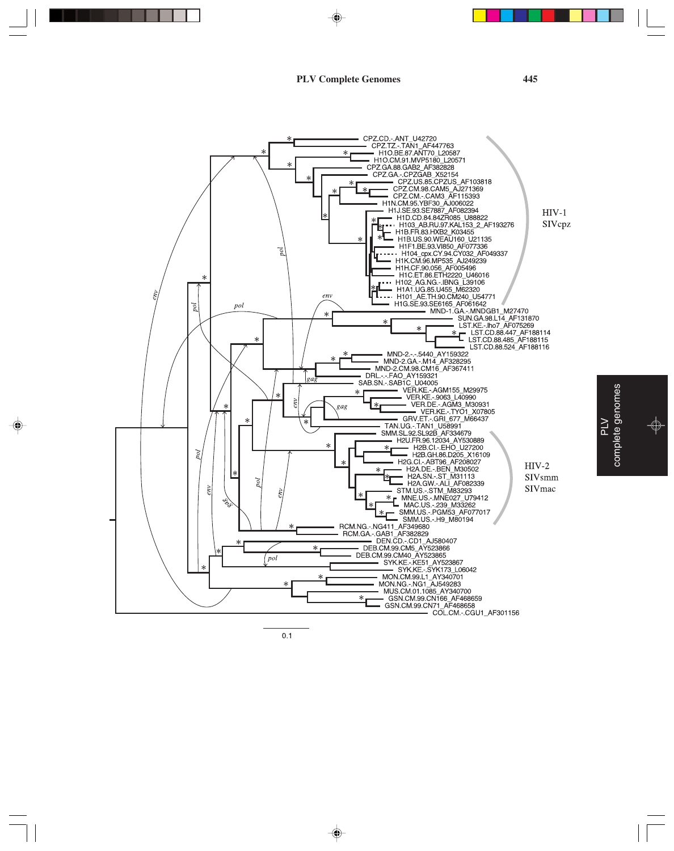

 $0.1$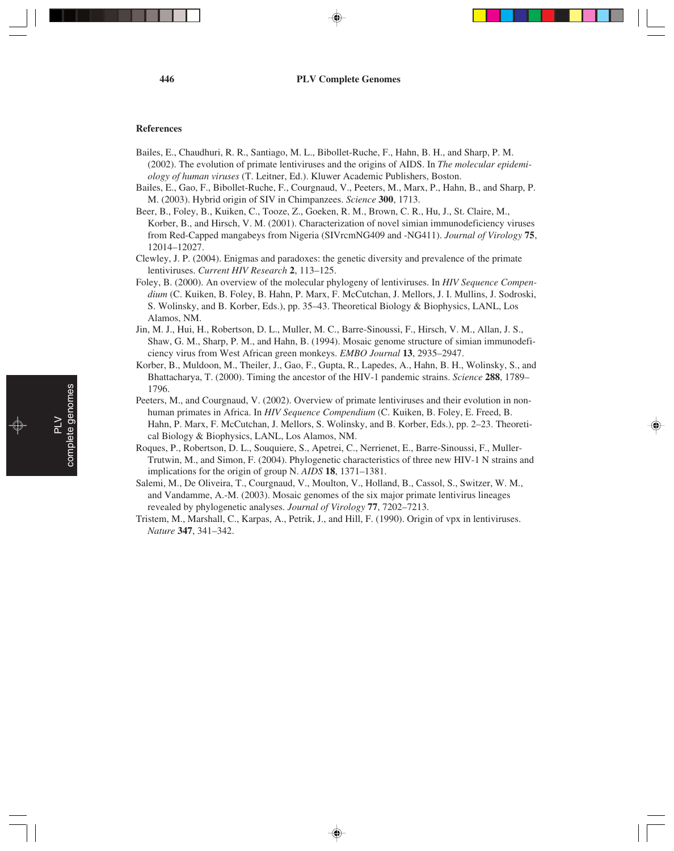#### **References**

- Bailes, E., Chaudhuri, R. R., Santiago, M. L., Bibollet-Ruche, F., Hahn, B. H., and Sharp, P. M. (2002). The evolution of primate lentiviruses and the origins of AIDS. In *The molecular epidemiology of human viruses* (T. Leitner, Ed.). Kluwer Academic Publishers, Boston.
- Bailes, E., Gao, F., Bibollet-Ruche, F., Courgnaud, V., Peeters, M., Marx, P., Hahn, B., and Sharp, P. M. (2003). Hybrid origin of SIV in Chimpanzees. *Science* **300**, 1713.
- Beer, B., Foley, B., Kuiken, C., Tooze, Z., Goeken, R. M., Brown, C. R., Hu, J., St. Claire, M., Korber, B., and Hirsch, V. M. (2001). Characterization of novel simian immunodeficiency viruses from Red-Capped mangabeys from Nigeria (SIVrcmNG409 and -NG411). *Journal of Virology* **75**, 12014–12027.
- Clewley, J. P. (2004). Enigmas and paradoxes: the genetic diversity and prevalence of the primate lentiviruses. *Current HIV Research* **2**, 113–125.
- Foley, B. (2000). An overview of the molecular phylogeny of lentiviruses. In *HIV Sequence Compendium* (C. Kuiken, B. Foley, B. Hahn, P. Marx, F. McCutchan, J. Mellors, J. I. Mullins, J. Sodroski, S. Wolinsky, and B. Korber, Eds.), pp. 35–43. Theoretical Biology & Biophysics, LANL, Los Alamos, NM.
- Jin, M. J., Hui, H., Robertson, D. L., Muller, M. C., Barre-Sinoussi, F., Hirsch, V. M., Allan, J. S., Shaw, G. M., Sharp, P. M., and Hahn, B. (1994). Mosaic genome structure of simian immunodeficiency virus from West African green monkeys. *EMBO Journal* **13**, 2935–2947.
- Korber, B., Muldoon, M., Theiler, J., Gao, F., Gupta, R., Lapedes, A., Hahn, B. H., Wolinsky, S., and Bhattacharya, T. (2000). Timing the ancestor of the HIV-1 pandemic strains. *Science* **288**, 1789– 1796.
- Peeters, M., and Courgnaud, V. (2002). Overview of primate lentiviruses and their evolution in nonhuman primates in Africa. In *HIV Sequence Compendium* (C. Kuiken, B. Foley, E. Freed, B. Hahn, P. Marx, F. McCutchan, J. Mellors, S. Wolinsky, and B. Korber, Eds.), pp. 2–23. Theoretical Biology & Biophysics, LANL, Los Alamos, NM.
- Roques, P., Robertson, D. L., Souquiere, S., Apetrei, C., Nerrienet, E., Barre-Sinoussi, F., Muller-Trutwin, M., and Simon, F. (2004). Phylogenetic characteristics of three new HIV-1 N strains and implications for the origin of group N. *AIDS* **18**, 1371–1381.
- Salemi, M., De Oliveira, T., Courgnaud, V., Moulton, V., Holland, B., Cassol, S., Switzer, W. M., and Vandamme, A.-M. (2003). Mosaic genomes of the six major primate lentivirus lineages revealed by phylogenetic analyses. *Journal of Virology* **77**, 7202–7213.
- Tristem, M., Marshall, C., Karpas, A., Petrik, J., and Hill, F. (1990). Origin of vpx in lentiviruses. *Nature* **347**, 341–342.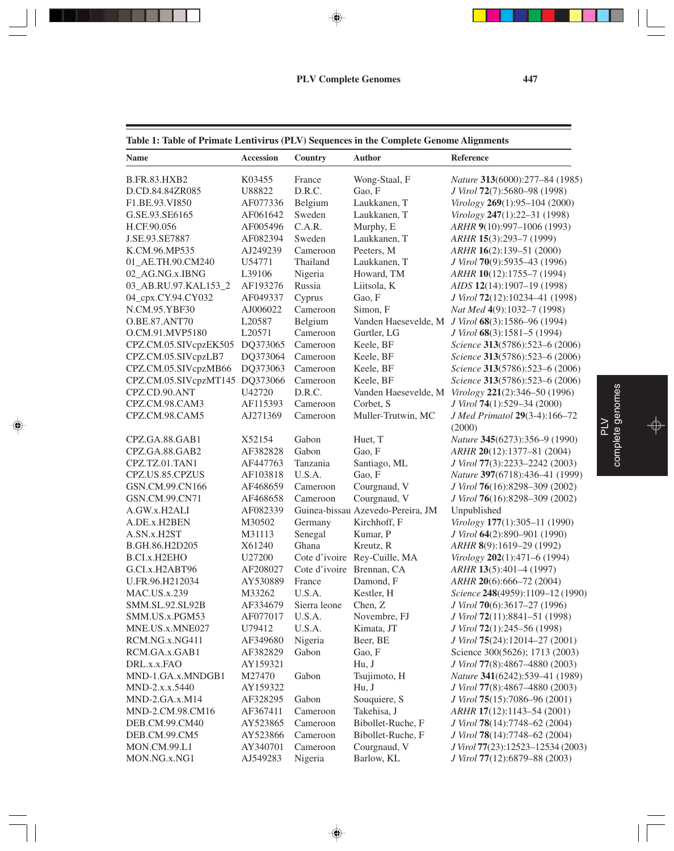| Table 1: Table of Primate Lentivirus (PLV) Sequences in the Complete Genome Alignments |                    |                           |                                   |                                   |
|----------------------------------------------------------------------------------------|--------------------|---------------------------|-----------------------------------|-----------------------------------|
| <b>Name</b>                                                                            | <b>Accession</b>   | Country                   | <b>Author</b>                     | Reference                         |
| <b>B.FR.83.HXB2</b>                                                                    | K03455             | France                    | Wong-Staal, F                     | Nature 313(6000):277-84 (1985)    |
| D.CD.84.84ZR085                                                                        | U88822             | D.R.C.                    | Gao, F                            | J Virol 72(7):5680-98 (1998)      |
| F1.BE.93.VI850                                                                         | AF077336           | Belgium                   | Laukkanen, T                      | Virology 269(1):95-104 (2000)     |
| G.SE.93.SE6165                                                                         | AF061642           | Sweden                    | Laukkanen, T                      | Virology 247(1):22-31 (1998)      |
| H.CF.90.056                                                                            | AF005496           | C.A.R.                    | Murphy, E                         | ARHR 9(10):997-1006 (1993)        |
| J.SE.93.SE7887                                                                         | AF082394           | Sweden                    | Laukkanen, T                      | ARHR 15(3):293-7 (1999)           |
| K.CM.96.MP535                                                                          | AJ249239           | Cameroon                  | Peeters, M                        | ARHR 16(2):139-51 (2000)          |
| 01_AE.TH.90.CM240                                                                      | U54771             | Thailand                  | Laukkanen, T                      | J Virol 70(9):5935-43 (1996)      |
| 02_AG.NG.x.IBNG                                                                        | L39106             | Nigeria                   | Howard, TM                        | ARHR 10(12):1755-7 (1994)         |
| 03_AB.RU.97.KAL153_2                                                                   | AF193276           | Russia                    | Liitsola, K                       | AIDS 12(14):1907-19 (1998)        |
| 04_cpx.CY.94.CY032                                                                     | AF049337           | Cyprus                    | Gao, F                            | J Virol 72(12):10234-41 (1998)    |
| N.CM.95.YBF30                                                                          | AJ006022           | Cameroon                  | Simon, F                          | Nat Med 4(9):1032-7 (1998)        |
| O.BE.87.ANT70                                                                          | L <sub>20587</sub> | Belgium                   | Vanden Haesevelde, M              | J Virol 68(3):1586-96 (1994)      |
| O.CM.91.MVP5180                                                                        | L20571             | Cameroon                  | Gurtler, LG                       | J Virol 68(3):1581-5 (1994)       |
| CPZ.CM.05.SIVcpzEK505                                                                  | DQ373065           | Cameroon                  | Keele, BF                         | Science 313(5786):523-6 (2006)    |
| CPZ.CM.05.SIVcpzLB7                                                                    | DQ373064           | Cameroon                  | Keele, BF                         | Science 313(5786):523-6 (2006)    |
| CPZ.CM.05.SIVcpzMB66                                                                   | DQ373063           | Cameroon                  | Keele, BF                         | Science 313(5786):523-6 (2006)    |
| CPZ.CM.05.SIVcpzMT145                                                                  | DQ373066           | Cameroon                  | Keele, BF                         | Science 313(5786):523-6 (2006)    |
| CPZ.CD.90.ANT                                                                          | U42720             | D.R.C.                    | Vanden Haesevelde, M              | Virology 221(2):346-50 (1996)     |
| CPZ.CM.98.CAM3                                                                         | AF115393           | Cameroon                  | Corbet, S                         | J Virol 74(1):529-34 (2000)       |
| CPZ.CM.98.CAM5                                                                         | AJ271369           | Cameroon                  | Muller-Trutwin, MC                | J Med Primatol 29(3-4):166-72     |
|                                                                                        |                    |                           |                                   | (2000)                            |
| CPZ.GA.88.GAB1                                                                         | X52154             | Gabon                     | Huet, T                           | Nature 345(6273):356-9 (1990)     |
| CPZ.GA.88.GAB2                                                                         | AF382828           | Gabon                     | Gao, F                            | ARHR 20(12):1377-81 (2004)        |
| CPZ.TZ.01.TAN1                                                                         | AF447763           | Tanzania                  | Santiago, ML                      | J Virol 77(3):2233-2242 (2003)    |
| CPZ.US.85.CPZUS                                                                        | AF103818           | U.S.A.                    | Gao, F                            | Nature 397(6718):436-41 (1999)    |
| GSN.CM.99.CN166                                                                        | AF468659           | Cameroon                  | Courgnaud, V                      | J Virol 76(16):8298-309 (2002)    |
| GSN.CM.99.CN71                                                                         | AF468658           | Cameroon                  | Courgnaud, V                      | J Virol 76(16):8298-309 (2002)    |
| A.GW.x.H2ALI                                                                           | AF082339           |                           | Guinea-bissau Azevedo-Pereira, JM | Unpublished                       |
| A.DE.x.H2BEN                                                                           | M30502             | Germany                   | Kirchhoff, F                      | Virology 177(1):305-11 (1990)     |
| A.SN.x.H2ST                                                                            | M31113             | Senegal                   | Kumar, P                          | J Virol 64(2):890-901 (1990)      |
| B.GH.86.H2D205                                                                         | X61240             | Ghana                     | Kreutz, R                         | ARHR 8(9):1619-29 (1992)          |
| B.CI.x.H2EHO                                                                           | U27200             |                           | Cote d'ivoire Rey-Cuille, MA      | Virology 202(1):471-6 (1994)      |
| G.CI.x.H2ABT96                                                                         | AF208027           | Cote d'ivoire Brennan, CA |                                   | ARHR 13(5):401-4 (1997)           |
| U.FR.96.H212034                                                                        | AY530889           | France                    | Damond, F                         | ARHR 20(6):666-72 (2004)          |
| <b>MAC.US.x.239</b>                                                                    | M33262             | U.S.A.                    | Kestler, H                        | Science 248(4959):1109-12 (1990)  |
| SMM.SL.92.SL92B                                                                        | AF334679           | Sierra leone              | Chen, Z                           | J Virol 70(6):3617-27 (1996)      |
| SMM.US.x.PGM53                                                                         | AF077017           | U.S.A.                    | Novembre, FJ                      | J Virol 72(11):8841-51 (1998)     |
| MNE.US.x.MNE027                                                                        | U79412             | U.S.A.                    | Kimata, JT                        | J Virol 72(1):245-56 (1998)       |
| RCM.NG.x.NG411                                                                         | AF349680           | Nigeria                   | Beer, BE                          | J Virol 75(24):12014-27 (2001)    |
| RCM.GA.x.GAB1                                                                          | AF382829           | Gabon                     | Gao, F                            | Science 300(5626); 1713 (2003)    |
| DRL.x.x.FAO                                                                            | AY159321           |                           | Hu, J                             | J Virol 77(8):4867-4880 (2003)    |
| MND-1.GA.x.MNDGB1                                                                      | M27470             | Gabon                     | Tsujimoto, H                      | Nature 341(6242):539-41 (1989)    |
| MND-2.x.x.5440                                                                         | AY159322           |                           | Hu, J                             | J Virol 77(8):4867-4880 (2003)    |
| MND-2.GA.x.M14                                                                         | AF328295           | Gabon                     | Souquiere, S                      | J Virol 75(15):7086-96 (2001)     |
| MND-2.CM.98.CM16                                                                       | AF367411           | Cameroon                  | Takehisa, J                       | ARHR 17(12):1143-54 (2001)        |
| DEB.CM.99.CM40                                                                         | AY523865           | Cameroon                  | Bibollet-Ruche, F                 | J Virol 78(14):7748-62 (2004)     |
| DEB.CM.99.CM5                                                                          | AY523866           | Cameroon                  | Bibollet-Ruche, F                 | J Virol 78(14):7748-62 (2004)     |
| MON.CM.99.L1                                                                           | AY340701           | Cameroon                  | Courgnaud, V                      | J Virol 77(23):12523-12534 (2003) |
| MON.NG.x.NG1                                                                           | AJ549283           | Nigeria                   | Barlow, KL                        | J Virol 77(12):6879-88 (2003)     |
|                                                                                        |                    |                           |                                   |                                   |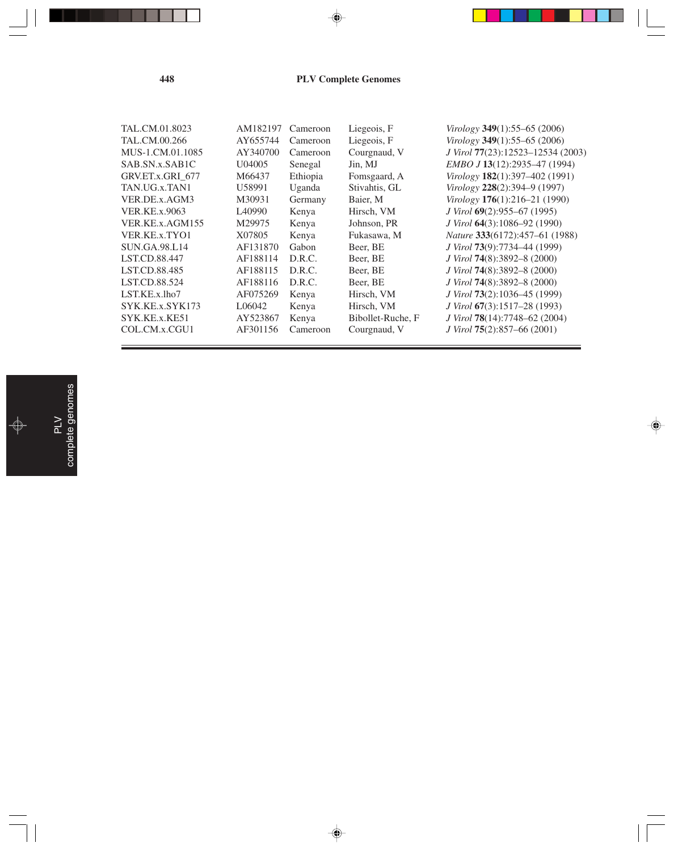| TAL.CM.01.8023       | AM182197           | Cameroon | Liegeois, F       | Virology 349(1):55–65 (2006)      |
|----------------------|--------------------|----------|-------------------|-----------------------------------|
| TAL.CM.00.266        | AY655744           | Cameroon | Liegeois, F       | Virology 349(1):55–65 (2006)      |
| MUS-1.CM.01.1085     | AY340700           | Cameroon | Courgnaud, V      | J Virol 77(23):12523-12534 (2003) |
| SAB.SN.x.SAB1C       | U04005             | Senegal  | Jin, MJ           | EMBO J 13(12):2935-47 (1994)      |
| GRV.ET.x.GRI 677     | M66437             | Ethiopia | Fomsgaard, A      | Virology 182(1):397-402 (1991)    |
| TAN.UG.x.TAN1        | U58991             | Uganda   | Stivahtis, GL     | Virology 228(2):394-9 (1997)      |
| VER.DE.x.AGM3        | M30931             | Germany  | Baier, M          | Virology 176(1):216-21 (1990)     |
| <b>VER.KE.x.9063</b> | L <sub>40990</sub> | Kenya    | Hirsch, VM        | J Virol 69(2):955-67 (1995)       |
| VER.KE.x.AGM155      | M29975             | Kenya    | Johnson, PR       | J Virol 64(3):1086-92 (1990)      |
| VER.KE.x.TYO1        | X07805             | Kenya    | Fukasawa, M       | Nature 333(6172):457-61 (1988)    |
| <b>SUN.GA.98.L14</b> | AF131870           | Gabon    | Beer, BE          | J Virol 73(9):7734-44 (1999)      |
| LST.CD.88.447        | AF188114           | D.R.C.   | Beer, BE          | J Virol 74(8):3892-8 (2000)       |
| LST.CD.88.485        | AF188115           | D.R.C.   | Beer, BE          | J Virol 74(8):3892-8 (2000)       |
| LST.CD.88.524        | AF188116           | D.R.C.   | Beer, BE          | J Virol 74(8):3892-8 (2000)       |
| LST.KE.x.lho7        | AF075269           | Kenya    | Hirsch, VM        | J Virol 73(2):1036-45 (1999)      |
| SYK.KE.x.SYK173      | L06042             | Kenya    | Hirsch, VM        | J Virol 67(3):1517–28 (1993)      |
| SYK.KE.x.KE51        | AY523867           | Kenya    | Bibollet-Ruche, F | J Virol 78(14):7748-62 (2004)     |
| COL.CM.x.CGU1        | AF301156           | Cameroon | Courgnaud, V      | J Virol 75(2):857–66 (2001)       |
|                      |                    |          |                   |                                   |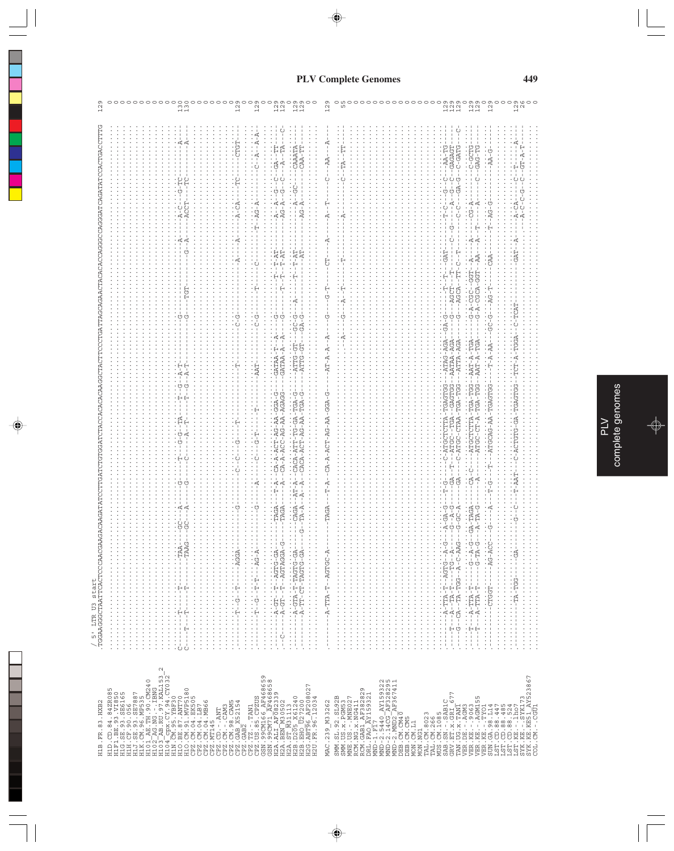| ae<br>O<br>Б |  |
|--------------|--|
|--------------|--|

|                                                  |                                                                                                                                                                                                                                                                                                                                         | $\frac{2}{13}$                                                                                                                                                                                                                                                                                                                                                                                                                                                                                                                   | $\frac{2}{1}$<br>$\frac{2}{1}$                                                                                                                                                                                           | σ<br>$\frac{2}{1}$<br>121                                                                                                                                                                                                                                                                                                                                                                                          | $\frac{1}{2}$<br>121<br>$\frac{2}{3}$ $\frac{3}{2}$<br>7777<br>12                                                                                                                                                                                                                                                                                                                                                                                                                                                                                                                                                                                                                                                                                                                                                                                                                                                                                                                                                                                                                                                                                                                                                                                                                   |                                                                                                               |
|--------------------------------------------------|-----------------------------------------------------------------------------------------------------------------------------------------------------------------------------------------------------------------------------------------------------------------------------------------------------------------------------------------|----------------------------------------------------------------------------------------------------------------------------------------------------------------------------------------------------------------------------------------------------------------------------------------------------------------------------------------------------------------------------------------------------------------------------------------------------------------------------------------------------------------------------------|--------------------------------------------------------------------------------------------------------------------------------------------------------------------------------------------------------------------------|--------------------------------------------------------------------------------------------------------------------------------------------------------------------------------------------------------------------------------------------------------------------------------------------------------------------------------------------------------------------------------------------------------------------|-------------------------------------------------------------------------------------------------------------------------------------------------------------------------------------------------------------------------------------------------------------------------------------------------------------------------------------------------------------------------------------------------------------------------------------------------------------------------------------------------------------------------------------------------------------------------------------------------------------------------------------------------------------------------------------------------------------------------------------------------------------------------------------------------------------------------------------------------------------------------------------------------------------------------------------------------------------------------------------------------------------------------------------------------------------------------------------------------------------------------------------------------------------------------------------------------------------------------------------------------------------------------------------|---------------------------------------------------------------------------------------------------------------|
| / 5' LTR U3 start<br>TGGAAGGGCTAATTCACTCCCAACGAA | .<br>$\vdots$                                                                                                                                                                                                                                                                                                                           | 白っ<br>$---A-T$<br>Ο<br>$-TTA$<br>$\cdot \frac{1}{\cdot}$<br>ひ<br>$\begin{minipage}{0.99\textwidth} \begin{tabular}{ c c } \hline & \multicolumn{2}{ c }{\textbf{0.99\textwidth} \begin{tabular}{ c c } \hline \multicolumn{2}{ c }{\textbf{0.99\textwidth} \begin{tabular}{ c c } \hline \multicolumn{2}{ c }{\textbf{0.99\textwidth} \begin{tabular}{ c c } \hline \multicolumn{2}{ c }{\textbf{0.99\textwidth} \begin{tabular}{ c c } \hline \multicolumn{2}{ c }{\textbf{0.99\textwidth} \begin{tabular}{ c c } \h$<br>U<br>U | $-C - A - -A - A - A$<br>$-CTGT$<br>$\vdots$<br>$-AG - A$<br>$-RAT$ -<br>ローワー<br>$\frac{1}{\sqrt{2}}$<br>÷<br>$\frac{1}{2}$<br>$\frac{1}{2}$<br><b>++++++++++++++++++</b><br><b>+++++++++++++++++</b>                    | CAAATA-<br>CAA-TT<br>$-2 - -$<br>$-1 - 2 - 3 - 3$<br>$AG - A -$<br>$\mathbf{T} - \mathbf{T} - \mathbf{T} - \mathbf{A} \mathbf{T}$<br>.<br>Т--Т-АТ<br>$-17 - 27$<br>U<br>- R<br>D<br>-<br>$\cdot \breve{\circ}$<br>$-4$<br>$ATTC-TC-I$<br>GATAA-T<br>GATAA-A<br>- - AT--A--CACA-ATT-TG-GA-TGA-G---<br>-A--CA-A-ACC-AG-AA-AGAGG<br>$-4A - 4A - CACA - CACT - AG - AA - TGA - G$<br>TAGA-<br>$TA - A$<br>TAGA<br>CAGA | -A<br>- ひHぺひ‐ひ‐‐ひ‐ぺひ‐<br>$C-C$<br>$---AA - TG$<br>GAG-TG<br>$-$ GAGAGT<br>$-2A-6-$<br>$-AA$<br>ΰ<br>U<br>- - A - - G<br>$-AG-G$<br>・リーリ<br>$-6 - A$<br>ひ<br>$-AA$ -<br>먹<br>$-4$<br>$-AGCA - TT$<br>G-A-CGCA-GGT<br>AGCT---T<br>$1 - 56 - 1$<br>ά<br>ひ<br>$-ATAG-AGA-GB-$<br>$\vec{A}$<br>- ATGC - - TGA - - GAGTGG - - AATAA - AGA -<br>TCT-A-TGGA<br>$-ATTTA-AGA$<br>- AT-4-HAY--50H-ADH-4-HO-OOHA<br>$-AAT - A - TGA$<br>$-T - A - AA$<br>$AT - A - A$<br>C-ATGC-CTAA-TGA-TGG-<br>UULUKUH-KILULUULK-<br>-ATGUTULINA-TGA-TG<br>- ATGCAG-AA-TGAGTGG<br>UUHUAUH - AU - UHUHUA -<br>-CA-A-A-ACT-AG-AA-GGA-G<br>:<br>CA-C<br>$\overline{G}A$ -<br>$\overline{d}$<br>F-A<br>$G-G-C-A$<br>$-6A-$<br>$-4-0$<br><b>GA-TAGA</b><br>A-TA-G<br>TAGA<br>也<br>$-1 - 1 - 2 - 1$<br>$-2 - 5 - 1 - 2 - 1 - 2 - 1 - 2 - 1 - 2 - 1 - 2 - 1 - 2 - 1 - 2 - 1 - 2 - 1 - 2 - 1 - 2 - 1 - 2 - 1 - 2 - 1 - 2 - 1 - 2 - 1 - 2 - 1 - 2 - 1 - 2 - 1 - 2 - 1 - 2 - 1 - 2 - 1 - 2 - 1 - 2 - 1 - 2 - 1 - 2 - 1 - 2 - 1 - 2 - 1 - 2 - 1 - 2 - 1 - 2 - 1 - 2 - 1 - 2 - 1 - 2 - 1 - 2 - $<br>-- T - - - A - - TA - T - - - - TG - - A - -<br>--G - - CA - - TA - TGG - - A - C - AAG<br>$\vdots$<br>$- - - - - - - - - - - - - -$<br>$-45D -$<br>$\vdots$<br>.<br>$\frac{1}{2}$<br>J,<br>$\vdots$<br>$\vdots$<br>. | - 4 - 4 - TD<br>じしー<br>.                                                                                      |
|                                                  | $\begin{small} \tt H1D\_CD\_84\_842R085\\ \tt H1T1\_IB\_93\_VIB50\\ \tt H1T1\_IB\_93\_VIB50\\ \tt H1D\_3E\_93\_S2F387\\ \tt H1D\_12\_2A3\_VIB\_70\\ \tt H1D\_2\_2A3\_VIB\_70\_CMA2\\ \tt H1D3\_2\_2A3\_VIB\_70\_CMA2\\ \tt H1D4\_C2X\_C3\_3\_VIB730\\ \tt H1D4\_C2X\_C3\_3\_VIB730\\ \tt H1D4\_C2X\_C3\_3\_VIB730\\ \tt H1D5\_C3\_C3\_$ |                                                                                                                                                                                                                                                                                                                                                                                                                                                                                                                                  | CPE (3ABE)<br>CPE (3ABE)<br>CPE (1Z, - TZ, - TZ, - TZ, - TZ, - TZ, - TZ, - TZ, - TZ, - TZ, - TZ, - TZ, - TZ, - TZ, - TZ, - TZ, - TZ, - TZ,<br>GSN, - 99 CMT1, AF4 68659<br>GSN, - 99 CMT1, AF4 68658<br>H2A, .BEN_M30502 | $\overline{ }$                                                                                                                                                                                                                                                                                                                                                                                                     | MND-2.5440 AY159322<br>MND-2.14CG AP328295<br>MND-2.MND2 AP328295<br>MNB.CM.CM40<br>DBB.CM.CM40<br>MON.CM.L1<br>Ō                                                                                                                                                                                                                                                                                                                                                                                                                                                                                                                                                                                                                                                                                                                                                                                                                                                                                                                                                                                                                                                                                                                                                                   | $\begin{array}{l} \texttt{SYK. KE. - .SYK173} \\ \texttt{SYK. KE. KE51\_ATS23867} \end{array}$<br><b>CGUT</b> |
| FR. 83. HXB2<br>H1B                              |                                                                                                                                                                                                                                                                                                                                         |                                                                                                                                                                                                                                                                                                                                                                                                                                                                                                                                  | CPZ.CD.-.ANT<br>CPZ.CM.-.CAM3<br>CPZ.CM.98.CAM5<br>CPZ.GAB_X52154                                                                                                                                                        | HZG.ABT96 AF20802<br>HZG.ABT96 AF20802<br>HZU.FR.96 12034<br>H2A.ST M31113<br>H2B.D205 X61240<br>H2B.EHO_U27200                                                                                                                                                                                                                                                                                                    | SMM. SL. 92. SL92B<br>SMM. US. x. PGM53<br>MNE. US. - MNE027<br>RCM. GAB1. AF3829<br>RCM. GAB1. AF382829<br>SAB. (SV. 1- SAB1C<br>GRV. ET. X. GRI 677<br>TAN. UG. X. TANI<br>VER. (EL. - 9063<br>VER. (EL. - 9063<br>VER. (EL. - 8001155<br>MAC.239 M33262<br>VER. KE TYOT<br>SUN. (24.98. . 114<br>SUN. (24.98. . 114<br>LST. (CD. 88.485<br>LST. (CD. 88.524<br>LST. KE 1ho7<br>TAL.CM.8023<br>TAL.CM.266<br>MUS.CM.1085<br>$\texttt{MND-1.F}\bar{\texttt{17}}$<br>MON.NG1                                                                                                                                                                                                                                                                                                                                                                                                                                                                                                                                                                                                                                                                                                                                                                                                        | J<br>COL.CM.                                                                                                  |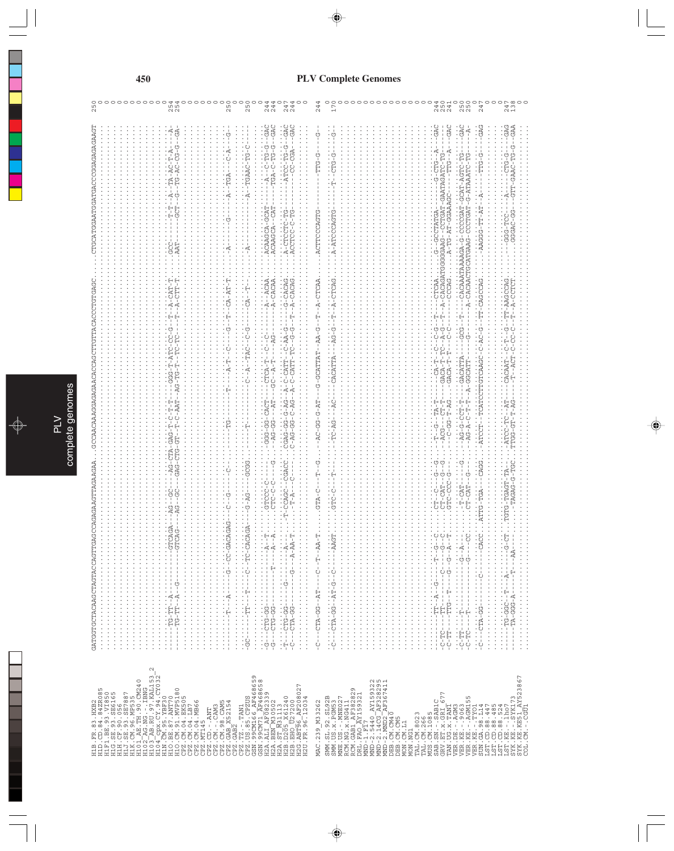|  | denomes<br>ξ<br>5 |
|--|-------------------|
|--|-------------------|

|                                                               |                                 | ru ru<br>$\sim$ $\sim$                                                                                                                                                                                                                                                                                                                                                                                                                                                                                                     | 25<br>25                                                                                                                                                                                                                                                                                                                                                                                                                            | $\frac{4}{24}$<br>24                                                                                                                                                                                                                                                                                                                            | 2224<br>2224<br>$^{24}$<br>$^{24}$                                                                                                                                                                                                                                                                                                                                                                                                                                                                                                                                                                                                                                                             | 243                                                      |
|---------------------------------------------------------------|---------------------------------|----------------------------------------------------------------------------------------------------------------------------------------------------------------------------------------------------------------------------------------------------------------------------------------------------------------------------------------------------------------------------------------------------------------------------------------------------------------------------------------------------------------------------|-------------------------------------------------------------------------------------------------------------------------------------------------------------------------------------------------------------------------------------------------------------------------------------------------------------------------------------------------------------------------------------------------------------------------------------|-------------------------------------------------------------------------------------------------------------------------------------------------------------------------------------------------------------------------------------------------------------------------------------------------------------------------------------------------|------------------------------------------------------------------------------------------------------------------------------------------------------------------------------------------------------------------------------------------------------------------------------------------------------------------------------------------------------------------------------------------------------------------------------------------------------------------------------------------------------------------------------------------------------------------------------------------------------------------------------------------------------------------------------------------------|----------------------------------------------------------|
| UPCAUGAGAARPGAUUUUUGAUGAGAGAAR                                |                                 | $G - A$                                                                                                                                                                                                                                                                                                                                                                                                                                                                                                                    |                                                                                                                                                                                                                                                                                                                                                                                                                                     | GAO<br>GAO<br>ACAAGCA-GCAT<br>: A - CTCCTC- C - TC<br>- A - CTCCTC - TC<br>- ACCTCC - C - TC<br>ACAAGCA                                                                                                                                                                                                                                         | GAG<br>GAC<br>$\frac{1}{10}$<br>Ğ<br>Ŗ<br>$TTG--A$<br>$\vdots$<br>$C-TG$<br>틍<br><b>TTG</b><br>AAAGA-G-CCCGAT-GCAT-AGT<br>GCATGAAG-CCCTGAT-G-ATAAAT<br>--CCTGAT-GAATAGAT<br>A-TG-AT-GGAAAGC<br>ACTTCCCAGTG<br>A-ATCCCAGT                                                                                                                                                                                                                                                                                                                                                                                                                                                                       | GA<br>GA                                                 |
| ひえひ日ひ日ひひひくべしえ日日ひ日日ひひえひひえひえびすびええなひなくなしひひ                       |                                 | $-2A-CAT-$                                                                                                                                                                                                                                                                                                                                                                                                                                                                                                                 |                                                                                                                                                                                                                                                                                                                                                                                                                                     | $-2A-ACAA$<br>$-2A-CACAA$<br>-- 195-09-05-1-1<br>-- 196-09-05-1-1-1-1<br>-- 196-09-1-1-1                                                                                                                                                                                                                                                        | CACAAA<br>$- A - CACAA$<br>$-4 - CTCAG$<br>$- A - CTCA$<br>$\frac{1}{\sqrt{2}}$<br>$-AA$<br>-G-GCATTAT<br>-GACATTA-<br>- CACATTA<br>- CACATTA<br>A-GGCAT<br>AC-0-9-24<br>$T - G - -G - T A - T$<br>r<br>F<br>$-AG - A - C - T - T$<br>U---UU                                                                                                                                                                                                                                                                                                                                                                                                                                                   |                                                          |
| 4 YU Y YU YELEU Y YU YU YU YU U U<br>GATGGTACAACAACDACDODODAC |                                 | $\begin{minipage}{0.9\textwidth} \begin{minipage}{0.9\textwidth} \begin{tabular}{@{}c@{}} \hline \multicolumn{2}{@{}}{\textwidth} \begin{tabular}{@{}c@{}}{\textwidth} \end{tabular} \end{minipage} \hline \multicolumn{2}{c}{\textwidth} \begin{minipage}{0.9\textwidth} \begin{tabular}{@{}c@{}}{\textwidth} \end{tabular} \end{minipage} \hline \multicolumn{2}{c}{\textwidth} \begin{minipage}{0.9\textwidth} \begin{tabular}{@{}c@{}}{\textwidth} \end{tabular} \end{minipage} \hline \multicolumn{2}{c}{\textwidth}$ | $\vdots$<br>$\begin{array}{c} \vdots \\ \vdots \\ \vdots \end{array}$<br>$\frac{1}{2}$ $\frac{1}{2}$ $\frac{1}{2}$ $\frac{1}{2}$ $\frac{1}{2}$ $\frac{1}{2}$ $\frac{1}{2}$ $\frac{1}{2}$ $\frac{1}{2}$ $\frac{1}{2}$ $\frac{1}{2}$ $\frac{1}{2}$ $\frac{1}{2}$ $\frac{1}{2}$ $\frac{1}{2}$ $\frac{1}{2}$ $\frac{1}{2}$ $\frac{1}{2}$ $\frac{1}{2}$ $\frac{1}{2}$ $\frac{1}{2}$ $\frac{1}{2}$<br>.<br>$\vdots$<br>ŧ<br>$\frac{1}{2}$ | CAGC--CGAC<br>÷<br>$\frac{1}{2}$                                                                                                                                                                                                                                                                                                                | $G-TGA--TGA--O$<br><b>3TC-CCC-G-</b><br><b>THO-LL</b><br>GTA.<br>$\mathbb{H}$<br>$-1 - C - T - T - A$<br>$\begin{array}{c} . - 1 \\ . - 1 \end{array}$<br>.<br>************************<br>$-1 - 24 - 34$<br>$\vdots$<br>$\frac{1}{2}$<br>$- C - T C$<br>$\vdots$<br>$\,$ I<br>$\circ$<br>÷Ÿ<br>٠Ų                                                                                                                                                                                                                                                                                                                                                                                             | - AA - - - - - - - - -<br>$-000 - 4T - 5T - 4$           |
|                                                               | $\mathbf{\sim}$<br>$\mathbf{I}$ |                                                                                                                                                                                                                                                                                                                                                                                                                                                                                                                            |                                                                                                                                                                                                                                                                                                                                                                                                                                     | $\begin{small} \textbf{H1B.1P1.101}, \textbf{B1B.13}, \textbf{B2B1505}\\ \textbf{H1P1.101}, \textbf{B1B.13}, \textbf{S1B5165}\\ \textbf{H1C.1B.13}, \textbf{S1B51655}\\ \textbf{H1D.1C.2C.3C.3D} \\ \textbf{H1D.1C.3D} \\ \textbf{H1D.1C.2D} \\ \textbf{H1D.1C.3D} \\ \textbf{H1D.2D} \\ \textbf{H1D.3D} \\ \textbf{H1D.4D} \\ \textbf{H1D.5C.$ | SMM. 51., 92, 51928<br>SMM. US. x. PGM53<br>RCM. NG. x. NG411<br>RCM. 03. x. NG411<br>RCM. CARI AF3 82829<br>RCM. CARI AF3 82829<br>MND-2. 1440 AX15 93322<br>MND-2. NMD2 AF3 67411<br>DEB. CM. CM40<br>DEB. CM. CM40<br>DEB. CM. CM40<br>NON. CM30<br>$\begin{tabular}{l} \hline \textbf{711}, \textbf{101}, \textbf{8023} \\ \textbf{72}, \textbf{101}, \textbf{268} \\ \textbf{73}, \textbf{102}, \textbf{103}, \textbf{104}, \textbf{105}, \textbf{106}, \textbf{107}, \textbf{108}, \textbf{108}, \textbf{109}, \textbf{109}, \textbf{109}, \textbf{109}, \textbf{109}, \textbf{109}, \textbf{109}, \textbf{109}, \textbf{109}, \textbf{109}, \textbf{109},$<br>MAC.239 M33262<br>MON.NG1 | SYK.KE.-.SYK173<br>SYK.KE.KES1 AY523867<br>COL.CM.-.CGU1 |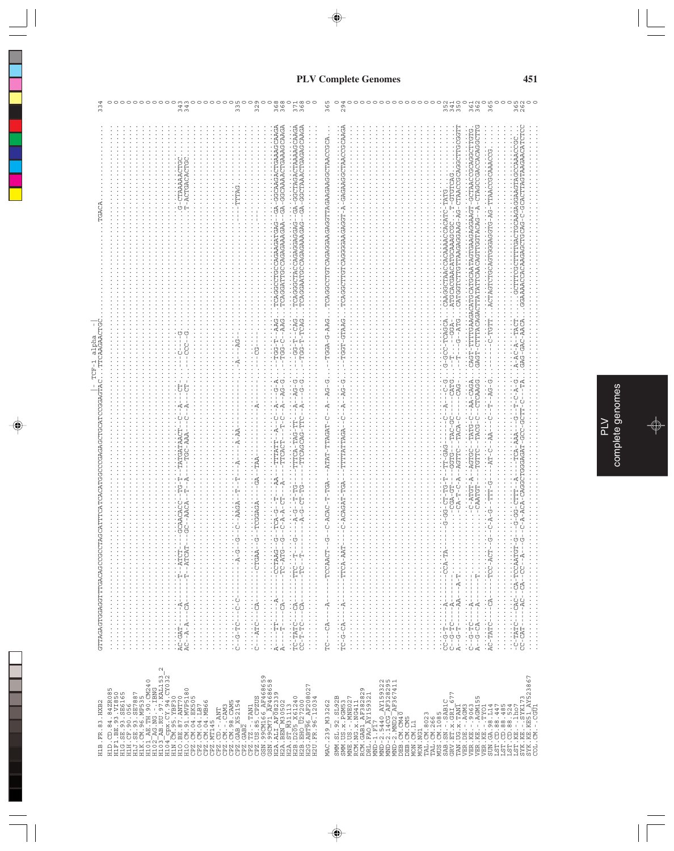| 334                                                                                                                                  | 343<br>343                                                                                                                                                                                                                                                                                                                                                                                                                                                                                                                                                                                                                                                                                                                                                                                                                                                                                                                                                                                              | 368<br>368<br>$\circ$<br>371<br>368<br>329<br>335                                                                                                                                                                                                                                                                                                                                                                                                                                                                                                                                                                                                                                                                                                                                                                                                                                                                                                                                                                                                                                                                                                                                                                             | 365<br>262<br>365<br>294<br>365<br>0.000                                                                                                                                                                                                                                                                                                                                                                                                                                                                                                                                                                                                                                                                                                                                                                                                                                                                                                                                                                                                                                                                                                                                                                                                                                                                                                                                                                                                                                                                                                                                                                                                                                                                                                                                                                                                                                                                                                                                                                                                                                                                                                                                                                                                                                                                                                                                                                                                                                  |
|--------------------------------------------------------------------------------------------------------------------------------------|---------------------------------------------------------------------------------------------------------------------------------------------------------------------------------------------------------------------------------------------------------------------------------------------------------------------------------------------------------------------------------------------------------------------------------------------------------------------------------------------------------------------------------------------------------------------------------------------------------------------------------------------------------------------------------------------------------------------------------------------------------------------------------------------------------------------------------------------------------------------------------------------------------------------------------------------------------------------------------------------------------|-------------------------------------------------------------------------------------------------------------------------------------------------------------------------------------------------------------------------------------------------------------------------------------------------------------------------------------------------------------------------------------------------------------------------------------------------------------------------------------------------------------------------------------------------------------------------------------------------------------------------------------------------------------------------------------------------------------------------------------------------------------------------------------------------------------------------------------------------------------------------------------------------------------------------------------------------------------------------------------------------------------------------------------------------------------------------------------------------------------------------------------------------------------------------------------------------------------------------------|---------------------------------------------------------------------------------------------------------------------------------------------------------------------------------------------------------------------------------------------------------------------------------------------------------------------------------------------------------------------------------------------------------------------------------------------------------------------------------------------------------------------------------------------------------------------------------------------------------------------------------------------------------------------------------------------------------------------------------------------------------------------------------------------------------------------------------------------------------------------------------------------------------------------------------------------------------------------------------------------------------------------------------------------------------------------------------------------------------------------------------------------------------------------------------------------------------------------------------------------------------------------------------------------------------------------------------------------------------------------------------------------------------------------------------------------------------------------------------------------------------------------------------------------------------------------------------------------------------------------------------------------------------------------------------------------------------------------------------------------------------------------------------------------------------------------------------------------------------------------------------------------------------------------------------------------------------------------------------------------------------------------------------------------------------------------------------------------------------------------------------------------------------------------------------------------------------------------------------------------------------------------------------------------------------------------------------------------------------------------------------------------------------------------------------------------------------------------------|
| TGACZ<br>TTCAAGAACTG<br>alpha<br>$TCF-1$<br>UKHUKUUUHKUUHUUKUKUUUUUUHKUKUHKUHHHKUUK<br>LUUUUUUKUKULLEUUKUULUKUKLLU<br>H1B.FR.83.HXB2 | -CTAAAAACTGC<br>UPACTORCHOU<br>먹<br>$\frac{1}{\sqrt{2}}$<br>U<br>U<br>U<br>$- -$ CT<br>FO-<br>$\ddot{\cdot}$ $\ddot{\cdot}$<br>$\frac{1}{2}$<br>Ÿ<br>-- TATGATAACT<br>-TGC-AAA<br>$- - A$<br>$\begin{array}{c} \vdots \\ \vdots \\ \vdots \end{array}$<br>GCAACACC<br>--AACA<br>**************************<br>.<br>.<br>$\frac{1}{2}$ $\frac{1}{2}$ $\frac{1}{2}$ $\frac{1}{2}$ $\frac{1}{2}$ $\frac{1}{2}$ $\frac{1}{2}$ $\frac{1}{2}$ $\frac{1}{2}$ $\frac{1}{2}$ $\frac{1}{2}$ $\frac{1}{2}$ $\frac{1}{2}$ $\frac{1}{2}$ $\frac{1}{2}$ $\frac{1}{2}$ $\frac{1}{2}$ $\frac{1}{2}$ $\frac{1}{2}$ $\frac{1}{2}$ $\frac{1}{2}$ $\frac{1}{2}$<br>$\sim$<br>$\begin{small} \tt{H1D}, \tt{CD}, \tt{84}, \tt{8420085} \\ \tt{H11}, \tt{1B1}, \tt{33}, \tt{VIB50} \\ \tt{H11}, \tt{1B1}, \tt{35}, \tt{35}, \tt{VIB50} \\ \tt{H11}, \tt{1B1}, \tt{25}, \tt{10}, \tt{10}, \tt{10}, \tt{10}, \tt{10}, \tt{10}, \tt{10}, \tt{10}, \tt{10}, \tt{10}, \tt{10}, \tt{10}, \tt{10}, \tt{10}, \tt{10}, \tt{10}, \tt{10$ | .<br>TCAGGGCTACCAGGGGGGGG--GA-GGCTAGACTAAAAGCAAGA<br>- GA-GGCAAGACTGAAAGCAAGA<br>TCAGCAAACDOCAGAAAGAAAGD--GA---AAGDAGAAAGDACAAGGA<br>FCAGGAATGCCCCAGAAAGAGAG--GA-CHAAAGAAGAGAGAG<br><b>TTTPG</b><br>CAGGCCCCAGAAGATGAC<br>TGG-C-AAG<br>-TGG--T-AAG<br>TGG-T-TCAG<br>$- - AC$<br>- TTTCA-TAG-TT---A--AG-G<br>- 1 1 1 1 1 1 1 1 1 - 1 1 - - A - - C - - A - - - G - A<br>- TTCACT - - - T - C - - A - - AG - G<br>$G-G -$<br>- TTTATT - - A - - C - - A - - G<br>-TTCAGCAG-TTC--A<br>$-434 - 724$<br>$-1$<br>÷<br>$---AA -$<br>$G--C- A - A-CT--A$<br>$1 - 1 - 1$<br>$\ddot{\ddot{\text{r}}}$<br>- CL - LC<br>Ť<br>$-C--AAGA$<br>FICGGAGA<br>$A - G$<br>$-1$ $C_A - G$<br>$\therefore A-G$<br>Ġ<br>ひ<br>,,,,,,,,,,,,,,,,,,,,,,,,<br>$\begin{array}{c}\n\cdot \\ \cdot \\ \cdot \\ \cdot \\ \cdot \\ \cdot\n\end{array}$<br>$---TC-ATG$<br>$\mathbf{I}$<br>$\vdots$<br>$\vdots$<br>$TC - TATC - - - CA - -$<br>$\frac{1}{2}$<br>.<br>$---CA$<br>$---CA$<br>$\begin{array}{c} \vdots \\ \vdots \\ \vdots \end{array}$<br>$\frac{1}{2}$<br>$-\frac{1}{2}$<br>$C - T - T - C$<br>$\vdots$<br>$A - -$<br>$A - -$<br>$\cup$<br>$\cup$<br>HZA.ST M31113<br>HZB.DZO5 X61240<br>HZB.DZO5 X61240<br>HZG.ABT96 AF208027<br>HZU.FR.96.12034 | . TCAGGGTAAGAAGAAGAAGAAGAAGTIACHAGCGGAAGAAGA<br>. TCAGGGTGGGAAGAAGAAGAAGAAGTIAACCGGCAAGAA<br>GAGU-UTTEAGACHATATATATAGTEGAGURAGHEGAGHEGAGUA<br>-CCACAGEAGEARCATCE<br>AUUUUARIUUUUARUARUAHIUUUAUGAUURUAULUUUUUAUL.<br>: COTTTOORAGAGAAGAAGTAACAAACCAACCO<br>G-GCC-TCAGCACAAGGCTAACCACAAAACCACATC-TATG<br>U-DANCHOROACHONGHARD<br>$-1.1 - 0.00 - 0.00$<br>TGA-6-AAG<br>-TGGT-GTAAG<br>$-G$ -ATG<br>GAG-GAC-AACA<br>--TACI<br>$-AC$<br>턱<br>턱<br>$-$ -CATG<br>$-TA$ .<br>$\mathop{\cup}\limits_{\mathrm{I}}$<br>$-AA-CAGA$<br>CONNOTO--0-DAN--DIFUM---<br>$-1 - 1 - 1 - 1 - 1 - 1$<br>$-1 - 1 - 1 - 1$<br>$: \heartsuit$<br>$--CAG$<br>$\cdot$ exp<br>$\frac{1}{2}$<br>$\therefore$ $\overline{A}$ –<br>$\cdot$ $\overline{A}$<br>- CGA - GT - - - - GGTG - - - TAC - GC<br>- - - - - - - - - AGTTC - - - TACA - C<br>-GC-GC-DD-<br>$\frac{1}{2}$<br>$-ATAT - TTAGAT - C$<br>$---TATG-C$<br>$\frac{G}{1}$<br>$-TTTTTATTAGA$<br>-TCA-AAA<br>-TT-GAG<br>-A-ACA-CAGGGGGAGAT<br>-ATGT-A--AGTGC<br>턱<br>- C-ACAC-T-TGA<br>C-ACAGAT-TGA<br>$1 - 10 - 10$<br>CAATGT<br>$-CCA-CT$<br>$\frac{1}{\sqrt{2}}$<br>ά<br>C-TATC---CAC--CA-TCCAATGT-<br>$\begin{array}{c} \vdots \\ \vdots \\ \vdots \\ \vdots \end{array}$<br>---TCCAACT<br>$1 - A -$<br>Ħ<br>$\vdots$<br>$\vdots$<br>. 4<br>$-1$ $-1$ $-1$ $-1$<br>$-1$<br>$- - - A - - - A - T$<br>$\frac{1}{4}$<br>J.<br>$- -A - -$<br>$- - \text{AC}$<br>$- - P -$<br>$\ddot{\cdot}$<br>$\cdot$<br>$C--G--T\\$<br>$A - G - CA -$<br>$- - C A$<br>$!-{\tt CAT}$<br>$\vdots$<br>$\cdot$<br>FC<br>9<br>C<br>U<br>K173<br>AY523867<br>MWD-2.5440_AY159322<br>MWD-2.14CG_AF328235<br>DBB.CM.CM40_AF367411<br>DBB.CM.CM40_AF367411<br>DBB.CM.CM5<br>MUS.CM.1085<br>TAL.CM.3063<br>TAL.CM.3065<br>Γ<br>SMM.US.x.PGM53<br>MNE.US.-.MNE027<br>RCM.NG.x.NG411<br>RCM.GAB1_AF382829<br>DRL.FAO_AY159321<br>MUS. CM. 1085<br>SAB. SN. - SAB1C<br>GRV. ET. X. GRI 677<br>TAN. UG. X. CRI<br>TAN. UG. X. LANI<br>VER. KE. - 9063<br>VER. KE. - AGM155<br>VER. KE. - AGM155<br>SMM. SL. 92. SL92B<br>$\begin{smallmatrix} &\text{VER.}\ &\text{VER.}\ &\text{VTR.}\ &\text{VTR.}\ &\text{VTR.}\ &\text{VTR.}\ &\text{SFR.}\ &\text{SFR.}\ &\text{SFR.}\ &\text{SFR.}\ &\text{SFR.}\ &\text{SFR.}\ &\text{SFR.}\ &\text{SFR.}\ &\text{SFR.}\ &\text{SFR.}\ &\text{SFR.}\ &\text{SFR.}\ &\text{SFR.}\ &\text{SFR.}\ &\text{SFR.}\ &\text{SFR.}\ &\text{SFR.}\ &\text{SFR.}\ &\text{SFR.}\ &\text{SFR.}\ &\text{SFR$<br>MAC.239 M33262<br>$F\overline{17}$ |
|                                                                                                                                      |                                                                                                                                                                                                                                                                                                                                                                                                                                                                                                                                                                                                                                                                                                                                                                                                                                                                                                                                                                                                         |                                                                                                                                                                                                                                                                                                                                                                                                                                                                                                                                                                                                                                                                                                                                                                                                                                                                                                                                                                                                                                                                                                                                                                                                                               | COL.CM. - CGU1<br>$MND-1$                                                                                                                                                                                                                                                                                                                                                                                                                                                                                                                                                                                                                                                                                                                                                                                                                                                                                                                                                                                                                                                                                                                                                                                                                                                                                                                                                                                                                                                                                                                                                                                                                                                                                                                                                                                                                                                                                                                                                                                                                                                                                                                                                                                                                                                                                                                                                                                                                                                 |

451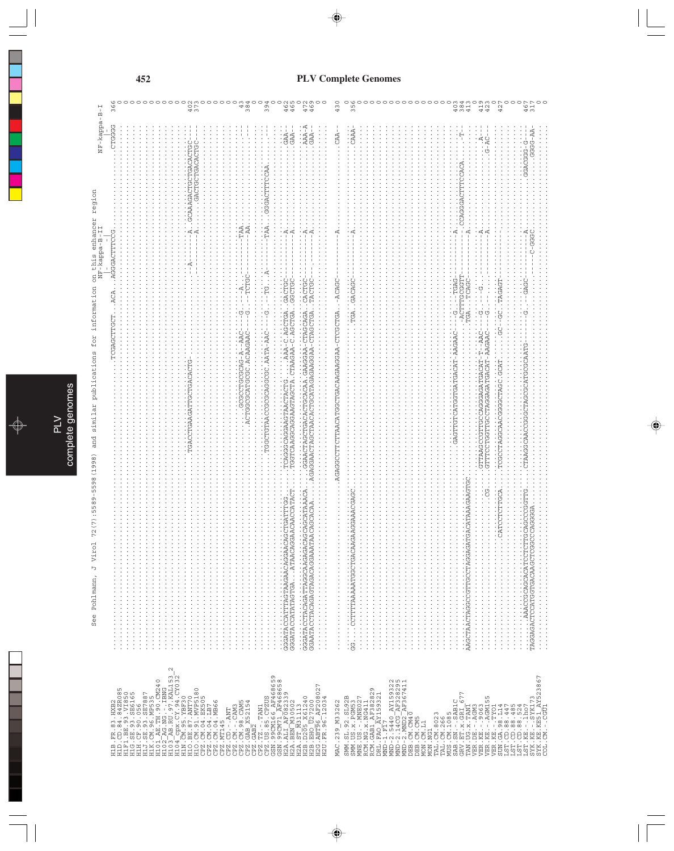complete genomes

CONINONMOO O OWOOOOOOOOOOOOOOOOOOMahOMMOO OO WARA MARKA MARKA MARKA MARKA MARKA<br>A MARKA MARKA MARKA MARKA MARKA MARKA MARKA MARKA MARKA MARKA MARKA MARKA MARKA MARKA MARKA MARKA MARKA MARKA<br>HA MARKA MARKA MARKA MARKA MARK  $\begin{array}{c}\n 7 \\
 40 \\
 40 \\
 0 \\
 40 \\
 0 \\
 4\n\end{array}$ NF-kappa-B-I See Pohlmann, J Virol 72(7):5589-5598(1998) and similar publications for information on this enhancer region<br>NF-kappa-B-II  $\begin{array}{l} \texttt{8000}, \texttt{51}, \texttt{92}, \texttt{51,92B} \\ \texttt{8001}, \texttt{US} \ldots, \texttt{PP0053} \\ \texttt{R001}, \texttt{US} \ldots, \texttt{N0411} \\ \texttt{R001}, \texttt{X1}, \texttt{X20322} \\ \texttt{R010}, \texttt{GAB1} \ldots, \texttt{X153222} \\ \texttt{R011}, \texttt{1}, \texttt{1}, \texttt{1}, \texttt{1}, \texttt{1}, \texttt{1}, \texttt{1}, \texttt{1$ MAC.239\_M33262

452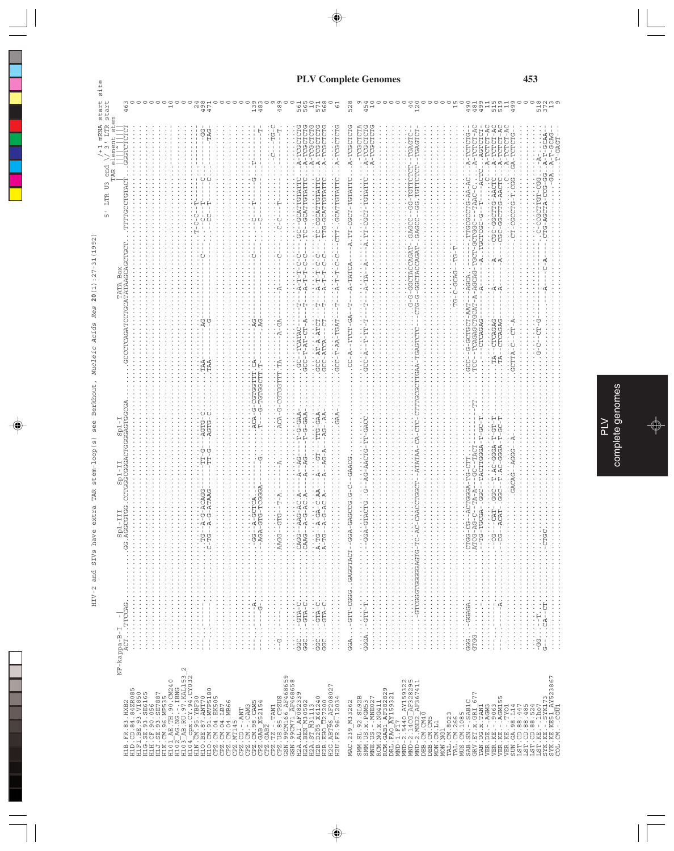complete genomes  $PLV$ 

| star      | $\circ$<br>4                                                            |                                                                                                                                                                                                                                                                                                                                                       | $\circ$                                                                                                                                                                                                                                                                                                                                              | $\circ$<br>$\circ$<br>O | 2981<br>4981<br>491                                                   |                                                                                                                                                                                     |                                                 | $139$<br>$483$                                                                                                          | $\circ$                                                                                                                                                                                                                                                                                                                                                    | $\sigma$<br>48                                                                                                                                                                                                                                                                                                                                                                                          | 565<br>565                                                                                                                  |                                                           | $\begin{array}{c} 0 \\ 0 \\ 0 \\ 0 \\ 0 \\ \end{array}$                                                                      | 5                                                      | 528                                       | $\overline{1}0$<br>454                                                                                             |                                                         |          | $140$<br>$120$                                                                                                               |                                |         |                                                                                                                                                                                                                                                                                                                                                                                                            | ru o<br>490                   |                                                                                                                                                         | 44 NN 4<br>8944449<br>44 NN 4                                                                                                                                                                                                                                                                                                                                           |                                                                   |                                                                                                                                                                                                                                                                                                                                                                                                                                                                                                                        |                                | 51.<br>37.                                                                                                            | $\overline{\phantom{0}}$                                                                                                                      |
|-----------|-------------------------------------------------------------------------|-------------------------------------------------------------------------------------------------------------------------------------------------------------------------------------------------------------------------------------------------------------------------------------------------------------------------------------------------------|------------------------------------------------------------------------------------------------------------------------------------------------------------------------------------------------------------------------------------------------------------------------------------------------------------------------------------------------------|-------------------------|-----------------------------------------------------------------------|-------------------------------------------------------------------------------------------------------------------------------------------------------------------------------------|-------------------------------------------------|-------------------------------------------------------------------------------------------------------------------------|------------------------------------------------------------------------------------------------------------------------------------------------------------------------------------------------------------------------------------------------------------------------------------------------------------------------------------------------------------|---------------------------------------------------------------------------------------------------------------------------------------------------------------------------------------------------------------------------------------------------------------------------------------------------------------------------------------------------------------------------------------------------------|-----------------------------------------------------------------------------------------------------------------------------|-----------------------------------------------------------|------------------------------------------------------------------------------------------------------------------------------|--------------------------------------------------------|-------------------------------------------|--------------------------------------------------------------------------------------------------------------------|---------------------------------------------------------|----------|------------------------------------------------------------------------------------------------------------------------------|--------------------------------|---------|------------------------------------------------------------------------------------------------------------------------------------------------------------------------------------------------------------------------------------------------------------------------------------------------------------------------------------------------------------------------------------------------------------|-------------------------------|---------------------------------------------------------------------------------------------------------------------------------------------------------|-------------------------------------------------------------------------------------------------------------------------------------------------------------------------------------------------------------------------------------------------------------------------------------------------------------------------------------------------------------------------|-------------------------------------------------------------------|------------------------------------------------------------------------------------------------------------------------------------------------------------------------------------------------------------------------------------------------------------------------------------------------------------------------------------------------------------------------------------------------------------------------------------------------------------------------------------------------------------------------|--------------------------------|-----------------------------------------------------------------------------------------------------------------------|-----------------------------------------------------------------------------------------------------------------------------------------------|
| em<br>end | ati<br>CGGTCTCTCT<br>$\frac{1}{1}$<br>$\vec{e}$<br>TTTTTGCCTGTACT       |                                                                                                                                                                                                                                                                                                                                                       |                                                                                                                                                                                                                                                                                                                                                      |                         | ひりー<br>ပု<br>$\frac{1}{1}$<br>י<br>י<br>۲<br>ا<br>U<br>U<br>U         |                                                                                                                                                                                     |                                                 |                                                                                                                         | 턱<br>$\vdots$                                                                                                                                                                                                                                                                                                                                              | -- 10-1-<br>턱<br>$\frac{1}{\sqrt{2}}$                                                                                                                                                                                                                                                                                                                                                                   | A-TCGCTCTG<br>A-TCGCTCTG<br>$\cdots \cdots \cdots \cdots$<br>UPATOTTAUP--UP                                                 | $\ldots$ $A$ -reecrees<br>A-TCGCTCTC<br>TO-COCATTERNIC    | A-TCGCTCTG<br>TTG-GCATTGTATTC                                                                                                | A-TCGCTCTG<br>$\vdots$<br>UHAHUHKUU --HTJ-<br>$\vdots$ | A-TCGCTCTG<br>A.TT-CGCT-TGTATTC           | $\ldots A-TCGCTCTG$<br>.-TCGCTCTA<br>A-TCGCTCTG<br>$-$ A. TT-CGCT-TGTATTC                                          |                                                         |          | --GG.TGTTCTCTCT-TGAGTCT<br>--TGAGTC<br>G-TGTTC"<br>$\frac{1}{1}$                                                             |                                |         |                                                                                                                                                                                                                                                                                                                                                                                                            | - THROCOCOLO-AA-AA-ACA-TCHCHC | D" - ΗνΗνΗ - π ' · · · · ν - ν - ν τ τ - - - ν υ ο Ηνη - Ην ο Η - υ τ ν ο Η - Η τ ν Ο Ην Ο Σ - Ην Ο Η - - -<br>-- ACTCAGTCTCT<br>-- H - - B - JUULUUL . |                                                                                                                                                                                                                                                                                                                                                                         | $\ldots$ $A$ -TUTUT-AC<br>$\ldots A-TCTCT-AC$<br>-CGC-GGCTG-AACTC | GA-TCTCTG<br>CL-COCOCL-B-LOS                                                                                                                                                                                                                                                                                                                                                                                                                                                                                           |                                | $\cdots$ $\cdots$ $\cdots$ $\cdots$ $\cdots$ $\cdots$ $\cdots$ $\cdots$ $\cdots$ $\cdots$                             | $-GA. . A-T-GCAG-$<br>T-GAGT                                                                                                                  |
|           | LUGLUG CARALANTO COLOURADA CHOUDOU<br>Box<br>TATA                       |                                                                                                                                                                                                                                                                                                                                                       |                                                                                                                                                                                                                                                                                                                                                      |                         |                                                                       |                                                                                                                                                                                     |                                                 |                                                                                                                         |                                                                                                                                                                                                                                                                                                                                                            | $- -A - GA$                                                                                                                                                                                                                                                                                                                                                                                             | $C - C$<br>$C-C$<br>$-{\bf A}-{\bf T}-{\bf T}$<br>턱<br>$GCC-T-PT-CT-PA$<br>GC--TCATAC-                                      | -A-T-T-T-C-C<br>$---A-T$<br>CCC-AT-A-ATCT                 | $-5 - 7$<br>턱<br>$-4 - 7$<br>GCC-ATCA--                                                                                      | $-A-T-T-T-C-C$<br>GCC-T-AA-TGAT                        | $- A - TATCA$<br>CC-A-TTCT-GA             | $- A - TA -$                                                                                                       |                                                         |          |                                                                                                                              |                                |         | $\therefore$ TG-C                                                                                                                                                                                                                                                                                                                                                                                          | ţ<br>U<br>U                   | -CTCAGAG<br>TCC                                                                                                                                         | $-A$ -<br>$\ldots$ . $\ldots$ . $\ldots$ . $\ldots$                                                                                                                                                                                                                                                                                                                     | $-4 -$<br>TA--CTCAGAG                                             |                                                                                                                                                                                                                                                                                                                                                                                                                                                                                                                        |                                | $-177 - -$<br>$\ddot{\cdot}$<br>C<br>C<br>C                                                                           |                                                                                                                                               |
|           | AUUUUHUAUUUUHUAUUUU<br>$5p1 - I$<br>ひけひりい<br><b>DA DO .</b><br>18<br>18 | $\frac{1}{2}$ $\frac{1}{2}$ $\frac{1}{2}$ $\frac{1}{2}$ $\frac{1}{2}$ $\frac{1}{2}$ $\frac{1}{2}$ $\frac{1}{2}$ $\frac{1}{2}$ $\frac{1}{2}$ $\frac{1}{2}$ $\frac{1}{2}$ $\frac{1}{2}$ $\frac{1}{2}$ $\frac{1}{2}$ $\frac{1}{2}$ $\frac{1}{2}$ $\frac{1}{2}$ $\frac{1}{2}$ $\frac{1}{2}$ $\frac{1}{2}$ $\frac{1}{2}$                                   |                                                                                                                                                                                                                                                                                                                                                      |                         | $\cdots$<br>$-2$ GTG-C<br>-AGTG-C<br>$TT-G$<br>$TT-G$<br>-ACAGG<br>ပု | -G-ATAAG<br>$\vdots$                                                                                                                                                                |                                                 | ACA-G-GEGEO-D-ACA<br>-GCTCA<br>$-99 - - -$<br>$\frac{1}{2}$                                                             | <b>LIDOCLOF-P-</b><br>499990--919-<br>$\cdots$<br>$\begin{array}{c} \vdots \\ \vdots \\ \vdots \\ \vdots \end{array}$                                                                                                                                                                                                                                      | ACA-G-CGTGGTTT.TA<br>$GTC--T-A$<br>$\ldots$ $\ldots$ $\ldots$ $\ldots$ $\ldots$ $\ldots$ $\ldots$ $\ldots$ $\ldots$ $\ldots$ $\ldots$ $\ldots$ $\ldots$ $\ldots$ $\ldots$ $\ldots$ $\ldots$ $\ldots$ $\ldots$ $\ldots$ $\ldots$ $\ldots$ $\ldots$ $\ldots$ $\ldots$ $\ldots$ $\ldots$ $\ldots$ $\ldots$ $\ldots$ $\ldots$ $\ldots$ $\ldots$ $\ldots$ $\ldots$ $\ldots$ $\ldots$<br>$\vdots$<br>$\vdots$ | $T-G-GAA-$<br>$-1 - 5 - 1$<br>$- - A G$<br>$- A - - A G$<br>AAG-AC.A<br>$-6-AC$<br>$\cdots$ $\cdots$                        | $-TTG-GAA-$<br>$-2 - - - -$<br>$-GA - C \cdot AA$<br>DAAC | $-AG - DA -$<br>$-A - AG - A -$<br>$-G-AC. A$                                                                                | FRP<br>$\vdots$<br>$\vdots$                            | -GAACG<br>- J - J - J - J - J - J         | $\ldots$ . $\ldots$ . $\ldots$ . $\ldots$ . $\ldots$ . $\ldots$ . $\ldots$ . $\ldots$ . $\ldots$<br>ָיָ<br>-GTACTG |                                                         |          | UHUHORUH - KRUHHUUUUUHHU - UHU - KU - KRHKHK-<br>UUUUUUUUU-U<br>$\vdots$                                                     |                                |         |                                                                                                                                                                                                                                                                                                                                                                                                            | HIU-UH-KUUUHUK-               | H - J D - H - K D D D H H J K H - - J D D . - K D J D H<br>UAL-10-1-4-72-1<br>$AC-C$<br>$-10$                                                           | -co<br>$\vdots$<br>$\frac{1}{2}$<br>$\vdots$                                                                                                                                                                                                                                                                                                                            | $\cdots \cdots$<br>.                                              | GACAG<br>$\frac{1}{2}$<br>$\vdots$                                                                                                                                                                                                                                                                                                                                                                                                                                                                                     | $\frac{1}{2}$                  | $\vdots$                                                                                                              |                                                                                                                                               |
|           | NF-kappa-B-I - <br>ACTTTCCAG                                            | .<br>$\frac{1}{2}$ $\frac{1}{2}$ $\frac{1}{2}$ $\frac{1}{2}$ $\frac{1}{2}$ $\frac{1}{2}$ $\frac{1}{2}$ $\frac{1}{2}$ $\frac{1}{2}$ $\frac{1}{2}$ $\frac{1}{2}$ $\frac{1}{2}$ $\frac{1}{2}$ $\frac{1}{2}$ $\frac{1}{2}$ $\frac{1}{2}$ $\frac{1}{2}$ $\frac{1}{2}$ $\frac{1}{2}$ $\frac{1}{2}$ $\frac{1}{2}$ $\frac{1}{2}$<br>-------------<br>$\vdots$ | $\vdots$<br>$\begin{array}{c} \vdots \\ \vdots \\ \end{array}$                                                                                                                                                                                                                                                                                       | $\frac{1}{2}$           |                                                                       | $\begin{array}{c} \bullet & \bullet & \bullet & \bullet \\ \bullet & \bullet & \bullet & \bullet \\ \bullet & \bullet & \bullet & \bullet \end{array}$<br><b>+++++++++++++</b><br>ŧ | $\frac{1}{2}$<br>$\frac{1}{2}$<br>$\frac{1}{2}$ | $\begin{array}{c}\n\cdots \\ \vdots \\ \vdots \\ \vdots \\ \vdots\n\end{array}$<br>÷.<br>$\frac{1}{2}$<br>$\frac{1}{2}$ | $\frac{1}{2}$ $\frac{1}{2}$ $\frac{1}{2}$ $\frac{1}{2}$ $\frac{1}{2}$ $\frac{1}{2}$ $\frac{1}{2}$ $\frac{1}{2}$ $\frac{1}{2}$ $\frac{1}{2}$ $\frac{1}{2}$ $\frac{1}{2}$ $\frac{1}{2}$ $\frac{1}{2}$ $\frac{1}{2}$ $\frac{1}{2}$ $\frac{1}{2}$ $\frac{1}{2}$ $\frac{1}{2}$ $\frac{1}{2}$ $\frac{1}{2}$ $\frac{1}{2}$<br>$\,$ $\,$<br>上げ 小村<br>$\frac{1}{2}$ | $\frac{1}{2}$<br>$\vdots$<br>$\vdots$<br>$\begin{array}{c} 0.75 \\ 0.75 \end{array}$                                                                                                                                                                                                                                                                                                                    | $\vdots \qquad \qquad \vdots \qquad \qquad \vdots \qquad \qquad \vdots \qquad \qquad \vdots$<br>$\frac{1}{3}$<br><b>CCC</b> | $\cdots$<br>$GGC: 1.1GTA-C$                               | $\ldots$ -GTA-C<br>CO <sub>O</sub>                                                                                           | $\vdots$<br>$\vdots$<br>$\vdots$<br>$\frac{1}{2}$      | ADD - - I-DAI-DDAD DDDD - I-I-D -<br>GGA. |                                                                                                                    | $\vdots$                                                | $\vdots$ | $\frac{1}{2}$                                                                                                                | $\frac{1}{2}$<br>$\frac{1}{2}$ |         | $\vdots$<br>$\frac{1}{2}$                                                                                                                                                                                                                                                                                                                                                                                  |                               | <b>ODLE :</b><br>.<br>$\begin{bmatrix} 1 & 1 & 1 \\ 1 & 1 & 1 \\ 1 & 1 & 1 \end{bmatrix}$<br>GTGG<br>$\frac{1}{2}$                                      | $\frac{1}{2}$ $\frac{1}{2}$ $\frac{1}{2}$ $\frac{1}{2}$ $\frac{1}{2}$ $\frac{1}{2}$ $\frac{1}{2}$ $\frac{1}{2}$ $\frac{1}{2}$ $\frac{1}{2}$ $\frac{1}{2}$ $\frac{1}{2}$ $\frac{1}{2}$ $\frac{1}{2}$ $\frac{1}{2}$ $\frac{1}{2}$ $\frac{1}{2}$ $\frac{1}{2}$ $\frac{1}{2}$ $\frac{1}{2}$ $\frac{1}{2}$ $\frac{1}{2}$<br>$\vdots$<br>J.<br>$\frac{1}{2}$<br>$\frac{1}{2}$ | $---A$<br>$\vdots$<br>Í                                           | $\frac{1}{2}$ , $\frac{1}{2}$ , $\frac{1}{2}$ , $\frac{1}{2}$ , $\frac{1}{2}$ , $\frac{1}{2}$ , $\frac{1}{2}$ , $\frac{1}{2}$ , $\frac{1}{2}$ , $\frac{1}{2}$<br>$\frac{1}{2}$ $\frac{1}{2}$ $\frac{1}{2}$ $\frac{1}{2}$ $\frac{1}{2}$ $\frac{1}{2}$ $\frac{1}{2}$ $\frac{1}{2}$ $\frac{1}{2}$ $\frac{1}{2}$ $\frac{1}{2}$ $\frac{1}{2}$ $\frac{1}{2}$ $\frac{1}{2}$ $\frac{1}{2}$ $\frac{1}{2}$ $\frac{1}{2}$ $\frac{1}{2}$ $\frac{1}{2}$ $\frac{1}{2}$ $\frac{1}{2}$ $\frac{1}{2}$<br>$\frac{1}{2}$<br>$\frac{1}{2}$ | $\frac{1}{2}$<br>$\frac{1}{2}$ | .<br>$\vdots$<br>$\vdots$<br>$\overline{\overline{\phantom{a}}}_{\!\scriptscriptstyle\parallel}$<br>$\vdots$<br>$-66$ |                                                                                                                                               |
|           |                                                                         |                                                                                                                                                                                                                                                                                                                                                       | $\begin{small} \tt H1B\_FR\,,&33.1KKB_2\\ \tt H1D\_CD\,,&34.34\times0.85\\ \tt H1D\_CD\,,&34.34\times0.85\\ \tt H1D\_CD\,,&34.34\times0.85\\ \tt H1D\_CD\,,&35.1\times0.56\\ \tt H1D\_CD\,,&35.1\times0.56\\ \tt H1D\_AC\,,&36.1\times0.56\\ \tt H1D\_AC\,,&36.1\times0.56\\ \tt H1D\_AC\,,&37.1\times0.54\\ \tt H1D\_AC\,,&37.1\times0.54\\ \tt H1$ |                         |                                                                       |                                                                                                                                                                                     |                                                 |                                                                                                                         | $CPZ$ . $GABZ$                                                                                                                                                                                                                                                                                                                                             | CPZ.TZ.-.TAN1<br>CPZ.US.85.CPZUS                                                                                                                                                                                                                                                                                                                                                                        | GSN.99CM166 AF468659<br>GSN.99CM71 AF468658<br>H2A.ALI AF082339                                                             |                                                           | L<br>H2A, BEN-M305027<br>H2A, ST M31113<br>H2B, D2O5 X61240<br>H2B, BHO U27200<br>H2C, ABT96 AF208027<br>H2C, ABT96 AF208027 | 4<br>H2U.FR.96.1203                                    | MAC.239 M33262                            | $\mathbf{\Omega}$<br>MNE. US. - NNE027<br>SMM.SL.92.SL92<br>SMM.US.x.PGM53                                         | RCM.GAB1 AF382829<br>DRL.FAO_AY159321<br>RCM.NG.x.NG411 |          | MND-1.1777<br>MND-2.5440_AX159322<br>MND-2.5440_AX159322<br>MND-2.1MND2_AF367411<br>DBB.CM.CM40<br>DBB.CM.CM40<br>MOR.CM.L1M |                                | MON.NG1 | $\begin{tabular}{l ll} \hline \textbf{RL} & \textbf{01} & \textbf{02} & \textbf{03} & \textbf{04} & \textbf{05} & \textbf{08} & \textbf{08} & \textbf{08} & \textbf{08} & \textbf{08} & \textbf{08} & \textbf{08} & \textbf{08} & \textbf{08} & \textbf{08} & \textbf{08} & \textbf{08} & \textbf{08} & \textbf{08} & \textbf{08} & \textbf{08} & \textbf{08} & \textbf{08} & \textbf{08} & \textbf{08} &$ |                               |                                                                                                                                                         |                                                                                                                                                                                                                                                                                                                                                                         |                                                                   |                                                                                                                                                                                                                                                                                                                                                                                                                                                                                                                        |                                |                                                                                                                       | AY523867<br>$\begin{array}{l} \texttt{SYK.~KE. - .~SYK173} \\ \texttt{SYK.~KE.~KE51} \\ \texttt{COL.~CM. - .~GGU1} \end{array}$<br>$-$ . CGU1 |

**PLV Complete Genomes** 

/+1 mRNA start site

HIV-2 and SIVs have extra TAR stem-loop(s) see Berkhout, Nucleic Acids Res 20(1):27-31(1992)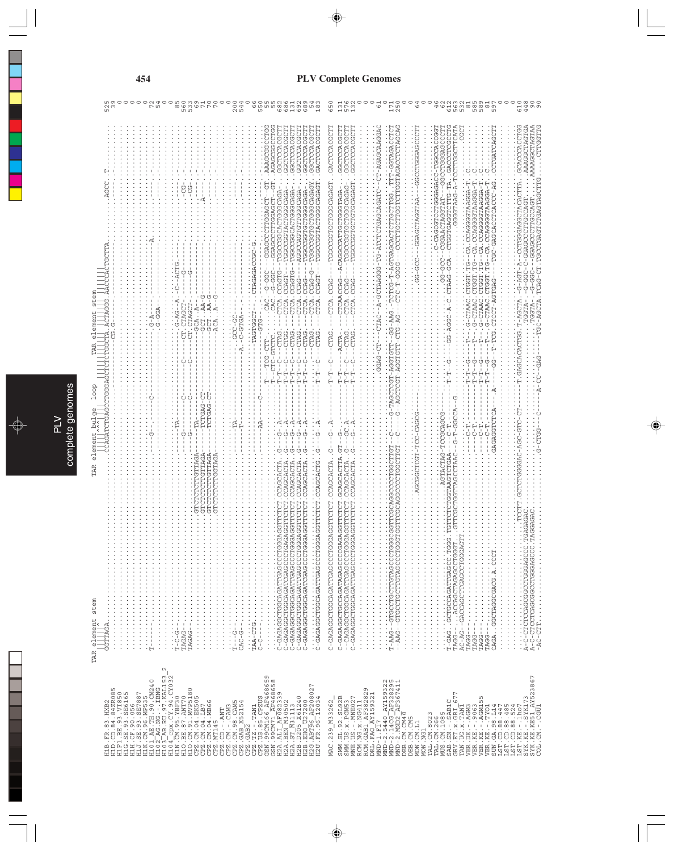| ღ<br>f.<br>Ċ<br>ì<br><b>Service Service</b><br>ī |
|--------------------------------------------------|
|--------------------------------------------------|

|                            |                         |                                                                                                                                                                                                                                                                                                                                                                                  | 56<br>53                                 | O                                                                                                      | 04                                                                            | O<br>55<br>$\frac{8}{6}$<br>$\frac{8}{6}$<br>$\frac{13}{6}$<br>$^{\circ}_{\circ}$<br>ru ru<br>ഥ യ                                                                                                                                                                      | Ğ5<br>57                                                                                                      | 17.7<br>O                                                                                                                                                                                                                                                                                                                                                                                                                                                                                                   | $\circ$                                  | 4<br>$\circ$<br>$-100$<br>5000<br>$\begin{matrix} 0 & 0 & 0 \\ 0 & 0 & 0 \\ 0 & 0 & 0 \end{matrix}$<br>53<br>$\infty$                                                                                                                                                                                                       | $\bar{5}$<br>44                                                                                                                         |
|----------------------------|-------------------------|----------------------------------------------------------------------------------------------------------------------------------------------------------------------------------------------------------------------------------------------------------------------------------------------------------------------------------------------------------------------------------|------------------------------------------|--------------------------------------------------------------------------------------------------------|-------------------------------------------------------------------------------|------------------------------------------------------------------------------------------------------------------------------------------------------------------------------------------------------------------------------------------------------------------------|---------------------------------------------------------------------------------------------------------------|-------------------------------------------------------------------------------------------------------------------------------------------------------------------------------------------------------------------------------------------------------------------------------------------------------------------------------------------------------------------------------------------------------------------------------------------------------------------------------------------------------------|------------------------------------------|-----------------------------------------------------------------------------------------------------------------------------------------------------------------------------------------------------------------------------------------------------------------------------------------------------------------------------|-----------------------------------------------------------------------------------------------------------------------------------------|
|                            |                         |                                                                                                                                                                                                                                                                                                                                                                                  |                                          |                                                                                                        |                                                                               | GACTCCACGCT<br>CHOUGCOUN<br>ひけひひひひひえの<br><b>GGCTCCACGCT</b><br>GGCTCCACGCT<br>GGCTCCACGCT<br>GCTCCACGCT<br><b>GUPUACHO</b><br>.GGCTCCACG                                                                                                                               | .GACTCCACGCT<br><b>LUBURULUBU</b><br>GCTCCACGCT<br>.GGCTCCACGCT<br>$\ddot{a}$ .                               |                                                                                                                                                                                                                                                                                                                                                                                                                                                                                                             |                                          | AHAUHHUUUHHUUH - 4 - UARHUUUU<br>ここり<br>CCTGATCAGCT                                                                                                                                                                                                                                                                         | AAAGGCTAGTGA<br>AAAAGCTAGTAA<br>GCACCACCTG                                                                                              |
|                            | AGCC                    |                                                                                                                                                                                                                                                                                                                                                                                  | 9<br>9<br>C                              |                                                                                                        |                                                                               | LU--LUURUULLUUUUKUU-<br><b>L-0-1</b><br>YOKOKUOOOHUOHOOUUODH--<br>- TORCOODDDHUADDDUUDDH -<br>- 45455555154555555555- - 5554550 . 45555 -<br>- CTCA, CCAGUOGOUDE-- - DHOKUU . KUHU<br>454055554555005555-<br>AUGUUUUHUUUUUUU<br>AUCOUPDEUPLOUDUNG-<br>HひひむひひHHひひひのよびひー | HURURUUHUHUUHUUUUUUH - -<br>Hひむむむひひひひ目ひひHひひひひひひトー<br>- CACACCOCHOUNDUOU<br>- KUKHUUUDHUUHHKUUUUKUK--UKUUKKUHU | ACCOLOGYTYCIC LIST<br>AGCACTCTTGCTTGG TTTT-GGTAGACCTCT<br>- CCCTTGCTTGGTCTTGGTAGACCTCTAGCAG<br>-ca-AAd - TcTcd-T-AdTeAdcAcTrigcTrieg                                                                                                                                                                                                                                                                                                                                                                        | .HUUUUKUUUHUUUU - - - KRHUUKHUUKUU - - - | UUUKUUUUH - UUKUKUUUHUUHUUUKU -<br>HUUUUKUUUHUUUU - - - HKHUUKHU KKUUU - -<br>$\frac{1}{2}$                                                                                                                                                                                                                                 | AHUAUAHUUUUUUUUU<br>HURUUUHHUUUURUU –<br>CTTGCCAGT                                                                                      |
|                            | AGGG                    |                                                                                                                                                                                                                                                                                                                                                                                  | $-ACTC$<br>ု<br>f,                       |                                                                                                        | CTAGAGACCGC-G                                                                 | -- UPACA.CA20-<br><b>UBB-B-JOED</b><br>CAC.-G-340.<br>CTCA.CCAG-G<br>CTCA.CCAGT<br>CTCA.CCAG<br>CTCA.CCAG                                                                                                                                                              | CTCA.CCAG<br>CTCA.CCAG<br>CTCA.CCAG                                                                           | -CLC-L-DC-5                                                                                                                                                                                                                                                                                                                                                                                                                                                                                                 | <b>CO-0-0</b>                            | UUU-UU                                                                                                                                                                                                                                                                                                                      | <b>AULUUUL LU</b><br>U-UUU-U----<br>$-9 - 9 - 1$<br>TCAG                                                                                |
| emen                       | Ř.                      | $-99$                                                                                                                                                                                                                                                                                                                                                                            | $-10-10-4$<br>CT.CTAGCT-<br>CTAGCT.<br>U | GCT.AA-G<br>GCT.AA-G<br>$-GCA. A-$<br>$-ACA$                                                           | $C-C-C-C$<br><b>ADID-0-</b>                                                   | -TAGTGGCT-<br>ロロー<br>CTAG<br>$-TCG-CTT$ .<br>CTGG<br>CTAG<br>CTAG<br>CTAG<br>CTAG<br>CTAG<br>-GLCLC                                                                                                                                                                    | CTAG<br>CTAG<br>CTAG<br>-ACTA<br>ł<br>ں<br>ا<br>U                                                             | -CTAC<br>ひ4‐ひLひ‐LLひLひひみ‐LひひLしひ4‐‐<br>$\cdots$ CGAG-CT-<br>GT-AGGTGTT                                                                                                                                                                                                                                                                                                                                                                                                                                        |                                          | 먹<br>$C - C$<br>ロー<br>ひりー                                                                                                                                                                                                                                                                                                   | A-LOG-U--REUDE-H-UDEURURUNG.<br>TGGTA                                                                                                   |
| loop<br>AAA17e<br>ement    | <b>CACCOLOURCHOLACA</b> |                                                                                                                                                                                                                                                                                                                                                                                  | U                                        | -TO-PAGE-CL<br>-TCTGAG-CT<br>$-TA$                                                                     |                                                                               | بم.<br>.<br>ひ<br>ひ                                                                                                                                                                                                                                                     | بم.<br>.<br>$A \cdot C \cdot A$<br>ά<br>Ü                                                                     | -TAG                                                                                                                                                                                                                                                                                                                                                                                                                                                                                                        |                                          | CAGAGGTCTCA<br>÷<br>턱<br>부<br>リー<br>ں<br>ا                                                                                                                                                                                                                                                                                  |                                                                                                                                         |
| $\vec{c}$<br><b>TAR</b>    |                         |                                                                                                                                                                                                                                                                                                                                                                                  |                                          | <b>AUALDETOFULURO</b><br>CTCTTGTRAGA<br>CTCTTGTTAGA<br><b>GALGOLLOHOHOHO</b><br><b>SECT</b><br>당<br>당단 |                                                                               | ひ<br>ひ<br>. CCAGCACTA.<br>CCAGCACTA<br>AGCACCACCACCACTA<br>CCAGCACTA<br>. CCAGCACTA                                                                                                                                                                                    | 5.<br>ά<br>GCAGCACTTA<br>CCAGCACTA<br>GGTTCHOAGCACHA                                                          | LULLUUULUUUUUUUULLU<br>CCTGGCTTGI                                                                                                                                                                                                                                                                                                                                                                                                                                                                           | <b>ACCOCOOOOG</b>                        | GTTAGCCTAAC--G-T-GGCCA<br>ひひむひひひし - ひえけひえけひえ<br>CTGGTAAGTCFAA-                                                                                                                                                                                                                                                              | U-UHU-UUA-UKUUUUHUHU                                                                                                                    |
|                            |                         |                                                                                                                                                                                                                                                                                                                                                                                  |                                          |                                                                                                        |                                                                               | C-GAGGCAGACAGATTGAGGGGAGGTTCT: CCAGCACAGCACTG<br>AGGTTCTCT.<br>AGGTTCTT                                                                                                                                                                                                | KHOKOOKOO : LOLOLLLOOKOOOLOOOKOLLKOKOOOLOOOKOKO-O<br><b>GGTTCTCT.</b>                                         |                                                                                                                                                                                                                                                                                                                                                                                                                                                                                                             |                                          | じしけい<br>$\frac{1}{2}$ $\frac{1}{2}$ $\frac{1}{2}$ $\frac{1}{2}$ $\frac{1}{2}$ $\frac{1}{2}$ $\frac{1}{2}$ $\frac{1}{2}$ $\frac{1}{2}$ $\frac{1}{2}$ $\frac{1}{2}$ $\frac{1}{2}$ $\frac{1}{2}$ $\frac{1}{2}$ $\frac{1}{2}$ $\frac{1}{2}$ $\frac{1}{2}$ $\frac{1}{2}$ $\frac{1}{2}$ $\frac{1}{2}$ $\frac{1}{2}$ $\frac{1}{2}$ |                                                                                                                                         |
| stem<br>$ell = len$<br>TAR | GGTTAGA                 |                                                                                                                                                                                                                                                                                                                                                                                  |                                          |                                                                                                        |                                                                               | C-GAGAGAGAGAGODOOGAGCHOOCOO<br>C-GAGAGAGCAGACOODOCACC-U<br>UUUUUUKUURGUUUUUUUUKUKU-U<br>- GAGAGGCTGAGATTGAGCCCCCG-<br>OUDUUDAUHHAUGUUDUHUUDAUAU-U<br>しし<br>O                                                                                                           | CACCOODDGORDACCOODDDDDGORD-O<br>CAGAGGAGAGAGODDDDOGCU--<br>C-GAGAGAGCAGACOODOCACC-U                           | $\begin{minipage}{0.9\textwidth} \begin{minipage}{0.9\textwidth} \begin{tabular}{@{}l@{}} \hline \multicolumn{2}{c}{\textbf{\textbf{0}}}\\ \hline \multicolumn{2}{c}{\textbf{\textbf{1}}}\\ \hline \multicolumn{2}{c}{\textbf{\textbf{2}}}\\ \hline \multicolumn{2}{c}{\textbf{\textbf{2}}}\\ \hline \multicolumn{2}{c}{\textbf{\textbf{3}}}\\ \hline \multicolumn{2}{c}{\textbf{\textbf{4}}}\\ \hline \multicolumn{2}{c}{\textbf{\textbf{4}}}\\ \hline \multicolumn{2}{c}{\textbf{\textbf{4}}}\\ \hline \$ |                                          | TAGG--ACCAGCTAGAGCCTGGGT<br>AC-AG--GACCAGCTTGAGCCTGGAG<br>.<br>$\begin{array}{c} \vdots \\ \vdots \\ \vdots \\ \vdots \end{array}$<br>$\vdots$                                                                                                                                                                              | A-c-creedederesagecre.<br>UUUUKUUUHUUUUUUUKUHUUHU-U-K<br>LLD-<br>$\begin{array}{c} \vdots \\ \vdots \\ \vdots \end{array}$<br><b>AC</b> |
|                            |                         | $\begin{tabular}{ll} \bf 1211. \text{ } \bf 132. \text{ } \bf 133. \text{ } \bf 143. \text{ } \bf 122. \text{ } \bf 133. \text{ } \bf 143. \text{ } \bf 134. \text{ } \bf 143. \text{ } \bf 134. \text{ } \bf 143. \text{ } \bf 143. \text{ } \bf 143. \text{ } \bf 143. \text{ } \bf 143. \text{ } \bf 143. \text{ } \bf 143. \text{ } \bf 143. \text{ } \bf 143. \text{ } \bf$ |                                          |                                                                                                        |                                                                               | CPZ.US.85.CPZUS<br>GSN.99CM166 AP468659<br>GSN.99CM71 AP468658<br>H2A.ALI_AF082339<br>L<br>H2G.ABT96_AF20802<br>4                                                                                                                                                      |                                                                                                               | MND-2.5440 AY159322<br>MND-2.14CG AF328295<br>MND-2.MND2 AF367411<br>DEB.CM.CM40<br>RCM.GAB1 AF382829<br>DRL.FAO_AY159321                                                                                                                                                                                                                                                                                                                                                                                   |                                          |                                                                                                                                                                                                                                                                                                                             | SYK.KE.-.SYK173<br>SYK.KE.KE31_AY523867<br>CGT1                                                                                         |
|                            |                         |                                                                                                                                                                                                                                                                                                                                                                                  |                                          |                                                                                                        | CPZ.CD.-.ANT<br>CPZ.CM.-.CAM3<br>CPZ.CM.98.CAM5<br>CPZ.GAB_X52154<br>CPZ.GABZ | H2A.BEN_M30502<br>H2A.ST_M31113<br>H2B.D205_X61240<br>H2B.EHO_U27200<br>H2B.EHO_U27200<br>H2U.FR.96.1203<br>$CPZ$ . $TZ$ . $-$ . $TAM1$                                                                                                                                | SMM.SL.92.SL92B<br>SMM.US.x.PGM53<br>MNE.US.-.MNE027<br>RCM.NG.x.NG411<br>MAC.239 M33262                      | $MID - 1. F\overline{17}$                                                                                                                                                                                                                                                                                                                                                                                                                                                                                   |                                          |                                                                                                                                                                                                                                                                                                                             | COL                                                                                                                                     |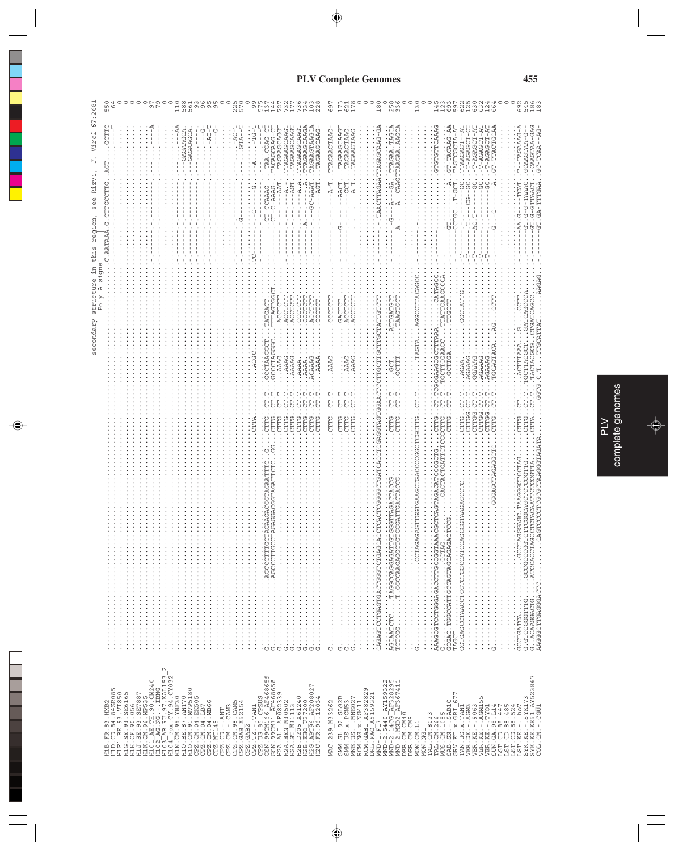|   | laouəɓ      |
|---|-------------|
|   |             |
|   |             |
|   |             |
| ĺ |             |
|   | ć<br>।<br>न |
|   |             |
|   |             |
|   |             |
|   |             |
|   |             |
|   |             |
|   | S<br>C<br>ï |
|   |             |
|   |             |
|   |             |

 $\overline{\Omega}$ 

| 550<br>579<br>1<br>1881<br>1981<br>93<br>consider<br>considered<br>225<br>570<br>144<br>7 7 7 7<br>7 7 7 7<br>1 7 7 7<br>:268<br>v<br>$\frac{1}{1}$<br>Ĺ∩                                                                                                                                                                                                                                                                                                                                                                            | 6<br>04888<br>0488<br><b>64488</b><br>1959<br>1959<br>621<br>178<br>258<br>336<br>625<br>125<br>6<br>5<br>0<br>0<br>0 0 4<br>0<br>0 5<br>0<br>130<br>.<br>७<br>59<br>$\overline{69}$<br>17<br>$\frac{8}{1}$<br>14<br>$\frac{2}{1}$                                                                                                                                                                                                                                                                                                                                                                                                                                                                                                                                                                                                                                                                                                                                                                                                                                                                                                                                                                                                                                                                                                                                                       |
|--------------------------------------------------------------------------------------------------------------------------------------------------------------------------------------------------------------------------------------------------------------------------------------------------------------------------------------------------------------------------------------------------------------------------------------------------------------------------------------------------------------------------------------|------------------------------------------------------------------------------------------------------------------------------------------------------------------------------------------------------------------------------------------------------------------------------------------------------------------------------------------------------------------------------------------------------------------------------------------------------------------------------------------------------------------------------------------------------------------------------------------------------------------------------------------------------------------------------------------------------------------------------------------------------------------------------------------------------------------------------------------------------------------------------------------------------------------------------------------------------------------------------------------------------------------------------------------------------------------------------------------------------------------------------------------------------------------------------------------------------------------------------------------------------------------------------------------------------------------------------------------------------------------------------------------|
| 57<br>UHUU.<br>$\cdots \cdots$<br>$-AA$<br>TACAGCAAG-CT<br>$-AC-T$<br>$GTA - T$<br>.-TAA.CGAG-C<br>TAGAGGAL<br>. TTAGAAGCAAGT<br>$-54 - 1 - 1 - 1$<br>TAGAAGCAAGT<br>TTAGAAGCAAG<br>-GAGAAGCA<br>-GAGAAGCA<br>י<br>י<br>じー<br><i>Virol</i><br>$\vdots$<br>ヮ                                                                                                                                                                                                                                                                          | $-T - T - AGAGGCT - AT$<br>$-T - T - AGAGGCT - AT$<br>GT-TACAAG-AA<br>TAGTCGCTA-AI<br>$-T - PGGAGCT - AT$<br>--TAGAAAG-A<br>. --- A --- CAAGTTAAGAA . AAGCZ<br>GT-TTACTGCAA<br>. TAGAAGTAAGCZ<br>TTAAGAGT--A1<br>.-T-AGAGCT-CT<br>. TAGAAGCAAG<br>TTAGAAGCAAGI<br>-GCTTAGAAGTAAG<br>TTAGAAGTAAG<br>. TAGAAGTAAG<br><b>CTGTGTTCAAA</b><br>$G - T C A A - AG$<br>.TAGAAGCAAG<br>-GCAAGTAA-G-                                                                                                                                                                                                                                                                                                                                                                                                                                                                                                                                                                                                                                                                                                                                                                                                                                                                                                                                                                                               |
| LOK: : SLLOODLLO: S、KKKLKK: O:<br>Rizvi<br>$--AAT$ .<br>CT-CCAAAG-.<br>$-A.A.$<br>-AGT.<br>$-A. -$<br>-CT-C-AAAG<br>see                                                                                                                                                                                                                                                                                                                                                                                                              | <b>GT.G-ACTARY-TOAAC-0.</b><br>- TAACTTAGAATTAGAGCAAG-GA<br>É.<br>$\ddot{\phantom{0}}$<br>$- A - T$ .<br>$-00 - 0 - 0$<br>: ن<br>- ن<br>GT.G-G-TAAAC.<br>A.<br>-ci<br>GT GA-TTTGAA<br>CO-<br>-GC-AAAT<br>$- A - T$<br><b>AACT</b><br><b>LUG-L.UGLUU-</b><br>$-$ -TCAT<br>CO-<br>-AGT<br>ι<br>Ρ<br>ţ<br>AC.T.<br>C.<br>AA<br>$\frac{1}{\Gamma}$ .<br>$\frac{1}{\sqrt{2}}$                                                                                                                                                                                                                                                                                                                                                                                                                                                                                                                                                                                                                                                                                                                                                                                                                                                                                                                                                                                                                 |
| region<br>this<br>signal<br>¤Ė.                                                                                                                                                                                                                                                                                                                                                                                                                                                                                                      | $\frac{1}{\sqrt{2}}$<br>$\mathsf{H}$<br>ь                                                                                                                                                                                                                                                                                                                                                                                                                                                                                                                                                                                                                                                                                                                                                                                                                                                                                                                                                                                                                                                                                                                                                                                                                                                                                                                                                |
| structure<br>Poly A<br>TTTAGTGGCT<br>CCCTCTT<br>.ACCTOTTI<br>.ACCTCTT<br><b>RCCTCTT</b><br>TATGACT                                                                                                                                                                                                                                                                                                                                                                                                                                   | .AGGCCTTACAGCC<br>AAGAC<br>AAA CATAGC<br>. TTATTGAAGCCC<br>.GGCTATTG<br>TAAGTGCT<br>ITDC<br>CCCLCLL<br>. ACCTCTT<br>.ACCTCTT<br>CCCLCLL<br>$\cdots$ ccm<br>ACCTCTI<br>GACTCT<br>CCCLCI<br><b>LDOCCLI</b> .<br>$\vdots$<br>$\vdots$<br>$. AG$ .                                                                                                                                                                                                                                                                                                                                                                                                                                                                                                                                                                                                                                                                                                                                                                                                                                                                                                                                                                                                                                                                                                                                           |
| secondary<br>CCCCHAGGC<br>CCCTAAGGCT<br>AAAG<br>. AAAG.<br>.ACGC<br>AAAAG<br>AAAA.                                                                                                                                                                                                                                                                                                                                                                                                                                                   | . TGCTTACGCT. . GATCAGCCCA<br>.TACTACGCGCTGATCAGCC<br>.<br>CCTTGCTTGCTTGCTATTGTCT<br>TRTGCATTAT<br>.ACTTTAAAC<br>. CT.TSAASOCHTTAAA<br>AATLIOSOAASOSAAAG<br>TAGTA<br>$\frac{1}{100}$<br>TGCAGTAC<br><b>ACTTGA</b><br>AGAAAG.<br>.AAAG<br><b>CCTTT</b><br>GGAAAG<br><b>ACAAAG</b><br><b>AAAG</b><br><b>PAAG</b><br>AGAAAG<br>AGAAAG<br>AAAA.<br>AAAA<br>AGAA.<br>CHU C - U - F -<br>$\vdots$                                                                                                                                                                                                                                                                                                                                                                                                                                                                                                                                                                                                                                                                                                                                                                                                                                                                                                                                                                                              |
| …<br>5                                                                                                                                                                                                                                                                                                                                                                                                                                                                                                                               | T. TD.<br>$\vdots$ CT $\vdots$ T<br>T. TD.<br>$T \cdot T$ .<br>T. TD.<br>「ここ<br>ロ・ロ<br>こ<br>CT.T<br>Ę<br>н<br>틪<br>5<br>$\cdot$ . CT.                                                                                                                                                                                                                                                                                                                                                                                                                                                                                                                                                                                                                                                                                                                                                                                                                                                                                                                                                                                                                                                                                                                                                                                                                                                    |
| $\frac{1}{10}$<br>CTTG<br>CTTG<br>CTTG<br>CTTG<br><b>CTTG</b><br>CTTA                                                                                                                                                                                                                                                                                                                                                                                                                                                                | CTCGAGTAGTGAAC<br><b>L.HO.OG.CL</b><br><b>L. L. CL. CL. L</b><br>CTTGG.CT.T<br>CTTGG.CT.T<br>CTTA.<br>CTTG<br>$\frac{1}{2}$<br><b>DILDC</b><br>CTTG.<br>CTTG.<br>CTTG<br>CTTG<br>CTTG<br>CTTG<br>CTTG<br><b>CTTG</b><br>GGCTTG<br>CTTG<br>CTTG<br>CTTG<br>CTTG                                                                                                                                                                                                                                                                                                                                                                                                                                                                                                                                                                                                                                                                                                                                                                                                                                                                                                                                                                                                                                                                                                                           |
| $\ddot{5}$<br>$\ddot{a}$<br>AGAGGACGTAGATTCTC<br>AGAAGACGTAGAATTC                                                                                                                                                                                                                                                                                                                                                                                                                                                                    | <b>CHLOULUUUUUUUQGULUUAGULUULLUKU</b><br>. CAGTCCCCCCCCAAGGTAGATA<br>HUUUQAURIUU<br>CTTCGGCAGCTCCTCGTG.<br>URUHUDUUUDULURUHUU<br><b>CAAGGOTOURE</b><br>CTCHACAATTCCGTA.<br>$\begin{tabular}{c} \begin{tabular}{c} \multicolumn{1}{c}{\textbf{A}\textbf{G}\textbf{A}\textbf{A}\textbf{A}\textbf{A}\textbf{C}\textbf{B}\textbf{C}\textbf{C}} & \multicolumn{1}{c}{\textbf{A}\textbf{A}\textbf{A}\textbf{A}\textbf{A}} & \multicolumn{1}{c}{\textbf{A}\textbf{A}\textbf{A}} & \multicolumn{1}{c}{\textbf{A}\textbf{A}} & \multicolumn{1}{c}{\textbf{A}} & \multicolumn{1}{c}{\textbf{A}} & \multicolumn{1}{c}{\textbf{A}} & \multicolumn{1}{c}{\textbf$<br>GAGTAC<br>CCCCACACCCTC<br>UU<br>UU<br>UU<br>crece<br>Ū<br>CAGTCCTGAGTGALTERTTGAGCA<br>${\scriptstyle{\begin{array}{l} \begin{array}{c} \begin{array}{c} \begin{array}{c} \begin{array}{c} \begin{array}{c} \end{array} \\ \begin{array}{c} \end{array} \\ \begin{array}{c} \end{array} \\ \begin{array}{c} \end{array} \\ \begin{array}{c} \end{array} \\ \begin{array}{c} \end{array} \\ \begin{array}{c} \end{array} \\ \begin{array}{c} \end{array} \\ \begin{array}{c} \end{array} \\ \begin{array}{c} \end{array} \\ \begin{array}{c} \end{array} \\ \begin{array}{c} \end{array} \\ \begin{array}{c} \end{array} \\ \begin{array}{c} \end{array} \\$<br>$\begin{array}{c} \vdots \\ \vdots \\ \vdots \end{array}$<br>TAGCT |
| $\sim$<br>$\begin{tabular}{ll} \bf H1B. \tt{FR}, 83. \tt{IKB2}\\ \bf H1B. \tt{1}, 101.93, 0.0180\\ \bf H1B. \tt{1}, 101.93, 0.0180\\ \bf H1B. \tt{1}, 201.93, 0.0186\\ \bf H1B. \tt{1}, 201.93, 0.0186\\ \bf H1B. \tt{1}, 201.93, 0.0186\\ \bf H1B. \tt{1}, 201.94, 0.0181\\ \bf H1B. \tt{1}, 202.94, 0.0181\\ \$<br>CPZ.TZ. – TANI<br>CPZ.US.85.CPZUS<br>CSN.99CM166 AF466659<br>GSN.91CM166 AF46658<br>H2A.BEN_M3052339<br>H2A.BEN_M30502<br>CPZ.CD. - . ANT<br>CPZ.CM. - . CAM3<br>CPZ.CM. 98. CAM5<br>CPZ.GAB_X52154<br>CPZ.GAB2 | ひ<br>$\begin{array}{l} \tt YK.\,KE. - .\,SYK173 \\ \tt YK.\,KE1.\,K11\_AY5223867 \end{array}$<br>MWD-1, 1777<br>MWD-2, 15440 AX15 93325<br>MWD-2, 15440 AX15 93325<br>MWD-2, 1MWD2 AR36 7411<br>DBB . CM . CM40<br>DBB . CM . CM . LM5<br>MORI, CM . LM<br>$\Gamma$<br>H2A.ST M31113<br>H2B.D2O5 X61240<br>H2B.RHO U27200<br>H2C.ABT96 AF208027<br>H2U.FR.96.12034<br>G<br>SMM. SL. 92. SL92B<br>SMM. US. x. PCM53<br>NME. US. - MNB027<br>NCM. US. x. MNB027<br>RCM. USA. X. AF3432<br>RCM. FAO_AY159321<br>MAC.239 M33262<br>SUN. CA. 98. L14<br>LST. CD. 88. 447<br>LST. CD. 88. 485<br>LST. CD. 88. 524<br>LST. KE. - . 1.bo7<br>.CGU1<br>SYK.KE.<br>MON.NG1<br>COL.CM.<br>τņ                                                                                                                                                                                                                                                                                                                                                                                                                                                                                                                                                                                                                                                                                                        |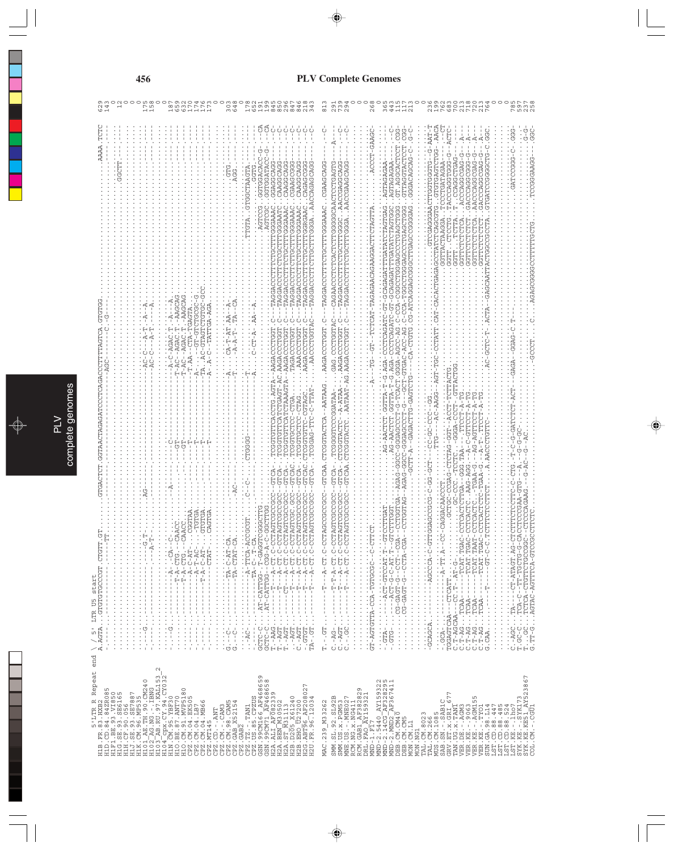| $7 - 5$<br>6 1<br>4<br>6 1<br>077<br>$\sim$ $\sim$ $\sim$<br>30<br>LCLC                                                                                                                                                                     | 4594<br>ഥ ത ത<br>Ξ<br>4<br>${}^{\circ}$<br>$\infty$<br>${}^{\circ}$<br>$\infty$                                                                                                | 26<br>品<br>44<br>ひひひ                                                                                                                                            | 21268<br>2126<br>OHANA6                                                                                                                                                                                                                                                                                                                                                                                                                                       |                        |
|---------------------------------------------------------------------------------------------------------------------------------------------------------------------------------------------------------------------------------------------|--------------------------------------------------------------------------------------------------------------------------------------------------------------------------------|-----------------------------------------------------------------------------------------------------------------------------------------------------------------|---------------------------------------------------------------------------------------------------------------------------------------------------------------------------------------------------------------------------------------------------------------------------------------------------------------------------------------------------------------------------------------------------------------------------------------------------------------|------------------------|
| AAAA                                                                                                                                                                                                                                        | $\frac{1}{2}$<br>ပု<br>CGAAGCGG<br>.CAAGGCAG<br>CTAAGTA<br>CAGAGCG                                                                                                             | $-GAA$<br>GTTAGTOGHU.<br>-- 10-5400A0000                                                                                                                        | ZJ KR . - JOHU LUKULULU ULUU JUKULUL KHU JUKUKUKUL<br>UHUA--U-UUUUUUUUUU<br>- LAY- ウ-- CLCCCLCCLLUYACCCCCCLLO<br>CCCAGGCGAG-G--.A<br>・ひーひHひひひひひひひH式びHひ<br>AACCCAGGCGAG<br>COCACUNG                                                                                                                                                                                                                                                                            | GATCCGGG<br>TCCGGGAAGG |
|                                                                                                                                                                                                                                             | URURDDHUD UUULUR.<br>AGTCGC.CGTGGATAC<br>CTTTGGAAACCAAACOOLTLEU<br>CORCORRO  CARROCOFFFFORFO<br><b>CORDORRO DEREDOOFFEDO</b><br>TTTGGGAAAC.<br>CTTCHTTTTTTTSAAAC<br>TTTGGRGAAC | <b>UHUAUHUUHUAAUUUUUUHHUHUAU</b><br>.AACCGAGG                                                                                                                   | GGTTACTAAGGATCCCTGATAGAA-<br>CTTATCOAGGCTGAG<br>$\begin{array}{ll} \texttt{GGTT}\ .\ .\ \texttt{TCTTA}\ .\ \texttt{T}\ .\\ \texttt{GGTTCTCTCTCA}\ .\ \texttt{A}\end{array}$<br>urourorub<br>GGTTCTCTCTCA<br><b>FOLDEDHEDD</b><br>TRACTOURNE<br>HUHUHHOO                                                                                                                                                                                                       |                        |
|                                                                                                                                                                                                                                             | SPRUSRORDURRRPSPEHEDSHEDEFDOORSPRE<br>TAGGAC<br>TAGGA<br>TAGGA<br>TAGGA<br>TAGGA<br>TAGGA                                                                                      | TAGGACCCTTTTUGGAAAACTTTUUUCAGGAAG<br>TAGGACCCCTTTTCTTTCCTCCHOUNAGGACCACC<br>- - TCTCAT - TAGAGAACAGAAGGACTTCTAGTT<br>CAGAA                                      |                                                                                                                                                                                                                                                                                                                                                                                                                                                               |                        |
| - - A-C-AGAC.T. - A-- - A.<br>T-AC--AGAC.T. - AAGCAG<br>T-AC--AGAC.T. - AAGCAG<br><b>CHOLDIS</b><br>TA. . AC-GTAGTCTGTG<br>UUUUHUHU - IIU - -<br>--TATTGA-AGA<br>-T.AA--CTA-TGAGTA<br>$C_A-T-AT.AA$<br>$-1 - A - A - T - T - T$             | .AACCCTGGTAC<br>. AAACCCTGGT<br>HUUHUUUKUKK--<br>せひひけひひりえのえば - - -<br>. AAGACCTGGI<br>TAGACCTGGI                                                                               | 000 · LUULU KUDDK · LD · · DDDLU DKDLUUD KDDDLUUDDU - KUU - U · DK - UUDK - KDDD · LUKUL - D - LUUUDKDD -<br>U<br>CCCTGGTA<br>PAGACCTGGT.<br>CCCTG              | -CCTATT.CAT                                                                                                                                                                                                                                                                                                                                                                                                                                                   | UGUAC                  |
| $\vdots$                                                                                                                                                                                                                                    | TCGGTGTTCATCRGT-AC.AAGACCCTGGT<br>-CGTAGC<br><b>TGA</b><br>C-CTAG                                                                                                              | . AAGA<br>$-4 - 2 - 2T$                                                                                                                                         | UUH-HUA--UUKT-V--<br>$CT - A - TG$                                                                                                                                                                                                                                                                                                                                                                                                                            |                        |
| AUHOKHHHHUUUKOKUHUUUHKOKUKHUKKHUU .                                                                                                                                                                                                         | TCGTGTCACCTG.AGTA<br>AUCORANTOFIONACIA<br>LYIL-U-ULL-UYUUUL<br>ひし<br><b>LOGGLODD</b><br>ひけひひけひひけ<br>ひらせのりのひらし・りねりはの                                                            | GTCAA.CTCGGTACT-AATAAT-AG.AAGACCCCT<br>CTCGGTACTCA-AATAAG<br>POGGGGCCCCGATAA<br>CGGTA<br><b>COCC</b>                                                            | G-CCC.-TCCTC-GGGA-CCCT---GTTACTE<br>CTCACTCTTGA--GGG .TAA----TTCCT-A-TG<br>CTCACTCAAG-AGG .--A-C-GTTCCT-A-TG<br>ġ<br>.<br>--AG-DAT-<br>$- - - - - - - - -$<br>A.AACCTGTT<br>$\cdots$ TTG-                                                                                                                                                                                                                                                                     | UU-U-U                 |
| <b>FULLOUT</b>                                                                                                                                                                                                                              | GTCAC<br>GTCA-<br>GTCA-<br>GTCA<br><b>GTCA</b>                                                                                                                                 | CAG-DED<br>GTCAA.<br>GTCA<br>S<br>UUUUUUUU<br>CCTGGTAG                                                                                                          | -TGAA-G<br>CTCACTCTC-TGAA-G<br>LUUURRURUURU-U<br>CTCACTC                                                                                                                                                                                                                                                                                                                                                                                                      | CTCCCAGAAG             |
| TGTGZ<br>GTGTG<br>GGTA<br>AGTG.                                                                                                                                                                                                             | UUUUHUKH<br>TAGTCGC                                                                                                                                                            | <b>LAGTCGC</b>                                                                                                                                                  | $\vdots$                                                                                                                                                                                                                                                                                                                                                                                                                                                      | しもしもし                  |
| HIR PR S LITR R Repeat end \ / S LITR US start<br>HIR PR S LITR R Repeat end \ / S LITR US start<br>HIR CM 38 , 884,760<br>HIR CM 38 , 884,760<br>HIR CM 36 , MP53 , 87<br>HIR CM 36 , MP53 , 87<br>HIR CM 36 , MP53 , 87<br>HIR CM 36 , MP |                                                                                                                                                                                | $-1 - T - 2 - CT$ . C-C<br>$\frac{1}{1}$                                                                                                                        |                                                                                                                                                                                                                                                                                                                                                                                                                                                               |                        |
|                                                                                                                                                                                                                                             |                                                                                                                                                                                | $\mathbf{T}$ , $-$ , GT , , , , –                                                                                                                               | $\vdots$<br>$\vdots$                                                                                                                                                                                                                                                                                                                                                                                                                                          | $\vdash$               |
|                                                                                                                                                                                                                                             | $\overline{\phantom{a}}$                                                                                                                                                       | MND-1.PT7<br>MND-2.5440 AY159322<br>MND-2.5440 AY159322<br>MND-2.MND2_AP367411<br>DBB.CM.CM40<br>MON.CM.LCM<br>$\mathbf{\underline{\square}}$<br>$\overline{ }$ | $\begin{array}{l} \text{NOW}, \text{IGI}, \text{ICI}, \text{ICI}, \text{ICI}, \text{ICI}, \text{ICI}, \text{ICI}, \text{ICI}, \text{ICI}, \text{ICI}, \text{ICI}, \text{ICI}, \text{ICI}, \text{ICI}, \text{ICI}, \text{ICI}, \text{ICI}, \text{ICI}, \text{ICI}, \text{ICI}, \text{ICI}, \text{ICI}, \text{ICI}, \text{ICI}, \text{ICI}, \text{ICI}, \text{ICI}, \text{ICI}, \text{ICI}, \text{ICI}, \text{ICI}, \text{ICI}, \text{ICI}, \text{ICI}, \text{$ | .cep1                  |
|                                                                                                                                                                                                                                             | H2A, BEN M31.552<br>H2A, ST M31.113<br>H2B, D2O5 X61240<br>H2G, ABT96 AF208027<br>H2C, ABT96 AF208027<br>H2U, FR, 96, 12034                                                    | RCM.NG.x.NG411<br>RCM.GAB1 AF382829<br>DRL.FAO AY159321<br>SMM. SL. 92. SL92B<br>SMM. US. x. PGM53<br>MNE. US. - . MNE027<br>MAC.239 M33262                     |                                                                                                                                                                                                                                                                                                                                                                                                                                                               | COL.CM.                |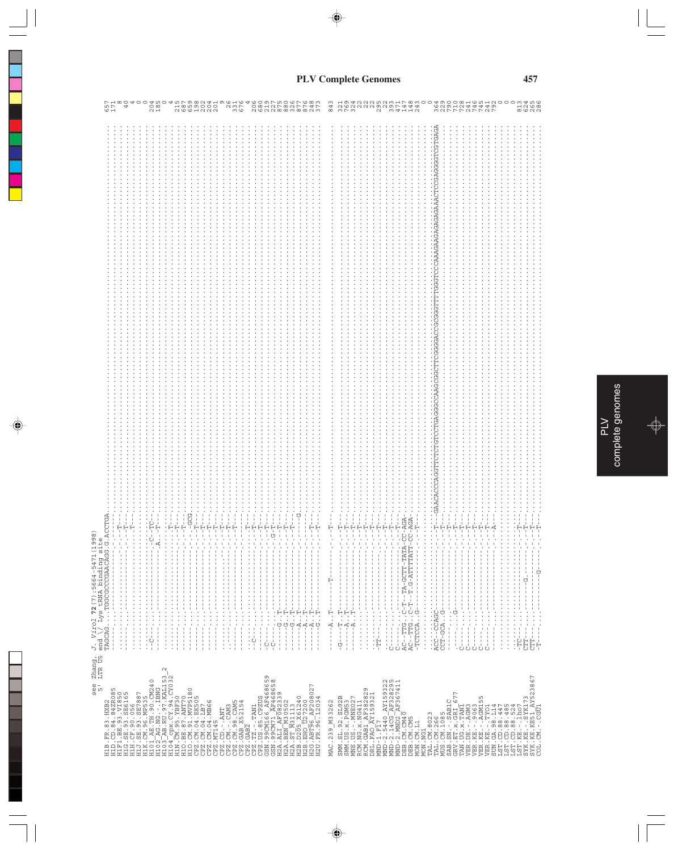| ě<br>≔ |  |
|--------|--|
|--------|--|

| L 4 000<br>H 004 004 100<br>65<br>17<br>$\sim$ $-1$                                                                                                                                                                                                                                                                                                                                                                                             | m W<br><b>NO GUNUM</b>                                                                                                                                                                                                                                                                                                                                                                                                                                                                                                                                                                                                                                                                                                                                                   | GOOT MOWT GO M<br>O W H N F W N F F 4 F<br>N 6 N N 8 8 9 M 8 8 9 M 7                                                                                                                                                                                           | 194222523178300<br>4<br>$\infty$                                                                                                                                                                                                                                                                                                                                                                                                                                                                                                                                                                                                                                                                                                                                                                                                                                                                                                                                                 | NULLUULLUL 800UU<br>PUNUHUAAAD 4000<br>400004004400000400                                                                                                                                                                                                                                                                                                                                                                                                                                     |
|-------------------------------------------------------------------------------------------------------------------------------------------------------------------------------------------------------------------------------------------------------------------------------------------------------------------------------------------------------------------------------------------------------------------------------------------------|--------------------------------------------------------------------------------------------------------------------------------------------------------------------------------------------------------------------------------------------------------------------------------------------------------------------------------------------------------------------------------------------------------------------------------------------------------------------------------------------------------------------------------------------------------------------------------------------------------------------------------------------------------------------------------------------------------------------------------------------------------------------------|----------------------------------------------------------------------------------------------------------------------------------------------------------------------------------------------------------------------------------------------------------------|----------------------------------------------------------------------------------------------------------------------------------------------------------------------------------------------------------------------------------------------------------------------------------------------------------------------------------------------------------------------------------------------------------------------------------------------------------------------------------------------------------------------------------------------------------------------------------------------------------------------------------------------------------------------------------------------------------------------------------------------------------------------------------------------------------------------------------------------------------------------------------------------------------------------------------------------------------------------------------|-----------------------------------------------------------------------------------------------------------------------------------------------------------------------------------------------------------------------------------------------------------------------------------------------------------------------------------------------------------------------------------------------------------------------------------------------------------------------------------------------|
|                                                                                                                                                                                                                                                                                                                                                                                                                                                 |                                                                                                                                                                                                                                                                                                                                                                                                                                                                                                                                                                                                                                                                                                                                                                          |                                                                                                                                                                                                                                                                |                                                                                                                                                                                                                                                                                                                                                                                                                                                                                                                                                                                                                                                                                                                                                                                                                                                                                                                                                                                  | CGTGAGA<br><b>GGE</b><br><b>CCGAGG</b>                                                                                                                                                                                                                                                                                                                                                                                                                                                        |
|                                                                                                                                                                                                                                                                                                                                                                                                                                                 |                                                                                                                                                                                                                                                                                                                                                                                                                                                                                                                                                                                                                                                                                                                                                                          |                                                                                                                                                                                                                                                                |                                                                                                                                                                                                                                                                                                                                                                                                                                                                                                                                                                                                                                                                                                                                                                                                                                                                                                                                                                                  | CCCAAAGAAGAGAGAGAAAACT                                                                                                                                                                                                                                                                                                                                                                                                                                                                        |
|                                                                                                                                                                                                                                                                                                                                                                                                                                                 |                                                                                                                                                                                                                                                                                                                                                                                                                                                                                                                                                                                                                                                                                                                                                                          |                                                                                                                                                                                                                                                                |                                                                                                                                                                                                                                                                                                                                                                                                                                                                                                                                                                                                                                                                                                                                                                                                                                                                                                                                                                                  | $\mathcal{L}^{\mathsf{P}}$<br>9<br>ひ                                                                                                                                                                                                                                                                                                                                                                                                                                                          |
|                                                                                                                                                                                                                                                                                                                                                                                                                                                 |                                                                                                                                                                                                                                                                                                                                                                                                                                                                                                                                                                                                                                                                                                                                                                          |                                                                                                                                                                                                                                                                |                                                                                                                                                                                                                                                                                                                                                                                                                                                                                                                                                                                                                                                                                                                                                                                                                                                                                                                                                                                  | ÿ<br>Ū<br>Ū<br>GGGAC<br>ğ                                                                                                                                                                                                                                                                                                                                                                                                                                                                     |
|                                                                                                                                                                                                                                                                                                                                                                                                                                                 |                                                                                                                                                                                                                                                                                                                                                                                                                                                                                                                                                                                                                                                                                                                                                                          |                                                                                                                                                                                                                                                                |                                                                                                                                                                                                                                                                                                                                                                                                                                                                                                                                                                                                                                                                                                                                                                                                                                                                                                                                                                                  | ۰Ĕ<br>ひひひ<br>GAGGGCCAAG                                                                                                                                                                                                                                                                                                                                                                                                                                                                       |
|                                                                                                                                                                                                                                                                                                                                                                                                                                                 |                                                                                                                                                                                                                                                                                                                                                                                                                                                                                                                                                                                                                                                                                                                                                                          |                                                                                                                                                                                                                                                                |                                                                                                                                                                                                                                                                                                                                                                                                                                                                                                                                                                                                                                                                                                                                                                                                                                                                                                                                                                                  | 5<br>U<br>5<br>Ĕ<br>5                                                                                                                                                                                                                                                                                                                                                                                                                                                                         |
|                                                                                                                                                                                                                                                                                                                                                                                                                                                 | - GCG                                                                                                                                                                                                                                                                                                                                                                                                                                                                                                                                                                                                                                                                                                                                                                    | C<br>п                                                                                                                                                                                                                                                         |                                                                                                                                                                                                                                                                                                                                                                                                                                                                                                                                                                                                                                                                                                                                                                                                                                                                                                                                                                                  | C<br>ŏ<br>GAACACCCA                                                                                                                                                                                                                                                                                                                                                                                                                                                                           |
| J. Virol 72(7):5664-5471(1998)<br>end \/ Lys tRNA binding site<br>TAGCAGTGGCGCCCGAACAGG.G.ACCTGA<br>Н<br>FЕ<br>J.<br>$\frac{1}{1}$                                                                                                                                                                                                                                                                                                              | $\vdash$<br>$\mathbb{H}$<br>$\mathbb{H}$<br>н<br>$\mathsf{H}$<br>н<br>н<br>Н<br>н<br>$\frac{1}{4}$<br>$\cdot$<br>Ţ<br>t<br>t<br>$\frac{1}{1}$<br>÷<br>÷<br>$\mathbf{I}$<br>$\frac{1}{2}$<br>$\begin{bmatrix} 1 & 0 & 0 & 0 \\ 0 & 1 & 0 & 0 \\ 0 & 0 & 0 & 0 \\ 0 & 0 & 0 & 0 \\ 0 & 0 & 0 & 0 \\ 0 & 0 & 0 & 0 \\ 0 & 0 & 0 & 0 \\ 0 & 0 & 0 & 0 & 0 \\ 0 & 0 & 0 & 0 & 0 \\ 0 & 0 & 0 & 0 & 0 \\ 0 & 0 & 0 & 0 & 0 & 0 \\ 0 & 0 & 0 & 0 & 0 & 0 \\ 0 & 0 & 0 & 0 & 0 & 0 \\ 0 & 0 & 0 & 0 & 0 & 0 \\ 0 & 0 & 0 & 0 & $<br>$\begin{array}{c} \begin{array}{c} \uparrow \\ \downarrow \\ \downarrow \end{array} & \begin{array}{c} \downarrow \\ \downarrow \\ \downarrow \end{array} & \begin{array}{c} \downarrow \\ \downarrow \\ \downarrow \end{array} \end{array}$ | 학부<br>$\mathbb{H}$<br>н<br>н<br>ь<br>۴<br>÷<br>ן<br>ט<br>$\frac{1}{1}$<br>Ŧ<br>٠<br>٠<br>$\blacksquare$<br>$\vdots$<br>$\frac{1}{1}$<br>$\frac{1}{1}$<br>j<br>ŧ<br>$\frac{1}{4}$<br>$\frac{1}{4}$<br>÷,<br>$\frac{1}{4}$<br>$\frac{1}{4}$<br>÷<br>$\mathbf{I}$ | $\begin{array}{c}\n 2C - A G A \\  2C - A G A \\  -T -T\n\end{array}$<br>н<br>н<br>н<br>Н<br>HHH<br>е<br>е<br>⊢<br>$\frac{1}{4}$<br>J,<br>J,<br>÷<br>AC--TTGC-T--TA-GCTT-TATE<br>AC--TTGC-T--T.G-ATTTTATT-C<br>$\frac{1}{1}$<br>ł<br>ł<br>$\cdot$<br>$\vdots$<br>$-1$ + $-1$ + $-1$ + $-1$ + $-1$<br>---------<br>$\frac{1}{1}$<br>$\frac{1}{1}$<br>$\begin{bmatrix} 1 & 0 & 0 & 0 \\ 0 & 1 & 0 & 0 \\ 0 & 0 & 0 & 0 \\ 0 & 0 & 0 & 0 \\ 0 & 0 & 0 & 0 \\ 0 & 0 & 0 & 0 \\ 0 & 0 & 0 & 0 \\ 0 & 0 & 0 & 0 & 0 \\ 0 & 0 & 0 & 0 & 0 \\ 0 & 0 & 0 & 0 & 0 \\ 0 & 0 & 0 & 0 & 0 & 0 \\ 0 & 0 & 0 & 0 & 0 & 0 \\ 0 & 0 & 0 & 0 & 0 & 0 \\ 0 & 0 & 0 & 0 & 0 & 0 \\ 0 & 0 & 0 & 0 & $<br>ł<br>$\frac{1}{2}$<br>ł<br>ŧ<br>ţ<br>ł<br>$\frac{1}{1}$<br>I                                                                                                                                                                                                                                 | $\cdot \vdash \vdash$<br>FF<br>66 F<br>н<br>е<br>е<br>н<br>÷Τ<br>÷<br>f,<br>÷<br>÷<br>÷<br>$\overline{\phantom{a}}$<br>$\blacksquare$<br>ŀ<br>ŀ<br>f,<br>.<br>.<br>$- - - - - - - - - - -$<br>$-1 - 5 - 1$<br>ł<br>$\frac{1}{1}$<br>$\frac{1}{1}$<br>$\frac{1}{4}$<br>$\frac{1}{2}$ , $\frac{1}{2}$ , $\frac{1}{2}$ , $\frac{1}{2}$ , $\frac{1}{2}$ , $\frac{1}{2}$ , $\frac{1}{2}$<br>$\frac{1}{2}$<br>$\frac{1}{4}$<br>Ă,                                                                   |
| $\cdot$<br>$\begin{bmatrix} 1 \\ 1 \\ 1 \\ 1 \\ 1 \end{bmatrix}$<br>٠<br>J.<br>f,<br>$\begin{array}{c} \rule{0.2cm}{0.15mm} \rule{0.2cm}{0.15mm} \rule{0.2cm}{0.15mm} \rule{0.2cm}{0.15mm} \rule{0.2cm}{0.15mm} \rule{0.2cm}{0.15mm} \rule{0.2cm}{0.15mm} \rule{0.2cm}{0.15mm} \rule{0.2cm}{0.15mm} \rule{0.2cm}{0.15mm} \rule{0.2cm}{0.15mm} \rule{0.2cm}{0.15mm} \rule{0.2cm}{0.15mm} \rule{0.2cm}{0.15mm} \rule{0.2cm}{0.15mm} \rule{$<br>J. | $\frac{1}{2}$<br>$\frac{1}{2}$<br>Î<br>$\frac{1}{1}$<br>$\frac{1}{1}$<br>$\frac{1}{1}$<br>$\frac{1}{1}$<br>ţ<br>Î<br>1<br>$\frac{1}{1}$<br>I<br>ı<br>$\begin{array}{c} \hline \end{array}$<br>J.<br>$\overline{\phantom{a}}$<br>٠<br>-                                                                                                                                                                                                                                                                                                                                                                                                                                                                                                                                   | $\frac{1}{2}$<br>$\ddot{\cdot}$<br>Ť<br>ł<br>$\frac{1}{2}$<br>$\mathbf{I}$<br>$\mathbf{I}$<br>$\,$ I<br>$\overline{\phantom{a}}$<br>◡<br>$\overline{\phantom{a}}$                                                                                              | $-TCTCCA$ G<br>$\begin{array}{cccc}\n & -1 & -1 & -1 \\  & -1 & -1 & -1 \\  & -1 & -1 & -1\n\end{array}$<br>É.<br>$\frac{1}{2}$ $\frac{1}{2}$ $\frac{1}{2}$ $\frac{1}{2}$ $\frac{1}{2}$ $\frac{1}{2}$ $\frac{1}{2}$ $\frac{1}{2}$ $\frac{1}{2}$ $\frac{1}{2}$ $\frac{1}{2}$ $\frac{1}{2}$ $\frac{1}{2}$ $\frac{1}{2}$ $\frac{1}{2}$ $\frac{1}{2}$ $\frac{1}{2}$ $\frac{1}{2}$ $\frac{1}{2}$ $\frac{1}{2}$ $\frac{1}{2}$ $\frac{1}{2}$<br>$\vdots$<br>$\vdots$<br>4<br>$\frac{1}{2}$<br>÷<br>$-$ TT $\sim$ $-$<br>$\begin{array}{c} \rule{0.2cm}{0.15mm} \rule{0.2cm}{0.15mm} \rule{0.2cm}{0.15mm} \rule{0.2cm}{0.15mm} \rule{0.2cm}{0.15mm} \rule{0.2cm}{0.15mm} \rule{0.2cm}{0.15mm} \rule{0.2cm}{0.15mm} \rule{0.2cm}{0.15mm} \rule{0.2cm}{0.15mm} \rule{0.2cm}{0.15mm} \rule{0.2cm}{0.15mm} \rule{0.2cm}{0.15mm} \rule{0.2cm}{0.15mm} \rule{0.2cm}{0.15mm} \rule{$<br>$\,$ $\,$<br>$\overline{\phantom{a}}$<br>$\mathbb{I}$<br>L.<br>$\dot{c}$<br>$\mathbf{I}$<br>٠<br>U<br>↻ | $-1 - 3 - 1 - 5 - 1$<br>$\frac{1}{2}$ , $\frac{1}{2}$ , $\frac{1}{2}$ , $\frac{1}{2}$ , $\frac{1}{2}$ , $\frac{1}{2}$<br>$\frac{1}{2}$<br>$\frac{1}{2}$<br>$\frac{1}{2}$<br>CCT-GCAG<br>$\mathbf{I}$<br>$\vdots$<br>j<br>$\mathbf I$<br>ţ<br>$\vdots$<br>$\sf I$<br>$\frac{1}{1}$<br>٠<br>$\frac{1}{1}$<br>$\,$<br>CTT-<br>t<br>t<br>: °<br>∷<br>CTT<br>Ĥ<br>1<br>$\cup$<br>$\cup$<br>$\cup$<br>U<br>U                                                                                        |
| see Zhang,<br>5' LTR U5<br>$\scriptstyle\sim$                                                                                                                                                                                                                                                                                                                                                                                                   | $[\begin{array}{l} \text{Hilb}, \text{R1}, \text{R3}, \text{HR2}, \text{M2}, \text{M3}, \text{H3}, \text{H3}, \text{H3}, \text{H3}, \text{H3}, \text{H3}, \text{H3}, \text{H3}, \text{H3}, \text{H3}, \text{H3}, \text{H3}, \text{H3}, \text{H3}, \text{H3}, \text{H3}, \text{H3}, \text{H3}, \text{H3}, \text{H3}, \text{H3}, \text{H3}, \text{H3}, \text{H3}, \text{H3}, \text{H3}, \text{H3}, \text{H3}, \text{H3}, \text$                                                                                                                                                                                                                                                                                                                                            | H2B. D2O5' X61240<br>H2B. HHO U27200<br>H2G. ABT96 AF208027<br>H2U. FR. 96.12034                                                                                                                                                                               | MND-1, FT7<br>MND-2, 5440 AY159322<br>MND-2, 1440 AY159322<br>MND-2, 1400 AF328295<br>DEB, CM, CM40<br>RCM.GAB1 AF382829<br>DRL.FAO AY159321<br>$\mathbf{\underline{m}}$<br>Γ<br>SMM.SL.92.SL92B<br>SMM.US.x.PGM53<br>MNE.US.-.MNE027<br>MAC.239 M33262<br>RCM.NG.x.NG411<br>DEB.CM.CM5<br>MON.CM.L1                                                                                                                                                                                                                                                                                                                                                                                                                                                                                                                                                                                                                                                                             | AY523867<br>$\begin{tabular}{l} \hline \text{RL} & \text{(N)}, \text{8023} \\ \text{RL} & \text{1268} \\ \text{L} & \text{1268} \\ \text{SR} & \text{128.1} \\ \text{SR} & \text{128.1} \\ \text{L} & \text{128.1} \\ \text{L} & \text{128.1} \\ \text{L} & \text{128.1} \\ \text{L} & \text{128.1} \\ \text{L} & \text{128.1} \\ \text{L} & \text{128.1} \\ \text{L} & \text{128.1} \\ \text{L} & \text{128.1$<br>S<br>SYK.KE. - .SYK173<br>SYK.KE.KE.KE51_AY5<br>COL.CM. - .CGU1<br>MON.NG1 |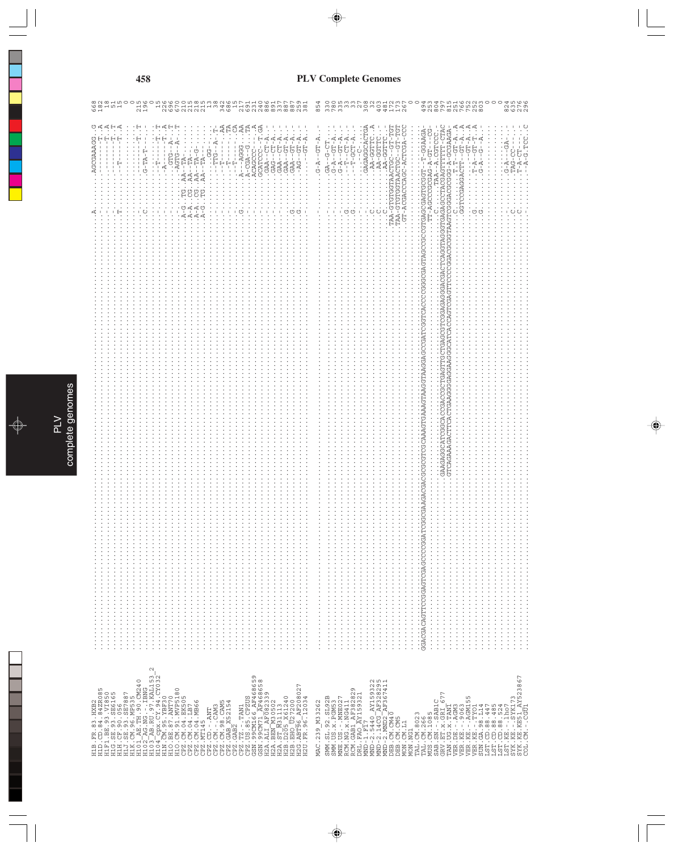es

| $\begin{small} \texttt{HL11} & \texttt{B12} & \texttt{B2} & \texttt{13} & \texttt{H23} & \texttt{03} & \texttt{H24} & \texttt{04} & \texttt{05} \\ \texttt{HL11} & \texttt{122} & \texttt{123} & \texttt{124} & \texttt{125} & \texttt{126} & \texttt{127} & \texttt{128} & \texttt{129} & \texttt{128} & \texttt{129} \\ \texttt{HL11} & \texttt{123} & \texttt{123} & \texttt{124} & \texttt{$ | ひべ<br>AGCGAAAGG<br>К                                                                                          | 682815<br>681515                                                                                             |
|--------------------------------------------------------------------------------------------------------------------------------------------------------------------------------------------------------------------------------------------------------------------------------------------------------------------------------------------------------------------------------------------------|---------------------------------------------------------------------------------------------------------------|--------------------------------------------------------------------------------------------------------------|
|                                                                                                                                                                                                                                                                                                                                                                                                  |                                                                                                               |                                                                                                              |
|                                                                                                                                                                                                                                                                                                                                                                                                  | $\ddot{a}$<br>٠<br>Н                                                                                          |                                                                                                              |
|                                                                                                                                                                                                                                                                                                                                                                                                  | 텃                                                                                                             | $\circ$                                                                                                      |
|                                                                                                                                                                                                                                                                                                                                                                                                  |                                                                                                               |                                                                                                              |
|                                                                                                                                                                                                                                                                                                                                                                                                  | ۳.<br>:                                                                                                       | 215<br>196                                                                                                   |
| $\sim$                                                                                                                                                                                                                                                                                                                                                                                           | $G-TA-T$                                                                                                      |                                                                                                              |
|                                                                                                                                                                                                                                                                                                                                                                                                  | 턱<br>$\overline{\phantom{a}}$<br>$\mathbf I$<br>를                                                             | $\circ$ m<br>$\overline{\phantom{0}}$                                                                        |
|                                                                                                                                                                                                                                                                                                                                                                                                  | $\overline{\phantom{a}}$<br>$\,$ $\,$<br>$-4-$                                                                |                                                                                                              |
|                                                                                                                                                                                                                                                                                                                                                                                                  | $\begin{array}{c}\n\mathbb{R} \\ \vdots \\ \end{array}$<br>$\mathbf I$<br>$ 90TG - A$<br>$- A - BGTC - A - A$ |                                                                                                              |
|                                                                                                                                                                                                                                                                                                                                                                                                  | $\mathbf{I}$                                                                                                  |                                                                                                              |
|                                                                                                                                                                                                                                                                                                                                                                                                  |                                                                                                               |                                                                                                              |
|                                                                                                                                                                                                                                                                                                                                                                                                  | $\cdot$<br>$\ddot{\cdot}$<br>$\begin{array}{c}\n 1.44 \\  - 2.44 \\  - 3.44\n \end{array}$                    | שטסטמממש השטחמש שממשממממש (מסר הרבה הרובה)<br>הארבובובובות שימש הרובה משמממממ<br>שטססממממש הרובו בטטרר רר מה |
|                                                                                                                                                                                                                                                                                                                                                                                                  |                                                                                                               |                                                                                                              |
|                                                                                                                                                                                                                                                                                                                                                                                                  | ġ.<br>:부                                                                                                      |                                                                                                              |
|                                                                                                                                                                                                                                                                                                                                                                                                  | $- - A -$<br><b>TTG</b><br>$\overline{\phantom{a}}$                                                           |                                                                                                              |
|                                                                                                                                                                                                                                                                                                                                                                                                  | п<br>н<br>Ĩ,                                                                                                  |                                                                                                              |
|                                                                                                                                                                                                                                                                                                                                                                                                  | j.<br>턱<br>ŧ                                                                                                  |                                                                                                              |
|                                                                                                                                                                                                                                                                                                                                                                                                  | <b>SEGSES</b><br>$A - -AGGG$<br>$A - CGA - -G$                                                                |                                                                                                              |
|                                                                                                                                                                                                                                                                                                                                                                                                  |                                                                                                               |                                                                                                              |
|                                                                                                                                                                                                                                                                                                                                                                                                  | $\mathbf I$<br>ACAGCCC                                                                                        |                                                                                                              |
|                                                                                                                                                                                                                                                                                                                                                                                                  | $\begin{array}{lll} \texttt{GCATCCC--T}\,,\\ \texttt{GAA--CT-A}\,. \end{array}$<br>GCATCCC                    |                                                                                                              |
|                                                                                                                                                                                                                                                                                                                                                                                                  |                                                                                                               |                                                                                                              |
|                                                                                                                                                                                                                                                                                                                                                                                                  | $\begin{array}{l} \mathrm{GAG--CT-A}\, .\\ \mathrm{GAA--CT-A}\, . \end{array}$                                |                                                                                                              |
|                                                                                                                                                                                                                                                                                                                                                                                                  | $GT - A$ .<br>$GAA -$                                                                                         |                                                                                                              |
|                                                                                                                                                                                                                                                                                                                                                                                                  | GAA--<br>ひ                                                                                                    |                                                                                                              |
|                                                                                                                                                                                                                                                                                                                                                                                                  | $-AG - -$<br>ひ                                                                                                |                                                                                                              |
|                                                                                                                                                                                                                                                                                                                                                                                                  |                                                                                                               |                                                                                                              |
| 239 M33262<br>MAC.                                                                                                                                                                                                                                                                                                                                                                               | $\infty$<br>$G - A - GT - A$                                                                                  | ú                                                                                                            |
|                                                                                                                                                                                                                                                                                                                                                                                                  | .                                                                                                             |                                                                                                              |
|                                                                                                                                                                                                                                                                                                                                                                                                  | GA--GT-A<br>G-A--GT-A<br>$-0 - 0 - 0 - 1$<br>S<br>-------------------------------                             |                                                                                                              |
|                                                                                                                                                                                                                                                                                                                                                                                                  | $-CT - A$                                                                                                     |                                                                                                              |
|                                                                                                                                                                                                                                                                                                                                                                                                  | $G - A$<br>$-1$                                                                                               |                                                                                                              |
| G                                                                                                                                                                                                                                                                                                                                                                                                | $-T$ - $T$ - $-CT$ - $A$ .<br>- $T$ - $GCT$ - $A$ .<br>Ţ<br>$\mathbf{I}$<br><b>いい</b>                         |                                                                                                              |
| SMM. SL. 92. SL92B<br>SMM. US. x. PGM53<br>MNE. US. - MNE027<br>RCM. GAG. X. APG411<br>RCM. GAG. X. APG412<br>DRL. PAO_AY159321                                                                                                                                                                                                                                                                  | Ĵ.<br>$\frac{1}{1}$                                                                                           | ALW W 44HHUULLO<br>Wawwwwowoarlo<br>OONWWLaywHUWL                                                            |
|                                                                                                                                                                                                                                                                                                                                                                                                  |                                                                                                               |                                                                                                              |
|                                                                                                                                                                                                                                                                                                                                                                                                  | $\ddot{A}$<br>υ                                                                                               |                                                                                                              |
| 3251<br>3251<br>324<br>$\circ$ $\circ$ $\sim$                                                                                                                                                                                                                                                                                                                                                    |                                                                                                               |                                                                                                              |
|                                                                                                                                                                                                                                                                                                                                                                                                  |                                                                                                               |                                                                                                              |
|                                                                                                                                                                                                                                                                                                                                                                                                  |                                                                                                               |                                                                                                              |
|                                                                                                                                                                                                                                                                                                                                                                                                  | . TAA - GTGTGGTAACTGC - - GT - TGT<br>. GT - ACCACCCAGC - ACTCGA - CCC                                        |                                                                                                              |
| MND-1.1FT7<br>MND-2.5440 AX159<br>MND-2.14CG_AF328<br>MND-2.14CG_AF328<br>DBB.CN.CM40<br>DBB.CN.CM40<br>DBB.CN.CM111<br>MON.NG1111                                                                                                                                                                                                                                                               |                                                                                                               | $\circ$                                                                                                      |
|                                                                                                                                                                                                                                                                                                                                                                                                  |                                                                                                               |                                                                                                              |
|                                                                                                                                                                                                                                                                                                                                                                                                  |                                                                                                               |                                                                                                              |
|                                                                                                                                                                                                                                                                                                                                                                                                  | $\bullet$                                                                                                     |                                                                                                              |
|                                                                                                                                                                                                                                                                                                                                                                                                  |                                                                                                               |                                                                                                              |
|                                                                                                                                                                                                                                                                                                                                                                                                  |                                                                                                               |                                                                                                              |
|                                                                                                                                                                                                                                                                                                                                                                                                  |                                                                                                               |                                                                                                              |
|                                                                                                                                                                                                                                                                                                                                                                                                  |                                                                                                               |                                                                                                              |
|                                                                                                                                                                                                                                                                                                                                                                                                  |                                                                                                               |                                                                                                              |
|                                                                                                                                                                                                                                                                                                                                                                                                  | $G - -A$<br>- 1<br>$\begin{array}{c}\n\cdot & A \\ \Gamma - A \\ G - A\n\end{array}$<br>ひ                     |                                                                                                              |
|                                                                                                                                                                                                                                                                                                                                                                                                  |                                                                                                               | $\circ$                                                                                                      |
|                                                                                                                                                                                                                                                                                                                                                                                                  |                                                                                                               |                                                                                                              |
|                                                                                                                                                                                                                                                                                                                                                                                                  | $-45 - -$<br>$\ddot{C}-\ddot{C}$                                                                              |                                                                                                              |
| Ċ٥                                                                                                                                                                                                                                                                                                                                                                                               |                                                                                                               |                                                                                                              |
| SYK173<br>51 AY523867<br>3YK.KE.-.S<br>3YK.KE.KE<br>ĊΩ                                                                                                                                                                                                                                                                                                                                           |                                                                                                               |                                                                                                              |
| CGU <sub>1</sub><br>$\mathbb{E}$<br>COL.                                                                                                                                                                                                                                                                                                                                                         | . TAG-CC-<br>. T-A-CT---<br>. --A-G. TCC.                                                                     |                                                                                                              |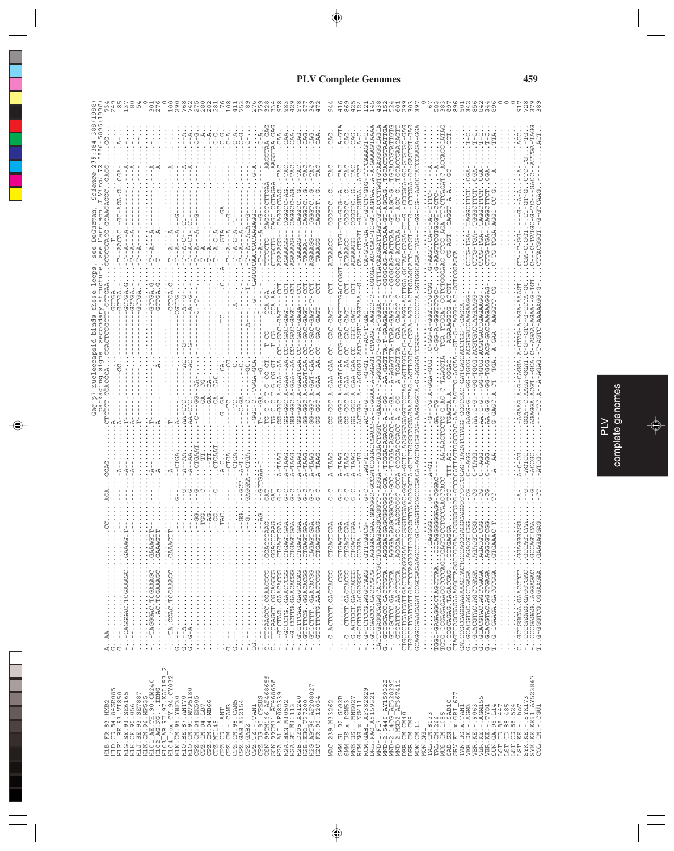|              |                     |                        |                                 |  |   |                                                                                                                                                                                                                                                                                                                                                                                                                                                                                          |                            |   |   |                                                                                                                                                                                                                                                                                                                                                                                                                                                           |            |               |               |                  |                                                          |                        |                 |        |                                           |                     | CAG               |                    | <b>GTAAT</b>                                                                                                     |                    |                                                         |                           |                                                    |                                     |                                                      |                                                     |                       |                                                |                       |                                                                                                               |          |
|--------------|---------------------|------------------------|---------------------------------|--|---|------------------------------------------------------------------------------------------------------------------------------------------------------------------------------------------------------------------------------------------------------------------------------------------------------------------------------------------------------------------------------------------------------------------------------------------------------------------------------------------|----------------------------|---|---|-----------------------------------------------------------------------------------------------------------------------------------------------------------------------------------------------------------------------------------------------------------------------------------------------------------------------------------------------------------------------------------------------------------------------------------------------------------|------------|---------------|---------------|------------------|----------------------------------------------------------|------------------------|-----------------|--------|-------------------------------------------|---------------------|-------------------|--------------------|------------------------------------------------------------------------------------------------------------------|--------------------|---------------------------------------------------------|---------------------------|----------------------------------------------------|-------------------------------------|------------------------------------------------------|-----------------------------------------------------|-----------------------|------------------------------------------------|-----------------------|---------------------------------------------------------------------------------------------------------------|----------|
|              |                     |                        |                                 |  |   |                                                                                                                                                                                                                                                                                                                                                                                                                                                                                          |                            |   |   |                                                                                                                                                                                                                                                                                                                                                                                                                                                           |            |               |               |                  |                                                          |                        |                 |        |                                           |                     |                   |                    | E.                                                                                                               |                    |                                                         |                           |                                                    |                                     |                                                      |                                                     |                       |                                                |                       |                                                                                                               |          |
|              |                     |                        |                                 |  |   |                                                                                                                                                                                                                                                                                                                                                                                                                                                                                          |                            |   |   |                                                                                                                                                                                                                                                                                                                                                                                                                                                           |            |               |               |                  |                                                          |                        |                 |        |                                           |                     |                   |                    |                                                                                                                  | AG-ACTCAA.-GT-AG   |                                                         |                           |                                                    |                                     |                                                      |                                                     |                       |                                                |                       |                                                                                                               |          |
|              |                     |                        |                                 |  |   |                                                                                                                                                                                                                                                                                                                                                                                                                                                                                          |                            |   |   | $A-G-A$                                                                                                                                                                                                                                                                                                                                                                                                                                                   |            |               |               | TTGCTG--         |                                                          |                        |                 |        |                                           |                     |                   | $CA-GT$            | AG-ACTCAAA-G                                                                                                     | G-ACTCAA.          |                                                         |                           |                                                    |                                     |                                                      |                                                     |                       |                                                |                       |                                                                                                               |          |
|              |                     |                        |                                 |  |   |                                                                                                                                                                                                                                                                                                                                                                                                                                                                                          |                            |   |   |                                                                                                                                                                                                                                                                                                                                                                                                                                                           |            |               |               |                  |                                                          |                        |                 |        |                                           |                     |                   |                    |                                                                                                                  |                    |                                                         |                           |                                                    |                                     |                                                      |                                                     |                       |                                                |                       |                                                                                                               |          |
|              |                     |                        |                                 |  |   |                                                                                                                                                                                                                                                                                                                                                                                                                                                                                          |                            |   |   |                                                                                                                                                                                                                                                                                                                                                                                                                                                           |            |               |               |                  | $-CCA-AA$                                                | GAC-GAGT-<br>GAC-GAGT- |                 |        |                                           |                     |                   |                    |                                                                                                                  |                    |                                                         |                           |                                                    |                                     |                                                      |                                                     |                       |                                                |                       |                                                                                                               |          |
|              |                     |                        |                                 |  |   |                                                                                                                                                                                                                                                                                                                                                                                                                                                                                          |                            |   |   |                                                                                                                                                                                                                                                                                                                                                                                                                                                           |            |               |               |                  |                                                          | ÷                      | J               |        |                                           |                     |                   |                    | PTA-T-GAAG                                                                                                       | TA-TCAA-G          |                                                         |                           | 0-4-55-0-1                                         | $-5 - 5 - 5 - 7$<br>$A - TGA - TTC$ | $---AGAAAA$                                          |                                                     |                       |                                                |                       |                                                                                                               |          |
|              |                     |                        |                                 |  |   |                                                                                                                                                                                                                                                                                                                                                                                                                                                                                          |                            |   |   |                                                                                                                                                                                                                                                                                                                                                                                                                                                           |            |               |               |                  |                                                          |                        |                 |        |                                           |                     | $A - GAA - CAA$   |                    |                                                                                                                  |                    |                                                         |                           |                                                    |                                     |                                                      |                                                     |                       |                                                |                       |                                                                                                               |          |
|              |                     |                        |                                 |  |   |                                                                                                                                                                                                                                                                                                                                                                                                                                                                                          |                            |   |   |                                                                                                                                                                                                                                                                                                                                                                                                                                                           | $-5 - 7 -$ |               |               | しょ               | -<br>5-5-5-5-5-5<br>G-GGC.A-GAA--                        | こ<br>この - こ            | <b>COD-00-0</b> | ŏ<br>ご | ひひーり                                      |                     |                   |                    |                                                                                                                  |                    |                                                         |                           |                                                    |                                     |                                                      |                                                     |                       |                                                |                       |                                                                                                               |          |
|              |                     |                        |                                 |  |   |                                                                                                                                                                                                                                                                                                                                                                                                                                                                                          |                            |   |   |                                                                                                                                                                                                                                                                                                                                                                                                                                                           |            |               |               |                  |                                                          |                        |                 |        |                                           |                     |                   |                    |                                                                                                                  |                    |                                                         |                           |                                                    |                                     |                                                      |                                                     |                       |                                                |                       |                                                                                                               |          |
|              |                     |                        |                                 |  |   |                                                                                                                                                                                                                                                                                                                                                                                                                                                                                          |                            |   |   |                                                                                                                                                                                                                                                                                                                                                                                                                                                           |            |               |               |                  |                                                          |                        |                 |        |                                           |                     |                   |                    |                                                                                                                  |                    |                                                         |                           |                                                    |                                     |                                                      |                                                     |                       |                                                |                       |                                                                                                               |          |
|              |                     |                        |                                 |  |   |                                                                                                                                                                                                                                                                                                                                                                                                                                                                                          |                            |   |   |                                                                                                                                                                                                                                                                                                                                                                                                                                                           |            |               |               |                  |                                                          |                        |                 |        |                                           |                     |                   |                    |                                                                                                                  |                    |                                                         |                           |                                                    |                                     |                                                      |                                                     |                       |                                                |                       |                                                                                                               |          |
|              |                     |                        |                                 |  |   |                                                                                                                                                                                                                                                                                                                                                                                                                                                                                          |                            |   |   |                                                                                                                                                                                                                                                                                                                                                                                                                                                           |            |               |               |                  |                                                          |                        |                 |        |                                           |                     |                   |                    |                                                                                                                  |                    |                                                         |                           | ပ္                                                 |                                     |                                                      |                                                     |                       |                                                |                       |                                                                                                               |          |
|              |                     | $\ldots$ GAAA          | $\vdots$<br>$\cdot$             |  |   |                                                                                                                                                                                                                                                                                                                                                                                                                                                                                          |                            |   |   |                                                                                                                                                                                                                                                                                                                                                                                                                                                           |            |               | $\vdots$      | GGAC             | ASTOL.                                                   | ASTO                   | .CTGA           | CTGA   | ACTGA.<br>CAGA                            | .CTGA               | .CTGA             | CTGA<br>.<br>cccca |                                                                                                                  |                    |                                                         |                           |                                                    |                                     |                                                      |                                                     |                       |                                                |                       |                                                                                                               |          |
|              | $\ddot{\cdot}$      |                        | .                               |  |   |                                                                                                                                                                                                                                                                                                                                                                                                                                                                                          |                            |   |   | $\begin{aligned} \frac{1}{2} \left( \frac{1}{2} \left( \frac{1}{2} \right) + \frac{1}{2} \left( \frac{1}{2} \right) + \frac{1}{2} \left( \frac{1}{2} \right) + \frac{1}{2} \left( \frac{1}{2} \right) \right) \\ \frac{1}{2} \left( \frac{1}{2} \left( \frac{1}{2} \right) + \frac{1}{2} \left( \frac{1}{2} \right) + \frac{1}{2} \left( \frac{1}{2} \right) + \frac{1}{2} \left( \frac{1}{2} \right) + \frac{1}{2} \left( \frac{1}{2} \right) \right) \$ |            |               |               |                  |                                                          |                        |                 |        |                                           |                     | G.ACTCCT.GAGTACG. |                    |                                                                                                                  |                    |                                                         |                           |                                                    |                                     |                                                      |                                                     |                       | GCACGTAC.AGCTGAGAAGAC<br>GCACGTAC.AGCTGAGAAGGC | G-CGAAGA.GACGTGGAGTGA | $\frac{1}{2}$ , $\frac{1}{2}$ , $\frac{1}{2}$ , $\frac{1}{2}$ , $\frac{1}{2}$ , $\frac{1}{2}$ , $\frac{1}{2}$ |          |
| $\ldots$ AA. | $\vdots$<br>1<br>I, | -CAGGGAC.TCGAAAGC<br>1 | $\ddot{\phantom{0}}$<br>$\cdot$ |  |   | $\begin{array}{ll} \mathbb{G}_+ & - & - & \dots & \dots & \dots & \dots & \dots \\ \mathbb{G}_+ & -\mathbb{A}_+ & \dots & \dots & \dots & \dots & \dots \\ \mathbb{G}_+ & \mathbb{G}_+ & \mathbb{A}_+ & \dots & \dots & \dots & \dots & \dots \\ \dots & \dots & \dots & \dots & \dots & \dots & \dots & \dots & \dots \\ \dots & \dots & \dots & \dots & \dots & \dots & \dots & \dots & \dots \\ \dots & \dots & \dots & \dots & \dots & \dots & \dots & \dots & \dots \\ \end{array}$ | ************************** | . | ŧ | $\frac{1}{3}$                                                                                                                                                                                                                                                                                                                                                                                                                                             | .<br>Ì,    | $\frac{1}{1}$ |               | TTCAAGC.COMAGGCG | C. TTCAAGCT.CGCGCGC. . GGAC<br>- UUURURRU 1 URHUHU-1 1 - | COUNCINGOHOUDU----     |                 |        | . UUUKUKUUUULLULU -<br>-CTCCTTT.CAACACGC. | . GTCTTCTG.AAACTCGG |                   |                    | G. G. G. G. C. CROSSER COMPARTION CONTROL CARGO<br>CROLLOSSER CROSSER COMPOSTIONS<br>DDGG COMPOSTION COMPOSITION | . GTCATTC AACCTGTA | CTGCCCTCATCATTGACTCCAGGGAAT<br>CTGCCCTCATCATTGACCAGGGTC | GCAGGCGAACATCCGCGAGAAGCCT | TOO - CARGOCONACTIVAA .<br>TOO - CARGOCONACTIVAA . | FGTG-CGAGAGAGAGCCCCAGCAG            | GCCGCAGAG.TAGACCAGCCTG<br>CTAGTCAGCGAGAAAGGCTAGCCGCC | GATCCGCCAGAAAAAGTACTGCCAG<br>GGCACGTAC.AGCTGAGAAGAC | GCACGTAC.AGCTGAGAAGAC |                                                |                       |                                                                                                               |          |
| ≮ ს          | $\vdots$<br>ひ       |                        | $\cdot$                         |  | ひ |                                                                                                                                                                                                                                                                                                                                                                                                                                                                                          |                            |   |   |                                                                                                                                                                                                                                                                                                                                                                                                                                                           |            | Ū             | $\vdots$<br>U | $\circ$          |                                                          |                        |                 |        |                                           |                     | Ì,                |                    |                                                                                                                  |                    |                                                         |                           |                                                    |                                     |                                                      |                                                     |                       |                                                |                       | $\ddot{\cdot}$                                                                                                | $\vdots$ |

Gag p7 nucleocapsid binds these loops, see DeGuzman, Science **279**:384-388(1988)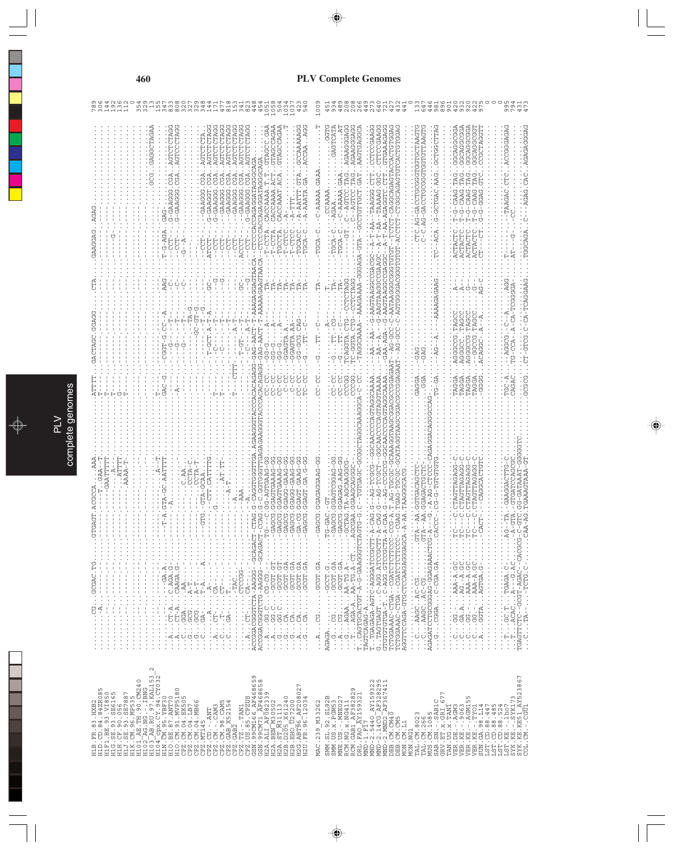|   | ι      |
|---|--------|
|   |        |
|   |        |
|   | Š      |
|   | í      |
|   | Š      |
|   |        |
|   | ⊁<br>ï |
| ٦ |        |
|   |        |
|   |        |
|   |        |
|   |        |
|   |        |
|   | ĺ      |
|   |        |
|   |        |
|   |        |

nes

| 出工                                                                                                                                                                                                                                                                                                                                                                                  | .CGCGAC.TG                                                                                                                                                                                                                                                                                                                                                                                                                                                                                                                                                                                                                                               |                  |                                                             | GAAGGAC                  |                                                                                                    |                         |                             |
|-------------------------------------------------------------------------------------------------------------------------------------------------------------------------------------------------------------------------------------------------------------------------------------------------------------------------------------------------------------------------------------|----------------------------------------------------------------------------------------------------------------------------------------------------------------------------------------------------------------------------------------------------------------------------------------------------------------------------------------------------------------------------------------------------------------------------------------------------------------------------------------------------------------------------------------------------------------------------------------------------------------------------------------------------------|------------------|-------------------------------------------------------------|--------------------------|----------------------------------------------------------------------------------------------------|-------------------------|-----------------------------|
|                                                                                                                                                                                                                                                                                                                                                                                     | $\vdots$<br>$\dots A \dots$<br>$\vdots$<br>$\frac{1}{2}$ , $\frac{1}{2}$ , $\frac{1}{2}$ , $\frac{1}{2}$ , $\frac{1}{2}$ , $\frac{1}{2}$                                                                                                                                                                                                                                                                                                                                                                                                                                                                                                                 |                  |                                                             |                          |                                                                                                    |                         |                             |
|                                                                                                                                                                                                                                                                                                                                                                                     | ķ<br>$\frac{1}{1}$<br>$\vdots$                                                                                                                                                                                                                                                                                                                                                                                                                                                                                                                                                                                                                           |                  |                                                             |                          |                                                                                                    |                         |                             |
|                                                                                                                                                                                                                                                                                                                                                                                     | FTT                                                                                                                                                                                                                                                                                                                                                                                                                                                                                                                                                                                                                                                      |                  |                                                             |                          |                                                                                                    |                         |                             |
|                                                                                                                                                                                                                                                                                                                                                                                     | .<br>$\frac{1}{2}$                                                                                                                                                                                                                                                                                                                                                                                                                                                                                                                                                                                                                                       |                  |                                                             |                          |                                                                                                    |                         |                             |
|                                                                                                                                                                                                                                                                                                                                                                                     |                                                                                                                                                                                                                                                                                                                                                                                                                                                                                                                                                                                                                                                          |                  |                                                             |                          |                                                                                                    |                         |                             |
| $\sim$                                                                                                                                                                                                                                                                                                                                                                              | $\frac{1}{2}$<br>Í<br>$\frac{1}{1}$<br>$\frac{1}{2}$ $\frac{1}{2}$ $\frac{1}{2}$ $\frac{1}{2}$ $\frac{1}{2}$ $\frac{1}{2}$ $\frac{1}{2}$ $\frac{1}{2}$ $\frac{1}{2}$ $\frac{1}{2}$ $\frac{1}{2}$ $\frac{1}{2}$ $\frac{1}{2}$ $\frac{1}{2}$ $\frac{1}{2}$ $\frac{1}{2}$ $\frac{1}{2}$ $\frac{1}{2}$ $\frac{1}{2}$ $\frac{1}{2}$ $\frac{1}{2}$ $\frac{1}{2}$                                                                                                                                                                                                                                                                                               |                  |                                                             |                          |                                                                                                    | GAGGCTAGAZ              |                             |
|                                                                                                                                                                                                                                                                                                                                                                                     |                                                                                                                                                                                                                                                                                                                                                                                                                                                                                                                                                                                                                                                          |                  |                                                             |                          |                                                                                                    |                         |                             |
|                                                                                                                                                                                                                                                                                                                                                                                     | $-$ -GA.A                                                                                                                                                                                                                                                                                                                                                                                                                                                                                                                                                                                                                                                | ひしいだ             | <b>CGGL-BOO</b>                                             | $T - G - AGA$            | じんご                                                                                                |                         |                             |
|                                                                                                                                                                                                                                                                                                                                                                                     | $\begin{array}{cccc}\n 1 & 1 & 1 & 1 & 1 & 1 \\  1 & 1 & 1 & 1 & 1 & 1 \\  & 1 & 1 & 1 & 1 & 1\n \end{array}$                                                                                                                                                                                                                                                                                                                                                                                                                                                                                                                                            |                  | ひ                                                           | <b>CCL</b><br>-ccr       | -GAAG<br>$G-GBA$                                                                                   | . AGTCTCTAG<br>CCCTAG   |                             |
|                                                                                                                                                                                                                                                                                                                                                                                     |                                                                                                                                                                                                                                                                                                                                                                                                                                                                                                                                                                                                                                                          |                  |                                                             |                          |                                                                                                    |                         |                             |
|                                                                                                                                                                                                                                                                                                                                                                                     | CCTA-C<br>$C_1 \dots GGB_1 \dots A^T T \dots \dots$<br>$G_2 \dots GCG_2 \dots A^T T \dots \dots$<br>$G_3 \dots G G$<br>$G_4 \dots G A^T \dots A^T T \dots A$                                                                                                                                                                                                                                                                                                                                                                                                                                                                                             |                  | $-TA-C$                                                     |                          |                                                                                                    |                         |                             |
|                                                                                                                                                                                                                                                                                                                                                                                     | CCTA-T<br>$\vdots$                                                                                                                                                                                                                                                                                                                                                                                                                                                                                                                                                                                                                                       |                  | - 15-05                                                     |                          |                                                                                                    |                         |                             |
|                                                                                                                                                                                                                                                                                                                                                                                     | CTT.CATTI<br>GTA-GCAA<br><b>GTG</b><br>$\vdots$                                                                                                                                                                                                                                                                                                                                                                                                                                                                                                                                                                                                          |                  | -GCT                                                        |                          |                                                                                                    |                         | 4                           |
| CPZ.CD. - ANT<br>CPZ.CM. - CAM3<br>CPZ.CAB X52154<br>CPZ.CAB X52154<br>CPZ.TZ.CAB2<br>CPZ.TZ. - CPZUS<br>CCD. - COM166 AP4686:<br>CSM. 99CM166 AP4686:                                                                                                                                                                                                                              | $\frac{1}{2}$<br>ŀ<br>$\cdots \begin{array}{ccc}\n\cdots & A_1 & \cdots & A_2 & \cdots \\ \vdots & \vdots & \vdots & \ddots & \vdots \\ C T - 1 & \cdots & C A_1 - 1\n\end{array}$<br>$\vdots$                                                                                                                                                                                                                                                                                                                                                                                                                                                           |                  |                                                             |                          | CGA<br>G-GAAGG.                                                                                    | AGTCTCTAG               | 4 <sub>0</sub>              |
|                                                                                                                                                                                                                                                                                                                                                                                     | $-1.1.1 \cdot 10^{-1}$<br>$\cdots$ $\cdots$ $\cdots$ $\cdots$<br>$\ddot{\cdot}$ :                                                                                                                                                                                                                                                                                                                                                                                                                                                                                                                                                                        |                  |                                                             |                          | URIDIDIUR : KUD : UUDRIU--                                                                         |                         |                             |
|                                                                                                                                                                                                                                                                                                                                                                                     | $\cdots$ $\cdots$ $\cdots$ $\cdots$ $\cdots$ $\cdots$ $\cdots$ $\cdots$ $\cdots$ $\cdots$ $\cdots$ $\cdots$ $\cdots$ $\cdots$ $\cdots$ $\cdots$ $\cdots$ $\cdots$ $\cdots$ $\cdots$ $\cdots$ $\cdots$ $\cdots$ $\cdots$ $\cdots$ $\cdots$ $\cdots$ $\cdots$ $\cdots$ $\cdots$ $\cdots$ $\cdots$ $\cdots$ $\cdots$ $\cdots$ $\cdots$ $\cdots$<br>$\frac{1}{2}$                                                                                                                                                                                                                                                                                            |                  |                                                             |                          | -GAAGGG .CGA AGTCTCTAGG<br>-GAAGGG .CGA AGTCTCTAGG                                                 |                         |                             |
|                                                                                                                                                                                                                                                                                                                                                                                     |                                                                                                                                                                                                                                                                                                                                                                                                                                                                                                                                                                                                                                                          |                  |                                                             |                          | $-GAGG-G.GG.A.$                                                                                    | AGTCTCTAGG<br>AGTCTCTAG | 4                           |
|                                                                                                                                                                                                                                                                                                                                                                                     | $\vdots$                                                                                                                                                                                                                                                                                                                                                                                                                                                                                                                                                                                                                                                 |                  |                                                             |                          | CGA.                                                                                               | AGTCTCTAG               | $\infty$                    |
| 659<br>58<br>てり                                                                                                                                                                                                                                                                                                                                                                     | <b>COCHOOKU-</b><br>-GCAGAC<br>$\ldots A \ldots C T - \ldots C A - \ldots$<br>ACCGGACGGGTCTA-AAGGG-                                                                                                                                                                                                                                                                                                                                                                                                                                                                                                                                                      | ACACAGA          | GGAGTI<br>$-1 - TA$<br>-GAG-AACT                            |                          | . --CCT--G-GAAGGG .CGAAGILU<br>A--CTCCCACCAGAGATAGGCAGA                                            |                         | $\sim$ 4<br>4               |
| ひ出                                                                                                                                                                                                                                                                                                                                                                                  | じょひけけのひりけのの・2-<br>$-CCAG$<br>ACCGACGGTCTG-AAGG--CCAGAC                                                                                                                                                                                                                                                                                                                                                                                                                                                                                                                                                                                                   |                  | TACACAGAG-GAG-AAC-PAAAAAGAAGTA                              |                          | A-CHOODDAHADOAOOAOOODD--A                                                                          |                         | 4                           |
| ᄑ                                                                                                                                                                                                                                                                                                                                                                                   | CG-AGTGAAG<br><b>CGAGTGAAAG</b><br>EDBAE<br>$\begin{array}{c} \dots \texttt{GG} \cdot \texttt{C} \dots \texttt{CG} \cdot \texttt{CG} \cdot \texttt{--} \\ \dots \texttt{CG} \cdot \texttt{C} \dots \texttt{CG} \cdot \texttt{CG} \cdot \texttt{GT} \\ \dots \texttt{CG} \cdot \texttt{C} \dots \texttt{CG} \cdot \texttt{CG} \cdot \texttt{GT} \cdot \texttt{GT} \end{array}$                                                                                                                                                                                                                                                                            | ់<br>បូប<br>បូបូ | $G - G \cdot \ldots A -$                                    | $-T-CCTA$ .<br>$-T-CCTA$ | T.T<br>ACT<br>CACCAAAA.<br>CACCAAAA.                                                               | TAGCC.GAA<br>GTAGCCAGAA | $\circ$                     |
|                                                                                                                                                                                                                                                                                                                                                                                     | CGAGTGAAAG<br><b>GCG</b><br>$\ddot{\cdot}$                                                                                                                                                                                                                                                                                                                                                                                                                                                                                                                                                                                                               | し<br>し           | $G-G-G \ldots G$                                            | -TGCCTA                  | CACCAAAT.ACA                                                                                       | GTAGCCAGA               |                             |
|                                                                                                                                                                                                                                                                                                                                                                                     | G-GAAG<br>ĞĄĞ<br><b>GCG.G</b><br>$\vdots$                                                                                                                                                                                                                                                                                                                                                                                                                                                                                                                                                                                                                | U<br>U           | GGAGTA.A                                                    | $-CTC$                   | $-A$ -                                                                                             |                         | $\sim$                      |
|                                                                                                                                                                                                                                                                                                                                                                                     | U-URRU-UURUU : UUUR                                                                                                                                                                                                                                                                                                                                                                                                                                                                                                                                                                                                                                      | しし               | GGAGTA.AA                                                   | $-CTC$                   | $- A - T T T$                                                                                      |                         | $\alpha$                    |
| Γ<br>H2A, BEN <sup>-</sup> M30502<br>H2A, ST_M31113<br>H2B, D205 X61240<br>H2B, D205 X61240<br>H2B, ABT96 AF2003027<br>H2U, FR, 96-12034                                                                                                                                                                                                                                            | GGAG. LOAGO<br>$BA-CG$ .                                                                                                                                                                                                                                                                                                                                                                                                                                                                                                                                                                                                                                 | U<br>U           | U ' 505-55                                                  |                          | A-AATTT.GTA                                                                                        | CCAAAAAGG               |                             |
|                                                                                                                                                                                                                                                                                                                                                                                     | GGAGT.<br>CCCCCC                                                                                                                                                                                                                                                                                                                                                                                                                                                                                                                                                                                                                                         |                  |                                                             |                          | A-AAATA                                                                                            | CCAA. . AGG             |                             |
| MAC.239 M33262                                                                                                                                                                                                                                                                                                                                                                      | GGAGAGGAAG-<br>GAGCG<br>.GCGT.GA.<br>$\ldots$ $\ldots$ $\ldots$                                                                                                                                                                                                                                                                                                                                                                                                                                                                                                                                                                                          | ひしり              |                                                             | rgca-c                   | C-AAAAA                                                                                            |                         |                             |
| $\omega$                                                                                                                                                                                                                                                                                                                                                                            | AGAGA                                                                                                                                                                                                                                                                                                                                                                                                                                                                                                                                                                                                                                                    |                  |                                                             |                          |                                                                                                    |                         |                             |
|                                                                                                                                                                                                                                                                                                                                                                                     | UAUUUHUAUU.U<br>じゅくじ<br>$\ddot{a}$                                                                                                                                                                                                                                                                                                                                                                                                                                                                                                                                                                                                                       | Y                | ី<br>.<br>.<br>$\frac{1}{3}$                                | U<br>U<br>U<br>U<br>U    | $-AGAA$ .                                                                                          | GAGTCATA                |                             |
| r<br>SMM . SL . 92 . SL92B<br>SMM . US . x . PGM53<br>MME . US . - . MNE027<br>RCM . NG . x . NG411                                                                                                                                                                                                                                                                                 | 5-5AR SAGROS DOORD                                                                                                                                                                                                                                                                                                                                                                                                                                                                                                                                                                                                                                       | U<br>U           |                                                             | TGCA-C                   | -C-AAAA.GAA                                                                                        | AGAAGGGAGG              |                             |
| ጣ                                                                                                                                                                                                                                                                                                                                                                                   | TA-AGCAAGGCG<br>UUUNUUKIUU.<br>GCTAG<br>GCGAA                                                                                                                                                                                                                                                                                                                                                                                                                                                                                                                                                                                                            | ひひひ              | U--ULU.KIUU-ULU<br>ULU.KIUU-ULU                             | $\vdots$<br><b>FO-</b>   | TAG<br>TAG<br>--AGTCC.<br>C-AGTCC.                                                                 | AGAAGGAG                |                             |
| استعمال 1.382874<br>DRL.FAO AF382829<br>MND-1.FI7<br>MND-2                                                                                                                                                                                                                                                                                                                          | <b>UUUU</b><br><b>AGTG-</b><br>$\begin{array}{ll} \dots & \dots & \dots & \dots \\ \dots & \dots & \dots & \dots \\ \dots & \dots & \dots & \dots \\ \dots & \dots & \dots & \dots & \dots \\ \dots & \dots & \dots & \dots & \dots \\ \dots & \dots & \dots & \dots & \dots \\ \dots & \dots & \dots & \dots & \dots \\ \dots & \dots & \dots & \dots & \dots \\ \dots & \dots & \dots & \dots & \dots \\ \dots & \dots & \dots & \dots & \dots \\ \dots & \dots & \dots & \dots & \dots \\ \dots & \dots & \dots & \dots & \dots \\ \dots & \dots & \dots & \dots & \dots \\ \dots & \dots & \dots & \dots & \dots \\ \dots & \dots & \dots & \dots &$ |                  | TAGGCAAAA - - AAAGAAAA                                      | A-GHPCDO--AHD-A          |                                                                                                    | AAGTGAGGC               | ७ 4                         |
|                                                                                                                                                                                                                                                                                                                                                                                     |                                                                                                                                                                                                                                                                                                                                                                                                                                                                                                                                                                                                                                                          |                  |                                                             |                          |                                                                                                    |                         |                             |
| MND - 2. 5440 AY159322<br>MND - 2. 14CG - AP328295<br>MND - 2. MND2 - AP328295<br>DBB - CM. CM40<br>DBB - CM. CM40<br>MON - CM. L1                                                                                                                                                                                                                                                  | ARARIDERICACCOCARCOD--UT-04--UT-0-A-<br>$-A-CAG$ . G<br>$\begin{array}{ll} \texttt{T} & \texttt{T} & \texttt{T} & \texttt{T} \\ \texttt{T} & \texttt{T} & \texttt{T} & \texttt{T} & \texttt{T} \\ \texttt{G} & \texttt{T} & \texttt{T} & \texttt{T} & \texttt{T} \\ \texttt{G} & \texttt{T} & \texttt{T} & \texttt{T} & \texttt{T} \\ \texttt{G} & \texttt{T} & \texttt{T} & \texttt{T} & \texttt{T} \\ \texttt{G} & \texttt{T} & \texttt{T} & \texttt{T} & \texttt{T} \\ \texttt{T} & \texttt{T} & \texttt{T} & \texttt{T} & \texttt{T} \\ \texttt{T}$                                                                                                  | CCCCAGTAGGAAAAA  |                                                             |                          |                                                                                                    | .CCTCCGAAG<br>CTTCCCAAG |                             |
|                                                                                                                                                                                                                                                                                                                                                                                     | ACUSS-SUSS-AC-PAS--S.ACUSS-A                                                                                                                                                                                                                                                                                                                                                                                                                                                                                                                                                                                                                             | CCCCAGTAGGCAAA   | --AA---A.------AAGTAAGCCCAAGC<br>-GAA-AGA----AAGTAAGCCCAGCC |                          | $\begin{array}{l} \texttt{GC--A-T-AA--TAAAG: GGC} \\ \texttt{GC--A-T-AA-AGAGGTC: CTT} \end{array}$ | GTGAAAGAG               |                             |
|                                                                                                                                                                                                                                                                                                                                                                                     | -GCAAAGTAAGC<br>CCG-A.T.AG-TGCG<br>-CGAG.TGAG-TGCG                                                                                                                                                                                                                                                                                                                                                                                                                                                                                                                                                                                                       |                  | 55544H44-0-555-1                                            |                          |                                                                                                    |                         |                             |
|                                                                                                                                                                                                                                                                                                                                                                                     | URDDDDDRDDDDRRHDDRHHDD-<br>--CGAG<br>--A-AA.TAAGGGCAC                                                                                                                                                                                                                                                                                                                                                                                                                                                                                                                                                                                                    |                  |                                                             |                          |                                                                                                    |                         |                             |
| MON.NG1                                                                                                                                                                                                                                                                                                                                                                             | $\frac{1}{2}$                                                                                                                                                                                                                                                                                                                                                                                                                                                                                                                                                                                                                                            |                  |                                                             |                          |                                                                                                    |                         |                             |
| TAL.CM.8023<br>TAL.CM.266<br>MUS.CM.1085                                                                                                                                                                                                                                                                                                                                            | TA--AA.GGTGACA<br>$\frac{1}{2}$                                                                                                                                                                                                                                                                                                                                                                                                                                                                                                                                                                                                                          |                  |                                                             |                          | -GACCEGCECODOUTOKU-                                                                                |                         |                             |
|                                                                                                                                                                                                                                                                                                                                                                                     | CAGACT<br>$-4A$ . G<br>AGAGATCULOCASC-CG-CC-CHILICANACTCU<br>AGAGATCULOCASC-CGAGAAGAACTC                                                                                                                                                                                                                                                                                                                                                                                                                                                                                                                                                                 |                  |                                                             |                          | UUCLUGH-                                                                                           |                         |                             |
| MUS . CM . 1085<br>SAB . SN . - . SAB1C<br>GRV . ET . x . GRI 67<br>TAN . UG . x . TAN I                                                                                                                                                                                                                                                                                            | $A - AG - C$                                                                                                                                                                                                                                                                                                                                                                                                                                                                                                                                                                                                                                             |                  |                                                             | $-ACA$                   | C-GCTGAC.AAG                                                                                       | GCTGGCTTA               |                             |
| Ë                                                                                                                                                                                                                                                                                                                                                                                   | $\vdots$<br>$\frac{1}{2}$<br>$\ddot{\cdot}$<br>$\ddot{\cdot}$                                                                                                                                                                                                                                                                                                                                                                                                                                                                                                                                                                                            |                  |                                                             |                          |                                                                                                    |                         | ന<br>$\infty$               |
|                                                                                                                                                                                                                                                                                                                                                                                     | $\frac{1}{2}$<br>$\vdots$                                                                                                                                                                                                                                                                                                                                                                                                                                                                                                                                                                                                                                |                  |                                                             | ACTACTC                  |                                                                                                    |                         | $\circ$ $\circ$<br>$\sigma$ |
| VER.DE. - . AGM3                                                                                                                                                                                                                                                                                                                                                                    | $\cdots$ GG $\cdots$ $\cdots$ $\cdots$ $\cdots$ $\cdots$ $\cdots$ $\cdots$<br>$\frac{1}{2}$                                                                                                                                                                                                                                                                                                                                                                                                                                                                                                                                                              |                  | <b>COCCC</b><br><b>999</b>                                  | ACTACTC                  | -T-G-CAAG - TAG -<br>-T-G-CAAG - TAG -<br>-T-G-CAAG - TAG -<br>-T-G-CAAG - TAG -                   | GGCAGCCG<br>GCAGCCG     | 4<br>$\sigma$               |
| LO<br>LO.<br>VER.KE.-.9063<br>VER.KE.-.AGM1!                                                                                                                                                                                                                                                                                                                                        |                                                                                                                                                                                                                                                                                                                                                                                                                                                                                                                                                                                                                                                          | AGGA.            | ひ<br>AGGG                                                   | ACTACT                   |                                                                                                    | GGCAGCCGG               |                             |
| LOXL.<br>VER.KE.-                                                                                                                                                                                                                                                                                                                                                                   |                                                                                                                                                                                                                                                                                                                                                                                                                                                                                                                                                                                                                                                          |                  | 금금<br>-<br>- 8 5                                            | ACTACTC                  |                                                                                                    | <b>COCACACCO</b>        | MNNL                        |
|                                                                                                                                                                                                                                                                                                                                                                                     |                                                                                                                                                                                                                                                                                                                                                                                                                                                                                                                                                                                                                                                          |                  |                                                             |                          | $-5$                                                                                               | CCGCTAGGT               |                             |
|                                                                                                                                                                                                                                                                                                                                                                                     |                                                                                                                                                                                                                                                                                                                                                                                                                                                                                                                                                                                                                                                          |                  |                                                             |                          |                                                                                                    |                         |                             |
|                                                                                                                                                                                                                                                                                                                                                                                     |                                                                                                                                                                                                                                                                                                                                                                                                                                                                                                                                                                                                                                                          |                  |                                                             |                          |                                                                                                    |                         |                             |
|                                                                                                                                                                                                                                                                                                                                                                                     | T. T. TGAGA.C<br>$\ddot{c}$<br>É<br>$\ddot{\cdot}$                                                                                                                                                                                                                                                                                                                                                                                                                                                                                                                                                                                                       |                  |                                                             |                          |                                                                                                    | ACCGGAGA                |                             |
|                                                                                                                                                                                                                                                                                                                                                                                     | TACACA---G.AC<br>TGAGTTCTC--GCGT-AGAC--CACGCG                                                                                                                                                                                                                                                                                                                                                                                                                                                                                                                                                                                                            |                  |                                                             |                          |                                                                                                    |                         |                             |
| $\begin{array}{l} \texttt{S} \texttt{UN} \texttt{(A, 98, L14)} \\ \texttt{LST} \texttt{CD} \texttt{.88, 447} \\ \texttt{LST} \texttt{CD} \texttt{.98, 485} \\ \texttt{LST} \texttt{CD} \texttt{.88, 585} \\ \texttt{LST} \texttt{.187, 1007} \\ \texttt{S} \texttt{XK} \texttt{.187, 1307} \\ \texttt{S} \texttt{XK} \texttt{.187, 1307} \\ \texttt{S} \texttt{XK} \texttt{.187, 1$ | <u>ეფი</u><br>TGAAAGTAAA – GT<br>LGG-GATAAAT<br>$\cdots$ $\cdots$ $\cdots$ $\cdots$ $\cdots$ $\cdots$ $\cdots$ $\cdots$ $\cdots$ $\cdots$<br>$\frac{1}{2}$                                                                                                                                                                                                                                                                                                                                                                                                                                                                                               |                  | - CA - TCAGGAA                                              | regeag                   |                                                                                                    | AGAGAGGA                |                             |
|                                                                                                                                                                                                                                                                                                                                                                                     |                                                                                                                                                                                                                                                                                                                                                                                                                                                                                                                                                                                                                                                          |                  |                                                             |                          |                                                                                                    |                         |                             |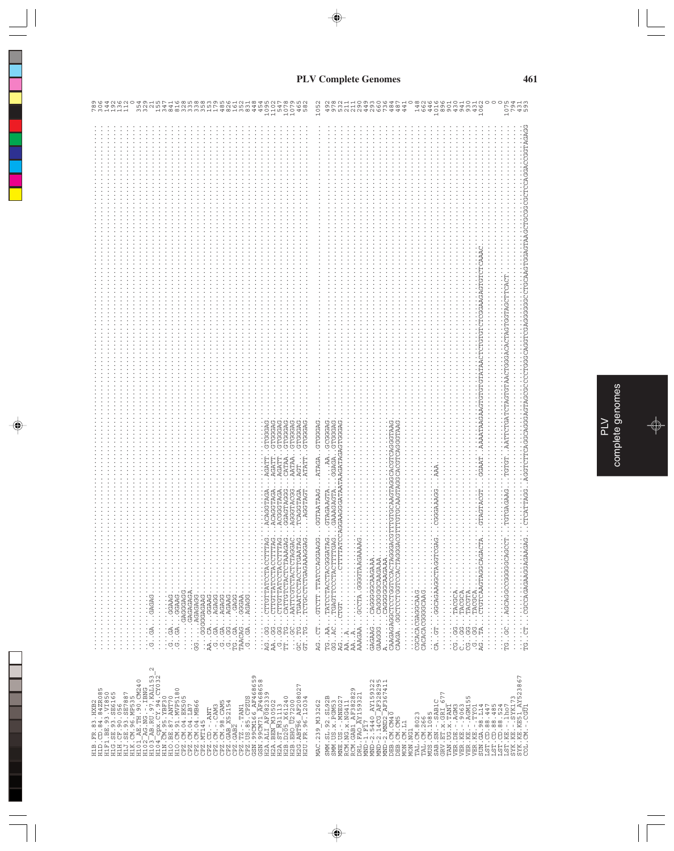| genom        |
|--------------|
|              |
|              |
|              |
|              |
|              |
| ŋ            |
| $\bar{\Phi}$ |
|              |
|              |
|              |
|              |
|              |
| Š            |
|              |
|              |
|              |

ā

| FWHHHH<br>0040WH<br>0040WH                                                                                                                                                                                                                                                                                                                                                                                                                                                                                                                                                                                                                                                                                                                                                                                                                                                                                                                                                                                                                                                                                                                                                                                                                                                                                     | מט - H W 80 W W W W H H 4 & H W & 4 A D H M O O 4 M<br>תואט A 4 H H U W W W D W D W W D W A D W D A H D O A H D O A W<br>4 W H M D H M & M W W W W W M M H U H & 4 M V L & W M V<br>$\rightarrow$ $\rightarrow$<br>$\overline{a}$                                                                                                                                                                                                                                                                                                                                                                                                                                                                                                                                                                                                                                                                                                                                                                                                                                                                                                                             | 1052                                                                                                                                                                                                                                                                                                                                                                                                                                                                      | 40 P O O O A A O O A A 4<br>0 アミエエタ 4 9 のうるる 4<br>0 アミエエクタミクタキアエ<br>$\circ$                                                                                                                                                                                                                           | H Q 4 Q W Q A Q U A Q 4<br>4 Q 4 H Q Q W 4 W W Q Q<br>4 Q 4 H Q Q Q 4 Q Q 4 Q Q<br>OL4E<br>しりとし<br>つしょこ<br>$\overline{\phantom{0}}$<br>$\overline{\phantom{0}}$                                                                                                                                                                                                                                                                                                                                                                                                                                                                                                                                                                                                      |      |
|----------------------------------------------------------------------------------------------------------------------------------------------------------------------------------------------------------------------------------------------------------------------------------------------------------------------------------------------------------------------------------------------------------------------------------------------------------------------------------------------------------------------------------------------------------------------------------------------------------------------------------------------------------------------------------------------------------------------------------------------------------------------------------------------------------------------------------------------------------------------------------------------------------------------------------------------------------------------------------------------------------------------------------------------------------------------------------------------------------------------------------------------------------------------------------------------------------------------------------------------------------------------------------------------------------------|---------------------------------------------------------------------------------------------------------------------------------------------------------------------------------------------------------------------------------------------------------------------------------------------------------------------------------------------------------------------------------------------------------------------------------------------------------------------------------------------------------------------------------------------------------------------------------------------------------------------------------------------------------------------------------------------------------------------------------------------------------------------------------------------------------------------------------------------------------------------------------------------------------------------------------------------------------------------------------------------------------------------------------------------------------------------------------------------------------------------------------------------------------------|---------------------------------------------------------------------------------------------------------------------------------------------------------------------------------------------------------------------------------------------------------------------------------------------------------------------------------------------------------------------------------------------------------------------------------------------------------------------------|-------------------------------------------------------------------------------------------------------------------------------------------------------------------------------------------------------------------------------------------------------------------------------------------------------|----------------------------------------------------------------------------------------------------------------------------------------------------------------------------------------------------------------------------------------------------------------------------------------------------------------------------------------------------------------------------------------------------------------------------------------------------------------------------------------------------------------------------------------------------------------------------------------------------------------------------------------------------------------------------------------------------------------------------------------------------------------------|------|
| $\frac{1}{2}$ , $\frac{1}{2}$ , $\frac{1}{2}$ , $\frac{1}{2}$ , $\frac{1}{2}$ , $\frac{1}{2}$<br>$\begin{array}{c} \cdot \cdot \\ \cdot \cdot \\ \cdot \cdot \\ \cdot \end{array}$<br>.<br>.<br>$\begin{minipage}{0.9\linewidth} \begin{tabular}{l} \multicolumn{2}{c}{\textbf{\textit{1}}}\\ \multicolumn{2}{c}{\textbf{\textit{1}}}\\ \multicolumn{2}{c}{\textbf{\textit{2}}}\\ \multicolumn{2}{c}{\textbf{\textit{2}}}\\ \multicolumn{2}{c}{\textbf{\textit{2}}}\\ \multicolumn{2}{c}{\textbf{\textit{2}}}\\ \multicolumn{2}{c}{\textbf{\textit{2}}}\\ \multicolumn{2}{c}{\textbf{\textit{3}}}\\ \multicolumn{2}{c}{\textbf{\textit{2}}}\\ \multicolumn{2}{c}{\textbf{\textit{2}}}\\ \multicolumn{2}{c}{$<br>CAGGGAGG<br>$\frac{1}{2}$ $\frac{1}{2}$ $\frac{1}{2}$ $\frac{1}{2}$ $\frac{1}{2}$ $\frac{1}{2}$ $\frac{1}{2}$ $\frac{1}{2}$ $\frac{1}{2}$ $\frac{1}{2}$ $\frac{1}{2}$ $\frac{1}{2}$ $\frac{1}{2}$ $\frac{1}{2}$ $\frac{1}{2}$ $\frac{1}{2}$ $\frac{1}{2}$ $\frac{1}{2}$ $\frac{1}{2}$ $\frac{1}{2}$ $\frac{1}{2}$ $\frac{1}{2}$<br>.<br>$\vdots$<br>$\ddot{\phantom{0}}$<br>$\vdots$<br>$\vdots$<br>$\frac{1}{2}$<br>$\vdots$<br>$\vdots$<br>$\vdots$<br>$\vdots$<br>$\vdots$<br>$\vdots$<br>c)<br>$\ddot{\phantom{a}}$<br>$\vdots$<br>: ෆ<br>$\ddot{\phantom{0}}$<br>$\ddot{\cdot}$<br>$\sim$ | GTGGGAG<br>GTGGGAG<br>GTGGGAG<br>$. . A GATTT T T T.$<br>.AGATT<br>$\ddot{\cdot}$<br>ACAGGTAGA<br>- ACGGGTAGA<br>- GGAGTAGG<br>- AGGGTAGA.<br>- TCAGGTAGA.<br>CAGGTAGA<br>К<br>$\begin{minipage}{0.9\textwidth} \begin{minipage}{0.9\textwidth} \begin{tabular}{l} \multicolumn{2}{c}{\textbf{A}} & \multicolumn{2}{c}{\textbf{A}} & \multicolumn{2}{c}{\textbf{A}} & \multicolumn{2}{c}{\textbf{A}} & \multicolumn{2}{c}{\textbf{A}} \\ \multicolumn{2}{c}{\textbf{A}} & \multicolumn{2}{c}{\textbf{A}} & \multicolumn{2}{c}{\textbf{A}} & \multicolumn{2}{c}{\textbf{A}} & \multicolumn{2}{c}{\textbf{A}} & \multicolumn{2}{c}{\textbf{A}} \\ \multicolumn{2}{c$<br>$\frac{1}{2}$ $\frac{1}{2}$ $\frac{1}{2}$ $\frac{1}{2}$ $\frac{1}{2}$ $\frac{1}{2}$ $\frac{1}{2}$ $\frac{1}{2}$ $\frac{1}{2}$ $\frac{1}{2}$ $\frac{1}{2}$ $\frac{1}{2}$ $\frac{1}{2}$ $\frac{1}{2}$ $\frac{1}{2}$ $\frac{1}{2}$ $\frac{1}{2}$ $\frac{1}{2}$ $\frac{1}{2}$ $\frac{1}{2}$ $\frac{1}{2}$ $\frac{1}{2}$<br>$\frac{1}{2}$<br>$\frac{1}{2}$<br>$\frac{1}{2}$<br>$\frac{1}{2}$<br>$\vdots$<br>. AGAGAGG<br>AA.<br>DREOGOODDDD<br>AACA<br>AGAGAGAGA<br>$\frac{1}{2}$<br>$\cdot$ | GTGGGAG.<br>GTGGGAG.<br>GGAGA AA GCGGGAG<br>GGAGA GTCGGAG<br>GTGGGAG<br>CTCCCAC<br>CAGGGULDAGATAATAATAATAAGGULGAG<br>CATAA<br>. AATAA<br>. AGT<br>. ATATT .<br>. ATAGA<br>$\cdot$<br>GGTAATAAG.<br>GAAAGAGTA<br>GTAGAAGTA<br>PGGTAGT.<br>rrirgzarrierchachtanasas<br>ecanrierchachterasas<br>ecanrierchachterasasa<br>rgrgrenectricasasasasasas<br>CTCTT.TTATCCAGAAGG<br>TGAATATCCTACCTACGGGATAG<br>GGACTGAGTTCCCTACTTTGAG<br>AA<br>AAAGAA GCCTA . GGGGTAAGAAAAG<br>AG.CT | TTTGCAAGTAGCACGTCAGGTAAG<br><b>GTTTDCAGCAGCACODECHELD</b><br>رج<br>ACAGGGGCAAGAAA<br>CAAGAGGCTCCTGGTCCACTAGGGAC<br>CAAGAGGCTCCTCACTACTAGGGC<br>$\ddot{\cdot}$<br>GAAGGGCAGGGGCAAGAAA<br>$\cdot$<br>GAGAAGCAGGGGGCAAGAAA<br>.<br>$\frac{1}{2}$<br>$\ddot{\cdot}$<br>CGCACACGAGGCAAG<br>CACACACGGGGCAAG | TGTGT<br>GGAAT.<br>AAA<br>CGGGAAAGG<br>TGTGAGAAG<br>GTAGTACGT<br>. IAUUA.<br>CTGTCAAGTAGCAGACTA<br>$\vdots$<br>$\vdots$<br>$\vdots$<br>$\frac{1}{2}$<br>$\vdots$<br>$\vdots$<br>$\vdots$<br>$\vdots$<br>$\vdots$<br>$\vdots$<br>$\vdots$<br>$\vdots$<br>$\ddot{\phantom{0}}$<br>$\begin{array}{ll} \mbox{C3:}\dots&\mbox{C4:}\dots&\mbox{C5:}\dots&\mbox{C6:}\dots&\mbox{C6:}\dots&\mbox{C6:}\dots&\mbox{C6:}\dots&\mbox{C6:}\dots&\mbox{C6:}\dots&\mbox{C6:}\dots&\mbox{C6:}\dots&\mbox{C6:}\dots&\mbox{C6:}\dots&\mbox{C6:}\dots&\mbox{C6:}\dots&\mbox{C6:}\dots&\mbox{C6:}\dots&\mbox{C6:}\dots&\mbox{C6:}\dots&\mbox{C6:}\dots&\mbox{C6:}\dots&\mbox$<br>$\vdots$<br>$\frac{1}{2}$<br>$\vdots$<br>$\vdots$<br>$\vdots$<br>$\vdots$<br>$\vdots$<br>$\ddot{\cdot}$ | AGAG |

 $\begin{small} &\textbf{1111} & \textbf{1212} & \textbf{133} & \textbf{14432} & \textbf{15533} & \textbf{15635} & \textbf{1571} & \textbf{1581} & \textbf{15820} & \textbf{1581} & \textbf{1581} & \textbf{1581} & \textbf{1581} & \textbf{1581} & \textbf{1581} & \textbf{1581} & \textbf{1581} & \textbf{1581} & \textbf{1581} & \textbf{1581} & \textbf{1581} & \$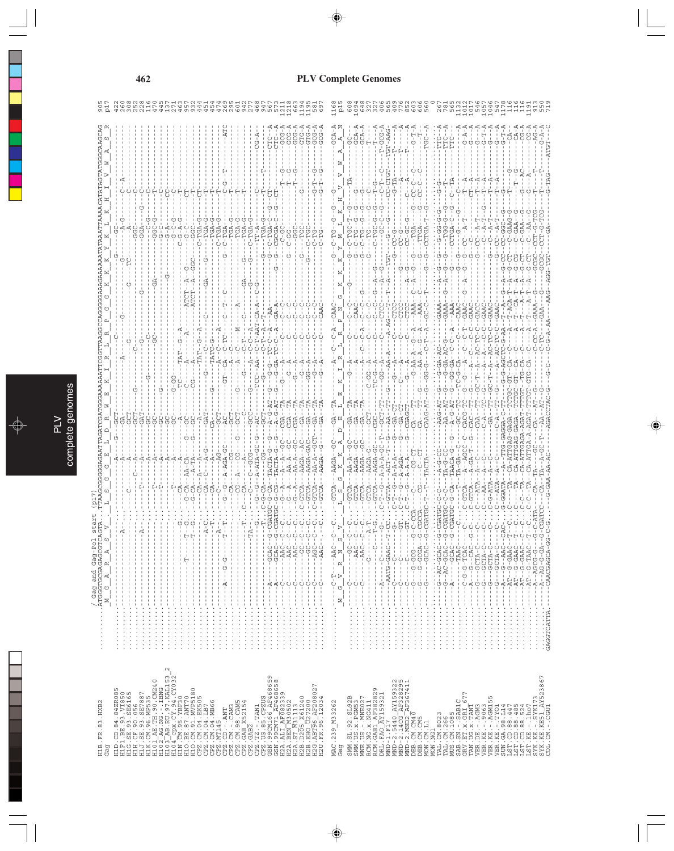| ì<br>ř<br>ř<br>ĭ |
|------------------|
| í                |
|                  |

S

ပ္က

|                                                                                                                                                                                                                                                                                                | $\operatorname{\mathsf{K}}\nolimits_i$<br>$\simeq$<br>$\mathbb{A}^t$<br>U<br>$\sum$                                                                                                                                                                                                                                                                                                                                                                                                                |  |  |  |  |
|------------------------------------------------------------------------------------------------------------------------------------------------------------------------------------------------------------------------------------------------------------------------------------------------|----------------------------------------------------------------------------------------------------------------------------------------------------------------------------------------------------------------------------------------------------------------------------------------------------------------------------------------------------------------------------------------------------------------------------------------------------------------------------------------------------|--|--|--|--|
| $\begin{small} \tt{H1D\_CD\_84\_842R085} \tt{H1D\_CD\_84\_842R085} \tt{H1C\_125\_35\_3716850} \tt{H1C\_125\_35\_3716850} \tt{H1L\_2F\_30\_0165} \tt{H1L\_2F\_30\_016240} \tt{H1H\_2F\_30\_016240} \tt{H1H\_2F\_30\_016240} \tt{H1L\_2F\_30\_016240} \tt{H1L\_2F\_30\_0162\_0162\_0162\_0162\_$ | $\mathbb{I}$                                                                                                                                                                                                                                                                                                                                                                                                                                                                                       |  |  |  |  |
|                                                                                                                                                                                                                                                                                                | $\frac{1}{4}$<br>$\,$ $\,$<br>$\frac{1}{1}$<br>Ì                                                                                                                                                                                                                                                                                                                                                                                                                                                   |  |  |  |  |
|                                                                                                                                                                                                                                                                                                | $\frac{1}{1}$<br>$\begin{array}{c} \begin{array}{c} \text{ } \\ \text{ } \\ \text{ } \\ \text{ } \\ \text{ } \\ \text{ } \\ \end{array} \end{array}$<br>$\frac{1}{2}$ $\frac{1}{2}$ $\frac{1}{2}$ $\frac{1}{2}$ $\frac{1}{2}$ $\frac{1}{2}$ $\frac{1}{2}$ $\frac{1}{2}$ $\frac{1}{2}$ $\frac{1}{2}$ $\frac{1}{2}$ $\frac{1}{2}$ $\frac{1}{2}$ $\frac{1}{2}$ $\frac{1}{2}$ $\frac{1}{2}$ $\frac{1}{2}$ $\frac{1}{2}$ $\frac{1}{2}$ $\frac{1}{2}$ $\frac{1}{2}$ $\frac{1}{2}$                        |  |  |  |  |
|                                                                                                                                                                                                                                                                                                | ł                                                                                                                                                                                                                                                                                                                                                                                                                                                                                                  |  |  |  |  |
| $\frac{1}{2}$ , $\frac{1}{2}$ , $\frac{1}{2}$ , $\frac{1}{2}$ , $\frac{1}{2}$ , $\frac{1}{2}$ , $\frac{1}{2}$                                                                                                                                                                                  | $\frac{1}{4}$<br>$\begin{bmatrix} 1 \\ 1 \\ 1 \\ 1 \end{bmatrix}$                                                                                                                                                                                                                                                                                                                                                                                                                                  |  |  |  |  |
|                                                                                                                                                                                                                                                                                                | Ť<br>$\frac{1}{4}$                                                                                                                                                                                                                                                                                                                                                                                                                                                                                 |  |  |  |  |
|                                                                                                                                                                                                                                                                                                | ï<br>$\frac{1}{2}$                                                                                                                                                                                                                                                                                                                                                                                                                                                                                 |  |  |  |  |
|                                                                                                                                                                                                                                                                                                | $\mathbf{I}$<br>$\mathsf I$                                                                                                                                                                                                                                                                                                                                                                                                                                                                        |  |  |  |  |
|                                                                                                                                                                                                                                                                                                | $\frac{1}{1}$<br>$\frac{1}{1}$<br>$\frac{1}{1}$                                                                                                                                                                                                                                                                                                                                                                                                                                                    |  |  |  |  |
|                                                                                                                                                                                                                                                                                                | I<br>$\frac{1}{2}$<br>$\frac{1}{1}$                                                                                                                                                                                                                                                                                                                                                                                                                                                                |  |  |  |  |
|                                                                                                                                                                                                                                                                                                | $\vdots$                                                                                                                                                                                                                                                                                                                                                                                                                                                                                           |  |  |  |  |
|                                                                                                                                                                                                                                                                                                | $\frac{1}{4}$                                                                                                                                                                                                                                                                                                                                                                                                                                                                                      |  |  |  |  |
|                                                                                                                                                                                                                                                                                                |                                                                                                                                                                                                                                                                                                                                                                                                                                                                                                    |  |  |  |  |
|                                                                                                                                                                                                                                                                                                |                                                                                                                                                                                                                                                                                                                                                                                                                                                                                                    |  |  |  |  |
|                                                                                                                                                                                                                                                                                                | $\frac{1}{1}$<br>$\frac{1}{1}$<br>$\begin{bmatrix} 1 & 0 & 0 & 0 \\ 0 & 1 & 0 & 0 \\ 0 & 0 & 0 & 0 \\ 0 & 0 & 0 & 0 \\ 0 & 0 & 0 & 0 \\ 0 & 0 & 0 & 0 \\ 0 & 0 & 0 & 0 \\ 0 & 0 & 0 & 0 & 0 \\ 0 & 0 & 0 & 0 & 0 \\ 0 & 0 & 0 & 0 & 0 \\ 0 & 0 & 0 & 0 & 0 & 0 \\ 0 & 0 & 0 & 0 & 0 & 0 \\ 0 & 0 & 0 & 0 & 0 & 0 \\ 0 & 0 & 0 & 0 & 0 & 0 \\ 0 & 0 & 0 & 0 & $                                                                                                                                     |  |  |  |  |
|                                                                                                                                                                                                                                                                                                |                                                                                                                                                                                                                                                                                                                                                                                                                                                                                                    |  |  |  |  |
| $\frac{1}{2}$                                                                                                                                                                                                                                                                                  | $\,$ I<br>$\,$<br>$\frac{1}{2}$                                                                                                                                                                                                                                                                                                                                                                                                                                                                    |  |  |  |  |
|                                                                                                                                                                                                                                                                                                |                                                                                                                                                                                                                                                                                                                                                                                                                                                                                                    |  |  |  |  |
|                                                                                                                                                                                                                                                                                                |                                                                                                                                                                                                                                                                                                                                                                                                                                                                                                    |  |  |  |  |
|                                                                                                                                                                                                                                                                                                | $\frac{1}{1}$<br>J,<br>$-1$                                                                                                                                                                                                                                                                                                                                                                                                                                                                        |  |  |  |  |
|                                                                                                                                                                                                                                                                                                | ł<br>$\frac{1}{2}$<br>ł<br>.                                                                                                                                                                                                                                                                                                                                                                                                                                                                       |  |  |  |  |
|                                                                                                                                                                                                                                                                                                | $\frac{1}{2}$<br>Ť                                                                                                                                                                                                                                                                                                                                                                                                                                                                                 |  |  |  |  |
|                                                                                                                                                                                                                                                                                                | $\frac{1}{2}$ , $\frac{1}{2}$ , $\frac{1}{2}$ , $\frac{1}{2}$ , $\frac{1}{2}$ , $\frac{1}{2}$ , $\frac{1}{2}$ , $\frac{1}{2}$ , $\frac{1}{2}$ , $\frac{1}{2}$                                                                                                                                                                                                                                                                                                                                      |  |  |  |  |
|                                                                                                                                                                                                                                                                                                | ţ<br>$\frac{1}{1}$<br>$\frac{1}{1}$<br>$\frac{1}{4}$                                                                                                                                                                                                                                                                                                                                                                                                                                               |  |  |  |  |
|                                                                                                                                                                                                                                                                                                | f,<br>$\mathbf{I}$<br>$\,$<br>J.<br>$\mathbf{I}$<br>Ŷ.<br>$\mathbf{I}$                                                                                                                                                                                                                                                                                                                                                                                                                             |  |  |  |  |
|                                                                                                                                                                                                                                                                                                |                                                                                                                                                                                                                                                                                                                                                                                                                                                                                                    |  |  |  |  |
|                                                                                                                                                                                                                                                                                                |                                                                                                                                                                                                                                                                                                                                                                                                                                                                                                    |  |  |  |  |
|                                                                                                                                                                                                                                                                                                | $- - - - - - -$                                                                                                                                                                                                                                                                                                                                                                                                                                                                                    |  |  |  |  |
|                                                                                                                                                                                                                                                                                                |                                                                                                                                                                                                                                                                                                                                                                                                                                                                                                    |  |  |  |  |
|                                                                                                                                                                                                                                                                                                | -------                                                                                                                                                                                                                                                                                                                                                                                                                                                                                            |  |  |  |  |
|                                                                                                                                                                                                                                                                                                | --------AAC                                                                                                                                                                                                                                                                                                                                                                                                                                                                                        |  |  |  |  |
|                                                                                                                                                                                                                                                                                                |                                                                                                                                                                                                                                                                                                                                                                                                                                                                                                    |  |  |  |  |
|                                                                                                                                                                                                                                                                                                | $-3AA-$<br>ŧ<br>$-1 - 1$<br>$\frac{1}{2}$                                                                                                                                                                                                                                                                                                                                                                                                                                                          |  |  |  |  |
|                                                                                                                                                                                                                                                                                                | $-$ -AAC $-$<br>ł<br>$- - -$                                                                                                                                                                                                                                                                                                                                                                                                                                                                       |  |  |  |  |
|                                                                                                                                                                                                                                                                                                |                                                                                                                                                                                                                                                                                                                                                                                                                                                                                                    |  |  |  |  |
|                                                                                                                                                                                                                                                                                                | - 10<br>- 1<br>$\mathbf{I}$<br>$\frac{1}{4}$                                                                                                                                                                                                                                                                                                                                                                                                                                                       |  |  |  |  |
|                                                                                                                                                                                                                                                                                                |                                                                                                                                                                                                                                                                                                                                                                                                                                                                                                    |  |  |  |  |
| .                                                                                                                                                                                                                                                                                              | ------<br>$\begin{array}{c} \rule{0.2cm}{0.15mm} \rule{0.2cm}{0.15mm} \rule{0.2cm}{0.15mm} \rule{0.2cm}{0.15mm} \rule{0.2cm}{0.15mm} \rule{0.2cm}{0.15mm} \rule{0.2cm}{0.15mm} \rule{0.2cm}{0.15mm} \rule{0.2cm}{0.15mm} \rule{0.2cm}{0.15mm} \rule{0.2cm}{0.15mm} \rule{0.2cm}{0.15mm} \rule{0.2cm}{0.15mm} \rule{0.2cm}{0.15mm} \rule{0.2cm}{0.15mm} \rule{$<br>$\frac{1}{1}$<br>U - - - - -                                                                                                     |  |  |  |  |
|                                                                                                                                                                                                                                                                                                | $-394 - -$<br>ł<br>$\frac{1}{2}$                                                                                                                                                                                                                                                                                                                                                                                                                                                                   |  |  |  |  |
| .                                                                                                                                                                                                                                                                                              |                                                                                                                                                                                                                                                                                                                                                                                                                                                                                                    |  |  |  |  |
| $\vdots$                                                                                                                                                                                                                                                                                       | -<br>$-$ AAC<br>$\mathbf{I}$<br>$\mathbf{I}$<br>$-1$<br>$\frac{1}{2}$                                                                                                                                                                                                                                                                                                                                                                                                                              |  |  |  |  |
|                                                                                                                                                                                                                                                                                                |                                                                                                                                                                                                                                                                                                                                                                                                                                                                                                    |  |  |  |  |
|                                                                                                                                                                                                                                                                                                | $-3AA-$<br>$\,$<br>$-1$ - $-1$                                                                                                                                                                                                                                                                                                                                                                                                                                                                     |  |  |  |  |
|                                                                                                                                                                                                                                                                                                |                                                                                                                                                                                                                                                                                                                                                                                                                                                                                                    |  |  |  |  |
|                                                                                                                                                                                                                                                                                                | $\triangleright$<br>$\approx$<br>$\triangleright$<br>$\circ$<br>Σ                                                                                                                                                                                                                                                                                                                                                                                                                                  |  |  |  |  |
|                                                                                                                                                                                                                                                                                                |                                                                                                                                                                                                                                                                                                                                                                                                                                                                                                    |  |  |  |  |
|                                                                                                                                                                                                                                                                                                |                                                                                                                                                                                                                                                                                                                                                                                                                                                                                                    |  |  |  |  |
|                                                                                                                                                                                                                                                                                                |                                                                                                                                                                                                                                                                                                                                                                                                                                                                                                    |  |  |  |  |
|                                                                                                                                                                                                                                                                                                |                                                                                                                                                                                                                                                                                                                                                                                                                                                                                                    |  |  |  |  |
|                                                                                                                                                                                                                                                                                                |                                                                                                                                                                                                                                                                                                                                                                                                                                                                                                    |  |  |  |  |
|                                                                                                                                                                                                                                                                                                |                                                                                                                                                                                                                                                                                                                                                                                                                                                                                                    |  |  |  |  |
|                                                                                                                                                                                                                                                                                                |                                                                                                                                                                                                                                                                                                                                                                                                                                                                                                    |  |  |  |  |
|                                                                                                                                                                                                                                                                                                | $\blacksquare$                                                                                                                                                                                                                                                                                                                                                                                                                                                                                     |  |  |  |  |
|                                                                                                                                                                                                                                                                                                | $-1 - 1$<br>j<br>$\frac{1}{4}$                                                                                                                                                                                                                                                                                                                                                                                                                                                                     |  |  |  |  |
|                                                                                                                                                                                                                                                                                                | $-1 - 1 - 1 - 1 - 1$<br>$\mathbf{I}$<br>j.                                                                                                                                                                                                                                                                                                                                                                                                                                                         |  |  |  |  |
|                                                                                                                                                                                                                                                                                                | A                                                                                                                                                                                                                                                                                                                                                                                                                                                                                                  |  |  |  |  |
|                                                                                                                                                                                                                                                                                                |                                                                                                                                                                                                                                                                                                                                                                                                                                                                                                    |  |  |  |  |
|                                                                                                                                                                                                                                                                                                |                                                                                                                                                                                                                                                                                                                                                                                                                                                                                                    |  |  |  |  |
|                                                                                                                                                                                                                                                                                                |                                                                                                                                                                                                                                                                                                                                                                                                                                                                                                    |  |  |  |  |
|                                                                                                                                                                                                                                                                                                |                                                                                                                                                                                                                                                                                                                                                                                                                                                                                                    |  |  |  |  |
|                                                                                                                                                                                                                                                                                                |                                                                                                                                                                                                                                                                                                                                                                                                                                                                                                    |  |  |  |  |
|                                                                                                                                                                                                                                                                                                | $-1$<br>$\frac{1}{1}$                                                                                                                                                                                                                                                                                                                                                                                                                                                                              |  |  |  |  |
|                                                                                                                                                                                                                                                                                                |                                                                                                                                                                                                                                                                                                                                                                                                                                                                                                    |  |  |  |  |
|                                                                                                                                                                                                                                                                                                | $\ddot{a}$                                                                                                                                                                                                                                                                                                                                                                                                                                                                                         |  |  |  |  |
| Ì                                                                                                                                                                                                                                                                                              | $\frac{1}{2}$                                                                                                                                                                                                                                                                                                                                                                                                                                                                                      |  |  |  |  |
|                                                                                                                                                                                                                                                                                                | $\ddot{\circ}$<br>$\frac{1}{2}$                                                                                                                                                                                                                                                                                                                                                                                                                                                                    |  |  |  |  |
|                                                                                                                                                                                                                                                                                                | $-$ -CACAC $-$<br>$- - - - - - - - - - - - - - - - -$                                                                                                                                                                                                                                                                                                                                                                                                                                              |  |  |  |  |
|                                                                                                                                                                                                                                                                                                | $\frac{1}{2}$                                                                                                                                                                                                                                                                                                                                                                                                                                                                                      |  |  |  |  |
|                                                                                                                                                                                                                                                                                                |                                                                                                                                                                                                                                                                                                                                                                                                                                                                                                    |  |  |  |  |
|                                                                                                                                                                                                                                                                                                |                                                                                                                                                                                                                                                                                                                                                                                                                                                                                                    |  |  |  |  |
|                                                                                                                                                                                                                                                                                                |                                                                                                                                                                                                                                                                                                                                                                                                                                                                                                    |  |  |  |  |
|                                                                                                                                                                                                                                                                                                |                                                                                                                                                                                                                                                                                                                                                                                                                                                                                                    |  |  |  |  |
|                                                                                                                                                                                                                                                                                                | $-100 - 1$<br>ŧ<br><b>A</b> ------------                                                                                                                                                                                                                                                                                                                                                                                                                                                           |  |  |  |  |
|                                                                                                                                                                                                                                                                                                |                                                                                                                                                                                                                                                                                                                                                                                                                                                                                                    |  |  |  |  |
|                                                                                                                                                                                                                                                                                                | --TAAC-<br>$\frac{1}{1}$                                                                                                                                                                                                                                                                                                                                                                                                                                                                           |  |  |  |  |
|                                                                                                                                                                                                                                                                                                | $- - - - - - - - - -$                                                                                                                                                                                                                                                                                                                                                                                                                                                                              |  |  |  |  |
|                                                                                                                                                                                                                                                                                                |                                                                                                                                                                                                                                                                                                                                                                                                                                                                                                    |  |  |  |  |
|                                                                                                                                                                                                                                                                                                | A                                                                                                                                                                                                                                                                                                                                                                                                                                                                                                  |  |  |  |  |
|                                                                                                                                                                                                                                                                                                |                                                                                                                                                                                                                                                                                                                                                                                                                                                                                                    |  |  |  |  |
|                                                                                                                                                                                                                                                                                                |                                                                                                                                                                                                                                                                                                                                                                                                                                                                                                    |  |  |  |  |
|                                                                                                                                                                                                                                                                                                | <b>ロー・・・・・・・・・・・・・・</b>                                                                                                                                                                                                                                                                                                                                                                                                                                                                            |  |  |  |  |
|                                                                                                                                                                                                                                                                                                |                                                                                                                                                                                                                                                                                                                                                                                                                                                                                                    |  |  |  |  |
|                                                                                                                                                                                                                                                                                                |                                                                                                                                                                                                                                                                                                                                                                                                                                                                                                    |  |  |  |  |
|                                                                                                                                                                                                                                                                                                |                                                                                                                                                                                                                                                                                                                                                                                                                                                                                                    |  |  |  |  |
|                                                                                                                                                                                                                                                                                                |                                                                                                                                                                                                                                                                                                                                                                                                                                                                                                    |  |  |  |  |
|                                                                                                                                                                                                                                                                                                |                                                                                                                                                                                                                                                                                                                                                                                                                                                                                                    |  |  |  |  |
|                                                                                                                                                                                                                                                                                                |                                                                                                                                                                                                                                                                                                                                                                                                                                                                                                    |  |  |  |  |
|                                                                                                                                                                                                                                                                                                |                                                                                                                                                                                                                                                                                                                                                                                                                                                                                                    |  |  |  |  |
|                                                                                                                                                                                                                                                                                                |                                                                                                                                                                                                                                                                                                                                                                                                                                                                                                    |  |  |  |  |
|                                                                                                                                                                                                                                                                                                |                                                                                                                                                                                                                                                                                                                                                                                                                                                                                                    |  |  |  |  |
|                                                                                                                                                                                                                                                                                                | $\begin{aligned} &\cdots \stackrel{d}{\sim} \cdots \stackrel{d}{\sim} \cdots \stackrel{d}{\sim} \cdots \stackrel{d}{\sim} \cdots \stackrel{d}{\sim} \cdots \stackrel{d}{\sim} \cdots \stackrel{d}{\sim} \cdots \stackrel{d}{\sim} \cdots \stackrel{d}{\sim} \cdots \stackrel{d}{\sim} \cdots \stackrel{d}{\sim} \cdots \stackrel{d}{\sim} \cdots \stackrel{d}{\sim} \cdots \stackrel{d}{\sim} \cdots \stackrel{d}{\sim} \cdots \stackrel{d}{\sim} \cdots \stackrel{d}{\sim} \cdots \stackrel{d}{\$ |  |  |  |  |
|                                                                                                                                                                                                                                                                                                |                                                                                                                                                                                                                                                                                                                                                                                                                                                                                                    |  |  |  |  |
|                                                                                                                                                                                                                                                                                                |                                                                                                                                                                                                                                                                                                                                                                                                                                                                                                    |  |  |  |  |
|                                                                                                                                                                                                                                                                                                |                                                                                                                                                                                                                                                                                                                                                                                                                                                                                                    |  |  |  |  |
|                                                                                                                                                                                                                                                                                                | $\frac{1}{2}$ , $\frac{1}{2}$ , $\frac{1}{2}$ , $\frac{1}{2}$ , $\frac{1}{2}$ , $\frac{1}{2}$                                                                                                                                                                                                                                                                                                                                                                                                      |  |  |  |  |
|                                                                                                                                                                                                                                                                                                | GAGGTCATTA                                                                                                                                                                                                                                                                                                                                                                                                                                                                                         |  |  |  |  |
|                                                                                                                                                                                                                                                                                                |                                                                                                                                                                                                                                                                                                                                                                                                                                                                                                    |  |  |  |  |
|                                                                                                                                                                                                                                                                                                |                                                                                                                                                                                                                                                                                                                                                                                                                                                                                                    |  |  |  |  |
|                                                                                                                                                                                                                                                                                                |                                                                                                                                                                                                                                                                                                                                                                                                                                                                                                    |  |  |  |  |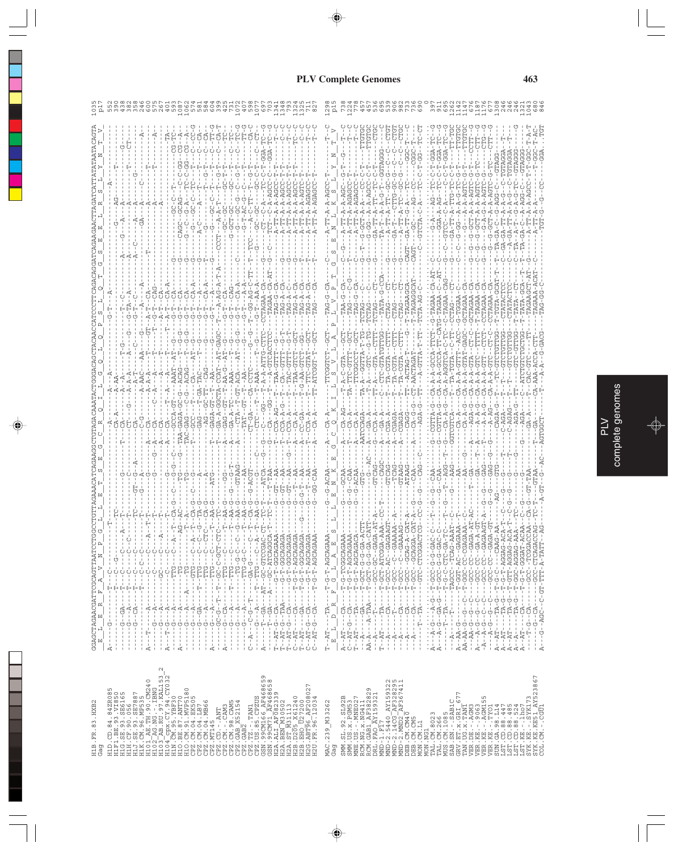| ì<br>č<br>J |
|-------------|
| ï<br>5      |
| ī<br>į      |

| $\mathbf{\underline{\alpha}}$<br>Z<br>$\triangleright$<br>$\Delta_i^t$ | $- - -$<br>$- - -$<br>$-4$<br>$-10$<br>シー<br>$\frac{1}{1}$<br>$\frac{1}{2}$<br>$\frac{1}{2}$<br>$\frac{1}{4}$<br>$\frac{1}{4}$<br>$\,$ I<br>Í<br>f,<br>t<br>$\frac{1}{1}$<br>$\frac{1}{1}$<br>$\mathbf{I}$<br>J.<br>$\frac{1}{1}$<br>$-1$<br>$-1$<br>$-1$<br>$\frac{1}{2}$<br>$-1 - 1 - 1$<br>$-1$<br>$-1$<br>$\frac{1}{2}$<br>$- - - - - - - - -$<br>$T T G - -C$<br>$- - - 1212 - - -$<br>$- - -$<br>$-5 - 5 - 11$<br>J.<br>$\frac{1}{2}$<br>$\mathbf{u}$<br>$\,$<br>$\frac{1}{4}$<br>÷<br>Ť<br>t<br>t<br>$---TTG$<br>$-$ -TTG<br>$- - - - 1G$<br>$\blacksquare$<br>U<br>U<br>---<br>$-1 - 1 - 1 - 1$<br>ں<br>ا<br>$\mathbf{I}$<br>$\frac{1}{4}$                                                                                                                                                                                                                                                                                                                                                                                                            | --T-G-T-AGCAGAAI<br>F G L A E<br>--GCC-GC--GAGZ<br>こりよりひりし - ひけの - -<br>$-TAGCCI - TCAG - AJ$<br>3455-55-7-1-1-<br>$-$ GAG $i$<br>$-90-0-0-0-0$<br>--GCC-CC--GAGI<br>--GCC-CC--GAGI<br>$-T-CG-T-ACI-CAGI$<br>$-$ -CAAG<br>-- T-9-DECOODD-<br>$-1.5999 - T - G - T - G - T - A$<br>URDDUH - - UUD - -<br>--GCC-CLCAGAC<br>- CC<br>-GC-                                                                                                                                                                                                                                                                                                                                                                                                                                                                                                                                             |
|------------------------------------------------------------------------|---------------------------------------------------------------------------------------------------------------------------------------------------------------------------------------------------------------------------------------------------------------------------------------------------------------------------------------------------------------------------------------------------------------------------------------------------------------------------------------------------------------------------------------------------------------------------------------------------------------------------------------------------------------------------------------------------------------------------------------------------------------------------------------------------------------------------------------------------------------------------------------------------------------------------------------------------------------------------------------------------------------------------------------------------------------|-----------------------------------------------------------------------------------------------------------------------------------------------------------------------------------------------------------------------------------------------------------------------------------------------------------------------------------------------------------------------------------------------------------------------------------------------------------------------------------------------------------------------------------------------------------------------------------------------------------------------------------------------------------------------------------------------------------------------------------------------------------------------------------------------------------------------------------------------------------------------------------|
| GGAGCTAGAACGATTCGCAGTTAATCCT<br>$\mathbb{E}$<br>α<br>囜<br>$\Box$<br>囸  | URDUULD-UD---HR----RD---L------R<br>$- -A - - -A - - -TG$<br>U---------<br><b>00--------</b><br>$G - -GA - - - -T - -$<br>턱<br>÷.<br>$G - - -A - - - - -$<br>$- - - A T - G - - C A - - - -$<br>$- -A - - -$<br>$- - -p$<br>$- -A - - -$<br>$----P$<br>$- - - - - - - - - - - - - - - -$<br>$- -C1 - C1 - C1$<br>$\frac{1}{1}$<br>$\mathbf{I}$<br>$-4$<br>$\mathbf{I}$<br>$-1$<br>$- - - A$<br>$\mathbf{I}$<br>-<br>$\mathbf I$<br>$\,$ I<br>$\frac{1}{6}$<br>$\frac{1}{2}$ $\frac{1}{2}$ $\frac{1}{2}$ $\frac{1}{2}$<br>$\begin{array}{c}\n1 \\ 0 \\ 1\n\end{array}$<br>ひ<br>ひ<br>ひ<br>$\mathbf{I}$<br>$- - 1 - - - -$<br>ひ<br>$- - A T - -$<br>$- - A T - -$<br>$\,$ I<br>$\frac{1}{1}$<br>Î.<br>Ť<br>Ť<br>$\frac{1}{1}$<br>$\bar{1}$<br>$\sf I$<br>$\frac{1}{1}$<br>$\frac{1}{1}$<br>ł<br>ţ<br>$\frac{1}{1}$<br>$\frac{1}{1}$<br>$A - -$<br>ţ<br>Ť<br>Ť<br>ł.<br>Ť<br>$\frac{1}{1}$<br>t<br>t<br>Ť<br>$\mathbf{I}$<br>4<br>$\prec$<br>$\Delta^{\!\bullet}_i$<br>$\mathcal{A}$<br>U<br>$\mathbf I$<br>A,<br>HHHOH<br>U<br>U<br>J.<br>$\,$ I<br>$\mathbf{I}$ | $\begin{array}{l} 11 - 341 - 1 - 724 - 1 - 7 - 3614 - 1 \\ - 34 - 1 - 1 - 124 - 1 - 1 - 36124 - 1 \\ - 34 - 1 - 1 - 1 - 1 - 1 - 36124 - 1 \\ - 34 - 1 - 1 - 1 - 1 - 1 - 1 - 36124 - 1 \\ - 34 - 1 - 1 - 1 - 1 - 1 - 36124 - 1 \\ - 34 - 1 - 1 - 1 - 1 - 1 - 1 - 1 \\ - 34 - 1 - 1 - 1 - 1 - 1 - 1 - 1 - 1 \\ -$<br>A-----AGC--C-TTT-A-TATT<br>$\frac{1}{1}$<br>$-1 - 0 - -1$<br>$A - A - G - -C - -C - -$<br>$- - 2T - 2T - -$<br>$C - C - C - C - C$<br>$-CA$ -<br>$- - CA -$<br>$-G - C A - -$<br>$\mathbbm{R}$<br>$---T-A$<br>۳<br>۱<br>부<br>$\mathsf{D}^{^{\mathrm{I}}}$<br>$A - A + C$<br>$AA - A + C$<br>$-1 - A - G$<br>$-4 - -4 - 6$<br>--AT--<br>$-AA-C$<br>--AT--<br>$- - A T - -$<br>$\Box$<br>$- - P A T -$<br>÷,<br>$- - A$<br>$AA - A$<br>$-4$<br>$\,$<br>$[ \underline{x} ]$<br>$\frac{1}{4}$<br>ł.<br>$\mathbb H$<br>RUH<br>$\prec$<br>AAAA<br>$\mathbb{H}$<br>J. |
| H1B.FR.83.HXB2<br>Gag                                                  | $\sim$<br>$\begin{array}{ll} \text{HII}\ \text{HII}\ \text{HII}\ \text{HII}\ \text{HII}\ \text{HII}\ \text{HII}\ \text{HII}\ \text{HII}\ \text{HII}\ \text{HII}\ \text{HII}\ \text{HII}\ \text{HII}\ \text{HII}\ \text{HII}\ \text{HII}\ \text{HII}\ \text{HII}\ \text{HII}\ \text{HII}\ \text{HII}\ \text{HII}\ \text{HII}\ \text{HII}\ \text{HII}\ \text{HII}\ \text{HII}\ \text{HII}\ \text{HII}\ \text{HII}\ \text{HII}\ \text{HII}\ \text{HII}\ \text{HII}\ \text{$<br>HZA, BEN M30502<br>HZA, ST M31113<br>HZB, DZO5 X61240<br>HZG, ABT96 AF208027<br>HZU, FR, 96, 12208027<br>HZU, FR, 96, 122034<br>LO<br>H1D.CD.84.84ZR085<br>H1F1.BE.93.VI850<br>H1G.SE.93.SE6165                                                                                                                                                                                                                                                                                                                                                                                   | SYK.KE.-.SYK173<br>SYK.KE.KE51 AY52386<br>COL.CM.-.C <del>C</del> U1<br>MND-1.1FT7<br>MND-2.5440 AY159322<br>MND-2.1410 AY159322<br>MND-2.14100 AF328295<br>MB1.CM.CM40<br>SMM. 51. 92. SI92B<br>SMM. US. x. PCM53<br>NME. US. - MMB027<br>RCM. GAB1X. AF332829<br>RCM. CAB1X. PAO_AY159232<br>S<br>VER.KE. - . AGM15<br>M33262<br>$\begin{array}{l} {\rm SUM.}\ (24, 98, 114 \\ {\rm LST.}\ (D, 88, 447 \\ {\rm LST.}\ (D, 88, 485 \\ {\rm LST.}\ (D, 88, 534 \\ {\rm LST.}\ (D, 88, 524 \\ {\rm LST.}\ (E, -, 1067 \\ \end{array}$<br>TOXL.<br>DEB.CM.CM5<br>MON.CM.L1<br>VER.KE.<br>MAC.239<br>MON.NG1<br>Gag                                                                                                                                                                                                                                                                  |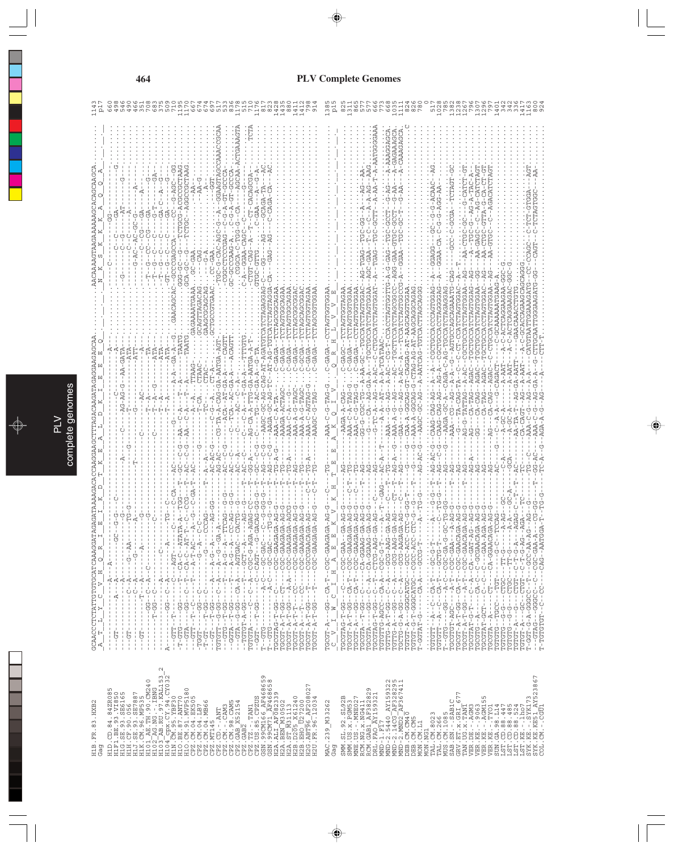|  | ř<br>ĭ |
|--|--------|
|  | í      |

ဒ္၀

es

| H1B.FR.83.HXB2<br>Gag                                                                                                                                                                                                                                                                                                                                                                                                             | GCAACCCTCTATTGTGTGCATCAAAGG<br>A T L Y C V H Q R<br>$\mathbb{A}^{\mathbb{I}}$                                                                                                                                                                                                                                                                                                                                                                                                                                                                                  |  |
|-----------------------------------------------------------------------------------------------------------------------------------------------------------------------------------------------------------------------------------------------------------------------------------------------------------------------------------------------------------------------------------------------------------------------------------|----------------------------------------------------------------------------------------------------------------------------------------------------------------------------------------------------------------------------------------------------------------------------------------------------------------------------------------------------------------------------------------------------------------------------------------------------------------------------------------------------------------------------------------------------------------|--|
| $\begin{tabular}{l} \bf 1111.121.1B1.331.3171.5191.501\\ \bf 1111.11.1B1.391.3171150\\ \bf 1111.121.1B1.3191.318787\\ \bf 1111.121.122.131.131.132.13171.132.13171.132.13171.132.13171.132.13171.132.13171.132.13171.132.13171.132.13171.132.13171$                                                                                                                                                                               | $---A---$<br>$-4$                                                                                                                                                                                                                                                                                                                                                                                                                                                                                                                                              |  |
|                                                                                                                                                                                                                                                                                                                                                                                                                                   | J.<br>I.<br>$\frac{1}{1}$<br>$\frac{1}{4}$<br>$- -A - -A$<br>$-4$<br>$\mathbf{I}$<br>$\frac{1}{2}$<br>$\begin{array}{c} \rule{0.2cm}{0.15mm} \rule{0.2cm}{0.15mm} \rule{0.2cm}{0.15mm} \rule{0.2cm}{0.15mm} \rule{0.2cm}{0.15mm} \rule{0.2cm}{0.15mm} \rule{0.2cm}{0.15mm} \rule{0.2cm}{0.15mm} \rule{0.2cm}{0.15mm} \rule{0.2cm}{0.15mm} \rule{0.2cm}{0.15mm} \rule{0.2cm}{0.15mm} \rule{0.2cm}{0.15mm} \rule{0.2cm}{0.15mm} \rule{0.2cm}{0.15mm} \rule{$<br>$\frac{1}{4}$<br>I.<br>$-100 - 1$<br>$\overline{\phantom{a}}$<br>I,                              |  |
|                                                                                                                                                                                                                                                                                                                                                                                                                                   | $-9 - -9 - -12$<br>$-5$<br>$\frac{1}{4}$<br>$-4$<br>$- - A$<br>$\frac{1}{2}$<br>$\begin{array}{c}\nC \\ 1\n\end{array}$<br>$\,$ I<br>$\bar{1}$<br>$\,$ I<br>$\frac{1}{1}$<br>$\mathbf{I}$<br>$-100 - 1$                                                                                                                                                                                                                                                                                                                                                        |  |
|                                                                                                                                                                                                                                                                                                                                                                                                                                   | ŧ<br>$-4$<br>Ĥ<br>$\frac{1}{1}$<br>ł<br>$-100 - 1$                                                                                                                                                                                                                                                                                                                                                                                                                                                                                                             |  |
|                                                                                                                                                                                                                                                                                                                                                                                                                                   | ı<br>I.                                                                                                                                                                                                                                                                                                                                                                                                                                                                                                                                                        |  |
| $\frac{1}{2}$                                                                                                                                                                                                                                                                                                                                                                                                                     | l,<br>$-1 - 1 - 1 - 1 - 1$<br>$\frac{1}{2}$<br>$\frac{1}{1}$<br>$-4$<br>$\frac{1}{4}$<br>$-1 - 2 - 2 - 1 - 1 - 1$<br>$\mathbb{I}$<br>î.<br>$\mathbf{I}$<br>Î<br>t<br>$\mathfrak l$                                                                                                                                                                                                                                                                                                                                                                             |  |
|                                                                                                                                                                                                                                                                                                                                                                                                                                   | $-4$<br>$\mathbf{I}$<br>$\frac{1}{1}$<br>$-4$<br>$- - - - - - - -$<br>$\mathbf{I}$<br>$\mathbf{A}$                                                                                                                                                                                                                                                                                                                                                                                                                                                             |  |
|                                                                                                                                                                                                                                                                                                                                                                                                                                   | <b>UCCCCAC</b><br>$-4$<br>---- AGT----<br>$-CA-C$<br>リー<br>-<br>٠<br>$-$ GTT<br>- $-$ T $\!-$                                                                                                                                                                                                                                                                                                                                                                                                                                                                  |  |
|                                                                                                                                                                                                                                                                                                                                                                                                                                   | $- -CA - C - A$<br>ee<br>ال<br>U--00-----<br>                                                                                                                                                                                                                                                                                                                                                                                                                                                                                                                  |  |
|                                                                                                                                                                                                                                                                                                                                                                                                                                   | $---A-T-AC$<br>۲<br>ا<br>Ť<br>$-100 - 100 - 100$                                                                                                                                                                                                                                                                                                                                                                                                                                                                                                               |  |
|                                                                                                                                                                                                                                                                                                                                                                                                                                   | $-5 - -5 - -8$<br>Í<br>$\frac{1}{4}$<br>$- - - - - - - -$<br>$-$ TGGT---                                                                                                                                                                                                                                                                                                                                                                                                                                                                                       |  |
|                                                                                                                                                                                                                                                                                                                                                                                                                                   | $- -A - G - -A$<br>$-5 -$<br>$\frac{1}{1}$<br>$-595 - T -$<br><b>LO-</b>                                                                                                                                                                                                                                                                                                                                                                                                                                                                                       |  |
|                                                                                                                                                                                                                                                                                                                                                                                                                                   | $\mathbf I$<br>$- - A$<br>$-4$<br>TGTGTT--G-GG--C                                                                                                                                                                                                                                                                                                                                                                                                                                                                                                              |  |
|                                                                                                                                                                                                                                                                                                                                                                                                                                   | ۳<br>-<br>$-100 - 1010 - 1$                                                                                                                                                                                                                                                                                                                                                                                                                                                                                                                                    |  |
|                                                                                                                                                                                                                                                                                                                                                                                                                                   | ۳<br>-<br>$\,$ $\,$<br>--55-5-4555-                                                                                                                                                                                                                                                                                                                                                                                                                                                                                                                            |  |
|                                                                                                                                                                                                                                                                                                                                                                                                                                   | $---AGTGAC$                                                                                                                                                                                                                                                                                                                                                                                                                                                                                                                                                    |  |
|                                                                                                                                                                                                                                                                                                                                                                                                                                   | $- - -GCT - -A$<br>$\frac{1}{2}$<br>$-100 - A - 100H0 -$                                                                                                                                                                                                                                                                                                                                                                                                                                                                                                       |  |
|                                                                                                                                                                                                                                                                                                                                                                                                                                   | $- - - 0$<br>$-1 - 1 - 1 - 1 - 1$<br>TGTGTA--                                                                                                                                                                                                                                                                                                                                                                                                                                                                                                                  |  |
|                                                                                                                                                                                                                                                                                                                                                                                                                                   | $- -$ CAGT---<br>$-1$                                                                                                                                                                                                                                                                                                                                                                                                                                                                                                                                          |  |
| $\begin{smallmatrix} \texttt{CEZ} & \texttt{CRBZ} & \texttt{CEZ} & \texttt{CEZ} & \texttt{CEZ} \\ \texttt{CEZ} & \texttt{TEZ} & \texttt{1} & \texttt{CZ} & \texttt{RZH} \\ \texttt{CEZ} & \texttt{TEZ} & \texttt{1} & \texttt{CZH} & \texttt{RZH} \\ \texttt{CEX} & \texttt{1} & \texttt{1} & \texttt{1} & \texttt{1} & \texttt{1} & \texttt{1} \\ \texttt{CEX} & \texttt{1} & \texttt{1} & \texttt{1} & \texttt{1} & \texttt{1}$ | $---A- C$<br>$-5TG - -$<br>Н                                                                                                                                                                                                                                                                                                                                                                                                                                                                                                                                   |  |
|                                                                                                                                                                                                                                                                                                                                                                                                                                   | $A - C$<br>f,<br>$- - GTC$                                                                                                                                                                                                                                                                                                                                                                                                                                                                                                                                     |  |
|                                                                                                                                                                                                                                                                                                                                                                                                                                   |                                                                                                                                                                                                                                                                                                                                                                                                                                                                                                                                                                |  |
|                                                                                                                                                                                                                                                                                                                                                                                                                                   | TGCGTAG-T-GG--C-----CGC-GAA<br>TGCGT-A-T-GG--CT----CGC-GAA<br>TGCGT-A-T-GG--A-A-A-CGC-GAA                                                                                                                                                                                                                                                                                                                                                                                                                                                                      |  |
|                                                                                                                                                                                                                                                                                                                                                                                                                                   |                                                                                                                                                                                                                                                                                                                                                                                                                                                                                                                                                                |  |
|                                                                                                                                                                                                                                                                                                                                                                                                                                   | $- -$ CGC-GAA<br>ARD-000-1<br>$\mathbf{I}$<br>$-CC$<br>$- - -$ CC<br>TGCGT-A-T-T<br>÷<br>-<br>TGCGT-A-                                                                                                                                                                                                                                                                                                                                                                                                                                                         |  |
|                                                                                                                                                                                                                                                                                                                                                                                                                                   | İ<br>$\texttt{TGCGT}-\texttt{A}-\texttt{T}-\texttt{GG}-$                                                                                                                                                                                                                                                                                                                                                                                                                                                                                                       |  |
| H2G.ABT96 AF20802<br>H2U.FR.96.12034                                                                                                                                                                                                                                                                                                                                                                                              | ---CGCCGAAC<br>---CGC-GAAC<br>TGCGT-A-T-GG-                                                                                                                                                                                                                                                                                                                                                                                                                                                                                                                    |  |
|                                                                                                                                                                                                                                                                                                                                                                                                                                   |                                                                                                                                                                                                                                                                                                                                                                                                                                                                                                                                                                |  |
| MAC.239 M33262<br>Gag                                                                                                                                                                                                                                                                                                                                                                                                             | $\begin{array}{cccccc} \texttt{TGCGT-A--GG--CA-T--CGC-GAA} \\ \texttt{C} & \texttt{V} & \texttt{I} & \texttt{W} & \texttt{C} & \texttt{I} & \texttt{A} & \texttt{B} \\ \end{array}$                                                                                                                                                                                                                                                                                                                                                                            |  |
|                                                                                                                                                                                                                                                                                                                                                                                                                                   | $\mathbb{A}$<br>$\overline{a}$                                                                                                                                                                                                                                                                                                                                                                                                                                                                                                                                 |  |
| SMM.SL.92.SL92B<br>SMM.US.x.PGM53<br>MNE.US.-.MNE027<br>MNE.US.-.MNE027                                                                                                                                                                                                                                                                                                                                                           | $- -$ CGC-GAA<br>$\frac{1}{\mathbf{C}}$<br>----00-H-04H000H                                                                                                                                                                                                                                                                                                                                                                                                                                                                                                    |  |
|                                                                                                                                                                                                                                                                                                                                                                                                                                   |                                                                                                                                                                                                                                                                                                                                                                                                                                                                                                                                                                |  |
|                                                                                                                                                                                                                                                                                                                                                                                                                                   | $TGCGT - A - T - G3 - -C - -CG-C - GAA$<br>$TGCGT - A - -CG - -CA - T - -CG-C - GAA$                                                                                                                                                                                                                                                                                                                                                                                                                                                                           |  |
|                                                                                                                                                                                                                                                                                                                                                                                                                                   | ---CA-GGAAC<br>---CA-GGAAC<br>U-10010101011                                                                                                                                                                                                                                                                                                                                                                                                                                                                                                                    |  |
| G<br>RCM.GAB1 AF38282<br>DRL.FAO AY159321                                                                                                                                                                                                                                                                                                                                                                                         |                                                                                                                                                                                                                                                                                                                                                                                                                                                                                                                                                                |  |
| $\text{MD-1.}\ \text{F17}$                                                                                                                                                                                                                                                                                                                                                                                                        |                                                                                                                                                                                                                                                                                                                                                                                                                                                                                                                                                                |  |
|                                                                                                                                                                                                                                                                                                                                                                                                                                   | $\begin{array}{l} {\rm TGCCTA} - 1 - {\rm GG} - 0 - 0 - 0 - 0.03 {\rm AG} - 0.03 {\rm AG} \\ {\rm TGCCTA} - 0 - 0 - 0 - 0 - 0 - 0 - 0.03 {\rm AG} \\ {\rm TGCCTA} - 0 - 0 - 0 - 0 - 0 - 0.03 {\rm AG} \\ {\rm TGTCTB} - {\rm AGC} - {\rm CA} - {\rm A} - 0.000 {\rm AG} \\ {\rm TGTCTB} - {\rm A} - 0.00 - 0 - 0 - 0 - 0 - 0 - 0 - 0.00 {\rm AG} \\ \end{array}$                                                                                                                                                                                               |  |
| MND-2.5440 AY159322<br>MND-2.14CG AF328295<br>MND-2.MND2 AF367411                                                                                                                                                                                                                                                                                                                                                                 |                                                                                                                                                                                                                                                                                                                                                                                                                                                                                                                                                                |  |
| $MID - 2.$ $MND2$                                                                                                                                                                                                                                                                                                                                                                                                                 | $- - - - 900 - 24$<br>$- - A$<br>U--UU-K-U-UHUUH                                                                                                                                                                                                                                                                                                                                                                                                                                                                                                               |  |
|                                                                                                                                                                                                                                                                                                                                                                                                                                   | UCHCUCC-------                                                                                                                                                                                                                                                                                                                                                                                                                                                                                                                                                 |  |
| DEB.CM.CM40<br>DEB.CM.CM5<br>MON.CM.L1<br>MON.NG1                                                                                                                                                                                                                                                                                                                                                                                 | $\begin{array}{l} \texttt{TGTGT-G-T-TGGGCATGC}\\ \texttt{T-GGTAT-G-T-T-T-T-T-T-CA-A}\\ \end{array}$                                                                                                                                                                                                                                                                                                                                                                                                                                                            |  |
|                                                                                                                                                                                                                                                                                                                                                                                                                                   | $-CA - A - - GCCG - T$                                                                                                                                                                                                                                                                                                                                                                                                                                                                                                                                         |  |
|                                                                                                                                                                                                                                                                                                                                                                                                                                   | $1 - 5 - 1 - 1 - 1$<br>$\begin{minipage}{.4\linewidth} \begin{tabular}{l} \multicolumn{2}{c}{\textbf{0.63}\linewidth} \end{tabular} \end{minipage} \begin{minipage}{.4\linewidth} \begin{tabular}{l} \multicolumn{2}{c}{\textbf{0.63}\linewidth} \end{tabular} \end{minipage} \begin{minipage}{.4\linewidth} \end{minipage} \begin{minipage}{.4\linewidth} \begin{tabular}{l} \multicolumn{2}{c}{\textbf{0.63}\linewidth} \end{tabular} \end{minipage} \begin{minipage}{.4\linewidth} \end{minipage} \begin{minipage}{.4\linewidth} \end{minipage} \begin{min$ |  |
| TAL.CM.8023<br>TAL.CM.266                                                                                                                                                                                                                                                                                                                                                                                                         | $-1 - 5$<br>TGTGTT--A--C--CA-T                                                                                                                                                                                                                                                                                                                                                                                                                                                                                                                                 |  |
|                                                                                                                                                                                                                                                                                                                                                                                                                                   | AAGA                                                                                                                                                                                                                                                                                                                                                                                                                                                                                                                                                           |  |
|                                                                                                                                                                                                                                                                                                                                                                                                                                   |                                                                                                                                                                                                                                                                                                                                                                                                                                                                                                                                                                |  |
| MUS.CM.1085<br>SAB.SN.-.SAB1C<br>GRV.ET.x.GRI_677                                                                                                                                                                                                                                                                                                                                                                                 | $-265 - 255 - -125$<br>- 4749 - 250 - -125<br>- 475 - 250 - -125<br>$\begin{array}{l} \mathbf{T} - \mathbf{G}\mathbf{T}\mathbf{G} + \mathbf{I} - \mathbf{G}\mathbf{G} - \mathbf{I} - \mathbf{A}\cdot\mathbf{C} \\ \mathbf{T}\mathbf{G}\mathbf{C}\mathbf{G}\mathbf{T}\mathbf{G}\mathbf{T} - \mathbf{A}\mathbf{G}\mathbf{C} - \mathbf{I} - \mathbf{A}\cdot\mathbf{T} \\ \mathbf{T}\mathbf{G}\mathbf{C}\mathbf{G}\mathbf{T}\mathbf{G}\mathbf{T} - \mathbf{A}\cdot\mathbf{T}\cdot\mathbf{G}\mathbf{G} - \mathbf{I} - \mathbf{A}\cdot\mathbf{T} \\ \$               |  |
|                                                                                                                                                                                                                                                                                                                                                                                                                                   | -- CGC-GAAC<br>-- CA--GAT-<br>$TCGCT - A - T - GG - - A - T$                                                                                                                                                                                                                                                                                                                                                                                                                                                                                                   |  |
| TAN. UG. X. TANI<br>VER. DE. - AGM3<br>VER. KE. - 9063<br>VER. KE. - 2063<br>VER. KE. - 200155                                                                                                                                                                                                                                                                                                                                    | $---C--A$<br>TGCGTAT-G-T                                                                                                                                                                                                                                                                                                                                                                                                                                                                                                                                       |  |
|                                                                                                                                                                                                                                                                                                                                                                                                                                   | '-GCGAAC<br>$\frac{C}{1}$<br>TGCGTG--A------CA-C<br>TGCGTAT-GCT---CA-C<br>TGCGTA--A------CT---                                                                                                                                                                                                                                                                                                                                                                                                                                                                 |  |
|                                                                                                                                                                                                                                                                                                                                                                                                                                   | $- - - GAA$<br>$\frac{1}{2}$                                                                                                                                                                                                                                                                                                                                                                                                                                                                                                                                   |  |
| VER.KE. - TYO1                                                                                                                                                                                                                                                                                                                                                                                                                    | $- - CA - GGAA$<br>U-5-1-<br>--HDH---DDDH--DHDHDH                                                                                                                                                                                                                                                                                                                                                                                                                                                                                                              |  |
|                                                                                                                                                                                                                                                                                                                                                                                                                                   | $- -D - T^T T - - - -$<br>$---CTCGC$<br>U-U--UHUHUH                                                                                                                                                                                                                                                                                                                                                                                                                                                                                                            |  |
|                                                                                                                                                                                                                                                                                                                                                                                                                                   | UULU - - - U - U - - ULULULU                                                                                                                                                                                                                                                                                                                                                                                                                                                                                                                                   |  |
| SUN 02.98.114<br>LST.CD.88.447<br>LST.CD.88.485<br>LST.CD.88.524<br>LST.KE.-1107                                                                                                                                                                                                                                                                                                                                                  | $-1 - 1 - 1 - 1 - 1$<br>HDHU - - - D - - - 4 - HDHDH                                                                                                                                                                                                                                                                                                                                                                                                                                                                                                           |  |
|                                                                                                                                                                                                                                                                                                                                                                                                                                   | A - 5 - 1 - 7 - - 15 15 - - - 7 - - - 4 - 15 15 15                                                                                                                                                                                                                                                                                                                                                                                                                                                                                                             |  |
| YK.KE.-.SYK173<br>YK.KE.KE51_AY523867                                                                                                                                                                                                                                                                                                                                                                                             | $- - - -$ GCC-AA<br>F--00000-4-0-H00-H                                                                                                                                                                                                                                                                                                                                                                                                                                                                                                                         |  |
|                                                                                                                                                                                                                                                                                                                                                                                                                                   | $-100 - 000 - 000 - 000$<br>U - -ひひののの - - -のばけの - -                                                                                                                                                                                                                                                                                                                                                                                                                                                                                                           |  |
| CG <sub>IT1</sub><br><b>ND</b>                                                                                                                                                                                                                                                                                                                                                                                                    | $-CAG - PAA$<br>- UU - - U - - LHUHUHUH - L                                                                                                                                                                                                                                                                                                                                                                                                                                                                                                                    |  |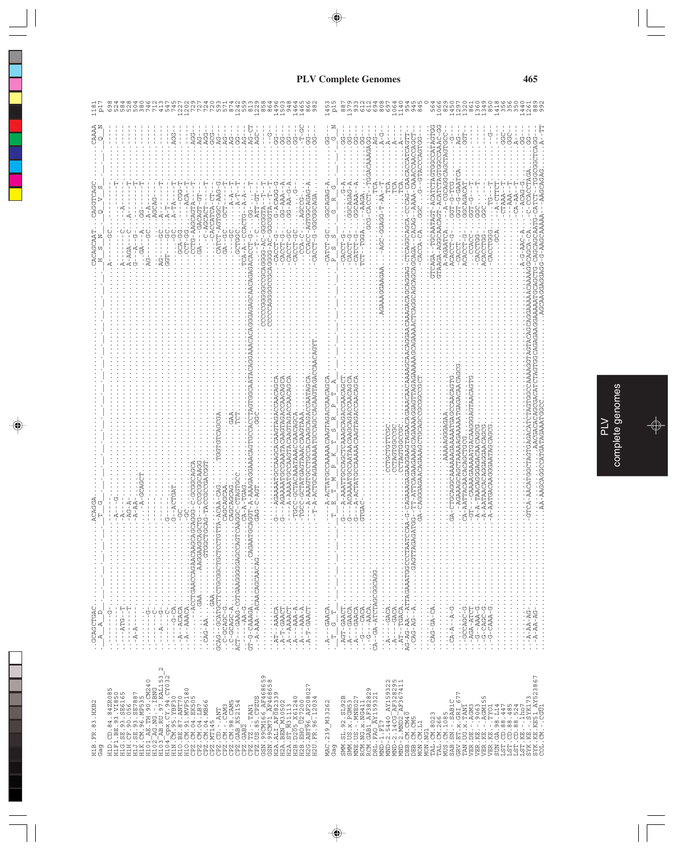| H1B. FR. 83. HXB2                                                                                                                                                                                                                                                                                                                                      |                                                                                                                                                                                                                                                                                                                                                                        | CAGTCAG<br>CACAGCAAT<br>CAGGA                                                                                                      | CAAAZ                |  |
|--------------------------------------------------------------------------------------------------------------------------------------------------------------------------------------------------------------------------------------------------------------------------------------------------------------------------------------------------------|------------------------------------------------------------------------------------------------------------------------------------------------------------------------------------------------------------------------------------------------------------------------------------------------------------------------------------------------------------------------|------------------------------------------------------------------------------------------------------------------------------------|----------------------|--|
| Gag                                                                                                                                                                                                                                                                                                                                                    | $\Box$<br>Ą<br>$\overline{A}$                                                                                                                                                                                                                                                                                                                                          | C)<br>$\circ$<br>C)                                                                                                                |                      |  |
|                                                                                                                                                                                                                                                                                                                                                        | $\frac{1}{2}$<br>$\frac{1}{4}$                                                                                                                                                                                                                                                                                                                                         |                                                                                                                                    |                      |  |
|                                                                                                                                                                                                                                                                                                                                                        | $\frac{1}{4}$<br>$\frac{1}{1}$                                                                                                                                                                                                                                                                                                                                         | ķ                                                                                                                                  |                      |  |
| $\begin{small} \tt{H1D} & \tt{CD} & \tt{94} & \tt{84} \mathbf{Z} \mathbf{R} \mathbf{0} \mathbf{S} \mathbf{5} \\ \tt{H1D} & \tt{1B1} & \tt{33} & \tt{33} \mathbf{X} \mathbf{I} \mathbf{S} \mathbf{S} \\ \tt{H1D} & \tt{1B1} & \tt{1B2} & \tt{1B3} & \tt{1B4} \\ \tt{H1D} & \tt{1B1} & \tt{1B2} & \tt{1B3} & \tt{1B4} \\ \tt{H1D} & \tt{1B1} & \tt{1B2}$ |                                                                                                                                                                                                                                                                                                                                                                        |                                                                                                                                    |                      |  |
|                                                                                                                                                                                                                                                                                                                                                        |                                                                                                                                                                                                                                                                                                                                                                        | $A - AGA$<br>$AG - A -$                                                                                                            |                      |  |
|                                                                                                                                                                                                                                                                                                                                                        | .<br>$- - - - - - - - - - -$                                                                                                                                                                                                                                                                                                                                           |                                                                                                                                    |                      |  |
|                                                                                                                                                                                                                                                                                                                                                        |                                                                                                                                                                                                                                                                                                                                                                        | $-45.$                                                                                                                             |                      |  |
|                                                                                                                                                                                                                                                                                                                                                        |                                                                                                                                                                                                                                                                                                                                                                        | AGCAG<br>Q                                                                                                                         |                      |  |
| $\mathcal{Q}$                                                                                                                                                                                                                                                                                                                                          |                                                                                                                                                                                                                                                                                                                                                                        | $\vdots$<br>------<br>AG----                                                                                                       |                      |  |
|                                                                                                                                                                                                                                                                                                                                                        |                                                                                                                                                                                                                                                                                                                                                                        | GGT-----GCA-T-                                                                                                                     |                      |  |
|                                                                                                                                                                                                                                                                                                                                                        |                                                                                                                                                                                                                                                                                                                                                                        | $-GCA-TA$<br><b>ADHUR--5</b>                                                                                                       | AGG.                 |  |
|                                                                                                                                                                                                                                                                                                                                                        | $\begin{picture}(120,140)(0,0) \put(0,0){\vector(1,0){100}} \put(1,0){\vector(1,0){100}} \put(1,0){\vector(1,0){100}} \put(1,0){\vector(1,0){100}} \put(1,0){\vector(1,0){100}} \put(1,0){\vector(1,0){100}} \put(1,0){\vector(1,0){100}} \put(1,0){\vector(1,0){100}} \put(1,0){\vector(1,0){100}} \put(1,0){\vector(1,0){100}} \put(1,0){\vector(1,0){100}} \put(1,$ | <b>000-----</b><br>$GCA-GG$<br>ŭ                                                                                                   |                      |  |
|                                                                                                                                                                                                                                                                                                                                                        | .-A--AAACA                                                                                                                                                                                                                                                                                                                                                             | $---ACA$<br>どどービン                                                                                                                  |                      |  |
|                                                                                                                                                                                                                                                                                                                                                        |                                                                                                                                                                                                                                                                                                                                                                        | CCTG-AAGCAGTA<br>UUU-U-UUUKI                                                                                                       | ġ                    |  |
|                                                                                                                                                                                                                                                                                                                                                        |                                                                                                                                                                                                                                                                                                                                                                        | -GACAGH-GH-<br>$\overline{A}$                                                                                                      |                      |  |
|                                                                                                                                                                                                                                                                                                                                                        |                                                                                                                                                                                                                                                                                                                                                                        | $\ldots$ - C-AGCACT-<br>AG-TACCGCC                                                                                                 | ن<br>پ               |  |
|                                                                                                                                                                                                                                                                                                                                                        |                                                                                                                                                                                                                                                                                                                                                                        | - CACCATCA-CT-                                                                                                                     |                      |  |
|                                                                                                                                                                                                                                                                                                                                                        |                                                                                                                                                                                                                                                                                                                                                                        | CATCT-AGTGGC-AAG-<br>TCAGCGA<br>-ACAA-CAG                                                                                          | ಲ್ಲ                  |  |
|                                                                                                                                                                                                                                                                                                                                                        |                                                                                                                                                                                                                                                                                                                                                                        | - LJ - 1 - J - - 45<br>CAGCAGCAA                                                                                                   |                      |  |
|                                                                                                                                                                                                                                                                                                                                                        | ACT-GCAGC-A<br>ACT---GAAG-CGTGAAGGGGAGCCA                                                                                                                                                                                                                                                                                                                              | $-4 - 4 - 4 - 3 - 5 - 5 - 5$<br>AA.<br>CAGCAGCAG                                                                                   | $\overline{G}$       |  |
|                                                                                                                                                                                                                                                                                                                                                        | $----0.74A-0.75A$                                                                                                                                                                                                                                                                                                                                                      | UUHUKHU-UUUKKUHS<br>$CA - A - TGAG$                                                                                                | d<br>S<br>ر<br>ر     |  |
|                                                                                                                                                                                                                                                                                                                                                        | <b>CT-G-CAARGA</b>                                                                                                                                                                                                                                                                                                                                                     | ACTECCACCTAGTGCAATA<br>GGT-A-AAAGAGGAA                                                                                             | 5<br>5<br>9          |  |
|                                                                                                                                                                                                                                                                                                                                                        |                                                                                                                                                                                                                                                                                                                                                                        | $\ldots$ $\ldots$ $\ldots$ $\ldots$ $\ldots$<br>ACACCT-G- GG-<br>TP-TT--C. ATT-GT<br>GAG-C-AG                                      | AGC-                 |  |
|                                                                                                                                                                                                                                                                                                                                                        |                                                                                                                                                                                                                                                                                                                                                                        |                                                                                                                                    |                      |  |
|                                                                                                                                                                                                                                                                                                                                                        |                                                                                                                                                                                                                                                                                                                                                                        |                                                                                                                                    | $\frac{1}{\sqrt{2}}$ |  |
|                                                                                                                                                                                                                                                                                                                                                        |                                                                                                                                                                                                                                                                                                                                                                        | 5-55gJ4-5: - -5-LJJgJ·                                                                                                             | ġ                    |  |
|                                                                                                                                                                                                                                                                                                                                                        |                                                                                                                                                                                                                                                                                                                                                                        | $-444-00-444-$<br>CACCT-G<br>- - AGAAAATGCAACAATACHACOOCAACAA                                                                      | ርካ<br>የካ             |  |
|                                                                                                                                                                                                                                                                                                                                                        |                                                                                                                                                                                                                                                                                                                                                                        |                                                                                                                                    |                      |  |
|                                                                                                                                                                                                                                                                                                                                                        |                                                                                                                                                                                                                                                                                                                                                                        | - A-AAAATGCCAGCAACHAGTACOCACCA                                                                                                     | ن<br>ت               |  |
|                                                                                                                                                                                                                                                                                                                                                        |                                                                                                                                                                                                                                                                                                                                                                        | UACUT-G<br>TGCU-GCTAARTAATCAACCA                                                                                                   | ن<br>ت               |  |
|                                                                                                                                                                                                                                                                                                                                                        |                                                                                                                                                                                                                                                                                                                                                                        | ひりつり<br>TGCC-GCTATGAAACCAAGTAA2                                                                                                    | <b>PD-T</b>          |  |
| Γ                                                                                                                                                                                                                                                                                                                                                      |                                                                                                                                                                                                                                                                                                                                                                        | - AGTGGCAGAG<br>CCACC<br>- A - AAAGTGCCCCCACAAGCAGACCAATAGCA                                                                       |                      |  |
| H2A.ST M31113<br>H2B.D2O5 X61240<br>H2B.BHO U27200<br>H2G.ABT96 AF208027<br>H2U.FR.96.12034                                                                                                                                                                                                                                                            | .                                                                                                                                                                                                                                                                                                                                                                      | - T-A-ACTGCAAAAAATGCCAGCACAAGTAGA                                                                                                  |                      |  |
|                                                                                                                                                                                                                                                                                                                                                        |                                                                                                                                                                                                                                                                                                                                                                        |                                                                                                                                    |                      |  |
| MAC.239 M33262                                                                                                                                                                                                                                                                                                                                         | $\frac{1}{2}$<br>$\ddot{A}$                                                                                                                                                                                                                                                                                                                                            | GGCAGAG-A<br>CATCT-GC<br>A-ACTATGCCAAAACAAGTAGCAACCAACA                                                                            |                      |  |
| Gag                                                                                                                                                                                                                                                                                                                                                    | $A = -GAACA$                                                                                                                                                                                                                                                                                                                                                           | ひ<br>CΩ<br>$\mathbf{p}$<br>Σ<br>囸                                                                                                  | hd<br>D<br>ひ         |  |
|                                                                                                                                                                                                                                                                                                                                                        |                                                                                                                                                                                                                                                                                                                                                                        | 먼<br>-<br>CACCI<br>UUUKUKKUUKUKUUKARUUUUUUUUUHLEKK---<br>ά                                                                         | $\frac{8}{8}$        |  |
|                                                                                                                                                                                                                                                                                                                                                        |                                                                                                                                                                                                                                                                                                                                                                        | $-1.1940A0A0A-1$<br>ά                                                                                                              | 1379                 |  |
|                                                                                                                                                                                                                                                                                                                                                        |                                                                                                                                                                                                                                                                                                                                                                        | GGCAAA--A<br>CATCT-G<br>CACCT-G<br>- - ACAAAATGCCAACAACAGCAGCAACAACAA<br>- - A - A CTATGCAAAAACDOUUU                               | $\frac{3}{2}$<br>ġ   |  |
|                                                                                                                                                                                                                                                                                                                                                        |                                                                                                                                                                                                                                                                                                                                                                        | TCT--TGGA<br>CHCAC                                                                                                                 | ن<br>ت               |  |
|                                                                                                                                                                                                                                                                                                                                                        |                                                                                                                                                                                                                                                                                                                                                                        | $-AAGA$                                                                                                                            | $\frac{1}{6}$        |  |
|                                                                                                                                                                                                                                                                                                                                                        | $\frac{1}{2}$<br>$-6 - -AACA$                                                                                                                                                                                                                                                                                                                                          | <b>UG-CACCI-DU</b>                                                                                                                 | 5<br>-<br>CAGG-      |  |
|                                                                                                                                                                                                                                                                                                                                                        | CA--GA-ATCTAGCGGCAGG                                                                                                                                                                                                                                                                                                                                                   | $\ldots$ TCA                                                                                                                       | $\frac{6}{9}$        |  |
|                                                                                                                                                                                                                                                                                                                                                        |                                                                                                                                                                                                                                                                                                                                                                        | - - AA - T - AA - T - AA - T                                                                                                       |                      |  |
|                                                                                                                                                                                                                                                                                                                                                        |                                                                                                                                                                                                                                                                                                                                                                        | $\cdots$ . TCA                                                                                                                     |                      |  |
|                                                                                                                                                                                                                                                                                                                                                        |                                                                                                                                                                                                                                                                                                                                                                        |                                                                                                                                    |                      |  |
|                                                                                                                                                                                                                                                                                                                                                        |                                                                                                                                                                                                                                                                                                                                                                        | しんたい - ウムワワワー とりのよりののよりロワー                                                                                                         |                      |  |
|                                                                                                                                                                                                                                                                                                                                                        |                                                                                                                                                                                                                                                                                                                                                                        | CAACCAGCT<br>CAGAAGAAGCAGAAAAGGAGTTAGAGAAAAGCAGAAACTCAGGGAGCAGGAGCAGA--CAGA-AAAA-CAAAA<br>GAGAAGGAAGGAACAAAACAACAACAAA             | TCAGTT               |  |
|                                                                                                                                                                                                                                                                                                                                                        |                                                                                                                                                                                                                                                                                                                                                                        | DDIDEDUVIID--D・・・2DD・・・HD-EDDED<br>LUUUUUUUUUUUUUUUUUUUUKAUAUAUAUUUUUUUU - KI                                                      | 94                   |  |
|                                                                                                                                                                                                                                                                                                                                                        |                                                                                                                                                                                                                                                                                                                                                                        |                                                                                                                                    |                      |  |
|                                                                                                                                                                                                                                                                                                                                                        |                                                                                                                                                                                                                                                                                                                                                                        |                                                                                                                                    | CCATAGI              |  |
|                                                                                                                                                                                                                                                                                                                                                        |                                                                                                                                                                                                                                                                                                                                                                        | GTAAGA-AGGCAACAGT-ACATCTAGTGG                                                                                                      | CCAAAC               |  |
|                                                                                                                                                                                                                                                                                                                                                        |                                                                                                                                                                                                                                                                                                                                                                        | UULURIUUCUUUUUU---<br>A-AGAATCA                                                                                                    |                      |  |
|                                                                                                                                                                                                                                                                                                                                                        |                                                                                                                                                                                                                                                                                                                                                                        | <b>COL-0-LOD</b><br>ACACCT-G-<br>CTGCAGCCAAAAAAAAAAAAAAAAAH                                                                        |                      |  |
|                                                                                                                                                                                                                                                                                                                                                        |                                                                                                                                                                                                                                                                                                                                                                        | .GGT-G-GAATC                                                                                                                       |                      |  |
|                                                                                                                                                                                                                                                                                                                                                        |                                                                                                                                                                                                                                                                                                                                                                        | GGCAGACAT<br>ACACCT-G<br>-CACC<br>. . - AGAAAGCAGCTAAAAGAAAATGAGACAACACA                                                           |                      |  |
|                                                                                                                                                                                                                                                                                                                                                        |                                                                                                                                                                                                                                                                                                                                                                        | U-CAAAAAAAAAAACGACGACGACGEOACHOACHO<br>CA-AATTACACACACCU<br>÷P.                                                                    |                      |  |
|                                                                                                                                                                                                                                                                                                                                                        |                                                                                                                                                                                                                                                                                                                                                                        | もーロウー<br>GGC<br>CCACC<br>CACCTGC<br>A-A-TAACAGAGAGAT-A-A                                                                           |                      |  |
|                                                                                                                                                                                                                                                                                                                                                        |                                                                                                                                                                                                                                                                                                                                                                        | CO CO<br>ACACCTGG<br>A-AATAACACAGGAGGAACAG                                                                                         |                      |  |
|                                                                                                                                                                                                                                                                                                                                                        |                                                                                                                                                                                                                                                                                                                                                                        |                                                                                                                                    |                      |  |
|                                                                                                                                                                                                                                                                                                                                                        | $-G-CAAA-G$                                                                                                                                                                                                                                                                                                                                                            | $-2 - CTTCT$                                                                                                                       |                      |  |
|                                                                                                                                                                                                                                                                                                                                                        | $\frac{1}{2}$ $\frac{1}{2}$ $\frac{1}{2}$ $\frac{1}{2}$ $\frac{1}{2}$ $\frac{1}{2}$ $\frac{1}{2}$ $\frac{1}{2}$ $\frac{1}{2}$ $\frac{1}{2}$ $\frac{1}{2}$ $\frac{1}{2}$ $\frac{1}{2}$ $\frac{1}{2}$ $\frac{1}{2}$ $\frac{1}{2}$ $\frac{1}{2}$ $\frac{1}{2}$ $\frac{1}{2}$ $\frac{1}{2}$ $\frac{1}{2}$ $\frac{1}{2}$                                                    |                                                                                                                                    |                      |  |
|                                                                                                                                                                                                                                                                                                                                                        | $\frac{1}{2}$ , $\frac{1}{2}$ , $\frac{1}{2}$ , $\frac{1}{2}$ , $\frac{1}{2}$ , $\frac{1}{2}$ , $\frac{1}{2}$ , $\frac{1}{2}$ , $\frac{1}{2}$ , $\frac{1}{2}$ , $\frac{1}{2}$ , $\frac{1}{2}$ , $\frac{1}{2}$ , $\frac{1}{2}$ , $\frac{1}{2}$ , $\frac{1}{2}$ , $\frac{1}{2}$ , $\frac{1}{2}$ , $\frac{1$                                                              | $-AAA$ -<br>CTAAA--                                                                                                                | ひじひ                  |  |
|                                                                                                                                                                                                                                                                                                                                                        |                                                                                                                                                                                                                                                                                                                                                                        | CA-AA                                                                                                                              |                      |  |
|                                                                                                                                                                                                                                                                                                                                                        |                                                                                                                                                                                                                                                                                                                                                                        | $-ACAG-C$                                                                                                                          |                      |  |
|                                                                                                                                                                                                                                                                                                                                                        |                                                                                                                                                                                                                                                                                                                                                                        | せひひとし<br>UHUAHUUUHKA - AA - AUHU                                                                                                   | Ġ                    |  |
|                                                                                                                                                                                                                                                                                                                                                        | $-2A - 2A - 2G -$                                                                                                                                                                                                                                                                                                                                                      | - HUHRU-UHRRUURUURU-                                                                                                               |                      |  |
|                                                                                                                                                                                                                                                                                                                                                        |                                                                                                                                                                                                                                                                                                                                                                        | $ \triangle$ $\triangle$ $C$ $\triangle$ $\triangle$ $C$ $\triangle$<br>- ベイベスにひざんスーピーひひんひひとかひになって<br>ししじじトベベベにはこれにしていいじしたいじベイベース。 |                      |  |
|                                                                                                                                                                                                                                                                                                                                                        |                                                                                                                                                                                                                                                                                                                                                                        |                                                                                                                                    |                      |  |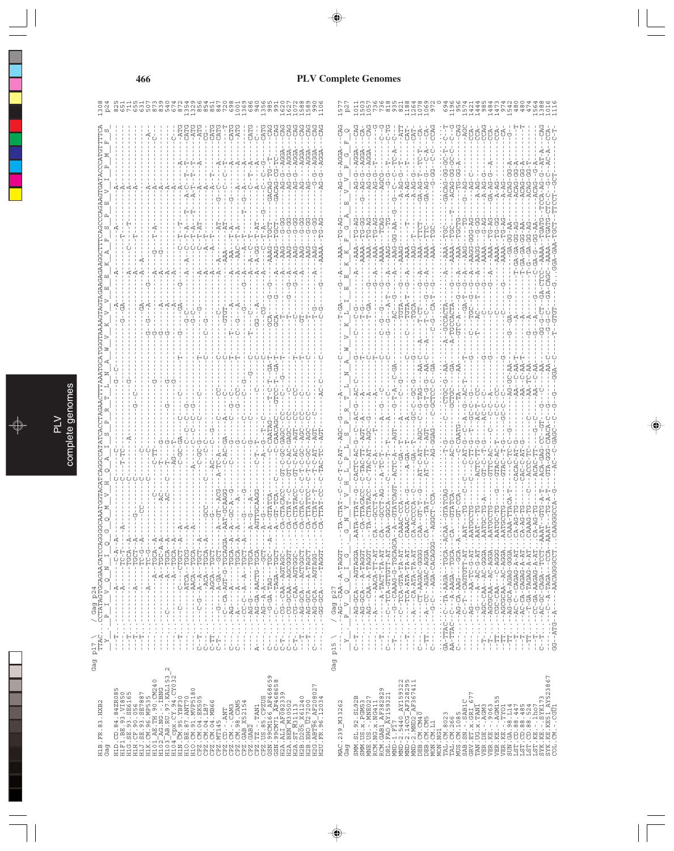| ì<br>ř<br>ř<br>ĭ |
|------------------|
| í                |
|                  |

ō

nes

| J<br>$--TGCA$<br>٠<br>$\mathbf{I}$<br>$\mathbf{I}$<br>$-4 - 2 -$<br>$\mathsf{I}$<br>$\mathbf{I}$<br>Ť.<br>Ť<br>$\mathbf{I}$<br>$\mathbf I$   | $-100T -$<br>$\mathsf I$<br>$\mathbf{I}$<br>$\overline{\phantom{a}}$<br>$\mathsf I$<br>ł<br>Ť.<br>$\mathsf I$ | $\mathsf I$<br>$- - - - - - -$<br>÷<br>$\frac{1}{1}$<br>$\mathsf I$<br>$\mathsf I$ | $-1 - A - TGCA$<br>$\,$ I<br>ł<br>ł<br>$\frac{1}{4}$<br>÷.<br>$\mathbf{I}$ | $\,$               | $\frac{1}{2}$<br>$\mathbf{I}$                                       | LUULU - - - - - U - - - - U - -<br>$\mathsf I$ | $---AACA---TGCA$<br>$\mathsf I$ |                                                                                                                                                                                                                                                                                                                                                        |         |    | $-100A -$<br>$\frac{1}{1}$ | $-$ -TGCA<br>ţ<br>$- - A$<br>ŧ          | $-1 - 2 - 3 - 4 - 76C$                                        | $---TGEA-$                                     |   |         |             | HUUUUUK--KRUU-UU----- | UUUHUK - - KHU - - UU -                                                                     |                              | - - - AG-GCA - - - ACTGGCT<br>- - - - - - - - - - - AG-GCT<br>- - - AG-GCA - - - - AGTAGG<br>- - - - AG-GCA - - - - AGTAGG | -TAGGT<br>$-99-99-$ | $\vdots$<br>$\ldots$ $\begin{array}{cc} 0 & 0 & 0 \\ -1 & 0 & 0 \\ 0 & 0 & 0 \\ \end{array}$ | -AG-GCA---AGTAGGA | - - AG-GCA - - - - - - - - - - - | $\cdots$ - - AG - - CAA - - A-TAGGT<br>$--A---PACA-TT-AT$ | $--\textbf{F} -\textbf{F}-\textbf{F} - \textbf{F} - \textbf{F} - \textbf{F} - \textbf{F} - \textbf{F} - \textbf{F}$ |   |                         |                |         |                    | : ۲۰۰۰)<br>AA-TTAC--C---A-AAGA--TGCA<br>C--- --AG-CA-AAG4---GCA<br>C--- --AG-CA-AAG----GCA |  |   |                               | $-1 - 1 - 2GCOCAA - 2GCAA - 2GGA$ | - TT. - - CGC-CAA - - -C-AGG<br>- TT. - - AGCGCAA - - AC-AGGA<br>- TT. - - AG-GCAA - AGAGAA<br>- TT. - - AG-GCA - AGAG-GGGA | $-2650 - 545A - 406A - 404A$ |      |                  | $-CC-GA-RAGAGA-B-AT$                  |
|----------------------------------------------------------------------------------------------------------------------------------------------|---------------------------------------------------------------------------------------------------------------|------------------------------------------------------------------------------------|----------------------------------------------------------------------------|--------------------|---------------------------------------------------------------------|------------------------------------------------|---------------------------------|--------------------------------------------------------------------------------------------------------------------------------------------------------------------------------------------------------------------------------------------------------------------------------------------------------------------------------------------------------|---------|----|----------------------------|-----------------------------------------|---------------------------------------------------------------|------------------------------------------------|---|---------|-------------|-----------------------|---------------------------------------------------------------------------------------------|------------------------------|----------------------------------------------------------------------------------------------------------------------------|---------------------|----------------------------------------------------------------------------------------------|-------------------|----------------------------------|-----------------------------------------------------------|---------------------------------------------------------------------------------------------------------------------|---|-------------------------|----------------|---------|--------------------|--------------------------------------------------------------------------------------------|--|---|-------------------------------|-----------------------------------|-----------------------------------------------------------------------------------------------------------------------------|------------------------------|------|------------------|---------------------------------------|
| 1<br>$\cdot$<br>$\cdot$<br>$\ddot{\cdot}$<br>$\ddot{\cdot}$<br>$\overline{\phantom{a}^{+}}$<br>$\overline{\phantom{a}^{+}}$<br>$\frac{1}{1}$ | $\frac{1}{2}$<br>$\frac{1}{2}$<br>$-1$                                                                        | $\mathsf I$<br>$\,$ I<br>$\frac{1}{2}$<br>부부<br>$\blacksquare$<br>$\mathsf I$      | $\,$ I<br>$\,$<br>$\frac{1}{1}$<br>ł                                       | ŧ<br>$\frac{1}{4}$ | $\overline{\phantom{a}}$<br>$\ddot{\cdot}$<br>$-1$<br>$\frac{1}{1}$ | ţ.<br>$\ddot{\cdot}$<br>ł                      | ţ.<br>÷                         | $\frac{1}{2}$<br>$\begin{bmatrix} 1 & 1 & 1 \\ 1 & 1 & 1 \\ 1 & 1 & 1 \\ 1 & 1 & 1 \\ 1 & 1 & 1 \\ 1 & 1 & 1 \\ 1 & 1 & 1 \\ 1 & 1 & 1 \\ 1 & 1 & 1 \\ 1 & 1 & 1 \\ 1 & 1 & 1 \\ 1 & 1 & 1 \\ 1 & 1 & 1 \\ 1 & 1 & 1 \\ 1 & 1 & 1 \\ 1 & 1 & 1 \\ 1 & 1 & 1 \\ 1 & 1 & 1 \\ 1 & 1 & 1 \\ 1 & 1 & 1 \\ 1 & 1 & 1 \\ 1 & 1 & 1 \\ 1 & 1 & 1 \\ 1 & 1 & $ | $\cdot$ | Ĵ, | $\frac{1}{1}$<br>Ť.<br>U   | $\cdots$ - - - $\overline{A}$<br>ţ<br>U | $\cdots$ $\cdots$ $\cdots$ $\cdots$ $\cdots$<br>$\frac{1}{1}$ | $\cdots$ - $-40-9$<br>$A - -$<br>$\frac{1}{4}$ | ÷ | Ħ<br>υU | $C - T - T$ |                       | Ì,<br>$\ddot{\phantom{0}}$<br>$\begin{array}{c}\n\overline{C} - \overline{T} - \end{array}$ | $\overline{\phantom{a}^{+}}$ | ĦĦ<br>U                                                                                                                    | $\bullet$           | p15<br>χ<br>Gag                                                                              | ۳<br>-<br>U       | $\frac{1}{2}$<br>ł               | ł<br>ł                                                    | $\,$ $\,$<br>$-1$ $-1$ $-1$ $-1$                                                                                    | U | $\frac{1}{4}$<br>$\,$ I | $-\frac{1}{2}$ | Ħ,<br>U | $\frac{1}{2}$<br>U |                                                                                            |  | ţ | $\frac{1}{2}$<br>$\mathbf{I}$ | 합                                 |                                                                                                                             | 부                            | $-1$ | $\pm \mathrm{T}$ | $\bullet$<br>$\ddot{\cdot}$<br>۳<br>- |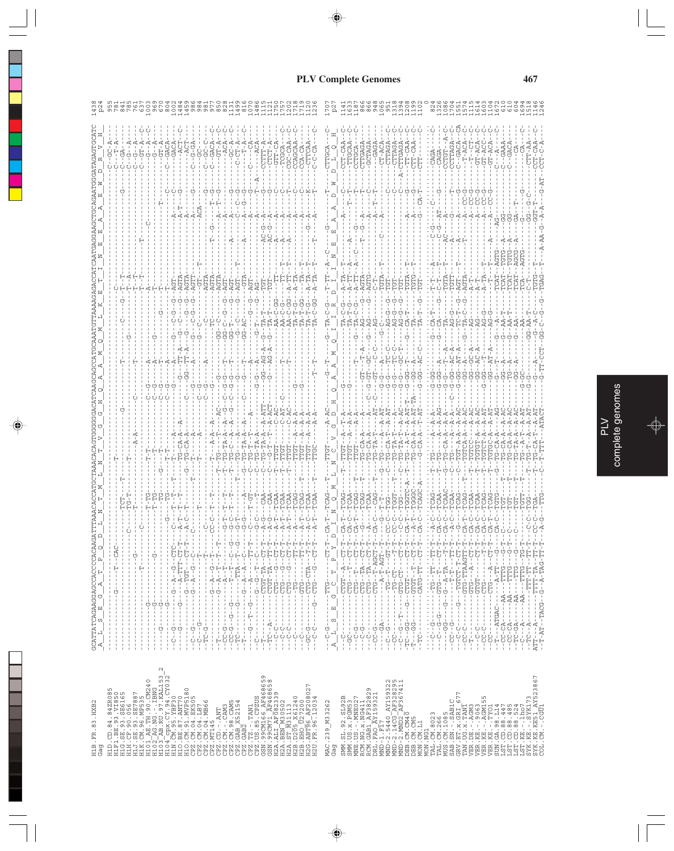| aenomes            |
|--------------------|
|                    |
| 5                  |
|                    |
|                    |
|                    |
| $\frac{1}{2}$<br>נ |
|                    |
| ere                |
|                    |
|                    |
|                    |
|                    |
| amo:               |
|                    |
|                    |
|                    |

 $\overline{\mathtt{a}}$ 

|                                                  |   |                                            |                                                           |                                                                                                                                                                                                                                                                                       |                                                    |              |                                                                                                                                  |               | $--CTC$                                                          |                                                | $\Gamma$ – $\Gamma$               | ł                        |                         | j.                                             | $-1 - 1 - 1 -$ | ł | $C - C$<br>$C - C$                             | ł                                                                              |                                                                                                                                                                                                                                                                                                                                                                                                                    |               |                                                                                                                                                                                                                                                                                                                |                                                    |                                       |                                              |                                                        |                                               |                                              |                                                  | <b>L-LD</b>              | χ                                      |                 |                                 |                             |                                                                        |                                                                                 |          |               |                   |                        |             |                        |                                 |  |                                                                                                                                                                                                                                                                                                                                                                                                                                            |  |                                              |                            | $L - L - - -$             |                               | $-5 - 9 - - -$                                                                     |  |  | $L = LLL = -$                                            |  |
|--------------------------------------------------|---|--------------------------------------------|-----------------------------------------------------------|---------------------------------------------------------------------------------------------------------------------------------------------------------------------------------------------------------------------------------------------------------------------------------------|----------------------------------------------------|--------------|----------------------------------------------------------------------------------------------------------------------------------|---------------|------------------------------------------------------------------|------------------------------------------------|-----------------------------------|--------------------------|-------------------------|------------------------------------------------|----------------|---|------------------------------------------------|--------------------------------------------------------------------------------|--------------------------------------------------------------------------------------------------------------------------------------------------------------------------------------------------------------------------------------------------------------------------------------------------------------------------------------------------------------------------------------------------------------------|---------------|----------------------------------------------------------------------------------------------------------------------------------------------------------------------------------------------------------------------------------------------------------------------------------------------------------------|----------------------------------------------------|---------------------------------------|----------------------------------------------|--------------------------------------------------------|-----------------------------------------------|----------------------------------------------|--------------------------------------------------|--------------------------|----------------------------------------|-----------------|---------------------------------|-----------------------------|------------------------------------------------------------------------|---------------------------------------------------------------------------------|----------|---------------|-------------------|------------------------|-------------|------------------------|---------------------------------|--|--------------------------------------------------------------------------------------------------------------------------------------------------------------------------------------------------------------------------------------------------------------------------------------------------------------------------------------------------------------------------------------------------------------------------------------------|--|----------------------------------------------|----------------------------|---------------------------|-------------------------------|------------------------------------------------------------------------------------|--|--|----------------------------------------------------------|--|
|                                                  |   | $- - CAC$<br>$\frac{1}{2}$<br>$-9 - - - -$ |                                                           | $\frac{1}{\sqrt{2}}$<br>J.<br>$\,$ I<br>-1<br>$\mathbf{I}$                                                                                                                                                                                                                            | ٠<br>$\mathbf{I}$<br>턱<br>J.<br>J.<br>$\mathbf{I}$ | $\mathbf{I}$ | ロー<br>J.<br>$\mathfrak l$<br>1<br>٠<br>$\mathbf{I}$<br>$\blacksquare$<br>$\mathbf{I}$<br>$\blacksquare$                          |               | $-1 - 5 - 4 - 6$                                                 | $- - P - LLL-L-L-I\\$                          | $- - - - - - - - - - - - - - - -$ | י<br>י<br>J.<br>٠        | י<br>י<br>$\mathbf{I}$  | $-1$<br>$\frac{1}{1}$<br>$-4$<br>$\frac{1}{1}$ |                | ÷ | $\frac{1}{2}$<br>۲<br>ا<br>$-$ – $-$ TTA<br>J. | $\frac{1}{1}$                                                                  |                                                                                                                                                                                                                                                                                                                                                                                                                    | $\frac{1}{1}$ | $\begin{array}{l} -1.514 & -1.514 & -1.514 \\ -1.514 & -1.514 & -1.514 \\ -1.514 & -1.514 & -1.514 \\ -1.514 & -1.514 & -1.514 \\ -1.514 & -1.514 & -1.514 \\ -1.514 & -1.514 & -1.514 \\ -1.514 & -1.514 & -1.514 \\ -1.514 & -1.514 & -1.514 \\ -1.514 & -1.514 & -1.514 \\ -1.514 & -1.514 & -1.514 \\ -1.$ | $-10T - T2$                                        | $-1 - 2T - - - -$                     |                                              |                                                        |                                               |                                              |                                                  | $\frac{1}{4}$<br>$--TTG$ | $\mathbf{\hat{p}}$<br>Н<br>U<br>์<br>ซ |                 |                                 |                             |                                                                        |                                                                                 |          |               |                   |                        |             |                        |                                 |  |                                                                                                                                                                                                                                                                                                                                                                                                                                            |  | $L-LLDVGL-L-DLD---------$<br>I-IU------DIU-- | $-1 - 1$<br>$- - 150T - -$ | $- - - - - - - - - - - -$ | $- - 12 - - 24 - - 212 - - -$ | $-$ - $\mbox{A}$ - $\mbox{T} \mbox{T}$<br>$\mathbf{I}$<br>$\overline{\phantom{a}}$ |  |  | $- 12T T T T - T A$                                      |  |
| GCATTATCAGAAGGAGCCACCCCACAA<br>A L S E G A T P Q | Ť | $\mathbb{L}$<br>Ť                          | $\mathbb{I}$<br>$\frac{1}{4}$<br>$\overline{\phantom{a}}$ | $\mathbf{I}$<br>$\mathbf{I}$<br>$\,$ $\,$<br>$\,$ I                                                                                                                                                                                                                                   | -<br>$\mathbf{I}$                                  |              | $\frac{1}{2}$ $\frac{1}{2}$ $\frac{1}{2}$ $\frac{1}{2}$ $\frac{1}{2}$<br>$\mathbf{I}$<br>t<br>ロー<br>$\mathbf{I}$<br>$\mathbf{I}$ | $\frac{1}{2}$ | 1<br>Ţ<br>$\frac{1}{4}$<br>$\frac{1}{\sqrt{2}}$<br>$\frac{1}{2}$ | $- - - - - - - -$<br>Í<br>$\frac{1}{\sqrt{2}}$ | J.<br>1                           | $\mathbf{I}$<br>J.<br>I, | $\mathbf{I}$<br>$-TC-C$ | $\mathbf{I}$                                   | Ĥ              | ٠ | $\frac{1}{1}$<br>$C - C$<br>$-TC--$            | $\,$ I<br>$\mathbf{I}$<br>$\frac{1}{1}$<br>$\frac{1}{1}$<br>$\frac{1}{1}$<br>Ļ | $-1 - 5 - 1 - 5 - 6$                                                                                                                                                                                                                                                                                                                                                                                               | J,<br>÷<br>ု  | $\frac{1}{1}$<br>$\,$ I<br>$\frac{1}{4}$<br>부                                                                                                                                                                                                                                                                  | $\frac{1}{1}$<br>$\mathbf{I}$<br>$-T - A - -A - -$ | J.<br>$\mathbf{I}$<br>ł<br>Ö,<br>$-1$ | $\mathbf{I}$<br>ł<br>$\frac{0}{1}$<br>U<br>I | $\mathbf{I}$<br>$\frac{1}{4}$<br>$\frac{1}{4}$<br>$-1$ | $\frac{1}{1}$<br>Î<br>٠<br>J<br>$\frac{1}{1}$ | $\frac{1}{1}$<br>$\frac{1}{1}$<br>J.<br>$-1$ | $-1 - 0 - 0 - 0 - 0 - 0 - 0 - 0$<br>$-1 - C - C$ | 1<br>もしり                 | 闽<br>C)<br>$\Box$<br>$\mathbb{A}$      | 1<br>$-1 - C -$ | ٠<br>$\mathsf I$<br>U<br>U<br>U | $\mathsf I$<br>$-1 - 0 - 1$ | ÷<br>$\ddot{\circ}$ - $\ddot{\circ}$ - $\ddot{\circ}$ - $\ddot{\circ}$ | $\,$<br>$\frac{1}{4}$<br>$\begin{array}{c} \hline \end{array}$<br><b>C-C-C-</b> | $--GB--$ | $-1 - 1 - -1$ | Ħ<br>$- -$ CC $-$ | $-1 - 1 - 1 -$<br>ウーリー | $-50 - -10$ | H--HDHD-------DD----H- | $\mathbf{I}$<br>-<br>$-10^{-1}$ |  | $\begin{split} \mathbf{1}_{0} = & \mathbf{1}_{0} \mathbf{1}_{0} - \mathbf{1}_{0} \mathbf{1}_{0} - \mathbf{1}_{0} - \mathbf{1}_{0} - \mathbf{1}_{0} - \mathbf{1}_{0} \mathbf{1}_{0} \\ & \mathbf{1}_{1} = \mathbf{1}_{0} \mathbf{1}_{0} - \mathbf{1}_{1} \mathbf{1}_{0} - \mathbf{1}_{0} \mathbf{1}_{0} \\ & \mathbf{1}_{1} = \mathbf{1}_{0} \mathbf{1}_{0} - \mathbf{1}_{1} \mathbf{1}_{0} - \mathbf{1}_{0} \\ & \mathbf{1}_{1} = \mathbf$ |  | $\frac{1}{1}$<br>$-100 - 1$                  | İ                          |                           |                               |                                                                                    |  |  | --TT-AT--TACC--C--A-TAG-TT-T<br>İ<br>$-4 - 2 - 1$<br>ATT |  |
|                                                  |   |                                            |                                                           |                                                                                                                                                                                                                                                                                       |                                                    |              | $\sim$                                                                                                                           |               |                                                                  |                                                |                                   |                          |                         |                                                |                |   |                                                |                                                                                |                                                                                                                                                                                                                                                                                                                                                                                                                    |               |                                                                                                                                                                                                                                                                                                                |                                                    |                                       |                                              |                                                        |                                               |                                              |                                                  |                          |                                        |                 |                                 |                             |                                                                        |                                                                                 |          |               |                   |                        |             |                        |                                 |  |                                                                                                                                                                                                                                                                                                                                                                                                                                            |  |                                              |                            |                           |                               |                                                                                    |  |  |                                                          |  |
| H1B.FR.83.HXB2<br>Gag                            |   |                                            |                                                           | $\begin{tabular}{c} {\bf HID. CD. 84. 842R085} \\ {\bf HIG. 1, B. 93. VIB50} \\ {\bf HIG. 1, B. 93. VIB56} \\ {\bf HIG. 1, B. 93. VIB56} \\ {\bf HIG. 1, C3. 94. 85. 87. 88. 87. 88. 87. 87. 88. 89. 81. 82. 83. 84. 85. 87. 87. 88. 89. 81. 83. 84. 85. 87. 87. 89. 80. 80. 81. 82.$ |                                                    |              |                                                                                                                                  |               |                                                                  |                                                |                                   |                          |                         |                                                |                |   |                                                | $CPZ$ . $GABZ$                                                                 | $\begin{array}{l} \texttt{CEZ}:\texttt{TX1}-\texttt{TM1} \\ \texttt{CEZ}:\texttt{US}, \texttt{85}, \texttt{CEZUS} \\ \texttt{GSDX}, \texttt{195} \texttt{CRLA} + \texttt{68655} \\ \texttt{GSDX}, \texttt{39} \texttt{CNT1} & \texttt{A}\texttt{FP468658} \\ \texttt{H2A}, \texttt{ALI} & \texttt{A}\texttt{FP682339} \\ \texttt{H2A}, \texttt{SIR} & \texttt{MT1113} \\ \texttt{H2B}, \texttt{D}\texttt{205} & \$ |               |                                                                                                                                                                                                                                                                                                                |                                                    |                                       |                                              |                                                        |                                               |                                              |                                                  | MAC.239_M33262<br>Gag    |                                        |                 |                                 |                             |                                                                        |                                                                                 |          |               |                   |                        |             |                        |                                 |  |                                                                                                                                                                                                                                                                                                                                                                                                                                            |  |                                              |                            |                           |                               |                                                                                    |  |  |                                                          |  |
|                                                  |   |                                            |                                                           |                                                                                                                                                                                                                                                                                       |                                                    |              |                                                                                                                                  |               |                                                                  |                                                |                                   |                          |                         |                                                |                |   |                                                |                                                                                |                                                                                                                                                                                                                                                                                                                                                                                                                    |               |                                                                                                                                                                                                                                                                                                                |                                                    |                                       |                                              |                                                        |                                               |                                              |                                                  |                          |                                        |                 |                                 |                             |                                                                        |                                                                                 |          |               |                   |                        |             |                        |                                 |  |                                                                                                                                                                                                                                                                                                                                                                                                                                            |  |                                              |                            |                           |                               |                                                                                    |  |  |                                                          |  |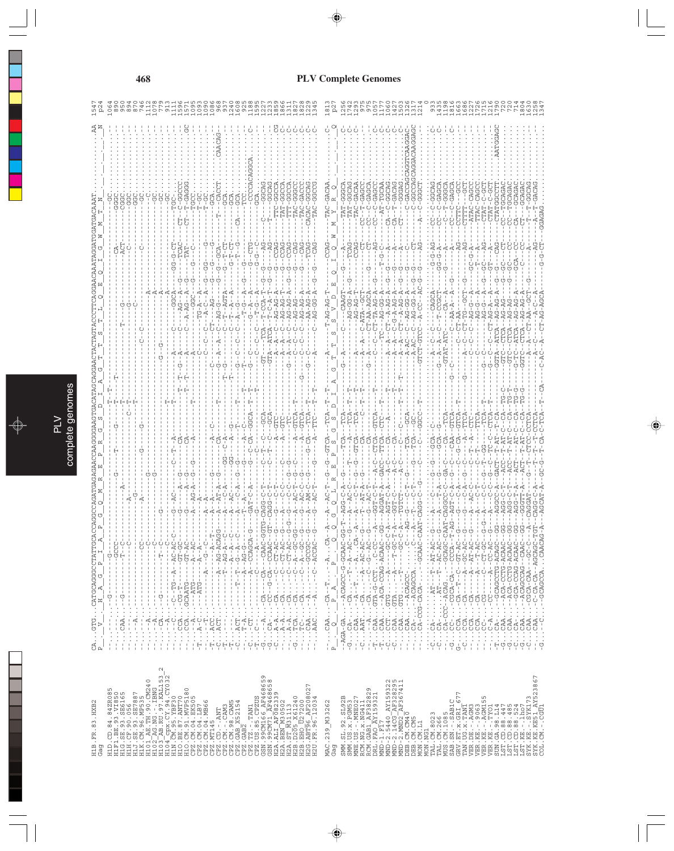|  | ř<br>ĭ |
|--|--------|
|  | í      |

es

| . FR. 83. HXB2<br>$H1B$ .<br>Gag                                                                                                                                                                                                                                                                                                                                                                                                  | d.<br>Ca                                       |                                                                                 |                                                                                                                                                                                                                                                                                                                                                                                                                                           |   |  |  |  |  |  |  |
|-----------------------------------------------------------------------------------------------------------------------------------------------------------------------------------------------------------------------------------------------------------------------------------------------------------------------------------------------------------------------------------------------------------------------------------|------------------------------------------------|---------------------------------------------------------------------------------|-------------------------------------------------------------------------------------------------------------------------------------------------------------------------------------------------------------------------------------------------------------------------------------------------------------------------------------------------------------------------------------------------------------------------------------------|---|--|--|--|--|--|--|
|                                                                                                                                                                                                                                                                                                                                                                                                                                   |                                                | $\frac{1}{\sqrt{2}}$<br>$\ddot{\phantom{0}}$                                    | $\frac{c}{1}$                                                                                                                                                                                                                                                                                                                                                                                                                             |   |  |  |  |  |  |  |
|                                                                                                                                                                                                                                                                                                                                                                                                                                   | CAA.                                           | $\cdot$                                                                         | -<br>CCC<br>$-1 - T - C$                                                                                                                                                                                                                                                                                                                                                                                                                  |   |  |  |  |  |  |  |
|                                                                                                                                                                                                                                                                                                                                                                                                                                   | $\overline{\phantom{a}}$<br>$\sf I$            | $\ddot{\circ}$                                                                  | $\mathsf I$<br>$\mathbf{I}$                                                                                                                                                                                                                                                                                                                                                                                                               | ု |  |  |  |  |  |  |
|                                                                                                                                                                                                                                                                                                                                                                                                                                   | $-1$                                           |                                                                                 |                                                                                                                                                                                                                                                                                                                                                                                                                                           |   |  |  |  |  |  |  |
|                                                                                                                                                                                                                                                                                                                                                                                                                                   | $\mathbb{I}$<br>$\frac{1}{4}$                  | t<br>J.<br>ţ.                                                                   | C <sub>C</sub><br>t<br>f,<br>J.<br>f,                                                                                                                                                                                                                                                                                                                                                                                                     |   |  |  |  |  |  |  |
|                                                                                                                                                                                                                                                                                                                                                                                                                                   |                                                | $\mathbf{I}$<br>$\overline{\phantom{a}}$<br>$\blacksquare$<br>-                 | J.<br>٠<br>-<br>$\mathsf I$                                                                                                                                                                                                                                                                                                                                                                                                               | U |  |  |  |  |  |  |
| $\mathbf{\sim}$                                                                                                                                                                                                                                                                                                                                                                                                                   | $-74$                                          | $\overline{\phantom{a}}$<br>$-\frac{c}{1}$                                      | $\frac{1}{2}$<br>$\blacksquare$                                                                                                                                                                                                                                                                                                                                                                                                           |   |  |  |  |  |  |  |
|                                                                                                                                                                                                                                                                                                                                                                                                                                   | $-4$                                           |                                                                                 |                                                                                                                                                                                                                                                                                                                                                                                                                                           |   |  |  |  |  |  |  |
|                                                                                                                                                                                                                                                                                                                                                                                                                                   | $\ldots$ CCA<br>$\frac{1}{2}$<br>$\vdots$      | $-1 - 50 - 7$<br>$\sum_{i=1}^{n}$<br>$\ddot{\phantom{0}}$                       | $-90 - 19 - -$<br>$-TTG - -A - -AC - AC$<br>ţ                                                                                                                                                                                                                                                                                                                                                                                             |   |  |  |  |  |  |  |
|                                                                                                                                                                                                                                                                                                                                                                                                                                   | $\ldots$ CCA                                   | -CCAATG--<br>$\cdot$                                                            | $-4G-T-DC$<br>J.                                                                                                                                                                                                                                                                                                                                                                                                                          |   |  |  |  |  |  |  |
|                                                                                                                                                                                                                                                                                                                                                                                                                                   | $\ddot{\cdot}$                                 |                                                                                 | -- - ATG- - - - - - A - - AC<br>-- - ATG- - - - - - - - A - -                                                                                                                                                                                                                                                                                                                                                                             |   |  |  |  |  |  |  |
|                                                                                                                                                                                                                                                                                                                                                                                                                                   | Н                                              | $\cdot$                                                                         |                                                                                                                                                                                                                                                                                                                                                                                                                                           |   |  |  |  |  |  |  |
|                                                                                                                                                                                                                                                                                                                                                                                                                                   | Н                                              | $\frac{1}{1}$<br>$\overline{\phantom{a}}$<br>$\overline{\phantom{a}}$<br>J<br>- | $-1 - 2 - 1 - 1 - 1$<br>$-4$<br>$\frac{1}{1}$                                                                                                                                                                                                                                                                                                                                                                                             |   |  |  |  |  |  |  |
|                                                                                                                                                                                                                                                                                                                                                                                                                                   |                                                | t                                                                               | --A--AG-ACZ<br>--T--AG-A--                                                                                                                                                                                                                                                                                                                                                                                                                |   |  |  |  |  |  |  |
|                                                                                                                                                                                                                                                                                                                                                                                                                                   | $\mathbf{I}$<br>ı<br>ı<br>$\cdot$<br>OHH       | I<br>$\overline{\phantom{a}}$<br>$\overline{1}$<br>٠                            |                                                                                                                                                                                                                                                                                                                                                                                                                                           |   |  |  |  |  |  |  |
|                                                                                                                                                                                                                                                                                                                                                                                                                                   | $C \ldots ACT$<br>J.<br>$\ddot{\cdot}$         | $-1$<br>$\mathbf{I}$<br>٠                                                       | $- -A - -A$<br>$-5 - 7 - 8$<br>T - T<br>ł                                                                                                                                                                                                                                                                                                                                                                                                 |   |  |  |  |  |  |  |
|                                                                                                                                                                                                                                                                                                                                                                                                                                   | $\ldots$ $T - A$                               | $\,$ I<br>$\overline{\phantom{a}}$                                              | $- - P - - G$<br>$-4$                                                                                                                                                                                                                                                                                                                                                                                                                     |   |  |  |  |  |  |  |
|                                                                                                                                                                                                                                                                                                                                                                                                                                   | LO-<br>$\vdots$                                | $\mathbf{I}$                                                                    | $-4 - -$                                                                                                                                                                                                                                                                                                                                                                                                                                  |   |  |  |  |  |  |  |
|                                                                                                                                                                                                                                                                                                                                                                                                                                   | $-1$<br>$C - 1$<br>$\ddot{\cdot}$<br>ひトウ       |                                                                                 |                                                                                                                                                                                                                                                                                                                                                                                                                                           |   |  |  |  |  |  |  |
|                                                                                                                                                                                                                                                                                                                                                                                                                                   | $\mathfrak{B}$<br>$\ddot{\cdot}$               | $-CD$<br>Ú.                                                                     |                                                                                                                                                                                                                                                                                                                                                                                                                                           |   |  |  |  |  |  |  |
|                                                                                                                                                                                                                                                                                                                                                                                                                                   | $\ldots A - A$<br>t<br>U                       | $-CD$                                                                           | $-  CT - AC$<br>$\begin{array}{c}\n\ddots \\ \vdots\n\end{array}$                                                                                                                                                                                                                                                                                                                                                                         |   |  |  |  |  |  |  |
|                                                                                                                                                                                                                                                                                                                                                                                                                                   | $\ldots A-A$                                   |                                                                                 | $\ddot{C}$                                                                                                                                                                                                                                                                                                                                                                                                                                |   |  |  |  |  |  |  |
|                                                                                                                                                                                                                                                                                                                                                                                                                                   | $\ldots$ $A-A$ .<br>$TCA$ .                    | idada<br> -<br> -                                                               | $\begin{array}{c}\n\ddots \\ \vdots \\ \vdots\n\end{array}$                                                                                                                                                                                                                                                                                                                                                                               |   |  |  |  |  |  |  |
|                                                                                                                                                                                                                                                                                                                                                                                                                                   | $\frac{1}{9}$                                  | $\cdot$                                                                         |                                                                                                                                                                                                                                                                                                                                                                                                                                           |   |  |  |  |  |  |  |
|                                                                                                                                                                                                                                                                                                                                                                                                                                   | $\mathbf{I}$<br>$- \ldots$ CAA<br>É<br>Ì       |                                                                                 | $- -A - -GC$<br>$\ddot{C}$                                                                                                                                                                                                                                                                                                                                                                                                                |   |  |  |  |  |  |  |
| $\begin{smallmatrix} \texttt{CEZ} & \texttt{TZZ} & \texttt{T} & \texttt{TAYI} \\ \texttt{CEZ} & \texttt{US} & \texttt{SS} & \texttt{CEZUS} \\ \texttt{CEZ} & \texttt{US} & \texttt{SS} & \texttt{SSE} \\ \texttt{CSX} & \texttt{SS} & \texttt{S9} & \texttt{CMYI} & \texttt{f} & \texttt{F44} & \texttt{68} & \texttt{65} & \texttt{58} \\ \texttt{CSX} & \texttt{SSX} & \texttt{S9} & \texttt{CMYI} & \texttt{f} & \texttt{F46}$ | $\ldots$ AAC                                   | $\vdots$<br>$---A$                                                              | $\frac{1}{2}$                                                                                                                                                                                                                                                                                                                                                                                                                             |   |  |  |  |  |  |  |
|                                                                                                                                                                                                                                                                                                                                                                                                                                   |                                                |                                                                                 |                                                                                                                                                                                                                                                                                                                                                                                                                                           |   |  |  |  |  |  |  |
| MAC.239 M33262<br>Gag                                                                                                                                                                                                                                                                                                                                                                                                             | $\ldots$ CAA.<br>$\infty$<br>$\mathbf{\Omega}$ | $\mathbb{R}^4$<br>$\mathbf{\Omega}$                                             | $-CA--T-.-.A-.2$<br>$\mathsf{p}_\mathsf{d}$                                                                                                                                                                                                                                                                                                                                                                                               |   |  |  |  |  |  |  |
|                                                                                                                                                                                                                                                                                                                                                                                                                                   | $\cdot$                                        |                                                                                 | ---ACAGC-G-GCAAC<br>$\dot{a}$<br>$\dot{1}$                                                                                                                                                                                                                                                                                                                                                                                                |   |  |  |  |  |  |  |
| SMM. 51.92. SI92B<br>SMM. US. x. pcM53<br>MME. US. - MME027<br>RCM. GAB1. AF38129<br>RCM. GAB1. RAO_AY159321                                                                                                                                                                                                                                                                                                                      | $-AGA-GA$ .                                    |                                                                                 |                                                                                                                                                                                                                                                                                                                                                                                                                                           |   |  |  |  |  |  |  |
|                                                                                                                                                                                                                                                                                                                                                                                                                                   |                                                |                                                                                 |                                                                                                                                                                                                                                                                                                                                                                                                                                           |   |  |  |  |  |  |  |
|                                                                                                                                                                                                                                                                                                                                                                                                                                   |                                                |                                                                                 |                                                                                                                                                                                                                                                                                                                                                                                                                                           |   |  |  |  |  |  |  |
| G                                                                                                                                                                                                                                                                                                                                                                                                                                 | $\ldots -A$ .<br>$\ldots$ CAA.                 |                                                                                 |                                                                                                                                                                                                                                                                                                                                                                                                                                           |   |  |  |  |  |  |  |
| $T\overline{11}$ .<br>$AD-1$                                                                                                                                                                                                                                                                                                                                                                                                      | $\ldots$ CAA<br>Н                              |                                                                                 |                                                                                                                                                                                                                                                                                                                                                                                                                                           |   |  |  |  |  |  |  |
|                                                                                                                                                                                                                                                                                                                                                                                                                                   |                                                |                                                                                 |                                                                                                                                                                                                                                                                                                                                                                                                                                           |   |  |  |  |  |  |  |
|                                                                                                                                                                                                                                                                                                                                                                                                                                   | ΩO                                             |                                                                                 |                                                                                                                                                                                                                                                                                                                                                                                                                                           |   |  |  |  |  |  |  |
|                                                                                                                                                                                                                                                                                                                                                                                                                                   | CCAA<br>CCAA                                   |                                                                                 |                                                                                                                                                                                                                                                                                                                                                                                                                                           |   |  |  |  |  |  |  |
|                                                                                                                                                                                                                                                                                                                                                                                                                                   |                                                |                                                                                 |                                                                                                                                                                                                                                                                                                                                                                                                                                           |   |  |  |  |  |  |  |
|                                                                                                                                                                                                                                                                                                                                                                                                                                   |                                                |                                                                                 | CAA--ACAGCC-C<br>CA---ACAGCCA<br>CA-CCG-CACA---GCAAC                                                                                                                                                                                                                                                                                                                                                                                      |   |  |  |  |  |  |  |
|                                                                                                                                                                                                                                                                                                                                                                                                                                   | $\mathbf{I}$                                   |                                                                                 |                                                                                                                                                                                                                                                                                                                                                                                                                                           |   |  |  |  |  |  |  |
|                                                                                                                                                                                                                                                                                                                                                                                                                                   | $\cdot$ $\cup$                                 |                                                                                 |                                                                                                                                                                                                                                                                                                                                                                                                                                           |   |  |  |  |  |  |  |
|                                                                                                                                                                                                                                                                                                                                                                                                                                   | ċ                                              |                                                                                 |                                                                                                                                                                                                                                                                                                                                                                                                                                           |   |  |  |  |  |  |  |
|                                                                                                                                                                                                                                                                                                                                                                                                                                   |                                                |                                                                                 |                                                                                                                                                                                                                                                                                                                                                                                                                                           |   |  |  |  |  |  |  |
|                                                                                                                                                                                                                                                                                                                                                                                                                                   | $\dot{\sigma}$                                 |                                                                                 | $\begin{split} &\vdots\hspace{-0.5mm}\vdots\hspace{-0.5mm}\vdots\hspace{-0.5mm}\vdots\hspace{-0.5mm}\vdots\hspace{-0.5mm}\vdots\hspace{-0.5mm}\vdots\hspace{-0.5mm}\vdots\hspace{-0.5mm}\vdots\hspace{-0.5mm}\vdots\hspace{-0.5mm}\vdots\hspace{-0.5mm}\vdots\hspace{-0.5mm}\vdots\hspace{-0.5mm}\vdots\hspace{-0.5mm}\vdots\hspace{-0.5mm}\vdots\hspace{-0.5mm}\vdots\hspace{-0.5mm}\vdots\hspace{-0.5mm}\vdots\hspace{-0.5mm}\vdots\hs$ |   |  |  |  |  |  |  |
| $\begin{array}{l} \texttt{MND-2}:\texttt{5440\_AY159322}\\ \texttt{MND-2}:\texttt{1460G\_AF328235}\\ \texttt{MND-2}:\texttt{140G\_AF328235}\\ \texttt{MND-2}:\texttt{140G\_AF328235}\\ \texttt{MND}:\texttt{CM}:\texttt{CM}:\texttt{140}\\\texttt{MND}:\texttt{CM}:\texttt{140}\\\texttt{MND}:\texttt{CM}:\texttt{140}\\\texttt{MND}:\texttt{CM}:\texttt{140}\\\texttt{MND}:\texttt{CM$                                           | ひ                                              |                                                                                 |                                                                                                                                                                                                                                                                                                                                                                                                                                           |   |  |  |  |  |  |  |
|                                                                                                                                                                                                                                                                                                                                                                                                                                   | $\cup$                                         | Ť.<br>$CCA$ $CA$                                                                | $A - -GC - A$<br>$-1$                                                                                                                                                                                                                                                                                                                                                                                                                     |   |  |  |  |  |  |  |
|                                                                                                                                                                                                                                                                                                                                                                                                                                   |                                                |                                                                                 |                                                                                                                                                                                                                                                                                                                                                                                                                                           |   |  |  |  |  |  |  |
|                                                                                                                                                                                                                                                                                                                                                                                                                                   |                                                |                                                                                 |                                                                                                                                                                                                                                                                                                                                                                                                                                           |   |  |  |  |  |  |  |
|                                                                                                                                                                                                                                                                                                                                                                                                                                   | $\ddot{\phantom{0}}$                           |                                                                                 | $-4 - -10 - - 00$                                                                                                                                                                                                                                                                                                                                                                                                                         |   |  |  |  |  |  |  |
|                                                                                                                                                                                                                                                                                                                                                                                                                                   | $CA -$<br>Н                                    | Ì                                                                               | UACA-ULOUDA--                                                                                                                                                                                                                                                                                                                                                                                                                             |   |  |  |  |  |  |  |
|                                                                                                                                                                                                                                                                                                                                                                                                                                   | $\ddot{\phantom{0}}$                           | $CAA$<br>$CAA$                                                                  | -ACA-CCTG-ACAAC<br>--ACA-CCTG-ACAA                                                                                                                                                                                                                                                                                                                                                                                                        |   |  |  |  |  |  |  |
|                                                                                                                                                                                                                                                                                                                                                                                                                                   | $\ddot{\phantom{a}}$<br>ひひひひ                   |                                                                                 | -GCA-CCAG-ACAAC                                                                                                                                                                                                                                                                                                                                                                                                                           |   |  |  |  |  |  |  |
|                                                                                                                                                                                                                                                                                                                                                                                                                                   | CAA                                            |                                                                                 | --ACAGCCAG--CAAC                                                                                                                                                                                                                                                                                                                                                                                                                          |   |  |  |  |  |  |  |
|                                                                                                                                                                                                                                                                                                                                                                                                                                   | CAA<br>U                                       |                                                                                 |                                                                                                                                                                                                                                                                                                                                                                                                                                           |   |  |  |  |  |  |  |
| ğ                                                                                                                                                                                                                                                                                                                                                                                                                                 | CAA                                            |                                                                                 |                                                                                                                                                                                                                                                                                                                                                                                                                                           |   |  |  |  |  |  |  |
|                                                                                                                                                                                                                                                                                                                                                                                                                                   |                                                |                                                                                 | -GCAGCCACAAC                                                                                                                                                                                                                                                                                                                                                                                                                              |   |  |  |  |  |  |  |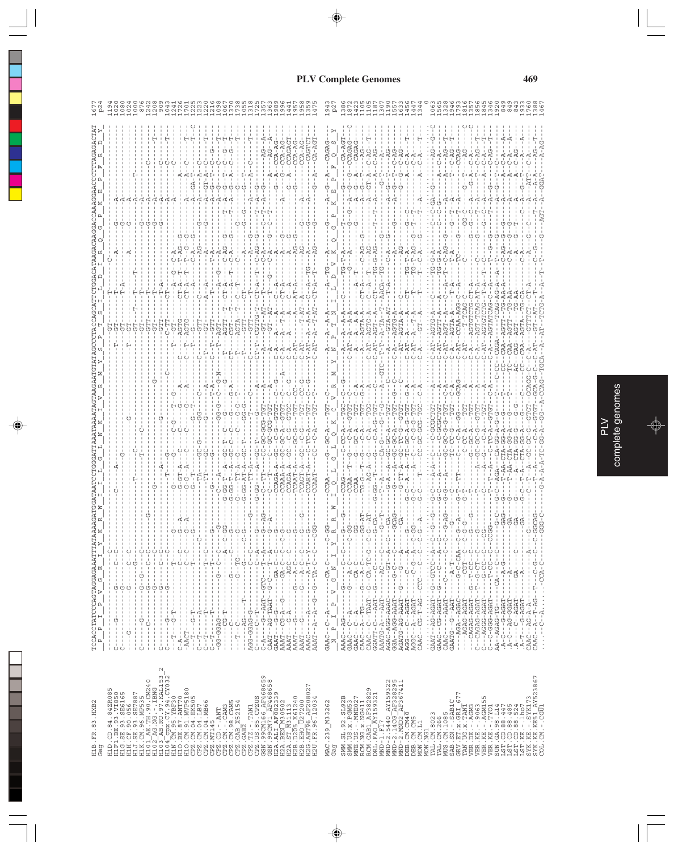| $\begin{small} \text{HID} & \text{101}, \text{102}, \text{103}, \text{104}, \text{105}, \text{106}, \text{107}, \text{108}, \text{108}, \text{109}, \text{108}, \text{109}, \text{109}, \text{109}, \text{109}, \text{109}, \text{109}, \text{109}, \text{109}, \text{109}, \text{109}, \text{109}, \text{109}, \text{109}, \text{109}, \text{109}, \text{109}, \text{109}, \text{109}, \text{10$ | $\mathbf{I}$<br>$\mathbf{I}$<br>$\mathbf{I}$                                                                                                                                                                                                                                                                                                                                                                                 |  |  |  |  |  |  |
|---------------------------------------------------------------------------------------------------------------------------------------------------------------------------------------------------------------------------------------------------------------------------------------------------------------------------------------------------------------------------------------------------|------------------------------------------------------------------------------------------------------------------------------------------------------------------------------------------------------------------------------------------------------------------------------------------------------------------------------------------------------------------------------------------------------------------------------|--|--|--|--|--|--|
|                                                                                                                                                                                                                                                                                                                                                                                                   | $\Gamma = 1$                                                                                                                                                                                                                                                                                                                                                                                                                 |  |  |  |  |  |  |
|                                                                                                                                                                                                                                                                                                                                                                                                   |                                                                                                                                                                                                                                                                                                                                                                                                                              |  |  |  |  |  |  |
|                                                                                                                                                                                                                                                                                                                                                                                                   |                                                                                                                                                                                                                                                                                                                                                                                                                              |  |  |  |  |  |  |
|                                                                                                                                                                                                                                                                                                                                                                                                   |                                                                                                                                                                                                                                                                                                                                                                                                                              |  |  |  |  |  |  |
|                                                                                                                                                                                                                                                                                                                                                                                                   |                                                                                                                                                                                                                                                                                                                                                                                                                              |  |  |  |  |  |  |
|                                                                                                                                                                                                                                                                                                                                                                                                   |                                                                                                                                                                                                                                                                                                                                                                                                                              |  |  |  |  |  |  |
|                                                                                                                                                                                                                                                                                                                                                                                                   |                                                                                                                                                                                                                                                                                                                                                                                                                              |  |  |  |  |  |  |
|                                                                                                                                                                                                                                                                                                                                                                                                   |                                                                                                                                                                                                                                                                                                                                                                                                                              |  |  |  |  |  |  |
| $\sim$                                                                                                                                                                                                                                                                                                                                                                                            |                                                                                                                                                                                                                                                                                                                                                                                                                              |  |  |  |  |  |  |
|                                                                                                                                                                                                                                                                                                                                                                                                   |                                                                                                                                                                                                                                                                                                                                                                                                                              |  |  |  |  |  |  |
|                                                                                                                                                                                                                                                                                                                                                                                                   |                                                                                                                                                                                                                                                                                                                                                                                                                              |  |  |  |  |  |  |
|                                                                                                                                                                                                                                                                                                                                                                                                   |                                                                                                                                                                                                                                                                                                                                                                                                                              |  |  |  |  |  |  |
|                                                                                                                                                                                                                                                                                                                                                                                                   |                                                                                                                                                                                                                                                                                                                                                                                                                              |  |  |  |  |  |  |
|                                                                                                                                                                                                                                                                                                                                                                                                   |                                                                                                                                                                                                                                                                                                                                                                                                                              |  |  |  |  |  |  |
|                                                                                                                                                                                                                                                                                                                                                                                                   |                                                                                                                                                                                                                                                                                                                                                                                                                              |  |  |  |  |  |  |
|                                                                                                                                                                                                                                                                                                                                                                                                   |                                                                                                                                                                                                                                                                                                                                                                                                                              |  |  |  |  |  |  |
|                                                                                                                                                                                                                                                                                                                                                                                                   |                                                                                                                                                                                                                                                                                                                                                                                                                              |  |  |  |  |  |  |
|                                                                                                                                                                                                                                                                                                                                                                                                   |                                                                                                                                                                                                                                                                                                                                                                                                                              |  |  |  |  |  |  |
|                                                                                                                                                                                                                                                                                                                                                                                                   |                                                                                                                                                                                                                                                                                                                                                                                                                              |  |  |  |  |  |  |
|                                                                                                                                                                                                                                                                                                                                                                                                   |                                                                                                                                                                                                                                                                                                                                                                                                                              |  |  |  |  |  |  |
|                                                                                                                                                                                                                                                                                                                                                                                                   |                                                                                                                                                                                                                                                                                                                                                                                                                              |  |  |  |  |  |  |
|                                                                                                                                                                                                                                                                                                                                                                                                   |                                                                                                                                                                                                                                                                                                                                                                                                                              |  |  |  |  |  |  |
|                                                                                                                                                                                                                                                                                                                                                                                                   |                                                                                                                                                                                                                                                                                                                                                                                                                              |  |  |  |  |  |  |
|                                                                                                                                                                                                                                                                                                                                                                                                   |                                                                                                                                                                                                                                                                                                                                                                                                                              |  |  |  |  |  |  |
|                                                                                                                                                                                                                                                                                                                                                                                                   |                                                                                                                                                                                                                                                                                                                                                                                                                              |  |  |  |  |  |  |
|                                                                                                                                                                                                                                                                                                                                                                                                   |                                                                                                                                                                                                                                                                                                                                                                                                                              |  |  |  |  |  |  |
|                                                                                                                                                                                                                                                                                                                                                                                                   |                                                                                                                                                                                                                                                                                                                                                                                                                              |  |  |  |  |  |  |
|                                                                                                                                                                                                                                                                                                                                                                                                   |                                                                                                                                                                                                                                                                                                                                                                                                                              |  |  |  |  |  |  |
|                                                                                                                                                                                                                                                                                                                                                                                                   |                                                                                                                                                                                                                                                                                                                                                                                                                              |  |  |  |  |  |  |
|                                                                                                                                                                                                                                                                                                                                                                                                   |                                                                                                                                                                                                                                                                                                                                                                                                                              |  |  |  |  |  |  |
|                                                                                                                                                                                                                                                                                                                                                                                                   |                                                                                                                                                                                                                                                                                                                                                                                                                              |  |  |  |  |  |  |
|                                                                                                                                                                                                                                                                                                                                                                                                   |                                                                                                                                                                                                                                                                                                                                                                                                                              |  |  |  |  |  |  |
|                                                                                                                                                                                                                                                                                                                                                                                                   |                                                                                                                                                                                                                                                                                                                                                                                                                              |  |  |  |  |  |  |
|                                                                                                                                                                                                                                                                                                                                                                                                   |                                                                                                                                                                                                                                                                                                                                                                                                                              |  |  |  |  |  |  |
|                                                                                                                                                                                                                                                                                                                                                                                                   |                                                                                                                                                                                                                                                                                                                                                                                                                              |  |  |  |  |  |  |
|                                                                                                                                                                                                                                                                                                                                                                                                   |                                                                                                                                                                                                                                                                                                                                                                                                                              |  |  |  |  |  |  |
|                                                                                                                                                                                                                                                                                                                                                                                                   |                                                                                                                                                                                                                                                                                                                                                                                                                              |  |  |  |  |  |  |
|                                                                                                                                                                                                                                                                                                                                                                                                   |                                                                                                                                                                                                                                                                                                                                                                                                                              |  |  |  |  |  |  |
|                                                                                                                                                                                                                                                                                                                                                                                                   |                                                                                                                                                                                                                                                                                                                                                                                                                              |  |  |  |  |  |  |
| MAC.239_M33262                                                                                                                                                                                                                                                                                                                                                                                    |                                                                                                                                                                                                                                                                                                                                                                                                                              |  |  |  |  |  |  |
|                                                                                                                                                                                                                                                                                                                                                                                                   |                                                                                                                                                                                                                                                                                                                                                                                                                              |  |  |  |  |  |  |
|                                                                                                                                                                                                                                                                                                                                                                                                   |                                                                                                                                                                                                                                                                                                                                                                                                                              |  |  |  |  |  |  |
|                                                                                                                                                                                                                                                                                                                                                                                                   |                                                                                                                                                                                                                                                                                                                                                                                                                              |  |  |  |  |  |  |
|                                                                                                                                                                                                                                                                                                                                                                                                   |                                                                                                                                                                                                                                                                                                                                                                                                                              |  |  |  |  |  |  |
|                                                                                                                                                                                                                                                                                                                                                                                                   |                                                                                                                                                                                                                                                                                                                                                                                                                              |  |  |  |  |  |  |
|                                                                                                                                                                                                                                                                                                                                                                                                   |                                                                                                                                                                                                                                                                                                                                                                                                                              |  |  |  |  |  |  |
|                                                                                                                                                                                                                                                                                                                                                                                                   |                                                                                                                                                                                                                                                                                                                                                                                                                              |  |  |  |  |  |  |
|                                                                                                                                                                                                                                                                                                                                                                                                   |                                                                                                                                                                                                                                                                                                                                                                                                                              |  |  |  |  |  |  |
|                                                                                                                                                                                                                                                                                                                                                                                                   |                                                                                                                                                                                                                                                                                                                                                                                                                              |  |  |  |  |  |  |
|                                                                                                                                                                                                                                                                                                                                                                                                   |                                                                                                                                                                                                                                                                                                                                                                                                                              |  |  |  |  |  |  |
|                                                                                                                                                                                                                                                                                                                                                                                                   |                                                                                                                                                                                                                                                                                                                                                                                                                              |  |  |  |  |  |  |
|                                                                                                                                                                                                                                                                                                                                                                                                   |                                                                                                                                                                                                                                                                                                                                                                                                                              |  |  |  |  |  |  |
|                                                                                                                                                                                                                                                                                                                                                                                                   |                                                                                                                                                                                                                                                                                                                                                                                                                              |  |  |  |  |  |  |
|                                                                                                                                                                                                                                                                                                                                                                                                   |                                                                                                                                                                                                                                                                                                                                                                                                                              |  |  |  |  |  |  |
|                                                                                                                                                                                                                                                                                                                                                                                                   |                                                                                                                                                                                                                                                                                                                                                                                                                              |  |  |  |  |  |  |
|                                                                                                                                                                                                                                                                                                                                                                                                   |                                                                                                                                                                                                                                                                                                                                                                                                                              |  |  |  |  |  |  |
|                                                                                                                                                                                                                                                                                                                                                                                                   |                                                                                                                                                                                                                                                                                                                                                                                                                              |  |  |  |  |  |  |
|                                                                                                                                                                                                                                                                                                                                                                                                   |                                                                                                                                                                                                                                                                                                                                                                                                                              |  |  |  |  |  |  |
|                                                                                                                                                                                                                                                                                                                                                                                                   |                                                                                                                                                                                                                                                                                                                                                                                                                              |  |  |  |  |  |  |
|                                                                                                                                                                                                                                                                                                                                                                                                   |                                                                                                                                                                                                                                                                                                                                                                                                                              |  |  |  |  |  |  |
|                                                                                                                                                                                                                                                                                                                                                                                                   |                                                                                                                                                                                                                                                                                                                                                                                                                              |  |  |  |  |  |  |
|                                                                                                                                                                                                                                                                                                                                                                                                   |                                                                                                                                                                                                                                                                                                                                                                                                                              |  |  |  |  |  |  |
|                                                                                                                                                                                                                                                                                                                                                                                                   |                                                                                                                                                                                                                                                                                                                                                                                                                              |  |  |  |  |  |  |
|                                                                                                                                                                                                                                                                                                                                                                                                   |                                                                                                                                                                                                                                                                                                                                                                                                                              |  |  |  |  |  |  |
|                                                                                                                                                                                                                                                                                                                                                                                                   |                                                                                                                                                                                                                                                                                                                                                                                                                              |  |  |  |  |  |  |
|                                                                                                                                                                                                                                                                                                                                                                                                   |                                                                                                                                                                                                                                                                                                                                                                                                                              |  |  |  |  |  |  |
|                                                                                                                                                                                                                                                                                                                                                                                                   |                                                                                                                                                                                                                                                                                                                                                                                                                              |  |  |  |  |  |  |
|                                                                                                                                                                                                                                                                                                                                                                                                   |                                                                                                                                                                                                                                                                                                                                                                                                                              |  |  |  |  |  |  |
|                                                                                                                                                                                                                                                                                                                                                                                                   |                                                                                                                                                                                                                                                                                                                                                                                                                              |  |  |  |  |  |  |
|                                                                                                                                                                                                                                                                                                                                                                                                   |                                                                                                                                                                                                                                                                                                                                                                                                                              |  |  |  |  |  |  |
|                                                                                                                                                                                                                                                                                                                                                                                                   |                                                                                                                                                                                                                                                                                                                                                                                                                              |  |  |  |  |  |  |
|                                                                                                                                                                                                                                                                                                                                                                                                   |                                                                                                                                                                                                                                                                                                                                                                                                                              |  |  |  |  |  |  |
|                                                                                                                                                                                                                                                                                                                                                                                                   |                                                                                                                                                                                                                                                                                                                                                                                                                              |  |  |  |  |  |  |
|                                                                                                                                                                                                                                                                                                                                                                                                   |                                                                                                                                                                                                                                                                                                                                                                                                                              |  |  |  |  |  |  |
|                                                                                                                                                                                                                                                                                                                                                                                                   |                                                                                                                                                                                                                                                                                                                                                                                                                              |  |  |  |  |  |  |
|                                                                                                                                                                                                                                                                                                                                                                                                   |                                                                                                                                                                                                                                                                                                                                                                                                                              |  |  |  |  |  |  |
|                                                                                                                                                                                                                                                                                                                                                                                                   |                                                                                                                                                                                                                                                                                                                                                                                                                              |  |  |  |  |  |  |
|                                                                                                                                                                                                                                                                                                                                                                                                   |                                                                                                                                                                                                                                                                                                                                                                                                                              |  |  |  |  |  |  |
|                                                                                                                                                                                                                                                                                                                                                                                                   |                                                                                                                                                                                                                                                                                                                                                                                                                              |  |  |  |  |  |  |
|                                                                                                                                                                                                                                                                                                                                                                                                   |                                                                                                                                                                                                                                                                                                                                                                                                                              |  |  |  |  |  |  |
|                                                                                                                                                                                                                                                                                                                                                                                                   |                                                                                                                                                                                                                                                                                                                                                                                                                              |  |  |  |  |  |  |
|                                                                                                                                                                                                                                                                                                                                                                                                   |                                                                                                                                                                                                                                                                                                                                                                                                                              |  |  |  |  |  |  |
|                                                                                                                                                                                                                                                                                                                                                                                                   |                                                                                                                                                                                                                                                                                                                                                                                                                              |  |  |  |  |  |  |
|                                                                                                                                                                                                                                                                                                                                                                                                   |                                                                                                                                                                                                                                                                                                                                                                                                                              |  |  |  |  |  |  |
|                                                                                                                                                                                                                                                                                                                                                                                                   |                                                                                                                                                                                                                                                                                                                                                                                                                              |  |  |  |  |  |  |
|                                                                                                                                                                                                                                                                                                                                                                                                   |                                                                                                                                                                                                                                                                                                                                                                                                                              |  |  |  |  |  |  |
|                                                                                                                                                                                                                                                                                                                                                                                                   | $\begin{array}{l} \text{BAAC} - \text{C} - \text{A} - \text{C} - \text{A} - \text{C} - \text{A} - \text{C} - \text{A} - \text{C} - \text{A} - \text{C} - \text{A} - \text{C} - \text{A} - \text{C} - \text{A} - \text{C} - \text{A} - \text{C} - \text{A} - \text{C} - \text{A} - \text{C} - \text{A} - \text{C} - \text{A} - \text{C} - \text{A} - \text{C} - \text{A} - \text{C} - \text{A} - \text{C} - \text{A} - \text$ |  |  |  |  |  |  |
|                                                                                                                                                                                                                                                                                                                                                                                                   |                                                                                                                                                                                                                                                                                                                                                                                                                              |  |  |  |  |  |  |
|                                                                                                                                                                                                                                                                                                                                                                                                   |                                                                                                                                                                                                                                                                                                                                                                                                                              |  |  |  |  |  |  |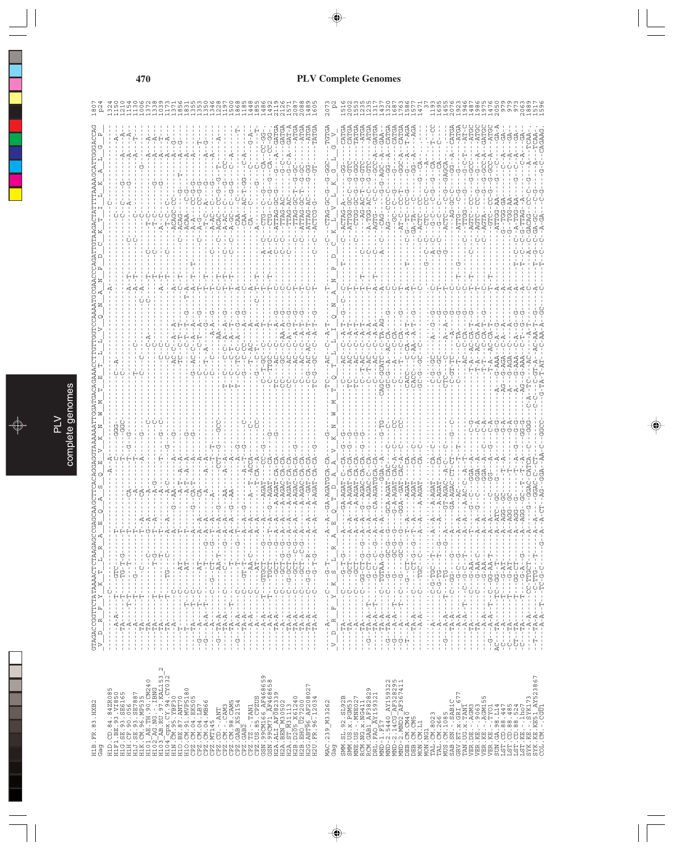| ļ<br><b>SANACIA</b> |
|---------------------|
|                     |
|                     |
|                     |
| 2                   |
| j                   |
|                     |
|                     |
| <b>Signals</b>      |
|                     |
|                     |
| ŝ<br>י<br>ג         |
|                     |
|                     |
|                     |

 $\frac{2}{10}$ 

| $- - - - -$<br>$\begin{array}{l} \mathbf{r}_{1}^{1} \mathbf{r}_{2}^{1} \mathbf{r}_{3}^{1} \mathbf{r}_{4}^{2} \mathbf{r}_{5}^{3} \mathbf{r}_{6}^{2} \mathbf{r}_{7}^{3} \mathbf{r}_{8}^{3} \mathbf{r}_{9}^{4} \mathbf{r}_{9}^{4} \mathbf{r}_{9}^{5} \mathbf{r}_{1}^{6} \mathbf{r}_{1}^{6} \mathbf{r}_{1}^{7} \mathbf{r}_{2}^{6} \mathbf{r}_{1}^{7} \mathbf{r}_{2}^{7} \mathbf{r}_{3}^{7} \mathbf{r}_{1}^{6} \mathbf{$<br>f,<br>1<br>$\frac{1}{4}$<br>$\frac{1}{4}$<br>$\mathbf{I}$<br>- 1<br>$\mathbf{I}$<br>J.<br>$\mathbf I$<br>$\,$ $\,$<br>$-1 - 5T - - -$<br>$\frac{1}{2}$<br>$\frac{1}{1}$<br>$- - - - - - - - -$<br>$-1 - 1 - 1 - 1$<br>------------<br>$\mathbf{I}$<br>$\frac{1}{2}$<br>t<br>÷,<br>$\mathbf{I}$<br>$\mathbf{I}$<br>$L = - - - - - -$<br>$\frac{1}{2}$<br>$-10T$<br>$\frac{1}{2}$<br>$-5 -$<br>$\mathsf I$<br>ŧ<br>$\blacksquare$<br>$\frac{1}{1}$<br>$\blacksquare$<br>İ<br>-<br>Ħ<br>÷<br>÷,<br>$\frac{1}{4}$<br>f,<br>$\frac{1}{4}$<br>$\frac{1}{2}$<br>U<br>$\mathbf{I}$<br>$-1$<br>$\begin{array}{c} \n\mathbf{C} + \mathbf{C} + \mathbf{C} + \mathbf{C} + \mathbf{C} + \mathbf{C} + \mathbf{C} + \mathbf{C} + \mathbf{C} + \mathbf{C} + \mathbf{C} + \mathbf{C} + \mathbf{C} + \mathbf{C} + \mathbf{C} + \mathbf{C} + \mathbf{C} + \mathbf{C} + \mathbf{C} + \mathbf{C} + \mathbf{C} + \mathbf{C} + \mathbf{C} + \mathbf{C} + \mathbf{C} + \mathbf{C} + \mathbf{C} + \mathbf{C} + \mathbf{C} + \mathbf{C} + \$<br>$-1$<br>$\frac{1}{2}$<br>$\frac{1}{2}$<br>$\begin{array}{c}\nC \\ 1\n\end{array}$<br>$\frac{1}{2}$<br>Ĵ<br>$-1$<br>$\Gamma_{-+}$ |                                                                                                                                                                                                                                                                                                                                                                                                                                                                                                                                                                                                                                                                                                                                                                                                                                                                                                                                                                                                                                                                                                                                          |  |  |  |  |
|-------------------------------------------------------------------------------------------------------------------------------------------------------------------------------------------------------------------------------------------------------------------------------------------------------------------------------------------------------------------------------------------------------------------------------------------------------------------------------------------------------------------------------------------------------------------------------------------------------------------------------------------------------------------------------------------------------------------------------------------------------------------------------------------------------------------------------------------------------------------------------------------------------------------------------------------------------------------------------------------------------------------------------------------------------------------------------------------------------------------------------------------------------------------------------------------------------------------------------------------------------------------------------------------------------------------------------------------------------------------------------------------------------------------------------------------------------------------------------------------------------------------------------------------------------------------------------|------------------------------------------------------------------------------------------------------------------------------------------------------------------------------------------------------------------------------------------------------------------------------------------------------------------------------------------------------------------------------------------------------------------------------------------------------------------------------------------------------------------------------------------------------------------------------------------------------------------------------------------------------------------------------------------------------------------------------------------------------------------------------------------------------------------------------------------------------------------------------------------------------------------------------------------------------------------------------------------------------------------------------------------------------------------------------------------------------------------------------------------|--|--|--|--|
|                                                                                                                                                                                                                                                                                                                                                                                                                                                                                                                                                                                                                                                                                                                                                                                                                                                                                                                                                                                                                                                                                                                                                                                                                                                                                                                                                                                                                                                                                                                                                                               |                                                                                                                                                                                                                                                                                                                                                                                                                                                                                                                                                                                                                                                                                                                                                                                                                                                                                                                                                                                                                                                                                                                                          |  |  |  |  |
|                                                                                                                                                                                                                                                                                                                                                                                                                                                                                                                                                                                                                                                                                                                                                                                                                                                                                                                                                                                                                                                                                                                                                                                                                                                                                                                                                                                                                                                                                                                                                                               |                                                                                                                                                                                                                                                                                                                                                                                                                                                                                                                                                                                                                                                                                                                                                                                                                                                                                                                                                                                                                                                                                                                                          |  |  |  |  |
|                                                                                                                                                                                                                                                                                                                                                                                                                                                                                                                                                                                                                                                                                                                                                                                                                                                                                                                                                                                                                                                                                                                                                                                                                                                                                                                                                                                                                                                                                                                                                                               |                                                                                                                                                                                                                                                                                                                                                                                                                                                                                                                                                                                                                                                                                                                                                                                                                                                                                                                                                                                                                                                                                                                                          |  |  |  |  |
|                                                                                                                                                                                                                                                                                                                                                                                                                                                                                                                                                                                                                                                                                                                                                                                                                                                                                                                                                                                                                                                                                                                                                                                                                                                                                                                                                                                                                                                                                                                                                                               |                                                                                                                                                                                                                                                                                                                                                                                                                                                                                                                                                                                                                                                                                                                                                                                                                                                                                                                                                                                                                                                                                                                                          |  |  |  |  |
|                                                                                                                                                                                                                                                                                                                                                                                                                                                                                                                                                                                                                                                                                                                                                                                                                                                                                                                                                                                                                                                                                                                                                                                                                                                                                                                                                                                                                                                                                                                                                                               |                                                                                                                                                                                                                                                                                                                                                                                                                                                                                                                                                                                                                                                                                                                                                                                                                                                                                                                                                                                                                                                                                                                                          |  |  |  |  |
|                                                                                                                                                                                                                                                                                                                                                                                                                                                                                                                                                                                                                                                                                                                                                                                                                                                                                                                                                                                                                                                                                                                                                                                                                                                                                                                                                                                                                                                                                                                                                                               |                                                                                                                                                                                                                                                                                                                                                                                                                                                                                                                                                                                                                                                                                                                                                                                                                                                                                                                                                                                                                                                                                                                                          |  |  |  |  |
|                                                                                                                                                                                                                                                                                                                                                                                                                                                                                                                                                                                                                                                                                                                                                                                                                                                                                                                                                                                                                                                                                                                                                                                                                                                                                                                                                                                                                                                                                                                                                                               |                                                                                                                                                                                                                                                                                                                                                                                                                                                                                                                                                                                                                                                                                                                                                                                                                                                                                                                                                                                                                                                                                                                                          |  |  |  |  |
|                                                                                                                                                                                                                                                                                                                                                                                                                                                                                                                                                                                                                                                                                                                                                                                                                                                                                                                                                                                                                                                                                                                                                                                                                                                                                                                                                                                                                                                                                                                                                                               |                                                                                                                                                                                                                                                                                                                                                                                                                                                                                                                                                                                                                                                                                                                                                                                                                                                                                                                                                                                                                                                                                                                                          |  |  |  |  |
|                                                                                                                                                                                                                                                                                                                                                                                                                                                                                                                                                                                                                                                                                                                                                                                                                                                                                                                                                                                                                                                                                                                                                                                                                                                                                                                                                                                                                                                                                                                                                                               |                                                                                                                                                                                                                                                                                                                                                                                                                                                                                                                                                                                                                                                                                                                                                                                                                                                                                                                                                                                                                                                                                                                                          |  |  |  |  |
|                                                                                                                                                                                                                                                                                                                                                                                                                                                                                                                                                                                                                                                                                                                                                                                                                                                                                                                                                                                                                                                                                                                                                                                                                                                                                                                                                                                                                                                                                                                                                                               |                                                                                                                                                                                                                                                                                                                                                                                                                                                                                                                                                                                                                                                                                                                                                                                                                                                                                                                                                                                                                                                                                                                                          |  |  |  |  |
|                                                                                                                                                                                                                                                                                                                                                                                                                                                                                                                                                                                                                                                                                                                                                                                                                                                                                                                                                                                                                                                                                                                                                                                                                                                                                                                                                                                                                                                                                                                                                                               |                                                                                                                                                                                                                                                                                                                                                                                                                                                                                                                                                                                                                                                                                                                                                                                                                                                                                                                                                                                                                                                                                                                                          |  |  |  |  |
|                                                                                                                                                                                                                                                                                                                                                                                                                                                                                                                                                                                                                                                                                                                                                                                                                                                                                                                                                                                                                                                                                                                                                                                                                                                                                                                                                                                                                                                                                                                                                                               |                                                                                                                                                                                                                                                                                                                                                                                                                                                                                                                                                                                                                                                                                                                                                                                                                                                                                                                                                                                                                                                                                                                                          |  |  |  |  |
|                                                                                                                                                                                                                                                                                                                                                                                                                                                                                                                                                                                                                                                                                                                                                                                                                                                                                                                                                                                                                                                                                                                                                                                                                                                                                                                                                                                                                                                                                                                                                                               |                                                                                                                                                                                                                                                                                                                                                                                                                                                                                                                                                                                                                                                                                                                                                                                                                                                                                                                                                                                                                                                                                                                                          |  |  |  |  |
|                                                                                                                                                                                                                                                                                                                                                                                                                                                                                                                                                                                                                                                                                                                                                                                                                                                                                                                                                                                                                                                                                                                                                                                                                                                                                                                                                                                                                                                                                                                                                                               |                                                                                                                                                                                                                                                                                                                                                                                                                                                                                                                                                                                                                                                                                                                                                                                                                                                                                                                                                                                                                                                                                                                                          |  |  |  |  |
|                                                                                                                                                                                                                                                                                                                                                                                                                                                                                                                                                                                                                                                                                                                                                                                                                                                                                                                                                                                                                                                                                                                                                                                                                                                                                                                                                                                                                                                                                                                                                                               |                                                                                                                                                                                                                                                                                                                                                                                                                                                                                                                                                                                                                                                                                                                                                                                                                                                                                                                                                                                                                                                                                                                                          |  |  |  |  |
|                                                                                                                                                                                                                                                                                                                                                                                                                                                                                                                                                                                                                                                                                                                                                                                                                                                                                                                                                                                                                                                                                                                                                                                                                                                                                                                                                                                                                                                                                                                                                                               |                                                                                                                                                                                                                                                                                                                                                                                                                                                                                                                                                                                                                                                                                                                                                                                                                                                                                                                                                                                                                                                                                                                                          |  |  |  |  |
|                                                                                                                                                                                                                                                                                                                                                                                                                                                                                                                                                                                                                                                                                                                                                                                                                                                                                                                                                                                                                                                                                                                                                                                                                                                                                                                                                                                                                                                                                                                                                                               |                                                                                                                                                                                                                                                                                                                                                                                                                                                                                                                                                                                                                                                                                                                                                                                                                                                                                                                                                                                                                                                                                                                                          |  |  |  |  |
|                                                                                                                                                                                                                                                                                                                                                                                                                                                                                                                                                                                                                                                                                                                                                                                                                                                                                                                                                                                                                                                                                                                                                                                                                                                                                                                                                                                                                                                                                                                                                                               |                                                                                                                                                                                                                                                                                                                                                                                                                                                                                                                                                                                                                                                                                                                                                                                                                                                                                                                                                                                                                                                                                                                                          |  |  |  |  |
|                                                                                                                                                                                                                                                                                                                                                                                                                                                                                                                                                                                                                                                                                                                                                                                                                                                                                                                                                                                                                                                                                                                                                                                                                                                                                                                                                                                                                                                                                                                                                                               |                                                                                                                                                                                                                                                                                                                                                                                                                                                                                                                                                                                                                                                                                                                                                                                                                                                                                                                                                                                                                                                                                                                                          |  |  |  |  |
|                                                                                                                                                                                                                                                                                                                                                                                                                                                                                                                                                                                                                                                                                                                                                                                                                                                                                                                                                                                                                                                                                                                                                                                                                                                                                                                                                                                                                                                                                                                                                                               |                                                                                                                                                                                                                                                                                                                                                                                                                                                                                                                                                                                                                                                                                                                                                                                                                                                                                                                                                                                                                                                                                                                                          |  |  |  |  |
|                                                                                                                                                                                                                                                                                                                                                                                                                                                                                                                                                                                                                                                                                                                                                                                                                                                                                                                                                                                                                                                                                                                                                                                                                                                                                                                                                                                                                                                                                                                                                                               |                                                                                                                                                                                                                                                                                                                                                                                                                                                                                                                                                                                                                                                                                                                                                                                                                                                                                                                                                                                                                                                                                                                                          |  |  |  |  |
|                                                                                                                                                                                                                                                                                                                                                                                                                                                                                                                                                                                                                                                                                                                                                                                                                                                                                                                                                                                                                                                                                                                                                                                                                                                                                                                                                                                                                                                                                                                                                                               |                                                                                                                                                                                                                                                                                                                                                                                                                                                                                                                                                                                                                                                                                                                                                                                                                                                                                                                                                                                                                                                                                                                                          |  |  |  |  |
|                                                                                                                                                                                                                                                                                                                                                                                                                                                                                                                                                                                                                                                                                                                                                                                                                                                                                                                                                                                                                                                                                                                                                                                                                                                                                                                                                                                                                                                                                                                                                                               |                                                                                                                                                                                                                                                                                                                                                                                                                                                                                                                                                                                                                                                                                                                                                                                                                                                                                                                                                                                                                                                                                                                                          |  |  |  |  |
|                                                                                                                                                                                                                                                                                                                                                                                                                                                                                                                                                                                                                                                                                                                                                                                                                                                                                                                                                                                                                                                                                                                                                                                                                                                                                                                                                                                                                                                                                                                                                                               |                                                                                                                                                                                                                                                                                                                                                                                                                                                                                                                                                                                                                                                                                                                                                                                                                                                                                                                                                                                                                                                                                                                                          |  |  |  |  |
| $\frac{1}{2}$                                                                                                                                                                                                                                                                                                                                                                                                                                                                                                                                                                                                                                                                                                                                                                                                                                                                                                                                                                                                                                                                                                                                                                                                                                                                                                                                                                                                                                                                                                                                                                 |                                                                                                                                                                                                                                                                                                                                                                                                                                                                                                                                                                                                                                                                                                                                                                                                                                                                                                                                                                                                                                                                                                                                          |  |  |  |  |
| $\frac{1}{2}$                                                                                                                                                                                                                                                                                                                                                                                                                                                                                                                                                                                                                                                                                                                                                                                                                                                                                                                                                                                                                                                                                                                                                                                                                                                                                                                                                                                                                                                                                                                                                                 |                                                                                                                                                                                                                                                                                                                                                                                                                                                                                                                                                                                                                                                                                                                                                                                                                                                                                                                                                                                                                                                                                                                                          |  |  |  |  |
| $\begin{array}{c}\n0 \\ 1\n\end{array}$                                                                                                                                                                                                                                                                                                                                                                                                                                                                                                                                                                                                                                                                                                                                                                                                                                                                                                                                                                                                                                                                                                                                                                                                                                                                                                                                                                                                                                                                                                                                       |                                                                                                                                                                                                                                                                                                                                                                                                                                                                                                                                                                                                                                                                                                                                                                                                                                                                                                                                                                                                                                                                                                                                          |  |  |  |  |
|                                                                                                                                                                                                                                                                                                                                                                                                                                                                                                                                                                                                                                                                                                                                                                                                                                                                                                                                                                                                                                                                                                                                                                                                                                                                                                                                                                                                                                                                                                                                                                               |                                                                                                                                                                                                                                                                                                                                                                                                                                                                                                                                                                                                                                                                                                                                                                                                                                                                                                                                                                                                                                                                                                                                          |  |  |  |  |
| $\frac{1}{1}$                                                                                                                                                                                                                                                                                                                                                                                                                                                                                                                                                                                                                                                                                                                                                                                                                                                                                                                                                                                                                                                                                                                                                                                                                                                                                                                                                                                                                                                                                                                                                                 |                                                                                                                                                                                                                                                                                                                                                                                                                                                                                                                                                                                                                                                                                                                                                                                                                                                                                                                                                                                                                                                                                                                                          |  |  |  |  |
|                                                                                                                                                                                                                                                                                                                                                                                                                                                                                                                                                                                                                                                                                                                                                                                                                                                                                                                                                                                                                                                                                                                                                                                                                                                                                                                                                                                                                                                                                                                                                                               |                                                                                                                                                                                                                                                                                                                                                                                                                                                                                                                                                                                                                                                                                                                                                                                                                                                                                                                                                                                                                                                                                                                                          |  |  |  |  |
| ひ‐ し‐ – LU 5 – –<br>Ť<br>ု                                                                                                                                                                                                                                                                                                                                                                                                                                                                                                                                                                                                                                                                                                                                                                                                                                                                                                                                                                                                                                                                                                                                                                                                                                                                                                                                                                                                                                                                                                                                                    |                                                                                                                                                                                                                                                                                                                                                                                                                                                                                                                                                                                                                                                                                                                                                                                                                                                                                                                                                                                                                                                                                                                                          |  |  |  |  |
| $-9 - 0 - 1$<br>↻                                                                                                                                                                                                                                                                                                                                                                                                                                                                                                                                                                                                                                                                                                                                                                                                                                                                                                                                                                                                                                                                                                                                                                                                                                                                                                                                                                                                                                                                                                                                                             |                                                                                                                                                                                                                                                                                                                                                                                                                                                                                                                                                                                                                                                                                                                                                                                                                                                                                                                                                                                                                                                                                                                                          |  |  |  |  |
| $\frac{1}{2}$ , $\frac{1}{2}$<br>$G-G--R--R--C--G--C-.$<br>$\,$ I<br>$\frac{1}{\sqrt{2}}$                                                                                                                                                                                                                                                                                                                                                                                                                                                                                                                                                                                                                                                                                                                                                                                                                                                                                                                                                                                                                                                                                                                                                                                                                                                                                                                                                                                                                                                                                     |                                                                                                                                                                                                                                                                                                                                                                                                                                                                                                                                                                                                                                                                                                                                                                                                                                                                                                                                                                                                                                                                                                                                          |  |  |  |  |
|                                                                                                                                                                                                                                                                                                                                                                                                                                                                                                                                                                                                                                                                                                                                                                                                                                                                                                                                                                                                                                                                                                                                                                                                                                                                                                                                                                                                                                                                                                                                                                               |                                                                                                                                                                                                                                                                                                                                                                                                                                                                                                                                                                                                                                                                                                                                                                                                                                                                                                                                                                                                                                                                                                                                          |  |  |  |  |
| $-1 - G - T$<br>÷<br>$\frac{1}{1}$                                                                                                                                                                                                                                                                                                                                                                                                                                                                                                                                                                                                                                                                                                                                                                                                                                                                                                                                                                                                                                                                                                                                                                                                                                                                                                                                                                                                                                                                                                                                            |                                                                                                                                                                                                                                                                                                                                                                                                                                                                                                                                                                                                                                                                                                                                                                                                                                                                                                                                                                                                                                                                                                                                          |  |  |  |  |
|                                                                                                                                                                                                                                                                                                                                                                                                                                                                                                                                                                                                                                                                                                                                                                                                                                                                                                                                                                                                                                                                                                                                                                                                                                                                                                                                                                                                                                                                                                                                                                               |                                                                                                                                                                                                                                                                                                                                                                                                                                                                                                                                                                                                                                                                                                                                                                                                                                                                                                                                                                                                                                                                                                                                          |  |  |  |  |
|                                                                                                                                                                                                                                                                                                                                                                                                                                                                                                                                                                                                                                                                                                                                                                                                                                                                                                                                                                                                                                                                                                                                                                                                                                                                                                                                                                                                                                                                                                                                                                               |                                                                                                                                                                                                                                                                                                                                                                                                                                                                                                                                                                                                                                                                                                                                                                                                                                                                                                                                                                                                                                                                                                                                          |  |  |  |  |
|                                                                                                                                                                                                                                                                                                                                                                                                                                                                                                                                                                                                                                                                                                                                                                                                                                                                                                                                                                                                                                                                                                                                                                                                                                                                                                                                                                                                                                                                                                                                                                               |                                                                                                                                                                                                                                                                                                                                                                                                                                                                                                                                                                                                                                                                                                                                                                                                                                                                                                                                                                                                                                                                                                                                          |  |  |  |  |
|                                                                                                                                                                                                                                                                                                                                                                                                                                                                                                                                                                                                                                                                                                                                                                                                                                                                                                                                                                                                                                                                                                                                                                                                                                                                                                                                                                                                                                                                                                                                                                               |                                                                                                                                                                                                                                                                                                                                                                                                                                                                                                                                                                                                                                                                                                                                                                                                                                                                                                                                                                                                                                                                                                                                          |  |  |  |  |
|                                                                                                                                                                                                                                                                                                                                                                                                                                                                                                                                                                                                                                                                                                                                                                                                                                                                                                                                                                                                                                                                                                                                                                                                                                                                                                                                                                                                                                                                                                                                                                               |                                                                                                                                                                                                                                                                                                                                                                                                                                                                                                                                                                                                                                                                                                                                                                                                                                                                                                                                                                                                                                                                                                                                          |  |  |  |  |
|                                                                                                                                                                                                                                                                                                                                                                                                                                                                                                                                                                                                                                                                                                                                                                                                                                                                                                                                                                                                                                                                                                                                                                                                                                                                                                                                                                                                                                                                                                                                                                               |                                                                                                                                                                                                                                                                                                                                                                                                                                                                                                                                                                                                                                                                                                                                                                                                                                                                                                                                                                                                                                                                                                                                          |  |  |  |  |
|                                                                                                                                                                                                                                                                                                                                                                                                                                                                                                                                                                                                                                                                                                                                                                                                                                                                                                                                                                                                                                                                                                                                                                                                                                                                                                                                                                                                                                                                                                                                                                               |                                                                                                                                                                                                                                                                                                                                                                                                                                                                                                                                                                                                                                                                                                                                                                                                                                                                                                                                                                                                                                                                                                                                          |  |  |  |  |
|                                                                                                                                                                                                                                                                                                                                                                                                                                                                                                                                                                                                                                                                                                                                                                                                                                                                                                                                                                                                                                                                                                                                                                                                                                                                                                                                                                                                                                                                                                                                                                               |                                                                                                                                                                                                                                                                                                                                                                                                                                                                                                                                                                                                                                                                                                                                                                                                                                                                                                                                                                                                                                                                                                                                          |  |  |  |  |
|                                                                                                                                                                                                                                                                                                                                                                                                                                                                                                                                                                                                                                                                                                                                                                                                                                                                                                                                                                                                                                                                                                                                                                                                                                                                                                                                                                                                                                                                                                                                                                               |                                                                                                                                                                                                                                                                                                                                                                                                                                                                                                                                                                                                                                                                                                                                                                                                                                                                                                                                                                                                                                                                                                                                          |  |  |  |  |
|                                                                                                                                                                                                                                                                                                                                                                                                                                                                                                                                                                                                                                                                                                                                                                                                                                                                                                                                                                                                                                                                                                                                                                                                                                                                                                                                                                                                                                                                                                                                                                               |                                                                                                                                                                                                                                                                                                                                                                                                                                                                                                                                                                                                                                                                                                                                                                                                                                                                                                                                                                                                                                                                                                                                          |  |  |  |  |
|                                                                                                                                                                                                                                                                                                                                                                                                                                                                                                                                                                                                                                                                                                                                                                                                                                                                                                                                                                                                                                                                                                                                                                                                                                                                                                                                                                                                                                                                                                                                                                               |                                                                                                                                                                                                                                                                                                                                                                                                                                                                                                                                                                                                                                                                                                                                                                                                                                                                                                                                                                                                                                                                                                                                          |  |  |  |  |
|                                                                                                                                                                                                                                                                                                                                                                                                                                                                                                                                                                                                                                                                                                                                                                                                                                                                                                                                                                                                                                                                                                                                                                                                                                                                                                                                                                                                                                                                                                                                                                               |                                                                                                                                                                                                                                                                                                                                                                                                                                                                                                                                                                                                                                                                                                                                                                                                                                                                                                                                                                                                                                                                                                                                          |  |  |  |  |
|                                                                                                                                                                                                                                                                                                                                                                                                                                                                                                                                                                                                                                                                                                                                                                                                                                                                                                                                                                                                                                                                                                                                                                                                                                                                                                                                                                                                                                                                                                                                                                               |                                                                                                                                                                                                                                                                                                                                                                                                                                                                                                                                                                                                                                                                                                                                                                                                                                                                                                                                                                                                                                                                                                                                          |  |  |  |  |
|                                                                                                                                                                                                                                                                                                                                                                                                                                                                                                                                                                                                                                                                                                                                                                                                                                                                                                                                                                                                                                                                                                                                                                                                                                                                                                                                                                                                                                                                                                                                                                               |                                                                                                                                                                                                                                                                                                                                                                                                                                                                                                                                                                                                                                                                                                                                                                                                                                                                                                                                                                                                                                                                                                                                          |  |  |  |  |
|                                                                                                                                                                                                                                                                                                                                                                                                                                                                                                                                                                                                                                                                                                                                                                                                                                                                                                                                                                                                                                                                                                                                                                                                                                                                                                                                                                                                                                                                                                                                                                               |                                                                                                                                                                                                                                                                                                                                                                                                                                                                                                                                                                                                                                                                                                                                                                                                                                                                                                                                                                                                                                                                                                                                          |  |  |  |  |
|                                                                                                                                                                                                                                                                                                                                                                                                                                                                                                                                                                                                                                                                                                                                                                                                                                                                                                                                                                                                                                                                                                                                                                                                                                                                                                                                                                                                                                                                                                                                                                               |                                                                                                                                                                                                                                                                                                                                                                                                                                                                                                                                                                                                                                                                                                                                                                                                                                                                                                                                                                                                                                                                                                                                          |  |  |  |  |
|                                                                                                                                                                                                                                                                                                                                                                                                                                                                                                                                                                                                                                                                                                                                                                                                                                                                                                                                                                                                                                                                                                                                                                                                                                                                                                                                                                                                                                                                                                                                                                               |                                                                                                                                                                                                                                                                                                                                                                                                                                                                                                                                                                                                                                                                                                                                                                                                                                                                                                                                                                                                                                                                                                                                          |  |  |  |  |
|                                                                                                                                                                                                                                                                                                                                                                                                                                                                                                                                                                                                                                                                                                                                                                                                                                                                                                                                                                                                                                                                                                                                                                                                                                                                                                                                                                                                                                                                                                                                                                               |                                                                                                                                                                                                                                                                                                                                                                                                                                                                                                                                                                                                                                                                                                                                                                                                                                                                                                                                                                                                                                                                                                                                          |  |  |  |  |
|                                                                                                                                                                                                                                                                                                                                                                                                                                                                                                                                                                                                                                                                                                                                                                                                                                                                                                                                                                                                                                                                                                                                                                                                                                                                                                                                                                                                                                                                                                                                                                               |                                                                                                                                                                                                                                                                                                                                                                                                                                                                                                                                                                                                                                                                                                                                                                                                                                                                                                                                                                                                                                                                                                                                          |  |  |  |  |
|                                                                                                                                                                                                                                                                                                                                                                                                                                                                                                                                                                                                                                                                                                                                                                                                                                                                                                                                                                                                                                                                                                                                                                                                                                                                                                                                                                                                                                                                                                                                                                               |                                                                                                                                                                                                                                                                                                                                                                                                                                                                                                                                                                                                                                                                                                                                                                                                                                                                                                                                                                                                                                                                                                                                          |  |  |  |  |
|                                                                                                                                                                                                                                                                                                                                                                                                                                                                                                                                                                                                                                                                                                                                                                                                                                                                                                                                                                                                                                                                                                                                                                                                                                                                                                                                                                                                                                                                                                                                                                               |                                                                                                                                                                                                                                                                                                                                                                                                                                                                                                                                                                                                                                                                                                                                                                                                                                                                                                                                                                                                                                                                                                                                          |  |  |  |  |
|                                                                                                                                                                                                                                                                                                                                                                                                                                                                                                                                                                                                                                                                                                                                                                                                                                                                                                                                                                                                                                                                                                                                                                                                                                                                                                                                                                                                                                                                                                                                                                               |                                                                                                                                                                                                                                                                                                                                                                                                                                                                                                                                                                                                                                                                                                                                                                                                                                                                                                                                                                                                                                                                                                                                          |  |  |  |  |
|                                                                                                                                                                                                                                                                                                                                                                                                                                                                                                                                                                                                                                                                                                                                                                                                                                                                                                                                                                                                                                                                                                                                                                                                                                                                                                                                                                                                                                                                                                                                                                               |                                                                                                                                                                                                                                                                                                                                                                                                                                                                                                                                                                                                                                                                                                                                                                                                                                                                                                                                                                                                                                                                                                                                          |  |  |  |  |
|                                                                                                                                                                                                                                                                                                                                                                                                                                                                                                                                                                                                                                                                                                                                                                                                                                                                                                                                                                                                                                                                                                                                                                                                                                                                                                                                                                                                                                                                                                                                                                               |                                                                                                                                                                                                                                                                                                                                                                                                                                                                                                                                                                                                                                                                                                                                                                                                                                                                                                                                                                                                                                                                                                                                          |  |  |  |  |
|                                                                                                                                                                                                                                                                                                                                                                                                                                                                                                                                                                                                                                                                                                                                                                                                                                                                                                                                                                                                                                                                                                                                                                                                                                                                                                                                                                                                                                                                                                                                                                               |                                                                                                                                                                                                                                                                                                                                                                                                                                                                                                                                                                                                                                                                                                                                                                                                                                                                                                                                                                                                                                                                                                                                          |  |  |  |  |
|                                                                                                                                                                                                                                                                                                                                                                                                                                                                                                                                                                                                                                                                                                                                                                                                                                                                                                                                                                                                                                                                                                                                                                                                                                                                                                                                                                                                                                                                                                                                                                               |                                                                                                                                                                                                                                                                                                                                                                                                                                                                                                                                                                                                                                                                                                                                                                                                                                                                                                                                                                                                                                                                                                                                          |  |  |  |  |
|                                                                                                                                                                                                                                                                                                                                                                                                                                                                                                                                                                                                                                                                                                                                                                                                                                                                                                                                                                                                                                                                                                                                                                                                                                                                                                                                                                                                                                                                                                                                                                               |                                                                                                                                                                                                                                                                                                                                                                                                                                                                                                                                                                                                                                                                                                                                                                                                                                                                                                                                                                                                                                                                                                                                          |  |  |  |  |
|                                                                                                                                                                                                                                                                                                                                                                                                                                                                                                                                                                                                                                                                                                                                                                                                                                                                                                                                                                                                                                                                                                                                                                                                                                                                                                                                                                                                                                                                                                                                                                               |                                                                                                                                                                                                                                                                                                                                                                                                                                                                                                                                                                                                                                                                                                                                                                                                                                                                                                                                                                                                                                                                                                                                          |  |  |  |  |
|                                                                                                                                                                                                                                                                                                                                                                                                                                                                                                                                                                                                                                                                                                                                                                                                                                                                                                                                                                                                                                                                                                                                                                                                                                                                                                                                                                                                                                                                                                                                                                               |                                                                                                                                                                                                                                                                                                                                                                                                                                                                                                                                                                                                                                                                                                                                                                                                                                                                                                                                                                                                                                                                                                                                          |  |  |  |  |
|                                                                                                                                                                                                                                                                                                                                                                                                                                                                                                                                                                                                                                                                                                                                                                                                                                                                                                                                                                                                                                                                                                                                                                                                                                                                                                                                                                                                                                                                                                                                                                               |                                                                                                                                                                                                                                                                                                                                                                                                                                                                                                                                                                                                                                                                                                                                                                                                                                                                                                                                                                                                                                                                                                                                          |  |  |  |  |
|                                                                                                                                                                                                                                                                                                                                                                                                                                                                                                                                                                                                                                                                                                                                                                                                                                                                                                                                                                                                                                                                                                                                                                                                                                                                                                                                                                                                                                                                                                                                                                               |                                                                                                                                                                                                                                                                                                                                                                                                                                                                                                                                                                                                                                                                                                                                                                                                                                                                                                                                                                                                                                                                                                                                          |  |  |  |  |
|                                                                                                                                                                                                                                                                                                                                                                                                                                                                                                                                                                                                                                                                                                                                                                                                                                                                                                                                                                                                                                                                                                                                                                                                                                                                                                                                                                                                                                                                                                                                                                               |                                                                                                                                                                                                                                                                                                                                                                                                                                                                                                                                                                                                                                                                                                                                                                                                                                                                                                                                                                                                                                                                                                                                          |  |  |  |  |
|                                                                                                                                                                                                                                                                                                                                                                                                                                                                                                                                                                                                                                                                                                                                                                                                                                                                                                                                                                                                                                                                                                                                                                                                                                                                                                                                                                                                                                                                                                                                                                               |                                                                                                                                                                                                                                                                                                                                                                                                                                                                                                                                                                                                                                                                                                                                                                                                                                                                                                                                                                                                                                                                                                                                          |  |  |  |  |
|                                                                                                                                                                                                                                                                                                                                                                                                                                                                                                                                                                                                                                                                                                                                                                                                                                                                                                                                                                                                                                                                                                                                                                                                                                                                                                                                                                                                                                                                                                                                                                               |                                                                                                                                                                                                                                                                                                                                                                                                                                                                                                                                                                                                                                                                                                                                                                                                                                                                                                                                                                                                                                                                                                                                          |  |  |  |  |
|                                                                                                                                                                                                                                                                                                                                                                                                                                                                                                                                                                                                                                                                                                                                                                                                                                                                                                                                                                                                                                                                                                                                                                                                                                                                                                                                                                                                                                                                                                                                                                               |                                                                                                                                                                                                                                                                                                                                                                                                                                                                                                                                                                                                                                                                                                                                                                                                                                                                                                                                                                                                                                                                                                                                          |  |  |  |  |
|                                                                                                                                                                                                                                                                                                                                                                                                                                                                                                                                                                                                                                                                                                                                                                                                                                                                                                                                                                                                                                                                                                                                                                                                                                                                                                                                                                                                                                                                                                                                                                               |                                                                                                                                                                                                                                                                                                                                                                                                                                                                                                                                                                                                                                                                                                                                                                                                                                                                                                                                                                                                                                                                                                                                          |  |  |  |  |
|                                                                                                                                                                                                                                                                                                                                                                                                                                                                                                                                                                                                                                                                                                                                                                                                                                                                                                                                                                                                                                                                                                                                                                                                                                                                                                                                                                                                                                                                                                                                                                               |                                                                                                                                                                                                                                                                                                                                                                                                                                                                                                                                                                                                                                                                                                                                                                                                                                                                                                                                                                                                                                                                                                                                          |  |  |  |  |
|                                                                                                                                                                                                                                                                                                                                                                                                                                                                                                                                                                                                                                                                                                                                                                                                                                                                                                                                                                                                                                                                                                                                                                                                                                                                                                                                                                                                                                                                                                                                                                               |                                                                                                                                                                                                                                                                                                                                                                                                                                                                                                                                                                                                                                                                                                                                                                                                                                                                                                                                                                                                                                                                                                                                          |  |  |  |  |
|                                                                                                                                                                                                                                                                                                                                                                                                                                                                                                                                                                                                                                                                                                                                                                                                                                                                                                                                                                                                                                                                                                                                                                                                                                                                                                                                                                                                                                                                                                                                                                               |                                                                                                                                                                                                                                                                                                                                                                                                                                                                                                                                                                                                                                                                                                                                                                                                                                                                                                                                                                                                                                                                                                                                          |  |  |  |  |
|                                                                                                                                                                                                                                                                                                                                                                                                                                                                                                                                                                                                                                                                                                                                                                                                                                                                                                                                                                                                                                                                                                                                                                                                                                                                                                                                                                                                                                                                                                                                                                               |                                                                                                                                                                                                                                                                                                                                                                                                                                                                                                                                                                                                                                                                                                                                                                                                                                                                                                                                                                                                                                                                                                                                          |  |  |  |  |
|                                                                                                                                                                                                                                                                                                                                                                                                                                                                                                                                                                                                                                                                                                                                                                                                                                                                                                                                                                                                                                                                                                                                                                                                                                                                                                                                                                                                                                                                                                                                                                               |                                                                                                                                                                                                                                                                                                                                                                                                                                                                                                                                                                                                                                                                                                                                                                                                                                                                                                                                                                                                                                                                                                                                          |  |  |  |  |
|                                                                                                                                                                                                                                                                                                                                                                                                                                                                                                                                                                                                                                                                                                                                                                                                                                                                                                                                                                                                                                                                                                                                                                                                                                                                                                                                                                                                                                                                                                                                                                               |                                                                                                                                                                                                                                                                                                                                                                                                                                                                                                                                                                                                                                                                                                                                                                                                                                                                                                                                                                                                                                                                                                                                          |  |  |  |  |
| Σ                                                                                                                                                                                                                                                                                                                                                                                                                                                                                                                                                                                                                                                                                                                                                                                                                                                                                                                                                                                                                                                                                                                                                                                                                                                                                                                                                                                                                                                                                                                                                                             | 昵<br>$-1$<br>じーー<br>$\blacksquare$<br>$\frac{1}{1}$<br>f,<br>C<br>ł<br>ł<br>$\simeq$<br>$\mathbf{I}$<br>$\mathbf{I}$<br>٠<br>$-1 - 9 - 1 - 9 - 9$<br>ロー<br>$\frac{1}{2}$<br>$C - C$<br>면 무<br>- - -<br>$----G-AT-1$<br>$-CT$ -TDOTH--DD--<br>占<br>$\begin{array}{l} \begin{array}{l} \vspace{2mm} \begin{array}{l} \vspace{2mm} \begin{array}{l} \vspace{2mm} \begin{array}{l} \vspace{2mm} \end{array} & \vspace{2mm} \begin{array}{l} \vspace{2mm} \end{array} & \vspace{2mm} \begin{array}{l} \vspace{2mm} \end{array} & \vspace{2mm} \begin{array}{l} \vspace{2mm} \end{array} & \vspace{2mm} \begin{array}{l} \vspace{2mm} \end{array} & \vspace{2mm} \begin{array}{l} \vspace{2mm} \end{array} & \vspace{2mm} \begin{array}{l} \v$<br>$-9C$<br>$---C - C - AT -$<br>$-90 - -0 - -$<br>$- - GCT$<br>$\sim$<br>$-5 - 5 - 1$<br>$-2TTC$<br>-- $TC$<br>$\mathbf{I}$<br>×<br>44<br>$\frac{1}{4}$<br>$\begin{array}{l} -C \rightarrow -T A \rightarrow - - - - T \rightarrow - \\ -C T \rightarrow -T A \rightarrow - - - - - T \rightarrow - \\ -C \rightarrow -T A \rightarrow - - - - - T \rightarrow - \end{array}$<br>$\frac{0}{1}$ |  |  |  |  |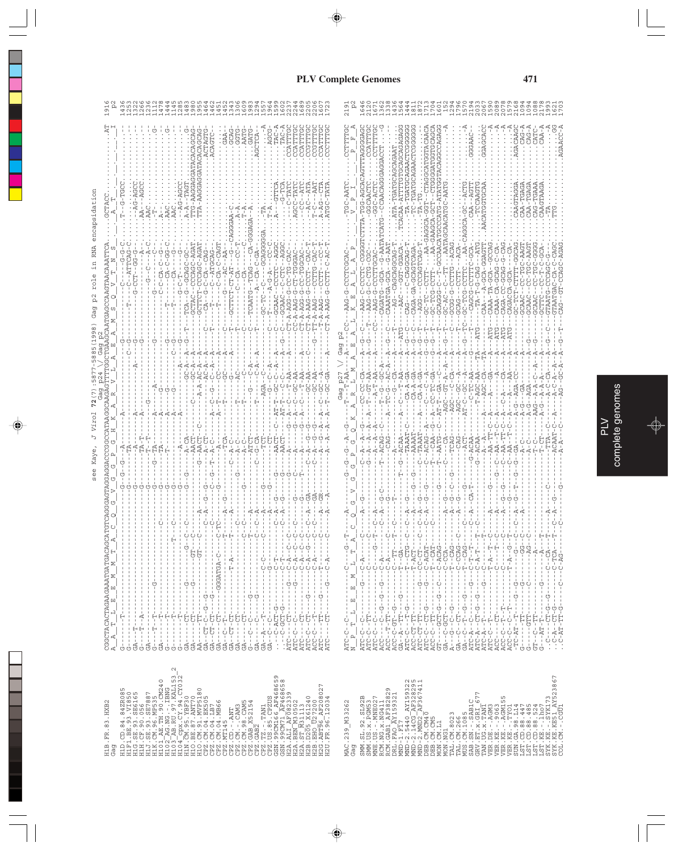| H1B.FR.83.HXB2<br>Gag                                                                                                                                                                                                                                                                                                                                                                                                                       | CGGCTACACHAGAARTGATCACAC<br>$\mathbb H$<br>Σ<br>Σ<br>囸<br>囸<br>$\Box$<br>$\mathbb H$<br>$\overline{A}$<br>К                                                                                                                                                                                                                                                                                                                                                                                                                            |  |  |        |          |  |
|---------------------------------------------------------------------------------------------------------------------------------------------------------------------------------------------------------------------------------------------------------------------------------------------------------------------------------------------------------------------------------------------------------------------------------------------|----------------------------------------------------------------------------------------------------------------------------------------------------------------------------------------------------------------------------------------------------------------------------------------------------------------------------------------------------------------------------------------------------------------------------------------------------------------------------------------------------------------------------------------|--|--|--------|----------|--|
|                                                                                                                                                                                                                                                                                                                                                                                                                                             | $\mathbf{I}$<br>$\frac{1}{2}$<br>$\mathbf{I}$<br>$\,$ I<br>ひ                                                                                                                                                                                                                                                                                                                                                                                                                                                                           |  |  |        |          |  |
|                                                                                                                                                                                                                                                                                                                                                                                                                                             | $\mathbf{I}$<br>$\mathbf{1}$<br>Ħ<br>ᄲ                                                                                                                                                                                                                                                                                                                                                                                                                                                                                                 |  |  |        |          |  |
|                                                                                                                                                                                                                                                                                                                                                                                                                                             | $\overline{\phantom{0}}$<br>$\blacksquare$<br>۳<br>۱<br>$-4$<br>$\,$<br>ひ                                                                                                                                                                                                                                                                                                                                                                                                                                                              |  |  |        |          |  |
|                                                                                                                                                                                                                                                                                                                                                                                                                                             | 1<br>Ţ<br>$- - -T - -A -$<br>J.<br>$\mathbf{I}$<br>ţ<br>$\frac{1}{1}$<br>GA-                                                                                                                                                                                                                                                                                                                                                                                                                                                           |  |  |        |          |  |
|                                                                                                                                                                                                                                                                                                                                                                                                                                             | $-1$<br>$\frac{1}{4}$<br>$\frac{1}{4}$<br>i.<br>F<br>÷<br>F<br>ひ                                                                                                                                                                                                                                                                                                                                                                                                                                                                       |  |  |        |          |  |
|                                                                                                                                                                                                                                                                                                                                                                                                                                             | $\frac{1}{4}$<br>۳<br>۱<br>$GA-$                                                                                                                                                                                                                                                                                                                                                                                                                                                                                                       |  |  |        |          |  |
| $\sim$                                                                                                                                                                                                                                                                                                                                                                                                                                      | $-1 - T -$<br>$\mathbf{I}$<br>Ġ<br>ひ                                                                                                                                                                                                                                                                                                                                                                                                                                                                                                   |  |  |        |          |  |
|                                                                                                                                                                                                                                                                                                                                                                                                                                             | 1<br>٠<br>$\begin{array}{c} 1 \  \  \, 1 \  \  \, 1 \end{array}$<br>$\mathbf{I}$<br>$\frac{1}{4}$<br>ひ                                                                                                                                                                                                                                                                                                                                                                                                                                 |  |  |        |          |  |
|                                                                                                                                                                                                                                                                                                                                                                                                                                             | $\sum_{1}^{1}$<br>Ţ<br>J.<br>J,<br>ι<br>Ω<br>Τ<br>$\frac{1}{1}$<br>$-$ - CT $-$ - $-$<br>$\frac{1}{1}$<br>$\mathfrak{F}$                                                                                                                                                                                                                                                                                                                                                                                                               |  |  |        |          |  |
|                                                                                                                                                                                                                                                                                                                                                                                                                                             | $\begin{array}{c} \rule{0.2cm}{0.15mm} \rule{0.2cm}{0.15mm} \rule{0.2cm}{0.15mm} \rule{0.2cm}{0.15mm} \rule{0.2cm}{0.15mm} \rule{0.2cm}{0.15mm} \rule{0.2cm}{0.15mm} \rule{0.2cm}{0.15mm} \rule{0.2cm}{0.15mm} \rule{0.2cm}{0.15mm} \rule{0.2cm}{0.15mm} \rule{0.2cm}{0.15mm} \rule{0.2cm}{0.15mm} \rule{0.2cm}{0.15mm} \rule{0.2cm}{0.15mm} \rule{$<br>$-15 -$<br>ţ<br>j<br>じー<br>Í<br>$- - 2T - - -$<br>$\frac{1}{1}$<br>F                                                                                                           |  |  |        |          |  |
|                                                                                                                                                                                                                                                                                                                                                                                                                                             | J.<br>Fo-<br>$\,$<br>ţ.<br>$\frac{1}{1}$<br>ţ<br>$\,$ l<br>÷.<br>I<br>$-1$ $-1$ $-1$<br>I,<br>AA<br>සි                                                                                                                                                                                                                                                                                                                                                                                                                                 |  |  |        |          |  |
|                                                                                                                                                                                                                                                                                                                                                                                                                                             | J.<br>やーー<br>$- - 17 - 17 - - - -$<br>EÃ                                                                                                                                                                                                                                                                                                                                                                                                                                                                                               |  |  |        |          |  |
|                                                                                                                                                                                                                                                                                                                                                                                                                                             | -GGGATGA-C<br>$\frac{1}{4}$<br>$\frac{1}{4}$<br>텅<br>-<br>$\mathbb{E}$                                                                                                                                                                                                                                                                                                                                                                                                                                                                 |  |  |        |          |  |
|                                                                                                                                                                                                                                                                                                                                                                                                                                             | 1<br>1<br>$\,$ l<br>$\frac{1}{1}$<br>ı<br>۲<br>ا<br>ن<br>ا<br>$\mathbb{E}$                                                                                                                                                                                                                                                                                                                                                                                                                                                             |  |  |        |          |  |
|                                                                                                                                                                                                                                                                                                                                                                                                                                             | $- - \Gamma - \Gamma - \Delta - -$<br>$\begin{array}{c} \rule{0.2cm}{0.15mm} \rule{0.2cm}{0.15mm} \rule{0.2cm}{0.15mm} \rule{0.2cm}{0.15mm} \rule{0.2cm}{0.15mm} \rule{0.2cm}{0.15mm} \rule{0.2cm}{0.15mm} \rule{0.2cm}{0.15mm} \rule{0.2cm}{0.15mm} \rule{0.2cm}{0.15mm} \rule{0.2cm}{0.15mm} \rule{0.2cm}{0.15mm} \rule{0.2cm}{0.15mm} \rule{0.2cm}{0.15mm} \rule{0.2cm}{0.15mm} \rule{$<br>$- - - - - - - - - - - - - - - - - - -$<br>E                                                                                             |  |  |        |          |  |
|                                                                                                                                                                                                                                                                                                                                                                                                                                             | ı<br>J.<br>t<br>t<br>$\mathfrak l$<br>$\begin{array}{c} \n\cdot & \cdot & \cdot \\ \n\cdot & \cdot & \cdot \\ \n\cdot & \cdot & \cdot \n\end{array}$<br>5<br>- -<br>Í<br>F                                                                                                                                                                                                                                                                                                                                                             |  |  |        |          |  |
|                                                                                                                                                                                                                                                                                                                                                                                                                                             | Ť<br>Ť<br>$\frac{1}{1}$<br>ジー<br>$\frac{1}{1}$<br>S                                                                                                                                                                                                                                                                                                                                                                                                                                                                                    |  |  |        |          |  |
|                                                                                                                                                                                                                                                                                                                                                                                                                                             | $-1$ $-1$ $-1$ $-1$ $-1$ $-1$ $-1$<br>$-5 -$<br>$\frac{1}{1}$<br>$\frac{1}{2}$<br>$\frac{1}{1}$<br>$\frac{1}{2}$<br>$GA -$<br>ひ                                                                                                                                                                                                                                                                                                                                                                                                        |  |  |        |          |  |
|                                                                                                                                                                                                                                                                                                                                                                                                                                             | $\frac{1}{4}$<br>$\mathbf{I}$<br>$\frac{1}{1}$<br>$\frac{1}{1}$<br>$G_{A} - A - -F - -T - -$                                                                                                                                                                                                                                                                                                                                                                                                                                           |  |  |        |          |  |
|                                                                                                                                                                                                                                                                                                                                                                                                                                             | ţ<br>$\ddot{c}$ $\ddot{c}$ $\ddot{c}$ $\ddot{c}$ $\ddot{c}$ $\ddot{c}$ $\ddot{c}$ $\ddot{c}$ $\ddot{c}$ $\ddot{c}$ $\ddot{c}$ $\ddot{c}$ $\ddot{c}$ $\ddot{c}$ $\ddot{c}$ $\ddot{c}$ $\ddot{c}$ $\ddot{c}$ $\ddot{c}$ $\ddot{c}$ $\ddot{c}$ $\ddot{c}$ $\ddot{c}$ $\ddot{c}$ $\ddot{$<br>I<br>$\frac{1}{1}$<br>ł<br>ł<br>$\frac{1}{1}$<br>$\frac{1}{2}$<br>$\mathbb{E}$                                                                                                                                                                |  |  |        |          |  |
|                                                                                                                                                                                                                                                                                                                                                                                                                                             | $C-T--$<br>$\frac{1}{1}$<br>$- - - - - - - - - -$                                                                                                                                                                                                                                                                                                                                                                                                                                                                                      |  |  |        |          |  |
|                                                                                                                                                                                                                                                                                                                                                                                                                                             | ÷<br>투<br>U<br>$\overline{1}$<br>$\frac{1}{1}$<br><b>P-TPP-</b><br>$\frac{1}{2}$<br>$\cdot$                                                                                                                                                                                                                                                                                                                                                                                                                                            |  |  |        |          |  |
|                                                                                                                                                                                                                                                                                                                                                                                                                                             | U<br>$\frac{1}{1}$<br>じー<br>$\frac{1}{1}$<br>$- - 12 - - -$<br>------<br>ATC--                                                                                                                                                                                                                                                                                                                                                                                                                                                         |  |  |        |          |  |
|                                                                                                                                                                                                                                                                                                                                                                                                                                             | $\frac{1}{2}$<br>f,<br>$-1$<br>$\frac{1}{1}$<br>ł<br>$\frac{C}{1}$<br>$ATC-C$                                                                                                                                                                                                                                                                                                                                                                                                                                                          |  |  | U<br>U |          |  |
|                                                                                                                                                                                                                                                                                                                                                                                                                                             | $\blacksquare$<br>÷C-<br>$\mathbf{I}$<br>$\mathbf{I}$<br>$\mathbf{1}$<br>ATC.                                                                                                                                                                                                                                                                                                                                                                                                                                                          |  |  |        |          |  |
|                                                                                                                                                                                                                                                                                                                                                                                                                                             | U<br>J,<br>$\frac{1}{1}$<br>やー<br>$-177 -$<br>ATC-C-<br>ACC-C-<br>ATC---                                                                                                                                                                                                                                                                                                                                                                                                                                                               |  |  |        |          |  |
|                                                                                                                                                                                                                                                                                                                                                                                                                                             | Ο<br>l,<br>ı<br>I,<br>I<br>$\frac{1}{4}$<br>$T - T$                                                                                                                                                                                                                                                                                                                                                                                                                                                                                    |  |  |        |          |  |
|                                                                                                                                                                                                                                                                                                                                                                                                                                             | ÷<br>やー<br>$\frac{1}{4}$<br>$-1.15$ $ -$                                                                                                                                                                                                                                                                                                                                                                                                                                                                                               |  |  |        |          |  |
| $\begin{small} \texttt{CEZ}:\texttt{CD}-\texttt{AMT}\ \texttt{CEZ}:\texttt{CD}-\texttt{AMT}\ \texttt{CEZ}:\texttt{CM}-\texttt{SCAM3}\ \texttt{CEZ}:\texttt{CM}=\texttt{SCAM3}\ \texttt{CEZ}:\texttt{GR}=\texttt{M} \texttt{SC} \ \texttt{CEZ}:\texttt{GR}=\texttt{M} \texttt{SC} \ \texttt{CEZ}:\texttt{GR}=\texttt{M} \texttt{C} \texttt{C} \texttt{C} \texttt{C} \texttt{C} \texttt{C} \texttt{C} \texttt{C} \texttt{C} \texttt{C} \text$ | $-4$<br>U<br>$\mathbf{I}$<br>$\frac{1}{2}$<br>FD-<br>$\mathbf{I}$<br>ATC                                                                                                                                                                                                                                                                                                                                                                                                                                                               |  |  |        |          |  |
|                                                                                                                                                                                                                                                                                                                                                                                                                                             |                                                                                                                                                                                                                                                                                                                                                                                                                                                                                                                                        |  |  |        |          |  |
| 9 M33262<br><b>MAC.23</b>                                                                                                                                                                                                                                                                                                                                                                                                                   | -                                                                                                                                                                                                                                                                                                                                                                                                                                                                                                                                      |  |  |        | CTTTTTC  |  |
| Gag                                                                                                                                                                                                                                                                                                                                                                                                                                         | $\frac{1}{1}$ = $\frac{1}{1}$ = $\frac{1}{1}$<br>$\Box$<br>ပု<br>$\boxtimes$<br>$\begin{bmatrix} 1 & 1 \\ 1 & 1 \end{bmatrix}$<br>$\begin{bmatrix} x \end{bmatrix}$<br>$\Box$<br>$ATC-C-CC$<br>$\epsilon$<br>$\mathsf{\Delta}$<br>$\square$                                                                                                                                                                                                                                                                                            |  |  |        |          |  |
|                                                                                                                                                                                                                                                                                                                                                                                                                                             |                                                                                                                                                                                                                                                                                                                                                                                                                                                                                                                                        |  |  |        |          |  |
| SMM. SL. 92. SL92B                                                                                                                                                                                                                                                                                                                                                                                                                          | $\,$<br>$- -C - A -$<br>$-1$<br>$\frac{1}{1}$<br>$\frac{1}{4}$<br>$\frac{1}{2}$<br>ATC-C                                                                                                                                                                                                                                                                                                                                                                                                                                               |  |  |        |          |  |
|                                                                                                                                                                                                                                                                                                                                                                                                                                             | f,<br>Ĵ,<br>$\frac{1}{2}$<br>1<br>$\overline{\phantom{a}}$<br>$-1$ TT $-$<br>ATC-C                                                                                                                                                                                                                                                                                                                                                                                                                                                     |  |  |        |          |  |
|                                                                                                                                                                                                                                                                                                                                                                                                                                             | $\frac{1}{\sqrt{2}}$<br>$\frac{1}{\mathbf{C}}$<br>ï<br>J.<br>$\mathbf{I}$<br>ŧ<br>$\frac{1}{1}$<br>$\frac{1}{1}$<br>ATC                                                                                                                                                                                                                                                                                                                                                                                                                |  |  |        |          |  |
| SMM. US. x. PCM53<br>MNE. US. - MNE027<br>RCM. NG. x. NG411<br>RCM. PAO AY159329<br>DRL. PAO AY159321<br>MND-1. FT7                                                                                                                                                                                                                                                                                                                         | $C - A - -$<br>$\frac{6}{1}$<br>$\frac{6}{1}$<br>C<br>$\frac{1}{2}$<br>J<br><b>ACC</b>                                                                                                                                                                                                                                                                                                                                                                                                                                                 |  |  |        |          |  |
|                                                                                                                                                                                                                                                                                                                                                                                                                                             |                                                                                                                                                                                                                                                                                                                                                                                                                                                                                                                                        |  |  |        |          |  |
|                                                                                                                                                                                                                                                                                                                                                                                                                                             | $\frac{1}{2}$<br>J.<br>$\blacksquare$<br>$\frac{1}{\sqrt{2}}$<br>÷                                                                                                                                                                                                                                                                                                                                                                                                                                                                     |  |  |        |          |  |
|                                                                                                                                                                                                                                                                                                                                                                                                                                             | $\mathbf{I}$                                                                                                                                                                                                                                                                                                                                                                                                                                                                                                                           |  |  |        |          |  |
|                                                                                                                                                                                                                                                                                                                                                                                                                                             | J.                                                                                                                                                                                                                                                                                                                                                                                                                                                                                                                                     |  |  |        |          |  |
|                                                                                                                                                                                                                                                                                                                                                                                                                                             | $-{\bf T}$ - ACT –<br>f,<br>J.                                                                                                                                                                                                                                                                                                                                                                                                                                                                                                         |  |  |        |          |  |
|                                                                                                                                                                                                                                                                                                                                                                                                                                             | $\mathsf I$<br>$P_{1}TC - C_{2}T - T_{3}T -$                                                                                                                                                                                                                                                                                                                                                                                                                                                                                           |  |  |        |          |  |
|                                                                                                                                                                                                                                                                                                                                                                                                                                             | $C-ACATT$<br>$-9 - -$<br>$- - C1 - C1 - C$<br>ATC-C-                                                                                                                                                                                                                                                                                                                                                                                                                                                                                   |  |  |        |          |  |
|                                                                                                                                                                                                                                                                                                                                                                                                                                             | $C-ACAG-$<br>$T - -CAT$<br>$-1$ --0---0---<br>$-1.5\,\mathrm{L}$ –                                                                                                                                                                                                                                                                                                                                                                                                                                                                     |  |  |        |          |  |
|                                                                                                                                                                                                                                                                                                                                                                                                                                             | $\frac{1}{1}$<br>$\frac{1}{1}$<br>$-GCT-G$<br>$\begin{bmatrix} 1 & 1 & 1 & 1 & 1 \\ 1 & 1 & 1 & 1 & 1 & 1 \\ 1 & 1 & 1 & 1 & 1 & 1 \\ 1 & 1 & 1 & 1 & 1 & 1 \\ 1 & 1 & 1 & 1 & 1 & 1 \\ 1 & 1 & 1 & 1 & 1 & 1 \\ 1 & 1 & 1 & 1 & 1 & 1 \\ 1 & 1 & 1 & 1 & 1 & 1 \\ 1 & 1 & 1 & 1 & 1 & 1 \\ 1 & 1 & 1 & 1 & 1 & 1 \\ 1 & 1 & 1 & 1 & 1 & 1 \\ 1 & 1 & 1 & 1 & 1 & 1 \\ $                                                                                                                                                               |  |  |        |          |  |
| MON.NG1                                                                                                                                                                                                                                                                                                                                                                                                                                     | t<br>f,<br>$- - - - - - -$<br>$-1 - 2 - 1$                                                                                                                                                                                                                                                                                                                                                                                                                                                                                             |  |  |        |          |  |
| TAL.CM.8023<br>TAL.CM.266<br>MUS.CM.1085                                                                                                                                                                                                                                                                                                                                                                                                    | $\begin{bmatrix} -1 & 0 & 0 & 0 \\ 0 & 0 & 0 & 0 \\ 0 & 0 & 0 & 0 \\ 0 & 0 & 0 & 0 \\ 0 & 0 & 0 & 0 \\ 0 & 0 & 0 & 0 \\ 0 & 0 & 0 & 0 \\ 0 & 0 & 0 & 0 \\ 0 & 0 & 0 & 0 \\ 0 & 0 & 0 & 0 \\ 0 & 0 & 0 & 0 \\ 0 & 0 & 0 & 0 \\ 0 & 0 & 0 & 0 \\ 0 & 0 & 0 & 0 \\ 0 & 0 & 0 & 0 & 0 \\ 0 & 0 & 0 & 0 & 0 \\ 0 & 0 & 0 & 0 & 0 \\ $<br>٠<br>٠<br>$\mathbf{I}$<br>$-17$                                                                                                                                                                    |  |  |        |          |  |
|                                                                                                                                                                                                                                                                                                                                                                                                                                             | $ CAG$<br>j,<br>$-1 - 5 - 5 - 1$<br>Ť                                                                                                                                                                                                                                                                                                                                                                                                                                                                                                  |  |  |        |          |  |
| $\begin{array}{l} \tt MUS\_ON1\_085 \\ \tt GRU\_SN\_0.81 \\ \tt GRU\_SN\_0.811 \\ \tt GRU\_US\_0.811 \\ \tt TBM\_0.7 \\ \tt VGR\_DB\_0.803 \\ \tt VGR\_0.67 \\ \tt VGR\_0.603 \\ \tt VGR\_0.603 \\ \tt VGR\_0.603 \\ \tt VGR\_0.603 \\ \tt VGR\_0.7 \\ \tt VGR\_0.7 \\ \tt VGR\_0.7 \\ \tt VGR\_0.7 \\ \tt VGR\_0.7 \\ \tt VGR\_0.7 \\ \tt VGR\_0.7 \\ \tt VGR\_0.7 \\ \tt VGR\_0.7 \\ \tt VGR\_0$                                          | Н<br>J.<br>토<br>U<br>$- - - - - - - - - - - -$<br>Ĵ<br>$\frac{1}{2}$<br>$\begin{array}{l} \mathtt{0} \\ \mathtt{1} \\ \mathtt{2} \\ \mathtt{3} \\ \mathtt{4} \\ \mathtt{5} \\ \mathtt{6} \\ \mathtt{7} \\ \mathtt{8} \\ \mathtt{8} \\ \mathtt{9} \\ \mathtt{1} \\ \mathtt{1} \\ \mathtt{2} \\ \mathtt{1} \\ \mathtt{2} \\ \mathtt{1} \\ \mathtt{2} \\ \mathtt{3} \\ \mathtt{1} \\ \mathtt{2} \\ \mathtt{3} \\ \mathtt{2} \\ \mathtt{3} \\ \mathtt{4} \\ \mathtt{2} \\ \mathtt{3} \\ \mathtt{4} \\ \mathtt{2} \\ \mathtt{3} \\ \mathtt$ |  |  |        |          |  |
|                                                                                                                                                                                                                                                                                                                                                                                                                                             | $- A - T$<br>U<br>$-5 -$                                                                                                                                                                                                                                                                                                                                                                                                                                                                                                               |  |  |        |          |  |
|                                                                                                                                                                                                                                                                                                                                                                                                                                             | U<br>$\begin{array}{c} 1 \\ 0 \\ 1 \end{array}$                                                                                                                                                                                                                                                                                                                                                                                                                                                                                        |  |  |        | GAGCA    |  |
|                                                                                                                                                                                                                                                                                                                                                                                                                                             | $- -P - P - P - T$<br>ı<br>1                                                                                                                                                                                                                                                                                                                                                                                                                                                                                                           |  |  |        |          |  |
|                                                                                                                                                                                                                                                                                                                                                                                                                                             | ۲<br>ا<br>$\frac{1}{1}$<br>$\frac{1}{\sqrt{2}}$<br>Ţ<br>$\frac{1}{1}$<br>$\frac{1}{1}$<br>$-177 -$                                                                                                                                                                                                                                                                                                                                                                                                                                     |  |  |        |          |  |
|                                                                                                                                                                                                                                                                                                                                                                                                                                             | ÷<br>$\mathbf{I}$<br>Ť<br>U<br>۲<br>ا<br>۳<br>-                                                                                                                                                                                                                                                                                                                                                                                                                                                                                        |  |  |        |          |  |
|                                                                                                                                                                                                                                                                                                                                                                                                                                             | $T - A - -G -$<br>Ť<br>$\frac{1}{1}$<br>Ť<br>۳<br>ا<br>$\frac{1}{2}$<br>ACC-C<br>ACC-C                                                                                                                                                                                                                                                                                                                                                                                                                                                 |  |  |        |          |  |
|                                                                                                                                                                                                                                                                                                                                                                                                                                             | $\frac{1}{6}$<br>$-9 - -9 - -$<br>$-TC - A T - - T - -$                                                                                                                                                                                                                                                                                                                                                                                                                                                                                |  |  |        | GACAAG   |  |
|                                                                                                                                                                                                                                                                                                                                                                                                                                             | 1<br>$C_1$<br>J.<br>$-1.7\,\mathrm{T}$ –<br>٠<br>ł                                                                                                                                                                                                                                                                                                                                                                                                                                                                                     |  |  |        | C<br>Tag |  |
|                                                                                                                                                                                                                                                                                                                                                                                                                                             | $-56 -$<br>I,<br>٠<br>$\frac{1}{1}$<br>$\frac{1}{2}$<br>$\frac{1}{1}$<br>$-1112 - -$<br>$\frac{1}{1}$<br>ÚU                                                                                                                                                                                                                                                                                                                                                                                                                            |  |  | CAA-   |          |  |
|                                                                                                                                                                                                                                                                                                                                                                                                                                             | $\blacksquare$<br>$-4$<br>$\,$<br>$\frac{1}{1}$<br>$G T - T T - C - T T$                                                                                                                                                                                                                                                                                                                                                                                                                                                               |  |  | CAG-   |          |  |
|                                                                                                                                                                                                                                                                                                                                                                                                                                             | 1<br>К<br>$\frac{1}{1}$<br>t<br>f,<br>$-TT-T$<br>$\frac{1}{\mathcal{C}}$                                                                                                                                                                                                                                                                                                                                                                                                                                                               |  |  |        |          |  |
|                                                                                                                                                                                                                                                                                                                                                                                                                                             | $\mathbb{I}$<br>ŧ<br>$\frac{0}{1}$<br>$\frac{1}{2}$                                                                                                                                                                                                                                                                                                                                                                                                                                                                                    |  |  |        |          |  |
| $\begin{array}{ll} \text{VER.}\ (23, 28) \text{ } \text{VER.}\ (24, 28) \text{ } \text{ } 114 \text{ } \text{ }\\ \text{VER.}\ (25, 28) \text{ } \text{ } 114 \text{ } \text{ }\\ \text{LST.}\ (25, 28) \text{ } \text{ } 184 \text{ } \text{ } 185 \text{ } \text{ }\\ \text{LST.}\ (27, 28) \text{ } \text{ } 185 \text{ } \text{ } 185 \text{ } \text{ }\\ \text{LST.}\ (27, 28) \text{ } \text{ }\\ \text$                              | $\frac{1}{1}$<br>$\frac{1}{2}$                                                                                                                                                                                                                                                                                                                                                                                                                                                                                                         |  |  |        |          |  |
|                                                                                                                                                                                                                                                                                                                                                                                                                                             | じー<br>$\frac{1}{1}$<br>$\cdot$                                                                                                                                                                                                                                                                                                                                                                                                                                                                                                         |  |  |        |          |  |

role in RNA encapsidation see Kaye, J Virol **72**(7):5877-5885(1998) Gag p2 role in RNA encapsidation ee Kaye, J'Yirol 73,77-5885(1998) Gag p2 2 role in RNA.<br>CGCCTACACTAGAAGAARTGACACCACTCAGGAGAGACCCCGCCCCCCCCATAAGGAGAGTTTTGGCTGAAGCAATGAGCCAAGTAACAARTTCA Gag p24 \/ Gag p2

| <b>PLV Complete Genomes</b> | 471 |
|-----------------------------|-----|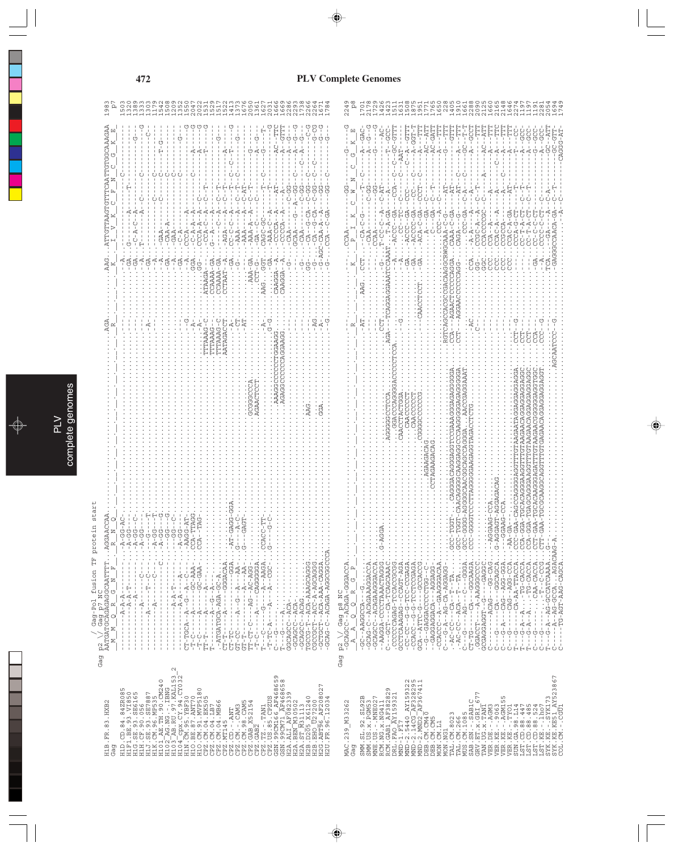| r      |
|--------|
| ř<br>ì |
|        |
|        |
| ŕ      |
|        |

**S** 

es

|                                                                                                                                                                                                                          |                                                                                                                                                                                                                                                                                      |                                                                                                            |                                                                                                                                                                                                                                                                                                  |                                                                                    |                                                                     |                                                                                    | $\circ$                                                                                                                                                                                   |                                   |                                             | $\circ$                   | owww                              |              | $\begin{array}{c}\n 2 & \text{if } \\  3 & \text{if } \\  4 & \text{if } \\  5 & \text{if } \\  6 & \text{if } \\  7 & \text{if } \\  8 & \text{if } \\  9 & \text{if } \\  9 & \text{if } \\  9 & \text{if } \\  9 & \text{if } \\  9 & \text{if } \\  9 & \text{if } \\  9 & \text{if } \\  9 & \text{if } \\  9 & \text{if } \\  9 & \text{if } \\  9 & \text{if } \\  9 & \text{if } \\  9 & \text{if } \\  9 & \text{if } \\  9 & \text{if } \\  9 & \text{if } \\  9 & \text$ |           |                         |               | w<br>9<br>HHUNHH<br>HHUNHH                                                                                                                                                                                                                                                                                                                                                                |                | $\sim$ $\sim$   | $\circ$<br>$\frac{0}{16}$                                                                                                                                                                                                                                                                                                                                           | 0<br>$\circ$                                                                                                                                                                                                                                                                                                        | 8                                                                       |                            |                                                                                          |                                       |                                                                                                               |                        |                                    | 224                    |                                                                 | 170                         |                                         |                           |                                                                     |                                       |                                                   | $\circ$         | $n \otimes \omega$                                                            | 5<br>5       |                                                                                                                                                                                                                                                                               | 765<br>Б<br>$\circ$ |                          | 0<br>4                      | ጣ                                                               | w<br>$\infty$<br>$\circ$ | $\circ$              |                                                                           | $\circ$                                                          |                                           | $\circ$              |           |                                                                                                                                                                                                                                                                                                                                                                                                                                                   |          |                                    |   |                                                                                                                                                                                                          |                        |
|--------------------------------------------------------------------------------------------------------------------------------------------------------------------------------------------------------------------------|--------------------------------------------------------------------------------------------------------------------------------------------------------------------------------------------------------------------------------------------------------------------------------------|------------------------------------------------------------------------------------------------------------|--------------------------------------------------------------------------------------------------------------------------------------------------------------------------------------------------------------------------------------------------------------------------------------------------|------------------------------------------------------------------------------------|---------------------------------------------------------------------|------------------------------------------------------------------------------------|-------------------------------------------------------------------------------------------------------------------------------------------------------------------------------------------|-----------------------------------|---------------------------------------------|---------------------------|-----------------------------------|--------------|-------------------------------------------------------------------------------------------------------------------------------------------------------------------------------------------------------------------------------------------------------------------------------------------------------------------------------------------------------------------------------------------------------------------------------------------------------------------------------------|-----------|-------------------------|---------------|-------------------------------------------------------------------------------------------------------------------------------------------------------------------------------------------------------------------------------------------------------------------------------------------------------------------------------------------------------------------------------------------|----------------|-----------------|---------------------------------------------------------------------------------------------------------------------------------------------------------------------------------------------------------------------------------------------------------------------------------------------------------------------------------------------------------------------|---------------------------------------------------------------------------------------------------------------------------------------------------------------------------------------------------------------------------------------------------------------------------------------------------------------------|-------------------------------------------------------------------------|----------------------------|------------------------------------------------------------------------------------------|---------------------------------------|---------------------------------------------------------------------------------------------------------------|------------------------|------------------------------------|------------------------|-----------------------------------------------------------------|-----------------------------|-----------------------------------------|---------------------------|---------------------------------------------------------------------|---------------------------------------|---------------------------------------------------|-----------------|-------------------------------------------------------------------------------|--------------|-------------------------------------------------------------------------------------------------------------------------------------------------------------------------------------------------------------------------------------------------------------------------------|---------------------|--------------------------|-----------------------------|-----------------------------------------------------------------|--------------------------|----------------------|---------------------------------------------------------------------------|------------------------------------------------------------------|-------------------------------------------|----------------------|-----------|---------------------------------------------------------------------------------------------------------------------------------------------------------------------------------------------------------------------------------------------------------------------------------------------------------------------------------------------------------------------------------------------------------------------------------------------------|----------|------------------------------------|---|----------------------------------------------------------------------------------------------------------------------------------------------------------------------------------------------------------|------------------------|
|                                                                                                                                                                                                                          |                                                                                                                                                                                                                                                                                      |                                                                                                            | نې                                                                                                                                                                                                                                                                                               |                                                                                    |                                                                     | ロー                                                                                 |                                                                                                                                                                                           |                                   |                                             |                           |                                   |              |                                                                                                                                                                                                                                                                                                                                                                                                                                                                                     |           |                         |               | ά                                                                                                                                                                                                                                                                                                                                                                                         | ά              |                 | H<br>$-56 -$                                                                                                                                                                                                                                                                                                                                                        | $A - GTT$                                                                                                                                                                                                                                                                                                           | ひ                                                                       | ロー                         | $-1$<br>$\frac{1}{\sqrt{2}}$                                                             |                                       | บาย<br>ประ                                                                                                    |                        |                                    | ά                      | 凹<br>Χ                                                          | $- - GAC$<br>$\overline{A}$ | $-5 - 1$<br>Ą                           | ပ္ပံ                      | $-4$                                                                | しじゅー<br>÷                             | $- -GC - GETTT$<br>$-RAT$                         | $-C - A - -GTT$ | $- A - GGT - T$                                                               | $-TTT$       | $AC - -ATT$                                                                                                                                                                                                                                                                   | AC-GATT             | Ĕ<br>φ                   | -GLP-                       |                                                                 | シリワー<br>$G-C--T-$        |                      |                                                                           |                                                                  |                                           |                      |           | ひゅー                                                                                                                                                                                                                                                                                                                                                                                                                                               | $-A$ -GC |                                    |   |                                                                                                                                                                                                          |                        |
| ATTGTTAAGTGTTTCAATTTGGGGAAGAAGAA<br>I V K C F N C G K E                                                                                                                                                                  | ں<br>ا                                                                                                                                                                                                                                                                               |                                                                                                            |                                                                                                                                                                                                                                                                                                  |                                                                                    |                                                                     |                                                                                    |                                                                                                                                                                                           |                                   |                                             |                           |                                   |              |                                                                                                                                                                                                                                                                                                                                                                                                                                                                                     |           |                         |               |                                                                                                                                                                                                                                                                                                                                                                                           |                |                 |                                                                                                                                                                                                                                                                                                                                                                     |                                                                                                                                                                                                                                                                                                                     |                                                                         |                            |                                                                                          |                                       |                                                                                                               |                        |                                    |                        | z<br>Σ<br>$\cup$                                                |                             |                                         |                           | $C - AT$                                                            |                                       | ပု<br>$-CCA$<br>ပုံ                               | $-CCC-$         |                                                                               | せひりー         |                                                                                                                                                                                                                                                                               | י<br>י<br>نې<br>ပုံ |                          |                             | U                                                               | $-5 - 7$                 | $T - 7 -$            |                                                                           |                                                                  |                                           |                      |           |                                                                                                                                                                                                                                                                                                                                                                                                                                                   |          |                                    |   |                                                                                                                                                                                                          |                        |
|                                                                                                                                                                                                                          |                                                                                                                                                                                                                                                                                      |                                                                                                            | $\bigcup\limits_{i}$<br>$-C - A$                                                                                                                                                                                                                                                                 |                                                                                    |                                                                     |                                                                                    |                                                                                                                                                                                           | ပု                                | CCCA                                        | $C - A - A$               | $CCCA - A$<br>$CCA-C$             |              |                                                                                                                                                                                                                                                                                                                                                                                                                                                                                     | $-AGA$    | P<br>$-AAA - 2 - 2 - 2$ |               | $-AA-RA$<br>$-C-A$                                                                                                                                                                                                                                                                                                                                                                        | CAGC-GC-       | $-4$<br>$-AA-C$ | $CCCA - -A$<br>U                                                                                                                                                                                                                                                                                                                                                    | $CCCA--A---$                                                                                                                                                                                                                                                                                                        |                                                                         | $GCAA - -G - -A -$         |                                                                                          |                                       |                                                                                                               |                        |                                    | <b>AAD</b> .           | ×<br>$\Delta$                                                   | ひ‐ひ‐dり‐‐                    |                                         |                           | T-CC-                                                               | $\ldots$ $T - A - GA$                 | $-ACCC - GA$                                      | $-ACCC - GA -$  | $-ACCC-C-GA-$                                                                 | $-ACA-C-GA-$ | $\ldots A$ --GA                                                                                                                                                                                                                                                               |                     | GCAAA-C-G-<br>GCAAA-C-G- | CAAA-C-GA-                  | <b>CAGA---G</b>                                                 | CCC-GA-<br>-A-A----A-    | $CCGC - A -$         | CCACCCCGC                                                                 | $CCA - -A$                                                       | $CCAC - A - -A$                           | CCAC-A-GA<br>CCGCCA  | CCCA-G    | $CC-T$                                                                                                                                                                                                                                                                                                                                                                                                                                            | $C - T$  | UU<br>UU                           |   |                                                                                                                                                                                                          |                        |
| <b>AAG</b>                                                                                                                                                                                                               | $-4$                                                                                                                                                                                                                                                                                 | GA.                                                                                                        | $\mathfrak{F}$<br>$-4$                                                                                                                                                                                                                                                                           | $\mathbb{E}$                                                                       | $-4$                                                                | $-4$                                                                               | $G\overline{A}$<br>$\vec{A}$                                                                                                                                                              | -GA.                              | $-1$                                        | GGA                       | ප්                                |              | CCAAAA-GA.<br>CCAAAA-GA.                                                                                                                                                                                                                                                                                                                                                                                                                                                            | CCTAAT--A |                         |               | $\therefore \overrightarrow{A} \overrightarrow{A} \overrightarrow{A} - \overrightarrow{A} - \overrightarrow{A}$                                                                                                                                                                                                                                                                           | AAGGGT         | -GA             | CAAGGA                                                                                                                                                                                                                                                                                                                                                              | CAAGGA                                                                                                                                                                                                                                                                                                              |                                                                         |                            |                                                                                          |                                       |                                                                                                               |                        |                                    |                        | ×                                                               | ECC.<br>AAG                 |                                         |                           | رخ<br>۱                                                             | --TCAGGAGGAAATCCAAAT                  | $-A$<br>$-A.$                                     | $-5$            | GA.                                                                           |              |                                                                                                                                                                                                                                                                               |                     |                          | CAGGA                       |                                                                 | $\vdots$                 | ġ                    | C<br>C<br>C<br>C                                                          |                                                                  |                                           | 0000<br>0000<br>0000 |           |                                                                                                                                                                                                                                                                                                                                                                                                                                                   |          |                                    | č |                                                                                                                                                                                                          |                        |
| AGA                                                                                                                                                                                                                      |                                                                                                                                                                                                                                                                                      |                                                                                                            |                                                                                                                                                                                                                                                                                                  |                                                                                    |                                                                     |                                                                                    |                                                                                                                                                                                           |                                   |                                             |                           | TTAAAG-C<br>$-4-$                 | TTAAAG--     | TTAAAG-C                                                                                                                                                                                                                                                                                                                                                                                                                                                                            | AATAGACCT | $-4 -$<br>$-15 -$       |               |                                                                                                                                                                                                                                                                                                                                                                                           |                | ひーひ             |                                                                                                                                                                                                                                                                                                                                                                     |                                                                                                                                                                                                                                                                                                                     |                                                                         |                            |                                                                                          | $-AC$                                 |                                                                                                               |                        |                                    |                        | $\simeq$                                                        | $-AT$                       |                                         |                           | 5<br>5<br>5                                                         |                                       | 먹                                                 |                 |                                                                               |              |                                                                                                                                                                                                                                                                               |                     | GTCAGC                   | CA---AGAACT<br>CT----AGGAAC |                                                                 | $-AC$                    |                      |                                                                           |                                                                  |                                           |                      | $CT - -G$ |                                                                                                                                                                                                                                                                                                                                                                                                                                                   |          |                                    |   |                                                                                                                                                                                                          |                        |
|                                                                                                                                                                                                                          |                                                                                                                                                                                                                                                                                      |                                                                                                            |                                                                                                                                                                                                                                                                                                  |                                                                                    |                                                                     |                                                                                    |                                                                                                                                                                                           |                                   |                                             |                           |                                   |              |                                                                                                                                                                                                                                                                                                                                                                                                                                                                                     |           |                         | <b>AUUUUU</b> | AGAACTCCT                                                                                                                                                                                                                                                                                                                                                                                 |                |                 | DDDAAR.                                                                                                                                                                                                                                                                                                                                                             | BOACA <sub>·</sub>                                                                                                                                                                                                                                                                                                  |                                                                         |                            |                                                                                          |                                       |                                                                                                               |                        |                                    |                        |                                                                 |                             |                                         |                           |                                                                     | AGGGGGCTCCA                           | CAACCTACTGGA                                      | CAACCCC         | CAACCCC                                                                       | UUUUUUUUUU   |                                                                                                                                                                                                                                                                               |                     |                          |                             | AUAUUUUUANUUUUUU                                                |                          |                      |                                                                           |                                                                  |                                           |                      |           |                                                                                                                                                                                                                                                                                                                                                                                                                                                   |          |                                    |   |                                                                                                                                                                                                          |                        |
| O<br>.AGG<br>$\alpha$                                                                                                                                                                                                    | $G - 4C$                                                                                                                                                                                                                                                                             | $\begin{array}{c}\n -A - C \\  -A - C \\  -A - C\n \end{array}$                                            | <b>C-50</b>                                                                                                                                                                                                                                                                                      | $\frac{1}{2}$                                                                      | ဗံ့<br>$-4-$<br>$\vdots$                                            | $\ddot{\cdot}$                                                                     | - - -<br>ყე<br>-<br>Ť                                                                                                                                                                     | $\cdots$ $    \cdots$<br>$\vdots$ | $G - AT$<br>$\cdots$ - AA                   | TTAGG                     |                                   |              |                                                                                                                                                                                                                                                                                                                                                                                                                                                                                     |           |                         | GAGT          |                                                                                                                                                                                                                                                                                                                                                                                           | FT-            | ု               | $\vdots$                                                                                                                                                                                                                                                                                                                                                            |                                                                                                                                                                                                                                                                                                                     | $\frac{1}{2}$                                                           |                            | $\frac{1}{2}$                                                                            |                                       | H                                                                                                             |                        |                                    |                        |                                                                 | $\ddot{\cdot}$              | $\vdots$                                |                           | $\begin{array}{c} \vdots \\ \vdots \\ \vdots \\ \vdots \end{array}$ | $\vdots$                              |                                                   |                 | $\mathbb{R}^3_+$                                                              |              | $\pm\pm\pm$                                                                                                                                                                                                                                                                   | $\bullet$           |                          |                             |                                                                 | FOOCF                    |                      | $\begin{array}{c} \vdots \\ \vdots \\ \vdots \end{array}$<br>.<br>. - - A |                                                                  |                                           | f,                   |           |                                                                                                                                                                                                                                                                                                                                                                                                                                                   |          | $\cdots$ CTT                       |   |                                                                                                                                                                                                          |                        |
| / Gag-Pol fusion TF prot<br>/ Gag p7 NC<br>$\begin{array}{l} \texttt{p2} \ \texttt{\\ \texttt{\\ \texttt{AATGATGCGAGAGGCAATTTTT}}\\ \texttt{AATGATGCGAGAGGGCAATTTT}.\\ \texttt{A} \ \texttt{N} \ \texttt{F} \end{array}$ | $\,$ I<br>٠<br>$- -A - A - A - - -$<br>$\frac{1}{1}$<br>f,<br>$\,$ I<br>J.<br>$\mathbf{I}$                                                                                                                                                                                           | $\,$ I<br>$\mathbf I$<br>$\sf I$<br>$\sf I$<br>$\,$ I<br>$\bar{1}$<br>$\,$<br>$\mathbf{I}$<br>$\mathbf{I}$ | $\,$<br>$\frac{1}{4}$<br>$\frac{1}{2}$<br>$- - - - - - - - - - - -$<br>$\begin{array}{c} \begin{array}{c} \bullet \\ \bullet \\ \bullet \end{array} \\ \begin{array}{c} \bullet \\ \bullet \\ \bullet \end{array} \end{array}$<br>$\,$<br>$\begin{bmatrix} 1 \\ 1 \\ 1 \\ 1 \end{bmatrix}$<br>J. | Ť.<br>$\frac{1}{1}$<br>$\ddot{r}$<br>$- - P -$<br>$\mathsf I$<br>Ť<br>$\mathbf{I}$ | $\frac{1}{4}$<br>$- - - -$<br>$\,$ I<br>t<br>$\,$ I<br>$\mathbf{I}$ | $\frac{1}{2}$<br>$\frac{1}{1}$<br>$\,$<br>t<br>$\mathbf I$<br>$\,$<br>$\mathbf{I}$ | $\vdots$<br>$\mathsf I$<br>$\mathbf{I}$<br>ł.<br>$\frac{1}{4}$<br>$\begin{bmatrix} 1 \\ 1 \\ 1 \\ 1 \end{bmatrix}$<br>$\overline{\phantom{a}}$<br>$\,$ I<br>j<br>$\overline{\phantom{a}}$ | $\frac{1}{4}$<br>$-4$             | $\frac{1}{2}$<br>$CT - TGGCA - A - -G - -A$ | $\frac{1}{1}$<br>$-1 - 0$ | Ì<br>$\frac{1}{1}$<br>$TT - T^T.$ | $\mathbb{H}$ |                                                                                                                                                                                                                                                                                                                                                                                                                                                                                     |           |                         |               | $\begin{array}{l} \mathrm{GT} - \mathrm{T} - 1 - 1 - 1 - 1 - 2 - 2A - 1 + 2 - 1 - 2A - 1 + 1 - 1 \\ \mathrm{TT} - \mathrm{CT} - \mathrm{C} - 1 - 2A - 2A - 2A \mathrm{G} - 1 + 1 + 1 \\ \mathrm{T} - 1 - 1 - 1 - 1 - 2 - 1 - 2A - 2A \mathrm{G} - 1 + 1 + 1 - 1 \\ \mathrm{T} - 1 - 1 - 1 - 1 - 1 - 1 - 2A - 2A \mathrm{G} - 1 + 1 - 1 \\ \mathrm{T} - \mathrm{T} - \mathrm{T} - 2 - 1 -$ | $\overline{F}$ |                 | $\begin{bmatrix} 1 & 0 & 0 & 0 \\ 0 & 1 & 0 & 0 \\ 0 & 0 & 0 & 0 \\ 0 & 0 & 0 & 0 \\ 0 & 0 & 0 & 0 \\ 0 & 0 & 0 & 0 \\ 0 & 0 & 0 & 0 \\ 0 & 0 & 0 & 0 & 0 \\ 0 & 0 & 0 & 0 & 0 \\ 0 & 0 & 0 & 0 & 0 \\ 0 & 0 & 0 & 0 & 0 \\ 0 & 0 & 0 & 0 & 0 & 0 \\ 0 & 0 & 0 & 0 & 0 & 0 \\ 0 & 0 & 0 & 0 & 0 & 0 \\ 0 & 0 & 0 & 0 & 0 & $<br>$\frac{1}{1}$<br>$-9 - - - -$<br>ÜĖ | $\frac{1}{2}$ $\frac{1}{2}$ $\frac{1}{2}$ $\frac{1}{2}$ $\frac{1}{2}$ $\frac{1}{2}$ $\frac{1}{2}$ $\frac{1}{2}$ $\frac{1}{2}$ $\frac{1}{2}$ $\frac{1}{2}$ $\frac{1}{2}$ $\frac{1}{2}$ $\frac{1}{2}$ $\frac{1}{2}$ $\frac{1}{2}$ $\frac{1}{2}$ $\frac{1}{2}$ $\frac{1}{2}$ $\frac{1}{2}$ $\frac{1}{2}$ $\frac{1}{2}$ | $\overline{T} = -G - - - - B \dots \dots \dots \dots$ GGCAGCC - - ACA - | $\vdots$<br>$-GCAGCC-AGA-$ | $\ddot{\cdot}$<br>COCORA-ACA-AAAGCAGG<br>POCC-----ACA-AAAGCAGG<br>$---ACAG$ .<br>UUDRUU- | $\vdots$<br>CGCCGCCH--ACC-A-ACCAGCAGC | -GCTGCT--ACA-AAA-CAGGA                                                                                        | -GCAG--ACAGA-AGGCGCCCA | Gag p8 NC<br>$\geq$<br>$_{\rm p2}$ | FGCAGCC-TACAGA-GGGACCA | $\Delta$<br>$\circ$<br>$\alpha$<br>$\circ$<br>$\circ$<br>Ą<br>Ą | -GC--AAGGCCA-               | GGCCA---G<br>--ACAGAAAGGACCA<br>U-5405- | --ACAGAAGGACCA<br>-GCACCC | COORACTARACTARY-                                                    | URRAUDRUL-KU----LUD----U              | . CCCCCAGAG-TCCACCGCGC.<br>GCCTCAAAGAG--CCAGT-AGA |                 | - CCACC--G-G-TCCTCCGAGA<br>- CCACC--G-G-TCCTCCGAGA<br>- CCACC--G-G-TCCTCCGAGA |              | GCA - - ATTC-G- - - - GCCACCG.<br>- -G- - GAGGACCCCCTGG- - C- .<br>- -GAGGAGGACCCCTGG- - C- .                                                                                                                                                                                 |                     |                          |                             |                                                                 |                          | GGACCT--------CUCCCC |                                                                           | $-7040 - 99 - - -9404 - -$<br>$\mathbb{L}$<br>J.<br>J.<br>1<br>1 | 4-5 · · · · 400000-------<br>$-5 - 0 - 1$ |                      |           | $\begin{array}{l} \mathbb{L}_{1-1} \mathbb{G}_{2} \mathbb{L}_{2} \cdots \mathbb{G}_{2} \mathbb{L}_{2} \cdots \mathbb{G}_{2} \mathbb{G}_{2} \mathbb{L}_{2} \mathbb{L}_{2} \cdots \mathbb{H}_{2} \mathbb{H}_{2} \mathbb{L}_{2} \mathbb{L}_{2} \mathbb{L}_{2} \mathbb{L}_{2} \mathbb{L}_{2} \mathbb{L}_{2} \mathbb{L}_{2} \mathbb{L}_{2} \mathbb{L}_{2} \mathbb{L}_{2} \mathbb{L}_{2} \mathbb{L}_{2} \mathbb{L}_{2} \mathbb{L}_{2} \math$<br>ひひひひPHH |          | $-CCG$<br>- T – – C<br>Ò<br>∪<br>◡ | н | -G-A--AG-GCCATCAAAA G--<br>---A--AG-GCCAAGACAAG-A<br>---TG-AGT-AAG-CAGCA<br>◡                                                                                                                            |                        |
| Gag<br>B. FR. 83. HXB2<br>iag<br>Ë                                                                                                                                                                                       | $\begin{tabular}{l ll} \hline 1111 & 011 & 044 & 842R005\\ 1111 & 111 & 111 & 111 & 111 & 111\\ 1111 & 111 & 111 & 111 & 111 & 111\\ 1111 & 111 & 111 & 111 & 111 & 111\\ 1111 & 111 & 111 & 111 & 111 & 111\\ 1111 & 111 & 111 & 111 & 111 & 111\\ 1111 & 111 & 111 & 111 & 111 & $ |                                                                                                            |                                                                                                                                                                                                                                                                                                  |                                                                                    |                                                                     |                                                                                    | $\sim$                                                                                                                                                                                    |                                   |                                             |                           |                                   |              |                                                                                                                                                                                                                                                                                                                                                                                                                                                                                     |           |                         |               |                                                                                                                                                                                                                                                                                                                                                                                           |                |                 |                                                                                                                                                                                                                                                                                                                                                                     |                                                                                                                                                                                                                                                                                                                     |                                                                         |                            |                                                                                          |                                       | $\overline{ }$<br>H2A.ST M31113<br>H2B.D205 X61240<br>H2B.EHO U27200<br>H2G.ABT96 AF208027<br>H2U.FR.96-12034 |                        | Gag                                | MAC.239 M33262         | Gag                                                             |                             | SMM.SL.92.SL92B<br>SMM.US.x.PGM53       | MNE. US. - . MNE027       | RCM.NG.x.NG411                                                      | RCM.GAB1 AF382829<br>DRL.FAO AY159321 | $MD-1.F\overline{T}7$                             |                 | MND-2.5440_AY159322<br>MND-2.14CG_AF328295<br>MND-2.MND2_AF367411             |              | $\begin{array}{l} \text{MMD--2.} \ \text{MMD2} \, \begin{array}{l} \text{A} \\ \text{DEB.} \ \text{CM.} \ \text{CMA} \, \text{\overline{0}} \\ \text{DEB.} \ \text{CM.} \ \text{CMA} \, \text{\overline{0}} \\ \text{DEB.} \ \text{CM.} \ \text{CMA} \end{array} \end{array}$ |                     | MON.NG1                  | TAL.CM.8023                 | TAL.CM.266<br>MUS.CM.1085<br>SAB.SN.-.SAB1C<br>GRV.ET.x.GRI_677 |                          |                      | TAN . UG . x . TANT<br>TAN . UG . x . TANT<br>VER . DE . - . AGM3         |                                                                  |                                           |                      |           |                                                                                                                                                                                                                                                                                                                                                                                                                                                   |          |                                    |   | VER, KET. - 30663<br>VER, KET. - AGMI55<br>VER, KET. - AGMI55<br>SUN, CAT. 38, LIA<br>LST, CD, 88, 447<br>LST, CD, 88, 524<br>LST, KET. KET. - LINGT<br>SVK, KET. KET. AKSLANS<br>SVK, KET. KET. AKSLANS | CCT.<br>$\overline{C}$ |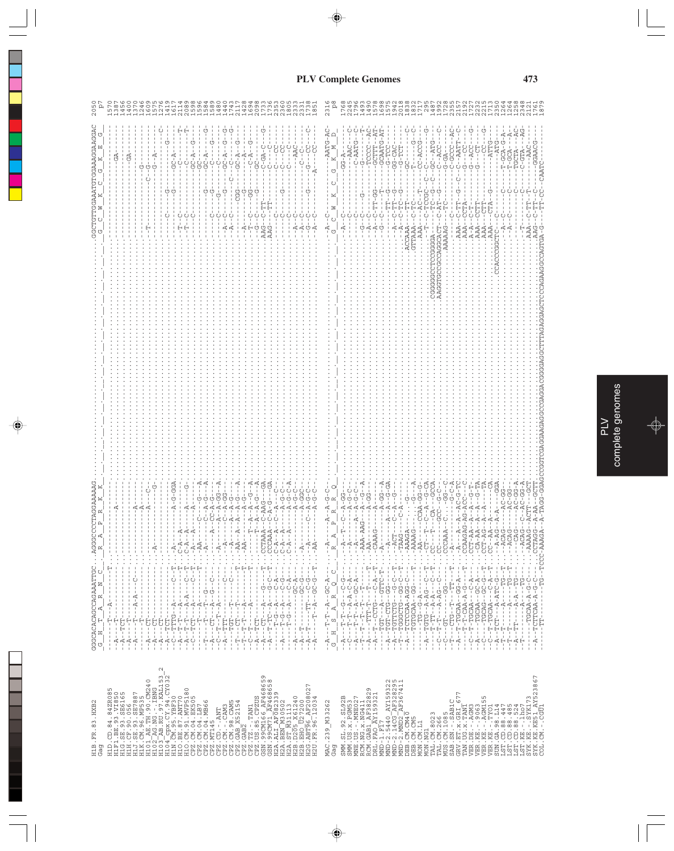| ۯ<br>Í<br>Ś |
|-------------|

23867  $[\begin{array}{l} \text{H1B}, \text{R}, \text{B}:\text{HXB} \\ \text{Gag} \\ \text{H1B}, \text{B}, \text{9}, \text{VIR065} \\ \text{H1B}, \text{B}, \text{9}, \text{VIR065} \\ \text{H1B}, \text{B}, \text{9}, \text{VIR0650} \\ \text{H1B}, \text{B}, \text{9}, \text{19}, \text{100}, \text{100}, \text{100}, \text{100}, \text{100}, \text{100}, \text{100}, \text{100}, \text{100}, \text{100}, \text{100},$ 468659 ξR MAC 2339 M33262<br>
Gag 32, 32, 81, 92, 81, 92, 81, 92, 81, 92, 81, 92, 81, 92, 81, 938<br>
SNM, 151, 93, 103411<br>
MNB, 163, 103411<br>
RCM, 163, 103411<br>
RCM, 163, 103411<br>
RCM, 163, 103411<br>
RCM, 163, 115332<br>
RCM, 163, 115332<br>
MND-2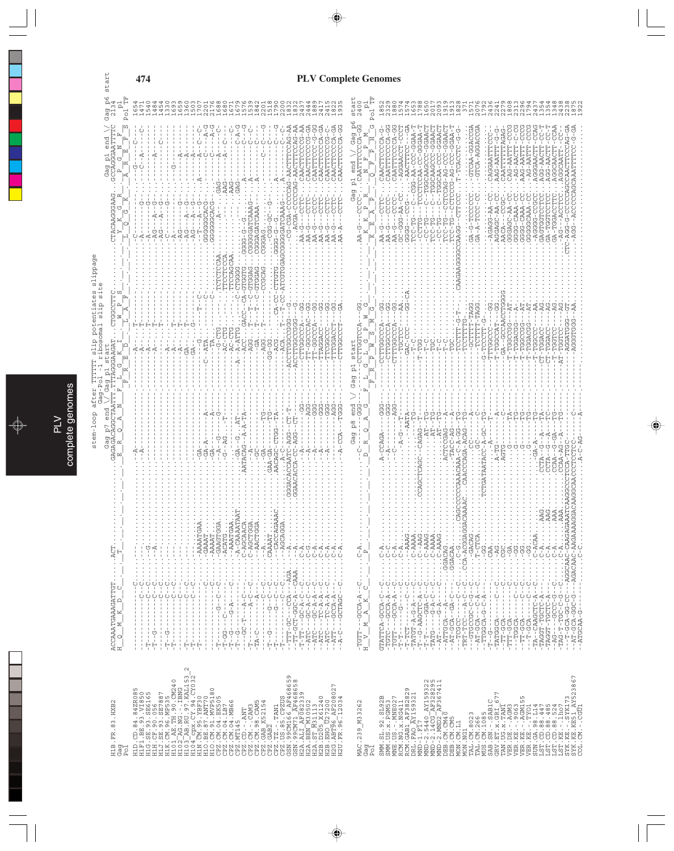complete genomes complete genomes n<br>P

|                                                                                                                                                                                                                                                       |                                                           | 474                                                                                                   |                                                                                                                                                                                                                                                                                                                                                                                            |                                                                                        |                                                                                                     |                                                                                                                                                                                                                                                                                                                                                                                                                                                                  |                      |                                                                                                                                          |                                                                                                                                                                                                                                                                                                            |                                                                                  |                                                              |                                                                                                   |                                                                                                                                                                       |                                                                                                      |                                                                     |                                               |                                                                                                                                                                                             |                                                                                                                                                                                                                                                                                                                                                                                                                   |                                                                                                                                                                                                                                                                                                                                      |                     | <b>PLV Complete Genomes</b>                                                                                                                                                                                                                    |                                                              |                                                                |                                                                                                                                                                                                                                                                                                                 |                                                                                                                                                                                                      |                                                                                                                                                                                                                                                                                                                                                                                                                                                                                                                                                                                                                  |                                                                              |                                                                     |                                                                                    |                                                                                                   |                                                                              |                                                                                 |                                                                             |                                          |                                                                     |                                                   |                                              |                                              |                                                                       |                                                      |                                                                                                                                                              |                |
|-------------------------------------------------------------------------------------------------------------------------------------------------------------------------------------------------------------------------------------------------------|-----------------------------------------------------------|-------------------------------------------------------------------------------------------------------|--------------------------------------------------------------------------------------------------------------------------------------------------------------------------------------------------------------------------------------------------------------------------------------------------------------------------------------------------------------------------------------------|----------------------------------------------------------------------------------------|-----------------------------------------------------------------------------------------------------|------------------------------------------------------------------------------------------------------------------------------------------------------------------------------------------------------------------------------------------------------------------------------------------------------------------------------------------------------------------------------------------------------------------------------------------------------------------|----------------------|------------------------------------------------------------------------------------------------------------------------------------------|------------------------------------------------------------------------------------------------------------------------------------------------------------------------------------------------------------------------------------------------------------------------------------------------------------|----------------------------------------------------------------------------------|--------------------------------------------------------------|---------------------------------------------------------------------------------------------------|-----------------------------------------------------------------------------------------------------------------------------------------------------------------------|------------------------------------------------------------------------------------------------------|---------------------------------------------------------------------|-----------------------------------------------|---------------------------------------------------------------------------------------------------------------------------------------------------------------------------------------------|-------------------------------------------------------------------------------------------------------------------------------------------------------------------------------------------------------------------------------------------------------------------------------------------------------------------------------------------------------------------------------------------------------------------|--------------------------------------------------------------------------------------------------------------------------------------------------------------------------------------------------------------------------------------------------------------------------------------------------------------------------------------|---------------------|------------------------------------------------------------------------------------------------------------------------------------------------------------------------------------------------------------------------------------------------|--------------------------------------------------------------|----------------------------------------------------------------|-----------------------------------------------------------------------------------------------------------------------------------------------------------------------------------------------------------------------------------------------------------------------------------------------------------------|------------------------------------------------------------------------------------------------------------------------------------------------------------------------------------------------------|------------------------------------------------------------------------------------------------------------------------------------------------------------------------------------------------------------------------------------------------------------------------------------------------------------------------------------------------------------------------------------------------------------------------------------------------------------------------------------------------------------------------------------------------------------------------------------------------------------------|------------------------------------------------------------------------------|---------------------------------------------------------------------|------------------------------------------------------------------------------------|---------------------------------------------------------------------------------------------------|------------------------------------------------------------------------------|---------------------------------------------------------------------------------|-----------------------------------------------------------------------------|------------------------------------------|---------------------------------------------------------------------|---------------------------------------------------|----------------------------------------------|----------------------------------------------|-----------------------------------------------------------------------|------------------------------------------------------|--------------------------------------------------------------------------------------------------------------------------------------------------------------|----------------|
| l 24<br>0.34<br>하다<br>이 이                                                                                                                                                                                                                             | <b>P<sub>1</sub></b><br>FF<br>Po <sub>1</sub>             | 574<br>47<br>O                                                                                        | ○<br>$\dot{\infty}$                                                                                                                                                                                                                                                                                                                                                                        | $\sigma$<br>$\sigma$<br>$\mathsf{L}\Omega$<br>$\circ$<br>$\circ$                       | 000100<br>m <sub>D</sub>                                                                            | $\sim$                                                                                                                                                                                                                                                                                                                                                                                                                                                           |                      | $\frac{\infty}{\infty}$<br>$\circ$<br>$\circ$                                                                                            | O H O W O N<br>8 N N M H<br>$\circ$                                                                                                                                                                                                                                                                        |                                                                                  |                                                              |                                                                                                   | 28002274  019002274  0190 332 44  0190 8 44  01900227 4                                                                                                               |                                                                                                      |                                                                     |                                               |                                                                                                                                                                                             |                                                                                                                                                                                                                                                                                                                                                                                                                   | $M$ $M$<br>04400                                                                                                                                                                                                                                                                                                                     |                     | start<br>2400                                                                                                                                                                                                                                  | $\mathsf{p}^{\mathsf{L}}$<br>$P^{\circ}$                     | 529<br>$\frac{8}{1}$                                           | $\frac{0}{8}$<br>${}^{\circ}$                                                                                                                                                                                                                                                                                   | Гυ                                                                                                                                                                                                   | 58007<br>5851<br>9 7 9                                                                                                                                                                                                                                                                                                                                                                                                                                                                                                                                                                                           | $\circ$                                                                      |                                                                     |                                                                                    | $\circledcirc \vdash \vdash \circledcirc \vdash \vdash$<br>$0$ $0$ $0$ $\omega$ $m$ $n$           |                                                                              | $\overline{r}$<br>$\circ$ $\,$ $\,$                                             | 0.04F<br>4                                                                  | $\sim$                                   | $\circ$ $\dashv$                                                    | $\mathcal{O}\otimes\mathcal{O}\otimes\mathcal{O}$ | 0, 0, 0                                      |                                              | 4<br>4333                                                             |                                                      | $\infty$                                                                                                                                                     |                |
| <sup>1</sup> end<br>ERATTTT<br>POCAGGC<br>DOCAGGC                                                                                                                                                                                                     | $\mathbb{L}_1$<br>[Ε<br>z<br>回<br>Ιď<br>$\mathbf{\Omega}$ | U<br>U<br>ゼ<br>◡                                                                                      |                                                                                                                                                                                                                                                                                                                                                                                            | ؋                                                                                      |                                                                                                     |                                                                                                                                                                                                                                                                                                                                                                                                                                                                  | ÷<br>Ŕ               | U<br>U                                                                                                                                   | $\therefore \overline{PAG}$                                                                                                                                                                                                                                                                                | $-A$ -<br>↻                                                                      | U                                                            |                                                                                                   |                                                                                                                                                                       | U                                                                                                    | AACTTTCCAG-AA<br>ĀÄ.<br>CAG-AACTTCCAG-                              | Ą<br>CAACT                                    | 9<br>ලි<br>CAATTTC                                                                                                                                                                          | T<br>CAACTTC                                                                                                                                                                                                                                                                                                                                                                                                      | ပ္မည္သ<br>á<br>ひひひ<br>CAACTTC<br>CAATTTC                                                                                                                                                                                                                                                                                             |                     | Gag<br>CA-GG<br>Σ<br>$\begin{array}{lll} \texttt{CAATTTCCCCA} \\ \texttt{N} & \texttt{F} & \texttt{P} \end{array}$<br>end<br>$\vec{p}_4$                                                                                                       | U<br>$ \Xi$<br>$\overline{P}$<br> Eq<br>10                   | უ<br>ს<br>ひ<br>CCCA-<br>-<br>CCO<br>CAACTTC<br>CAATTTC         | でー<br>CCCA<br>. CAATTTC                                                                                                                                                                                                                                                                                         | <b>L-CCC</b><br>-AACTTTCC<br>-AGGAAC                                                                                                                                                                 | CC-GGAA-<br>C-GGGA<br>$CGG - A A - C$<br>CCCTCCAA-C                                                                                                                                                                                                                                                                                                                                                                                                                                                                                                                                                              | CC-GGAAC<br>-GGAAC<br>š<br>--TGGCAAGC                                        | -GGAA<br>y<br>-- TGGCAAG<br>-- TGGCAAGC<br>TGGCAA-C                 | TCC-TG--CCTCCAG-AG-CCC-GGAA-<br>TCC--TG---CCTCCAG-AG-CCC-GGAA-                     | -<br>T-TCACCTC-G-                                                                                 |                                                                              | -GTCA-AGGACCGP                                                                  | CAGGAATTTC                                                                  | <b>TTAGAC</b><br>AAG-AATTT-G-<br>CAATTTT | $CAG - A$                                                           | $. AAG-A$                                         | $AC - A$                                     | GGAAC<br>Հ<br>- 5                            |                                                                       |                                                      |                                                                                                                                                              |                |
| CTACAAGGAAG<br>Y K G R                                                                                                                                                                                                                                | ひ<br>$\circ$                                              | ひ<br>ひ                                                                                                | υυ<br>ᄳ<br>AG.                                                                                                                                                                                                                                                                                                                                                                             | AG                                                                                     | AG                                                                                                  | じー<br>GGGGGGCACG<br>$\overline{A}$<br>H                                                                                                                                                                                                                                                                                                                                                                                                                          | ひひむひひひひひ             |                                                                                                                                          |                                                                                                                                                                                                                                                                                                            | $\therefore$ GAG-                                                                |                                                              |                                                                                                   | ・ご<br>・し<br>U                                                                                                                                                         | <b>GGGGATCAAAG</b>                                                                                   | CG-CGA-CCCCA                                                        | AA-G---CCTC<br>AA-G---CCTC                    | CCTC<br>$AA-G$<br>$PA-G$                                                                                                                                                                    | $AA-G$                                                                                                                                                                                                                                                                                                                                                                                                            | $AA-G$                                                                                                                                                                                                                                                                                                                               | <b>AA-G</b><br>AA-A | Gag<br>α<br>$-200 -$<br>×<br>ಀೢ<br>×<br>AA-                                                                                                                                                                                                    | ıμ<br>lЧ<br>回                                                | CCTC<br>$AA-G$<br>$AA-G$                                       | $\sum_{i=1}^{n}$<br>U<br>UUU<br>$AA-G$                                                                                                                                                                                                                                                                          | ά<br>- 44-555-555<br>- 45-555<br>- 44-555-555                                                                                                                                                        | $-TG-$<br>CCLLO                                                                                                                                                                                                                                                                                                                                                                                                                                                                                                                                                                                                  | -TG<br>TCC                                                                   | -TG<br>y                                                            |                                                                                    | CTTCCC<br>CCAAGG-                                                                                 | CA-G-TO-LO                                                                   | $GA - A - TCCC - CC$                                                            | : - AGAGG - AA - CC<br>- AGGAGC - AA - CC<br>- AGGAGC - AA - CC<br>- CCGC - |                                          | $-AA-C$<br>GGAGC                                                    | <b>CGG-0</b><br>ひひり                               | GGGGCAAA                                     | AGGGG<br>GAGTGG                              | A-TGGTCCTC                                                            |                                                      |                                                                                                                                                              |                |
| slippage<br>entiates<br>$\begin{array}{lll} & \text{CTGGGCTTC} \, . \\ & \text{W} & \text{P} & \text{S} \end{array}$<br>$\Omega$<br>$\Omega$<br>GAAGAT<br><b>TAGG</b>                                                                                 | <b>IE</b><br>回<br>ひ<br>İΜ<br>ΙF,                          | Н<br>е<br>K,<br>Æ<br>K,                                                                               | ннн<br>Æ                                                                                                                                                                                                                                                                                                                                                                                   | FЕ                                                                                     | E                                                                                                   | ひ<br>$-ATA$                                                                                                                                                                                                                                                                                                                                                                                                                                                      |                      | ひせいじ<br><b>UPCTC</b><br>$- - AC$                                                                                                         | $- - \text{AC}$                                                                                                                                                                                                                                                                                            | <b>LODUP-</b><br>UU<br>UU<br>$-CB$<br>-ATT<br>$- -$ ACC<br>$-A$ -A               | <b>DAR</b><br>$\frac{1}{4}$<br>$-AGG$                        | -GTGGAG<br>$-GB$<br>$-AGG$                                                                        | $\blacksquare$<br>U<br>U<br>59-99-<br>$-70G$                                                                                                                          | i<br>CC –<br>$\begin{array}{c}\n\mathbf{C} \\ \vdots \\ \mathbf{C} \\ \vdots\n\end{array}$<br>$-ACA$ | ひ<br>d<br>G<br>ACCTTGG<br>ACCTTGG                                   | CTTGG                                         | <b>US-LL</b>                                                                                                                                                                                | TTAGGAC                                                                                                                                                                                                                                                                                                                                                                                                           | <b>COLL</b>                                                                                                                                                                                                                                                                                                                          |                     | τŋ<br><u>ყ</u><br>Z<br>TCCA<br>$\Omega$<br>ひ<br>CCTTGG<br>star<br>큰<br>U<br>p.<br>Gag<br>貢                                                                                                                                                     | じ<br>lU.<br> ≊<br>$\mathsf{P}$<br>$ \mathbf{\alpha} $<br> Eι | 99<br>Ū<br>CCTTGGCCCA<br>CHLC                                  | ひ<br>CTTTGG                                                                                                                                                                                                                                                                                                     | <b>TGC</b><br>U<br>CA<br>C                                                                                                                                                                           | $T-TGG$                                                                                                                                                                                                                                                                                                                                                                                                                                                                                                                                                                                                          | $\begin{array}{l} \Gamma-\text{C} \\ \text{T} \text{G} \text{C} \end{array}$ |                                                                     | š                                                                                  | TCCT                                                                                              | GCTTTT-TAG<br>TCCTTT                                                         | TCTTTT-TAGG<br>・<br>ウー<br>G-TCCCTT                                              | TTGGCC                                                                      | CAACCT<br>T-TGCCCAT-<br>$GA -$           | $-1 - 1 - 1 - 1 - 1 -$                                              | -TGGC                                             | T-TGGA                                       | - TGG<br>CT-TGG<br>E                         | <b>CT-TGG</b>                                                         |                                                      |                                                                                                                                                              |                |
| ී<br>$\begin{array}{lll} & \texttt{Gag} & \texttt{p7} & \texttt{end} & \texttt{ }\setminus & \texttt{C} \\ & \texttt{GAGAGAGAGGCTPATTT} \\ & \texttt{E} & \texttt{R} & \texttt{Q} & \texttt{A} & \texttt{M} & \texttt{I} \\ \end{array}$<br>stem-loop | E,                                                        | К                                                                                                     |                                                                                                                                                                                                                                                                                                                                                                                            |                                                                                        |                                                                                                     |                                                                                                                                                                                                                                                                                                                                                                                                                                                                  | К<br>$\vec{A}$<br>3  | ひ<br>ウーー<br>$G - -AC$                                                                                                                    |                                                                                                                                                                                                                                                                                                            | $\cdot$ AT –<br>$ACAG - A -$<br>ひ                                                |                                                              |                                                                                                   | ひ<br>$-{\tt TA}$<br>- CH 0-<br>$-GB$<br>ACAGC                                                                                                                         |                                                                                                      | U<br>U<br>U<br>5<br>Ť<br>$-AGG$<br>CA-CC-AGG<br>CAATC               | 9                                             | AGG.<br>ひひひ                                                                                                                                                                                 |                                                                                                                                                                                                                                                                                                                                                                                                                   |                                                                                                                                                                                                                                                                                                                                      | CCA                 | $\begin{array}{c}\n\stackrel{\text{d}}{\mathbf{5}}\stackrel{\text{d}}{\mathbf{6}}\stackrel{\text{d}}{\mathbf{6}}\stackrel{\text{d}}{\mathbf{7}}\n\end{array}$<br>К<br>$_{\Omega_{\rm I}}^\infty$<br>$\circ$<br>Gag<br>$\approx$<br>U<br>$\Box$ |                                                              | A-CCAGA                                                        | AGG                                                                                                                                                                                                                                                                                                             | -AATA<br>- A - G                                                                                                                                                                                     | -CAGAG                                                                                                                                                                                                                                                                                                                                                                                                                                                                                                                                                                                                           | י<br>י<br>$\ldots$ AT                                                        | י<br>י<br>ĀТ                                                        | $-AG$<br>CCGAG<br>TAC                                                              | $CAAA- C- A$                                                                                      | $-ACAG$<br>CCAGA                                                             | $-4-9$<br>y<br>GATAATACC                                                        | פי<br>י                                                                     | .AGTG<br>R                               | じ じ                                                                 |                                                   | ひ                                            | E                                            | Ü                                                                     |                                                      | むひせひ                                                                                                                                                         |                |
| $\vdots$<br>$\vdots$                                                                                                                                                                                                                                  |                                                           | $\begin{array}{c} \vdots \\ \vdots \\ \vdots \\ \vdots \end{array}$<br>Ħ<br>$\frac{1}{\sqrt{2}}$<br>ł | $\frac{1}{2}$<br>$\vdots$<br>$\vdots$<br>$-4$                                                                                                                                                                                                                                                                                                                                              | $\begin{array}{c} 1 \\ 1 \\ 1 \\ 1 \end{array}$<br>$\frac{1}{1}$                       | $\cdot$<br>$\,$ I<br>$\overline{\phantom{a}}$                                                       | - AAAATGAA                                                                                                                                                                                                                                                                                                                                                                                                                                                       | $-$ GAAAT<br>.-AAAAT | -GAAGTGGA<br>$-ACATG$                                                                                                                    | -- AAATGAA                                                                                                                                                                                                                                                                                                 |                                                                                  | - -A-CAAAATAA:<br>- -C-AGCAACA<br>- -C-AGCTGGA<br>- -AACTGGA | $-4$<br>$\vdots$                                                                                  | ----------<br>--CACCAGAAA<br>$\overline{C}$ AAAAT.<br>$\ddot{\phantom{0}}$                                                                                            | -- AGCAGGA                                                                                           |                                                                     | $\frac{1}{2}$                                 | $\begin{array}{c} \mathbf{1} & \mathbf{1} & \mathbf{1} \\ \mathbf{1} & \mathbf{1} & \mathbf{1} \\ \mathbf{1} & \mathbf{1} & \mathbf{1} \\ \mathbf{1} & \mathbf{1} & \mathbf{1} \end{array}$ | $\frac{1}{2}$ $\frac{1}{2}$ $\frac{1}{2}$ $\frac{1}{2}$ $\frac{1}{2}$ $\frac{1}{2}$ $\frac{1}{2}$ $\frac{1}{2}$ $\frac{1}{2}$ $\frac{1}{2}$ $\frac{1}{2}$ $\frac{1}{2}$ $\frac{1}{2}$ $\frac{1}{2}$ $\frac{1}{2}$ $\frac{1}{2}$ $\frac{1}{2}$ $\frac{1}{2}$ $\frac{1}{2}$ $\frac{1}{2}$ $\frac{1}{2}$ $\frac{1}{2}$<br>$\begin{array}{c} \bullet & \bullet \\ \bullet & \bullet \\ \bullet & \bullet \end{array}$ | $\begin{array}{c} \bullet & \bullet \\ \bullet & \bullet \\ \bullet & \bullet \end{array}$                                                                                                                                                                                                                                           |                     | $\ddot{\cdot}$<br>$\cdot$<br>$\cdot$<br>$\cdots$<br>$\mathsf{p}_4$                                                                                                                                                                             |                                                              | $\frac{1}{2}$<br>$\begin{array}{c}\nC \\ C\n\end{array}$       | $\vdots$<br>$\vdots$<br>$C - A$<br>$\vdots$                                                                                                                                                                                                                                                                     | $\ddot{\cdot}$                                                                                                                                                                                       |                                                                                                                                                                                                                                                                                                                                                                                                                                                                                                                                                                                                                  | -AAAG<br>$-PAPPAP$<br>ୄ                                                      | 1-AAAG<br>U                                                         | . GGACAA<br>GGACAG                                                                 | $\cdots$ . $\cdots$ . $\cdots$ . $\cdots$ . $\cdots$ . $\cdots$ . $\cdots$ . $\cdots$<br>$\vdots$ | $\cdots$ GACAG                                                               | $\ldots$ $T$ -CTCA $\ldots$                                                     | $-$ GG $\ldots$ $\ldots$ $\ldots$<br>$\ldots$ CAA $\ldots$<br>Ĭ             |                                          |                                                                     |                                                   |                                              | $\cdots \cdots$                              | $\cdots \cdots$                                                       | $\cdots \cdots$<br>FR.                               | ---AGGCAAC-CAAGAGAAA                                                                                                                                         |                |
|                                                                                                                                                                                                                                                       |                                                           | U<br>$\,$ I<br>$\,$<br>$\mathbf{I}$<br>н                                                              | UUUUUUU LUU<br>             <br>ひひひ<br>÷<br>$\frac{1}{4}$<br>$\frac{1}{4}$<br>$\mathbf{I}$<br>$-9 - -$<br>$\vec{c}$ –<br>Н<br>텃<br>J.                                                                                                                                                                                                                                                      | U<br>U<br>÷<br>÷<br>$\frac{1}{1}$<br>t<br>J.<br>٠<br>$\mathbf I$<br>f,<br>$\mathbf{I}$ | U<br>÷<br>f,<br>$\frac{1}{1}$<br>ŧ<br>$\mathsf I$<br>$\mathfrak l$<br>$\,$ I<br>٠<br>$-1$<br>j<br>Н | -<br>$\overline{\phantom{0}}$<br>$\begin{array}{c} \rule{0.2cm}{0.15mm} \rule{0.2cm}{0.15mm} \rule{0.2cm}{0.15mm} \rule{0.2cm}{0.15mm} \rule{0.2cm}{0.15mm} \rule{0.2cm}{0.15mm} \rule{0.2cm}{0.15mm} \rule{0.2cm}{0.15mm} \rule{0.2cm}{0.15mm} \rule{0.2cm}{0.15mm} \rule{0.2cm}{0.15mm} \rule{0.2cm}{0.15mm} \rule{0.2cm}{0.15mm} \rule{0.2cm}{0.15mm} \rule{0.2cm}{0.15mm} \rule{$<br>$\frac{1}{4}$<br>$\mathbf{I}$<br>$\,$<br>J.<br>$\blacksquare$<br>Ì<br>턱 | ひひひ                  | $\mathbf{I}$<br>$-1 - 5 - 1$<br>$\bigcup\limits_{i}$<br>$\mathbf{I}$<br>$\mathsf I$<br>$\mathsf{I}$<br>co<br>-<br>Н<br>텃<br>$\mathbf{I}$ | ု<br>$-1 - -1 - -1$<br>$\frac{1}{\sqrt{2}}$<br>$\mathbf{I}$                                                                                                                                                                                                                                                | $\vdots$<br>$\overline{\phantom{a}}$<br>$C - C$<br>텃<br>$\overline{\phantom{a}}$ | $\vdots$<br>U<br>÷<br>$\mathbb{H}$                           | Ą-<br>ပု<br>$\overline{\phantom{a}}$<br>$\frac{1}{4}$<br>$\frac{1}{4}$<br>$-5-51$<br>$\mathbf{I}$ | $\begin{array}{c} 0 & 0 & 0 \\ 1 & 1 & 1 \\ 1 & 1 & 1 \end{array}$<br>U - - 5 - - - - - 5 - -<br>U-5-5-<br>$\mathfrak l$<br>$\frac{1}{1}$<br>J.<br>f,<br>턱<br>Н<br>J. | U<br>É                                                                                               | ) - - C<br>1 - - AGA<br>1 - CAAA<br>-- TTT-0-10-10-<br>TT-GCT-GGC-A | $\frac{1}{2}$<br>U<br>÷<br>$T-TTT--T-T-T-T\\$ | $\begin{bmatrix} 0 & 0 & 0 & 0 \\ 1 & 1 & 1 & 1 \\ 1 & 1 & 1 & 1 \\ 1 & 1 & 1 & 1 \end{bmatrix}$<br>$-ATC - -GC - A - C$                                                                    |                                                                                                                                                                                                                                                                                                                                                                                                                   | -<br>$\begin{array}{r} --A\, \mathrm{TC}^2 - -\, \mathrm{GC}^2 - A - A - \\ -A\, \mathrm{TC}^2 - -\, \mathrm{TC}^2 - A - A - A - \\ -A\, \mathrm{TC}^2 - -\, \mathrm{TC}^2 - A - A - A - \\ -A\, \mathrm{TT}^2 - -\, \mathrm{GC}^2 - A - A - \\ -A\, \mathrm{CT}^2 - A - A - A - \\ -A\, \mathrm{CT}^2 - A - A - A - \\ \end{array}$ | U                   | $\cdot$<br>$-$ GCCA-A--C.<br>$\geq$<br>$-TTGTT-$<br>$\triangleright$<br>$\Xi$                                                                                                                                                                  |                                                              | <b>ひひひひひひひひひひ</b><br>$\mathbb{I}$<br>-11<br>GTATTCA-GCCA-C     | $\frac{1}{4}$<br>$-TCGTCA - 2CFA-2CGTCA - 2TGTCA - 2TGTCA - 2TGTCA - 2TGTCA - 2TGTCA - 2TGTCA - 2TGTCA - 2TGTCA - 2TGTCA - 2TGTCA - 2TGTCA - 2TGTCA - 2TGTCA - 2TGTCA - 2TGTCA - 2TGTCA - 2TGTCA - 2TGTCA - 2TGTCA - 2TGTCA - 2TGTCA - 2TGTCA - 2TGTCA - 2TGTCA - 2TGTCA - 2TGTCA - 2TGTCA - 2TGTCA - 2TGTCA -$ | $\overline{\phantom{a}}$<br>$\mathbf{I}$<br>$\frac{1}{\sqrt{2}}$<br>$-1$<br>$\bar{1}$<br>$-$ T-D $-$ T $\!$ $\!-$<br>$-T-T$                                                                          | $\ddot{\phantom{a}}$<br>$\mathbf{I}$<br>$\mathbf{I}$<br>$-4$<br>$-TATGT - A - G - A -$<br>$-\frac{\mathbf{T}}{\mathbf{T}}-\mathbf{G}-\mathbf{A}\mathbf{A}\mathbf{G}\mathbf{C}\mathbf{T}\mathbf{C}^T -\frac{\mathbf{G}}{\mathbf{T}}-\frac{\mathbf{G}}{\mathbf{T}}-\frac{\mathbf{G}}{\mathbf{T}}-\frac{\mathbf{G}}{\mathbf{T}}-\frac{\mathbf{G}}{\mathbf{T}}-\frac{\mathbf{G}}{\mathbf{T}}-\frac{\mathbf{G}}{\mathbf{T}}-\frac{\mathbf{G}}{\mathbf{T}}-\frac{\mathbf{G}}{\mathbf{T}}-\frac{\mathbf{G}}{\mathbf{T}}-\frac{\mathbf{G}}{\mathbf{T}}-\frac{\mathbf{G}}{\mathbf{T}}-\frac{\mathbf{G}}{\mathbf{T}}$<br>턱 | $\blacksquare$<br>$-4-C$<br>$-455 - -$<br>$C - C$<br>$-TATG-$                | $\cdot$<br>$\mathbf{I}$<br>$-4 - 5 - 5 -$<br>$\frac{1}{1}$<br>$-AT$ | $\cdot$<br>-<br>$\blacksquare$<br>$-40 - 40 - 50$<br>$- A - -$<br>$-$ -ATTGCA- $-$ | $\,$ I<br>U                                                                                       | $\cdot$<br>ひひひひ<br>÷<br>$\mathbf{I}$<br>$-TRT-TCC---A-C$<br>무<br>U-UUUUUUU-- | $\cdot$<br>÷<br>-<br>$-4$<br>$-1$<br>$- - A T - G C A - - - C$<br>$-TTGGCA-G-C$ | ٠<br>$-5 - -1 -$                                                            | $\frac{1}{2}$<br>÷<br>$-TATGGCA---$      | $\begin{array}{l} --1500 \\ -1500 \\ -1500 \\ -1500 \\ \end{array}$ | U<br> <br>$--T$ T-GCA--<br>$-TCGGCA -$            | $\frac{1}{\sqrt{2}}$<br>j,<br>$-1 - T - GCA$ | ÷,<br>-CAAGCTC-A<br>-TAGGT-TGCTC-A<br>$-TA-$ | ں<br>!<br>$\frac{1}{4}$<br>-TAGGT-TGCTC-A<br><b>U-UUUU--</b><br>$-AG$ | $\frac{1}{2}$<br>$-TAG-T-TGG-C-C-G$<br>$\frac{1}{1}$ | - - AT-GCA-GGC----AGACAAC-AAGAAAAAG<br>$-T - GCA - GG - CC$                                                                                                  | --ATGCAA-G-    |
| H1B. FR. 83. HXB2                                                                                                                                                                                                                                     | Gaq<br>Po <sub>1</sub>                                    |                                                                                                       | $\begin{array}{l} {\rm HD}, {\rm CD}, 84, 84{\rm ZRO}65 \\ {\rm H, II}, 1\, {\rm B}, 93, 71850 \\ {\rm HI}, {\rm CE}, 93, 71850 \\ {\rm HI}, {\rm CE}, 93, 365165 \\ {\rm H, II}, 1\, {\rm SE}, 93, 365165 \\ {\rm H, II}, 1\, {\rm SE}, 93, 365165 \\ {\rm H, II}, 2\, {\rm B}, 7\, {\rm BE}, 7\, {\rm BE}, 7\, {\rm SE}, 7\, {\rm ME}, 80 \\ {\rm H, II}, 2\, {\rm SE}, 1\, {\rm CE}, 9$ |                                                                                        | $\sim$                                                                                              |                                                                                                                                                                                                                                                                                                                                                                                                                                                                  |                      |                                                                                                                                          | $\begin{array}{l} \texttt{CEZ: CW 104. IB7} \\ \texttt{CEZ: CM 104. IB66} \\ \texttt{CEZ: CM 145} \\ \texttt{CEZ: MTL 45} \\ \texttt{CEZ: CL 101. - LAM1} \\ \texttt{CEZ: CL 101.98. CAM5} \\ \texttt{CEZ: CL 101.98. CAM5} \\ \texttt{CEZ: GLB} \\ \texttt{CEZ: GLB} \\ \texttt{CEZ: GLB} \\ \end{array}$ |                                                                                  |                                                              |                                                                                                   | $.$ GAB $\overline{2}$<br>CPZ                                                                                                                                         | CPZ.TZ.-.TAN1<br>CPZ.US.85.CPZUS<br>CRZ.US.85.CPZUS<br>GSN.99CM16 AR468659<br>HZA.ALI_AF082339       |                                                                     |                                               | H2A.BEN M30502                                                                                                                                                                              |                                                                                                                                                                                                                                                                                                                                                                                                                   | Γ<br>HZA.ST M31113<br>HZB.D2O5 X61240<br>HZB.EHO U27200<br>HZC.ABT96 AF208027<br>HZU.FR.96.12034                                                                                                                                                                                                                                     |                     | MAC.239 M33262                                                                                                                                                                                                                                 | Gaq<br>Pol                                                   | SMM. SL. 92. SL92B<br>SMM. US. x. PGM53<br>MNE. US. - . MNE027 |                                                                                                                                                                                                                                                                                                                 | RCW: NGC : NGC 17<br>DRCW: CAB1_AF382829<br>DRCW: CAB1_AF382829<br>MMD--1: FT7<br>MMD--2: 5440_AY159322<br>MMD--2: MMD2_AF367411<br>DBB. CW: CM40<br>DBB. CW: CM40<br>DBB. CW: CM40<br>MON: CM4. L11 |                                                                                                                                                                                                                                                                                                                                                                                                                                                                                                                                                                                                                  |                                                                              |                                                                     |                                                                                    |                                                                                                   | MON.NG1                                                                      | TAL.CM.8023<br>TAL.CM.266<br>MUS.CM.1085                                        |                                                                             | $\overline{ }$                           |                                                                     |                                                   |                                              |                                              |                                                                       |                                                      | $\begin{array}{l} \texttt{SYK.}\ \texttt{KE. - } \texttt{.}\ \texttt{SYK173} \\ \texttt{SYK.}\ \texttt{KE.}\ \texttt{KE51\_}\ \texttt{AYS23867} \end{array}$ | COL.CM. - CGU1 |

start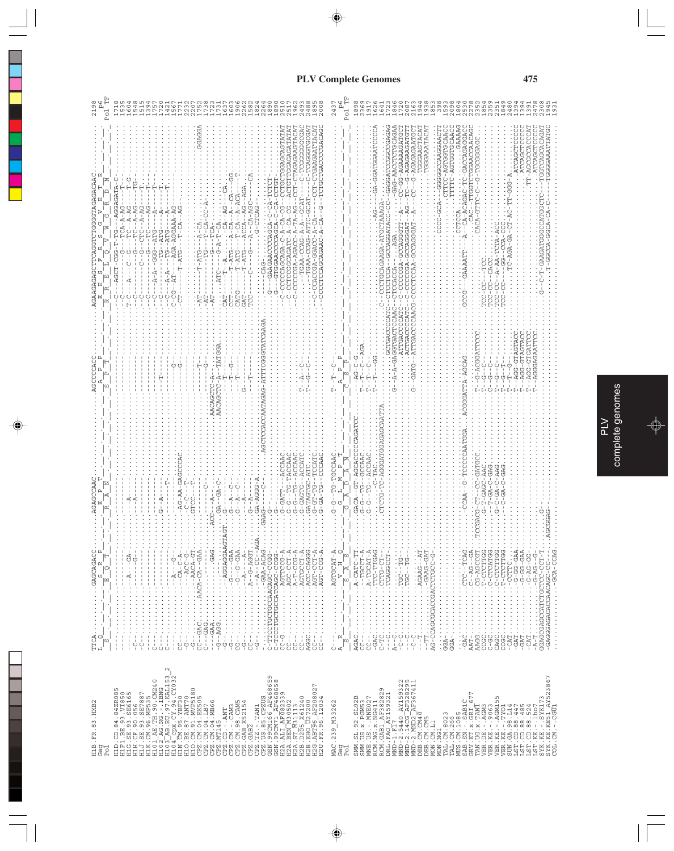| H1B.FR.83.HXB2<br>Gag<br>Pol                                                                                                                                                                                                                                                                                                                                                                                                                                                                                                                                                                                                                                                                    | TTCA<br>$\circ$<br>$\sim$                                                                                                                                                                                                                                                                                                                                                                                                                                                                                      | $\cdot$<br>$\ddot{\cdot}$<br>. GAGCAGACC<br>$\mathsf{p}_4$<br>$\mathbb{F}$<br>α<br>$\vert$ o<br>C)<br>$\vert^{\text{\tiny{E1}}}$                                                                                                                                                                                                                                                                                                                                                                                                                                                                                                                                                                                                                                                                                                                                                                                                                                                                                                                                                                                                                                                                                                                                                                                                                                                                                                                                                                                                                                                                                       | AGAGCCAAC<br>$\mathbf{\Omega}$<br>$[1]$                                                                                                                                                                                                                                                                                                                                                                                                                                                                                                                                                              | AGCCCACC<br>$\mathbf{p}$<br>lo)                                                                                                                                                                                                                                              | AGAAGAGHUDUULUNGULUUQGAGAGAG<br>ıα<br> ひ<br>ひ<br>∣≈<br>C)<br>$\triangleright$<br>10<br>C)<br>[E]<br>凹<br>∣≃<br>囯<br>∣≃                                                                                                                                                                                                                                                                                                                                                                                                                                                                                                                                                                                                                                                                                                                                                                                                                                                                                                                                                                                                                                       |                                                                                                    |
|-------------------------------------------------------------------------------------------------------------------------------------------------------------------------------------------------------------------------------------------------------------------------------------------------------------------------------------------------------------------------------------------------------------------------------------------------------------------------------------------------------------------------------------------------------------------------------------------------------------------------------------------------------------------------------------------------|----------------------------------------------------------------------------------------------------------------------------------------------------------------------------------------------------------------------------------------------------------------------------------------------------------------------------------------------------------------------------------------------------------------------------------------------------------------------------------------------------------------|------------------------------------------------------------------------------------------------------------------------------------------------------------------------------------------------------------------------------------------------------------------------------------------------------------------------------------------------------------------------------------------------------------------------------------------------------------------------------------------------------------------------------------------------------------------------------------------------------------------------------------------------------------------------------------------------------------------------------------------------------------------------------------------------------------------------------------------------------------------------------------------------------------------------------------------------------------------------------------------------------------------------------------------------------------------------------------------------------------------------------------------------------------------------------------------------------------------------------------------------------------------------------------------------------------------------------------------------------------------------------------------------------------------------------------------------------------------------------------------------------------------------------------------------------------------------------------------------------------------------|------------------------------------------------------------------------------------------------------------------------------------------------------------------------------------------------------------------------------------------------------------------------------------------------------------------------------------------------------------------------------------------------------------------------------------------------------------------------------------------------------------------------------------------------------------------------------------------------------|------------------------------------------------------------------------------------------------------------------------------------------------------------------------------------------------------------------------------------------------------------------------------|--------------------------------------------------------------------------------------------------------------------------------------------------------------------------------------------------------------------------------------------------------------------------------------------------------------------------------------------------------------------------------------------------------------------------------------------------------------------------------------------------------------------------------------------------------------------------------------------------------------------------------------------------------------------------------------------------------------------------------------------------------------------------------------------------------------------------------------------------------------------------------------------------------------------------------------------------------------------------------------------------------------------------------------------------------------------------------------------------------------------------------------------------------------|----------------------------------------------------------------------------------------------------|
| $\sim$<br>$\begin{smallmatrix} \texttt{CEZ} & \texttt{TZ} & \texttt{TAYL} \\ \texttt{CEZ} & \texttt{15} & \texttt{15} & \texttt{16} & \texttt{27} & \texttt{28} \\ \texttt{CEZ} & \texttt{15} & \texttt{15} & \texttt{15} & \texttt{16} & \texttt{27} \\ \texttt{CEZ} & \texttt{15} & \texttt{15} & \texttt{16} & \texttt{17} & \texttt{17} & \texttt{18} \\ \texttt{15} & \texttt{15} & \texttt{15} & \texttt{17} & \texttt{1$<br>CPZ.CM.-.CAM3<br>CPZ.CM.98.CAM5<br>CPZ.GAB_X52154<br>$CPZ$ . $CD$ . $-$ . $ANT$<br>$CPZ$ . GAB $\overline{2}$                                                                                                                                                | $\vdots$<br>Ħ<br>$\frac{1}{2}$<br>$\vdots$<br>CC--GAC<br>C---GAG<br>$CC - G$<br>AGGC.<br>Ĵ.<br>$\frac{1}{2}$<br>$-\frac{1}{\mathbf{G}} -$<br>---22<br>CC---<br>J.<br>÷,<br>$C = -1$<br>$-\frac{1}{\mathcal{G}}$<br>$\overline{\phantom{a}}$<br>$\frac{1}{\mathbf{C}}$<br>$\frac{1}{1}$<br>$\frac{1}{4}$<br>$\stackrel{\shortparallel}{\circ}$<br>÷<br>÷<br>$\bigcup\limits_{i}$<br>g<br>U<br>U<br>$\mathbf{I}$<br>$\overline{\phantom{a}}$<br>ု<br>Ü<br>↻<br>↻<br>◡                                            | $\cdots$<br>$\cdots$<br>$\cdots$<br>$\cdots$<br>$\cdots$<br>$\cdots$<br>$\cdots$<br>$\cdots$<br>$\cdots$<br>$\cdots$<br>$\cdots$<br>$\cdots$<br>$\cdots$<br><br>$\cdots$<br><br>$\cdots$<br><br><br><br><br><br><br><br><br><br><br><br><br><br><br><br><br><br><br><br><br><br><br>$ 400 - 1 - 0 = 0.44$<br>$\cdots$ . $-1$ - $-1$ - $-1$<br>$\ldots$ $-5$ -5-5-4A.<br>$\cdot$<br>$\ldots$ - CA-C-A-<br>$\ldots$ $\ldots$ $\ldots$ $\ldots$ $\ldots$ $\ldots$ $\ldots$ $\ldots$ $\ldots$ $\ldots$ $\ldots$ $\ldots$ $\ldots$ $\ldots$ $\ldots$ $\ldots$ $\ldots$ $\ldots$ $\ldots$ $\ldots$ $\ldots$ $\ldots$ $\ldots$ $\ldots$ $\ldots$ $\ldots$ $\ldots$ $\ldots$ $\ldots$ $\ldots$ $\ldots$ $\ldots$ $\ldots$ $\ldots$ $\ldots$ $\ldots$ $\ldots$<br>$-AACA-GT$<br>$\ldots$ . $\ldots$ $\ldots$ $\ldots$ $\ldots$<br>-AACA-GT<br>AACA-CA-GAA<br>$\cdots AGC-CCT-A$<br>$\cdots A+T-CCG-A$<br>$-4 - - - - - - - - - - - - - - - - - - - - - - - - - - - - -$<br>$-4 - 2 - 1 - 2 - 2$<br>-DOOC-CONSCRIPTION<br>$\ldots \ldots$ $\ldots$ $\ldots$ $\ldots$ $\ldots$ $\ldots$ $\ldots$ $\ldots$ $\ldots$ $\ldots$ $\ldots$ $\ldots$ $\ldots$ $\ldots$ $\ldots$ $\ldots$ $\ldots$ $\ldots$ $\ldots$ $\ldots$ $\ldots$ $\ldots$ $\ldots$ $\ldots$ $\ldots$ $\ldots$ $\ldots$ $\ldots$ $\ldots$ $\ldots$ $\ldots$ $\ldots$ $\ldots$ $\ldots$ $\ldots$ $\ldots$ $\$<br>$\frac{1}{1}$<br>$\ldots$ $\ldots$ $\ldots$ $\ldots$ $\ldots$ $\ldots$ $\ldots$ $\ldots$ $\ldots$<br>ひ‐ ) ) ) Y T - - - - -<br>-<br>$ - A - -C$<br>$\,$<br>$\mathbf{I}$<br>$\frac{1}{2}$<br>$\,$ I<br>$\frac{1}{2}$<br>ţ.<br>ţ<br>ţ<br>$\frac{1}{2}$ | $\begin{array}{lll} \mathbf{G}-\mathbf{G}\mathbf{A}\mathbf{T}\mathbf{T}^{T}--\mathbf{A}\mathbf{C}\mathbf{C}\mathbf{A}\mathbf{A}\mathbf{C} \\ \mathbf{G}-\mathbf{G}\mathbf{A}^{T}\mathbf{T}^{T}--\mathbf{A}\mathbf{C}\mathbf{C}\mathbf{A}\mathbf{A}\mathbf{C} \\ \mathbf{G}-\mathbf{G}-\mathbf{T}^{T}-\mathbf{T}\mathbf{G}-\mathbf{A}\mathbf{C}\mathbf{C}\mathbf{A}\mathbf{A}\mathbf{C} \\ \mathbf{G}-\mathbf{G}-\mathbf{G}-\mathbf{T}\mathbf{G}-\mathbf$<br>UARUUU--UH--AU--U<br>GATAGTGC-ATC<br>$-AG-AA-GAGC$<br>GA-AGGG-A<br>ローーコーロー<br>GTCC---T<br>もーー<br>$CA - CA - C$<br>U<br>$-4$<br>$-4$<br>Ġ | AACAGCTC-A--<br>AACAGCTC-A--TATGG<br>ひ<br>U<br><b>ひ ウ</b><br>U<br>J.<br>$-1$<br>ACAGCTC-A                                                                                                                                                                                    | URDUDDDDDDUL-U--<br>CCCCGACAGC<br>GGAGGA<br>C-CODECOGOAREC-A-CA-CG--ACTREPOAGAGAGARIATA<br>ATA COCOGA-AGACC-A-TA-AG--CCT-CTAGAGAGARIATA<br>AUUUUUUUUKUH-U--<br>--CCT-CTGAAGAATTACA<br><b>GTATA</b><br><b>AULUULUL--U--</b><br><b>GHUDHUU---</b><br>$-1 - 2 - 5 - 1 - 1$<br>$-CA$<br>÷ί<br>U - KHKUKUUK - - - UH - H - UUU - HUUK - - -<br>G----GLGGAACCCOORGCA-C-CA-CLGL<br>$- -A - A - 0 - - - TG$<br>۲<br>ا<br>ééé<br>Tit<br>--A-AG----T<br>$-$ -GCAT- $-$<br>$- -P - - -$<br>$-10-4-4-1-1-1$<br>$-1$<br>$-1$<br>$-1$<br>$-1$<br>$-1$<br>$-1$<br>$-1$<br>$-AGA-AGGABAA-AG-$<br>$\cdots$ G-CTCAG<br>$-$ -TCA-A-AG<br>-CCCCCAGA-C-A-CA-CG<br>$-T - T - A T G - T - T - CA - A$<br>-- T-ATG---A-CA.<br>--T-ATG---A-CA<br>-----TG----T-CA-C<br>$-50$ - $-100$ - $-1$<br>$-CA$<br>$-1-1$ GAA-CCAG-A-A<br>$\frac{1}{4}$<br>-14<br>$3 - 2TC - 3TC - 3$<br>CCCTCCAGCAGAAC-A<br>$-1 - 5 - 1 - 5 - 1$<br>UH - - - U - - - - イ - - -<br>-- TC<br>- TG<br>$---A - A - - -$<br>$-1$<br>$-CAG$<br>$C - C G - - P_1 T -$<br>ţ<br>ł<br>Ĵ<br>CATG-<br>i<br>1<br>.<br>内:<br>$-AT$<br>i<br>S<br>GAT.<br>U<br>L<br>$\frac{1}{1}$<br>$\frac{1}{2}$<br>$-RT$<br><b>PCC</b><br>ပု | $\circ$<br>$\circ$<br>$\circ$                                                                      |
| SYK.KE.-.SYK173<br>SYK.KE.KES1_AY523867<br>COL.CM.-.CGU1<br>RCN: GABI 14782829<br>DRL: RC AY159321<br>MMD-2: 5440 AY159322<br>MMD-2: 5440 AY159322<br>DRB: CN: CN40 AY159322<br>DRB: CN: CN40<br>DRB: CN: CN40<br>MON: CN: LN5<br>MON: CN: LN5<br>$\overline{ }$<br>SAB .SM .- .SAB1C<br>GRV .ET .x .GRI 677<br>TAM .UG .x .TAMI<br>VER .DE .- .AGM3<br>VER .KE .- .9063<br>SMM. 5L. 92. SL92B<br>SMM. US. x. PGM53<br>MNE. US. - MNE027<br>MNE. US. x. NG411<br>VER.KE. - . AGM155<br>MAC.239 M33262<br>LOAL.<br>SUN 30.31-98.1114<br>LST.CD.88.447<br>LST.CD.88.447<br>LST.CD.88.524<br>LST.CD.89.524<br>TAL.CM.8023<br>TAL.CM.266<br>MUS.CM.1085<br>VER.KE.-<br><b>MON.NG1</b><br>Gaq<br>Pol | $\begin{array}{ll} -\lambda^{-1} & \dots & \dots & \dots & -\alpha^{-1}\alpha^{-1} \\ \texttt{GGAGCGAGCAPTCTGCTC-CCT--T} \\ -\texttt{GAGGGAGACACACACAC-CC--T} \end{array}$<br>$\vdots$<br>$\vdots$<br>$\vdots$ . $\vdots$ . $\vdots$<br>$CACC1$<br>$CACC1$<br>$CCAT1$<br>$CAT1$<br>$CAT1$<br>AAT-<br>AGAC<br>$GGA-$<br><b>AAGG</b><br>CCGC.<br>C-GC.<br>$-GAT$<br>$\vdots$<br>α<br>$-GAC$<br>$GGA -$<br>$- - -$<br>CC $-$<br>$C-TC$<br>변<br>$-CAT$<br>$C - C$<br>i<br>$-\mathsf{C}-\mathsf{C}$<br> ဟ<br>H<br>U | $\begin{array}{ll} \dots & \dots & \dots & \dots & \dots \\ \dots & \dots & \dots & \dots & \dots \\ \dots & \dots & \dots & \dots & \dots \\ \dots & \dots & \dots & \dots & \dots \\ \dots & \dots & \dots & \dots & \dots \\ \dots & \dots & \dots & \dots & \dots \\ \dots & \dots & \dots & \dots & \dots \\ \dots & \dots & \dots & \dots & \dots \\ \dots & \dots & \dots & \dots & \dots \\ \dots & \dots & \dots & \dots & \dots \\ \dots & \dots & \dots & \dots & \dots \\ \dots & \dots & \dots & \dots & \dots \\ \dots & \dots & \dots & \dots & \dots \\ \dots & \dots & \dots & \dots & \dots \\ \dots &$<br>$-99-96-96-1$<br>$\cdots$ $\cdots$ $\cdots$ $\cdots$<br>TRD-DARD-<br>$\begin{array}{ccccc}\n & \text{H}\n\\ \n& \text{H}\n\\ \n& \text{H}\n\\ \n& \text{C}\n\\ \n& \text{H}\n\\ \n& \text{C}\n\\ \n& \text{H}\n\\ \n& \text{C}\n\\ \n& \text{H}\n\\ \n& \text{C}\n\\ \n& \text{H}\n\\ \n& \text{C}\n\\ \n& \text{H}\n\\ \n& \text{C}\n\\ \n& \text{H}\n\\ \n& \text{C}\n\\ \n& \text{H}\n\\ \n& \text{C}\n\\ \n& \text{H}\n\\ \n& \text{C}\n\\ \n& \text{H}\n\\ \n&$<br>TTC-TTGAG<br>$\ldots$ . AGAAG--AT<br>CAUU-400------<br>$\ldots A-CATC-TT$<br>်ပြ<br>TCAGGCCT<br>$\cdots$ creation<br>$\vdots$<br>$\overline{\mathbb{R}}$<br>$\vdots$<br>$\frac{1}{2}$                                                                                                                                                                                                                                                                                                                             | UDERURUDUUNG-HU--RURU<br>-AGGGATGGA<br>G--TG-TGCAAC<br>G-G--TG--GCCAAC<br>U-U-U-U-U-U-U<br>$G-T-GAGC-RAC.$<br>$-17 - 17 - 17 - 17 - 17 - 17$<br>$G-C-GA-C-AAG$ .<br>$\mathsf{p}_4$<br><b>C-GA-C-AG-</b><br>$\overline{A}$<br>$C-TA$<br>Σ<br>-TC<br>$\frac{1}{2}$<br>CTCTG-<br>ひ<br> ပ<br>ά                                                                                                                                                                                                                                                                                                           | )<br>0491946-A-4--5<br>0491949-A-4--<br>--AGG-GTAGTA<br>--AGG-GTAGTA<br>AGGGAGAATT<br>$- - - - - - - -$<br>$-2G-GTGA$<br>U-U-U-U-<br>$-1 - 1 - -1 - -1$<br>$\mathbf{a}$<br>GATTA-AGCA<br>ပု<br>$\mathsf{p}_4$<br> U)<br>Н<br>$-\frac{1}{2}$<br>$\mathbb{T}--\mathbb{T}$<br>E | --GA-GGATGAATCCCCA<br>TTGCTCCAACCAACCAC<br>TGGGAAATACAT<br>LUARDORRUUDDD<br>TGGGAAGTACA<br>CTTCC-AGTGTGCAC<br>AAAAAA.<br>CACCAGAGAGAC<br>ATCAGCTCCC<br>ATCACHD<br>TT-AGCCACCCA<br>ATCAGETER.<br>TTTTC-AGTGGTGCAAC<br>CACAGA<br>UURUUUUUUH-U--U-<br>$-GCA$<br>CTCCA<br>CAC<br>UC-AGA-GA-CT-AC<br>Ù<br>U<br>U<br>$- -A - A + TCTA - ACC$<br>- 100- 100-<br>$-1$<br>$- - CAC$<br>PCC-CC<br>PCC-CC<br>しりーリロ<br>TCC-CC<br>GCCG-                                                                                                                                                                                                                                                                                                                                                                                                                                                                                                                                                                                                                                                                                                                                   | いつい<br>189<br>243<br>$\mathsf{a}$<br>4359<br>$\circ$<br>Ō<br>4 7<br>Lo <sub>d</sub><br>$_{\infty}$ |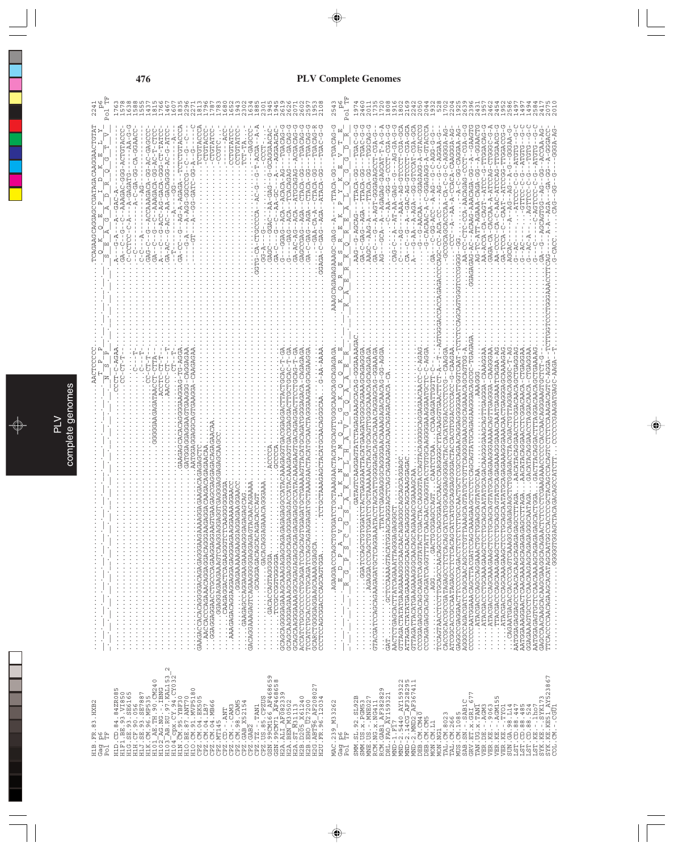| ĭ |
|---|
|   |
|   |

| H1B. FR. 83. HXB2                                                                                                                                                                                                                                                                                                                                                                                                                  | IREULORRUURROKURERUUUURUURRUURRURUL<br>AACTCCCC                                                                                                                                                                                                        |                                                                      |  |
|------------------------------------------------------------------------------------------------------------------------------------------------------------------------------------------------------------------------------------------------------------------------------------------------------------------------------------------------------------------------------------------------------------------------------------|--------------------------------------------------------------------------------------------------------------------------------------------------------------------------------------------------------------------------------------------------------|----------------------------------------------------------------------|--|
| $_{\rm QF}^{\rm 6}$<br>Gad<br>Pol                                                                                                                                                                                                                                                                                                                                                                                                  | ◠<br>$\circ$                                                                                                                                                                                                                                           | <b>[x]</b>                                                           |  |
| .84ZR08<br>.CD.84<br>H1D                                                                                                                                                                                                                                                                                                                                                                                                           | ひ<br>$C - AGA$                                                                                                                                                                                                                                         |                                                                      |  |
|                                                                                                                                                                                                                                                                                                                                                                                                                                    |                                                                                                                                                                                                                                                        | UUUALUHUTA-UUU-U                                                     |  |
|                                                                                                                                                                                                                                                                                                                                                                                                                                    | $-GA-GG-CA$<br>$C - A$<br>-CCTCC                                                                                                                                                                                                                       | $AA-G$<br>UGGAS-                                                     |  |
|                                                                                                                                                                                                                                                                                                                                                                                                                                    | しし                                                                                                                                                                                                                                                     |                                                                      |  |
|                                                                                                                                                                                                                                                                                                                                                                                                                                    | - UA-UU-KUAUANAUUN - -<br>--AAAGACA-GG-A<br>・りー<br>ロー<br>GAG-C<br>U<br>$-(-E)$<br>$C - C - C T - T$<br>CCT-CTTA<br>$\vdots$                                                                                                                            | GAGCC                                                                |  |
| $\mathcal{C}$                                                                                                                                                                                                                                                                                                                                                                                                                      | UULAI-LU-UUG-AUAU-UA-UUA-U--<br>U4-5554045-44--04-5--<br>$GA-AC$<br>U<br>CCTC-CT-T<br>AACCC-CT<br>$\vdots$                                                                                                                                             | しんのの<br>4<br>-G-ATC                                                  |  |
|                                                                                                                                                                                                                                                                                                                                                                                                                                    | U<br>U<br>U<br>$-1$<br>$\vdots$<br>$\vdots$                                                                                                                                                                                                            |                                                                      |  |
|                                                                                                                                                                                                                                                                                                                                                                                                                                    | 4UUURIDIUIUI--KGRGK-K-UK--U--<br><b>ひひひひの-のの氏-氏-</b><br>ひ<br>GAAGGAG-TG-AGGA<br>ARDAUDAU - UUUARUHUARUUAUDAUDHAU                                                                                                                                       | りー<br>υ                                                              |  |
|                                                                                                                                                                                                                                                                                                                                                                                                                                    | -GATC-UA-A<br>-CAAGAGA<br>AATGGAGGAGCAGTGAAGGA<br>CAGAGCTC<br>GAAGACCACACAGGACAGAGAGGGAA                                                                                                                                                               | TCTGTACC<br>Ο                                                        |  |
|                                                                                                                                                                                                                                                                                                                                                                                                                                    | AACCACCAGAAACAGGAGACAGG                                                                                                                                                                                                                                | UUURIDIU                                                             |  |
|                                                                                                                                                                                                                                                                                                                                                                                                                                    | .GGAGGAGGAGCTOCCOAGAAGGAG<br>CAGORAGAAGAAAGTCAAG                                                                                                                                                                                                       | CTGTATC<br>CCGLC                                                     |  |
| $\begin{small} \text{HD}(\text{L}) & \text{BE} & \text{H1}(\text{L}) & \text{H2}(\text{L}) & \text{H3}(\text{L}) \\ \text{H1}(\text{L}) & \text{H1} & \text{H2}(\text{L}) & \text{H3}(\text{L}) \\ \text{CH2} & \text{CH} & \text{H4} & \text{L4}(\text{L}) \\ \text{CH2} & \text{CH} & \text{H4} & \text{H5}(\text{L}) \\ \text{CH2} & \text{CH} & \text{H4} & \text{H5}(\text{L}) \\ \text{CH2} & \text{CH} & \text{H5}(\text{L$ | CAAGAGCECACHAGAAGGT<br>$\vdots$                                                                                                                                                                                                                        |                                                                      |  |
|                                                                                                                                                                                                                                                                                                                                                                                                                                    | AAAGAGACAGGAGGAGAGGGGAG.<br>$\vdots$                                                                                                                                                                                                                   | CTGTATCC<br>CCTGTATC                                                 |  |
|                                                                                                                                                                                                                                                                                                                                                                                                                                    |                                                                                                                                                                                                                                                        |                                                                      |  |
| $CPZ$ . $TZ$ . $-$ . $TAN1$                                                                                                                                                                                                                                                                                                                                                                                                        | GACAGGGGGGAAAGHOAGAAAGGACAG<br>AUDRUCAGAGAGUNU<br>$\vdots$<br>$\vdots$                                                                                                                                                                                 | -GAGCC<br>$T - ACG$ A                                                |  |
| CPZ.US.85.CPZUS<br>GSN.99CM166 AF46<br>GSN.99CM71 AF468                                                                                                                                                                                                                                                                                                                                                                            | $G - A - -$                                                                                                                                                                                                                                            |                                                                      |  |
| 5 AF468659<br>- AF468658                                                                                                                                                                                                                                                                                                                                                                                                           | $-2A - GAG -$<br>U<br>U<br>U<br>U<br>U                                                                                                                                                                                                                 | -GCAGGAACAC                                                          |  |
|                                                                                                                                                                                                                                                                                                                                                                                                                                    |                                                                                                                                                                                                                                                        |                                                                      |  |
|                                                                                                                                                                                                                                                                                                                                                                                                                                    | GCAGCAAGGAAAAGCAGAGAGCAG                                                                                                                                                                                                                               |                                                                      |  |
| H2A, ALI AFO82339<br>H2A, BEN M30502<br>H2A, ST M31113<br>H2B, D205 X61240<br>H2B, D205 X61240                                                                                                                                                                                                                                                                                                                                     | GA-AC-AG--ACA--ATGCAGA<br>CTACA-G<br>- - 454 - - 54500050<br>$-GA$<br>-CAGAGAGA<br>GCAGCAAGGGAAAAGCAGAGAGAGCAG<br>ACCATCURGCOCOOOOOATCCAGCA                                                                                                            | --ACGACAG-                                                           |  |
| <b>U27200</b><br>H2B.EHO                                                                                                                                                                                                                                                                                                                                                                                                           | CTACA<br>GA-C-GAG<br>GORARORANGAACCAROORAURANACHARORANGA<br>TCCATCCACCCCTGCAGATCCAGCA                                                                                                                                                                  | $-TGAV$                                                              |  |
| $\Gamma$<br>AF20802<br>H2U.FR.96.12034<br>H2G.ABT96                                                                                                                                                                                                                                                                                                                                                                                | ATACA-GG<br>$GAA-CA-A$<br>$-AGA$<br>GGAGA-C-GAG-<br>AAA-AA-AAAA<br>TCTGCTAAAGAGCTACAACAACAGGCAA<br>GCARCTGGGGGAAGCAAAAGGAGCA.<br>CCCLCCAGCACCAGCAGLGA                                                                                                  | n<br>n<br>n<br>n<br>n                                                |  |
|                                                                                                                                                                                                                                                                                                                                                                                                                                    |                                                                                                                                                                                                                                                        |                                                                      |  |
| MAC.239_M33262<br>Gag p6<br>Pol TF                                                                                                                                                                                                                                                                                                                                                                                                 | 凹<br>TTACA-GG<br>×<br>$\mathbf{\Omega}$<br>$-4$<br>叫<br>AAAGCAGAGAAAAGC-GAG-<br>α<br>$\cup$<br>囸<br>œ<br>O<br>œ<br>$\circ$<br>$\circ$<br>К<br>Ü<br>Д<br>$\circ$<br>Σ<br>≻<br>z<br>×<br>급<br>급<br>≏<br>$\Delta_i^t$<br>$\mathbf{\Omega}$<br>$\Box$<br>囟 | 54<br>$\mathcal{C}$<br>TGACAG-G<br>凹<br>$\vdash$<br>$\triangleright$ |  |
| dag<br>Pol                                                                                                                                                                                                                                                                                                                                                                                                                         | 回<br>İΡ<br>$\circ$<br>K<br>凹<br>$\circ$<br>O<br>囯<br>lc)<br>ပြ<br>$\mathsf{P}$<br>ပြ<br>$ \tilde{\mathbf{r}}$                                                                                                                                          | Po <sub>1</sub><br>Ιd<br>$\mathsf{P}$                                |  |
| SMM. SL. 92. SL92B                                                                                                                                                                                                                                                                                                                                                                                                                 | TTACA-GG<br>CACCC--C--CACCCCC<br>GATAGTCAAGGAGTATCTAGAAAGCACACAG-GGGAAAAGG                                                                                                                                                                             | 197<br><b>し ひ</b><br>TGAC-G-                                         |  |
| SMM . US . x . PGM53<br>MNE . US . - . MNE027                                                                                                                                                                                                                                                                                                                                                                                      | GA-C-GAG--AGA-<br>$ PAG - P$<br>AAGC<br>AUUUGUGUUUGAAAUGUUUUGUGUGUGUUGUUGUUGUUGHU                                                                                                                                                                      | $\frac{6}{4}$<br>U-UAUUUH<br>TGAC-G-                                 |  |
| RCM.NG.X.NG411                                                                                                                                                                                                                                                                                                                                                                                                                     | - 5 - 450 - 15005454555 - 154 - 4 - - 5 -<br>$CA-C--$<br>ひえしえひえひひひひトトえしひえに<br>CTAGATODARARARARAN ATALIAN<br>CTAGATORARARARARARARARARA                                                                                                                  |                                                                      |  |
| RCM.GAB1 AF382829<br>DRL.FAO AY159321                                                                                                                                                                                                                                                                                                                                                                                              | 4-5-4-1-1-140040-040404-1-400--                                                                                                                                                                                                                        |                                                                      |  |
| $MD-1$                                                                                                                                                                                                                                                                                                                                                                                                                             | ひっぴ<br>$-10 - 100 - 100$<br>CAG-C<br><b>GAT</b>                                                                                                                                                                                                        | 모<br>$-7 - 5 - 4 - 5 - 7$<br>U-AUU-LUUU-                             |  |
| $MID-2$                                                                                                                                                                                                                                                                                                                                                                                                                            | $-AA$<br>GTTAGACTATATGAAGAAAGCAAACAA                                                                                                                                                                                                                   | AUG-AUCH-UDUD-5                                                      |  |
| 1.FT7<br>2.5440 AY159322<br>2.14CG AF328295<br>2.MND2 AF367411<br>$MID-2$<br>$MID-2$                                                                                                                                                                                                                                                                                                                                               | $- -G - - A - - GAC - A$<br>$-AA - A - A - AGA - G$<br>じー<br>$A - C$<br>GTTAGATTACATGAAGAAAGGCAACAG<br>ATTAGACTATGAGAAAGGGCAACAA                                                                                                                       | AUU-AUU-HUUUHU-U<br>G-GO-LAD-LADUD-D                                 |  |
|                                                                                                                                                                                                                                                                                                                                                                                                                                    | ŏ<br>Ο<br>CCCGGAGGAGCAGAGATCAGGTATAC                                                                                                                                                                                                                   |                                                                      |  |
| DEB.CM.CM40<br>DEB.CM.CM5<br>MON.CM.L1<br>MON.CM.L1                                                                                                                                                                                                                                                                                                                                                                                | $A - C - GC$<br>$3 - 6 - AACAA -$<br>$3 - CACAAC - A - ($<br>:-C-AGAG<br>:-C-AGGA<br>CCCAGAGAGCACAGCAGATCAGGTTTAT                                                                                                                                      | GAGAGG-A-GTACCCG<br>GAGAGG-A-GTACCCA                                 |  |
| <b>ION.NG1</b>                                                                                                                                                                                                                                                                                                                                                                                                                     | $C - GG - RCC$<br>$C - ACA - C$<br>ţ<br>ں<br>ن<br>TGAACTTCT-A<br>ု                                                                                                                                                                                     | $-5 - 7$<br>-AGGAA-G<br>$1 - AGG$                                    |  |
| TAL.CM.8023<br>TAL.CM.266                                                                                                                                                                                                                                                                                                                                                                                                          | U-5-0-<br>-GCCGCAGCACCAA-CA<br>CAAGGA                                                                                                                                                                                                                  | $-AGG-AG$                                                            |  |
|                                                                                                                                                                                                                                                                                                                                                                                                                                    | $-4A-2A-2CCACA$<br>Ŭ<br>∴<br>ARDARD-5-1<br>ATCGCACCGCCAATAGAGCCTCACA                                                                                                                                                                                   | $\frac{0}{2}$<br>-CAAGGGA-AG                                         |  |
| MUS. CM. 1085<br>$SAB$ . $SN$ .                                                                                                                                                                                                                                                                                                                                                                                                    | .AA-CC<br>COOCCOPOCACOROO<br>TGGTCAA<br>AGGCCAGACCAGCAACAACCCCCC<br>GAGGCCCCAGAGAACCCCCCCCCCCCC                                                                                                                                                        | 04-440040-00-0-                                                      |  |
| $\begin{array}{l} \tt{-1.5} \end{array} \begin{array}{l} \tt{1.5} \end{array} \begin{array}{l} \tt{-2.5} \end{array} \begin{array}{l} \tt{-3.5} \end{array} \begin{array}{l} \tt{-4.5} \end{array} \begin{array}{l} \tt{-5.5} \end{array} \begin{array}{l} \tt{-6.77} \end{array}$<br>$\begin{array}{lll} \texttt{SAB}.\texttt{SN}--\texttt{SAB1C}\\ \texttt{GRV}.\texttt{ET}-.\texttt{x}.\texttt{GRL}\_\texttt{6} \end{array}$    | U-ACAAG-AAACAGA--<br>CGAGAGAG-AC<br>GAGAGAGAG<br>CCCCCCAATGGAAACCTTACGATCCA                                                                                                                                                                            | --GAAGT                                                              |  |
|                                                                                                                                                                                                                                                                                                                                                                                                                                    | ACAGA-GG--A--GAACT<br>CAGA-GG--A-GGAACT<br>AG-TC-ATT-AGAAA                                                                                                                                                                                             |                                                                      |  |
| VER. KE. - . 9063                                                                                                                                                                                                                                                                                                                                                                                                                  | GAGA-CA-CAA-A-A-ATCOCAC-CHOC-G-A<br>- DAUKDDHH - D- JUHK - -<br>AA-ACCA-CA-CAGT<br>ATACGACCCTGCAAAGAAGCTC<br>$\ddot{\cdot}$                                                                                                                            | ううち のうち しょうしょう しょうしょうしょう                                             |  |
| VER.KE. - . AGM155                                                                                                                                                                                                                                                                                                                                                                                                                 | U-CA-C-AAC-ATCORE-D-AAC-C-<br>AA-CCCC<br>TTACGACCAGCAAAGAAGCTC<br>$\vdots$                                                                                                                                                                             |                                                                      |  |
| TOXL.<br>VER.KE.-                                                                                                                                                                                                                                                                                                                                                                                                                  | GA-CCA--CAAT--AAT---U-KOL-CO<br>. ATACGACCCAGCAAAGAAGCTC                                                                                                                                                                                               |                                                                      |  |
| SUN.GA.98.L14                                                                                                                                                                                                                                                                                                                                                                                                                      | FOHA--P-D-D-<br>$G - -A - G -$<br>AGCAC<br><b>ORGRATGECCOCOCOCOMENTE</b><br>AATGGAGAGGAGCCAACAAGAGAGAG                                                                                                                                                 | $\frac{1}{2}$                                                        |  |
| LST.CD.88.447<br>LST.CD.88.485<br>LST.CD.88.524                                                                                                                                                                                                                                                                                                                                                                                    | $-6 - -2T$<br>-- A<br>-- - A<br>-- --<br>AATGGAAAGGAACTCAAAAAGCAGAG                                                                                                                                                                                    |                                                                      |  |
| .1 <sub>ho7</sub><br>KE.-<br>LST.                                                                                                                                                                                                                                                                                                                                                                                                  | $- - A$<br>AATGGAGAGTGCAACAAAAAGCAGG<br>GGAGAAAGTGCCCAACAAGAGCAGAG                                                                                                                                                                                     |                                                                      |  |
| .SYK173                                                                                                                                                                                                                                                                                                                                                                                                                            | GAGCCAACAAGCACGAAGGCACACAG                                                                                                                                                                                                                             |                                                                      |  |
| AY523867<br>SYK.KE.-.SYK<br>SYK.KE.KE51                                                                                                                                                                                                                                                                                                                                                                                            | TTCACCCCAACAGAACATAGCAATG                                                                                                                                                                                                                              |                                                                      |  |
| CGII<br>$\overline{\mathbb{C}}$<br>COL.                                                                                                                                                                                                                                                                                                                                                                                            | <b>の日ひひひひひ・・・・・・・・・・・・・・・・・・・・・</b>                                                                                                                                                                                                                    |                                                                      |  |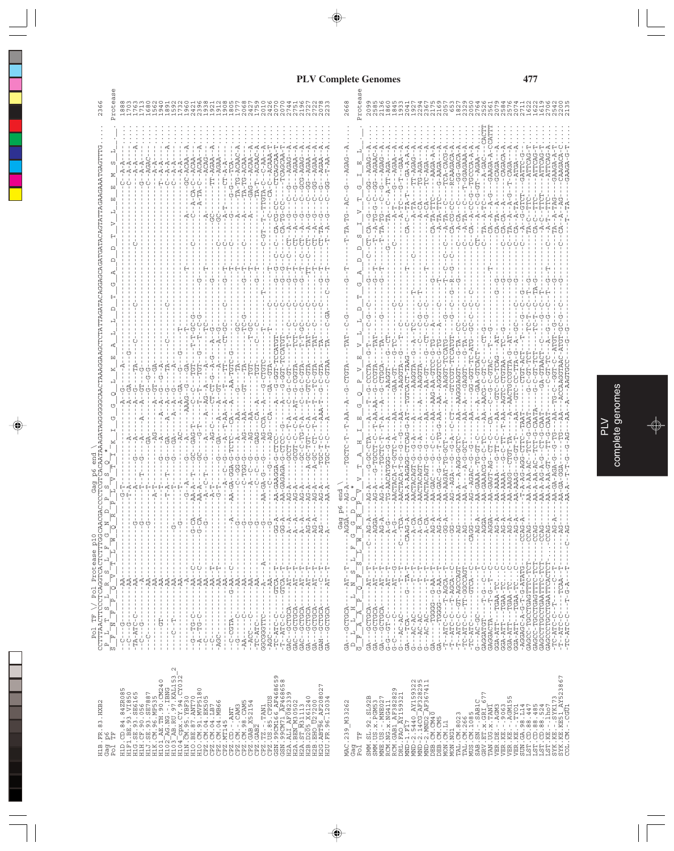| H1B.FR.83.HXB2<br>Gag p6<br>Pol TF                                                                                                                                                                                                                                                                                                                                                                                                                                                                     |                                                                                                                                                |                                                                                                           |                                                        |        |                         |                                          |                       |                                         |                    |
|--------------------------------------------------------------------------------------------------------------------------------------------------------------------------------------------------------------------------------------------------------------------------------------------------------------------------------------------------------------------------------------------------------------------------------------------------------------------------------------------------------|------------------------------------------------------------------------------------------------------------------------------------------------|-----------------------------------------------------------------------------------------------------------|--------------------------------------------------------|--------|-------------------------|------------------------------------------|-----------------------|-----------------------------------------|--------------------|
|                                                                                                                                                                                                                                                                                                                                                                                                                                                                                                        | $\overline{P}$<br> Γι.<br>$\triangleright$<br> L<br> C)                                                                                        | $\vdash$<br>$\vdash$<br>$\triangleright$<br>$\vert \circ$                                                 | $\vert \mathbb{z} \vert$                               |        | ひ                       | <b>F</b><br>ひ                            | ≏<br>≏<br>ひ<br>⊢<br>⊆ | CΟ<br>Σ<br><b>F</b><br>$[1]$            |                    |
|                                                                                                                                                                                                                                                                                                                                                                                                                                                                                                        | $-1$<br>$\ddot{\circ}$<br>Ÿ<br>ပု                                                                                                              | $-AA--$<br>$-AA$ -                                                                                        |                                                        |        | К                       | ් ජි<br>A<br>Æ                           |                       | d,<br>U                                 |                    |
|                                                                                                                                                                                                                                                                                                                                                                                                                                                                                                        | $\mathbf{I}$<br>$\mathbf{I}$<br>$\mathbf{I}$<br>$-TA - ATC - C$<br>$\begin{array}{c} 1 \\ 0 \\ 1 \end{array}$<br>$\mathbf{I}$<br>$\frac{1}{2}$ | $-AA--$<br>$- - A - -$<br>$\mathbf{I}$                                                                    |                                                        | ひ<br>ひ | Æ                       | 5<br>ひ<br>K,<br>A                        |                       | К                                       |                    |
|                                                                                                                                                                                                                                                                                                                                                                                                                                                                                                        | $\mathbf{I}$<br>$C_1$                                                                                                                          | $-AA--$                                                                                                   |                                                        |        |                         | てり                                       |                       |                                         |                    |
|                                                                                                                                                                                                                                                                                                                                                                                                                                                                                                        | î.<br>٠<br>$-95$<br>÷,                                                                                                                         | $---AA--$<br>$-AA$ -<br>$\mathbb{I}$                                                                      |                                                        |        |                         | てり<br>Æ                                  |                       |                                         |                    |
|                                                                                                                                                                                                                                                                                                                                                                                                                                                                                                        |                                                                                                                                                | $-AA--$<br>$\mathbf{I}$                                                                                   |                                                        |        |                         | さ さ<br>К                                 |                       |                                         | $\sigma$           |
| $\mathbb{N}$                                                                                                                                                                                                                                                                                                                                                                                                                                                                                           | $\blacksquare$<br>J.                                                                                                                           | $- - A A - -$<br>$---AA - - -$                                                                            | $- - - - - -$                                          |        |                         | К                                        |                       |                                         |                    |
|                                                                                                                                                                                                                                                                                                                                                                                                                                                                                                        | $\frac{1}{1}$<br>$\mathsf I$<br>$\mathbf{I}$<br>٠<br>J.                                                                                        | $- -A - -$                                                                                                |                                                        |        |                         |                                          |                       |                                         |                    |
|                                                                                                                                                                                                                                                                                                                                                                                                                                                                                                        | Ħ<br>$\mathbf{I}$<br>$-5 - 5 - 5$<br>$\frac{1}{\sqrt{2}}$                                                                                      | t<br>$- - A A - - C$                                                                                      | $\frac{1}{\sqrt{2}}$                                   |        |                         | Ο⊣                                       |                       |                                         |                    |
|                                                                                                                                                                                                                                                                                                                                                                                                                                                                                                        | $\,$ $\,$<br>$\mathbf{I}$<br>$\overline{\phantom{a}}$<br>$\,$ I<br>$\mathbf{I}$<br>$\frac{1}{1}$<br>$-4$<br>ု                                  | J<br>$- - A A - - C$<br>$---AA---$                                                                        | $\frac{1}{\sqrt{2}}$                                   |        |                         |                                          |                       |                                         |                    |
|                                                                                                                                                                                                                                                                                                                                                                                                                                                                                                        | $\frac{1}{4}$<br>$\mathsf I$<br>44<br>$\mathbf{I}$<br>$\blacksquare$<br>$\frac{1}{2}$                                                          | $- - 2A - 2B - - 1$                                                                                       |                                                        |        |                         |                                          |                       |                                         |                    |
|                                                                                                                                                                                                                                                                                                                                                                                                                                                                                                        | J.<br>÷<br>$\blacksquare$<br>$\mathsf I$<br>$-AGC -$                                                                                           | f,<br>---AA---T                                                                                           |                                                        |        |                         |                                          |                       |                                         |                    |
|                                                                                                                                                                                                                                                                                                                                                                                                                                                                                                        | 1<br>1<br>Ť<br>÷<br>$\mathsf I$<br>$-C-CGTA-$                                                                                                  | $-4A-0-1C$<br>$-AA-$                                                                                      |                                                        |        |                         |                                          |                       |                                         |                    |
|                                                                                                                                                                                                                                                                                                                                                                                                                                                                                                        | ł<br>$\frac{1}{2}$<br>$-4A - 7$                                                                                                                | $-AA$ -                                                                                                   |                                                        |        |                         |                                          |                       |                                         |                    |
|                                                                                                                                                                                                                                                                                                                                                                                                                                                                                                        | ţ<br>ţ<br>$\frac{1}{1}$<br>$-1$<br>$-ACC-$                                                                                                     | $\frac{1}{1}$<br>$-AA - -$<br>$-AA$                                                                       |                                                        |        |                         |                                          |                       |                                         |                    |
|                                                                                                                                                                                                                                                                                                                                                                                                                                                                                                        | ł<br>$-TC - ATC - -$                                                                                                                           | Ť<br>--AA--                                                                                               |                                                        |        |                         |                                          |                       |                                         |                    |
|                                                                                                                                                                                                                                                                                                                                                                                                                                                                                                        | $\frac{1}{1}$<br>GGGGGLEC                                                                                                                      | $- - A - -$<br>$-4$                                                                                       |                                                        |        | $I - CCA$               |                                          |                       |                                         |                    |
|                                                                                                                                                                                                                                                                                                                                                                                                                                                                                                        | $\frac{1}{2}$<br>$-AGC$                                                                                                                        | Ť<br>$-AA--$                                                                                              | Í                                                      |        |                         | GA                                       |                       |                                         |                    |
|                                                                                                                                                                                                                                                                                                                                                                                                                                                                                                        | $-1 - 1 - 1 - 1$<br>シー<br>$-TC - ATC - C$                                                                                                      | $\frac{1}{2}$<br>$\bar{1}$<br>$\frac{1}{4}$<br>÷.<br>$\frac{1}{2}$<br>ITCA.                               | $\frac{1}{2}$<br>$\frac{1}{\sqrt{2}}$<br>$\frac{1}{1}$ |        |                         |                                          |                       | y                                       |                    |
|                                                                                                                                                                                                                                                                                                                                                                                                                                                                                                        |                                                                                                                                                | $\overline{1}$<br>J,<br>$\ddot{a}$<br>$-AT$<br>J.                                                         | K,<br>Ţ                                                |        |                         |                                          |                       |                                         |                    |
|                                                                                                                                                                                                                                                                                                                                                                                                                                                                                                        | $\mathbf{I}$<br>$\frac{1}{1}$                                                                                                                  | f,<br>f,<br>J,<br>$\frac{1}{2}$<br>$\frac{1}{\sqrt{2}}$<br>$---AT-$                                       | Æ<br>Ŧ                                                 |        |                         |                                          |                       |                                         |                    |
|                                                                                                                                                                                                                                                                                                                                                                                                                                                                                                        | GA---GCTGCA--<br>GAC--GCTGCA                                                                                                                   | f,<br>Ť<br>$---AT$<br>$---AT-$                                                                            | $-1$<br>$-4$                                           |        |                         |                                          |                       |                                         |                    |
|                                                                                                                                                                                                                                                                                                                                                                                                                                                                                                        | $\mathbf{I}$<br>$-$ -COUGULO-<br>$G A -$                                                                                                       | f,<br>$-2A$ $T - T$                                                                                       |                                                        |        |                         |                                          |                       |                                         |                    |
|                                                                                                                                                                                                                                                                                                                                                                                                                                                                                                        | - 1<br>$\mathbf I$<br>GAH--GCTGCA<br>GA---GCTGCA                                                                                               | $\frac{1}{4}$<br>۲<br>ا<br>۲<br>ا<br>$-1 - 2$                                                             | $-74$<br>$-74$<br>$\overline{\phantom{a}}$             |        |                         |                                          |                       |                                         |                    |
|                                                                                                                                                                                                                                                                                                                                                                                                                                                                                                        |                                                                                                                                                |                                                                                                           |                                                        |        |                         |                                          |                       |                                         |                    |
| MAC.239 M33262                                                                                                                                                                                                                                                                                                                                                                                                                                                                                         | $\Box$<br>٠<br>$- - 4001010 - -$<br>Ξ<br>Ś                                                                                                     | ٠<br>$\Box$<br>$\frac{1}{N}$ S N -                                                                        | $-40$<br>ひ<br>$\mathsf I$<br>$\mathbb{E}$              |        | $-1 - T - A$<br>TGCTC-T | C<br>TAT<br>CTGTA<br>φ<br>$\overline{A}$ |                       | - AGAG<br>Ů<br>$-AC$<br>C<br>F<br>- TA- | 2668               |
| FF<br>Gag<br>Po <sub>1</sub>                                                                                                                                                                                                                                                                                                                                                                                                                                                                           | $ \nabla$<br>$\mathbf{H}_{\mathbf{A}}$<br>$\mathbb{R}$<br>$\mathbf{H}^{\parallel}$<br> E <br>$\Box$<br><b>IU</b>                               | $\overline{a}$<br>$\overline{C}$<br>$\left[\begin{matrix}1\\1\\1\\1\end{matrix}\right]$<br>$\overline{Q}$ | i≥                                                     | ь      | 囸                       | Er.<br>$\circ$<br>τ٦                     | τ٦                    | 囜<br>τŋ                                 | crot               |
|                                                                                                                                                                                                                                                                                                                                                                                                                                                                                                        | $\mathbf{I}$<br>GA---GCTGCA--                                                                                                                  | $---T-TT---T-1$                                                                                           | $- - - - - - - - -$                                    |        |                         | Ġ                                        | てり                    | AGAG<br>U                               | ္ခ                 |
| SMM.SL.92.SL92B<br>SMM.US.x.PGM53<br>MNE.US.-.MNE027                                                                                                                                                                                                                                                                                                                                                                                                                                                   | -- AUULUU --- AU                                                                                                                               | Ť                                                                                                         | $-7$                                                   |        |                         |                                          |                       |                                         |                    |
|                                                                                                                                                                                                                                                                                                                                                                                                                                                                                                        | ł<br>$O - 10 - 10 - 0$<br>GA<br>ひ                                                                                                              | Ĵ<br>$\frac{1}{4}$<br>÷.<br>$---AT$                                                                       | $- - P G$<br>$-4$                                      |        |                         | $\overset{1}{\circ}$<br>К                |                       |                                         |                    |
| $\sigma$<br>RCM.NG.x.NG411<br>RCM.GAB1_AF382829<br>DRL.FAO_AV159321<br>MND-1.F17<br>MND-1.F17                                                                                                                                                                                                                                                                                                                                                                                                          | ł<br>$\frac{1}{2}$<br>ł<br>i<br>ひ                                                                                                              | t<br>Ť<br>ო<br> <br> <br>$- - - A T$                                                                      | $- - A$                                                |        |                         |                                          |                       | ひ                                       |                    |
|                                                                                                                                                                                                                                                                                                                                                                                                                                                                                                        | ひ                                                                                                                                              | $\frac{1}{1}$<br>י<br>י<br>$-1$                                                                           | $\,$ I<br>$\overline{C}$                               |        |                         |                                          |                       |                                         |                    |
|                                                                                                                                                                                                                                                                                                                                                                                                                                                                                                        |                                                                                                                                                |                                                                                                           | $-CAAC$<br>$- - A$<br>J.<br>J.                         |        |                         |                                          |                       |                                         |                    |
|                                                                                                                                                                                                                                                                                                                                                                                                                                                                                                        |                                                                                                                                                |                                                                                                           | $-4$                                                   |        |                         | K,                                       |                       |                                         | $\alpha$           |
|                                                                                                                                                                                                                                                                                                                                                                                                                                                                                                        |                                                                                                                                                |                                                                                                           | $-4 - 40$<br>J.                                        |        |                         |                                          |                       |                                         |                    |
|                                                                                                                                                                                                                                                                                                                                                                                                                                                                                                        |                                                                                                                                                |                                                                                                           | J.                                                     |        | Y                       | -AAG-                                    |                       |                                         |                    |
|                                                                                                                                                                                                                                                                                                                                                                                                                                                                                                        |                                                                                                                                                |                                                                                                           | $- - A$<br>ŏ<br> <br>ł<br>$\mathbf{I}$                 |        |                         |                                          |                       |                                         | $-1$ $-1$ $\circ$  |
| MWD-2.5440 AX159322<br>MWD-2.14CG AF328295<br>DBB CM. CM4G AF367411<br>DBB CM. CM4G<br>DBB CM. CM5<br>MON. MG1.                                                                                                                                                                                                                                                                                                                                                                                        |                                                                                                                                                |                                                                                                           | ್ರೆ<br>$\mathbf{1}$<br>$\blacksquare$                  |        |                         |                                          |                       |                                         | 6765522562         |
|                                                                                                                                                                                                                                                                                                                                                                                                                                                                                                        |                                                                                                                                                |                                                                                                           | $-4$<br>$\mathbf{I}$                                   |        |                         | <b>AAGG</b>                              |                       |                                         |                    |
|                                                                                                                                                                                                                                                                                                                                                                                                                                                                                                        | $-TC-ATC$                                                                                                                                      | $\frac{1}{4}$<br>U--40HU--                                                                                | $-1$<br>$- -$ CAG<br>$\blacksquare$                    |        |                         | ୍ର                                       |                       |                                         | $\infty$ m $\circ$ |
|                                                                                                                                                                                                                                                                                                                                                                                                                                                                                                        | $-AC-GC-$<br>ひ                                                                                                                                 | Ť                                                                                                         | $-4$<br>$\mathbf{I}$                                   |        |                         | ćÃ                                       |                       | 먹                                       |                    |
|                                                                                                                                                                                                                                                                                                                                                                                                                                                                                                        | GAGGATGT----T-G---<br>GAGGATGT-----T-G---                                                                                                      | $\frac{1}{4}$<br>U<br>!                                                                                   | $-4$<br>j                                              |        |                         | AAC                                      |                       |                                         | ഗഗ                 |
|                                                                                                                                                                                                                                                                                                                                                                                                                                                                                                        |                                                                                                                                                | ţ<br>U<br>!                                                                                               | $- - - - - - -$                                        |        |                         |                                          |                       |                                         |                    |
|                                                                                                                                                                                                                                                                                                                                                                                                                                                                                                        | GGA-ATT---TGAA-TC<br>GGA-ATT---TGAA-TC                                                                                                         | $\frac{1}{1}$<br>$rac{1}{\cdot}$                                                                          | $- - - - - - - - - - - -$                              |        |                         |                                          |                       | ED-                                     |                    |
|                                                                                                                                                                                                                                                                                                                                                                                                                                                                                                        | GGA-ATT                                                                                                                                        | Ť<br>$\frac{1}{2}$                                                                                        | $-1$<br>ţ                                              |        |                         |                                          |                       |                                         | மம                 |
|                                                                                                                                                                                                                                                                                                                                                                                                                                                                                                        | GGA-ATT---TGAA-TCC<br>GGA-ATT---TGAA-TCC<br>-AGGAGC-A-G-T-G-ATATG<br>GGA-ATT--                                                                 | Ť                                                                                                         | $-4$                                                   |        |                         |                                          |                       |                                         | $\circ$ $\sim$     |
|                                                                                                                                                                                                                                                                                                                                                                                                                                                                                                        |                                                                                                                                                |                                                                                                           | -------CCA                                             |        |                         |                                          |                       |                                         |                    |
|                                                                                                                                                                                                                                                                                                                                                                                                                                                                                                        |                                                                                                                                                | f,                                                                                                        | $---CCAC$                                              |        |                         |                                          |                       |                                         |                    |
| $\begin{array}{l} \text{TDI}^{\bullet}, \text{DM}^{\bullet}, \text{BO23}\\ \text{TDI}^{\bullet}, \text{CM}^{\bullet}, \text{SO23}\\ \text{SDI}^{\bullet}, \text{CM}^{\bullet}, \text{OSB1}^{\bullet}, \text{CM}^{\bullet}, \text{SO5} \\ \text{SDI}^{\bullet}, \text{SDI}^{\bullet}, \text{CHI}^{\bullet}, \text{CHI}^{\bullet}, \text{CHI}^{\bullet}, \text{CHI}^{\bullet}\\ \text{ORV}^{\bullet}, \text{EDI}^{\bullet}, \text{CHI}^{\bullet}, \text{CHI}^{\bullet}, \text{CHI}^{\bullet}, \text{CHI$ | GAGCC-TGCCTGAGTTTC-TCT<br>GAGCCTTGCCTGAATTTC-TCT<br>GAGCCCTGCCTGAATTCACTCT                                                                     |                                                                                                           | $- -$ CCAG                                             |        |                         |                                          |                       |                                         |                    |
|                                                                                                                                                                                                                                                                                                                                                                                                                                                                                                        |                                                                                                                                                |                                                                                                           | $- \cdots - \cdots$                                    |        |                         |                                          |                       |                                         |                    |
|                                                                                                                                                                                                                                                                                                                                                                                                                                                                                                        |                                                                                                                                                |                                                                                                           |                                                        |        |                         |                                          |                       |                                         |                    |
|                                                                                                                                                                                                                                                                                                                                                                                                                                                                                                        |                                                                                                                                                |                                                                                                           |                                                        |        |                         |                                          |                       |                                         |                    |

complete genomes complete genomes PLV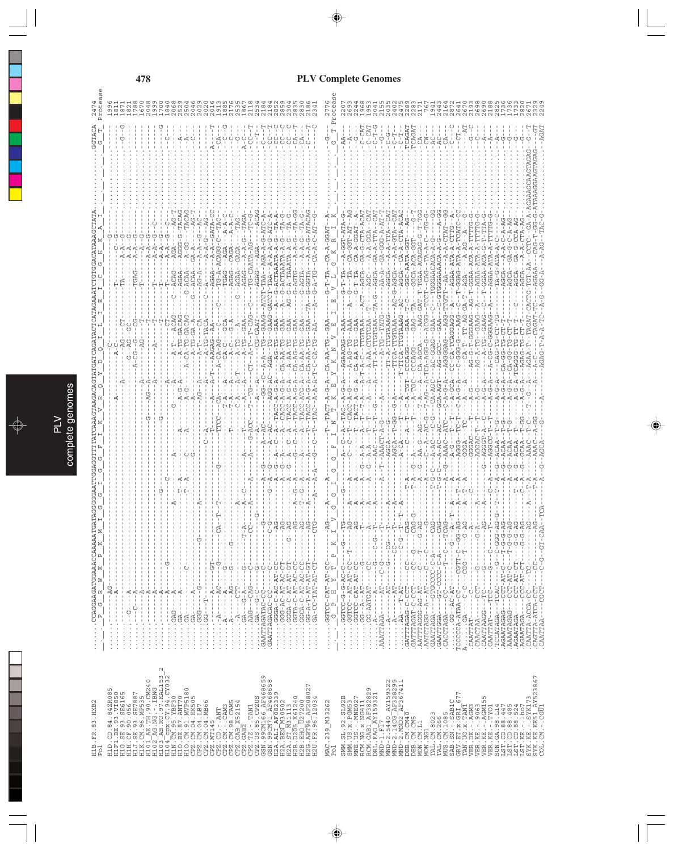| ĭ |
|---|
|   |
|   |

 $\overline{8}$ 

nes

| H1B.FR.83.HXB2<br>Pol                                                                                                                                                                                                                                                                                                                                                                                                          | CCAGGAAGATGGAAACCAAAAATC.<br>P G R W K P K M<br>$\simeq$                                                                                                                                                                                                                                                                                                                                                                                                                                      |    |               |                                       |                        |             |                                          |
|--------------------------------------------------------------------------------------------------------------------------------------------------------------------------------------------------------------------------------------------------------------------------------------------------------------------------------------------------------------------------------------------------------------------------------|-----------------------------------------------------------------------------------------------------------------------------------------------------------------------------------------------------------------------------------------------------------------------------------------------------------------------------------------------------------------------------------------------------------------------------------------------------------------------------------------------|----|---------------|---------------------------------------|------------------------|-------------|------------------------------------------|
|                                                                                                                                                                                                                                                                                                                                                                                                                                |                                                                                                                                                                                                                                                                                                                                                                                                                                                                                               |    |               |                                       |                        |             |                                          |
| LO<br>HID.CD.84.84ZR08<br>HIFI.BE.93.VI850                                                                                                                                                                                                                                                                                                                                                                                     | $- - AG$<br>J.<br>$\vdots$                                                                                                                                                                                                                                                                                                                                                                                                                                                                    |    |               |                                       |                        |             |                                          |
|                                                                                                                                                                                                                                                                                                                                                                                                                                | $-4 -$<br>f,<br>$\frac{1}{1}$                                                                                                                                                                                                                                                                                                                                                                                                                                                                 |    |               |                                       |                        |             |                                          |
|                                                                                                                                                                                                                                                                                                                                                                                                                                |                                                                                                                                                                                                                                                                                                                                                                                                                                                                                               |    |               |                                       |                        |             |                                          |
|                                                                                                                                                                                                                                                                                                                                                                                                                                |                                                                                                                                                                                                                                                                                                                                                                                                                                                                                               |    |               |                                       |                        |             |                                          |
|                                                                                                                                                                                                                                                                                                                                                                                                                                | $-1 - 5 - -1 - 5$                                                                                                                                                                                                                                                                                                                                                                                                                                                                             |    |               |                                       |                        |             |                                          |
|                                                                                                                                                                                                                                                                                                                                                                                                                                | t<br>$\frac{1}{1}$<br>$-1$<br>J.<br>f,<br>ţ                                                                                                                                                                                                                                                                                                                                                                                                                                                   |    |               |                                       |                        |             |                                          |
|                                                                                                                                                                                                                                                                                                                                                                                                                                | $- - \lambda$<br>$\frac{1}{2}$                                                                                                                                                                                                                                                                                                                                                                                                                                                                |    |               |                                       |                        |             |                                          |
|                                                                                                                                                                                                                                                                                                                                                                                                                                | $- - - A$<br>$\frac{1}{4}$                                                                                                                                                                                                                                                                                                                                                                                                                                                                    |    |               |                                       |                        |             |                                          |
| $\mathbb{N}$                                                                                                                                                                                                                                                                                                                                                                                                                   | $\mathbf I$<br>$- - - - A$<br>ţ.                                                                                                                                                                                                                                                                                                                                                                                                                                                              |    |               |                                       |                        |             |                                          |
|                                                                                                                                                                                                                                                                                                                                                                                                                                | $-5 - -$<br>$- - - - A$                                                                                                                                                                                                                                                                                                                                                                                                                                                                       |    |               |                                       |                        |             |                                          |
|                                                                                                                                                                                                                                                                                                                                                                                                                                | I.<br>$-4$                                                                                                                                                                                                                                                                                                                                                                                                                                                                                    |    |               |                                       |                        |             |                                          |
|                                                                                                                                                                                                                                                                                                                                                                                                                                | $\frac{1}{1}$<br>$\frac{1}{1}$<br>I.<br>$$ $GAG---$                                                                                                                                                                                                                                                                                                                                                                                                                                           |    | ひ             |                                       |                        |             |                                          |
|                                                                                                                                                                                                                                                                                                                                                                                                                                | $\begin{array}{c} \n\downarrow \\ \n\downarrow \\ \n\end{array}$                                                                                                                                                                                                                                                                                                                                                                                                                              |    | ひ             |                                       |                        |             |                                          |
|                                                                                                                                                                                                                                                                                                                                                                                                                                | ٠<br>$\mathsf I$                                                                                                                                                                                                                                                                                                                                                                                                                                                                              |    |               |                                       |                        |             |                                          |
|                                                                                                                                                                                                                                                                                                                                                                                                                                | Î<br>J.<br>t<br>$\frac{1}{1}$<br>$\begin{array}{c} \rule{0.2cm}{0.15mm} \rule{0.2cm}{0.15mm} \rule{0.2cm}{0.15mm} \rule{0.2cm}{0.15mm} \rule{0.2cm}{0.15mm} \rule{0.2cm}{0.15mm} \rule{0.2cm}{0.15mm} \rule{0.2cm}{0.15mm} \rule{0.2cm}{0.15mm} \rule{0.2cm}{0.15mm} \rule{0.2cm}{0.15mm} \rule{0.2cm}{0.15mm} \rule{0.2cm}{0.15mm} \rule{0.2cm}{0.15mm} \rule{0.2cm}{0.15mm} \rule{$<br>ţ                                                                                                    |    |               |                                       | $\frac{1}{\mathbf{C}}$ |             |                                          |
|                                                                                                                                                                                                                                                                                                                                                                                                                                | $-1$ $-1$ $-1$ $-1$ $-1$<br>٠<br>f,<br>$\frac{1}{1}$                                                                                                                                                                                                                                                                                                                                                                                                                                          |    | ひ             |                                       |                        |             |                                          |
|                                                                                                                                                                                                                                                                                                                                                                                                                                | $\mathbf{I}$<br>$\frac{1}{1}$<br>$\overline{\phantom{a}}$<br>$\,$ I<br>$\bar{1}$                                                                                                                                                                                                                                                                                                                                                                                                              |    |               |                                       |                        |             | $\circ$                                  |
|                                                                                                                                                                                                                                                                                                                                                                                                                                | $- - - - - - -$<br>$\frac{1}{2}$                                                                                                                                                                                                                                                                                                                                                                                                                                                              |    |               |                                       |                        |             |                                          |
|                                                                                                                                                                                                                                                                                                                                                                                                                                | $--------1$<br>$\frac{1}{4}$<br>ひ<br>T.<br>$\cdots$<br>$\cdots$<br>$\cdots$<br>$\cdots$<br>$\cdots$<br>$\cdots$<br>$\cdots$<br>$\cdots$<br>$\cdots$<br>$\cdots$<br>$\cdots$<br><br>$\cdots$<br><br>$\cdots$<br><br><br><br><br><br><br><br><br><br><br><br><br><br>                                                                                                                                                                                                                           |    |               |                                       |                        |             | 0.788                                    |
|                                                                                                                                                                                                                                                                                                                                                                                                                                | $\mathbf{I}$<br>$\,$<br>÷<br>$\frac{1}{4}$<br>やーー                                                                                                                                                                                                                                                                                                                                                                                                                                             |    |               |                                       |                        |             |                                          |
|                                                                                                                                                                                                                                                                                                                                                                                                                                | ロー                                                                                                                                                                                                                                                                                                                                                                                                                                                                                            |    |               | र्ड                                   |                        |             |                                          |
|                                                                                                                                                                                                                                                                                                                                                                                                                                | f,<br>ı                                                                                                                                                                                                                                                                                                                                                                                                                                                                                       |    |               |                                       | ά                      | ひ           |                                          |
|                                                                                                                                                                                                                                                                                                                                                                                                                                | $-1 - - - - - - -$<br>ャ                                                                                                                                                                                                                                                                                                                                                                                                                                                                       |    |               |                                       |                        | Y           |                                          |
|                                                                                                                                                                                                                                                                                                                                                                                                                                |                                                                                                                                                                                                                                                                                                                                                                                                                                                                                               |    |               |                                       |                        | J<br>U      |                                          |
|                                                                                                                                                                                                                                                                                                                                                                                                                                | U<br>U<br>U<br>U<br>U<br>U<br>U<br>I<br>I<br>I<br>I<br>i<br>i<br>i<br>i<br>i<br><br>$ 2A0--CA0--CAC-$                                                                                                                                                                                                                                                                                                                                                                                         |    | ά             |                                       |                        |             |                                          |
|                                                                                                                                                                                                                                                                                                                                                                                                                                | $\mathbf{I}$<br>$\frac{1}{1}$<br>Ì<br>÷,<br>じー                                                                                                                                                                                                                                                                                                                                                                                                                                                |    |               | -CA                                   |                        | 턱           |                                          |
|                                                                                                                                                                                                                                                                                                                                                                                                                                | C<br>$\frac{1}{1}$                                                                                                                                                                                                                                                                                                                                                                                                                                                                            |    |               |                                       |                        |             |                                          |
|                                                                                                                                                                                                                                                                                                                                                                                                                                | U---------<br>GAATTAGACAC-CC-                                                                                                                                                                                                                                                                                                                                                                                                                                                                 |    |               |                                       |                        |             |                                          |
| CPZ, TZ, - TANI<br>CPZ, US, 85, CPZUS<br>CSM, 99CM166 AP466659<br>ISM, ALT_AP6823396<br>IZM, ALT_AP6823396<br>IZM, ALT_AP6823396<br>IZM, ALT_AP6822200<br>IZM, AP505 AS1240<br>IZM, AP505 AS1200                                                                                                                                                                                                                               |                                                                                                                                                                                                                                                                                                                                                                                                                                                                                               |    |               |                                       |                        |             | r m w H m m m m m<br>H m m H m m H H m m |
|                                                                                                                                                                                                                                                                                                                                                                                                                                |                                                                                                                                                                                                                                                                                                                                                                                                                                                                                               |    |               |                                       |                        |             |                                          |
|                                                                                                                                                                                                                                                                                                                                                                                                                                | $\frac{1}{1}$<br>U-U4-H4-U4-U50                                                                                                                                                                                                                                                                                                                                                                                                                                                               |    |               |                                       |                        |             |                                          |
|                                                                                                                                                                                                                                                                                                                                                                                                                                | $-1$ - $-1$ - $-1$ - $-1$                                                                                                                                                                                                                                                                                                                                                                                                                                                                     |    |               |                                       |                        |             |                                          |
|                                                                                                                                                                                                                                                                                                                                                                                                                                | I<br>$\frac{1}{1}$<br>$\frac{1}{4}$                                                                                                                                                                                                                                                                                                                                                                                                                                                           |    |               |                                       |                        |             |                                          |
|                                                                                                                                                                                                                                                                                                                                                                                                                                |                                                                                                                                                                                                                                                                                                                                                                                                                                                                                               |    |               |                                       |                        |             |                                          |
|                                                                                                                                                                                                                                                                                                                                                                                                                                | $\frac{1}{1}$<br>$\cdots$ GGCA-C-AT-AC-C                                                                                                                                                                                                                                                                                                                                                                                                                                                      |    |               |                                       |                        |             |                                          |
|                                                                                                                                                                                                                                                                                                                                                                                                                                | $-124 - T - A - T - A - T - A$                                                                                                                                                                                                                                                                                                                                                                                                                                                                |    |               |                                       |                        |             |                                          |
|                                                                                                                                                                                                                                                                                                                                                                                                                                |                                                                                                                                                                                                                                                                                                                                                                                                                                                                                               |    |               |                                       |                        |             |                                          |
|                                                                                                                                                                                                                                                                                                                                                                                                                                | ပု<br>$\ldots$ . $GA - CC - TAT - AT - CT$                                                                                                                                                                                                                                                                                                                                                                                                                                                    |    |               |                                       |                        |             |                                          |
|                                                                                                                                                                                                                                                                                                                                                                                                                                |                                                                                                                                                                                                                                                                                                                                                                                                                                                                                               |    |               |                                       |                        |             |                                          |
| MAC.239 M33262                                                                                                                                                                                                                                                                                                                                                                                                                 | $\begin{array}{ccccccccc}\n\ddots & \ddots & \ddots & \ddots & \ddots & \ddots \\ \vdots & \ddots & \ddots & \ddots & \ddots & \ddots\n\end{array}$                                                                                                                                                                                                                                                                                                                                           |    | $\frac{1}{2}$ |                                       | GGAT<br>R              |             |                                          |
| Po <sub>1</sub>                                                                                                                                                                                                                                                                                                                                                                                                                | н<br>Χ<br>д<br>$\circ$<br>J,                                                                                                                                                                                                                                                                                                                                                                                                                                                                  | τŋ |               |                                       | τŋ                     |             | ř                                        |
|                                                                                                                                                                                                                                                                                                                                                                                                                                |                                                                                                                                                                                                                                                                                                                                                                                                                                                                                               |    |               |                                       |                        |             |                                          |
|                                                                                                                                                                                                                                                                                                                                                                                                                                | $-1 - 5 - -$                                                                                                                                                                                                                                                                                                                                                                                                                                                                                  |    |               |                                       |                        |             |                                          |
|                                                                                                                                                                                                                                                                                                                                                                                                                                | $\cdots$                                                                                                                                                                                                                                                                                                                                                                                                                                                                                      |    |               |                                       |                        |             |                                          |
| SMM. SL. 92. SL92B<br>SMM. US. x. PCM53<br>MNE. US. - MNE027<br>RCM. GAB. 1. NF382829<br>RCM. GAB. 1. NF382829<br>DRL. FAO_AY1593221                                                                                                                                                                                                                                                                                           | RARR<br>f,<br>f,<br>Ť<br>$-CAT - AT - CC$<br>$\cdots$                                                                                                                                                                                                                                                                                                                                                                                                                                         |    |               |                                       |                        |             |                                          |
|                                                                                                                                                                                                                                                                                                                                                                                                                                |                                                                                                                                                                                                                                                                                                                                                                                                                                                                                               |    |               |                                       |                        |             |                                          |
|                                                                                                                                                                                                                                                                                                                                                                                                                                | $\overline{\phantom{a}}$<br>$\frac{1}{4}$<br>변<br>$GG--A--AT--$                                                                                                                                                                                                                                                                                                                                                                                                                               |    |               |                                       |                        | J           |                                          |
|                                                                                                                                                                                                                                                                                                                                                                                                                                | $\frac{1}{1}$<br>ı<br>$\sf I$<br>$\frac{1}{1}$                                                                                                                                                                                                                                                                                                                                                                                                                                                | てり |               |                                       |                        |             |                                          |
|                                                                                                                                                                                                                                                                                                                                                                                                                                |                                                                                                                                                                                                                                                                                                                                                                                                                                                                                               |    |               |                                       | $GA - A$               |             |                                          |
|                                                                                                                                                                                                                                                                                                                                                                                                                                |                                                                                                                                                                                                                                                                                                                                                                                                                                                                                               |    |               |                                       |                        |             |                                          |
| $MD-1.F\overline{17}$                                                                                                                                                                                                                                                                                                                                                                                                          | AAATTAAA----AT---C-G                                                                                                                                                                                                                                                                                                                                                                                                                                                                          |    |               |                                       | GA-GGG-                | 먼           |                                          |
| 2.5440 AY159322<br>2.14CG AF328295<br>2.MND2 AF367411<br>$MD-2$                                                                                                                                                                                                                                                                                                                                                                |                                                                                                                                                                                                                                                                                                                                                                                                                                                                                               |    |               |                                       |                        | 한터터<br>그 고고 |                                          |
|                                                                                                                                                                                                                                                                                                                                                                                                                                |                                                                                                                                                                                                                                                                                                                                                                                                                                                                                               |    |               |                                       |                        |             |                                          |
| $MD-2$                                                                                                                                                                                                                                                                                                                                                                                                                         |                                                                                                                                                                                                                                                                                                                                                                                                                                                                                               |    |               |                                       |                        |             |                                          |
| $MID-2$                                                                                                                                                                                                                                                                                                                                                                                                                        |                                                                                                                                                                                                                                                                                                                                                                                                                                                                                               |    |               |                                       |                        |             |                                          |
| DEB.CM.CM40<br>DEB.CM.CM40<br>MON.CM.L11<br>MON.CM.L11                                                                                                                                                                                                                                                                                                                                                                         |                                                                                                                                                                                                                                                                                                                                                                                                                                                                                               |    |               |                                       |                        |             | $\infty$ $\infty$ $\sim$                 |
|                                                                                                                                                                                                                                                                                                                                                                                                                                |                                                                                                                                                                                                                                                                                                                                                                                                                                                                                               |    |               |                                       |                        | CAGA        |                                          |
|                                                                                                                                                                                                                                                                                                                                                                                                                                |                                                                                                                                                                                                                                                                                                                                                                                                                                                                                               |    |               |                                       |                        |             |                                          |
|                                                                                                                                                                                                                                                                                                                                                                                                                                |                                                                                                                                                                                                                                                                                                                                                                                                                                                                                               |    |               |                                       |                        |             |                                          |
| <b>ISDN. NOW</b>                                                                                                                                                                                                                                                                                                                                                                                                               |                                                                                                                                                                                                                                                                                                                                                                                                                                                                                               |    |               |                                       |                        |             | O                                        |
|                                                                                                                                                                                                                                                                                                                                                                                                                                | $\begin{array}{l} \texttt{.13.4\textwidth} \begin{tabular}{ll} \multicolumn{2}{l}{} & \multicolumn{2}{l}{} & \multicolumn{2}{l}{} \\ \multicolumn{2}{l}{\texttt{.13.4\textwidth}} \begin{tabular}{ll} \multicolumn{2}{l}{} & \multicolumn{2}{l}{} \\ \multicolumn{2}{l}{\texttt{.13.4\textwidth}} \begin{tabular}{ll} \multicolumn{2}{l}{} & \multicolumn{2}{l}{} \\ \multicolumn{2}{l}{\texttt{.13.4\textwidth}} \begin{tabular}{ll} \multicolumn{2}{l}{} & \multicolumn{2}{l}{} \\ \multic$ | U  |               |                                       |                        |             |                                          |
|                                                                                                                                                                                                                                                                                                                                                                                                                                |                                                                                                                                                                                                                                                                                                                                                                                                                                                                                               |    |               |                                       |                        |             |                                          |
|                                                                                                                                                                                                                                                                                                                                                                                                                                |                                                                                                                                                                                                                                                                                                                                                                                                                                                                                               |    |               |                                       |                        |             |                                          |
|                                                                                                                                                                                                                                                                                                                                                                                                                                |                                                                                                                                                                                                                                                                                                                                                                                                                                                                                               | 也  | ΰ             |                                       |                        |             |                                          |
|                                                                                                                                                                                                                                                                                                                                                                                                                                |                                                                                                                                                                                                                                                                                                                                                                                                                                                                                               |    |               | $-399-25$<br>$-1-49-25$<br>$-1-49-25$ |                        |             |                                          |
| $\overline{ }$                                                                                                                                                                                                                                                                                                                                                                                                                 |                                                                                                                                                                                                                                                                                                                                                                                                                                                                                               |    |               |                                       |                        |             |                                          |
|                                                                                                                                                                                                                                                                                                                                                                                                                                |                                                                                                                                                                                                                                                                                                                                                                                                                                                                                               |    |               |                                       |                        |             |                                          |
|                                                                                                                                                                                                                                                                                                                                                                                                                                | К                                                                                                                                                                                                                                                                                                                                                                                                                                                                                             |    |               |                                       |                        |             |                                          |
|                                                                                                                                                                                                                                                                                                                                                                                                                                |                                                                                                                                                                                                                                                                                                                                                                                                                                                                                               |    |               |                                       |                        |             |                                          |
|                                                                                                                                                                                                                                                                                                                                                                                                                                |                                                                                                                                                                                                                                                                                                                                                                                                                                                                                               |    |               |                                       |                        |             |                                          |
|                                                                                                                                                                                                                                                                                                                                                                                                                                |                                                                                                                                                                                                                                                                                                                                                                                                                                                                                               |    |               |                                       |                        |             |                                          |
|                                                                                                                                                                                                                                                                                                                                                                                                                                |                                                                                                                                                                                                                                                                                                                                                                                                                                                                                               |    |               |                                       |                        |             |                                          |
|                                                                                                                                                                                                                                                                                                                                                                                                                                | ÷,<br>$- - -$                                                                                                                                                                                                                                                                                                                                                                                                                                                                                 |    |               |                                       |                        |             |                                          |
|                                                                                                                                                                                                                                                                                                                                                                                                                                | -999-<br>$G - C$<br>$\mathbf{I}$<br>$-TCAC$<br>TCCATAGA-                                                                                                                                                                                                                                                                                                                                                                                                                                      |    |               |                                       |                        |             |                                          |
|                                                                                                                                                                                                                                                                                                                                                                                                                                |                                                                                                                                                                                                                                                                                                                                                                                                                                                                                               |    |               |                                       |                        |             |                                          |
|                                                                                                                                                                                                                                                                                                                                                                                                                                | AGAATAGAG---CCT-AT-C                                                                                                                                                                                                                                                                                                                                                                                                                                                                          |    |               |                                       |                        |             |                                          |
|                                                                                                                                                                                                                                                                                                                                                                                                                                | AAAATAGAG---CCT-AT-C                                                                                                                                                                                                                                                                                                                                                                                                                                                                          |    |               |                                       |                        |             |                                          |
|                                                                                                                                                                                                                                                                                                                                                                                                                                | AGAATAGA---                                                                                                                                                                                                                                                                                                                                                                                                                                                                                   |    |               |                                       |                        |             |                                          |
| $\begin{smallmatrix} \text{TML} & \text{ON} & 3023\\ \text{TML} & \text{ON} & 3023\\ \text{MBL} & \text{ON} & 1268\\ \text{SB} & \text{SM} & \text{INR} & \text{SML} & \text{G} \text{Y} \\ \text{SRN} & \text{UT} & \text{INR} & \text{INR} & \text{G} \text{Y} \\ \text{MRV} & \text{IDR} & \text{INR} & \text{INR} & \text{M} \\ \text{VER} & \text{IBR} & \text{INR} & \text{INR} & \text{M} \\ \text{VER} & \text{IBR} &$ | $A - B - C - C - A$<br>$-CCCT-AT-CCT--\n\n-CCC-AT-CT--\n\n-$<br>AGAATAGA                                                                                                                                                                                                                                                                                                                                                                                                                      |    |               |                                       |                        |             |                                          |
|                                                                                                                                                                                                                                                                                                                                                                                                                                |                                                                                                                                                                                                                                                                                                                                                                                                                                                                                               |    |               |                                       |                        |             |                                          |
|                                                                                                                                                                                                                                                                                                                                                                                                                                | Î<br>$-10$<br>CAATTA-ACCA-CC--                                                                                                                                                                                                                                                                                                                                                                                                                                                                |    |               |                                       |                        |             |                                          |
|                                                                                                                                                                                                                                                                                                                                                                                                                                | $-20-$<br>CAGTTA-ATCA-CCT-                                                                                                                                                                                                                                                                                                                                                                                                                                                                    |    |               |                                       |                        |             |                                          |
| SYK.KE.-.SYK173<br>SYK.KE.KES1 AY523867<br>COL.CM.-.CGU1                                                                                                                                                                                                                                                                                                                                                                       | $-1$ - $-1$ - $-1$ - $-1$ - $-1$<br>UU-<br>CAATTAA-                                                                                                                                                                                                                                                                                                                                                                                                                                           |    |               |                                       |                        |             |                                          |
|                                                                                                                                                                                                                                                                                                                                                                                                                                |                                                                                                                                                                                                                                                                                                                                                                                                                                                                                               |    |               |                                       |                        |             |                                          |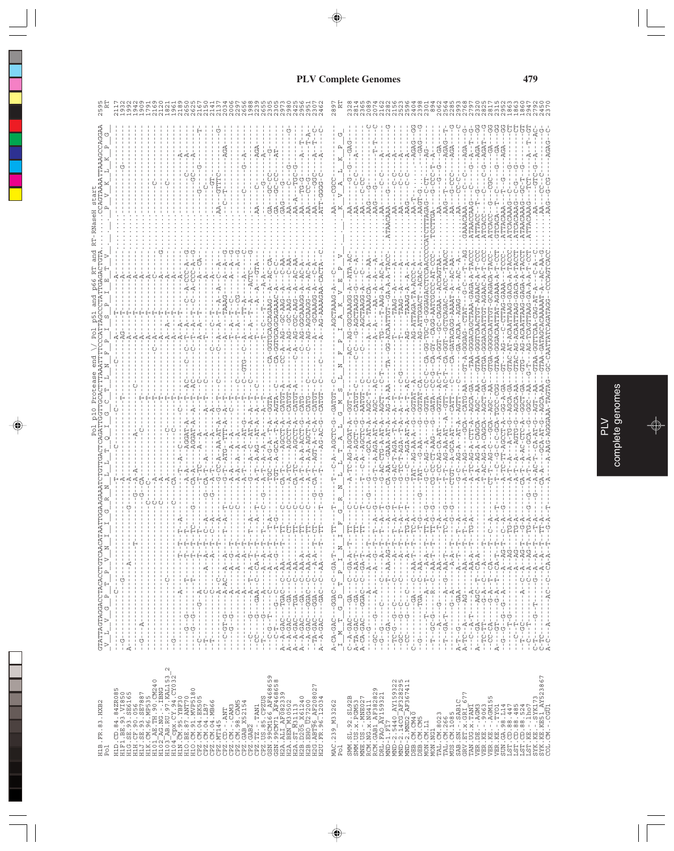| genomes |
|---------|
|         |
|         |
| ete     |
|         |
|         |
| comp    |
|         |
|         |
|         |
|         |

ā

| CAGGAZ                                                                                                                                                                      |                                                                                                                                                                                                                                                                                                                                                                                                                                                                                                                                                                                    |                                               |                                                                                           |                                                                                                |                                                                                                        |                                                       |        |                         |                                        |                                                                                                                               |                                                                                                                |                         |                                                                                |                                                       |                                                                                                                             |                       |                                                                            |               |                                                |                                                                                                                         |                |                |                                                                                                                                                                                                     |               |                                                                                                                            |                                                  |                                                                                                                                                                                                                                                                            |         |                        |                                                                              |                 |                            |                                                                                                                            |                                                                                                    |                                                                               |                                                               |                                                           |                    |                                                                 |                 |                                                                                                                        |                    |                     |              |                                                                                                                                                                                                                                                                                                                                                                                                                                          |                                                  |                                              |                                                                                                                                                                          |                                                |
|-----------------------------------------------------------------------------------------------------------------------------------------------------------------------------|------------------------------------------------------------------------------------------------------------------------------------------------------------------------------------------------------------------------------------------------------------------------------------------------------------------------------------------------------------------------------------------------------------------------------------------------------------------------------------------------------------------------------------------------------------------------------------|-----------------------------------------------|-------------------------------------------------------------------------------------------|------------------------------------------------------------------------------------------------|--------------------------------------------------------------------------------------------------------|-------------------------------------------------------|--------|-------------------------|----------------------------------------|-------------------------------------------------------------------------------------------------------------------------------|----------------------------------------------------------------------------------------------------------------|-------------------------|--------------------------------------------------------------------------------|-------------------------------------------------------|-----------------------------------------------------------------------------------------------------------------------------|-----------------------|----------------------------------------------------------------------------|---------------|------------------------------------------------|-------------------------------------------------------------------------------------------------------------------------|----------------|----------------|-----------------------------------------------------------------------------------------------------------------------------------------------------------------------------------------------------|---------------|----------------------------------------------------------------------------------------------------------------------------|--------------------------------------------------|----------------------------------------------------------------------------------------------------------------------------------------------------------------------------------------------------------------------------------------------------------------------------|---------|------------------------|------------------------------------------------------------------------------|-----------------|----------------------------|----------------------------------------------------------------------------------------------------------------------------|----------------------------------------------------------------------------------------------------|-------------------------------------------------------------------------------|---------------------------------------------------------------|-----------------------------------------------------------|--------------------|-----------------------------------------------------------------|-----------------|------------------------------------------------------------------------------------------------------------------------|--------------------|---------------------|--------------|------------------------------------------------------------------------------------------------------------------------------------------------------------------------------------------------------------------------------------------------------------------------------------------------------------------------------------------------------------------------------------------------------------------------------------------|--------------------------------------------------|----------------------------------------------|--------------------------------------------------------------------------------------------------------------------------------------------------------------------------|------------------------------------------------|
| $\simeq$                                                                                                                                                                    |                                                                                                                                                                                                                                                                                                                                                                                                                                                                                                                                                                                    |                                               | .<br>با                                                                                   |                                                                                                |                                                                                                        |                                                       |        |                         | 부                                      | $\overline{a}$<br>부부                                                                                                          | $-1$                                                                                                           | 부부                      |                                                                                | t                                                     | Ť<br>t                                                                                                                      | F<br>F                | ÷<br>÷                                                                     | ţ             | Ţ                                              |                                                                                                                         |                |                |                                                                                                                                                                                                     | $-1$          | z<br>$\mathbf{I}$                                                                                                          |                                                  | ÷<br>$\mathbf{I}$                                                                                                                                                                                                                                                          | ۲<br>با | 부부                     |                                                                              |                 | F<br>F                     | י<br>י                                                                                                                     |                                                                                                    | י<br>ד<br>부                                                                   |                                                               |                                                           |                    | $\frac{1}{2}$<br>Ī,                                             |                 |                                                                                                                        |                    |                     |              |                                                                                                                                                                                                                                                                                                                                                                                                                                          |                                                  |                                              |                                                                                                                                                                          |                                                |
| GTATTAGTAGCTACACCTGTCAACA<br>$\triangleright$<br>$\Delta_i$<br>$\vdash$<br>$\Delta$<br>U<br>$\triangleright$<br>$\Box$<br>$\triangleright$<br>. FR. 83. HXB2<br>H1B.<br>Pol | J.<br>$\mathbf{I}$<br>$\overline{\phantom{a}}$<br>ï<br>$\mathbb{I}$<br>$\frac{1}{\sqrt{2}}$<br>t<br>ن<br>¦<br>$\mathsf I$<br>ł<br>ţ.<br>$\mathbf{I}$<br>Ť<br>$\mathbb{I}$<br>$\mathbf{I}$<br>J.<br>$-1$<br>Ť<br>J.<br>$\mathbf{I}$<br>$\begin{small} \tt{H11}, \tt{CD}, \tt{84}, \tt{42R085} \\ \tt{H12}, \tt{125}, \tt{33}, \tt{VIB50} \\ \tt{H13}, \tt{125}, \tt{23}, \tt{VIB50} \\ \tt{H13}, \tt{125}, \tt{25}, \tt{125}, \tt{25}, \tt{125}, \tt{26}, \tt{16}, \tt{27}, \tt{28}, \tt{17}, \tt{28}, \tt{17}, \tt{28}, \tt{17}, \tt{29}, \tt{100}, \tt{100}, \tt{100}, \tt{100},$ | --A--<br>$\mathsf I$<br>$\mathbf{I}$<br>$A -$ | $\mathsf I$<br>$\frac{1}{1}$<br>$\mathsf I$<br>$\mathbf{I}$<br>$\mathbf I$<br>$\mathbf I$ | $\frac{1}{1}$<br>t<br>1<br>$\mathbf{I}$<br>Ì<br>- - - - - - - - - - - - - - -<br>$\frac{1}{1}$ | Ť.<br>$\mathbf I$<br>$\mathsf I$<br>ţ.<br>$\mathbf{I}$<br>$\frac{1}{1}$<br>$\,$<br>ţ.<br>$\frac{1}{2}$ | ÷<br>$\,$<br>Ť<br>$\mathbf{I}$<br>ł<br>ł<br>$\,$<br>Ť | ÷<br>먹 | ÷,<br>$-4$<br>$\,$ $\,$ | H--<br>$-1$<br>$-9 - 1$<br>ι<br>Ω<br>Τ | ------------<br>י<br>י<br>1<br>$-1$ - $-1$ - $-1$ - $-1$ - $-1$<br>Í<br>$-9 - 9 - -$<br>$\frac{1}{1}$<br>$\frac{1}{\sqrt{2}}$ | $- -A - -A$<br>$\frac{1}{4}$<br>$\frac{1}{1}$<br>$\,$ I<br>$\frac{1}{1}$<br>$\mathbf{I}$<br>$\frac{1}{1}$<br>부 | $-4$<br>$-1 - 1 -$<br>턱 | $-4 - 2 - 5$<br>$- - - - - - -$<br>$- -A - C$<br>$\mathbb{I}$<br>$-15 - 0 - -$ | ಲ<br>÷,<br>$- - A$<br>$----1$<br>ゥ<br>!<br>$-1$<br>J. | $- -A - -A$<br>$-2$<br>$- - - - - - - - -$<br>$---A---$<br>$\mathsf I$<br>$\,$ I<br>1<br>$\mathbf{I}$<br>٠<br>$\mathfrak l$ | $- - - - - - - - - -$ | $-CA-T$<br>$- - - - - - - - - - - - -$<br>$\frac{1}{4}$<br>$\ddot{\theta}$ | $\frac{1}{4}$ | $- -A - C$<br>$A - A - GAC - - TGAC - -C$<br>J | 2 - - - TGAC - - C - - AA - -<br>2 - - - - - GA - - - C - - AA - -<br>2 - - - - TGA - - - C - - AA - -<br>$A - A - GAC$ | $A - -A - GAC$ | $A - -A - GAC$ | - - -A - GAC - - - - -GA- - - - C - - -AA - A - - -<br>- - -A - GAC - - - -GGAC - - C - - -AA - A - - -<br>- - - -A - GAC - - - - GGA - - - C - - - AA - A - - -<br>$- - - - - - -$<br>$\mathbf{I}$ | $A - A - GAC$ | A-CA-GAC---UCD-----<br>$\vdash$<br>$\mathbf{a}$<br>$\vdash$<br>$\mathbb{H}$<br>$\geq$<br>MAC.239 M33262<br>Po <sub>1</sub> | $\begin{bmatrix} 1 \\ 0 \\ 0 \end{bmatrix}$<br>H | $- -C - C - C - A - A - T$<br>$\begin{aligned} C &=-A-GAC---GA---C--GA-B\\ A &=TA-GAC---GA--C--C--AA--T\\ A &=CA-GAC---GGAC---C--G-A\\ \end{aligned}$<br>SMM. SL. 92. SL92B<br>SMM. US. x. PCM53<br>NME. US. - MMB027<br>RCM. GAB1X. AF382829<br>RCM. CAB1X. RAO AY1592829 |         | $-4 - -A$<br>$-4 - -C$ | $---A---T$<br>$-PA - A + B - T$<br>ł<br>$-1$<br>$T\overline{T}$ .<br>$MND-1$ | $- - - - - - -$ | $---A---T$<br>$-100 - 100$ | $-4$<br>$\frac{1}{2}$<br>$\frac{1}{C}$<br>MND-2.5440 AY159322<br>MND-2.14CG AF328295<br>MND-2.MND2 AF328295<br>DEB.CM.CM40 | $-AA$<br>$---TGA---C$<br>ţ<br>$\mathbf{I}$<br>ŧ<br>$\frac{1}{\sqrt{2}}$<br>DEB.CM.CM5<br>MON.CM.L1 | $- - R - -C - - A + T$<br>$-1 - 1 - 1 - 1 - 1$<br>ţ<br>$\,$ I<br>٠<br>MON.NG1 | $-AA$ -<br>$\frac{1}{1}$<br>$\frac{1}{4}$<br>さー<br>$- -A - -$ | $---T---GA-T$<br>TAL.CM.8023<br>TAL.CM.266<br>MUS.CM.1085 | $\frac{1}{1}$<br>t | $-4 - 4 - 1$<br>$-AA-$<br>$- - 4759 - - - - - - - -$<br>$A - T$ | $- - A - A - T$ | $A -$<br>MUS. CM. 1085<br>GRB. SN. - CRET<br>GRB. SN. - CRET<br>TAN, UG. X. TANT<br>VER. DE. - AGNO<br>VER. KE. - AGNO | $---T - T - T - -$ | $-100 - 1$<br>$A -$ | $-1 - 5 - 1$ | $- -A - AG -$<br>$- -A - AG$<br>ł<br>İ<br>$T-G--$<br>Ì<br>-<br>$\begin{array}{l} \tt VER. \tt KE. - TVO1 \\ \tt SUM. \tt GA. 98. 1114 \\ \tt IST. \tt CD. 88. 447 \\ \tt IST. \tt CD. 89. 524 \\ \tt IST. \tt CD. 89. 524 \\ \tt IST. \tt CD. 89. 524 \\ \tt IST. \tt CE. -11.007 \\ \tt IST. \tt KE. -11.007 \\ \tt IST. \tt E. -11.007 \\ \tt IST. \tt E. -11.007 \\ \tt IST. \tt E. -11.007 \\ \tt IST. \tt E. -11.007 \\ \tt IST. \$ | $-4 - 2 - C$<br>$\frac{1}{2}$<br>$-1$<br>F<br>-- | U<br>I<br>Ť<br>Ť<br>÷<br>$\frac{1}{2}$<br>ΥŲ | ウーー<br>ţ<br>$- - \square - - \square - - -$<br>$\frac{1}{1}$<br>$C-T^2C -$<br>$\frac{1}{1}$<br>H<br>U<br>AY523867<br>SYK.KE.-.SYK173<br>SYK.KE.KES1 AY5<br>COL.CM.-.CGU1 | $-4C - C - C - C - C - C$<br>------<br>$A - C$ |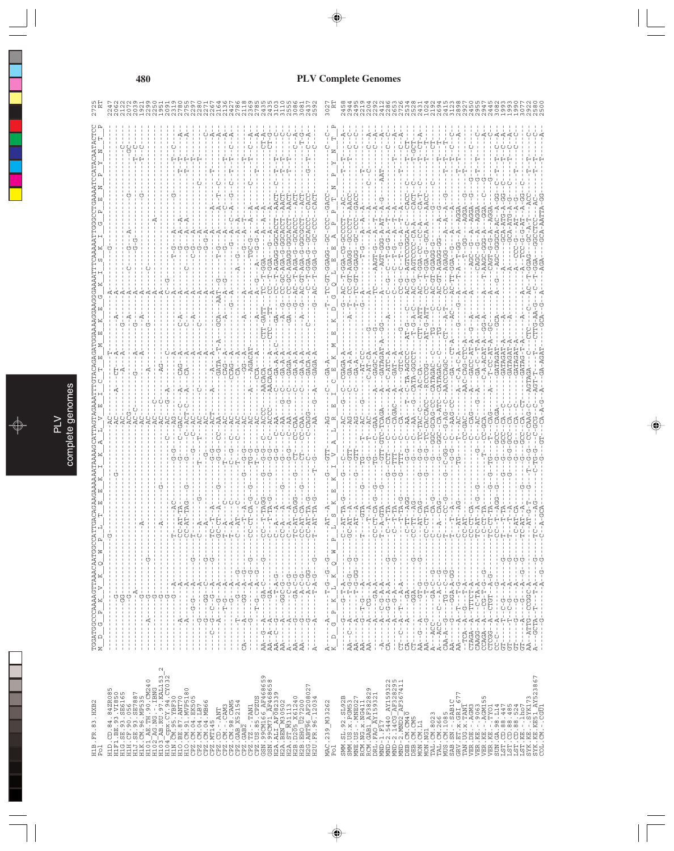|  | ř<br>ĭ |
|--|--------|
|  | í      |

| L.<br>I.<br>J.<br>Ť<br>$\,$<br>1                                                                                                                                                                                                                                                                                                                                |                                                                                       |    |  |  |  |  |
|-----------------------------------------------------------------------------------------------------------------------------------------------------------------------------------------------------------------------------------------------------------------------------------------------------------------------------------------------------------------|---------------------------------------------------------------------------------------|----|--|--|--|--|
| $\frac{1}{1}$<br>$\mathbf I$<br>$\mathsf I$                                                                                                                                                                                                                                                                                                                     | ÷<br>$\frac{1}{1}$                                                                    |    |  |  |  |  |
|                                                                                                                                                                                                                                                                                                                                                                 | $\frac{1}{4}$                                                                         |    |  |  |  |  |
| $\frac{1}{4}$<br>$\frac{1}{4}$<br>$\frac{1}{1}$                                                                                                                                                                                                                                                                                                                 | $\ddot{a}$                                                                            |    |  |  |  |  |
|                                                                                                                                                                                                                                                                                                                                                                 | $-5 -$<br>Ħ                                                                           |    |  |  |  |  |
| $\mathsf I$                                                                                                                                                                                                                                                                                                                                                     | Ť<br>$C - C$                                                                          |    |  |  |  |  |
| $\mathsf I$<br>$\,$ I<br>$\mathbf{I}$                                                                                                                                                                                                                                                                                                                           | $\mathbf{I}$<br>$\frac{c}{1}$                                                         |    |  |  |  |  |
| $\mathbf{I}$<br>$\mathbf{I}$<br>$\,$ $\,$<br>$\,$<br>$\,$ I<br>$\mathbf{I}$                                                                                                                                                                                                                                                                                     | $\,$<br>$\mathbf{I}$<br>$\mathbf{I}$<br>$\overline{\phantom{a}}$<br>じー<br>$\mathsf I$ |    |  |  |  |  |
| $\mathbf{I}$<br>$\mathbf{I}$                                                                                                                                                                                                                                                                                                                                    | -<br>$-4$<br>じー<br>$\mathsf I$                                                        |    |  |  |  |  |
| $\frac{1}{4}$<br>$----A$                                                                                                                                                                                                                                                                                                                                        | ÷<br>f,<br>t<br>$\frac{1}{1}$<br>$-4$<br>Î                                            |    |  |  |  |  |
| $----P-1$                                                                                                                                                                                                                                                                                                                                                       | $-4$                                                                                  |    |  |  |  |  |
| $\mathbb{I}$<br>ţ                                                                                                                                                                                                                                                                                                                                               | ÷<br>$-1$<br>ŧ<br>$- - A$<br>$-5 - 0 - 1$                                             |    |  |  |  |  |
| $\frac{1}{4}$<br>$-\frac{c}{1}$<br>٠                                                                                                                                                                                                                                                                                                                            | $-1$<br>f,<br>$\mathsf I$                                                             |    |  |  |  |  |
| $\frac{1}{2}$<br>ロー<br>$\overline{\phantom{a}}$<br>$\,$ I                                                                                                                                                                                                                                                                                                       | $\frac{1}{\sqrt{2}}$<br>$\overline{\phantom{a}}$<br>$-99 - -$                         |    |  |  |  |  |
| <b>ローレー</b>                                                                                                                                                                                                                                                                                                                                                     | $-5 -$<br>$\mathsf I$<br>$-1 - C - -C - -$                                            |    |  |  |  |  |
| $---A---$<br>$\mathbf{I}$                                                                                                                                                                                                                                                                                                                                       | J.<br>$- -5 - -2 -$                                                                   |    |  |  |  |  |
| $\mathbf{I}$<br>$\,$ I<br>$\mathbf{I}$                                                                                                                                                                                                                                                                                                                          | $-1$<br>$-1 - 0$                                                                      |    |  |  |  |  |
| $\mathsf I$<br>$\mathbf{I}$<br>I<br>$\mathbf{I}$<br>$\mathbf I$<br>$\,$                                                                                                                                                                                                                                                                                         | $\frac{1}{1}$<br>$-1$ - $-1$ - $-1$                                                   |    |  |  |  |  |
|                                                                                                                                                                                                                                                                                                                                                                 | $\blacksquare$<br>J.<br>$-9 - 7 - 7$                                                  |    |  |  |  |  |
|                                                                                                                                                                                                                                                                                                                                                                 |                                                                                       |    |  |  |  |  |
| $CA - - - - - + +$<br>$CA - - - - - + + - +$                                                                                                                                                                                                                                                                                                                    | $-5 - 1$                                                                              |    |  |  |  |  |
|                                                                                                                                                                                                                                                                                                                                                                 |                                                                                       |    |  |  |  |  |
| $\frac{1}{4}$<br>$\mathbf I$                                                                                                                                                                                                                                                                                                                                    | t<br>$\frac{1}{4}$<br>$\ddot{\circ}$                                                  |    |  |  |  |  |
| $\mathbf{I}$<br>$\overline{1}$<br>$A = A - A$<br>$A = B - A$<br>$A = C - A$<br>$A = C - A$<br>$A = C - A$<br>$A = C - A$<br>$A = C - A$<br>$A = C - A$<br>やさい<br>- - - - -<br>AA.                                                                                                                                                                               | $\frac{1}{\sqrt{2}}$<br>$\blacksquare$<br>$-45 - 0$                                   |    |  |  |  |  |
|                                                                                                                                                                                                                                                                                                                                                                 | $\,$ I<br>J.<br>$\overline{\phantom{a}}$<br>$---GA$                                   |    |  |  |  |  |
|                                                                                                                                                                                                                                                                                                                                                                 |                                                                                       |    |  |  |  |  |
| $_{\rm AA--}^{-1}$                                                                                                                                                                                                                                                                                                                                              | $\,$ I<br>$\frac{1}{4}$                                                               |    |  |  |  |  |
|                                                                                                                                                                                                                                                                                                                                                                 |                                                                                       |    |  |  |  |  |
|                                                                                                                                                                                                                                                                                                                                                                 | Ť<br><b>ひ‐ひ‐ひ‐‐‐‐‐</b>                                                                |    |  |  |  |  |
|                                                                                                                                                                                                                                                                                                                                                                 |                                                                                       |    |  |  |  |  |
| A-----<br>AA----<br>AA----                                                                                                                                                                                                                                                                                                                                      |                                                                                       |    |  |  |  |  |
|                                                                                                                                                                                                                                                                                                                                                                 | $\frac{1}{4}$<br>$\mathbf{I}$<br>$\frac{1}{4}$                                        |    |  |  |  |  |
| $\begin{array}{c} \rule{0.2cm}{0.15mm} \rule{0.2cm}{0.15mm} \rule{0.2cm}{0.15mm} \rule{0.2cm}{0.15mm} \rule{0.2cm}{0.15mm} \rule{0.2cm}{0.15mm} \rule{0.2cm}{0.15mm} \rule{0.2cm}{0.15mm} \rule{0.2cm}{0.15mm} \rule{0.2cm}{0.15mm} \rule{0.2cm}{0.15mm} \rule{0.2cm}{0.15mm} \rule{0.2cm}{0.15mm} \rule{0.2cm}{0.15mm} \rule{0.2cm}{0.15mm} \rule{$<br>J.<br>٠ | $\frac{1}{4}$<br>$\frac{1}{\mathcal{O}}$                                              |    |  |  |  |  |
| $A - -$                                                                                                                                                                                                                                                                                                                                                         | ÷,<br>$-1$                                                                            |    |  |  |  |  |
|                                                                                                                                                                                                                                                                                                                                                                 |                                                                                       |    |  |  |  |  |
| $\mathbf{I}$<br>$-4$<br>÷                                                                                                                                                                                                                                                                                                                                       | $-1 - 1 - -1 - -1 - -1$                                                               |    |  |  |  |  |
| $\mathbf{\Omega}$<br>$\Box$<br>$\mathbb{R}^{\times}$                                                                                                                                                                                                                                                                                                            | $\approx$<br>$\Box$<br>K                                                              |    |  |  |  |  |
| U                                                                                                                                                                                                                                                                                                                                                               | $\circ$<br>Χ                                                                          |    |  |  |  |  |
| $\mathsf I$<br>$\,$ $\,$                                                                                                                                                                                                                                                                                                                                        | $\frac{1}{1}$<br>1                                                                    |    |  |  |  |  |
| $C - C$                                                                                                                                                                                                                                                                                                                                                         | f,                                                                                    |    |  |  |  |  |
| AA<br>AA                                                                                                                                                                                                                                                                                                                                                        | $\ddot{a}$<br>$\ddot{b}$                                                              |    |  |  |  |  |
| ÷<br>$- - A$<br>ŧ                                                                                                                                                                                                                                                                                                                                               | f,<br>ひ‐‐ひひ‐ひ‐エー‐‐‐                                                                   |    |  |  |  |  |
|                                                                                                                                                                                                                                                                                                                                                                 | $\mathbf{I}$<br>$\frac{1}{1}$                                                         |    |  |  |  |  |
| $AA - -$                                                                                                                                                                                                                                                                                                                                                        | $\mathbf{I}$<br>j.<br>$- -A - -$                                                      |    |  |  |  |  |
|                                                                                                                                                                                                                                                                                                                                                                 |                                                                                       |    |  |  |  |  |
| -                                                                                                                                                                                                                                                                                                                                                               | $\blacksquare$<br>-<br>$\frac{1}{4}$<br>ŧ                                             |    |  |  |  |  |
| $-4$                                                                                                                                                                                                                                                                                                                                                            | $\mathbf{I}$                                                                          |    |  |  |  |  |
|                                                                                                                                                                                                                                                                                                                                                                 |                                                                                       |    |  |  |  |  |
| ŧ<br>F                                                                                                                                                                                                                                                                                                                                                          | $\,$ I<br>$-1 - -A - -G - -A - A - A$                                                 | J. |  |  |  |  |
|                                                                                                                                                                                                                                                                                                                                                                 |                                                                                       |    |  |  |  |  |
|                                                                                                                                                                                                                                                                                                                                                                 | $\frac{1}{1}$<br>$\frac{1}{1}$<br>$\,$ l                                              |    |  |  |  |  |
|                                                                                                                                                                                                                                                                                                                                                                 |                                                                                       |    |  |  |  |  |
|                                                                                                                                                                                                                                                                                                                                                                 | $\mathbf{I}$                                                                          |    |  |  |  |  |
|                                                                                                                                                                                                                                                                                                                                                                 | ن<br>۱<br>$\frac{1}{4}$                                                               |    |  |  |  |  |
|                                                                                                                                                                                                                                                                                                                                                                 | さー<br>J.<br>$\,$ $\,$                                                                 |    |  |  |  |  |
|                                                                                                                                                                                                                                                                                                                                                                 |                                                                                       |    |  |  |  |  |
|                                                                                                                                                                                                                                                                                                                                                                 | ŧ                                                                                     |    |  |  |  |  |
|                                                                                                                                                                                                                                                                                                                                                                 |                                                                                       |    |  |  |  |  |
|                                                                                                                                                                                                                                                                                                                                                                 |                                                                                       |    |  |  |  |  |
|                                                                                                                                                                                                                                                                                                                                                                 |                                                                                       |    |  |  |  |  |
|                                                                                                                                                                                                                                                                                                                                                                 |                                                                                       |    |  |  |  |  |
|                                                                                                                                                                                                                                                                                                                                                                 |                                                                                       |    |  |  |  |  |
|                                                                                                                                                                                                                                                                                                                                                                 |                                                                                       |    |  |  |  |  |
|                                                                                                                                                                                                                                                                                                                                                                 |                                                                                       |    |  |  |  |  |
|                                                                                                                                                                                                                                                                                                                                                                 |                                                                                       |    |  |  |  |  |
|                                                                                                                                                                                                                                                                                                                                                                 |                                                                                       |    |  |  |  |  |
|                                                                                                                                                                                                                                                                                                                                                                 |                                                                                       |    |  |  |  |  |
|                                                                                                                                                                                                                                                                                                                                                                 |                                                                                       |    |  |  |  |  |
|                                                                                                                                                                                                                                                                                                                                                                 |                                                                                       |    |  |  |  |  |
|                                                                                                                                                                                                                                                                                                                                                                 |                                                                                       |    |  |  |  |  |
|                                                                                                                                                                                                                                                                                                                                                                 | $\mathsf I$                                                                           |    |  |  |  |  |
|                                                                                                                                                                                                                                                                                                                                                                 |                                                                                       |    |  |  |  |  |
|                                                                                                                                                                                                                                                                                                                                                                 |                                                                                       |    |  |  |  |  |
|                                                                                                                                                                                                                                                                                                                                                                 |                                                                                       |    |  |  |  |  |
| $\begin{aligned} G(T &=-T-1-C-G-1-A-1-C-G-1-A-1-C-G-1-A-1-C-G-1-A-1-C-G-1-A-1-C-G-1-A-1-C-G-1-A-1-C-G-1-A-1-C-G-1-A-1-C-G-1-A-1-C-G-1-A-1-C-G-1-A-1-C-G-1-A-1-C-G-1-A-1-C-G-1-A-1-C-G-1-A-1-C-G-1-A-1-C-G-1-A-1-C-G-1-A-1-C-G-1-A-1-C-G-1-A-1-C-G-1-A-1-C-G-1-A-1-C-G-1-A-1-C-G-1-A-1-C-G-1-A-1-C-G-1-A-1-C-G-1-A-1-C-G-1-A-1-C-G-1-A$                          |                                                                                       |    |  |  |  |  |
|                                                                                                                                                                                                                                                                                                                                                                 |                                                                                       |    |  |  |  |  |
| $\frac{1}{4}$<br>f,<br>$-1.5$                                                                                                                                                                                                                                                                                                                                   | $-5 - -5 -$                                                                           |    |  |  |  |  |
| $-$ -ATTG                                                                                                                                                                                                                                                                                                                                                       |                                                                                       |    |  |  |  |  |
|                                                                                                                                                                                                                                                                                                                                                                 |                                                                                       |    |  |  |  |  |
| $-$ -GCTA<br>$\mathbb{A}^{\mathbb{A}}$                                                                                                                                                                                                                                                                                                                          | $\frac{1}{1}$<br>$3 - CCGGC - A - C - T - A$<br>$-1 - T - A$                          |    |  |  |  |  |
|                                                                                                                                                                                                                                                                                                                                                                 | ŧ<br>ローロー                                                                             |    |  |  |  |  |
|                                                                                                                                                                                                                                                                                                                                                                 |                                                                                       |    |  |  |  |  |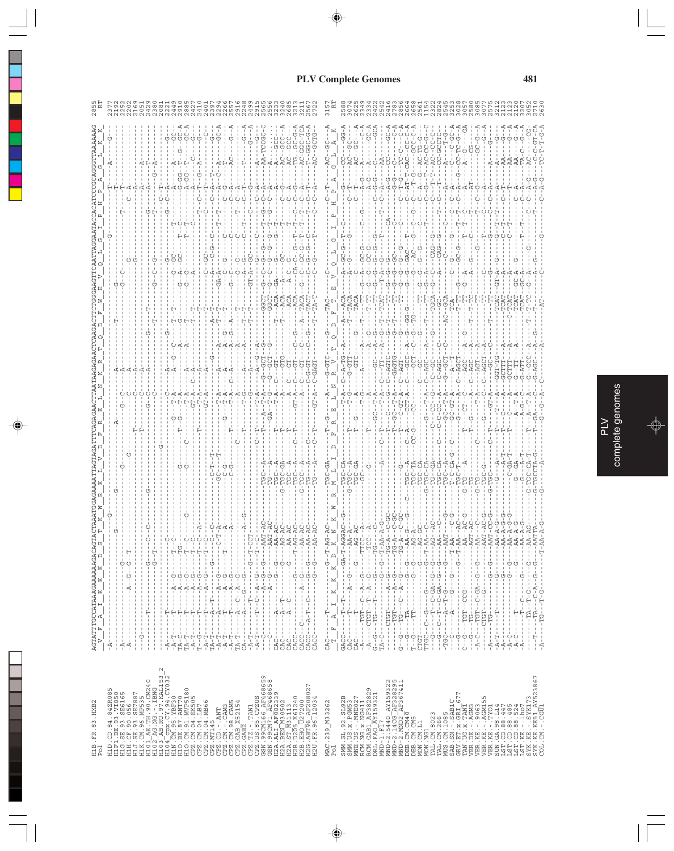|                                             |                                                              |                                                                                                                                      |                                                                          |                                                                                          |                                                                                                          |                                                                                                                 |              |           |                                                                                                                                                                                                                                                                                                                                                                                                                                    |  | . <del>.</del> |                                                              |                                                  |                              | ㅎiㅎㅎㅎ                        |     |                                       |                   |                                                        |                                              |                            |                          |                                               |                           |                                                                                                                                                                                                                                                                                                                                 |                               |                                     |                    |                                                                          |                            |                                                                |                                               |          |          |                                                                                                                                                                                                                                                                                                                                                                                                                                 |                           |                                                                                                                                                                                                                                                                                                                                                                                                                                                                               |  |    |                                                                                                            |                              |                                |  |                                    |                            |                                            |                                 |                                                                                                              |                           |                                                                     |                 |                                                                    |                                                                                      |                                        |                                                                    |                                              |                 |              |                                                          |
|---------------------------------------------|--------------------------------------------------------------|--------------------------------------------------------------------------------------------------------------------------------------|--------------------------------------------------------------------------|------------------------------------------------------------------------------------------|----------------------------------------------------------------------------------------------------------|-----------------------------------------------------------------------------------------------------------------|--------------|-----------|------------------------------------------------------------------------------------------------------------------------------------------------------------------------------------------------------------------------------------------------------------------------------------------------------------------------------------------------------------------------------------------------------------------------------------|--|----------------|--------------------------------------------------------------|--------------------------------------------------|------------------------------|------------------------------|-----|---------------------------------------|-------------------|--------------------------------------------------------|----------------------------------------------|----------------------------|--------------------------|-----------------------------------------------|---------------------------|---------------------------------------------------------------------------------------------------------------------------------------------------------------------------------------------------------------------------------------------------------------------------------------------------------------------------------|-------------------------------|-------------------------------------|--------------------|--------------------------------------------------------------------------|----------------------------|----------------------------------------------------------------|-----------------------------------------------|----------|----------|---------------------------------------------------------------------------------------------------------------------------------------------------------------------------------------------------------------------------------------------------------------------------------------------------------------------------------------------------------------------------------------------------------------------------------|---------------------------|-------------------------------------------------------------------------------------------------------------------------------------------------------------------------------------------------------------------------------------------------------------------------------------------------------------------------------------------------------------------------------------------------------------------------------------------------------------------------------|--|----|------------------------------------------------------------------------------------------------------------|------------------------------|--------------------------------|--|------------------------------------|----------------------------|--------------------------------------------|---------------------------------|--------------------------------------------------------------------------------------------------------------|---------------------------|---------------------------------------------------------------------|-----------------|--------------------------------------------------------------------|--------------------------------------------------------------------------------------|----------------------------------------|--------------------------------------------------------------------|----------------------------------------------|-----------------|--------------|----------------------------------------------------------|
|                                             |                                                              |                                                                                                                                      |                                                                          |                                                                                          |                                                                                                          |                                                                                                                 |              |           |                                                                                                                                                                                                                                                                                                                                                                                                                                    |  |                |                                                              |                                                  |                              |                              |     |                                       |                   |                                                        |                                              |                            |                          |                                               |                           |                                                                                                                                                                                                                                                                                                                                 |                               |                                     |                    |                                                                          |                            |                                                                |                                               |          |          |                                                                                                                                                                                                                                                                                                                                                                                                                                 |                           |                                                                                                                                                                                                                                                                                                                                                                                                                                                                               |  |    |                                                                                                            |                              |                                |  |                                    |                            |                                            |                                 |                                                                                                              |                           |                                                                     |                 |                                                                    |                                                                                      |                                        |                                                                    |                                              |                 |              |                                                          |
|                                             |                                                              |                                                                                                                                      |                                                                          |                                                                                          |                                                                                                          |                                                                                                                 |              |           |                                                                                                                                                                                                                                                                                                                                                                                                                                    |  |                |                                                              |                                                  |                              |                              |     |                                       |                   |                                                        |                                              |                            |                          |                                               |                           |                                                                                                                                                                                                                                                                                                                                 |                               |                                     |                    |                                                                          |                            |                                                                |                                               |          |          |                                                                                                                                                                                                                                                                                                                                                                                                                                 |                           |                                                                                                                                                                                                                                                                                                                                                                                                                                                                               |  |    |                                                                                                            |                              |                                |  |                                    |                            |                                            |                                 |                                                                                                              |                           |                                                                     |                 |                                                                    |                                                                                      |                                        |                                                                    |                                              |                 |              |                                                          |
|                                             |                                                              |                                                                                                                                      |                                                                          |                                                                                          |                                                                                                          |                                                                                                                 |              |           |                                                                                                                                                                                                                                                                                                                                                                                                                                    |  |                |                                                              |                                                  |                              |                              |     |                                       |                   |                                                        |                                              |                            |                          |                                               |                           |                                                                                                                                                                                                                                                                                                                                 |                               |                                     |                    |                                                                          |                            |                                                                |                                               |          |          |                                                                                                                                                                                                                                                                                                                                                                                                                                 |                           |                                                                                                                                                                                                                                                                                                                                                                                                                                                                               |  |    |                                                                                                            |                              |                                |  |                                    |                            |                                            |                                 |                                                                                                              |                           |                                                                     |                 |                                                                    |                                                                                      |                                        |                                                                    |                                              |                 |              |                                                          |
|                                             |                                                              |                                                                                                                                      |                                                                          |                                                                                          |                                                                                                          |                                                                                                                 |              |           |                                                                                                                                                                                                                                                                                                                                                                                                                                    |  |                |                                                              |                                                  |                              |                              |     |                                       |                   |                                                        |                                              |                            |                          |                                               |                           |                                                                                                                                                                                                                                                                                                                                 |                               |                                     |                    |                                                                          |                            |                                                                |                                               |          |          |                                                                                                                                                                                                                                                                                                                                                                                                                                 |                           |                                                                                                                                                                                                                                                                                                                                                                                                                                                                               |  |    |                                                                                                            |                              |                                |  |                                    |                            |                                            |                                 |                                                                                                              |                           |                                                                     |                 |                                                                    |                                                                                      |                                        |                                                                    |                                              |                 |              |                                                          |
|                                             |                                                              |                                                                                                                                      |                                                                          |                                                                                          |                                                                                                          |                                                                                                                 |              |           |                                                                                                                                                                                                                                                                                                                                                                                                                                    |  |                |                                                              |                                                  |                              |                              |     |                                       |                   |                                                        |                                              |                            |                          |                                               |                           |                                                                                                                                                                                                                                                                                                                                 |                               |                                     |                    |                                                                          |                            |                                                                |                                               |          |          |                                                                                                                                                                                                                                                                                                                                                                                                                                 |                           |                                                                                                                                                                                                                                                                                                                                                                                                                                                                               |  |    |                                                                                                            |                              |                                |  |                                    |                            |                                            |                                 |                                                                                                              |                           |                                                                     |                 |                                                                    |                                                                                      |                                        |                                                                    |                                              |                 |              |                                                          |
|                                             |                                                              |                                                                                                                                      |                                                                          |                                                                                          |                                                                                                          |                                                                                                                 |              |           |                                                                                                                                                                                                                                                                                                                                                                                                                                    |  |                |                                                              |                                                  |                              |                              |     |                                       |                   |                                                        |                                              |                            |                          |                                               |                           |                                                                                                                                                                                                                                                                                                                                 |                               |                                     |                    |                                                                          |                            |                                                                |                                               |          |          |                                                                                                                                                                                                                                                                                                                                                                                                                                 |                           |                                                                                                                                                                                                                                                                                                                                                                                                                                                                               |  |    |                                                                                                            |                              |                                |  |                                    |                            |                                            |                                 |                                                                                                              | К                         |                                                                     |                 |                                                                    | R                                                                                    | K,                                     | К                                                                  |                                              |                 |              |                                                          |
|                                             | $\mathsf I$<br>$\mathbf{I}$                                  | $\overline{1}$<br>턱<br>$-5 - 6 - 1$                                                                                                  | 1<br>$\mathbf{I}$                                                        | $\blacksquare$<br>$\mathbf I$<br>$\blacksquare$<br>$\mathbf{I}$<br>٠                     | $\mathbf{I}$<br>-                                                                                        | $\,$ l<br>$\blacksquare$                                                                                        |              |           |                                                                                                                                                                                                                                                                                                                                                                                                                                    |  |                | $\bigcup\limits_{i}$<br>I,<br>ı<br>J.<br>$\blacksquare$<br>ひ | $\mathbf{I}$<br>턱<br>$\,$ I<br>$\mathbf{I}$<br>ひ | $\mathbf{I}$<br>$\mathbf{I}$ | $\mathbf{I}$<br>$\mathbf{I}$ | - 1 | $-1 - 5 - 1 - 1 - 1$<br>$\frac{1}{1}$ | ÷<br>턱<br>$C - C$ | $-4$<br>$\begin{bmatrix} 1 & 1 \\ 1 & 1 \end{bmatrix}$ |                                              | $-1$<br>$\mathbf I$<br>ひひひ | $-4$<br>$-1$<br>f,       | $-4$<br>$\mathbf{I}$<br>$\mathbf{I}$          | $-4$<br>$\mathbf{I}$      | Ť<br>합니다                                                                                                                                                                                                                                                                                                                        | $-1 - T - A$<br>$\frac{c}{1}$ | $-4$<br>$\mathbf{I}$<br>$\mathsf I$ | $-4-6$<br>$-7-7-7$ | $-G - T - AC$<br>$V$ D K<br>$\mathbf{I}$<br>$\mathbf{I}$<br>$\mathbf{I}$ | Χ<br>×                     | $-GA-T- A$<br>$\overline{1}$<br>$\frac{1}{4}$                  | $- - - - A$<br>$\mathsf I$                    |          |          | $\ddot{\phi}$ $\ddot{\phi}$ $\ddot{\phi}$<br>$\ddot{\phi}$                                                                                                                                                                                                                                                                                                                                                                      |                           | $\begin{array}{r} \mathbf{AC} = \mathbf{AC} \\ \mathbf{AC} = \mathbf{AC} \\ \mathbf{AC} = \mathbf{AC} \\ \mathbf{AC} = \mathbf{AC} \\ \mathbf{AC} = \mathbf{AC} \\ \mathbf{AC} = \mathbf{AC} \\ \mathbf{AC} = \mathbf{AC} \\ \mathbf{AC} = \mathbf{AC} \\ \mathbf{AC} = \mathbf{AC} \\ \mathbf{AC} = \mathbf{AC} \\ \mathbf{AC} = \mathbf{AC} \\ \mathbf{AC} = \mathbf{AC} \\ \mathbf{AC} = \mathbf{AC} \\ \mathbf{AC} = \mathbf{AC} \\ \mathbf{AC} = \mathbf{AC} \\ \mathbf$ |  |    | 2년 - 1989년<br>3월 - 1989년 - 1989년 - 1989년<br>1989년 - 1989년 - 1989년 - 1989년<br>1989년 - 1989년 - 1989년 - 1989년 | $\frac{1}{4}$                | $\mathbf{I}$<br>$\blacksquare$ |  | $-1 - T - A$<br>$\mathbf{I}$<br>J. |                            | $-1 - 5 - 1 - 5 - 4$<br>$\mathbf{I}$<br>J. | $-4$<br>×.<br>t<br>$\mathbf{I}$ | К<br>Ť                                                                                                       | Ť<br>$\frac{1}{\sqrt{2}}$ | $\frac{1}{4}$<br>$\mathsf I$<br>$\blacksquare$<br>$\mathbf{I}$<br>ł | f,<br>$\,$ $\,$ | t<br>$\overline{1}$                                                | $\frac{1}{4}$<br>$\,$ I                                                              | Ť<br>$\,$ I<br>ひ<br>J.<br>$\mathbf{I}$ | J,<br>f,<br>$\begin{array}{c} 1 & 0 \\ - & 1 \\ 0 & 1 \end{array}$ | $-4$<br>$\mathsf I$<br>$\mathbf{I}$<br>じー    | $C - C$         |              | $- - A$<br>$-4$<br>$\mathbf I$<br>$C_1$                  |
|                                             | L.<br>٠<br>$\mathbf{I}$<br>$\mathbb{F}$<br>$\mathsf I$<br>÷, | $- - A - -$<br>$\blacksquare$<br>$\,$ $\,$<br>$\overline{\phantom{a}}$<br>$\mathbf{1}$<br>$\blacksquare$<br>$\,$ l<br>$\blacksquare$ | J.<br>п<br>$\mathbf{I}$<br>$\mathbf{I}$<br>$\mathbf{1}$<br>$\frac{1}{1}$ | $\mathbf{I}$<br>$\mathbf{I}$<br>$\mathsf I$<br>- 11<br>- 11<br>$\mathbf{I}$<br>$\,$<br>t | $\mathbf{I}$<br>$\overline{\phantom{0}}$<br>$\blacksquare$<br>$\overline{\phantom{a}}$<br>$\blacksquare$ | $\overline{\phantom{a}}$<br>$\mathbf{I}$<br>٠<br>J.<br>$\mathbf{I}$<br>٠<br>$\,$ $\,$<br>$\,$ 1<br>$\mathbf{I}$ | $\mathbf{I}$ |           | $\begin{array}{l} \mathbb{P}_{1}=\mathbb{P}_{2}=\mathbb{P}_{3}=\mathbb{P}_{4}=\mathbb{P}_{5}=\mathbb{P}_{6}=\mathbb{P}_{7}=\mathbb{P}_{7}=\mathbb{P}_{7}=\mathbb{P}_{7}=\mathbb{P}_{7}=\mathbb{P}_{7}=\mathbb{P}_{7}=\mathbb{P}_{7}=\mathbb{P}_{7}=\mathbb{P}_{7}=\mathbb{P}_{7}=\mathbb{P}_{7}=\mathbb{P}_{7}=\mathbb{P}_{7}=\mathbb{P}_{7}=\mathbb{P}_{7}=\mathbb{P}_{7}=\mathbb{P}_{7}=\mathbb{P}_{7}=\mathbb{P}_{7}=\mathbb{P$ |  |                |                                                              |                                                  | - - A - -                    |                              |     | $\frac{1}{1}$                         | $\frac{1}{2}$     | $\frac{1}{4}$                                          | J,<br>$\overline{1}$<br>- 1<br>$\frac{1}{4}$ | J.                         | 1<br>J.<br>$\frac{1}{4}$ | $\mathbf I$<br>$\,$ $\,$<br>$\mathbf{I}$<br>÷ | $\,$ $\,$<br>$\mathbf{I}$ | $\frac{1}{4}$                                                                                                                                                                                                                                                                                                                   | J.<br>٠<br>$\blacksquare$     |                                     |                    | $\mathbf{I}$<br>$\mathbf{I}$<br>$\frac{1}{\sqrt{2}}$                     | Χ<br>$\mapsto$<br>$\Delta$ | 1<br>÷<br>$-\mathbf{T}+\mathbf{T}+\mathbf{T}$<br>$\frac{1}{1}$ | $- -1 - - - - - - - - - - - - - - - - -$<br>Ť | 무--<br>Ť |          | $\begin{array}{l} \mathbf{A} \, \text{--} \, \text{--} \, \text{--} \, \text{--} \, \text{--} \, \text{--} \, \text{--} \, \text{--} \, \text{--} \, \text{--} \, \text{--} \, \text{--} \, \text{--} \, \text{--} \, \text{--} \, \text{--} \, \text{--} \, \text{--} \, \text{--} \, \text{--} \, \text{--} \, \text{--} \, \text{--} \, \text{--} \, \text{--} \, \text{--} \, \text{--} \, \text{--} \, \text{--} \, \text$ |                           | 9T - - - - - - A - - C<br>9T - - - - - - A - - C<br>9 - - A - - C                                                                                                                                                                                                                                                                                                                                                                                                             |  | ł. | $\mathbf{I}$<br>$\mathbf{I}$                                                                               | $\mathbf{I}$<br>$\mathbf{I}$ | $\frac{1}{\sqrt{2}}$           |  |                                    | J.<br>$\mathbf{I}$<br>$\,$ | $\,$ I                                     |                                 | $\begin{array}{l} C--G--TGT--CCG--\\ ----G--T-G------\\ ----G--G--TGT--CCG-\\ --A-C--TGT--C-TGA \end{array}$ | -- TGT-- - TGA--          | やーー                                                                 | ÷               | $\overline{\phantom{a}}$<br>$\,$<br>$\frac{1}{1}$<br>$\frac{1}{2}$ | ÷<br>$\mathbf{I}$<br>$\mathbf{I}$<br>$\mathbb{I}$<br>$\,$ I<br>÷                     | $\blacksquare$<br>$\blacksquare$<br>÷  | $\frac{1}{\sqrt{2}}$<br>$\,$ l                                     | $\mathbf{I}$<br>$\frac{1}{1}$<br>۲<br>-<br>I | $-TA - T - G -$ | $\mathbf{I}$ | $-TA---C-A--G$                                           |
| $\mathsf I$<br>$-4$<br>$\blacksquare$<br>л. |                                                              | $\overline{\phantom{a}}$<br>$- A - - -$                                                                                              | Ţ<br>$\begin{array}{c} \hline \end{array}$<br>J.                         | ロー                                                                                       | -<br>L.<br>$\overline{\phantom{a}}$                                                                      | $\mathbf{I}$<br>$\,$ 1<br>$\frac{1}{4}$<br>- 1<br>$\mathbf{I}$                                                  | $-4$         | $- A - T$ | בלים<br>לקלים לא לא היה<br>לקלים לקלים                                                                                                                                                                                                                                                                                                                                                                                             |  |                |                                                              |                                                  |                              | בבינים<br>תלוקת<br>בלוחות    |     |                                       |                   |                                                        | $\begin{array}{c}\n0 \\ 1\n\end{array}$      |                            |                          |                                               |                           | $\begin{bmatrix} 1 & 1 & 1 & 1 \\ 1 & 1 & 1 & 1 \\ 1 & 1 & 1 & 1 \\ 1 & 1 & 1 & 1 \\ 1 & 1 & 1 & 1 \\ 1 & 1 & 1 & 1 \\ 1 & 1 & 1 & 1 \\ 1 & 1 & 1 & 1 \\ 1 & 1 & 1 & 1 \\ 1 & 1 & 1 & 1 \\ 1 & 1 & 1 & 1 \\ 1 & 1 & 1 & 1 \\ 1 & 1 & 1 & 1 \\ 1 & 1 & 1 & 1 \\ 1 & 1 & 1 & 1 & 1 \\ 1 & 1 & 1 & 1 & 1 \\ 1 & 1 & 1 & 1 & 1 \\ $ | $\blacksquare$                |                                     |                    | CAC-                                                                     | $\mathbb{E}_4$             | $\mathsf I$                                                    | $\mathfrak l$                                 |          | $-A$ - - | $-4 -$                                                                                                                                                                                                                                                                                                                                                                                                                          | ÷<br>-- 0<br>-- 4<br>-- 4 |                                                                                                                                                                                                                                                                                                                                                                                                                                                                               |  |    |                                                                                                            |                              |                                |  |                                    |                            |                                            |                                 |                                                                                                              |                           | $\frac{1}{1}$                                                       | $-A -$          |                                                                    | $A + C$<br>$A + C$<br>$A + C$<br>$A + C$<br>$A + C$<br>$A + C$<br>$A + C$<br>$A + C$ |                                        | $\overline{\phantom{a}}$                                           | J.                                           |                 | ٠<br>J.      | $\mathbb{I}$                                             |
|                                             |                                                              |                                                                                                                                      |                                                                          |                                                                                          |                                                                                                          | $\sim$                                                                                                          |              |           |                                                                                                                                                                                                                                                                                                                                                                                                                                    |  |                |                                                              |                                                  |                              |                              |     |                                       |                   |                                                        |                                              |                            |                          |                                               |                           |                                                                                                                                                                                                                                                                                                                                 |                               |                                     |                    |                                                                          |                            |                                                                |                                               |          |          |                                                                                                                                                                                                                                                                                                                                                                                                                                 |                           | $\sim$ $\sim$ $\sim$<br>$\begin{array}{l} \texttt{SMM}, \texttt{S1}, \texttt{92}, \texttt{S192B} \\ \texttt{MMM}, \texttt{US} \texttt{33}, \texttt{23}, \texttt{150053} \\ \texttt{ROM}, \texttt{NS}, \texttt{23}, \texttt{150057} \\ \texttt{RCM}, \texttt{NS}, \texttt{2301} \\ \texttt{RCM}, \texttt{G2AB1}, \texttt{AFB32829} \\ \texttt{MMD} - 1, \texttt{FT} \\ \texttt{MMD} - 2, \texttt{5440}, \texttt{ANT159323} \\ \texttt{MMD$                                     |  |    |                                                                                                            |                              |                                |  |                                    |                            |                                            |                                 |                                                                                                              |                           |                                                                     |                 |                                                                    |                                                                                      |                                        |                                                                    |                                              |                 |              | SYK.KE.-.SYK173<br>SYK.KE.KES1 AY523867<br>COL.CM.-.CGU1 |
|                                             |                                                              |                                                                                                                                      |                                                                          |                                                                                          |                                                                                                          |                                                                                                                 |              |           |                                                                                                                                                                                                                                                                                                                                                                                                                                    |  |                |                                                              |                                                  |                              |                              |     |                                       |                   |                                                        |                                              |                            |                          |                                               |                           |                                                                                                                                                                                                                                                                                                                                 |                               |                                     |                    | M33262<br>MAC.239_1<br>Pol                                               |                            |                                                                |                                               |          |          |                                                                                                                                                                                                                                                                                                                                                                                                                                 |                           |                                                                                                                                                                                                                                                                                                                                                                                                                                                                               |  |    |                                                                                                            |                              |                                |  |                                    |                            |                                            |                                 |                                                                                                              |                           |                                                                     |                 |                                                                    |                                                                                      |                                        |                                                                    |                                              |                 |              |                                                          |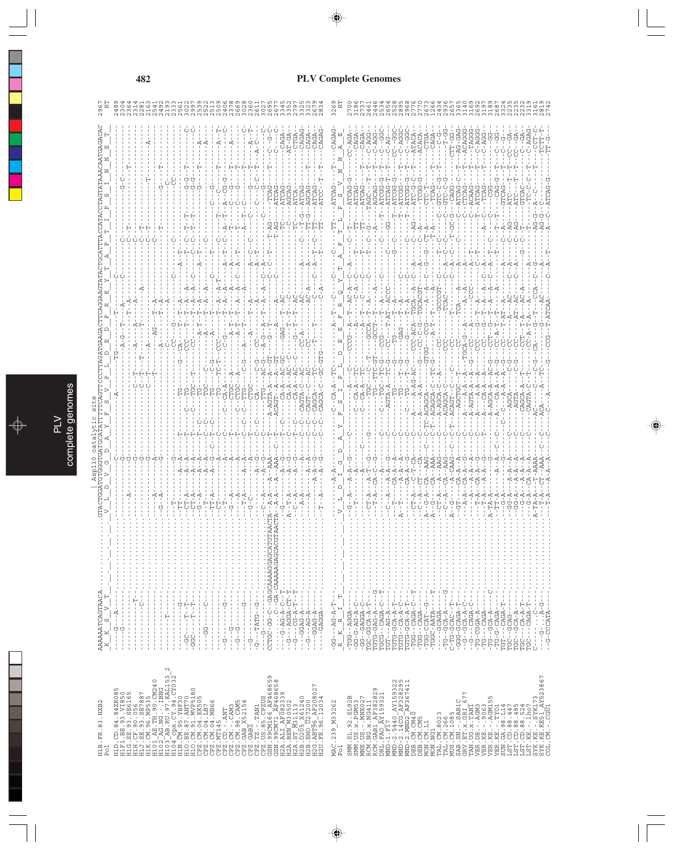| i<br>ŕ. |
|---------|
| J       |
| ŕ       |
|         |

g

| H1B. FR. 83. HXB2                                                                                                                                                                                                                                                                                                                                                                                                  | AAAAAATCAGTAACA                                                                                                                                                                                                                                                                                                                                                                                                                                                                                                            |                                                                                                         |                                                                                                     |                                                                        |  |  |     |                                                |  |
|--------------------------------------------------------------------------------------------------------------------------------------------------------------------------------------------------------------------------------------------------------------------------------------------------------------------------------------------------------------------------------------------------------------------|----------------------------------------------------------------------------------------------------------------------------------------------------------------------------------------------------------------------------------------------------------------------------------------------------------------------------------------------------------------------------------------------------------------------------------------------------------------------------------------------------------------------------|---------------------------------------------------------------------------------------------------------|-----------------------------------------------------------------------------------------------------|------------------------------------------------------------------------|--|--|-----|------------------------------------------------|--|
| Pol                                                                                                                                                                                                                                                                                                                                                                                                                | Н<br>$\triangleright$<br>C)<br>×<br>×                                                                                                                                                                                                                                                                                                                                                                                                                                                                                      |                                                                                                         |                                                                                                     |                                                                        |  |  |     |                                                |  |
| $\begin{array}{l} \rm HD: \; CD: \; 84.3R0085\\ \rm H1G: \; B1:93,171850\\ \rm H1G: \; B1:93.371850\\ \rm H1H: \; CF: \; 90.05656\\ \rm H1H: \; CF: \; 90.0567\\ \rm H1H: \; CF: \; 90.0567\\ \rm H1H: \; CF: \; 90.0567\\ \rm H1H: \; 90.0567\\ \rm H1H: \; 90.0567\\ \rm H1H: \; 90.0567\\ \rm H1H: \; $                                                                                                         | $-1$<br>t                                                                                                                                                                                                                                                                                                                                                                                                                                                                                                                  |                                                                                                         |                                                                                                     |                                                                        |  |  |     |                                                |  |
|                                                                                                                                                                                                                                                                                                                                                                                                                    |                                                                                                                                                                                                                                                                                                                                                                                                                                                                                                                            |                                                                                                         |                                                                                                     |                                                                        |  |  |     |                                                |  |
|                                                                                                                                                                                                                                                                                                                                                                                                                    |                                                                                                                                                                                                                                                                                                                                                                                                                                                                                                                            |                                                                                                         |                                                                                                     |                                                                        |  |  |     |                                                |  |
|                                                                                                                                                                                                                                                                                                                                                                                                                    |                                                                                                                                                                                                                                                                                                                                                                                                                                                                                                                            |                                                                                                         |                                                                                                     |                                                                        |  |  |     |                                                |  |
|                                                                                                                                                                                                                                                                                                                                                                                                                    |                                                                                                                                                                                                                                                                                                                                                                                                                                                                                                                            |                                                                                                         |                                                                                                     |                                                                        |  |  |     |                                                |  |
|                                                                                                                                                                                                                                                                                                                                                                                                                    |                                                                                                                                                                                                                                                                                                                                                                                                                                                                                                                            |                                                                                                         |                                                                                                     |                                                                        |  |  |     |                                                |  |
| $\mathcal{Q}$                                                                                                                                                                                                                                                                                                                                                                                                      |                                                                                                                                                                                                                                                                                                                                                                                                                                                                                                                            |                                                                                                         |                                                                                                     |                                                                        |  |  |     |                                                |  |
|                                                                                                                                                                                                                                                                                                                                                                                                                    | .<br>$\mathbf{1}$                                                                                                                                                                                                                                                                                                                                                                                                                                                                                                          |                                                                                                         |                                                                                                     |                                                                        |  |  |     |                                                |  |
|                                                                                                                                                                                                                                                                                                                                                                                                                    |                                                                                                                                                                                                                                                                                                                                                                                                                                                                                                                            |                                                                                                         |                                                                                                     |                                                                        |  |  |     |                                                |  |
|                                                                                                                                                                                                                                                                                                                                                                                                                    |                                                                                                                                                                                                                                                                                                                                                                                                                                                                                                                            |                                                                                                         |                                                                                                     |                                                                        |  |  | ひひり |                                                |  |
|                                                                                                                                                                                                                                                                                                                                                                                                                    |                                                                                                                                                                                                                                                                                                                                                                                                                                                                                                                            |                                                                                                         |                                                                                                     |                                                                        |  |  |     |                                                |  |
|                                                                                                                                                                                                                                                                                                                                                                                                                    |                                                                                                                                                                                                                                                                                                                                                                                                                                                                                                                            |                                                                                                         |                                                                                                     |                                                                        |  |  |     |                                                |  |
|                                                                                                                                                                                                                                                                                                                                                                                                                    | $\begin{aligned} \frac{1}{2} \left( \frac{1}{2} \left( \frac{1}{2} \right) + \frac{1}{2} \left( \frac{1}{2} \right) + \frac{1}{2} \left( \frac{1}{2} \right) + \frac{1}{2} \left( \frac{1}{2} \right) + \frac{1}{2} \left( \frac{1}{2} \right) \right) \\ \frac{1}{2} \left( \frac{1}{2} \left( \frac{1}{2} \right) + \frac{1}{2} \left( \frac{1}{2} \right) + \frac{1}{2} \left( \frac{1}{2} \right) + \frac{1}{2} \left( \frac{1}{2} \right) + \frac{$<br>$\mathsf I$<br>1<br>$\mathsf I$<br>٠                           |                                                                                                         |                                                                                                     |                                                                        |  |  |     |                                                |  |
|                                                                                                                                                                                                                                                                                                                                                                                                                    | Ì<br>$\mathbf{I}$<br>٠<br>$\mathbf{I}$                                                                                                                                                                                                                                                                                                                                                                                                                                                                                     |                                                                                                         |                                                                                                     |                                                                        |  |  |     |                                                |  |
|                                                                                                                                                                                                                                                                                                                                                                                                                    | ロー<br>$-5 -$<br>J.                                                                                                                                                                                                                                                                                                                                                                                                                                                                                                         |                                                                                                         |                                                                                                     |                                                                        |  |  |     |                                                |  |
|                                                                                                                                                                                                                                                                                                                                                                                                                    | ローロー                                                                                                                                                                                                                                                                                                                                                                                                                                                                                                                       |                                                                                                         |                                                                                                     |                                                                        |  |  |     |                                                |  |
|                                                                                                                                                                                                                                                                                                                                                                                                                    | $\overline{1}$                                                                                                                                                                                                                                                                                                                                                                                                                                                                                                             |                                                                                                         |                                                                                                     |                                                                        |  |  |     |                                                |  |
|                                                                                                                                                                                                                                                                                                                                                                                                                    | $\begin{aligned} \frac{1}{2} \left( \frac{1}{2} \left( \frac{1}{2} \right) + \frac{1}{2} \left( \frac{1}{2} \right) + \frac{1}{2} \left( \frac{1}{2} \right) + \frac{1}{2} \left( \frac{1}{2} \right) + \frac{1}{2} \left( \frac{1}{2} \right) \right) \\ \frac{1}{2} \left( \frac{1}{2} \left( \frac{1}{2} \right) + \frac{1}{2} \left( \frac{1}{2} \right) + \frac{1}{2} \left( \frac{1}{2} \right) + \frac{1}{2} \left( \frac{1}{2} \right) + \frac{$<br>$-G - -12T - -12T - -1$<br>$\overline{1}$<br>$\,$ $\,$<br>$-1$ |                                                                                                         |                                                                                                     |                                                                        |  |  |     |                                                |  |
|                                                                                                                                                                                                                                                                                                                                                                                                                    | $\frac{1}{2}$                                                                                                                                                                                                                                                                                                                                                                                                                                                                                                              |                                                                                                         |                                                                                                     |                                                                        |  |  |     |                                                |  |
|                                                                                                                                                                                                                                                                                                                                                                                                                    |                                                                                                                                                                                                                                                                                                                                                                                                                                                                                                                            |                                                                                                         |                                                                                                     |                                                                        |  |  |     |                                                |  |
|                                                                                                                                                                                                                                                                                                                                                                                                                    |                                                                                                                                                                                                                                                                                                                                                                                                                                                                                                                            |                                                                                                         |                                                                                                     |                                                                        |  |  |     |                                                |  |
|                                                                                                                                                                                                                                                                                                                                                                                                                    |                                                                                                                                                                                                                                                                                                                                                                                                                                                                                                                            |                                                                                                         |                                                                                                     |                                                                        |  |  |     |                                                |  |
| H2A.BEN M30502                                                                                                                                                                                                                                                                                                                                                                                                     |                                                                                                                                                                                                                                                                                                                                                                                                                                                                                                                            |                                                                                                         |                                                                                                     |                                                                        |  |  |     |                                                |  |
|                                                                                                                                                                                                                                                                                                                                                                                                                    |                                                                                                                                                                                                                                                                                                                                                                                                                                                                                                                            |                                                                                                         |                                                                                                     |                                                                        |  |  |     |                                                |  |
|                                                                                                                                                                                                                                                                                                                                                                                                                    |                                                                                                                                                                                                                                                                                                                                                                                                                                                                                                                            |                                                                                                         |                                                                                                     |                                                                        |  |  |     |                                                |  |
|                                                                                                                                                                                                                                                                                                                                                                                                                    |                                                                                                                                                                                                                                                                                                                                                                                                                                                                                                                            |                                                                                                         |                                                                                                     |                                                                        |  |  |     |                                                |  |
| $\rm{H2A. S}^T \overline{\rm{M31113}}^{\rm{1113}}$<br>$\rm{H2B. D205}^{\rm{1113}}$ $\rm{X61240}^{\rm{1113}}$<br>$\rm{H2B. B}^{\rm{112}} \overline{\rm{M31230}}^{\rm{1113}}$<br>$\rm{H20. B}^{\rm{1123}} \overline{\rm{M3200}}^{\rm{1123}}$<br>$\rm{H201. FR. 96-12034}^{\rm{1123}}$                                                                                                                                |                                                                                                                                                                                                                                                                                                                                                                                                                                                                                                                            |                                                                                                         |                                                                                                     |                                                                        |  |  |     |                                                |  |
|                                                                                                                                                                                                                                                                                                                                                                                                                    |                                                                                                                                                                                                                                                                                                                                                                                                                                                                                                                            |                                                                                                         |                                                                                                     |                                                                        |  |  |     |                                                |  |
| MAC.239 M33262                                                                                                                                                                                                                                                                                                                                                                                                     | ÷.<br>$\vdash$                                                                                                                                                                                                                                                                                                                                                                                                                                                                                                             |                                                                                                         |                                                                                                     |                                                                        |  |  |     |                                                |  |
| Po <sub>1</sub>                                                                                                                                                                                                                                                                                                                                                                                                    |                                                                                                                                                                                                                                                                                                                                                                                                                                                                                                                            |                                                                                                         |                                                                                                     |                                                                        |  |  |     |                                                |  |
| SMM. SL. 92. SL92B<br>SMM. US. x. PGM53<br>MNE. US. - . MNE027                                                                                                                                                                                                                                                                                                                                                     | - 1994 - 1998 - 1999 - 1999 - 1999 - 1999 - 1999 - 1999 - 1999 - 1999 - 1999 - 1999 - 1999 - 1999 - 1999 - 19                                                                                                                                                                                                                                                                                                                                                                                                              |                                                                                                         |                                                                                                     |                                                                        |  |  |     |                                                |  |
|                                                                                                                                                                                                                                                                                                                                                                                                                    | U-40040--00-                                                                                                                                                                                                                                                                                                                                                                                                                                                                                                               |                                                                                                         |                                                                                                     |                                                                        |  |  |     |                                                |  |
|                                                                                                                                                                                                                                                                                                                                                                                                                    | .                                                                                                                                                                                                                                                                                                                                                                                                                                                                                                                          |                                                                                                         |                                                                                                     |                                                                        |  |  |     |                                                |  |
| $\begin{array}{l} \text{RCH}^1 \text{ NG} \times \text{NG411} \\ \text{RCH}^1 \text{ (BCH)}^1 \text{ (BCH)}^1 \\ \text{DRM} \text{ (BCH)}^1 \text{ (BCH)}^2 \\ \text{MMD} \text{-} \text{ 1-F1} \\ \text{MMD} \text{-} \text{ 2 - 5440} \text{ (AY159321)} \\ \text{MMD} \text{-} \text{ 2 - 5440} \\ \text{MMD} \text{-} \text{ 2 - 540} \\ \text{DEB} \text{ (CW)} \text{ (CME)}^2 \\ \text{DBB} \text{ (CW)} \$ | $-1$<br>TGTG-GAG-A--                                                                                                                                                                                                                                                                                                                                                                                                                                                                                                       |                                                                                                         |                                                                                                     |                                                                        |  |  |     |                                                |  |
|                                                                                                                                                                                                                                                                                                                                                                                                                    |                                                                                                                                                                                                                                                                                                                                                                                                                                                                                                                            |                                                                                                         |                                                                                                     |                                                                        |  |  |     | ּפְשָׁפְשָׁפָ<br>  תַּיְתַּיִת<br>  הַחֲהַיִּה |  |
|                                                                                                                                                                                                                                                                                                                                                                                                                    |                                                                                                                                                                                                                                                                                                                                                                                                                                                                                                                            |                                                                                                         |                                                                                                     |                                                                        |  |  |     |                                                |  |
|                                                                                                                                                                                                                                                                                                                                                                                                                    |                                                                                                                                                                                                                                                                                                                                                                                                                                                                                                                            |                                                                                                         |                                                                                                     |                                                                        |  |  |     |                                                |  |
|                                                                                                                                                                                                                                                                                                                                                                                                                    | $\frac{1}{2}$ , $\frac{1}{2}$ , $\frac{1}{2}$ , $\frac{1}{2}$ , $\frac{1}{2}$ , $\frac{1}{2}$ , $\frac{1}{2}$ , $\frac{1}{2}$ , $\frac{1}{2}$ , $\frac{1}{2}$                                                                                                                                                                                                                                                                                                                                                              |                                                                                                         |                                                                                                     |                                                                        |  |  |     |                                                |  |
|                                                                                                                                                                                                                                                                                                                                                                                                                    | $\frac{1}{2}$<br>$-794 - 794 - 794 - 7$                                                                                                                                                                                                                                                                                                                                                                                                                                                                                    |                                                                                                         |                                                                                                     |                                                                        |  |  |     |                                                |  |
|                                                                                                                                                                                                                                                                                                                                                                                                                    | $-TCG-G - CAGA - -$                                                                                                                                                                                                                                                                                                                                                                                                                                                                                                        |                                                                                                         |                                                                                                     |                                                                        |  |  |     |                                                |  |
|                                                                                                                                                                                                                                                                                                                                                                                                                    |                                                                                                                                                                                                                                                                                                                                                                                                                                                                                                                            |                                                                                                         |                                                                                                     |                                                                        |  |  |     |                                                |  |
|                                                                                                                                                                                                                                                                                                                                                                                                                    | - TGG - -CAGA - - - - -<br>- TGG - CCAT - - G - -<br>- TGG - AATA - - - - T<br>- - - - - - GCAGA - - - -                                                                                                                                                                                                                                                                                                                                                                                                                   |                                                                                                         |                                                                                                     |                                                                        |  |  |     |                                                |  |
|                                                                                                                                                                                                                                                                                                                                                                                                                    |                                                                                                                                                                                                                                                                                                                                                                                                                                                                                                                            |                                                                                                         |                                                                                                     |                                                                        |  |  |     |                                                |  |
|                                                                                                                                                                                                                                                                                                                                                                                                                    | $-5 - 1$<br>$-TG$ - A - - - - - -                                                                                                                                                                                                                                                                                                                                                                                                                                                                                          |                                                                                                         |                                                                                                     |                                                                        |  |  |     |                                                |  |
|                                                                                                                                                                                                                                                                                                                                                                                                                    | C-TG-GCAC--T-----                                                                                                                                                                                                                                                                                                                                                                                                                                                                                                          |                                                                                                         |                                                                                                     | - ACAGCA - (<br>- ACAGT - - (CTGC)<br>- - - - ACCTGC<br>- A - ACTA - 2 |  |  |     |                                                |  |
|                                                                                                                                                                                                                                                                                                                                                                                                                    |                                                                                                                                                                                                                                                                                                                                                                                                                                                                                                                            |                                                                                                         |                                                                                                     |                                                                        |  |  |     |                                                |  |
|                                                                                                                                                                                                                                                                                                                                                                                                                    |                                                                                                                                                                                                                                                                                                                                                                                                                                                                                                                            |                                                                                                         |                                                                                                     |                                                                        |  |  |     |                                                |  |
|                                                                                                                                                                                                                                                                                                                                                                                                                    | Ť                                                                                                                                                                                                                                                                                                                                                                                                                                                                                                                          |                                                                                                         |                                                                                                     |                                                                        |  |  |     |                                                |  |
|                                                                                                                                                                                                                                                                                                                                                                                                                    | $-1 - 1 - 1 - 0 = 0$                                                                                                                                                                                                                                                                                                                                                                                                                                                                                                       | $\begin{array}{c}\n\ddot{\vec{r}} - \vec{r} \\ \ddot{\vec{r}} - \vec{r} \\ \ddot{\vec{r}}\n\end{array}$ |                                                                                                     |                                                                        |  |  |     |                                                |  |
|                                                                                                                                                                                                                                                                                                                                                                                                                    |                                                                                                                                                                                                                                                                                                                                                                                                                                                                                                                            |                                                                                                         |                                                                                                     |                                                                        |  |  |     |                                                |  |
|                                                                                                                                                                                                                                                                                                                                                                                                                    | $-TCB-G-CAGA - -$                                                                                                                                                                                                                                                                                                                                                                                                                                                                                                          |                                                                                                         | $\begin{array}{c} \dot{A} & - - - A \\ \dot{A} & - - C A \\ - A - A G C I \\ - A - - C \end{array}$ |                                                                        |  |  |     |                                                |  |
|                                                                                                                                                                                                                                                                                                                                                                                                                    | $-CAGA-T---$ .<br>$- - GCAG - - -$<br>$\frac{1}{4}$                                                                                                                                                                                                                                                                                                                                                                                                                                                                        |                                                                                                         |                                                                                                     |                                                                        |  |  |     |                                                |  |
|                                                                                                                                                                                                                                                                                                                                                                                                                    | $- -GCA - A - -$                                                                                                                                                                                                                                                                                                                                                                                                                                                                                                           |                                                                                                         |                                                                                                     |                                                                        |  |  |     |                                                |  |
| $\begin{smallmatrix} 1211 & 001 & 0023 \\ 121 & 001 & 005 \\ 121 & 001 & 005 \\ 121 & 001 & 005 \\ 121 & 001 & 005 \\ 121 & 001 & 001 \\ 121 & 011 & 001 \\ 121 & 011 & 001 \\ 121 & 011 & 001 \\ 121 & 011 & 001 \\ 121 & 011 & 001 \\ 121 & 011 & 001 \\ 121 & 011 & 001 \\ 121 & 011 & 001 \\ 1$                                                                                                                | ---04-A-T---<br>הַטֶּטֶטֶ<br>פְּפְנִי                                                                                                                                                                                                                                                                                                                                                                                                                                                                                      |                                                                                                         |                                                                                                     |                                                                        |  |  |     |                                                |  |
|                                                                                                                                                                                                                                                                                                                                                                                                                    | $- CAGA - T$<br>$\frac{1}{1}$<br>TGC                                                                                                                                                                                                                                                                                                                                                                                                                                                                                       |                                                                                                         |                                                                                                     |                                                                        |  |  |     |                                                |  |
| SYK.KE. - SYK173                                                                                                                                                                                                                                                                                                                                                                                                   | ÷<br>U<br><br>U                                                                                                                                                                                                                                                                                                                                                                                                                                                                                                            |                                                                                                         |                                                                                                     |                                                                        |  |  |     |                                                |  |
| SYK.KE.KE51 AY523867<br>COL.CM.-.CGU1                                                                                                                                                                                                                                                                                                                                                                              |                                                                                                                                                                                                                                                                                                                                                                                                                                                                                                                            |                                                                                                         |                                                                                                     |                                                                        |  |  |     |                                                |  |
|                                                                                                                                                                                                                                                                                                                                                                                                                    |                                                                                                                                                                                                                                                                                                                                                                                                                                                                                                                            |                                                                                                         |                                                                                                     |                                                                        |  |  |     |                                                |  |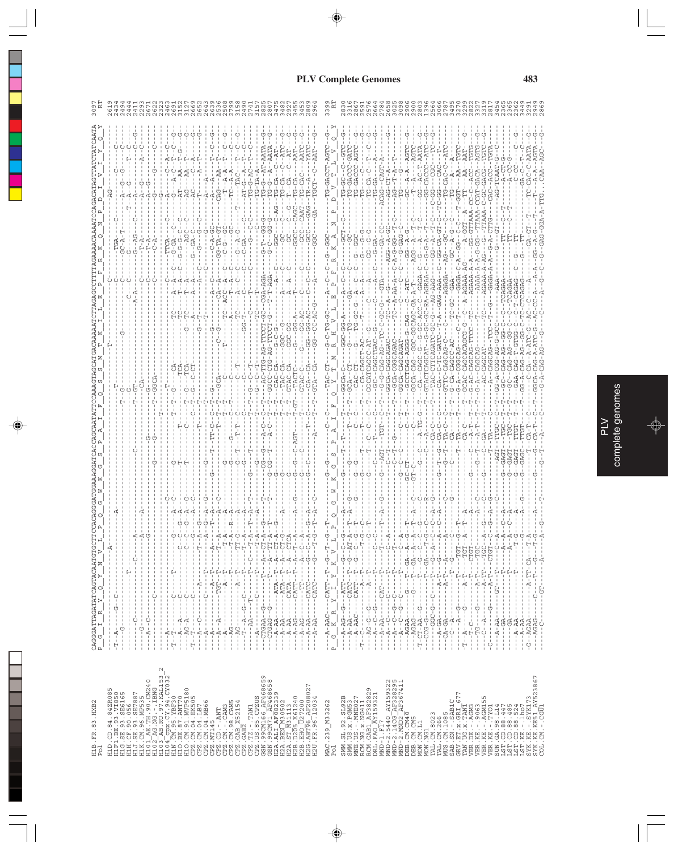|                                                                                                                                                                                                 |                                                                                                                                           |                                                                                                                           |                                                                                                                                                         |                                                               |                                              |                                                                                                                                                                                                                                                                                                                                                                   |                                                                                                                                                                                                        |                                                                 |                                                                                                                                                                                                                                                                                                                                                                                                                                                                                                                   |                                                                                                                                                                                                                                                                                                                                                                                                   |                    |                                     |                            |                            |                                              |              |         |                           |                                               |   |                                                                                                                                                                                                                                                                                                                                                                                                                                                                                                                                                                                                                                                                                                                                                                                                                                                                                                                                                            |                            |                                                                                                                                                                  |                                                                                                                                                                                                                                                                                                                                                                                                                                                                                | <b>PLV Complete Genomes</b>                          |                                                                  |                                                                                  |          |                                                                           |  |  |               |     |    |  |             |                       |  |  |  |      |                                                    |
|-------------------------------------------------------------------------------------------------------------------------------------------------------------------------------------------------|-------------------------------------------------------------------------------------------------------------------------------------------|---------------------------------------------------------------------------------------------------------------------------|---------------------------------------------------------------------------------------------------------------------------------------------------------|---------------------------------------------------------------|----------------------------------------------|-------------------------------------------------------------------------------------------------------------------------------------------------------------------------------------------------------------------------------------------------------------------------------------------------------------------------------------------------------------------|--------------------------------------------------------------------------------------------------------------------------------------------------------------------------------------------------------|-----------------------------------------------------------------|-------------------------------------------------------------------------------------------------------------------------------------------------------------------------------------------------------------------------------------------------------------------------------------------------------------------------------------------------------------------------------------------------------------------------------------------------------------------------------------------------------------------|---------------------------------------------------------------------------------------------------------------------------------------------------------------------------------------------------------------------------------------------------------------------------------------------------------------------------------------------------------------------------------------------------|--------------------|-------------------------------------|----------------------------|----------------------------|----------------------------------------------|--------------|---------|---------------------------|-----------------------------------------------|---|------------------------------------------------------------------------------------------------------------------------------------------------------------------------------------------------------------------------------------------------------------------------------------------------------------------------------------------------------------------------------------------------------------------------------------------------------------------------------------------------------------------------------------------------------------------------------------------------------------------------------------------------------------------------------------------------------------------------------------------------------------------------------------------------------------------------------------------------------------------------------------------------------------------------------------------------------------|----------------------------|------------------------------------------------------------------------------------------------------------------------------------------------------------------|--------------------------------------------------------------------------------------------------------------------------------------------------------------------------------------------------------------------------------------------------------------------------------------------------------------------------------------------------------------------------------------------------------------------------------------------------------------------------------|------------------------------------------------------|------------------------------------------------------------------|----------------------------------------------------------------------------------|----------|---------------------------------------------------------------------------|--|--|---------------|-----|----|--|-------------|-----------------------|--|--|--|------|----------------------------------------------------|
|                                                                                                                                                                                                 |                                                                                                                                           |                                                                                                                           |                                                                                                                                                         |                                                               | $\frac{6}{4}$                                |                                                                                                                                                                                                                                                                                                                                                                   |                                                                                                                                                                                                        |                                                                 |                                                                                                                                                                                                                                                                                                                                                                                                                                                                                                                   | 6 m                                                                                                                                                                                                                                                                                                                                                                                               |                    | SO                                  |                            | 747                        |                                              | 15           |         |                           |                                               |   |                                                                                                                                                                                                                                                                                                                                                                                                                                                                                                                                                                                                                                                                                                                                                                                                                                                                                                                                                            |                            |                                                                                                                                                                  |                                                                                                                                                                                                                                                                                                                                                                                                                                                                                |                                                      |                                                                  |                                                                                  |          |                                                                           |  |  | $\frac{0}{9}$ | S O | 80 |  | $\infty$ on | ጣ<br>$\tilde{\alpha}$ |  |  |  |      |                                                    |
|                                                                                                                                                                                                 |                                                                                                                                           | ひ                                                                                                                         |                                                                                                                                                         |                                                               |                                              | τŋ                                                                                                                                                                                                                                                                                                                                                                |                                                                                                                                                                                                        |                                                                 |                                                                                                                                                                                                                                                                                                                                                                                                                                                                                                                   |                                                                                                                                                                                                                                                                                                                                                                                                   |                    |                                     |                            |                            |                                              |              |         |                           |                                               |   |                                                                                                                                                                                                                                                                                                                                                                                                                                                                                                                                                                                                                                                                                                                                                                                                                                                                                                                                                            |                            |                                                                                                                                                                  |                                                                                                                                                                                                                                                                                                                                                                                                                                                                                |                                                      |                                                                  |                                                                                  |          |                                                                           |  |  |               |     |    |  |             |                       |  |  |  |      |                                                    |
|                                                                                                                                                                                                 |                                                                                                                                           | Ü                                                                                                                         |                                                                                                                                                         |                                                               |                                              | ઌં                                                                                                                                                                                                                                                                                                                                                                |                                                                                                                                                                                                        |                                                                 |                                                                                                                                                                                                                                                                                                                                                                                                                                                                                                                   |                                                                                                                                                                                                                                                                                                                                                                                                   |                    | U                                   |                            | ひ<br>U                     | 3                                            |              |         | c٠.                       |                                               |   |                                                                                                                                                                                                                                                                                                                                                                                                                                                                                                                                                                                                                                                                                                                                                                                                                                                                                                                                                            |                            |                                                                                                                                                                  |                                                                                                                                                                                                                                                                                                                                                                                                                                                                                | ğ                                                    |                                                                  |                                                                                  |          |                                                                           |  |  |               |     |    |  |             |                       |  |  |  |      |                                                    |
|                                                                                                                                                                                                 |                                                                                                                                           |                                                                                                                           |                                                                                                                                                         |                                                               |                                              |                                                                                                                                                                                                                                                                                                                                                                   | р<br>Н                                                                                                                                                                                                 |                                                                 |                                                                                                                                                                                                                                                                                                                                                                                                                                                                                                                   |                                                                                                                                                                                                                                                                                                                                                                                                   |                    |                                     |                            |                            |                                              |              |         |                           |                                               |   |                                                                                                                                                                                                                                                                                                                                                                                                                                                                                                                                                                                                                                                                                                                                                                                                                                                                                                                                                            |                            |                                                                                                                                                                  |                                                                                                                                                                                                                                                                                                                                                                                                                                                                                |                                                      |                                                                  |                                                                                  |          |                                                                           |  |  |               |     |    |  |             |                       |  |  |  |      |                                                    |
|                                                                                                                                                                                                 |                                                                                                                                           | τŋ                                                                                                                        |                                                                                                                                                         |                                                               |                                              | rca                                                                                                                                                                                                                                                                                                                                                               | TCA                                                                                                                                                                                                    | τ۳                                                              |                                                                                                                                                                                                                                                                                                                                                                                                                                                                                                                   |                                                                                                                                                                                                                                                                                                                                                                                                   |                    |                                     |                            |                            |                                              |              |         |                           |                                               |   |                                                                                                                                                                                                                                                                                                                                                                                                                                                                                                                                                                                                                                                                                                                                                                                                                                                                                                                                                            |                            |                                                                                                                                                                  |                                                                                                                                                                                                                                                                                                                                                                                                                                                                                |                                                      | $\cap$                                                           |                                                                                  |          |                                                                           |  |  |               |     |    |  |             |                       |  |  |  |      |                                                    |
|                                                                                                                                                                                                 |                                                                                                                                           |                                                                                                                           |                                                                                                                                                         |                                                               |                                              |                                                                                                                                                                                                                                                                                                                                                                   |                                                                                                                                                                                                        |                                                                 |                                                                                                                                                                                                                                                                                                                                                                                                                                                                                                                   |                                                                                                                                                                                                                                                                                                                                                                                                   |                    |                                     |                            |                            |                                              |              |         |                           |                                               |   |                                                                                                                                                                                                                                                                                                                                                                                                                                                                                                                                                                                                                                                                                                                                                                                                                                                                                                                                                            | AGT<br>U                   |                                                                                                                                                                  |                                                                                                                                                                                                                                                                                                                                                                                                                                                                                |                                                      | T.                                                               |                                                                                  |          |                                                                           |  |  |               |     |    |  |             |                       |  |  |  |      |                                                    |
| -<br>$\mathbf{I}$<br>٠<br>٠                                                                                                                                                                     |                                                                                                                                           | J.<br>÷<br>÷<br>$- - - A$<br>÷<br>$\mathbf{I}$<br>$\begin{array}{c}\n1 \\ 1\n\end{array}$<br>$\mathbf I$<br>$\frac{1}{4}$ | ÷<br>$\frac{1}{\sqrt{2}}$<br>$\mathbf I$<br>$\mathsf I$<br>$\frac{1}{1}$<br>÷,                                                                          | $\mathbf{I}$<br>J.<br>٠<br>J.<br>$\overline{1}$               | $\mathbf{I}$<br>$\mathbf{I}$<br>$\mathbf{I}$ | $\begin{array}{c} 1 & 1 \\ 0 & 1 \\ 0 & 1 \\ 0 & 1 \\ 0 & 1 \\ 0 & 1 \\ 0 & 1 \\ 0 & 1 \\ 0 & 1 \\ 0 & 1 \\ 0 & 1 \\ 0 & 1 \\ 0 & 1 \\ 0 & 1 \\ 0 & 1 \\ 0 & 1 \\ 0 & 1 \\ 0 & 1 \\ 0 & 1 \\ 0 & 1 \\ 0 & 1 \\ 0 & 1 \\ 0 & 1 \\ 0 & 1 \\ 0 & 1 \\ 0 & 1 \\ 0 & 1 \\ 0 & 1 \\ 0 & 1 \\ 0 & 1 \\ 0 & 1 \\ 0 & 1 \\ 0 & 1 \\ 0 & 1 \\ 0 & 1 \\ 0 &$<br>$\mathbf{I}$ | $\begin{array}{c}\n\stackrel{1}{\circ} & \stackrel{1}{\circ} \\ \stackrel{1}{\circ} & \stackrel{1}{\circ} \\ \stackrel{1}{\circ} & \stackrel{1}{\circ}\n\end{array}$<br>$\blacksquare$<br>$\mathbf{I}$ | f,<br>$\frac{1}{\sqrt{2}}$<br>J.<br>$\,$ I<br>÷<br>$\mathbf{I}$ | $-1 - 1$<br>К<br>ŦŦ<br>Ê)<br>Ħ                                                                                                                                                                                                                                                                                                                                                                                                                                                                                    | $-1 = -\frac{1}{2} - \frac{1}{2} - \frac{1}{2} - \frac{1}{2} - \frac{1}{2} - \frac{1}{2} - \frac{1}{2} - \frac{1}{2} - \frac{1}{2} - \frac{1}{2} - \frac{1}{2} - \frac{1}{2} - \frac{1}{2} - \frac{1}{2} - \frac{1}{2} - \frac{1}{2} - \frac{1}{2} - \frac{1}{2} - \frac{1}{2} - \frac{1}{2} - \frac{1}{2} - \frac{1}{2} - \frac{1}{2} - \frac{1}{2} - \frac{1}{2} - \frac{1}{2} - \frac{1}{2} -$ | $\frac{1}{4}$<br>ł | $\frac{1}{1}$                       | $- R -$<br>---------A      | $-1T$<br>$\mathbf{I}$<br>Ť | ÷,<br>$-4$<br>÷.<br>$\overline{\phantom{a}}$ |              |         |                           |                                               |   |                                                                                                                                                                                                                                                                                                                                                                                                                                                                                                                                                                                                                                                                                                                                                                                                                                                                                                                                                            |                            |                                                                                                                                                                  | $\begin{array}{l} \mathbf{T}_{1} = \mathbf{C}_{1} - \mathbf{T}_{1} - \mathbf{A}_{1} - \mathbf{T}_{1} - \mathbf{T}_{2} - \mathbf{T}_{3} \\ \mathbf{T}_{2} = \mathbf{T}_{1} - \mathbf{A}_{2} - \mathbf{T}_{2} - \mathbf{T}_{3} - \mathbf{T}_{4} \\ \mathbf{T}_{3} = \mathbf{T}_{2} - \mathbf{A}_{3} - \mathbf{T}_{3} - \mathbf{T}_{2} \\ \mathbf{T}_{4} = \mathbf{A}_{1} - \mathbf{T}_{2} - \mathbf{T}_{3} \\ \mathbf{T}_{5} = \mathbf{A}_{2} - \mathbf{T}_{4} - \mathbf{T}_{5}$ | Н<br>$\frac{1}{\sigma}$<br>$-1 - 1 - -1 - -1 - -1$   | $\mathbf{\underline{\alpha}}$<br>$\Box$<br>$\triangleright$<br>Χ |                                                                                  |          | $\frac{1}{1}$<br>$-T-C$<br>$\blacksquare$<br>$\mathsf{I}$<br>$\mathbf{I}$ |  |  |               |     |    |  |             |                       |  |  |  |      | $- - A - TT - CA - - - T - A - -$<br>÷<br>ひ        |
| L.<br>$\frac{1}{\sqrt{2}}$<br>-<br>$\frac{1}{\sqrt{2}}$<br>-<br>J.<br>$\mathbb{I}$<br>$\mathbf I$<br>$\mathbb{I}$<br>$\mathbf{I}$<br>$\mathbf{I}$<br>$\mathbf{I}$<br>$\frac{1}{2}$<br>$-4$<br>Ť | ÷.<br>$\overline{\phantom{a}}$<br>$\overline{\phantom{a}}$<br>$\overline{\phantom{a}}$<br>$\frac{1}{2}$<br>$\mathbf{I}$<br>$\blacksquare$ | ţ<br>÷<br>$\mathbf{I}$<br>$\,$<br>$\mathbb{I}$<br>$\mathbf{I}$<br>Ĵ.<br>÷<br>÷<br>$-1$<br>$\frac{1}{1}$                   | $\pm$<br>$\mathbf{I}$<br>$\frac{1}{4}$<br>$\mathbf{1}$<br>$\begin{bmatrix} 1 & 1 & 0 \\ 1 & 1 & 1 \\ 1 & 1 & 1 \end{bmatrix}$<br>$\,$ 1<br>$-4 - 2 - 1$ | $\,$<br>$\blacksquare$<br>$\blacksquare$<br>٠<br>$\,$<br>$\,$ | $- - A$                                      | $-1$<br>÷<br>$\mathsf I$<br>$\frac{1}{4}$<br>$\frac{1}{4}$<br>$-4$<br>Ĩ.                                                                                                                                                                                                                                                                                          | $\begin{smallmatrix}1&1\\1&1\end{smallmatrix}$<br>$\mathsf I$<br>$\frac{1}{4}$                                                                                                                         | Ĵ,<br>i<br>H                                                    | ÷<br>$-1$<br>$\begin{array}{ccccccccc}\n & - & A & - & A & - & A \\ \hline\n\vdots & - & - & - & - & - \\  & - & - & - & - & - \\  & - & - & - & - & - \\  & - & - & - & - & - \\  & - & - & - & - & - \\  & - & - & - & - & - \\  & - & - & - & - & - \\  & - & - & - & - & - \\  & - & - & - & - & - \\  & - & - & - & - & - \\  & - & - & - & - & - \\  & - & - & - & - & - \\  & - & - & - & - & - \\  & - & - & - & - & - \\  & - & - & - & - & - \\  & - & - & - & - & - \\  & - & - & - & - & - \\  & - &$ | חקקקק<br>נינניי<br>$-4$<br>$\blacksquare$                                                                                                                                                                                                                                                                                                                                                         | $----\textbf{TGT}$ | $- - - A$<br>ŧ<br>ţ<br>$- -A - - -$ | $-1$<br>$\frac{1}{1}$<br>ł | $- -A - T$                 |                                              | ŧ<br>$- - A$ | --CTGAA | Ħ<br>$\frac{1}{\sqrt{2}}$ | $\,$ $\,$<br>$-CTGAG$<br>$-2-RA$<br>$-1-2-RA$ | Ĵ | $\begin{array}{cccc} - & - & - & - & - & - \\ - & - & - & - & - & - \\ - & - & - & - & - & - \\ - & - & - & - & - & - \\ - & - & - & - & - & - \\ \end{array} \hspace{0.27in} \begin{array}{c} \Gamma - \\ \Gamma - \\ \Gamma - \\ \Gamma - \\ \Gamma - \\ \end{array}$<br>$\begin{array}{c} \mathbf{1} \rightarrow \mathbf{1} \rightarrow \mathbf{1} \rightarrow \mathbf{1} \rightarrow \mathbf{1} \rightarrow \mathbf{1} \rightarrow \mathbf{1} \rightarrow \mathbf{1} \rightarrow \mathbf{1} \rightarrow \mathbf{1} \rightarrow \mathbf{1} \rightarrow \mathbf{1} \rightarrow \mathbf{1} \rightarrow \mathbf{1} \rightarrow \mathbf{1} \rightarrow \mathbf{1} \rightarrow \mathbf{1} \rightarrow \mathbf{1} \rightarrow \mathbf{1} \rightarrow \mathbf{1} \rightarrow \mathbf{1} \rightarrow \mathbf{1} \rightarrow \mathbf{1} \rightarrow \mathbf{1} \rightarrow \mathbf{1} \rightarrow \mathbf{1} \rightarrow \mathbf{1$<br>$\mathsf I$<br>$- -A - A$ | ۲<br>ا<br>Ť<br>$- -A - AG$ | $\frac{1}{4}$<br>$\mathbf{I}$<br>$\mathsf I$<br>$\mathbb{I}$<br>$\mathbf{1}$<br>$\begin{array}{c} A - AG \\ A - AA \\ AA - AA \end{array}$<br>Ť<br>$\frac{1}{4}$ | $\mathbb{I}=\mathbb{I}$<br>$\mathbf{I}$<br>÷,<br>$\mathbf{I}$<br>÷,                                                                                                                                                                                                                                                                                                                                                                                                            | $\frac{X-T}{X-T} = \frac{X}{X}$<br>$-3 - RAC -$<br>Ť | $\begin{bmatrix} 1 & 1 \\ 1 & 1 \end{bmatrix}$<br>ひ              | $- - 22TT - -$<br>----A-AG--G---ATT-<br>---A-AA------CATC-<br>---A-AAC-----CATT- | 무--<br>ŗ | 부<br>$-4$<br>$\mathbf{I}$<br>$\frac{1}{4}$<br>U<br>÷                      |  |  |               |     |    |  |             |                       |  |  |  | - 11 | $\blacksquare$<br>J.<br>J.<br>$- -A - A$<br>--AGAA |

complete genomes complete genomes **PLV**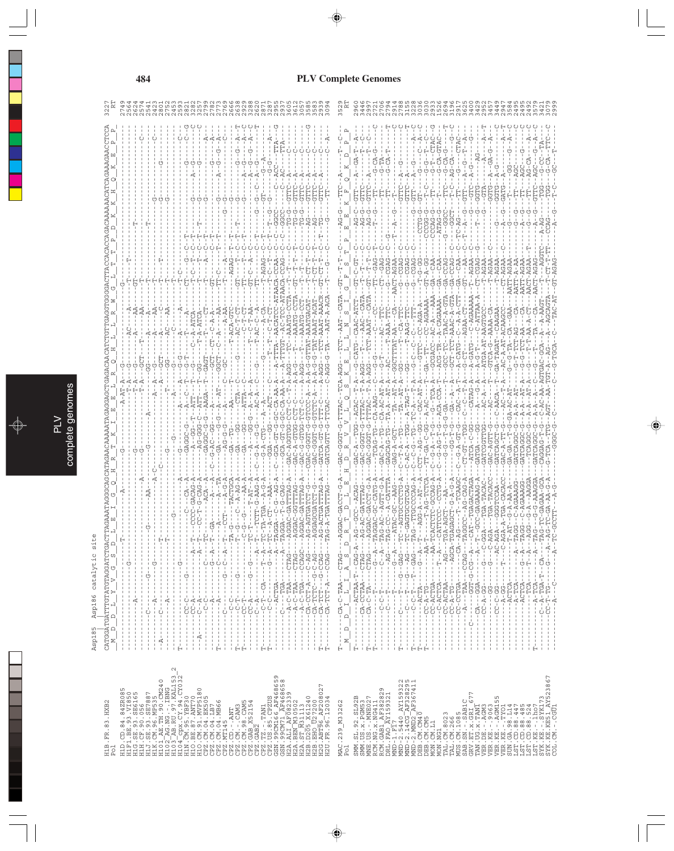complete genomes complete genomes n<br>P

> site Asp185 Asp186 catalytic site catalytic Asp186 Asp185

H1D.CD.84.84ZR085 ---------------------------T-----------A---------G-----------A-AT-A---G-------------------G--------------------------------------- 2749 H1F1.BE.93.VI850 ---------------------G------------------------------------------T-A---G-------AC----A------T----T--------------------------------- 2564 H1G.SE.93.SE6165 ------------A------------------------------------G--------------T-A---G-------A----AA-----GT-------------T------------------------ 2624 H1H.CF.90.056 ------------------------------------------A------G--------------T-A---GCT---T------AA------T----------------------------------C--- 2574 H1J.SE.93.SE7887 ---------C--------G-----------G-------AA----------G-------A----------GG-------A----A-------T-------------T------------------------ 2541 H1K.CM.96.MP535 ------------A--------G--------------------A-C------------------A--A---G-------A----AA------T-------------------G--------------C--- 2423 H101\_AE.TH.90.CM240 --A------C-----------------T-----------------C--------------------A---GCT-----A-----C------T----T--------------G--------G--------- 2801 H102\_AG.NG.-.IBNG ------------A--------------T---------------------G--------------T-----GG------AC---AA------T-------------------G------------------ 2752 H103\_AB.RU.97.KAL153\_2 ---------------------------------G------------------G----------A------G--------C-----------T-------------------------------------- 2453 H104\_cpx.CY.94.CY032 T--------------------G--------------------A------G----------A-----A---G-G-----A-----A------T-C--------------------------------C--- 2593 H1N.CM.95.YBF30 ---------CC-C-----G---------------C---CA--A------GAGGC-G----A--C--T---G-T-----T----A------CT----G--C--T-----------------G-----C--G 2821 H1O.BE.87.ANT70 ---------CC-A-----------A--T---CCCC-GACAG-A-------A--GG--T--ATT---T---G----C--A-ATCA-------T-C--T--C--T--------G-----A--G--------C 3282 H1O.CM.91.MVP5180 ---A-----C--A-----------A--T---CC-T-G-CAG-A-------AG-GGG-C--ATT---T--GG-----T-A-ATCA-------T----T--C--T--T-----G--------G--------C 3257 CPZ.CM.04.EK505 ----------C-C--------C-----TC--------ACA--A------GAGGC-G-G--AAGA--T--GAGT-----T----CT------T----A--C--T--------G--------------A--- 2799 CPZ.CM.04.LB7 ------------A--------G--A--T--GA------A---A--C--G-AC--GG----A---------GCT--CT--C-A-A------GT-------C--T-----------------G-----A--- 2782 CPZ.CM.04.MB66 T-----------A--------C---------A------A--TA------GA----G-G--A--AT----GGCT--C--A----AA-----TT-C-----T--T--------G-----A--G--G--A--- 2773 CPZ.MT145 ---------C--------G--C--A--T---CCT----A-G-A-------AG-G-G----A-----C---GC---------A-AA------T----A-----------G--G--------------C--- 2769 CPZ.CD.-.ANT ----------C-C--------------TA-G-----TACTGCA------GA--TG-----AA----T---------T-ACA-GTC--------AGAG--T--T--------G------------------ 2666 CPZ.CM.-.CAM3 T---------C-T-----G--------T--G---C--A-AG-A------GA---GG-----CTA--C-----G-----AC-T-CT-----GT----T--C--T--T-----G--------G--G--A--T 2638 CPZ.CM.98.CAM5 T--------CC-T---------------C-G--G-----AA-A------GA---GG----ATTA--C------------C-T-CT-----TT----T--C--T--------G-----A--G-----A--C 2929 CPZ.GAB\_X52154 ---------CC-A-----G--G-----TC-T-----T-AT--A-------A---GG-G--A--A--A---------T--C-T-AA-----GT-C--A--C-----------------A--G--G--A--C 3288 CPZ.GAB2 ---------C--A-----------A--T---TCTT-G-AAG-A--C--G-A--G-G----AC-A--C---G-----T-AC-C--A-----TT-------C--T-----G--G--C--A--G--------T 2620 CPZ.TZ.-.TAN1 T---------C-T--CA----T--A--TC-TA-TGA--A-G-A-----G-A-CTG---A--A----------G--------A-CA------T-AGAG--C--T--------GT-----G--A-------- 2871 CPZ.US.85.CPZUS T---------C-C--------G--A--TC--A-CT---AAA-------GGA---GG----ACT---C------T--T--C-T-CT------T-C--T--C--T--T--G--G------G-G-----A--- 3287 GSN.99CM166\_AF468659 ------------ACTGA-------A--TAGGA--C-G--AG-A--C--GCA-GT-G-GC-CA-AA-A---A-TTTA--AACATCC-ATAACA-CCAA--C--C--GGCC-----C--ACC---TTA---G 2955 GSN.99CM71\_AF468658 ---------C----TGA-------A--TAGGA--T-G-CAG-------GCA-GT-G-GC-CA-AA-A---A-TTTGT--AC-TCC-ATAACA-CCAG--C--C--GGCC-----C--AC----TTA---- 2937 H2A.ALI\_AF082339 ----------A-C-TAA---CTAG----AGGAC-GATTTAG-A---GAC-AGGTGG-CCT-C--T-A-AGG---TC--AAATG-CCTA---T--T----C-----TG-G--GTTC--A-----C------ 3605 H2A.BEN\_M30502 ----------A-C-TAA---CTAG----AGGAC-GGTTTAG-----GAC-A-GTGG-CCT-C----A-A-G---T---AAATG-CCTA--GT--T-T--T-----TG-G--GTTC--A-----C------ 3612 H2A.ST\_M31113 ----------A-C-TGA---CCAGC---AGGAC-GATTTAG-A---GAC-G-GTGG-TCT-C----A-AGG---T---AAATG-CCT----T--T----C-----TG-G--GTTC--A-----C------ 3057 H2B.D205\_X61240 ---------CA-CCT-A---C-AG----AG-AGTGATCT-G----CGAC-GGGT-G-GTCCC-A--A-A-G-GTTAT-AAATGACAT----T-CT-T--C-----AG----GTTC--A-----C-----G 3585 H2B.EHO\_U27200 ---------CA-TCTC--G-C-AG----AGGAGCGATCT-G-----GAC-GGGT-G-GTCTC-A--A-A-G-G-TAT-AAAT-ACAT----T-CT-T--T-----AG----GTTC--A-----C------ 3583 H2G.ABT96\_AF208027 T--------CA-TCT---G-CCAG----AG-ACTGATTTAG-A---GATCA-GT-G-TTT-C----A-AGG---TCT-AAAT-AAACR--GT-CT-T--C--T--TG----GTTC--A-----C------ 2939 H2U.FR.96.12034 T--------CA-TCT-A---CCAG---TAG-A-TGATTTAG-----GATCAGTT-G-TTCAC----C-AGG-G-TA---AAT-A-ACA---T---G---C------G-----TT---------C--A--- 3094 SMM.SL.92.SL92B T-----------ACTAA-T--CAG-A--AG--GCC--ACAG-----GAC-A--TGG--ACAC--T-A---G-CATG--CAAC-ATCT---GT-C-GT--C-----AG-C--GTT---A--GA-T--A--- 2960 SMM.US.x.PGM53 ---------CA-CCTAA---CTAG----AG-AC-GATTTAG-----GAC-GGGT-G-TTTAC--T-A-AGG---T----AAC--CATA---T--T----C-----AG-G--GTTC--------T--C--- 3446 MNE.US.-.MNE027 T--------CA-C-TA----CTAG----AGGAC-GACCT-G-A---GAC-GGGT-G-TTTAC--T-A-AGG---TCT-AAAT--CATA--GT--T-T--C-----AG-G--GTTC--A-----T--C--- 2997 RCM.NG.x.NG411 T-------------T------G--A--TAGGAC-GC-CATG-A-----TCAG-TG--CA-AAG---C---G-G------C---CC-----TT--GAG--T-----T--G---TT----G-CA-G-----C 2721 RCM.GAB1\_AF382829 ----------C-C-T------C--A--TAG-AC--AGTT-G-A---GAC-A--TG--CA-AC-AT-A---G-T-----AC--TTC-----CT--GAG--C------------TT----G-TA-------- 2706 DRL.FAO\_AY159321 ----------C---T-------AG---TAG-CC--A-CATTTA---GAGCAG-TG--TA-A--AT-A---AC----T-AAA-TTC-----G--CGAG--C--G---------TT----G-CA-T-----T 2794 MND-1.F17 --------------T------G--A----ATAC-GC--AAG-----GAG-A-GCT----TA--AT-A--GGCTTTAT-AA---CA---AACT-AGAA-----T--A--G---T----------------C 2914 MND-2.5440\_AY159322 T--------C----T---G--GAG---TC--AGTGCCTCTG-A--C--T-A--TG----TA--AT-A--GG-----T--CA-TTC-----G--CGAG--C-----------GTTC--A--G--------C 2788 MND-2.14CG\_AF328295 ----------C---T---G---AG---TC-GAGTGCGTCAG----C-AC-A--TGG--A-TAG-T----GG-----T-AAG-TTC-----G--CGAG--C-----------GTTC--A-----------T 3155 MND-2.MND2\_AF367411 T---------C-C-T---T--GAG---TAG--TTGCCCCAG-A--C--C-G--TG--TC-A---T-A---G-C--C--C---TTT-----G--CGAG--C--------G--GTT---A--G-----A--C 3228 DEB.CM.CM40 T-----------ACTA-----G--A--T---AGG-A--AT--A--CCT--AG--GG---CAC-AT-A-----GTTC--CC-AGA-A-----T-G-GG------CCTG-G--GT-----G----C--A--C 3036 DEB.CM.CM5 T--------CC-A-TG--------AA-T-----T-AG-TCTCA---TT-GA-C-GG--A-AC----T--GA--TT---CC-AGAAAA---GT-A-GG-----CCCGG-G---T-C---G-G--T--C--- 3030 MON.CM.L1 ---------CC-ACTGA-------AA-TCACTCTC-GCCAG-A--C--G-A--T-G---G--TCA-A---GCGACC--AC-A---AAA--GA--CAA-----CCCAG-G---TT----G-T--CTAC--G 2933 MON.NG1 ----------C-ACTCA----T--A---CATTCCC--CCTG-A--C--G-AG-T-G--ACA-CCA-T---ACG-TR--A-CAGAAAA---GA--CAA------ATAG-G---T-----G-CA-GTAC--- 1526 TAL.CM.8023 ---------CC-ACTAA-----AG---TGA-AGCT---AA--------G-G--T-G-G-GA-----T---GCC-TC--TAAC-A-GTA--GA-CCAG-----G--GGCC---TTC---G-CA-G-----T 2694 TAL.CM.266 ---------CC-A-TG------AGCA-TGAGAGCT-G-A-G-A-------GG-T-G---GA--A--A---GCT-TCT-AAAC-A-GTA--GA-CCAG--C-----GGCT---T-C--AG-CA----G--C 3196 MUS.CM.1085 ---------CC-CCTGA-------CA--AG----T--TCAAGC--C--G-A-GT-G---CAC--A-T---A-CATG--C--A-A-CTT--GA--CAA--C--TC-AG-----TT----G----CTAC--- 2917 SAB.SN.-.SAB1C ----------A---TAA---CCAG---TAGGCC--AG-CAG-A---CT-GT--TGG--C--C--T-A---G-CT----AGAA-CT-----GT---AA--C--T--A--G--GTT---A--G--T--A--- 3625 GRV.ET.x.GRI\_677 ------C-------GGT-G-CG--A---CAT--TGAGACTAGA----ATCA-C-GG----CATAG-A---A-GATG---C-AGAAAAA--T--AGAA--C--------G---GTC--A-G------G--- 3400 TAN.UG.x.TAN1 ---------CA---GGA-------A--T--GCC-GAGAAAG-A---GATGA---GG----A---G-A---A-G-T----C-ATTAA-A--CT-CGAG--G-----T--G--GGTG------AG------- 3429 VER.DE.-.AGM3 ---------CC-A-GG-----G---C-GGA---TGA-TACAC----GATCGGTTGG----AC-A--A---ATGA-AT-AAGTGCC------T-AGAA-----------G---GTA------A----A--T 2952 VER.KE.-.9063 --------------GG-----G---C-AGA---TGA-TACACC---GAC-AGTT-G----AC----T---GTCA-G--AAAA-CA------T-AGAA--C-----------GGTG--A--GA-G--A--- 3457 VER.KE.-.AGM155 ---------CC-C-GG--------AC-AGA---GGGTCCAA-----GATCAGCT-G--C-AACA--T--GA-TAGAT--CAAGAA------T-AGAA--------G-----GGTG--A-G---------C 3449 VER.KE.-.TYO1 ------------A-GG-----T---C-AGA-A-TGA-CACACC---GAC-A-TT-G----AC--T-A---AC-A-AT-ACAAGCC-----CT-AGAA--C-----A--G--GATG--A--------A--T 2947 SUN.GA.98.L14 ------------ACTCA----------T-AT--G-A-AA-A-----GA-GA--T-G-GA-AC-AT----G--G-TA--CA--GAA---AATT-AGAA--------G------T-----GG---G--A--C 3584 LST.CD.88.447 ------------A-TCA-------A--TAGG--C-AGAAAGG----GATCAGGC-G--A-A--AT-----G-T-TCT-AG---CA---AATT-A-AA--------G--G---TT---AGC---------C 2495 LST.CD.88.485 ------------ACTCA----G--A--TAGG--C-AGAAAGG----GATCAGGC-G--A-A--AT-A---G-G-TCT-AA---CA---AATT-AGAA--------A--G---TT---AGC---G-----C 2495 LST.CD.88.524 --------------TCA----T--A---AGG--G-A--AAGGA-----TCAGGC-G--A-A--AT-A---G---T-T-AA-A-CT---AACT-AGAA--T-----G--G---TT---AG-CA----A--C 2492 LST.KE.-.lho7 T-----------A-TCA-------A--TAG---G-G-AAAGGA---GATCAGGC-G--A-A--A--C---G---T---TA---CA---AACT-AGAG--------A--G--GTTC--AGC---G--A--C 3579 SYK.KE.-.SYK173 ---------C--A-TGA-T--CA----TAG-TC-GAGAA-GCA---CAGGAG-T-G--C-AC-AA-AGTGAC-GCA--A--A-AAGT----T---AGGTC---A-AG-----TGG---G-CC--TA---- 3421 SYK.KE.KE51\_AY523867 ---------CC-T-TG-----G---A--AG-TC-GA-AA-G-A---G-TCA--TTG--AGT--AA-TGT-A--AG---A--AGCAGTA---T-CT-T-TT---CCAG-----TGG---G-CA--TTC--C 3079 COL.CM.-.CGU1 ------------A---C-------A--TC-GCCTT---A-G---------GGGC-G--C-------C---G-TGCA--C---TAC-AT--GT-AGAG--------A--G---T-C---GC---T------ 2999ΗΙΒ.FR.83.HXB2 ΟΑΤΘΘΑΤΥΡΙΟΗΣΤΑΡΙΟΠΟΑΟΣΤΟΠΟΑΟΣΤΑΘΑΣΑΡΑΣΑΡΑΣΑΡΑΣΑΡΑΣΑΡΑΣΑΘΑΘΕΛΑΣΑΡΑΣΑΡΑΣΑΘΑΣΑΡΑΣΑΡΑΣΑΡΑΣΑΘΑΣΑΘΑΣ<br>Pol 1999.FR.83.HXB2 (2014) DD D L Y V G S D L E I G Q H R T K I E E L R Q H L L R W G L T T T P D K K H Q K E MAC.239\_M33262 T--------CA-C-TAA---CTAG----AGGAC-GACCT-G-A---GAC-GGGT-G-TTTAC--TCA-AGG---TCT--AAT--CATA--GT--T-T--C-----AG-G---TTC--A-----T--C--- 3529 Pol \_\_M\_\_D\_\_D\_\_I\_\_L\_\_I\_\_A\_\_S\_\_D\_\_R\_\_T\_\_D\_\_L\_\_E\_\_H\_\_D\_\_R\_\_V\_\_V\_\_L\_\_Q\_\_S\_\_K\_\_E\_\_L\_\_L\_\_N\_\_S\_\_I\_\_G\_\_F\_\_S\_\_T\_\_P\_\_E\_\_E\_\_K\_\_F\_\_Q\_\_K\_\_D\_\_P\_\_P RT  $\frac{M}{N}\frac{1}{D}\frac{1}{D}\frac{1}{D}\frac{1}{D}\frac{1}{D}\frac{1}{D}\frac{1}{D}\frac{1}{D}\frac{1}{D}\frac{1}{D}\frac{1}{D}\frac{1}{D}\frac{1}{D}\frac{1}{D}\frac{1}{D}\frac{1}{D}\frac{1}{D}\frac{1}{D}\frac{1}{D}\frac{1}{D}\frac{1}{D}\frac{1}{D}\frac{1}{D}\frac{1}{D}\frac{1}{D}\frac{1}{D}\frac{1}{D}\frac{1}{D}\frac{1}{D}\frac{1}{D}\frac{1}{D}\frac{1}{D}\frac{1}{D}\frac{1}{D}\frac{1}{D}\frac{1$  $\begin{bmatrix} 1 \\ -1 \\ 0 \end{bmatrix}$  | |  $\mathbb{R}$ 239 M33262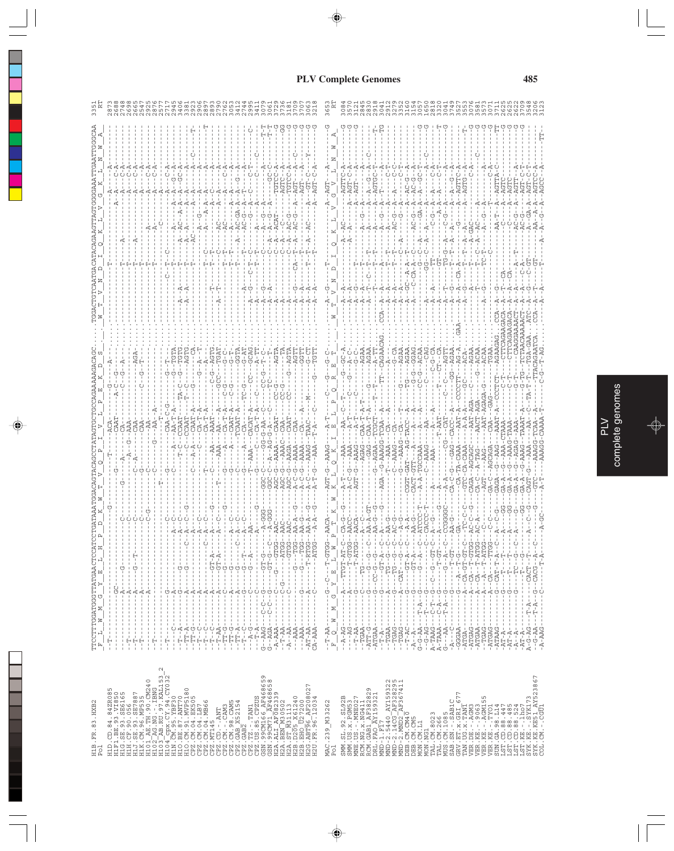|                                                  |                                              |                                          |                                                                                                                                                                                            |               |                  |         |        |                                                |               |                                                                                             |   |              |                                                     |  |  |                                     |                                                                                                                                                                                                                                                                                                                                                                                                                                                                              |                    |   |                                         |                                                                       |                    |                               |                      |             |   |                                      |                                                            |                                                       |                           |                                                                         |  |  |  |  |  |                             |         | $\mathbb{A}$ |  |  |  |  |                                                                                                                                                                                                                                                                                                                                                                              |  |  |               |                 |                                                                                 |                            |
|--------------------------------------------------|----------------------------------------------|------------------------------------------|--------------------------------------------------------------------------------------------------------------------------------------------------------------------------------------------|---------------|------------------|---------|--------|------------------------------------------------|---------------|---------------------------------------------------------------------------------------------|---|--------------|-----------------------------------------------------|--|--|-------------------------------------|------------------------------------------------------------------------------------------------------------------------------------------------------------------------------------------------------------------------------------------------------------------------------------------------------------------------------------------------------------------------------------------------------------------------------------------------------------------------------|--------------------|---|-----------------------------------------|-----------------------------------------------------------------------|--------------------|-------------------------------|----------------------|-------------|---|--------------------------------------|------------------------------------------------------------|-------------------------------------------------------|---------------------------|-------------------------------------------------------------------------|--|--|--|--|--|-----------------------------|---------|--------------|--|--|--|--|------------------------------------------------------------------------------------------------------------------------------------------------------------------------------------------------------------------------------------------------------------------------------------------------------------------------------------------------------------------------------|--|--|---------------|-----------------|---------------------------------------------------------------------------------|----------------------------|
|                                                  |                                              |                                          |                                                                                                                                                                                            |               |                  |         |        |                                                |               |                                                                                             |   |              |                                                     |  |  |                                     |                                                                                                                                                                                                                                                                                                                                                                                                                                                                              |                    |   |                                         |                                                                       |                    |                               |                      |             |   |                                      |                                                            |                                                       |                           |                                                                         |  |  |  |  |  |                             |         |              |  |  |  |  |                                                                                                                                                                                                                                                                                                                                                                              |  |  |               |                 |                                                                                 |                            |
|                                                  |                                              |                                          |                                                                                                                                                                                            |               |                  |         |        |                                                |               |                                                                                             |   |              |                                                     |  |  |                                     |                                                                                                                                                                                                                                                                                                                                                                                                                                                                              |                    |   |                                         |                                                                       |                    |                               |                      |             |   |                                      |                                                            |                                                       |                           |                                                                         |  |  |  |  |  |                             |         |              |  |  |  |  |                                                                                                                                                                                                                                                                                                                                                                              |  |  |               |                 |                                                                                 |                            |
|                                                  |                                              |                                          |                                                                                                                                                                                            |               |                  |         |        |                                                |               |                                                                                             |   |              |                                                     |  |  |                                     |                                                                                                                                                                                                                                                                                                                                                                                                                                                                              |                    |   |                                         |                                                                       |                    |                               |                      |             |   |                                      |                                                            |                                                       |                           |                                                                         |  |  |  |  |  |                             |         |              |  |  |  |  |                                                                                                                                                                                                                                                                                                                                                                              |  |  |               |                 |                                                                                 |                            |
|                                                  |                                              |                                          |                                                                                                                                                                                            |               |                  |         |        |                                                |               |                                                                                             |   |              |                                                     |  |  |                                     |                                                                                                                                                                                                                                                                                                                                                                                                                                                                              |                    |   |                                         |                                                                       |                    |                               |                      |             |   |                                      |                                                            |                                                       |                           |                                                                         |  |  |  |  |  | $\frac{1}{9}$ $\frac{1}{9}$ |         |              |  |  |  |  |                                                                                                                                                                                                                                                                                                                                                                              |  |  |               |                 |                                                                                 |                            |
|                                                  |                                              |                                          |                                                                                                                                                                                            |               |                  |         |        |                                                |               |                                                                                             |   |              |                                                     |  |  |                                     |                                                                                                                                                                                                                                                                                                                                                                                                                                                                              |                    |   |                                         |                                                                       |                    |                               |                      |             |   |                                      |                                                            |                                                       |                           |                                                                         |  |  |  |  |  |                             |         |              |  |  |  |  |                                                                                                                                                                                                                                                                                                                                                                              |  |  |               |                 |                                                                                 |                            |
|                                                  |                                              |                                          |                                                                                                                                                                                            |               |                  |         |        |                                                |               |                                                                                             |   |              |                                                     |  |  |                                     |                                                                                                                                                                                                                                                                                                                                                                                                                                                                              |                    |   |                                         |                                                                       |                    |                               |                      |             |   |                                      |                                                            |                                                       |                           |                                                                         |  |  |  |  |  |                             |         |              |  |  |  |  |                                                                                                                                                                                                                                                                                                                                                                              |  |  |               |                 |                                                                                 |                            |
|                                                  |                                              |                                          |                                                                                                                                                                                            |               |                  |         |        |                                                |               |                                                                                             |   |              |                                                     |  |  |                                     |                                                                                                                                                                                                                                                                                                                                                                                                                                                                              |                    |   |                                         |                                                                       |                    |                               |                      |             |   |                                      |                                                            |                                                       |                           |                                                                         |  |  |  |  |  |                             |         |              |  |  |  |  |                                                                                                                                                                                                                                                                                                                                                                              |  |  |               |                 |                                                                                 |                            |
|                                                  |                                              |                                          |                                                                                                                                                                                            |               |                  |         |        |                                                |               |                                                                                             |   |              |                                                     |  |  |                                     |                                                                                                                                                                                                                                                                                                                                                                                                                                                                              |                    |   |                                         |                                                                       |                    |                               |                      |             |   |                                      |                                                            |                                                       |                           |                                                                         |  |  |  |  |  |                             |         |              |  |  |  |  |                                                                                                                                                                                                                                                                                                                                                                              |  |  |               |                 |                                                                                 |                            |
|                                                  | J.<br>J.                                     | $\mathsf I$<br>ł                         | $\frac{1}{1}$<br>İ                                                                                                                                                                         | $\frac{1}{4}$ | $\frac{1}{1}$    | 1111    | ÷.     | ł<br>$\frac{1}{4}$<br>$\overline{\phantom{a}}$ | $\frac{1}{2}$ | U<br>------<br>$-1$<br>$-1$<br>$-1$<br>$-1$<br>$-1$<br>$-1$<br>$-1$<br>$-1$<br>$-1$<br>$-1$ | ţ | $\mathbf{I}$ | $\frac{1}{1}$<br>$\,$ I<br>$\overline{\phantom{a}}$ |  |  |                                     | $\begin{array}{l} \mathbf{A} & \mathbf{A} & \mathbf{A} & \mathbf{A} & \mathbf{A} & \mathbf{A} & \mathbf{A} & \mathbf{A} & \mathbf{A} & \mathbf{A} & \mathbf{A} & \mathbf{A} & \mathbf{A} & \mathbf{A} & \mathbf{A} & \mathbf{A} & \mathbf{A} & \mathbf{A} & \mathbf{A} & \mathbf{A} & \mathbf{A} & \mathbf{A} & \mathbf{A} & \mathbf{A} & \mathbf{A} & \mathbf{A} & \mathbf{A} & \mathbf{A} & \mathbf{A} & \mathbf{A} & \mathbf$                                             | ÷<br>$\frac{1}{4}$ | ţ | $\begin{array}{c}\nC \\ 1\n\end{array}$ | <b>0010--</b><br>$-1$<br>$-1$<br>$-1$<br>$-1$<br>$-1$<br>$-1$<br>$-1$ | $-$ -ATGG          | $-95T9-$<br>1<br>$\mathbf{I}$ | $-3501 - 10 - 1 - 1$ | $-1$        |   |                                      | $C--T-T-GTGG$<br>$I$ $W$                                   |                                                       | $-1 - A - 12TGT - AT - C$ |                                                                         |  |  |  |  |  |                             |         |              |  |  |  |  | $\begin{array}{r} \mathbf{1}_{1,2,3,4} = \mathbf{1}_{2,3,4} = \mathbf{1}_{2,3,4} = \mathbf{1}_{2,3,4} = \mathbf{1}_{2,3,4} = \mathbf{1}_{2,3,4} = \mathbf{1}_{2,3,4} = \mathbf{1}_{2,3,4} = \mathbf{1}_{2,3,4} = \mathbf{1}_{2,3,4} = \mathbf{1}_{2,3,4} = \mathbf{1}_{2,3,4} = \mathbf{1}_{2,3,4} = \mathbf{1}_{2,3,4} = \mathbf{1}_{2,3,4} = \mathbf{1}_{2,3,4} = \mathbf$ |  |  | $\frac{1}{1}$ | ĵ<br>$-$ CACT-- | $\frac{1}{2}$<br>$- -$ CACG                                                     | Í<br>$CC = -A$<br>$-T - A$ |
| TTCCTTTGGATGGGTTATGAACTCCAT<br>F L W M G Y E L H | $\mathbf{I}$<br>$\mathbf{I}$<br>$\mathbf{I}$ |                                          |                                                                                                                                                                                            |               |                  |         |        | $\frac{1}{4}$                                  |               |                                                                                             |   |              | $\overline{\phantom{a}}$<br>$\frac{1}{4}$           |  |  | $C - C$<br>$\overline{\phantom{a}}$ |                                                                                                                                                                                                                                                                                                                                                                                                                                                                              | $\frac{1}{4}$      |   |                                         | $\frac{1}{1}$<br>$\mathbb{I}$<br>$\mathsf I$                          | $\frac{1}{1}$      | $\frac{1}{2}$<br>$\mathsf I$  | J.                   | $\mathsf I$ |   |                                      | ī<br>$\overset{1}{\circ}$<br>$\mathbf{I}$<br>$\frac{1}{1}$ | Υ<br>$\circ$<br>$\mathbb{Z}$<br>$\Gamma_{\rm eff}$    |                           |                                                                         |  |  |  |  |  |                             |         |              |  |  |  |  |                                                                                                                                                                                                                                                                                                                                                                              |  |  | 1<br>ł.<br>J. |                 |                                                                                 | $\overline{\phantom{a}}$   |
|                                                  | I<br>$\frac{1}{1}$<br>$-1$                   | ii<br>Hi<br>$\mathbb{L}$<br>$\mathbf{1}$ | $\begin{array}{c} \begin{array}{c} \begin{array}{c} \begin{array}{c} \begin{array}{c} \end{array} \\ \end{array} \\ \begin{array}{c} \end{array} \end{array} \end{array} \end{array}$<br>Ť | Ħ<br>부부       | ÷<br>$\mathsf I$ | 41<br>부 | ÷      | $\mathbf{I}$<br>탁                              |               |                                                                                             |   |              |                                                     |  |  |                                     | $\begin{array}{l} \cdot \, \, \cdot \, \, \stackrel{.}{\cdot} \, \stackrel{.}{\cdot} \, \stackrel{.}{\cdot} \, \stackrel{.}{\cdot} \, \stackrel{.}{\cdot} \, \stackrel{.}{\cdot} \, \\ \cdot \, \, - \, \, \cdot \, \, \stackrel{.}{\cdot} \, \stackrel{.}{\cdot} \, \stackrel{.}{\cdot} \, \stackrel{.}{\cdot} \, \stackrel{.}{\cdot} \, \stackrel{.}{\cdot} \, \stackrel{.}{\cdot} \, \stackrel{.}{\cdot} \, \stackrel{.}{\cdot} \, \stackrel{.}{\cdot} \, \stackrel{.}{\$ |                    | U | ひ                                       | $- A - A A A - -$                                                     | $- -T - PAP - - -$ |                               | $- - A A A - - -$    | $-AAA-$     | ł | $\frac{1}{4}$<br>$-AT-AA$<br>CA-AAA- |                                                            | $\geq$<br>$-F - T - A A - T$<br>$\alpha$ <sup>1</sup> |                           | - - - A - AG<br>- - - - - AG - - -<br>- - - T - AA<br>- - - T GAA - - - |  |  |  |  |  |                             |         |              |  |  |  |  |                                                                                                                                                                                                                                                                                                                                                                              |  |  | $-AT - A$     |                 | A-G-AG- - - T-A- - -<br>- - -G-AA - - - T-A - - G<br>- A -AAG - - - - - - - - C |                            |
|                                                  |                                              |                                          |                                                                                                                                                                                            |               |                  |         | $\sim$ |                                                |               |                                                                                             |   |              |                                                     |  |  |                                     |                                                                                                                                                                                                                                                                                                                                                                                                                                                                              |                    |   |                                         |                                                                       |                    |                               |                      |             |   |                                      |                                                            |                                                       |                           |                                                                         |  |  |  |  |  |                             |         |              |  |  |  |  |                                                                                                                                                                                                                                                                                                                                                                              |  |  |               |                 |                                                                                 |                            |
| H1B.FR.83.HXB2<br>Pol                            |                                              |                                          |                                                                                                                                                                                            |               |                  |         |        |                                                |               |                                                                                             |   |              |                                                     |  |  |                                     |                                                                                                                                                                                                                                                                                                                                                                                                                                                                              |                    |   |                                         |                                                                       |                    |                               |                      |             |   |                                      | MAC.239_M33262<br>Pol                                      |                                                       |                           |                                                                         |  |  |  |  |  |                             | MON.NG1 |              |  |  |  |  | $\begin{smallmatrix} 111.100, 180.23\\ 101.100, 180.23\\ 102.100, 180.5\\ 103.10, 180.5\\ 104.100, 180.5\\ 105.10, 180.5\\ 106.10, 180.5\\ 107.10, 180.5\\ 108.10, 180.5\\ 109.10, 180.5\\ 101.10, 180.5\\ 101.10, 180.5\\ 101.10, 180.5\\ 101.10, 180.$                                                                                                                     |  |  |               |                 | SYK.KE.-.SYK173<br>SYK.KE.KES1_AY523867<br>COL.CM.-.CGU1                        |                            |
|                                                  |                                              |                                          |                                                                                                                                                                                            |               |                  |         |        |                                                |               |                                                                                             |   |              |                                                     |  |  |                                     |                                                                                                                                                                                                                                                                                                                                                                                                                                                                              |                    |   |                                         |                                                                       |                    |                               |                      |             |   |                                      |                                                            |                                                       |                           |                                                                         |  |  |  |  |  |                             |         |              |  |  |  |  |                                                                                                                                                                                                                                                                                                                                                                              |  |  |               |                 |                                                                                 |                            |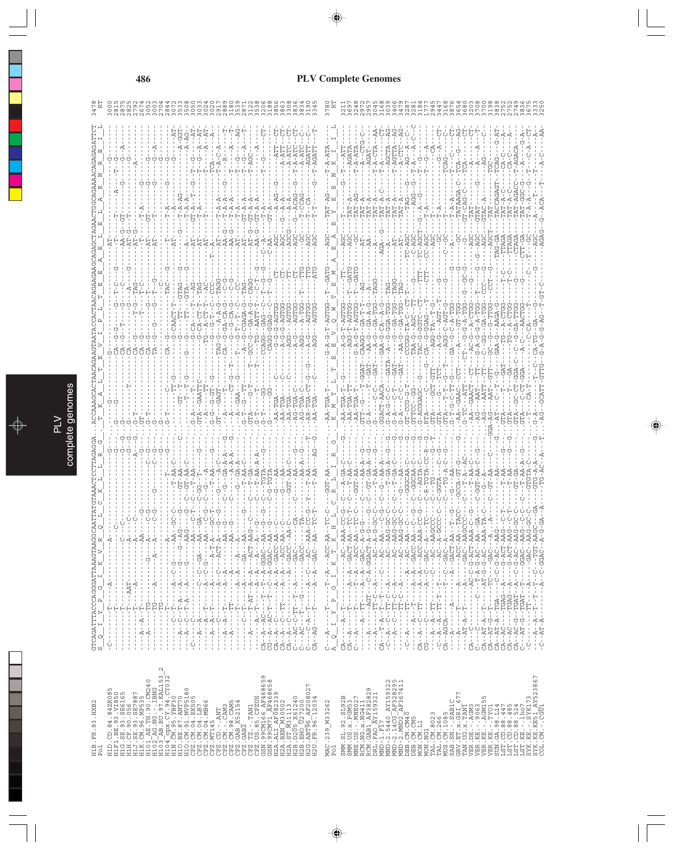| ŕ<br>ŕ.<br>ì |
|--------------|
|              |
| ŕ<br>r       |

| FR.83. HXB2                                                                                                                                                                                                                                                                                                                                                                    | $\begin{array}{ccccc} \texttt{GTCAGATTTACCCCAGGGATTRAAGTAA} \\ \texttt{S} & \texttt{Q} & \texttt{I} & \texttt{Y} & \texttt{P} & \texttt{G} & \texttt{I} & \texttt{K} & \texttt{V} & \texttt{I} \end{array}$                                                                                                                                                                                                                                                                                                                                                                   |  |  |  |  |  |
|--------------------------------------------------------------------------------------------------------------------------------------------------------------------------------------------------------------------------------------------------------------------------------------------------------------------------------------------------------------------------------|-------------------------------------------------------------------------------------------------------------------------------------------------------------------------------------------------------------------------------------------------------------------------------------------------------------------------------------------------------------------------------------------------------------------------------------------------------------------------------------------------------------------------------------------------------------------------------|--|--|--|--|--|
|                                                                                                                                                                                                                                                                                                                                                                                | $- - P -$<br>٠<br>$\frac{1}{1}$<br>$\frac{1}{1}$<br>Н<br>н<br>$\,$ I<br>Ţ<br>$\mathfrak l$<br>$\mathfrak l$<br>J.<br>J.<br>$\,$ I<br>U<br>$\mathbf{I}$                                                                                                                                                                                                                                                                                                                                                                                                                        |  |  |  |  |  |
|                                                                                                                                                                                                                                                                                                                                                                                | I,<br>J.<br>ł<br>Н<br>Ĩ,<br>I.<br>ı<br>I,<br>٠<br>٠<br>I.<br>I,<br>ı<br>J.                                                                                                                                                                                                                                                                                                                                                                                                                                                                                                    |  |  |  |  |  |
|                                                                                                                                                                                                                                                                                                                                                                                | $---AAT$<br>Н<br>$\frac{1}{1}$<br>$\,$ I<br>$\mathbf{I}$<br>$\,$ I<br>$\blacksquare$                                                                                                                                                                                                                                                                                                                                                                                                                                                                                          |  |  |  |  |  |
|                                                                                                                                                                                                                                                                                                                                                                                | $\blacksquare$<br>$\mathbf{I}$<br>$\blacksquare$<br>$\mathbf{1}$<br>$-4$<br>-<br>$\,$<br>Ť<br>$\overline{\phantom{a}}$<br>$\frac{1}{2}$<br>$- -A - -A - T$                                                                                                                                                                                                                                                                                                                                                                                                                    |  |  |  |  |  |
|                                                                                                                                                                                                                                                                                                                                                                                | $-1 - 9 - 1$<br>$\,$ $\,$<br>$\mathbf{I}$<br>$-10T - 1$<br>ı<br>$-A-$                                                                                                                                                                                                                                                                                                                                                                                                                                                                                                         |  |  |  |  |  |
| $\mathbf{\sim}$                                                                                                                                                                                                                                                                                                                                                                | J.<br>J.<br>J.<br>J.<br>$- - A -$<br>٠<br>$- - 20T - -$<br>$-10T - 1$<br>f,<br>$\mathfrak l$<br>$\begin{array}{c} \rule{0.2cm}{0.15mm} \rule{0.2cm}{0.15mm} \rule{0.2cm}{0.15mm} \rule{0.2cm}{0.15mm} \rule{0.2cm}{0.15mm} \rule{0.2cm}{0.15mm} \rule{0.2cm}{0.15mm} \rule{0.2cm}{0.15mm} \rule{0.2cm}{0.15mm} \rule{0.2cm}{0.15mm} \rule{0.2cm}{0.15mm} \rule{0.2cm}{0.15mm} \rule{0.2cm}{0.15mm} \rule{0.2cm}{0.15mm} \rule{0.2cm}{0.15mm} \rule{$<br>$\mathbf{I}$<br>$\mathbf{I}$<br>٠<br>J.<br>1                                                                          |  |  |  |  |  |
|                                                                                                                                                                                                                                                                                                                                                                                | 부                                                                                                                                                                                                                                                                                                                                                                                                                                                                                                                                                                             |  |  |  |  |  |
|                                                                                                                                                                                                                                                                                                                                                                                | $\,$<br>$\frac{1}{1}$<br><b>C-C-C-</b><br>К<br>÷<br>Н<br>÷<br>$\frac{1}{2}$                                                                                                                                                                                                                                                                                                                                                                                                                                                                                                   |  |  |  |  |  |
|                                                                                                                                                                                                                                                                                                                                                                                | $-5 - -1 - -1 - -1 -$<br>ŧ<br>K,<br>Ť<br>$-A-$<br>↻<br>Ť<br>$- - A$<br>J.                                                                                                                                                                                                                                                                                                                                                                                                                                                                                                     |  |  |  |  |  |
|                                                                                                                                                                                                                                                                                                                                                                                | 1<br>I,<br>ţ<br>t<br>$-5 -$<br>J.<br>$\mathbb{T}-\mathbb{A}--$<br>٠<br>$\frac{1}{2}$<br>$\frac{1}{2}$<br>$-4$<br>$\frac{1}{1}$<br>U                                                                                                                                                                                                                                                                                                                                                                                                                                           |  |  |  |  |  |
|                                                                                                                                                                                                                                                                                                                                                                                | $- -C - GA - - -$<br>U<br>÷<br>$\mathsf I$<br>$\frac{1}{1}$<br>י פורון ויוחים<br>היה היה היה היה ה<br>A<br>Ŧ<br>$- - A$                                                                                                                                                                                                                                                                                                                                                                                                                                                       |  |  |  |  |  |
|                                                                                                                                                                                                                                                                                                                                                                                | $\mathbf{I}$<br>$A - -C - G - A - A$<br>К<br>÷<br>$\frac{1}{1}$<br>$-4$<br>$\,$ $\,$                                                                                                                                                                                                                                                                                                                                                                                                                                                                                          |  |  |  |  |  |
|                                                                                                                                                                                                                                                                                                                                                                                | $---A-T-2$<br>K,<br>$\mathbf{I}$<br>$\blacksquare$<br>$-1$                                                                                                                                                                                                                                                                                                                                                                                                                                                                                                                    |  |  |  |  |  |
|                                                                                                                                                                                                                                                                                                                                                                                | $-10P - 1$<br>К<br>J.<br>J.<br>措<br>U<br>Ĭ<br>J.                                                                                                                                                                                                                                                                                                                                                                                                                                                                                                                              |  |  |  |  |  |
|                                                                                                                                                                                                                                                                                                                                                                                | $\,$ I<br>٠<br>٠<br>$- -A - - -$<br>$- -2 - - -$<br>К<br>Ť<br>٠<br>$-$ - TT $\hspace{-0.05cm}-$<br>$\mathbf{I}$<br>$-4$<br>$- - A$<br>$-1$                                                                                                                                                                                                                                                                                                                                                                                                                                    |  |  |  |  |  |
|                                                                                                                                                                                                                                                                                                                                                                                | К<br>÷<br>ł.<br>$\overline{\phantom{a}^{+}}$<br>÷,<br>÷.                                                                                                                                                                                                                                                                                                                                                                                                                                                                                                                      |  |  |  |  |  |
|                                                                                                                                                                                                                                                                                                                                                                                | К<br>$\overline{\phantom{a}}$<br>$\frac{1}{2}$<br>$\overline{\phantom{a}}$<br>$\,$ $\,$                                                                                                                                                                                                                                                                                                                                                                                                                                                                                       |  |  |  |  |  |
|                                                                                                                                                                                                                                                                                                                                                                                | $-1-DA-1-DCT-1$<br>K,<br>Ĵ<br>$- - A - -$<br>$\mathbf{I}$                                                                                                                                                                                                                                                                                                                                                                                                                                                                                                                     |  |  |  |  |  |
|                                                                                                                                                                                                                                                                                                                                                                                | J<br>$- -P - -P - - -$<br>К<br>$\frac{1}{4}$<br>$-4$<br>$\,$ 1<br>t                                                                                                                                                                                                                                                                                                                                                                                                                                                                                                           |  |  |  |  |  |
|                                                                                                                                                                                                                                                                                                                                                                                | I - - A - GGAC - - A<br>3 - - A - GGAC - - A<br>4 - - A - - GACC - A<br>4 - - A - - - ACC - A<br>$-1$<br>$\overline{\phantom{a}}$<br>$- -AC - C$<br>K,<br>Ţ<br>$\mathbb{S}$                                                                                                                                                                                                                                                                                                                                                                                                   |  |  |  |  |  |
|                                                                                                                                                                                                                                                                                                                                                                                | U<br>÷<br>۲<br>ا<br>$-4$<br>g                                                                                                                                                                                                                                                                                                                                                                                                                                                                                                                                                 |  |  |  |  |  |
|                                                                                                                                                                                                                                                                                                                                                                                | К<br>÷<br>$\blacksquare$<br>$\frac{1}{4}$<br>I                                                                                                                                                                                                                                                                                                                                                                                                                                                                                                                                |  |  |  |  |  |
|                                                                                                                                                                                                                                                                                                                                                                                | К<br>÷<br>$-1.5-$<br>$\begin{array}{c}\nCA & -A \\ CA & -A\n\end{array}$                                                                                                                                                                                                                                                                                                                                                                                                                                                                                                      |  |  |  |  |  |
|                                                                                                                                                                                                                                                                                                                                                                                | $-10AC - 4C - 1$<br>÷<br>$\frac{1}{1}$<br>$\frac{1}{4}$                                                                                                                                                                                                                                                                                                                                                                                                                                                                                                                       |  |  |  |  |  |
|                                                                                                                                                                                                                                                                                                                                                                                | $-$ -GACC $-$<br>$- - GAC$<br>$- -A - -$<br>$\mathbf{L}=-\mathbf{L}\mathbf{L}^{\perp}-$<br>$\overline{\mathbb{H}}_+$<br>$---AC-C$<br>$C---AC-$<br>U                                                                                                                                                                                                                                                                                                                                                                                                                           |  |  |  |  |  |
|                                                                                                                                                                                                                                                                                                                                                                                | ٠<br>ウーー                                                                                                                                                                                                                                                                                                                                                                                                                                                                                                                                                                      |  |  |  |  |  |
|                                                                                                                                                                                                                                                                                                                                                                                | ı<br>$\begin{array}{l} C---C-A--\frac{1}{2} \\ C-A--\frac{1}{2}G--\frac{1}{2} \\ C-A--\frac{1}{2}G--\frac{1}{2}G--\frac{1}{2} \\ C=A--\frac{1}{2}G--\frac{1}{2}G--\frac{1}{2} \\ \end{array}$                                                                                                                                                                                                                                                                                                                                                                                 |  |  |  |  |  |
|                                                                                                                                                                                                                                                                                                                                                                                | $-ACC-1$<br>$-$ T $-$ – $-$ A $-$ – $\,$<br>$\mathbf I$<br>Ť.<br>$\mathbb H$<br>$\mathbf{I}$<br>$\mathbf{I}$<br>$\mathsf I$<br>$\mathbf{I}$<br>$-4$<br>U                                                                                                                                                                                                                                                                                                                                                                                                                      |  |  |  |  |  |
| MAC.239_M33262<br>Pol                                                                                                                                                                                                                                                                                                                                                          | $\vdash$<br>$\mathbb{R}$<br>$\mapsto$<br>U<br>$\mathsf{\Delta}$<br>Σ<br>$\overline{\phantom{a}}$<br>$\infty$<br>A,                                                                                                                                                                                                                                                                                                                                                                                                                                                            |  |  |  |  |  |
|                                                                                                                                                                                                                                                                                                                                                                                | $---AC-$<br>$\blacksquare$<br>$\mathbf{I}$<br>-<br>$\mathbf{I}$<br>$-4 - 7$<br>$\frac{1}{4}$<br>F                                                                                                                                                                                                                                                                                                                                                                                                                                                                             |  |  |  |  |  |
|                                                                                                                                                                                                                                                                                                                                                                                | $-4$<br>$\,$ 1<br>÷<br>$\mathbb{F}_2$<br>$\frac{1}{4}$<br>$CA--A$                                                                                                                                                                                                                                                                                                                                                                                                                                                                                                             |  |  |  |  |  |
|                                                                                                                                                                                                                                                                                                                                                                                | . – – A – – GACT –<br>! – – A – – – ACC – .<br>턱<br>J<br>Í<br>$\begin{array}{c} 1 \ 1 \ 1 \end{array}$<br>$- -A - -$<br>U                                                                                                                                                                                                                                                                                                                                                                                                                                                     |  |  |  |  |  |
|                                                                                                                                                                                                                                                                                                                                                                                | $\frac{1}{1}$<br>$-4-4-040$<br>$-4$<br>$-1 - 2 - 4 - 1$<br>$\,$ I                                                                                                                                                                                                                                                                                                                                                                                                                                                                                                             |  |  |  |  |  |
|                                                                                                                                                                                                                                                                                                                                                                                | $C - A - GGACT - I$<br>$\frac{1}{4}$<br>$---ACT$<br>$\mathsf I$<br>$\frac{1}{1}$<br>$- - A$<br>J.                                                                                                                                                                                                                                                                                                                                                                                                                                                                             |  |  |  |  |  |
|                                                                                                                                                                                                                                                                                                                                                                                | $---2AC---$<br>ţ<br>$-4$<br>$-1$ -TT-C<br>f,<br>$-4$                                                                                                                                                                                                                                                                                                                                                                                                                                                                                                                          |  |  |  |  |  |
|                                                                                                                                                                                                                                                                                                                                                                                | $-1 - 1 - 1 - 1 - 1 - 1$<br>$\,$ I<br>i<br>İ<br>$-1$<br>$T - A$<br>$\frac{1}{1}$<br>đ                                                                                                                                                                                                                                                                                                                                                                                                                                                                                         |  |  |  |  |  |
|                                                                                                                                                                                                                                                                                                                                                                                | $- - - - - - - - - - - -$<br>İ<br>$-4$<br>$-TTT-C$<br>$\frac{1}{2}$<br>$-4$<br>U                                                                                                                                                                                                                                                                                                                                                                                                                                                                                              |  |  |  |  |  |
|                                                                                                                                                                                                                                                                                                                                                                                | $- - - - - - - - - - -$<br>t<br>$-4$<br>$-TTT - C$<br>$\frac{c}{1}$<br>$---A$                                                                                                                                                                                                                                                                                                                                                                                                                                                                                                 |  |  |  |  |  |
|                                                                                                                                                                                                                                                                                                                                                                                | $---PAC---$<br>$\frac{1}{1}$<br>К<br>÷<br>$-TTT - C$<br>$\frac{1}{1}$<br>$\,$ I                                                                                                                                                                                                                                                                                                                                                                                                                                                                                               |  |  |  |  |  |
|                                                                                                                                                                                                                                                                                                                                                                                | $- -A - -AC - -$<br>$-1.5$<br>÷<br>$-4$<br>U                                                                                                                                                                                                                                                                                                                                                                                                                                                                                                                                  |  |  |  |  |  |
| MND-2.1540 AY159322<br>MND-2.14CG_AF328295<br>MND-2.MND2_AF367411<br>DEB.CM.CM5<br>DEB.CM.CM5<br>MON.CM.L1                                                                                                                                                                                                                                                                     | A<br>-<br>$-4$                                                                                                                                                                                                                                                                                                                                                                                                                                                                                                                                                                |  |  |  |  |  |
|                                                                                                                                                                                                                                                                                                                                                                                | К<br>$\overline{\phantom{a}}$<br>$\frac{1}{2}$<br>$-4$<br>යි                                                                                                                                                                                                                                                                                                                                                                                                                                                                                                                  |  |  |  |  |  |
|                                                                                                                                                                                                                                                                                                                                                                                | I<br>U40--0--<br>К<br>Ť<br>t<br>J.<br>$\mathbf I$<br>$\mathsf I$<br>f,<br>$-1$<br>$\frac{1}{2}$<br>50                                                                                                                                                                                                                                                                                                                                                                                                                                                                         |  |  |  |  |  |
|                                                                                                                                                                                                                                                                                                                                                                                | I<br>$---2AC---$<br>$- - - - - - - - -$<br>÷<br>ד<br>ד<br>٠<br>$\begin{array}{l} -\vphantom{\int\limits_1} -\vphantom{\int\limits_1} -\vphantom{\int\limits_1} -\vphantom{\int\limits_1} -\vphantom{\int\limits_1} -\vphantom{\int\limits_1} -\vphantom{\int\limits_1} -\vphantom{\int\limits_1} -\vphantom{\int\limits_1} -\vphantom{\int\limits_1} -\vphantom{\int\limits_1} -\vphantom{\int\limits_1} -\vphantom{\int\limits_1} -\vphantom{\int\limits_1} -\vphantom{\int\limits_1} -\vphantom{\int\limits_1} -\vphantom{\int\limits_1} -\vphantom{\int\limits$<br>I.<br>Ρ |  |  |  |  |  |
|                                                                                                                                                                                                                                                                                                                                                                                | $- - - - - - - - - - -$<br>Ļ٢<br>J.<br>1<br>$CA - AGCA - -$                                                                                                                                                                                                                                                                                                                                                                                                                                                                                                                   |  |  |  |  |  |
|                                                                                                                                                                                                                                                                                                                                                                                | $- -A - GACT - I$<br>$\overline{1}$<br>$---A---$<br>$- - - - - - - -$<br>$\mathbf{I}$                                                                                                                                                                                                                                                                                                                                                                                                                                                                                         |  |  |  |  |  |
|                                                                                                                                                                                                                                                                                                                                                                                | $- - A - -$<br>$\frac{1}{1}$<br>F-<br>$- - - - - - - - - - -$<br>ı                                                                                                                                                                                                                                                                                                                                                                                                                                                                                                            |  |  |  |  |  |
|                                                                                                                                                                                                                                                                                                                                                                                | J,<br>$- - GAC$<br>j<br>$-4$<br>$\frac{1}{4}$<br>$---A T - A --- T$                                                                                                                                                                                                                                                                                                                                                                                                                                                                                                           |  |  |  |  |  |
|                                                                                                                                                                                                                                                                                                                                                                                | $\frac{1}{1}$<br>Ť<br>$\mathbf I$<br>U<br>$\,$ I<br>$CA -$                                                                                                                                                                                                                                                                                                                                                                                                                                                                                                                    |  |  |  |  |  |
|                                                                                                                                                                                                                                                                                                                                                                                | $\frac{1}{2}$<br>÷<br>U<br>↻                                                                                                                                                                                                                                                                                                                                                                                                                                                                                                                                                  |  |  |  |  |  |
|                                                                                                                                                                                                                                                                                                                                                                                | $\frac{1}{1}$<br>۲<br>ا                                                                                                                                                                                                                                                                                                                                                                                                                                                                                                                                                       |  |  |  |  |  |
|                                                                                                                                                                                                                                                                                                                                                                                | ı<br>$\frac{1}{1}$<br>י<br>י<br>$\begin{array}{c} \mbox{CA--AT--A--}\cr \mbox{CA--AT--AT--G--}\cr \end{array}$                                                                                                                                                                                                                                                                                                                                                                                                                                                                |  |  |  |  |  |
|                                                                                                                                                                                                                                                                                                                                                                                | $C-C-C-BC$<br>$\mathbf{I}$<br>$CA - AT - A - TGA$                                                                                                                                                                                                                                                                                                                                                                                                                                                                                                                             |  |  |  |  |  |
|                                                                                                                                                                                                                                                                                                                                                                                | $-10-7-7$<br>t<br>$- - A$<br>$-$ -TGAG<br>$CA - AC -$                                                                                                                                                                                                                                                                                                                                                                                                                                                                                                                         |  |  |  |  |  |
|                                                                                                                                                                                                                                                                                                                                                                                | $-1-DA-D-1$<br>ŧ<br>- - A<br>$-$ -TGAG<br>$CA - AC -$                                                                                                                                                                                                                                                                                                                                                                                                                                                                                                                         |  |  |  |  |  |
| $\begin{array}{l} \text{TAU}, \text{1001}, \text{1011}, \text{1021}, \text{1011}, \text{1021}, \text{1011}, \text{1021}, \text{1011}, \text{1031}, \text{1031}, \text{1041}, \text{1051}, \text{1061}, \text{1081}, \text{1081}, \text{1081}, \text{1081}, \text{1091}, \text{1091}, \text{1001}, \text{1001}, \text{1011}, \text{1011}, \text{1011}, \text{1011}, \text{1011$ | $- -C - C - C - C - C - 1$<br>$- - GGAC$<br>$\frac{1}{4}$<br>$-4$<br>י<br>י<br>$-$ -TGAT<br>$  TGAT$                                                                                                                                                                                                                                                                                                                                                                                                                                                                          |  |  |  |  |  |
|                                                                                                                                                                                                                                                                                                                                                                                | Ì,<br>$-1$<br>$-17T -$<br>$\mathfrak l$<br>J<br>J.<br>J,<br>$\bigcirc$                                                                                                                                                                                                                                                                                                                                                                                                                                                                                                        |  |  |  |  |  |
|                                                                                                                                                                                                                                                                                                                                                                                | ۲<br>ا<br>$\Gamma$<br>$\frac{1}{2}$                                                                                                                                                                                                                                                                                                                                                                                                                                                                                                                                           |  |  |  |  |  |
|                                                                                                                                                                                                                                                                                                                                                                                | $-1 - -2 - 2 -$<br>- C - - AT - A                                                                                                                                                                                                                                                                                                                                                                                                                                                                                                                                             |  |  |  |  |  |
|                                                                                                                                                                                                                                                                                                                                                                                |                                                                                                                                                                                                                                                                                                                                                                                                                                                                                                                                                                               |  |  |  |  |  |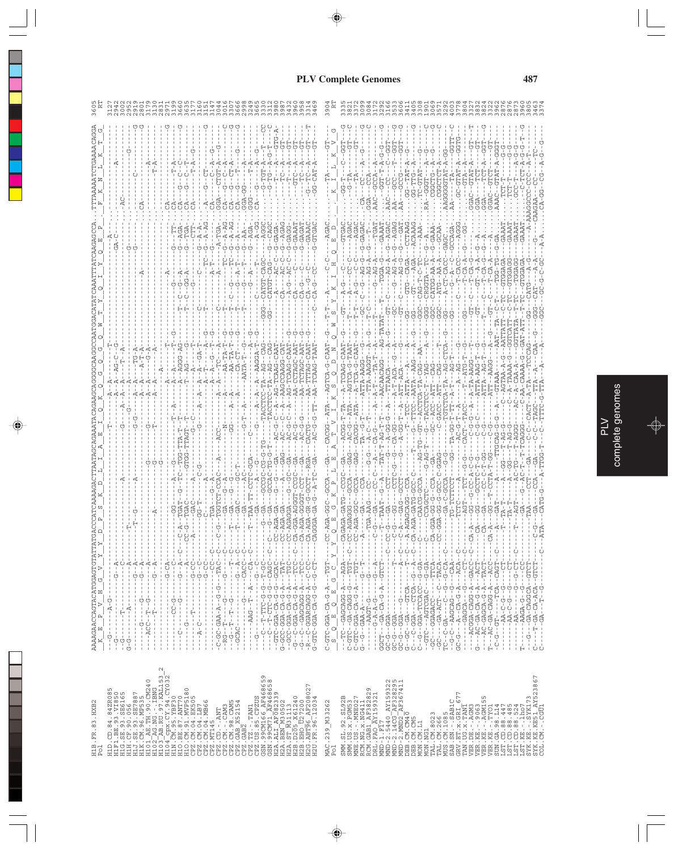| ì<br>č<br>J |
|-------------|
| ï<br>5      |
| ī<br>į      |

| H1B.FR.83.HXB2<br>Pol                                                                                                                                                                                                                                                                                                                                                                                                                                                                                                                                                                                                                                                                                                                                                                                                                                                                                                                                                                                                                                     | $\frac{N}{N}\frac{1}{N}\frac{1}{N}\frac{1}{N}\frac{1}{N}\frac{1}{N}\frac{1}{N}\frac{1}{N}\frac{1}{N}\frac{1}{N}\frac{1}{N}\frac{1}{N}\frac{1}{N}\frac{1}{N}\frac{1}{N}\frac{1}{N}\frac{1}{N}\frac{1}{N}\frac{1}{N}\frac{1}{N}\frac{1}{N}\frac{1}{N}\frac{1}{N}\frac{1}{N}\frac{1}{N}\frac{1}{N}\frac{1}{N}\frac{1}{N}\frac{1}{N}\frac{1}{N}\frac{1}{N}\frac{1}{N}\frac{1}{N}\frac{1}{N}\frac{1}{N}\frac{1}{N}\frac{1$                                                                                                                                                                                                                                                                                                                                                                                                                                                                                                                                                                                                                                                                                                                                                                                                                                                                                                                                                                                                                                                                                                                                                                                                                                                                                                                                                     |  |
|-----------------------------------------------------------------------------------------------------------------------------------------------------------------------------------------------------------------------------------------------------------------------------------------------------------------------------------------------------------------------------------------------------------------------------------------------------------------------------------------------------------------------------------------------------------------------------------------------------------------------------------------------------------------------------------------------------------------------------------------------------------------------------------------------------------------------------------------------------------------------------------------------------------------------------------------------------------------------------------------------------------------------------------------------------------|---------------------------------------------------------------------------------------------------------------------------------------------------------------------------------------------------------------------------------------------------------------------------------------------------------------------------------------------------------------------------------------------------------------------------------------------------------------------------------------------------------------------------------------------------------------------------------------------------------------------------------------------------------------------------------------------------------------------------------------------------------------------------------------------------------------------------------------------------------------------------------------------------------------------------------------------------------------------------------------------------------------------------------------------------------------------------------------------------------------------------------------------------------------------------------------------------------------------------------------------------------------------------------------------------------------------------------------------------------------------------------------------------------------------------------------------------------------------------------------------------------------------------------------------------------------------------------------------------------------------------------------------------------------------------------------------------------------------------------------------------------------------------|--|
| $\mathcal{A}$                                                                                                                                                                                                                                                                                                                                                                                                                                                                                                                                                                                                                                                                                                                                                                                                                                                                                                                                                                                                                                             | $-1 - 3$<br>$\begin{bmatrix} 0 & 0 & 0 & 0 \\ 0 & 1 & 1 & 1 \\ 0 & 0 & 0 & 1 \end{bmatrix}$<br>ジー<br>$\frac{1}{4}$<br>$\frac{1}{4}$<br>$\frac{1}{4}$<br>$\frac{1}{4}$<br>÷<br>$\frac{1}{1}$<br>$\frac{1}{4}$<br>÷<br>÷<br>÷<br>$\frac{1}{2}$<br>$\begin{array}{l} \mathbf{1} & \mathbf{1} & \mathbf{1} & \mathbf{1} & \mathbf{1} & \mathbf{1} \\ \mathbf{1} & \mathbf{1} & \mathbf{1} & \mathbf{1} & \mathbf{1} & \mathbf{1} \\ \mathbf{1} & \mathbf{1} & \mathbf{1} & \mathbf{1} & \mathbf{1} & \mathbf{1} \\ \mathbf{1} & \mathbf{1} & \mathbf{1} & \mathbf{1} & \mathbf{1} & \mathbf{1} \\ \mathbf{1} & \mathbf{1} & \mathbf{1} & \mathbf{1} & \mathbf{1} & \mathbf{1} \\ \mathbf$<br>$\frac{1}{4}$<br>$\begin{array}{r} -1.015 - 0.015 - 0.015 - 0.015 - 0.0000 \\ -0.0000 - 0.0000 - 0.0000 - 0.0000 \\ -0.0000 - 0.0000 - 0.0000 - 0.0000 \\ -0.00000 - 0.00000 - 0.00000 \\ -0.00000 - 0.00000 - 0.00000 \\ -0.000000 - 0.00000 - 0.00000 \\ -0.000000 - 0.00000 - 0.00000 \\ -0.$<br>÷<br>$-5 - 5 - 1$<br>U-U-U-U-U-U-U-U-U-U<br>U--5--<br>$\begin{array}{l} \mathbf{q} = \mathbf{q} = \mathbf{q} = \mathbf{q} = \mathbf{q} = \mathbf{q} = \mathbf{q} = \mathbf{q} = \mathbf{q} = \mathbf{q} = \mathbf{q} = \mathbf{q} = \mathbf{q} = \mathbf{q} = \mathbf{q} = \mathbf{q} = \mathbf{q} = \mathbf{q} = \mathbf{q} = \mathbf{q} = \mathbf{q} = \mathbf{q} = \mathbf{q} = \mathbf{q} = \mathbf{q} = \mathbf{q} = \mathbf{q} = \mathbf{q} = \mathbf{q} = \mathbf{q} = \mathbf$<br>U-U-U-KU-KUU-ULU-U<br>甘<br>$\frac{1}{4}$<br>Ť<br>$-5 - 4 - 6 -$<br>$\blacksquare$<br>$\mathbf{I}$<br>$\frac{1}{1}$<br>ł<br>$\frac{1}{1}$<br>$-GCAC$<br>$-9 - -$<br>$rac{1}{\sqrt{2}}$<br>$\dot{c}$<br>$\mathbf{L}$<br>$\frac{1}{4}$<br>$\mathbf{I}$<br>$\mathbf{I}$<br>$\mathsf I$ |  |
| $\begin{array}{l} \text{SMM, SL-32.5 L92B} \\ \text{MMM, US}\xrightarrow{\hspace*{0.3cm}}\xrightarrow{\hspace*{0.3cm}}\xrightarrow{\hspace*{0.3cm}}\xrightarrow{\hspace*{0.3cm}}\xrightarrow{\hspace*{0.3cm}}\xrightarrow{\hspace*{0.3cm}}\xrightarrow{\hspace*{0.3cm}}\xrightarrow{\hspace*{0.3cm}}\xrightarrow{\hspace*{0.3cm}}\xrightarrow{\hspace*{0.3cm}}\xrightarrow{\hspace*{0.3cm}}\xrightarrow{\hspace*{0.3cm}}\xrightarrow{\hspace*{0.3cm}}\xrightarrow{\hspace*{0.3cm}}\xrightarrow{\hspace$<br>SYK.KE.-.SYK173<br>SYK.KE.KE51 AY52386<br>COL.CM.-.C <del>C</del> U1<br>$\begin{tabular}{l l l } \hline \texttt{PAI} & \texttt{ON} & \texttt{3023} \\ \hline \texttt{PAI} & \texttt{ON} & \texttt{1308} \\ \texttt{MRL} & \texttt{SIR} & \texttt{SARIL} \\ \texttt{SRR} & \texttt{SIR} & \texttt{SIR} & \texttt{SARIL} \\ \texttt{SRR} & \texttt{SIR} & \texttt{SIR} & \texttt{SIR} \\ \texttt{MRR} & \texttt{RIR} & \texttt{SIR} & \texttt{130} \\ \texttt{VRR} & \texttt{RIR} & \texttt{SIR} & \texttt{$<br>MAC.239_M33262<br>Pol<br>MON.NG1 | $-1$<br>$-1$ - $CZ$<br>:ט<br>-<br>U<br>-<br>$-1 - 1 - 1 - 1$<br>$-1$<br>İ<br>$\frac{1}{1}$<br>$-1$ $-1$ $-1$<br>÷<br>$\overline{a}$<br>$\frac{1}{4}$<br>$\frac{1}{4}$<br>Í<br>÷<br>$\frac{1}{2}$<br>$\mathbf{I}$<br>$\frac{C}{1}$<br>$-10 - 10 - 0 - 0$<br>$\geq$<br>÷<br>-- 454-- -4-5540545-- 0H--<br>$\frac{1}{4}$<br>$\frac{1}{4}$<br>$\frac{1}{4}$<br>$\frac{1}{4}$<br>$-177 - -$<br>f,<br>÷<br>$-10T - 7$<br>$G-C-CI - A - CA-CI - CI - A - I - ACA$<br>$\begin{array}{l} \mathsf{C}\mathrm{-}\mathsf{G}\mathsf{T}\mathsf{C}\mathrm{-}\mathrm{-}\mathsf{G}\mathsf{A}\mathrm{-}\mathsf{C}\mathsf{A}\mathsf{G}\mathsf{G}\mathrm{-}\mathrm{-}\mathrm{-}\mathrm{-}\mathsf{T}\mathsf{G}\mathsf{T} \\ \mathsf{C}\mathrm{-}\mathsf{G}\mathsf{T}\mathsf{C}\mathrm{-}\mathrm{-}\mathsf{G}\mathsf{G}\mathsf{A}\mathrm{-}\mathsf{C}\mathsf{A}\mathrm{-}\mathsf{G}\mathrm{-}\mathrm{A}\mathrm{-}\mathrm{-}\mathrm{-}\mathrm{-}\mathrm{T}\mathsf{G}\mathsf{T} \end{array}$<br>-----ACGGA-CAGG-A--GACC<br>G----AC-GA-CA-G-A---ACT<br>$---TCA---CAGT$<br>-----AC-GAGCA-G-A--TACT<br>T----AC-GA-CAGG-A----ACC<br>U<br>U<br>U<br>U<br>HUH5--KUBBKU-K5----5--<br>-- CAGCA---------<br>$\begin{array}{c}\nC-\text{GTC-GGA-G-A-}\\ S-Q-E-Q-E\n\end{array}$<br>$-1 - 1 - 1 - 1 = -1$<br>$- - - - - - - - - - - - - -$<br>$- - - 15 - - - -$<br>$\frac{1}{1}$<br>$\,$<br>もし<br>$\frac{1}{1}$<br>ŧ<br><b>UC</b><br>$\mathsf{H}$                                                                                                                                                                                                                                                                                                                                                            |  |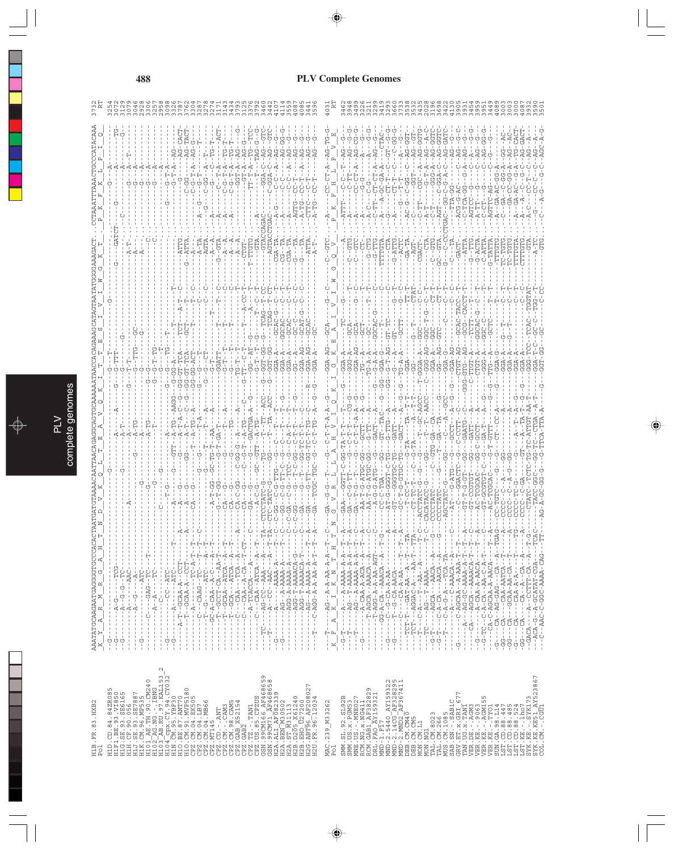| í<br>ř<br>ř<br>ĭ |
|------------------|
| í                |
|                  |

S

|                                                                                                                                                                                                                                                                                                                                                                                                         | AAATATGCAAGAATGGGGCCCCAC<br>$\Delta$<br>U<br>$\approx$<br>$\mathbbmss{}$<br>$\simeq$<br>$\mathbb{A}$<br>Υ<br>K                                                                                                                                                                                                                                                                                                                                    | $\Xi$                        |  |  |  |  |  |
|---------------------------------------------------------------------------------------------------------------------------------------------------------------------------------------------------------------------------------------------------------------------------------------------------------------------------------------------------------------------------------------------------------|---------------------------------------------------------------------------------------------------------------------------------------------------------------------------------------------------------------------------------------------------------------------------------------------------------------------------------------------------------------------------------------------------------------------------------------------------|------------------------------|--|--|--|--|--|
| $\begin{tabular}{l} \bf 1211.121.123.134.4220085\\ \bf 1121.123.93.371850\\ \bf 1121.123.93.371850\\ \bf 1121.125.93.93.8785\\ \bf 1121.125.93.93.8787\\ \bf 1121.125.93.1274.138.139\\ \bf 1121.124.139.131.130.281.131.132.24\\ \bf 1121.124.130.130.131.131$                                                                                                                                         | $-$ -DOG $-$<br>$\overset{-}{\circlearrowright}$                                                                                                                                                                                                                                                                                                                                                                                                  |                              |  |  |  |  |  |
|                                                                                                                                                                                                                                                                                                                                                                                                         |                                                                                                                                                                                                                                                                                                                                                                                                                                                   |                              |  |  |  |  |  |
|                                                                                                                                                                                                                                                                                                                                                                                                         |                                                                                                                                                                                                                                                                                                                                                                                                                                                   |                              |  |  |  |  |  |
|                                                                                                                                                                                                                                                                                                                                                                                                         |                                                                                                                                                                                                                                                                                                                                                                                                                                                   |                              |  |  |  |  |  |
|                                                                                                                                                                                                                                                                                                                                                                                                         | $\begin{split} -1 & -1 \\ -1 & -1 \\ -2 & -2 \\ -2 & -3 \\ -3 & -4 \\ -3 & -1 \\ -4 & -1 \\ -5 & -2 \\ -6 & -2 \\ -6 & -2 \\ -6 & -2 \\ -6 & -2 \\ -6 & -2 \\ -6 & -2 \\ -6 & -3 \\ -6 & -4 \\ -7 & -1 \\ -7 & -1 \\ -7 & -1 \\ -7 & -1 \\ -7 & -1 \\ -7 & -1 \\ -7 & -1 \\ -7 & -1 \\ -7 & -1 \\ -7 & -1 \\ -7 & -1 \\ -7 & -1 \\ -7 & -1 \\ -7 & -1 \\ -7 & -1 \\ -7 & -1 \\ -7 & -1 \\ -7 & -1 \\ -7 & -1 \\ -7 & -1$                          |                              |  |  |  |  |  |
| $\mathcal{C}$                                                                                                                                                                                                                                                                                                                                                                                           | $\mathbb{I}$<br>$\mathsf{I}$                                                                                                                                                                                                                                                                                                                                                                                                                      |                              |  |  |  |  |  |
|                                                                                                                                                                                                                                                                                                                                                                                                         | $\frac{1}{4}$<br>$-6 - - - -$<br>$\dot{q}$                                                                                                                                                                                                                                                                                                                                                                                                        | $\overline{\phantom{a}^{+}}$ |  |  |  |  |  |
|                                                                                                                                                                                                                                                                                                                                                                                                         |                                                                                                                                                                                                                                                                                                                                                                                                                                                   | ł                            |  |  |  |  |  |
|                                                                                                                                                                                                                                                                                                                                                                                                         |                                                                                                                                                                                                                                                                                                                                                                                                                                                   | $\frac{1}{4}$                |  |  |  |  |  |
|                                                                                                                                                                                                                                                                                                                                                                                                         | <b>ローズー ひロー ーーーーーーー イーーーーーーーーーー</b>                                                                                                                                                                                                                                                                                                                                                                                                               |                              |  |  |  |  |  |
|                                                                                                                                                                                                                                                                                                                                                                                                         |                                                                                                                                                                                                                                                                                                                                                                                                                                                   |                              |  |  |  |  |  |
|                                                                                                                                                                                                                                                                                                                                                                                                         |                                                                                                                                                                                                                                                                                                                                                                                                                                                   |                              |  |  |  |  |  |
|                                                                                                                                                                                                                                                                                                                                                                                                         |                                                                                                                                                                                                                                                                                                                                                                                                                                                   | 11111                        |  |  |  |  |  |
|                                                                                                                                                                                                                                                                                                                                                                                                         |                                                                                                                                                                                                                                                                                                                                                                                                                                                   | 부부                           |  |  |  |  |  |
|                                                                                                                                                                                                                                                                                                                                                                                                         |                                                                                                                                                                                                                                                                                                                                                                                                                                                   | ۳<br>ا                       |  |  |  |  |  |
|                                                                                                                                                                                                                                                                                                                                                                                                         |                                                                                                                                                                                                                                                                                                                                                                                                                                                   | $-CT$<br>ŧ                   |  |  |  |  |  |
|                                                                                                                                                                                                                                                                                                                                                                                                         |                                                                                                                                                                                                                                                                                                                                                                                                                                                   | $\frac{1}{4}$                |  |  |  |  |  |
|                                                                                                                                                                                                                                                                                                                                                                                                         |                                                                                                                                                                                                                                                                                                                                                                                                                                                   |                              |  |  |  |  |  |
|                                                                                                                                                                                                                                                                                                                                                                                                         | $- -12T - - -$                                                                                                                                                                                                                                                                                                                                                                                                                                    |                              |  |  |  |  |  |
|                                                                                                                                                                                                                                                                                                                                                                                                         | $-1$                                                                                                                                                                                                                                                                                                                                                                                                                                              |                              |  |  |  |  |  |
| GSN.99CN166 AF468659<br>GSN.99CN71 AF468658<br>H2A.ALI AF5082339<br>H2A.BT N311130<br>H2A.BT N311130<br>H2B.D205_X61240                                                                                                                                                                                                                                                                                 | $-6 -$                                                                                                                                                                                                                                                                                                                                                                                                                                            |                              |  |  |  |  |  |
|                                                                                                                                                                                                                                                                                                                                                                                                         | $-5 -$                                                                                                                                                                                                                                                                                                                                                                                                                                            |                              |  |  |  |  |  |
|                                                                                                                                                                                                                                                                                                                                                                                                         | - - - - - - AGG - A - AAAA - A - -<br>- - - - - - - AGG - T - AAAACA - G<br>$\frac{1}{1}$                                                                                                                                                                                                                                                                                                                                                         | $\frac{1}{4}$                |  |  |  |  |  |
|                                                                                                                                                                                                                                                                                                                                                                                                         | $\frac{1}{1}$                                                                                                                                                                                                                                                                                                                                                                                                                                     |                              |  |  |  |  |  |
|                                                                                                                                                                                                                                                                                                                                                                                                         | $-4GG-T-AAAACA-T$<br>$\frac{1}{1}$<br>$\frac{1}{1}$                                                                                                                                                                                                                                                                                                                                                                                               | Ħ                            |  |  |  |  |  |
|                                                                                                                                                                                                                                                                                                                                                                                                         | f,                                                                                                                                                                                                                                                                                                                                                                                                                                                |                              |  |  |  |  |  |
|                                                                                                                                                                                                                                                                                                                                                                                                         |                                                                                                                                                                                                                                                                                                                                                                                                                                                   |                              |  |  |  |  |  |
|                                                                                                                                                                                                                                                                                                                                                                                                         | $\overline{a}$                                                                                                                                                                                                                                                                                                                                                                                                                                    |                              |  |  |  |  |  |
|                                                                                                                                                                                                                                                                                                                                                                                                         | $-\frac{1}{2} \frac{1}{N} \frac{1}{N} = \frac{1}{N} \frac{1}{N} \frac{1}{N} \frac{1}{N} \frac{1}{N} \frac{1}{N}$<br>$\overline{A}$<br>ţ<br>$\mathbb{E}$<br>K                                                                                                                                                                                                                                                                                      |                              |  |  |  |  |  |
|                                                                                                                                                                                                                                                                                                                                                                                                         |                                                                                                                                                                                                                                                                                                                                                                                                                                                   |                              |  |  |  |  |  |
| SMM.SL.92.SL92B<br>SMM.US.x.PGM53<br>MNE.US.-.MNE027                                                                                                                                                                                                                                                                                                                                                    | $-G - T$ .                                                                                                                                                                                                                                                                                                                                                                                                                                        | H<br>H                       |  |  |  |  |  |
|                                                                                                                                                                                                                                                                                                                                                                                                         | È,                                                                                                                                                                                                                                                                                                                                                                                                                                                |                              |  |  |  |  |  |
|                                                                                                                                                                                                                                                                                                                                                                                                         |                                                                                                                                                                                                                                                                                                                                                                                                                                                   | nee<br>Tit                   |  |  |  |  |  |
|                                                                                                                                                                                                                                                                                                                                                                                                         | $-1 - 1 - 2 - 02A - 2 - 02A - 0$<br>$-5-$                                                                                                                                                                                                                                                                                                                                                                                                         |                              |  |  |  |  |  |
| RCM.GAB1 AF382829<br>DRL.FAO AY159321                                                                                                                                                                                                                                                                                                                                                                   |                                                                                                                                                                                                                                                                                                                                                                                                                                                   |                              |  |  |  |  |  |
|                                                                                                                                                                                                                                                                                                                                                                                                         |                                                                                                                                                                                                                                                                                                                                                                                                                                                   |                              |  |  |  |  |  |
|                                                                                                                                                                                                                                                                                                                                                                                                         |                                                                                                                                                                                                                                                                                                                                                                                                                                                   | ł                            |  |  |  |  |  |
|                                                                                                                                                                                                                                                                                                                                                                                                         |                                                                                                                                                                                                                                                                                                                                                                                                                                                   | ł                            |  |  |  |  |  |
|                                                                                                                                                                                                                                                                                                                                                                                                         |                                                                                                                                                                                                                                                                                                                                                                                                                                                   | ۲<br>ا                       |  |  |  |  |  |
|                                                                                                                                                                                                                                                                                                                                                                                                         |                                                                                                                                                                                                                                                                                                                                                                                                                                                   | ÷                            |  |  |  |  |  |
|                                                                                                                                                                                                                                                                                                                                                                                                         |                                                                                                                                                                                                                                                                                                                                                                                                                                                   |                              |  |  |  |  |  |
| MND-2.5440_AY159322<br>MND-2.14CG_AF328295<br>MND-2.MND2_AF328295<br>DEB.CM.CM5<br>DEB.CM.CM5<br>MON.CM.L1                                                                                                                                                                                                                                                                                              | $\begin{aligned} &\cdots -\text{T}(\texttt{CT} - \texttt{1} - \texttt{AGGAC} \cdot \texttt{A} - \texttt{1} - \texttt{A}, \\ &\cdots -\texttt{T} - \texttt{1} - \texttt{1} - \texttt{A} \cdot \texttt{GAC} \cdot \texttt{A} - \texttt{1} - \texttt{A}, \\ &\cdots -\texttt{1} - \texttt{1} - \texttt{1} - \texttt{1} - \texttt{1} - \texttt{1} - \texttt{1} - \texttt{1} - \texttt{1} - \texttt{1} - \texttt{1} - \texttt{1} - \texttt{1} - \text$ | ۱.<br>ال                     |  |  |  |  |  |
|                                                                                                                                                                                                                                                                                                                                                                                                         |                                                                                                                                                                                                                                                                                                                                                                                                                                                   |                              |  |  |  |  |  |
|                                                                                                                                                                                                                                                                                                                                                                                                         | $-9 - -$                                                                                                                                                                                                                                                                                                                                                                                                                                          | ŧ,                           |  |  |  |  |  |
|                                                                                                                                                                                                                                                                                                                                                                                                         | $-5 - 5 - 1$                                                                                                                                                                                                                                                                                                                                                                                                                                      | $\frac{1}{1}$                |  |  |  |  |  |
|                                                                                                                                                                                                                                                                                                                                                                                                         |                                                                                                                                                                                                                                                                                                                                                                                                                                                   |                              |  |  |  |  |  |
|                                                                                                                                                                                                                                                                                                                                                                                                         | $\,$                                                                                                                                                                                                                                                                                                                                                                                                                                              | $\frac{1}{1}$                |  |  |  |  |  |
|                                                                                                                                                                                                                                                                                                                                                                                                         |                                                                                                                                                                                                                                                                                                                                                                                                                                                   |                              |  |  |  |  |  |
|                                                                                                                                                                                                                                                                                                                                                                                                         |                                                                                                                                                                                                                                                                                                                                                                                                                                                   |                              |  |  |  |  |  |
|                                                                                                                                                                                                                                                                                                                                                                                                         |                                                                                                                                                                                                                                                                                                                                                                                                                                                   |                              |  |  |  |  |  |
| $\begin{array}{l} \textbf{F111} \dots \textbf{C01} \textbf{3023} \\ \textbf{011} \textbf{266} \\ \textbf{021} \textbf{303} \\ \textbf{034} \textbf{31} \dots \textbf{3811} \\ \textbf{035} \textbf{381} \dots \textbf{381} \\ \textbf{036} \textbf{381} \dots \textbf{381} \\ \textbf{0381} \textbf{311} \dots \textbf{381} \\ \textbf{039} \textbf{310} \dots \textbf{381} \\ \textbf{030} \textbf{31$ |                                                                                                                                                                                                                                                                                                                                                                                                                                                   | 1111<br>                     |  |  |  |  |  |
|                                                                                                                                                                                                                                                                                                                                                                                                         |                                                                                                                                                                                                                                                                                                                                                                                                                                                   |                              |  |  |  |  |  |
|                                                                                                                                                                                                                                                                                                                                                                                                         |                                                                                                                                                                                                                                                                                                                                                                                                                                                   | 부부                           |  |  |  |  |  |
|                                                                                                                                                                                                                                                                                                                                                                                                         |                                                                                                                                                                                                                                                                                                                                                                                                                                                   | Ť                            |  |  |  |  |  |
|                                                                                                                                                                                                                                                                                                                                                                                                         | - GG- - - CA - - - CAA - AATCA - - T<br>- - GG - - - CA - - - GCAA - AA - CA - - T                                                                                                                                                                                                                                                                                                                                                                | ÷                            |  |  |  |  |  |
|                                                                                                                                                                                                                                                                                                                                                                                                         | -G----CA----CAA-A-A-----T<br>-GG----CA----CA--A--CA--A                                                                                                                                                                                                                                                                                                                                                                                            | $\frac{1}{1}$                |  |  |  |  |  |
|                                                                                                                                                                                                                                                                                                                                                                                                         |                                                                                                                                                                                                                                                                                                                                                                                                                                                   | $\frac{1}{4}$                |  |  |  |  |  |
| SYK.KE.-.SYK173<br>SYK.KE.KE31_AY523867                                                                                                                                                                                                                                                                                                                                                                 |                                                                                                                                                                                                                                                                                                                                                                                                                                                   |                              |  |  |  |  |  |
|                                                                                                                                                                                                                                                                                                                                                                                                         | - 0ACA - - - - A - CCTTT-CA - - A - - T<br>- - ACA - G - A - GCATAT - CGA - - - - - T<br>- - - C - - AAC - C - GGC - AAAA - CAG - - - -                                                                                                                                                                                                                                                                                                           |                              |  |  |  |  |  |
|                                                                                                                                                                                                                                                                                                                                                                                                         |                                                                                                                                                                                                                                                                                                                                                                                                                                                   |                              |  |  |  |  |  |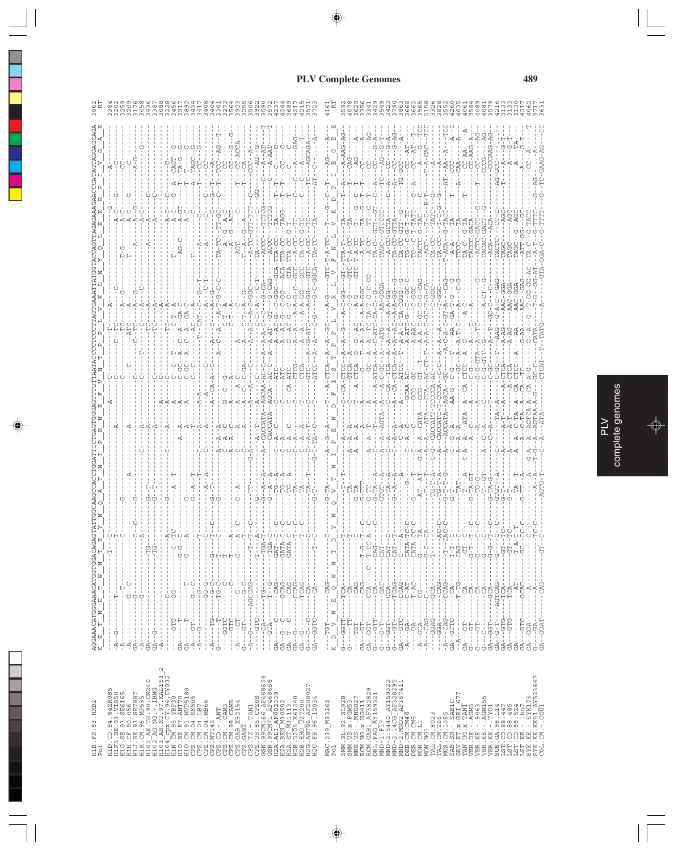| aenomes<br>ì  |
|---------------|
| ete           |
|               |
|               |
|               |
| י<br>המה<br>ī |
|               |
| ĭ             |
|               |
|               |

 $\overline{\mathtt{a}}$ 

| $\begin{array}{c} \dot{A} - CAC \\ \dot{A} - -A \end{array}$<br>AGGAAACATGGGAAACATGGTGGACAGAG<br>K E T W E T W E T<br>$\frac{1}{2}$<br>투<br>$\frac{1}{\sqrt{2}}$<br>リー<br>$- - A$<br>$-1 - 7$<br>$-4$<br>Н<br>◡<br>U<br>$- - - - A$<br>$- -T - - - -R$<br>$-$ -TGA $-$ C<br>$- - GAT - C$<br>$\begin{array}{c}\n - -\text{GATA} - \text{C} - \\  - -\text{GATA} - \text{C} - \\ \end{array}$<br>$\frac{0}{1}$<br>U<br>۲<br>ا<br>リー<br>$C---A$<br>$CATA-T$<br>- CATA - CC<br>- CATA - CC<br>- C - - - - CP<br>- T - - - - - - - -<br>$- - -$ A<br>U<br>U<br>C<br>Ō<br> <br>リー<br>$\overline{a}$<br>$\frac{1}{2}$ – $\frac{1}{2}$<br>부<br>۲<br>ا<br>$-\mathbf{T}--\mathbf{T}$<br>サート<br>$-10-10-10-1$<br>$-TOA - T$<br>ם יְ<br>Ť<br>Ĩ,<br>ł<br>Ĭ<br>ţ<br>$- - \Gamma G -$<br>$-$ CAG $-$<br>$\frac{1}{4}$<br>$-501 - 7$<br>ł<br>÷<br>$\frac{1}{4}$<br>$\mathbf{I}$<br>$\frac{1}{2}$<br>$-9 - 0 - 1$<br>$\mathbf{I}$<br>투<br>$\overline{\phantom{a}}$<br>ı<br>J.<br>$\mathbf{I}$<br>$\blacksquare$<br>$\mathbf{I}$<br>Ĥ<br>$\mathsf I$<br>$\overline{\phantom{a}}$<br>$\mathbf{1}$<br>J,<br><b>いい</b><br>J<br>ひ<br>ひHHHひ<br>$\mathbf{I}$<br>$\mathbf{I}$<br>$\frac{1}{4}$<br>ł.<br>$\,$<br>$\,$ I<br>ţ<br>Ť<br>ţ<br>t<br>$\mathbf{I}$<br>- 11<br>ţ<br>$\frac{1}{1}$<br>ł<br>$\frac{1}{4}$<br>÷<br>t<br>$\blacksquare$<br>$\mathbf{I}$<br>ł<br>$\geq$<br>$\mathbb{L}$<br>$\mathbf{I}$<br>$\mathbf{I}$<br>$\overline{\phantom{a}}$<br>$\mathbf{I}$<br>$\mathbf{I}$<br>J.<br>$\mathbf{I}$<br>$\,$ I<br>$\mathbf{I}$<br>$\mathbf{I}$<br>J.<br>-<br>$\mathbf{I}$<br>$\blacksquare$<br>$\mathbf{I}$<br>f,<br>J.<br>f,<br>f,<br>$\,$ I<br>$\mathfrak l$<br>$\mathsf I$<br>$\mathsf I$<br>$\mathbf I$<br>$\mathfrak l$<br>$\,$<br>Z<br>$\mathbf{I}$<br>J.<br>f,<br>î.<br>$\mathbf{I}$<br>$\overline{\phantom{a}}$<br>$\mathbb{I}$<br>$\blacksquare$<br>$\blacksquare$<br>$\blacksquare$<br>t,<br>$\overline{\phantom{a}}$<br>- 1<br>٠<br>٠<br>$-5T - T - -$<br>$-CA$ -<br>$--CA--$<br>$-$ - AT $-$<br>$\frac{1}{2}$<br>$---TCAG$<br>$-CAG$<br>$-  CA - -$<br>$- -$ CAG<br>$---CAG$<br>$-$ AGTCAG<br>$---TCA-$<br>$-4$<br>$-5 - 6$<br>$\frac{1}{2}$ $\frac{1}{2}$ $\frac{1}{2}$ $\frac{1}{2}$ $\frac{1}{2}$ $\frac{1}{2}$ $\frac{1}{2}$ $\frac{1}{2}$ $\frac{1}{2}$ $\frac{1}{2}$ $\frac{1}{2}$ $\frac{1}{2}$ $\frac{1}{2}$ $\frac{1}{2}$ $\frac{1}{2}$ $\frac{1}{2}$ $\frac{1}{2}$ $\frac{1}{2}$ $\frac{1}{2}$ $\frac{1}{2}$ $\frac{1}{2}$ $\frac{1}{2}$<br>$-$ AGCCAG<br>$C - C$<br>$-  CAG -$<br>$  CAG$<br>$   CAG$<br>$-TCA-$<br>$\blacksquare$<br>$-$ -GCAC<br>$\overline{\phantom{a}}$<br>$-1 - 5 - 6$<br>$\frac{1}{1}$<br>- 1<br>o'<br>턱<br>$\frac{1}{4}$<br>$-100$<br>$\mathbf I$<br>$\begin{array}{c}\n1 \\ 0 \\ 1\n\end{array}$<br>$-1 - 1 - 1$<br>$-1 - C_A$<br>$-CA$<br>$---GCA$<br>$---TCA$<br>$---TCG-$<br>$C - C$<br>- 11<br>- 11<br>$\blacksquare$<br>$-1$<br>်ပြီး<br>         <br>턱<br>-<br>٠<br>$\mathbb{E}$<br>Ť<br>$\mathbf{I}$<br>$\mathbf{I}$<br>$\mathbb{I}$<br>- 11<br>$\mathbf{I}$<br>Ť<br>$\frac{1}{1}$<br>ţ<br>J.<br>$\mathbf{I}$<br>÷<br>j.<br>$\mathbf{I}$<br>$\mathbb{I}$<br>$\mathbf{I}$<br>$\mathbf{I}$<br>$\mathbf{I}$<br>$\mathbf{I}$<br>$\mathbf{I}$<br>٠<br>٠<br>٠<br>$\mathbf{I}$<br>ţ<br>$\mathbf I$<br>$\geq$<br>$\mathsf I$<br>$\begin{array}{c} G A_1 - G_2 G_1^1 - \cdots \\ G A_2 - G_1 G_2^1 - \cdots \\ G A_3 - \cdots G_3 G_3^1 - \cdots \\ G A_4 - \cdots G_4 G_5^1 - \cdots \\ G A_5 - \cdots G_5 G_6^1 - \cdots \\ G A_6^1 - \cdots G_6^1 G_7^1 - \cdots \\ G A_7^1 - \cdots G_7^1 G_8^1 - \cdots \\ G A_8^1 - \cdots G_8^1 G_9^1 - \cdots \\ G A_7^1 - \cdots G_8^1 G_9^1 - \cdots \\ G A_8^1 - \cdots G_8^$<br>$\,$ $\,$<br>$\mathsf I$<br>$\mathfrak l$<br>$\mathbf I$<br>$\mathsf I$<br>$\mathfrak l$<br>$\mathsf I$<br>$\mathbf I$<br>$\mathbf I$<br>$\,$<br>$\mathbf{I}$<br>$\mathbf{r}$<br>$\mathbf{I}$<br>$\begin{array}{c} \rule{0.2cm}{0.15mm} \rule{0.2cm}{0.15mm} \rule{0.2cm}{0.15mm} \rule{0.2cm}{0.15mm} \rule{0.2cm}{0.15mm} \rule{0.2cm}{0.15mm} \rule{0.2cm}{0.15mm} \rule{0.2cm}{0.15mm} \rule{0.2cm}{0.15mm} \rule{0.2cm}{0.15mm} \rule{0.2cm}{0.15mm} \rule{0.2cm}{0.15mm} \rule{0.2cm}{0.15mm} \rule{0.2cm}{0.15mm} \rule{0.2cm}{0.15mm} \rule{$<br>$- - -$ GTC- $-$<br>$\mathbf I$<br>$\begin{array}{c} \tt GA--=9T----\\ \tt G-A--=GT--\\ \tt G--=7T--\\ \tt G--=7T--\\ \tt G-A--=7T--\\ \tt G.A--=7T--\\ \tt G.A--=7T--\\ \tt G.A--=7T--\\ \tt G.A--=7T--\\ \tt G.A--=7T--\\ \tt G.A--=7T--\\ \tt G.A--=7T--\\ \tt G.A--=7T--\\ \tt G.A--=7T--\\ \tt G.A--=7T--\\ \tt G.A--=7T--\\ \tt G.A--=7T--\\ \tt G.A--=7T--\\ \tt G.A--=7T--\\ \tt G.A--=7T--\\ \tt G.A--=7T--\\ \tt G.A--$<br>$\,$ I<br>לילי בילים<br>היידודיים<br>היידודיים<br>היידודיים<br>$-$ GTC<br>$\mathbf{I}$<br>부부<br>$-1 - 9 - 1$<br>$\blacksquare$<br>$\frac{1}{10} - 100 = 0.000$<br>$GA - GGA -$<br>D<br>$\mathbb{I}$<br>TGT<br>-<br>-<br>$\mathbf{I}$<br>$\mathsf I$<br>$\ddot{\circ}$<br>$\frac{1}{\sqrt{2}}$<br>$\frac{G}{1}$<br>ł<br>$- A -$<br>$\,$ I<br>$\frac{1}{1}$<br>t<br>÷,<br>$\frac{1}{1}$<br>f,<br>ł.<br>$\frac{1}{1}$<br>t<br>$\mathbf{I}$<br>$\begin{array}{c}\nA \\ A\n\end{array}$<br>$\tilde{E}$<br>$-AB$<br>$G - A$<br>8844<br>$-\vec{A}$<br>ġġ<br>$\overline{3}$<br>$\overline{3}$<br>$\overline{3}$<br>$\mathsf I$<br>$\mathbb{E}$<br>ひ<br>$\sim$<br>് പ<br>C<br>251<br>$\begin{smallmatrix} 8000, 51, 92, 51, 929\\ 8000, 151, 92, 51, 929\\ 8000, 105, 2, 100057\\ 8000, 105, 2, 100057\\ 8000, 105, 2, 100057\\ 8000, 105, 2, 1100\\ 8000, 1000, 2, 1100\\ 8000, 1000, 1000\\ 8000, 1000, 1000\\ 8000, 1000, 1000\\ 8000,$<br>H1B.FR.83.HXB2<br>Pol<br>MAC.239_M33262<br>Pol |  |  |  |  |  |  |  |  |  |  |  |  |  |  |  |  |  |  |  |  |  |  |  |  |  |  |  |  |  |  |  |  |  |  |  |  |  |  |                                                          |
|-------------------------------------------------------------------------------------------------------------------------------------------------------------------------------------------------------------------------------------------------------------------------------------------------------------------------------------------------------------------------------------------------------------------------------------------------------------------------------------------------------------------------------------------------------------------------------------------------------------------------------------------------------------------------------------------------------------------------------------------------------------------------------------------------------------------------------------------------------------------------------------------------------------------------------------------------------------------------------------------------------------------------------------------------------------------------------------------------------------------------------------------------------------------------------------------------------------------------------------------------------------------------------------------------------------------------------------------------------------------------------------------------------------------------------------------------------------------------------------------------------------------------------------------------------------------------------------------------------------------------------------------------------------------------------------------------------------------------------------------------------------------------------------------------------------------------------------------------------------------------------------------------------------------------------------------------------------------------------------------------------------------------------------------------------------------------------------------------------------------------------------------------------------------------------------------------------------------------------------------------------------------------------------------------------------------------------------------------------------------------------------------------------------------------------------------------------------------------------------------------------------------------------------------------------------------------------------------------------------------------------------------------------------------------------------------------------------------------------------------------------------------------------------------------------------------------------------------------------------------------------------------------------------------------------------------------------------------------------------------------------------------------------------------------------------------------------------------------------------------------------------------------------------------------------------------------------------------------------------------------------------------------------------------------------------------------------------------------------------------------------------------------------------------------------------------------------------------------------------------------------------------------------------------------------------------------------------------------------------------------------------------------------------------------------------------------------------------------------------------------------------------------------------------------------------------------------------------------------------------------------------------------------------------------------------------------------------------------------------------------------------------------------------------------------------------------------------------------------------------------------------------------------------------------------------------------------------------------------------------------------------------------------------------------------------------------------------------------------------------------------------------------------------------------------------------------------------------------------------------------------------------------------------------------------------------------------------------------------------------------------------------------------------------------------------------------------------------------------------------------------------------------------------------------------------------------------------------------------------------------------------------------------------------------------------------------------------------------------------------------------------------------------------------------------------------------------------------------------------------------------------------------------------------------------------------------------------------------------------------------------------------------------------------------------------------------------------------------------------------------------------------------------------------------------------------------------------------------------------------------------------------------------------------------------------------------------------------------------------------------------------------|--|--|--|--|--|--|--|--|--|--|--|--|--|--|--|--|--|--|--|--|--|--|--|--|--|--|--|--|--|--|--|--|--|--|--|--|--|--|----------------------------------------------------------|
|                                                                                                                                                                                                                                                                                                                                                                                                                                                                                                                                                                                                                                                                                                                                                                                                                                                                                                                                                                                                                                                                                                                                                                                                                                                                                                                                                                                                                                                                                                                                                                                                                                                                                                                                                                                                                                                                                                                                                                                                                                                                                                                                                                                                                                                                                                                                                                                                                                                                                                                                                                                                                                                                                                                                                                                                                                                                                                                                                                                                                                                                                                                                                                                                                                                                                                                                                                                                                                                                                                                                                                                                                                                                                                                                                                                                                                                                                                                                                                                                                                                                                                                                                                                                                                                                                                                                                                                                                                                                                                                                                                                                                                                                                                                                                                                                                                                                                                                                                                                                                                                                                                                                                                                                                                                                                                                                                                                                                                                                                                                                                                                                                                           |  |  |  |  |  |  |  |  |  |  |  |  |  |  |  |  |  |  |  |  |  |  |  |  |  |  |  |  |  |  |  |  |  |  |  |  |  |  |                                                          |
|                                                                                                                                                                                                                                                                                                                                                                                                                                                                                                                                                                                                                                                                                                                                                                                                                                                                                                                                                                                                                                                                                                                                                                                                                                                                                                                                                                                                                                                                                                                                                                                                                                                                                                                                                                                                                                                                                                                                                                                                                                                                                                                                                                                                                                                                                                                                                                                                                                                                                                                                                                                                                                                                                                                                                                                                                                                                                                                                                                                                                                                                                                                                                                                                                                                                                                                                                                                                                                                                                                                                                                                                                                                                                                                                                                                                                                                                                                                                                                                                                                                                                                                                                                                                                                                                                                                                                                                                                                                                                                                                                                                                                                                                                                                                                                                                                                                                                                                                                                                                                                                                                                                                                                                                                                                                                                                                                                                                                                                                                                                                                                                                                                           |  |  |  |  |  |  |  |  |  |  |  |  |  |  |  |  |  |  |  |  |  |  |  |  |  |  |  |  |  |  |  |  |  |  |  |  |  |  |                                                          |
|                                                                                                                                                                                                                                                                                                                                                                                                                                                                                                                                                                                                                                                                                                                                                                                                                                                                                                                                                                                                                                                                                                                                                                                                                                                                                                                                                                                                                                                                                                                                                                                                                                                                                                                                                                                                                                                                                                                                                                                                                                                                                                                                                                                                                                                                                                                                                                                                                                                                                                                                                                                                                                                                                                                                                                                                                                                                                                                                                                                                                                                                                                                                                                                                                                                                                                                                                                                                                                                                                                                                                                                                                                                                                                                                                                                                                                                                                                                                                                                                                                                                                                                                                                                                                                                                                                                                                                                                                                                                                                                                                                                                                                                                                                                                                                                                                                                                                                                                                                                                                                                                                                                                                                                                                                                                                                                                                                                                                                                                                                                                                                                                                                           |  |  |  |  |  |  |  |  |  |  |  |  |  |  |  |  |  |  |  |  |  |  |  |  |  |  |  |  |  |  |  |  |  |  |  |  |  |  |                                                          |
|                                                                                                                                                                                                                                                                                                                                                                                                                                                                                                                                                                                                                                                                                                                                                                                                                                                                                                                                                                                                                                                                                                                                                                                                                                                                                                                                                                                                                                                                                                                                                                                                                                                                                                                                                                                                                                                                                                                                                                                                                                                                                                                                                                                                                                                                                                                                                                                                                                                                                                                                                                                                                                                                                                                                                                                                                                                                                                                                                                                                                                                                                                                                                                                                                                                                                                                                                                                                                                                                                                                                                                                                                                                                                                                                                                                                                                                                                                                                                                                                                                                                                                                                                                                                                                                                                                                                                                                                                                                                                                                                                                                                                                                                                                                                                                                                                                                                                                                                                                                                                                                                                                                                                                                                                                                                                                                                                                                                                                                                                                                                                                                                                                           |  |  |  |  |  |  |  |  |  |  |  |  |  |  |  |  |  |  |  |  |  |  |  |  |  |  |  |  |  |  |  |  |  |  |  |  |  |  |                                                          |
|                                                                                                                                                                                                                                                                                                                                                                                                                                                                                                                                                                                                                                                                                                                                                                                                                                                                                                                                                                                                                                                                                                                                                                                                                                                                                                                                                                                                                                                                                                                                                                                                                                                                                                                                                                                                                                                                                                                                                                                                                                                                                                                                                                                                                                                                                                                                                                                                                                                                                                                                                                                                                                                                                                                                                                                                                                                                                                                                                                                                                                                                                                                                                                                                                                                                                                                                                                                                                                                                                                                                                                                                                                                                                                                                                                                                                                                                                                                                                                                                                                                                                                                                                                                                                                                                                                                                                                                                                                                                                                                                                                                                                                                                                                                                                                                                                                                                                                                                                                                                                                                                                                                                                                                                                                                                                                                                                                                                                                                                                                                                                                                                                                           |  |  |  |  |  |  |  |  |  |  |  |  |  |  |  |  |  |  |  |  |  |  |  |  |  |  |  |  |  |  |  |  |  |  |  |  |  |  |                                                          |
|                                                                                                                                                                                                                                                                                                                                                                                                                                                                                                                                                                                                                                                                                                                                                                                                                                                                                                                                                                                                                                                                                                                                                                                                                                                                                                                                                                                                                                                                                                                                                                                                                                                                                                                                                                                                                                                                                                                                                                                                                                                                                                                                                                                                                                                                                                                                                                                                                                                                                                                                                                                                                                                                                                                                                                                                                                                                                                                                                                                                                                                                                                                                                                                                                                                                                                                                                                                                                                                                                                                                                                                                                                                                                                                                                                                                                                                                                                                                                                                                                                                                                                                                                                                                                                                                                                                                                                                                                                                                                                                                                                                                                                                                                                                                                                                                                                                                                                                                                                                                                                                                                                                                                                                                                                                                                                                                                                                                                                                                                                                                                                                                                                           |  |  |  |  |  |  |  |  |  |  |  |  |  |  |  |  |  |  |  |  |  |  |  |  |  |  |  |  |  |  |  |  |  |  |  |  |  |  |                                                          |
|                                                                                                                                                                                                                                                                                                                                                                                                                                                                                                                                                                                                                                                                                                                                                                                                                                                                                                                                                                                                                                                                                                                                                                                                                                                                                                                                                                                                                                                                                                                                                                                                                                                                                                                                                                                                                                                                                                                                                                                                                                                                                                                                                                                                                                                                                                                                                                                                                                                                                                                                                                                                                                                                                                                                                                                                                                                                                                                                                                                                                                                                                                                                                                                                                                                                                                                                                                                                                                                                                                                                                                                                                                                                                                                                                                                                                                                                                                                                                                                                                                                                                                                                                                                                                                                                                                                                                                                                                                                                                                                                                                                                                                                                                                                                                                                                                                                                                                                                                                                                                                                                                                                                                                                                                                                                                                                                                                                                                                                                                                                                                                                                                                           |  |  |  |  |  |  |  |  |  |  |  |  |  |  |  |  |  |  |  |  |  |  |  |  |  |  |  |  |  |  |  |  |  |  |  |  |  |  |                                                          |
|                                                                                                                                                                                                                                                                                                                                                                                                                                                                                                                                                                                                                                                                                                                                                                                                                                                                                                                                                                                                                                                                                                                                                                                                                                                                                                                                                                                                                                                                                                                                                                                                                                                                                                                                                                                                                                                                                                                                                                                                                                                                                                                                                                                                                                                                                                                                                                                                                                                                                                                                                                                                                                                                                                                                                                                                                                                                                                                                                                                                                                                                                                                                                                                                                                                                                                                                                                                                                                                                                                                                                                                                                                                                                                                                                                                                                                                                                                                                                                                                                                                                                                                                                                                                                                                                                                                                                                                                                                                                                                                                                                                                                                                                                                                                                                                                                                                                                                                                                                                                                                                                                                                                                                                                                                                                                                                                                                                                                                                                                                                                                                                                                                           |  |  |  |  |  |  |  |  |  |  |  |  |  |  |  |  |  |  |  |  |  |  |  |  |  |  |  |  |  |  |  |  |  |  |  |  |  |  | $-4-$                                                    |
|                                                                                                                                                                                                                                                                                                                                                                                                                                                                                                                                                                                                                                                                                                                                                                                                                                                                                                                                                                                                                                                                                                                                                                                                                                                                                                                                                                                                                                                                                                                                                                                                                                                                                                                                                                                                                                                                                                                                                                                                                                                                                                                                                                                                                                                                                                                                                                                                                                                                                                                                                                                                                                                                                                                                                                                                                                                                                                                                                                                                                                                                                                                                                                                                                                                                                                                                                                                                                                                                                                                                                                                                                                                                                                                                                                                                                                                                                                                                                                                                                                                                                                                                                                                                                                                                                                                                                                                                                                                                                                                                                                                                                                                                                                                                                                                                                                                                                                                                                                                                                                                                                                                                                                                                                                                                                                                                                                                                                                                                                                                                                                                                                                           |  |  |  |  |  |  |  |  |  |  |  |  |  |  |  |  |  |  |  |  |  |  |  |  |  |  |  |  |  |  |  |  |  |  |  |  |  |  | $\mathbf{I}$                                             |
|                                                                                                                                                                                                                                                                                                                                                                                                                                                                                                                                                                                                                                                                                                                                                                                                                                                                                                                                                                                                                                                                                                                                                                                                                                                                                                                                                                                                                                                                                                                                                                                                                                                                                                                                                                                                                                                                                                                                                                                                                                                                                                                                                                                                                                                                                                                                                                                                                                                                                                                                                                                                                                                                                                                                                                                                                                                                                                                                                                                                                                                                                                                                                                                                                                                                                                                                                                                                                                                                                                                                                                                                                                                                                                                                                                                                                                                                                                                                                                                                                                                                                                                                                                                                                                                                                                                                                                                                                                                                                                                                                                                                                                                                                                                                                                                                                                                                                                                                                                                                                                                                                                                                                                                                                                                                                                                                                                                                                                                                                                                                                                                                                                           |  |  |  |  |  |  |  |  |  |  |  |  |  |  |  |  |  |  |  |  |  |  |  |  |  |  |  |  |  |  |  |  |  |  |  |  |  |  | SYK.KE.-.SYK173<br>SYK.KE.KES1_AY523867<br>COL.CM.-.CGU1 |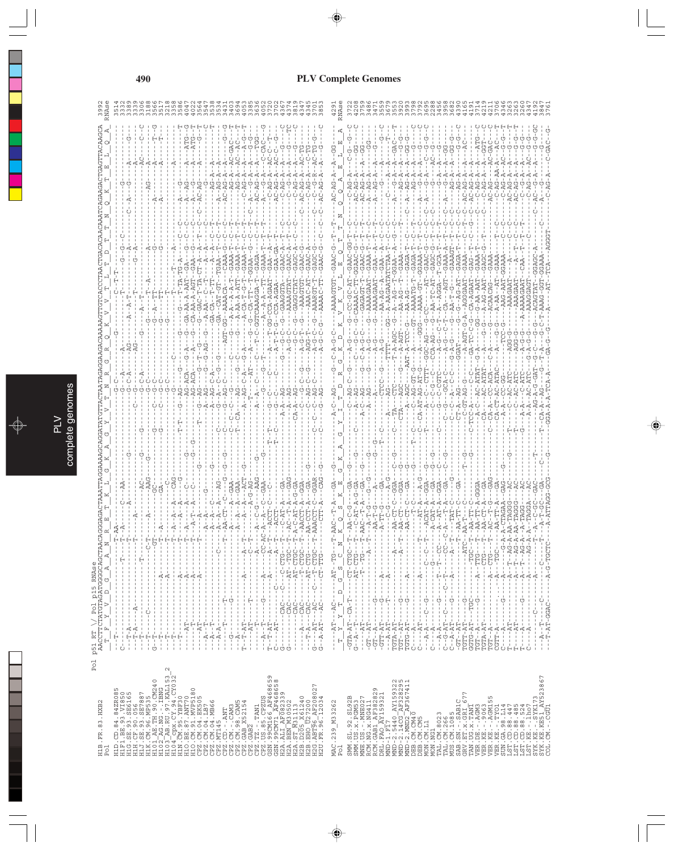| ŕ<br>ŕ.<br>ì |
|--------------|
|              |
| ŕ<br>r       |

ğ

| H1B.FR.83.HXB2<br>Pol                                                                                                                                                                                                                                                                                                                                                                                                                                                                                                                                                                                                                         | Pol p51 RT \/ Pol p15 RNAse<br>AACCTTCTATGTAGATGGGCAGCTAA<br>T F Y V D G A A N                                                                                                                                                                                                                                                                                                                                                                 |  |  |  |
|-----------------------------------------------------------------------------------------------------------------------------------------------------------------------------------------------------------------------------------------------------------------------------------------------------------------------------------------------------------------------------------------------------------------------------------------------------------------------------------------------------------------------------------------------------------------------------------------------------------------------------------------------|------------------------------------------------------------------------------------------------------------------------------------------------------------------------------------------------------------------------------------------------------------------------------------------------------------------------------------------------------------------------------------------------------------------------------------------------|--|--|--|
|                                                                                                                                                                                                                                                                                                                                                                                                                                                                                                                                                                                                                                               |                                                                                                                                                                                                                                                                                                                                                                                                                                                |  |  |  |
|                                                                                                                                                                                                                                                                                                                                                                                                                                                                                                                                                                                                                                               | $\frac{1}{4}$<br>$\mathbf{I}$<br>ţ<br>$\mathbf{I}$<br>$\,$<br>1<br>1<br>$\mathbf{I}$<br>$\,$<br>ł<br>$\,$<br>$\,$<br>$\mathbf{I}$<br>J.<br>$\,$<br>$\frac{1}{2}$<br>$\mathbf{I}$                                                                                                                                                                                                                                                               |  |  |  |
| $\begin{small} \text{HD} & \text{CB} & \text{84.8420085} \\ \text{H1G} & \text{1B} & \text{33.17158} \\ \text{H1G} & \text{1B} & \text{33.17158} \\ \text{H1G} & \text{15.193.17158} \\ \text{H1G} & \text{16.101} \\ \text{H1G} & \text{16.102} \\ \text{H1G} & \text{16.103} \\ \text{H1G} & \text{16.104} \\ \text{H1G} & \text{16.105} \\ \text{H1G} & \text{1$                                                                                                                                                                                                                                                                           | $-1 - 2 - 1 - 1 - 1 - 1 - 1$<br>$\frac{1}{4}$<br>$\mathbf{I}$<br>Ħ<br>$- - \Gamma - \Gamma - \Gamma -$<br>$\mathbf I$<br>$\mathfrak l$<br>$\frac{1}{4}$<br>$\,$<br>$\begin{array}{c} -1 \\ 0 \end{array}$                                                                                                                                                                                                                                      |  |  |  |
|                                                                                                                                                                                                                                                                                                                                                                                                                                                                                                                                                                                                                                               | $\begin{array}{l} \vspace{0.2cm} \begin{array}{l} \vspace{0.2cm} \begin{array}{l} \vspace{0.2cm} \begin{array}{l} \vspace{0.2cm} \begin{array}{l} \vspace{0.2cm} \begin{array}{l} \vspace{0.2cm} \vspace{0.2cm} \end{array} & \vspace{0.2cm} \begin{array}{l} \vspace{0.2cm} \vspace{0.2cm} \end{array} & \vspace{0.2cm} \begin{array}{l} \vspace{0.2cm} \vspace{0.2cm} \end{array} & \vspace{0.2cm} \begin{array}{l} \vspace{0.2cm} \vspace{$ |  |  |  |
|                                                                                                                                                                                                                                                                                                                                                                                                                                                                                                                                                                                                                                               |                                                                                                                                                                                                                                                                                                                                                                                                                                                |  |  |  |
|                                                                                                                                                                                                                                                                                                                                                                                                                                                                                                                                                                                                                                               |                                                                                                                                                                                                                                                                                                                                                                                                                                                |  |  |  |
|                                                                                                                                                                                                                                                                                                                                                                                                                                                                                                                                                                                                                                               | ې<br>۱ -<br>ひ                                                                                                                                                                                                                                                                                                                                                                                                                                  |  |  |  |
| $\mathcal{Q}$                                                                                                                                                                                                                                                                                                                                                                                                                                                                                                                                                                                                                                 | л.                                                                                                                                                                                                                                                                                                                                                                                                                                             |  |  |  |
|                                                                                                                                                                                                                                                                                                                                                                                                                                                                                                                                                                                                                                               |                                                                                                                                                                                                                                                                                                                                                                                                                                                |  |  |  |
|                                                                                                                                                                                                                                                                                                                                                                                                                                                                                                                                                                                                                                               | $\frac{1}{2}$<br>$-1$<br>$-1$<br>$-1$<br>$-1$<br>$-1$<br>$-1$<br>$\sim$ - T $\sim$                                                                                                                                                                                                                                                                                                                                                             |  |  |  |
|                                                                                                                                                                                                                                                                                                                                                                                                                                                                                                                                                                                                                                               | $\begin{bmatrix} 1 & 0 & 0 \\ 0 & 1 & 0 \\ 0 & 0 & 0 \\ 0 & 0 & 0 \\ 0 & 0 & 0 \\ 0 & 0 & 0 \\ 0 & 0 & 0 \\ 0 & 0 & 0 & 0 \\ 0 & 0 & 0 & 0 \\ 0 & 0 & 0 & 0 \\ 0 & 0 & 0 & 0 & 0 \\ 0 & 0 & 0 & 0 & 0 \\ 0 & 0 & 0 & 0 & 0 \\ 0 & 0 & 0 & 0 & 0 & 0 \\ 0 & 0 & 0 & 0 & 0 & 0 \\ 0 & 0 & 0 & 0 & 0 & 0 & 0 \\ 0 & 0 & 0 & 0 & $<br>$- - P \cdot T$ -                                                                                            |  |  |  |
|                                                                                                                                                                                                                                                                                                                                                                                                                                                                                                                                                                                                                                               | $\frac{1}{2}$<br>ı                                                                                                                                                                                                                                                                                                                                                                                                                             |  |  |  |
|                                                                                                                                                                                                                                                                                                                                                                                                                                                                                                                                                                                                                                               | ł<br>$\frac{1}{1}$<br>$\frac{1}{4}$<br>$\frac{1}{4}$<br>$\mathbf I$<br>$\,$<br>ł<br>Ť<br>$\begin{smallmatrix} 1 & 1 & 1 & 1 \\ 1 & 1 & 1 & 1 \end{smallmatrix}$<br>$\begin{array}{c} -\frac{\lambda}{\lambda} \,, \\ -\frac{-\Gamma}{\Gamma} \,, \\ -\frac{-\Lambda}{\lambda} \Gamma \, - \cdots \\ -\frac{-\Lambda}{\lambda} \,, \\ -\frac{-\Gamma}{\lambda} \,. \end{array}$                                                                 |  |  |  |
|                                                                                                                                                                                                                                                                                                                                                                                                                                                                                                                                                                                                                                               | $\frac{1}{1}$<br>÷<br>ı<br>Ť<br>$\sim 1$<br>$\frac{1}{4}$                                                                                                                                                                                                                                                                                                                                                                                      |  |  |  |
|                                                                                                                                                                                                                                                                                                                                                                                                                                                                                                                                                                                                                                               | $-1$ $-1$ $-1$<br>$\frac{1}{4}$<br>$\mathbf{I}$<br>$- -A - A$                                                                                                                                                                                                                                                                                                                                                                                  |  |  |  |
|                                                                                                                                                                                                                                                                                                                                                                                                                                                                                                                                                                                                                                               | л.<br>$\blacksquare$<br>$\mathsf I$<br>$\mathbf{I}$<br>÷<br>$\frac{1}{1}$                                                                                                                                                                                                                                                                                                                                                                      |  |  |  |
|                                                                                                                                                                                                                                                                                                                                                                                                                                                                                                                                                                                                                                               | ٠<br>$\blacksquare$<br>$-1 - 5 - 1$                                                                                                                                                                                                                                                                                                                                                                                                            |  |  |  |
|                                                                                                                                                                                                                                                                                                                                                                                                                                                                                                                                                                                                                                               | ٠<br>J.<br>٠<br>$\mathbf{I}$<br>$- -A - -$                                                                                                                                                                                                                                                                                                                                                                                                     |  |  |  |
|                                                                                                                                                                                                                                                                                                                                                                                                                                                                                                                                                                                                                                               | л.<br>$-1 - 2$<br>J,<br>$\mathbf{T} - \mathbf{T} - \mathbf{T} - \mathbf{A} \mathbf{T}$                                                                                                                                                                                                                                                                                                                                                         |  |  |  |
|                                                                                                                                                                                                                                                                                                                                                                                                                                                                                                                                                                                                                                               | Ĵ.<br>$\frac{1}{2}$<br>ŧ<br>$- - - -$<br>$\rightarrow$ $\rightarrow$ $\rightarrow$ $\rightarrow$ $\rightarrow$ $\rightarrow$<br>$---AT$<br>$\sf I$<br>J.                                                                                                                                                                                                                                                                                       |  |  |  |
|                                                                                                                                                                                                                                                                                                                                                                                                                                                                                                                                                                                                                                               | t<br>$- - A$<br>$\mathbb{L}$<br>$\mathbf{I}$<br>$\mathbf{I}$<br>ł<br>ì.<br>$\,$                                                                                                                                                                                                                                                                                                                                                                |  |  |  |
|                                                                                                                                                                                                                                                                                                                                                                                                                                                                                                                                                                                                                                               | $-50-$<br>$-1 - 0 - 1$<br>$- -A - -T$                                                                                                                                                                                                                                                                                                                                                                                                          |  |  |  |
|                                                                                                                                                                                                                                                                                                                                                                                                                                                                                                                                                                                                                                               | í,<br>$- - A$<br>$\mathsf I$<br>$\mathsf I$<br>$\,$<br>f,<br>$\mathbf{1}$<br>$\mathbf{L}$<br>$\mathbf{I}$<br>$-T - T - A T -$<br>白しめめ                                                                                                                                                                                                                                                                                                          |  |  |  |
|                                                                                                                                                                                                                                                                                                                                                                                                                                                                                                                                                                                                                                               | u,<br>$-4 - 2$<br>ł<br>ŧ<br>$- - - -$<br>J.<br>٠                                                                                                                                                                                                                                                                                                                                                                                               |  |  |  |
|                                                                                                                                                                                                                                                                                                                                                                                                                                                                                                                                                                                                                                               |                                                                                                                                                                                                                                                                                                                                                                                                                                                |  |  |  |
|                                                                                                                                                                                                                                                                                                                                                                                                                                                                                                                                                                                                                                               | J.<br>$\frac{1}{1}$                                                                                                                                                                                                                                                                                                                                                                                                                            |  |  |  |
|                                                                                                                                                                                                                                                                                                                                                                                                                                                                                                                                                                                                                                               | --CAC-------AT-CTGC<br>--CAC-----------CTGC<br>J.<br>$\mathbf{I}$<br>$\mathsf{I}$<br>$\,$                                                                                                                                                                                                                                                                                                                                                      |  |  |  |
|                                                                                                                                                                                                                                                                                                                                                                                                                                                                                                                                                                                                                                               | $- - -CAC - - -$<br>$- - A$<br>$\,$ l                                                                                                                                                                                                                                                                                                                                                                                                          |  |  |  |
|                                                                                                                                                                                                                                                                                                                                                                                                                                                                                                                                                                                                                                               |                                                                                                                                                                                                                                                                                                                                                                                                                                                |  |  |  |
|                                                                                                                                                                                                                                                                                                                                                                                                                                                                                                                                                                                                                                               | もも                                                                                                                                                                                                                                                                                                                                                                                                                                             |  |  |  |
|                                                                                                                                                                                                                                                                                                                                                                                                                                                                                                                                                                                                                                               |                                                                                                                                                                                                                                                                                                                                                                                                                                                |  |  |  |
| MAC.239_M33262                                                                                                                                                                                                                                                                                                                                                                                                                                                                                                                                                                                                                                | $-1 - 2A$ T $-1$ T G<br>$\mathsf I$<br>$- - AC$<br>J.<br>$- - P \Gamma$<br>I.                                                                                                                                                                                                                                                                                                                                                                  |  |  |  |
| Pol                                                                                                                                                                                                                                                                                                                                                                                                                                                                                                                                                                                                                                           | K<br>$\cup$<br>$\omega$<br>U<br>$\Box$<br>$\mathbb H$<br>$\rightarrow$<br>$\rightarrow$<br>$\vdash$                                                                                                                                                                                                                                                                                                                                            |  |  |  |
|                                                                                                                                                                                                                                                                                                                                                                                                                                                                                                                                                                                                                                               | $-10TT - 10T - 1$                                                                                                                                                                                                                                                                                                                                                                                                                              |  |  |  |
|                                                                                                                                                                                                                                                                                                                                                                                                                                                                                                                                                                                                                                               | $-4T - CTG$<br>$\mathbb{I}$<br>$\mathbb{I}$<br>$-1 - CA - T -$<br>$\mathbf{I}$<br>-GTA-AT<br>Н<br>$G - A - -$                                                                                                                                                                                                                                                                                                                                  |  |  |  |
|                                                                                                                                                                                                                                                                                                                                                                                                                                                                                                                                                                                                                                               | $-1 - 1 - 1 - 1$<br>$\frac{1}{4}$<br>$\mathbf{I}$<br>$\mathbb{I}$<br>$\,$ I<br>$\mathbb{L}$<br>$\mathbf{L}$                                                                                                                                                                                                                                                                                                                                    |  |  |  |
|                                                                                                                                                                                                                                                                                                                                                                                                                                                                                                                                                                                                                                               | $-4$<br>ł<br>$\,$<br>$\overline{\phantom{a}}$<br>$\overline{\phantom{a}}$                                                                                                                                                                                                                                                                                                                                                                      |  |  |  |
| SMM. SL. 92. SL92B<br>SMM. US. x. PGM53<br>RME. US. - . MNB027<br>RCM. GAB1. AF382829<br>RCM. GAB1. AF382829                                                                                                                                                                                                                                                                                                                                                                                                                                                                                                                                  | $\frac{1}{4}$<br>$\mathbf{I}$<br>$\,$ I<br>$\frac{1}{4}$<br>$\mathbf{I}$<br>$\,$ I<br>$\overline{1}$<br>$\mathbf{I}$<br>$\,$ I<br>$-CT - - A$                                                                                                                                                                                                                                                                                                  |  |  |  |
|                                                                                                                                                                                                                                                                                                                                                                                                                                                                                                                                                                                                                                               | $\mathbf{I}$<br>$\mathbb{I}$<br>$\mathsf{I}$<br>ŧ<br>$-GTT - A$                                                                                                                                                                                                                                                                                                                                                                                |  |  |  |
|                                                                                                                                                                                                                                                                                                                                                                                                                                                                                                                                                                                                                                               | $\mathbb{I}$<br>Φł<br>$- -A - A$<br>$\mathbf{I}$                                                                                                                                                                                                                                                                                                                                                                                               |  |  |  |
| $\begin{array}{l} \texttt{MMD-1} \cdot \texttt{FT} \rightarrow \texttt{7} \rightarrow \texttt{8} \rightarrow \texttt{8} \rightarrow \texttt{9} \rightarrow \texttt{1} \rightarrow \texttt{1} \rightarrow \texttt{1} \rightarrow \texttt{1} \rightarrow \texttt{1} \rightarrow \texttt{1} \rightarrow \texttt{1} \rightarrow \texttt{1} \rightarrow \texttt{1} \rightarrow \texttt{1} \rightarrow \texttt{1} \rightarrow \texttt{1} \rightarrow \texttt{1} \rightarrow \texttt{1} \rightarrow \texttt{1} \rightarrow \texttt{1} \rightarrow \texttt{1} \rightarrow \texttt{1} \rightarrow \texttt{1} \rightarrow \texttt{1} \rightarrow \text$ | ÷,<br>$-4 - 2 -$<br>TGTA-A                                                                                                                                                                                                                                                                                                                                                                                                                     |  |  |  |
|                                                                                                                                                                                                                                                                                                                                                                                                                                                                                                                                                                                                                                               | Ħ<br>$\blacksquare$                                                                                                                                                                                                                                                                                                                                                                                                                            |  |  |  |
|                                                                                                                                                                                                                                                                                                                                                                                                                                                                                                                                                                                                                                               | $\frac{1}{4}$<br>$\,$ $\,$<br>÷<br>$\begin{array}{l} \textbf{TGT--AT--}\\ \textbf{TGT--AT---}\\ \end{array}$                                                                                                                                                                                                                                                                                                                                   |  |  |  |
|                                                                                                                                                                                                                                                                                                                                                                                                                                                                                                                                                                                                                                               | ٠<br>f,<br>$\mathbf{1}$<br>$-1$<br>ł.<br>U                                                                                                                                                                                                                                                                                                                                                                                                     |  |  |  |
|                                                                                                                                                                                                                                                                                                                                                                                                                                                                                                                                                                                                                                               | $- - - - - - - - - -$<br>$\mathsf I$<br>$C----AT$                                                                                                                                                                                                                                                                                                                                                                                              |  |  |  |
|                                                                                                                                                                                                                                                                                                                                                                                                                                                                                                                                                                                                                                               | $\begin{array}{c} 1 \ \frac{1}{2} \end{array}$<br>U<br>I<br>$-3 - 2 - 5 - 6 - 6 - 6$<br>$\mathbf{I}$                                                                                                                                                                                                                                                                                                                                           |  |  |  |
|                                                                                                                                                                                                                                                                                                                                                                                                                                                                                                                                                                                                                                               | ŧ<br>じーー<br>$\mathbf{I}$<br>$\mathbf{I}$<br>$\mathsf I$<br>$- - A -$<br>$\frac{1}{\mathbf{C}}$                                                                                                                                                                                                                                                                                                                                                 |  |  |  |
|                                                                                                                                                                                                                                                                                                                                                                                                                                                                                                                                                                                                                                               | $-2D - -1$<br>$-1$<br>۲<br>ا<br>$\overset{-}{\circ}$<br>$\blacksquare$<br>$\mathbf{I}$<br>$\,$ I<br>$- -A - A$                                                                                                                                                                                                                                                                                                                                 |  |  |  |
|                                                                                                                                                                                                                                                                                                                                                                                                                                                                                                                                                                                                                                               | $-1$ - $-1$<br>$-1$<br>$\frac{1}{2}$<br>$C--C-AC-AT--C--G-\\ C--A-RT----C-\\$                                                                                                                                                                                                                                                                                                                                                                  |  |  |  |
|                                                                                                                                                                                                                                                                                                                                                                                                                                                                                                                                                                                                                                               | -------<br>٠<br>$-9 - -$                                                                                                                                                                                                                                                                                                                                                                                                                       |  |  |  |
|                                                                                                                                                                                                                                                                                                                                                                                                                                                                                                                                                                                                                                               | ÷<br>ł.<br>$\mathsf I$<br>$\mathbf{I}$<br>$\mathsf I$<br>$\mathbf{I}$<br>$\mathsf{I}$<br>ĵ<br>$\mathbb{H}$<br>$-CT - 7$                                                                                                                                                                                                                                                                                                                        |  |  |  |
|                                                                                                                                                                                                                                                                                                                                                                                                                                                                                                                                                                                                                                               | $- - ATC$<br>ţ<br>J.<br>ţ<br>-- 5------- HH5H                                                                                                                                                                                                                                                                                                                                                                                                  |  |  |  |
|                                                                                                                                                                                                                                                                                                                                                                                                                                                                                                                                                                                                                                               | $-- - - -$<br>$\mathbf{I}$<br>Ť.<br>$\frac{1}{4}$<br>GGTG-AT                                                                                                                                                                                                                                                                                                                                                                                   |  |  |  |
|                                                                                                                                                                                                                                                                                                                                                                                                                                                                                                                                                                                                                                               |                                                                                                                                                                                                                                                                                                                                                                                                                                                |  |  |  |
|                                                                                                                                                                                                                                                                                                                                                                                                                                                                                                                                                                                                                                               | $-1010 - 101 - 101$<br>$\frac{\Gamma GT - -A}{\Gamma G TA - A}.$                                                                                                                                                                                                                                                                                                                                                                               |  |  |  |
|                                                                                                                                                                                                                                                                                                                                                                                                                                                                                                                                                                                                                                               | $TGT - -A$                                                                                                                                                                                                                                                                                                                                                                                                                                     |  |  |  |
|                                                                                                                                                                                                                                                                                                                                                                                                                                                                                                                                                                                                                                               | CGTT-A                                                                                                                                                                                                                                                                                                                                                                                                                                         |  |  |  |
|                                                                                                                                                                                                                                                                                                                                                                                                                                                                                                                                                                                                                                               | ÷,<br>U                                                                                                                                                                                                                                                                                                                                                                                                                                        |  |  |  |
|                                                                                                                                                                                                                                                                                                                                                                                                                                                                                                                                                                                                                                               | ÷,<br>н                                                                                                                                                                                                                                                                                                                                                                                                                                        |  |  |  |
|                                                                                                                                                                                                                                                                                                                                                                                                                                                                                                                                                                                                                                               | $\frac{1}{1}$                                                                                                                                                                                                                                                                                                                                                                                                                                  |  |  |  |
|                                                                                                                                                                                                                                                                                                                                                                                                                                                                                                                                                                                                                                               | $\begin{split} &\frac{1}{2}\text{Tr}\left[-\frac{1}{2}\lambda^{-1}+\cdots+(-1)^{n-1}\right]\cdot\\ &=-\frac{1}{2}\lambda^{-1}-\cdots+(-1)^{n-1}\cdot\\ &=-\frac{1}{2}\lambda^{-1}-\cdots+(-1)^{n-1}\cdot\\ &=-\frac{1}{2}\lambda^{-1}-\cdots+(-1)^{n-1}\cdot\\ &=-\frac{1}{2}\lambda^{-1}-\cdots+(-1)^{n-1}\cdot\end{split}$<br>$- - A$<br>$\frac{1}{4}$<br>HHU                                                                                |  |  |  |
|                                                                                                                                                                                                                                                                                                                                                                                                                                                                                                                                                                                                                                               | $\frac{1}{1}$<br>$\frac{1}{4}$<br>$- -A - -$<br>Í                                                                                                                                                                                                                                                                                                                                                                                              |  |  |  |
|                                                                                                                                                                                                                                                                                                                                                                                                                                                                                                                                                                                                                                               | л.<br>$\frac{1}{1}$<br>$\frac{1}{1}$<br>$- - A$<br>J.<br>Ï<br>$\,$ I                                                                                                                                                                                                                                                                                                                                                                           |  |  |  |
| SYK.KE.-.SYK173<br>SYK.KE.KES1_AY523867<br>COL.CM.-.CGU1                                                                                                                                                                                                                                                                                                                                                                                                                                                                                                                                                                                      | $- - - - - - - -$<br>$\mathbf{I}$<br>$- -C -$<br>л.                                                                                                                                                                                                                                                                                                                                                                                            |  |  |  |
|                                                                                                                                                                                                                                                                                                                                                                                                                                                                                                                                                                                                                                               |                                                                                                                                                                                                                                                                                                                                                                                                                                                |  |  |  |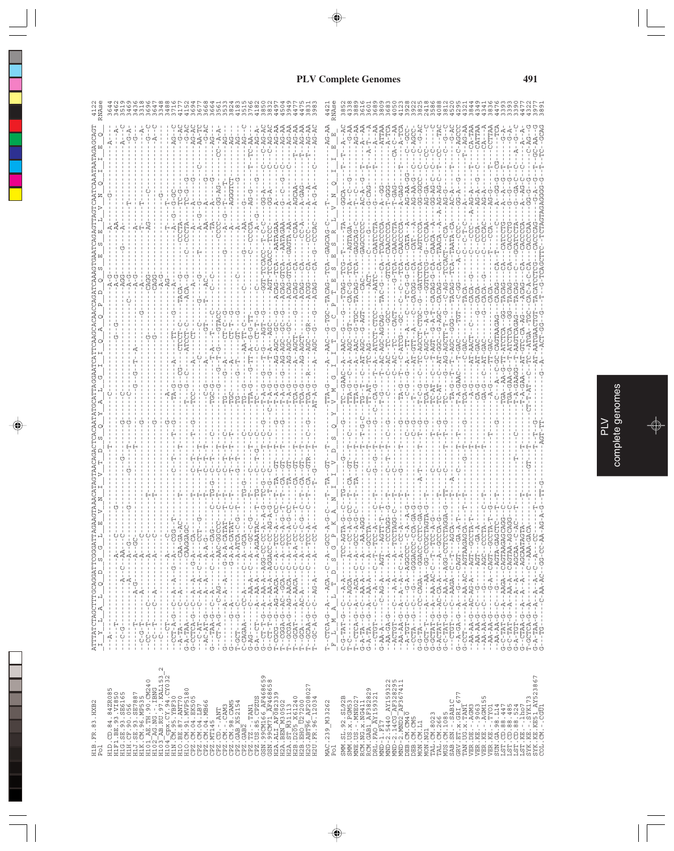| $\begin{array}{l} {\tt ATTTATCTAGCTTTGCAGGATTCGGGG} \\ \underline{\_I} \underline{\_I} \underline{\_I} \underline{\_I} \underline{\_I} \underline{\_I} \underline{\_I} \underline{\_I} \underline{\_I} \underline{\_I} \underline{\_I} \underline{\_I} \underline{\_I} \underline{\_I} \underline{\_I} \underline{\_I} \underline{\_I} \end{array}$                                                                                  |
|--------------------------------------------------------------------------------------------------------------------------------------------------------------------------------------------------------------------------------------------------------------------------------------------------------------------------------------------------------------------------------------------------------------------------------------|
|                                                                                                                                                                                                                                                                                                                                                                                                                                      |
|                                                                                                                                                                                                                                                                                                                                                                                                                                      |
|                                                                                                                                                                                                                                                                                                                                                                                                                                      |
|                                                                                                                                                                                                                                                                                                                                                                                                                                      |
|                                                                                                                                                                                                                                                                                                                                                                                                                                      |
|                                                                                                                                                                                                                                                                                                                                                                                                                                      |
|                                                                                                                                                                                                                                                                                                                                                                                                                                      |
|                                                                                                                                                                                                                                                                                                                                                                                                                                      |
|                                                                                                                                                                                                                                                                                                                                                                                                                                      |
|                                                                                                                                                                                                                                                                                                                                                                                                                                      |
|                                                                                                                                                                                                                                                                                                                                                                                                                                      |
|                                                                                                                                                                                                                                                                                                                                                                                                                                      |
|                                                                                                                                                                                                                                                                                                                                                                                                                                      |
|                                                                                                                                                                                                                                                                                                                                                                                                                                      |
|                                                                                                                                                                                                                                                                                                                                                                                                                                      |
|                                                                                                                                                                                                                                                                                                                                                                                                                                      |
|                                                                                                                                                                                                                                                                                                                                                                                                                                      |
|                                                                                                                                                                                                                                                                                                                                                                                                                                      |
|                                                                                                                                                                                                                                                                                                                                                                                                                                      |
|                                                                                                                                                                                                                                                                                                                                                                                                                                      |
|                                                                                                                                                                                                                                                                                                                                                                                                                                      |
|                                                                                                                                                                                                                                                                                                                                                                                                                                      |
|                                                                                                                                                                                                                                                                                                                                                                                                                                      |
|                                                                                                                                                                                                                                                                                                                                                                                                                                      |
|                                                                                                                                                                                                                                                                                                                                                                                                                                      |
|                                                                                                                                                                                                                                                                                                                                                                                                                                      |
|                                                                                                                                                                                                                                                                                                                                                                                                                                      |
|                                                                                                                                                                                                                                                                                                                                                                                                                                      |
|                                                                                                                                                                                                                                                                                                                                                                                                                                      |
| $1 - 0.04344 - 0.0434 - 0.0434 - 0.0434 - 0.0434 - 0.0434 - 0.0434 - 0.0434 - 0.0434 - 0.0434 - 0.0434 - 0.0434 - 0.0434 - 0.0434 - 0.0434 - 0.0434 - 0.0434 - 0.0434 - 0.0434 - 0.0434 - 0.0434 - 0.0434 - 0.0434 - 0.0434 - 0.0434 - 0.0434 - 0.0434 - $                                                                                                                                                                           |
|                                                                                                                                                                                                                                                                                                                                                                                                                                      |
| ◡<br>ך ט                                                                                                                                                                                                                                                                                                                                                                                                                             |
| $-6 - A - C - C - C$<br>$I = \frac{RCA - I}{T}$                                                                                                                                                                                                                                                                                                                                                                                      |
|                                                                                                                                                                                                                                                                                                                                                                                                                                      |
|                                                                                                                                                                                                                                                                                                                                                                                                                                      |
|                                                                                                                                                                                                                                                                                                                                                                                                                                      |
|                                                                                                                                                                                                                                                                                                                                                                                                                                      |
|                                                                                                                                                                                                                                                                                                                                                                                                                                      |
|                                                                                                                                                                                                                                                                                                                                                                                                                                      |
|                                                                                                                                                                                                                                                                                                                                                                                                                                      |
|                                                                                                                                                                                                                                                                                                                                                                                                                                      |
|                                                                                                                                                                                                                                                                                                                                                                                                                                      |
|                                                                                                                                                                                                                                                                                                                                                                                                                                      |
|                                                                                                                                                                                                                                                                                                                                                                                                                                      |
|                                                                                                                                                                                                                                                                                                                                                                                                                                      |
|                                                                                                                                                                                                                                                                                                                                                                                                                                      |
|                                                                                                                                                                                                                                                                                                                                                                                                                                      |
|                                                                                                                                                                                                                                                                                                                                                                                                                                      |
|                                                                                                                                                                                                                                                                                                                                                                                                                                      |
|                                                                                                                                                                                                                                                                                                                                                                                                                                      |
|                                                                                                                                                                                                                                                                                                                                                                                                                                      |
|                                                                                                                                                                                                                                                                                                                                                                                                                                      |
|                                                                                                                                                                                                                                                                                                                                                                                                                                      |
|                                                                                                                                                                                                                                                                                                                                                                                                                                      |
|                                                                                                                                                                                                                                                                                                                                                                                                                                      |
|                                                                                                                                                                                                                                                                                                                                                                                                                                      |
|                                                                                                                                                                                                                                                                                                                                                                                                                                      |
|                                                                                                                                                                                                                                                                                                                                                                                                                                      |
|                                                                                                                                                                                                                                                                                                                                                                                                                                      |
|                                                                                                                                                                                                                                                                                                                                                                                                                                      |
| $\begin{array}{r} \texttt{C-c-q-mr}=\texttt{C-c-a} \\\ \texttt{C-c-r}=\texttt{C-c-a} \\\ \texttt{C-c-r}=\texttt{C-c-a} \\\ \texttt{C-c-r}=\texttt{C-c-a} \\\ \texttt{C-c-r}=\texttt{C-c-a} \\\ \texttt{C-c-r}=\texttt{C-c-a} \\\ \texttt{C-c-r}=\texttt{C-c-a} \\\ \texttt{C-c-r}=\texttt{C-c-a} \\\ \texttt{C-c-r}=\texttt{C-c-a} \\\ \texttt{C-c-r}=\texttt{C-c-a} \\\ \texttt{C-c-r}=\texttt{C-c-a} \\\ \texttt{C-c-r}=\texttt{C$ |
|                                                                                                                                                                                                                                                                                                                                                                                                                                      |
|                                                                                                                                                                                                                                                                                                                                                                                                                                      |
|                                                                                                                                                                                                                                                                                                                                                                                                                                      |
|                                                                                                                                                                                                                                                                                                                                                                                                                                      |
|                                                                                                                                                                                                                                                                                                                                                                                                                                      |
|                                                                                                                                                                                                                                                                                                                                                                                                                                      |
|                                                                                                                                                                                                                                                                                                                                                                                                                                      |
|                                                                                                                                                                                                                                                                                                                                                                                                                                      |
|                                                                                                                                                                                                                                                                                                                                                                                                                                      |
|                                                                                                                                                                                                                                                                                                                                                                                                                                      |
|                                                                                                                                                                                                                                                                                                                                                                                                                                      |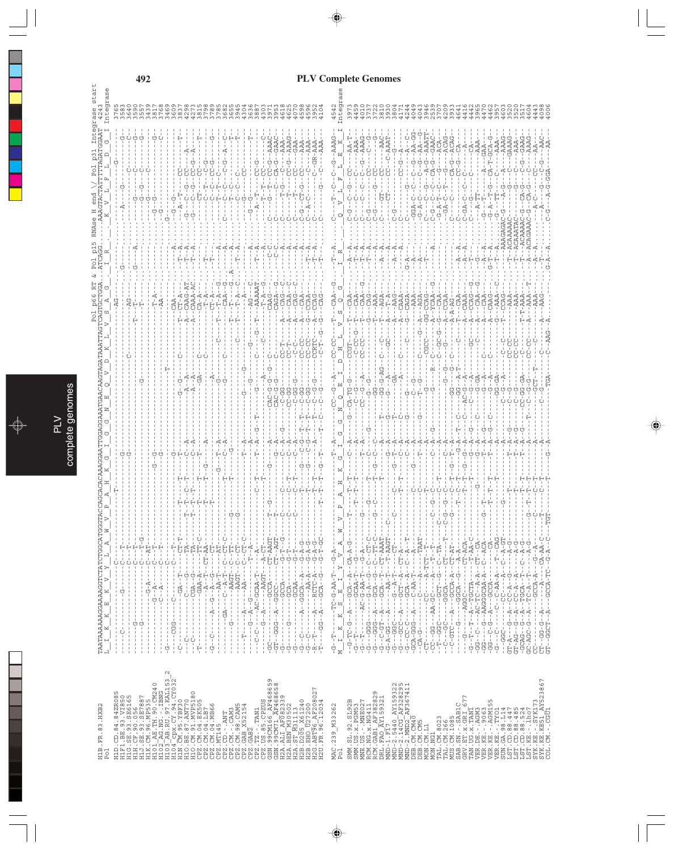| ŕ<br>ŕ.<br>ì |
|--------------|
|              |
| ŕ<br>r       |

|                                                                                                      |                                           |                                     |                                                                    |                                                                                    |                                              |                                                            |                                                                                                                                                                                                                                                                                                                                 |                                                                     |                       |                    |                                  |                                           |                                           |                          |                  |                                                                          |               |                                                                                                                                                                                                                                                                                                                                                                                                     |                |        |  |                                  |                                                           |                                     | $\frac{1}{\sigma}$ |                |        |               |   |                                     |                     |                                               |                                                |   |  |                                             |                          |                 |  |  |                |  |   |       |                           |          |                                           |                                      |                                                                                                                                                                                                                                                                             |                               |  |               |            |                            |                                                                                                                                        |                 |  |        |
|------------------------------------------------------------------------------------------------------|-------------------------------------------|-------------------------------------|--------------------------------------------------------------------|------------------------------------------------------------------------------------|----------------------------------------------|------------------------------------------------------------|---------------------------------------------------------------------------------------------------------------------------------------------------------------------------------------------------------------------------------------------------------------------------------------------------------------------------------|---------------------------------------------------------------------|-----------------------|--------------------|----------------------------------|-------------------------------------------|-------------------------------------------|--------------------------|------------------|--------------------------------------------------------------------------|---------------|-----------------------------------------------------------------------------------------------------------------------------------------------------------------------------------------------------------------------------------------------------------------------------------------------------------------------------------------------------------------------------------------------------|----------------|--------|--|----------------------------------|-----------------------------------------------------------|-------------------------------------|--------------------|----------------|--------|---------------|---|-------------------------------------|---------------------|-----------------------------------------------|------------------------------------------------|---|--|---------------------------------------------|--------------------------|-----------------|--|--|----------------|--|---|-------|---------------------------|----------|-------------------------------------------|--------------------------------------|-----------------------------------------------------------------------------------------------------------------------------------------------------------------------------------------------------------------------------------------------------------------------------|-------------------------------|--|---------------|------------|----------------------------|----------------------------------------------------------------------------------------------------------------------------------------|-----------------|--|--------|
|                                                                                                      |                                           |                                     |                                                                    |                                                                                    |                                              |                                                            |                                                                                                                                                                                                                                                                                                                                 |                                                                     |                       |                    |                                  |                                           |                                           |                          |                  |                                                                          |               |                                                                                                                                                                                                                                                                                                                                                                                                     |                |        |  |                                  |                                                           |                                     |                    |                |        |               |   |                                     |                     |                                               |                                                |   |  |                                             |                          |                 |  |  |                |  |   |       |                           |          |                                           |                                      |                                                                                                                                                                                                                                                                             |                               |  |               |            |                            |                                                                                                                                        |                 |  |        |
|                                                                                                      |                                           |                                     |                                                                    |                                                                                    |                                              |                                                            |                                                                                                                                                                                                                                                                                                                                 |                                                                     |                       |                    |                                  |                                           |                                           |                          |                  |                                                                          |               |                                                                                                                                                                                                                                                                                                                                                                                                     |                |        |  |                                  |                                                           |                                     |                    |                |        |               |   |                                     |                     |                                               |                                                |   |  |                                             |                          |                 |  |  |                |  |   |       |                           |          |                                           |                                      |                                                                                                                                                                                                                                                                             |                               |  |               |            |                            |                                                                                                                                        |                 |  |        |
|                                                                                                      |                                           |                                     |                                                                    |                                                                                    |                                              |                                                            |                                                                                                                                                                                                                                                                                                                                 |                                                                     |                       |                    |                                  |                                           |                                           |                          |                  |                                                                          |               |                                                                                                                                                                                                                                                                                                                                                                                                     |                |        |  |                                  |                                                           |                                     |                    |                |        |               |   |                                     |                     |                                               |                                                |   |  |                                             |                          |                 |  |  |                |  |   |       |                           |          |                                           |                                      |                                                                                                                                                                                                                                                                             |                               |  |               |            |                            |                                                                                                                                        |                 |  |        |
|                                                                                                      |                                           |                                     |                                                                    |                                                                                    |                                              |                                                            |                                                                                                                                                                                                                                                                                                                                 |                                                                     |                       |                    |                                  |                                           |                                           |                          |                  |                                                                          |               |                                                                                                                                                                                                                                                                                                                                                                                                     |                |        |  |                                  |                                                           |                                     |                    |                |        |               |   |                                     |                     |                                               |                                                |   |  |                                             |                          |                 |  |  |                |  |   |       |                           |          |                                           |                                      |                                                                                                                                                                                                                                                                             |                               |  |               |            |                            |                                                                                                                                        |                 |  |        |
|                                                                                                      |                                           |                                     |                                                                    |                                                                                    |                                              |                                                            |                                                                                                                                                                                                                                                                                                                                 |                                                                     |                       |                    |                                  |                                           |                                           |                          |                  |                                                                          |               |                                                                                                                                                                                                                                                                                                                                                                                                     |                |        |  |                                  |                                                           |                                     |                    |                |        |               |   |                                     |                     |                                               |                                                |   |  |                                             |                          |                 |  |  |                |  |   |       |                           |          |                                           |                                      |                                                                                                                                                                                                                                                                             |                               |  |               |            |                            |                                                                                                                                        |                 |  |        |
|                                                                                                      |                                           |                                     |                                                                    |                                                                                    |                                              |                                                            |                                                                                                                                                                                                                                                                                                                                 |                                                                     |                       |                    |                                  |                                           |                                           |                          |                  |                                                                          |               |                                                                                                                                                                                                                                                                                                                                                                                                     |                |        |  |                                  |                                                           |                                     |                    |                |        |               |   |                                     |                     |                                               |                                                |   |  |                                             |                          |                 |  |  |                |  |   |       |                           |          |                                           |                                      |                                                                                                                                                                                                                                                                             |                               |  |               |            |                            |                                                                                                                                        |                 |  |        |
|                                                                                                      |                                           |                                     |                                                                    |                                                                                    |                                              |                                                            |                                                                                                                                                                                                                                                                                                                                 |                                                                     |                       |                    |                                  |                                           |                                           |                          |                  |                                                                          |               |                                                                                                                                                                                                                                                                                                                                                                                                     |                |        |  |                                  |                                                           |                                     |                    |                |        |               |   |                                     |                     |                                               |                                                |   |  |                                             |                          |                 |  |  |                |  |   |       |                           |          |                                           |                                      |                                                                                                                                                                                                                                                                             |                               |  |               |            |                            |                                                                                                                                        |                 |  |        |
|                                                                                                      |                                           |                                     |                                                                    |                                                                                    |                                              |                                                            |                                                                                                                                                                                                                                                                                                                                 |                                                                     |                       |                    |                                  |                                           |                                           |                          |                  |                                                                          |               |                                                                                                                                                                                                                                                                                                                                                                                                     |                |        |  |                                  |                                                           |                                     |                    |                |        |               |   |                                     |                     |                                               |                                                |   |  |                                             |                          |                 |  |  |                |  |   |       |                           |          |                                           |                                      |                                                                                                                                                                                                                                                                             |                               |  |               |            |                            |                                                                                                                                        |                 |  |        |
|                                                                                                      |                                           |                                     |                                                                    |                                                                                    |                                              |                                                            |                                                                                                                                                                                                                                                                                                                                 |                                                                     |                       |                    |                                  |                                           |                                           |                          |                  |                                                                          |               |                                                                                                                                                                                                                                                                                                                                                                                                     |                |        |  |                                  |                                                           |                                     |                    |                |        |               |   |                                     |                     |                                               |                                                |   |  |                                             |                          |                 |  |  |                |  |   |       |                           |          |                                           |                                      |                                                                                                                                                                                                                                                                             |                               |  |               |            |                            |                                                                                                                                        |                 |  |        |
| $\,$ I<br>÷<br>---<br>Ť<br>$\frac{1}{2}$ $\frac{1}{2}$ $\frac{1}{2}$ $\frac{1}{2}$ $\frac{1}{2}$     | $\frac{1}{1}$<br>÷<br>--                  | 다.<br>-<br>-<br>-<br>$\frac{1}{2}$  | $-5 -$<br>$\frac{1}{1}$<br>$\begin{array}{c}\n0 \\ 1\n\end{array}$ | j<br>÷                                                                             | j<br>$\begin{array}{c}\n0 \\ 1\n\end{array}$ | $\mathbf{I}$<br>ł<br>U<br>I                                | $\mathbf I$<br>$\frac{1}{1}$<br>U                                                                                                                                                                                                                                                                                               | $-1.12$ – $-1.1$                                                    | $-TA$ -               | --TA--             | $-1$ T <sub>1</sub> $-$ C        |                                           | $-$ - CT $-$ - $-$                        | $- - P1 - -$             | $-1$ -CT-C       | J.<br>$-1.1$ . $\blacksquare$<br>$\begin{array}{c}\n0 \\ 1\n\end{array}$ | $\frac{1}{1}$ | $\frac{1}{2} - \frac{1}{2} - \frac{1}{2} - \frac{1}{2} - \frac{1}{2} - \frac{1}{2} - \frac{1}{2} - \frac{1}{2} - \frac{1}{2} - \frac{1}{2} - \frac{1}{2} - \frac{1}{2} - \frac{1}{2} - \frac{1}{2} - \frac{1}{2} - \frac{1}{2} - \frac{1}{2} - \frac{1}{2} - \frac{1}{2} - \frac{1}{2} - \frac{1}{2} - \frac{1}{2} - \frac{1}{2} - \frac{1}{2} - \frac{1}{2} - \frac{1}{2} - \frac{1}{2} - \frac{1$ | $\frac{1}{1}$  |        |  | Ŷ.<br>$- -$ CT-AAGT              |                                                           | $- - - - - - - - - - - - - - - - -$ |                    | $-\frac{1}{1}$ | $-A-C$ | $\frac{1}{4}$ |   |                                     | $-6 - A -$          | $\geq$<br>$\mathcal{A}^t_i$<br>$\overline{a}$ | رخ<br>ا                                        |   |  |                                             | ٠                        |                 |  |  | $-$ TAAT       |  |   |       |                           |          |                                           | $-1 - 2 - P\Phi - \Gamma - \Gamma -$ |                                                                                                                                                                                                                                                                             | $- - - -$ CA<br>$\frac{1}{1}$ |  |               |            |                            |                                                                                                                                        |                 |  | ł<br>Ì |
| $\,$<br>$\,$<br>$\frac{1}{2}$<br>J.<br>$-1$<br>٠<br>$\mathbf I$<br>٠<br>$\mathbf{I}$<br>$\mathbf{I}$ | Ħ<br>$\bar{1}$                            | $\mathsf{I}$<br>$\mathsf I$         | $-4 -$<br>÷<br>$\mathbf{I}$<br>ł<br>$-\frac{5}{1}$                 | $---A---$<br>$\mathbf{I}$<br>$\mathsf I$                                           |                                              |                                                            | $\begin{bmatrix} 1 & 1 & 1 & 1 \\ 1 & 1 & 1 & 1 \\ 1 & 1 & 1 & 1 \\ 1 & 1 & 1 & 1 \\ 1 & 1 & 1 & 1 \\ 1 & 1 & 1 & 1 \\ 1 & 1 & 1 & 1 \\ 1 & 1 & 1 & 1 \\ 1 & 1 & 1 & 1 \\ 1 & 1 & 1 & 1 \\ 1 & 1 & 1 & 1 \\ 1 & 1 & 1 & 1 \\ 1 & 1 & 1 & 1 \\ 1 & 1 & 1 & 1 \\ 1 & 1 & 1 & 1 & 1 \\ 1 & 1 & 1 & 1 & 1 \\ 1 & 1 & 1 & 1 & 1 \\ $ | Í<br>$-1 - -1$                                                      | Ť<br>$-1 - 1 - 1 - 1$ |                    | $- -5A - A - - -$<br>1           | $- -A - T - -CT - AA - -$<br>$\mathbf{I}$ |                                           | $- - P A - T - - -$<br>÷ | H-4--U---40----- |                                                                          |               |                                                                                                                                                                                                                                                                                                                                                                                                     | $-AA-$         | İ      |  | $---GCCA - -$                    | $---GCCA--$                                               |                                     |                    |                |        |               |   |                                     | t<br>$-4A-5-7C-7$   | Σ<br>$\blacksquare$<br>$\mathbb{E}$<br>S      | $-$ -GCAA-T-<br>$\mathsf I$                    |   |  | LYARY-LU - - L- - KUU - - - K- - LU - U - - |                          |                 |  |  |                |  |   |       |                           |          | - - KUK - HU - - - - - - - UUUK - - - - - |                                      | $\begin{array}{l} -1.71 - 0.71 - 0.71 - 0.71 - 0.71 - 0.71 - 0.71 - 0.71 - 0.71 - 0.71 - 0.71 - 0.71 - 0.71 - 0.71 - 0.71 - 0.71 - 0.71 - 0.71 - 0.71 - 0.71 - 0.71 - 0.71 - 0.71 - 0.71 - 0.71 - 0.71 - 0.71 - 0.71 - 0.71 - 0.71 - 0.71 - 0.71 - 0.71 - 0.71 - 0.71 - 0.$ |                               |  |               |            | $- -A - CC - A - -A - - -$ | - - A - - CC - A - - A - - - - - A - G - -<br>- - A - - TG CA - - T - - C - - A - G - -<br>- - A - - T C - A - - T - - - - - A - G - - |                 |  |        |
| $\,$ I<br>$\frac{1}{4}$<br>Ť<br>Ì<br>$- - - - - - - -$<br>$\frac{1}{1}$<br>1<br>J.                   | $\frac{1}{1}$<br>$\frac{1}{4}$<br>$\sf I$ | $\frac{1}{4}$<br>$-1 - 1$<br>$\,$ I | ł<br>$\mathbf{I}$<br><b>9</b><br>-------                           | $\mathbf{I}$<br>÷.<br>$\mathsf I$<br>$\mathbf{I}$<br>$\mathbf{I}$<br>$\frac{1}{4}$ | $\overline{\phantom{a}}$                     | $\mathbf{I}$<br>$\mathbf{I}$<br>$\frac{1}{1}$<br>$\dot{c}$ | $\frac{1}{4}$<br>--CCC<br>$\mathbb{I}$                                                                                                                                                                                                                                                                                          | $\mathsf I$<br>$\mathbb{I}$<br>$\frac{1}{1}$<br>j<br>$\overline{C}$ | Ť<br>J.<br>1          | Ť<br>$\frac{1}{4}$ | Ì<br>$\frac{1}{4}$<br>---------- | $\frac{1}{1}$<br>$\frac{1}{1}$<br>j       | - - ウ - - ヸ - - ウ - - ヸ - - - - - - - ワ - | ł<br>$\mathbf{I}$        | $\frac{1}{2}$    | 1                                                                        |               | J.                                                                                                                                                                                                                                                                                                                                                                                                  | $-1$ – $T$ – – | ı<br>J |  | $\,$<br>$\frac{1}{4}$<br>$-55 -$ | $\overline{\phantom{a}}$<br>$\overline{\phantom{a}}$<br>Ō |                                     |                    | ٢              | ٢      | ن<br>۱<br>ပု  | Ť | $\frac{1}{4}$<br>$\frac{1}{\alpha}$ | İ<br>×.<br>$-5 - 7$ | $\mathbb{X}$<br>×<br>$\overline{a}$<br>$\sum$ | ţ<br>$-$ - T $-$ - $-$<br>$\frac{1}{\sqrt{2}}$ | ؋ |  | ロー                                          | $-1 - 4 - 5 - 4 - 5 - 4$ | $-100 - 10 - 1$ |  |  | $- -C - C - -$ |  | 턱 | U<br> | -- HAT-HU---AT---UHU-U--- | $-5 - 5$ | $-\frac{1}{2}$                            | $\frac{1}{\sqrt{2}}$                 | - - GG - - - - - - - AAGGGCAA - A<br>- - GG - - - - C - - - A - - - - GCCA - -                                                                                                                                                                                              |                               |  | $- - 599 - -$ | $GT - A -$ | $GT - 2G - -G$             | $-GCAG - G$                                                                                                                            | <b>GC-AGC-G</b> |  |        |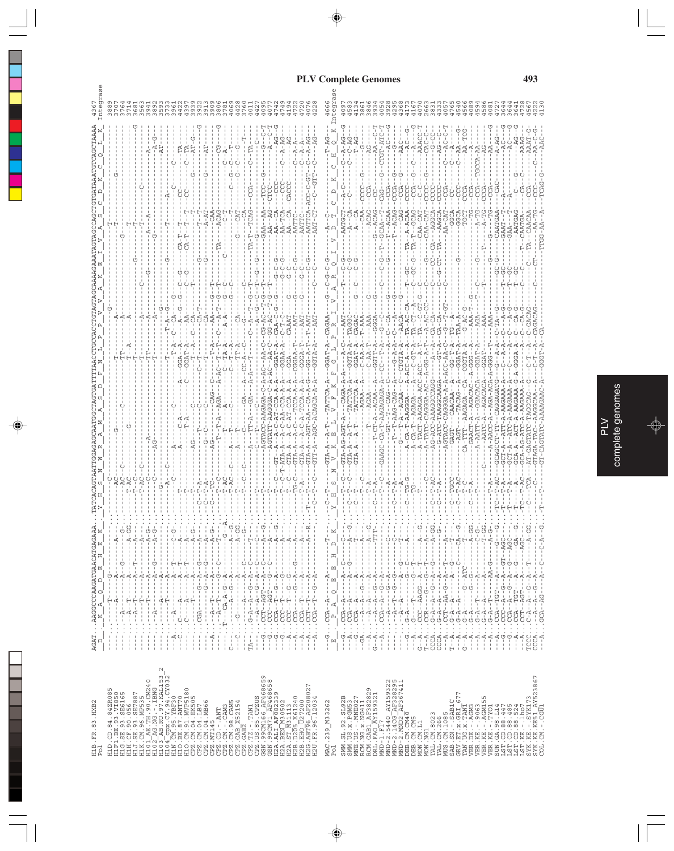| SHXP2<br>.FR.83<br>H1B<br>Pol                                                                                                                                                                                                                                                                                                                                                                                                                       |                                                                      | $\circ$                                                                                                                                                       | $\Xi$<br>$\begin{bmatrix} x \\ y \end{bmatrix}$                                                    | 囸                                 |              |         |        |              |                  |          |   |         |                  |   |         |                     |
|-----------------------------------------------------------------------------------------------------------------------------------------------------------------------------------------------------------------------------------------------------------------------------------------------------------------------------------------------------------------------------------------------------------------------------------------------------|----------------------------------------------------------------------|---------------------------------------------------------------------------------------------------------------------------------------------------------------|----------------------------------------------------------------------------------------------------|-----------------------------------|--------------|---------|--------|--------------|------------------|----------|---|---------|------------------|---|---------|---------------------|
|                                                                                                                                                                                                                                                                                                                                                                                                                                                     | ٠<br>J.<br>$\mathbf{I}$                                              | $\mathbf{I}$<br>٠<br>$\sf I$<br>$\blacksquare$<br>부<br>٠<br>$\,$ I<br>$\mathsf I$                                                                             | U                                                                                                  |                                   |              |         |        |              |                  |          |   |         |                  |   |         |                     |
|                                                                                                                                                                                                                                                                                                                                                                                                                                                     | $\cdot$<br>J<br>$\overline{\phantom{a}}$                             | J<br>J.<br>J,<br>J<br>J.<br>$-4$<br>п<br>$\,$                                                                                                                 | J.                                                                                                 | ï<br>$-4$                         |              |         |        |              |                  |          |   |         |                  |   |         |                     |
|                                                                                                                                                                                                                                                                                                                                                                                                                                                     | $\cdot$<br>$\ddot{\phantom{0}}$<br>$\ddot{\phantom{0}}$<br>t         | $-4$<br>J.<br>J.<br>÷<br>$-4$                                                                                                                                 | t<br>$\frac{1}{\sqrt{2}}$                                                                          | $\frac{1}{\sqrt{2}}$              |              |         |        |              |                  |          |   |         |                  |   |         |                     |
|                                                                                                                                                                                                                                                                                                                                                                                                                                                     | $\vdots$                                                             | ۳<br>-<br>$\overline{a}$<br>$- A$                                                                                                                             | ÷<br>Ą                                                                                             | $-4-6$                            |              |         |        |              |                  |          |   |         |                  |   |         |                     |
|                                                                                                                                                                                                                                                                                                                                                                                                                                                     | $\cdot$                                                              | 부<br>J.                                                                                                                                                       | ٠<br>북<br>٠<br>K,                                                                                  | $-7-7-7$                          |              |         |        |              |                  |          |   |         |                  |   |         |                     |
|                                                                                                                                                                                                                                                                                                                                                                                                                                                     | $\cdot$<br>$\cdot$                                                   | 부<br>٠<br>$\mathbf{I}$<br>$\mathsf I$                                                                                                                         | ٠<br>К<br>К                                                                                        |                                   |              |         |        |              |                  |          |   |         |                  |   |         |                     |
|                                                                                                                                                                                                                                                                                                                                                                                                                                                     | $\bullet$<br>$\ddot{\phantom{0}}$<br>$\ddot{\phantom{0}}$<br>t<br>J. | $- - A - -$                                                                                                                                                   | ٠<br>$\mathbf I$<br>$\begin{array}{c}\n\downarrow \\ -\downarrow \\ -\downarrow\n\end{array}$<br>К | $- A - G$                         |              |         |        |              |                  |          |   |         |                  |   | ひ       |                     |
| $\sim$                                                                                                                                                                                                                                                                                                                                                                                                                                              | $\vdots$<br>$\cdot$<br>$\cdot$<br>$\cdot$                            | $-4$<br>$\mathbb{I}$<br>$\mathsf I$                                                                                                                           | К                                                                                                  |                                   |              |         |        |              |                  |          |   |         |                  |   |         |                     |
|                                                                                                                                                                                                                                                                                                                                                                                                                                                     |                                                                      | $\,$ I<br>$\mathbf{I}$<br>י<br>ד<br>$\overline{\phantom{0}}$<br>$\,$ $\,$                                                                                     | п<br>÷,<br>К                                                                                       |                                   |              |         |        |              |                  |          |   |         |                  |   |         |                     |
|                                                                                                                                                                                                                                                                                                                                                                                                                                                     | $\ddot{\phantom{0}}$<br>$-4$                                         | $-A-$                                                                                                                                                         | -<br>К                                                                                             | $C - G -$                         |              |         |        |              |                  |          |   |         |                  |   |         |                     |
|                                                                                                                                                                                                                                                                                                                                                                                                                                                     | $\vdots$<br>$\frac{1}{1}$                                            | J,<br>$-4$<br>1<br>U                                                                                                                                          | ٠<br>f,<br>帽<br>К                                                                                  |                                   |              |         |        |              |                  |          |   | てり      |                  |   | FA      |                     |
|                                                                                                                                                                                                                                                                                                                                                                                                                                                     | $\vdots$                                                             | $-4$<br>j<br>U                                                                                                                                                | $\mathbb H$<br>$\frac{1}{4}$<br>К                                                                  | $-2 - 6 -$                        |              |         |        |              |                  |          |   |         | đ                |   |         |                     |
|                                                                                                                                                                                                                                                                                                                                                                                                                                                     | $\vdots$<br>$\bullet$<br>J.<br>$\mathbf{I}$                          | t<br>F-<br>٠                                                                                                                                                  | ٠<br>٠<br>К                                                                                        | J.                                |              |         |        |              |                  |          |   |         |                  |   | ပု      |                     |
|                                                                                                                                                                                                                                                                                                                                                                                                                                                     | f,                                                                   | $- - A$<br>ロー<br>$\cdots$ CGA--                                                                                                                               | J.<br>$-\frac{c}{1}$                                                                               | J.                                |              |         |        |              |                  |          |   |         |                  |   |         |                     |
|                                                                                                                                                                                                                                                                                                                                                                                                                                                     | $\vdots$<br>$\begin{array}{c} \rule{0.2cm}{0.15mm} \end{array}$      | $-1 - 1$<br>$-\frac{5}{1}$<br>$\mathbf{I}$<br>т                                                                                                               | $C - C$                                                                                            | ÷<br>$-4$                         |              |         |        |              |                  |          |   |         |                  |   |         |                     |
|                                                                                                                                                                                                                                                                                                                                                                                                                                                     |                                                                      | $\frac{1}{1}$<br>$\frac{1}{1}$<br>$-4.1 - A - - - - - - -$                                                                                                    | ٠<br>К                                                                                             | $-2-6-$                           |              |         |        |              |                  |          |   |         | g                |   |         |                     |
| $PZ$ . CD . - . ANT                                                                                                                                                                                                                                                                                                                                                                                                                                 | ţ<br>÷                                                               | $\frac{1}{4}$<br>$-4 - T$                                                                                                                                     | $\frac{1}{2}$<br>ひ                                                                                 | $\frac{1}{2}$                     |              |         |        |              |                  |          |   |         | ACAG             |   |         |                     |
| $\mathbf{p}$                                                                                                                                                                                                                                                                                                                                                                                                                                        | $\frac{1}{1}$                                                        | $-4-$<br>$T - -C A - A - G$                                                                                                                                   | ٠<br>л<br>٠                                                                                        | $-5 -$                            |              |         |        |              |                  |          |   |         | ΰ                |   |         |                     |
|                                                                                                                                                                                                                                                                                                                                                                                                                                                     | ł<br>U                                                               | Í<br>$- - - - - - - - -$<br>٠                                                                                                                                 | 1<br>٠<br>$\mathbf{I}$                                                                             | $-4-$                             |              |         |        |              |                  |          |   |         |                  | ひ |         |                     |
| Z.CM.-.CAM3<br>Z.CM.98.CAM5<br>Z.CAB_X52154<br><b>BB</b>                                                                                                                                                                                                                                                                                                                                                                                            | ŧ<br>$\frac{1}{2}$                                                   | ł<br>t<br>÷<br>$\ddot{\circ}$ .                                                                                                                               | 1<br>ï                                                                                             | $A-GG$<br>J.                      |              |         |        |              |                  |          |   |         | Š                |   | פיז     |                     |
|                                                                                                                                                                                                                                                                                                                                                                                                                                                     | $\ddot{\phantom{0}}$<br>$\frac{1}{4}$                                | $\frac{1}{4}$<br>$-4$<br>$\blacksquare$                                                                                                                       | $\overline{\phantom{a}}$<br>$\frac{1}{2}$                                                          | $\dot{c}$                         |              |         |        |              |                  |          |   |         |                  |   |         |                     |
|                                                                                                                                                                                                                                                                                                                                                                                                                                                     | $\vdots$                                                             |                                                                                                                                                               |                                                                                                    | $\mathbb{H}$                      |              |         |        |              |                  |          |   |         |                  |   |         |                     |
|                                                                                                                                                                                                                                                                                                                                                                                                                                                     | $TA-$                                                                | $G - A - A - B - C$                                                                                                                                           | $\mathbf{I}$<br>U<br>÷,<br>К                                                                       | $\frac{1}{4}$                     |              |         |        |              |                  |          |   |         | $ TCA$           |   |         |                     |
|                                                                                                                                                                                                                                                                                                                                                                                                                                                     | t<br>J.                                                              | Í                                                                                                                                                             | J.<br>U<br>Ĵ,                                                                                      | $\frac{1}{4}$<br>U<br>J.          |              |         |        |              |                  |          |   |         |                  |   |         |                     |
| თ<br>თ დ                                                                                                                                                                                                                                                                                                                                                                                                                                            | ひ<br>ł.                                                              | $\frac{1}{1}$<br>$\mathbf I$<br>$-$ -AGT<br>$\cdots$ cer-                                                                                                     | ٠<br>U<br>$\frac{1}{1}$                                                                            | C<br>Ŧ<br>К<br>J.                 |              | AGTA    |        |              |                  |          |   |         |                  |   |         | $\circ$             |
|                                                                                                                                                                                                                                                                                                                                                                                                                                                     | $C - C$                                                              | $\ldots$ CCC--AGT-                                                                                                                                            | J.<br>U<br>ひ                                                                                       | Ť<br>A<br>J.                      |              | AGTAI   |        | $-4$         |                  |          |   |         |                  |   |         |                     |
| -12. - 12. - 12. - 12. - 12. - 12. - 12. - 12. - 12. - 12. - 12. - 12. - 12. - 12. - 12. - 12. - 12. - 12. - 1<br>CPZ. 115. - 13. - CPZUS<br>CPZ. 115. - 13. - CPZUS 6<br>CSN. 99CM71. - 14. 423.39<br>GSN: 99CM71_AFM4<br>H2A, ALIT_AF08233<br>H2A, AFT_M311113<br>H2A, AFT_M311113<br>H2B, D2O5_X61240<br>H2B, AHOD TPR. 26-12034<br>H2U . PR. 96-12034<br>H2U . PR. 96-12034                                                                     |                                                                      | $-5 -$<br>$\cdots$ CCA- $-$ T                                                                                                                                 | A                                                                                                  | ÷,<br>$\triangle$ $\triangle$     |              |         |        |              | GGA              | CAA-     |   |         |                  |   |         | O P P               |
|                                                                                                                                                                                                                                                                                                                                                                                                                                                     |                                                                      | $\frac{1}{1}$<br>$\frac{1}{1}$                                                                                                                                | ぴ                                                                                                  | $\mathbf{I}$<br>$\mathbf{I}$      |              |         |        |              |                  | ΰ        |   |         | AA-TC            |   |         |                     |
|                                                                                                                                                                                                                                                                                                                                                                                                                                                     |                                                                      | f,<br>$\frac{1}{\sqrt{2}}$<br>$\begin{array}{c}\n 1. & . & . & . & . \\  -1. & . & . & . & . \\  -1. & . & . & . & . \\  -1. & . & . & . & . \\  \end{array}$ | ひ                                                                                                  | K,                                |              |         |        |              |                  |          |   |         |                  |   |         |                     |
| $\circ$                                                                                                                                                                                                                                                                                                                                                                                                                                             |                                                                      | ţ<br>$\frac{1}{\sqrt{2}}$<br>$CCA$ -                                                                                                                          | f,<br>じー                                                                                           | $\mathbb{I}$<br>К<br>J.           |              |         |        |              |                  |          |   |         |                  |   |         |                     |
|                                                                                                                                                                                                                                                                                                                                                                                                                                                     | Ī,                                                                   |                                                                                                                                                               |                                                                                                    |                                   |              |         |        |              |                  |          |   |         |                  |   |         |                     |
|                                                                                                                                                                                                                                                                                                                                                                                                                                                     |                                                                      | $\frac{1}{1}$<br>$\cdots$ CCA--T                                                                                                                              |                                                                                                    | $\triangle$ $\triangle$           |              |         |        |              |                  |          |   |         |                  |   |         |                     |
| $\overline{ }$<br>$\overline{0}$<br>$\infty$                                                                                                                                                                                                                                                                                                                                                                                                        |                                                                      | ÷                                                                                                                                                             |                                                                                                    | щ,<br>÷,<br>$\mathbf{L}$          |              |         |        |              |                  |          |   |         |                  |   | $A - A$ |                     |
| ₹                                                                                                                                                                                                                                                                                                                                                                                                                                                   |                                                                      | $\frac{c}{1}$<br>$1 - 1000 - 1$                                                                                                                               |                                                                                                    |                                   |              |         |        |              |                  |          |   |         |                  |   |         |                     |
|                                                                                                                                                                                                                                                                                                                                                                                                                                                     |                                                                      |                                                                                                                                                               |                                                                                                    |                                   |              |         |        |              |                  |          |   |         |                  |   |         |                     |
| MAC.239 M33262                                                                                                                                                                                                                                                                                                                                                                                                                                      | ł.                                                                   | $\mathbf{I}$<br>$G \cdot \cdot \cdot CCA - A -$                                                                                                               | $\mathbb{A}^-$                                                                                     | $\mathbb H$<br>$\mathbf{I}$       |              |         |        |              | <b>GGAT</b>      |          | ಕ | U       |                  |   |         |                     |
| Po <sub>1</sub>                                                                                                                                                                                                                                                                                                                                                                                                                                     | 国                                                                    | $\Box$<br>$\circ$<br>$\operatorname{\mathsf{K}}$<br>$\mathsf{p}_4$                                                                                            | $\Xi$<br>$\begin{bmatrix} x \end{bmatrix}$                                                         | ×<br>$\square$                    | $\mathbb{Z}$ |         |        | $\mathbb{E}$ | ひ                | $\Omega$ |   | O<br>Üβ |                  |   |         |                     |
|                                                                                                                                                                                                                                                                                                                                                                                                                                                     |                                                                      |                                                                                                                                                               |                                                                                                    |                                   |              |         |        |              |                  |          |   |         |                  |   |         |                     |
| ρ<br>SMM. SL. 92. SL92B<br>SMM. US. x. PGM53<br>MNE. US. - . MNE027                                                                                                                                                                                                                                                                                                                                                                                 | $\frac{1}{\sqrt{2}}$                                                 | $-4$<br>$\overline{\phantom{a}}$<br>$CCA - A$                                                                                                                 | ı<br>$\begin{array}{c}\nC \\ 1\n\end{array}$                                                       | $\frac{1}{4}$<br>$\frac{1}{2}$    |              |         |        | CAGA-        |                  |          |   |         |                  |   |         | o n                 |
|                                                                                                                                                                                                                                                                                                                                                                                                                                                     |                                                                      | $-4$<br>I,<br>ł<br>$-450C$                                                                                                                                    | ٠<br>I,<br>じー                                                                                      | $\frac{1}{4}$                     |              |         | TATTCA |              | GGT.             |          |   |         |                  |   |         |                     |
| г                                                                                                                                                                                                                                                                                                                                                                                                                                                   | $\cdot$<br>$-10$                                                     | $- - A$<br>Í<br>$A - A$                                                                                                                                       | t<br>t                                                                                             | $\frac{1}{4}$<br>$-1$             |              |         |        |              | GGA <sup>'</sup> |          |   | υU      |                  |   |         |                     |
|                                                                                                                                                                                                                                                                                                                                                                                                                                                     |                                                                      | J,<br>نې<br>۱<br>$-4$<br>$- - A$                                                                                                                              | ÷                                                                                                  | ł.<br>$\prec$<br>$\,$             |              |         |        |              |                  |          |   |         |                  |   |         |                     |
|                                                                                                                                                                                                                                                                                                                                                                                                                                                     | $\vdots$                                                             |                                                                                                                                                               |                                                                                                    |                                   |              |         |        |              |                  |          |   |         |                  |   |         |                     |
| RCM.NG.x.NG411<br>RCM.GAB1 AF382829<br>DRL.FAO_AY159321                                                                                                                                                                                                                                                                                                                                                                                             | $\vdots$<br>$-3A$<br>$-4A$<br>$-4A$<br>$-4A$                         | $\frac{1}{4}$<br>$-4$<br>$- - A$                                                                                                                              | $\overline{\phantom{a}}$                                                                           | $-1111 -$                         |              |         |        |              |                  |          |   |         |                  |   |         |                     |
|                                                                                                                                                                                                                                                                                                                                                                                                                                                     | $\vdots$<br>ひ                                                        | $- - A$<br>$-\frac{c}{1}$<br>$-4$<br>$-4$                                                                                                                     | ٠<br>$\mathbf{I}$                                                                                  |                                   |              |         |        |              | E<br>U           |          |   |         |                  |   |         |                     |
| $T\overline{T}$ .<br>n<br>B                                                                                                                                                                                                                                                                                                                                                                                                                         |                                                                      | $\frac{1}{1}$<br>やーー<br>$-4$<br>$\therefore$ CCA                                                                                                              | $\mathsf I$<br>К                                                                                   | $\mathbf{I}$                      |              |         |        |              |                  |          |   |         | GCAA             |   |         |                     |
|                                                                                                                                                                                                                                                                                                                                                                                                                                                     | ÷                                                                    | Ť<br>$\frac{1}{\sqrt{2}}$<br>÷<br>$-4$                                                                                                                        | К                                                                                                  | ÷<br>U                            |              |         |        |              |                  |          |   |         |                  |   |         |                     |
|                                                                                                                                                                                                                                                                                                                                                                                                                                                     | t                                                                    | $\frac{1}{\sqrt{2}}$<br>۳-<br>T                                                                                                                               | ひ                                                                                                  | ÷                                 |              |         |        |              | ပ္ပ်             |          |   |         | $-40$<br>$- -10$ |   |         |                     |
|                                                                                                                                                                                                                                                                                                                                                                                                                                                     |                                                                      | $-4$                                                                                                                                                          |                                                                                                    | $V + 4$                           |              |         |        |              |                  |          |   |         |                  |   |         |                     |
|                                                                                                                                                                                                                                                                                                                                                                                                                                                     | $\overline{\phantom{a}}$<br>п.                                       | $-4 -$                                                                                                                                                        | К                                                                                                  |                                   |              |         |        |              | CTGTI            |          |   |         |                  |   |         |                     |
|                                                                                                                                                                                                                                                                                                                                                                                                                                                     |                                                                      | $G - A - -$                                                                                                                                                   | ひ                                                                                                  | $\frac{1}{4}$                     |              | $-5$    |        |              |                  |          |   |         | $A - A$          |   | $AC -$  |                     |
|                                                                                                                                                                                                                                                                                                                                                                                                                                                     |                                                                      | Í<br>J<br>$\frac{1}{2}$<br>יך<br>י<br>J.<br>ひ                                                                                                                 | 면 모두<br>그 모고<br>ひ                                                                                  | t                                 |              |         |        |              |                  |          |   | 먹       | 텃                |   |         |                     |
| MND-2.5440 AY159322<br>MND-2.14CG-AF328295<br>DEB.CM.CM4_AF367411<br>DEB.CM.CM4_AF367411<br>DEB.CM.CM5<br>MON.MC1_L1                                                                                                                                                                                                                                                                                                                                | ひ                                                                    | t<br>$-$ AAGG<br>ccc                                                                                                                                          | $\mathbf{I}$<br>$\frac{1}{2}$<br>К                                                                 | ှိ<br>Ą                           |              | A-TACT  |        |              |                  |          |   |         | $CAA$ -          |   | AAAC    |                     |
|                                                                                                                                                                                                                                                                                                                                                                                                                                                     | H                                                                    | t<br>؋<br>$\frac{1}{4}$                                                                                                                                       | $\mathbf{I}$<br>$\mathbf{I}$<br>Н<br>Ñ.<br>ひ                                                       | $-$ A $-$                         |              |         |        |              | $-99 - 1$        | Ā<br>A   |   |         |                  |   | J       |                     |
| $\sim$                                                                                                                                                                                                                                                                                                                                                                                                                                              | Ū                                                                    | B44E                                                                                                                                                          | $\frac{1}{4}$<br>$-4 - 4 - 6$                                                                      |                                   |              | $AG-AC$ |        |              |                  | Ö<br>!   |   |         |                  |   | ပု      |                     |
|                                                                                                                                                                                                                                                                                                                                                                                                                                                     | Ū                                                                    | $1 - A - C - C$<br>$1 - A - C - C$                                                                                                                            |                                                                                                    | $-3 - -1 - -$                     |              |         |        |              |                  |          |   |         |                  |   |         |                     |
|                                                                                                                                                                                                                                                                                                                                                                                                                                                     |                                                                      | ł                                                                                                                                                             | $\mathbf{I}$<br>$\frac{1}{1}$                                                                      |                                   |              |         |        |              |                  | ပုံ      |   | ප්      |                  |   |         |                     |
| LN<br>TAL.CM.8023<br>TAL.CM.266<br>MUS.CM.1085                                                                                                                                                                                                                                                                                                                                                                                                      |                                                                      | $- - A$                                                                                                                                                       | $\mathbf{I}$<br>-<br>부부                                                                            | $\frac{1}{1}$<br>$\mathbb{C}^1_1$ |              | AGTAC   |        |              |                  |          |   |         |                  |   | έ       |                     |
|                                                                                                                                                                                                                                                                                                                                                                                                                                                     | $\vdash$                                                             | $\mathbf I$                                                                                                                                                   | $\mathbf{I}$<br>$-4 - 4 - 6$                                                                       | $-1$<br>$\mathbf{I}$              | š            |         |        |              |                  |          |   |         |                  |   |         |                     |
|                                                                                                                                                                                                                                                                                                                                                                                                                                                     |                                                                      | $\mathbf{I}$                                                                                                                                                  | $\frac{1}{2}$                                                                                      |                                   |              |         |        |              |                  |          |   |         |                  |   | ᄞ       |                     |
|                                                                                                                                                                                                                                                                                                                                                                                                                                                     |                                                                      |                                                                                                                                                               |                                                                                                    |                                   |              |         |        |              |                  |          |   |         |                  |   |         |                     |
|                                                                                                                                                                                                                                                                                                                                                                                                                                                     | ひ                                                                    | ロー<br>$G - A - -$                                                                                                                                             | ţ<br>$-$ -ATC $-$                                                                                  |                                   |              |         |        |              |                  |          |   |         |                  |   | AA-TCG  |                     |
|                                                                                                                                                                                                                                                                                                                                                                                                                                                     |                                                                      | $\frac{1}{6}$<br>$\frac{1}{\sqrt{2}}$<br>$G - A - -$                                                                                                          | J.                                                                                                 |                                   |              | S       |        |              |                  |          |   |         |                  |   |         | Comming degrado com |
|                                                                                                                                                                                                                                                                                                                                                                                                                                                     |                                                                      | Ť<br>$\frac{1}{4}$<br>٢.<br>$G - A$                                                                                                                           | $\mathbf{I}$<br>$\frac{1}{1}$<br>К                                                                 |                                   |              |         |        |              |                  |          |   |         |                  |   | CCA-AA  |                     |
|                                                                                                                                                                                                                                                                                                                                                                                                                                                     |                                                                      | $\frac{1}{4}$                                                                                                                                                 | К                                                                                                  |                                   |              |         |        |              |                  |          |   |         |                  |   |         |                     |
|                                                                                                                                                                                                                                                                                                                                                                                                                                                     |                                                                      | $\mathbf{L}$<br>$G - A - -A$<br>$G - A - T$                                                                                                                   | $- - PA - G -$                                                                                     |                                   |              |         |        |              |                  |          |   |         |                  |   |         |                     |
|                                                                                                                                                                                                                                                                                                                                                                                                                                                     |                                                                      | $\frac{1}{1}$<br>$CCA - TGT -$                                                                                                                                | J.                                                                                                 | $\frac{1}{1}$<br>먼<br>!           |              |         |        |              |                  |          |   |         | CAAT             |   |         |                     |
|                                                                                                                                                                                                                                                                                                                                                                                                                                                     |                                                                      |                                                                                                                                                               | ţ                                                                                                  | ÷.                                |              |         |        |              |                  |          |   |         |                  |   |         |                     |
|                                                                                                                                                                                                                                                                                                                                                                                                                                                     | $\cdot$                                                              | Ť<br>$.CCA--A--G--C--C-.$                                                                                                                                     | $-70C$<br>$-50 - 1$<br>К                                                                           |                                   |              |         |        |              |                  |          |   |         |                  |   |         |                     |
|                                                                                                                                                                                                                                                                                                                                                                                                                                                     | $\cdot$                                                              | $- - A$                                                                                                                                                       | $-4AC$<br>$\begin{array}{c}\n\downarrow \\ -\downarrow \\ -\downarrow\n\end{array}$                | $\mathbf{I}$                      |              |         |        |              |                  |          |   | g       |                  |   |         | <b>101010</b>       |
|                                                                                                                                                                                                                                                                                                                                                                                                                                                     | $\cdot$<br>$-1$<br>$-1$<br>$-1$<br>$-1$                              | $CCA - TGT -$                                                                                                                                                 | $\mathbf{I}$<br>$\begin{array}{c} 1 \\ 0 \\ 1 \end{array}$<br>К                                    | ÷<br>$-GA$                        |              |         |        |              |                  |          |   |         |                  |   |         |                     |
|                                                                                                                                                                                                                                                                                                                                                                                                                                                     | $\cdot$                                                              | t<br>$-AGT-TCT-$                                                                                                                                              | $- - AGC$<br>$\,$ I<br>$A -$                                                                       |                                   |              |         |        |              |                  |          |   |         |                  |   |         |                     |
|                                                                                                                                                                                                                                                                                                                                                                                                                                                     | TCCC.                                                                | $- - A$                                                                                                                                                       | $-1 - 1 - 1 - 1 - 1 - 1 - 1$                                                                       |                                   |              |         |        |              |                  |          |   |         |                  |   |         |                     |
|                                                                                                                                                                                                                                                                                                                                                                                                                                                     | CCCA                                                                 | $\frac{1}{4}$<br>$-4$                                                                                                                                         |                                                                                                    |                                   |              |         |        |              |                  |          |   |         |                  |   |         |                     |
| $\begin{array}{l} \texttt{SAB} : \texttt{SK} : \texttt{SABIC} \\ \texttt{GRV} : \texttt{ET} : \texttt{X}, \texttt{GRI} \\ \texttt{GRV} : \texttt{ET} : \texttt{X}, \texttt{GRI} \\ \texttt{VER} : \texttt{TE} : \texttt{1}, \texttt{GMS} \\ \texttt{VER} : \texttt{KE} : \texttt{1}, \texttt{GMS} \\ \texttt{VER} : \texttt{KE} : \texttt{1}, \texttt{GMS} \\ \texttt{VER} : \texttt{KE} : \texttt{1}, \texttt{GMS} \\ \texttt{SIN} : \texttt{G} :$ |                                                                      | ਦੇ<br>GCA                                                                                                                                                     | f,<br>さーー                                                                                          | $C - A$                           |              |         |        |              |                  |          |   |         |                  |   |         |                     |

use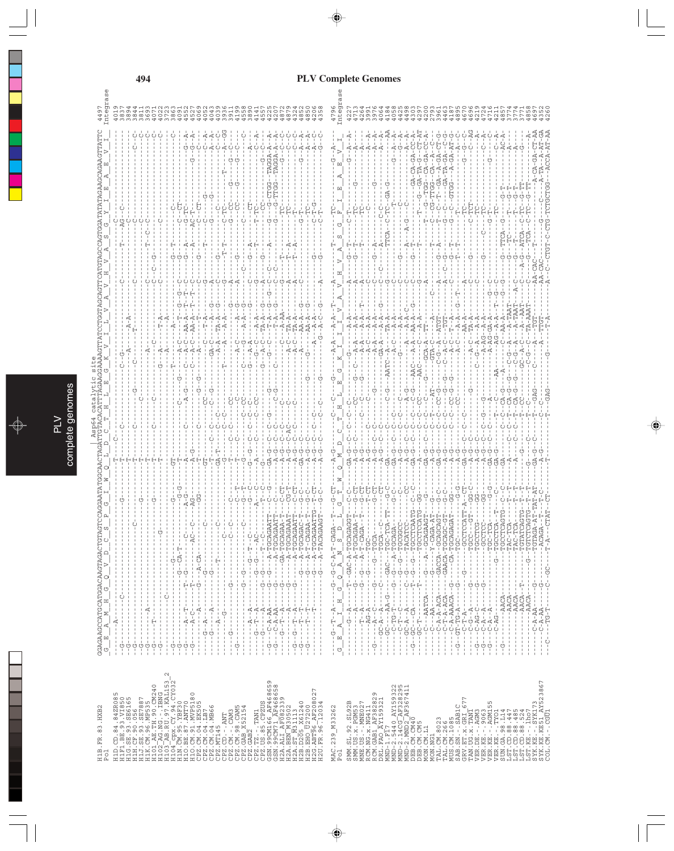| ¢<br>ċ<br>ğ | J |
|-------------|---|
|-------------|---|

| ω                                                           |
|-------------------------------------------------------------|
| U<br>d<br>J.<br>J<br>×<br>۶<br>൯<br>t,<br>൯<br>$\mathbf{L}$ |
| ₩<br>O<br>$\Omega$<br>C<br>₫                                |
|                                                             |

| H1B. FR. 83. HXB2                                                                                                                                                                                                                                                                                                                                                                                                                           | GGAGAAGCCATGGACAAGTAGACTGTAG<br>Ξ<br>Σ<br>К<br>囸<br>ひ                                                                                                                                   | $\Box$<br>$\triangleright$<br>$\circ$<br>$\circ$                                         | C)<br>$\cup$                                 | FAG |   |                 | HUAUUAHUUHU | <b>GTAGCAG</b> | GAAG | CAGAAGTTA<br><b>Ed</b> |          |
|---------------------------------------------------------------------------------------------------------------------------------------------------------------------------------------------------------------------------------------------------------------------------------------------------------------------------------------------------------------------------------------------------------------------------------------------|-----------------------------------------------------------------------------------------------------------------------------------------------------------------------------------------|------------------------------------------------------------------------------------------|----------------------------------------------|-----|---|-----------------|-------------|----------------|------|------------------------|----------|
| $\begin{tabular}{l} {\bf H111.121.4B3.93, VIBIS0} \\ {\bf H111.121.4B3.93, VIBIS0} \\ {\bf H111.121.4B3.93, VIBIS0} \\ {\bf H111.121.5B3.93, VIBIS0} \\ {\bf H111.122.4B3.1B3.1B3.1} \\ {\bf H111.123.4B3.1B3.1} \\ {\bf H1102.4B3.1B3.1} \\ {\bf H1103.4B3.1} \\ {\bf H1104.5B3.1} \\ {\bf H1104.5B3.1} \\ {\bf H1$                                                                                                                        | $\frac{1}{2}$<br>٠<br>I<br>$- - P -$<br>L.<br>J.<br>1<br>$\frac{c}{1}$<br>$\begin{array}{c} \vspace{0.5mm} \rule{0.5mm}{0.5mm} \end{array}$                                             |                                                                                          |                                              |     |   |                 |             |                |      |                        |          |
|                                                                                                                                                                                                                                                                                                                                                                                                                                             | $\mathbf{I}$<br>ပု                                                                                                                                                                      |                                                                                          |                                              |     |   |                 |             |                |      |                        |          |
|                                                                                                                                                                                                                                                                                                                                                                                                                                             | $\mathbf{I}$<br>ပု<br>ひ                                                                                                                                                                 |                                                                                          |                                              |     |   |                 |             |                |      |                        |          |
|                                                                                                                                                                                                                                                                                                                                                                                                                                             | ---A--<br>$\frac{1}{1}$<br>$\mathbf I$<br>$\,$<br>$\mathbf{I}$<br>٠<br>$\frac{1}{\sqrt{2}}$                                                                                             | ٠                                                                                        | $\mathbf{I}$                                 |     |   |                 |             |                |      |                        |          |
|                                                                                                                                                                                                                                                                                                                                                                                                                                             | J,<br>l,<br>I<br>J.<br>J.<br>J.<br>٠<br>٠<br>ひ<br>먹                                                                                                                                     | J.<br>٠<br>1<br>J.<br>$\frac{1}{1}$<br>Ì                                                 | $-1 - 1 - 1$                                 |     |   | К<br>ひ          |             |                |      |                        |          |
|                                                                                                                                                                                                                                                                                                                                                                                                                                             | $-1 - 1 - 1$<br>$\mathbf{I}$<br>J<br>Í<br>$\overline{\phantom{a}}$<br>$\overline{\phantom{a}}$<br>t<br>-<br>j<br>J,<br>$\,$ I<br>J.<br>$\overline{\phantom{a}}$<br>$\frac{1}{\sqrt{2}}$ | J<br>$\frac{1}{1}$<br>J.<br>ပု<br>J<br>$\mathbf{I}$<br>٠<br>$\mathsf I$                  | Í<br>$\,$<br>$\overline{\phantom{a}}$<br>f,  |     |   |                 |             | てり             |      |                        |          |
|                                                                                                                                                                                                                                                                                                                                                                                                                                             | J.<br>ロー                                                                                                                                                                                | $-CA-T$<br>ن<br>۱<br>$\overline{\phantom{a}}$<br>$\mathbf I$<br>j                        | j                                            |     |   | C               |             | τŋ             |      |                        |          |
|                                                                                                                                                                                                                                                                                                                                                                                                                                             | $\frac{1}{4}$<br>$- - - - - - - - -$<br>$-7 - A - C$<br>$\mathbf{I}$<br>$\frac{1}{\sqrt{2}}$<br>우                                                                                       | $\frac{1}{4}$<br>$\mathbb{I}$<br>$\frac{1}{4}$<br>$\,$ I<br>$\mathbf{I}$<br>------------ | $\overline{\phantom{a}}$<br>$-1$<br>$- - AC$ |     |   | U<br>∪          |             | τη             |      |                        |          |
|                                                                                                                                                                                                                                                                                                                                                                                                                                             | I<br>$-4 - 7$<br>$\mathbf{I}$<br>٠                                                                                                                                                      | $---A-CA-$<br>$\frac{c}{1}$                                                              | I.<br>Ŷ.                                     |     |   |                 |             |                |      |                        |          |
|                                                                                                                                                                                                                                                                                                                                                                                                                                             | $\mathbf I$<br>$- -A - -$<br>$\frac{c}{1}$<br>$\,$                                                                                                                                      | л.<br>I.<br>먹                                                                            | -                                            |     |   | U               |             |                |      |                        |          |
|                                                                                                                                                                                                                                                                                                                                                                                                                                             | $-4 - 2$<br>$-4 - 7 - 1$<br>$\mathbf{I}$<br>ပု                                                                                                                                          | $\overline{\phantom{a}}$<br>$\overline{\phantom{a}}$<br>탁<br>- 1<br>J.<br>ပု             | $\overline{\phantom{a}}$                     |     |   | $-8-$<br>Ο<br>Æ |             |                |      |                        |          |
|                                                                                                                                                                                                                                                                                                                                                                                                                                             | $\sum_{i=1}^{n}$<br>1<br>J.<br>t                                                                                                                                                        | ٠                                                                                        | $\,$<br>$-1$                                 |     |   | d.<br>Æ         |             |                |      |                        |          |
|                                                                                                                                                                                                                                                                                                                                                                                                                                             | J<br>$\begin{array}{c} \n\downarrow \\ \n\downarrow \\ \n\downarrow \n\end{array}$                                                                                                      | ٠<br>J<br>じー                                                                             | $\frac{1}{1}$                                |     |   |                 |             |                |      |                        |          |
| CPZ.CM.-.CAM3<br>CPZ.CM.98.CAM5<br>CPZ.GAB_X52154                                                                                                                                                                                                                                                                                                                                                                                           | $-5$                                                                                                                                                                                    | ローロー<br>f,                                                                               | ٠                                            |     |   | К<br>O<br>τŋ    |             |                |      |                        |          |
| CPZ.GAB2                                                                                                                                                                                                                                                                                                                                                                                                                                    | $- - A$<br>$\dot{A}$                                                                                                                                                                    | י<br>י                                                                                   | コーエート                                        |     | U | Æ               |             |                |      |                        | $\infty$ |
|                                                                                                                                                                                                                                                                                                                                                                                                                                             | $-4$<br>י<br>י<br>$\frac{c}{1}$                                                                                                                                                         | ŧ<br>やーー<br>ن<br>۱                                                                       | $- - AC$                                     |     | g | U               |             |                |      |                        |          |
| CEZ, TZ, TANI<br>CEZ, US, 85, CEZUS<br>CEZ, US, 85, CEZUS<br>GSN, 99CM/I 6 R468659<br>H2A, RLI AFO82339<br>H2A, REN M31952<br>H2B, DZO5_X61240<br>H2B, DZO5_X61240                                                                                                                                                                                                                                                                          | $-4$<br>ひ                                                                                                                                                                               | ع<br>ا<br>Ο<br>٠                                                                         | $-1 - 1 - 1 -$                               |     |   | U               |             |                |      |                        |          |
|                                                                                                                                                                                                                                                                                                                                                                                                                                             | $-C - A - A$<br>$-C - A - A$<br>$\frac{1}{\mathbf{C}}$<br>ά                                                                                                                             | $\frac{1}{\sqrt{2}}$<br>J.<br>ひ<br>υ<br>1<br>$\mathbf{I}$                                | $- - A - TGCAGA$<br>--A-TGCAGA               |     |   | U               |             |                |      |                        |          |
|                                                                                                                                                                                                                                                                                                                                                                                                                                             | $- - A$<br>$-9 - 7 - 7$                                                                                                                                                                 | $\mathfrak l$<br>ひ<br>٠                                                                  | -GA-TGCAGA                                   |     |   |                 |             |                |      |                        |          |
|                                                                                                                                                                                                                                                                                                                                                                                                                                             | $-4$                                                                                                                                                                                    | $\,$ I<br>ひ                                                                              | $- -A - TGCAGP$                              |     |   |                 |             |                |      |                        |          |
|                                                                                                                                                                                                                                                                                                                                                                                                                                             | $-1 - 1 - -1 - -1 - -1 - -1$                                                                                                                                                            | $\,$ I<br>ب                                                                              | --A-TGCAGA                                   |     |   |                 |             |                |      |                        |          |
|                                                                                                                                                                                                                                                                                                                                                                                                                                             | í<br>۳<br>-<br>H--<br>ŗ<br>$\frac{1}{\sqrt{2}}$<br>$\mathbf{I}$<br>٠<br>$\frac{1}{\sqrt{2}}$<br>먹                                                                                       | $\frac{1}{\sqrt{2}}$<br>$\frac{1}{\sqrt{2}}$                                             | $---A-TCGCAGP$<br>---A-T-CAGA                |     |   |                 |             |                |      |                        |          |
| 8027                                                                                                                                                                                                                                                                                                                                                                                                                                        | 부                                                                                                                                                                                       | $\frac{1}{2}$                                                                            | ----A-TGCAGAJ<br>---A-TACAGAJ                |     |   |                 |             |                |      |                        |          |
| 4                                                                                                                                                                                                                                                                                                                                                                                                                                           |                                                                                                                                                                                         |                                                                                          |                                              |     |   |                 |             |                |      |                        |          |
| MAC.239 M33262                                                                                                                                                                                                                                                                                                                                                                                                                              | H<br>$\overline{A}$<br>н<br>÷<br>Ą<br>φ<br>凹<br>ひ                                                                                                                                       | G-C-A-T-CAGA<br>$\square$<br>Ą<br>$\circ$<br>ಀ<br>ひ                                      | C)                                           |     |   | ٢ŋ              |             |                |      | Erl                    |          |
|                                                                                                                                                                                                                                                                                                                                                                                                                                             |                                                                                                                                                                                         |                                                                                          |                                              |     |   |                 |             |                |      |                        |          |
| SMM.SL.92.SL92B<br>SMM.US.x.PGM53<br>MNE.US.-.MNE027                                                                                                                                                                                                                                                                                                                                                                                        | J.<br>$-4$<br>$-5 - 5 - 1$<br>J.<br>I,<br>1<br>٠<br>$\overline{\phantom{a}}$<br>ı                                                                                                       | 404000H-A-040---<br>I.<br>$\mathbf{I}$<br>I,<br>ぴ<br>J.                                  | $- -A - TGCAGP$                              |     |   | U               |             | てり<br>פי       |      | ひ                      |          |
|                                                                                                                                                                                                                                                                                                                                                                                                                                             | t<br>$-$ – T – $-$ A<br>I,<br>٠<br>I,<br>ı<br>×.                                                                                                                                        | $\frac{c}{1}$<br>$\ddot{\circ}$                                                          | $---A-T-CAGP$                                |     |   |                 |             |                |      |                        |          |
|                                                                                                                                                                                                                                                                                                                                                                                                                                             | $- -AG - A$                                                                                                                                                                             | $\frac{1}{1}$<br>$\frac{1}{\sqrt{2}}$<br>$\blacksquare$                                  | $-797-$                                      |     |   |                 |             |                |      |                        |          |
| RCM.NG.x.NG411<br>RCM.GAB1 AF382829<br>DRL.FAO AY159321                                                                                                                                                                                                                                                                                                                                                                                     | $-4C - 4 - 4$<br>$-4-1$<br>$\overset{-}{\circ}$                                                                                                                                         | $-499T - -9 - -$<br>$\frac{1}{\sqrt{2}}$<br>U                                            | $-$ -TGCA $-$                                |     |   | К               |             |                |      |                        |          |
| $F\overline{T}$                                                                                                                                                                                                                                                                                                                                                                                                                             | $-5 - PA - C -$<br>$-95-$<br>$\,$ $\,$                                                                                                                                                  | $-04AC$                                                                                  | $-TC - TC - T$                               |     |   |                 |             |                |      |                        |          |
| $\frac{2.5440}{2.140G} \frac{AY159322}{AF328295}$<br>2.14CG<br>2.MND2_AF367411                                                                                                                                                                                                                                                                                                                                                              | J,<br>$-0.5 - 0.7 - 0.7$<br>٠<br>f,<br>$\,$                                                                                                                                             | ローロー                                                                                     | ---A-TGCAGA                                  |     |   | ◡               |             |                |      |                        |          |
|                                                                                                                                                                                                                                                                                                                                                                                                                                             | $\frac{1}{4}$<br>$-C - T - - C$<br>Í<br>Ţ                                                                                                                                               | ပု<br>ウーー<br>ု<br>I                                                                      | -- 3-100000-<br>--TACATC                     |     |   |                 |             |                |      |                        |          |
| DEB.CM.CM40                                                                                                                                                                                                                                                                                                                                                                                                                                 | - - ぱり - - - - ひ - - - ウ - -                                                                                                                                                            | $\frac{1}{1}$<br>さー<br>텃                                                                 |                                              |     |   |                 |             | τŋ             |      |                        |          |
| DEB.CM.CM5                                                                                                                                                                                                                                                                                                                                                                                                                                  | $-1$<br>ロー                                                                                                                                                                              | J.<br>J.<br>ł<br>턱                                                                       | -TGCCTC                                      |     |   |                 |             |                |      |                        |          |
| MON.CM.L1                                                                                                                                                                                                                                                                                                                                                                                                                                   | $C---AATCA$<br>$\frac{1}{1}$                                                                                                                                                            | $-6 - - - - - - - -$                                                                     |                                              |     |   |                 |             |                |      |                        |          |
|                                                                                                                                                                                                                                                                                                                                                                                                                                             | $---AA$<br>U<br>$\,$ I                                                                                                                                                                  | $\frac{c}{1}$<br>٠                                                                       | $-Y - CAGA$                                  |     |   |                 |             |                |      |                        |          |
|                                                                                                                                                                                                                                                                                                                                                                                                                                             | $- A - A - ACA - -$<br>U                                                                                                                                                                | -GACCA--GCAGC                                                                            |                                              |     |   |                 |             |                |      |                        |          |
|                                                                                                                                                                                                                                                                                                                                                                                                                                             | $C-T - A - ACA$                                                                                                                                                                         | -GAACA-TGCAGC<br>-----CA-TGCAGA                                                          |                                              |     |   |                 |             |                |      |                        |          |
|                                                                                                                                                                                                                                                                                                                                                                                                                                             |                                                                                                                                                                                         | J.                                                                                       | $-1-1$ <sub>O</sub> C-                       |     |   |                 |             |                |      |                        |          |
| 677                                                                                                                                                                                                                                                                                                                                                                                                                                         | $C-T-A$<br>J.                                                                                                                                                                           | Ţ<br>$-1$                                                                                | -- 000-                                      |     |   |                 |             |                |      |                        |          |
|                                                                                                                                                                                                                                                                                                                                                                                                                                             | $\frac{1}{1}$<br>$C - C - A$<br>Í                                                                                                                                                       | $\frac{1}{1}$<br>J.<br>Í<br>$\frac{1}{\sqrt{2}}$                                         | $---TGCC$                                    |     |   |                 |             |                |      |                        |          |
| $\begin{array}{l} \textbf{TM}^{1}, \textbf{CM}, \textbf{8023} \\ \textbf{MBL}, \textbf{CM}, \textbf{1065} \\ \textbf{MBL}, \textbf{CM}, \textbf{1065} \\ \textbf{SRB}, \textbf{SM}^{1}, \textbf{CM}, \textbf{107} \\ \textbf{SRB}, \textbf{M}^{2}, \textbf{CM}, \textbf{107} \\ \textbf{DM}, \textbf{UBL}, \textbf{107} \\ \textbf{VBL}, \textbf{DE}, \textbf{108} \\ \textbf{VBL}, \textbf{108} \\ \textbf{VBL}, \textbf{108} \\ \textbf{$ | t<br>$C-AG-C$<br>Í<br>$\overset{1}{\circlearrowright}$                                                                                                                                  | $\frac{1}{1}$<br>ţ<br>٢                                                                  | ---- TGCCT                                   |     |   |                 |             |                |      |                        |          |
|                                                                                                                                                                                                                                                                                                                                                                                                                                             | $-C - A - -A - - -$<br>$\frac{1}{\sqrt{2}}$                                                                                                                                             | 먹                                                                                        | $- - GCCT$                                   |     |   |                 |             |                |      |                        |          |
| TYO1                                                                                                                                                                                                                                                                                                                                                                                                                                        | $-C - A - -A - - - -$<br>$-54-7-1$<br>J<br>$\overset{-}{\circ}$                                                                                                                         |                                                                                          | --DOL---                                     |     |   |                 |             |                |      |                        |          |
|                                                                                                                                                                                                                                                                                                                                                                                                                                             | $-ACA-$<br>I.<br>$\frac{1}{\sqrt{2}}$                                                                                                                                                   |                                                                                          | -TGCCTC                                      |     |   |                 |             |                |      |                        |          |
|                                                                                                                                                                                                                                                                                                                                                                                                                                             | $---AACA-$<br>I,<br>I,<br>1                                                                                                                                                             |                                                                                          | $--TAC-TC1$                                  |     |   |                 |             |                |      |                        |          |
|                                                                                                                                                                                                                                                                                                                                                                                                                                             | $-1 - AACA - T - T$<br>$---AACA-$<br>ı<br>٠<br>1<br>J.                                                                                                                                  |                                                                                          | -TGTATC                                      |     |   |                 |             |                |      |                        |          |
| SUN 92, 93, 114<br>LST CD 93, 447<br>LST CD 93, 485<br>LST CD 93, 524<br>LST KE - 1107                                                                                                                                                                                                                                                                                                                                                      | $-$ AACA-                                                                                                                                                                               | J<br>$\frac{1}{1}$                                                                       | - 0-10HPH---0-                               |     |   |                 |             |                |      |                        |          |
|                                                                                                                                                                                                                                                                                                                                                                                                                                             | Ï<br>ţ                                                                                                                                                                                  | f,<br>J                                                                                  | --TGTAGA                                     |     |   |                 |             |                |      |                        |          |
| K173<br>AY523867<br>$\begin{array}{l} \text{SYK.~KE. - . SYK17} \\ \text{SYK.~KE.~KE1\_AY} \end{array}$                                                                                                                                                                                                                                                                                                                                     | t<br>$- -C - A - A$<br>$\frac{1}{1}$                                                                                                                                                    | --------------<br>$C_1$                                                                  |                                              |     |   |                 |             |                |      |                        |          |
| CGU <sub>1</sub>                                                                                                                                                                                                                                                                                                                                                                                                                            | -- DG- --<br>$-1$                                                                                                                                                                       | $- - - - - - - - - - - - -$                                                              | $-$ - T $-$ A $-$                            |     |   |                 |             |                |      |                        |          |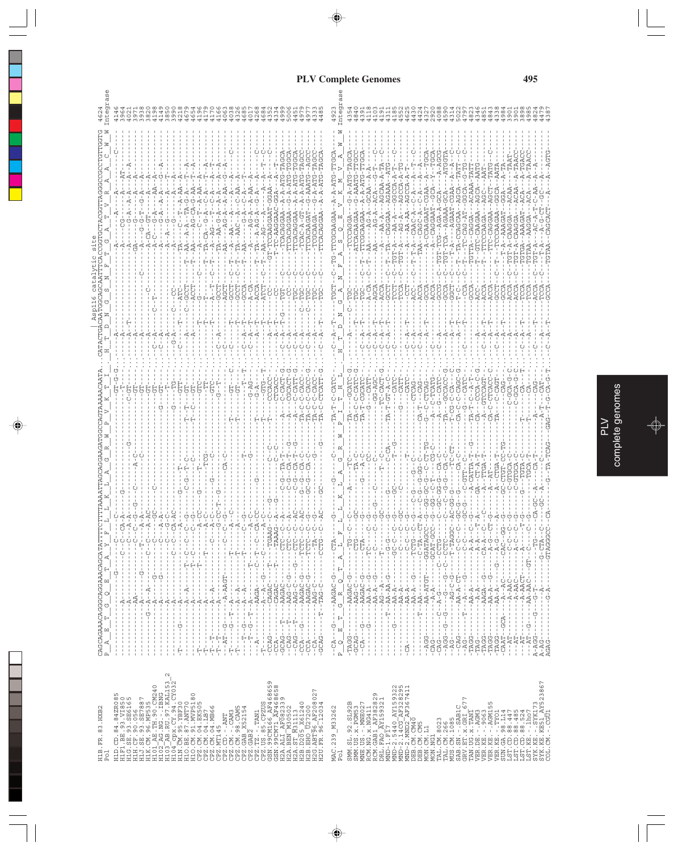| .FR.83.HXB<br>$\mathbf{\underline{m}}$<br>Ë                                                                                                                                                                                                                                                                                                                            | CAGCAGAAACAGGGCAGGAAACAGCATATT                                                                                                                                                                                                                                                                                                                                                                                       |                                                                                               |                                                                                   |  |        |  |    |            |    |          |
|------------------------------------------------------------------------------------------------------------------------------------------------------------------------------------------------------------------------------------------------------------------------------------------------------------------------------------------------------------------------|----------------------------------------------------------------------------------------------------------------------------------------------------------------------------------------------------------------------------------------------------------------------------------------------------------------------------------------------------------------------------------------------------------------------|-----------------------------------------------------------------------------------------------|-----------------------------------------------------------------------------------|--|--------|--|----|------------|----|----------|
| $\overline{Q}$<br>$\mathbf{a}$                                                                                                                                                                                                                                                                                                                                         | U<br>$\mathbb H$<br>凹<br>$\operatorname{\mathsf{K}}\nolimits_i$<br>$\mathsf{p}_4$                                                                                                                                                                                                                                                                                                                                    | $\mathbb H$<br>凹<br>$\alpha$                                                                  | Σ<br>К                                                                            |  |        |  |    |            |    |          |
| $\begin{tabular}{l} \bf 1111. \text{CD} \  \  \, 84. \text{ 442R095} \\ \bf 1111. \text{111.} \  \  \, 181. \text{ 53. } \text{33. } \text{54. } \text{55} \\ \bf 1111. \text{111.} \  \  \, 121. \text{ 54. } \text{55. } \text{56. } \text{57. } \text{58. } \text{59. } \text{105. } \text{59. } \text{106. } \text{50. } \text{111. } \text{111. } \text{1$<br>HID |                                                                                                                                                                                                                                                                                                                                                                                                                      | $C - C$<br>$\mathbf{I}$<br>-                                                                  | $\frac{1}{2}$<br>$\frac{1}{2}$<br>$\frac{1}{2}$<br>$\blacksquare$<br>$\mathbf{I}$ |  |        |  |    |            |    |          |
|                                                                                                                                                                                                                                                                                                                                                                        | ÷<br>÷<br>$\overline{\phantom{a}}$                                                                                                                                                                                                                                                                                                                                                                                   | $\mathbb{I}$<br>$\blacksquare$<br>$\mathbf{I}$                                                | $\frac{1}{1}$                                                                     |  |        |  |    |            |    |          |
|                                                                                                                                                                                                                                                                                                                                                                        | $\frac{1}{4}$<br>1                                                                                                                                                                                                                                                                                                                                                                                                   |                                                                                               | U<br>$\frac{1}{4}$<br>1                                                           |  |        |  |    |            |    |          |
| ᄇ                                                                                                                                                                                                                                                                                                                                                                      | $-4$<br>I<br>J.<br>٠                                                                                                                                                                                                                                                                                                                                                                                                 |                                                                                               | $\frac{1}{1}$<br>J.<br>J.                                                         |  |        |  |    |            |    |          |
|                                                                                                                                                                                                                                                                                                                                                                        | $-4$<br>やーー<br>1                                                                                                                                                                                                                                                                                                                                                                                                     | $\mathbf{I}$<br>$- - A - -$                                                                   | $\frac{1}{1}$<br>$\frac{1}{2}$<br>$\mathbf{I}$                                    |  |        |  |    |            |    |          |
| ᄑ<br>ᄑ                                                                                                                                                                                                                                                                                                                                                                 | ٠                                                                                                                                                                                                                                                                                                                                                                                                                    | $\frac{1}{1}$<br>ל<br>י<br>$-1$                                                               | U<br>U<br>Ť<br>÷<br>J.<br>$\mathbf{I}$<br>$\mathbf{I}$                            |  |        |  |    |            |    |          |
| $\sim$<br>Ξ                                                                                                                                                                                                                                                                                                                                                            | $\mathbf{I}$                                                                                                                                                                                                                                                                                                                                                                                                         | $\mathbf{I}$                                                                                  | U<br>$\mathbf{I}$<br>$\mathbf{I}$                                                 |  |        |  |    |            |    |          |
|                                                                                                                                                                                                                                                                                                                                                                        | I<br>1<br>J.<br>I<br>J.<br>1                                                                                                                                                                                                                                                                                                                                                                                         | $\,$<br>$\,$ I<br>$\overline{\phantom{a}}$<br>$\,$ I<br>$\mathbf{I}$                          | $\frac{1}{2}$<br>$\frac{1}{1}$                                                    |  |        |  |    |            |    |          |
|                                                                                                                                                                                                                                                                                                                                                                        | $-1$<br>I<br>$-9 - - -$<br>i<br>H<br>٠                                                                                                                                                                                                                                                                                                                                                                               | J.<br>J.                                                                                      | ٠<br>ı<br>л                                                                       |  |        |  |    |            |    |          |
|                                                                                                                                                                                                                                                                                                                                                                        | $-1$<br>I<br>J.<br>$\frac{1}{1}$<br>ı                                                                                                                                                                                                                                                                                                                                                                                | $- - - - - - - - -$                                                                           | U<br>÷<br>$\frac{1}{2}$                                                           |  |        |  |    |            |    |          |
|                                                                                                                                                                                                                                                                                                                                                                        | $-4$<br>$\mathbf{I}$<br>ł<br>$\mathbf{I}$                                                                                                                                                                                                                                                                                                                                                                            | 부                                                                                             | ÷<br>U<br>I                                                                       |  |        |  |    |            |    |          |
|                                                                                                                                                                                                                                                                                                                                                                        | $- - A$<br>J<br>$\frac{1}{1}$<br>J<br>$\frac{1}{2}$<br>텃                                                                                                                                                                                                                                                                                                                                                             | A - - - - - - - - T<br>A - - - - - - - - T<br>A - - - - - - - - - - -                         | t<br>f,                                                                           |  |        |  |    |            |    |          |
|                                                                                                                                                                                                                                                                                                                                                                        | ÷<br>Ť<br>$\,$<br>$\mathbf{I}$<br>$\,$ I                                                                                                                                                                                                                                                                                                                                                                             | К                                                                                             | J<br>۲<br>-                                                                       |  |        |  |    |            |    |          |
|                                                                                                                                                                                                                                                                                                                                                                        | $\mathbf{I}$<br>$\blacksquare$<br>$\frac{1}{4}$<br>÷<br>ا                                                                                                                                                                                                                                                                                                                                                            | Ą                                                                                             | $\frac{1}{2}$<br>$\mathbf{I}$                                                     |  |        |  |    |            |    |          |
|                                                                                                                                                                                                                                                                                                                                                                        | f,<br>$\blacksquare$<br>f,<br>י<br>י<br>텃                                                                                                                                                                                                                                                                                                                                                                            | $-A$ --                                                                                       | -<br>÷                                                                            |  |        |  |    |            |    |          |
| TM4. - CD.<br>PZ.                                                                                                                                                                                                                                                                                                                                                      | J.<br>$\frac{1}{1}$<br>$-AT$ --                                                                                                                                                                                                                                                                                                                                                                                      | $\overline{\phantom{a}}$<br>$- A - PAGT$                                                      | $\frac{1}{1}$<br>f,                                                               |  |        |  |    |            |    |          |
|                                                                                                                                                                                                                                                                                                                                                                        | $-4$<br>÷.<br>ロー<br>I.<br>ţ.<br>부                                                                                                                                                                                                                                                                                                                                                                                    | $\mathbb{L}$<br>٠.<br>$\mathsf{I}$                                                            | ÷.<br>⊢<br>Ĩ.                                                                     |  |        |  |    |            |    |          |
|                                                                                                                                                                                                                                                                                                                                                                        | ÷,<br>j<br>텃                                                                                                                                                                                                                                                                                                                                                                                                         | 1<br>٠<br>$- -A - -$<br>-A                                                                    | ÷<br>$-1$                                                                         |  |        |  |    |            |    |          |
| CPZ.CM.-.CAM3<br>CPZ.CM.98.CAM5<br>CPZ.GAB_X52154                                                                                                                                                                                                                                                                                                                      | $\frac{1}{1}$<br>$-\frac{5}{1}$<br>$-1$                                                                                                                                                                                                                                                                                                                                                                              | $- A - - A - -$                                                                               | f,<br>۳<br>-                                                                      |  |        |  |    |            |    |          |
| PZ.GABZ                                                                                                                                                                                                                                                                                                                                                                | ÷.<br>$\mathbf{I}$                                                                                                                                                                                                                                                                                                                                                                                                   | ۲<br>ا<br>$\mathbf{I}$                                                                        | $\frac{1}{1}$                                                                     |  |        |  |    |            |    |          |
|                                                                                                                                                                                                                                                                                                                                                                        | ı<br>I.<br>$- A - -$<br>J.                                                                                                                                                                                                                                                                                                                                                                                           | U<br>I<br>٠<br>$-AGA-$                                                                        | $-1-\mathbb{T}=-\mathbb{C}$ –                                                     |  |        |  |    |            |    | G        |
|                                                                                                                                                                                                                                                                                                                                                                        | J.<br>É                                                                                                                                                                                                                                                                                                                                                                                                              | $\frac{1}{\sqrt{2}}$<br>$-A - -A -$                                                           | J<br>$\frac{1}{2}$                                                                |  |        |  |    |            |    |          |
|                                                                                                                                                                                                                                                                                                                                                                        | J.<br>J.<br>J,<br>$CCAG--$<br>٠                                                                                                                                                                                                                                                                                                                                                                                      | $- - - - - - - - - - -$                                                                       | --TGAA<br>$\frac{1}{4}$                                                           |  |        |  |    |            |    |          |
| 6 AF468659<br>AF468658<br>082339<br>CEZ, TZ,  TANI<br>CEZ, US, 85, .CEZUS<br>CEZ, US, 85, .CEZUS<br>GSN, 99CM71 6, .P468658<br>H2A, ALI .AF082339<br>H2A, .ST .N31115<br>H2B, .BHO .P6, .P200<br>H2B, .BHO .PR, .96, .12034<br>H2U, .PR, .96, .12034<br>H2U, .PR, .96, .12034                                                                                          | f,<br>$\mathbf I$<br>J.<br>Í<br>CCA<br>٠                                                                                                                                                                                                                                                                                                                                                                             | $-CAGAC---T$                                                                                  | $-TTAAP$<br>$\frac{1}{4}$                                                         |  |        |  |    |            |    |          |
|                                                                                                                                                                                                                                                                                                                                                                        | $-0A0 - -1$                                                                                                                                                                                                                                                                                                                                                                                                          | $\overline{\phantom{a}}$                                                                      | $---CTC$                                                                          |  |        |  |    |            |    |          |
|                                                                                                                                                                                                                                                                                                                                                                        | ÷<br>부<br>$-CAG$ -                                                                                                                                                                                                                                                                                                                                                                                                   | $\frac{1}{\sqrt{2}}$<br>$-AA-G-C$                                                             | $---10$                                                                           |  |        |  |    |            |    |          |
|                                                                                                                                                                                                                                                                                                                                                                        | $\mathsf I$<br>$\frac{1}{4}$<br>F--<br>$-CAG-$                                                                                                                                                                                                                                                                                                                                                                       | $\frac{1}{\sqrt{2}}$<br>$\blacksquare$<br>÷<br>$-AA-C$                                        | $- -     -$                                                                       |  |        |  |    |            |    |          |
|                                                                                                                                                                                                                                                                                                                                                                        | $\,$<br>$\mathbf{I}$<br>$-CCA - -G$                                                                                                                                                                                                                                                                                                                                                                                  | 1<br>부<br>---AAGAC                                                                            | $-$ -TCTC                                                                         |  |        |  |    |            |    |          |
|                                                                                                                                                                                                                                                                                                                                                                        | J.<br>٠<br>$CCA -$<br>٠                                                                                                                                                                                                                                                                                                                                                                                              | Ť<br>ن<br>!<br>--AAGAC                                                                        | $--2TCT--$                                                                        |  |        |  |    |            |    |          |
|                                                                                                                                                                                                                                                                                                                                                                        | $\,$                                                                                                                                                                                                                                                                                                                                                                                                                 |                                                                                               |                                                                                   |  |        |  |    |            |    |          |
|                                                                                                                                                                                                                                                                                                                                                                        | J.<br>$\mathfrak l$<br>$\begin{array}{c} \rule{0.2cm}{0.15mm} \rule{0.2cm}{0.15mm} \rule{0.2cm}{0.15mm} \rule{0.2cm}{0.15mm} \rule{0.2cm}{0.15mm} \rule{0.2cm}{0.15mm} \rule{0.2cm}{0.15mm} \rule{0.2cm}{0.15mm} \rule{0.2cm}{0.15mm} \rule{0.2cm}{0.15mm} \rule{0.2cm}{0.15mm} \rule{0.2cm}{0.15mm} \rule{0.2cm}{0.15mm} \rule{0.2cm}{0.15mm} \rule{0.2cm}{0.15mm} \rule{$<br>$\frac{1}{1}$<br>$\mathfrak{B}$       | J.<br>٠<br>$-PAAG-C$                                                                          | $-TTA$<br>J.<br>٠                                                                 |  |        |  |    |            |    |          |
|                                                                                                                                                                                                                                                                                                                                                                        | $-1$<br>$\overline{\phantom{a}}$<br>GCAG-                                                                                                                                                                                                                                                                                                                                                                            | $-0.4T - 1$                                                                                   | <b>PHDD-</b>                                                                      |  |        |  |    |            |    |          |
| MAC.239 M33262                                                                                                                                                                                                                                                                                                                                                         |                                                                                                                                                                                                                                                                                                                                                                                                                      |                                                                                               |                                                                                   |  |        |  |    |            |    |          |
| Po <sub>1</sub>                                                                                                                                                                                                                                                                                                                                                        | $\vdash$<br>$\frac{1}{2}$<br>凹<br>$-CA$<br>$\circ$<br>$\mathsf{p}_4$                                                                                                                                                                                                                                                                                                                                                 | $\vdash$<br>$-$ PAGAC-G-<br>$\mathbbm{R}$<br>Ü                                                | H<br>$-CTA-$<br>Ą<br>-                                                            |  |        |  | U. | TTCGCAAGAA | ż, |          |
|                                                                                                                                                                                                                                                                                                                                                                        |                                                                                                                                                                                                                                                                                                                                                                                                                      | $\circ$                                                                                       | $\Box$                                                                            |  |        |  |    |            |    |          |
|                                                                                                                                                                                                                                                                                                                                                                        | I,<br>1<br>J.<br>$TAGG--$<br>-                                                                                                                                                                                                                                                                                                                                                                                       | -- AAGAC-G                                                                                    | $-52-$<br>$\mathbf{I}$<br>$\mathbf{I}$                                            |  |        |  |    |            |    |          |
| SMM.SL.92.SL92B<br>SMM.US.x.PGM53                                                                                                                                                                                                                                                                                                                                      | f,<br>$\begin{array}{c} \rule{0.2cm}{0.15mm} \rule{0.2cm}{0.15mm} \rule{0.2cm}{0.15mm} \rule{0.2cm}{0.15mm} \rule{0.2cm}{0.15mm} \rule{0.2cm}{0.15mm} \rule{0.2cm}{0.15mm} \rule{0.2cm}{0.15mm} \rule{0.2cm}{0.15mm} \rule{0.2cm}{0.15mm} \rule{0.2cm}{0.15mm} \rule{0.2cm}{0.15mm} \rule{0.2cm}{0.15mm} \rule{0.2cm}{0.15mm} \rule{0.2cm}{0.15mm} \rule{$<br>J.<br>$\overline{\phantom{a}}$<br>t<br>$GCAG - -$<br>٠ | t<br>$-2AG-C$ -                                                                               | $-5179 - -$<br>٠                                                                  |  |        |  |    |            |    |          |
| <b>MNE</b>                                                                                                                                                                                                                                                                                                                                                             | U-URURR-----U---<br>$-CA$<br>$\mathbf{I}$                                                                                                                                                                                                                                                                                                                                                                            | $\mathsf I$                                                                                   | $-CTA$<br>$\mathbf{I}$                                                            |  |        |  |    |            |    |          |
| E.US. - MNE027<br>M.NG.x.NG411<br>M.GAB1_AF382829<br>M.GAB1_AF382829<br><b>RCM</b>                                                                                                                                                                                                                                                                                     | $\,$ $\,$<br>t<br>$\frac{1}{\sqrt{2}}$<br>$\,$ I<br>J.                                                                                                                                                                                                                                                                                                                                                               | $\mathbf I$<br>$-7-7-7-7-7$                                                                   | $\frac{1}{4}$<br>-TC<br>$\mathbf{I}$                                              |  |        |  |    |            |    |          |
| RCM.GAB1                                                                                                                                                                                                                                                                                                                                                               | J<br>Í<br>J.<br>J.<br>٠                                                                                                                                                                                                                                                                                                                                                                                              | J<br>$\,$<br>$-7-7-7-7-7$                                                                     | $-1 - 1$<br>٠                                                                     |  |        |  |    |            |    |          |
| DRL. FAO                                                                                                                                                                                                                                                                                                                                                               | $\mathbf{I}$                                                                                                                                                                                                                                                                                                                                                                                                         | - - AG - - A-                                                                                 | $\frac{1}{T}$                                                                     |  |        |  |    |            |    |          |
| $\mathbb{F}_2$<br>$MND-1$                                                                                                                                                                                                                                                                                                                                              | ٠<br>L.<br>٠                                                                                                                                                                                                                                                                                                                                                                                                         | $\mathbf I$<br>$---T - - PAP - PAP - G$                                                       | 9-9-1<br>٠                                                                        |  | υ      |  |    |            |    |          |
|                                                                                                                                                                                                                                                                                                                                                                        | $-9 - -$<br>$\mathbf{I}$<br>$\mathbf{I}$<br>$\mathbf{I}$                                                                                                                                                                                                                                                                                                                                                             | $\mathbf I$<br>$---AA - A - - -$                                                              | <b>U</b> - U<br>U<br>U<br>$\mathbf{I}$                                            |  |        |  |    |            |    |          |
|                                                                                                                                                                                                                                                                                                                                                                        | $\begin{array}{c} \rule{0.2cm}{0.15mm} \end{array}$<br>$\mathbf{I}$                                                                                                                                                                                                                                                                                                                                                  | $- - A A - A - -$                                                                             | $\frac{1}{C}$<br>$\blacksquare$                                                   |  |        |  |    |            |    |          |
|                                                                                                                                                                                                                                                                                                                                                                        |                                                                                                                                                                                                                                                                                                                                                                                                                      |                                                                                               |                                                                                   |  |        |  |    |            |    |          |
|                                                                                                                                                                                                                                                                                                                                                                        | I<br>$\frac{1}{1}$<br>Ţ<br>$\mathbf{I}$<br>ı<br>S<br>-                                                                                                                                                                                                                                                                                                                                                               | f,<br>f,<br>$-AA-AA$                                                                          | $-1 - 1$<br>J.                                                                    |  |        |  |    |            |    |          |
|                                                                                                                                                                                                                                                                                                                                                                        | 1                                                                                                                                                                                                                                                                                                                                                                                                                    | $\mathfrak l$<br>$\frac{1}{\sqrt{2}}$<br>$-AA - A$                                            | $-5$ TCTG-                                                                        |  |        |  |    |            |    |          |
|                                                                                                                                                                                                                                                                                                                                                                        | $-4T - T - P_0$                                                                                                                                                                                                                                                                                                                                                                                                      |                                                                                               | $-C-TA$ -                                                                         |  |        |  |    |            |    |          |
| MON.CM.L1                                                                                                                                                                                                                                                                                                                                                              | $\mathbf I$<br>J.<br>$\mathbf{I}$<br>$-AGG-$                                                                                                                                                                                                                                                                                                                                                                         | $- - \underline{P} \underline{P} - \underline{P} \underline{P} - \underline{P} \underline{T}$ | --GGATAGC                                                                         |  |        |  |    |            |    |          |
| MON.NG1                                                                                                                                                                                                                                                                                                                                                                | ٠<br>٠<br>I<br>J.<br>CAG-                                                                                                                                                                                                                                                                                                                                                                                            | 1<br>٠<br>$- -A - A - -$                                                                      | <b>UU-LAUU-</b>                                                                   |  |        |  |    |            |    |          |
|                                                                                                                                                                                                                                                                                                                                                                        | $\begin{array}{c} \rule{0.2cm}{0.15mm} \end{array}$<br>$\blacksquare$<br>$-CAG$                                                                                                                                                                                                                                                                                                                                      | $\frac{1}{1}$<br>$\overline{\phantom{a}}$                                                     | $-5T5 - -$                                                                        |  |        |  |    |            |    |          |
| TAL.CM.8023<br>TAL.CM.266<br>MUS.CM.1085                                                                                                                                                                                                                                                                                                                               | $-1 - 5 - 1 - 5 - 1$                                                                                                                                                                                                                                                                                                                                                                                                 | $\frac{1}{1}$<br>ウーーウー                                                                        | $-$ -CCTC $-$                                                                     |  | ں<br>ט |  |    | GAAA       |    |          |
|                                                                                                                                                                                                                                                                                                                                                                        | $\,$<br>t<br>Í<br>$- - A$ G                                                                                                                                                                                                                                                                                                                                                                                          | Í<br>U-U-U-U-U-                                                                               | $- -T - T - GC$                                                                   |  | g      |  |    |            |    |          |
|                                                                                                                                                                                                                                                                                                                                                                        | $- -0A0 - -$                                                                                                                                                                                                                                                                                                                                                                                                         | $\overline{1}$<br>$\frac{1}{4}$<br>$-----AA - AA - CT$                                        | $C - C$<br>$\frac{1}{1}$                                                          |  |        |  |    |            |    |          |
| $\overline{ }$                                                                                                                                                                                                                                                                                                                                                         | $- -1 - 1 - -1 - 2 - 1$<br>$\frac{1}{4}$<br>$- - AG$                                                                                                                                                                                                                                                                                                                                                                 | やーー                                                                                           | ÷<br>$C-C$<br>$\frac{1}{4}$                                                       |  |        |  |    |            |    |          |
| $\begin{array}{l} \mathtt{SAB}.\mathtt{SM}.-\mathtt{.SAB1C}\\ \mathtt{GRV}.\mathtt{ET}.x.\mathtt{GRI} \quad \mathtt{67}\\ \mathtt{TAM}.\mathtt{UC}.\mathtt{x}.\mathtt{TAM1} \end{array}$                                                                                                                                                                               | f,<br>TAGG--                                                                                                                                                                                                                                                                                                                                                                                                         | ÷<br>$-AA-A$                                                                                  | л.<br>$-1 - A - A$<br>$-1 - A - A$<br>÷.                                          |  |        |  |    |            |    |          |
|                                                                                                                                                                                                                                                                                                                                                                        | $\,$ I<br>$\frac{1}{1}$<br>$\overline{\phantom{a}}$<br>$-TAG$                                                                                                                                                                                                                                                                                                                                                        | $\mathbf{I}$<br>$---A- A$                                                                     | $\mathbf{I}$                                                                      |  |        |  |    |            |    |          |
|                                                                                                                                                                                                                                                                                                                                                                        | 1<br>1<br>$-TAGG-$                                                                                                                                                                                                                                                                                                                                                                                                   | $-AAGA-0$                                                                                     | $-CA - A$                                                                         |  |        |  |    |            |    | $\infty$ |
| LN,<br>LN<br>VER.DE.-.AGM3<br>VER.KE.-.9063<br>VER.KE.-.AGM15                                                                                                                                                                                                                                                                                                          | $\begin{array}{c} \rule{0.2cm}{0.15mm} \rule{0.2cm}{0.15mm} \rule{0.2cm}{0.15mm} \rule{0.2cm}{0.15mm} \rule{0.2cm}{0.15mm} \rule{0.2cm}{0.15mm} \rule{0.2cm}{0.15mm} \rule{0.2cm}{0.15mm} \rule{0.2cm}{0.15mm} \rule{0.2cm}{0.15mm} \rule{0.2cm}{0.15mm} \rule{0.2cm}{0.15mm} \rule{0.2cm}{0.15mm} \rule{0.2cm}{0.15mm} \rule{0.2cm}{0.15mm} \rule{$<br>ţ<br>-TAGG-                                                  | $-4A - A - G$                                                                                 | $-4-7$                                                                            |  |        |  |    |            |    |          |
| TYO1<br>J.<br>VER.KE.                                                                                                                                                                                                                                                                                                                                                  | J.<br>J.<br>$-TAGG-$                                                                                                                                                                                                                                                                                                                                                                                                 | ロー<br>$- - A - A - - - -$                                                                     |                                                                                   |  |        |  |    |            |    |          |
|                                                                                                                                                                                                                                                                                                                                                                        | - CAAT - - - - - - A - - A - - - - -                                                                                                                                                                                                                                                                                                                                                                                 |                                                                                               | $-$ - CAC $-$                                                                     |  |        |  |    |            |    |          |
|                                                                                                                                                                                                                                                                                                                                                                        | $\,$<br>$---AT - -$                                                                                                                                                                                                                                                                                                                                                                                                  | $- -A - AAC - -$                                                                              | $-1 - C - C -$                                                                    |  |        |  |    |            |    |          |
|                                                                                                                                                                                                                                                                                                                                                                        | $\frac{1}{1}$<br>$\overline{\phantom{a}}$<br>$-AT - -$                                                                                                                                                                                                                                                                                                                                                               | $- -A - AAC$                                                                                  |                                                                                   |  |        |  |    |            |    |          |
|                                                                                                                                                                                                                                                                                                                                                                        |                                                                                                                                                                                                                                                                                                                                                                                                                      |                                                                                               | $-4-7$<br>$\mathbf{I}$                                                            |  |        |  |    |            |    |          |
| SUN 32.98.1-14<br>LST.CD.88.447<br>LST.CD.88.485<br>LST.CD.88.524<br>LST.CD.88.524                                                                                                                                                                                                                                                                                     | I.<br>I<br>$\frac{1}{1}$<br>$- - A T - -$<br>٠                                                                                                                                                                                                                                                                                                                                                                       | ı<br>$-2A-RACT$                                                                               | ---A--                                                                            |  |        |  |    |            |    |          |
|                                                                                                                                                                                                                                                                                                                                                                        | $- -D - -C - -$                                                                                                                                                                                                                                                                                                                                                                                                      | $-1 - 2A - 2AC - 1C - 1C - 1$                                                                 |                                                                                   |  |        |  |    |            |    |          |
| SYK173<br>151 AY523867<br>Ŧ<br>$K$ EX $\cdot$<br>YK<br>C)                                                                                                                                                                                                                                                                                                              | <b>0</b> ------<br>$A - AGG - -$                                                                                                                                                                                                                                                                                                                                                                                     | 부                                                                                             | $-TG-$<br>$\mathbf I$<br>L.                                                       |  |        |  |    |            |    |          |
| YK.KE.KE51<br>CO                                                                                                                                                                                                                                                                                                                                                       | $\mathbf{I}$<br>J.<br>Ť<br>A-AG-                                                                                                                                                                                                                                                                                                                                                                                     | $\frac{1}{1}$<br>÷,<br>$-4$<br>f,                                                             | $-10-0-1$                                                                         |  |        |  |    |            |    |          |
| CGĪ<br><b>E</b><br>ECC                                                                                                                                                                                                                                                                                                                                                 |                                                                                                                                                                                                                                                                                                                                                                                                                      | $-5 - - -$                                                                                    | --GTAGGGC                                                                         |  |        |  |    |            |    |          |

 $\mathbb O$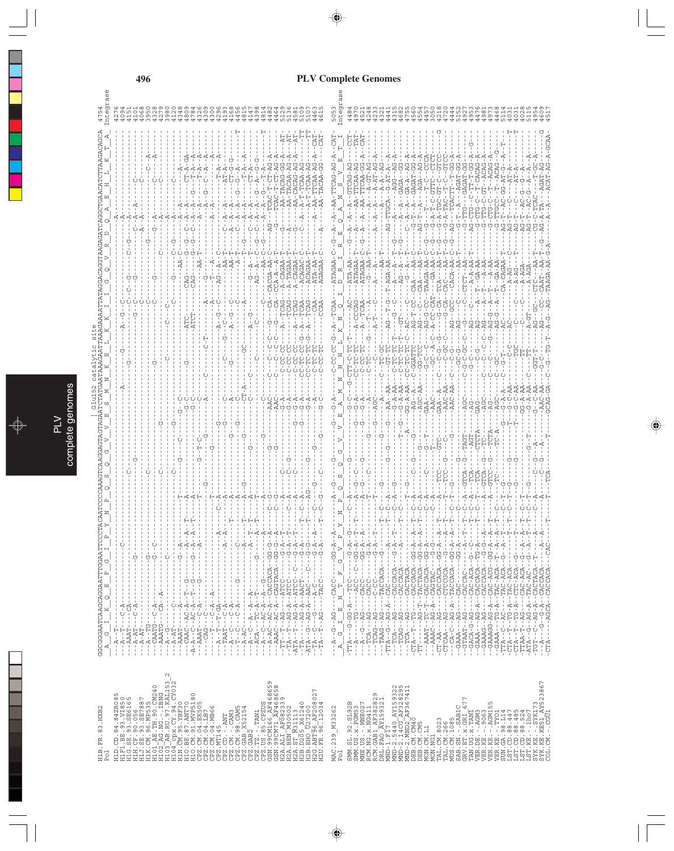|  | ç<br>Ļ<br>ì<br>è<br>í<br>ĩ |
|--|----------------------------|
|  |                            |

nes

| U<br>ł<br>١<br>ĭ<br>ł<br>ï<br>π<br>÷.<br>ę          |
|-----------------------------------------------------|
| C<br>N<br>٦<br>Þ<br>4<br>۳<br>Š<br>ł<br>r<br>ı<br>١ |
|                                                     |

| Ū                        |                                                                                                                                                                                                                                                                                                                                                                                                                                                                                                                                                                                                                                                                                                                                                                                                                                                                                                                   |                                                                                                                                                                                                                                                                                                                                                                                                                                                                                                                                                                                                                                                                                                                                                                                                                                                                                                                                                                                                                                                                                                                                                                                                                                                                                                                                                                                                                                                                                                                                                                                                                                                                                                                                                                                                     |
|--------------------------|-------------------------------------------------------------------------------------------------------------------------------------------------------------------------------------------------------------------------------------------------------------------------------------------------------------------------------------------------------------------------------------------------------------------------------------------------------------------------------------------------------------------------------------------------------------------------------------------------------------------------------------------------------------------------------------------------------------------------------------------------------------------------------------------------------------------------------------------------------------------------------------------------------------------|-----------------------------------------------------------------------------------------------------------------------------------------------------------------------------------------------------------------------------------------------------------------------------------------------------------------------------------------------------------------------------------------------------------------------------------------------------------------------------------------------------------------------------------------------------------------------------------------------------------------------------------------------------------------------------------------------------------------------------------------------------------------------------------------------------------------------------------------------------------------------------------------------------------------------------------------------------------------------------------------------------------------------------------------------------------------------------------------------------------------------------------------------------------------------------------------------------------------------------------------------------------------------------------------------------------------------------------------------------------------------------------------------------------------------------------------------------------------------------------------------------------------------------------------------------------------------------------------------------------------------------------------------------------------------------------------------------------------------------------------------------------------------------------------------------|
|                          |                                                                                                                                                                                                                                                                                                                                                                                                                                                                                                                                                                                                                                                                                                                                                                                                                                                                                                                   |                                                                                                                                                                                                                                                                                                                                                                                                                                                                                                                                                                                                                                                                                                                                                                                                                                                                                                                                                                                                                                                                                                                                                                                                                                                                                                                                                                                                                                                                                                                                                                                                                                                                                                                                                                                                     |
|                          |                                                                                                                                                                                                                                                                                                                                                                                                                                                                                                                                                                                                                                                                                                                                                                                                                                                                                                                   |                                                                                                                                                                                                                                                                                                                                                                                                                                                                                                                                                                                                                                                                                                                                                                                                                                                                                                                                                                                                                                                                                                                                                                                                                                                                                                                                                                                                                                                                                                                                                                                                                                                                                                                                                                                                     |
| ن<br>ون                  |                                                                                                                                                                                                                                                                                                                                                                                                                                                                                                                                                                                                                                                                                                                                                                                                                                                                                                                   |                                                                                                                                                                                                                                                                                                                                                                                                                                                                                                                                                                                                                                                                                                                                                                                                                                                                                                                                                                                                                                                                                                                                                                                                                                                                                                                                                                                                                                                                                                                                                                                                                                                                                                                                                                                                     |
|                          |                                                                                                                                                                                                                                                                                                                                                                                                                                                                                                                                                                                                                                                                                                                                                                                                                                                                                                                   |                                                                                                                                                                                                                                                                                                                                                                                                                                                                                                                                                                                                                                                                                                                                                                                                                                                                                                                                                                                                                                                                                                                                                                                                                                                                                                                                                                                                                                                                                                                                                                                                                                                                                                                                                                                                     |
| AGA                      |                                                                                                                                                                                                                                                                                                                                                                                                                                                                                                                                                                                                                                                                                                                                                                                                                                                                                                                   |                                                                                                                                                                                                                                                                                                                                                                                                                                                                                                                                                                                                                                                                                                                                                                                                                                                                                                                                                                                                                                                                                                                                                                                                                                                                                                                                                                                                                                                                                                                                                                                                                                                                                                                                                                                                     |
|                          |                                                                                                                                                                                                                                                                                                                                                                                                                                                                                                                                                                                                                                                                                                                                                                                                                                                                                                                   |                                                                                                                                                                                                                                                                                                                                                                                                                                                                                                                                                                                                                                                                                                                                                                                                                                                                                                                                                                                                                                                                                                                                                                                                                                                                                                                                                                                                                                                                                                                                                                                                                                                                                                                                                                                                     |
|                          |                                                                                                                                                                                                                                                                                                                                                                                                                                                                                                                                                                                                                                                                                                                                                                                                                                                                                                                   | CACA-                                                                                                                                                                                                                                                                                                                                                                                                                                                                                                                                                                                                                                                                                                                                                                                                                                                                                                                                                                                                                                                                                                                                                                                                                                                                                                                                                                                                                                                                                                                                                                                                                                                                                                                                                                                               |
|                          |                                                                                                                                                                                                                                                                                                                                                                                                                                                                                                                                                                                                                                                                                                                                                                                                                                                                                                                   |                                                                                                                                                                                                                                                                                                                                                                                                                                                                                                                                                                                                                                                                                                                                                                                                                                                                                                                                                                                                                                                                                                                                                                                                                                                                                                                                                                                                                                                                                                                                                                                                                                                                                                                                                                                                     |
|                          |                                                                                                                                                                                                                                                                                                                                                                                                                                                                                                                                                                                                                                                                                                                                                                                                                                                                                                                   |                                                                                                                                                                                                                                                                                                                                                                                                                                                                                                                                                                                                                                                                                                                                                                                                                                                                                                                                                                                                                                                                                                                                                                                                                                                                                                                                                                                                                                                                                                                                                                                                                                                                                                                                                                                                     |
|                          |                                                                                                                                                                                                                                                                                                                                                                                                                                                                                                                                                                                                                                                                                                                                                                                                                                                                                                                   |                                                                                                                                                                                                                                                                                                                                                                                                                                                                                                                                                                                                                                                                                                                                                                                                                                                                                                                                                                                                                                                                                                                                                                                                                                                                                                                                                                                                                                                                                                                                                                                                                                                                                                                                                                                                     |
|                          |                                                                                                                                                                                                                                                                                                                                                                                                                                                                                                                                                                                                                                                                                                                                                                                                                                                                                                                   |                                                                                                                                                                                                                                                                                                                                                                                                                                                                                                                                                                                                                                                                                                                                                                                                                                                                                                                                                                                                                                                                                                                                                                                                                                                                                                                                                                                                                                                                                                                                                                                                                                                                                                                                                                                                     |
| U.                       |                                                                                                                                                                                                                                                                                                                                                                                                                                                                                                                                                                                                                                                                                                                                                                                                                                                                                                                   |                                                                                                                                                                                                                                                                                                                                                                                                                                                                                                                                                                                                                                                                                                                                                                                                                                                                                                                                                                                                                                                                                                                                                                                                                                                                                                                                                                                                                                                                                                                                                                                                                                                                                                                                                                                                     |
|                          |                                                                                                                                                                                                                                                                                                                                                                                                                                                                                                                                                                                                                                                                                                                                                                                                                                                                                                                   | E                                                                                                                                                                                                                                                                                                                                                                                                                                                                                                                                                                                                                                                                                                                                                                                                                                                                                                                                                                                                                                                                                                                                                                                                                                                                                                                                                                                                                                                                                                                                                                                                                                                                                                                                                                                                   |
| AGGAGTAGTAG              |                                                                                                                                                                                                                                                                                                                                                                                                                                                                                                                                                                                                                                                                                                                                                                                                                                                                                                                   |                                                                                                                                                                                                                                                                                                                                                                                                                                                                                                                                                                                                                                                                                                                                                                                                                                                                                                                                                                                                                                                                                                                                                                                                                                                                                                                                                                                                                                                                                                                                                                                                                                                                                                                                                                                                     |
|                          |                                                                                                                                                                                                                                                                                                                                                                                                                                                                                                                                                                                                                                                                                                                                                                                                                                                                                                                   |                                                                                                                                                                                                                                                                                                                                                                                                                                                                                                                                                                                                                                                                                                                                                                                                                                                                                                                                                                                                                                                                                                                                                                                                                                                                                                                                                                                                                                                                                                                                                                                                                                                                                                                                                                                                     |
|                          |                                                                                                                                                                                                                                                                                                                                                                                                                                                                                                                                                                                                                                                                                                                                                                                                                                                                                                                   |                                                                                                                                                                                                                                                                                                                                                                                                                                                                                                                                                                                                                                                                                                                                                                                                                                                                                                                                                                                                                                                                                                                                                                                                                                                                                                                                                                                                                                                                                                                                                                                                                                                                                                                                                                                                     |
|                          |                                                                                                                                                                                                                                                                                                                                                                                                                                                                                                                                                                                                                                                                                                                                                                                                                                                                                                                   |                                                                                                                                                                                                                                                                                                                                                                                                                                                                                                                                                                                                                                                                                                                                                                                                                                                                                                                                                                                                                                                                                                                                                                                                                                                                                                                                                                                                                                                                                                                                                                                                                                                                                                                                                                                                     |
|                          | $\mathbf{I}$<br>٠<br>-                                                                                                                                                                                                                                                                                                                                                                                                                                                                                                                                                                                                                                                                                                                                                                                                                                                                                            |                                                                                                                                                                                                                                                                                                                                                                                                                                                                                                                                                                                                                                                                                                                                                                                                                                                                                                                                                                                                                                                                                                                                                                                                                                                                                                                                                                                                                                                                                                                                                                                                                                                                                                                                                                                                     |
| $\mathbf{\Omega}_4$<br>Н | $-4 - 2 - 4$<br>$- - A$<br>$-4$<br>$-A - A$<br>H<br>I<br>$-24$<br>$-4$<br>$\frac{1}{2}$<br>ţ<br>$\mathbf{I}$<br>Ť<br>t<br>1<br>$- - A - -$<br>$\mathbf I$<br>$\frac{1}{1}$<br>Ħ<br>$\sum_{i=1}^{n}$<br>$-1$<br>$--- A$<br>$\frac{1}{1}$<br>$-4$<br>$-4$<br>$-5 - 5 - 1$<br>J.<br>$-4$<br>٢<br>٠<br>$\frac{1}{1}$<br>$\mathbf{I}$<br>٠                                                                                                                                                                                                                                                                                                                                                                                                                                                                                                                                                                             | $-4$<br>$- - - - - - - - -$<br>÷,<br>$- -A - -A$<br>$-1$<br>$-1$<br>$- - A$<br>$-1$<br>$-4 - 4 - T$<br>$-4 - - -$<br>$\frac{1}{\sqrt{2}}$<br>$\mathsf{p}_\mathsf{q}$<br>$\frac{1}{4}$<br>t<br>÷<br>$\frac{1}{1}$<br>÷,<br>U-D-1-<br>$-599 - -$<br>$\triangleright$                                                                                                                                                                                                                                                                                                                                                                                                                                                                                                                                                                                                                                                                                                                                                                                                                                                                                                                                                                                                                                                                                                                                                                                                                                                                                                                                                                                                                                                                                                                                  |
| U<br>Ŀ,                  | $-5 - 9 - 1$<br><b>ウ---)---</b><br>$- - - - -$<br>$\frac{1}{\sqrt{2}}$<br>$\frac{1}{\sqrt{2}}$<br>$\frac{c}{1}$<br>$\frac{c}{1}$<br>じー<br>$\begin{array}{c} 1 \\ 1 \\ 2 \\ 3 \\ 4 \end{array}$<br>$\frac{1}{1}$<br>ł.<br>I<br>$\,$ I<br>$\mathbf{I}$<br>J,<br>$\,$<br>I<br>$\mathbf{I}$<br>J.<br>1<br>J.<br>$\,$<br>$\mathbf{I}$<br>$\mathsf I$<br>ł<br>$\mathbf{I}$<br>Ţ<br>$\,$ I<br>$\mathsf I$<br>$\,$ $\,$<br>$\,$<br>$\,$ l<br>$\mathsf I$<br>$\frac{1}{1}$                                                                                                                                                                                                                                                                                                                                                                                                                                                 | $-1$<br>$C - C$<br>$\circ$<br>$\mathsf I$<br>Ŀ,                                                                                                                                                                                                                                                                                                                                                                                                                                                                                                                                                                                                                                                                                                                                                                                                                                                                                                                                                                                                                                                                                                                                                                                                                                                                                                                                                                                                                                                                                                                                                                                                                                                                                                                                                     |
| 囸<br>$\circ$             | $-ATA - T - T - AG - A - ATCC - C - C - C - A$<br>- - TT- - T- - AG - - - - ATCC- - - - - - G - A<br>- - TA - - T - - AG - A - - ATCC - - - - - - G - A<br>----CAAC--AC-A--T--G---<br>--A-A--C--AC-A--T--G---<br>---AAAT---C-A-----G------<br>$-9 - - -$<br>- - A - - A - - A - - - - -<br>- - TC - A - - T - - - -<br>$-1 - 2 - 4 - 4 - 4 - 1$<br>$- - TACC - -$<br>$\frac{1}{1}$<br>ł.<br>î.<br>$\begin{array}{c} \rule{0.2cm}{0.15mm} \rule{0.2cm}{0.15mm} \rule{0.2cm}{0.15mm} \rule{0.2cm}{0.15mm} \rule{0.2cm}{0.15mm} \rule{0.2cm}{0.15mm} \rule{0.2cm}{0.15mm} \rule{0.2cm}{0.15mm} \rule{0.2cm}{0.15mm} \rule{0.2cm}{0.15mm} \rule{0.2cm}{0.15mm} \rule{0.2cm}{0.15mm} \rule{0.2cm}{0.15mm} \rule{0.2cm}{0.15mm} \rule{0.2cm}{0.15mm} \rule{$<br>$-CA - PA - -$<br>$\frac{1}{2}$<br>$\frac{1}{4}$<br>$\mathsf I$<br>$-4 - C$<br>J.<br>$\mathbf{I}$<br>$\mathbf{I}$<br>J.<br>$\mathbf{I}$<br>-<br>Ť<br>J. | $\begin{aligned} &\text{TTTA}\, \text{---}\, \text{--}\, \text{--}\, \text{--}\, \text{--}\, \text{--}\, \text{--}\, \text{--}\, \text{--}\, \text{--}\, \text{--}\, \text{--}\, \text{--}\, \text{--}\, \text{--}\, \text{--}\, \text{--}\, \text{--}\, \text{--}\, \text{--}\, \text{--}\, \text{--}\, \text{--}\, \text{--}\, \text{--}\, \text{--}\, \text{--}\, \text{--}\, \text{--}\, \text{--}\, \text{--}\, \text{--}\, \text{--}\, \text{--}\, \text{$<br>$- -CACCACA - GG - A - A$<br>$\begin{array}{l} \mathbb{T} \text{C} \mathbb{A} \mathbb{A} \text{--} \text{--} \mathbb{A} \text{G} \text{--} \text{--} \text{--} \text{C} \mathbb{T} \text{C} \text{C} \text{G} \text{C} \mathbb{A} \text{--} \text{--} \text{G} \text{--} \text{--} \text{--} \text{--} \mathbb{A} \\ \text{--} \text{C} \mathbb{A} \text{--} \text{C} \text{--} \text{--} \mathbb{A} \text{G} \text{--} \mathbb{A} \text{--} \text{--} \mathbb{T} \mathbb{$<br>$\begin{array}{l} \begin{array}{l} -\text{--}78A6-\text{--}46-\text{--}78 \text{--} \text{C}36 \text{--}46-\text{--} \text{--} \text{--} \end{array} \\ \begin{array}{l} \begin{array}{l} -\text{--}78A6-\text{--}46-\text{--}78 \text{--} \text{C}36 \text{--}46-\text{--}46-\text{--}76 \text{--} \text{--} \end{array} \\ \begin{array}{l} -\text{--}76A-\text{--}46-\text{--}76-\text{--} \text{C}36 \text{--} \text{C}36 \$<br>--AG-TACTACTACT----A--A<br>TGT---C--AG-A--CACTACA--T----<br>--A---G--A--CACCACA-----A--<br>CTA-----AGCA--CACCACA---CAC-<br>- AAAT--TC-T-CACCACA--GG-A<br><b>CAC-ACA-0-</b><br>----AAAC--AG-A--CAGTAC--<br>-CT-AA ---AG----CACCACA<br>-CTCAA ---AG----CTCCGCA<br>$- -AG - A - TAC - ACC$<br>-- DUF -- - 4-00-0-- --<br>$- - - - - - - - - - - -$<br>$-$ -CACC $-$<br>$- -CAC - -$<br>$\vdash$<br>$\mathbb{H}$ |
| ×                        | $---C-P-1$<br>$-CA$ -<br>$---C - A -$<br>$-1$<br>$-4$<br>$-9 - - - -$<br>÷<br>J.<br>$\frac{1}{1}$<br>$- -P - - -$<br>$\mathbf{I}$<br>$\overline{\phantom{a}}$<br>$\overline{\phantom{a}}$<br>J.<br>$- - -$<br>$\mathsf I$<br>1<br>$\frac{1}{1}$                                                                                                                                                                                                                                                                                                                                                                                                                                                                                                                                                                                                                                                                   | $- -P - - - -$<br>J.<br>$[1] \centering% \includegraphics[width=1.0\textwidth]{Figures/PD1.png} \caption{The 3D (black) model for the $2D$-error of the estimators in the left and right. The left and right is the same as in the right.} \label{fig:1}$                                                                                                                                                                                                                                                                                                                                                                                                                                                                                                                                                                                                                                                                                                                                                                                                                                                                                                                                                                                                                                                                                                                                                                                                                                                                                                                                                                                                                                                                                                                                           |
| $\vdash$<br>Ü            | $-ATA - G - -AG - A - AAC$<br>$\begin{array}{l} \vspace{2mm} - - \text{C-AATG} - - \text{C-A} \\ - - \text{A-AATG} - - \text{C-A} \end{array}$<br>$\frac{1}{1}$<br>$\frac{1}{1}$<br>$-1 - 2 - 1 - 2 - 2$<br>$- - P1P2P1 -$<br>$-$ -AAAT- $-$<br>$- -A - AT - -$<br>t<br>$- -A - TG$<br>$\begin{array}{c}\n- -A & -T \\ - -A & -T\n\end{array}$<br>$- -A - AT$<br>$-4 - 4 - 6$<br>$- - A - A T$<br>$- -$ CAG<br>$-$ -ACA $-$<br>$-T-A$ -T<br>$-TA - C$                                                                                                                                                                                                                                                                                                                                                                                                                                                             | $- -GACA - G - AG - - -$<br>$-GAA - - AG - -$<br>$-54 - -1 - -1$<br>$-$ -TCA $-$ -AG<br>$-$ -TCAG $-$ -AG<br>$\mathbf{H}$<br>$-TTPAA-T$<br>$-ATA - G$<br>U                                                                                                                                                                                                                                                                                                                                                                                                                                                                                                                                                                                                                                                                                                                                                                                                                                                                                                                                                                                                                                                                                                                                                                                                                                                                                                                                                                                                                                                                                                                                                                                                                                          |
| Ą                        | $-$ - TA $-$                                                                                                                                                                                                                                                                                                                                                                                                                                                                                                                                                                                                                                                                                                                                                                                                                                                                                                      | $-TCCT$<br>$\operatorname{\mathsf{K}}\nolimits_i$<br>J.<br>J.                                                                                                                                                                                                                                                                                                                                                                                                                                                                                                                                                                                                                                                                                                                                                                                                                                                                                                                                                                                                                                                                                                                                                                                                                                                                                                                                                                                                                                                                                                                                                                                                                                                                                                                                       |
|                          |                                                                                                                                                                                                                                                                                                                                                                                                                                                                                                                                                                                                                                                                                                                                                                                                                                                                                                                   |                                                                                                                                                                                                                                                                                                                                                                                                                                                                                                                                                                                                                                                                                                                                                                                                                                                                                                                                                                                                                                                                                                                                                                                                                                                                                                                                                                                                                                                                                                                                                                                                                                                                                                                                                                                                     |
|                          |                                                                                                                                                                                                                                                                                                                                                                                                                                                                                                                                                                                                                                                                                                                                                                                                                                                                                                                   | G<br>77                                                                                                                                                                                                                                                                                                                                                                                                                                                                                                                                                                                                                                                                                                                                                                                                                                                                                                                                                                                                                                                                                                                                                                                                                                                                                                                                                                                                                                                                                                                                                                                                                                                                                                                                                                                             |
| FR. 83. HXB2             |                                                                                                                                                                                                                                                                                                                                                                                                                                                                                                                                                                                                                                                                                                                                                                                                                                                                                                                   | SYK.KE.-.SYK173<br>SYK.KE.KES1_AY523867<br>COL.CM.-.CGU1<br>MND-1.1F17<br>MND-2.5440_AY159322<br>MND-2.1440_AY159322<br>MND-2.14CG_AF328295<br>DBB.CM.CM40<br>SIMM. SL. 92. SL92B<br>SIMM. USI X. RONG3<br>ROM. NG. X. NG411<br>ROM. GAB1. AF382829<br>ROM. GAB1. AF382829<br>ROL. LR. ROM<br>MAC.239 M33262<br>SUN.CA.98.1-14<br>LST.CD.88.447<br>LST.CD.88.485<br>LST.CD.88.524<br>LST.KE.-1.1007                                                                                                                                                                                                                                                                                                                                                                                                                                                                                                                                                                                                                                                                                                                                                                                                                                                                                                                                                                                                                                                                                                                                                                                                                                                                                                                                                                                                 |
|                          |                                                                                                                                                                                                                                                                                                                                                                                                                                                                                                                                                                                                                                                                                                                                                                                                                                                                                                                   | DEB.CM.CM5<br>MON.CM.L1<br>MON.NG1                                                                                                                                                                                                                                                                                                                                                                                                                                                                                                                                                                                                                                                                                                                                                                                                                                                                                                                                                                                                                                                                                                                                                                                                                                                                                                                                                                                                                                                                                                                                                                                                                                                                                                                                                                  |
| H1B<br>Po <sub>1</sub>   |                                                                                                                                                                                                                                                                                                                                                                                                                                                                                                                                                                                                                                                                                                                                                                                                                                                                                                                   | Po <sub>1</sub>                                                                                                                                                                                                                                                                                                                                                                                                                                                                                                                                                                                                                                                                                                                                                                                                                                                                                                                                                                                                                                                                                                                                                                                                                                                                                                                                                                                                                                                                                                                                                                                                                                                                                                                                                                                     |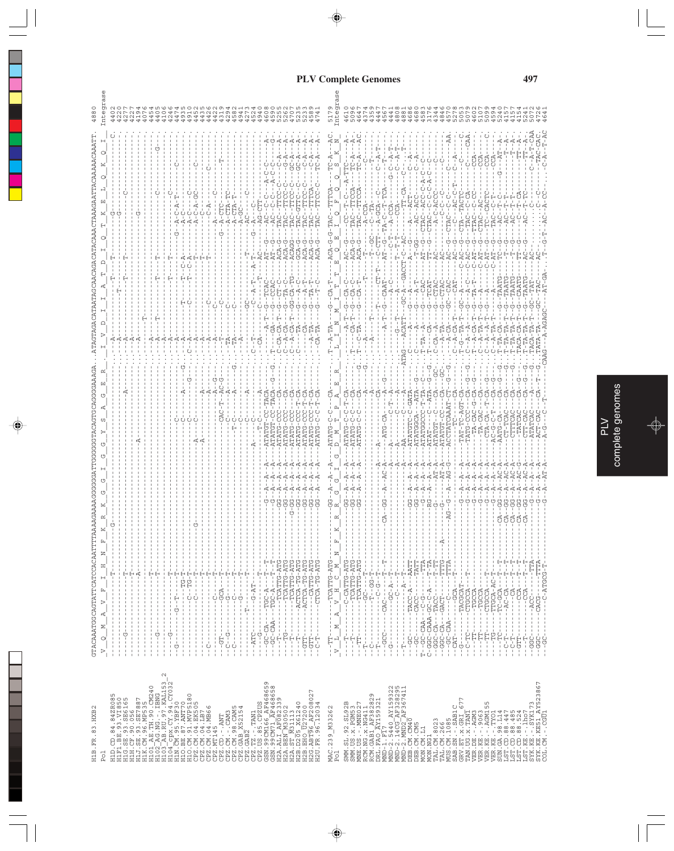| H1B.FR.83.HXB2                                                                                                                                                                                                                                                                                                                                                                                                                                                                                            | GTACAAATGGCAGTATTCATCACAAATTTT                                                                                                                                                                                                                                                                                                                                                                                                                                                                                                                                                                                                                                                                                                                             |      |              |
|-----------------------------------------------------------------------------------------------------------------------------------------------------------------------------------------------------------------------------------------------------------------------------------------------------------------------------------------------------------------------------------------------------------------------------------------------------------------------------------------------------------|------------------------------------------------------------------------------------------------------------------------------------------------------------------------------------------------------------------------------------------------------------------------------------------------------------------------------------------------------------------------------------------------------------------------------------------------------------------------------------------------------------------------------------------------------------------------------------------------------------------------------------------------------------------------------------------------------------------------------------------------------------|------|--------------|
| Pol                                                                                                                                                                                                                                                                                                                                                                                                                                                                                                       | $\mathbb{L}_4$<br>$\simeq$<br>Ξ<br>$\mathbf{H}$<br>$\mathbb{L}_1$<br>$\,>$<br>$\Delta$<br>$\mathop{\boxtimes}$<br>$\alpha$<br>$\,>$                                                                                                                                                                                                                                                                                                                                                                                                                                                                                                                                                                                                                        |      |              |
|                                                                                                                                                                                                                                                                                                                                                                                                                                                                                                           | J,<br>턱<br>J.<br>f,<br>÷,<br>J.<br>-<br>J.<br>$\mathbf I$<br>J<br>٠                                                                                                                                                                                                                                                                                                                                                                                                                                                                                                                                                                                                                                                                                        |      |              |
|                                                                                                                                                                                                                                                                                                                                                                                                                                                                                                           | $-1$ – $T$ – –<br>J.<br>J.<br>I,<br>$\frac{1}{2}$<br>$-9 - -$<br>ţ                                                                                                                                                                                                                                                                                                                                                                                                                                                                                                                                                                                                                                                                                         |      |              |
|                                                                                                                                                                                                                                                                                                                                                                                                                                                                                                           | f,<br>$-1$<br>÷<br>$\bar{1}$<br>$\begin{array}{c} \begin{array}{c} \text{1} \\ \text{2} \\ \text{3} \\ \text{4} \end{array} \end{array}$<br>$\blacksquare$                                                                                                                                                                                                                                                                                                                                                                                                                                                                                                                                                                                                 |      |              |
|                                                                                                                                                                                                                                                                                                                                                                                                                                                                                                           | $\frac{1}{1}$<br>ł<br>$\frac{1}{4}$<br>$\frac{1}{1}$<br>$\,$ I                                                                                                                                                                                                                                                                                                                                                                                                                                                                                                                                                                                                                                                                                             |      |              |
|                                                                                                                                                                                                                                                                                                                                                                                                                                                                                                           | $\frac{1}{1}$<br>$\frac{1}{1}$<br>$\frac{1}{2}$<br>$\,$ $\,$                                                                                                                                                                                                                                                                                                                                                                                                                                                                                                                                                                                                                                                                                               |      |              |
| $\begin{array}{l} {\rm H1D\_CD. \ 94. \ 94.2R085} \\ {\rm H1T1\_IB2 .93. VIB50} \\ {\rm H1H. \  \, (2F. 90. \ 056. \  \, 56. \  \, 01. \  \, 02. \  \, 03. \  \, 04. \  \, 05. \  \, 05. \  \, 07. \  \, 08. \  \, 09. \  \, 01. \  \, 01. \  \, 02. \  \, 03. \  \, 04. \  \, 01. \  \, 01. \  \, 01. \$                                                                                                                                                                                                 | $\frac{1}{1}$<br>$1 - 1 - 1$<br>$\frac{1}{1}$<br>ł<br>$-9 - -$                                                                                                                                                                                                                                                                                                                                                                                                                                                                                                                                                                                                                                                                                             |      |              |
| $\mathbf{\sim}$                                                                                                                                                                                                                                                                                                                                                                                                                                                                                           | Ì<br>$\frac{1}{1}$<br>F<br>-<br>J.<br>Í<br>$\mathbf{I}$<br>$\mathbf{I}$<br>ţ<br>ï<br>f,<br>$-9 - -$<br>J.<br>I                                                                                                                                                                                                                                                                                                                                                                                                                                                                                                                                                                                                                                             |      |              |
|                                                                                                                                                                                                                                                                                                                                                                                                                                                                                                           | $\frac{1}{4}$<br>י<br>י<br>$-5$                                                                                                                                                                                                                                                                                                                                                                                                                                                                                                                                                                                                                                                                                                                            |      |              |
|                                                                                                                                                                                                                                                                                                                                                                                                                                                                                                           | f,<br>$\frac{1}{4}$<br>$-9T - 1$<br>Ť.<br>ţ<br>٠<br>1                                                                                                                                                                                                                                                                                                                                                                                                                                                                                                                                                                                                                                                                                                      |      |              |
|                                                                                                                                                                                                                                                                                                                                                                                                                                                                                                           | $- - \Gamma - \Gamma - \Gamma - \Gamma - \cdots$<br>$\frac{1}{1}$<br>$\mathbf{I}$                                                                                                                                                                                                                                                                                                                                                                                                                                                                                                                                                                                                                                                                          |      |              |
| $\begin{small} &\text{HM}^{\bullet},\text{GL}^{\bullet},\text{GL}^{\bullet},\text{GL}^{\bullet},\text{GL}^{\bullet},\text{GL}^{\bullet},\text{GL}^{\bullet},\text{GL}^{\bullet},\text{GL}^{\bullet},\text{GL}^{\bullet},\text{GL}^{\bullet},\text{GL}^{\bullet},\text{GL}^{\bullet},\text{GL}^{\bullet},\text{GL}^{\bullet},\text{GL}^{\bullet},\text{GL}^{\bullet},\text{GL}^{\bullet},\text{GL}^{\bullet},\text{GL}^{\bullet},\text{GL}^{\bullet},\text{GL}^{\bullet},\text{GL}^{\bullet},\text{GL}^{\$ | $\begin{array}{c} \begin{array}{c} \uparrow \\ \uparrow \\ \downarrow \end{array} \\ \begin{array}{c} \uparrow \\ \downarrow \end{array} \end{array}$<br>ţ<br>$\frac{1}{4}$<br>י<br>י<br>$\overline{\phantom{a}1}$<br>ţ<br>ł<br>$- - - - - - - - -$<br>$\frac{1}{1}$<br>Î<br>Î<br>t                                                                                                                                                                                                                                                                                                                                                                                                                                                                        | U    | A444wwwwwwww |
|                                                                                                                                                                                                                                                                                                                                                                                                                                                                                                           | $\frac{1}{4}$<br>$- - - -$<br>$\overline{\phantom{a}}$<br>$-1$                                                                                                                                                                                                                                                                                                                                                                                                                                                                                                                                                                                                                                                                                             |      |              |
|                                                                                                                                                                                                                                                                                                                                                                                                                                                                                                           |                                                                                                                                                                                                                                                                                                                                                                                                                                                                                                                                                                                                                                                                                                                                                            |      |              |
|                                                                                                                                                                                                                                                                                                                                                                                                                                                                                                           | f,<br>ł<br>$-15 - -$                                                                                                                                                                                                                                                                                                                                                                                                                                                                                                                                                                                                                                                                                                                                       |      |              |
|                                                                                                                                                                                                                                                                                                                                                                                                                                                                                                           | $\frac{1}{1}$<br>ローリー                                                                                                                                                                                                                                                                                                                                                                                                                                                                                                                                                                                                                                                                                                                                      |      |              |
|                                                                                                                                                                                                                                                                                                                                                                                                                                                                                                           | $\frac{1}{1}$<br>Tiritian<br>T<br>$\frac{1}{2}$<br>$\frac{1}{1}$<br>ပု                                                                                                                                                                                                                                                                                                                                                                                                                                                                                                                                                                                                                                                                                     |      |              |
|                                                                                                                                                                                                                                                                                                                                                                                                                                                                                                           | --------<br>$-1 - 1 - 1 - 1 - 1$<br>$\frac{1}{1}$                                                                                                                                                                                                                                                                                                                                                                                                                                                                                                                                                                                                                                                                                                          |      |              |
|                                                                                                                                                                                                                                                                                                                                                                                                                                                                                                           |                                                                                                                                                                                                                                                                                                                                                                                                                                                                                                                                                                                                                                                                                                                                                            |      |              |
|                                                                                                                                                                                                                                                                                                                                                                                                                                                                                                           | Ï<br>I<br>$\frac{1}{1}$<br>ن<br>ا<br>ı                                                                                                                                                                                                                                                                                                                                                                                                                                                                                                                                                                                                                                                                                                                     |      |              |
|                                                                                                                                                                                                                                                                                                                                                                                                                                                                                                           |                                                                                                                                                                                                                                                                                                                                                                                                                                                                                                                                                                                                                                                                                                                                                            |      |              |
|                                                                                                                                                                                                                                                                                                                                                                                                                                                                                                           | $\frac{1}{4}$                                                                                                                                                                                                                                                                                                                                                                                                                                                                                                                                                                                                                                                                                                                                              |      |              |
|                                                                                                                                                                                                                                                                                                                                                                                                                                                                                                           |                                                                                                                                                                                                                                                                                                                                                                                                                                                                                                                                                                                                                                                                                                                                                            |      |              |
|                                                                                                                                                                                                                                                                                                                                                                                                                                                                                                           |                                                                                                                                                                                                                                                                                                                                                                                                                                                                                                                                                                                                                                                                                                                                                            |      |              |
|                                                                                                                                                                                                                                                                                                                                                                                                                                                                                                           |                                                                                                                                                                                                                                                                                                                                                                                                                                                                                                                                                                                                                                                                                                                                                            |      |              |
|                                                                                                                                                                                                                                                                                                                                                                                                                                                                                                           | ţ<br>0H4-0H-40HU4------<br>$\ddot{r}$                                                                                                                                                                                                                                                                                                                                                                                                                                                                                                                                                                                                                                                                                                                      |      |              |
|                                                                                                                                                                                                                                                                                                                                                                                                                                                                                                           | Ť<br>ひロス - ひロロスリ - - - - - - - -<br>$-$ GTT- $-$                                                                                                                                                                                                                                                                                                                                                                                                                                                                                                                                                                                                                                                                                                           |      |              |
| $\begin{smallmatrix} \texttt{CEZ} & \texttt{CEZ} & \texttt{CEZ} & \texttt{CEZ} \\ \texttt{CEZ} & \texttt{CEZ} & \texttt{CEZ} & \texttt{CEZ} \\ \texttt{CEZ} & \texttt{CEZ} & \texttt{CEZ} & \texttt{CEZ} \\ \texttt{CEZ} & \texttt{CEZ} & \texttt{SEZ} & \texttt{SEZ} \\ \texttt{SSX} & \texttt{SSOM166\_AR468658} \\ \texttt{SSX} & \texttt{SSOM166\_AR468658} \\ \texttt{ESX} & \texttt{SEZ} & \texttt{SEZ} & \texttt{SEZ} \\$                                                                          | $- - \text{CTCA} - \text{TCA} - \text{ATG}$<br>Ť<br>$\mathsf I$<br>$\mathfrak l$<br>J.<br>$-1$ - $-1$                                                                                                                                                                                                                                                                                                                                                                                                                                                                                                                                                                                                                                                      |      |              |
|                                                                                                                                                                                                                                                                                                                                                                                                                                                                                                           |                                                                                                                                                                                                                                                                                                                                                                                                                                                                                                                                                                                                                                                                                                                                                            |      |              |
| MAC.239 M33262                                                                                                                                                                                                                                                                                                                                                                                                                                                                                            | 1<br>$-1 - 2TC - 2TC - 2TC - 2TC$<br>J.<br>$\frac{1}{1}$<br>$-1$<br>1                                                                                                                                                                                                                                                                                                                                                                                                                                                                                                                                                                                                                                                                                      |      |              |
| Po <sub>1</sub>                                                                                                                                                                                                                                                                                                                                                                                                                                                                                           | Ŀ,<br>z<br>$\mathbb E$<br>$\cup$<br>$\mathbb{H}$<br>$\vert$<br>Ą<br>Σ<br>$\Box$<br>$\overline{a}$                                                                                                                                                                                                                                                                                                                                                                                                                                                                                                                                                                                                                                                          |      |              |
| SMM. SL. 92. SL92B<br>SMM. US. x. PCM53<br>MNE. US. - MNE027<br>RCM. GAB. X. AF382829<br>RCM. GAB. X. AF382829<br>DRL. FAO_AY159321                                                                                                                                                                                                                                                                                                                                                                       | -- DHA-DHHAU-U--<br>$\frac{1}{1}$<br>Ť<br>÷<br>F                                                                                                                                                                                                                                                                                                                                                                                                                                                                                                                                                                                                                                                                                                           |      |              |
|                                                                                                                                                                                                                                                                                                                                                                                                                                                                                                           | $\frac{1}{4}$<br>$-1 - 5$                                                                                                                                                                                                                                                                                                                                                                                                                                                                                                                                                                                                                                                                                                                                  | てりてり |              |
|                                                                                                                                                                                                                                                                                                                                                                                                                                                                                                           | $-1$ $-1$<br>$- - -$ GC $-$<br>$\frac{1}{1}$<br>J<br>$\,$ I<br>÷                                                                                                                                                                                                                                                                                                                                                                                                                                                                                                                                                                                                                                                                                           |      |              |
|                                                                                                                                                                                                                                                                                                                                                                                                                                                                                                           | $\frac{1}{1}$<br>j.<br><b>H-99--T----</b><br>$\frac{1}{1}$<br>1<br>$\frac{1}{4}$<br>ပု                                                                                                                                                                                                                                                                                                                                                                                                                                                                                                                                                                                                                                                                     |      |              |
|                                                                                                                                                                                                                                                                                                                                                                                                                                                                                                           | $\frac{1}{1}$<br>J.<br>ロー・ローローーー<br>$\frac{1}{4}$<br>f,<br>$\blacksquare$<br>$-1$                                                                                                                                                                                                                                                                                                                                                                                                                                                                                                                                                                                                                                                                          |      |              |
| $\tt{IND-1.F17}$                                                                                                                                                                                                                                                                                                                                                                                                                                                                                          | $-1 = \underline{\mathbf{T}} = \underline{\mathbf{T}} = \underline{\mathbf{T}} = \underline{\mathbf{T}} = \underline{\mathbf{T}} = \underline{\mathbf{T}} = \underline{\mathbf{T}} = \underline{\mathbf{T}} = \underline{\mathbf{T}} = \underline{\mathbf{T}} = \underline{\mathbf{T}} = \underline{\mathbf{T}} = \underline{\mathbf{T}} = \underline{\mathbf{T}} = \underline{\mathbf{T}} = \underline{\mathbf{T}} = \underline{\mathbf{T}} = \underline{\mathbf{T}} = \underline{\mathbf{T}} = \underline{\mathbf{T}} = \underline{\mathbf{T}} = \underline{\mathbf{T}} = \underline{\mathbf{T}} = \underline{\mathbf{T}} = \underline{\mathbf{T}} = \underline{\mathbf{T}} = \underline{\mathbf{T}} = \$<br>$\frac{1}{1}$<br>$---CAC -$<br>$-$ -CCC $-$ |      |              |
|                                                                                                                                                                                                                                                                                                                                                                                                                                                                                                           | ţ<br>$\mathbf{I}$<br>$-6 -$                                                                                                                                                                                                                                                                                                                                                                                                                                                                                                                                                                                                                                                                                                                                |      | 40.440       |
|                                                                                                                                                                                                                                                                                                                                                                                                                                                                                                           | $\frac{1}{1}$<br>$\frac{1}{1}$<br>I<br>J.<br>J.<br>$\frac{1}{1}$<br>ţ                                                                                                                                                                                                                                                                                                                                                                                                                                                                                                                                                                                                                                                                                      |      |              |
|                                                                                                                                                                                                                                                                                                                                                                                                                                                                                                           | $\frac{1}{2}$<br>$- -P - -T - -$<br>$\frac{1}{1}$<br>$\frac{1}{1}$<br>$\frac{1}{1}$<br>$-1$                                                                                                                                                                                                                                                                                                                                                                                                                                                                                                                                                                                                                                                                |      |              |
| MND-2.5440_AY159322<br>MND-2.14CG_AF328295<br>DED-2.MND2_AF367411<br>DEB.CM.CM5<br>DEB.CM.CM5                                                                                                                                                                                                                                                                                                                                                                                                             | $- - - - - - - -$                                                                                                                                                                                                                                                                                                                                                                                                                                                                                                                                                                                                                                                                                                                                          |      |              |
|                                                                                                                                                                                                                                                                                                                                                                                                                                                                                                           |                                                                                                                                                                                                                                                                                                                                                                                                                                                                                                                                                                                                                                                                                                                                                            |      |              |
|                                                                                                                                                                                                                                                                                                                                                                                                                                                                                                           | $\begin{split} &\texttt{--00--}\texttt{--00--}\texttt{--000--}\texttt{--000--}\texttt{--000--}\texttt{--000--}\texttt{--000--}\texttt{--000--}\texttt{--000--}\texttt{--000--}\texttt{--000--}\texttt{--000--}\texttt{--000--}\texttt{--000--}\texttt{--000--}\texttt{--000--}\texttt{--000--}\texttt{--000--}\texttt{--000--}\texttt{--000--}\texttt{--000--}\texttt{--000--}\texttt{--000--}\texttt{--000--$                                                                                                                                                                                                                                                                                                                                             |      | 888887447755 |
| ION.NG1                                                                                                                                                                                                                                                                                                                                                                                                                                                                                                   |                                                                                                                                                                                                                                                                                                                                                                                                                                                                                                                                                                                                                                                                                                                                                            |      |              |
|                                                                                                                                                                                                                                                                                                                                                                                                                                                                                                           |                                                                                                                                                                                                                                                                                                                                                                                                                                                                                                                                                                                                                                                                                                                                                            |      |              |
|                                                                                                                                                                                                                                                                                                                                                                                                                                                                                                           | --- TTTA-<br>$-1 - 1 - 1$<br>$- - C A A - - -$                                                                                                                                                                                                                                                                                                                                                                                                                                                                                                                                                                                                                                                                                                             |      |              |
|                                                                                                                                                                                                                                                                                                                                                                                                                                                                                                           | Ť<br>H--------<br>t<br>$-$ CAT $-$                                                                                                                                                                                                                                                                                                                                                                                                                                                                                                                                                                                                                                                                                                                         |      |              |
|                                                                                                                                                                                                                                                                                                                                                                                                                                                                                                           |                                                                                                                                                                                                                                                                                                                                                                                                                                                                                                                                                                                                                                                                                                                                                            |      |              |
|                                                                                                                                                                                                                                                                                                                                                                                                                                                                                                           | $\frac{1}{2}$                                                                                                                                                                                                                                                                                                                                                                                                                                                                                                                                                                                                                                                                                                                                              |      |              |
|                                                                                                                                                                                                                                                                                                                                                                                                                                                                                                           | J.<br>1<br>-- TOUCH-<br>÷,<br>$T = -T$                                                                                                                                                                                                                                                                                                                                                                                                                                                                                                                                                                                                                                                                                                                     |      | O            |
|                                                                                                                                                                                                                                                                                                                                                                                                                                                                                                           | f,<br>$\frac{1}{4}$<br>$-1$                                                                                                                                                                                                                                                                                                                                                                                                                                                                                                                                                                                                                                                                                                                                |      |              |
|                                                                                                                                                                                                                                                                                                                                                                                                                                                                                                           | $\frac{1}{4}$<br>$-1$                                                                                                                                                                                                                                                                                                                                                                                                                                                                                                                                                                                                                                                                                                                                      |      |              |
|                                                                                                                                                                                                                                                                                                                                                                                                                                                                                                           | $\frac{1}{4}$<br>$-10$                                                                                                                                                                                                                                                                                                                                                                                                                                                                                                                                                                                                                                                                                                                                     |      |              |
|                                                                                                                                                                                                                                                                                                                                                                                                                                                                                                           | $-10T -$                                                                                                                                                                                                                                                                                                                                                                                                                                                                                                                                                                                                                                                                                                                                                   |      |              |
|                                                                                                                                                                                                                                                                                                                                                                                                                                                                                                           | l,<br>$-1$ - $-1$<br>$-5-2-$                                                                                                                                                                                                                                                                                                                                                                                                                                                                                                                                                                                                                                                                                                                               |      |              |
| $\begin{array}{l} \text{TM1. (N1, 8023)}\\ \text{TM2. (N1, 268)}\\ \text{TM3. (N1, 268)}\\ \text{GRV, ET. x. GRI} & \text{GRI} \\ \text{GRV, ET. x. GRI} & \text{GRI} \\ \text{VRV, RE} & \text{L2. (M1, 208)}\\ \text{VRR, RE} & \text{L2. (M2, 208)}\\ \text{VRR, RE} & \text{L2. (M2, 208)}\\ \text{TRI, RE} & \text{L2. (M1, 208)}\\ \text{L2. (M1, 208)} & \text{L2.$                                                                                                                                | -- 0 CA -- - - - - - - - -<br>LLP-                                                                                                                                                                                                                                                                                                                                                                                                                                                                                                                                                                                                                                                                                                                         |      |              |
|                                                                                                                                                                                                                                                                                                                                                                                                                                                                                                           | $-1 - 1 - -1 - -1 - -1 - -$<br>$-1$                                                                                                                                                                                                                                                                                                                                                                                                                                                                                                                                                                                                                                                                                                                        |      |              |
|                                                                                                                                                                                                                                                                                                                                                                                                                                                                                                           | $\begin{array}{c} \rule{0.2cm}{0.15mm} \rule{0.2cm}{0.15mm} \rule{0.2cm}{0.15mm} \rule{0.2cm}{0.15mm} \rule{0.2cm}{0.15mm} \rule{0.2cm}{0.15mm} \rule{0.2cm}{0.15mm} \rule{0.2cm}{0.15mm} \rule{0.2cm}{0.15mm} \rule{0.2cm}{0.15mm} \rule{0.2cm}{0.15mm} \rule{0.2cm}{0.15mm} \rule{0.2cm}{0.15mm} \rule{0.2cm}{0.15mm} \rule{0.2cm}{0.15mm} \rule{$<br>$-0.00 -$                                                                                                                                                                                                                                                                                                                                                                                          |      |              |
|                                                                                                                                                                                                                                                                                                                                                                                                                                                                                                           | $- - - \Delta T T T A - - -$<br>$-1 - 2 - 2 - 5 - 5$<br>$----CACG$<br>$-0.00 -$<br>$-55 -$                                                                                                                                                                                                                                                                                                                                                                                                                                                                                                                                                                                                                                                                 |      |              |
|                                                                                                                                                                                                                                                                                                                                                                                                                                                                                                           |                                                                                                                                                                                                                                                                                                                                                                                                                                                                                                                                                                                                                                                                                                                                                            |      |              |

**PLV Complete Genomes 497**

H1D.CD.84.84ZR085 --------------------T-----------G---------------------------------------...---A--------------T----T----------G------------------C. 4402 H1F1.BE.93.VI850 ------------------------------------------------------------------------...---A-----------T------------------G-------------------. 4220 H1G.SE.93.SE6165 -----G--------------T--------------------------------------------A------...---A--------------T----T---------------C--------------. 4277 H1H.CF.90.056 --------------------T---------------------------------------------------...---A--------------------------------------------------. 4227 H1J.SE.93.SE7887 --------------------A--------------------------------A------------------...---A------------------------------G-------------------. 4194 H1K.CM.96.MP535 ------------------------------------------------------------------------...--------T---------------------------------------------. 4076 H101\_AE.TH.90.CM240 --------------------T---------------------------------------------------...---A--------------------------------------------------. 4454 H102\_AG.NG.-.IBNG -----G--------------T---------------------------------------------------...---A----T---------T----T---------------C----------G---. 4405 H103\_AB.RU.97.KAL153\_2 ------------------------------------------------------------------------...---A--------------------------------------------------. 4106 H104\_cpx.CY.94.CY032 -----G--------------T---------------------------------------------------...---A--------------T----T---------------C--------------. 4246 H1N.CM.95.YBF30 --G--------G--T-----T-------------------------------------C-------------...---A-------------------------G--A-C-A-T-------C-------. 4474 H1O.BE.87.ANT70 -----------------TG-T-------------------------------------C------A-----G...---A--------T-----T--C-A--------A-C-------------------. 4935 H1O.CM.91.MVP5180 --------------C--TG-T-------------------------------------C---------G---...C--A--------C-----T--C-A--------A-C----C--------------. 4910 CPZ.CM.04.EK505 --------------C-----T-----------G--------------------A----C-------------...---A-------------------T--------A-C-A-GC------C-------. 4452 CPZ.CM.04.LB7 --------------------T--------------------------------A-----------A------...---A-------------------T----------C-------------------. 4435 CPZ.CM.04.MB66 --C-----------------T--------------------------------------------A------...---A--------C----------T----------C-A--------C--------. 4426 CPZ.MT145 --------------C-----T--------------------------------------------A--G---...---A-------C--------------------A------C--------------. 4422 CPZ.CD.-.ANT ---GT---------GCA---T-------------------------------------CAC-T--AC-G---...---T--------C----------------G--A-CTC----------T------. 4319 CPZ.CM.-.CAM3 --C--G--------G-----T-------------------------------------C------A------...--TA-------C--------------------A-CTA-TC--------------. 4294 CPZ.CM.98.CAM5 --C-----------C-----T-----------------------------------T-C------A-----G...--TA-------C--------------------A-CTA-T---------------. 4582 CPZ.GAB\_X52154 --------------G-----T-------------------------------------C-------------...---A----------------------------A-GC------------------. 4941 CPZ.GAB2 -----------T--------T-------------------------------------C------A------...-----------GC-----------T-------AC-----C--------------. 4273 CPZ.TZ.-.TAN1 ---ATC--------G-AT----------------------------------A-----C-------------...C--T--------C--A-T---A-T-----G--A---C-----------------. 4524 CPZ.US.85.CPZUS -----G--------------T-----------------------------------T-C------A------...--CA-------C------T----AC-------AG-CTT----------------. 4940 GSN.99CM166\_AF468659 ---GC-CA----TGC-A---T--T--------------G--A--A--A----ATATGT-CC-TACA------...------A-T--G--TCAC-----AT--G----AC--C-C---A-C-C-----A-. 4608 GSN.99CM71\_AF468658 ---GC-CAA---TGC-A---T--T--------------G--A--A--A----ATATGT-CC-TACA--G--G...T----GA----G--CCAC-----AT--G----AC--C-C---A-C-C-----G-. 4590 H2A.ALI\_AF082339 ----T---------TCATTG-ATG-------------GG--A--A--A----ATATG-CCC---CA------...C-CA-CA-T--G--CT-C-----ACA-G---TAC--TTCC-C----C-A---A-. 5255 H2A.BEN\_M30502 ----TG--------TCATTG-ATG-------------GG--A--A--A----ATATG-CCC---CA------...C--A-CA----G--TA-C-----ACA-G---TAC--TTCC-C----G-A---A-. 5262 H2A.ST\_M31113 ----T---------TCATTG-ATG-----------G-GG--A--A--A----ATATG-CCC---CA------...C--A-CA-T--GG-CA-TG----ACAGG---TAC--TTCC-C---GC-A---A-. 4707 H2B.D205\_X61240 ----T-------ACTCA-TG-ATG-------------GG--A--A--A----ATATG-CCC-T-CA------...C----TA----G---A-C-----GCA-G---TAC-GTTC--C---GC-A---A-. 5235 H2B.EHO\_U27200 --GTT-------ACTCA-TG-ATG-------------GG--A--A--A----ATATG-CCC-T-CA------...-----CA----G---A-T-----ACA-G---TAC--TTCC-C----C-A---A-. 5233 H2G.ABT96\_AF208027 --GTT----------CATTG-ATG-------------GG--A--A--A----ATATG-CCC-T-CA------...---A-TA----G--TA-T-----ACA-G---TAC--TTTCA-----C-A---A-. 4589 H2U.FR.96.12034 --C-T--------CTCA-TG-ATG-------------GG--A--A--A----ATATG-C-C-T-CA------...--CA-TA----G---T-C-----ACA-G---TAC--TTCC-C---TC-A---A-. 4741 SMM.SL.92.SL92B ----T--------C-CATTG-ATG-------------GG--A--A--A----ATATG-C-C-T-CA------...------A-T--G--CA-C-----AC--G----CC--T-C---A-TTC-----A-. 4610 SMM.US.x.PGM53 ----T---------TCATTG-ATG-------------GG--A--A--A----ATATG-C-C---CA------...T----CA-T--G--CA-C-----ACA-G---TAC--TTCCA----TC-A---A-. 5096 MNE.US.-.MNE027 ---TT---------TCATTG-ATG-------------GG--A--A--A----ATATG-C-C---CA-----G...T--C-TA----G--CA-T-----ACA-G---TAC--TTCCA----TC-A---AC. 4647 RCM.NG.x.NG411 --T-----------GC----T--------------------------------------------A-----G...---A--------------T-----T-------A-CCA----------C------. 4374 RCM.GAB1\_AF382829 --C-----------T--GG-T--------------------------------------------A------...---A----T---------------T--GC---C--TA----------T------. 4359 DRL.FAO\_AY159321 --T------------C-G--T--------------------------A----A-----------CA------...-----------T-----CT-T---C-CTT---A-GCA--C-----C--A-T---. 4447 MND-1.F17 ---GCC-----CAC------T--T---------CA--GG--A--AC-A------ATG-CA-----A--G---...------A-T--G--CAAT-----AT--G--TA-C--T-TCA------T------. 4567 MND-2.5440\_AY159322 --G-----------GC-A--T--------------------------A----A-------C-T--A------...---------------A-C--------C-T---A-CCA------G-C--A-T---. 4441 MND-2.14CG\_AF328295 ---------------C----T--------------------------A----A-------C----A------...-----G--T------A-------T--T-T-----CCA--------C--A-T---. 4808 MND-2.MND2\_AF367411 --T--------------A--T--------------------------A----AA------C----A------ATAG---ACATT---GC-A--GACCT-C--AC-------TT-CA---C--...T---. 4881 DEB.CM.CM40 ---GC------TACC-A---AATT-------------GG--A--A--A----ATATGTC-C-GATA------...C-----A----G---A-------A---G----A---ACT------C--A-----. 4686 DEB.CM.CM5 ---GC------CACC-----TATT-------------GG--A--A--A----ATATGGCA---ATA--G---...C-----A----G---A-T------T-GG----AC--ACC------C--A-----. 4680 MON.CM.L1 T--GC-CAA---C-G------TTA--------------G--A--A--A----ATATGGCCC-T-TA--C---...T-TA--A----G---CAC-----AT--G--CTAC--ACC-C-A-C--C------. 4583 MON.NG1 C-GGC-CAAA-GC-C-A---T-TA-------------RG--A--A--A----ATAT----C--ATA--G--G...T----CA----G--TCAT-----TT--G--CTAC--C-C-C-A-C--C------. 3176 TAL.CM.8023 --GGC-CA---TACC-----T-TT-------------G------AT-A----ATATGT--C---CA---GC-...C-CA--A----G--CTAC-----AC-------A-C-ACCC-------C------. 4344 TAL.CM.266 --GGC-CA---GACT-----TTTG----A--------G------AT-A----ATATGT-CC---CA---GC-...---A-TA----G--CTAC-----AC---------C-C--C-------C------. 4846 MUS.CM.1085 ---GC-CAA-----C-----TTTA----------AG--G--A--AG-G----ACCTATCAAAT-CT--G--G...---A-CA----GC--CAC-----AC--G--CTAC--C-C------C------AA. 4570 SAB.SN.-.SAB1C --CAT---------GCA---T------------------------------------TC-----CA------...C--A-CA-T------CAT-----AC--G----C---AC-C-T---C--A-----. 5278 GRV.ET.x.GRI\_677 --G--------TACGCAT--------------------G--A--A--A-----TAT-TC-AGT-CA------...T-G--TA-T--GC--A-----C-AC--G--CTA--TACTC-------C-----C. 5053 TAN.UG.x.TAN1 --C-TC-----CTGCCA---T-----------------G--A--A--A-----TATG-CCC---CA--G--G...C--A--A----G---A-C---C-AC--G---TAC--C-CA------C----CAA. 5079 VER.DE.-.AGM3 ----TT------TGCCA---------------------G--A--A--A-------TA-CAC-G-CA--G---...T--A-CA-T--G--TA-T---C-AT--G--TTAC--C-CC------CCA-----. 4602 VER.KE.-.9063 ----TT------TGCCA---------------------G--A--A--A-------TA-CAC---CA------...C--A-TA-T--G---A-----C-AT--G--CTAC--AC--------CCA-----. 5107 VER.KE.-.AGM155 ----TT-----CTGCCA---T-----------------G--A--A--A------CTA-CA--T-CA--G---...C--A--A-T--G---A-----C-AT--G---TC--CACTC------CCA----C. 5099 VER.KE.-.TYO1 ----TG-----TTGCA-AC-T-----------------G--A--A--A-----AC-G-C-T---CA--G---...C--A-TA-T------A-----C-AT--G---TAC--C-T-------CCA-----. 4594 SUN.GA.98.L14 ----TC-----TC-GCA---T--T---------CA--GG--A--AC-A-----AATG-CA----CA--G--G...T-TA-CA----G--TAATG----TC--G----AC--T-C-----G---AT--A-. 5240 LST.CD.88.447 --C-T-------AC-CA---T--T---------CA--GG--A--AC-A------CT-TCAC---CA-----G...T-TA-TA-T--G--TAATG-----T--G----AC--T-T----------T--A-. 4157 LST.CD.88.485 --C-T----------CA---T--T---------CA--GG--A--AC-A------CTTTCAC---CA-----G...T-TA-TA-T--G--TAATG-----T--G----AC--T-T----------T--A-. 4157 LST.CD.88.524 --GTT---------CCA---T--T---------CA--GG--A--AC-G-------TATCAC---CA--G---...TACA-CA-T--G--CAATG----TT--G-----C--T-CA--------TT--A-. 4154 LST.KE.-.lho7 ----T---------CCA---T--T---------CA--GG--A--AC-A------CTT-CAC---CA--G--G...T-TA-TA-T--G--TAATG----AC--G----AC--T-TC--------TT--A-. 5241 SYK.KE.-.SYK173 --GGC-------ACC------TTA--------------G--A--A--A------ATATCAC----A-----G...TACA-TA-T--GC--TAT-----AC--.........C--------C--A-T-CAA 5072 SYK.KE.KE51\_AY523867 --GGC------CACG-----TTTA--------------G--A--A--A------ACT-CAC---CA--T--G...TATA-TA----GC--TAC-----AC--.........C--C-------TAC-CAC. 4726 COL.CM.-.CGU1 ---GC---------C-ATGCG-T---------------G--A--AT-A------A-G---C--T--------CAAG---A-AGAGC----AT-GA-...T--G-T--AC--A-CC--...-C-A--T-AC 4641 P<sub>LV</sub>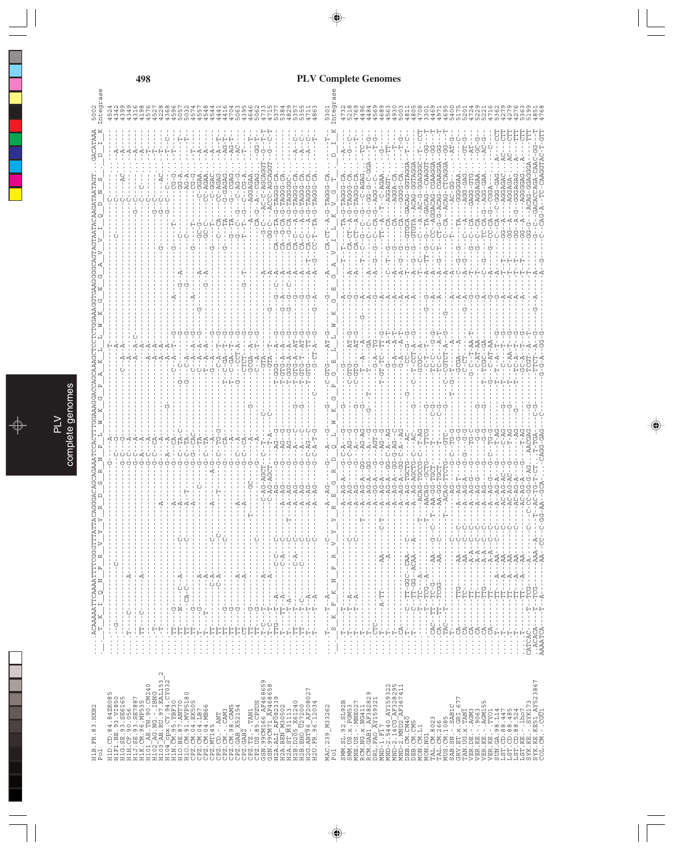complete genomes complete genomes PLV

| H1B.FR.83.HXB2<br>Pol                                                                                                                                                                                                                                                                                                                                       |                                                                                                                                                                                                                                                                                                                                                                                                                                                                       | T K I Q N F R V Y<br>T K I Q N F R V Y                                                                                                                                                                                                                                                                                                                                                                                                                                                                                   |        |    |          |       |    |                       |
|-------------------------------------------------------------------------------------------------------------------------------------------------------------------------------------------------------------------------------------------------------------------------------------------------------------------------------------------------------------|-----------------------------------------------------------------------------------------------------------------------------------------------------------------------------------------------------------------------------------------------------------------------------------------------------------------------------------------------------------------------------------------------------------------------------------------------------------------------|--------------------------------------------------------------------------------------------------------------------------------------------------------------------------------------------------------------------------------------------------------------------------------------------------------------------------------------------------------------------------------------------------------------------------------------------------------------------------------------------------------------------------|--------|----|----------|-------|----|-----------------------|
| $\begin{small} \rm HD: CD: 84, 842R085\\ \rm HL1G: 193, 3274850\\ \rm HL1G: 193, 3274850\\ \rm HL1G: 193, 3274850\\ \rm HL1G: 193, 301, 356\\ \rm HL1G: 193, 387\\ \rm HL1G: 193, 387\\ \rm HL1G: 193, 387\\ \rm HL1G: 193, 387\\ \rm HL1G: 193, 387\\ \rm HL1G: 193, 387\\ \rm HL1G: 193, 387\\ \rm$                                                       | ٠<br>-<br>$\cdot$                                                                                                                                                                                                                                                                                                                                                                                                                                                     |                                                                                                                                                                                                                                                                                                                                                                                                                                                                                                                          |        |    |          |       |    |                       |
|                                                                                                                                                                                                                                                                                                                                                             | $- - - - - - - - - - - -$<br>ţ<br>$\vdots$                                                                                                                                                                                                                                                                                                                                                                                                                            | J.<br>$\mathfrak l$<br>$-1$<br>$\mathbf I$<br>$\mathsf I$<br>$\mathbb{I}$                                                                                                                                                                                                                                                                                                                                                                                                                                                |        |    |          |       |    |                       |
|                                                                                                                                                                                                                                                                                                                                                             | $- - - -$<br>$\frac{1}{2}$                                                                                                                                                                                                                                                                                                                                                                                                                                            | $\mathbf{I}$<br>$\,$ I<br>$-4$<br>$\,$<br>$\overline{\phantom{a}}$<br>$\mathbf{I}$<br>$\blacksquare$<br>J.                                                                                                                                                                                                                                                                                                                                                                                                               |        |    |          |       |    |                       |
|                                                                                                                                                                                                                                                                                                                                                             | $\therefore T T - - -C - -$<br>$\,$ $\,$<br>J.<br>ı<br>$\overline{\phantom{a}}$<br>1<br>$\vdots$                                                                                                                                                                                                                                                                                                                                                                      | J.<br>ı<br>ı<br>٠<br>I.<br>ı<br>1                                                                                                                                                                                                                                                                                                                                                                                                                                                                                        |        |    |          |       |    |                       |
|                                                                                                                                                                                                                                                                                                                                                             | j<br>$\mathbf{I}$<br>$\ddot{\phantom{0}}$                                                                                                                                                                                                                                                                                                                                                                                                                             | $\mathbf{I}$<br>j<br>$\begin{array}{c} \vspace{0.05in} \end{array}$<br>$\frac{1}{1}$<br>$\frac{1}{1}$                                                                                                                                                                                                                                                                                                                                                                                                                    |        |    |          |       |    |                       |
|                                                                                                                                                                                                                                                                                                                                                             | İ<br>F.<br>$\bullet$                                                                                                                                                                                                                                                                                                                                                                                                                                                  | $\mathbf{I}$                                                                                                                                                                                                                                                                                                                                                                                                                                                                                                             |        |    |          |       |    |                       |
| $\sim$                                                                                                                                                                                                                                                                                                                                                      | ÷<br>$\blacksquare$<br>$\mathbf{I}$<br>$\cdot$                                                                                                                                                                                                                                                                                                                                                                                                                        | $\mathbf{I}$<br>$\overline{\phantom{a}}$<br>$\blacksquare$<br>$\overline{\phantom{a}}$<br>$\blacksquare$<br>-                                                                                                                                                                                                                                                                                                                                                                                                            |        |    |          |       |    |                       |
|                                                                                                                                                                                                                                                                                                                                                             | $T^{\dagger}T^{\dagger} - - -T^{\dagger}T^{\dagger}$                                                                                                                                                                                                                                                                                                                                                                                                                  | $\overline{1}$<br>$\frac{1}{1}$                                                                                                                                                                                                                                                                                                                                                                                                                                                                                          |        |    |          |       |    |                       |
|                                                                                                                                                                                                                                                                                                                                                             | $-1$ - $-1$ - $-1$ - $-1$<br>Ë                                                                                                                                                                                                                                                                                                                                                                                                                                        | $\frac{1}{2}$<br>ţ<br>I.<br>Ť.<br>$-4$<br>$-1 - 1$                                                                                                                                                                                                                                                                                                                                                                                                                                                                       | ÷.     |    |          |       |    |                       |
|                                                                                                                                                                                                                                                                                                                                                             | $\mathbb{T} \mathbb{T} \mathbb{T}$ –                                                                                                                                                                                                                                                                                                                                                                                                                                  | $-1 - 1 -$<br>÷                                                                                                                                                                                                                                                                                                                                                                                                                                                                                                          |        |    |          |       |    |                       |
|                                                                                                                                                                                                                                                                                                                                                             | $C - C$                                                                                                                                                                                                                                                                                                                                                                                                                                                               | t<br>J.<br>$\frac{1}{1}$<br>$\mathbf I$<br>$\mathbf{I}$<br>L.<br>$\frac{1}{4}$<br>$\mathbf{I}$<br>$- - A$<br>$\begin{array}{c} \rule{0.2cm}{0.15mm} \rule{0.2cm}{0.15mm} \rule{0.2cm}{0.15mm} \rule{0.2cm}{0.15mm} \rule{0.2cm}{0.15mm} \rule{0.2cm}{0.15mm} \rule{0.2cm}{0.15mm} \rule{0.2cm}{0.15mm} \rule{0.2cm}{0.15mm} \rule{0.2cm}{0.15mm} \rule{0.2cm}{0.15mm} \rule{0.2cm}{0.15mm} \rule{0.2cm}{0.15mm} \rule{0.2cm}{0.15mm} \rule{0.2cm}{0.15mm} \rule{$<br>L.<br>$-1$ $-1$ $-1$ $-1$ $-1$ $-1$ $-1$<br>ı.<br>t | I.     |    | ひひ戸の     |       |    |                       |
|                                                                                                                                                                                                                                                                                                                                                             | $-1 - -1$                                                                                                                                                                                                                                                                                                                                                                                                                                                             | $\mathsf I$<br>$\,$ I<br>$\bar{1}$<br>$\frac{1}{1}$<br>$\frac{1}{1}$                                                                                                                                                                                                                                                                                                                                                                                                                                                     | $\,$   |    |          |       |    |                       |
|                                                                                                                                                                                                                                                                                                                                                             |                                                                                                                                                                                                                                                                                                                                                                                                                                                                       | $\begin{array}{c}\n1 \\ 1\n\end{array}$<br>$\frac{1}{1}$<br>$\sf I$<br>$\frac{1}{1}$<br>$-1 - 2$<br>$-1 - 3$<br>$\frac{1}{1}$                                                                                                                                                                                                                                                                                                                                                                                            |        |    |          |       |    |                       |
|                                                                                                                                                                                                                                                                                                                                                             | j,<br>Ĵ<br>E                                                                                                                                                                                                                                                                                                                                                                                                                                                          | $-1$<br>f,                                                                                                                                                                                                                                                                                                                                                                                                                                                                                                               |        |    |          |       |    |                       |
|                                                                                                                                                                                                                                                                                                                                                             | ТТ----G<br>ТТ----G                                                                                                                                                                                                                                                                                                                                                                                                                                                    | さー<br>$\mathbf{I}$<br>$\frac{1}{4}$                                                                                                                                                                                                                                                                                                                                                                                                                                                                                      |        |    |          |       |    |                       |
|                                                                                                                                                                                                                                                                                                                                                             | <b>D-----LL</b>                                                                                                                                                                                                                                                                                                                                                                                                                                                       | İ<br>t<br>٠<br>$- - - - - - - - - - - - -$<br>$\,$<br>- 11<br>$\,$ I<br>J.<br>$\frac{1}{4}$                                                                                                                                                                                                                                                                                                                                                                                                                              |        |    |          |       |    |                       |
|                                                                                                                                                                                                                                                                                                                                                             | $\,$ I<br>$\mathbf{I}$<br>j<br>5<br>ţ                                                                                                                                                                                                                                                                                                                                                                                                                                 | $\mathbf{I}$<br>$\frac{1}{1}$<br>$---A$<br>$\frac{1}{4}$                                                                                                                                                                                                                                                                                                                                                                                                                                                                 |        | υU |          |       |    | $H \cap \Omega$       |
|                                                                                                                                                                                                                                                                                                                                                             | じー<br>$T^{\prime}T^{\prime}=-$<br>Ĭ,<br>ţ                                                                                                                                                                                                                                                                                                                                                                                                                             | $\mathbf{I}$<br>$\,$ I<br>ţ                                                                                                                                                                                                                                                                                                                                                                                                                                                                                              |        |    |          |       |    |                       |
|                                                                                                                                                                                                                                                                                                                                                             | $\frac{c}{1}$<br>$T^{\prime}T^{\prime}=-$<br>Ì                                                                                                                                                                                                                                                                                                                                                                                                                        | $-1$<br>$\mathbf{I}$<br>ţ                                                                                                                                                                                                                                                                                                                                                                                                                                                                                                |        |    |          |       |    | 0 <sup>o</sup>        |
|                                                                                                                                                                                                                                                                                                                                                             | $\ddot{\cdot}$                                                                                                                                                                                                                                                                                                                                                                                                                                                        | 1<br>J.<br>$\frac{1}{1}$                                                                                                                                                                                                                                                                                                                                                                                                                                                                                                 |        |    |          |       |    |                       |
| CPZ .TZ .- TAN1<br>CPZ .US .85 .CPZUS<br>CRZ .US .85 .CPZUS<br>GSN .99CN71 AFA466559<br>HZA .ALI_AF082339                                                                                                                                                                                                                                                   |                                                                                                                                                                                                                                                                                                                                                                                                                                                                       | f,<br>ţ<br>$-4$<br>I,                                                                                                                                                                                                                                                                                                                                                                                                                                                                                                    |        |    |          |       |    |                       |
|                                                                                                                                                                                                                                                                                                                                                             |                                                                                                                                                                                                                                                                                                                                                                                                                                                                       | $- - - - - - - - - -$<br>J,<br>$- - - - - - - - - - - -$                                                                                                                                                                                                                                                                                                                                                                                                                                                                 |        |    |          |       |    |                       |
|                                                                                                                                                                                                                                                                                                                                                             |                                                                                                                                                                                                                                                                                                                                                                                                                                                                       | $-A$ ---C<br>$-1$<br>$--- - - - - - - -$                                                                                                                                                                                                                                                                                                                                                                                                                                                                                 | ÷      |    |          |       |    |                       |
| HZA, BEN <sup>-</sup> M30502<br>HZA, ST_M31113<br>HZB, DZO5 X61240<br>HZG, ABT96 AF2003027<br>HZU, FR, 96-12208027<br>HZU, FR, 96-12034                                                                                                                                                                                                                     |                                                                                                                                                                                                                                                                                                                                                                                                                                                                       | $\frac{1}{1}$<br>◡<br>÷<br>$- -C - A -$<br>$\frac{1}{1}$<br>$\frac{1}{4}$                                                                                                                                                                                                                                                                                                                                                                                                                                                | ÷<br>÷ |    |          |       |    |                       |
|                                                                                                                                                                                                                                                                                                                                                             |                                                                                                                                                                                                                                                                                                                                                                                                                                                                       | $\frac{1}{2}$<br>I.<br>1<br>$\frac{1}{2}$<br>$\frac{1}{4}$                                                                                                                                                                                                                                                                                                                                                                                                                                                               | ÷      |    |          |       |    |                       |
|                                                                                                                                                                                                                                                                                                                                                             | $1 - - - - - -$<br>н                                                                                                                                                                                                                                                                                                                                                                                                                                                  | $-1$<br>$\frac{1}{4}$<br>$\mathbf{I}$<br>t<br>f,<br>$- - - - - - - - - - - -$                                                                                                                                                                                                                                                                                                                                                                                                                                            |        |    |          |       |    |                       |
|                                                                                                                                                                                                                                                                                                                                                             | Ì<br>f,<br>$\frac{1}{4}$<br>н<br>ij                                                                                                                                                                                                                                                                                                                                                                                                                                   | $\frac{1}{2}$<br>t<br>J.<br>$----9$<br>н                                                                                                                                                                                                                                                                                                                                                                                                                                                                                 | ÷      |    |          |       |    |                       |
|                                                                                                                                                                                                                                                                                                                                                             |                                                                                                                                                                                                                                                                                                                                                                                                                                                                       |                                                                                                                                                                                                                                                                                                                                                                                                                                                                                                                          |        |    |          |       |    |                       |
| MAC.239_M33262<br>Pol                                                                                                                                                                                                                                                                                                                                       | $\mathbf{I}$<br>Ť<br>Н<br>ţ                                                                                                                                                                                                                                                                                                                                                                                                                                           | $-c$<br>$\mathsf I$<br>$\mathbf{I}$<br>٠<br>1<br>-<br>$\mathsf I$<br>$-T - -A$                                                                                                                                                                                                                                                                                                                                                                                                                                           |        |    | .<br>ს ს |       |    |                       |
|                                                                                                                                                                                                                                                                                                                                                             | $\mathbb{K}$<br>$\mathbb{O} \mathbb{O}$                                                                                                                                                                                                                                                                                                                                                                                                                               | $\,>$<br>$\simeq$<br>$\mathbb{L}_1$<br>$\mathbb{Z}$<br>$F$ $K$                                                                                                                                                                                                                                                                                                                                                                                                                                                           | ╭      |    |          |       |    |                       |
|                                                                                                                                                                                                                                                                                                                                                             | ŧ<br>$\mathbf{I}$<br>$\mathbf{I}$<br>н<br>$\cdot$                                                                                                                                                                                                                                                                                                                                                                                                                     | $\,$<br>$\mathbf{I}$<br>1<br>J<br>Н                                                                                                                                                                                                                                                                                                                                                                                                                                                                                      |        |    |          |       |    |                       |
| SMM. 5L. 92. SL92B<br>SMM. US. x. PCM53<br>RME. US. - MNE027<br>RCM. GAB1. AF3829<br>RCM. GAB1. AF382829<br>DRL. FAO_AY159321                                                                                                                                                                                                                               | 부부<br>ţ<br>⊢<br>ţ                                                                                                                                                                                                                                                                                                                                                                                                                                                     | $-1$<br>ł.<br>$\mathbf{I}$                                                                                                                                                                                                                                                                                                                                                                                                                                                                                               |        |    |          |       | てり |                       |
|                                                                                                                                                                                                                                                                                                                                                             | Н<br>ţ                                                                                                                                                                                                                                                                                                                                                                                                                                                                | $-1$<br>t<br>$\mathbf I$                                                                                                                                                                                                                                                                                                                                                                                                                                                                                                 |        |    |          |       |    |                       |
|                                                                                                                                                                                                                                                                                                                                                             | İ<br>:                                                                                                                                                                                                                                                                                                                                                                                                                                                                | $\frac{1}{1}$<br>$\frac{1}{1}$                                                                                                                                                                                                                                                                                                                                                                                                                                                                                           |        |    |          |       |    |                       |
| $\sigma$                                                                                                                                                                                                                                                                                                                                                    |                                                                                                                                                                                                                                                                                                                                                                                                                                                                       | $\mathbf{I}$                                                                                                                                                                                                                                                                                                                                                                                                                                                                                                             |        |    |          |       |    | 45666666              |
| $\overline{F17}$                                                                                                                                                                                                                                                                                                                                            | $- - - - - - - - - - - -$<br>$\cdots$ CTC--                                                                                                                                                                                                                                                                                                                                                                                                                           | J.<br>٠<br>J.<br>$\blacksquare$                                                                                                                                                                                                                                                                                                                                                                                                                                                                                          |        |    |          |       |    |                       |
| $MND-1$                                                                                                                                                                                                                                                                                                                                                     | $\frac{1}{2}$<br>$\vdots$                                                                                                                                                                                                                                                                                                                                                                                                                                             | ţ<br>$\mathbf I$<br>$- - A + - - - -$<br>J<br>J<br>J,<br>$\,$                                                                                                                                                                                                                                                                                                                                                                                                                                                            |        |    |          |       |    |                       |
| MND-2.5440 AY159322<br>MND-2.14CG-AF328295<br>DND-2.MND2 AF367411<br>DBB.CN.CM5<br>DBB.CN.CM5                                                                                                                                                                                                                                                               | ł<br>Ì                                                                                                                                                                                                                                                                                                                                                                                                                                                                | $-1 - 4 - 1$<br>J.<br>$\mathbb{I}$<br>٠<br>$\mathsf I$                                                                                                                                                                                                                                                                                                                                                                                                                                                                   |        |    |          |       |    |                       |
|                                                                                                                                                                                                                                                                                                                                                             | $\cdots$ CA--<br>$\vdots$                                                                                                                                                                                                                                                                                                                                                                                                                                             |                                                                                                                                                                                                                                                                                                                                                                                                                                                                                                                          |        |    |          |       |    |                       |
|                                                                                                                                                                                                                                                                                                                                                             | н                                                                                                                                                                                                                                                                                                                                                                                                                                                                     | $- - - - - - - - - - - -$                                                                                                                                                                                                                                                                                                                                                                                                                                                                                                |        |    |          |       |    |                       |
|                                                                                                                                                                                                                                                                                                                                                             | $- - - - - -$<br>н<br>$\vdots$                                                                                                                                                                                                                                                                                                                                                                                                                                        | -- TT-GGC - - CAA - - - C - -<br>-- TT-GG- - ACAA - - - A - -                                                                                                                                                                                                                                                                                                                                                                                                                                                            |        |    | <b>J</b> |       |    |                       |
|                                                                                                                                                                                                                                                                                                                                                             | 부<br>j                                                                                                                                                                                                                                                                                                                                                                                                                                                                | $\overline{1}$<br>1<br>$\mathsf I$                                                                                                                                                                                                                                                                                                                                                                                                                                                                                       |        |    |          |       |    |                       |
|                                                                                                                                                                                                                                                                                                                                                             | י<br>י<br>$\cdot$                                                                                                                                                                                                                                                                                                                                                                                                                                                     | $-$ -TCG- $-$ A                                                                                                                                                                                                                                                                                                                                                                                                                                                                                                          |        |    |          |       |    |                       |
|                                                                                                                                                                                                                                                                                                                                                             | $\vdots$                                                                                                                                                                                                                                                                                                                                                                                                                                                              |                                                                                                                                                                                                                                                                                                                                                                                                                                                                                                                          |        |    |          |       |    | $M \nightharpoonup Q$ |
|                                                                                                                                                                                                                                                                                                                                                             |                                                                                                                                                                                                                                                                                                                                                                                                                                                                       |                                                                                                                                                                                                                                                                                                                                                                                                                                                                                                                          |        |    |          |       |    |                       |
|                                                                                                                                                                                                                                                                                                                                                             |                                                                                                                                                                                                                                                                                                                                                                                                                                                                       |                                                                                                                                                                                                                                                                                                                                                                                                                                                                                                                          |        |    |          | $-25$ |    |                       |
|                                                                                                                                                                                                                                                                                                                                                             |                                                                                                                                                                                                                                                                                                                                                                                                                                                                       | U<br>Ī<br>J.<br>٠<br>J.<br>$\mathbb{L}$                                                                                                                                                                                                                                                                                                                                                                                                                                                                                  |        |    |          |       |    |                       |
| r                                                                                                                                                                                                                                                                                                                                                           |                                                                                                                                                                                                                                                                                                                                                                                                                                                                       | ↻<br>f,<br>$---P_{A}A -$                                                                                                                                                                                                                                                                                                                                                                                                                                                                                                 |        |    |          |       |    |                       |
|                                                                                                                                                                                                                                                                                                                                                             |                                                                                                                                                                                                                                                                                                                                                                                                                                                                       | $\frac{1}{1}$<br>$---AA -$<br>$\mathbf{I}$                                                                                                                                                                                                                                                                                                                                                                                                                                                                               |        | ひ  |          |       |    |                       |
|                                                                                                                                                                                                                                                                                                                                                             |                                                                                                                                                                                                                                                                                                                                                                                                                                                                       | $---A - A$<br>I,                                                                                                                                                                                                                                                                                                                                                                                                                                                                                                         |        |    |          |       |    |                       |
|                                                                                                                                                                                                                                                                                                                                                             |                                                                                                                                                                                                                                                                                                                                                                                                                                                                       | ΰΰ<br>  <br>$A - A$<br>Ţ                                                                                                                                                                                                                                                                                                                                                                                                                                                                                                 |        |    |          |       |    |                       |
| $\begin{array}{l} \textbf{M}(0011,10211\ldots\\ \textbf{M}(011,10211\ldots\\ \textbf{M}(11,0031\ldots\\ \textbf{M}(011,0065\ldots\\ \textbf{M}(011,0065\ldots\\ \textbf{M}(011,0065\ldots\\ \textbf{M}(011,0011\ldots\\ \textbf{M}(011,0011\ldots\\ \textbf{M}(011,0011\ldots\\ \textbf{M}(011,0011\ldots\\ \textbf{M}(011,0011\ldots\\ \textbf{M}(011,001$ | $\begin{split} &\dots,\mathbf{p_0},\dots,\mathbf{p_n},\\ &\dots,\mathbf{p_n},\dots,\mathbf{p_n},\\ &\dots,\mathbf{p_n},\dots,\mathbf{p_n},\\ &\dots,\mathbf{p_n},\dots,\mathbf{p_n},\\ &\dots,\mathbf{p_n},\dots,\mathbf{p_n},\dots,\mathbf{p_n},\\ &\dots,\mathbf{p_n},\dots,\mathbf{p_n},\dots,\mathbf{p_n},\dots,\\ &\dots,\mathbf{p_n},\dots,\mathbf{p_n},\dots,\mathbf{p_n},\dots,\\ &\dots,\mathbf{p_n},\dots,\mathbf{p_n},\dots,\mathbf{p_n},\dots\end{split}$ | $\begin{array}{c}\nC \\ 1\n\end{array}$                                                                                                                                                                                                                                                                                                                                                                                                                                                                                  | í      |    |          | ؋     |    | <b>DD4DD</b>          |
|                                                                                                                                                                                                                                                                                                                                                             |                                                                                                                                                                                                                                                                                                                                                                                                                                                                       | $\frac{C}{1}$<br>$- -A - A$                                                                                                                                                                                                                                                                                                                                                                                                                                                                                              |        |    |          |       |    |                       |
|                                                                                                                                                                                                                                                                                                                                                             | $\frac{1}{1}$<br>$\frac{1}{2}$                                                                                                                                                                                                                                                                                                                                                                                                                                        | $\frac{1}{1}$<br>$---AA -$<br>$T^{\prime}T=--A.$<br>ţ                                                                                                                                                                                                                                                                                                                                                                                                                                                                    |        |    |          |       |    |                       |
|                                                                                                                                                                                                                                                                                                                                                             | ŧ                                                                                                                                                                                                                                                                                                                                                                                                                                                                     | $\,$ $\,$                                                                                                                                                                                                                                                                                                                                                                                                                                                                                                                |        |    |          |       |    |                       |
|                                                                                                                                                                                                                                                                                                                                                             | İ                                                                                                                                                                                                                                                                                                                                                                                                                                                                     | $- - \frac{1}{2} \frac{1}{2} \frac{1}{2} - \frac{1}{2} \frac{1}{2} - \frac{1}{2} \frac{1}{2} - \frac{1}{2} \frac{1}{2} - \frac{1}{2} \frac{1}{2} - \frac{1}{2} \frac{1}{2} - \frac{1}{2} \frac{1}{2} - \frac{1}{2} \frac{1}{2} - \frac{1}{2} \frac{1}{2} - \frac{1}{2} \frac{1}{2} - \frac{1}{2} \frac{1}{2} - \frac{1}{2} \frac{1}{2} - \frac{1}{2} \frac{1}{2} - \frac{1}{2} \frac{1}{2} - \$<br>$\,$                                                                                                                  |        |    |          |       |    |                       |
| VBR. KE.<br>SUN. CA. 98. L14<br>LST. CD. 88. 447<br>LST. CD. 88. 485<br>LST. CD. 88. 524<br>LST. KE. - . Lho7<br>LST. KE. - . Lho7                                                                                                                                                                                                                          | $\frac{1}{2}$<br>ÉÉÉE<br>:::::                                                                                                                                                                                                                                                                                                                                                                                                                                        | $---AA---$<br>$-1T$ --- $-A$<br>$\sf I$                                                                                                                                                                                                                                                                                                                                                                                                                                                                                  |        |    |          |       |    |                       |
|                                                                                                                                                                                                                                                                                                                                                             | ł                                                                                                                                                                                                                                                                                                                                                                                                                                                                     | $---AA - - -$<br>$-$ - TT- - - A                                                                                                                                                                                                                                                                                                                                                                                                                                                                                         |        |    |          |       |    |                       |
| SYK.KE.-.SYK173<br>SYK.KE.KES1_AY523867<br>COL.CM.-.CGU1                                                                                                                                                                                                                                                                                                    | CATCAC                                                                                                                                                                                                                                                                                                                                                                                                                                                                | - 4 - -                                                                                                                                                                                                                                                                                                                                                                                                                                                                                                                  |        |    |          |       |    |                       |
|                                                                                                                                                                                                                                                                                                                                                             | . ACACA - - - - - T - - T<br>AAAATCA - - - - - T - - A                                                                                                                                                                                                                                                                                                                                                                                                                | --AAA--A--<br>--AAA--CC--<br>-<br>$-201 - -$                                                                                                                                                                                                                                                                                                                                                                                                                                                                             |        |    |          |       |    |                       |
|                                                                                                                                                                                                                                                                                                                                                             |                                                                                                                                                                                                                                                                                                                                                                                                                                                                       | J.<br>j.                                                                                                                                                                                                                                                                                                                                                                                                                                                                                                                 |        |    |          |       |    |                       |

ase

ase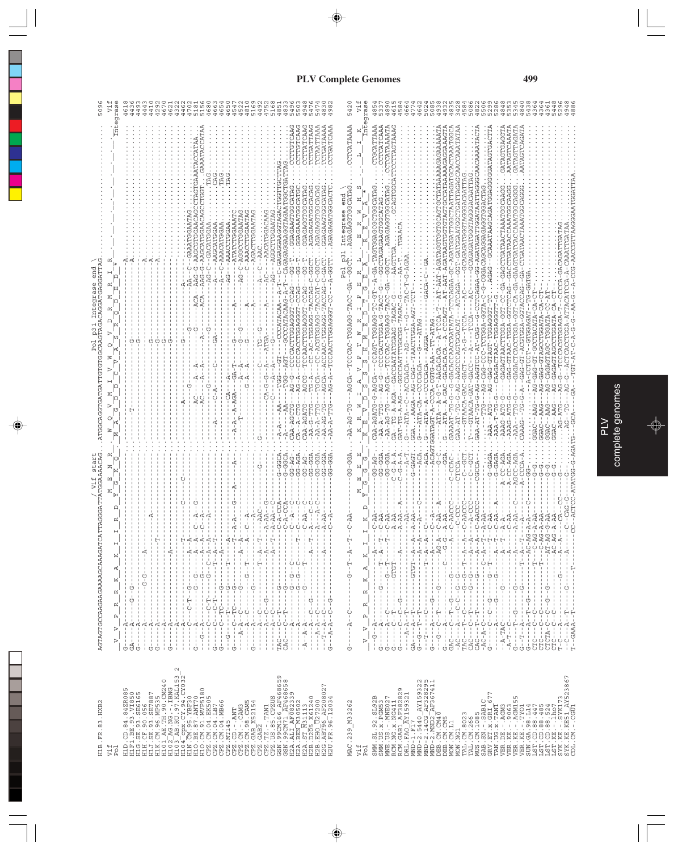| í             |
|---------------|
| Den<br>S<br>Ď |
| ì<br>í        |

ő,

|                               | eara                                                   |           |                                                                                                                                                                                                                                                                                                                                  |                            |                                                                             |                                     |                                                                                                                     |                                   |                                         |                           |                                      |                                                                                        |                                                                                                             |                                                |                                                                                                                               |                                                                                                                                                                                                                                          |                                               |                                                     |                                                                                                      |                                       |                                            |                                       |                                                                                                                                                                                                                                                                                                                                                                                                     |                              |                                                                                                        |                                | 5420                                                                                       |               | <b>Integra</b>                                       |                                                    |                   |                                                     |                                                                               |                                                                           |                  |                                                                                                                                                                                                                                                                    |                                                                                                  |                                                                                                    |                                               |                                               |               |                                                                                                              |                                                                    |                                                                                                                                                                                                                                                                                                     |                                                   |                                                                                      |                                  |                                                                                                                  |                                                                                                          |                                                         |                                         |                                                |                                                                                                                  |                                                             |
|-------------------------------|--------------------------------------------------------|-----------|----------------------------------------------------------------------------------------------------------------------------------------------------------------------------------------------------------------------------------------------------------------------------------------------------------------------------------|----------------------------|-----------------------------------------------------------------------------|-------------------------------------|---------------------------------------------------------------------------------------------------------------------|-----------------------------------|-----------------------------------------|---------------------------|--------------------------------------|----------------------------------------------------------------------------------------|-------------------------------------------------------------------------------------------------------------|------------------------------------------------|-------------------------------------------------------------------------------------------------------------------------------|------------------------------------------------------------------------------------------------------------------------------------------------------------------------------------------------------------------------------------------|-----------------------------------------------|-----------------------------------------------------|------------------------------------------------------------------------------------------------------|---------------------------------------|--------------------------------------------|---------------------------------------|-----------------------------------------------------------------------------------------------------------------------------------------------------------------------------------------------------------------------------------------------------------------------------------------------------------------------------------------------------------------------------------------------------|------------------------------|--------------------------------------------------------------------------------------------------------|--------------------------------|--------------------------------------------------------------------------------------------|---------------|------------------------------------------------------|----------------------------------------------------|-------------------|-----------------------------------------------------|-------------------------------------------------------------------------------|---------------------------------------------------------------------------|------------------|--------------------------------------------------------------------------------------------------------------------------------------------------------------------------------------------------------------------------------------------------------------------|--------------------------------------------------------------------------------------------------|----------------------------------------------------------------------------------------------------|-----------------------------------------------|-----------------------------------------------|---------------|--------------------------------------------------------------------------------------------------------------|--------------------------------------------------------------------|-----------------------------------------------------------------------------------------------------------------------------------------------------------------------------------------------------------------------------------------------------------------------------------------------------|---------------------------------------------------|--------------------------------------------------------------------------------------|----------------------------------|------------------------------------------------------------------------------------------------------------------|----------------------------------------------------------------------------------------------------------|---------------------------------------------------------|-----------------------------------------|------------------------------------------------|------------------------------------------------------------------------------------------------------------------|-------------------------------------------------------------|
|                               |                                                        |           |                                                                                                                                                                                                                                                                                                                                  |                            |                                                                             |                                     |                                                                                                                     |                                   |                                         |                           |                                      |                                                                                        |                                                                                                             |                                                |                                                                                                                               |                                                                                                                                                                                                                                          |                                               |                                                     |                                                                                                      |                                       |                                            |                                       | TCAZ<br>TTAZ<br><b>CTGA</b>                                                                                                                                                                                                                                                                                                                                                                         | CTAATTAA                     | CTGATAAA                                                                                               | CCTGATCAA                      | CCTCATAAAA                                                                                 | ×             |                                                      | TGCATTAAA                                          | TCAAA             |                                                     |                                                                               |                                                                           |                  |                                                                                                                                                                                                                                                                    |                                                                                                  |                                                                                                    | GAAAGT                                        | CAACCAAATATA                                  |               |                                                                                                              | GCAACAAATACT                                                       | GATGGAGGGGATAGTGACT                                                                                                                                                                                                                                                                                 |                                                   | CATAGTGAGGT.                                                                         | <b>CAAATI</b>                    | GATAGTTAGATP<br>AATAGTCAGATI                                                                                     |                                                                                                          |                                                         |                                         |                                                |                                                                                                                  |                                                             |
|                               |                                                        |           |                                                                                                                                                                                                                                                                                                                                  |                            |                                                                             |                                     |                                                                                                                     |                                   |                                         |                           |                                      |                                                                                        |                                                                                                             |                                                |                                                                                                                               |                                                                                                                                                                                                                                          |                                               |                                                     |                                                                                                      |                                       |                                            |                                       |                                                                                                                                                                                                                                                                                                                                                                                                     |                              | GAAGTGGCATA                                                                                            | GAGAGGCACT                     | Integrase end \<br>AGAGAGGTGGCATAG                                                         | Z             |                                                      | CTGGCATAG                                          |                   |                                                     |                                                                               |                                                                           |                  |                                                                                                                                                                                                                                                                    |                                                                                                  |                                                                                                    |                                               |                                               |               |                                                                                                              |                                                                    |                                                                                                                                                                                                                                                                                                     |                                                   |                                                                                      |                                  |                                                                                                                  |                                                                                                          |                                                         |                                         |                                                |                                                                                                                  |                                                             |
|                               |                                                        |           |                                                                                                                                                                                                                                                                                                                                  |                            |                                                                             |                                     |                                                                                                                     |                                   |                                         |                           |                                      |                                                                                        |                                                                                                             |                                                |                                                                                                                               |                                                                                                                                                                                                                                          |                                               |                                                     |                                                                                                      |                                       |                                            |                                       |                                                                                                                                                                                                                                                                                                                                                                                                     |                              | ن<br>ڇ                                                                                                 | 59                             | Pol p31<br>-GGCT.                                                                          | œ<br><b>F</b> |                                                      |                                                    |                   |                                                     |                                                                               |                                                                           |                  |                                                                                                                                                                                                                                                                    |                                                                                                  |                                                                                                    |                                               |                                               |               |                                                                                                              |                                                                    | CAG                                                                                                                                                                                                                                                                                                 |                                                   |                                                                                      |                                  |                                                                                                                  |                                                                                                          |                                                         |                                         |                                                |                                                                                                                  | じょうけいこ                                                      |
| end<br>GATT                   | œ<br>匞<br>Σ                                            |           |                                                                                                                                                                                                                                                                                                                                  |                            |                                                                             |                                     |                                                                                                                     |                                   | ₹                                       | ACA                       |                                      |                                                                                        | С.<br>Д                                                                                                     |                                                | Ŕ                                                                                                                             |                                                                                                                                                                                                                                          |                                               |                                                     |                                                                                                      |                                       |                                            |                                       |                                                                                                                                                                                                                                                                                                                                                                                                     |                              | -TACC                                                                                                  |                                | P <sub>O</sub>                                                                             | œ<br><b>F</b> |                                                      |                                                    |                   |                                                     |                                                                               |                                                                           | AGT-T            |                                                                                                                                                                                                                                                                    |                                                                                                  |                                                                                                    |                                               | 55P--<br>UTCAGAA-G<br>--ATCAGA                |               |                                                                                                              | AGAA<br>달<br>-                                                     |                                                                                                                                                                                                                                                                                                     |                                                   |                                                                                      | CAC<br><b>LDLES</b>              | CGTAC                                                                                                            | CATC                                                                                                     |                                                         |                                         |                                                |                                                                                                                  |                                                             |
| GTA<br>Po <sub>1</sub>        | ⊂<br>R<br>⊳<br>lω<br>O<br>Z                            |           |                                                                                                                                                                                                                                                                                                                                  |                            |                                                                             |                                     |                                                                                                                     |                                   |                                         |                           |                                      |                                                                                        |                                                                                                             |                                                |                                                                                                                               |                                                                                                                                                                                                                                          |                                               |                                                     |                                                                                                      |                                       | じょここ                                       |                                       |                                                                                                                                                                                                                                                                                                                                                                                                     | $\tilde{A}$                  |                                                                                                        | LUUUCAUDHLU                    | -AGCA--DAGCAGG-TACOOO-GA                                                                   |               |                                                      |                                                    |                   | にいれいい                                               | $-TA$<br>ACCAATAT                                                             | g                                                                         | -TAACTTGGA-      |                                                                                                                                                                                                                                                                    | TT-ATAG<br>GGA                                                                                   |                                                                                                    |                                               | CACAT<br>CCAAT<br>ē                           |               | g                                                                                                            |                                                                    |                                                                                                                                                                                                                                                                                                     |                                                   |                                                                                      |                                  |                                                                                                                  |                                                                                                          |                                                         |                                         |                                                |                                                                                                                  |                                                             |
| ARCOOPDEOFDERGERDEOGOOPDER    | Σ<br>ひ                                                 |           |                                                                                                                                                                                                                                                                                                                                  |                            |                                                                             |                                     |                                                                                                                     |                                   |                                         |                           | ᄲ                                    | $C - A$                                                                                |                                                                                                             | $\mathbb{R}$<br>$A - AGA$                      | έ                                                                                                                             |                                                                                                                                                                                                                                          |                                               |                                                     |                                                                                                      |                                       |                                            |                                       | ひひの<br>$G - A$                                                                                                                                                                                                                                                                                                                                                                                      | GCA                          | GCA                                                                                                    | $-TTG$                         |                                                                                            |               |                                                      |                                                    |                   |                                                     | $- A - A G A$                                                                 | --ACCAACA                                                                 | - 1<br>.AAGA     | ATA-CA                                                                                                                                                                                                                                                             | U<br>U<br>U<br>UU                                                                                |                                                                                                    |                                               | ٥<br>$-TTG$                                   | GTAACA-       |                                                                                                              |                                                                    |                                                                                                                                                                                                                                                                                                     |                                                   |                                                                                      |                                  | Ċ<br>먹<br>-- TTG                                                                                                 |                                                                                                          |                                                         |                                         |                                                |                                                                                                                  |                                                             |
| start                         | з<br>Σ<br>œ<br>$\circ$<br>Z                            |           |                                                                                                                                                                                                                                                                                                                                  |                            |                                                                             |                                     |                                                                                                                     |                                   |                                         |                           |                                      |                                                                                        |                                                                                                             | $A - A$                                        |                                                                                                                               |                                                                                                                                                                                                                                          |                                               |                                                     | Ŗ                                                                                                    |                                       | AA-AGCT                                    |                                       | AA-AGATG<br>AA-G-T<br><b>A</b><br>0-0-1                                                                                                                                                                                                                                                                                                                                                             | AA-A<br><b>ADD</b>           | AA-AG-TG<br>$-GGA$                                                                                     | $-GG$                          | $-AA-AG-TCG$<br>$-GG-GG-A$ .                                                               |               | 囸<br>凹<br>囜                                          |                                                    |                   |                                                     | $AT-TG - A - I$                                                               | $  ATA$                                                                   | GGA.             |                                                                                                                                                                                                                                                                    | GATAGT-A-                                                                                        | ATA                                                                                                |                                               | RAAAT                                         | ひ             | 50<br>0                                                                                                      |                                                                    | AAA<br>-GAGA                                                                                                                                                                                                                                                                                        | AAA-T                                             | AAAG-ATG                                                                             | AAAG-ATG<br>$\overline{A}$       | CAAAG-<br>AAA<br>$CCCA-P$                                                                                        |                                                                                                          | GAC                                                     | <b>CAC</b><br>GAC                       | GAC                                            | $-4$                                                                                                             | g                                                           |
| CATTAGGGATTATGGAAAACAG<br>Vif | 囸<br>U<br>⋝<br>⊆                                       |           |                                                                                                                                                                                                                                                                                                                                  |                            |                                                                             |                                     |                                                                                                                     |                                   |                                         |                           |                                      |                                                                                        |                                                                                                             |                                                |                                                                                                                               |                                                                                                                                                                                                                                          |                                               |                                                     |                                                                                                      |                                       |                                            | g                                     | 99<br><u>땅</u>                                                                                                                                                                                                                                                                                                                                                                                      | 99                           |                                                                                                        |                                |                                                                                            | Σ             | 囜                                                    |                                                    |                   |                                                     |                                                                               |                                                                           |                  |                                                                                                                                                                                                                                                                    |                                                                                                  |                                                                                                    |                                               |                                               |               | υ                                                                                                            | <b>GCCA</b>                                                        |                                                                                                                                                                                                                                                                                                     |                                                   |                                                                                      |                                  | g                                                                                                                | U                                                                                                        |                                                         |                                         |                                                |                                                                                                                  | -ATATG                                                      |
|                               | œ<br>Н<br>Κ                                            |           |                                                                                                                                                                                                                                                                                                                                  | $-4 - 2$                   | ٠                                                                           |                                     | $-A -$<br>$\mathsf I$                                                                                               |                                   |                                         | ٠<br>1                    |                                      |                                                                                        |                                                                                                             |                                                | $-4$<br>Ť                                                                                                                     | 1                                                                                                                                                                                                                                        | $-1 - T - A$                                  | $-1 - A$                                            | $\,$                                                                                                 | $\mathbf{I}$                          | Ť                                          | ÷                                     | $---A$<br>f,                                                                                                                                                                                                                                                                                                                                                                                        | J.                           | $- - A$                                                                                                |                                |                                                                                            |               | н<br>×                                               | $-4 - 2$                                           |                   | Ĵ                                                   | ÷                                                                             | $\mathbf I$<br>$- - A$<br>$\mathfrak l$                                   |                  |                                                                                                                                                                                                                                                                    |                                                                                                  |                                                                                                    | $-1$                                          |                                               |               |                                                                                                              | $\begin{array}{cccc}\nA & A & A & A \\ 1 & 1 & 1 & 1\n\end{array}$ | J.                                                                                                                                                                                                                                                                                                  | Ĥ,                                                | Ī.<br>$-14$<br>$-14$                                                                 | ٠                                | f,<br>$-4$<br>$-1 - T - -R$                                                                                      | $-$ -AC-                                                                                                 | $\frac{1}{2}$<br>$\frac{1}{2}$<br>$\frac{1}{2}$<br>$-1$ | $-TT - T - T$                           | $- - A C - I$<br>$- - A - - I$<br>$- - A - -I$ |                                                                                                                  |                                                             |
| AGTAGTGCCAAGAAGAAAAGCAAAGAT   | Ч<br>×<br>α<br>α                                       |           | $\mathbf{I}$<br>$\mathbf{I}$<br>$\mathbf{I}$<br>$\mathbf{I}$<br>$-5 - 5 - -$<br>$\mathbf{I}$                                                                                                                                                                                                                                     | f,<br><b>C-D---</b><br>Ť   | ٠<br>٠<br>$\mathbf I$<br>$\,$ $\,$<br>$\mathbf{I}$<br>$\frac{1}{4}$<br>IIII | -<br>- 1<br>÷                       | $\blacksquare$<br>$\mathbf{I}$<br>$\blacksquare$<br>$\mathbf{I}$<br>$\overline{1}$<br>$\mathbf{I}$<br>$\frac{1}{4}$ | $\mathbf{I}$<br>÷                 | Ġ<br>!<br>$2 - 1 - 1 - 1$               | ÷<br>$- - - - - - -$<br>ł | $-5 - 5$<br>$\overline{\phantom{a}}$ | $-1$<br>$\mathbb{I}$<br>٠<br>J.<br>$\mathbf{1}$<br>$\frac{1}{4}$<br>J.<br>$\mathbf{I}$ | $\frac{1}{2}$<br>$\mathbb{I}$<br>$\frac{1}{4}$<br>$\ddot{\phi}$ $\ddot{\phi}$ $\ddot{\phi}$<br>$-1 - 1 - 1$ | $\mathsf I$<br>$\mathbb{I}$<br>÷<br>$---2T---$ | $-5 - -1$<br>Ť<br>$\begin{array}{c} 1 \\ 0 \\ 1 \end{array}$<br>$\frac{1}{1}$<br>Ť<br>$\begin{array}{c}\n1 \\ 1\n\end{array}$ | $-1$ + $-1$ + $-1$ + $-1$ + $-1$ + $-1$ + $-1$ + $-1$ + $-1$ + $-1$ + $-1$ + $-1$ + $-1$ + $-1$ + $-1$ + $-1$ + $-1$ + $-1$ + $-1$ + $-1$ + $-1$ + $-1$ + $-1$ + $-1$ + $-1$ + $-1$ + $-1$ + $-1$ + $-1$ + $-1$ + $-1$ + $-1$<br>ł.<br>ı | f,<br>$\,$ I<br>٠<br>$\overline{\phantom{a}}$ | J.<br>$\mathbf{I}$<br>$\mathbf{I}$<br>$-5 - 1$<br>U | $\frac{1}{4}$<br>$\mathbf{I}$<br>$\mathbf{I}$<br>$\mathsf I$<br>÷,<br>$\frac{1}{\sqrt{2}}$<br>٠<br>Ħ | $\frac{1}{\sqrt{2}}$<br>$\frac{1}{4}$ | $-1 - 0 - 1$<br>$\frac{1}{\sqrt{2}}$<br>f, | $\frac{1}{2}$<br>U--U--U--<br>f,<br>- | $-1$<br>ţ<br>f,<br>$\begin{array}{c} \rule{0.2cm}{0.15mm} \rule{0.2cm}{0.15mm} \rule{0.2cm}{0.15mm} \rule{0.2cm}{0.15mm} \rule{0.2cm}{0.15mm} \rule{0.2cm}{0.15mm} \rule{0.2cm}{0.15mm} \rule{0.2cm}{0.15mm} \rule{0.2cm}{0.15mm} \rule{0.2cm}{0.15mm} \rule{0.2cm}{0.15mm} \rule{0.2cm}{0.15mm} \rule{0.2cm}{0.15mm} \rule{0.2cm}{0.15mm} \rule{0.2cm}{0.15mm} \rule{$<br>J.<br>؋<br>$-9 - -$<br>1 | J.<br>٠<br>t<br>J.<br>÷<br>U | $\mathbf{I}$<br>1<br>$\mathbf{I}$<br>$\mathbf{I}$<br>$\mathbf{I}$<br>$\mathbf I$<br>$\,$ I<br>÷<br>U U | $\frac{1}{\sqrt{2}}$           | $- -G - -T - -A$<br>$\overline{\phantom{a}}$<br>$\overline{\phantom{a}}$<br>$\blacksquare$ |               | К<br>×<br>R<br>R                                     | $\frac{1}{4}$<br>÷.<br>$\mathsf I$<br>$\mathbf{I}$ | $-1 - 6$          | $-1$<br>$\frac{1}{\sqrt{2}}$<br>Ť.<br>$\frac{1}{2}$ | <b>LOHO------</b><br>$\frac{1}{4}$<br>ł                                       | f,<br>$\mathbf{I}$<br>$\,$<br>$\mathbf{I}$<br>$-6 - 0$<br>$\,$<br>$\sf I$ | $\,$ l           | $\mathfrak l$                                                                                                                                                                                                                                                      | $\frac{1}{6}$<br>J.<br>$\mathbb{I}$                                                              | $\begin{array}{c} \n\downarrow \\ \n\downarrow \\ \n\downarrow \n\end{array}$<br>$-1 - \Gamma - -$ | $\frac{1}{1}$<br>$\mathbf{I}$<br>$\mathbf{I}$ | t<br>t<br>ロー<br>$-9 - -9 - -$<br>٢<br>U-U---- | $\frac{1}{2}$ | ÷<br>$\ddot{\phi}$<br>$\ddot{\phi}$ $\ddot{\phi}$ $\ddot{\phi}$<br>$\ddot{\phi}$ $\ddot{\phi}$ $\ddot{\phi}$ | ÷                                                                  | $\frac{1}{1}$<br>$-1$<br>$\frac{c}{1}$                                                                                                                                                                                                                                                              | f,<br>$-\frac{c}{1}$<br>$\mathbf{I}$              | $\frac{1}{1}$<br>$\begin{array}{c}\n0 \\ 0 \\ 1\n\end{array}$<br>$\frac{1}{1}$<br>J. | ÷<br>$\mathbf I$<br>J,<br>-<br>Ť | İ<br>$\mathbf{I}$<br>$-9 - -$<br>$\,$ $\,$<br>ල්<br>$\frac{1}{4}$<br>$\begin{array}{c} 1 \\ 0 \\ -1 \end{array}$ | $\frac{1}{1}$<br>$\mathsf I$<br>$\,$ I<br>J.<br>$-5 -$                                                   | ٠<br>$\mathbf{I}$<br>U<br>↻                             | $\mathbf{I}$<br>$-9 - -9 - -$<br>÷<br>U | U                                              | $\mathbf{I}$<br>1<br>$\frac{1}{\sqrt{2}}$<br>ှု<br>$\frac{1}{1}$<br>1                                            | 무--<br>Н                                                    |
|                               | $\mathsf{p}_4$<br>$\triangleright$<br>$\triangleright$ | $-4$<br>ひ | ŧ<br>ŧ,<br>$-4$<br>$-4$<br>$\mathbf{I}$<br>$G\overline{A}$<br>U                                                                                                                                                                                                                                                                  | ŧ<br>$-4$<br>f,<br>J.<br>٠ | $-4$<br>$-4$<br>$\mathsf I$<br>ł<br>Ť<br><b>ひ ひ</b>                         | $-4$<br>$\mathbf I$<br>$\mathbf{I}$ | $- - A$<br>$-4$<br>$\blacksquare$<br>$\frac{1}{4}$<br>Ů                                                             | $- - - - - - - -$<br>$\mathbf{I}$ | $- - - - - -$<br>$\frac{1}{\mathbf{C}}$ | $-4$<br>٠                 | $\overline{\phantom{a}}$             | $\begin{array}{c} 1 \\ 1 \\ 0 \\ 0 \end{array}$                                        | $\mathsf I$<br>$-5 -$<br>$\mathbf{I}$                                                                       | $\frac{1}{2}$<br>٠<br>Ů                        | $- - - - - - - - -$<br>$-4$<br>$\mathsf I$<br>$\mathbf{I}$                                                                    | $G - - - - - - - - - - - -$                                                                                                                                                                                                              | U--4-----                                     |                                                     | $- - - A$<br>◡<br>Ť<br>TAC-                                                                          | véé<br>Tit<br>$\frac{1}{2}$<br>CAC.   | К<br>$\frac{1}{4}$                         | -<br>К<br>J<br>J.<br>J.               | $\begin{array}{c}\nC \\ 1\n\end{array}$<br>-<br>$-A-A-A$<br>$-4$<br>$\frac{1}{4}$                                                                                                                                                                                                                                                                                                                   | $\frac{1}{1}$<br>$- -A - A$  | $\frac{1}{1}$<br>К<br>$-1 - 1 -$                                                                       | $\mathbf{I}$<br>К<br>$-A$<br>Ġ | Ť<br>ά                                                                                     |               | $\mathbf{a}$<br>$\triangleright$<br>$\triangleright$ | ÷,<br>$- - A$<br>$\frac{c}{1}$                     | ţ<br>$- - A$<br>ひ | $-1$<br>$- - - A$<br>$\frac{1}{4}$<br>ひ             | $\frac{1}{\pi}$<br>$- - -$<br>$\begin{array}{c} 1 \\ 1 \\ 0 \\ 0 \end{array}$ | $\frac{1}{2}$<br>$- -A - A$<br>$\mathbf{I}$<br>$\overline{\phantom{a}}$   | $-4$<br>$GA - -$ | -- T<br>せーし                                                                                                                                                                                                                                                        | $\frac{1}{1}$<br>$\mathbf{I}$<br>$- - A$<br>$\frac{1}{4}$<br>$-1$<br>$\frac{1}{G} - \frac{1}{G}$ | $-5 - 0 - 0$                                                                                       |                                               | $\frac{1}{\sqrt{2}}$                          |               |                                                                                                              |                                                                    | $\frac{1}{\sqrt{2}}$<br>$\stackrel{1}{\circ}$                                                                                                                                                                                                                                                       | -<br>$\mathbf{I}$<br>$---A$<br>$\frac{1}{4}$<br>٠ | п<br>$- -P - TAC$                                                                    | ٠<br>$\frac{1}{2}$<br>$- A - T$  | $\mathbf{I}$<br>۳<br>-<br>$-4$<br>J,<br>U                                                                        | ÷,<br>$-4$<br>$\begin{array}{cccccc} - & - & - & - & - \\ - & - & - & - \\ - & - & - & - \\ \end{array}$ | ÷<br>$\frac{1}{\sqrt{2}}$<br>$\mathbf{I}$<br>CTC-       | ÷<br>÷<br>U<br>CTCTA-C                  | ÷<br>U<br>٠<br><b>CHO</b>                      | ۲<br>ا<br>$\overline{\phantom{a}}$<br>К<br>К<br>$\frac{1}{1}$<br>$\mathbf{I}$<br>$L - C$<br>$\bigcup\limits_{i}$ | $T - GAAA$                                                  |
|                               |                                                        |           | $\begin{small} \tt{H1D} & \tt{CD} & \tt{84} & \tt{8420085} \\ \tt{H1D} & \tt{1B1} & \tt{35} & \tt{33} & \tt{VIB} & \tt{15} \\ \tt{H1D} & \tt{1B1} & \tt{1B2} & \tt{1B3} & \tt{15} \\ \tt{H1D} & \tt{1B1} & \tt{1B2} & \tt{1B3} & \tt{15} \\ \tt{H1D} & \tt{1B1} & \tt{1B2} & \tt{1B3} & \tt{15} \\ \tt{H1D} & \tt{1B2} & \tt{1B$ |                            |                                                                             |                                     | $\mathbb{N}$                                                                                                        |                                   |                                         |                           |                                      |                                                                                        |                                                                                                             |                                                |                                                                                                                               |                                                                                                                                                                                                                                          |                                               |                                                     |                                                                                                      |                                       |                                            |                                       |                                                                                                                                                                                                                                                                                                                                                                                                     |                              |                                                                                                        |                                |                                                                                            |               |                                                      |                                                    |                   |                                                     |                                                                               |                                                                           |                  |                                                                                                                                                                                                                                                                    |                                                                                                  |                                                                                                    |                                               |                                               |               |                                                                                                              |                                                                    | 77                                                                                                                                                                                                                                                                                                  |                                                   |                                                                                      |                                  |                                                                                                                  |                                                                                                          |                                                         |                                         |                                                |                                                                                                                  |                                                             |
| H1B.FR.83.HXB2                | Vif<br>Pol                                             |           | H1F.                                                                                                                                                                                                                                                                                                                             |                            |                                                                             |                                     |                                                                                                                     |                                   |                                         |                           |                                      |                                                                                        |                                                                                                             |                                                |                                                                                                                               |                                                                                                                                                                                                                                          |                                               |                                                     |                                                                                                      |                                       |                                            |                                       |                                                                                                                                                                                                                                                                                                                                                                                                     |                              |                                                                                                        |                                | MAC.239 M33262                                                                             | Vif           | Po <sub>1</sub>                                      |                                                    |                   |                                                     |                                                                               |                                                                           |                  | SMM. 5L. 92. S192B<br>SMM. US. x. PGM53<br>RCM. 105. -. NG4127<br>RCM. GAB1_AF382829<br>RCM. GAB1_AF382829<br>MMD-2. 5440_AF159322<br>MDD-2. 14CG_AF328295<br>MDD-2. 14CG_AF328295<br>DBB. CM. CM40<br>DDB. CM. CM40<br>MOB. CM. CM40<br>MOB. CM. CM40<br>MOB. CM. |                                                                                                  |                                                                                                    |                                               |                                               |               |                                                                                                              |                                                                    | $\begin{smallmatrix} 121.1 & 00 & 33 \\ 121.1 & 00 & 33 \\ 122.1 & 00 & 51 \\ 123.1 & 00 & 51 \\ 124.1 & 00 & 51 \\ 125.1 & 00 & 51 \\ 126.1 & 00 & 51 \\ 127.1 & 00 & 51 \\ 128.1 & 00 & 51 \\ 129.1 & 00 & 51 \\ 120.1 & 00 & 51 \\ 121.1 & 00 & 51 \\ 123.1 & 00 & 51 \\ 124.1 & 00 & 51 \\ 125$ |                                                   |                                                                                      |                                  |                                                                                                                  |                                                                                                          |                                                         |                                         |                                                | ÙΩ.<br>C)                                                                                                        | YK.KE.-.SYK173<br>YK.KE.KE51_AY523867<br>OL.CM.-.CGU1<br>τı |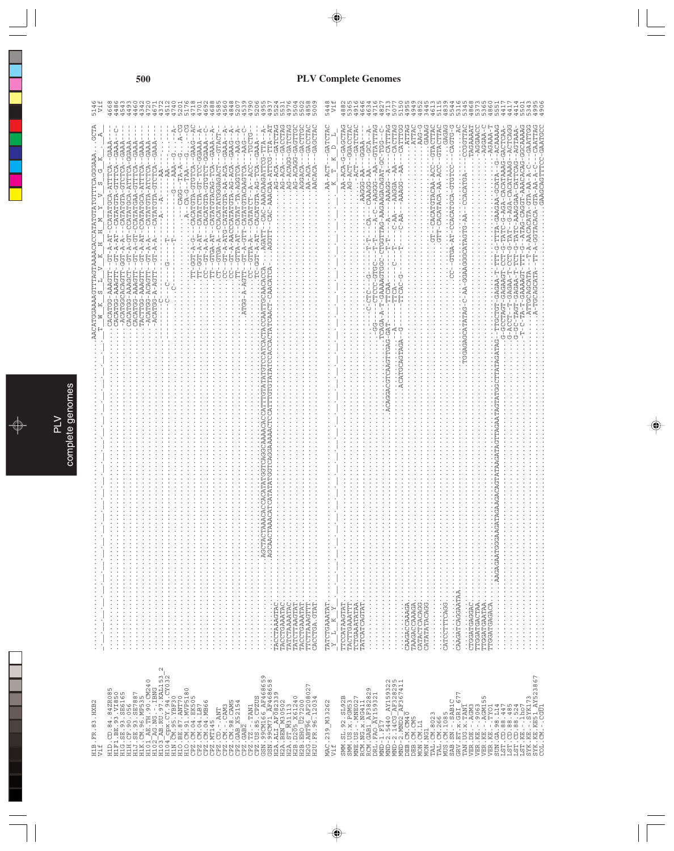| е<br>J |
|--------|
|        |

annes

| H1B.FR.83.HXB2<br>Vif                                                                                                                                                                                                                                                                                                                                                                                                             | $\begin{array}{c}\n\cdot \text{GCTA} \\ \cdot \quad \text{A}\n\end{array}$<br>AACATGGAAAGTTTAGTAAAACACCATATGTATGTTTCAGGGAAA.<br>ひ<br>S<br>Ξ<br>C)                                                                                                                                                                                                                                                                                                                                                                                                   |
|-----------------------------------------------------------------------------------------------------------------------------------------------------------------------------------------------------------------------------------------------------------------------------------------------------------------------------------------------------------------------------------------------------------------------------------|-----------------------------------------------------------------------------------------------------------------------------------------------------------------------------------------------------------------------------------------------------------------------------------------------------------------------------------------------------------------------------------------------------------------------------------------------------------------------------------------------------------------------------------------------------|
|                                                                                                                                                                                                                                                                                                                                                                                                                                   |                                                                                                                                                                                                                                                                                                                                                                                                                                                                                                                                                     |
|                                                                                                                                                                                                                                                                                                                                                                                                                                   | 466<br>GAAA<br>CCATATGCA-ATTTCA<br>$GT - A - A T$<br>AAAGTT<br>CATGG-<br>්                                                                                                                                                                                                                                                                                                                                                                                                                                                                          |
|                                                                                                                                                                                                                                                                                                                                                                                                                                   | 448<br>↻<br>GAAA--<br>-CATATGTA-GTTTCA<br>$\mathbb{L}$<br>$- -GT - A - AT$<br>CACATGG-AAAGTT                                                                                                                                                                                                                                                                                                                                                                                                                                                        |
|                                                                                                                                                                                                                                                                                                                                                                                                                                   | 454<br>$-FAAA-$<br>-CATATGTA-GTCTCA<br>-ACATGGCACAGTT-GGT-A-A--                                                                                                                                                                                                                                                                                                                                                                                                                                                                                     |
|                                                                                                                                                                                                                                                                                                                                                                                                                                   | 4493<br>4460<br>CACATGG-AAAGCT--GT-A-GT-CCATATGCA-ATTTCA-GGAAA-<br>CACATGG-AAAGTT--GT-A-GT-CCATATGAA-GTTTCA--GAAA-                                                                                                                                                                                                                                                                                                                                                                                                                                  |
|                                                                                                                                                                                                                                                                                                                                                                                                                                   |                                                                                                                                                                                                                                                                                                                                                                                                                                                                                                                                                     |
|                                                                                                                                                                                                                                                                                                                                                                                                                                   | GAAA-<br>t,<br>TACTIC-AAAGTI--GT-A-AT-CCATATGCA-ATTTCA<br>- ATACTIC-AAAGTI--GT-A-AT-CCATATGCA-ATTTCA<br>- ACATCL-ACAGTT--GT-A-A---CATATGTA-ATCTCA                                                                                                                                                                                                                                                                                                                                                                                                   |
|                                                                                                                                                                                                                                                                                                                                                                                                                                   | GAAA                                                                                                                                                                                                                                                                                                                                                                                                                                                                                                                                                |
|                                                                                                                                                                                                                                                                                                                                                                                                                                   | GAAA<br>- CATATGTA-GTCTCA-<br>ACATGG-A-AGTT                                                                                                                                                                                                                                                                                                                                                                                                                                                                                                         |
| $\sim$                                                                                                                                                                                                                                                                                                                                                                                                                            | $- - P1$<br>.                                                                                                                                                                                                                                                                                                                                                                                                                                                                                                                                       |
|                                                                                                                                                                                                                                                                                                                                                                                                                                   | ပ္ပ်<br>÷                                                                                                                                                                                                                                                                                                                                                                                                                                                                                                                                           |
|                                                                                                                                                                                                                                                                                                                                                                                                                                   | $-4A-A$                                                                                                                                                                                                                                                                                                                                                                                                                                                                                                                                             |
|                                                                                                                                                                                                                                                                                                                                                                                                                                   | $-6 - A$<br>$-6 A - CG$                                                                                                                                                                                                                                                                                                                                                                                                                                                                                                                             |
|                                                                                                                                                                                                                                                                                                                                                                                                                                   | -CAGG                                                                                                                                                                                                                                                                                                                                                                                                                                                                                                                                               |
|                                                                                                                                                                                                                                                                                                                                                                                                                                   |                                                                                                                                                                                                                                                                                                                                                                                                                                                                                                                                                     |
|                                                                                                                                                                                                                                                                                                                                                                                                                                   |                                                                                                                                                                                                                                                                                                                                                                                                                                                                                                                                                     |
|                                                                                                                                                                                                                                                                                                                                                                                                                                   |                                                                                                                                                                                                                                                                                                                                                                                                                                                                                                                                                     |
|                                                                                                                                                                                                                                                                                                                                                                                                                                   | $\begin{minipage}{0.9\textwidth} \begin{minipage}{0.9\textwidth} \begin{minipage}{0.9\textwidth} \begin{itemize} \color{blue}{0.9\textwidth} \begin{itemize} \color{blue}{0.9\textwidth} \begin{itemize} \color{blue}{0.9\textwidth} \begin{itemize} \color{blue}{0.9\textwidth} \begin{itemize} \color{blue}{0.9\textwidth} \begin{itemize} \color{blue}{0.9\textwidth} \begin{itemize} \color{blue}{0.9\textwidth} \begin{itemize} \color{blue}{0.9\textwidth} \begin{itemize} \color{blue}{0.9\textwidth} \begin{itemize} \color{blue}{0.9\text$ |
|                                                                                                                                                                                                                                                                                                                                                                                                                                   | TT--GTGA-AT--TATACAG-TCA--GAAA---                                                                                                                                                                                                                                                                                                                                                                                                                                                                                                                   |
|                                                                                                                                                                                                                                                                                                                                                                                                                                   | Ŕ,                                                                                                                                                                                                                                                                                                                                                                                                                                                                                                                                                  |
|                                                                                                                                                                                                                                                                                                                                                                                                                                   | $-GTACT-$<br>CT--GTGA-A--CCACATATGGGAGACT--                                                                                                                                                                                                                                                                                                                                                                                                                                                                                                         |
|                                                                                                                                                                                                                                                                                                                                                                                                                                   |                                                                                                                                                                                                                                                                                                                                                                                                                                                                                                                                                     |
|                                                                                                                                                                                                                                                                                                                                                                                                                                   |                                                                                                                                                                                                                                                                                                                                                                                                                                                                                                                                                     |
|                                                                                                                                                                                                                                                                                                                                                                                                                                   |                                                                                                                                                                                                                                                                                                                                                                                                                                                                                                                                                     |
|                                                                                                                                                                                                                                                                                                                                                                                                                                   | $\begin{minipage}{0.9\textwidth} \begin{minipage}{0.9\textwidth} \begin{tabular}{@{}c@{}} \hline \multicolumn{2}{@{}c@{}} \multicolumn{2}{@{}c@{}} \multicolumn{2}{@{}c@{}} \multicolumn{2}{@{}c@{}} \multicolumn{2}{@{}c@{}} \multicolumn{2}{@{}c@{}} \multicolumn{2}{@{}c@{}} \multicolumn{2}{@{}c@{}} \multicolumn{2}{@{}c@{}} \multicolumn{2}{@{}c@{}} \multicolumn{2}{@{}c@{}} \multicolumn{2}{@{}c@{}} \multicolumn{2}{@{}c@{}} \multicolumn{2}{@$                                                                                            |
|                                                                                                                                                                                                                                                                                                                                                                                                                                   |                                                                                                                                                                                                                                                                                                                                                                                                                                                                                                                                                     |
|                                                                                                                                                                                                                                                                                                                                                                                                                                   | $-$ -DGCTG-<br>-CATATCT--A--ACC<br>$-4$ -GTTA $-2$<br>U<br>$\vdots$                                                                                                                                                                                                                                                                                                                                                                                                                                                                                 |
|                                                                                                                                                                                                                                                                                                                                                                                                                                   | - CACATGTA-AG-TCA--GAAA-<br>$TC - GGT - A - RT -$                                                                                                                                                                                                                                                                                                                                                                                                                                                                                                   |
|                                                                                                                                                                                                                                                                                                                                                                                                                                   |                                                                                                                                                                                                                                                                                                                                                                                                                                                                                                                                                     |
|                                                                                                                                                                                                                                                                                                                                                                                                                                   | . . AGATT--CAC-AAACAAGATTCG-TTA--A<br>CATCACTACCAATTGCAACACCA-<br>UPCAUCHOPPPAAAAAAAAAAAAAAAAAAAAAAAAAAAOOOO                                                                                                                                                                                                                                                                                                                                                                                                                                        |
|                                                                                                                                                                                                                                                                                                                                                                                                                                   | AGGTT--CAC-AAACAA-ATTCG-TTA--AT<br>KUHKUKKU-HUKKUHKHUKUUKUUHKHKHUHUHHHKUUHUKKKKKUKUHUUH<br>CATCATATA<br>CTAAA                                                                                                                                                                                                                                                                                                                                                                                                                                       |
|                                                                                                                                                                                                                                                                                                                                                                                                                                   | $-$ -GATCTA<br>$-AG-ACA$                                                                                                                                                                                                                                                                                                                                                                                                                                                                                                                            |
|                                                                                                                                                                                                                                                                                                                                                                                                                                   |                                                                                                                                                                                                                                                                                                                                                                                                                                                                                                                                                     |
|                                                                                                                                                                                                                                                                                                                                                                                                                                   | --GACCTA<br>.AG-ACA                                                                                                                                                                                                                                                                                                                                                                                                                                                                                                                                 |
|                                                                                                                                                                                                                                                                                                                                                                                                                                   | TATCTAAAATAC                                                                                                                                                                                                                                                                                                                                                                                                                                                                                                                                        |
|                                                                                                                                                                                                                                                                                                                                                                                                                                   | AG-ACAGG-GATCTAG<br>AG-ACAGG-GAGTTGC                                                                                                                                                                                                                                                                                                                                                                                                                                                                                                                |
|                                                                                                                                                                                                                                                                                                                                                                                                                                   |                                                                                                                                                                                                                                                                                                                                                                                                                                                                                                                                                     |
|                                                                                                                                                                                                                                                                                                                                                                                                                                   | LO<br>GACTIO<br>AGGACA                                                                                                                                                                                                                                                                                                                                                                                                                                                                                                                              |
|                                                                                                                                                                                                                                                                                                                                                                                                                                   |                                                                                                                                                                                                                                                                                                                                                                                                                                                                                                                                                     |
| $\overline{ }$<br>H2G.ABT96 AF20802                                                                                                                                                                                                                                                                                                                                                                                               | 4<br>GACCTAC<br>AA-ACA                                                                                                                                                                                                                                                                                                                                                                                                                                                                                                                              |
| H2U.FR.96.12034                                                                                                                                                                                                                                                                                                                                                                                                                   | GAGCTAC<br>AACACA                                                                                                                                                                                                                                                                                                                                                                                                                                                                                                                                   |
|                                                                                                                                                                                                                                                                                                                                                                                                                                   |                                                                                                                                                                                                                                                                                                                                                                                                                                                                                                                                                     |
|                                                                                                                                                                                                                                                                                                                                                                                                                                   |                                                                                                                                                                                                                                                                                                                                                                                                                                                                                                                                                     |
| MAC.239_M33262<br>Vif                                                                                                                                                                                                                                                                                                                                                                                                             | 544<br>-GATCTAC<br>J.<br>-AA-ACT-<br>$\begin{array}{lll} \texttt{TATCTGAA} \texttt{TAT} \ldots & \ldots & \ldots & \ldots \\ \texttt{Y} & \texttt{L} & \texttt{K} & \texttt{Y} & \ldots & \ldots & \ldots \\ \end{array} \label{eq:1}$                                                                                                                                                                                                                                                                                                              |
|                                                                                                                                                                                                                                                                                                                                                                                                                                   | <b>Z</b><br>큰<br>$\square$<br>×<br>Н<br>×                                                                                                                                                                                                                                                                                                                                                                                                                                                                                                           |
|                                                                                                                                                                                                                                                                                                                                                                                                                                   |                                                                                                                                                                                                                                                                                                                                                                                                                                                                                                                                                     |
|                                                                                                                                                                                                                                                                                                                                                                                                                                   | AA-ACA-G-GAGCTAG                                                                                                                                                                                                                                                                                                                                                                                                                                                                                                                                    |
|                                                                                                                                                                                                                                                                                                                                                                                                                                   |                                                                                                                                                                                                                                                                                                                                                                                                                                                                                                                                                     |
| SMM.SL.92.SL92B<br>SMM.US.x.PGM53<br>MNE.US.-.MNE027                                                                                                                                                                                                                                                                                                                                                                              | 4<br>8<br>8<br>8<br>8<br>8<br>8<br>8<br>8<br>8<br>8<br>8<br>--GGACCTAC<br>$\ldots$ $A$ G-ACT                                                                                                                                                                                                                                                                                                                                                                                                                                                        |
|                                                                                                                                                                                                                                                                                                                                                                                                                                   | -GATCTAC                                                                                                                                                                                                                                                                                                                                                                                                                                                                                                                                            |
|                                                                                                                                                                                                                                                                                                                                                                                                                                   |                                                                                                                                                                                                                                                                                                                                                                                                                                                                                                                                                     |
|                                                                                                                                                                                                                                                                                                                                                                                                                                   | Ħ                                                                                                                                                                                                                                                                                                                                                                                                                                                                                                                                                   |
|                                                                                                                                                                                                                                                                                                                                                                                                                                   | $\frac{1}{2}$<br>ロー<br>$C-CTC$                                                                                                                                                                                                                                                                                                                                                                                                                                                                                                                      |
| RCM.NG.X.NG411<br>RCM.GAB1 AF382829<br>DRL.FAO AY159321                                                                                                                                                                                                                                                                                                                                                                           | - - A - C - - AAGGG - - AA - - GTATTTAG<br>$\frac{1}{4}$<br>$-\Gamma$ – $\Gamma$ –<br><b>UDID-UUUIU-</b><br>co<br>-                                                                                                                                                                                                                                                                                                                                                                                                                                 |
|                                                                                                                                                                                                                                                                                                                                                                                                                                   |                                                                                                                                                                                                                                                                                                                                                                                                                                                                                                                                                     |
| $MID - 1. F\overline{17}$                                                                                                                                                                                                                                                                                                                                                                                                         | UCAGA-A-A-T-GAAAAAGUTOGU-CUGUTAG-AAGAAGAAGAAG-T-GU-TGU-UG-                                                                                                                                                                                                                                                                                                                                                                                                                                                                                          |
|                                                                                                                                                                                                                                                                                                                                                                                                                                   | --CATTTAG<br>--CACTTAG<br>t<br>-TTCAA-<br>ACAGGACGTCAAG-GAT                                                                                                                                                                                                                                                                                                                                                                                                                                                                                         |
|                                                                                                                                                                                                                                                                                                                                                                                                                                   | $\cup$<br>TTCA<br>$\mathfrak l$                                                                                                                                                                                                                                                                                                                                                                                                                                                                                                                     |
|                                                                                                                                                                                                                                                                                                                                                                                                                                   | $-A-$<br>ACATGCAGTAGA                                                                                                                                                                                                                                                                                                                                                                                                                                                                                                                               |
|                                                                                                                                                                                                                                                                                                                                                                                                                                   | -CATTTGG<br>TTCAC-G<br>먹                                                                                                                                                                                                                                                                                                                                                                                                                                                                                                                            |
|                                                                                                                                                                                                                                                                                                                                                                                                                                   | $\ldots$ $ATTA$                                                                                                                                                                                                                                                                                                                                                                                                                                                                                                                                     |
| MND - 2. 5440 AY159322<br>MND - 2. 14CG - AF328295<br>MND - 2. MND2 - AF328295<br>MDB - CM - CM40<br>DEB - CM - CM40<br>MON - CM - L1                                                                                                                                                                                                                                                                                             | <b>ATTAC</b><br>TAAGACCAAAGA                                                                                                                                                                                                                                                                                                                                                                                                                                                                                                                        |
|                                                                                                                                                                                                                                                                                                                                                                                                                                   | .                                                                                                                                                                                                                                                                                                                                                                                                                                                                                                                                                   |
|                                                                                                                                                                                                                                                                                                                                                                                                                                   | $AAG-0$<br>CATACTCACAGG<br>CATATATACAGG                                                                                                                                                                                                                                                                                                                                                                                                                                                                                                             |
| MON.NG1                                                                                                                                                                                                                                                                                                                                                                                                                           | GAAAG                                                                                                                                                                                                                                                                                                                                                                                                                                                                                                                                               |
|                                                                                                                                                                                                                                                                                                                                                                                                                                   | --GTACTTAC<br>- CACATGTACAA-AC<br>Ġ.                                                                                                                                                                                                                                                                                                                                                                                                                                                                                                                |
|                                                                                                                                                                                                                                                                                                                                                                                                                                   |                                                                                                                                                                                                                                                                                                                                                                                                                                                                                                                                                     |
|                                                                                                                                                                                                                                                                                                                                                                                                                                   | --GTACTTAC<br>.GTT-CACATACA-AA-ACC                                                                                                                                                                                                                                                                                                                                                                                                                                                                                                                  |
|                                                                                                                                                                                                                                                                                                                                                                                                                                   |                                                                                                                                                                                                                                                                                                                                                                                                                                                                                                                                                     |
|                                                                                                                                                                                                                                                                                                                                                                                                                                   |                                                                                                                                                                                                                                                                                                                                                                                                                                                                                                                                                     |
|                                                                                                                                                                                                                                                                                                                                                                                                                                   |                                                                                                                                                                                                                                                                                                                                                                                                                                                                                                                                                     |
|                                                                                                                                                                                                                                                                                                                                                                                                                                   | $\ddot{A}$ .<br>$\frac{1}{2}$ , $\frac{1}{2}$ , $\frac{1}{2}$ , $\frac{1}{2}$ , $\frac{1}{2}$ , $\frac{1}{2}$ , $\frac{1}{2}$ , $\frac{1}{2}$ , $\frac{1}{2}$ , $\frac{1}{2}$<br>CAAGATCAGGAATAA                                                                                                                                                                                                                                                                                                                                                    |
|                                                                                                                                                                                                                                                                                                                                                                                                                                   | CCGGLLPGC<br>- GGAAGGGCATAGTG-AA - - CCACATGA<br>- GGAAGGGCATAGTG-AA - - CCACATGA<br>Ü<br>GGAGAGCATATAG<br>$\frac{1}{2}$ $\frac{1}{2}$ $\frac{1}{2}$ $\frac{1}{2}$ $\frac{1}{2}$ $\frac{1}{2}$ $\frac{1}{2}$ $\frac{1}{2}$ $\frac{1}{2}$ $\frac{1}{2}$ $\frac{1}{2}$ $\frac{1}{2}$ $\frac{1}{2}$ $\frac{1}{2}$ $\frac{1}{2}$ $\frac{1}{2}$ $\frac{1}{2}$ $\frac{1}{2}$ $\frac{1}{2}$ $\frac{1}{2}$ $\frac{1}{2}$ $\frac{1}{2}$                                                                                                                      |
|                                                                                                                                                                                                                                                                                                                                                                                                                                   | TAGAAAA<br>CTGGATGAGGAC                                                                                                                                                                                                                                                                                                                                                                                                                                                                                                                             |
|                                                                                                                                                                                                                                                                                                                                                                                                                                   |                                                                                                                                                                                                                                                                                                                                                                                                                                                                                                                                                     |
|                                                                                                                                                                                                                                                                                                                                                                                                                                   | -AGGAAC<br>TTGGATGACTAA                                                                                                                                                                                                                                                                                                                                                                                                                                                                                                                             |
|                                                                                                                                                                                                                                                                                                                                                                                                                                   | $-AGGAA-$<br>TTGGATGAATAA                                                                                                                                                                                                                                                                                                                                                                                                                                                                                                                           |
|                                                                                                                                                                                                                                                                                                                                                                                                                                   | -AGAAA-<br>TTGGATGAGACA                                                                                                                                                                                                                                                                                                                                                                                                                                                                                                                             |
|                                                                                                                                                                                                                                                                                                                                                                                                                                   | ה לא לא הוא היה לא היה לא היה לא היה לא היה לא היה לא היה לא היה לא היה לא היה לא היה לא היה לא היה לא היה לא<br>היה לא היה לא היה לא היה לא היה לא היה לא היה לא היה לא היה לא היה לא היה לא היה לא היה לא היה לא היה לא היה ל<br><br>-GCATA<br>-G-TTTA-GAAGAA<br>-GAGAA-T-TTT<br>-TPGCTGT<br>TTATAGATAG<br>TTAGAATAGTATGG<br>GATAGAAGACATAAAGATAG                                                                                                                                                                                                 |
|                                                                                                                                                                                                                                                                                                                                                                                                                                   | -ACAAAAG                                                                                                                                                                                                                                                                                                                                                                                                                                                                                                                                            |
|                                                                                                                                                                                                                                                                                                                                                                                                                                   | ASOLDYO-COCCLASTIKOZH C-D-D-C-D-LO-LO-CHORECAL COCCLOSE-COCCLOS<br><b>++++++++++++++</b><br>$\frac{1}{2}$ $\frac{1}{2}$ $\frac{1}{2}$ $\frac{1}{2}$ $\frac{1}{2}$ $\frac{1}{2}$ $\frac{1}{2}$ $\frac{1}{2}$ $\frac{1}{2}$ $\frac{1}{2}$ $\frac{1}{2}$ $\frac{1}{2}$ $\frac{1}{2}$ $\frac{1}{2}$ $\frac{1}{2}$ $\frac{1}{2}$ $\frac{1}{2}$ $\frac{1}{2}$ $\frac{1}{2}$ $\frac{1}{2}$ $\frac{1}{2}$ $\frac{1}{2}$                                                                                                                                     |
|                                                                                                                                                                                                                                                                                                                                                                                                                                   | --ACTCAGG<br>G-ACCT---T-GAGAA-T-C-TAT-----AGA-CACATAAAG                                                                                                                                                                                                                                                                                                                                                                                                                                                                                             |
|                                                                                                                                                                                                                                                                                                                                                                                                                                   | 441.<br>--AGTAAA<br>G-GC-TAGT-GAGAA-T-TCT-G-TATC-AAAGGAA-CATTCAG                                                                                                                                                                                                                                                                                                                                                                                                                                                                                    |
| $\begin{smallmatrix} \text{PL1} & \text{C} \text{W}, & \text{100} & \text{20} \\ \text{L2} & \text{C} \text{W}, & \text{206} & \text{308} \\ \text{L30} & \text{C} \text{W}, & \text{208} & \text{508} \\ \text{GAB} & \text{S} \text{H}, & \text{S} \text{H}, & \text{S} \text{H}, \\ \text{GAB} & \text{S} \text{H}, & \text{S} \text{H}, & \text{S} \text{H}, \\ \text{GBA} & \text{L2} & \text{C} \text{H}, & \text{C} \text$ | 50<br>١Л<br>FIAL C-TARARACT-TERRATH-8-TARA-CAGE-ARACACACH-8-CECAARA                                                                                                                                                                                                                                                                                                                                                                                                                                                                                 |
|                                                                                                                                                                                                                                                                                                                                                                                                                                   |                                                                                                                                                                                                                                                                                                                                                                                                                                                                                                                                                     |
| SYK.KE.-.SYK173<br>SYK.KE.KE51_AY523867                                                                                                                                                                                                                                                                                                                                                                                           | GAATTG<br>ATTGCAGCATA - - T - A - AACATA - GTA - AA - A - A - C                                                                                                                                                                                                                                                                                                                                                                                                                                                                                     |
|                                                                                                                                                                                                                                                                                                                                                                                                                                   | 000<br>-CAATTA<br>GTA-AA-A<br>-TT-A-GGTACACA<br>-TGCAGCATA                                                                                                                                                                                                                                                                                                                                                                                                                                                                                          |
| CGŪ.<br>đ                                                                                                                                                                                                                                                                                                                                                                                                                         | CC-GAATG                                                                                                                                                                                                                                                                                                                                                                                                                                                                                                                                            |
|                                                                                                                                                                                                                                                                                                                                                                                                                                   |                                                                                                                                                                                                                                                                                                                                                                                                                                                                                                                                                     |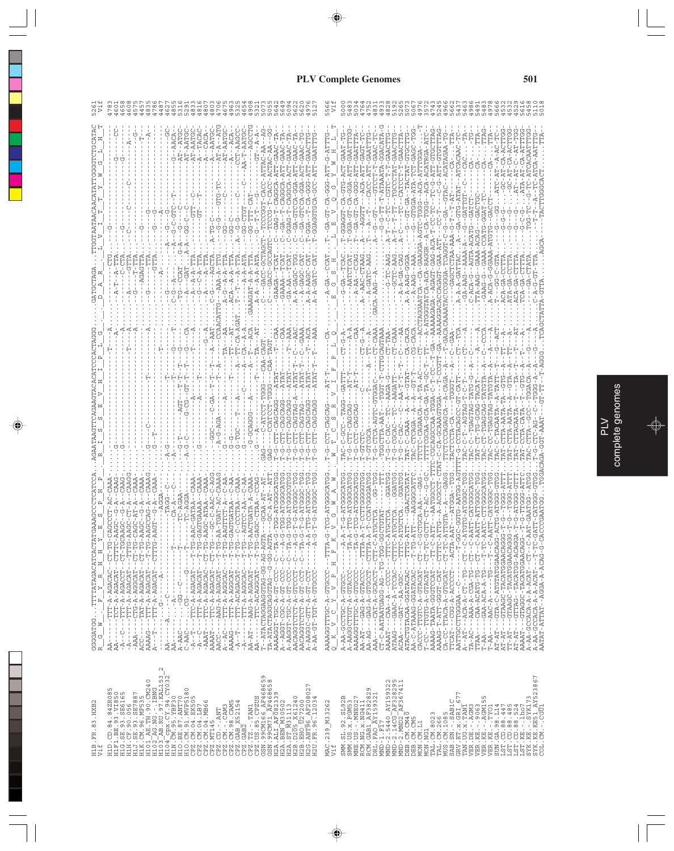| GGGGATGGTTTTATAGACATCACTI<br>Ξ<br>Ξ<br>$\simeq$<br>$\overline{Y}$<br>$\mathbb{E} \mathbb{E}_4$<br>Σ<br>U<br>$\simeq$ | $-10T - TG$<br>$-10T - 10T - 1$<br>$\begin{array}{l} \mathbf{1}_{A} \cdot \mathbf{1}_{A} \cdot \mathbf{1}_{A} \cdot \mathbf{1}_{A} \cdot \mathbf{1}_{A} \cdot \mathbf{1}_{A} \cdot \mathbf{1}_{A} \cdot \mathbf{1}_{A} \cdot \mathbf{1}_{A} \cdot \mathbf{1}_{A} \cdot \mathbf{1}_{A} \cdot \mathbf{1}_{A} \cdot \mathbf{1}_{A} \cdot \mathbf{1}_{A} \cdot \mathbf{1}_{A} \cdot \mathbf{1}_{A} \cdot \mathbf{1}_{A} \cdot \mathbf{1}_{A} \cdot \mathbf{1}_{A} \cdot \mathbf{1}_{A} \cdot \mathbf{1}_{A} \cdot \mathbf$<br>--CTTTC<br>$-1400A - 2400A - 2400A$<br>$-TTTT - A - AGACACC$<br>$- A - - C - - - TTT - A - AGACCTT$<br>$AA - -$<br>$AA -$ | $\frac{1}{2}$<br>$\begin{array}{l} \texttt{---} \\ \texttt{AA}\texttt{---} \\ \texttt{AA}\texttt{---} \\ \texttt{AA}\texttt{---} \\ \texttt{AA}\texttt{---} \\ \texttt{AA}\texttt{---} \\ \texttt{AA}\texttt{---} \\ \texttt{---} \\ \texttt{AA}\texttt{---} \\ \end{array} \quad \begin{array}{l} \texttt{a}\texttt{---a}\texttt{---a}\texttt{---a}\texttt{---} \\ \texttt{} \\ \texttt{---} \\ \texttt{---} \\ \texttt{---} \\ \texttt{---} \\ \end{array}$<br>$-4 \cdot -4$ |                | TA-ATACTAGGCAGTAG--G-GG-AG<br>- - ATACTAGGAAGGTAG-AG-AG-AG-<br>$\begin{array}{l} \texttt{AA} \texttt{AA} \texttt{AGGT}^- \texttt{TGC-A-CT}^- \texttt{CCC--T-A-CT} \\ \texttt{A} - \texttt{AA} \texttt{GGT}^- \texttt{TCC-A-CT}^- \texttt{CCC--T-A-CT} \\ \texttt{A} - \texttt{AA} \texttt{GGT-TCC-A-CT}^- \texttt{CCC--C--T-A-CT} \\ \texttt{AA} \texttt{GA} \texttt{GGT-CTC} \texttt{TC-A-CT} \texttt{CCCCT--C--A-A} \\ \texttt{AA} \texttt{AGG-CTCT-A-CT} \texttt{CCCT--C--A-A} \\ \texttt{$<br>A-AA-GT-A-GT-A-GTCCC<br>н                                      | $\begin{array}{l} \text{ABAB1}^{T-1-(2\Delta A-1)}\text{AB1}^{T-1-(2\Delta A-1)}\text{AB2}^{T-1-(2\Delta A-1)}\text{AB3}^{T-1-(2\Delta A-1)}\text{A1}^{T-1-(2\Delta A-1)}\text{A2}^{T-1-(2\Delta A-1)}\text{A3}^{T-1-(2\Delta A-1)}\text{A4}^{T-1-(2\Delta A-1)}\text{A5}^{T-1-(2\Delta A-1)}\text{A6}^{T-1-(2\Delta A-1)}\text{A7}^{T-1-(2\Delta A-1)}\text{A8}^{T-1-(2\Delta$<br>TT-AT---GTAAGC-TACATGGAACAG<br>$AT - ATT - - GTTAG - - TACATGG - ACCACBGG$<br>AT-AT---GTA-C-ATGTATGAACAG<br>AT-AT---GTAAGC-TACATGGAACAG<br>AATAT-ATTAT--AGGA-A-ACAG-G-<br>$-TTTTA$<br>A-AA-GCCCC-A-GTGC-------A<br>A-AAGGCTTGT-A-GTACC-----TA<br>AAAAGGTTGC-A-GTGCC------TA<br>AAAAT - - -GTAGGC - TACATGGAACAG<br>A - AA - GCCACA - A - A - ACAT - - CT - - C<br>A - AA - GCCACA - A - A - ACAT - - - T - TC<br>AA-AT---GAG-A-GTACCC---TTTA<br>AA-AG---GAG-A-GTGCCT--CTTTA<br>AAA-----CAT-A-GCACCT--CTT-C<br>CT-C-AATAATGAGG-AG--TG-TGG-<br>$\mu$<br>$\mathbb{H}$<br>AAAAGGTTGC-A-GTGCCC-<br>Q K V C Y V P |
|----------------------------------------------------------------------------------------------------------------------|-----------------------------------------------------------------------------------------------------------------------------------------------------------------------------------------------------------------------------------------------------------------------------------------------------------------------------------------------------------------------------------------------------------------------------------------------------------------------------------------------------------------------------------------------------------------------------------------------------------------------------------------------------|--------------------------------------------------------------------------------------------------------------------------------------------------------------------------------------------------------------------------------------------------------------------------------------------------------------------------------------------------------------------------------------------------------------------------------------------------------------------------------|----------------|------------------------------------------------------------------------------------------------------------------------------------------------------------------------------------------------------------------------------------------------------------------------------------------------------------------------------------------------------------------------------------------------------------------------------------------------------------------------------------------------------------------------------------------------------------------|------------------------------------------------------------------------------------------------------------------------------------------------------------------------------------------------------------------------------------------------------------------------------------------------------------------------------------------------------------------------------------------------------------------------------------------------------------------------------------------------------------------------------------------------------------------------------------------------------------------------------------------------------------------------------------------------------------------------------------------------------------------------------------------------------------------------------------------------------------------------------------------------------------------------------------------------------------------------------------------------|
| H1B.FR.83.HXB2<br>Vif                                                                                                | $\begin{tabular}{c} {\bf H1D}, {\bf CD}, {\bf 84}, {\bf 842R085} \\ {\bf H1G}, {\bf B5}, {\bf 93}, {\bf V15550} \\ {\bf H1G}, {\bf B5}, {\bf 93}, {\bf V1550} \\ {\bf H1H}, {\bf CF}, {\bf 90}, {\bf 056} \\ {\bf H1H}, {\bf CF}, {\bf 90}, {\bf 056} \\ {\bf H1H}, {\bf CF}, {\bf 90}, {\bf 056} \\ {\bf H1H}, {\bf CF}, {\bf 90}, {\bf 056} \\ {\bf H1H}, {\bf 91}, {\bf 24}, {\bf H1}, {\bf 90}, {\$                                                                                                                                                                                                                                             | $\sim$                                                                                                                                                                                                                                                                                                                                                                                                                                                                         | $CPZ$ . $GABZ$ | $\begin{array}{l} \texttt{CPE} \, . \, \texttt{TE} \, . \, . \, \texttt{TM1} \, . \, \\ \texttt{CPE} \, . \, \texttt{US} \, . \, \texttt{SS} \, . \, \texttt{CPEZUS} \, . \, \\ \texttt{GSN} \, . \, \texttt{99} \, \texttt{OM71} \, . \, \, \overline{\texttt{APE} \, \texttt{46} \, \texttt{6559}} \, \\ \texttt{GSN} \, . \, \texttt{99} \, \texttt{OM71} \, . \, \overline{\texttt{APE} \, \texttt{45658}}$<br>$\overline{\phantom{a}}$<br>H2A.BBN M30502<br>H2A.ST M31113<br>H2B.D2O5 X61240<br>H2G.ABT96 AF208027<br>H2G.ABT96 AF208027<br>H2U.FR.96 12034 | $\begin{tabular}{l} \bf{PAL. CM} \quad 50.23 \\ \bf{PAL. CM} \quad 266 \\ \bf{QAL} \quad \text{CM} \quad 266 \\ \text{SRV, ET} \quad . \quad \text{GRL} \quad . \quad \text{GRL} \quad . \quad \text{GRL} \quad . \quad \text{GRL} \quad . \quad \text{GRL} \quad . \quad \text{GRL} \quad . \quad \text{GRL} \quad . \quad \text{GRL} \quad . \quad \text{GRL} \quad . \quad \text{GRL} \quad . \quad \text{GRL} \quad . \quad \text{GRL} \quad . \quad \text{GRL} \quad . \quad \text{G$<br>$\begin{array}{l} \texttt{SSIMI: USS}:\texttt{X}.\texttt{FOMIS}\\\texttt{RME}, \texttt{US}:\texttt{R}, \texttt{RMB127}\\ \texttt{RPMI: USA}:\texttt{RMB122223}\\ \texttt{RCMI: BAD}:\texttt{RAD}:\texttt{RMB22232}\\ \texttt{RMLI: RAD}:\texttt{RAD}:\texttt{RMB32232}\\ \texttt{MMD-2}:\texttt{S440}\xspace_1\texttt{RMB32223}\\ \texttt{MMD-2}:\texttt{S440}\xspace_2\texttt{RMB322323}\\ \texttt{MMD$<br>SMM.SL.92.SL92B<br>MAC.239_M33262<br>Vif<br>COL.CM.-.CGU1                            |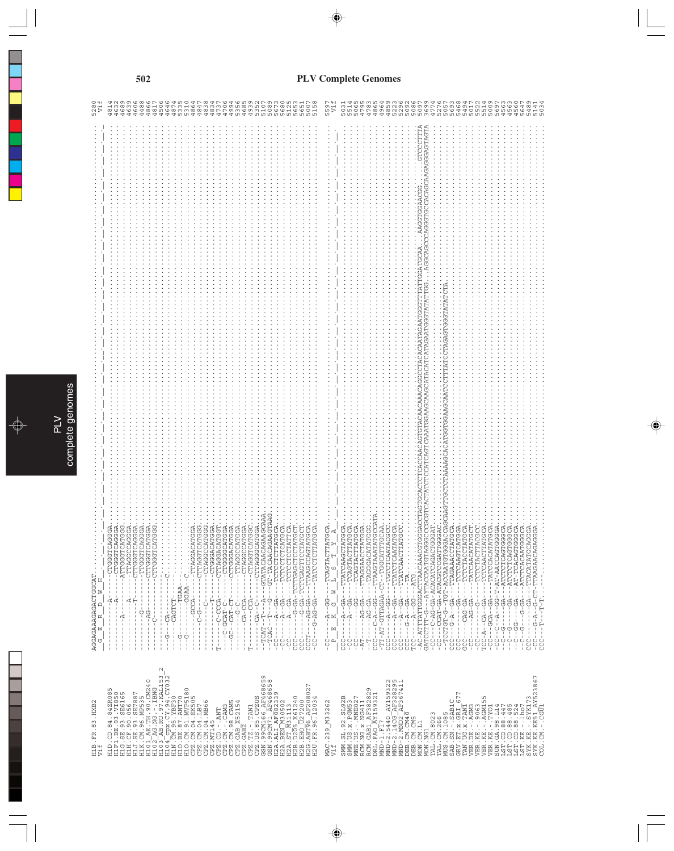| ۰ |
|---|
| ≂ |
|   |
|   |
|   |
|   |
|   |
|   |

es

| 5280<br>Vif                                                      | ₩<br>₩<br>4<br>4<br>4<br>4<br>4                                                                                                                                                                                                                             | 4<br>4<br>$\overline{\phantom{0}}$<br>40D<br>4<br>4<br>$\overline{ }$                                                                                                                                                                                                                                                   | 4<br>4<br>$\overline{ }$<br>454<br>4555555<br>m m m                                                                                                                                                                                                                                                                                                                                                                                                                                                                                                                                                                                                                                                                                                                                 | 20094405<br>20094405<br>514<br>59.<br>V11<br>$\overline{O}$<br>69<br>48<br>14<br>G <sub>3</sub><br>LN<br>4<br>4<br>4<br>Г<br>LO<br>ഗ                                                                                                                                                                                                                                                                                                                                                                                                                                                                                                                                                                                                                                                                                                                                                                                                                                                                                                                                                                                                                                                                                                                                                                                                                                                                                                                                                                                                                                                                                                                                                                                                                                                                                                       |
|------------------------------------------------------------------|-------------------------------------------------------------------------------------------------------------------------------------------------------------------------------------------------------------------------------------------------------------|-------------------------------------------------------------------------------------------------------------------------------------------------------------------------------------------------------------------------------------------------------------------------------------------------------------------------|-------------------------------------------------------------------------------------------------------------------------------------------------------------------------------------------------------------------------------------------------------------------------------------------------------------------------------------------------------------------------------------------------------------------------------------------------------------------------------------------------------------------------------------------------------------------------------------------------------------------------------------------------------------------------------------------------------------------------------------------------------------------------------------|--------------------------------------------------------------------------------------------------------------------------------------------------------------------------------------------------------------------------------------------------------------------------------------------------------------------------------------------------------------------------------------------------------------------------------------------------------------------------------------------------------------------------------------------------------------------------------------------------------------------------------------------------------------------------------------------------------------------------------------------------------------------------------------------------------------------------------------------------------------------------------------------------------------------------------------------------------------------------------------------------------------------------------------------------------------------------------------------------------------------------------------------------------------------------------------------------------------------------------------------------------------------------------------------------------------------------------------------------------------------------------------------------------------------------------------------------------------------------------------------------------------------------------------------------------------------------------------------------------------------------------------------------------------------------------------------------------------------------------------------------------------------------------------------------------------------------------------------|
| AGGAGAAAGCTGGCAT.<br>Ξ<br>Z<br>$\Box$<br>$\mathbbm{R}$<br>囸<br>U | FGGA.<br>rega.<br>rege<br>-- CLGGGLCF<br>-TTGGGTCA<br>-ATTGGGTCA<br>--TTAGGCCA<br>-CTTGGGTCA<br>-CTTGGGTCA<br>J.<br>J.<br>$\,$<br>I.<br>$-4-7$<br>$-4$<br>ł<br>$-4$<br>י<br>י<br>$\frac{1}{6}$<br>$-7AC-$<br>Ť<br>f,<br>$- - P -$<br>I<br>÷<br>J<br>I<br>J. | $\frac{1}{2}$<br>- CLLGGGLCV<br>-CTTAGGTCA<br>- CTAGGCCA<br>--TTAGGACA<br>$\vdots$<br>$\vdots$<br>$\frac{1}{1}$<br>U – – 4400 – –<br>$------TGAA-$<br>$-1000C$<br>$-450C +$<br>$\overline{C}$<br>$-5-7-1$<br>$-1 - 5 - 1 - 1$<br>$-1 - 1 - 1$<br>J<br>$\frac{1}{1}$<br>$-5-$<br>$\frac{1}{1}$<br>t<br>نې<br>۱<br>$\sim$ | AAGCAAA<br>AAGTAAG<br>TGGA.<br>TGGA.<br>TGGA.<br>rgga.<br>TGGA.<br>TGGT.<br><b>COCC</b><br>TGCA<br>TGCA<br><b>PTCA</b><br>PGCT<br>FOG<br><b>GCA</b><br><b>TGCA</b><br>-TCAT--------THATACAACAC<br>----TACAACAG<br>-CCTGGGACA<br>--TTAGGCCA<br>-CTTAGGGCA<br>-TCTCCTCCTA<br>CCC------GA-TCTTGAGCTCCTA<br>-CTGGGACA<br>-CTTAGGACA<br>-CLGGGGGCF<br>AUUUUAHU -<br>-CTAGGTCA<br>AHUUHHUKUHHUH-KU-U-<br>--AG-GA---TTAAGCAGTA<br>$-$ -TATCCTCTTTA<br>--TCTCCTCTTP<br>Ì<br>$- -B - -GB - -$<br>$-45 - 54 - 6 - 64$<br>$-CCA$<br>÷<br>$- - -$ C $-$ CC $A$<br>$- -A - GA$<br>$-1 - C + C$<br>-GC--CAT-CH<br>U-LAUU-U-<br>$C - C - C - C$<br>j<br>J<br>CCCT--<br>$\,$<br>$-00 -$<br>1<br>$\frac{1}{4}$<br>ı<br>f,<br>$-C$<br>U<br>-<br>U<br>U<br>Í<br>$\frac{1}{1}$<br>$\sum_{i=1}^{n}$<br>н | GOOCCOCOTCACTATCTCCATCAGTCAAAATGGAAGCATACATAGAATGGGTAAAFTGC<br>GOOCCOCOTCACTATCTCATCCATCAGTCAAAGCAAGCATACATAGATATTEG<br>.GTCCCTTTP<br>COUNCIDENT<br>GGAC<br>ACCAGCAAGTTGCTCTAAAAGCACATGGAAGCAATCCTTTATCCTAGAGFGGGTATATCTA<br>TGCCATA<br>GCAA<br>--TTATCAAGCTATGCA.<br>---TCAGTACTTATGCA.<br>---TCAGTACTTATGCA.<br>TGCA.<br>TGGA.<br>TGCA.<br>TGCT.<br>PGCA.<br>TGGA.<br>CGC.<br><b>SGGA</b><br>TGCA<br>500.0<br>TGCA<br><b>CO</b><br><b>GCA</b><br><b>LGCC</b><br><b>ACA</b><br><b>ADG</b><br>GCA<br>UCRANCAULURT - - - 45-5-1-<br>-GA---TTACATATGCA<br>AGAOAGAAGAH - HU - B - - - - - - - DU -<br>- DHI RUUUHUU RII R - RU - II RUU - - - - UU<br>0H0AOAOH-HA---AD-----00---<br>-AC-ATTTATTGGACTTAACAAACGT<br>ひLUstORDLRURUR-RP-DE-U---UU-<br>ひけひえひし NAT - ローローロワー - スーーフーーフリー<br>5H540H5H5H4---45---<br>ひけひえひけひけひけ(1) - 1 - 1<br>--TCAGTACTTA<br>Σ<br>-- TTAGGAACCTA<br>--TTAAGTAAATA<br>-- TCTCAAGTCA<br>-----CAG-GA-----TCTCTACCTA<br>-----AG-GA-----TATCAACATA<br>--TCTCAACTTA<br>ATADAGACATA<br>-TT-AT-CHAA-CAA-TT-TT-<br>CCC---G-A--GA--TTAGAAACCTA<br>--TATCCACATA<br>--TCTCTACTTA<br>$\overline{\phantom{a}}$<br>$-TA$<br>C)<br>ひロス---ひひ-- ズ-----<br>$\Box$<br>Z<br>$-6A -$<br>$-CC - -C - -C - -C - -$<br>$-45 - -1 - -5 - -$<br>$TCC - A - CA - CA - BA -$<br>$-3 - 2 - 3 - 5 - 1$<br>F-1-1-<br>$-1 - 1 - - - - - - - 2G - GA$<br>$- - - - - - - - - - - - - -$<br>$-4 - 4 - 6A$<br>$-4 - 4 - 6A$<br>99 - 1<br>$- -AG - GA$<br>رخ<br>ا<br>į<br>$\frac{1}{1}$<br>凹<br>$\frac{c}{1}$<br>İ<br>$\frac{1}{1}$<br>$\begin{array}{c} \rule{0.2cm}{0.15mm} \end{array}$<br>$\,$<br>$\mathbf{I}$<br>$\,$<br>$-AT -$<br>f,<br>$C_1$<br>$\mathsf{u}_i$<br>CCC<br>U<br>U<br>CC.<br>$\overline{C}$<br>$\sum_{i=1}^{n}$<br>CCC<br><b>CCC</b><br>CCC<br><b>TCC</b><br>CCC<br>$\frac{1}{1}$<br>٢<br>CCC<br>とと<br>U<br>U<br>CCC<br>-cc<br>Y<br>ု |

 $\begin{tabular}{ll} \bf H1B\_P3, 33\_1K122 \\ \bf H1B\_CD: 94\_842R085 \\ \bf H1B\_CD: 94\_842R085 \\ \bf H1B\_CD: 95\_35256 \\ \bf H1B\_CD: 95\_352587 \\ \bf H1B\_CD: 95\_352587 \\ \bf H1B\_CD: 96\_MS153 \\ \bf H1B\_CD: 97\_K2L153 \\ \bf H1B\_2A. B. RU\_97\_K2L153 \\ \bf H1B\_2A. B. RU\_97\_K2L153 \\ \bf H1B\_2A. B. RU$ \$2386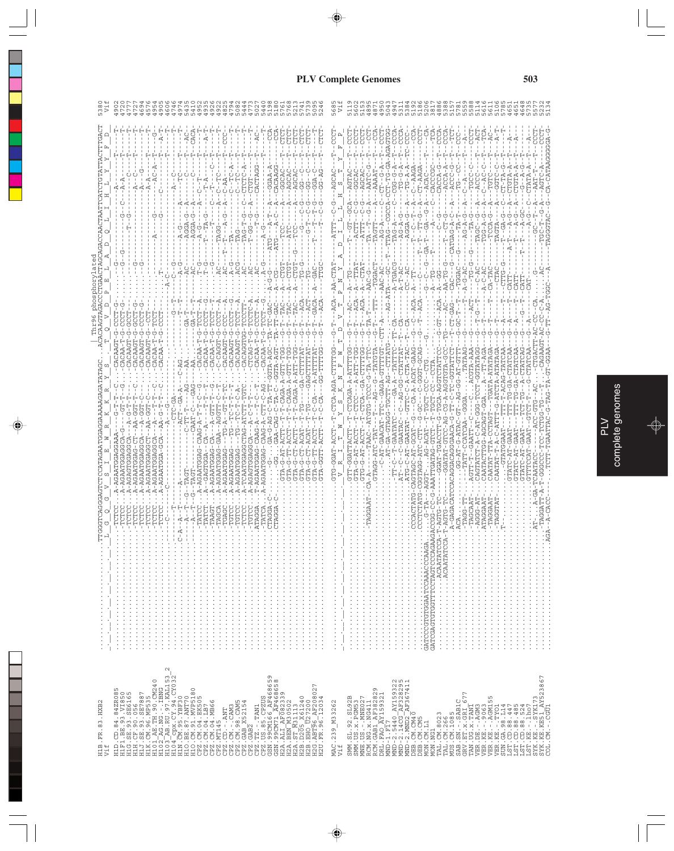|  | ì<br>J<br>ij |
|--|--------------|
|  |              |

| H1B. FR. 83. HXB2<br>Vif                                                                                                                                                                                                                                                                                                                                                                                                                                                                                                                                                                                                                                                                                                                                                                                                                                                                                                         | GTATTACTTGA<br>CAACTAAT<br>Ë.<br>$\cdot$                                                                                                                                                                                                                                                                |
|----------------------------------------------------------------------------------------------------------------------------------------------------------------------------------------------------------------------------------------------------------------------------------------------------------------------------------------------------------------------------------------------------------------------------------------------------------------------------------------------------------------------------------------------------------------------------------------------------------------------------------------------------------------------------------------------------------------------------------------------------------------------------------------------------------------------------------------------------------------------------------------------------------------------------------|---------------------------------------------------------------------------------------------------------------------------------------------------------------------------------------------------------------------------------------------------------------------------------------------------------|
| $\mathcal{C}$<br>$\begin{small} \text{HD} & \text{CD: 84. 8420055} \text{HD} & \text{CD: 84. 8420055} \text{HD} & \text{HD} & \text{CD: 84. 842005} \text{HD} & \text{HD} & \text{HD} & \text{HD} & \text{HD} & \text{HD} & \text{HD} & \text{HD} & \text{HD} & \text{HD} & \text{HD} & \text{HD} & \text{HD} & \text{HD} & \text{HD} & \text{HD} & \text{HD} & \text{HD} & \text{HD} & \text{HD} & \text{HD} & \text{HD} & \text{HD} &$<br>H2B.D205 X61240<br>H2B.BHO U27200<br>H2G.ABT96 AF208027<br>H2U.FR.96-12034<br>H2A.ST M31113                                                                                                                                                                                                                                                                                                                                                                                          | 0.000000<br>6.00<br>$\circ$<br>$\circ$ $\circ$<br>ጣ<br>CACA<br>$A - T$<br>CTCT<br>5<br>5<br>5<br>5<br>5<br>5<br>UU<br>UU<br>U<br>U<br>٢<br>g<br>đ<br>$\vdots$<br>.<br>.<br>.<br>$\vdots$<br>$\vdots$<br>$\vdots$<br>$\begin{array}{c} \vdots \\ \vdots \\ \vdots \\ \vdots \end{array}$<br>Ì<br>$\cdot$ |
| SYK.KE.-.SYK173<br>SYK.KE.KES1 AY523867<br>MND - 2. 5440 AY159322<br>MND - 2. 14CG AF328295<br>MND - 2. MND2 AF367411<br>DEB. CM. CM40<br>DEB. CM. CM40<br>MON. CM. L1<br>SMM. SL. 92. SL92B<br>SMM. US. x. PCM53<br>MNE. US. - MNE027<br>RCM. GGA 1 AF382829<br>RCM. GGA 1 AF382829<br>DRL. FAO_AY159321<br>$\begin{array}{ll} \text{TML} & \text{(N1, 8023)}\\ \text{MTG}, & \text{CM}, 1065\\ \text{MTG}, & \text{CM}, 1065\\ \text{SRB}, & \text{SM} - 1.58 \text{BIC}\\ \text{SRB}, & \text{SM} - 1.58 \text{BIC}\\ \text{TMRV} & \text{DTG} & \text{TMR} \\ \text{VBR}, & \text{DE} & \text{TMR} \\ \text{VBR}, & \text{DE} & \text{TMR} \\ \text{VBR}, & \text{EM} - 1.6801\\ \text{VBR}, & \text{EM} - 1.6801\\ \text{VBR$<br>MAC.239 M33262<br>VER.KE. - TYO1<br>SUN 32.98.1114<br>LST.CD.88.447<br>LST.CD.88.485<br>LST.CD.88.524<br>LST.KE.-1107<br><b>CGU</b><br>$MID - 1.FI7$<br>MON.NG1<br><b>EN</b><br>Vif<br>ECC | OMM<br>$\infty$ $\infty$<br>$\frac{1}{2}$<br>carcccgretecart.com<br>GATCCCGTGTGGAATCCAACCCAAGA<br>GATCGAGTGTGTTTCCTAGTCCCAGAA<br>$\frac{1}{2}$<br>÷<br>.<br>÷<br>$\vdots$<br>$\ddot{\phantom{0}}$<br>$\frac{1}{2}$<br>$\bullet$                                                                         |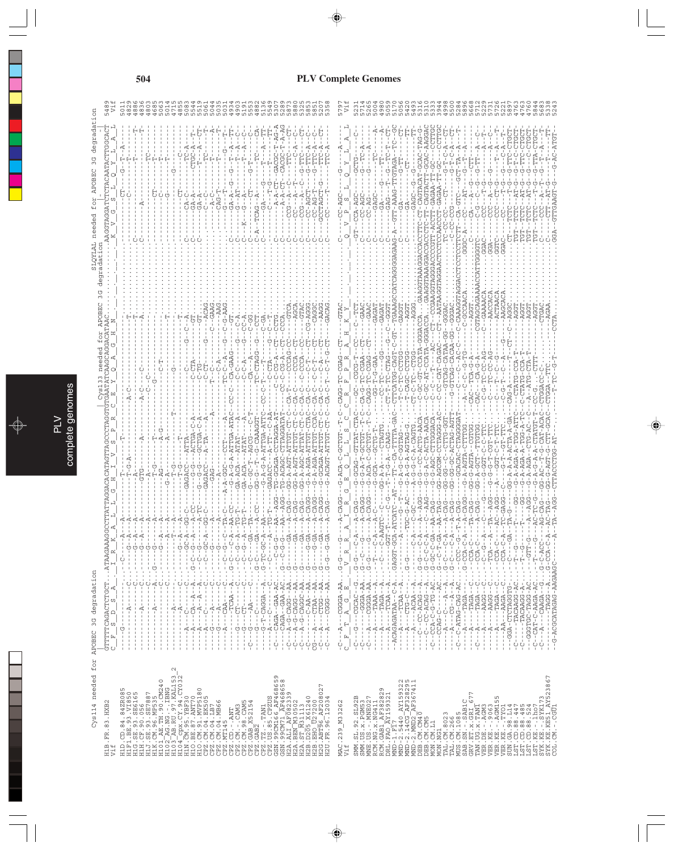complete genomes complete genomes PLV

| GTTTTTCAGACTCTGCTATAAGAA<br>C F S D S A I R                                                      |                                                                                                                                                                                                                                                                                                                                                                                                                                                                                                                                                                                                                                                                                                                                                                                                                                                                                                                                                                                                                                                                                                                                                                                                                                                                                                                                                                                                                                                                                                                                                                                                                                                                                                                                                                                                                                                                                                                                                                                                                                                                                                                                                                                                                                          |  | AGGTAGGATCHCTACATCO |  |
|--------------------------------------------------------------------------------------------------|------------------------------------------------------------------------------------------------------------------------------------------------------------------------------------------------------------------------------------------------------------------------------------------------------------------------------------------------------------------------------------------------------------------------------------------------------------------------------------------------------------------------------------------------------------------------------------------------------------------------------------------------------------------------------------------------------------------------------------------------------------------------------------------------------------------------------------------------------------------------------------------------------------------------------------------------------------------------------------------------------------------------------------------------------------------------------------------------------------------------------------------------------------------------------------------------------------------------------------------------------------------------------------------------------------------------------------------------------------------------------------------------------------------------------------------------------------------------------------------------------------------------------------------------------------------------------------------------------------------------------------------------------------------------------------------------------------------------------------------------------------------------------------------------------------------------------------------------------------------------------------------------------------------------------------------------------------------------------------------------------------------------------------------------------------------------------------------------------------------------------------------------------------------------------------------------------------------------------------------|--|---------------------|--|
|                                                                                                  |                                                                                                                                                                                                                                                                                                                                                                                                                                                                                                                                                                                                                                                                                                                                                                                                                                                                                                                                                                                                                                                                                                                                                                                                                                                                                                                                                                                                                                                                                                                                                                                                                                                                                                                                                                                                                                                                                                                                                                                                                                                                                                                                                                                                                                          |  |                     |  |
|                                                                                                  |                                                                                                                                                                                                                                                                                                                                                                                                                                                                                                                                                                                                                                                                                                                                                                                                                                                                                                                                                                                                                                                                                                                                                                                                                                                                                                                                                                                                                                                                                                                                                                                                                                                                                                                                                                                                                                                                                                                                                                                                                                                                                                                                                                                                                                          |  |                     |  |
| $\frac{1}{2}$<br>$\frac{1}{2}$<br>$- -A - -$<br>$\frac{1}{4}$<br>$-1$                            |                                                                                                                                                                                                                                                                                                                                                                                                                                                                                                                                                                                                                                                                                                                                                                                                                                                                                                                                                                                                                                                                                                                                                                                                                                                                                                                                                                                                                                                                                                                                                                                                                                                                                                                                                                                                                                                                                                                                                                                                                                                                                                                                                                                                                                          |  |                     |  |
| $\mathbf{I}$<br>$\mathbf{I}$                                                                     |                                                                                                                                                                                                                                                                                                                                                                                                                                                                                                                                                                                                                                                                                                                                                                                                                                                                                                                                                                                                                                                                                                                                                                                                                                                                                                                                                                                                                                                                                                                                                                                                                                                                                                                                                                                                                                                                                                                                                                                                                                                                                                                                                                                                                                          |  |                     |  |
| $- -A - -$                                                                                       |                                                                                                                                                                                                                                                                                                                                                                                                                                                                                                                                                                                                                                                                                                                                                                                                                                                                                                                                                                                                                                                                                                                                                                                                                                                                                                                                                                                                                                                                                                                                                                                                                                                                                                                                                                                                                                                                                                                                                                                                                                                                                                                                                                                                                                          |  |                     |  |
| $- -A - - -$<br>$\frac{1}{1}$<br>$\,$ $\,$<br>$\sf I$<br>$\,$ I                                  |                                                                                                                                                                                                                                                                                                                                                                                                                                                                                                                                                                                                                                                                                                                                                                                                                                                                                                                                                                                                                                                                                                                                                                                                                                                                                                                                                                                                                                                                                                                                                                                                                                                                                                                                                                                                                                                                                                                                                                                                                                                                                                                                                                                                                                          |  |                     |  |
| ÷<br>$\,$ $\,$<br>$\,$ I                                                                         |                                                                                                                                                                                                                                                                                                                                                                                                                                                                                                                                                                                                                                                                                                                                                                                                                                                                                                                                                                                                                                                                                                                                                                                                                                                                                                                                                                                                                                                                                                                                                                                                                                                                                                                                                                                                                                                                                                                                                                                                                                                                                                                                                                                                                                          |  |                     |  |
| $\overline{\phantom{a}}$<br>$\overline{\phantom{a}}$<br>$\,$ I                                   |                                                                                                                                                                                                                                                                                                                                                                                                                                                                                                                                                                                                                                                                                                                                                                                                                                                                                                                                                                                                                                                                                                                                                                                                                                                                                                                                                                                                                                                                                                                                                                                                                                                                                                                                                                                                                                                                                                                                                                                                                                                                                                                                                                                                                                          |  |                     |  |
| f,<br>$\frac{1}{4}$<br>$-1$<br>$- -4.7 - 1.7$<br>Ť<br>÷<br>$\mathbf{I}$<br>$\,$ I<br>$\mathsf I$ |                                                                                                                                                                                                                                                                                                                                                                                                                                                                                                                                                                                                                                                                                                                                                                                                                                                                                                                                                                                                                                                                                                                                                                                                                                                                                                                                                                                                                                                                                                                                                                                                                                                                                                                                                                                                                                                                                                                                                                                                                                                                                                                                                                                                                                          |  |                     |  |
| $\frac{1}{\sqrt{2}}$<br>$\frac{1}{\sqrt{2}}$<br>$\vdots$<br>U<br>÷<br>$\bigcup\limits_{l}^{l}$   |                                                                                                                                                                                                                                                                                                                                                                                                                                                                                                                                                                                                                                                                                                                                                                                                                                                                                                                                                                                                                                                                                                                                                                                                                                                                                                                                                                                                                                                                                                                                                                                                                                                                                                                                                                                                                                                                                                                                                                                                                                                                                                                                                                                                                                          |  |                     |  |
| じー<br>$\therefore$ G-C<br>$- - A$<br>$-CA - A$<br>Ť                                              |                                                                                                                                                                                                                                                                                                                                                                                                                                                                                                                                                                                                                                                                                                                                                                                                                                                                                                                                                                                                                                                                                                                                                                                                                                                                                                                                                                                                                                                                                                                                                                                                                                                                                                                                                                                                                                                                                                                                                                                                                                                                                                                                                                                                                                          |  |                     |  |
| じーー<br>$C - C$<br>$- - A$                                                                        |                                                                                                                                                                                                                                                                                                                                                                                                                                                                                                                                                                                                                                                                                                                                                                                                                                                                                                                                                                                                                                                                                                                                                                                                                                                                                                                                                                                                                                                                                                                                                                                                                                                                                                                                                                                                                                                                                                                                                                                                                                                                                                                                                                                                                                          |  |                     |  |
|                                                                                                  |                                                                                                                                                                                                                                                                                                                                                                                                                                                                                                                                                                                                                                                                                                                                                                                                                                                                                                                                                                                                                                                                                                                                                                                                                                                                                                                                                                                                                                                                                                                                                                                                                                                                                                                                                                                                                                                                                                                                                                                                                                                                                                                                                                                                                                          |  |                     |  |
|                                                                                                  |                                                                                                                                                                                                                                                                                                                                                                                                                                                                                                                                                                                                                                                                                                                                                                                                                                                                                                                                                                                                                                                                                                                                                                                                                                                                                                                                                                                                                                                                                                                                                                                                                                                                                                                                                                                                                                                                                                                                                                                                                                                                                                                                                                                                                                          |  |                     |  |
|                                                                                                  |                                                                                                                                                                                                                                                                                                                                                                                                                                                                                                                                                                                                                                                                                                                                                                                                                                                                                                                                                                                                                                                                                                                                                                                                                                                                                                                                                                                                                                                                                                                                                                                                                                                                                                                                                                                                                                                                                                                                                                                                                                                                                                                                                                                                                                          |  |                     |  |
| ÷                                                                                                |                                                                                                                                                                                                                                                                                                                                                                                                                                                                                                                                                                                                                                                                                                                                                                                                                                                                                                                                                                                                                                                                                                                                                                                                                                                                                                                                                                                                                                                                                                                                                                                                                                                                                                                                                                                                                                                                                                                                                                                                                                                                                                                                                                                                                                          |  |                     |  |
| $C - C$<br>$\frac{1}{\sqrt{2}}$                                                                  |                                                                                                                                                                                                                                                                                                                                                                                                                                                                                                                                                                                                                                                                                                                                                                                                                                                                                                                                                                                                                                                                                                                                                                                                                                                                                                                                                                                                                                                                                                                                                                                                                                                                                                                                                                                                                                                                                                                                                                                                                                                                                                                                                                                                                                          |  |                     |  |
|                                                                                                  |                                                                                                                                                                                                                                                                                                                                                                                                                                                                                                                                                                                                                                                                                                                                                                                                                                                                                                                                                                                                                                                                                                                                                                                                                                                                                                                                                                                                                                                                                                                                                                                                                                                                                                                                                                                                                                                                                                                                                                                                                                                                                                                                                                                                                                          |  |                     |  |
| $\frac{1}{4}$                                                                                    |                                                                                                                                                                                                                                                                                                                                                                                                                                                                                                                                                                                                                                                                                                                                                                                                                                                                                                                                                                                                                                                                                                                                                                                                                                                                                                                                                                                                                                                                                                                                                                                                                                                                                                                                                                                                                                                                                                                                                                                                                                                                                                                                                                                                                                          |  |                     |  |
|                                                                                                  |                                                                                                                                                                                                                                                                                                                                                                                                                                                                                                                                                                                                                                                                                                                                                                                                                                                                                                                                                                                                                                                                                                                                                                                                                                                                                                                                                                                                                                                                                                                                                                                                                                                                                                                                                                                                                                                                                                                                                                                                                                                                                                                                                                                                                                          |  |                     |  |
| t<br>U<br>ł<br>$\bigcup\limits_{l}$                                                              |                                                                                                                                                                                                                                                                                                                                                                                                                                                                                                                                                                                                                                                                                                                                                                                                                                                                                                                                                                                                                                                                                                                                                                                                                                                                                                                                                                                                                                                                                                                                                                                                                                                                                                                                                                                                                                                                                                                                                                                                                                                                                                                                                                                                                                          |  |                     |  |
| $- - C - C$<br>$\vdots$                                                                          |                                                                                                                                                                                                                                                                                                                                                                                                                                                                                                                                                                                                                                                                                                                                                                                                                                                                                                                                                                                                                                                                                                                                                                                                                                                                                                                                                                                                                                                                                                                                                                                                                                                                                                                                                                                                                                                                                                                                                                                                                                                                                                                                                                                                                                          |  |                     |  |
|                                                                                                  |                                                                                                                                                                                                                                                                                                                                                                                                                                                                                                                                                                                                                                                                                                                                                                                                                                                                                                                                                                                                                                                                                                                                                                                                                                                                                                                                                                                                                                                                                                                                                                                                                                                                                                                                                                                                                                                                                                                                                                                                                                                                                                                                                                                                                                          |  |                     |  |
| 1                                                                                                |                                                                                                                                                                                                                                                                                                                                                                                                                                                                                                                                                                                                                                                                                                                                                                                                                                                                                                                                                                                                                                                                                                                                                                                                                                                                                                                                                                                                                                                                                                                                                                                                                                                                                                                                                                                                                                                                                                                                                                                                                                                                                                                                                                                                                                          |  |                     |  |
|                                                                                                  |                                                                                                                                                                                                                                                                                                                                                                                                                                                                                                                                                                                                                                                                                                                                                                                                                                                                                                                                                                                                                                                                                                                                                                                                                                                                                                                                                                                                                                                                                                                                                                                                                                                                                                                                                                                                                                                                                                                                                                                                                                                                                                                                                                                                                                          |  |                     |  |
|                                                                                                  |                                                                                                                                                                                                                                                                                                                                                                                                                                                                                                                                                                                                                                                                                                                                                                                                                                                                                                                                                                                                                                                                                                                                                                                                                                                                                                                                                                                                                                                                                                                                                                                                                                                                                                                                                                                                                                                                                                                                                                                                                                                                                                                                                                                                                                          |  |                     |  |
| $-5 - 6$<br>$- -A - -CTAA --AA$ .                                                                |                                                                                                                                                                                                                                                                                                                                                                                                                                                                                                                                                                                                                                                                                                                                                                                                                                                                                                                                                                                                                                                                                                                                                                                                                                                                                                                                                                                                                                                                                                                                                                                                                                                                                                                                                                                                                                                                                                                                                                                                                                                                                                                                                                                                                                          |  |                     |  |
| $-1 - 2 - 1$                                                                                     |                                                                                                                                                                                                                                                                                                                                                                                                                                                                                                                                                                                                                                                                                                                                                                                                                                                                                                                                                                                                                                                                                                                                                                                                                                                                                                                                                                                                                                                                                                                                                                                                                                                                                                                                                                                                                                                                                                                                                                                                                                                                                                                                                                                                                                          |  |                     |  |
|                                                                                                  |                                                                                                                                                                                                                                                                                                                                                                                                                                                                                                                                                                                                                                                                                                                                                                                                                                                                                                                                                                                                                                                                                                                                                                                                                                                                                                                                                                                                                                                                                                                                                                                                                                                                                                                                                                                                                                                                                                                                                                                                                                                                                                                                                                                                                                          |  |                     |  |
| $\cdot$ . $G - G -$                                                                              | UPDED                                                                                                                                                                                                                                                                                                                                                                                                                                                                                                                                                                                                                                                                                                                                                                                                                                                                                                                                                                                                                                                                                                                                                                                                                                                                                                                                                                                                                                                                                                                                                                                                                                                                                                                                                                                                                                                                                                                                                                                                                                                                                                                                                                                                                                    |  |                     |  |
|                                                                                                  |                                                                                                                                                                                                                                                                                                                                                                                                                                                                                                                                                                                                                                                                                                                                                                                                                                                                                                                                                                                                                                                                                                                                                                                                                                                                                                                                                                                                                                                                                                                                                                                                                                                                                                                                                                                                                                                                                                                                                                                                                                                                                                                                                                                                                                          |  |                     |  |
| ŧ<br>$\mathsf I$                                                                                 |                                                                                                                                                                                                                                                                                                                                                                                                                                                                                                                                                                                                                                                                                                                                                                                                                                                                                                                                                                                                                                                                                                                                                                                                                                                                                                                                                                                                                                                                                                                                                                                                                                                                                                                                                                                                                                                                                                                                                                                                                                                                                                                                                                                                                                          |  |                     |  |
|                                                                                                  |                                                                                                                                                                                                                                                                                                                                                                                                                                                                                                                                                                                                                                                                                                                                                                                                                                                                                                                                                                                                                                                                                                                                                                                                                                                                                                                                                                                                                                                                                                                                                                                                                                                                                                                                                                                                                                                                                                                                                                                                                                                                                                                                                                                                                                          |  |                     |  |
|                                                                                                  |                                                                                                                                                                                                                                                                                                                                                                                                                                                                                                                                                                                                                                                                                                                                                                                                                                                                                                                                                                                                                                                                                                                                                                                                                                                                                                                                                                                                                                                                                                                                                                                                                                                                                                                                                                                                                                                                                                                                                                                                                                                                                                                                                                                                                                          |  |                     |  |
|                                                                                                  |                                                                                                                                                                                                                                                                                                                                                                                                                                                                                                                                                                                                                                                                                                                                                                                                                                                                                                                                                                                                                                                                                                                                                                                                                                                                                                                                                                                                                                                                                                                                                                                                                                                                                                                                                                                                                                                                                                                                                                                                                                                                                                                                                                                                                                          |  |                     |  |
| ī<br>$\overline{\phantom{a}}$<br>$\blacksquare$                                                  |                                                                                                                                                                                                                                                                                                                                                                                                                                                                                                                                                                                                                                                                                                                                                                                                                                                                                                                                                                                                                                                                                                                                                                                                                                                                                                                                                                                                                                                                                                                                                                                                                                                                                                                                                                                                                                                                                                                                                                                                                                                                                                                                                                                                                                          |  |                     |  |
|                                                                                                  |                                                                                                                                                                                                                                                                                                                                                                                                                                                                                                                                                                                                                                                                                                                                                                                                                                                                                                                                                                                                                                                                                                                                                                                                                                                                                                                                                                                                                                                                                                                                                                                                                                                                                                                                                                                                                                                                                                                                                                                                                                                                                                                                                                                                                                          |  |                     |  |
|                                                                                                  |                                                                                                                                                                                                                                                                                                                                                                                                                                                                                                                                                                                                                                                                                                                                                                                                                                                                                                                                                                                                                                                                                                                                                                                                                                                                                                                                                                                                                                                                                                                                                                                                                                                                                                                                                                                                                                                                                                                                                                                                                                                                                                                                                                                                                                          |  |                     |  |
|                                                                                                  |                                                                                                                                                                                                                                                                                                                                                                                                                                                                                                                                                                                                                                                                                                                                                                                                                                                                                                                                                                                                                                                                                                                                                                                                                                                                                                                                                                                                                                                                                                                                                                                                                                                                                                                                                                                                                                                                                                                                                                                                                                                                                                                                                                                                                                          |  |                     |  |
|                                                                                                  |                                                                                                                                                                                                                                                                                                                                                                                                                                                                                                                                                                                                                                                                                                                                                                                                                                                                                                                                                                                                                                                                                                                                                                                                                                                                                                                                                                                                                                                                                                                                                                                                                                                                                                                                                                                                                                                                                                                                                                                                                                                                                                                                                                                                                                          |  |                     |  |
|                                                                                                  |                                                                                                                                                                                                                                                                                                                                                                                                                                                                                                                                                                                                                                                                                                                                                                                                                                                                                                                                                                                                                                                                                                                                                                                                                                                                                                                                                                                                                                                                                                                                                                                                                                                                                                                                                                                                                                                                                                                                                                                                                                                                                                                                                                                                                                          |  |                     |  |
|                                                                                                  |                                                                                                                                                                                                                                                                                                                                                                                                                                                                                                                                                                                                                                                                                                                                                                                                                                                                                                                                                                                                                                                                                                                                                                                                                                                                                                                                                                                                                                                                                                                                                                                                                                                                                                                                                                                                                                                                                                                                                                                                                                                                                                                                                                                                                                          |  |                     |  |
|                                                                                                  |                                                                                                                                                                                                                                                                                                                                                                                                                                                                                                                                                                                                                                                                                                                                                                                                                                                                                                                                                                                                                                                                                                                                                                                                                                                                                                                                                                                                                                                                                                                                                                                                                                                                                                                                                                                                                                                                                                                                                                                                                                                                                                                                                                                                                                          |  |                     |  |
|                                                                                                  |                                                                                                                                                                                                                                                                                                                                                                                                                                                                                                                                                                                                                                                                                                                                                                                                                                                                                                                                                                                                                                                                                                                                                                                                                                                                                                                                                                                                                                                                                                                                                                                                                                                                                                                                                                                                                                                                                                                                                                                                                                                                                                                                                                                                                                          |  |                     |  |
|                                                                                                  |                                                                                                                                                                                                                                                                                                                                                                                                                                                                                                                                                                                                                                                                                                                                                                                                                                                                                                                                                                                                                                                                                                                                                                                                                                                                                                                                                                                                                                                                                                                                                                                                                                                                                                                                                                                                                                                                                                                                                                                                                                                                                                                                                                                                                                          |  |                     |  |
|                                                                                                  |                                                                                                                                                                                                                                                                                                                                                                                                                                                                                                                                                                                                                                                                                                                                                                                                                                                                                                                                                                                                                                                                                                                                                                                                                                                                                                                                                                                                                                                                                                                                                                                                                                                                                                                                                                                                                                                                                                                                                                                                                                                                                                                                                                                                                                          |  |                     |  |
|                                                                                                  |                                                                                                                                                                                                                                                                                                                                                                                                                                                                                                                                                                                                                                                                                                                                                                                                                                                                                                                                                                                                                                                                                                                                                                                                                                                                                                                                                                                                                                                                                                                                                                                                                                                                                                                                                                                                                                                                                                                                                                                                                                                                                                                                                                                                                                          |  |                     |  |
|                                                                                                  |                                                                                                                                                                                                                                                                                                                                                                                                                                                                                                                                                                                                                                                                                                                                                                                                                                                                                                                                                                                                                                                                                                                                                                                                                                                                                                                                                                                                                                                                                                                                                                                                                                                                                                                                                                                                                                                                                                                                                                                                                                                                                                                                                                                                                                          |  |                     |  |
|                                                                                                  |                                                                                                                                                                                                                                                                                                                                                                                                                                                                                                                                                                                                                                                                                                                                                                                                                                                                                                                                                                                                                                                                                                                                                                                                                                                                                                                                                                                                                                                                                                                                                                                                                                                                                                                                                                                                                                                                                                                                                                                                                                                                                                                                                                                                                                          |  |                     |  |
|                                                                                                  |                                                                                                                                                                                                                                                                                                                                                                                                                                                                                                                                                                                                                                                                                                                                                                                                                                                                                                                                                                                                                                                                                                                                                                                                                                                                                                                                                                                                                                                                                                                                                                                                                                                                                                                                                                                                                                                                                                                                                                                                                                                                                                                                                                                                                                          |  |                     |  |
|                                                                                                  |                                                                                                                                                                                                                                                                                                                                                                                                                                                                                                                                                                                                                                                                                                                                                                                                                                                                                                                                                                                                                                                                                                                                                                                                                                                                                                                                                                                                                                                                                                                                                                                                                                                                                                                                                                                                                                                                                                                                                                                                                                                                                                                                                                                                                                          |  |                     |  |
| ÷,<br>ن<br>۱<br>Ì                                                                                |                                                                                                                                                                                                                                                                                                                                                                                                                                                                                                                                                                                                                                                                                                                                                                                                                                                                                                                                                                                                                                                                                                                                                                                                                                                                                                                                                                                                                                                                                                                                                                                                                                                                                                                                                                                                                                                                                                                                                                                                                                                                                                                                                                                                                                          |  |                     |  |
|                                                                                                  |                                                                                                                                                                                                                                                                                                                                                                                                                                                                                                                                                                                                                                                                                                                                                                                                                                                                                                                                                                                                                                                                                                                                                                                                                                                                                                                                                                                                                                                                                                                                                                                                                                                                                                                                                                                                                                                                                                                                                                                                                                                                                                                                                                                                                                          |  |                     |  |
|                                                                                                  |                                                                                                                                                                                                                                                                                                                                                                                                                                                                                                                                                                                                                                                                                                                                                                                                                                                                                                                                                                                                                                                                                                                                                                                                                                                                                                                                                                                                                                                                                                                                                                                                                                                                                                                                                                                                                                                                                                                                                                                                                                                                                                                                                                                                                                          |  |                     |  |
| $-1$<br>$\vdots$                                                                                 |                                                                                                                                                                                                                                                                                                                                                                                                                                                                                                                                                                                                                                                                                                                                                                                                                                                                                                                                                                                                                                                                                                                                                                                                                                                                                                                                                                                                                                                                                                                                                                                                                                                                                                                                                                                                                                                                                                                                                                                                                                                                                                                                                                                                                                          |  |                     |  |
|                                                                                                  |                                                                                                                                                                                                                                                                                                                                                                                                                                                                                                                                                                                                                                                                                                                                                                                                                                                                                                                                                                                                                                                                                                                                                                                                                                                                                                                                                                                                                                                                                                                                                                                                                                                                                                                                                                                                                                                                                                                                                                                                                                                                                                                                                                                                                                          |  |                     |  |
| -- 00AAGATAGAG-AAGAAGC--                                                                         |                                                                                                                                                                                                                                                                                                                                                                                                                                                                                                                                                                                                                                                                                                                                                                                                                                                                                                                                                                                                                                                                                                                                                                                                                                                                                                                                                                                                                                                                                                                                                                                                                                                                                                                                                                                                                                                                                                                                                                                                                                                                                                                                                                                                                                          |  |                     |  |
| $\mathbb H$<br>$- -A -$<br>$-4 - 2$<br>$\begin{array}{c}\n1 \\ 0 \\ 1\n\end{array}$              | $\frac{1}{2}$<br>$-9 - -9 - -9$<br>GAGGT-G<br>$\begin{split} \mathcal{L}_{1} = \begin{bmatrix} \mathcal{L}_{2} = \mathcal{L}_{3} = \mathcal{L}_{4} = \mathcal{L}_{5} = \mathcal{L}_{6} = \mathcal{L}_{7} = \mathcal{L}_{7} = \mathcal{L}_{7} = \mathcal{L}_{7} = \mathcal{L}_{7} = \mathcal{L}_{7} = \mathcal{L}_{7} = \mathcal{L}_{7} = \mathcal{L}_{7} = \mathcal{L}_{7} = \mathcal{L}_{7} = \mathcal{L}_{7} = \mathcal{L}_{7} = \mathcal{L}_{7} = \mathcal{L}_{7} = \mathcal{L}_{7} = \mathcal{L}_{7} = \math$<br>$-4A - -4AGA - -C$<br>$\frac{1}{2}$<br>$-9 - -1 - - - - - - - -$<br>$3 - 1 - 5$<br>ひ<br>じー<br>$C - C$<br>$\frac{6}{1}$<br>りー<br>$-1 - 0 - 0$<br>$\approx$<br>$-1 - 1 -$<br>$\frac{1}{4}$<br>t<br>t<br>$-5 - 5 - 5$<br>$\begin{array}{c}\n0 \\ 1\n\end{array}$<br>$\frac{1}{2}$<br>ပုံ<br>ŧ<br>$\ddot{G}$ - $\ddot{G}$<br>$\ddot{\circ}$ $\ddot{\circ}$<br>t,<br>$\frac{1}{1}$<br>$-1$<br>$\frac{1}{1}$<br>$\triangleright$<br>$\frac{1}{2}$<br>ţ<br>ਾਂ<br>:<br>A-G-CAGGC-AAG<br>$\ddot{a}$<br>ن<br>:<br>ن<br>:<br>Ċ.<br>Ť<br>$-TACAAGG-AC$<br>$-C - PA - - PA$ .<br>$-4-4-0-0-4-4A$ .<br>$---AA$ .<br>$-CGG - -PA$ .<br>$-CCGGA-AA$ .<br>$A$ $G$ $E$<br>$\begin{array}{l} \vspace{2mm} \vspace{2mm} \vspace{2mm} \vspace{2mm} \vspace{2mm} \vspace{2mm} \vspace{2mm} \vspace{2mm} \vspace{2mm} \vspace{2mm} \vspace{2mm} \vspace{2mm} \vspace{2mm} \vspace{2mm} \vspace{2mm} \vspace{2mm} \vspace{2mm} \vspace{2mm} \vspace{2mm} \vspace{2mm} \vspace{2mm} \vspace{2mm} \vspace{2mm} \vspace{2mm} \vspace{2mm} \vspace{2mm} \vspace{2mm} \vspace{2mm} \vspace{2mm} \vspace{2mm} \vspace$<br>$---AA$ .<br><b>U--UAUUU-</b><br>- - CAGA - - GAA - AC<br>- - CAGA - - GAA - AC<br>$---P_{1} - P_{2} - P_{3} - P_{4} - P_{5} - P_{6} - P_{7} - P_{8} - P_{9} - P_{10} - P_{11} - P_{12} - P_{13} - P_{14} - P_{15} - P_{16} - P_{17} - P_{18} - P_{19} - P_{10} - P_{11} - P_{11} - P_{12} - P_{13} - P_{14} - P_{15} - P_{16} - P_{17} - P_{18} - P_{19} - P_{10} - P_{11} - P_{11} - P_{12} - P_{13} - P_{14} - P_{15} - P_{16} -$<br>$\begin{array}{l} C-----TACAAG-A--\\ ---GGCTGC-TAGG-AC\\ C--CAT--C-AAGA-AC \end{array}$<br>$\frac{1}{2}$<br>Ĵ.<br>-CGA-CTCHO-405-<br>$U - B - - - - - C$<br>$-$ CAGG<br>$A - G$ |  |                     |  |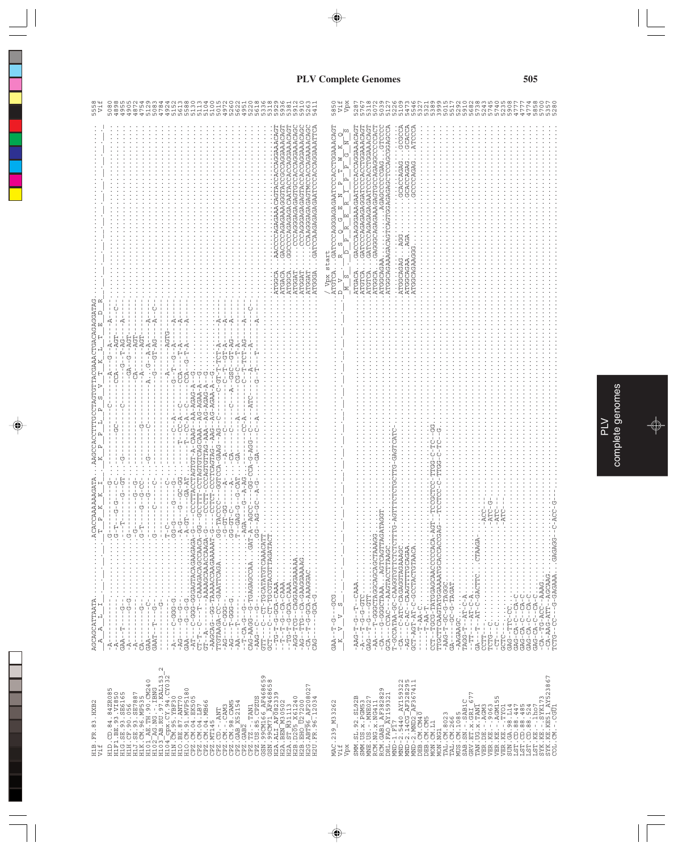| B<br>Š<br>inn'.<br>i |
|----------------------|

| AGCAGCATTAATA<br>$\vdash$<br>$\Box$<br>К<br>К                                                                                                                                                                                                                                                                                                                                                                                                                                                                                                                                                                                                                                                                                                                                                                                                                                                                                                                                                                                                                                                                                             | ARGCCACCTTTGCCTAGTGTTACGAAACTGACAGAGGATAGK.<br>K P P L P S V T K L T E D R<br>ACACCAAAAAGATA<br>T P K K I                                                                                                                                                                                                                                                                                                                                                                                                                                                                                                                                                                                                                                                                                                                                                                                                                                                                                                                                                                                                                                                                                                                                                                                                                                      | 5558<br>Vif                                                                                                                                                                                                                         |
|-------------------------------------------------------------------------------------------------------------------------------------------------------------------------------------------------------------------------------------------------------------------------------------------------------------------------------------------------------------------------------------------------------------------------------------------------------------------------------------------------------------------------------------------------------------------------------------------------------------------------------------------------------------------------------------------------------------------------------------------------------------------------------------------------------------------------------------------------------------------------------------------------------------------------------------------------------------------------------------------------------------------------------------------------------------------------------------------------------------------------------------------|------------------------------------------------------------------------------------------------------------------------------------------------------------------------------------------------------------------------------------------------------------------------------------------------------------------------------------------------------------------------------------------------------------------------------------------------------------------------------------------------------------------------------------------------------------------------------------------------------------------------------------------------------------------------------------------------------------------------------------------------------------------------------------------------------------------------------------------------------------------------------------------------------------------------------------------------------------------------------------------------------------------------------------------------------------------------------------------------------------------------------------------------------------------------------------------------------------------------------------------------------------------------------------------------------------------------------------------------|-------------------------------------------------------------------------------------------------------------------------------------------------------------------------------------------------------------------------------------|
| .<br>$\frac{1}{2}$<br>$\begin{array}{cccc}\n\vdots & \vdots & \vdots & \vdots \\ \vdots & \vdots & \vdots & \vdots \\ \vdots & \vdots & \vdots & \vdots \\ \end{array}$<br>$\vdots$<br>$-9 - - - -$<br>$-9-9$<br>$-9 - -$<br>$GAA - T - -$<br>$\frac{1}{1}$<br>٠<br>I<br>ı<br>$- A -$<br>$- A -$                                                                                                                                                                                                                                                                                                                                                                                                                                                                                                                                                                                                                                                                                                                                                                                                                                          | U<br>$\dot{A}$<br>-A<br>$-AGT-$<br>J.<br>٠<br>-AGT<br>AGT<br>$- - AGT$<br>$-T-AG$<br>К<br>Ţ<br>J.<br>ひ<br>$-6A - C$<br>1<br>φ<br>J.<br>j.<br>$A -$<br>- 1<br>CCA.<br>$\overline{c}$<br>A,<br>$\blacksquare$<br>L.<br>$\blacksquare$<br>U<br>U<br>co<br>1<br>ひ<br>٠<br>ಀ<br>$\overset{+}{\underset{-}}\circ\overset{-}{\underset{-}}\circ$<br>ひ<br>$\frac{1}{\sqrt{2}}$<br>C<br>U<br>$\frac{1}{\sqrt{2}}$<br>$\frac{1}{\sqrt{2}}$<br>$\frac{1}{\sqrt{2}}$<br>л<br>もり<br>$\frac{1}{\sqrt{2}}$<br>٠<br>1<br>ī<br>탁<br>$\mathbf{1}$<br>$\mathbf{I}$<br>부<br>$\overline{\phantom{a}}$<br>ひ<br>ひ<br>ひ<br>$\frac{1}{2}$ $\frac{1}{2}$ $\frac{1}{2}$ $\frac{1}{2}$ $\frac{1}{2}$ $\frac{1}{2}$ $\frac{1}{2}$ $\frac{1}{2}$ $\frac{1}{2}$ $\frac{1}{2}$ $\frac{1}{2}$ $\frac{1}{2}$ $\frac{1}{2}$ $\frac{1}{2}$ $\frac{1}{2}$ $\frac{1}{2}$ $\frac{1}{2}$ $\frac{1}{2}$ $\frac{1}{2}$ $\frac{1}{2}$ $\frac{1}{2}$ $\frac{1}{2}$<br>$\frac{1}{2}$ , $\frac{1}{2}$ , $\frac{1}{2}$ , $\frac{1}{2}$ , $\frac{1}{2}$ , $\frac{1}{2}$<br>$\frac{1}{2}$ $\frac{1}{2}$ $\frac{1}{2}$ $\frac{1}{2}$ $\frac{1}{2}$ $\frac{1}{2}$ $\frac{1}{2}$ $\frac{1}{2}$ $\frac{1}{2}$ $\frac{1}{2}$ $\frac{1}{2}$ $\frac{1}{2}$ $\frac{1}{2}$ $\frac{1}{2}$ $\frac{1}{2}$ $\frac{1}{2}$ $\frac{1}{2}$ $\frac{1}{2}$ $\frac{1}{2}$ $\frac{1}{2}$ $\frac{1}{2}$ $\frac{1}{2}$ | $\circ$<br>508                                                                                                                                                                                                                      |
| .<br>$-1$<br>GAAT--T------<br>$-9 - -$<br>ひ‐ひひ‐ひ‐<br>ローウー<br>ウー<br>$\frac{1}{2}$<br>Ü<br>í<br>J.<br>$GAA -$<br>ŧ<br>$-AC$<br>GAA<br>К<br>F                                                                                                                                                                                                                                                                                                                                                                                                                                                                                                                                                                                                                                                                                                                                                                                                                                                                                                                                                                                                | $\cup$<br>$\blacksquare$<br>$-4$<br>$-4$<br>R<br>$\Delta$<br>К<br>$\mathbf{I}$<br>$-4GTC$<br>$\,$ $\,$<br>$-GT-AG$<br>$-4$<br>$-4$<br>$-4$<br>$-4$<br>$-4$<br>$-4$<br>$-4$<br>$-4$<br>$-4$<br>$-4$<br>$-4$<br>$-4$<br>T-A<br>-A<br>탁<br>$-9 - -$<br>$\frac{1}{\sqrt{2}}$<br>$\mathbf{I}$<br>÷.<br>-<br>$-4$<br>$-9-24$<br>$-0$ CA-<br>$\vec{A}$ .<br>$\mathbf{I}$<br>$-1$<br>$\begin{array}{c}\nC \\ 1\n\end{array}$<br>↻<br>ひ<br>$-50$<br>$-6C-6G$ .<br>$-6A-AT$ .<br>U<br>$\Gamma$<br>ひ<br>먹<br>$\,$ I<br>$\ddot{\phi}$<br>$\bigcup\limits_{i}$<br>$\mathbf{I}$<br>$\mathbf{I}$<br>$A - GT -$<br>$-5 - 5 - 5$<br>$\stackrel{\shortparallel }{\circ }$<br>$\frac{1}{2}$ $\frac{1}{2}$ $\frac{1}{2}$ $\frac{1}{2}$ $\frac{1}{2}$ $\frac{1}{2}$ $\frac{1}{2}$ $\frac{1}{2}$ $\frac{1}{2}$ $\frac{1}{2}$ $\frac{1}{2}$ $\frac{1}{2}$ $\frac{1}{2}$ $\frac{1}{2}$ $\frac{1}{2}$ $\frac{1}{2}$ $\frac{1}{2}$ $\frac{1}{2}$ $\frac{1}{2}$ $\frac{1}{2}$ $\frac{1}{2}$ $\frac{1}{2}$<br>$\frac{1}{2}$ $\frac{1}{2}$ $\frac{1}{2}$ $\frac{1}{2}$ $\frac{1}{2}$ $\frac{1}{2}$ $\frac{1}{2}$ $\frac{1}{2}$ $\frac{1}{2}$ $\frac{1}{2}$ $\frac{1}{2}$ $\frac{1}{2}$ $\frac{1}{2}$ $\frac{1}{2}$ $\frac{1}{2}$ $\frac{1}{2}$ $\frac{1}{2}$ $\frac{1}{2}$ $\frac{1}{2}$ $\frac{1}{2}$ $\frac{1}{2}$ $\frac{1}{2}$<br>$\vdots$                              |                                                                                                                                                                                                                                     |
| --ツ--ツ--ばい-エー-                                                                                                                                                                                                                                                                                                                                                                                                                                                                                                                                                                                                                                                                                                                                                                                                                                                                                                                                                                                                                                                                                                                            | U<br>$-4$<br>$\ddot{A}$<br>Ą<br>K.<br>$- - GT - AG$<br>$-TCT-AG$<br>$-150 - -$<br>$-$ T – A $\cdot$<br>$-1$<br>∶ฯ<br>뒥<br>$\mathbf{I}$<br>$-4$<br>턱<br>$-1$ - $-1$<br>U<br>-ATC<br>$-CC - A$<br>$-4$<br>U<br>€<br>$-CCA - C - AGG - C - C - C$<br>$\mathbf I$<br>$\mathbf{I}$<br><b>99</b><br>$- A - G$<br>: -AGA-----G--<br>--DD-PA--AGC---<br>--DD-PA--AG---                                                                                                                                                                                                                                                                                                                                                                                                                                                                                                                                                                                                                                                                                                                                                                                                                                                                                                                                                                                 |                                                                                                                                                                                                                                     |
| -AG--TTG--CA-GAAGGAAAAG---<br>$\vdots$<br>$-T$ - $T$ - $G$ - $C$ A- $C$ AAA<br>$-CA-C$<br>CA--T-GCA-AAAGGAC<br>$-TG-T-T-GC-A-CA-A$<br>$\,>$<br>$\begin{array}{ccc}\n\text{GAA} & -\text{T}-\text{G}-\\ \text{K} & \text{V} & \text{V}\n\end{array}$<br>$CAG -$<br>×                                                                                                                                                                                                                                                                                                                                                                                                                                                                                                                                                                                                                                                                                                                                                                                                                                                                       | CCCAGGAGAGACCACCAGGAAACAGC<br>CCAGGGAGAGAGATACACACCAGAAAAAACAC<br>CCAAGGGAGAGAGTMCCACAGAAAAACAG<br>.GATCCAAGAGAGAAATCCCACCAGGAAAATTCA<br>/ Vpx start<br>ATGTCAGATCCCAGGARARATCCAGCTGGAAACAGT<br>$D_{\text{L}}V_{\text{L}}\cdot\frac{1}{N_{\text{L}}} = \frac{S_{\text{L}}}{S_{\text{L}}} = \frac{G}{S_{\text{L}}} = \frac{B}{P} - \frac{N}{T} = \frac{P}{P} - \frac{W}{G} - \frac{K}{N} - \frac{Q}{S}$<br>ATGACA.<br>ATGGCA.<br>ATGGCA<br><b>ATGGAT</b><br>ATGGAT<br>ATGGGA<br>ATGGAT<br>$\vdots$                                                                                                                                                                                                                                                                                                                                                                                                                                                                                                                                                                                                                                                                                                                                                                                                                                              | 5850<br>Vif<br>Vpx                                                                                                                                                                                                                  |
| KHUQUHUR : : : KARHUUUU-U----KU-<br>T-GCCATAA-GC-CAAGGTCTCTCT<br>-CA----ATC-CAGAGGTAGAAAGC<br>GCA---CCAC---AAGTACCTTAAGC.<br>-AG---C-AC--CAAGTTTGCAGAA.<br>GCT-AGT-CCCA-C-TA-TH-AGTAACA.<br>$\begin{array}{c} \bullet & \bullet & \bullet & \bullet \\ \bullet & \bullet & \bullet & \bullet \\ \bullet & \bullet & \bullet & \bullet \end{array}$<br>CAAA<br>$---T - PAP - C \ldots$<br>i<br>F<br>$-FAA-T$<br>AAG-T-G                                                                                                                                                                                                                                                                                                                                                                                                                                                                                                                                                                                                                                                                                                                    | $\ldots$ $\ldots$ $\ldots$ $\ldots$ $\ldots$ $\ldots$ $\ldots$ $\ldots$ $\ldots$ $\ldots$ $\ldots$ $\ldots$ $\ldots$ $\ldots$ $\ldots$ $\ldots$<br>GCACCAGAGGCACCA<br>ATCCCA<br>ATGACA GACCCAAGGAAAGAATCCACCAGGAAACAGT<br>ATGTCA GATCCCAGAGAGAGATCCCACCTGGAACAGT<br>TEACH GATCCCAGAGAGAGATCCCACCTGGAACAGT<br>ATGGCA GAGGGCAGAGAAAGAGTGCCAGAGCCCCCACT<br>.GCCCCAGAG<br>ATGGCAGAGAGG.<br>ATGGCAGAGAGG.<br>ATGGCAGAAAGA.<br>ATGCAGAAGGG<br>G-GAGTCATC<br>TTG-AGTTCTCTGCTT<br><b>GATAGGT</b><br>먚                                                                                                                                                                                                                                                                                                                                                                                                                                                                                                                                                                                                                                                                                                                                                                                                                                                  |                                                                                                                                                                                                                                     |
| TTGCTTCAAGTATGGAAAATGCACCACC<br>$G_{1}A - T - T - T - A T - C$<br>$--ATT-C$<br>-AAGAAGC<br>$-1.7$<br>$-4$                                                                                                                                                                                                                                                                                                                                                                                                                                                                                                                                                                                                                                                                                                                                                                                                                                                                                                                                                                                                                                 | : ይ<br>: ግ<br>$\frac{c}{1}$<br>$-TTTGG-$<br>$-TTGG$<br>$-TCCTCC-C$<br>CCGCTC<br>Ğ                                                                                                                                                                                                                                                                                                                                                                                                                                                                                                                                                                                                                                                                                                                                                                                                                                                                                                                                                                                                                                                                                                                                                                                                                                                              |                                                                                                                                                                                                                                     |
| .<br>- CA - - TG-ACC--AAAG.<br>- CA - AAG-ATT--AGCAAG<br>TCTG- - CC- - - - G-GAGAAA GAGAGG<br>.<br>.<br>$\ddot{\cdot}$<br>$C_A$ <sub>C</sub> $A$ <sup>-</sup> C <sub><math>A</math></sub> -C <sub><math>A</math></sub> -C <sub><math>A</math></sub> -C <sub><math>A</math></sub> -C <sub><math>A</math></sub> -C <sub><math>A</math></sub> -C <sub><math>A</math></sub> -C <sub><math>A</math></sub> -C <sub><math>A</math></sub> -C <sub><math>A</math></sub> -C <sub><math>A</math></sub> -C <sub><math>A</math></sub> -C <sub><math>A</math></sub> -C <sub><math>A</math></sub> -C <sub><math>A</math></sub> -C <sub><math>A</math></sub> -C <sub><math>A</math></sub> -C <sub><math>A</math></sub> -C <sub><math>A</math></sub> -C <sub><math>A</math></sub> -C <sub><math>A</math></sub> -C <sub><math>A</math></sub> -C <sub><math>A</math></sub> -C <sub><math>A</math></sub> -C <sub><math>A</math></sub> -C <sub><math>A</math></sub> -C <sub><math>A</math></sub> -C <sub><math>A</math></sub> -C <sub><math>A</math></sub> -C <sub><math>A</math></sub><br>$\vdots$<br>$\frac{1}{\sqrt{2}}$<br>TCTG--C<br>CCTT--<br>GCTC-<br>ť | $\overline{c}_{\overline{1}}$<br>$C - D C - C$<br>ATC.<br>ATC.<br>$\frac{1}{2}$ $\frac{1}{2}$ $\frac{1}{2}$ $\frac{1}{2}$ $\frac{1}{2}$ $\frac{1}{2}$ $\frac{1}{2}$ $\frac{1}{2}$ $\frac{1}{2}$ $\frac{1}{2}$ $\frac{1}{2}$ $\frac{1}{2}$ $\frac{1}{2}$ $\frac{1}{2}$ $\frac{1}{2}$ $\frac{1}{2}$ $\frac{1}{2}$ $\frac{1}{2}$ $\frac{1}{2}$ $\frac{1}{2}$ $\frac{1}{2}$ $\frac{1}{2}$                                                                                                                                                                                                                                                                                                                                                                                                                                                                                                                                                                                                                                                                                                                                                                                                                                                                                                                                                          | ת המעטר המעטר המעטר המעטר המעטר המעטר המעטר המעטר המעטר המעטר המעטר המעטר המעטר המעטר המעטר המעטר המעטר המעטר<br>מטר המעטר שמעטר שמעטר המכונה המעטר המעטר המעטר המעטר המעטר המעטר המעטר המכונה<br>מטר המעטר המעטר המטר המכונה המכונ |

 $\begin{tabular}{ll} \textbf{H1B}, \textbf{B3}, \textbf{3}, \textbf{44ZRS} \\ \textbf{H2D}, \textbf{B3}, \textbf{9}, \textbf{15} \\ \textbf{H3D}, \textbf{15}, \textbf{29}, \textbf{3}, \textbf{54} \\ \textbf{H3D}, \textbf{15}, \textbf{29}, \textbf{19}, \textbf{180} \\ \textbf{H3D}, \textbf{15}, \textbf{29}, \textbf{19}, \textbf{180} \\ \textbf{H3D}, \textbf{15}, \textbf{29}, \textbf{19}, \textbf{180} \\ \text$ 468659 52386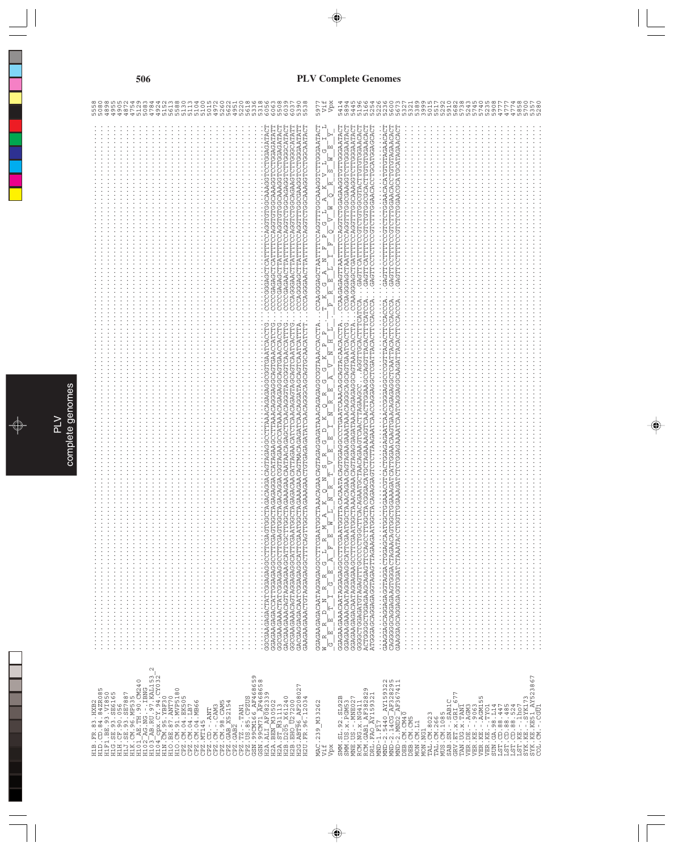| ¢<br>b<br>ž<br>C<br>à |
|-----------------------|
|                       |

mes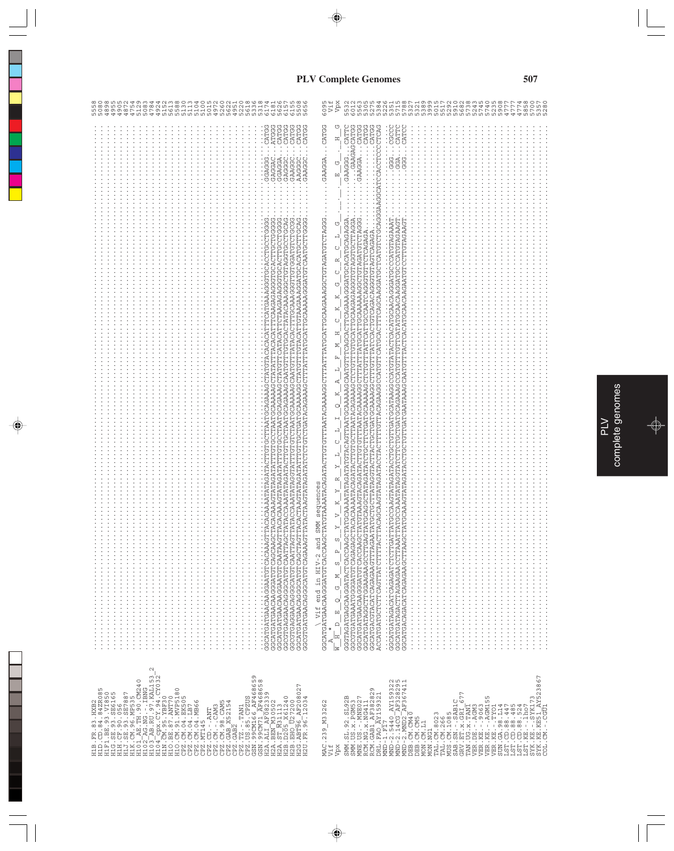|  | denomes<br>lete<br>omp |
|--|------------------------|

| GAGGAC ATGGG<br>.CATGG<br>CATGG<br>CATGG<br>CATGG<br>ᄞ<br>.CATTC<br>GAAGASCATGG<br>DDTADOADAD<br>.CATGG<br>caccc<br>CATTC<br>CATGG<br>CATGG<br>CATGG<br>CATCC.<br>Ξ<br>$\vdots$<br>$\vdots$<br>$\vdots$<br>$\vdots$<br>GGAGGA.<br>.GAAGGA.<br>. 995 .<br>GAAGGC<br>$\frac{1}{3}$<br>GGAGGG<br>GAGGGC<br>AAGGGC<br>SPAAGG<br>.GGA.<br>$\vdots$<br>GAAGGC<br>O<br>$\vdots$<br>囟<br>ं<br>$\cdot$<br>$\frac{1}{2}$<br>GGGTAGATGAAGGATACTCACCCAACCTATGCAAAATATATAGATATGTACAGTTAATGCAAAAGCAATGTTTCAGCACTTCAGAAAGGGATGCACATGCAGAGGA<br>d SMM sequences<br>GCTATCTRARARACAGATACTTGTGTTTRARRAGGCTTTRATTRATGGARRAGGCTGRARGCTGTAGRTGTCTGCTGT<br>GGCARTGARGGATCPACCARCCARCCRACCERACARCTACARACTACARATACTETTARARGGCTTTTATTTRTTTATTTATATGCARARARGGCTGTATAGATGTCTAT<br>.co.arcana.ca.ca.archive.cr.prospects.ca.archive.com/interference/interference/interference/interference/inter<br>The content of the content of the content of the content of the content of the content of the content of the c<br><br>GOUNGODARAGERIAGARATAATAARATAARATGARAGORTOGOTOOOTOOOTOOOTOOOTOOOTAGARAGARAGARAGARAGOTAGARAG<br>C)<br>山<br>O<br>α<br>U<br>ひ<br>×<br>K<br>U<br>Ξ<br>Σ<br>$\mathbb{L}$<br>д<br>4<br>×<br>$\circ$<br>Н<br>山<br>U<br>山<br>Σ<br>α<br>Y<br>K<br>⊳<br>ы<br>ω<br>ā<br>GGCATGATGAACAAGGATGTCACCAA<br>GGCATGACGTACAGAGAAGTTAG<br>ACCATGATGCTCTTCAGTTATCTTTTA<br>GGCATGACAGACATCAGAGAAGCTTAA<br>$\Box_{\rm I}$<br>end in HIV-2<br>CΩ<br>Σ<br>Ü<br>$\circ$<br>Vif<br>囸<br>$\Box$<br>×<br>E<br>К<br>∣≈<br>$\sim$<br>SYK.KE.-.SYK173<br>SYK.KE.KE31_AY523867<br>MND-1:F77<br>MND-2:5440 AY159322<br>MND-2:5440 AY159322<br>MND-2:MND2_AF328255<br>DBB: CM. CM40<br>DBB: CM. CM5<br>MON. MC1.<br>MON. MC1. |
|-------------------------------------------------------------------------------------------------------------------------------------------------------------------------------------------------------------------------------------------------------------------------------------------------------------------------------------------------------------------------------------------------------------------------------------------------------------------------------------------------------------------------------------------------------------------------------------------------------------------------------------------------------------------------------------------------------------------------------------------------------------------------------------------------------------------------------------------------------------------------------------------------------------------------------------------------------------------------------------------------------------------------------------------------------------------------------------------------------------------------------------------------------------------------------------------------------------------------------------------------------------------------------------------------------------------------------------------------------------------------------------------------------------------------------------------------------------------------------------------------------------------------------------------------------------------------------------------------------------------------------------------------------------------------------------------|
|                                                                                                                                                                                                                                                                                                                                                                                                                                                                                                                                                                                                                                                                                                                                                                                                                                                                                                                                                                                                                                                                                                                                                                                                                                                                                                                                                                                                                                                                                                                                                                                                                                                                                           |
|                                                                                                                                                                                                                                                                                                                                                                                                                                                                                                                                                                                                                                                                                                                                                                                                                                                                                                                                                                                                                                                                                                                                                                                                                                                                                                                                                                                                                                                                                                                                                                                                                                                                                           |
|                                                                                                                                                                                                                                                                                                                                                                                                                                                                                                                                                                                                                                                                                                                                                                                                                                                                                                                                                                                                                                                                                                                                                                                                                                                                                                                                                                                                                                                                                                                                                                                                                                                                                           |
|                                                                                                                                                                                                                                                                                                                                                                                                                                                                                                                                                                                                                                                                                                                                                                                                                                                                                                                                                                                                                                                                                                                                                                                                                                                                                                                                                                                                                                                                                                                                                                                                                                                                                           |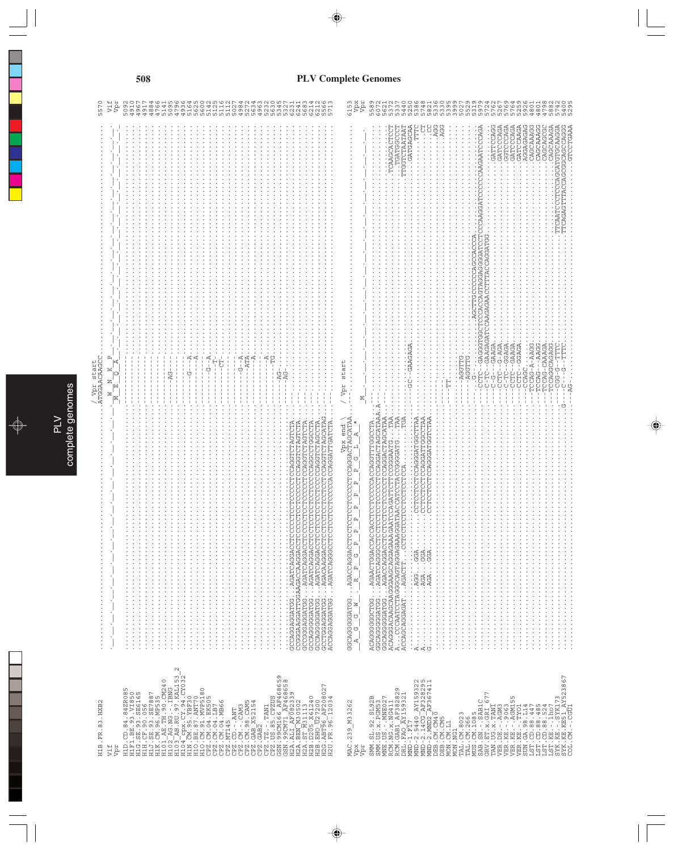| ¢<br>Ŝ<br><b>Service Service</b><br>È<br>þ<br>uenc<br>J<br>٠<br><b>Service Service</b><br>ï |
|---------------------------------------------------------------------------------------------|
|---------------------------------------------------------------------------------------------|

| 5092<br>615<br>.GATTCCAGG<br>AGG<br>AGG<br>GATCCCAGA<br>GGTCCCAGA<br>CAGCAAAGG<br>.GATCCCAGA<br>.GATCCAAGA<br>. AGGAGAGAG<br>CAGCAAAGG<br>g<br>CAGCAAAGA<br>TTCAATCCCTCCCAGCATGTGCAAGGA<br>TTCAGAGTTTACCAGCGCAGCCAGGG<br>TCAAGCACTCCT<br>TGATGGCCCI<br>TTGGTCTAATAAT<br><b>CATGAGCAA</b><br>TTTC<br>CAGCAGC<br>C-TC--CAAGAGAGAGAGACUNTONACACH--D<br>AGCTTGCCCCCCCCAGCA<br>- - GAAGA.<br>CCTC--G-AGA<br>C-TC--GGAGA<br>--GAAGA<br>CCTC-GGAGA<br>TCCAG---AAGG<br>$-CCAGC$<br>TCCAG-CAAAGA<br>-GAAGAGA<br>TCCAGCAGAGG<br><b>DIFIL--9-950</b><br>$-TTTTC$<br>$\vec{A}$<br>$\overline{A}$<br>$-TG$ .<br>$-ATA$ .<br>$\operatorname{\mathsf{K}}_i$<br>$-AGGTTG$<br>-AGGTTG<br>$G - -A$<br>$\Omega$<br>-A<br>К<br>Ė<br>턱<br>$\ddot{\phantom{0}}$<br>star<br>ά<br>ά<br>×<br><b>CTC-</b><br>φ<br>$-AG-$<br>$\circ$<br>AG.<br>AG<br>CCTC.<br>$\overset{-}{\circ}$<br>ಲ್ಲ<br>Ę<br>Z<br>C<br>回<br>vpr<br>U<br>୍<br>U<br>Σ<br>Σ<br>Σ<br>GGCAGGGGGATGG AGATCAGGGCCTCCTCCTCCTCCCCCCTCCAGGACTAGCATAAA<br>ACAGGGGGACAACCA AGATCAGGAGCTCCTCCTCCTCCCCCTCCAGGACTAGCATAAA<br>ACAGGGGACAACCA GGAACCAGGAGCAAGGAATCCAGATTCTTCCGGGGAATG T.P.A<br>$\ldots$ TAA.<br>TGA<br>CCTCCTCCTCCAGATTGGCCTAA<br>ARHUHUUHAUUUNUUHUUHUUU<br>ACCACCOCCOCODOPOPOCOCOCACCA<br>AAGGATAACCATCCTACCGGGATG<br>$\cdot$<br>$\vdots$ | / Vpr start<br>ATGGAACAAGCC                                                                                                                                                                                                                                                                                                                                                                                                                                                                                                          |
|-------------------------------------------------------------------------------------------------------------------------------------------------------------------------------------------------------------------------------------------------------------------------------------------------------------------------------------------------------------------------------------------------------------------------------------------------------------------------------------------------------------------------------------------------------------------------------------------------------------------------------------------------------------------------------------------------------------------------------------------------------------------------------------------------------------------------------------------------------------------------------------------------------------------------------------------------------------------------------------------------------------------------------------------------------------------------------------------------------------------------------------------------------------------------------------------------------------------------------------------------------------------------------------|--------------------------------------------------------------------------------------------------------------------------------------------------------------------------------------------------------------------------------------------------------------------------------------------------------------------------------------------------------------------------------------------------------------------------------------------------------------------------------------------------------------------------------------|
|                                                                                                                                                                                                                                                                                                                                                                                                                                                                                                                                                                                                                                                                                                                                                                                                                                                                                                                                                                                                                                                                                                                                                                                                                                                                                     |                                                                                                                                                                                                                                                                                                                                                                                                                                                                                                                                      |
|                                                                                                                                                                                                                                                                                                                                                                                                                                                                                                                                                                                                                                                                                                                                                                                                                                                                                                                                                                                                                                                                                                                                                                                                                                                                                     |                                                                                                                                                                                                                                                                                                                                                                                                                                                                                                                                      |
|                                                                                                                                                                                                                                                                                                                                                                                                                                                                                                                                                                                                                                                                                                                                                                                                                                                                                                                                                                                                                                                                                                                                                                                                                                                                                     |                                                                                                                                                                                                                                                                                                                                                                                                                                                                                                                                      |
|                                                                                                                                                                                                                                                                                                                                                                                                                                                                                                                                                                                                                                                                                                                                                                                                                                                                                                                                                                                                                                                                                                                                                                                                                                                                                     |                                                                                                                                                                                                                                                                                                                                                                                                                                                                                                                                      |
|                                                                                                                                                                                                                                                                                                                                                                                                                                                                                                                                                                                                                                                                                                                                                                                                                                                                                                                                                                                                                                                                                                                                                                                                                                                                                     |                                                                                                                                                                                                                                                                                                                                                                                                                                                                                                                                      |
|                                                                                                                                                                                                                                                                                                                                                                                                                                                                                                                                                                                                                                                                                                                                                                                                                                                                                                                                                                                                                                                                                                                                                                                                                                                                                     |                                                                                                                                                                                                                                                                                                                                                                                                                                                                                                                                      |
|                                                                                                                                                                                                                                                                                                                                                                                                                                                                                                                                                                                                                                                                                                                                                                                                                                                                                                                                                                                                                                                                                                                                                                                                                                                                                     |                                                                                                                                                                                                                                                                                                                                                                                                                                                                                                                                      |
|                                                                                                                                                                                                                                                                                                                                                                                                                                                                                                                                                                                                                                                                                                                                                                                                                                                                                                                                                                                                                                                                                                                                                                                                                                                                                     |                                                                                                                                                                                                                                                                                                                                                                                                                                                                                                                                      |
|                                                                                                                                                                                                                                                                                                                                                                                                                                                                                                                                                                                                                                                                                                                                                                                                                                                                                                                                                                                                                                                                                                                                                                                                                                                                                     |                                                                                                                                                                                                                                                                                                                                                                                                                                                                                                                                      |
|                                                                                                                                                                                                                                                                                                                                                                                                                                                                                                                                                                                                                                                                                                                                                                                                                                                                                                                                                                                                                                                                                                                                                                                                                                                                                     |                                                                                                                                                                                                                                                                                                                                                                                                                                                                                                                                      |
|                                                                                                                                                                                                                                                                                                                                                                                                                                                                                                                                                                                                                                                                                                                                                                                                                                                                                                                                                                                                                                                                                                                                                                                                                                                                                     |                                                                                                                                                                                                                                                                                                                                                                                                                                                                                                                                      |
|                                                                                                                                                                                                                                                                                                                                                                                                                                                                                                                                                                                                                                                                                                                                                                                                                                                                                                                                                                                                                                                                                                                                                                                                                                                                                     | CCCLCCAGGLCLAGLCLY                                                                                                                                                                                                                                                                                                                                                                                                                                                                                                                   |
|                                                                                                                                                                                                                                                                                                                                                                                                                                                                                                                                                                                                                                                                                                                                                                                                                                                                                                                                                                                                                                                                                                                                                                                                                                                                                     | TOCTCCTCCTCCTCCCCCAGGCCTGGCCTA<br>TCCTCCTCCTCCTCCCCCAGGTCTAGCCTA<br>TCCTCCTCCTCCTCCCCCAGGTCTAGCCTA<br>TCCTCCTCCTCCCCCCACAGGATTGATCTA.<br>CCCCCTCCTCCCCCCAGGTCTAGTCTA                                                                                                                                                                                                                                                                                                                                                                 |
|                                                                                                                                                                                                                                                                                                                                                                                                                                                                                                                                                                                                                                                                                                                                                                                                                                                                                                                                                                                                                                                                                                                                                                                                                                                                                     | $\begin{array}{lll} \text{if } \mathcal{A} \text{ is the } \mathcal{A} \text{ is the } \mathcal{A} \text{ is the } \mathcal{A} \text{ is the } \mathcal{A} \text{ is the } \mathcal{A} \text{ is the } \mathcal{A} \text{ is the } \mathcal{A} \text{ is the } \mathcal{A} \text{ is the } \mathcal{A} \text{ is the } \mathcal{A} \text{ is the } \mathcal{A} \text{ is the } \mathcal{A} \text{ is the } \mathcal{A} \text{ is the } \mathcal{A} \text{ is the } \mathcal{A} \text{ is the } \mathcal{A} \text{ is the } \mathcal$ |
|                                                                                                                                                                                                                                                                                                                                                                                                                                                                                                                                                                                                                                                                                                                                                                                                                                                                                                                                                                                                                                                                                                                                                                                                                                                                                     |                                                                                                                                                                                                                                                                                                                                                                                                                                                                                                                                      |
|                                                                                                                                                                                                                                                                                                                                                                                                                                                                                                                                                                                                                                                                                                                                                                                                                                                                                                                                                                                                                                                                                                                                                                                                                                                                                     | TCCTCCTCCTCCTCCTCCA.                                                                                                                                                                                                                                                                                                                                                                                                                                                                                                                 |
|                                                                                                                                                                                                                                                                                                                                                                                                                                                                                                                                                                                                                                                                                                                                                                                                                                                                                                                                                                                                                                                                                                                                                                                                                                                                                     |                                                                                                                                                                                                                                                                                                                                                                                                                                                                                                                                      |
|                                                                                                                                                                                                                                                                                                                                                                                                                                                                                                                                                                                                                                                                                                                                                                                                                                                                                                                                                                                                                                                                                                                                                                                                                                                                                     |                                                                                                                                                                                                                                                                                                                                                                                                                                                                                                                                      |
|                                                                                                                                                                                                                                                                                                                                                                                                                                                                                                                                                                                                                                                                                                                                                                                                                                                                                                                                                                                                                                                                                                                                                                                                                                                                                     |                                                                                                                                                                                                                                                                                                                                                                                                                                                                                                                                      |
|                                                                                                                                                                                                                                                                                                                                                                                                                                                                                                                                                                                                                                                                                                                                                                                                                                                                                                                                                                                                                                                                                                                                                                                                                                                                                     |                                                                                                                                                                                                                                                                                                                                                                                                                                                                                                                                      |
|                                                                                                                                                                                                                                                                                                                                                                                                                                                                                                                                                                                                                                                                                                                                                                                                                                                                                                                                                                                                                                                                                                                                                                                                                                                                                     |                                                                                                                                                                                                                                                                                                                                                                                                                                                                                                                                      |
|                                                                                                                                                                                                                                                                                                                                                                                                                                                                                                                                                                                                                                                                                                                                                                                                                                                                                                                                                                                                                                                                                                                                                                                                                                                                                     |                                                                                                                                                                                                                                                                                                                                                                                                                                                                                                                                      |
|                                                                                                                                                                                                                                                                                                                                                                                                                                                                                                                                                                                                                                                                                                                                                                                                                                                                                                                                                                                                                                                                                                                                                                                                                                                                                     |                                                                                                                                                                                                                                                                                                                                                                                                                                                                                                                                      |
|                                                                                                                                                                                                                                                                                                                                                                                                                                                                                                                                                                                                                                                                                                                                                                                                                                                                                                                                                                                                                                                                                                                                                                                                                                                                                     |                                                                                                                                                                                                                                                                                                                                                                                                                                                                                                                                      |
|                                                                                                                                                                                                                                                                                                                                                                                                                                                                                                                                                                                                                                                                                                                                                                                                                                                                                                                                                                                                                                                                                                                                                                                                                                                                                     |                                                                                                                                                                                                                                                                                                                                                                                                                                                                                                                                      |
|                                                                                                                                                                                                                                                                                                                                                                                                                                                                                                                                                                                                                                                                                                                                                                                                                                                                                                                                                                                                                                                                                                                                                                                                                                                                                     |                                                                                                                                                                                                                                                                                                                                                                                                                                                                                                                                      |
|                                                                                                                                                                                                                                                                                                                                                                                                                                                                                                                                                                                                                                                                                                                                                                                                                                                                                                                                                                                                                                                                                                                                                                                                                                                                                     |                                                                                                                                                                                                                                                                                                                                                                                                                                                                                                                                      |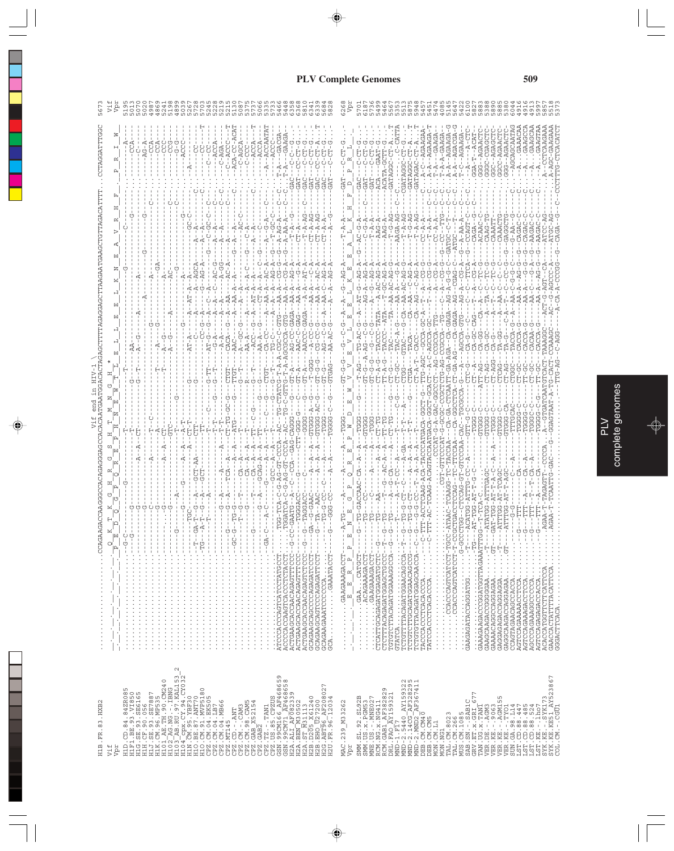| H1B.FR.83.HXB2                                                                                                                                                                                                                                                                                                                                                                                                        | CTAGATTEC<br>TTAGAGGAGCTTAAGAATGAAGCTGTAGA<br><b>COURCHOUNDUNGIN</b><br>CCAG<br>$\ddot{\phantom{0}}$<br>$\cdot$<br>$\ddot{\phantom{0}}$<br>$\vdots$<br>$\vdots$<br>$\vdots$<br>$\ddot{\phantom{0}}$<br>$\ddot{\phantom{0}}$<br>$\vdots$<br>$\vdots$                                                                          |
|-----------------------------------------------------------------------------------------------------------------------------------------------------------------------------------------------------------------------------------------------------------------------------------------------------------------------------------------------------------------------------------------------------------------------|------------------------------------------------------------------------------------------------------------------------------------------------------------------------------------------------------------------------------------------------------------------------------------------------------------------------------|
| Vif<br>дq                                                                                                                                                                                                                                                                                                                                                                                                             | 凹<br>$\circ$<br>ÌΜ                                                                                                                                                                                                                                                                                                           |
| HID.CD.84.84ZR085                                                                                                                                                                                                                                                                                                                                                                                                     | $\frac{1}{2}$<br>$\frac{1}{1}$<br>$\vdots$<br>$\cdot$<br>.<br>$\vdots$                                                                                                                                                                                                                                                       |
| $\begin{small} &\textbf{11111} & \textbf{1212} & \textbf{333} & \textbf{354} & \textbf{365} & \textbf{565} & \textbf{675} & \textbf{685} & \textbf{695} & \textbf{695} & \textbf{695} & \textbf{695} & \textbf{695} & \textbf{695} & \textbf{695} & \textbf{695} & \textbf{695} & \textbf{695} & \textbf{695} & \textbf{695} & \textbf{695} & \textbf{695} & \textbf{695} & \textbf{$                                 | $\frac{1}{1}$<br>.<br>$\vdots$                                                                                                                                                                                                                                                                                               |
|                                                                                                                                                                                                                                                                                                                                                                                                                       | $\frac{1}{1}$<br>ł                                                                                                                                                                                                                                                                                                           |
|                                                                                                                                                                                                                                                                                                                                                                                                                       | $\frac{1}{1}$                                                                                                                                                                                                                                                                                                                |
|                                                                                                                                                                                                                                                                                                                                                                                                                       |                                                                                                                                                                                                                                                                                                                              |
| $\sim$                                                                                                                                                                                                                                                                                                                                                                                                                |                                                                                                                                                                                                                                                                                                                              |
|                                                                                                                                                                                                                                                                                                                                                                                                                       |                                                                                                                                                                                                                                                                                                                              |
|                                                                                                                                                                                                                                                                                                                                                                                                                       | ŧ                                                                                                                                                                                                                                                                                                                            |
|                                                                                                                                                                                                                                                                                                                                                                                                                       | -<br>-<br>-<br>-<br>-<br>-<br>-<br><br>-<br><br><br><br><br><br><br><br><br><br><br><br><br><br>                                                                                                                                                                                                                             |
|                                                                                                                                                                                                                                                                                                                                                                                                                       | $\frac{1}{1}$                                                                                                                                                                                                                                                                                                                |
|                                                                                                                                                                                                                                                                                                                                                                                                                       | $\frac{1}{1}$                                                                                                                                                                                                                                                                                                                |
|                                                                                                                                                                                                                                                                                                                                                                                                                       | $\frac{1}{1}$                                                                                                                                                                                                                                                                                                                |
| PZ.CD.-ANT                                                                                                                                                                                                                                                                                                                                                                                                            | $-10$<br>$\,$ I                                                                                                                                                                                                                                                                                                              |
| .CAM3<br>PZ.CM.-                                                                                                                                                                                                                                                                                                                                                                                                      | Ť<br>$\frac{1}{2}$ $\frac{1}{2}$ $\frac{1}{2}$ $\frac{1}{2}$ $\frac{1}{2}$ $\frac{1}{2}$ $\frac{1}{2}$ $\frac{1}{2}$ $\frac{1}{2}$ $\frac{1}{2}$ $\frac{1}{2}$ $\frac{1}{2}$ $\frac{1}{2}$ $\frac{1}{2}$ $\frac{1}{2}$ $\frac{1}{2}$ $\frac{1}{2}$ $\frac{1}{2}$ $\frac{1}{2}$ $\frac{1}{2}$ $\frac{1}{2}$ $\frac{1}{2}$<br> |
|                                                                                                                                                                                                                                                                                                                                                                                                                       | $\,$<br>***********************                                                                                                                                                                                                                                                                                              |
| CPZ.CM.98.CAM5<br>CPZ.GAB X52154                                                                                                                                                                                                                                                                                                                                                                                      | $\frac{1}{2}$ , $\frac{1}{2}$ , $\frac{1}{2}$ , $\frac{1}{2}$ , $\frac{1}{2}$ , $\frac{1}{2}$                                                                                                                                                                                                                                |
| $CPZ$ . GAB $\overline{2}$                                                                                                                                                                                                                                                                                                                                                                                            | $\vdots$                                                                                                                                                                                                                                                                                                                     |
| CPZ.TZ.-.TAN1<br>CPZ.US.85.CPZUS<br>GSN.99CM16<br>GSN.99CM16<br>H2A.ALI_AF082339                                                                                                                                                                                                                                                                                                                                      | $-6A$                                                                                                                                                                                                                                                                                                                        |
|                                                                                                                                                                                                                                                                                                                                                                                                                       |                                                                                                                                                                                                                                                                                                                              |
|                                                                                                                                                                                                                                                                                                                                                                                                                       | Ariccoaccoasincarictmaticci<br>ACCCCACCAASTCACCCTCTACCT<br>ACTGAAGCACCAACAGAGTTTCCC--G-                                                                                                                                                                                                                                      |
|                                                                                                                                                                                                                                                                                                                                                                                                                       |                                                                                                                                                                                                                                                                                                                              |
| H2A.BEN M30502                                                                                                                                                                                                                                                                                                                                                                                                        | --UUUHHHUKUKUUKUUKUUKUHUK                                                                                                                                                                                                                                                                                                    |
| H2A.ST M31113                                                                                                                                                                                                                                                                                                                                                                                                         | -<br>P-<br>C-<br>D-<br>C-<br>D-<br>C-<br>D-<br>C-<br>D-<br>D-<br>D-<br>D-<br><br><br><br><br>D-<br><br><br>                                                                                                                                                                                                                  |
| X61240<br>H2B.D205                                                                                                                                                                                                                                                                                                                                                                                                    | -- TOOORAGAGAGAGAGAGAGAGAG                                                                                                                                                                                                                                                                                                   |
| U <sub>27200</sub><br>CHR.<br>H <sub>2</sub> B                                                                                                                                                                                                                                                                                                                                                                        | -- TOOPROAGAGAGAGAGAGAGAGAGE                                                                                                                                                                                                                                                                                                 |
| H2G.ABT96 AF208027<br>H2U.FR.96.12034                                                                                                                                                                                                                                                                                                                                                                                 | $\vdots$<br>GCAGAAGAAATCCCCCCA.                                                                                                                                                                                                                                                                                              |
|                                                                                                                                                                                                                                                                                                                                                                                                                       |                                                                                                                                                                                                                                                                                                                              |
|                                                                                                                                                                                                                                                                                                                                                                                                                       |                                                                                                                                                                                                                                                                                                                              |
| MAC.239 M33262<br>дď                                                                                                                                                                                                                                                                                                                                                                                                  | $\mathsf{u}_i$<br>TUDISARES ARRENAGE<br>$\mathbf{\Omega}$<br>$\approx$<br>$\mathbf{H}$<br>囸                                                                                                                                                                                                                                  |
|                                                                                                                                                                                                                                                                                                                                                                                                                       |                                                                                                                                                                                                                                                                                                                              |
| SMM.SL.92.SL92B                                                                                                                                                                                                                                                                                                                                                                                                       |                                                                                                                                                                                                                                                                                                                              |
| SMM. US. x. PGM53<br>MNE. US. - . MNE027<br>RCM. NG. x. NG411                                                                                                                                                                                                                                                                                                                                                         | .CAAGAAAGACCT                                                                                                                                                                                                                                                                                                                |
|                                                                                                                                                                                                                                                                                                                                                                                                                       |                                                                                                                                                                                                                                                                                                                              |
| RCM.GAB1                                                                                                                                                                                                                                                                                                                                                                                                              | CTCTTTACAGAGAGCTGCCCC                                                                                                                                                                                                                                                                                                        |
| $\frac{1}{1}$ AF382829<br>RL.FAO                                                                                                                                                                                                                                                                                                                                                                                      | TGTGTCTRAGATGGAAAGCCA--G-                                                                                                                                                                                                                                                                                                    |
| $MD - 1. F17$                                                                                                                                                                                                                                                                                                                                                                                                         |                                                                                                                                                                                                                                                                                                                              |
| $MID-2.5440$ $AV159322$<br>$MID-2.14CG$ $AF328295$<br>$MID-2.0022$ $RF328295$                                                                                                                                                                                                                                                                                                                                         |                                                                                                                                                                                                                                                                                                                              |
|                                                                                                                                                                                                                                                                                                                                                                                                                       |                                                                                                                                                                                                                                                                                                                              |
|                                                                                                                                                                                                                                                                                                                                                                                                                       | TCTGTTTACAGATGAGACCACCA-                                                                                                                                                                                                                                                                                                     |
| $\begin{array}{l} \mathtt{MMD-2\_MMD2\_A} \\ \mathtt{DEB}.\mathtt{CM}.\mathtt{CM40} \\ \mathtt{DEB}.\mathtt{CM}.\mathtt{CM5} \\ \mathtt{MOM}.\mathtt{CM5} \end{array}$                                                                                                                                                                                                                                                | TACCCACCTCACACCA                                                                                                                                                                                                                                                                                                             |
|                                                                                                                                                                                                                                                                                                                                                                                                                       | $\frac{1}{1}$<br>TATCCACCTCACACCCA                                                                                                                                                                                                                                                                                           |
|                                                                                                                                                                                                                                                                                                                                                                                                                       | $\vdots$<br>.                                                                                                                                                                                                                                                                                                                |
| <b>MON.NG1</b>                                                                                                                                                                                                                                                                                                                                                                                                        |                                                                                                                                                                                                                                                                                                                              |
| TAL.CM.8023<br>TAL.CM.266<br>MUS.CM.1085                                                                                                                                                                                                                                                                                                                                                                              |                                                                                                                                                                                                                                                                                                                              |
|                                                                                                                                                                                                                                                                                                                                                                                                                       | CCACCCAGTCATCCT-T-<br>$\vdots$                                                                                                                                                                                                                                                                                               |
|                                                                                                                                                                                                                                                                                                                                                                                                                       |                                                                                                                                                                                                                                                                                                                              |
| $\begin{array}{lll} \texttt{SAB} \cdot \texttt{SN} \cdot - \cdot \texttt{SAB1C} \\ \texttt{GRV} \cdot \texttt{ET} \cdot \texttt{x} \cdot \texttt{GRI} \underline{\phantom{\top}} \underline{\phantom{\top}} \underline{\phantom{\top}} \underline{\phantom{\top}} \underline{\phantom{\top}} \underline{\phantom{\top}} \underline{\phantom{\top}} \underline{\phantom{\top}} \underline{\phantom{\top}} \end{array}$ | GAAGAGATACCAGGATGG<br>---T                                                                                                                                                                                                                                                                                                   |
| $\begin{array}{ll} \texttt{GRV} \cdot \texttt{ET} \cdot \texttt{x} \cdot \texttt{GRL} & \texttt{0} \\ \texttt{TAM} \cdot \texttt{UG} \cdot \texttt{x} \cdot \texttt{TAMI} \end{array}$                                                                                                                                                                                                                                | LLLAVVOULLOOLOOPOOVAOVVOOL<br>LLLAVVOULLOODOOVVOOL                                                                                                                                                                                                                                                                           |
|                                                                                                                                                                                                                                                                                                                                                                                                                       |                                                                                                                                                                                                                                                                                                                              |
| VER.DE.-.AGM3<br>VER.KE.-.9063                                                                                                                                                                                                                                                                                                                                                                                        | GAAGCAAGACCGGGAAA                                                                                                                                                                                                                                                                                                            |
|                                                                                                                                                                                                                                                                                                                                                                                                                       | GAAAACAGCCAGGAGAA                                                                                                                                                                                                                                                                                                            |
| VER.KE. - AGM155<br>VER.KE. - TYO1                                                                                                                                                                                                                                                                                                                                                                                    | -- CROCCAGOROMONICAN -- CH                                                                                                                                                                                                                                                                                                   |
|                                                                                                                                                                                                                                                                                                                                                                                                                       | $\vdots$<br>CCAGTAGAACAGCCACCA                                                                                                                                                                                                                                                                                               |
|                                                                                                                                                                                                                                                                                                                                                                                                                       | $\vdots$<br>AGTCCAGAAAACCTCCA                                                                                                                                                                                                                                                                                                |
|                                                                                                                                                                                                                                                                                                                                                                                                                       | AGTCCAGAAAGACTCCA                                                                                                                                                                                                                                                                                                            |
| SUN 0A.98.114<br>LST.CD.88.447<br>LST.CD.88.485<br>LST.CD.88.524<br>LST.KB.-.1ho7                                                                                                                                                                                                                                                                                                                                     | AGCCCAGAAAGCCCCCA                                                                                                                                                                                                                                                                                                            |
|                                                                                                                                                                                                                                                                                                                                                                                                                       | AGTCCAGAGACCACCA                                                                                                                                                                                                                                                                                                             |
| SYK.KE.-.SYK173<br>SYK.KE.KE51 AY523867                                                                                                                                                                                                                                                                                                                                                                               | ACACCATGGTTCATTCAT.                                                                                                                                                                                                                                                                                                          |
|                                                                                                                                                                                                                                                                                                                                                                                                                       | GAACCACTATTTACATTCCA                                                                                                                                                                                                                                                                                                         |
| CGŪ1<br><b>EN</b><br>ā                                                                                                                                                                                                                                                                                                                                                                                                | GGGACTTCACA                                                                                                                                                                                                                                                                                                                  |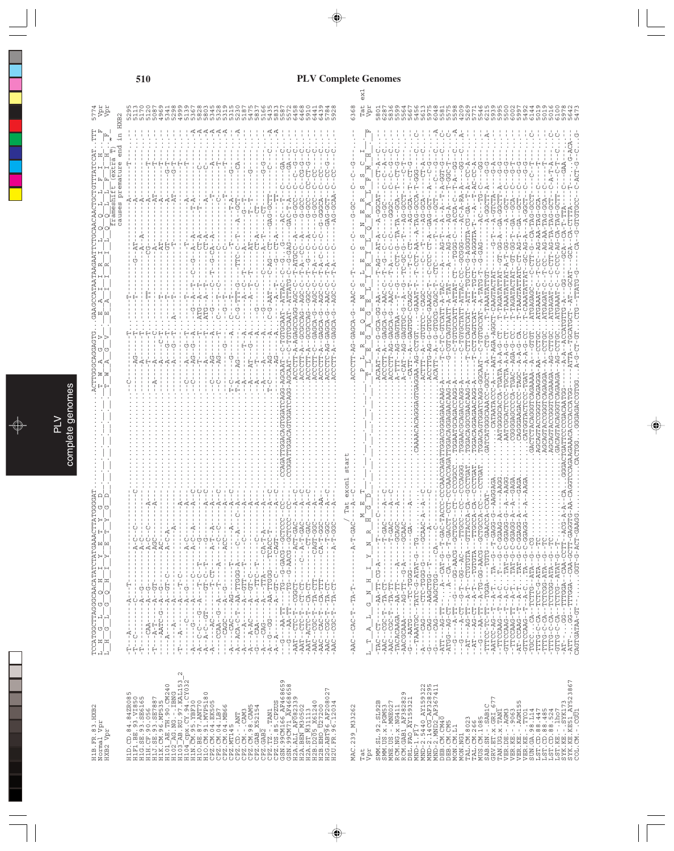|  | ř<br>ĭ |
|--|--------|
|  | í      |

 $\overline{8}$ 

es

| H1B.FR.83.HXB2<br>Normal Vpr<br>HXB2 Vpr | てりてり<br>$\begin{array}{lll} \textsc{locar} & \textsc{locar} \\ \textsc{1} & \textsc{1} & \textsc{1} \\ \textsc{1} & \textsc{1} & \textsc{1} \\ \textsc{1} & \textsc{1} & \textsc{1} \\ \textsc{1} & \textsc{1} & \textsc{1} \\ \textsc{1} & \textsc{1} & \textsc{1} \\ \end{array} \hspace{0.2cm} \begin{array}{lll} \textsc{1} & \textsc{1} & \textsc{1} \\ \textsc{1} & \textsc{1} & \textsc{1} \\ \textsc{1} & \textsc{1} & \textsc{1} \\ \textsc{1}$<br>$O'$ $O'$ | RQ                                           |  |
|------------------------------------------|-----------------------------------------------------------------------------------------------------------------------------------------------------------------------------------------------------------------------------------------------------------------------------------------------------------------------------------------------------------------------------------------------------------------------------------------------------------------------|----------------------------------------------|--|
|                                          |                                                                                                                                                                                                                                                                                                                                                                                                                                                                       | HXB <sub>2</sub>                             |  |
|                                          | Н<br>ł<br>$-1$ $-1$<br>$\mathbf{I}$<br>$\mathsf I$<br>$---A-$<br>보보                                                                                                                                                                                                                                                                                                                                                                                                   |                                              |  |
|                                          |                                                                                                                                                                                                                                                                                                                                                                                                                                                                       |                                              |  |
|                                          |                                                                                                                                                                                                                                                                                                                                                                                                                                                                       |                                              |  |
|                                          |                                                                                                                                                                                                                                                                                                                                                                                                                                                                       |                                              |  |
|                                          |                                                                                                                                                                                                                                                                                                                                                                                                                                                                       |                                              |  |
|                                          |                                                                                                                                                                                                                                                                                                                                                                                                                                                                       |                                              |  |
|                                          |                                                                                                                                                                                                                                                                                                                                                                                                                                                                       |                                              |  |
| $\sim$                                   |                                                                                                                                                                                                                                                                                                                                                                                                                                                                       | $\Omega$ $\Omega$ $\vdash$ $\Omega$ $\Omega$ |  |
|                                          |                                                                                                                                                                                                                                                                                                                                                                                                                                                                       |                                              |  |
|                                          |                                                                                                                                                                                                                                                                                                                                                                                                                                                                       |                                              |  |
|                                          | $\begin{split} &\frac{1}{1} \cdot \frac{1}{1} \cdot \frac{1}{1} \cdot \frac{1}{1} \cdot \frac{1}{1} \cdot \frac{1}{1} \cdot \frac{1}{1} \cdot \frac{1}{1} \cdot \frac{1}{1} \cdot \frac{1}{1} \cdot \frac{1}{1} \cdot \frac{1}{1} \cdot \frac{1}{1} \cdot \frac{1}{1} \cdot \frac{1}{1} \cdot \frac{1}{1} \cdot \frac{1}{1} \cdot \frac{1}{1} \cdot \frac{1}{1} \cdot \frac{1}{1} \cdot \frac{1}{1} \cdot \frac{1}{1} \cdot \frac{1}{1} \cdot \frac{1}{1}$            |                                              |  |
|                                          |                                                                                                                                                                                                                                                                                                                                                                                                                                                                       |                                              |  |
|                                          |                                                                                                                                                                                                                                                                                                                                                                                                                                                                       |                                              |  |
|                                          |                                                                                                                                                                                                                                                                                                                                                                                                                                                                       |                                              |  |
|                                          |                                                                                                                                                                                                                                                                                                                                                                                                                                                                       |                                              |  |
|                                          |                                                                                                                                                                                                                                                                                                                                                                                                                                                                       |                                              |  |
|                                          |                                                                                                                                                                                                                                                                                                                                                                                                                                                                       |                                              |  |
|                                          |                                                                                                                                                                                                                                                                                                                                                                                                                                                                       |                                              |  |
|                                          |                                                                                                                                                                                                                                                                                                                                                                                                                                                                       |                                              |  |
|                                          |                                                                                                                                                                                                                                                                                                                                                                                                                                                                       |                                              |  |
|                                          |                                                                                                                                                                                                                                                                                                                                                                                                                                                                       |                                              |  |
|                                          |                                                                                                                                                                                                                                                                                                                                                                                                                                                                       | F                                            |  |
|                                          |                                                                                                                                                                                                                                                                                                                                                                                                                                                                       | $\circ$                                      |  |
|                                          |                                                                                                                                                                                                                                                                                                                                                                                                                                                                       | Ó                                            |  |
|                                          |                                                                                                                                                                                                                                                                                                                                                                                                                                                                       |                                              |  |
|                                          |                                                                                                                                                                                                                                                                                                                                                                                                                                                                       |                                              |  |
|                                          |                                                                                                                                                                                                                                                                                                                                                                                                                                                                       |                                              |  |
|                                          |                                                                                                                                                                                                                                                                                                                                                                                                                                                                       |                                              |  |
|                                          |                                                                                                                                                                                                                                                                                                                                                                                                                                                                       |                                              |  |
|                                          |                                                                                                                                                                                                                                                                                                                                                                                                                                                                       |                                              |  |
| MAC.239 M33262                           | ACCCTT-AG-GAGCA<br>$-$ AAC--CAC-T-TA-T                                                                                                                                                                                                                                                                                                                                                                                                                                | 636                                          |  |
| Tat                                      | Cr3                                                                                                                                                                                                                                                                                                                                                                                                                                                                   | Fa                                           |  |
| Vpr                                      | じ<br>凹<br>l٢<br>۳<br>$\mathbb{Z}$<br>Σ<br>Н<br>H<br>$\approx$<br>Ü<br>$\overline{a}$<br>$\mathcal{A}^t$<br>$\vdash$<br>貢                                                                                                                                                                                                                                                                                                                                              |                                              |  |
|                                          |                                                                                                                                                                                                                                                                                                                                                                                                                                                                       |                                              |  |
|                                          | $\frac{1}{\alpha}+\frac{1}{\alpha}+\cdots$<br>$-1 - 1 - 0$<br>$\frac{1}{1}$<br>$-4-20-TTT-CG-2-$<br>$\frac{1}{1}$<br>Ĵ.<br>-- COG-1- H-000-<br>$TAC--CT---$<br>$-AAC$                                                                                                                                                                                                                                                                                                 | 580                                          |  |
|                                          | $-1 - 1 -$<br>÷,<br>$-$ AAC--CGC-T-TA-TT----                                                                                                                                                                                                                                                                                                                                                                                                                          |                                              |  |
|                                          |                                                                                                                                                                                                                                                                                                                                                                                                                                                                       |                                              |  |
|                                          |                                                                                                                                                                                                                                                                                                                                                                                                                                                                       |                                              |  |
|                                          |                                                                                                                                                                                                                                                                                                                                                                                                                                                                       |                                              |  |
|                                          |                                                                                                                                                                                                                                                                                                                                                                                                                                                                       |                                              |  |
|                                          |                                                                                                                                                                                                                                                                                                                                                                                                                                                                       |                                              |  |
|                                          |                                                                                                                                                                                                                                                                                                                                                                                                                                                                       |                                              |  |
|                                          |                                                                                                                                                                                                                                                                                                                                                                                                                                                                       |                                              |  |
|                                          |                                                                                                                                                                                                                                                                                                                                                                                                                                                                       |                                              |  |
|                                          |                                                                                                                                                                                                                                                                                                                                                                                                                                                                       | 101010                                       |  |
|                                          |                                                                                                                                                                                                                                                                                                                                                                                                                                                                       |                                              |  |
|                                          |                                                                                                                                                                                                                                                                                                                                                                                                                                                                       |                                              |  |
|                                          |                                                                                                                                                                                                                                                                                                                                                                                                                                                                       |                                              |  |
|                                          |                                                                                                                                                                                                                                                                                                                                                                                                                                                                       | <u> ഗ ഗ ഗ</u>                                |  |
|                                          |                                                                                                                                                                                                                                                                                                                                                                                                                                                                       |                                              |  |
|                                          |                                                                                                                                                                                                                                                                                                                                                                                                                                                                       | $Q \cap Q$<br><b>UU</b> U                    |  |
|                                          |                                                                                                                                                                                                                                                                                                                                                                                                                                                                       | ო თ                                          |  |
|                                          |                                                                                                                                                                                                                                                                                                                                                                                                                                                                       | $\circ$<br>$CD$ LO                           |  |
|                                          |                                                                                                                                                                                                                                                                                                                                                                                                                                                                       | $\circ$                                      |  |
|                                          |                                                                                                                                                                                                                                                                                                                                                                                                                                                                       | $\sigma$<br>ന                                |  |
|                                          |                                                                                                                                                                                                                                                                                                                                                                                                                                                                       |                                              |  |
|                                          |                                                                                                                                                                                                                                                                                                                                                                                                                                                                       |                                              |  |
|                                          |                                                                                                                                                                                                                                                                                                                                                                                                                                                                       |                                              |  |
|                                          |                                                                                                                                                                                                                                                                                                                                                                                                                                                                       |                                              |  |
|                                          |                                                                                                                                                                                                                                                                                                                                                                                                                                                                       |                                              |  |
|                                          |                                                                                                                                                                                                                                                                                                                                                                                                                                                                       |                                              |  |
|                                          | $\begin{array}{rll} \texttt{1700202825} & \texttt{1700202825} & \texttt{1700202825} & \texttt{1700202825} & \texttt{1700202825} & \texttt{1700202825} & \texttt{1700202825} & \texttt{1700202825} & \texttt{1700202825} & \texttt{1700202025} & \texttt{1700202025} & \texttt{1700202025} & \texttt{1700202025} & \texttt{$                                                                                                                                           |                                              |  |
|                                          |                                                                                                                                                                                                                                                                                                                                                                                                                                                                       |                                              |  |
|                                          |                                                                                                                                                                                                                                                                                                                                                                                                                                                                       |                                              |  |

**510 PLV Complete Genomes**

 $ex1$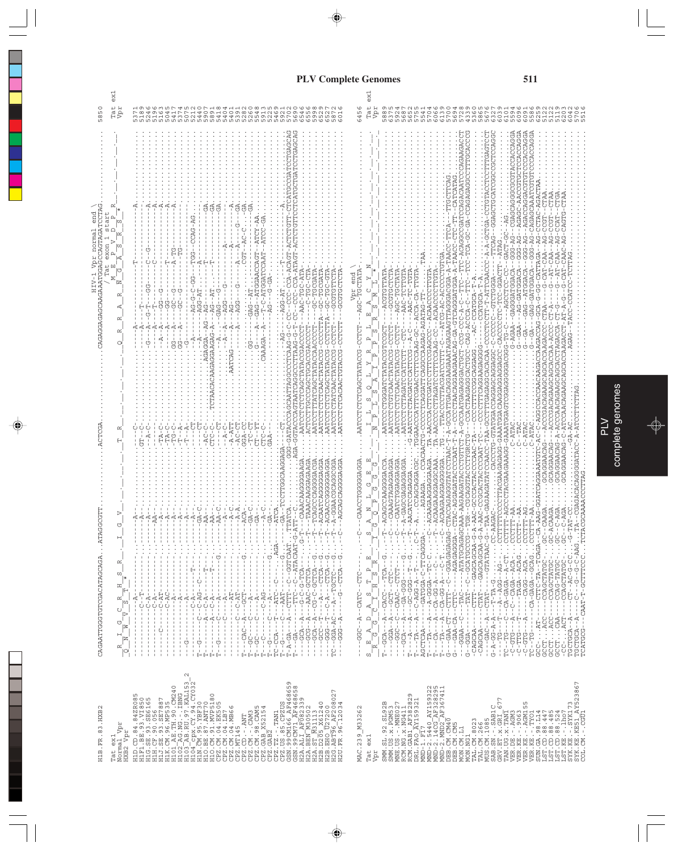|                                                                                                                                                                                                                                                                                                                                                               |                                                                                                                                                                                                                                                                                                                                                                                                                                                                                                                                    |                                               |                                                                                                                                                                                                                                                                                                                                                                                                                                                                                                                                                              |                                                                                                                                                                                                                                                                                                                                                                                                                                                                                                                                                                                                                                             | HIV-1 Vpr normal                                                                                | end                            |                                                                                                                                                                                                                                     |
|---------------------------------------------------------------------------------------------------------------------------------------------------------------------------------------------------------------------------------------------------------------------------------------------------------------------------------------------------------------|------------------------------------------------------------------------------------------------------------------------------------------------------------------------------------------------------------------------------------------------------------------------------------------------------------------------------------------------------------------------------------------------------------------------------------------------------------------------------------------------------------------------------------|-----------------------------------------------|--------------------------------------------------------------------------------------------------------------------------------------------------------------------------------------------------------------------------------------------------------------------------------------------------------------------------------------------------------------------------------------------------------------------------------------------------------------------------------------------------------------------------------------------------------------|---------------------------------------------------------------------------------------------------------------------------------------------------------------------------------------------------------------------------------------------------------------------------------------------------------------------------------------------------------------------------------------------------------------------------------------------------------------------------------------------------------------------------------------------------------------------------------------------------------------------------------------------|-------------------------------------------------------------------------------------------------|--------------------------------|-------------------------------------------------------------------------------------------------------------------------------------------------------------------------------------------------------------------------------------|
| H1B. FR. 83. HXB2                                                                                                                                                                                                                                                                                                                                             | . ATA<br>CAGAATTGGTCGACATAGCAGA.                                                                                                                                                                                                                                                                                                                                                                                                                                                                                                   | ACTCGZ                                        |                                                                                                                                                                                                                                                                                                                                                                                                                                                                                                                                                              | CAGAGGAGAGCAAGAAATGGAG                                                                                                                                                                                                                                                                                                                                                                                                                                                                                                                                                                                                                      | CCAGTAGATCCTAG<br>start<br>D<br>exon<br>Tat                                                     |                                | 5850                                                                                                                                                                                                                                |
| $_{\rm Vpx}$<br>ex1<br>orma1<br>HXB <sub>2</sub><br>¦at                                                                                                                                                                                                                                                                                                       | $\mathbf{H}$<br>α<br>CΩ<br>Ξ,<br>α<br>Iω<br>$\circ$<br>$\overline{P}$<br>ひ<br>$\mathbb{F}$<br>Н<br>P<br>R<br>$\circ$                                                                                                                                                                                                                                                                                                                                                                                                               |                                               | œ                                                                                                                                                                                                                                                                                                                                                                                                                                                                                                                                                            | α<br>α<br>oï                                                                                                                                                                                                                                                                                                                                                                                                                                                                                                                                                                                                                                | U)<br>ıα<br>⊳<br> U)<br>$\mathbf{\Omega}$<br>$[1]$<br><b>IC</b><br>Σ<br>Þ                       | œ                              | ᠗<br>Tat<br>Vpr                                                                                                                                                                                                                     |
| $\Delta \bar{d} \Lambda$                                                                                                                                                                                                                                                                                                                                      | $-4$<br>-<br>$\mathbf{I}$<br>J.                                                                                                                                                                                                                                                                                                                                                                                                                                                                                                    |                                               | ◡                                                                                                                                                                                                                                                                                                                                                                                                                                                                                                                                                            |                                                                                                                                                                                                                                                                                                                                                                                                                                                                                                                                                                                                                                             |                                                                                                 | К                              | 371<br>189                                                                                                                                                                                                                          |
| HID.CD.84.84ZR08!<br>HIFI.BE.93.VI850<br>HIG.SE.93.SE6165                                                                                                                                                                                                                                                                                                     | İ,<br>Н<br>$C - \overline{A}$<br>J<br>ن<br>۱<br>ţ<br>$\mathbf I$<br>$\mathsf I$<br>$\,$<br>$\mathbf{I}$<br>J.                                                                                                                                                                                                                                                                                                                                                                                                                      | Ġ                                             | $A - C$<br>◡                                                                                                                                                                                                                                                                                                                                                                                                                                                                                                                                                 | <b>99-</b><br>н<br>$\begin{bmatrix} 1 \\ 0 \\ 1 \end{bmatrix}$<br>$-1 - 0 - 1$                                                                                                                                                                                                                                                                                                                                                                                                                                                                                                                                                              | $\frac{1}{\sqrt{2}}$                                                                            | К                              | $\circ$<br>$^{24}$                                                                                                                                                                                                                  |
|                                                                                                                                                                                                                                                                                                                                                               | $C - A T - \cdots$<br>$\frac{1}{1}$<br>$C - \overline{A}$<br>f,<br>î.<br>$\,$ I<br>ל<br>י                                                                                                                                                                                                                                                                                                                                                                                                                                          | $-\n-\nTA-C$                                  |                                                                                                                                                                                                                                                                                                                                                                                                                                                                                                                                                              | ပ်<br>-<br>-<br>g<br>G<br>- 11<br>٠<br>$\mathbf{I}$<br>$-4-7$<br>$\mathbf{I}$                                                                                                                                                                                                                                                                                                                                                                                                                                                                                                                                                               | ÷                                                                                               | <b>AAAA</b>                    | 6 m m r<br>1104                                                                                                                                                                                                                     |
|                                                                                                                                                                                                                                                                                                                                                               | $-4$<br>$\mathbf{I}$                                                                                                                                                                                                                                                                                                                                                                                                                                                                                                               | $-7G-$                                        | U                                                                                                                                                                                                                                                                                                                                                                                                                                                                                                                                                            | $\frac{1}{\sqrt{2}}$<br>8<br>¥                                                                                                                                                                                                                                                                                                                                                                                                                                                                                                                                                                                                              | $-17G$                                                                                          |                                |                                                                                                                                                                                                                                     |
| $\mathbb{N}$                                                                                                                                                                                                                                                                                                                                                  | $\vdots$<br>$\frac{1}{1}$<br>$- - A$<br>Ŗ<br>$\mathbf{I}$<br>$\mathbf{I}$<br>$\mathbf I$<br>$\overset{-}{\circ}$                                                                                                                                                                                                                                                                                                                                                                                                                   | $-7 - -A$<br>÷                                | $\overline{\mathbf{A}}$                                                                                                                                                                                                                                                                                                                                                                                                                                                                                                                                      | じー<br><b>SC-</b><br>$GG - -A$<br>$GG - -A$<br>$GG - -A$                                                                                                                                                                                                                                                                                                                                                                                                                                                                                                                                                                                     | $-1G$                                                                                           |                                |                                                                                                                                                                                                                                     |
|                                                                                                                                                                                                                                                                                                                                                               | $\vdots$<br>$\vdots$<br>÷,<br>٢i<br>j<br>$\frac{1}{1}$<br>$C - A$<br>÷<br>$\mathbf I$                                                                                                                                                                                                                                                                                                                                                                                                                                              |                                               |                                                                                                                                                                                                                                                                                                                                                                                                                                                                                                                                                              | ÷,                                                                                                                                                                                                                                                                                                                                                                                                                                                                                                                                                                                                                                          | TGG--CCAG-AG<br>$\mathbf{I}$<br>CO-                                                             |                                |                                                                                                                                                                                                                                     |
|                                                                                                                                                                                                                                                                                                                                                               | $\ddot{\cdot}$<br>÷<br>$\frac{1}{4}$<br>$\frac{1}{4}$<br>÷<br>ا<br>$C - AG - -C$                                                                                                                                                                                                                                                                                                                                                                                                                                                   | $AC -$                                        |                                                                                                                                                                                                                                                                                                                                                                                                                                                                                                                                                              | $- - A$ G                                                                                                                                                                                                                                                                                                                                                                                                                                                                                                                                                                                                                                   | $\frac{1}{4}$<br>H                                                                              | S                              |                                                                                                                                                                                                                                     |
|                                                                                                                                                                                                                                                                                                                                                               | $A-C$<br>$\vdots$<br>$\frac{c}{1}$<br>$\frac{1}{4}$<br>F-                                                                                                                                                                                                                                                                                                                                                                                                                                                                          | CTC-0                                         | ∪                                                                                                                                                                                                                                                                                                                                                                                                                                                                                                                                                            | $-$ - $\mathbb{A}\mathbb{T}$ .<br>$- - - 2G$<br>GAAGAG-A                                                                                                                                                                                                                                                                                                                                                                                                                                                                                                                                                                                    | $\begin{smallmatrix}1&&1\\1&&1\end{smallmatrix}$<br>H                                           | $-GA$<br>$-GA$                 |                                                                                                                                                                                                                                     |
|                                                                                                                                                                                                                                                                                                                                                               | ţ<br>$\frac{1}{1}$<br>$- - - - 1$<br>$\frac{1}{2}$<br>$\frac{1}{4}$                                                                                                                                                                                                                                                                                                                                                                                                                                                                | $- A - C$                                     |                                                                                                                                                                                                                                                                                                                                                                                                                                                                                                                                                              | ပ္ပ်<br>$-1 - 5AC - -6 - -$<br>$-4.$                                                                                                                                                                                                                                                                                                                                                                                                                                                                                                                                                                                                        |                                                                                                 |                                |                                                                                                                                                                                                                                     |
|                                                                                                                                                                                                                                                                                                                                                               | $A - C$<br>$A - A$<br>ł<br>$\,$ I<br>$\begin{array}{c} \rule{0.2cm}{0.15mm} \rule{0.2cm}{0.15mm} \rule{0.2cm}{0.15mm} \rule{0.2cm}{0.15mm} \rule{0.2cm}{0.15mm} \rule{0.2cm}{0.15mm} \rule{0.2cm}{0.15mm} \rule{0.2cm}{0.15mm} \rule{0.2cm}{0.15mm} \rule{0.2cm}{0.15mm} \rule{0.2cm}{0.15mm} \rule{0.2cm}{0.15mm} \rule{0.2cm}{0.15mm} \rule{0.2cm}{0.15mm} \rule{0.2cm}{0.15mm} \rule{$<br>i<br>E<br>$- -17 - - - - - - - - - -$<br>$-1$<br>t<br>O<br>Í<br>$\mathbf{I}$<br>$\,$<br>$\mathbf{I}$<br>٠<br>$\overline{\phantom{a}}$ |                                               | $-{\bf A}-{\bf A}{\bf T}^{\bf T}$<br>$AC-CT$                                                                                                                                                                                                                                                                                                                                                                                                                                                                                                                 | $\frac{1}{2}$<br>$---PGG-$<br>$---AG$<br>$-4$<br>Ţ                                                                                                                                                                                                                                                                                                                                                                                                                                                                                                                                                                                          | ÷<br>$-4$<br>$-4$                                                                               | $-4$                           |                                                                                                                                                                                                                                     |
|                                                                                                                                                                                                                                                                                                                                                               | $ACA -$<br>- 5 - - - - - - - - HD5 - - -<br>$\vdots$<br>$-1 - CAC - A$<br>$\mathbb H$                                                                                                                                                                                                                                                                                                                                                                                                                                              | GGA-CC                                        |                                                                                                                                                                                                                                                                                                                                                                                                                                                                                                                                                              | $-0.46 - 0.71$                                                                                                                                                                                                                                                                                                                                                                                                                                                                                                                                                                                                                              | A - - - A - - - - G - - - GA.<br>CGT - - A C - C - GA.<br>- - - - - - - - - - - - - - GA.<br>÷, |                                |                                                                                                                                                                                                                                     |
|                                                                                                                                                                                                                                                                                                                                                               | $\vdots$<br>$\vdots$<br>$\mathbf I$<br>$\frac{1}{4}$<br>$- -A - -$<br>$- - A$<br>U<br>$\frac{1}{1}$<br>$\frac{1}{1}$<br>$-90-$<br>- 10-1                                                                                                                                                                                                                                                                                                                                                                                           | CT---TD<br>U                                  | $-TC-\overline{CT}$                                                                                                                                                                                                                                                                                                                                                                                                                                                                                                                                          | --GAG--ATGGAACCAGT                                                                                                                                                                                                                                                                                                                                                                                                                                                                                                                                                                                                                          | $-AA$ .<br>$-ATCY$                                                                              |                                |                                                                                                                                                                                                                                     |
|                                                                                                                                                                                                                                                                                                                                                               | Ì<br>$-5A-1$<br>$\begin{array}{c} 1 \\ 1 \\ 1 \\ 1 \end{array}$                                                                                                                                                                                                                                                                                                                                                                                                                                                                    | CTC-C                                         |                                                                                                                                                                                                                                                                                                                                                                                                                                                                                                                                                              |                                                                                                                                                                                                                                                                                                                                                                                                                                                                                                                                                                                                                                             |                                                                                                 |                                |                                                                                                                                                                                                                                     |
|                                                                                                                                                                                                                                                                                                                                                               | ATCA<br>Б<br>$-1$<br>$\begin{array}{l} \mathbf{T}--\mathbf{G}----\mathbf{T} \\ \mathbf{T}^{-}\mathbf{C}-\mathbf{C}\mathbf{C}\mathbf{A}---\mathbf{T} \end{array}$                                                                                                                                                                                                                                                                                                                                                                   |                                               |                                                                                                                                                                                                                                                                                                                                                                                                                                                                                                                                                              | $-9-9-$<br>$--AG-$                                                                                                                                                                                                                                                                                                                                                                                                                                                                                                                                                                                                                          |                                                                                                 |                                |                                                                                                                                                                                                                                     |
|                                                                                                                                                                                                                                                                                                                                                               | <b>TTATCA</b><br>යි<br>$---AAT-$<br>U<br>Ť<br>ပ္ပံ<br>Н<br>Н                                                                                                                                                                                                                                                                                                                                                                                                                                                                       | Ō<br>じ                                        | -GATACO<br>5                                                                                                                                                                                                                                                                                                                                                                                                                                                                                                                                                 | $-14GG - AT$<br>$C_1$<br>$-4G----$                                                                                                                                                                                                                                                                                                                                                                                                                                                                                                                                                                                                          |                                                                                                 | ڹ<br>י                         |                                                                                                                                                                                                                                     |
|                                                                                                                                                                                                                                                                                                                                                               | е                                                                                                                                                                                                                                                                                                                                                                                                                                                                                                                                  | AGA-GGTAC<br>$\ddot{\cdot}$                   | CTTAAG                                                                                                                                                                                                                                                                                                                                                                                                                                                                                                                                                       | C<br>-<br>1-9-1                                                                                                                                                                                                                                                                                                                                                                                                                                                                                                                                                                                                                             |                                                                                                 |                                |                                                                                                                                                                                                                                     |
|                                                                                                                                                                                                                                                                                                                                                               | $\ddot{a}$ $\ddot{b}$ $\ddot{c}$ $\ddot{c}$ $\ddot{c}$ $\ddot{c}$<br>$\begin{array}{c}\n\vdots \\ \vdots \\ \vdots\n\end{array}$<br>--GA----------<br>--GCA--A---G-C-G-TCA--<br>--GCA--A------                                                                                                                                                                                                                                                                                                                                     | GAAGA<br>CAAA                                 | CGACC<br>.ACTCCTTGCCAGCTGCAC                                                                                                                                                                                                                                                                                                                                                                                                                                                                                                                                 | C--CCC-CCA-AC<br>C--CCC-CCA-AT<br>-AAC-TGC-ATA-<br>--ATA--C-TGC-CTA-<br>$---AAC$<br>CGACCCCT                                                                                                                                                                                                                                                                                                                                                                                                                                                                                                                                                |                                                                                                 |                                |                                                                                                                                                                                                                                     |
|                                                                                                                                                                                                                                                                                                                                                               | TCAGC<br>$\frac{1}{2}$<br>$- -CG - C - GCTCA$<br>$- - GCA - - A$<br>$\mathbf{I}$                                                                                                                                                                                                                                                                                                                                                                                                                                                   |                                               | TATACCAACC                                                                                                                                                                                                                                                                                                                                                                                                                                                                                                                                                   |                                                                                                                                                                                                                                                                                                                                                                                                                                                                                                                                                                                                                                             |                                                                                                 |                                |                                                                                                                                                                                                                                     |
|                                                                                                                                                                                                                                                                                                                                                               | $T - T$<br>- - ペ-シ- - 1- - 555- -<br>J,<br>$-1 - 100 - 1$                                                                                                                                                                                                                                                                                                                                                                                                                                                                          | GGGAGGA<br>CAAT                               | AATCCTCTCAGCTATACCG-CCTCTTA<br>UU-UUUKHKHUKKUHUHUUHKK                                                                                                                                                                                                                                                                                                                                                                                                                                                                                                        |                                                                                                                                                                                                                                                                                                                                                                                                                                                                                                                                                                                                                                             |                                                                                                 |                                |                                                                                                                                                                                                                                     |
| HHI, CR. 39, , SETZ887<br>HHI, CR. 39, , SETZ887<br>HIOL AR, 29, , SETZ887<br>HIOL AR, 29, , SETZ887<br>HIOL AR, 29, SETZ88, 29, , NDF30<br>HIOL AR, 20, 19, , NDF30<br>CR2, CM, 04, , LES<br>CR2, CM, 04, , LES<br>CR2, CM, 04, , LES<br>CR2, CM, 04, ,                                                                                                      | ACAAC<br>$\frac{1}{2}$<br>÷<br>∴<br>◡<br>ひけひひ - - ス - - - ひス - ス の - - ひ - -                                                                                                                                                                                                                                                                                                                                                                                                                                                       | GOGAOO<br>CGCAGCGGA                           | AATCCTCACAACTACCCCCTCTT<br>LUCLO - COOKHALOAKULALULOUDULA<br>$\begin{minipage}{0.9\textwidth} \begin{tabular}{c} \multicolumn{2}{c} {\textwidth} {\bf \textbf{0}} & \multicolumn{2}{c} {\bf \textbf{0}} & \multicolumn{2}{c} {\bf \textbf{1}} & \multicolumn{2}{c} {\bf \textbf{1}} \\ \multicolumn{2}{c} {\bf \textbf{1}} & \multicolumn{2}{c} {\bf \textbf{1}} & \multicolumn{2}{c} {\bf \textbf{2}} & \multicolumn{2}{c} {\bf \textbf{2}} \\ \multicolumn{2}{c} {\bf \textbf{2}} & \multicolumn{2}{c} {\bf \textbf{2}} & \multicolumn{2}{c} {\bf \textbf$ | $\begin{array}{ll} \texttt{CCCT} {\small \cdots } {\small \cdots } {\small \cdots } {\small \cdots } {\small \cdots } {\small \cdots } {\small \cdots } {\small \cdots } {\small \cdots } {\small \cdots } {\small \cdots } {\small \cdots } {\small \cdots } {\small \cdots } {\small \cdots } {\small \cdots } {\small \cdots } {\small \cdots } {\small \cdots } {\small \cdots } {\small \cdots } {\small \cdots } {\small \cdots } {\small \cdots } {\small \cdots } {\small \cdots } {\small \cdots } {\small \cdots } {\small \cdots } {\small \cdots } {\small \cdots } {\small \cdots } {\small \cdots } {\small \cdots } {\small$ |                                                                                                 |                                | י מימים מימים מימים מימים מימים מימים מימים מימים מימים מימים מימים מימים מימים מימים מימים מימים מימים מימים<br>ישראל היא מימים מימים מימים מימים מימים מימים מימים מימים מימים מימים מימים מימים מימים מימים מימים מימים מימי<br> |
|                                                                                                                                                                                                                                                                                                                                                               | $\overline{\phantom{a}}$<br>$-4 - - - - -$                                                                                                                                                                                                                                                                                                                                                                                                                                                                                         | AGCAGCAGGAGGA                                 |                                                                                                                                                                                                                                                                                                                                                                                                                                                                                                                                                              |                                                                                                                                                                                                                                                                                                                                                                                                                                                                                                                                                                                                                                             |                                                                                                 |                                |                                                                                                                                                                                                                                     |
| MAC.239_M33262                                                                                                                                                                                                                                                                                                                                                | $\bigcup\limits_{i}$<br>$\vdots$<br>ULU - - ULTU - - T - - UUU - -                                                                                                                                                                                                                                                                                                                                                                                                                                                                 | CAACCTGGGGGAGGA                               | .AATCCTCTCTCAGTATACG-CCTCT                                                                                                                                                                                                                                                                                                                                                                                                                                                                                                                                   | Vpr end<br>--AGC-TGCTATA                                                                                                                                                                                                                                                                                                                                                                                                                                                                                                                                                                                                                    |                                                                                                 |                                | 6456                                                                                                                                                                                                                                |
| ex1<br>Tat                                                                                                                                                                                                                                                                                                                                                    | $\mathbb{C}\Omega$<br>凹<br>$\mathbf{\Omega}$<br>$\mathbb H$<br>$\Box$<br>Ą<br>囟<br>CΩ                                                                                                                                                                                                                                                                                                                                                                                                                                              | [1]<br>E.<br>ひ<br>z                           | œ<br>$\rightarrow$<br>占<br>$\circ$<br>$\omega$                                                                                                                                                                                                                                                                                                                                                                                                                                                                                                               | $\cup$<br>K.<br>囯<br>$\mathbf{p}_i$                                                                                                                                                                                                                                                                                                                                                                                                                                                                                                                                                                                                         |                                                                                                 |                                | Tat                                                                                                                                                                                                                                 |
| vpr                                                                                                                                                                                                                                                                                                                                                           | $\circ$<br>じ<br>$\vdash$<br>$\mathbb{R}$<br>$\overline{c}$<br>$\vert \Xi \vert$<br>$\mathbb{A} \Big  \mathbb{H}$<br>$\vert \circ$<br>ပြ<br>ုပ<br>$\mathbb{R}$                                                                                                                                                                                                                                                                                                                                                                      | じ                                             | $\mathsf{P}$<br>$\vert \mathsf{a} \vert$<br> U)<br>$\overline{P}$<br>$\mid$ $\mid$                                                                                                                                                                                                                                                                                                                                                                                                                                                                           | $\mathbb{E}$<br>IΩ<br>$\vert_{\omega}$                                                                                                                                                                                                                                                                                                                                                                                                                                                                                                                                                                                                      |                                                                                                 |                                | vpr                                                                                                                                                                                                                                 |
| SMM. SL. 92. SL92B                                                                                                                                                                                                                                                                                                                                            | ÷<br>$\ddot{\cdot}$<br>ひ‐‐KUH‐‐‐UUKU‐‐K-‐‐<br>$- - GCA$                                                                                                                                                                                                                                                                                                                                                                                                                                                                            | ACACCAACOGGGA<br>CAAAGTA                      | <b>LOGOOLGOOREREOLGOGOLOOOLAR</b>                                                                                                                                                                                                                                                                                                                                                                                                                                                                                                                            | -ACGTGTTATA                                                                                                                                                                                                                                                                                                                                                                                                                                                                                                                                                                                                                                 |                                                                                                 |                                |                                                                                                                                                                                                                                     |
| SMM.US.x.PGM53<br>MNE.US. - .MNE027                                                                                                                                                                                                                                                                                                                           | $\begin{array}{c} \dot{\mathbf{C}} \\ \dot{\mathbf{C}} \\ \dot{\mathbf{C}} \end{array} \begin{array}{c} \dot{\mathbf{C}} \\ \dot{\mathbf{C}} \\ \dot{\mathbf{C}} \end{array}$<br>$\frac{1}{2}$<br>$\vdots$<br>$\cdot$<br>$\Gamma = 1$<br>÷.<br>- - IDID - - DEEU - - U - - U DU - - -<br>ULU - - LUU - - - 4 - - 455 -<br>$\mathbf{I}$                                                                                                                                                                                             | URCURCULUHRRU                                 | AATCCTCTCTCAACTATAC<br>TCTGTCAACTATA                                                                                                                                                                                                                                                                                                                                                                                                                                                                                                                         | A-AGC-DOC----<br>GCGLGCL<br>- CCLCL                                                                                                                                                                                                                                                                                                                                                                                                                                                                                                                                                                                                         |                                                                                                 |                                |                                                                                                                                                                                                                                     |
|                                                                                                                                                                                                                                                                                                                                                               | $\frac{1}{2}$<br>$-1 - A - -1 - G - G - G$<br>$--GCA$<br>$\mathbb{H}$                                                                                                                                                                                                                                                                                                                                                                                                                                                              | A-GAGCAGAGAGGA                                | . AATCCTCTTAGATCCATTCTT<br>- AATCCTCTAGATCCATTCCG                                                                                                                                                                                                                                                                                                                                                                                                                                                                                                            | --AAC-TCTTGTA<br>-- CHC                                                                                                                                                                                                                                                                                                                                                                                                                                                                                                                                                                                                                     |                                                                                                 |                                |                                                                                                                                                                                                                                     |
| RCM.NG.x.NG411<br>RCM.GAB1 AF382829<br>DRL.FAO AY159321                                                                                                                                                                                                                                                                                                       | $-2 - 7$<br>F<br>-<br>$\frac{1}{1}$<br>$\overline{A}$<br>$-$ – TA $\cdot$<br>j                                                                                                                                                                                                                                                                                                                                                                                                                                                     | AACATCAGAGGA                                  | -G-AATCCTCTACGATCCATTCCG--A-C----AAC-TC-TGTA-<br>TGGAACCCATTTCGAACCTTTCCAAAG-GC--ACCA-CA-TTGTA-                                                                                                                                                                                                                                                                                                                                                                                                                                                              | $-$ AAC-TC-TGTA<br>ΥJ                                                                                                                                                                                                                                                                                                                                                                                                                                                                                                                                                                                                                       |                                                                                                 |                                |                                                                                                                                                                                                                                     |
| $MID - 1. F17$                                                                                                                                                                                                                                                                                                                                                | - 4555455151-1-145554<br>AGCTCAA--                                                                                                                                                                                                                                                                                                                                                                                                                                                                                                 | <b>CH</b><br><b>CACAA</b><br>ACAAGAAGGAGGAAGA | UCCCCAGASULENTENCONOROLOU                                                                                                                                                                                                                                                                                                                                                                                                                                                                                                                                    |                                                                                                                                                                                                                                                                                                                                                                                                                                                                                                                                                                                                                                             |                                                                                                 |                                |                                                                                                                                                                                                                                     |
|                                                                                                                                                                                                                                                                                                                                                               | U------U-UH--ROOU-K-----<br>$---TA$<br>$\mathbb{H}$                                                                                                                                                                                                                                                                                                                                                                                                                                                                                |                                               |                                                                                                                                                                                                                                                                                                                                                                                                                                                                                                                                                              |                                                                                                                                                                                                                                                                                                                                                                                                                                                                                                                                                                                                                                             |                                                                                                 |                                |                                                                                                                                                                                                                                     |
|                                                                                                                                                                                                                                                                                                                                                               | E                                                                                                                                                                                                                                                                                                                                                                                                                                                                                                                                  | CAAGAAGAAGGGG                                 |                                                                                                                                                                                                                                                                                                                                                                                                                                                                                                                                                              |                                                                                                                                                                                                                                                                                                                                                                                                                                                                                                                                                                                                                                             |                                                                                                 |                                |                                                                                                                                                                                                                                     |
| MND-2.15440 AY159322<br>MND-2.14CG AF328295<br>MND-2.MND2 AF367411<br>DEB.CM.CM40<br>DEB.CM.CM40<br>MON.CM.L1                                                                                                                                                                                                                                                 | じ じ                                                                                                                                                                                                                                                                                                                                                                                                                                                                                                                                | GTATC<br>GAGATACC<br>TACCAG<br>TAC-AG         |                                                                                                                                                                                                                                                                                                                                                                                                                                                                                                                                                              |                                                                                                                                                                                                                                                                                                                                                                                                                                                                                                                                                                                                                                             | ု<br>부                                                                                          |                                |                                                                                                                                                                                                                                     |
|                                                                                                                                                                                                                                                                                                                                                               |                                                                                                                                                                                                                                                                                                                                                                                                                                                                                                                                    | AAA-AAGAAGATACC                               |                                                                                                                                                                                                                                                                                                                                                                                                                                                                                                                                                              |                                                                                                                                                                                                                                                                                                                                                                                                                                                                                                                                                                                                                                             | AGG                                                                                             | :<br>CAC<br>GATCCAGACAATC      |                                                                                                                                                                                                                                     |
| MON.NG1                                                                                                                                                                                                                                                                                                                                                       | ひ                                                                                                                                                                                                                                                                                                                                                                                                                                                                                                                                  | CCAAC<br>CAGGTACC<br>CCACTACC<br>AAC-GC       | $-TA$ --CCCCTTTC                                                                                                                                                                                                                                                                                                                                                                                                                                                                                                                                             |                                                                                                                                                                                                                                                                                                                                                                                                                                                                                                                                                                                                                                             | $-TCA-C$                                                                                        | <b>CACC</b><br>UUUCAUNGAGAGAGE |                                                                                                                                                                                                                                     |
|                                                                                                                                                                                                                                                                                                                                                               | $-$ CAGCAA- $-$                                                                                                                                                                                                                                                                                                                                                                                                                                                                                                                    | $-1$ C<br>-CCGCACTACCCART                     | CCCCTTTCCGCAGGAGG - AC-CCATGCA-T-A.<br>CCCCTTTCAGGAAGGGGG - - - - - - CCATGCA-T-A.<br>j                                                                                                                                                                                                                                                                                                                                                                                                                                                                      |                                                                                                                                                                                                                                                                                                                                                                                                                                                                                                                                                                                                                                             |                                                                                                 |                                |                                                                                                                                                                                                                                     |
| $\begin{array}{l} \texttt{TM1.}\ (M, 2663 \\ \texttt{TM2.}\ (M, 2665 \\ \texttt{SMS.}\ (M, 1.085 \\ \texttt{SMS.}\ (M, 1.085 \\ \texttt{GRV.}\ (M, 1.081 \\ \texttt{GRV.}\ (M, 2.081 \\ \texttt{TAN} \ (M, 2.081 \\ \texttt{TAN} \ (M, 2.081 \\ \texttt{TAN} \ (M, 2.081 \\ \texttt{TAN} \ (M, 2.081 \\ \texttt{TAN} \ (M, 2.081 \\ \texttt{TAN} \ (M, 2.081$ |                                                                                                                                                                                                                                                                                                                                                                                                                                                                                                                                    |                                               |                                                                                                                                                                                                                                                                                                                                                                                                                                                                                                                                                              |                                                                                                                                                                                                                                                                                                                                                                                                                                                                                                                                                                                                                                             |                                                                                                 |                                |                                                                                                                                                                                                                                     |
|                                                                                                                                                                                                                                                                                                                                                               |                                                                                                                                                                                                                                                                                                                                                                                                                                                                                                                                    |                                               |                                                                                                                                                                                                                                                                                                                                                                                                                                                                                                                                                              |                                                                                                                                                                                                                                                                                                                                                                                                                                                                                                                                                                                                                                             |                                                                                                 |                                |                                                                                                                                                                                                                                     |
| VER. DE. - . AGM3                                                                                                                                                                                                                                                                                                                                             |                                                                                                                                                                                                                                                                                                                                                                                                                                                                                                                                    |                                               |                                                                                                                                                                                                                                                                                                                                                                                                                                                                                                                                                              |                                                                                                                                                                                                                                                                                                                                                                                                                                                                                                                                                                                                                                             |                                                                                                 |                                |                                                                                                                                                                                                                                     |
| .9063                                                                                                                                                                                                                                                                                                                                                         |                                                                                                                                                                                                                                                                                                                                                                                                                                                                                                                                    |                                               |                                                                                                                                                                                                                                                                                                                                                                                                                                                                                                                                                              |                                                                                                                                                                                                                                                                                                                                                                                                                                                                                                                                                                                                                                             |                                                                                                 |                                |                                                                                                                                                                                                                                     |
| KE. - .AGM155<br><b>LAZO</b><br>VER.KE.-.<br>VER.KE.-.<br>VER.KE.-.<br>$\textrm{KE}$ . –                                                                                                                                                                                                                                                                      | $---A---$<br>$TC--TG----$<br><b>PLP-2-</b>                                                                                                                                                                                                                                                                                                                                                                                                                                                                                         |                                               |                                                                                                                                                                                                                                                                                                                                                                                                                                                                                                                                                              |                                                                                                                                                                                                                                                                                                                                                                                                                                                                                                                                                                                                                                             |                                                                                                 |                                |                                                                                                                                                                                                                                     |
|                                                                                                                                                                                                                                                                                                                                                               | <b>AAG</b>                                                                                                                                                                                                                                                                                                                                                                                                                                                                                                                         |                                               | $-AC - C - BC$                                                                                                                                                                                                                                                                                                                                                                                                                                                                                                                                               |                                                                                                                                                                                                                                                                                                                                                                                                                                                                                                                                                                                                                                             |                                                                                                 | CTAC-AGACTAP                   |                                                                                                                                                                                                                                     |
| SUN 32.38.98.114<br>LST.CD.88.447<br>LST.CD.88.485<br>LST.CD.88.524<br>LST.KE.-1107                                                                                                                                                                                                                                                                           |                                                                                                                                                                                                                                                                                                                                                                                                                                                                                                                                    |                                               | $-4$ CC                                                                                                                                                                                                                                                                                                                                                                                                                                                                                                                                                      |                                                                                                                                                                                                                                                                                                                                                                                                                                                                                                                                                                                                                                             |                                                                                                 | CTAA<br>CTAA                   |                                                                                                                                                                                                                                     |
|                                                                                                                                                                                                                                                                                                                                                               |                                                                                                                                                                                                                                                                                                                                                                                                                                                                                                                                    | $AG - A$<br>GCAG                              | $-4$                                                                                                                                                                                                                                                                                                                                                                                                                                                                                                                                                         | Y<br>CTAGACCA                                                                                                                                                                                                                                                                                                                                                                                                                                                                                                                                                                                                                               | -CAT-CAAC-A<br>$- - A T - C A A$                                                                |                                |                                                                                                                                                                                                                                     |
|                                                                                                                                                                                                                                                                                                                                                               | $\overset{1}{\circ}$<br>TGCTGCA--A----A--A--AC-                                                                                                                                                                                                                                                                                                                                                                                                                                                                                    | E                                             | -ATCCAAC                                                                                                                                                                                                                                                                                                                                                                                                                                                                                                                                                     |                                                                                                                                                                                                                                                                                                                                                                                                                                                                                                                                                                                                                                             |                                                                                                 |                                |                                                                                                                                                                                                                                     |
| SYK.KE.-.SYK173<br>SYK.KE.KE51 AY52386<br>COL.CM.-.CGU1                                                                                                                                                                                                                                                                                                       | CGCAAAZ<br>$A --- -C --- G--G--C-RAG$ - CAAT-T-GCTTCCC<br>TGCTGCA--A<br>TCATGCG-                                                                                                                                                                                                                                                                                                                                                                                                                                                   | CAGGGGATAC                                    |                                                                                                                                                                                                                                                                                                                                                                                                                                                                                                                                                              |                                                                                                                                                                                                                                                                                                                                                                                                                                                                                                                                                                                                                                             |                                                                                                 |                                | $070 - 10$                                                                                                                                                                                                                          |
|                                                                                                                                                                                                                                                                                                                                                               |                                                                                                                                                                                                                                                                                                                                                                                                                                                                                                                                    |                                               |                                                                                                                                                                                                                                                                                                                                                                                                                                                                                                                                                              |                                                                                                                                                                                                                                                                                                                                                                                                                                                                                                                                                                                                                                             |                                                                                                 |                                |                                                                                                                                                                                                                                     |

P<sub>LV</sub>

 $\begin{tabular}{l} \textbf{7at} \textbf{6x1} \\ \textbf{187} \textbf{1}, \textbf{187} \textbf{1}, \textbf{287} \textbf{1}, \textbf{288} \textbf{1}, \textbf{289} \textbf{1}, \textbf{289} \textbf{1}, \textbf{289} \textbf{1}, \textbf{289} \textbf{1}, \textbf{289} \textbf{1}, \textbf{289} \textbf{1}, \textbf{289} \textbf{1}, \textbf{289} \textbf{1}, \textbf{289} \textbf{1}, \textbf{289} \textbf{1},$ 

 $\begin{tabular}{ll} \texttt{MAC. 239\_M33262}\\ \texttt{The exit} \\ \texttt{QPP} \\ \texttt{OMC. 192.5L92B} \\ \texttt{OMC. 193.7} \\ \texttt{OMC. 194.7} \\ \texttt{OMC. 195.7} \\ \texttt{OMC. 196.7} \\ \texttt{OMD1. 192.7} \\ \texttt{M1} \\ \texttt{M2} \\ \texttt{M2} \\ \texttt{M2} \\ \texttt{M2} \\ \texttt{M2} \\ \texttt{M2} \\ \texttt{M2} \\ \texttt{M2} \\ \texttt{M2} \\ \text$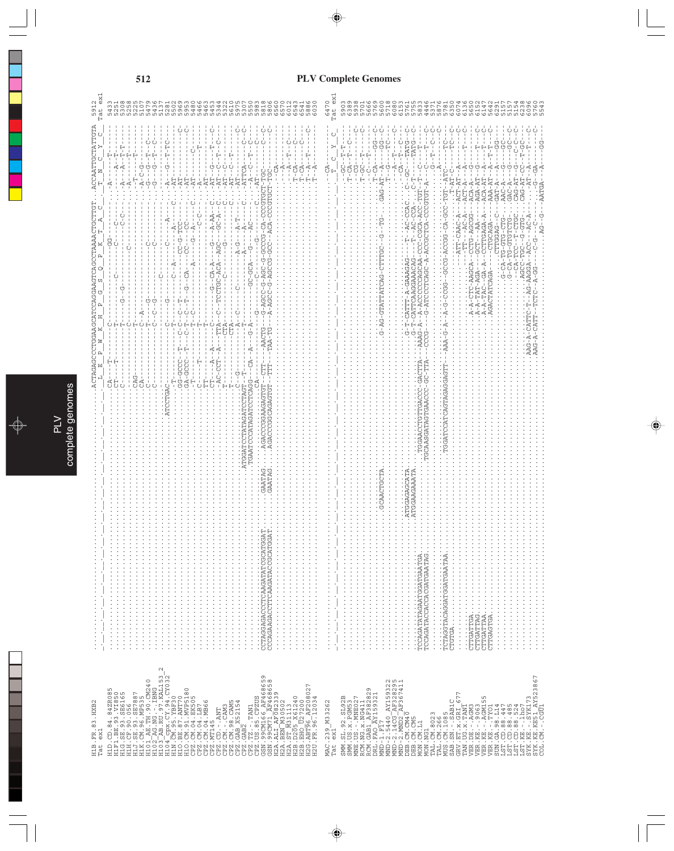complete genomes  $PLV$ 

| H1B.FR.83.HXB2<br>Tat ex1                                                                                                                                                                                                                                                                                                    | ×<br>Σ<br>$\mathbf{\Omega}$<br>口                     | CCAATTGCTATTGTAT<br>T N C Y C<br>$\square$<br><b>LULLUULUKRRRLUUURULUKRUURUULKUURRUULUUURURLUK</b><br>U<br>A<br>⊻<br>$\mathbf{\Omega}$<br>$\circ$<br>C)<br>ひ<br>$\mathbf{p}_i$<br>$\Xi$                                                                                                                                                                                                                                                                                                                                                                           | N<br>T81                                                                                                                                                                        |
|------------------------------------------------------------------------------------------------------------------------------------------------------------------------------------------------------------------------------------------------------------------------------------------------------------------------------|------------------------------------------------------|-------------------------------------------------------------------------------------------------------------------------------------------------------------------------------------------------------------------------------------------------------------------------------------------------------------------------------------------------------------------------------------------------------------------------------------------------------------------------------------------------------------------------------------------------------------------|---------------------------------------------------------------------------------------------------------------------------------------------------------------------------------|
|                                                                                                                                                                                                                                                                                                                              |                                                      |                                                                                                                                                                                                                                                                                                                                                                                                                                                                                                                                                                   |                                                                                                                                                                                 |
|                                                                                                                                                                                                                                                                                                                              | Н<br>5                                               | н<br>⊢<br>÷<br>К<br>$\mathbf{I}$<br>J.<br>O<br>てり<br>$\mathbf{I}$<br>Ū<br>O<br>ひトト                                                                                                                                                                                                                                                                                                                                                                                                                                                                                |                                                                                                                                                                                 |
|                                                                                                                                                                                                                                                                                                                              |                                                      | 부<br>н<br>÷,<br>$- - A$<br>К<br>U<br>ို<br>Ů<br>- 1                                                                                                                                                                                                                                                                                                                                                                                                                                                                                                               |                                                                                                                                                                                 |
|                                                                                                                                                                                                                                                                                                                              |                                                      | К<br>↻<br>↻                                                                                                                                                                                                                                                                                                                                                                                                                                                                                                                                                       |                                                                                                                                                                                 |
|                                                                                                                                                                                                                                                                                                                              | CAG-                                                 | Н                                                                                                                                                                                                                                                                                                                                                                                                                                                                                                                                                                 |                                                                                                                                                                                 |
|                                                                                                                                                                                                                                                                                                                              |                                                      | $-5 - -5$<br>$-5 - -5$<br>$- - A$<br>UF                                                                                                                                                                                                                                                                                                                                                                                                                                                                                                                           |                                                                                                                                                                                 |
|                                                                                                                                                                                                                                                                                                                              |                                                      | Ů<br>$\frac{1}{4}$<br>$-1$<br>U<br>ひ                                                                                                                                                                                                                                                                                                                                                                                                                                                                                                                              |                                                                                                                                                                                 |
| $\begin{small} \text{HD} & \text{CD} & 84 & 8428085\\ \text{HL111} & 19 & 3350085\\ \text{HL121} & 19 & 350085\\ \text{HL132} & 19 & 350085\\ \text{HL133} & 19 & 350085\\ \text{HL134} & 19 & 350085\\ \text{HL135} & 19 & 350085\\ \text{HL135} & 19 & 350085\\ \text{HL135} & 19 & 350085\\ \text{HL135} & 19 & 350085\\$ | ↻                                                    | U<br>J,<br>Н<br>Í<br>$\ddot{a}$<br>$\ddot{a}$<br>ひ<br>$\mathbf{1}$<br>U<br>◡<br>ひ<br>$\rm _{1}^{\circ}$                                                                                                                                                                                                                                                                                                                                                                                                                                                           | ה מסתמכה היה המספר מתחשב החול החדר סתמכות הספר החול המספר<br>לא מסתמכות להפרות הספר להיה הספר המסתמכות הספר החול הספר<br>המסתמכות הספר המספר הספר הספר הספר הספר הספר הספר הספר |
| $\sim$                                                                                                                                                                                                                                                                                                                       |                                                      | - TC<br>۳<br>-<br>$- - -$<br>$-4$<br>÷<br>$\frac{1}{2}$<br>U                                                                                                                                                                                                                                                                                                                                                                                                                                                                                                      |                                                                                                                                                                                 |
|                                                                                                                                                                                                                                                                                                                              |                                                      | $AT -$<br>υ<br>К<br>$\mathsf I$<br>U                                                                                                                                                                                                                                                                                                                                                                                                                                                                                                                              |                                                                                                                                                                                 |
|                                                                                                                                                                                                                                                                                                                              | U                                                    | - 11<br>$C-C-C-C-C$<br>U<br>$\blacksquare$<br>E<br>$\blacksquare$<br>U                                                                                                                                                                                                                                                                                                                                                                                                                                                                                            |                                                                                                                                                                                 |
|                                                                                                                                                                                                                                                                                                                              | Ļ<br>ι<br>텃<br>$GG - GCCC$<br>$GA - GCCC$            | 1<br>$\mathbf{I}$<br>$-c$<br>$\sf I$<br>$\mathsf I$<br>U<br>U<br>$-CA$ -<br>a<br>н<br>U                                                                                                                                                                                                                                                                                                                                                                                                                                                                           |                                                                                                                                                                                 |
|                                                                                                                                                                                                                                                                                                                              | $\mathbf{I}$<br>$\vdash$                             | i<br>$\texttt{ATT}\texttt{--}$<br>Ť,<br>U<br>÷<br>$- - - - - - - - - -$<br>-<br>$- - A$<br>U                                                                                                                                                                                                                                                                                                                                                                                                                                                                      |                                                                                                                                                                                 |
|                                                                                                                                                                                                                                                                                                                              | -- T<br>$\mathbf{I}$<br>÷.<br>U                      | $\mathbf{I}$<br>턱<br>Ť<br>$C - C$                                                                                                                                                                                                                                                                                                                                                                                                                                                                                                                                 |                                                                                                                                                                                 |
|                                                                                                                                                                                                                                                                                                                              | $-4 - 2$<br>$-4$<br>$\frac{1}{4}$<br>Ė<br>Ė          | $\blacksquare$<br>÷<br>$\frac{1}{1}$<br>AT<br>W<br>$A - A A - -$<br>$\frac{1}{1}$<br>j.<br>U<br>T<br>$\mathbf{I}$<br>-<br>К<br>CA<br>$\,$ $\,$<br>$\ddot{\phi}$<br>U                                                                                                                                                                                                                                                                                                                                                                                              |                                                                                                                                                                                 |
|                                                                                                                                                                                                                                                                                                                              | $-$ TTA $\cdot$<br>$-4 - 7$<br>$-AC-CCT$             | $-1 - 2 - 4 - 2 - 7$<br>- 1<br>- 1<br>- 1<br>Ā.<br>υU<br>$-1 - 5C - A$<br>$-46C$<br>-TCCTGC-ACA<br>$\bigcup\limits_{i}$                                                                                                                                                                                                                                                                                                                                                                                                                                           |                                                                                                                                                                                 |
|                                                                                                                                                                                                                                                                                                                              | $-CTA$<br>$\mathbf{I}$                               | $\overline{1}$<br>f.<br>$\frac{1}{2}$<br>f,<br>↻<br>$\mathbf{I}$<br>$\blacksquare$<br>먹<br>$\mathbf{I}$<br>$\mathbf{I}$<br>$\mathbf{I}$                                                                                                                                                                                                                                                                                                                                                                                                                           |                                                                                                                                                                                 |
|                                                                                                                                                                                                                                                                                                                              | CTA                                                  | ۳<br>۱<br>$AT - C$<br>Ŧ,<br>Ť<br>↻                                                                                                                                                                                                                                                                                                                                                                                                                                                                                                                                |                                                                                                                                                                                 |
|                                                                                                                                                                                                                                                                                                                              | $-4$<br>$C - C$                                      | $\ldots -R\mathbb{T}$ -<br>$\mathbf{L}$<br>÷.<br>$A-G$<br>$\mathbf{I}$<br>$\frac{1}{\sqrt{2}}$<br>U                                                                                                                                                                                                                                                                                                                                                                                                                                                               |                                                                                                                                                                                 |
|                                                                                                                                                                                                                                                                                                                              | J<br>GAATCCTAGATUUCTAG                               | U<br>$\frac{1}{1}$<br>-ATTCA<br>U<br>$\overline{\phantom{a}}$<br>$\begin{array}{c}\n-2-7 \\ -2-7\n\end{array}$<br>$\frac{1}{4}$<br>К                                                                                                                                                                                                                                                                                                                                                                                                                              |                                                                                                                                                                                 |
|                                                                                                                                                                                                                                                                                                                              | $-G - A$<br>$-4$<br>$-CA$ -<br>GAATCCCATAGATCCTCAGG- | U<br>F<br>Ĵ<br>$-4-$<br>$- - \text{AC} -$<br>$-9 - -$<br>$- -GC - GCA$                                                                                                                                                                                                                                                                                                                                                                                                                                                                                            |                                                                                                                                                                                 |
|                                                                                                                                                                                                                                                                                                                              | $CA-$                                                | U<br>÷<br>$-AT$<br>U<br>ロー<br>↻<br>ひ                                                                                                                                                                                                                                                                                                                                                                                                                                                                                                                              |                                                                                                                                                                                 |
|                                                                                                                                                                                                                                                                                                                              | -AACTG-<br>$-1$<br>. AGACCCGGAAGAGTGT<br>GAATAG      | Ü<br>$\cup$                                                                                                                                                                                                                                                                                                                                                                                                                                                                                                                                                       |                                                                                                                                                                                 |
|                                                                                                                                                                                                                                                                                                                              | $-TAA-TG$<br>TTT<br>HUHUAUAUUUUUUKUA<br>GAATAG       | Ö                                                                                                                                                                                                                                                                                                                                                                                                                                                                                                                                                                 |                                                                                                                                                                                 |
|                                                                                                                                                                                                                                                                                                                              |                                                      | $\mathfrak{S}$                                                                                                                                                                                                                                                                                                                                                                                                                                                                                                                                                    |                                                                                                                                                                                 |
|                                                                                                                                                                                                                                                                                                                              |                                                      |                                                                                                                                                                                                                                                                                                                                                                                                                                                                                                                                                                   |                                                                                                                                                                                 |
|                                                                                                                                                                                                                                                                                                                              |                                                      | $\cup$<br>Н<br>$\frac{1}{1}$                                                                                                                                                                                                                                                                                                                                                                                                                                                                                                                                      |                                                                                                                                                                                 |
|                                                                                                                                                                                                                                                                                                                              |                                                      | Ü<br>$\mathbf{I}$<br>$-CA$<br>Ĥ                                                                                                                                                                                                                                                                                                                                                                                                                                                                                                                                   |                                                                                                                                                                                 |
|                                                                                                                                                                                                                                                                                                                              |                                                      | ↻<br>٠<br>-<br>g<br>$\mathbf{I}$                                                                                                                                                                                                                                                                                                                                                                                                                                                                                                                                  |                                                                                                                                                                                 |
|                                                                                                                                                                                                                                                                                                                              |                                                      | U<br>÷<br>-<br>$-4$<br>HHH                                                                                                                                                                                                                                                                                                                                                                                                                                                                                                                                        |                                                                                                                                                                                 |
|                                                                                                                                                                                                                                                                                                                              |                                                      |                                                                                                                                                                                                                                                                                                                                                                                                                                                                                                                                                                   |                                                                                                                                                                                 |
|                                                                                                                                                                                                                                                                                                                              |                                                      |                                                                                                                                                                                                                                                                                                                                                                                                                                                                                                                                                                   |                                                                                                                                                                                 |
| MAC.239_M33262<br>Tat ex1                                                                                                                                                                                                                                                                                                    |                                                      |                                                                                                                                                                                                                                                                                                                                                                                                                                                                                                                                                                   | 647                                                                                                                                                                             |
|                                                                                                                                                                                                                                                                                                                              | $\cdot$<br>Ť<br>÷<br>ń                               | $\rightarrow$<br>U                                                                                                                                                                                                                                                                                                                                                                                                                                                                                                                                                | Tat                                                                                                                                                                             |
|                                                                                                                                                                                                                                                                                                                              |                                                      | 턱<br>⊢<br>$\frac{1}{\mathbf{C}}$                                                                                                                                                                                                                                                                                                                                                                                                                                                                                                                                  |                                                                                                                                                                                 |
|                                                                                                                                                                                                                                                                                                                              |                                                      | もーー<br>י<br>י<br>$T - CA$                                                                                                                                                                                                                                                                                                                                                                                                                                                                                                                                         |                                                                                                                                                                                 |
|                                                                                                                                                                                                                                                                                                                              |                                                      | U<br>J,<br>f,<br>せいーー                                                                                                                                                                                                                                                                                                                                                                                                                                                                                                                                             |                                                                                                                                                                                 |
|                                                                                                                                                                                                                                                                                                                              |                                                      | U<br>$-1$<br>$T - GC$                                                                                                                                                                                                                                                                                                                                                                                                                                                                                                                                             |                                                                                                                                                                                 |
|                                                                                                                                                                                                                                                                                                                              |                                                      | ۲<br>ا                                                                                                                                                                                                                                                                                                                                                                                                                                                                                                                                                            |                                                                                                                                                                                 |
|                                                                                                                                                                                                                                                                                                                              |                                                      |                                                                                                                                                                                                                                                                                                                                                                                                                                                                                                                                                                   |                                                                                                                                                                                 |
| SMM. 51. 92. 5192B<br>SMM. US. x. PGMS<br>RCM. 103. x. NG411<br>RCM. 03. x. NG411<br>RCM. 03. x. NG411<br>RCM. 03. x. NG411<br>MMD-2. 1440<br>MMD-2. MMD2_RP367411<br>DBB. CM. CM40<br>DBB. CM. CM40<br>DBB. CM. CM40<br>DBB. CM. CM40<br>NON. CM30.                                                                         | CAACTGCTA                                            | Üΰ<br>$-99 -$<br>$\cdots$ T - CA - -<br>GAG - AT - - A - -<br>・ひ<br>-CLLLOC<br>G-AG-GTATTATCAG                                                                                                                                                                                                                                                                                                                                                                                                                                                                    |                                                                                                                                                                                 |
|                                                                                                                                                                                                                                                                                                                              |                                                      | $-TC-$<br>÷<br>じー                                                                                                                                                                                                                                                                                                                                                                                                                                                                                                                                                 |                                                                                                                                                                                 |
|                                                                                                                                                                                                                                                                                                                              |                                                      | Ö<br>Ŧ,<br>$\vdots$                                                                                                                                                                                                                                                                                                                                                                                                                                                                                                                                               |                                                                                                                                                                                 |
|                                                                                                                                                                                                                                                                                                                              |                                                      |                                                                                                                                                                                                                                                                                                                                                                                                                                                                                                                                                                   |                                                                                                                                                                                 |
|                                                                                                                                                                                                                                                                                                                              | GGAGAGCATA                                           | C                                                                                                                                                                                                                                                                                                                                                                                                                                                                                                                                                                 |                                                                                                                                                                                 |
|                                                                                                                                                                                                                                                                                                                              | TGGAAGAAATA                                          | υů<br>$\mathbf I$<br>$-1$                                                                                                                                                                                                                                                                                                                                                                                                                                                                                                                                         |                                                                                                                                                                                 |
|                                                                                                                                                                                                                                                                                                                              | $+ - 1$<br>ACTI<br>TCCAGATATAGAATGGATGAATGA.         |                                                                                                                                                                                                                                                                                                                                                                                                                                                                                                                                                                   |                                                                                                                                                                                 |
|                                                                                                                                                                                                                                                                                                                              | - 1<br>TCCAGATACCACCACGATGAATAG.                     | U<br>부<br>$\begin{minipage}{0.9\textwidth} \begin{minipage}{0.9\textwidth} \begin{itemize} \begin{itemize} \begin{itemize} \begin{itemize} \begin{itemize} \end{itemize} \end{itemize} \end{itemize} \end{itemize} \end{itemize} \end{minipage} \begin{minipage}{0.9\textwidth} \begin{itemize} \begin{itemize} \begin{itemize} \end{itemize} \end{itemize} \end{itemize} \end{itemize} \end{minipage} \begin{minipage}{0.9\textwidth} \begin{itemize} \begin{itemize} \end{itemize} \end{itemize} \end{minipage} \begin{itemize} \begin{itemize} \begin{itemize$ |                                                                                                                                                                                 |
|                                                                                                                                                                                                                                                                                                                              |                                                      | ΰ<br>$T - C$<br>$\frac{1}{4}$<br>ひ                                                                                                                                                                                                                                                                                                                                                                                                                                                                                                                                |                                                                                                                                                                                 |
|                                                                                                                                                                                                                                                                                                                              |                                                      | A                                                                                                                                                                                                                                                                                                                                                                                                                                                                                                                                                                 |                                                                                                                                                                                 |
|                                                                                                                                                                                                                                                                                                                              | TCTAGGTACAGGATGGATGAATAA.                            | $TC -$                                                                                                                                                                                                                                                                                                                                                                                                                                                                                                                                                            |                                                                                                                                                                                 |
|                                                                                                                                                                                                                                                                                                                              |                                                      | ΰ<br>L<br>H<br>T,                                                                                                                                                                                                                                                                                                                                                                                                                                                                                                                                                 |                                                                                                                                                                                 |
|                                                                                                                                                                                                                                                                                                                              |                                                      | ΰ                                                                                                                                                                                                                                                                                                                                                                                                                                                                                                                                                                 |                                                                                                                                                                                 |
|                                                                                                                                                                                                                                                                                                                              |                                                      | ΰ<br>$\mathbf{I}$<br>$\mathbb H$                                                                                                                                                                                                                                                                                                                                                                                                                                                                                                                                  |                                                                                                                                                                                 |
|                                                                                                                                                                                                                                                                                                                              |                                                      |                                                                                                                                                                                                                                                                                                                                                                                                                                                                                                                                                                   |                                                                                                                                                                                 |
|                                                                                                                                                                                                                                                                                                                              |                                                      | ပ္ပံ<br>$-4$                                                                                                                                                                                                                                                                                                                                                                                                                                                                                                                                                      |                                                                                                                                                                                 |
|                                                                                                                                                                                                                                                                                                                              |                                                      | ΰ<br>$-1 - 1 -$<br>ACA-AT<br>Ť                                                                                                                                                                                                                                                                                                                                                                                                                                                                                                                                    |                                                                                                                                                                                 |
|                                                                                                                                                                                                                                                                                                                              |                                                      | AAA-AT--<br>CTTGGAG                                                                                                                                                                                                                                                                                                                                                                                                                                                                                                                                               |                                                                                                                                                                                 |
|                                                                                                                                                                                                                                                                                                                              |                                                      | - GAT-A---A-<br>- AAC-A---G-                                                                                                                                                                                                                                                                                                                                                                                                                                                                                                                                      |                                                                                                                                                                                 |
|                                                                                                                                                                                                                                                                                                                              |                                                      | O<br>ו<br>טט<br>ר<br>$\,$ I<br>- MAC-A---G-<br>- GAC-A---G-<br>- CAG-AT--G-                                                                                                                                                                                                                                                                                                                                                                                                                                                                                       |                                                                                                                                                                                 |
|                                                                                                                                                                                                                                                                                                                              |                                                      | Ó<br>U<br>U<br>U<br>$-CA-TC-CT-CT-CC$                                                                                                                                                                                                                                                                                                                                                                                                                                                                                                                             |                                                                                                                                                                                 |
|                                                                                                                                                                                                                                                                                                                              |                                                      | U<br>U<br>U<br>Н<br>$\frac{1}{1}$<br>ပု<br>$CAG - A$<br><b>0HD-0-1</b><br>투<br>AGCC-                                                                                                                                                                                                                                                                                                                                                                                                                                                                              |                                                                                                                                                                                 |
|                                                                                                                                                                                                                                                                                                                              |                                                      | U<br>$\mathbb H$<br>$-4$<br>$\mathbf{1}$<br>$-AC - A$<br>G-AAGGA--ACC                                                                                                                                                                                                                                                                                                                                                                                                                                                                                             |                                                                                                                                                                                 |
|                                                                                                                                                                                                                                                                                                                              | AG                                                   | $\cup$<br>Ü                                                                                                                                                                                                                                                                                                                                                                                                                                                                                                                                                       | 0.56                                                                                                                                                                            |
| $\begin{array}{lll} - \cdots \cdots \cdots - 51 & 73 \\ \text{SYK. KE. KE 1} & \text{A} & 23867 \\ \text{COL. CM.} - 0.75 & \text{C} & 7 \\ \end{array}$                                                                                                                                                                     |                                                      | 댱<br>$\overline{A}$                                                                                                                                                                                                                                                                                                                                                                                                                                                                                                                                               |                                                                                                                                                                                 |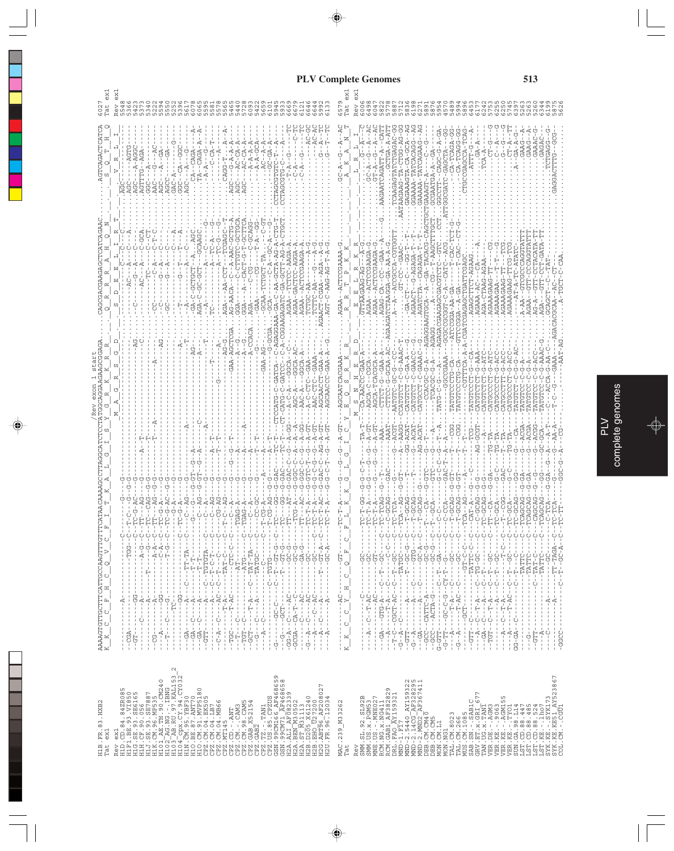| genomes     |
|-------------|
|             |
| ç           |
| リロー         |
| <b>COMO</b> |
| Ì           |
|             |
| j           |
|             |

**PLV** 

| H1B. FR. 83. HXB2<br>ex1<br>at.                                                                                                                                                                                                                                                                                                                                                                           | AAAAGTGUTTTTCATTCCAAGTTTGTTTTTTTTT<br>K K K C F H C V V F                                                                                                                                                                                                                                                                                                                                                                                                                              |                                                               | TAACAAAAGCTAAGGAAT | CTCCTA<br>U.        |                   | CACCACHORGAGUEDO CONSTRU  | AGTCAGACTCAT                                     |                     |
|-----------------------------------------------------------------------------------------------------------------------------------------------------------------------------------------------------------------------------------------------------------------------------------------------------------------------------------------------------------------------------------------------------------|----------------------------------------------------------------------------------------------------------------------------------------------------------------------------------------------------------------------------------------------------------------------------------------------------------------------------------------------------------------------------------------------------------------------------------------------------------------------------------------|---------------------------------------------------------------|--------------------|---------------------|-------------------|---------------------------|--------------------------------------------------|---------------------|
|                                                                                                                                                                                                                                                                                                                                                                                                           |                                                                                                                                                                                                                                                                                                                                                                                                                                                                                        |                                                               |                    |                     |                   |                           |                                                  |                     |
| ex1<br>Rev                                                                                                                                                                                                                                                                                                                                                                                                |                                                                                                                                                                                                                                                                                                                                                                                                                                                                                        |                                                               |                    |                     |                   | α<br>囸<br>$\Box$          |                                                  |                     |
|                                                                                                                                                                                                                                                                                                                                                                                                           | $--TGG$<br>$\frac{1}{1}$<br>$\frac{1}{1}$<br>$\overline{\phantom{a}}$<br>$-4$<br>$\frac{1}{4}$<br>$\mathbf{I}$<br>$\frac{1}{4}$<br>л.<br>$-CGA$                                                                                                                                                                                                                                                                                                                                        | $\frac{1}{1}$<br>$-1$                                         |                    |                     |                   | ↻                         |                                                  |                     |
|                                                                                                                                                                                                                                                                                                                                                                                                           | $\frac{1}{1}$<br>$\frac{1}{1}$<br>$- - - - - - - - - -$<br>$\mathsf I$<br>FP-                                                                                                                                                                                                                                                                                                                                                                                                          | $\frac{1}{1}$<br>U<br>$\frac{1}{1}$                           |                    |                     |                   | ひ                         | $- - - - - - -$                                  |                     |
|                                                                                                                                                                                                                                                                                                                                                                                                           | $\frac{1}{1}$                                                                                                                                                                                                                                                                                                                                                                                                                                                                          | ÷<br>$U - -D - -C - -$                                        |                    |                     |                   | $-6C$ A                   | $- AGA -$<br>GTTTG                               |                     |
|                                                                                                                                                                                                                                                                                                                                                                                                           | $-1 - \frac{1}{2} - \cdots$                                                                                                                                                                                                                                                                                                                                                                                                                                                            | ÷.<br>$\frac{1}{2}$<br>$\frac{1}{\sqrt{2}}$                   |                    |                     |                   |                           |                                                  |                     |
|                                                                                                                                                                                                                                                                                                                                                                                                           |                                                                                                                                                                                                                                                                                                                                                                                                                                                                                        | ÷                                                             |                    |                     |                   | $\overline{\Gamma}$       | $AC - -C$                                        |                     |
|                                                                                                                                                                                                                                                                                                                                                                                                           | $\begin{array}{cccccccccccccc} \multicolumn{2}{c}{} & \multicolumn{2}{c}{} & \multicolumn{2}{c}{} & \multicolumn{2}{c}{} & \multicolumn{2}{c}{} & \multicolumn{2}{c}{} & \multicolumn{2}{c}{} & \multicolumn{2}{c}{} & \multicolumn{2}{c}{} & \multicolumn{2}{c}{} & \multicolumn{2}{c}{} & \multicolumn{2}{c}{} & \multicolumn{2}{c}{} & \multicolumn{2}{c}{} & \multicolumn{2}{c}{} & \multicolumn{2}{c}{} & \multicolumn{2}{c}{} & \multicolumn{2}{c}{} & \multicolumn{2}{c}{} & \$ | 十二                                                            |                    |                     |                   |                           | $-9A$<br>ں<br>ا<br>$G-C---A$<br>ーしひい             | $N$ in in $N$ m     |
| $\sim$                                                                                                                                                                                                                                                                                                                                                                                                    | J.<br>$\frac{1}{1}$<br>븅<br>$-1-\text{TC}$<br>$\frac{1}{1}$<br>÷,<br>$\mathsf{I}$                                                                                                                                                                                                                                                                                                                                                                                                      |                                                               |                    |                     |                   |                           |                                                  |                     |
| $\frac{1}{2}$                                                                                                                                                                                                                                                                                                                                                                                             | $\mathbf I$<br>$\frac{1}{4}$<br>$\frac{1}{4}$                                                                                                                                                                                                                                                                                                                                                                                                                                          | U                                                             |                    |                     |                   |                           | $G - - C$ A<br>$G - - - A$                       |                     |
|                                                                                                                                                                                                                                                                                                                                                                                                           | $- -$ GA                                                                                                                                                                                                                                                                                                                                                                                                                                                                               | U                                                             |                    |                     |                   |                           |                                                  |                     |
|                                                                                                                                                                                                                                                                                                                                                                                                           | $-6A - C - C - C - C - C - C$                                                                                                                                                                                                                                                                                                                                                                                                                                                          |                                                               |                    |                     |                   | .AG<br>$A-C$              | $\therefore$ CA--CAGA-<br>$\therefore$ TA--CAGA- |                     |
| $\begin{small} &\text{HD} & \text{CD} & \text{34. } & \text{4420085} \\ \text{HD} & \text{CD} & \text{35. } & \text{35. } & \text{375. } & \text{38. } & \text{59. } & \text{50. } & \text{50. } & \text{51. } & \text{51. } & \text{53. } & \text{54. } & \text{55. } & \text{56. } & \text{57. } & \text{58. } & \text{59. } & \text{59. } & \text{50. } & \text{50. } & \text{50. } & \text{51. } & \$ | $\mathsf I$<br>$-$ GTT- $-$                                                                                                                                                                                                                                                                                                                                                                                                                                                            |                                                               |                    |                     |                   | -GCAAG<br>AGA-C           | $-A-A$                                           | N 0 10 10 0 H L V 0 |
|                                                                                                                                                                                                                                                                                                                                                                                                           | ţ                                                                                                                                                                                                                                                                                                                                                                                                                                                                                      | -1<br>U                                                       |                    |                     |                   | י<br>ו                    |                                                  |                     |
|                                                                                                                                                                                                                                                                                                                                                                                                           |                                                                                                                                                                                                                                                                                                                                                                                                                                                                                        | $\blacksquare$<br>U                                           |                    |                     |                   |                           |                                                  |                     |
|                                                                                                                                                                                                                                                                                                                                                                                                           | $- - - - - - - - - - - -$                                                                                                                                                                                                                                                                                                                                                                                                                                                              | $\mathbf{I}$                                                  |                    |                     | ပု                |                           | CAGG.                                            |                     |
|                                                                                                                                                                                                                                                                                                                                                                                                           |                                                                                                                                                                                                                                                                                                                                                                                                                                                                                        | $\mathbf{J}$<br>υU                                            |                    |                     | GAA-AGCT          |                           | - 1<br>- 1                                       |                     |
|                                                                                                                                                                                                                                                                                                                                                                                                           |                                                                                                                                                                                                                                                                                                                                                                                                                                                                                        | $\mathbf{I}$                                                  |                    |                     | - - A             |                           |                                                  |                     |
|                                                                                                                                                                                                                                                                                                                                                                                                           |                                                                                                                                                                                                                                                                                                                                                                                                                                                                                        | -14                                                           |                    |                     | $- -A - -1$       |                           | --<br>-- AC<br>---                               |                     |
|                                                                                                                                                                                                                                                                                                                                                                                                           |                                                                                                                                                                                                                                                                                                                                                                                                                                                                                        | UUU                                                           |                    |                     | $-CCA$<br>$-4$    |                           | $-4 - A - A - A -$                               | つりつちり               |
|                                                                                                                                                                                                                                                                                                                                                                                                           |                                                                                                                                                                                                                                                                                                                                                                                                                                                                                        | $\mathcal{A}$                                                 |                    |                     |                   |                           |                                                  |                     |
|                                                                                                                                                                                                                                                                                                                                                                                                           |                                                                                                                                                                                                                                                                                                                                                                                                                                                                                        | $x_1^4 + y_2^2 + z_3^3$<br>U                                  |                    |                     |                   | CAA-TCTGC                 |                                                  | 65                  |
|                                                                                                                                                                                                                                                                                                                                                                                                           | UHUH--U---                                                                                                                                                                                                                                                                                                                                                                                                                                                                             |                                                               |                    |                     |                   |                           | じし                                               |                     |
|                                                                                                                                                                                                                                                                                                                                                                                                           | $\frac{1}{\mathcal{O}}$                                                                                                                                                                                                                                                                                                                                                                                                                                                                | $\frac{1}{2}$                                                 |                    |                     | -AG               | $A-C-AA-G$                |                                                  |                     |
|                                                                                                                                                                                                                                                                                                                                                                                                           |                                                                                                                                                                                                                                                                                                                                                                                                                                                                                        |                                                               |                    |                     |                   | ATC-G<br>AA--T            |                                                  |                     |
|                                                                                                                                                                                                                                                                                                                                                                                                           | $-10 - 0 - 0$<br>$\frac{1}{1}$<br>$\mathbf{I}$<br>中国<br>-GG-A--C----AC<br>--GCGA--CA-T-C                                                                                                                                                                                                                                                                                                                                                                                               |                                                               |                    |                     |                   |                           |                                                  |                     |
|                                                                                                                                                                                                                                                                                                                                                                                                           | $-1 - 10 - 10 - 1$<br>$\frac{1}{1}$                                                                                                                                                                                                                                                                                                                                                                                                                                                    | $\overset{-}{\text{C}}$                                       |                    |                     |                   |                           |                                                  |                     |
|                                                                                                                                                                                                                                                                                                                                                                                                           | $-1 - 5 - 45 - 1$<br>ţ<br>$----C$<br>U<br>÷<br>ł.                                                                                                                                                                                                                                                                                                                                                                                                                                      |                                                               |                    |                     |                   |                           |                                                  |                     |
|                                                                                                                                                                                                                                                                                                                                                                                                           | $-1$<br>$\mathsf I$<br>f,<br>÷<br>$- - AC$<br>$\frac{1}{\mathbf{C}}$<br>ŧ,<br>$-5 - 7$                                                                                                                                                                                                                                                                                                                                                                                                 | ł.                                                            |                    |                     | ÷                 |                           |                                                  |                     |
|                                                                                                                                                                                                                                                                                                                                                                                                           | Ò<br>ロー<br>ł.<br>÷<br>$-C - -AC$<br>ŧ.<br>К<br>Ť                                                                                                                                                                                                                                                                                                                                                                                                                                       | $\frac{1}{2}$<br>J.                                           |                    |                     |                   |                           |                                                  |                     |
|                                                                                                                                                                                                                                                                                                                                                                                                           | $-1 - 1 - 1$<br>$\mathsf I$<br>$---A$<br>$\frac{1}{2}$<br>$- - A$                                                                                                                                                                                                                                                                                                                                                                                                                      | $\frac{1}{2}$<br>$-7 - A$                                     |                    |                     | AGCAAC            |                           |                                                  |                     |
|                                                                                                                                                                                                                                                                                                                                                                                                           | $-9C - A$<br>J.<br>$\mathbf{I}$<br>$- -A -$<br>$- - A$                                                                                                                                                                                                                                                                                                                                                                                                                                 |                                                               |                    |                     | CC-GAA-<br>AGCAAC |                           |                                                  |                     |
|                                                                                                                                                                                                                                                                                                                                                                                                           |                                                                                                                                                                                                                                                                                                                                                                                                                                                                                        |                                                               |                    |                     |                   |                           |                                                  |                     |
| MAC.239_M33262<br>Tat                                                                                                                                                                                                                                                                                                                                                                                     | 5<br>$-25$                                                                                                                                                                                                                                                                                                                                                                                                                                                                             |                                                               | ひ<br>υ υ           | ত                   | AGCAATCACGAAA     | <b>ACTOCAAAAA</b><br>AGAA |                                                  |                     |
|                                                                                                                                                                                                                                                                                                                                                                                                           | $\circ$<br>$\circlearrowright$<br>H<br>$\cup$<br>$\cup$<br>K<br>Χ                                                                                                                                                                                                                                                                                                                                                                                                                      | Ŀ,<br>$\circlearrowright$<br>$\mathbb{L}_1$                   | ٢ŋ                 | ≻                   | $\circ$           |                           | $\overline{z}$                                   | $\bar{a}$           |
| Rev                                                                                                                                                                                                                                                                                                                                                                                                       |                                                                                                                                                                                                                                                                                                                                                                                                                                                                                        |                                                               |                    |                     |                   |                           |                                                  | 6                   |
|                                                                                                                                                                                                                                                                                                                                                                                                           | $C_0$<br>$\frac{1}{\sqrt{2}}$                                                                                                                                                                                                                                                                                                                                                                                                                                                          |                                                               |                    |                     |                   |                           |                                                  | 8                   |
|                                                                                                                                                                                                                                                                                                                                                                                                           | $-1$<br>$\mathbf{I}$<br>$\frac{1}{1}$<br>$-1 - 1 - 1 - 2 - 1$<br>$- - A$                                                                                                                                                                                                                                                                                                                                                                                                               | $\frac{1}{4}$                                                 | ひ                  |                     |                   |                           |                                                  |                     |
| SMM.SL.92.SL92B<br>SMM.US.x.PGM53<br>MNE.US.-.MNE027                                                                                                                                                                                                                                                                                                                                                      | $-6T$<br>$- -AC - -$                                                                                                                                                                                                                                                                                                                                                                                                                                                                   | j.                                                            | τŋ                 |                     |                   |                           |                                                  |                     |
| RCM.NG.x.NG411                                                                                                                                                                                                                                                                                                                                                                                            | -- T-- T--                                                                                                                                                                                                                                                                                                                                                                                                                                                                             |                                                               |                    |                     |                   |                           | ERL.<br>TCAGZ                                    |                     |
| G                                                                                                                                                                                                                                                                                                                                                                                                         | ÷<br>$- - A$                                                                                                                                                                                                                                                                                                                                                                                                                                                                           | ÷                                                             |                    |                     |                   | CTAAGGA-G                 |                                                  |                     |
| RCM.GAB1 AF38282<br>DRL.FAO_AY159321                                                                                                                                                                                                                                                                                                                                                                      |                                                                                                                                                                                                                                                                                                                                                                                                                                                                                        | $\perp$                                                       |                    |                     |                   | S<br>Ū<br>U               | ΰ                                                |                     |
| $MID - 1.FI7$                                                                                                                                                                                                                                                                                                                                                                                             | $\begin{array}{l} \mathbf{A} \, \mathbf{A} \, \mathbf{A} \, \mathbf{A} \, \mathbf{A} \, \mathbf{A} \, \mathbf{A} \, \mathbf{A} \, \mathbf{A} \, \mathbf{A} \, \mathbf{A} \, \mathbf{A} \, \mathbf{A} \, \mathbf{A} \, \mathbf{A} \, \mathbf{A} \, \mathbf{A} \, \mathbf{A} \, \mathbf{A} \, \mathbf{A} \, \mathbf{A} \, \mathbf{A} \, \mathbf{A} \, \mathbf{A} \, \mathbf{A} \, \mathbf{A} \, \mathbf{A$                                                                               | $\mathcal{A}$                                                 |                    |                     |                   |                           |                                                  |                     |
|                                                                                                                                                                                                                                                                                                                                                                                                           |                                                                                                                                                                                                                                                                                                                                                                                                                                                                                        | $\blacksquare$                                                |                    |                     |                   |                           |                                                  |                     |
|                                                                                                                                                                                                                                                                                                                                                                                                           |                                                                                                                                                                                                                                                                                                                                                                                                                                                                                        | <b>ひひひひひひひ</b>                                                |                    |                     | CATGIC            | -G-AGAG                   |                                                  |                     |
|                                                                                                                                                                                                                                                                                                                                                                                                           |                                                                                                                                                                                                                                                                                                                                                                                                                                                                                        |                                                               |                    | G-ACAT              | CATGCCT           |                           | <b>GAAAAA-TATCAGAA</b>                           |                     |
|                                                                                                                                                                                                                                                                                                                                                                                                           |                                                                                                                                                                                                                                                                                                                                                                                                                                                                                        | $\sim 1-1-1$                                                  |                    |                     |                   | A-T.                      |                                                  |                     |
| MWD-2.15440 AY159322<br>MWD-2.14CG AF328295<br>DBB.CN.CN42 AF367411<br>DBB.CN.CN42<br>DBB.CN.CN5<br>MOX.NG1                                                                                                                                                                                                                                                                                               |                                                                                                                                                                                                                                                                                                                                                                                                                                                                                        | $\blacksquare$                                                |                    | ÷                   |                   |                           |                                                  |                     |
|                                                                                                                                                                                                                                                                                                                                                                                                           |                                                                                                                                                                                                                                                                                                                                                                                                                                                                                        |                                                               |                    | $\frac{1}{1}$       | TATG-             | CTC                       |                                                  |                     |
|                                                                                                                                                                                                                                                                                                                                                                                                           |                                                                                                                                                                                                                                                                                                                                                                                                                                                                                        | <b>UUUU</b>                                                   |                    |                     |                   | $  CATC$                  | CGATC-GAGCTA                                     |                     |
|                                                                                                                                                                                                                                                                                                                                                                                                           | $- - - - - - - - - - - -$                                                                                                                                                                                                                                                                                                                                                                                                                                                              |                                                               |                    | $-CCG$              | TATGTCC           | ΰ<br>-                    |                                                  |                     |
|                                                                                                                                                                                                                                                                                                                                                                                                           |                                                                                                                                                                                                                                                                                                                                                                                                                                                                                        | <b>A</b><br>CO<br>$\cup$                                      |                    | Ť.<br>$\frac{1}{4}$ | TATGT             |                           | $-CA-TCAC$                                       |                     |
|                                                                                                                                                                                                                                                                                                                                                                                                           |                                                                                                                                                                                                                                                                                                                                                                                                                                                                                        |                                                               |                    | - CGG<br>÷          |                   |                           | TCA<br>GCCGAGCCA                                 |                     |
|                                                                                                                                                                                                                                                                                                                                                                                                           |                                                                                                                                                                                                                                                                                                                                                                                                                                                                                        | $\frac{1}{1}$                                                 |                    | TCG.<br>÷           | TATGT             |                           |                                                  |                     |
|                                                                                                                                                                                                                                                                                                                                                                                                           |                                                                                                                                                                                                                                                                                                                                                                                                                                                                                        | $-GCA$<br>$\frac{1}{4}$<br>$\frac{1}{1}$<br>U<br>$\mathbf{I}$ |                    | AG-GCGT             |                   |                           | $-6A - A$                                        |                     |
| $\begin{array}{l} \text{TM}.\ \text{CM}.\ 0023\\ \text{TM}.\ \text{CM}.\ 266\\ \text{TM}.\ \text{CM}.\ 266\\ \text{SR}.\ \text{SM}.\ .\ \text{SAB1C}\\ \text{GRV, ET}.\ \text{x. GRI}=\text{677}\\ \text{GRV, ET}.\ \text{x. GRI}=\text{677}\\ \text{GRV, ET}.\ .\ \text{RJ}.\ \text{CM} \end{array}$                                                                                                     |                                                                                                                                                                                                                                                                                                                                                                                                                                                                                        | ں<br>ا<br>U<br>U                                              |                    |                     |                   | $AC - D$                  |                                                  |                     |
|                                                                                                                                                                                                                                                                                                                                                                                                           | $- - - - - - - - - - -$                                                                                                                                                                                                                                                                                                                                                                                                                                                                | ÷<br>U                                                        |                    | ローウ                 |                   |                           |                                                  |                     |
|                                                                                                                                                                                                                                                                                                                                                                                                           |                                                                                                                                                                                                                                                                                                                                                                                                                                                                                        | ÷                                                             |                    |                     |                   |                           |                                                  |                     |
|                                                                                                                                                                                                                                                                                                                                                                                                           |                                                                                                                                                                                                                                                                                                                                                                                                                                                                                        | 十十<br>↻                                                       |                    | ロー                  |                   |                           |                                                  |                     |
|                                                                                                                                                                                                                                                                                                                                                                                                           |                                                                                                                                                                                                                                                                                                                                                                                                                                                                                        | U<br>Ť                                                        |                    | 부부<br>けっ            |                   | GAAAGA<br>GAAAGZ          | $F - A$<br>1111                                  |                     |
|                                                                                                                                                                                                                                                                                                                                                                                                           | $\frac{1}{1}$                                                                                                                                                                                                                                                                                                                                                                                                                                                                          | ÷<br>$\frac{1}{1}$<br>U<br>÷<br>$\frac{1}{4}$                 |                    |                     |                   |                           |                                                  |                     |
|                                                                                                                                                                                                                                                                                                                                                                                                           | $-$ TATTC<br>J.                                                                                                                                                                                                                                                                                                                                                                                                                                                                        | $\frac{1}{1}$<br>U<br>$\frac{1}{1}$<br>t                      |                    |                     |                   |                           |                                                  |                     |
|                                                                                                                                                                                                                                                                                                                                                                                                           | $---TATTC$<br>Í<br>J.<br>J.<br>J.<br>$- -6 - -$                                                                                                                                                                                                                                                                                                                                                                                                                                        | ÷<br>U<br>t<br>$\frac{1}{4}$                                  |                    |                     |                   |                           |                                                  |                     |
|                                                                                                                                                                                                                                                                                                                                                                                                           | $- - - - - - - - - - -$<br>$\frac{1}{1}$<br>$-$ GTT- $-$                                                                                                                                                                                                                                                                                                                                                                                                                               | $\frac{1}{1}$<br>↻<br>$\frac{1}{1}$                           |                    |                     |                   |                           |                                                  |                     |
|                                                                                                                                                                                                                                                                                                                                                                                                           | $-$ -TATTC<br>÷<br>$-4$                                                                                                                                                                                                                                                                                                                                                                                                                                                                | ÷<br>U<br>Ť<br>Ť                                              |                    |                     |                   |                           |                                                  |                     |
| .KE.-.1ho7<br>.KE.-.SYK173<br>.KE.KES1 AY523867<br>.CM.-.CGU1<br>YK                                                                                                                                                                                                                                                                                                                                       | ロー<br>$- -A - - -$<br>$\mathsf I$<br>÷<br>י<br>י<br>$\mathbb{I}$                                                                                                                                                                                                                                                                                                                                                                                                                       |                                                               |                    |                     |                   |                           |                                                  |                     |
| <b>SYK</b>                                                                                                                                                                                                                                                                                                                                                                                                | $- - \frac{\Gamma T}{T} - \frac{\Gamma A G A}{G - A} - C$<br>$\blacksquare$                                                                                                                                                                                                                                                                                                                                                                                                            |                                                               |                    |                     |                   |                           |                                                  |                     |
| COL.                                                                                                                                                                                                                                                                                                                                                                                                      | H<br>- L<br>- L<br>GGCC                                                                                                                                                                                                                                                                                                                                                                                                                                                                |                                                               |                    |                     |                   |                           |                                                  |                     |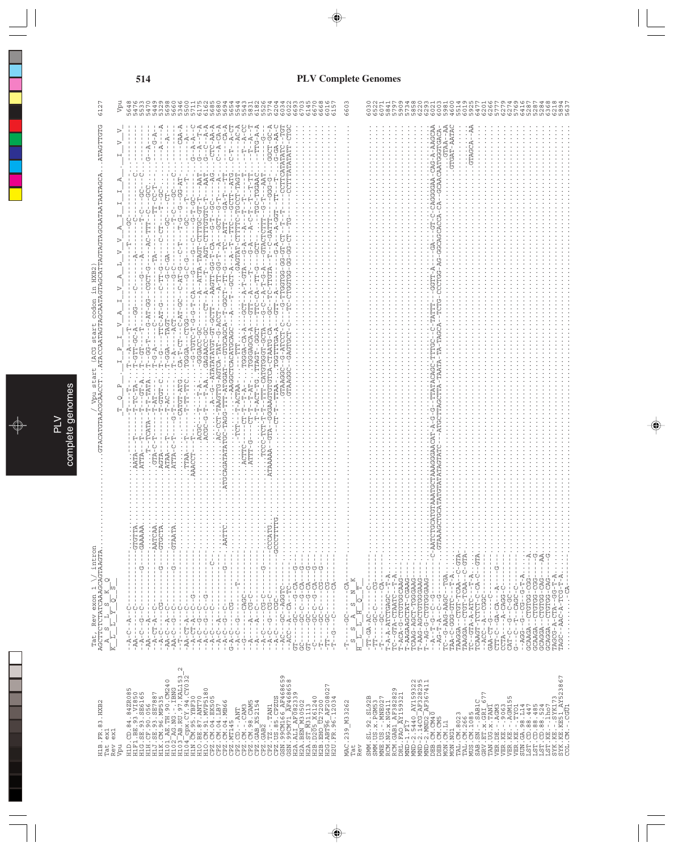complete genomes  $\geq$ 

| $_{\rm vqu}$<br>612<br>. ATAGTTGTG<br>$\mathord{\vartriangleright}^{\! \mathord{\text{\rm l}}\!}$<br>$\triangleright$               |                                                        |                                |                                                                                                                                                                                                                                                                                |                                                     |                                                                                                              |         |  |  |  |  |  |     |  |                                                                                                                                                                                                                                                                                                                                                                                                                                          |                                                                     |          |             | 660                                      |               |                                                                          |         |                                          |                                                                          |  |  |                  |           |                                                                   |  |  | GTAGCA--AA |  |  |  |  |  |                                                                                                                                                                                                                                                                                                                                                                                                                                                                                                                         |
|-------------------------------------------------------------------------------------------------------------------------------------|--------------------------------------------------------|--------------------------------|--------------------------------------------------------------------------------------------------------------------------------------------------------------------------------------------------------------------------------------------------------------------------------|-----------------------------------------------------|--------------------------------------------------------------------------------------------------------------|---------|--|--|--|--|--|-----|--|------------------------------------------------------------------------------------------------------------------------------------------------------------------------------------------------------------------------------------------------------------------------------------------------------------------------------------------------------------------------------------------------------------------------------------------|---------------------------------------------------------------------|----------|-------------|------------------------------------------|---------------|--------------------------------------------------------------------------|---------|------------------------------------------|--------------------------------------------------------------------------|--|--|------------------|-----------|-------------------------------------------------------------------|--|--|------------|--|--|--|--|--|-------------------------------------------------------------------------------------------------------------------------------------------------------------------------------------------------------------------------------------------------------------------------------------------------------------------------------------------------------------------------------------------------------------------------------------------------------------------------------------------------------------------------|
| К<br>$\mapsto$<br>К                                                                                                                 |                                                        |                                |                                                                                                                                                                                                                                                                                |                                                     |                                                                                                              |         |  |  |  |  |  |     |  | $\begin{split} \textbf{1}_{\text{2}}&\text{1}_{\text{2}}\text{1}_{\text{2}}\text{1}_{\text{2}}\text{1}_{\text{2}}\text{1}_{\text{2}}\text{1}_{\text{2}}\text{1}_{\text{2}}\text{1}_{\text{2}}\text{1}_{\text{2}}\text{1}_{\text{2}}\text{1}_{\text{2}}\text{1}_{\text{2}}\text{1}_{\text{2}}\text{1}_{\text{2}}\text{1}_{\text{2}}\text{1}_{\text{2}}\text{1}_{\text{2}}\text{1}_{\text{2}}\text{1}_{\text{2}}\text{1}_{\text{2}}\text{$ |                                                                     |          |             |                                          |               |                                                                          |         |                                          |                                                                          |  |  |                  |           | <b>T-CA</b><br>5                                                  |  |  |            |  |  |  |  |  |                                                                                                                                                                                                                                                                                                                                                                                                                                                                                                                         |
| art (ACG start codon in HXB2)<br>ATACCAATAGTAGCAATAGTAGCATTAGTAGTAGCAATAATAATAGCA<br>$\geq$<br>$\geq$<br>山<br>К<br>$\triangleright$ |                                                        |                                |                                                                                                                                                                                                                                                                                |                                                     |                                                                                                              |         |  |  |  |  |  |     |  |                                                                                                                                                                                                                                                                                                                                                                                                                                          |                                                                     |          |             |                                          |               |                                                                          |         |                                          |                                                                          |  |  |                  | $\cdot$ 1 | -GGCAGCA<br>$\ddot{\cdot}$<br>Q.<br><b>COLOUD-DHUH--</b><br>-GGTT |  |  |            |  |  |  |  |  |                                                                                                                                                                                                                                                                                                                                                                                                                                                                                                                         |
| $\triangleright$<br>$\mathbf{p}_i$                                                                                                  |                                                        |                                |                                                                                                                                                                                                                                                                                |                                                     |                                                                                                              |         |  |  |  |  |  |     |  |                                                                                                                                                                                                                                                                                                                                                                                                                                          |                                                                     |          |             |                                          |               |                                                                          |         |                                          |                                                                          |  |  |                  |           | $T-TATT$<br>TAGCA<br>$\cdot$ U<br>$ TTTGC$                        |  |  |            |  |  |  |  |  |                                                                                                                                                                                                                                                                                                                                                                                                                                                                                                                         |
| GTACATGTAACGCAACCT<br>Jaar<br>$\mathsf{p}_4$<br>o.<br>E.                                                                            |                                                        |                                |                                                                                                                                                                                                                                                                                |                                                     |                                                                                                              |         |  |  |  |  |  |     |  |                                                                                                                                                                                                                                                                                                                                                                                                                                          |                                                                     |          |             |                                          |               |                                                                          |         |                                          |                                                                          |  |  |                  |           | TA-TA<br>TATACAG                                                  |  |  |            |  |  |  |  |  |                                                                                                                                                                                                                                                                                                                                                                                                                                                                                                                         |
|                                                                                                                                     |                                                        |                                |                                                                                                                                                                                                                                                                                |                                                     |                                                                                                              |         |  |  |  |  |  |     |  |                                                                                                                                                                                                                                                                                                                                                                                                                                          |                                                                     |          |             |                                          |               |                                                                          |         |                                          |                                                                          |  |  |                  | GGAACA    | ひ                                                                 |  |  |            |  |  |  |  |  |                                                                                                                                                                                                                                                                                                                                                                                                                                                                                                                         |
|                                                                                                                                     |                                                        |                                |                                                                                                                                                                                                                                                                                |                                                     |                                                                                                              |         |  |  |  |  |  |     |  |                                                                                                                                                                                                                                                                                                                                                                                                                                          |                                                                     |          |             |                                          |               |                                                                          |         |                                          |                                                                          |  |  |                  |           |                                                                   |  |  |            |  |  |  |  |  |                                                                                                                                                                                                                                                                                                                                                                                                                                                                                                                         |
|                                                                                                                                     | 打打                                                     |                                | <b>CAA</b><br>$-2210$<br>$-14410$<br>$\mathbf{I}$                                                                                                                                                                                                                              |                                                     | .<br>ATA                                                                                                     |         |  |  |  |  |  | ATG |  |                                                                                                                                                                                                                                                                                                                                                                                                                                          |                                                                     |          |             |                                          |               |                                                                          |         | $1 - 1$                                  | $\mathbf{1}=\mathbf{1}=\mathbf{1}$<br>$\mathbf{1}=\mathbf{1}=\mathbf{1}$ |  |  | <b>CONDICION</b> |           |                                                                   |  |  |            |  |  |  |  |  |                                                                                                                                                                                                                                                                                                                                                                                                                                                                                                                         |
| Tat, Rev exon 1 \/ intron<br>AGCTTCTCTATCAAAGCAGTAAGTA.<br>— A_S_L_S_K_Q<br>$\vert$ o<br>10<br>♭<br>$\mathbb{H}$                    | 長い<br>Ħ<br>$C - A - C$<br>$-1 - C - C$<br>$-1 - C - C$ | $\blacksquare$<br>$\mathbf{I}$ | $\begin{array}{c} \begin{array}{c} \begin{array}{c} \begin{array}{c} \end{array} \\ \begin{array}{c} \end{array} \\ \begin{array}{c} \end{array} \\ \begin{array}{c} \end{array} \\ \begin{array}{c} \end{array} \\ \begin{array}{c} \end{array} \end{array} \end{array}$<br>Ħ | ł<br>$\frac{1}{\mathbf{C}}$<br>- 50<br>- 51<br>- 51 | $\begin{array}{c} 1 \\ 1 \\ 0 \\ 1 \end{array}$<br>$\frac{1}{1}$<br>$\frac{1}{1}$<br>ŧ<br>÷<br>$\frac{1}{1}$ |         |  |  |  |  |  |     |  |                                                                                                                                                                                                                                                                                                                                                                                                                                          |                                                                     |          |             |                                          | 工業<br>ω<br>Ŧ, | $-\frac{cA}{N}$<br>loi<br>้¦⊨                                            | ÷<br>ł. | $\Gamma = \Gamma$ .<br>$\mathbf{I}$<br>÷ | $1 \quad 1 \quad 1$<br>$rac{1}{2}$ $rac{1}{2}$ $rac{1}{2}$ $rac{1}{2}$   |  |  |                  |           |                                                                   |  |  |            |  |  |  |  |  | $\begin{array}{l} \Delta A_{22} \sim \Delta_{2} \sim \Delta_{2} \sim \Delta_{2} \sim \Delta_{2} \sim \Delta_{2} \sim \Delta_{2} \sim \Delta_{2} \sim \Delta_{2} \sim \Delta_{2} \sim \Delta_{2} \sim \Delta_{2} \sim \Delta_{2} \sim \Delta_{2} \sim \Delta_{2} \sim \Delta_{2} \sim \Delta_{2} \sim \Delta_{2} \sim \Delta_{2} \sim \Delta_{2} \sim \Delta_{2} \sim \Delta_{2} \sim \Delta_{2} \sim \Delta_{2} \sim \Delta_{2} \sim \Delta_{2} \sim \Delta_{2} \sim \Delta_{2} \sim \Delta_{2} \sim \Delta_{2} \sim \$ |
| 니<br>IJ,<br>k                                                                                                                       | $A-C$<br>$-AA$                                         | $- A - C$                      | $-AA$                                                                                                                                                                                                                                                                          | $- - A$                                             | $-1$ - $-$<br>$\overline{C}$<br>AA.                                                                          | $-4A-C$ |  |  |  |  |  |     |  |                                                                                                                                                                                                                                                                                                                                                                                                                                          | $\begin{bmatrix} 1 & 1 & 1 \\ 1 & 1 & 1 \\ 0 & 0 & 0 \end{bmatrix}$ | 44<br>우두 | $-TT-$<br>Н | CO-<br>J.<br>$\mathsf I$<br>J<br>Π.<br>Н | S<br>C)       | $\begin{bmatrix} \mathbf{A}_1 \\ \mathbf{B}_2 \end{bmatrix}$<br>니<br>้∣≖ |         |                                          |                                                                          |  |  |                  |           |                                                                   |  |  |            |  |  |  |  |  |                                                                                                                                                                                                                                                                                                                                                                                                                                                                                                                         |

 $\begin{tabular}{ll} \texttt{MAC} .239\_M33262 \\ \texttt{R1} & .92 .51.929 \\ \texttt{NM} & .151 . .22 .519027 \\ \texttt{NM} & .151 . .232 \\ \texttt{NM} & .1521 . 5440 \\ \texttt{NM} & .15321 \\ \texttt{NM} & .1511 . 542 \\ \texttt{NM} & .1511 . 542 \\ \texttt{NM} & .1511 . 542 \\ \texttt{NM} & .1511 . 542 \\ \texttt{NM} & .1511 . 542 \\ \texttt{NM} & .151$ 523867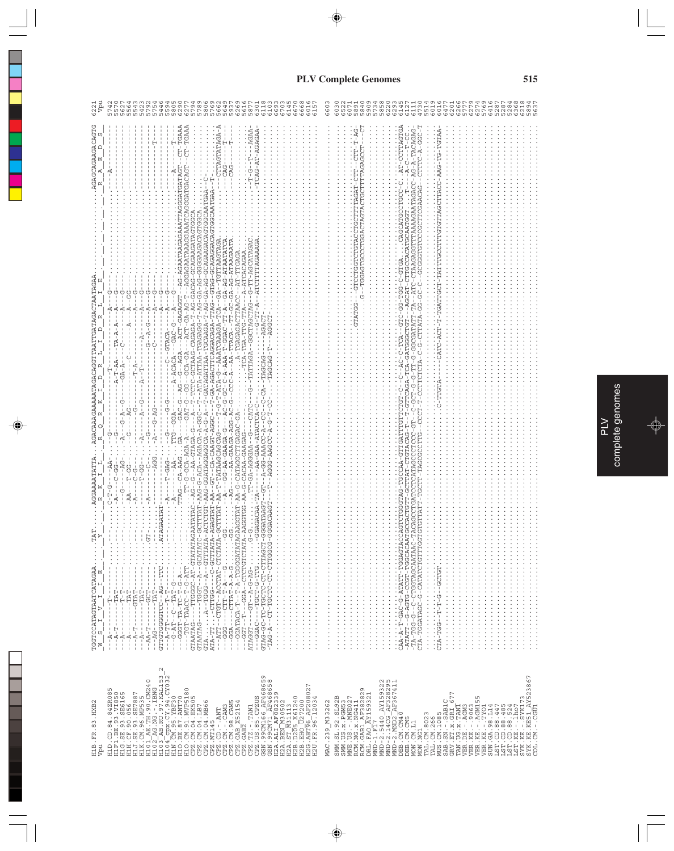| 6221<br>Σpι                                                                                                                                      | 574.<br>54<br>54<br>29<br>42<br>57<br>மம<br>LO<br><u> տ տ տ տ տ</u><br>6<br>LO<br>LO<br>m m m                                                                                                                                                                                                                                                                                                                                                                                                                                                                                                                                           | <b>66</b><br>660<br>$-67$<br>601<br>615<br>G<br>G | $\frac{9}{8}$<br>600<br>07<br>৩<br>৩<br><u>un un un un vo</u> vo                                                                                                                                                                                                                                                     | 20<br>$\frac{1}{4}$ 8<br>$\frac{8}{28}$<br>36<br>267<br>27<br>27<br>G<br>9 N O<br>G<br>LN<br>O<br>LN<br>$\circ$<br><b>vo</b> in in                                                                                                                                                                                                                           |
|--------------------------------------------------------------------------------------------------------------------------------------------------|-----------------------------------------------------------------------------------------------------------------------------------------------------------------------------------------------------------------------------------------------------------------------------------------------------------------------------------------------------------------------------------------------------------------------------------------------------------------------------------------------------------------------------------------------------------------------------------------------------------------------------------------|---------------------------------------------------|----------------------------------------------------------------------------------------------------------------------------------------------------------------------------------------------------------------------------------------------------------------------------------------------------------------------|--------------------------------------------------------------------------------------------------------------------------------------------------------------------------------------------------------------------------------------------------------------------------------------------------------------------------------------------------------------|
| .AGAGCAGAAGACAGTG<br>R A E D S                                                                                                                   | --CT-TGAAA<br>CT-TGAAA<br>- I -<br>- CTTAGTATAGA -<br>--AGAA<br>-TCAG-AT-AGAGAAA<br>$\frac{1}{1}$<br>÷<br>Ţ<br>CAG-<br>$CAG-$<br>$\vec{A}$<br>$-1$                                                                                                                                                                                                                                                                                                                                                                                                                                                                                      |                                                   | FD-<br>$T-T-AG$<br>ن<br>آ<br>シー<br>TTAGAT                                                                                                                                                                                                                                                                            |                                                                                                                                                                                                                                                                                                                                                              |
| .AGACAAAGAAAATAGACAGGTTAATTGATAGACTAATAGAA<br>R O R K I D R L I D R L I R L I                                                                    | U<br>$-\frac{5}{1}$<br>$-1 - 1$<br>ひ<br>ひ<br>99<br>Ġ<br>ひ<br>ひ<br>ロー<br>也<br>$- -A - -$<br>$- A -$<br>$\rm A$<br>$- A -$<br>$- - A -$<br>$\vec{A}$<br>--AGGCT<br>$-2 - 2 - 2CACA - - - GAC - G -$<br>$-4$<br>$G - A - G$<br>$-$ - TA - A - A<br>$-100P10P$<br>$- A -$<br>U<br>↻<br>$-TAGCAG-T-$<br>$A-T-AA$<br>$-GA - A -$<br>$- \, T - \, A \, -$<br>Ė<br>$-4 - T$<br>$-5 - 5 - -$<br>$-A$ --G-A--G-<br>$-4-6$<br>$-2A - -C - AC -$<br>$-$ 455--5TT.<br>$-AG-$<br>$\frac{1}{\sqrt{2}}$<br>$-5 -$<br>$\frac{1}{\sigma}$<br>$-4-1$<br>$\overline{c}_{\overline{1}}^{\dagger}$<br>$\frac{1}{2}$                                           |                                                   | σολαγούσαστη -ασπαλτιστημαντική προσωπική του Στολού του Στολού και του Στολού και του Στολού και του Στουργατι<br>Στολογία της προσωπικής προσωπικής που προσωπικής ανακοίνησης του Στολού και του Στολού και του Στουργίου κα<br>- LUUUCCAUALLIUCLUCCLUCCUUCUUUUUUUCCUL - U<br>もじり<br>GTCTGTAC<br>-GLC<br>. GTATGG | - CATC-FC-T-TGATTGCT-TATTTGCTTTGTGTTAGCTTAGC-AAG-TGTGTAAG-T-GTAAG-TGTAAG<br>$T$ -TTGTA                                                                                                                                                                                                                                                                       |
| AGGAAAATATTA.<br>ᆸ<br>×<br>$\approx$<br>EAT                                                                                                      | $-AGG$<br>$-AA-$<br>$-T-T-T-T$<br>$-AC$<br>$-AA$<br>$T - GG -$<br>$-5 - 0$<br>$-55 - 4 -$<br>ပုံ<br>99 - 0 -<br>Í<br>$C-T-G$<br>$\sigma$ <sup>1</sup><br>$-A$ -<br>$-A -$<br>$-AA-$<br>$-A-$<br>$-A$ -                                                                                                                                                                                                                                                                                                                                                                                                                                  |                                                   |                                                                                                                                                                                                                                                                                                                      |                                                                                                                                                                                                                                                                                                                                                              |
| TGGTCCATAGTAATCATAGAA<br>$\begin{bmatrix} x \end{bmatrix}$<br>$\overline{a}$<br>$\mapsto$<br>$\triangleright$<br>$\mapsto$<br>$\Omega$<br>$\geq$ | ---GGAC----TGCT-G-TTG<br>GTAG-GC-TC-TGCTC-CT-CTTAGCT-<br>-TAG-A--CT-TGCTC-CT-CTTAGCG-                                                                                                                                                                                                                                                                                                                                                                                                                                                                                                                                                   |                                                   |                                                                                                                                                                                                                                                                                                                      |                                                                                                                                                                                                                                                                                                                                                              |
| H1B.FR.83.HXB2<br>Vpu                                                                                                                            | $\begin{smallmatrix} \texttt{CEZ} & \texttt{TM1} & \texttt{TM2} & \texttt{TM3} \\ \texttt{CEZ} & \texttt{US} & \texttt{CSZU5} & \texttt{CEZU5} \\ \texttt{CEZ} & \texttt{US} & \texttt{OSU} & \texttt{SEZU5} \\ \texttt{CSX} & \texttt{SSU} & \texttt{SSU} & \texttt{SEZ} & \texttt{SEZ} \\ \texttt{CSX} & \texttt{SSU} & \texttt{SSU} & \texttt{SEZ} & \texttt{SEZ} \\ \texttt{H2A} & \texttt{AB} & \texttt{B11113} & \texttt{SEZ$<br>HID. CD. 84, 84 ZR085<br>HIG. 5E, 93, VIBSO<br>HIG. 5E, 93, SBGL65<br>HIJ. 5E, 93, SBG187<br>HIX. CM. 96, MP535<br>CPZ : CM : - . CAM3<br>CPZ : CM : 98 : CAM5<br>CPZ : CAB X52154<br>CPZ : GAB2 | MAC.239 M33262                                    | MND-1.1777<br>MND-2.5440 AX159322<br>MND-2.5440 AX159322<br>MND-2.1MD27.AF328295<br>DBB.CM.CM3<br>MOR.CM.LM5<br>MOR.NG1.<br>MOR.NG1.<br>RCM.NG.x.NG411<br>RCM.GAB1 AF382829<br>DRL.FAO AY159321<br>SMM.SL.92.SL92B<br>SMM.US.x.PGM53<br>MNE.US.-.MNE027                                                              | $\begin{tabular}{l} \hline p_11.701, 0023 \\ \hline R12.701, 2665 \\ \hline GR12.704, 2665 \\ \hline GR13.1265, 2604 \\ \hline GR13.127, 2604 \\ \hline PR13.127, 2604 \\ \hline Y123.127, 2604 \\ \hline Y123.127, 2604 \\ \hline Y123.127, 2604 \\ \hline Y123.127, 2604 \\ \hline Y123.127, 2604 \\ \hline L23.127, 2604 \\ \$<br><b>COL.CM. - . CGU1</b> |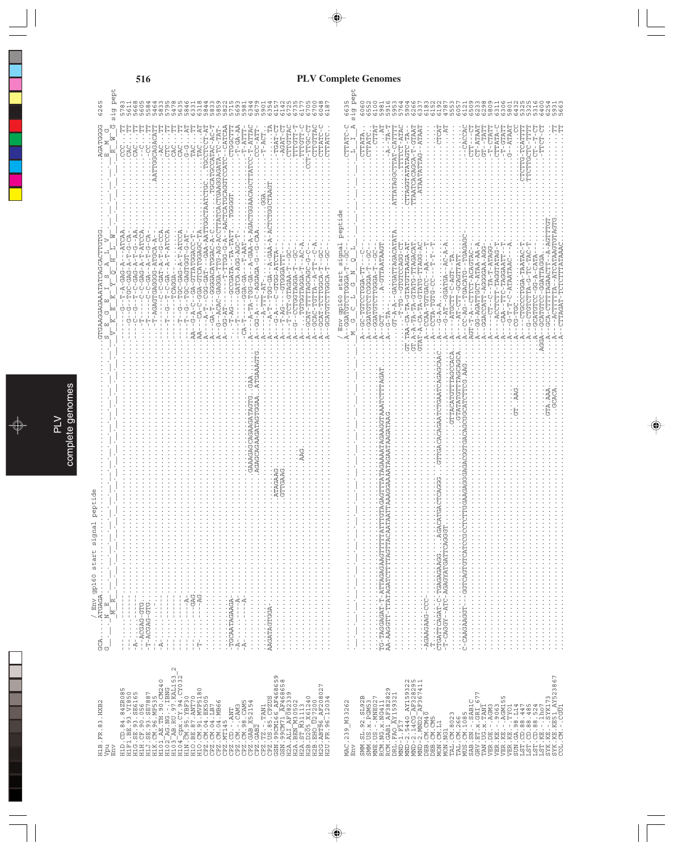|  | ¢<br>ļ<br>è<br>ž<br>ŕ<br>J<br> <br> <br> <br>ì<br>ĩ |
|--|-----------------------------------------------------|
|  |                                                     |

mes

| H1B.FR.83.HXB2                                                                                                                                                                                                                                                                                                                                                                                                                            | peptide<br>/ Env gp160 start signa<br>$\ldots$ ATGAGA $\ldots$<br>GCA.                                                                                                                                                                                                                                                                                                                                                                                                  | 6265                                                                                                                                                                                                                                                           |                               |
|-------------------------------------------------------------------------------------------------------------------------------------------------------------------------------------------------------------------------------------------------------------------------------------------------------------------------------------------------------------------------------------------------------------------------------------------|-------------------------------------------------------------------------------------------------------------------------------------------------------------------------------------------------------------------------------------------------------------------------------------------------------------------------------------------------------------------------------------------------------------------------------------------------------------------------|----------------------------------------------------------------------------------------------------------------------------------------------------------------------------------------------------------------------------------------------------------------|-------------------------------|
| pu <sub>3</sub>                                                                                                                                                                                                                                                                                                                                                                                                                           | $\frac{1}{2}$<br>$\frac{1}{2}$<br>凹<br>$\mathbb{Z}$<br>$\ddot{\phantom{0}}$<br>ひ                                                                                                                                                                                                                                                                                                                                                                                        | . AGATGGGG<br>E M G<br>GTGAAGGAGAATATCAGCACTTGTGG<br>S E G E I S A L V                                                                                                                                                                                         |                               |
| $_{\rm{Env}}$                                                                                                                                                                                                                                                                                                                                                                                                                             | ¦><br>Ιĸ<br>İΣ                                                                                                                                                                                                                                                                                                                                                                                                                                                          | sig<br><b>IU</b><br>∣≈<br>Ιœ<br>∣≊<br>ᄇ<br>10<br>⊳<br>lУ<br>回<br>IУ                                                                                                                                                                                            | beb                           |
|                                                                                                                                                                                                                                                                                                                                                                                                                                           | $\frac{1}{2}$                                                                                                                                                                                                                                                                                                                                                                                                                                                           | E<br>Ę<br>CAC.<br>CCC.<br>-ATCAA<br>$-T-T-G-CA$<br>$-10A0 - 0A0 - A$<br>$-T - A - GAG - A$<br>$\frac{1}{\sqrt{2}}$<br>$\frac{1}{1}$<br>٢ņ                                                                                                                      | 576605<br>56660<br>56605      |
|                                                                                                                                                                                                                                                                                                                                                                                                                                           | $\begin{minipage}{0.99\textwidth} \begin{minipage}{0.99\textwidth} \begin{tabular}{@{}l@{}} \multicolumn{2}{c}{\textbf{0.99\textwidth} \begin{tabular}{@{}l@{}}\multicolumn{2}{c}{\textbf{0.99\textwidth} \begin{tabular}{@{}l@{}}\multicolumn{2}{c}{\textbf{0.99\textwidth} \begin{tabular}{@{}l@{}}\multicolumn{2}{c}{\textbf{0.99\textwidth} \begin{tabular}{@{}l@{}}\multicolumn{2}{c}{\textbf{0.99\textwidth} \begin{tabular}{@{}l@{}}\multicolumn{2}{c}{\textbf{$ | CAC.<br>やーー<br>C                                                                                                                                                                                                                                               |                               |
|                                                                                                                                                                                                                                                                                                                                                                                                                                           |                                                                                                                                                                                                                                                                                                                                                                                                                                                                         | $\frac{1}{2}$<br>$-C-GAG - A - T - ATCCA$<br>i<br>1<br>Π.<br>н                                                                                                                                                                                                 |                               |
|                                                                                                                                                                                                                                                                                                                                                                                                                                           |                                                                                                                                                                                                                                                                                                                                                                                                                                                                         | CAGACATT<br>C <sub>1</sub><br>$-T-T-G-CA$<br>-T-AGAGTGAGG-ATGCA-A<br>$\overline{A}$<br>$-5 - 5 - 5 - 5 - 5$<br>Н                                                                                                                                               |                               |
|                                                                                                                                                                                                                                                                                                                                                                                                                                           |                                                                                                                                                                                                                                                                                                                                                                                                                                                                         | $-AC$<br>AUU-U-H-A-HAU-U-<br>ن<br>ا<br>L.<br>$\cdot$                                                                                                                                                                                                           |                               |
|                                                                                                                                                                                                                                                                                                                                                                                                                                           |                                                                                                                                                                                                                                                                                                                                                                                                                                                                         | CHC<br>$- -A - T - A T C C A$<br>$-5 - 7 - 7$<br>$-9 - 7 - 7$<br>턱                                                                                                                                                                                             |                               |
| $\mathsf{\sim}$                                                                                                                                                                                                                                                                                                                                                                                                                           | $\mathbf{I}$                                                                                                                                                                                                                                                                                                                                                                                                                                                            | CAC<br>--TCAGGA                                                                                                                                                                                                                                                |                               |
|                                                                                                                                                                                                                                                                                                                                                                                                                                           | $\begin{bmatrix} 1 & 1 & 1 & 1 \\ 1 & 1 & 1 & 1 \\ 1 & 1 & 1 & 1 \\ 1 & 1 & 1 & 1 \\ 1 & 1 & 1 & 1 \\ 1 & 1 & 1 & 1 \\ 1 & 1 & 1 & 1 \\ 1 & 1 & 1 & 1 \\ 1 & 1 & 1 & 1 \\ 1 & 1 & 1 & 1 \\ 1 & 1 & 1 & 1 \\ 1 & 1 & 1 & 1 & 1 \\ 1 & 1 & 1 & 1 & 1 \\ 1 & 1 & 1 & 1 & 1 \\ 1 & 1 & 1 & 1 & 1 \\ 1 & 1 & 1 & 1 & 1 \\ 1 & 1 & $<br>$\overline{\phantom{a}}$                                                                                                              | $\cdot$<br>CAC<br>턱                                                                                                                                                                                                                                            |                               |
|                                                                                                                                                                                                                                                                                                                                                                                                                                           | AA<br>$\ddot{A}$                                                                                                                                                                                                                                                                                                                                                                                                                                                        | $\ldots$ AT<br>$TAC$<br>$\frac{1}{6}$<br>- H-UOCOURTHU-CO--U-F-U-F-<br>H4-5-H55H545-U5H--5--<br>Н                                                                                                                                                              |                               |
|                                                                                                                                                                                                                                                                                                                                                                                                                                           | $T$ - $\ldots$ $\ldots$ - - - - - - AG.                                                                                                                                                                                                                                                                                                                                                                                                                                 | .74T<br>.TAC.<br>-GGA-GTCATGAGC-TA<br>$-CA-C$<br>$AA -$                                                                                                                                                                                                        |                               |
|                                                                                                                                                                                                                                                                                                                                                                                                                                           |                                                                                                                                                                                                                                                                                                                                                                                                                                                                         | ĀТ<br>TGCCTCCT-<br>CTAATCTG<br>-GAA-AATTGG<br>$- A - T - CGG - GAT - -$<br>$A - - -$                                                                                                                                                                           |                               |
|                                                                                                                                                                                                                                                                                                                                                                                                                                           | $\vdots$<br>ŧ<br>$\vdots$                                                                                                                                                                                                                                                                                                                                                                                                                                               | $A - 3 - 12400 - 34000 + 34000 + 34000 + 34000 + 34000 + 34000 + 34000 + 34000 + 34000 + 34000 + 34000 + 34000 + 34000 + 34000 + 34000 + 34000 + 34000 + 34000 + 34000 + 34000 + 34000 + 34000 + 34000 + 34000 + 34000 + 34000 + 34000 + 34000 + 34000 + 3400$ |                               |
|                                                                                                                                                                                                                                                                                                                                                                                                                                           | $\vdots$                                                                                                                                                                                                                                                                                                                                                                                                                                                                |                                                                                                                                                                                                                                                                |                               |
|                                                                                                                                                                                                                                                                                                                                                                                                                                           |                                                                                                                                                                                                                                                                                                                                                                                                                                                                         |                                                                                                                                                                                                                                                                |                               |
|                                                                                                                                                                                                                                                                                                                                                                                                                                           |                                                                                                                                                                                                                                                                                                                                                                                                                                                                         |                                                                                                                                                                                                                                                                |                               |
|                                                                                                                                                                                                                                                                                                                                                                                                                                           |                                                                                                                                                                                                                                                                                                                                                                                                                                                                         |                                                                                                                                                                                                                                                                |                               |
|                                                                                                                                                                                                                                                                                                                                                                                                                                           |                                                                                                                                                                                                                                                                                                                                                                                                                                                                         | $-CA-T$                                                                                                                                                                                                                                                        |                               |
|                                                                                                                                                                                                                                                                                                                                                                                                                                           | $A -$<br>GAAAGCAGAATAGTG                                                                                                                                                                                                                                                                                                                                                                                                                                                |                                                                                                                                                                                                                                                                |                               |
|                                                                                                                                                                                                                                                                                                                                                                                                                                           | К<br>AGAGCAGAAGATAGTOGAAATGAAAGTG                                                                                                                                                                                                                                                                                                                                                                                                                                       | CCC-ATT<br>ARD-5--5-RDRDDR-D---R-55--                                                                                                                                                                                                                          |                               |
|                                                                                                                                                                                                                                                                                                                                                                                                                                           | $\stackrel{\text{I}}{\Delta}$                                                                                                                                                                                                                                                                                                                                                                                                                                           | $-T - A C T$                                                                                                                                                                                                                                                   |                               |
|                                                                                                                                                                                                                                                                                                                                                                                                                                           | $\mathbb{A}$ –                                                                                                                                                                                                                                                                                                                                                                                                                                                          |                                                                                                                                                                                                                                                                |                               |
|                                                                                                                                                                                                                                                                                                                                                                                                                                           | $\mathbb{A}^-$<br>ATAGAAG                                                                                                                                                                                                                                                                                                                                                                                                                                               | $\begin{array}{c} \cdot \cdot \cdot \cdot \cdot \cdot \cdot \text{TA} \\ - \text{TGAN} - \text{CT} \end{array}$<br>- - ATUPIC-00PG-0-14-0                                                                                                                      |                               |
|                                                                                                                                                                                                                                                                                                                                                                                                                                           | $\rm A$<br><b>GTTGAAG</b>                                                                                                                                                                                                                                                                                                                                                                                                                                               | $-AGATT - CT$                                                                                                                                                                                                                                                  |                               |
|                                                                                                                                                                                                                                                                                                                                                                                                                                           | Ŕ,                                                                                                                                                                                                                                                                                                                                                                                                                                                                      | CTTGTTAC<br>$-TABORTT$ -TCT-TCT-T                                                                                                                                                                                                                              |                               |
|                                                                                                                                                                                                                                                                                                                                                                                                                                           | Ą                                                                                                                                                                                                                                                                                                                                                                                                                                                                       | <b>LLLCLL-1</b><br>H-4554H55H55----                                                                                                                                                                                                                            |                               |
|                                                                                                                                                                                                                                                                                                                                                                                                                                           | 4                                                                                                                                                                                                                                                                                                                                                                                                                                                                       | TTTGTT-C<br>$-4$<br>. TGTGGTAGGA-T                                                                                                                                                                                                                             |                               |
|                                                                                                                                                                                                                                                                                                                                                                                                                                           | Ą                                                                                                                                                                                                                                                                                                                                                                                                                                                                       | 6705<br>CCT-TPGC-C<br>U-U-UCAT-TTTTL-TAUU--                                                                                                                                                                                                                    |                               |
|                                                                                                                                                                                                                                                                                                                                                                                                                                           | K.                                                                                                                                                                                                                                                                                                                                                                                                                                                                      | 6700<br>CTTGTTAC<br>$-4$<br>$\frac{1}{2}$<br>GCAC-TGTTA--A-TT                                                                                                                                                                                                  |                               |
|                                                                                                                                                                                                                                                                                                                                                                                                                                           | K.                                                                                                                                                                                                                                                                                                                                                                                                                                                                      | $-1$                                                                                                                                                                                                                                                           |                               |
| H2A.ST M31113<br>H2B.D2O5 X61240<br>H2B.BHO U27200<br>H2G.ABT96 AF208027<br>H2U.FR.96-12034                                                                                                                                                                                                                                                                                                                                               |                                                                                                                                                                                                                                                                                                                                                                                                                                                                         | 60487<br>CTTATC-C<br>GCAT-TCTTGGCA-T                                                                                                                                                                                                                           |                               |
|                                                                                                                                                                                                                                                                                                                                                                                                                                           | K.                                                                                                                                                                                                                                                                                                                                                                                                                                                                      | CTTATC<br>- 10-1<br>F-AUGULULURAUG                                                                                                                                                                                                                             |                               |
|                                                                                                                                                                                                                                                                                                                                                                                                                                           |                                                                                                                                                                                                                                                                                                                                                                                                                                                                         |                                                                                                                                                                                                                                                                |                               |
| MAC.239 M33262                                                                                                                                                                                                                                                                                                                                                                                                                            | К                                                                                                                                                                                                                                                                                                                                                                                                                                                                       | CTTATC-C<br>signal peptide<br>9<br>Env gp160 start s<br>-GGATGTCTTGGGA-T-                                                                                                                                                                                      |                               |
|                                                                                                                                                                                                                                                                                                                                                                                                                                           | .<br>.                                                                                                                                                                                                                                                                                                                                                                                                                                                                  | $\geq$<br>U<br>Σ                                                                                                                                                                                                                                               | 6635<br>sig pept              |
| Env                                                                                                                                                                                                                                                                                                                                                                                                                                       |                                                                                                                                                                                                                                                                                                                                                                                                                                                                         | К<br>$\overline{a}$<br>д<br>$\circ$<br>Ü<br>4<br>Ü                                                                                                                                                                                                             |                               |
| SMM.SL.92.SL92B<br>SMM.US.x.PGM53                                                                                                                                                                                                                                                                                                                                                                                                         | $\cdot$ A-<br>$\frac{1}{2}$ : $\frac{1}{2}$ : $\frac{1}{2}$ : $\frac{1}{2}$ : $\frac{1}{2}$ : $\frac{1}{2}$                                                                                                                                                                                                                                                                                                                                                             | CTTATA<br>$-1$<br>-TH-AGGHOULONF-UP-                                                                                                                                                                                                                           | 6060<br>6050<br>600           |
|                                                                                                                                                                                                                                                                                                                                                                                                                                           | .<br>$\vdots$<br>$\vdots$                                                                                                                                                                                                                                                                                                                                                                                                                                               | CTTATC<br>$-9$<br>A-CGATCTOTOCGA-T                                                                                                                                                                                                                             |                               |
| MNE. US. - . MNE027                                                                                                                                                                                                                                                                                                                                                                                                                       | $\vdots$                                                                                                                                                                                                                                                                                                                                                                                                                                                                | $\ldots$ CTTAI<br>- 20- - H - ROODHIDHOHROO - - R                                                                                                                                                                                                              |                               |
| RCM.NG.X.NG411                                                                                                                                                                                                                                                                                                                                                                                                                            | $A - 1$<br>TGTAGAGTTTATAGAAAATAGAAGGTAAATCTTAGAT<br>TG-TAGGAGAT-T-ATTAGAGAAGTTTTAT                                                                                                                                                                                                                                                                                                                                                                                      | $\ldots$ $\ldots$ $\ldots$ $\vdots$<br>GCTA-GTTAATAAGT                                                                                                                                                                                                         |                               |
|                                                                                                                                                                                                                                                                                                                                                                                                                                           | $-4 - 1$<br>TAATTAAAGGAAAATAGAATAAGATAAG<br>AA-AAGGTT-TTATAGATCTTTTAGTTACAA                                                                                                                                                                                                                                                                                                                                                                                             | $- A - T A - T$<br>$G-TA-$                                                                                                                                                                                                                                     |                               |
| RCM.GAB1 AF382829<br>DRL.FAO AY159321                                                                                                                                                                                                                                                                                                                                                                                                     |                                                                                                                                                                                                                                                                                                                                                                                                                                                                         | ATTATAGGCTTAT-CATTT                                                                                                                                                                                                                                            |                               |
| $MID - 1.FI7$                                                                                                                                                                                                                                                                                                                                                                                                                             | .<br>$\begin{array}{c} \vdots \\ \vdots \\ \vdots \end{array}$                                                                                                                                                                                                                                                                                                                                                                                                          | TTTTCT-ATAC<br>HU-DORUUHDHD--DH-H---                                                                                                                                                                                                                           |                               |
|                                                                                                                                                                                                                                                                                                                                                                                                                                           | $\vdots$<br>$\vdots$<br>$\cdot$                                                                                                                                                                                                                                                                                                                                                                                                                                         | CTTAGGTATATAGTC-TA-<br>TR-KORALDER - CH-ST-CH-ST-CH-ST-CH-ST-CH-ST-CH-ST-CH-ST-CH-ST-CH-ST-CH-ST-CH-ST-CH-ST-CH-ST-CH-ST-CH-                                                                                                                                   |                               |
| MND-2.5440 AY159322<br>MND-2.14CG AF328295<br>MND-2.MND2 AF367411                                                                                                                                                                                                                                                                                                                                                                         | $\frac{1}{1}$<br>$\vdots$<br>$\cdot$                                                                                                                                                                                                                                                                                                                                                                                                                                    | TTAATCACAGCA-T-GTAAT                                                                                                                                                                                                                                           |                               |
|                                                                                                                                                                                                                                                                                                                                                                                                                                           |                                                                                                                                                                                                                                                                                                                                                                                                                                                                         | GT.A-A-TA-TA-GTATG-TTAGACAT                                                                                                                                                                                                                                    |                               |
|                                                                                                                                                                                                                                                                                                                                                                                                                                           |                                                                                                                                                                                                                                                                                                                                                                                                                                                                         | . ATAATATTAG--ATAAT<br>CHAT-A-CA-TATO-A-CA-THATO                                                                                                                                                                                                               |                               |
| $\begin{array}{l} \mathtt{MND-2.}\ \mathtt{MND2\_A} \\ \mathtt{DEB.}\ \mathtt{CM.}\ \mathtt{CMA}\ \overline{0} \\ \mathtt{DEB.}\ \mathtt{CM.}\ \mathtt{CMS} \\ \mathtt{DKB} \\ \mathtt{MON.}\ \mathtt{CM.}\ \mathtt{L1} \end{array}$                                                                                                                                                                                                      |                                                                                                                                                                                                                                                                                                                                                                                                                                                                         | f,<br>. A--CCAA-TGTGACC--AA--                                                                                                                                                                                                                                  |                               |
|                                                                                                                                                                                                                                                                                                                                                                                                                                           | ⊢                                                                                                                                                                                                                                                                                                                                                                                                                                                                       | $A - -CCTA - TGC - - -T - T - T - T - T$                                                                                                                                                                                                                       |                               |
|                                                                                                                                                                                                                                                                                                                                                                                                                                           | CATGACTCAGGG<br>. "<br>CTGATTCAGAT-C-TGAGAGAAGG AGA<br>-T-CAGGY - - ATC-AGAGYATGATTCAGGGT                                                                                                                                                                                                                                                                                                                                                                               | $\ldots$ ctcat<br>$A$ ---G-A-A<br>A---G-AT--GGATGA--AC-A-A                                                                                                                                                                                                     |                               |
| MON.NG1                                                                                                                                                                                                                                                                                                                                                                                                                                   | CTTACATGTTAGCCACA                                                                                                                                                                                                                                                                                                                                                                                                                                                       | $\ldots$ AT                                                                                                                                                                                                                                                    |                               |
|                                                                                                                                                                                                                                                                                                                                                                                                                                           |                                                                                                                                                                                                                                                                                                                                                                                                                                                                         | $A---TGCTT-C-AGT--TA.$                                                                                                                                                                                                                                         |                               |
|                                                                                                                                                                                                                                                                                                                                                                                                                                           | CORPORATIONALISOPOROCOROPORATION (CORPORATION)<br>C-CAAGAAGGT---GGTCAGTCATCATCGCCC                                                                                                                                                                                                                                                                                                                                                                                      | -CACCAC<br>A----AT-CTT-GCAGTTATT                                                                                                                                                                                                                               |                               |
|                                                                                                                                                                                                                                                                                                                                                                                                                                           |                                                                                                                                                                                                                                                                                                                                                                                                                                                                         | A--CC-AG--TGACATG--TGAGAG<br>AGT-T-A--CTTCT-ACACTAC---                                                                                                                                                                                                         |                               |
|                                                                                                                                                                                                                                                                                                                                                                                                                                           | $\begin{bmatrix} 1 & 0 & 0 \\ 0 & 1 & 0 \\ 0 & 0 & 0 \\ 0 & 0 & 0 \\ 0 & 0 & 0 \\ 0 & 0 & 0 \\ 0 & 0 & 0 \\ 0 & 0 & 0 & 0 \\ 0 & 0 & 0 & 0 \\ 0 & 0 & 0 & 0 \\ 0 & 0 & 0 & 0 & 0 \\ 0 & 0 & 0 & 0 & 0 \\ 0 & 0 & 0 & 0 & 0 \\ 0 & 0 & 0 & 0 & 0 & 0 \\ 0 & 0 & 0 & 0 & 0 & 0 \\ 0 & 0 & 0 & 0 & 0 & 0 \\ 0 & 0 & 0 & 0 & 0 & $<br>$\vdots$                                                                                                                              | CTT---C                                                                                                                                                                                                                                                        |                               |
|                                                                                                                                                                                                                                                                                                                                                                                                                                           |                                                                                                                                                                                                                                                                                                                                                                                                                                                                         | CT-ATAAT<br>A--GG-AGATTGCT-ATAA-AA-A                                                                                                                                                                                                                           |                               |
| $\begin{array}{lll} \texttt{TAI.} \texttt{CM. 8023} \\ \texttt{TAI.} \texttt{CM. 266} \\ \texttt{MUS.} \texttt{CM. 1085} \\ \texttt{MUS.} \texttt{CM. 1085} \\ \texttt{GRV. 2T. x. 3R1C} \\ \texttt{GRV. 2T. x. 3R1} \\ \texttt{TAU. 102. x. 7R11} \end{array}$                                                                                                                                                                           |                                                                                                                                                                                                                                                                                                                                                                                                                                                                         | $GT - TAT$<br>CONCACCATH-HIROOCOO--A                                                                                                                                                                                                                           |                               |
| VER. DE. - . AGM3                                                                                                                                                                                                                                                                                                                                                                                                                         | $A - -$                                                                                                                                                                                                                                                                                                                                                                                                                                                                 | $-T-CTATT$<br>--CT--CT--TA-T-ATAGG                                                                                                                                                                                                                             |                               |
|                                                                                                                                                                                                                                                                                                                                                                                                                                           | $A - -$                                                                                                                                                                                                                                                                                                                                                                                                                                                                 | CTTATA-C<br>-ACCTCHT-THORAT-                                                                                                                                                                                                                                   |                               |
|                                                                                                                                                                                                                                                                                                                                                                                                                                           |                                                                                                                                                                                                                                                                                                                                                                                                                                                                         | $-T-T-GTAT'$<br>A---CAA--TTC-TAGGAATT                                                                                                                                                                                                                          |                               |
|                                                                                                                                                                                                                                                                                                                                                                                                                                           | К                                                                                                                                                                                                                                                                                                                                                                                                                                                                       | $G - -ATPAY$<br>-G-T-T-ATAATAAC                                                                                                                                                                                                                                |                               |
|                                                                                                                                                                                                                                                                                                                                                                                                                                           | DAR.<br>$\overline{5}$                                                                                                                                                                                                                                                                                                                                                                                                                                                  | $-001 - 00 - 0$                                                                                                                                                                                                                                                |                               |
|                                                                                                                                                                                                                                                                                                                                                                                                                                           |                                                                                                                                                                                                                                                                                                                                                                                                                                                                         | 6<br>000 4000<br>000 4000<br>000 400<br>rama<br>TCTTG-TCATTTT<br>Pamma                                                                                                                                                                                         |                               |
|                                                                                                                                                                                                                                                                                                                                                                                                                                           |                                                                                                                                                                                                                                                                                                                                                                                                                                                                         | FTCTFGCTC-TTT<br>H-VKH-VH-V-KHHVHVHV-V--                                                                                                                                                                                                                       |                               |
|                                                                                                                                                                                                                                                                                                                                                                                                                                           | К                                                                                                                                                                                                                                                                                                                                                                                                                                                                       | $\infty$<br>LO<br>CT--T-C<br>-GG-A-CATA<br>--GCATGTCC                                                                                                                                                                                                          | w<br>$\overline{\phantom{a}}$ |
|                                                                                                                                                                                                                                                                                                                                                                                                                                           |                                                                                                                                                                                                                                                                                                                                                                                                                                                                         | 4<br>w<br>TTCT-<br>AGATTAGGA<br>GA--GCATGTCC                                                                                                                                                                                                                   | $\circ$                       |
|                                                                                                                                                                                                                                                                                                                                                                                                                                           | GTA.AAA                                                                                                                                                                                                                                                                                                                                                                                                                                                                 | w<br>GCA-CTTTTAGAACTT                                                                                                                                                                                                                                          |                               |
| $\begin{array}{l} \texttt{VER}, \texttt{IG}^{\star\star} : \texttt{3063} \\ \texttt{VER}, \texttt{IG}^{\star\star} : \texttt{AOM15} \\ \texttt{VER}, \texttt{IG}^{\star\star} : \texttt{AOM15} \\ \texttt{SIN}, \texttt{GA}, \texttt{38}, \texttt{114} \\ \texttt{SIN}, \texttt{GA}, \texttt{39}, \texttt{114} \\ \texttt{187}, \texttt{CD}, 88, \texttt{134} \\ \texttt{IST}, \texttt{CD}, 88, \texttt{524} \\ \texttt{IST}, \texttt{IG$ | GCACA                                                                                                                                                                                                                                                                                                                                                                                                                                                                   | N OI VO<br>--ATCATAAGTAAG<br>TTTA<br>$-ACI$                                                                                                                                                                                                                    | in m ic                       |
| CCT.<br>COT                                                                                                                                                                                                                                                                                                                                                                                                                               |                                                                                                                                                                                                                                                                                                                                                                                                                                                                         |                                                                                                                                                                                                                                                                |                               |
|                                                                                                                                                                                                                                                                                                                                                                                                                                           |                                                                                                                                                                                                                                                                                                                                                                                                                                                                         |                                                                                                                                                                                                                                                                |                               |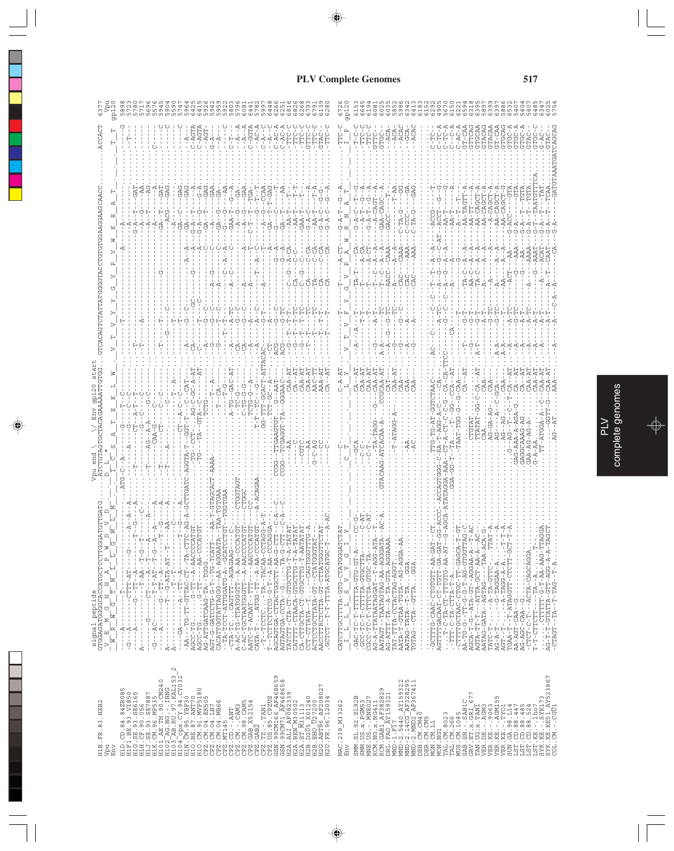| H1B.FR.83.HXB2                                                                                                                                                                                                                                                                                                                                                                                                                                                                                                   | COCAGAGACCOCOCOCOCACCOCOCO<br>signal peptide                                                                                                                                                                                                                                                                                                                                                                                                            |  | しなざりななののなどのけいけいけいことはいいかののはこれにはいいかないかいだい。 |           |                                                                                                                          |  |
|------------------------------------------------------------------------------------------------------------------------------------------------------------------------------------------------------------------------------------------------------------------------------------------------------------------------------------------------------------------------------------------------------------------------------------------------------------------------------------------------------------------|---------------------------------------------------------------------------------------------------------------------------------------------------------------------------------------------------------------------------------------------------------------------------------------------------------------------------------------------------------------------------------------------------------------------------------------------------------|--|------------------------------------------|-----------|--------------------------------------------------------------------------------------------------------------------------|--|
|                                                                                                                                                                                                                                                                                                                                                                                                                                                                                                                  | IC.<br>Σ<br>l –<br>$\mathsf{p}_4$<br>니<br>4<br>İΣ<br>Ξ<br>⊫<br>H<br>cل<br>Ü<br>∣z<br>$\mathsf{\Sigma}$<br>Ιĸ<br>囸<br> ≍<br>$\triangleright$                                                                                                                                                                                                                                                                                                             |  |                                          |           |                                                                                                                          |  |
|                                                                                                                                                                                                                                                                                                                                                                                                                                                                                                                  | J.<br>$\,$<br>$-1$ - $-1$ - $-1$<br>ŧ                                                                                                                                                                                                                                                                                                                                                                                                                   |  |                                          |           |                                                                                                                          |  |
|                                                                                                                                                                                                                                                                                                                                                                                                                                                                                                                  | - - ツ - - - - - LIVE - LIJI-- - - - - - - - -<br>$-9 - -9 -$                                                                                                                                                                                                                                                                                                                                                                                            |  |                                          |           |                                                                                                                          |  |
|                                                                                                                                                                                                                                                                                                                                                                                                                                                                                                                  | -- 5 - H - - 44 - H - - - - - -<br>$\frac{1}{4}$<br>${\bf A}$ –                                                                                                                                                                                                                                                                                                                                                                                         |  |                                          |           |                                                                                                                          |  |
|                                                                                                                                                                                                                                                                                                                                                                                                                                                                                                                  | $- -1 - -1 - -1 - -$<br>$-100 -$<br>$-1 - 0 - 1$<br>-                                                                                                                                                                                                                                                                                                                                                                                                   |  |                                          |           |                                                                                                                          |  |
|                                                                                                                                                                                                                                                                                                                                                                                                                                                                                                                  | J.                                                                                                                                                                                                                                                                                                                                                                                                                                                      |  |                                          |           |                                                                                                                          |  |
|                                                                                                                                                                                                                                                                                                                                                                                                                                                                                                                  | $A - - - - -$                                                                                                                                                                                                                                                                                                                                                                                                                                           |  |                                          |           |                                                                                                                          |  |
| N                                                                                                                                                                                                                                                                                                                                                                                                                                                                                                                | Ţ<br>$\begin{array}{c} \vspace{0.05in} \end{array}$<br>ı<br>$A - -$                                                                                                                                                                                                                                                                                                                                                                                     |  |                                          |           |                                                                                                                          |  |
|                                                                                                                                                                                                                                                                                                                                                                                                                                                                                                                  | - AA - - HU - UKHHU - HH - UH - - - KK -<br>$- -A - TT - -A - - -$<br>ţ<br>$-450 -$                                                                                                                                                                                                                                                                                                                                                                     |  |                                          |           |                                                                                                                          |  |
|                                                                                                                                                                                                                                                                                                                                                                                                                                                                                                                  | AGCC-TGG-TT--A-AACCCC<br>AGCC-TG                                                                                                                                                                                                                                                                                                                                                                                                                        |  |                                          |           | --A----<br>C-AGTA<br>C-AGTA<br>G-A----                                                                                   |  |
|                                                                                                                                                                                                                                                                                                                                                                                                                                                                                                                  |                                                                                                                                                                                                                                                                                                                                                                                                                                                         |  |                                          |           |                                                                                                                          |  |
|                                                                                                                                                                                                                                                                                                                                                                                                                                                                                                                  | AG-ATTGATCAAG-TA--TGGG<br>AGT-G-GATCCTG-G-T--TG-TCATT                                                                                                                                                                                                                                                                                                                                                                                                   |  |                                          |           |                                                                                                                          |  |
|                                                                                                                                                                                                                                                                                                                                                                                                                                                                                                                  | CACATTGGTATTAGGG--AA-AGGAAT                                                                                                                                                                                                                                                                                                                                                                                                                             |  |                                          |           |                                                                                                                          |  |
|                                                                                                                                                                                                                                                                                                                                                                                                                                                                                                                  | - - TA-TCCT-ATTGGATG-A--GCATC                                                                                                                                                                                                                                                                                                                                                                                                                           |  |                                          |           |                                                                                                                          |  |
|                                                                                                                                                                                                                                                                                                                                                                                                                                                                                                                  |                                                                                                                                                                                                                                                                                                                                                                                                                                                         |  |                                          |           |                                                                                                                          |  |
|                                                                                                                                                                                                                                                                                                                                                                                                                                                                                                                  | $- \texttt{CTR}-\texttt{TC} \ldots \texttt{CACTTT} - \texttt{PGAGABA-G} - \\ \texttt{A-AC-TG-TTATGGGTT} - \texttt{A-AA-CCC}$                                                                                                                                                                                                                                                                                                                            |  |                                          | $-6A$     | $C - A$                                                                                                                  |  |
|                                                                                                                                                                                                                                                                                                                                                                                                                                                                                                                  | C-AC-TGCTAATGGGTT--A-AACCCC<br>AATC-T-ACAAT--TTT----AACCC                                                                                                                                                                                                                                                                                                                                                                                               |  |                                          | -GAA      | $-1 - 1$<br>$-1 - 1$<br>$-1 - 1$<br>$-1$<br>$-1$<br>$-1$<br><br><br><br><br><br><br><br><br><br><br><br><br><br><br><br> |  |
|                                                                                                                                                                                                                                                                                                                                                                                                                                                                                                                  |                                                                                                                                                                                                                                                                                                                                                                                                                                                         |  |                                          |           |                                                                                                                          |  |
|                                                                                                                                                                                                                                                                                                                                                                                                                                                                                                                  |                                                                                                                                                                                                                                                                                                                                                                                                                                                         |  |                                          |           |                                                                                                                          |  |
|                                                                                                                                                                                                                                                                                                                                                                                                                                                                                                                  |                                                                                                                                                                                                                                                                                                                                                                                                                                                         |  |                                          |           |                                                                                                                          |  |
|                                                                                                                                                                                                                                                                                                                                                                                                                                                                                                                  |                                                                                                                                                                                                                                                                                                                                                                                                                                                         |  |                                          |           |                                                                                                                          |  |
|                                                                                                                                                                                                                                                                                                                                                                                                                                                                                                                  | AGTAGTGA-CCTA--G--TA-G-<br>TATCTT-CTA-CT-GTGCTTG-T-A-T<br>CATTTT-CTAACA-GTGCTTG-T-A-T                                                                                                                                                                                                                                                                                                                                                                   |  |                                          |           |                                                                                                                          |  |
|                                                                                                                                                                                                                                                                                                                                                                                                                                                                                                                  |                                                                                                                                                                                                                                                                                                                                                                                                                                                         |  |                                          |           |                                                                                                                          |  |
|                                                                                                                                                                                                                                                                                                                                                                                                                                                                                                                  |                                                                                                                                                                                                                                                                                                                                                                                                                                                         |  |                                          |           |                                                                                                                          |  |
|                                                                                                                                                                                                                                                                                                                                                                                                                                                                                                                  | CA-CTTGCTA-CTA-CHOOFD-AJ                                                                                                                                                                                                                                                                                                                                                                                                                                |  |                                          |           |                                                                                                                          |  |
| н∠д, рич<br>Н2А, ST M31113<br>Н2В, D205 X61240<br>Н2В, EHO U27200                                                                                                                                                                                                                                                                                                                                                                                                                                                |                                                                                                                                                                                                                                                                                                                                                                                                                                                         |  |                                          |           |                                                                                                                          |  |
| Γ<br>H2G.ABT96 AF20802                                                                                                                                                                                                                                                                                                                                                                                                                                                                                           | CCT-CTTATA--T--CAGTGGGT<br>ACTCCTGCTTATA-6T--CTATGGGTA<br>AACCTTRCTCTTA-GT-CTTATGGGTT                                                                                                                                                                                                                                                                                                                                                                   |  |                                          |           |                                                                                                                          |  |
| H2U.FR.96.12034                                                                                                                                                                                                                                                                                                                                                                                                                                                                                                  | - CULCAROPHA-ALL-L-F-F-F-L-DOLOU.                                                                                                                                                                                                                                                                                                                                                                                                                       |  |                                          |           |                                                                                                                          |  |
| MAC.239 M33262                                                                                                                                                                                                                                                                                                                                                                                                                                                                                                   | <b>LAGGOURTU-OFG-ALLIFINGHLIDHAU</b>                                                                                                                                                                                                                                                                                                                                                                                                                    |  |                                          |           |                                                                                                                          |  |
|                                                                                                                                                                                                                                                                                                                                                                                                                                                                                                                  | U<br>$\triangleright$<br>$\overline{a}$<br>$\circ$<br>$\overline{a}$<br>H<br>A<br>H                                                                                                                                                                                                                                                                                                                                                                     |  |                                          |           |                                                                                                                          |  |
| SMM. SL. 92. SL92B                                                                                                                                                                                                                                                                                                                                                                                                                                                                                               | - GAC - TC - T-TTTTTTL - T-C - GT - A                                                                                                                                                                                                                                                                                                                                                                                                                   |  |                                          |           |                                                                                                                          |  |
|                                                                                                                                                                                                                                                                                                                                                                                                                                                                                                                  | - TATHUP-RHITHLU-H-UUU                                                                                                                                                                                                                                                                                                                                                                                                                                  |  |                                          |           |                                                                                                                          |  |
|                                                                                                                                                                                                                                                                                                                                                                                                                                                                                                                  | AG-A-TTATATAGGAT--T-AGG-AI<br>$CGCC-TC-T-TTTTCTA-GTGC-TA-TA-$                                                                                                                                                                                                                                                                                                                                                                                           |  |                                          |           |                                                                                                                          |  |
| SMM.US.x.PCM53<br>MNE.US.-.MNE027<br>RCM.NG.x.NG411<br>RCM.GAB1_AF382829<br>DRL.FAO_AY159321                                                                                                                                                                                                                                                                                                                                                                                                                     | AATAGT - TAATAGTAG - AA - AGGGAT                                                                                                                                                                                                                                                                                                                                                                                                                        |  |                                          |           |                                                                                                                          |  |
|                                                                                                                                                                                                                                                                                                                                                                                                                                                                                                                  | AG-ATTT-TA--A-TA-GTA-AGGAAZ                                                                                                                                                                                                                                                                                                                                                                                                                             |  |                                          |           |                                                                                                                          |  |
| $T\overline{T}$ .                                                                                                                                                                                                                                                                                                                                                                                                                                                                                                | TAT-TTTA-CCTACTAG-AGGT                                                                                                                                                                                                                                                                                                                                                                                                                                  |  |                                          |           |                                                                                                                          |  |
|                                                                                                                                                                                                                                                                                                                                                                                                                                                                                                                  |                                                                                                                                                                                                                                                                                                                                                                                                                                                         |  |                                          |           |                                                                                                                          |  |
| MND-2.5440_AY159322<br>MND-2.14CG_AF328295<br>MND-2.MND2_AF367411                                                                                                                                                                                                                                                                                                                                                                                                                                                | AATAG-TATA--T-TAGGA<br>TGTAG--CTA--GTTAGGA                                                                                                                                                                                                                                                                                                                                                                                                              |  |                                          |           |                                                                                                                          |  |
| $\begin{array}{l} \mathtt{DBB} \quad \texttt{CM} \quad \texttt{CM} \quad \texttt{CM} \quad \texttt{CM} \quad \texttt{OM} \quad \texttt{OM} \quad \texttt{OM} \quad \texttt{OM} \quad \texttt{OM} \quad \texttt{OM} \quad \texttt{OM} \quad \texttt{OM} \quad \texttt{OM} \quad \texttt{OM} \quad \texttt{OM} \quad \texttt{OM} \quad \texttt{OM} \quad \texttt{OM} \quad \texttt{OM} \quad \texttt{OM} \quad \texttt{OM} \quad \texttt{OM} \quad \texttt{OM} \quad \texttt{OM} \quad \texttt{OM} \quad \texttt{$ |                                                                                                                                                                                                                                                                                                                                                                                                                                                         |  |                                          |           |                                                                                                                          |  |
|                                                                                                                                                                                                                                                                                                                                                                                                                                                                                                                  |                                                                                                                                                                                                                                                                                                                                                                                                                                                         |  |                                          |           |                                                                                                                          |  |
|                                                                                                                                                                                                                                                                                                                                                                                                                                                                                                                  |                                                                                                                                                                                                                                                                                                                                                                                                                                                         |  |                                          |           |                                                                                                                          |  |
|                                                                                                                                                                                                                                                                                                                                                                                                                                                                                                                  |                                                                                                                                                                                                                                                                                                                                                                                                                                                         |  |                                          |           |                                                                                                                          |  |
|                                                                                                                                                                                                                                                                                                                                                                                                                                                                                                                  |                                                                                                                                                                                                                                                                                                                                                                                                                                                         |  |                                          |           |                                                                                                                          |  |
|                                                                                                                                                                                                                                                                                                                                                                                                                                                                                                                  | $\begin{array}{l} -\texttt{c} \texttt{c} \texttt{c} \texttt{t} \texttt{t} \texttt{t} \texttt{t} \texttt{t} \texttt{t} \texttt{t} \texttt{t} \texttt{t} \texttt{t} \texttt{t} \texttt{t} \texttt{t} \texttt{t} \texttt{t} \texttt{t} \texttt{t} \texttt{t} \texttt{t} \texttt{t} \texttt{t} \texttt{t} \texttt{t} \texttt{t} \texttt{t} \texttt{t} \texttt{t} \texttt{t} \texttt{t} \texttt{t} \texttt{t} \texttt{t} \text$                              |  |                                          |           |                                                                                                                          |  |
|                                                                                                                                                                                                                                                                                                                                                                                                                                                                                                                  | IIDOID-04-I-0-0-II--0-0-DI-44                                                                                                                                                                                                                                                                                                                                                                                                                           |  |                                          |           |                                                                                                                          |  |
|                                                                                                                                                                                                                                                                                                                                                                                                                                                                                                                  | AGCA-T-ATA-GT--AGGAA-A-                                                                                                                                                                                                                                                                                                                                                                                                                                 |  |                                          |           |                                                                                                                          |  |
|                                                                                                                                                                                                                                                                                                                                                                                                                                                                                                                  | $A G TA - T T - T - A T TA - GCT - A A - A - A - A - A$                                                                                                                                                                                                                                                                                                                                                                                                 |  |                                          |           | <b>GUGUA</b>                                                                                                             |  |
|                                                                                                                                                                                                                                                                                                                                                                                                                                                                                                                  | AATAG-GATA--AGTAG---TAA-AC                                                                                                                                                                                                                                                                                                                                                                                                                              |  |                                          |           | GTACA<br><b>GTACA</b>                                                                                                    |  |
|                                                                                                                                                                                                                                                                                                                                                                                                                                                                                                                  | $\begin{array}{l} \texttt{TATC-T--}\;.\;.\;.\;.-\texttt{A-TA-CTTC--}\;.\;.\;.\; \texttt{TT} \\ \texttt{AG-A-T--}\;.\;.\;.-\texttt{G-TAGGAA-A}\;.\;.\;.\;-- \end{array}$                                                                                                                                                                                                                                                                                 |  |                                          |           |                                                                                                                          |  |
|                                                                                                                                                                                                                                                                                                                                                                                                                                                                                                                  | AGT--T---A-TAGG-A-A<br>TGAA-T--T-ATAGGTT-CTCTT-GCT                                                                                                                                                                                                                                                                                                                                                                                                      |  |                                          | U-CAGCT-C |                                                                                                                          |  |
|                                                                                                                                                                                                                                                                                                                                                                                                                                                                                                                  |                                                                                                                                                                                                                                                                                                                                                                                                                                                         |  |                                          |           |                                                                                                                          |  |
|                                                                                                                                                                                                                                                                                                                                                                                                                                                                                                                  | AA-AGT-CAA--G                                                                                                                                                                                                                                                                                                                                                                                                                                           |  |                                          |           |                                                                                                                          |  |
| $\begin{tabular}{l} \hline \text{UBR}, \text{LBR}, \text{L1B}, \text{L2B}, \text{L3B}, \text{L4B}, \text{L5B}, \text{L5B}, \text{L5B}, \text{L5B}, \text{L5B}, \text{L5B}, \text{L5B}, \text{L5B}, \text{L5B}, \text{L5B}, \text{L5B}, \text{L5B}, \text{L5B}, \text{L5B}, \text{L5B}, \text{L5B}, \text{L5B}, \text{L5B}, \text{L5B}, \text{L5B}, \text{L5B}, \text{L5B}, \text{L5B}, \text{L5B}, \$                                                                                                            | AG-AGC-CAA--G<br>- CTCT-C-TA--ACTA-CAGCAGA                                                                                                                                                                                                                                                                                                                                                                                                              |  |                                          |           |                                                                                                                          |  |
|                                                                                                                                                                                                                                                                                                                                                                                                                                                                                                                  |                                                                                                                                                                                                                                                                                                                                                                                                                                                         |  |                                          |           |                                                                                                                          |  |
| LST.KE.-.1ho7<br>SYK.KE.-.SYK173<br>SYK.KE.KES1_AY523867                                                                                                                                                                                                                                                                                                                                                                                                                                                         |                                                                                                                                                                                                                                                                                                                                                                                                                                                         |  |                                          |           |                                                                                                                          |  |
| CGŪ1<br>$\overline{C}$                                                                                                                                                                                                                                                                                                                                                                                                                                                                                           | $\begin{array}{ll} {\rm T}^{-1}{\rm T}^{-1}{\rm CTT}{\rm CTT}-{\rm T}^{-1}-{\rm T}\Lambda-\lambda\ , & \ldots\ , \\ {\rm T}^{-1}{\rm C}^{-1}{\rm T}^{-1}{\rm CTT}{\rm TTT}-{\rm C-T}^{-1}-\lambda\Lambda-{\rm A}\Lambda{\rm C-T}^{-1}\\ {\rm T}^{-1}{\rm C}^{-1}{\rm T}^{-1}{\rm T}^{-1}{\rm C}^{-1}{\rm T}^{-1}-{\rm T}\Lambda-{\rm A}\Lambda{\rm C}^{-1}{\rm T}^{-1}\\ {\rm T}^{-1}{\rm C}^{-1}{\rm T}\Lambda-{\rm T}^{-1}{\rm T}^{-1}{\rm T}^{-1}{\$ |  |                                          |           |                                                                                                                          |  |
|                                                                                                                                                                                                                                                                                                                                                                                                                                                                                                                  |                                                                                                                                                                                                                                                                                                                                                                                                                                                         |  |                                          |           |                                                                                                                          |  |

PLV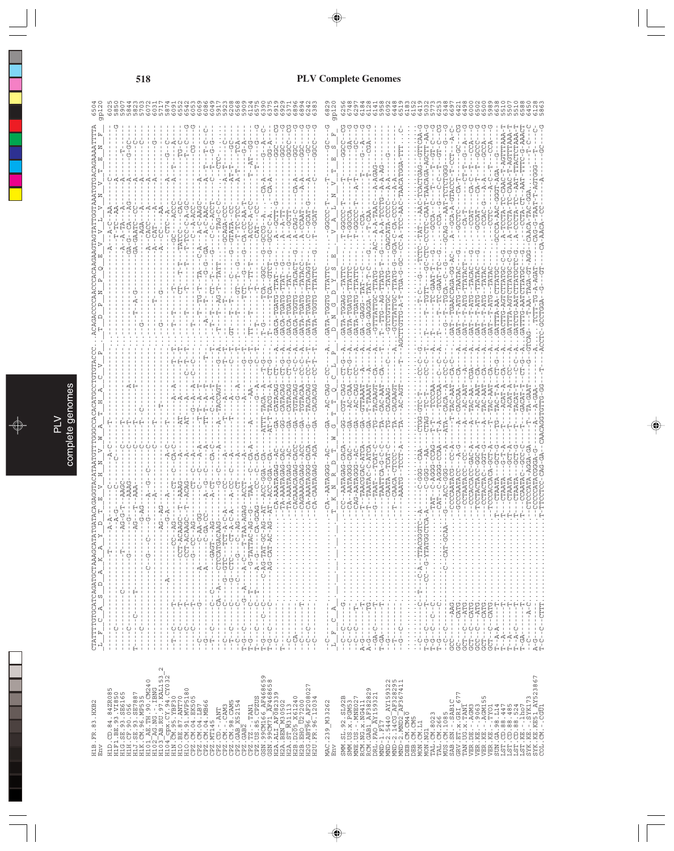|  | ř<br>ĭ |
|--|--------|
|  | í      |

|                                                  |                                                                                                                                                                                                                                                                                                                                                                |                                                                    |                                                                                   |                                                            |                                                                         |                                                                                                 |                                           |                                                                                                                                              |                                                       |                                                                         |                                                                                                              |                                         |                                       |                    |                                                               |                                                                                           |                                                                                    |                              |                                                                                                                                                                                                                                                                                                                                                                                                                                                 |                                          |                              |                                                                                                                                                                                                                                                                                                                     |                                |               |                      |                                                                                                                          |              | CO.                                                                                                                                                                                                                                                      |                                                                                                                                                                                                                                                                                                                          |                                                                                                                                                                                                                                                                                                                     |                                                                                                                                                                                                                                                                                                                     |         |                                                                                                                      |                           |                               |                                                                                                                                            |                      |                               |                                             |                                                 |                                     |                                                                                                                                                                            |                                       |                                                               |                            |                                                                                                                                                                                                                                                                                                                                                                  |                      |      |                                    |                                                                                   |                         |              |                                  |                                                       |
|--------------------------------------------------|----------------------------------------------------------------------------------------------------------------------------------------------------------------------------------------------------------------------------------------------------------------------------------------------------------------------------------------------------------------|--------------------------------------------------------------------|-----------------------------------------------------------------------------------|------------------------------------------------------------|-------------------------------------------------------------------------|-------------------------------------------------------------------------------------------------|-------------------------------------------|----------------------------------------------------------------------------------------------------------------------------------------------|-------------------------------------------------------|-------------------------------------------------------------------------|--------------------------------------------------------------------------------------------------------------|-----------------------------------------|---------------------------------------|--------------------|---------------------------------------------------------------|-------------------------------------------------------------------------------------------|------------------------------------------------------------------------------------|------------------------------|-------------------------------------------------------------------------------------------------------------------------------------------------------------------------------------------------------------------------------------------------------------------------------------------------------------------------------------------------------------------------------------------------------------------------------------------------|------------------------------------------|------------------------------|---------------------------------------------------------------------------------------------------------------------------------------------------------------------------------------------------------------------------------------------------------------------------------------------------------------------|--------------------------------|---------------|----------------------|--------------------------------------------------------------------------------------------------------------------------|--------------|----------------------------------------------------------------------------------------------------------------------------------------------------------------------------------------------------------------------------------------------------------|--------------------------------------------------------------------------------------------------------------------------------------------------------------------------------------------------------------------------------------------------------------------------------------------------------------------------|---------------------------------------------------------------------------------------------------------------------------------------------------------------------------------------------------------------------------------------------------------------------------------------------------------------------|---------------------------------------------------------------------------------------------------------------------------------------------------------------------------------------------------------------------------------------------------------------------------------------------------------------------|---------|----------------------------------------------------------------------------------------------------------------------|---------------------------|-------------------------------|--------------------------------------------------------------------------------------------------------------------------------------------|----------------------|-------------------------------|---------------------------------------------|-------------------------------------------------|-------------------------------------|----------------------------------------------------------------------------------------------------------------------------------------------------------------------------|---------------------------------------|---------------------------------------------------------------|----------------------------|------------------------------------------------------------------------------------------------------------------------------------------------------------------------------------------------------------------------------------------------------------------------------------------------------------------------------------------------------------------|----------------------|------|------------------------------------|-----------------------------------------------------------------------------------|-------------------------|--------------|----------------------------------|-------------------------------------------------------|
|                                                  |                                                                                                                                                                                                                                                                                                                                                                |                                                                    |                                                                                   |                                                            |                                                                         |                                                                                                 |                                           |                                                                                                                                              |                                                       |                                                                         |                                                                                                              |                                         |                                       |                    |                                                               |                                                                                           |                                                                                    |                              |                                                                                                                                                                                                                                                                                                                                                                                                                                                 |                                          |                              |                                                                                                                                                                                                                                                                                                                     |                                |               |                      |                                                                                                                          |              |                                                                                                                                                                                                                                                          |                                                                                                                                                                                                                                                                                                                          |                                                                                                                                                                                                                                                                                                                     |                                                                                                                                                                                                                                                                                                                     |         |                                                                                                                      |                           |                               |                                                                                                                                            |                      |                               |                                             |                                                 |                                     |                                                                                                                                                                            |                                       |                                                               |                            |                                                                                                                                                                                                                                                                                                                                                                  |                      |      |                                    |                                                                                   |                         |              |                                  |                                                       |
|                                                  |                                                                                                                                                                                                                                                                                                                                                                |                                                                    |                                                                                   |                                                            |                                                                         |                                                                                                 |                                           |                                                                                                                                              |                                                       |                                                                         |                                                                                                              |                                         |                                       |                    |                                                               |                                                                                           |                                                                                    |                              |                                                                                                                                                                                                                                                                                                                                                                                                                                                 |                                          |                              |                                                                                                                                                                                                                                                                                                                     |                                |               |                      |                                                                                                                          |              |                                                                                                                                                                                                                                                          |                                                                                                                                                                                                                                                                                                                          |                                                                                                                                                                                                                                                                                                                     |                                                                                                                                                                                                                                                                                                                     |         |                                                                                                                      |                           |                               |                                                                                                                                            |                      |                               |                                             |                                                 |                                     |                                                                                                                                                                            |                                       |                                                               |                            |                                                                                                                                                                                                                                                                                                                                                                  |                      |      |                                    |                                                                                   |                         |              |                                  |                                                       |
|                                                  |                                                                                                                                                                                                                                                                                                                                                                |                                                                    |                                                                                   |                                                            |                                                                         |                                                                                                 |                                           |                                                                                                                                              |                                                       |                                                                         |                                                                                                              |                                         |                                       |                    |                                                               |                                                                                           |                                                                                    |                              |                                                                                                                                                                                                                                                                                                                                                                                                                                                 |                                          |                              |                                                                                                                                                                                                                                                                                                                     |                                |               |                      |                                                                                                                          |              |                                                                                                                                                                                                                                                          |                                                                                                                                                                                                                                                                                                                          |                                                                                                                                                                                                                                                                                                                     |                                                                                                                                                                                                                                                                                                                     |         |                                                                                                                      |                           |                               |                                                                                                                                            |                      |                               |                                             |                                                 |                                     |                                                                                                                                                                            |                                       |                                                               |                            |                                                                                                                                                                                                                                                                                                                                                                  |                      |      |                                    |                                                                                   |                         |              |                                  |                                                       |
|                                                  |                                                                                                                                                                                                                                                                                                                                                                |                                                                    |                                                                                   |                                                            |                                                                         |                                                                                                 |                                           |                                                                                                                                              |                                                       |                                                                         |                                                                                                              |                                         |                                       |                    |                                                               |                                                                                           |                                                                                    |                              |                                                                                                                                                                                                                                                                                                                                                                                                                                                 |                                          |                              |                                                                                                                                                                                                                                                                                                                     |                                |               |                      |                                                                                                                          |              |                                                                                                                                                                                                                                                          |                                                                                                                                                                                                                                                                                                                          |                                                                                                                                                                                                                                                                                                                     |                                                                                                                                                                                                                                                                                                                     |         |                                                                                                                      |                           |                               |                                                                                                                                            |                      |                               |                                             |                                                 |                                     |                                                                                                                                                                            |                                       |                                                               |                            |                                                                                                                                                                                                                                                                                                                                                                  |                      |      |                                    |                                                                                   |                         |              |                                  |                                                       |
|                                                  |                                                                                                                                                                                                                                                                                                                                                                |                                                                    |                                                                                   |                                                            |                                                                         |                                                                                                 |                                           |                                                                                                                                              |                                                       |                                                                         |                                                                                                              |                                         |                                       |                    |                                                               |                                                                                           |                                                                                    |                              |                                                                                                                                                                                                                                                                                                                                                                                                                                                 |                                          |                              |                                                                                                                                                                                                                                                                                                                     |                                |               |                      |                                                                                                                          |              |                                                                                                                                                                                                                                                          |                                                                                                                                                                                                                                                                                                                          |                                                                                                                                                                                                                                                                                                                     |                                                                                                                                                                                                                                                                                                                     |         |                                                                                                                      |                           |                               |                                                                                                                                            |                      |                               |                                             |                                                 |                                     |                                                                                                                                                                            |                                       |                                                               |                            |                                                                                                                                                                                                                                                                                                                                                                  |                      |      |                                    |                                                                                   |                         |              |                                  |                                                       |
|                                                  |                                                                                                                                                                                                                                                                                                                                                                |                                                                    |                                                                                   |                                                            |                                                                         |                                                                                                 |                                           |                                                                                                                                              |                                                       |                                                                         |                                                                                                              |                                         |                                       |                    |                                                               |                                                                                           |                                                                                    |                              |                                                                                                                                                                                                                                                                                                                                                                                                                                                 |                                          |                              |                                                                                                                                                                                                                                                                                                                     |                                | TGTA          | <b>FGTA</b>          |                                                                                                                          |              |                                                                                                                                                                                                                                                          |                                                                                                                                                                                                                                                                                                                          |                                                                                                                                                                                                                                                                                                                     |                                                                                                                                                                                                                                                                                                                     |         | IACA                                                                                                                 |                           |                               |                                                                                                                                            |                      |                               |                                             |                                                 |                                     |                                                                                                                                                                            |                                       |                                                               |                            |                                                                                                                                                                                                                                                                                                                                                                  |                      |      |                                    |                                                                                   |                         |              |                                  |                                                       |
|                                                  |                                                                                                                                                                                                                                                                                                                                                                |                                                                    |                                                                                   |                                                            |                                                                         |                                                                                                 |                                           |                                                                                                                                              |                                                       |                                                                         |                                                                                                              |                                         |                                       |                    |                                                               |                                                                                           |                                                                                    |                              |                                                                                                                                                                                                                                                                                                                                                                                                                                                 |                                          |                              |                                                                                                                                                                                                                                                                                                                     |                                |               |                      |                                                                                                                          |              |                                                                                                                                                                                                                                                          |                                                                                                                                                                                                                                                                                                                          |                                                                                                                                                                                                                                                                                                                     |                                                                                                                                                                                                                                                                                                                     |         |                                                                                                                      |                           |                               |                                                                                                                                            |                      |                               |                                             |                                                 |                                     |                                                                                                                                                                            |                                       |                                                               |                            |                                                                                                                                                                                                                                                                                                                                                                  |                      |      |                                    |                                                                                   |                         |              |                                  |                                                       |
|                                                  |                                                                                                                                                                                                                                                                                                                                                                |                                                                    |                                                                                   |                                                            |                                                                         |                                                                                                 |                                           |                                                                                                                                              |                                                       |                                                                         |                                                                                                              |                                         |                                       |                    |                                                               |                                                                                           |                                                                                    |                              |                                                                                                                                                                                                                                                                                                                                                                                                                                                 |                                          |                              |                                                                                                                                                                                                                                                                                                                     |                                |               |                      |                                                                                                                          |              |                                                                                                                                                                                                                                                          |                                                                                                                                                                                                                                                                                                                          | AG-                                                                                                                                                                                                                                                                                                                 |                                                                                                                                                                                                                                                                                                                     |         |                                                                                                                      |                           |                               |                                                                                                                                            |                      |                               |                                             |                                                 |                                     |                                                                                                                                                                            |                                       |                                                               |                            |                                                                                                                                                                                                                                                                                                                                                                  |                      |      |                                    |                                                                                   |                         |              |                                  |                                                       |
|                                                  |                                                                                                                                                                                                                                                                                                                                                                |                                                                    |                                                                                   |                                                            |                                                                         |                                                                                                 |                                           | Ũ<br>!                                                                                                                                       |                                                       |                                                                         | $\,$ I                                                                                                       |                                         |                                       |                    |                                                               |                                                                                           |                                                                                    |                              | t                                                                                                                                                                                                                                                                                                                                                                                                                                               |                                          |                              |                                                                                                                                                                                                                                                                                                                     |                                |               |                      |                                                                                                                          |              |                                                                                                                                                                                                                                                          |                                                                                                                                                                                                                                                                                                                          |                                                                                                                                                                                                                                                                                                                     |                                                                                                                                                                                                                                                                                                                     |         |                                                                                                                      |                           |                               |                                                                                                                                            |                      |                               |                                             |                                                 |                                     |                                                                                                                                                                            |                                       |                                                               |                            |                                                                                                                                                                                                                                                                                                                                                                  |                      |      |                                    |                                                                                   |                         |              |                                  |                                                       |
|                                                  | $-\frac{1}{1}$<br>$\frac{1}{1}$<br>J<br>$\frac{1}{4}$<br>1<br>$\mathfrak l$<br>$\frac{1}{1}$                                                                                                                                                                                                                                                                   | $\sim$ T $\sim$<br>ı<br>ł.<br>$\mathbf I$<br>$\,$<br>$\frac{1}{4}$ | $\frac{1}{\sqrt{2}}$<br>J,<br>$\mathbf{I}$                                        | J.<br>$\mathbf{I}$<br>$\,$<br>$\frac{1}{4}$<br>$\mathbf I$ | $-5$                                                                    | $\mathbf{I}$<br>$\begin{array}{c} 1 \\ 1 \\ 1 \\ 1 \end{array}$<br>1<br>J.<br>Ĥ.<br>ï           | $\mathbf I$<br>Ì<br>$\mathbf{I}$<br>--A-- | J.<br>$\frac{1}{1}$<br>$\,$ $\,$<br>$\begin{array}{c} \begin{array}{c} \text{1} \\ \text{2} \\ \text{3} \\ \text{4} \end{array} \end{array}$ | f,                                                    | $- -$ CCT<br>$\frac{1}{1}$<br>$\,$ $\,$<br>$\frac{1}{1}$<br>$\mathsf I$ | $C - C - C - C$<br>$- - - - - - - -$<br>$\overline{\phantom{a}}$<br>Ĥ.<br>$\frac{1}{1}$<br>ţ<br>$\mathbf{I}$ | $- -A - -$<br>$\,$ $\,$                 | $- - GAGT$<br>$\frac{1}{1}$<br>f,     | -- CTCCATG         | ローーーひけひーーひーーーーー                                               | $-9 - -$<br>$- - - - - - - - - - - - - - -$<br>J.<br>$\frac{1}{\sqrt{2}}$<br>$\mathbf{I}$ | $- -A - C - - -T$<br>$G - A - -$                                                   | $---G-TATT$<br>$\frac{1}{2}$ | $- -A - C$<br>J<br>$\frac{1}{4}$                                                                                                                                                                                                                                                                                                                                                                                                                |                                          | $\mathbf I$                  | $\frac{1}{2}$ $\frac{1}{2}$ $\frac{1}{2}$ $\frac{1}{2}$ $\frac{1}{2}$ $\frac{1}{2}$ $\frac{1}{2}$ $\frac{1}{2}$ $\frac{1}{2}$ $\frac{1}{2}$ $\frac{1}{2}$ $\frac{1}{2}$ $\frac{1}{2}$ $\frac{1}{2}$ $\frac{1}{2}$ $\frac{1}{2}$ $\frac{1}{2}$ $\frac{1}{2}$ $\frac{1}{2}$ $\frac{1}{2}$ $\frac{1}{2}$ $\frac{1}{2}$ |                                |               | .                    | $\begin{array}{c} \bullet & \bullet & \bullet \\ \bullet & \bullet & \bullet \\ \bullet & \bullet & \bullet \end{array}$ |              | $\begin{array}{c} \begin{array}{c} \begin{array}{c} \begin{array}{c} \begin{array}{c} \end{array} \\ \end{array} \\ \begin{array}{c} \end{array} \\ \begin{array}{c} \end{array} \\ \end{array} \\ \begin{array}{c} \end{array} \end{array} \end{array}$ | .<br>$\frac{1}{2}$ $\frac{1}{2}$ $\frac{1}{2}$ $\frac{1}{2}$ $\frac{1}{2}$ $\frac{1}{2}$ $\frac{1}{2}$ $\frac{1}{2}$ $\frac{1}{2}$ $\frac{1}{2}$ $\frac{1}{2}$ $\frac{1}{2}$ $\frac{1}{2}$ $\frac{1}{2}$ $\frac{1}{2}$ $\frac{1}{2}$ $\frac{1}{2}$ $\frac{1}{2}$ $\frac{1}{2}$ $\frac{1}{2}$ $\frac{1}{2}$ $\frac{1}{2}$ | $\frac{1}{2}$ $\frac{1}{2}$ $\frac{1}{2}$ $\frac{1}{2}$ $\frac{1}{2}$ $\frac{1}{2}$ $\frac{1}{2}$ $\frac{1}{2}$ $\frac{1}{2}$ $\frac{1}{2}$ $\frac{1}{2}$ $\frac{1}{2}$ $\frac{1}{2}$ $\frac{1}{2}$ $\frac{1}{2}$ $\frac{1}{2}$ $\frac{1}{2}$ $\frac{1}{2}$ $\frac{1}{2}$ $\frac{1}{2}$ $\frac{1}{2}$ $\frac{1}{2}$ | $\frac{1}{2}$ $\frac{1}{2}$ $\frac{1}{2}$ $\frac{1}{2}$ $\frac{1}{2}$ $\frac{1}{2}$ $\frac{1}{2}$ $\frac{1}{2}$ $\frac{1}{2}$ $\frac{1}{2}$ $\frac{1}{2}$ $\frac{1}{2}$ $\frac{1}{2}$ $\frac{1}{2}$ $\frac{1}{2}$ $\frac{1}{2}$ $\frac{1}{2}$ $\frac{1}{2}$ $\frac{1}{2}$ $\frac{1}{2}$ $\frac{1}{2}$ $\frac{1}{2}$ | .       |                                                                                                                      | .                         | $\vdots$                      | $\vdots$                                                                                                                                   |                      | $\cdots \cdots \cdots \cdots$ | $-14TY - C - -10 - -17RT$<br>$\overline{1}$ | J.                                              | .                                   | $- -$ CAT<br>$\frac{1}{1}$ , $\frac{1}{1}$ , $\frac{1}{1}$ , $\frac{1}{1}$ , $\frac{1}{1}$ , $\frac{1}{1}$ , $\frac{1}{1}$ , $\frac{1}{1}$ , $\frac{1}{1}$ , $\frac{1}{1}$ | $\cdot$                               | $\frac{1}{2}$ . $\frac{1}{2}$ . $\frac{1}{2}$ . $\frac{1}{2}$ |                            |                                                                                                                                                                                                                                                                                                                                                                  |                      |      |                                    |                                                                                   |                         |              |                                  |                                                       |
| CTATTTTGTGCATCAGATGCTAAAGCA<br>L F C A S D A K A | ł<br>$\begin{array}{c} \rule{0.2cm}{0.15mm} \rule{0.2cm}{0.15mm} \rule{0.2cm}{0.15mm} \rule{0.2cm}{0.15mm} \rule{0.2cm}{0.15mm} \rule{0.2cm}{0.15mm} \rule{0.2cm}{0.15mm} \rule{0.2cm}{0.15mm} \rule{0.2cm}{0.15mm} \rule{0.2cm}{0.15mm} \rule{0.2cm}{0.15mm} \rule{0.2cm}{0.15mm} \rule{0.2cm}{0.15mm} \rule{0.2cm}{0.15mm} \rule{0.2cm}{0.15mm} \rule{$<br>1 | $- - - - - - - - -$<br>٠<br>J.                                     | $-1 - 1 - -$<br>$\frac{1}{1}$<br>$-1$ - $C$ - $-$<br>j.<br>$-1$<br>$\blacksquare$ | $\frac{1}{4}$<br>ŧ<br>J.<br>$-1 - C -$                     | $\frac{1}{1}$<br>$\begin{array}{c} \n 1 \\  1 \\  1\n \end{array}$<br>1 | $\frac{1}{4}$<br>t<br>ł<br>$\mathbf{I}$<br>$\mathbf{I}$<br>$\,$<br>$\mathbb{I}$<br>$\mathbf{I}$ | $\mathbf{I}$<br>$\mathsf I$               | $\frac{1}{4}$<br>tét<br>111<br>$\frac{1}{1}$                                                                                                 | $\frac{1}{4}$<br>$\frac{1}{1}$<br>한한한한 다.<br>그러나 나 보다 | Ť<br>Ť                                                                  | ŧ<br>$\frac{1}{2}$<br>$-1$<br>$\ddot{a}$<br>Ť<br>$\,$ I                                                      | $\blacksquare$<br>$\blacksquare$<br>- 1 | $C - C$<br>$\,$ $\,$<br>$\frac{1}{4}$ | $-CA - A - -$<br>Í | ုပ်<br>$\mathbb{I}$<br>$\mathbf{I}$                           | ن<br>¦<br>نٖ<br>$\mathbf{I}$                                                              | $\frac{1}{1}$<br>$\,$<br>$\overline{\phantom{a}}$<br>٠<br>$\overline{\phantom{a}}$ | ن<br>۱<br>1                  | ÷.<br>U<br>I                                                                                                                                                                                                                                                                                                                                                                                                                                    | $\frac{1}{4}$<br>ن<br>۱<br>$\frac{1}{2}$ | $\frac{1}{4}$<br>U<br>÷<br>٠ | $\vdots$<br>$\mathbf{I}$<br>÷                                                                                                                                                                                                                                                                                       | $\frac{1}{1}$<br>$\frac{1}{1}$ | $\frac{1}{1}$ | $\mathbf{I}$<br>Ť    | f,                                                                                                                       | ł<br>f,<br>٠ | $\Delta$<br>$\cup$<br>$\mathbb{E} \mathbb{E}_q$                                                                                                                                                                                                          | $\frac{1}{1}$<br>$\begin{array}{c} \mathbf{1} \end{array}$<br>$\mathbf{I}$<br>÷<br>Ĵ<br>$\begin{array}{c} \n\bullet & \bullet & \bullet \\ \bullet & \bullet & \bullet \\ \bullet & \bullet & \bullet\n\end{array}$                                                                                                      | $\cdots$ T $\cdots$<br>$\frac{1}{4}$                                                                                                                                                                                                                                                                                | .<br>⊢<br>$\,$ I<br>Ħ                                                                                                                                                                                                                                                                                               |         |                                                                                                                      | Î                         | $\frac{1}{4}$<br>$\mathbf{I}$ | $\frac{1}{4}$<br>$\frac{C}{1}$                                                                                                             |                      | $\frac{1}{1}$                 | 탁<br>۳<br>-<br>$\frac{1}{2}$                | $\frac{1}{2}$<br>$\frac{1}{2}$<br>$\mathfrak l$ | $\frac{1}{1}$<br>Ť<br>$\frac{0}{1}$ | $-1$                                                                                                                                                                       | $---AAG.$<br>$\overline{\phantom{a}}$ | $-$ -CATG.                                                    | $---ATTG.$<br>$-$ -CATG.   | $- - ATG$ .                                                                                                                                                                                                                                                                                                                                                      | $-$ -CATG            | $-1$ | 투<br>$\frac{1}{1}$<br>$-4 - A - A$ | ۲<br>İ<br>$\overline{\phantom{a}}$<br>÷,<br>÷<br>$-4$<br>$-4 -$                   | $-1 - 5$<br>Ť<br>$-4-C$ | $\mathbf{I}$ | $- -A - C$<br>ł<br>$\frac{1}{1}$ | - C - - C-T                                           |
|                                                  | J.                                                                                                                                                                                                                                                                                                                                                             | I<br>$\mathbf{I}$                                                  | $\frac{1}{1}$<br>Н                                                                | $\blacksquare$                                             | J.                                                                      | L.                                                                                              |                                           | Ę                                                                                                                                            | J.                                                    | $\mathbf{I}$                                                            | ပု<br>$\mathbf{I}$                                                                                           | ᄲ                                       | 턱                                     |                    | $\frac{1}{2}$                                                 | $\mathbf{I}$                                                                              | U<br>H                                                                             | U<br>H                       | ÷<br>$\vdash$                                                                                                                                                                                                                                                                                                                                                                                                                                   | $\frac{1}{\sqrt{2}}$<br>$\mathsf{H}$     | 우<br>н                       | ပု<br>$\vdash$                                                                                                                                                                                                                                                                                                      |                                |               | $\bigcup\limits_{i}$ | $\frac{1}{2}$<br>J.                                                                                                      | Ÿ            | $\frac{1}{\sqrt{2}}$<br>$\Box$                                                                                                                                                                                                                           | $\frac{1}{1}$<br>$\frac{1}{2}$<br>$\mathbf{I}$                                                                                                                                                                                                                                                                           | $\frac{1}{2}$                                                                                                                                                                                                                                                                                                       | $A - G$                                                                                                                                                                                                                                                                                                             | $A - G$ | $\begin{array}{cccc}\n-1 & -3 & -1 & -1 \\ -1 & -3 & -1 & -1 \\ -1 & -1 & -1 & -1 \\ -1 & -1 & -1 & -1\n\end{array}$ |                           |                               | $-\frac{c}{1}$                                                                                                                             | $\ddot{\phantom{1}}$ | $\ddot{\cdot}$                | U<br>Н                                      | ပု<br>٢                                         | ؋<br>$\vdash$                       | Ο                                                                                                                                                                          | --<br>UU<br>UU                        | $- - - 12D$                                                   | $GCT - C$<br><b>U-1-00</b> |                                                                                                                                                                                                                                                                                                                                                                  | GCC---C-<br>GCT----- | 59   | н<br>е                             | н                                                                                 | $T - A - C$             |              | Ÿ<br>$A - G$                     | $\Gamma$                                              |
|                                                  | $\begin{small} \tt H1D\_CD1 & 84 & 8420085\\ \tt H1B\_1 & 93 & 37680\\ \tt H1B\_1 & 93 & 37680\\ \tt H1H\_CE1 & 90 & 356\\ \tt H1H\_CE1 & 91 & 956\\ \tt H1D\_AE1 & 91 & 90\\ \tt H1D\_AE1 & 91 & 90\\ \tt H1D\_AE1 & 91 & 91\\ \tt H1D\_AE1 & 92 & 91\\ \tt H1D\_AE1 & 93 & 91\\ \tt H1D\_AE1 & 94 & 92\\ \tt H1D\_AE1 & 95 & 91\\$                           |                                                                    |                                                                                   |                                                            |                                                                         |                                                                                                 |                                           |                                                                                                                                              |                                                       |                                                                         |                                                                                                              |                                         |                                       |                    |                                                               |                                                                                           |                                                                                    |                              | $\begin{smallmatrix} \texttt{CEZ} & \texttt{TEZ} & \texttt{T} & \texttt{T} \\ \texttt{CEZ} & \texttt{US} & \texttt{SS} & \texttt{CEZUS} \\ \texttt{CEZ} & \texttt{US} & \texttt{SS} & \texttt{CEZUS} \\ \texttt{CSX} & \texttt{SSU} & \texttt{SSU} & \texttt{SEZ} & \texttt{SEZ} & \texttt{SSG} \\ \texttt{SSX} & \texttt{SSU} & \texttt{S} & \texttt{STU} & \texttt{SEZ} & \texttt{SEZ} & \texttt{SSG} \\ \texttt{H2A} & \texttt{A} & \texttt$ |                                          |                              |                                                                                                                                                                                                                                                                                                                     |                                |               |                      | г                                                                                                                        |              |                                                                                                                                                                                                                                                          |                                                                                                                                                                                                                                                                                                                          |                                                                                                                                                                                                                                                                                                                     |                                                                                                                                                                                                                                                                                                                     |         |                                                                                                                      |                           |                               | MND - 2. 5440 AY159322<br>MND - 2. 14CG - AF328295<br>MND - 2. MND 2. PR367411<br>DEB. CM. CM - CM<br>DEB. CM. CM - CM - CM<br>MON. CM. L1 |                      |                               |                                             |                                                 |                                     |                                                                                                                                                                            |                                       | 77                                                            |                            |                                                                                                                                                                                                                                                                                                                                                                  |                      |      |                                    |                                                                                   |                         |              |                                  | xrk.KE.-.SYK173<br>YKK.KE.KE51_AY523867<br>'OL.CM'- C |
| H1B.FR.83.HXB2<br>Env                            |                                                                                                                                                                                                                                                                                                                                                                |                                                                    |                                                                                   |                                                            |                                                                         |                                                                                                 |                                           |                                                                                                                                              |                                                       |                                                                         |                                                                                                              |                                         |                                       |                    | CPZ.CM.-.CAM3<br>CPZ.CM.98.CAM5<br>CPZ.CAB X52154<br>CPZ.CAB2 |                                                                                           |                                                                                    |                              |                                                                                                                                                                                                                                                                                                                                                                                                                                                 |                                          |                              |                                                                                                                                                                                                                                                                                                                     |                                |               | H2B. EHO             | ᄑ                                                                                                                        | ェ            | MAC.239 M33262<br>$\rm{Env}$                                                                                                                                                                                                                             | SMM.SL.92.SL92B<br>SMM.US.x.PGM53<br>MNE.US.-.MNE027                                                                                                                                                                                                                                                                     |                                                                                                                                                                                                                                                                                                                     | RCM.NG.x.NG411<br>RCM.GAB1 AF382829<br>DRL.FAO AY159321                                                                                                                                                                                                                                                             |         |                                                                                                                      | $MID - 1. F\overline{17}$ |                               |                                                                                                                                            |                      |                               |                                             | <b>MON.NG1</b>                                  |                                     |                                                                                                                                                                            |                                       |                                                               |                            | $\begin{array}{l} \text{TM1. (W. 18023)} \\ \text{TM2. (W. 266)} \\ \text{TM3. (W. 266)} \\ \text{SH3. (W. 120)} \\ \text{SH3. (W. 121)} \\ \text{GH3. (W. 121)} \\ \text{GH3. (W. 122)} \\ \text{VBR. (H. 19063)} \\ \text{VBR. (H. 19063)} \\ \text{VBR. (H. 19063)} \\ \text{VBR. (H. 19063)} \\ \text{VBR. (H. 19063)} \\ \text{VBR. (H. 19063)} \\ \text{V$ |                      |      |                                    | SUN 02.98.114<br>LST.CD.88.447<br>LST.CD.88.447<br>LST.CD.88.524<br>LST.CD.88.524 |                         |              | <b>co</b><br>CO.                 |                                                       |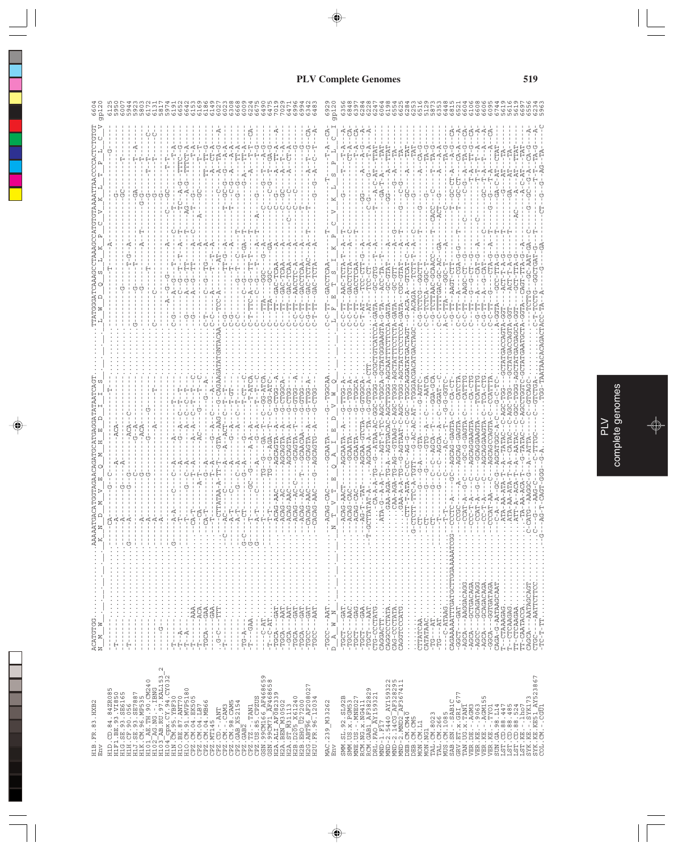| H1B. FR. 83. HXB2<br>Env                                                                                                                                                                                                                                                                                                                                                                                 | ACATGTGG<br>N M w                                                                                                                                                                                                                                                                                                                                                                                                                                                                                                                                                                                                                                                            | Ĩ. |       |  |
|----------------------------------------------------------------------------------------------------------------------------------------------------------------------------------------------------------------------------------------------------------------------------------------------------------------------------------------------------------------------------------------------------------|------------------------------------------------------------------------------------------------------------------------------------------------------------------------------------------------------------------------------------------------------------------------------------------------------------------------------------------------------------------------------------------------------------------------------------------------------------------------------------------------------------------------------------------------------------------------------------------------------------------------------------------------------------------------------|----|-------|--|
|                                                                                                                                                                                                                                                                                                                                                                                                          | $\frac{1}{2}$ $\frac{1}{2}$ $\frac{1}{2}$ $\frac{1}{2}$ $\frac{1}{2}$ $\frac{1}{2}$ $\frac{1}{2}$ $\frac{1}{2}$ $\frac{1}{2}$ $\frac{1}{2}$ $\frac{1}{2}$ $\frac{1}{2}$ $\frac{1}{2}$ $\frac{1}{2}$ $\frac{1}{2}$ $\frac{1}{2}$ $\frac{1}{2}$ $\frac{1}{2}$ $\frac{1}{2}$ $\frac{1}{2}$ $\frac{1}{2}$ $\frac{1}{2}$<br>$\frac{1}{2}$ $\frac{1}{2}$ $\frac{1}{2}$ $\frac{1}{2}$ $\frac{1}{2}$ $\frac{1}{2}$ $\frac{1}{2}$ $\frac{1}{2}$ $\frac{1}{2}$ $\frac{1}{2}$ $\frac{1}{2}$ $\frac{1}{2}$ $\frac{1}{2}$ $\frac{1}{2}$ $\frac{1}{2}$ $\frac{1}{2}$ $\frac{1}{2}$ $\frac{1}{2}$ $\frac{1}{2}$ $\frac{1}{2}$ $\frac{1}{2}$ $\frac{1}{2}$<br>$\frac{1}{4}$<br>$\frac{1}{4}$ |    |       |  |
| H1D. CD. 84. 84.ZR085<br>H1H1. BE 93. VI850<br>H1G. SE. 93. SE6165<br>H1J. CE. 90. 357887<br>H1K. CM. 96. ME5387                                                                                                                                                                                                                                                                                         |                                                                                                                                                                                                                                                                                                                                                                                                                                                                                                                                                                                                                                                                              |    |       |  |
|                                                                                                                                                                                                                                                                                                                                                                                                          |                                                                                                                                                                                                                                                                                                                                                                                                                                                                                                                                                                                                                                                                              |    |       |  |
|                                                                                                                                                                                                                                                                                                                                                                                                          | I                                                                                                                                                                                                                                                                                                                                                                                                                                                                                                                                                                                                                                                                            |    |       |  |
|                                                                                                                                                                                                                                                                                                                                                                                                          | I.                                                                                                                                                                                                                                                                                                                                                                                                                                                                                                                                                                                                                                                                           |    |       |  |
|                                                                                                                                                                                                                                                                                                                                                                                                          | $\frac{1}{1}$                                                                                                                                                                                                                                                                                                                                                                                                                                                                                                                                                                                                                                                                |    |       |  |
| $\begin{small} \text{H111} & \text{H12} & \text{H13} & \text{H14} \\ \text{H102} & \text{Ad}, 100 & -1100 \\ \text{H1102} & \text{Ad}, 100 & -1100 \\ \text{H1103} & \text{H113} & \text{H123} \\ \text{H1104} & -\text{Qpx} & \text{CYY} & 94 & \text{CYO132} \\ \text{H1104} & \text{CH}, 95 & \text{MF} \\ \text{H1105} & \text{CH}, 91 & \text{MF} \\ \text{CH}, 91 & \text{CH},$                    |                                                                                                                                                                                                                                                                                                                                                                                                                                                                                                                                                                                                                                                                              |    |       |  |
| $\sim$                                                                                                                                                                                                                                                                                                                                                                                                   |                                                                                                                                                                                                                                                                                                                                                                                                                                                                                                                                                                                                                                                                              |    |       |  |
|                                                                                                                                                                                                                                                                                                                                                                                                          |                                                                                                                                                                                                                                                                                                                                                                                                                                                                                                                                                                                                                                                                              |    |       |  |
|                                                                                                                                                                                                                                                                                                                                                                                                          | $-1$<br>$\overline{\overline{\Gamma}}_1$                                                                                                                                                                                                                                                                                                                                                                                                                                                                                                                                                                                                                                     |    |       |  |
|                                                                                                                                                                                                                                                                                                                                                                                                          | Ļ                                                                                                                                                                                                                                                                                                                                                                                                                                                                                                                                                                                                                                                                            |    |       |  |
|                                                                                                                                                                                                                                                                                                                                                                                                          | $-\frac{1}{2}$                                                                                                                                                                                                                                                                                                                                                                                                                                                                                                                                                                                                                                                               |    |       |  |
|                                                                                                                                                                                                                                                                                                                                                                                                          | $\begin{minipage}{0.9\textwidth} \begin{minipage}{0.9\textwidth} \begin{tabular}{@{}l@{}} \multicolumn{2}{c}{\textbf{0.9\textwidth} \begin{tabular}{@{}l@{}} \multicolumn{2}{c}{\textbf{0.9\textwidth} \begin{tabular}{@{}l@{}} \multicolumn{2}{c}{\textbf{0.9\textwidth} \begin{tabular}{@{}l@{}} \multicolumn{2}{c}{\textbf{0.9\textwidth} \begin{tabular}{@{}l@{}} \multicolumn{2}{c}{\textbf{0.9\textwidth} \begin{tabular}{@{}l@{}} \multicolumn{2}{c}{\textbf{0.9\textwidth}$                                                                                                                                                                                          |    |       |  |
|                                                                                                                                                                                                                                                                                                                                                                                                          |                                                                                                                                                                                                                                                                                                                                                                                                                                                                                                                                                                                                                                                                              |    |       |  |
|                                                                                                                                                                                                                                                                                                                                                                                                          |                                                                                                                                                                                                                                                                                                                                                                                                                                                                                                                                                                                                                                                                              |    |       |  |
|                                                                                                                                                                                                                                                                                                                                                                                                          |                                                                                                                                                                                                                                                                                                                                                                                                                                                                                                                                                                                                                                                                              |    |       |  |
|                                                                                                                                                                                                                                                                                                                                                                                                          |                                                                                                                                                                                                                                                                                                                                                                                                                                                                                                                                                                                                                                                                              |    |       |  |
|                                                                                                                                                                                                                                                                                                                                                                                                          |                                                                                                                                                                                                                                                                                                                                                                                                                                                                                                                                                                                                                                                                              |    |       |  |
|                                                                                                                                                                                                                                                                                                                                                                                                          |                                                                                                                                                                                                                                                                                                                                                                                                                                                                                                                                                                                                                                                                              |    |       |  |
|                                                                                                                                                                                                                                                                                                                                                                                                          |                                                                                                                                                                                                                                                                                                                                                                                                                                                                                                                                                                                                                                                                              |    |       |  |
|                                                                                                                                                                                                                                                                                                                                                                                                          |                                                                                                                                                                                                                                                                                                                                                                                                                                                                                                                                                                                                                                                                              |    |       |  |
|                                                                                                                                                                                                                                                                                                                                                                                                          |                                                                                                                                                                                                                                                                                                                                                                                                                                                                                                                                                                                                                                                                              |    |       |  |
|                                                                                                                                                                                                                                                                                                                                                                                                          |                                                                                                                                                                                                                                                                                                                                                                                                                                                                                                                                                                                                                                                                              |    |       |  |
|                                                                                                                                                                                                                                                                                                                                                                                                          |                                                                                                                                                                                                                                                                                                                                                                                                                                                                                                                                                                                                                                                                              |    |       |  |
| H2A.ALI AF082339                                                                                                                                                                                                                                                                                                                                                                                         |                                                                                                                                                                                                                                                                                                                                                                                                                                                                                                                                                                                                                                                                              |    |       |  |
|                                                                                                                                                                                                                                                                                                                                                                                                          |                                                                                                                                                                                                                                                                                                                                                                                                                                                                                                                                                                                                                                                                              |    |       |  |
| H2A.BEN <sup>T</sup> M30502<br>H2A.ST M31113<br>H2B.D205_X61240                                                                                                                                                                                                                                                                                                                                          |                                                                                                                                                                                                                                                                                                                                                                                                                                                                                                                                                                                                                                                                              |    |       |  |
|                                                                                                                                                                                                                                                                                                                                                                                                          |                                                                                                                                                                                                                                                                                                                                                                                                                                                                                                                                                                                                                                                                              |    |       |  |
|                                                                                                                                                                                                                                                                                                                                                                                                          |                                                                                                                                                                                                                                                                                                                                                                                                                                                                                                                                                                                                                                                                              |    |       |  |
|                                                                                                                                                                                                                                                                                                                                                                                                          | $\begin{minipage}{0.9\textwidth} \begin{minipage}{0.9\textwidth} \begin{itemize} \color{blue}{0.9\textwidth} \begin{itemize} \color{blue}{0.9\textwidth} \begin{itemize} \color{blue}{0.9\textwidth} \begin{itemize} \color{blue}{0.9\textwidth} \begin{itemize} \color{blue}{0.9\textwidth} \begin{itemize} \color{blue}{0.9\textwidth} \begin{itemize} \color{blue}{0.9\textwidth} \begin{itemize} \color{blue}{0.9\textwidth} \begin{itemize} \color{blue}{0.9\textwidth} \begin{itemize} \color{blue}{0.9\textwidth} \begin{itemize} \color{blue}{0$                                                                                                                     |    |       |  |
| $-1203$<br>H2U.FR.96                                                                                                                                                                                                                                                                                                                                                                                     | $---AAT$<br>- TGCC                                                                                                                                                                                                                                                                                                                                                                                                                                                                                                                                                                                                                                                           |    |       |  |
|                                                                                                                                                                                                                                                                                                                                                                                                          |                                                                                                                                                                                                                                                                                                                                                                                                                                                                                                                                                                                                                                                                              |    |       |  |
| MAC.239 M33262                                                                                                                                                                                                                                                                                                                                                                                           | $-$ - AAT<br>$\geq$<br>TGCC-                                                                                                                                                                                                                                                                                                                                                                                                                                                                                                                                                                                                                                                 |    |       |  |
| ${\rm Env}$                                                                                                                                                                                                                                                                                                                                                                                              | $\simeq$<br>Ą<br>$\Box$                                                                                                                                                                                                                                                                                                                                                                                                                                                                                                                                                                                                                                                      |    |       |  |
|                                                                                                                                                                                                                                                                                                                                                                                                          | <b>++++++++++++++++</b><br>$-TCG - -TGAT$                                                                                                                                                                                                                                                                                                                                                                                                                                                                                                                                                                                                                                    |    |       |  |
|                                                                                                                                                                                                                                                                                                                                                                                                          |                                                                                                                                                                                                                                                                                                                                                                                                                                                                                                                                                                                                                                                                              |    |       |  |
|                                                                                                                                                                                                                                                                                                                                                                                                          |                                                                                                                                                                                                                                                                                                                                                                                                                                                                                                                                                                                                                                                                              |    |       |  |
|                                                                                                                                                                                                                                                                                                                                                                                                          |                                                                                                                                                                                                                                                                                                                                                                                                                                                                                                                                                                                                                                                                              |    |       |  |
| SMM . SL . 92 . SL92B<br>MSM . US . X . PGMS<br>MCM . NG . X . NG41<br>RCM . NG . X . NG411<br>DCM . GAB1 . AF3 82829<br>DCM . L . PL 7<br>MMD - 1 . PL 7                                                                                                                                                                                                                                                |                                                                                                                                                                                                                                                                                                                                                                                                                                                                                                                                                                                                                                                                              |    |       |  |
|                                                                                                                                                                                                                                                                                                                                                                                                          | CTG-CCCTATG                                                                                                                                                                                                                                                                                                                                                                                                                                                                                                                                                                                                                                                                  |    |       |  |
|                                                                                                                                                                                                                                                                                                                                                                                                          |                                                                                                                                                                                                                                                                                                                                                                                                                                                                                                                                                                                                                                                                              |    |       |  |
| MWD-2.5440 AY159322<br>MWD-2.14CG AF328235<br>MWD-2.14CG AF328235<br>DBB. CM. CM40<br>DBB. CM. CM5<br>MON. ING1.11<br>MON. NG1.                                                                                                                                                                                                                                                                          |                                                                                                                                                                                                                                                                                                                                                                                                                                                                                                                                                                                                                                                                              |    |       |  |
|                                                                                                                                                                                                                                                                                                                                                                                                          |                                                                                                                                                                                                                                                                                                                                                                                                                                                                                                                                                                                                                                                                              |    |       |  |
|                                                                                                                                                                                                                                                                                                                                                                                                          |                                                                                                                                                                                                                                                                                                                                                                                                                                                                                                                                                                                                                                                                              |    |       |  |
|                                                                                                                                                                                                                                                                                                                                                                                                          |                                                                                                                                                                                                                                                                                                                                                                                                                                                                                                                                                                                                                                                                              |    |       |  |
|                                                                                                                                                                                                                                                                                                                                                                                                          |                                                                                                                                                                                                                                                                                                                                                                                                                                                                                                                                                                                                                                                                              |    |       |  |
|                                                                                                                                                                                                                                                                                                                                                                                                          |                                                                                                                                                                                                                                                                                                                                                                                                                                                                                                                                                                                                                                                                              |    |       |  |
|                                                                                                                                                                                                                                                                                                                                                                                                          |                                                                                                                                                                                                                                                                                                                                                                                                                                                                                                                                                                                                                                                                              |    |       |  |
| $\begin{array}{ll} \text{TA1.} & \text{ON1.} & \text{00.23} \\ \text{TA2.} & \text{ON1.} & \text{266} \\ \text{XMS1.} & \text{ON2.} & \text{0.36} \\ \text{SMS1.} & \text{ON1.} & \text{0.38} \\ \text{GRV. ET.} & \text{X.} & \text{GRI} \\ \text{GRV.} & \text{ST.} & \text{X.} \\ \text{TAN1.} & \text{U2.} & \text{X.} \\ \text{VBR.} & \text{KE} & - \text{0.063} \\ \text{VBR.} & \text{KE} & - \$ |                                                                                                                                                                                                                                                                                                                                                                                                                                                                                                                                                                                                                                                                              |    |       |  |
|                                                                                                                                                                                                                                                                                                                                                                                                          |                                                                                                                                                                                                                                                                                                                                                                                                                                                                                                                                                                                                                                                                              |    |       |  |
|                                                                                                                                                                                                                                                                                                                                                                                                          |                                                                                                                                                                                                                                                                                                                                                                                                                                                                                                                                                                                                                                                                              |    |       |  |
|                                                                                                                                                                                                                                                                                                                                                                                                          | CAGAAAAATTGATGCTTGGAAAAATC                                                                                                                                                                                                                                                                                                                                                                                                                                                                                                                                                                                                                                                   |    |       |  |
|                                                                                                                                                                                                                                                                                                                                                                                                          |                                                                                                                                                                                                                                                                                                                                                                                                                                                                                                                                                                                                                                                                              |    |       |  |
|                                                                                                                                                                                                                                                                                                                                                                                                          | $- 324$ - $- 140$<br>- $- 140$<br>- $- 140$<br>- $- 140$<br>- $- 140$<br>- $- 140$<br>- $- 140$<br>- $- 140$<br>- $- 140$<br>- $- 140$                                                                                                                                                                                                                                                                                                                                                                                                                                                                                                                                       |    | AAGC- |  |
|                                                                                                                                                                                                                                                                                                                                                                                                          | $-ACCA$ - $-$ - GCTGACAGA                                                                                                                                                                                                                                                                                                                                                                                                                                                                                                                                                                                                                                                    |    |       |  |
|                                                                                                                                                                                                                                                                                                                                                                                                          |                                                                                                                                                                                                                                                                                                                                                                                                                                                                                                                                                                                                                                                                              |    |       |  |
|                                                                                                                                                                                                                                                                                                                                                                                                          |                                                                                                                                                                                                                                                                                                                                                                                                                                                                                                                                                                                                                                                                              |    |       |  |
|                                                                                                                                                                                                                                                                                                                                                                                                          | $-$ CCCA TAGATAGA                                                                                                                                                                                                                                                                                                                                                                                                                                                                                                                                                                                                                                                            |    |       |  |
|                                                                                                                                                                                                                                                                                                                                                                                                          | CAGA-G-AATAAGCAAT                                                                                                                                                                                                                                                                                                                                                                                                                                                                                                                                                                                                                                                            |    |       |  |
| VBR.188.<br>SUN.68.98.1114<br>LIST.CD.88.447<br>LIST.CD.88.447<br>LIST.CD.88.525<br>LIST.CD.88.525                                                                                                                                                                                                                                                                                                       | $T$ - $\cdots$ $\cdots$ $\cdots$ $\cdots$ $\cdots$ $\cdots$ $\cdots$ $\cdots$ $\cdots$ $\cdots$ $\cdots$ $\cdots$ $\cdots$ $\cdots$ $\cdots$ $\cdots$ $\cdots$ $\cdots$ $\cdots$ $\cdots$ $\cdots$ $\cdots$ $\cdots$ $\cdots$ $\cdots$ $\cdots$ $\cdots$ $\cdots$ $\cdots$ $\cdots$ $\cdots$ $\cdots$ $\cdots$ $\cdots$ $\cdots$ $\cdots$                                                                                                                                                                                                                                                                                                                                    |    |       |  |
|                                                                                                                                                                                                                                                                                                                                                                                                          |                                                                                                                                                                                                                                                                                                                                                                                                                                                                                                                                                                                                                                                                              |    |       |  |
|                                                                                                                                                                                                                                                                                                                                                                                                          | TT-CTCAAGAA                                                                                                                                                                                                                                                                                                                                                                                                                                                                                                                                                                                                                                                                  |    |       |  |
|                                                                                                                                                                                                                                                                                                                                                                                                          | TT-CAATACCA                                                                                                                                                                                                                                                                                                                                                                                                                                                                                                                                                                                                                                                                  |    |       |  |
| SYK.KE. - SYK173                                                                                                                                                                                                                                                                                                                                                                                         |                                                                                                                                                                                                                                                                                                                                                                                                                                                                                                                                                                                                                                                                              |    |       |  |
| SYK.KE.KE51_AY523867                                                                                                                                                                                                                                                                                                                                                                                     |                                                                                                                                                                                                                                                                                                                                                                                                                                                                                                                                                                                                                                                                              |    |       |  |
| $-0.0001$<br>COL.CM.                                                                                                                                                                                                                                                                                                                                                                                     |                                                                                                                                                                                                                                                                                                                                                                                                                                                                                                                                                                                                                                                                              |    |       |  |
|                                                                                                                                                                                                                                                                                                                                                                                                          |                                                                                                                                                                                                                                                                                                                                                                                                                                                                                                                                                                                                                                                                              |    |       |  |

|                                    |                                      |                                                                                                   |                |          |    |    |                      |   |                    |               |              |           |    |    |         |         |                 |   |                            |   |          |   |   |               |   |                  |          |        |                                                                                                                                                                                                                                                                                                                                                                                                                                           | V Complete Genomes                                                                                                    |                |                                                                                                                                                                                                                                                                                                                         |   |   |   |                           |    |                                                                   |                                           |    |   |                                                                                                                                                                                                                                                    |      |   |         |         |   |                 |   |                                     |        |        |         |         |              |  |                                                                                                                                                                                                                                                                                                                                                                                                                                                                                                                   |   |
|------------------------------------|--------------------------------------|---------------------------------------------------------------------------------------------------|----------------|----------|----|----|----------------------|---|--------------------|---------------|--------------|-----------|----|----|---------|---------|-----------------|---|----------------------------|---|----------|---|---|---------------|---|------------------|----------|--------|-------------------------------------------------------------------------------------------------------------------------------------------------------------------------------------------------------------------------------------------------------------------------------------------------------------------------------------------------------------------------------------------------------------------------------------------|-----------------------------------------------------------------------------------------------------------------------|----------------|-------------------------------------------------------------------------------------------------------------------------------------------------------------------------------------------------------------------------------------------------------------------------------------------------------------------------|---|---|---|---------------------------|----|-------------------------------------------------------------------|-------------------------------------------|----|---|----------------------------------------------------------------------------------------------------------------------------------------------------------------------------------------------------------------------------------------------------|------|---|---------|---------|---|-----------------|---|-------------------------------------|--------|--------|---------|---------|--------------|--|-------------------------------------------------------------------------------------------------------------------------------------------------------------------------------------------------------------------------------------------------------------------------------------------------------------------------------------------------------------------------------------------------------------------------------------------------------------------------------------------------------------------|---|
|                                    |                                      | v                                                                                                 | $\sigma$<br>LO | $\infty$ | ৩  |    | $\infty$<br>co no no | O | $\circ$<br>$\circ$ | O             | w            | <b>LO</b> | LΟ |    | $\circ$ | $\circ$ | <b>00</b>       |   | ANAMANO O O VIC<br>$\circ$ | w | $\circ$  | w | ৩ | $\circ$<br>۱c |   | <b>1074</b><br>w | $\sigma$ | C<br>৩ | 4<br>w                                                                                                                                                                                                                                                                                                                                                                                                                                    | w                                                                                                                     | <b>STdG</b>    | $\overline{63}$                                                                                                                                                                                                                                                                                                         | G | w | ৩ | LΟ                        | CΟ | w                                                                 | n q ∞ n – q r n<br>n © q q n – q r n<br>w | LO | G | <b>10599</b>                                                                                                                                                                                                                                       |      |   | $\circ$ | $\circ$ | G | 4856<br>$\circ$ |   | $\overline{\phantom{0}}$<br>$\circ$ | ွ<br>G | ွ<br>G | $\circ$ | $\circ$ | $\circ$<br>ഗ |  |                                                                                                                                                                                                                                                                                                                                                                                                                                                                                                                   |   |
|                                    |                                      | τη                                                                                                |                | פיז      | τŋ | τŋ |                      |   |                    |               | ひ            |           |    |    |         |         |                 | ↻ |                            |   |          |   |   |               | ᄳ |                  |          |        | J                                                                                                                                                                                                                                                                                                                                                                                                                                         |                                                                                                                       | $\Delta$<br>C) |                                                                                                                                                                                                                                                                                                                         |   |   |   |                           |    |                                                                   |                                           |    |   |                                                                                                                                                                                                                                                    | CACC | Ģ |         | ¥       | ᄞ |                 |   |                                     |        |        |         |         |              |  |                                                                                                                                                                                                                                                                                                                                                                                                                                                                                                                   |   |
|                                    |                                      |                                                                                                   |                |          |    |    |                      |   | ひ<br>U             | ひ<br>K.<br>てり | ひ<br>К<br>てり |           |    | Οκ | U       | ΰ       | ひ<br><b>ひ ひ</b> |   | U                          |   | $T-TTC-$ |   |   |               |   |                  |          |        |                                                                                                                                                                                                                                                                                                                                                                                                                                           | CACCT<br>U                                                                                                            | C)             |                                                                                                                                                                                                                                                                                                                         |   |   |   |                           |    |                                                                   |                                           |    |   | てり                                                                                                                                                                                                                                                 | こし   |   |         |         |   |                 | Ă |                                     |        |        |         |         |              |  |                                                                                                                                                                                                                                                                                                                                                                                                                                                                                                                   |   |
|                                    |                                      |                                                                                                   |                |          |    |    |                      |   |                    |               |              |           |    |    |         |         |                 |   |                            |   |          |   | 입 |               |   |                  |          | τη     |                                                                                                                                                                                                                                                                                                                                                                                                                                           | τη                                                                                                                    | Σ              |                                                                                                                                                                                                                                                                                                                         |   |   |   |                           |    |                                                                   |                                           |    |   |                                                                                                                                                                                                                                                    |      |   |         |         |   |                 |   |                                     |        |        |         |         |              |  |                                                                                                                                                                                                                                                                                                                                                                                                                                                                                                                   |   |
| z<br>K<br>÷<br>Z<br>Σ<br>$\square$ | Ħ<br>$\ddot{\cdot}$<br>$\frac{1}{2}$ | $\begin{array}{c}\n\vdots \\ \vdots \\ \vdots \\ \vdots\n\end{array}$<br>i<br>H<br>$\blacksquare$ |                |          |    |    |                      |   |                    |               |              |           |    |    |         |         |                 |   |                            |   |          |   |   |               |   |                  |          |        |                                                                                                                                                                                                                                                                                                                                                                                                                                           | $-4$<br>$\frac{1}{D} \underbrace{P \oplus C C - - P A T \cdots \cdots \cdots \cdots \cdots \cdots \cdots \cdots}_{D}$ | $z_1^{\prime}$ | $\begin{tabular}{cccc} \hline \hline 1600 & -1600 & -1600 & -1600 & -1600 & -1600 & -1600 & -1600 & -1600 & -1600 & -1600 & -1600 & -1600 & -1600 & -1600 & -1600 & -1600 & -1600 & -1600 & -1600 & -1600 & -1600 & -1600 & -1600 & -1600 & -1600 & -1600 & -1600 & -1600 & -1600 & -1600 & -1600 & -1600 & -1600 & -1$ |   |   |   |                           |    |                                                                   |                                           |    |   |                                                                                                                                                                                                                                                    |      |   |         |         |   |                 |   |                                     |        |        |         |         |              |  | $\frac{1}{2}$<br>TT-CAATACCA<br>CAGCA - - -AATAGCAGT<br>CTGC - - - - AATTCTTCC                                                                                                                                                                                                                                                                                                                                                                                                                                    | C |
| H1B.FR.83.HXB2<br>Env              |                                      |                                                                                                   |                |          |    |    | $\sim$               |   |                    |               |              |           |    |    |         |         |                 |   |                            |   |          |   |   |               |   |                  |          |        | $\begin{smallmatrix} \texttt{CEZ} & \texttt{CD} & \texttt{C} & \texttt{AMT} \\ \texttt{CEZ} & \texttt{CD} & \texttt{C} & \texttt{AMT} \\ \texttt{CEZ} & \texttt{CDR} & \texttt{SCZ} & \texttt{C} \\ \texttt{CEZ} & \texttt{CDR} & \texttt{SCEZ} & \texttt{SCEZ} \\ \texttt{CEZ} & \texttt{CDR} & \texttt{SCEZ} & \texttt{SCEZ} \\ \texttt{CEZ} & \texttt{CBZ} & \texttt{SCEZ} & \texttt{A} & \texttt{A} & \texttt{B} \\ \texttt{CEZ} & \$ | MAC.239_M33262                                                                                                        | Env            | SMM. SL. 92. SL92B<br>SMM. US. x. PCM53<br>MNE. US. - MNE027<br>MNE. US. - MNE027<br>RCM. GAB. x. NF382829<br>DRL. FAO_AY1593221                                                                                                                                                                                        |   |   |   | $MID - 1. F\overline{17}$ |    | MND-2.5440_AY159322<br>MND-2.14CG_AF328295<br>MND-2.MND2_AF367411 |                                           |    |   | $\begin{array}{ll} \text{IDIB} & \text{CMI} & \text{CMI} \\ \text{DBB} & \text{CM} & \text{CMA} \\ \text{DBB} & \text{CM} & \text{CMI} \\ \text{MOM} & \text{CM} & \text{L1} \\ \text{MOM} & \text{MGL} \\ \text{MOM} & \text{MGL} \\ \end{array}$ |      |   |         |         |   |                 |   |                                     |        |        |         |         |              |  | $\begin{array}{l} \text{TM}^{\prime\prime}, \text{CM}^{\prime}, \text{9023} \\ \text{TM}^{\prime\prime}, \text{CM}^{\prime}, \text{903} \\ \text{TM}^{\prime}, \text{CM}^{\prime}, \text{266} \\ \text{SR}^{\prime\prime}, \text{ST}^{\prime\prime}, \text{SR}^{\prime\prime}, \text{SR}^{\prime\prime} \\ \text{SR}^{\prime}, \text{BT}^{\prime}, \text{CR}^{\prime\prime}, \text{GR}^{\prime\prime} \\ \text{VR}^{\prime\prime}, \text{TR}^{\prime}, \text{TR}^{\prime\prime}, \text{TR}^{\prime\prime}, \text$ |   |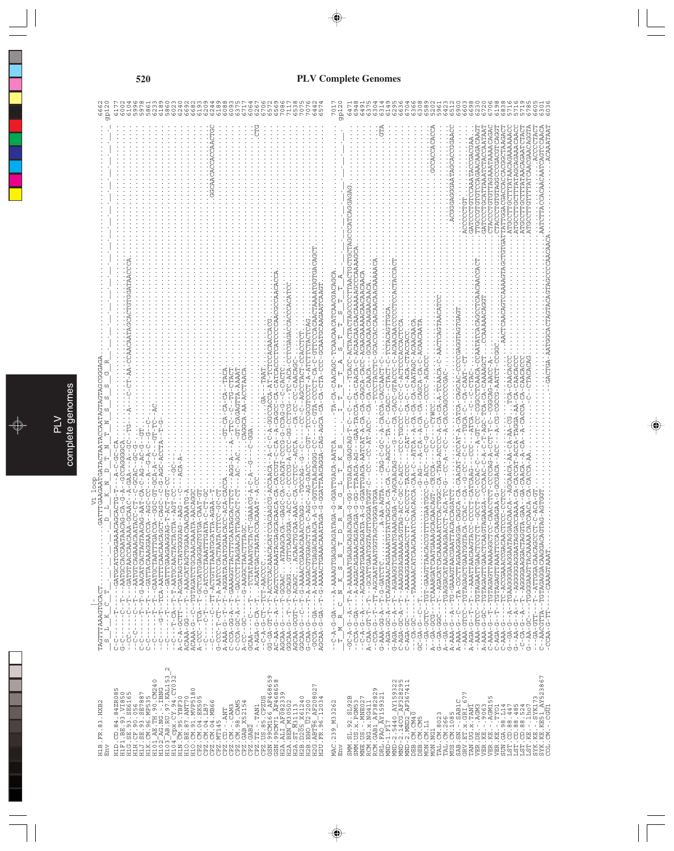| i<br>ŕ. |
|---------|
| J       |
| ŕ       |
|         |

**S** 

mes

| 3p12                                                                                                       | $\frac{9}{1}$<br>$\overline{2}0$<br>24<br>$\frac{8}{1}$<br>8<br>္ပ<br>89<br>617<br>O<br>Ō<br>Ö<br>$\ddot{\circ}$<br>$\circ$<br>O<br>O<br>G                                                                                                                                                                                                                                                                                                                                                                                                                                                                                                                                  | $_{\rm 08}^{\rm 8}$<br>$\frac{9}{2}$<br>$\delta$<br>26<br>$\frac{8}{3}$<br>50<br>447<br>O<br>$\circ$<br>Ô<br>G<br>G<br>O<br>w<br>6<br>6<br>w                                                                                                                                                                                                                                                                                                                                                                                                                                                                                                                                                                                                                                                                                                                                                                                                                                                         | 20<br>58<br>$\frac{0}{2}$<br>96<br>$\overline{0}$<br>69<br>701<br><b>gp12</b><br>96<br>$^{42}$<br>51<br>647<br>694<br>w<br>ن<br>Ō<br>Ó<br>Ó<br>Ō<br>G<br>G<br>G<br>e m<br>LN<br>O<br>6<br>G<br>O<br>$\circ$<br>O<br>w<br>m w                                                                                                                                                                                                                                                                                                                                                                                                                                                                                                                                                                                                                                                                                                                                                                                                                                                                                                                                                                                                                                                                                                                                                                                                                             |
|------------------------------------------------------------------------------------------------------------|-----------------------------------------------------------------------------------------------------------------------------------------------------------------------------------------------------------------------------------------------------------------------------------------------------------------------------------------------------------------------------------------------------------------------------------------------------------------------------------------------------------------------------------------------------------------------------------------------------------------------------------------------------------------------------|------------------------------------------------------------------------------------------------------------------------------------------------------------------------------------------------------------------------------------------------------------------------------------------------------------------------------------------------------------------------------------------------------------------------------------------------------------------------------------------------------------------------------------------------------------------------------------------------------------------------------------------------------------------------------------------------------------------------------------------------------------------------------------------------------------------------------------------------------------------------------------------------------------------------------------------------------------------------------------------------------|----------------------------------------------------------------------------------------------------------------------------------------------------------------------------------------------------------------------------------------------------------------------------------------------------------------------------------------------------------------------------------------------------------------------------------------------------------------------------------------------------------------------------------------------------------------------------------------------------------------------------------------------------------------------------------------------------------------------------------------------------------------------------------------------------------------------------------------------------------------------------------------------------------------------------------------------------------------------------------------------------------------------------------------------------------------------------------------------------------------------------------------------------------------------------------------------------------------------------------------------------------------------------------------------------------------------------------------------------------------------------------------------------------------------------------------------------------|
|                                                                                                            | GEARCACCACCARCTE                                                                                                                                                                                                                                                                                                                                                                                                                                                                                                                                                                                                                                                            |                                                                                                                                                                                                                                                                                                                                                                                                                                                                                                                                                                                                                                                                                                                                                                                                                                                                                                                                                                                                      | GCCACCACACCA<br><b>COGOAGGAATAGCACCOGAACC</b><br>TTGCCGTGTCCAGAACAAGACAAG<br><b>CHACGOODOGEORDEDUORED</b><br>UAUANUUUUUNUUNUUAUUAUUHHAHHAU<br>ATGCCTTGCTTRTAACAGAATCTAC<br>AATCTTACCACAATCAATCAGTCCAAC<br>ATGCUTTGUTTATAAGAAAAAAA<br>ATGCUTTGUTATETTATE<br>CAAATAA<br>GATCCCCTGCATTAAATCTACCAATAA<br>CTACCCTGTTAGAATAAAAACAGA<br><b>ATOROACOACOFFITITIOFFICOOP</b><br>GATCCCTGCAARTACCACGAA                                                                                                                                                                                                                                                                                                                                                                                                                                                                                                                                                                                                                                                                                                                                                                                                                                                                                                                                                                                                                                                              |
| VI loop<br>SATTTGAAGAATGATACTAATACCAATAGTAGTAGGGGAAGA<br>Ü<br>C)<br>CΩ<br>C)<br>z<br>z<br>$\Box$<br>z<br>× | - CT-AA-CCAACAATAGCACTGERGATAACCCA<br>- TC<br>ひ‐‐い‐ヸ‐ゕ‐‐<br>LO-<br>AAA---A---AA---A---A---A-<br>AUUUUUAUUU - - 4 - U - 4U -<br>$-90-2$<br>-ACCTA<br>ひ‐ひの‐‐ひぺひの‐ひ‐‐LD‐ひひぺhぺぺ<br>ACAC-DA-C-AC-AC-AC-AC-<br>$\frac{1}{\sqrt{2}}$<br>$-4$<br>CCA--AGC-CC----A<br>CCA--GGC-GT-GCA<br>GCT-CAGC--C-G-A<br>U<br>⊣<br>CAGCACTG-T<br>CAACAAATG-A<br>GAG-T-ACT-G<br>U-JU-JUHHUA<br>AATA-AACAGG<br>TGA-CAAT-G<br>ACTA--AHU<br>ATTA-AGAA--<br>$  AAG$<br>ACACC<br>AACAG<br>-GATCATCOHT-<br>-AATGCCACCAAT<br>-GATGTAACCAA<br>-AATGTCAGAAAC<br>--T--AAACATAGCTGG<br>-GATTTGAAGAA<br>--TCA-AATTTCAACAA<br>--T-T-AATGCAACTAC<br>$-1T-T-TCTGTTTTAAATG$<br>----ATCOTAAATT<br>--T--CAATGCTAATTI | $\begin{array}{l} \displaystyle \lambda \, \dot{\rm \ddot{c}} \, \dot{\rm \ddot{c}} \, \dot{\rm \ddot{c}} \, \dot{\rm \ddot{c}} \, \dot{\rm \ddot{c}} \, \dot{\rm \ddot{c}} \, \dot{\rm \ddot{c}} \, \dot{\rm \ddot{c}} \, \dot{\rm \ddot{c}} \, \dot{\rm \ddot{c}} \, \dot{\rm \ddot{c}} \, \dot{\rm \ddot{c}} \, \dot{\rm \ddot{c}} \, \dot{\rm \ddot{c}} \, \dot{\rm \ddot{c}} \, \dot{\rm \ddot{c}} \, \dot{\rm \ddot{c}} \, \dot$<br>URULDRIULIULA-4-LUUULUUUUU --<br>LULUU YU - LU YLUU YY - - U - U - U - - -<br>.-GT-CAGAGTTA-AAAAT<br>CAGGCA-AA-ACTAACA<br>--TG-CTACT<br>$- A - - TTC$<br>UU-UUURURREUEUU-U-K-KURK<br>AGCACAACA-CA-CACCGT-C-C<br>ACA--GAGC-CA-CCACAT-CCC<br>- UURU-UR-- UUR- U-RUH<br>'ATTAGCACT-CT--<br>$-4$<br>$-ACA-CACC$<br>AATAGCACTTCT-<br>ACCACAAAT--A-C<br>υ<br>ບ<br>.<br>CT-GAAACG<br>UGU--ADU<br><b>AACCAGG</b><br>CACAAG<br>- - T - - - T - T - T - 10 MART<br>--T-GCAACATAAGC<br>--T-G-AAAACCGAAACZ<br>--T-A-AAGACCTGGAG<br>--A-AAAACTGAGACZ<br>--G-AAGGCTAACTT | OCACCONTONACUOUCHOCHOUNACUOUUCHOUNACUALUNACUO<br>- TACCA-CA-CAACA-C-ACAACAACAAAAAAAACCCCCAAAAAGCA<br>. AACTCAACAGTCAAAGTAGCT<br>-TCCCTACCTC-GCACCACCAACAACAACAAAAACA<br>CCCTCCACDACT<br>- TA-CAACAGC-TCAACAACATCAACGACAGCA<br>-GGATTGACA-AATCAT-A-CA-CA-CACCACC-ACAACAAAAAAACAAAAAAACA<br>CAACAACAAGAACAACA<br>GTAGAAGA--CCCAAC-C-A-C-T-AGC-TCA-CAAAAAGCT CCAAAACAAACAGCT<br>--AGCC--TA-C--CACC--CTACT-TCTACACACACCA<br>CΩ<br>UURRURRUR-U-UUURIEU-UURU-RU-----U----URURRUURFU-RURDRREN<br>AUDIDAUDAUDDIDA-D-DD--<br>URUUREU-KUR-U--<br>UUUUU - LUL 44 - UUUUU - UU - 4 - -<br>CΩ<br>の!<br>CAG-C-GC-GCA-CAGOG-A--DO-U-OAC<br>$-4$ $-10000 - 14$<br>UUURUGRU – KU – KR – KUUKI – KUUK – ILKUUKU – KU – KR KR UUKUUKU<br>UUUKUKKU-KU-KUUKU-K--KU-K--<br>-- CO-A-AT-AC-- CA-CU-- UUC-- -<br>$\vdash$<br>U- ぱひ - ひひ - - - Lばひ - - - -<br>$\vdash$<br>U-UUUUH-UUU----<br>ں<br>!<br>G-TTAACA-AG--GAA<br>H - LUU - K - UKUUUU - LULUUKKU -<br>--A-AAAGTGAGACAGATAGA-GGATTGACA-AATCA<br>-CCCACA--ACC-<br>C)<br>A-CA-CACCA-AA<br>UUR-U-UUR-UUR-UKHUR<br>CTT-C-ACCOV-TACC<br>$-$ GA-CAACA<br>GTATCAGCA-CA-CA-C<br>U - LUULKUUULLUK<br>$-ACTDA-ACT-A-1$<br>ひ<br>AGCACAACAGT<br>CAAGAGAA-G<br>Z<br>--T-A-AAAAATGAGACZ<br>----ACAAAAGTGAAACZ<br>--T-----CATTGAATGG1<br>-----A-CGCTTAGAAGGA<br>--TGGGGAAGTTACAAAA<br>-T--ATTGGACAACAG<br>--A-AAGACAGAAAC<br>--TC-ACCAAACCCAC<br>--T--AAAAGAAAAGA<br>Н<br>--TGAGGACATAACAAA<br>-TGTAGATTAAAAGG<br>-CAAAGTAAAT<br>囯<br>C) |
| TAGTTTAAAGTGCACT<br>Н<br>U<br>×<br>$\overline{a}$<br>CΩ                                                    | 4994440411149---11--11------<br>A - C - A - GCTT - - T - ACGATAGCTATGG<br>ACAAA - GG - - - - T - - AAACATAGCTGG<br>ACAAA - GG - - - - T - - AAACATAGCTGG<br>A - CCC - - T CA - - T - GCTCATGGAGGAG<br>G-CCC-T-CT--A-AATCCCACTAA<br>Ť<br>J<br>÷.<br>÷.<br>Ť<br>$\frac{1}{1}$<br>í<br>$---T--CA$<br>턱<br>$- - - - - - - -$<br>$\frac{1}{1}$<br>÷.<br>U<br>リー<br>リー<br>$-1-C$<br>$\frac{1}{1}$<br>$\frac{1}{1}$<br>್ರೆ<br>$-C$<br>$\frac{1}{1}$<br>$\mathbf{I}$<br>ပု<br>$\frac{1}{1}$<br>ပု<br>$\frac{1}{1}$<br>$\frac{1}{1}$<br>$\frac{1}{\sqrt{2}}$<br>$\frac{1}{\sqrt{2}}$<br>$\frac{1}{\sqrt{2}}$<br>ပု<br>ု<br>i<br>U<br>ひ<br>U<br>U                                     | A-AAA-G---T---AGGATACAATGG<br>A-AGA-G-CA--TACAATGACTAAT<br>- -C-A-G-CT--TCT-AACCCC<br>GG-GA-GT-T--T-ACCTCACAAACACA<br>GCCAA-G--T--T--CCAGGGTTCAA<br>-CCA-GG-A--T-GAAAGGTTACTTT<br>AGCAA-GCGT--T-ACAGCACAAC<br>AC-AA-G--A-T-AGCTCCCAAATAC<br>$\frac{1}{1}$<br><b>GGCAA-G--C</b><br>$A - CC - GC - -$<br>$\frac{1}{2}$<br>$\frac{1}{4}$<br>$G - CAA - G - -$<br>AGCAA-G<br>GCAA<br>υU                                                                                                                                                                                                                                                                                                                                                                                                                                                                                                                                                                                                                  | --CCA-G--T--TT-AGCAATAAATGGT<br>G-AAA-GG-A--T-G-GATCTC<br>- - AGA - GC - A - - TCAGGAAACAGAAAAA<br>C-AGA - G - - A - - T - - AGAAGGTCAAAAA<br>GC-GA-G--C--T.<br>---GA-GCTC--TGT-GAAGTTAACACC<br>--GA-GCG---TCAARGATCAATGAI<br>ARANCAURUAGA-------UUU--UU---<br>--A--TGAAGGGAAGGAAT<br>11440040000000 - - H - - 4 - -<br>IPORCORROOCH--H--H--D-KU-U<br>- - AACGTTA - -TGTAGAGACAAGGAC<br>-AAA-G-G-TGTAGAGTTGAACTC<br>$-{\cal P}{\cal G}{\cal A}-{\cal G}-1-\Gamma-1-\gamma-{\cal P}{\cal A}{\cal A}{\cal T}{\cal T}{\cal T}{\cal A}{\cal C}{\cal A}{\cal G}$<br>-AGA-GC-A--T--AAAGGGAGAAAAA<br>--A--TG-GAAAGTAACGAA<br>-AAA-GTCC--TGTAGAGCTGAATGG<br>--T---TGTAGAGTTAAATTC<br>$\simeq$<br>$\cup$<br>$-$ GA $-$<br>$-10 - 10 - 10 - 10 - 10$<br>$CCAA - TT - -$<br>$-G-C - A - G - - A$<br>$-4$<br>$\frac{1}{1}$<br>÷.<br>$- - P A - G C - -$<br>$-GTT - GA - GTT -$<br>$A - CAA - GT - T$<br>$- -  - -$<br>$C-AGA-GC-$<br>$\approx$<br>÷<br>$A - A A A - G$<br>$A-AGA-G$<br>$-AGA-G$<br>$-AAA - G$<br>$-45 - 6$<br>$-AA-C$<br>$A - A A A - G$<br>$-AA-$ G<br>$-CCA-C$<br>$-45 - 9$<br>$-C-A-C$<br>Σ<br>$\vdash$<br>U<br>К<br>ひ<br>A,<br>К<br>U<br>U<br>U<br>ひ<br>ひ<br>ひ<br>U                                                                                                                                                                                                                                                                              |
| H1B.FR.83.HXB2<br>$_{\rm{Env}}$                                                                            | $\mathcal{C}$<br>HID.CD.84.84ZR085<br>HIF1.BE.93.VI850                                                                                                                                                                                                                                                                                                                                                                                                                                                                                                                                                                                                                      | CPZ.US.85.CPZUS<br>GSN.99CM166 AF468659<br>GSN.99CM71 AF468658<br>H2A.BEN M3050239<br>H2A.ST_M305023<br>H2G.ABT96 AF208027<br>H2B.D205 X61240<br>H2U.FR.96.12034<br>CPZ.CD.-.ANT<br>CPZ.CM.-.CAM3<br>CPZ.CM.98.CAM5<br>CPZ.GAB_X52154<br>CPZ.GAB2<br><b>U27200</b><br>.TAN1<br>$CPZ. TZ. -$<br>H2B.EHO                                                                                                                                                                                                                                                                                                                                                                                                                                                                                                                                                                                                                                                                                               | .SYK173<br>E51 AY523867<br>2.5440 AY159322<br>2.14CG AF328295<br>2.MND2 AF367411<br>RCM.GAB1 AF382829<br>DRL.FAO AY159321<br>SMM.SL.92.SL92B<br>SMM.US.x.PGM53<br>MNE.US.-.MNE027<br>$\begin{array}{ll} \text{TAL} & \text{(N. 8023)}\\ \text{TAL} & \text{CM. 266}\\ \text{TAL} & \text{CM. 266}\\ \text{SAB} & \text{SM. -28B1} \\ \text{SAB} & \text{SM. -3.8B1C}\\ \text{GRV, BT. x. GRL} & \text{G77}\\ \text{VRM, 102. +0.001}\\ \text{VBM, 126. -0.0003}\\ \text{VBM, 16. -0.003}\\ \text{VBM, 16. -0.003}\\ \text{VBM, 16. -0.003}\\ \text{VBM, 16. -0$<br>VER.KE. - . AGM155<br>MAC.239 M33262<br>RCM.NG.X.NG411<br>SUN 32.98.114<br>LST.CD.88.447<br>LST.CD.88.485<br>LST.CD.88.524<br>LST.KE.-1107<br>.TYO1<br>CGĪ<br>SYK.KE.KE51<br>DEB.CM.CM40<br>DEB.CM.CM5<br>MON.CM.L1<br>$T\overline{T}$ .<br>VER.KE.-<br>$SYK.KE. -$<br>MON.NG1<br><b>NL</b><br>$MND-2$<br>$MND-2$<br>$MID-1$<br>MND-3<br>Env<br>ECC                                                                                                                                                                                                                                                                                                                                                                                                                                                                                                                                   |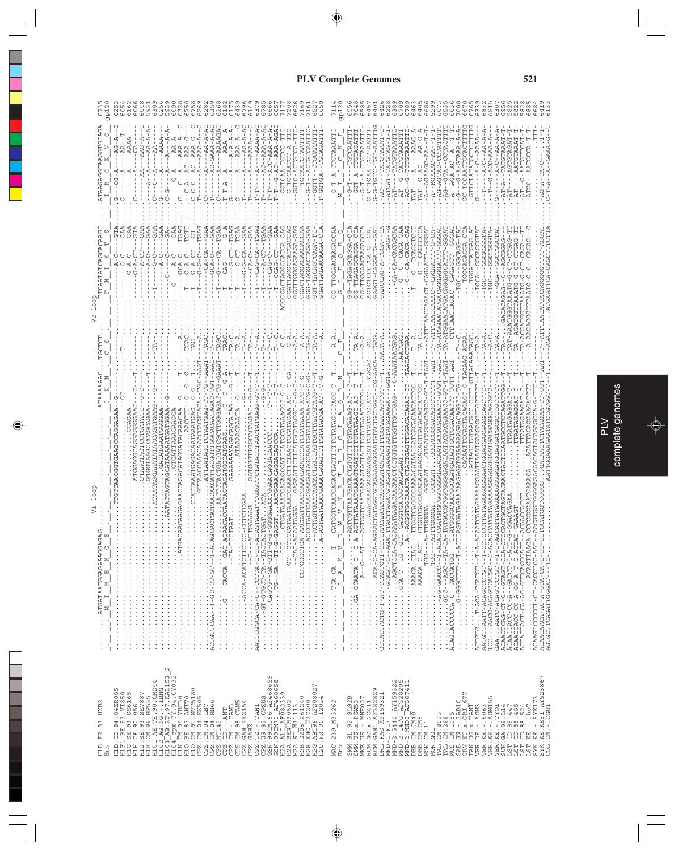|--|

| H1B. FR. 83. HXB2                                                                                                                                                                                                                                                                                                                                                                                                                                                                                              | CAGCACAAG<br>ATGATAATGGAGAAAGGA                                                                                                                                                                                                                                                                                                                                                                                                                                                                      | TAAGGTGCAGI                 |  |
|----------------------------------------------------------------------------------------------------------------------------------------------------------------------------------------------------------------------------------------------------------------------------------------------------------------------------------------------------------------------------------------------------------------------------------------------------------------------------------------------------------------|------------------------------------------------------------------------------------------------------------------------------------------------------------------------------------------------------------------------------------------------------------------------------------------------------------------------------------------------------------------------------------------------------------------------------------------------------------------------------------------------------|-----------------------------|--|
| $\operatorname{Env}$                                                                                                                                                                                                                                                                                                                                                                                                                                                                                           | U<br>×<br>M I M E<br>$\cdot$<br>$\dot{\gamma}$                                                                                                                                                                                                                                                                                                                                                                                                                                                       |                             |  |
|                                                                                                                                                                                                                                                                                                                                                                                                                                                                                                                |                                                                                                                                                                                                                                                                                                                                                                                                                                                                                                      |                             |  |
|                                                                                                                                                                                                                                                                                                                                                                                                                                                                                                                |                                                                                                                                                                                                                                                                                                                                                                                                                                                                                                      |                             |  |
| $\begin{tabular}{l ll} \multicolumn{1}{l}{\begin{tabular}{l} \multicolumn{1}{l}{\begin{tabular}{l} \multicolumn{1}{l}{\begin{tabular}{l} \multicolumn{1}{l}{\begin{tabular}{l} \multicolumn{1}{l}{\begin{tabular}{l} \multicolumn{1}{l}{\begin{tabular}{l} \multicolumn{1}{l}{\begin{tabular}{l} \multicolumn{1}{l}{\begin{tabular}{l} \multicolumn{1}{l}{\begin{tabular}{l} \multicolumn{1}{l}{\begin{tabular}{l} \multicolumn{1}{l}{\begin{tabular}{l} \multicolumn{1}{l}{\begin{tabular}{l} \multicolumn{1$ |                                                                                                                                                                                                                                                                                                                                                                                                                                                                                                      |                             |  |
|                                                                                                                                                                                                                                                                                                                                                                                                                                                                                                                |                                                                                                                                                                                                                                                                                                                                                                                                                                                                                                      |                             |  |
|                                                                                                                                                                                                                                                                                                                                                                                                                                                                                                                |                                                                                                                                                                                                                                                                                                                                                                                                                                                                                                      |                             |  |
|                                                                                                                                                                                                                                                                                                                                                                                                                                                                                                                |                                                                                                                                                                                                                                                                                                                                                                                                                                                                                                      |                             |  |
| $\mathcal{N}_{j}$                                                                                                                                                                                                                                                                                                                                                                                                                                                                                              |                                                                                                                                                                                                                                                                                                                                                                                                                                                                                                      | ಲ್                          |  |
|                                                                                                                                                                                                                                                                                                                                                                                                                                                                                                                |                                                                                                                                                                                                                                                                                                                                                                                                                                                                                                      |                             |  |
|                                                                                                                                                                                                                                                                                                                                                                                                                                                                                                                |                                                                                                                                                                                                                                                                                                                                                                                                                                                                                                      |                             |  |
|                                                                                                                                                                                                                                                                                                                                                                                                                                                                                                                |                                                                                                                                                                                                                                                                                                                                                                                                                                                                                                      | P<br>U                      |  |
|                                                                                                                                                                                                                                                                                                                                                                                                                                                                                                                | いし<br>ひし                                                                                                                                                                                                                                                                                                                                                                                                                                                                                             |                             |  |
|                                                                                                                                                                                                                                                                                                                                                                                                                                                                                                                | TAGC                                                                                                                                                                                                                                                                                                                                                                                                                                                                                                 |                             |  |
|                                                                                                                                                                                                                                                                                                                                                                                                                                                                                                                | $GCA$ –<br>ACTGTTCAA - T-GC-CT-GT - T-AT                                                                                                                                                                                                                                                                                                                                                                                                                                                             | AC-GAAA- <i>P</i>           |  |
|                                                                                                                                                                                                                                                                                                                                                                                                                                                                                                                | ひ<br>CAGC                                                                                                                                                                                                                                                                                                                                                                                                                                                                                            | $-A A A$                    |  |
|                                                                                                                                                                                                                                                                                                                                                                                                                                                                                                                | CAG.                                                                                                                                                                                                                                                                                                                                                                                                                                                                                                 | $\mathbb{F}$ – $\mathbb{F}$ |  |
|                                                                                                                                                                                                                                                                                                                                                                                                                                                                                                                |                                                                                                                                                                                                                                                                                                                                                                                                                                                                                                      |                             |  |
|                                                                                                                                                                                                                                                                                                                                                                                                                                                                                                                | $\cdots$ $\cdots$ $\cdots$ $\cdots$ $\cdots$ $\cdots$ $\cdots$ $\cdots$ $\cdots$ $\cdots$ $\cdots$ $\cdots$ $\cdots$ $\cdots$ $\cdots$ $\cdots$ $\cdots$ $\cdots$ $\cdots$ $\cdots$ $\cdots$ $\cdots$ $\cdots$ $\cdots$ $\cdots$ $\cdots$ $\cdots$ $\cdots$ $\cdots$ $\cdots$ $\cdots$ $\cdots$ $\cdots$ $\cdots$ $\cdots$ $\cdots$ $\cdots$                                                                                                                                                         |                             |  |
|                                                                                                                                                                                                                                                                                                                                                                                                                                                                                                                |                                                                                                                                                                                                                                                                                                                                                                                                                                                                                                      |                             |  |
|                                                                                                                                                                                                                                                                                                                                                                                                                                                                                                                | AATTCGGCA-CA-C-TCTTA-C-CC                                                                                                                                                                                                                                                                                                                                                                                                                                                                            | Н                           |  |
|                                                                                                                                                                                                                                                                                                                                                                                                                                                                                                                |                                                                                                                                                                                                                                                                                                                                                                                                                                                                                                      |                             |  |
|                                                                                                                                                                                                                                                                                                                                                                                                                                                                                                                |                                                                                                                                                                                                                                                                                                                                                                                                                                                                                                      | $CC-AA-7$<br>부              |  |
| H2A.ALI_AF082339                                                                                                                                                                                                                                                                                                                                                                                                                                                                                               | <b>GACTAGG</b>                                                                                                                                                                                                                                                                                                                                                                                                                                                                                       |                             |  |
| H2A.BEN M30502                                                                                                                                                                                                                                                                                                                                                                                                                                                                                                 |                                                                                                                                                                                                                                                                                                                                                                                                                                                                                                      |                             |  |
|                                                                                                                                                                                                                                                                                                                                                                                                                                                                                                                |                                                                                                                                                                                                                                                                                                                                                                                                                                                                                                      |                             |  |
| H2A.ST M31113<br>H2B.D205 X61240                                                                                                                                                                                                                                                                                                                                                                                                                                                                               |                                                                                                                                                                                                                                                                                                                                                                                                                                                                                                      |                             |  |
| H2B. EHO 027200                                                                                                                                                                                                                                                                                                                                                                                                                                                                                                |                                                                                                                                                                                                                                                                                                                                                                                                                                                                                                      |                             |  |
| Γ<br>H2G.ABT96_AF20802<br>H2U.FR.96.12034                                                                                                                                                                                                                                                                                                                                                                                                                                                                      |                                                                                                                                                                                                                                                                                                                                                                                                                                                                                                      |                             |  |
|                                                                                                                                                                                                                                                                                                                                                                                                                                                                                                                | .                                                                                                                                                                                                                                                                                                                                                                                                                                                                                                    |                             |  |
| MAC.239_M33262                                                                                                                                                                                                                                                                                                                                                                                                                                                                                                 | TTGGAACAAGAGCZ                                                                                                                                                                                                                                                                                                                                                                                                                                                                                       |                             |  |
| Env                                                                                                                                                                                                                                                                                                                                                                                                                                                                                                            |                                                                                                                                                                                                                                                                                                                                                                                                                                                                                                      |                             |  |
|                                                                                                                                                                                                                                                                                                                                                                                                                                                                                                                |                                                                                                                                                                                                                                                                                                                                                                                                                                                                                                      |                             |  |
| SMM.SL.92.SL92B<br>SMM.US.x.PGM53<br>MNE.US.-.MNE027                                                                                                                                                                                                                                                                                                                                                                                                                                                           |                                                                                                                                                                                                                                                                                                                                                                                                                                                                                                      |                             |  |
|                                                                                                                                                                                                                                                                                                                                                                                                                                                                                                                |                                                                                                                                                                                                                                                                                                                                                                                                                                                                                                      |                             |  |
| RCM.NG.x.NG411                                                                                                                                                                                                                                                                                                                                                                                                                                                                                                 |                                                                                                                                                                                                                                                                                                                                                                                                                                                                                                      |                             |  |
| RCM.GAB1_AF382829<br>DRL.FAO_AY159321                                                                                                                                                                                                                                                                                                                                                                                                                                                                          | AAGT-CAGGATG                                                                                                                                                                                                                                                                                                                                                                                                                                                                                         | - TGTC<br>いい                |  |
|                                                                                                                                                                                                                                                                                                                                                                                                                                                                                                                |                                                                                                                                                                                                                                                                                                                                                                                                                                                                                                      |                             |  |
|                                                                                                                                                                                                                                                                                                                                                                                                                                                                                                                | )<br>10-LD<br>10-LD<br>10-LD<br>10-LD<br>10-LD<br>10-LD<br>10-LD<br>10-LD<br>10-LD<br>10-LD<br>10-LD<br>10-LD<br>10-LD<br>10-LD<br>10-LD<br>10-LD<br>10-LD<br>10-LD<br><td>TCAT-TAT</td> <td></td>                                                                                                                                                                                                                                                                                                   | TCAT-TAT                    |  |
| MND-1:1777<br>MND-2:5440 AX159322<br>MND-2:MAD2_AF367411<br>DBB.CM.CM40<br>DDB.CM.CM40<br>MON.CM.101<br>MND:CM.101.266<br>TAL.CM.1085<br>MND:CM.1085<br>MND:CM.1085<br>MND:CM.1085<br>MND:CM.1085                                                                                                                                                                                                                                                                                                              |                                                                                                                                                                                                                                                                                                                                                                                                                                                                                                      |                             |  |
|                                                                                                                                                                                                                                                                                                                                                                                                                                                                                                                |                                                                                                                                                                                                                                                                                                                                                                                                                                                                                                      |                             |  |
|                                                                                                                                                                                                                                                                                                                                                                                                                                                                                                                |                                                                                                                                                                                                                                                                                                                                                                                                                                                                                                      |                             |  |
|                                                                                                                                                                                                                                                                                                                                                                                                                                                                                                                |                                                                                                                                                                                                                                                                                                                                                                                                                                                                                                      |                             |  |
|                                                                                                                                                                                                                                                                                                                                                                                                                                                                                                                |                                                                                                                                                                                                                                                                                                                                                                                                                                                                                                      | -- AGAAGC-AA                |  |
|                                                                                                                                                                                                                                                                                                                                                                                                                                                                                                                | $\begin{split} \mathbf{1}_{\{1,2,3\},\{1,3\},\{2,4\},\{3,5\},\{4,6\},\{5,6\},\{6,7\},\{7,8\},\{8,9\},\{9,9\},\{1,9\},\{1,9\},\{1,9\},\{1,9\},\{1,9\},\{1,9\},\{1,9\},\{1,9\},\{1,9\},\{1,9\},\{1,9\},\{1,9\},\{1,9\},\{1,9\},\{1,9\},\{1,9\},\{1,9\},\{1,9\},\{1,9\},\{1,$                                                                                                                                                                                                                           | --RGAAAC-AA                 |  |
|                                                                                                                                                                                                                                                                                                                                                                                                                                                                                                                |                                                                                                                                                                                                                                                                                                                                                                                                                                                                                                      | AG-AGTAC-CCTAT              |  |
|                                                                                                                                                                                                                                                                                                                                                                                                                                                                                                                |                                                                                                                                                                                                                                                                                                                                                                                                                                                                                                      |                             |  |
|                                                                                                                                                                                                                                                                                                                                                                                                                                                                                                                | -CAGAGTT<br>ACAGCACCCCA-C--CACCATGG--<br>ACAGCACCCCA-C--CACCATGG--                                                                                                                                                                                                                                                                                                                                                                                                                                   | $- AGA - AC$                |  |
|                                                                                                                                                                                                                                                                                                                                                                                                                                                                                                                |                                                                                                                                                                                                                                                                                                                                                                                                                                                                                                      |                             |  |
|                                                                                                                                                                                                                                                                                                                                                                                                                                                                                                                | GGCA<br>$\vdots$<br>.<br>$\ddot{\phantom{0}}$<br>$\frac{1}{2}$                                                                                                                                                                                                                                                                                                                                                                                                                                       | <b>AADDT-DE</b>             |  |
|                                                                                                                                                                                                                                                                                                                                                                                                                                                                                                                | $\begin{array}{l} \lambda \, \dot{C} \, \dot{\overline{C}} \, \dot{C} \, \dot{\overline{C}} \, \dot{\overline{C}} \, \dot{\overline{C}} \, \dot{\overline{C}} \, \dot{\overline{C}} \, \dot{\overline{C}} \, \dot{\overline{C}} \, \dot{\overline{C}} \, \dot{\overline{C}} \, \dot{\overline{C}} \, \dot{\overline{C}} \, \dot{\overline{C}} \, \dot{\overline{C}} \, \dot{\overline{C}} \, \dot{\overline{C}} \, \dot{\overline{C}} \, \dot{\overline{C}} \, \dot{\overline{C}} \, \dot{\overline$ |                             |  |
|                                                                                                                                                                                                                                                                                                                                                                                                                                                                                                                |                                                                                                                                                                                                                                                                                                                                                                                                                                                                                                      |                             |  |
|                                                                                                                                                                                                                                                                                                                                                                                                                                                                                                                |                                                                                                                                                                                                                                                                                                                                                                                                                                                                                                      | $-AA$ -                     |  |
|                                                                                                                                                                                                                                                                                                                                                                                                                                                                                                                |                                                                                                                                                                                                                                                                                                                                                                                                                                                                                                      |                             |  |
|                                                                                                                                                                                                                                                                                                                                                                                                                                                                                                                |                                                                                                                                                                                                                                                                                                                                                                                                                                                                                                      |                             |  |
|                                                                                                                                                                                                                                                                                                                                                                                                                                                                                                                | UNA-U-LURU--A-UU-UURUURKUK                                                                                                                                                                                                                                                                                                                                                                                                                                                                           |                             |  |
|                                                                                                                                                                                                                                                                                                                                                                                                                                                                                                                | ACAACCAC-C-A-GG-A-T-C-ACI<br>ACTACTACT-CA-AG-GTTCAGGGACT                                                                                                                                                                                                                                                                                                                                                                                                                                             |                             |  |
| $\begin{array}{l} \texttt{SAB} = \texttt{SW} = \texttt{SABL} \\ \texttt{GRV} = \texttt{CW} \\ \texttt{GRV} = \texttt{RZ} + \texttt{GRV} \\ \texttt{GRV} = \texttt{RZ} + \texttt{AGM} \\ \texttt{VBR} = \texttt{RZ} - \texttt{AGM} \\ \texttt{VBR} = \texttt{RZ} - \texttt{AGM} \\ \texttt{VBR} = \texttt{RZ} - \texttt{AGM} \\ \texttt{VBR} = \texttt{G} + \texttt{G} \\ \texttt{G} = \texttt{G} + \texttt{G} \\ \texttt{G} = \text$                                                                           |                                                                                                                                                                                                                                                                                                                                                                                                                                                                                                      |                             |  |
| SYK.KE.-.SYK173<br>SYK.KE.KES1_AY523867                                                                                                                                                                                                                                                                                                                                                                                                                                                                        |                                                                                                                                                                                                                                                                                                                                                                                                                                                                                                      |                             |  |
|                                                                                                                                                                                                                                                                                                                                                                                                                                                                                                                |                                                                                                                                                                                                                                                                                                                                                                                                                                                                                                      |                             |  |
| CGŪ1<br><b>CM</b><br>COL                                                                                                                                                                                                                                                                                                                                                                                                                                                                                       |                                                                                                                                                                                                                                                                                                                                                                                                                                                                                                      |                             |  |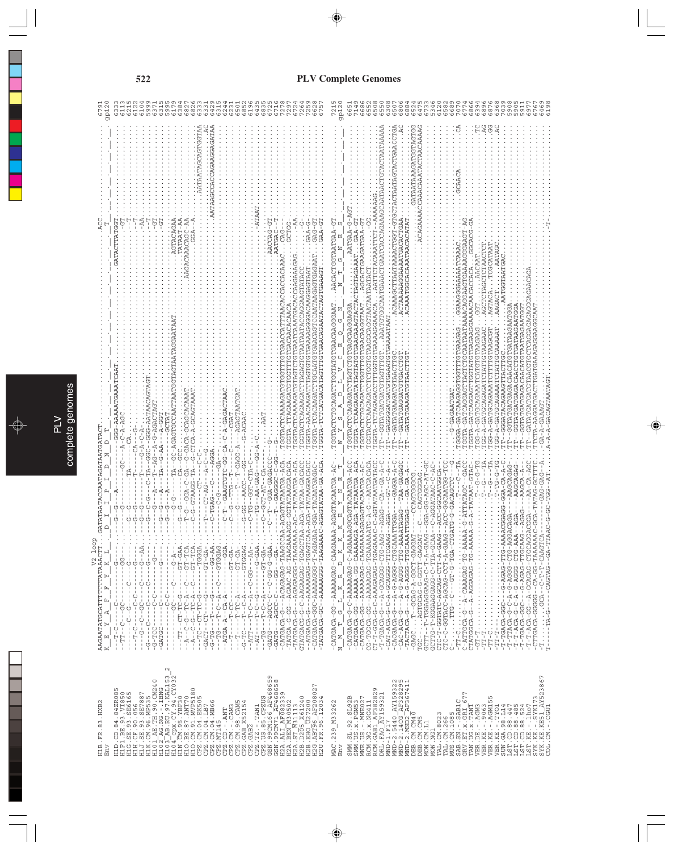| S |
|---|
| D |
|   |
|   |
|   |
|   |
| Í |

 $\bar{8}$ 

mes

| w                                                                                                                                                                                                                                                                                                                                                                                                                                                                                                                                                                                                                                                                                          |                                                                                                                                                                                                                                                                                                                                                                                                                                                                                                                                                                                                                                                                                                                                                         | 9P <sub>12</sub><br>c<br>ن<br>0<br>99<br>w                                                                                                                                                                                                                                                                                                                                                                                                                                                                                                                                                                                                                                                                                                                                                                                                                                                                                                                                                            |
|--------------------------------------------------------------------------------------------------------------------------------------------------------------------------------------------------------------------------------------------------------------------------------------------------------------------------------------------------------------------------------------------------------------------------------------------------------------------------------------------------------------------------------------------------------------------------------------------------------------------------------------------------------------------------------------------|---------------------------------------------------------------------------------------------------------------------------------------------------------------------------------------------------------------------------------------------------------------------------------------------------------------------------------------------------------------------------------------------------------------------------------------------------------------------------------------------------------------------------------------------------------------------------------------------------------------------------------------------------------------------------------------------------------------------------------------------------------|-------------------------------------------------------------------------------------------------------------------------------------------------------------------------------------------------------------------------------------------------------------------------------------------------------------------------------------------------------------------------------------------------------------------------------------------------------------------------------------------------------------------------------------------------------------------------------------------------------------------------------------------------------------------------------------------------------------------------------------------------------------------------------------------------------------------------------------------------------------------------------------------------------------------------------------------------------------------------------------------------------|
| AATAATAGCAGTGGTAA                                                                                                                                                                                                                                                                                                                                                                                                                                                                                                                                                                                                                                                                          | AATAAGCCACCAGAAGGAAGATA                                                                                                                                                                                                                                                                                                                                                                                                                                                                                                                                                                                                                                                                                                                                 | ACAGAAACCAAACAAATACTAACAAAAG.<br>GATAATAAAGATGGTAGTG                                                                                                                                                                                                                                                                                                                                                                                                                                                                                                                                                                                                                                                                                                                                                                                                                                                                                                                                                  |
| 50-<br>TATAAT-AA<br>$-AA$<br>۲<br>¦<br>50-<br>AAGACAAACAGC-AA<br>ACC<br>GATACTARGET<br>. AGTACAGAA<br>$- - 499$                                                                                                                                                                                                                                                                                                                                                                                                                                                                                                                                                                            | $:\overline{\mathbb{G}}$<br>AATGAC--T<br>GAG-OGT<br>$\cdots -AA$<br>-<br>CCLCG-<br>GAA-GT<br>GAA-G<br>U<br>CAG-<br>AACCAG-<br>GTGAACCATTTAACACCACCACAAAAC                                                                                                                                                                                                                                                                                                                                                                                                                                                                                                                                                                                               | RATGAA-G-AGT.<br>. ACTAAAAGGAAATGACACTGAA.<br>. ACAAATGGCACAAATAACACATAT<br>C)<br>囯<br>CGTAGTACATCGCATAAT<br>Z<br>AATGTAATGAC<br>Ü<br>$\mathbb{H}$<br>Z<br>AAGACT<br>Z<br>Ü                                                                                                                                                                                                                                                                                                                                                                                                                                                                                                                                                                                                                                                                                                                                                                                                                           |
| -TA--GC-AGAGTGCCAATTAATGGTAGTAATAGGAATAAT<br>-GG-AAAATGAAATCAAT<br>-TA--GGC--GGG-AATAACAGTAGT<br>-TA--G-CTCA-A-GCAGTAAAT<br>$-4G - 4G - 6 - 8GACTRAGIT$<br>-GCTAT<br>$-4-7-7-7-7$<br>$-4 - 5 - 4 - 1 - 4 - 1$<br>$-CA$<br>$\Box$                                                                                                                                                                                                                                                                                                                                                                                                                                                           | TGGTA - AAACAAGATTTAGTGTGTGAAAAGGGGACAAGGAGTAAT.<br>TGGTA - TCACAAGATTTGCAATGYGAACAGTCCAATAAGAGTGAGAAT<br>TGGTAGGAGGAAGATTTAATAGTORGGAGGAAGTAATAGAAGTAGTAG<br>FORARCHORHORHAGGAGGAGGHALHEORHAURDHAUHUH-KHOOH<br>TGGTA-TTAGAAGATGTTGTGACAACACACA<br>-<br>TOURCTCAAAAGATGTCT<br>-AGAGTAATGAT<br>-A-GAGACTAA<br>$-G-ACAAC$<br>CGAT<br>υ                                                                                                                                                                                                                                                                                                                                                                                                                    | HD-RRPHRAHDDHURORA、HRRPDDRRPDHRHDDHHHRPRDDHUHURDPH<br>TGGTA-GATCAGGAGTTAGTCGGAATAATAAACAGGAAGTGAAAGGGAAGG<br>TGGTA-GATCAGGAGTTGGTGAGAAAAGAAAACAACACACAGGCAC<br>TGG-A-GATGCAGAAATCATGTGTAAGAAGGGTAACAAT<br>TGG-A-GATGCAGAGATCTATTGTAAGAACAGCTCTAGCTCTAACTCT<br>!じょしょさんじじじょじょじょじじょしトしじしせんよいししょじトスじトスし!!トト<br>TT--GGTATGATGACAACATGTGATAAGAATGA.<br>. KUUKUUKKUUKULULULUKULUKUKUULUKLUULU<br>FT--GGTATGAGACACCOTGTGATAAGAA<br>TT--GGTATGATGATGTAGTTTGT<br>TT--GAGGGARGATGTGAAATGTGAAAATATT<br>GG-A-GATGCAAATCTATTGCAAAAAT<br>URURRUHUHHHUUHUURURRUHRU-RUUU<br>$\circ$<br>GG-A-GATGCAGAAATCTTTGTAAG<br>GATATGAAGATGTAACTTGC<br>囯<br>HUHUUKUHUHKUUKUHKHKU - - H<br>--GATATGAAGATGTAACTTGT<br>T--GGGATACAGAAGTTACTTGC<br>U<br>-GACAGTAATAGT<br>$\Box$<br>C)<br>TT--GGTA<br>$GA - A$<br>TCTA<br>$-1.7$<br>$\geq$                                                                                                                                                                                             |
| $- A - - T A - - G - A A - - - A - G G T$<br><b>GATATAATACCAATAGATAATGATACT</b><br>$-CA$ -<br>$C - C - C - C$<br>z<br>しりー<br>$\Box$<br>턱<br>f,<br>C-G-GIAAGG<br>۲i<br>$- A -$<br>$\mathbf{a}$<br>$-1$<br>$-4$<br>しゅーウー<br>ة<br>Ù<br>I<br>ಲ<br>$\frac{1}{\sqrt{2}}$<br>$V2$ $100$<br>$---AA$<br>$-150 - 15 - -$<br>$- - - 19999A$<br>$\Box$<br>$-5 - -$<br>$-1 - 0 - 1$<br>-- 55 --<br>H<br>ţ<br>$-1 - 0 - 1$<br>$-4 - 5 - 7 - 1$<br>×<br>ロー<br>$\frac{1}{\sqrt{2}}$<br>$\frac{c}{1}$<br>$C - C$<br>Σ<br>$\bar{1}$<br>$\mathbf{I}$<br>t<br>$\frac{1}{1}$<br>$\frac{1}{2}$<br>$\frac{1}{2}$<br>t<br>ţ<br>$\frac{1}{2}$<br>$\frac{1}{1}$<br>J.<br>$\mathbb{L}_1$<br>J.<br>$\frac{1}{1}$<br>f, | U-AU-UDTOTOTO---<br>U-4-55---545-44--51-<br>$-T - T - T - GAGG - A -$<br>$\begin{array}{c}\n\ddot{\circ} \\ \ddot{\circ}\n\end{array}$<br>$-AGGGA$<br>- UUUKUKU - KUU - - - - - - U<br>- 55-7-555545-- 1-<br>A-ACAGTATAATGA-ACA<br>AGG-GGTATAAGGACACA<br>$-4 - C$<br>AAA - AC - - TATAATGA - ACA<br>AA-ACA-TATAA-GACACC<br>A-ACA-TATAAGGACACC<br>AAC-AGAGTATAA-GA-ACA<br>$-95$<br>U-ALU-L55--5H-U<br>A-GGA-TACAATGAGAC<br>$-CA$<br>$\frac{1}{\sqrt{2}}$<br>$C--GCT-AT-$<br>$-54 - 17 - - -$<br>UH------<br>$\frac{1}{2}$<br>$-TCAG - -$<br>ှု<br>탁<br>ひ<br>-- GLGGF0-<br>$---G-GA.$<br>$-1 - 1 - 1 - 1 - 1$<br>$-GG-AA$<br>$-999 -$<br>$-155 - 155 - - - - - -$<br>$-95 - 15 - - -$<br>$\frac{1}{1}$<br>f,                                              | -TATAATGA-ACA<br>-G--AATGACACA<br>AAAGAGAGTACAATGA-AC-<br>ひローウーウーー<br>$- -G - -TA$<br>AAAGGCAGTACAATGA - AC<br>AC-C-AGTATARTGATAC<br><b>PH-P-PH-</b><br>UUH - UUH KRUUU - UUR - - 5<br>$-1$ - $-1$ A<br>-ATTATAGC--GACC<br>$- - - GAGGA - A - C$<br>AAATAGAG--TAA-GAGAGC<br>U-A-ACCAGAGA-CA-A-A<br>-- AAGCAGAG<br>AAA-AGAGTACAATGA-AC<br>AAGCAGAG<br>ひ‐IK‐Uひば‐ひひ‐ばひひ‐!<br>UR-U-URRHRUUR-U--<br>A-G-A-TATAAT-GTAC<br>-A-A-GA---GA-GA-A-<br>$-4GAG - CA - CA - A$<br>- 04000H040---0---<br>$-AA-CA-AA$<br>AUUUHAUUU-<br>--UHUUKUKU-U-UHKUHU-KUH-U-HU---U--UHHJ<br>$- AAGCA-7$<br>----CCAGTGGCG<br>$-9 - -$<br>囯<br>$- -RGA - - -GT - -C$<br>z<br>$-AGAG -$<br>AATTGGA-<br>囯<br>$B - A G A$<br>$- -$ ACC<br>GGACAGA<br>EDCCGA<br>AC-GCA<br>$C--C-AGAG-G-TTG-A$<br>$- - CAGTAG - GA - T$<br>----------------------<br>×<br>$\hfill \Box$<br>$\vdots$<br>$\approx$<br>$\vdots$<br>×                                                                                                                        |
| AAGAATATGCATTTTTTATAAACTT.<br>- - A - - C - C - - TC - A - - C - - - - - TC A - -<br>- - A - - C - C - - TC - A - - C - - - - - - - - - - - A - - -<br>$-10-10-10=-011-10-1-0=0$<br>U-U-----UUH-U-<br>$- - -$ 0 0 $-$<br>$C - C - C - C$<br>$- - 55 - -$<br>ပု<br>J<br>$-5-$<br>Ŀ,<br>・・・<br>じー<br>ーー<br>Ц,<br>U--U-----<br>$-1 - 1 - 0 - 0$<br>$-$ GATGC-<br>$-1 - 1 - 1 - 1 - 1$<br>Σ<br>囸<br>$\mathsf I$<br>⊻                                                                                                                                                                                                                                                                           | -CATGACA----ACAGAGAG-TAAGC<br>FRIGA-G-G-G-C-AGA--D-AG-TAAGA-<br>-TATGACA-6---AGAGAGGG-TAAGA<br>CTATGACGAGAAGAAC-D-D-DORDIFIED<br>- - ATGACA-G- - - AAAAAGAG-TGAGT<br>- CATGACA-GGC-AAAAAGGG-T-AGA<br>TATGACA-GC--AAAAAGG-TAAGA<br>KP-LP------K-DL-L-----L--<br>AR---DD-U--R--U-H----HHR--<br>$-1 - 5 - -$<br>$-9 - -$<br>$-ATGA - A - CA - A - -$<br>$-G - T - -T - -T - -C - A$<br>$\frac{1}{4}$<br>$-1 - - - - - - - -$<br>--AT------C<br>$-$ -CT- $-$ - $-$<br>$T - -1 - 2T - -1$<br>-GACT<br>$\frac{1}{2}$                                                                                                                                                                                                                                          | CTC-C-GGTACC-AGCAG-CCT-A-GAA<br>CATGACA-GG--AAAAAGAG-CAAGA<br>- CATGACA-C-AAAAAGAG-C-AGA<br>-CATGACA-GG--AAAAA-GG-CAAAA<br>- CATGACA-GG--AAAAAGAG-CAAGA<br>CG-TGGCA-GG--AAAAAGAG-TGAAA<br>CT-FCAGAGAGAGAGA-C-P-F-TO-<br>$\begin{array}{l} \textbf{1.533333333434} \\ \textbf{1.64333345} \\ \textbf{1.65333345} \\ \textbf{1.66333345} \\ \textbf{1.6733345} \\ \textbf{1.6733345} \\ \textbf{1.67333455} \\ \textbf{1.67333455} \\ \textbf{1.67333455} \\ \textbf{1.67333455} \\ \textbf{1.67333455} \\ \textbf{1.67333455} \\ \textbf{1.67333455} \\ \textbf$<br>ひひえひ‐10ひひ‐4‐ひえひひ‐‐11・・・ひひえひ‐<br>GCTTG-T-KGGAAGGAGG-C-TAA-GC<br>CTC-T-GAGCAG-CLATC-DAGCAG-H<br>A-010-000A-0-A-0-A-0-A-010-<br>ARARH-55-40-55555-4045HHD-<br>-TGCA--C-T-T-CAAGT<br>T-A-TA-G-----CAGTAG--GA-T<br>$\vdots$<br>$\Box$<br>$-T-TGACA-GGC$<br>$\begin{array}{c} \vdots \\ \vdots \\ \vdots \\ \vdots \end{array}$<br>U<br>$\vdash$<br>$\neg$ TT $\neg$ C<br>- TT- T<br>$T - T$<br>-TT-C<br>$-TT-TT$<br>Σ<br>$\overline{z}$ |
| $\mathcal{C}$<br>HIPI.1BE, 93, VIBS10<br>HIH. 18. 93, 185165<br>HIJ. 18. 93, 185165<br>HIJ. 18. 93, 187887<br>HIJO2_AS. 187980<br>HIJO2_AS. 180. - 1. 1800<br>HIJO2_CPX. CV. 94, CV032_<br>HIJO4_CPX. CV. 94, CV032_<br>HID. CD. 84.84ZR085<br>H1B. FR. 83. HXB2<br>$_{\rm{Env}}$                                                                                                                                                                                                                                                                                                                                                                                                          | CPZ.TZ.-.TAN1<br>CPZ.US.85.CPZUS<br>GSN.99CM166_AP468659<br>GSN.99CM71_AP468658<br>$\begin{small} &\text{H116} & \text{--} & \text{--} & \text{--} & \text{--} & \text{--} & \text{--} & \text{--} & \text{--} & \text{--} & \text{--} & \text{--} & \text{--} & \text{--} & \text{--} & \text{--} & \text{--} & \text{--} & \text{--} & \text{--} & \text{--} & \text{--} & \text{--} & \text{--} & \text{--} & \text{--} & \text{--} & \text{--} & \text{--} & \text{--} & \text{--} & \text{--} & \text{--} & \text{--} & \text{--} & \$<br>H2B.D205 X61240<br>H2B.EHO U27200<br>H2G.ABT96 AF208027<br>H2G.ABT96 AF208027<br>AF082339<br>4<br>H2U.FR.96.1203<br>H2A.BEN M30502<br>H2A.ST M31113<br>H2B.D205<br>$CPZ$ . GAB $\overline{2}$<br>H2A.ALI | YK.KE.-.SYK173<br>YK.KE.KE51_AY523867<br>MND-1:1777<br>MND-2:5440 AY159322<br>MND-2:MAD2_AP159325<br>MND-2:MND2_AP367411<br>DBB.CM.CM40<br>MOR.CM.CM40<br>77<br>SMM.SL.92.SL92B<br>SMM.US.x.PGM53<br>MNE.US.-.MNE027<br>LN,<br>SAB.SM - - SAB1C<br>CRV.ET -x .GRI 67<br>TAM.UG -x .TAMI<br>VER.KE - - 9063<br>VER.KE - - AGM155<br>VER.KE - - AGM155<br>MAC.239 M33262<br>RCM.NG.X.NG411<br>13T.CD.88.447<br>13T.CD.88.485<br>13T.CD.88.54<br>13T.KE.-11007<br>VER.KE. - TYO1<br>SUN.GA.98.L14<br>CGŪ1<br>TAL.CM.8023<br>TAL.CM.266<br>MUS.CM.1085<br>MON.NG1<br>E<br>$\operatorname{Env}$<br>COL                                                                                                                                                                                                                                                                                                                                                                                                     |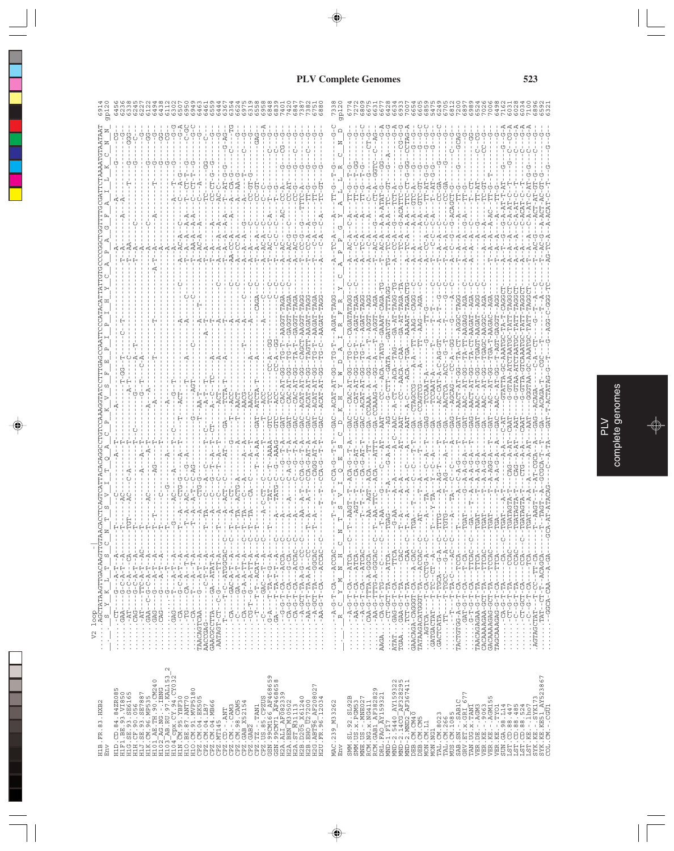| ֧֧֧֦֧֧ׅ֧֦֧֧֧֧֧ׅ֧֧֧֧֪֧֧֧֛֧֛֪֛֛֛֛֛֛֛֛֛֛֛֛֛֛֛֛֛֛֛֛֛֛֚֚֚֚֚֚֚֚֚֚֚֚֚֚֚֚֚֚֚֚֚֚֚֚֚֚֚֚֚֚֡֝֓֝֬֝֬֝֓֜֓֝֬֝֬֝֬֜֝֬֜֝֬֝֬֝֬֝֬֝ |
|---------------------------------------------------------------------------------------------------------------|
| nen<br>ī<br>ì<br>b                                                                                            |
| ì                                                                                                             |

| $\frac{1}{2}$<br>$\frac{1}{2}$<br>U                                                                                                                                              | $\begin{array}{c} 1 \\ 1 \\ 0 \\ 1 \end{array}$<br>$\mathsf I$<br>でー<br>U                                                                                                                                                                                                                                                                                                                                                                                                                                                                                                                                                                                                                                                                                                                                                                                                                                                                                                                                                                                                                                                                                                                                                                                                                                                                                                                                                                                                                                                                                                                                             |
|----------------------------------------------------------------------------------------------------------------------------------------------------------------------------------|-----------------------------------------------------------------------------------------------------------------------------------------------------------------------------------------------------------------------------------------------------------------------------------------------------------------------------------------------------------------------------------------------------------------------------------------------------------------------------------------------------------------------------------------------------------------------------------------------------------------------------------------------------------------------------------------------------------------------------------------------------------------------------------------------------------------------------------------------------------------------------------------------------------------------------------------------------------------------------------------------------------------------------------------------------------------------------------------------------------------------------------------------------------------------------------------------------------------------------------------------------------------------------------------------------------------------------------------------------------------------------------------------------------------------------------------------------------------------------------------------------------------------------------------------------------------------------------------------------------------------|
| $\frac{1}{4}$<br>÷<br>$\mathbf{I}$                                                                                                                                               | $---ATCA---C-$<br>$\begin{array}{ll} \vdots & \vdots & \vdots & \vdots \\ \vdots & \vdots & \vdots & \vdots \\ \vdots & \vdots & \vdots & \vdots \\ \vdots & \vdots & \vdots & \vdots \\ \vdots & \vdots & \vdots & \vdots \\ \vdots & \vdots & \vdots & \vdots \\ \vdots & \vdots & \vdots & \vdots \\ \vdots & \vdots & \vdots & \vdots \\ \vdots & \vdots & \vdots & \vdots \\ \vdots & \vdots & \vdots & \vdots \\ \vdots & \vdots & \vdots \\ \vdots & \vdots & \vdots \\ \vdots & \vdots & \vdots \\ \vdots & \vdots & \vdots \\ \vdots & \$<br>$\begin{array}{l} \texttt{TRACAMAGA-G-1:} \\ \texttt{TRACAMAGA-G-1:} \\ \texttt{+} \texttt{+} \texttt{+} \texttt{+} \texttt{+} \texttt{+} \texttt{+} \texttt{+} \texttt{+} \texttt{+} \texttt{+} \texttt{+} \texttt{+} \texttt{+} \texttt{+} \texttt{+} \texttt{+} \texttt{+} \texttt{+} \texttt{+} \texttt{+} \texttt{+} \texttt{+} \texttt{+} \texttt{+} \texttt{+} \texttt{+} \texttt{+} \texttt{+} \texttt{+} \texttt$<br>$AAGA : -A A - G - T T T G - A - GGC A C - - C$<br>AAGA - CA - G - T - TG - - - - - C - - - - C<br>$\begin{array}{l} \dots\dots\cdots\cdots\cdots\\ \text{ATR}^m\ldots\text{G}^m\text{-GCT-TA}\cdots\text{-ATCA}\cdots\\ \text{TGA}\ldots\text{GAA}\cdot\text{G-T-CA}\cdots\cdots\text{-TTCA}\cdots\\ \text{TGA}\ldots\text{GAA}\cdot\text{G-T-CA}\cdots\text{-TA}\cdots\cdots\text{-CA}\cdots\cdots\end{array}$<br>U - - U - - - - - - U - KI - II -<br>GACAAAAGAG-GCT-TA---TCCAC---<br>-- - TTCAC-<br>$\cdots \cdots \cdots \cdots \cdots \cdots \cdots \cdots \cdots \cdots$<br>$  ACCAC$<br>$--T$ TT-CA-<br>$N$ H<br>$-$ -TCA |
| $-1 - 5 - -1$                                                                                                                                                                    | t<br>Σ<br>$- -A - G - T - CA$<br>$---T--CC$<br>$- - GGG - CAA$<br>$- -G - T - CA$<br>$\mathbf{x}^{\parallel}$<br>$\cup$                                                                                                                                                                                                                                                                                                                                                                                                                                                                                                                                                                                                                                                                                                                                                                                                                                                                                                                                                                                                                                                                                                                                                                                                                                                                                                                                                                                                                                                                                               |
| <b>CO-A-C-A-CO-A-C-A-C-A-C-A-C-</b><br>$\cdots \cdots \cdots \cdots \cdots \cdots \cdots \cdots \cdots$<br>$\cdots$ - CT- -<br>$-4AB$ .<br>GAACGCCTTA<br>. AATAGT-CT<br>$\vdots$ | GACTCATA----T-TGCA-<br>$\cdots \cdots TT - -1 = T - T - 2GCC$<br>$A$<br>$A$ - $B$ - $B$ - $B$ - $T$ -CA<br>CACAAAAGAA-GCT-TA<br>. AGTAGCTAT-<br>$\alpha$<br>i<br>$\begin{array}{c} \vdots \\ \vdots \\ \vdots \\ \vdots \end{array}$                                                                                                                                                                                                                                                                                                                                                                                                                                                                                                                                                                                                                                                                                                                                                                                                                                                                                                                                                                                                                                                                                                                                                                                                                                                                                                                                                                                  |
| $\sim$                                                                                                                                                                           |                                                                                                                                                                                                                                                                                                                                                                                                                                                                                                                                                                                                                                                                                                                                                                                                                                                                                                                                                                                                                                                                                                                                                                                                                                                                                                                                                                                                                                                                                                                                                                                                                       |
| ന'സ<br>Q)<br>$\overline{ }$                                                                                                                                                      | 9325<br>8295<br>7411<br>$\sigma$                                                                                                                                                                                                                                                                                                                                                                                                                                                                                                                                                                                                                                                                                                                                                                                                                                                                                                                                                                                                                                                                                                                                                                                                                                                                                                                                                                                                                                                                                                                                                                                      |
| BT96 AF20802<br>R.96.12034<br>3. HXB2<br>H2G. ABT96<br>FR.8                                                                                                                      | $\begin{array}{ll} {\rm{5.75\,N}} & {\rm{5.75\,N}}\; {\rm{1}} & {\rm{1}}\; {\rm{1}}\; {\rm{2}}\; {\rm{2}}\; {\rm{2}}\; {\rm{2}}\; {\rm{2}}\; {\rm{2}}\; {\rm{2}}\; {\rm{2}}\; {\rm{2}}\; {\rm{2}}\; {\rm{2}}\; {\rm{2}}\; {\rm{2}}\; {\rm{2}}\; {\rm{2}}\; {\rm{2}}\; {\rm{2}}\; {\rm{2}}\; {\rm{2}}\; {\rm{2}}\; {\rm{2}}\; {\rm{2}}\; {\rm{2}}\; {\rm{2}}\;$<br>RCM.GAB1_AF38282<br>DRL.FAO_AY159321<br>MND-2.5440 AY159;<br>MND-2.14CG AF328<br>MND-2.MNDZ AF3267<br>MND-2.MNDZ AF3677<br>DBB.CM.CM40<br>MON.CM.L1<br>MON.NG1<br>SMM.SL.92.SL92B<br>SMM.US.x.PGM53<br>MNE.US.-.MNE027<br>MNE.US.-.MNE027<br>MAC.239 M33262<br>$\overline{F17}$                                                                                                                                                                                                                                                                                                                                                                                                                                                                                                                                                                                                                                                                                                                                                                                                                                                                                                                                                                     |
| H1B.<br>$_{\rm{EnV}}$                                                                                                                                                            | $MID-1$<br>Env                                                                                                                                                                                                                                                                                                                                                                                                                                                                                                                                                                                                                                                                                                                                                                                                                                                                                                                                                                                                                                                                                                                                                                                                                                                                                                                                                                                                                                                                                                                                                                                                        |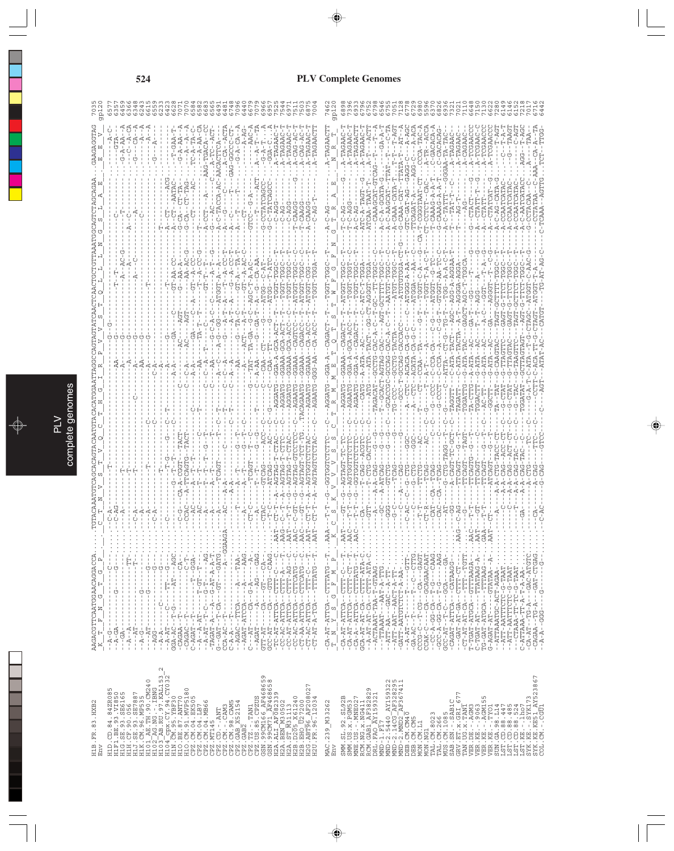|  | ř<br>ĭ |
|--|--------|
|  | í      |

es

| H1B.FR.83.HXB2<br>Env                                                                                                                                                                                                                                                                                                                                                      | AAGACGTTCAATGGAACAGGACCA.<br>$\mathsf{p}_4$<br>U<br>$\vdash$<br>ひ<br>$\mathbb{Z}$<br>$\mathbb{L}_1$<br>$\vdash$<br>K                                                                                                                                                                                                                                                                                                         |  |  |  |  |  |
|----------------------------------------------------------------------------------------------------------------------------------------------------------------------------------------------------------------------------------------------------------------------------------------------------------------------------------------------------------------------------|------------------------------------------------------------------------------------------------------------------------------------------------------------------------------------------------------------------------------------------------------------------------------------------------------------------------------------------------------------------------------------------------------------------------------|--|--|--|--|--|
|                                                                                                                                                                                                                                                                                                                                                                            | ł<br>$\frac{1}{1}$<br>$\mathsf I$<br>$\,$ $\,$<br>$\overline{\phantom{a}}$<br>$\mathbf{I}$<br>$\mathsf I$<br>$\frac{1}{1}$<br>$-2 - 5 -$                                                                                                                                                                                                                                                                                     |  |  |  |  |  |
|                                                                                                                                                                                                                                                                                                                                                                            | $-9 - -$<br>J,<br>$-1 - 1 - 1$<br>$- -A - GA - - -$                                                                                                                                                                                                                                                                                                                                                                          |  |  |  |  |  |
|                                                                                                                                                                                                                                                                                                                                                                            | $-1$ - $-1$<br>TP $ \ldots$<br>$\frac{1}{1}$<br>Ť.<br>$\mathsf I$<br>$\frac{1}{1}$<br>ł<br>$\frac{1}{4}$<br>$-A$ -A<br>$-45 -$                                                                                                                                                                                                                                                                                               |  |  |  |  |  |
|                                                                                                                                                                                                                                                                                                                                                                            | $\frac{1}{2}$<br>$-1$<br>$\mathsf I$<br>$\frac{1}{4}$<br>$\mathsf I$<br>$- - A T$                                                                                                                                                                                                                                                                                                                                            |  |  |  |  |  |
|                                                                                                                                                                                                                                                                                                                                                                            |                                                                                                                                                                                                                                                                                                                                                                                                                              |  |  |  |  |  |
|                                                                                                                                                                                                                                                                                                                                                                            |                                                                                                                                                                                                                                                                                                                                                                                                                              |  |  |  |  |  |
| $\sim$                                                                                                                                                                                                                                                                                                                                                                     |                                                                                                                                                                                                                                                                                                                                                                                                                              |  |  |  |  |  |
|                                                                                                                                                                                                                                                                                                                                                                            |                                                                                                                                                                                                                                                                                                                                                                                                                              |  |  |  |  |  |
|                                                                                                                                                                                                                                                                                                                                                                            |                                                                                                                                                                                                                                                                                                                                                                                                                              |  |  |  |  |  |
|                                                                                                                                                                                                                                                                                                                                                                            |                                                                                                                                                                                                                                                                                                                                                                                                                              |  |  |  |  |  |
|                                                                                                                                                                                                                                                                                                                                                                            |                                                                                                                                                                                                                                                                                                                                                                                                                              |  |  |  |  |  |
|                                                                                                                                                                                                                                                                                                                                                                            | $\begin{split} &\frac{1}{1-\lambda_1} \frac{1}{Q_1} \frac{1}{Q_2} \frac{1}{Q_2} \frac{1}{Q_1} \frac{1}{Q_2} \frac{1}{Q_2} \frac{1}{Q_2} \frac{1}{Q_2} \frac{1}{Q_2} \frac{1}{Q_2} \frac{1}{Q_2} \frac{1}{Q_2} \frac{1}{Q_2} \frac{1}{Q_2} \frac{1}{Q_2} \frac{1}{Q_2} \frac{1}{Q_2} \frac{1}{Q_2} \frac{1}{Q_2} \frac{1}{Q_2} \frac{1}{Q_2} \frac{1}{Q_2} \frac{1}{$                                                         |  |  |  |  |  |
|                                                                                                                                                                                                                                                                                                                                                                            |                                                                                                                                                                                                                                                                                                                                                                                                                              |  |  |  |  |  |
|                                                                                                                                                                                                                                                                                                                                                                            |                                                                                                                                                                                                                                                                                                                                                                                                                              |  |  |  |  |  |
|                                                                                                                                                                                                                                                                                                                                                                            |                                                                                                                                                                                                                                                                                                                                                                                                                              |  |  |  |  |  |
|                                                                                                                                                                                                                                                                                                                                                                            |                                                                                                                                                                                                                                                                                                                                                                                                                              |  |  |  |  |  |
|                                                                                                                                                                                                                                                                                                                                                                            |                                                                                                                                                                                                                                                                                                                                                                                                                              |  |  |  |  |  |
|                                                                                                                                                                                                                                                                                                                                                                            |                                                                                                                                                                                                                                                                                                                                                                                                                              |  |  |  |  |  |
|                                                                                                                                                                                                                                                                                                                                                                            | $\begin{array}{l} \mathbf{G}^{++-1} \mathbf{G} \mathbf{N}^{-1} - \mathbf{G} \mathbf{N}^{-1} - \mathbf{G} \mathbf{N}^{-1} - \mathbf{G} \mathbf{N} \mathbf{G}^{\top} \mathbf{U} \\ \mathbf{C} \mathbf{G} \mathbf{A} - \mathbf{A} \mathbf{C} - \mathbf{T} - \mathbf{C} \mathbf{N}^{-1} - \mathbf{C} \mathbf{A} \mathbf{N} \mathbf{G}^{\top} \\ \mathbf{C} \mathbf{G} \mathbf{A} - \mathbf{A} \mathbf{C} - \mathbf{T} \mathbf{C$ |  |  |  |  |  |
|                                                                                                                                                                                                                                                                                                                                                                            |                                                                                                                                                                                                                                                                                                                                                                                                                              |  |  |  |  |  |
|                                                                                                                                                                                                                                                                                                                                                                            |                                                                                                                                                                                                                                                                                                                                                                                                                              |  |  |  |  |  |
|                                                                                                                                                                                                                                                                                                                                                                            | did did did d                                                                                                                                                                                                                                                                                                                                                                                                                |  |  |  |  |  |
|                                                                                                                                                                                                                                                                                                                                                                            |                                                                                                                                                                                                                                                                                                                                                                                                                              |  |  |  |  |  |
|                                                                                                                                                                                                                                                                                                                                                                            |                                                                                                                                                                                                                                                                                                                                                                                                                              |  |  |  |  |  |
|                                                                                                                                                                                                                                                                                                                                                                            |                                                                                                                                                                                                                                                                                                                                                                                                                              |  |  |  |  |  |
|                                                                                                                                                                                                                                                                                                                                                                            |                                                                                                                                                                                                                                                                                                                                                                                                                              |  |  |  |  |  |
|                                                                                                                                                                                                                                                                                                                                                                            |                                                                                                                                                                                                                                                                                                                                                                                                                              |  |  |  |  |  |
|                                                                                                                                                                                                                                                                                                                                                                            |                                                                                                                                                                                                                                                                                                                                                                                                                              |  |  |  |  |  |
|                                                                                                                                                                                                                                                                                                                                                                            |                                                                                                                                                                                                                                                                                                                                                                                                                              |  |  |  |  |  |
| MAC.239_M33262                                                                                                                                                                                                                                                                                                                                                             |                                                                                                                                                                                                                                                                                                                                                                                                                              |  |  |  |  |  |
| Env                                                                                                                                                                                                                                                                                                                                                                        | $\begin{array}{r@{\hspace{-0.cm}}l} - \text{CA}-\text{AT}-\text{ATTCA} & - \text{CTTTTATG} & - \text{T} \\ \hline \text{T} & \text{M} & \text{Y} & \text{S} & \text{G} & \text{F} & \text{M} \\ \end{array}$                                                                                                                                                                                                                 |  |  |  |  |  |
|                                                                                                                                                                                                                                                                                                                                                                            |                                                                                                                                                                                                                                                                                                                                                                                                                              |  |  |  |  |  |
| SMM. SL. 92. SL92B<br>SMM. US. x. PCM53<br>MNE. US. - MNE027<br>RCM. GAB1. AF382829<br>DRL. FAQ_AY159322                                                                                                                                                                                                                                                                   | $\alpha$ , $\alpha$ , $\alpha$ , $\alpha$                                                                                                                                                                                                                                                                                                                                                                                    |  |  |  |  |  |
|                                                                                                                                                                                                                                                                                                                                                                            |                                                                                                                                                                                                                                                                                                                                                                                                                              |  |  |  |  |  |
|                                                                                                                                                                                                                                                                                                                                                                            |                                                                                                                                                                                                                                                                                                                                                                                                                              |  |  |  |  |  |
| $\sigma$                                                                                                                                                                                                                                                                                                                                                                   |                                                                                                                                                                                                                                                                                                                                                                                                                              |  |  |  |  |  |
|                                                                                                                                                                                                                                                                                                                                                                            |                                                                                                                                                                                                                                                                                                                                                                                                                              |  |  |  |  |  |
|                                                                                                                                                                                                                                                                                                                                                                            |                                                                                                                                                                                                                                                                                                                                                                                                                              |  |  |  |  |  |
|                                                                                                                                                                                                                                                                                                                                                                            |                                                                                                                                                                                                                                                                                                                                                                                                                              |  |  |  |  |  |
|                                                                                                                                                                                                                                                                                                                                                                            |                                                                                                                                                                                                                                                                                                                                                                                                                              |  |  |  |  |  |
|                                                                                                                                                                                                                                                                                                                                                                            |                                                                                                                                                                                                                                                                                                                                                                                                                              |  |  |  |  |  |
|                                                                                                                                                                                                                                                                                                                                                                            |                                                                                                                                                                                                                                                                                                                                                                                                                              |  |  |  |  |  |
|                                                                                                                                                                                                                                                                                                                                                                            |                                                                                                                                                                                                                                                                                                                                                                                                                              |  |  |  |  |  |
|                                                                                                                                                                                                                                                                                                                                                                            |                                                                                                                                                                                                                                                                                                                                                                                                                              |  |  |  |  |  |
|                                                                                                                                                                                                                                                                                                                                                                            |                                                                                                                                                                                                                                                                                                                                                                                                                              |  |  |  |  |  |
|                                                                                                                                                                                                                                                                                                                                                                            |                                                                                                                                                                                                                                                                                                                                                                                                                              |  |  |  |  |  |
|                                                                                                                                                                                                                                                                                                                                                                            |                                                                                                                                                                                                                                                                                                                                                                                                                              |  |  |  |  |  |
|                                                                                                                                                                                                                                                                                                                                                                            |                                                                                                                                                                                                                                                                                                                                                                                                                              |  |  |  |  |  |
|                                                                                                                                                                                                                                                                                                                                                                            |                                                                                                                                                                                                                                                                                                                                                                                                                              |  |  |  |  |  |
|                                                                                                                                                                                                                                                                                                                                                                            |                                                                                                                                                                                                                                                                                                                                                                                                                              |  |  |  |  |  |
|                                                                                                                                                                                                                                                                                                                                                                            |                                                                                                                                                                                                                                                                                                                                                                                                                              |  |  |  |  |  |
|                                                                                                                                                                                                                                                                                                                                                                            | C-TGAT-AT----TTATAAG-A-                                                                                                                                                                                                                                                                                                                                                                                                      |  |  |  |  |  |
|                                                                                                                                                                                                                                                                                                                                                                            | TG-GAT-ATGCA---TTAAG-                                                                                                                                                                                                                                                                                                                                                                                                        |  |  |  |  |  |
|                                                                                                                                                                                                                                                                                                                                                                            | G-AGAT-AT-----GTATAA--A-                                                                                                                                                                                                                                                                                                                                                                                                     |  |  |  |  |  |
|                                                                                                                                                                                                                                                                                                                                                                            |                                                                                                                                                                                                                                                                                                                                                                                                                              |  |  |  |  |  |
|                                                                                                                                                                                                                                                                                                                                                                            |                                                                                                                                                                                                                                                                                                                                                                                                                              |  |  |  |  |  |
|                                                                                                                                                                                                                                                                                                                                                                            |                                                                                                                                                                                                                                                                                                                                                                                                                              |  |  |  |  |  |
|                                                                                                                                                                                                                                                                                                                                                                            |                                                                                                                                                                                                                                                                                                                                                                                                                              |  |  |  |  |  |
| $\begin{array}{l} \textbf{MND}-2.1440\ \textbf{MUD}-2.1440\ \textbf{MUD}-2.1440\ \textbf{MUD}-2.1440\ \textbf{MUD}-2.1440\ \textbf{MUD}-2.1440\ \textbf{MUD}-2.1440\ \textbf{MUD}-2.1440\ \textbf{MUD}-2.1440\ \textbf{MUD}-2.1440\ \textbf{MUD}-2.1400\ \textbf{MOD},\ \textbf{MUD},\ \textbf{MCD},\ \textbf{MCD},\ \textbf{MCD},\ \textbf{MCD},\ \textbf{MCD},\ \textbf$ | $-CA - AT^--TC^--A----G-AC-ATGTC-CAG2A--TCG-2--CTG--CTGAC$                                                                                                                                                                                                                                                                                                                                                                   |  |  |  |  |  |
| ristry - MA - Chi                                                                                                                                                                                                                                                                                                                                                          | 덕<br>$-1$ $-1$<br>$-2 - 2 - 1 - 1$                                                                                                                                                                                                                                                                                                                                                                                           |  |  |  |  |  |

 $\begin{tabular}{ll} \textbf{H1B. B. 31. HXB2} \\ \textbf{BN} \\ \textbf{H1D. C1B. 43.7430085} \\ \textbf{H1D. C1B. 45.3.7430085} \\ \textbf{H1D. C1B. 43.7430087} \\ \textbf{H1D. C2B. 33.7430087} \\ \textbf{H1D. C1B. 45.3.54504887} \\ \textbf{H1D. C1C. 45.3.1553} \\ \textbf{H1D. C1D. 26.3.7611111111111$ MAC. 239 M3.262<br>
ENV. 51., 92. 531.532<br>
ENV. 51., 92. 531.532<br>
SOM, 193. . MORE 27<br>
NOME ISS. . MORE 27<br>
ROM. 193. . MORE 27<br>
ROM. 194. . MORE 282.532.22<br>
ROM. 194. . MORE 282.532.22<br>
MORE 27. . 1405 - ANI 593.22<br>
MORE 27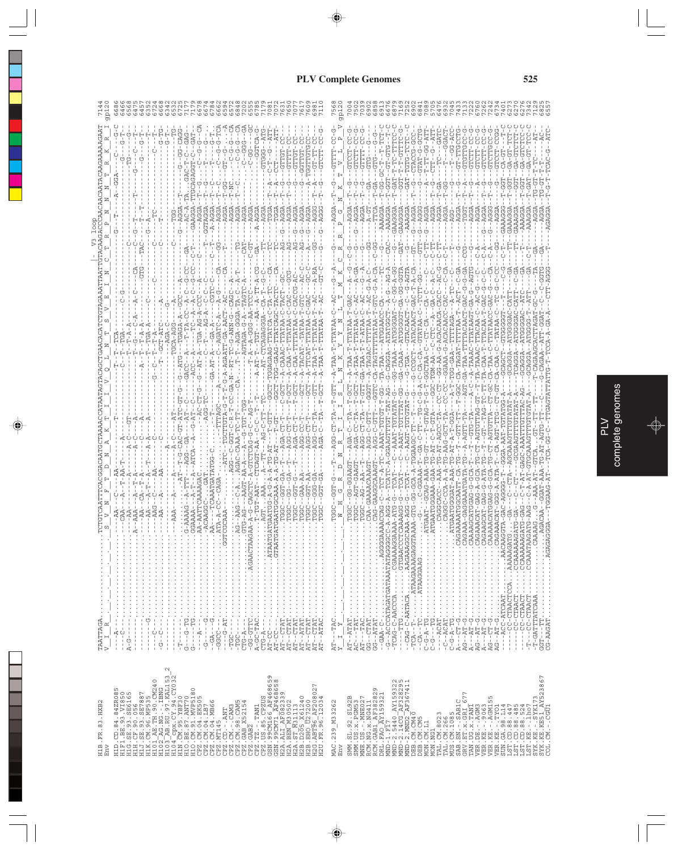| genomes |
|---------|
|         |
| lete    |
|         |
|         |
|         |
|         |
| pampa   |
|         |
|         |
|         |
|         |

 $\overline{\mathtt{a}}$ 

|                                                 |               |                                                            |                                     |                            |                                                                         |                                             |   |      |                  |                                         |             |                    |   |                                                                                                                                                                                                                                                                                                           |                      |                                                                                                                                                                                                                                                                                                                                                                                                                                                                  |          |                                                                                                                                                                                                                                                                                                                                                                                                                                                                                        |                  |                             |                      |                                                                                   |                                                  |                                       | ု                                                                                                                                                                                                                                                                                                         | ں<br>ا                                                                                                                                |                                                                                                                                                        |                                                   |                                                                                                                                                                                                                                                                                                                                                  | - ב-ב-ב-GL<br>לב-ב-ב-ב- |                                                                                                                                 |                                        |            | 1 - T-TT-00-ATT<br>3 - - CTT- - CTT<br>3 - - CTT- - - ATT<br>4 - - - TC- - - GATC |                                          |               |                                                                                                                                                                                                                                                                                                                                                                                                                                                       | GTGTTGC                       | GTCTT-     | GTCTT-C                                                                                                              | GTCTTGC<br>GTCCT   |                                |                        |                     |                                                                                                                                 |                                         |                              |  |
|-------------------------------------------------|---------------|------------------------------------------------------------|-------------------------------------|----------------------------|-------------------------------------------------------------------------|---------------------------------------------|---|------|------------------|-----------------------------------------|-------------|--------------------|---|-----------------------------------------------------------------------------------------------------------------------------------------------------------------------------------------------------------------------------------------------------------------------------------------------------------|----------------------|------------------------------------------------------------------------------------------------------------------------------------------------------------------------------------------------------------------------------------------------------------------------------------------------------------------------------------------------------------------------------------------------------------------------------------------------------------------|----------|----------------------------------------------------------------------------------------------------------------------------------------------------------------------------------------------------------------------------------------------------------------------------------------------------------------------------------------------------------------------------------------------------------------------------------------------------------------------------------------|------------------|-----------------------------|----------------------|-----------------------------------------------------------------------------------|--------------------------------------------------|---------------------------------------|-----------------------------------------------------------------------------------------------------------------------------------------------------------------------------------------------------------------------------------------------------------------------------------------------------------|---------------------------------------------------------------------------------------------------------------------------------------|--------------------------------------------------------------------------------------------------------------------------------------------------------|---------------------------------------------------|--------------------------------------------------------------------------------------------------------------------------------------------------------------------------------------------------------------------------------------------------------------------------------------------------------------------------------------------------|-------------------------|---------------------------------------------------------------------------------------------------------------------------------|----------------------------------------|------------|-----------------------------------------------------------------------------------|------------------------------------------|---------------|-------------------------------------------------------------------------------------------------------------------------------------------------------------------------------------------------------------------------------------------------------------------------------------------------------------------------------------------------------------------------------------------------------------------------------------------------------|-------------------------------|------------|----------------------------------------------------------------------------------------------------------------------|--------------------|--------------------------------|------------------------|---------------------|---------------------------------------------------------------------------------------------------------------------------------|-----------------------------------------|------------------------------|--|
|                                                 |               |                                                            |                                     |                            |                                                                         |                                             |   |      |                  |                                         |             |                    |   |                                                                                                                                                                                                                                                                                                           |                      |                                                                                                                                                                                                                                                                                                                                                                                                                                                                  |          |                                                                                                                                                                                                                                                                                                                                                                                                                                                                                        |                  |                             |                      |                                                                                   |                                                  |                                       |                                                                                                                                                                                                                                                                                                           |                                                                                                                                       |                                                                                                                                                        |                                                   | $\begin{array}{l} 1.75 \\ -1.75 \\ -1.75 \\ -1.75 \\ -1.75 \\ -1.75 \\ -1.75 \\ -1.75 \\ -1.75 \\ -1.75 \\ -1.75 \\ -1.75 \\ -1.75 \\ -1.75 \\ -1.75 \\ -1.75 \\ -1.75 \\ -1.75 \\ -1.75 \\ -1.75 \\ -1.75 \\ -1.75 \\ -1.75 \\ -1.75 \\ -1.75 \\ -1.75 \\ -1.75 \\ -1.75 \\ -1.75 \\ -1.75 \\ -1.75 \\ -1.75 \\ -1.75 \\ -1.75 \\ -1.75 \\ -1.$ |                         |                                                                                                                                 |                                        |            |                                                                                   |                                          |               | $\begin{array}{r} -\frac{1}{2} \text{Algebra} \\ -\frac{1}{2} \text{Algebra} \\ -\frac{1}{2} - \frac{1}{2} \text{Algebra} \\ -\frac{1}{2} - \frac{1}{2} \text{Algebra} \\ -\frac{1}{2} - \frac{1}{2} \text{Algebra} \\ -\frac{1}{2} - \frac{1}{2} \text{Algebra} \\ -\frac{1}{2} - \frac{1}{2} \text{Algebra} \\ -\frac{1}{2} - \frac{1}{2} \text{Algebra} \\ -\frac{1}{2} - \frac{1}{2} \text{Algebra} \\ -\frac{1}{2} - \frac{1}{2} \text{Algebra}$ |                               |            |                                                                                                                      |                    |                                |                        |                     |                                                                                                                                 |                                         |                              |  |
|                                                 |               |                                                            |                                     |                            |                                                                         |                                             |   |      |                  |                                         |             |                    |   |                                                                                                                                                                                                                                                                                                           |                      | ひざー<br>しい                                                                                                                                                                                                                                                                                                                                                                                                                                                        |          |                                                                                                                                                                                                                                                                                                                                                                                                                                                                                        |                  |                             |                      |                                                                                   |                                                  |                                       |                                                                                                                                                                                                                                                                                                           |                                                                                                                                       |                                                                                                                                                        |                                                   | $\begin{array}{r} -1 - C A C - - - \frac{1}{2} A C \\ -1 - C A C - - - \frac{1}{2} A C C \\ -1 - C A C - - - \frac{1}{2} A C C \\ -1 - C A C - - - \frac{1}{2} A C C \\ -1 - C A C - - \frac{1}{2} A C C \\ -1 - C A C - - \frac{1}{2} A C C \\ -1 - C A C - \frac{1}{2} C C - \frac{1}{2} C C \end{array}$                                      |                         |                                                                                                                                 |                                        |            | $C-T$                                                                             | Η<br>Ο                                   |               |                                                                                                                                                                                                                                                                                                                                                                                                                                                       |                               |            |                                                                                                                      |                    |                                |                        |                     |                                                                                                                                 |                                         |                              |  |
|                                                 |               |                                                            |                                     |                            |                                                                         |                                             |   |      |                  |                                         |             |                    |   |                                                                                                                                                                                                                                                                                                           |                      |                                                                                                                                                                                                                                                                                                                                                                                                                                                                  |          |                                                                                                                                                                                                                                                                                                                                                                                                                                                                                        |                  |                             |                      |                                                                                   |                                                  |                                       |                                                                                                                                                                                                                                                                                                           |                                                                                                                                       | $C - G - A - C - C$                                                                                                                                    |                                                   |                                                                                                                                                                                                                                                                                                                                                  |                         | ית - - A - G - - A - G - A -<br>גד - G - GG - A - GG - A - GG<br>גד - GA - GG - GG - GG - A - GG<br>גד - A - C - C - G - AGTA - | $-$ -TCTT-GG                           |            | $-4-7$                                                                            | $1 - 2C - CA$                            |               |                                                                                                                                                                                                                                                                                                                                                                                                                                                       | <b>C-0-5-0-0</b><br>$- - AGT$ |            |                                                                                                                      |                    |                                |                        |                     |                                                                                                                                 |                                         |                              |  |
|                                                 |               |                                                            |                                     |                            |                                                                         |                                             |   |      |                  |                                         |             |                    |   | PATPL                                                                                                                                                                                                                                                                                                     |                      |                                                                                                                                                                                                                                                                                                                                                                                                                                                                  |          |                                                                                                                                                                                                                                                                                                                                                                                                                                                                                        |                  |                             |                      |                                                                                   |                                                  |                                       |                                                                                                                                                                                                                                                                                                           |                                                                                                                                       |                                                                                                                                                        | i p<br>D                                          |                                                                                                                                                                                                                                                                                                                                                  |                         |                                                                                                                                 |                                        |            | $1 - 12A - C$<br>$1 - 12A - C$<br>$1 - 12A - C$                                   | G-ACACAAC                                |               |                                                                                                                                                                                                                                                                                                                                                                                                                                                       |                               |            |                                                                                                                      |                    |                                |                        |                     |                                                                                                                                 |                                         |                              |  |
|                                                 |               |                                                            |                                     |                            |                                                                         |                                             |   |      |                  |                                         |             |                    |   |                                                                                                                                                                                                                                                                                                           |                      |                                                                                                                                                                                                                                                                                                                                                                                                                                                                  |          |                                                                                                                                                                                                                                                                                                                                                                                                                                                                                        |                  |                             |                      |                                                                                   |                                                  |                                       |                                                                                                                                                                                                                                                                                                           |                                                                                                                                       | A-TAGAC                                                                                                                                                | A-TAGTTTI<br>$-TTA-TAJ$                           |                                                                                                                                                                                                                                                                                                                                                  |                         |                                                                                                                                 | n<br>Sa                                | T-GGCTA    |                                                                                   |                                          | $-4-7-7-9-0$  | --T-GGC-CA-TAGAT-TTTTA<br>----AGT-GA-TAA-TTTTACA                                                                                                                                                                                                                                                                                                                                                                                                      | $- -A - TAAAC$                | $-TA-TAAA$ | $T-TA-CA$                                                                                                            | $C-CA-TAA-$        |                                |                        |                     |                                                                                                                                 |                                         |                              |  |
|                                                 |               |                                                            |                                     |                            |                                                                         |                                             |   |      |                  |                                         |             |                    |   |                                                                                                                                                                                                                                                                                                           |                      |                                                                                                                                                                                                                                                                                                                                                                                                                                                                  |          |                                                                                                                                                                                                                                                                                                                                                                                                                                                                                        |                  |                             |                      |                                                                                   |                                                  |                                       |                                                                                                                                                                                                                                                                                                           |                                                                                                                                       |                                                                                                                                                        | U-UH5U-                                           |                                                                                                                                                                                                                                                                                                                                                  |                         |                                                                                                                                 |                                        | U-DATD-U-U |                                                                                   |                                          |               |                                                                                                                                                                                                                                                                                                                                                                                                                                                       |                               |            |                                                                                                                      |                    |                                |                        |                     |                                                                                                                                 |                                         |                              |  |
|                                                 |               |                                                            |                                     |                            |                                                                         |                                             |   |      |                  |                                         |             |                    |   |                                                                                                                                                                                                                                                                                                           |                      |                                                                                                                                                                                                                                                                                                                                                                                                                                                                  |          |                                                                                                                                                                                                                                                                                                                                                                                                                                                                                        |                  |                             |                      |                                                                                   |                                                  |                                       |                                                                                                                                                                                                                                                                                                           |                                                                                                                                       |                                                                                                                                                        |                                                   |                                                                                                                                                                                                                                                                                                                                                  |                         | 4 - GGAAGTTTGT<br>- C - - AAAT - TGT<br>- C - - AAAT - TGT<br>- C - - AACT - TGT                                                |                                        |            |                                                                                   |                                          | $G - A T - A$ |                                                                                                                                                                                                                                                                                                                                                                                                                                                       |                               |            |                                                                                                                      |                    |                                |                        |                     |                                                                                                                                 |                                         |                              |  |
|                                                 |               |                                                            |                                     |                            |                                                                         |                                             |   |      |                  |                                         |             |                    |   |                                                                                                                                                                                                                                                                                                           |                      |                                                                                                                                                                                                                                                                                                                                                                                                                                                                  |          |                                                                                                                                                                                                                                                                                                                                                                                                                                                                                        |                  |                             |                      |                                                                                   |                                                  |                                       |                                                                                                                                                                                                                                                                                                           |                                                                                                                                       |                                                                                                                                                        |                                                   |                                                                                                                                                                                                                                                                                                                                                  |                         |                                                                                                                                 |                                        |            |                                                                                   |                                          |               |                                                                                                                                                                                                                                                                                                                                                                                                                                                       |                               |            |                                                                                                                      |                    |                                |                        |                     |                                                                                                                                 |                                         |                              |  |
|                                                 |               |                                                            |                                     |                            |                                                                         |                                             |   |      |                  |                                         |             |                    |   | $\cdot$<br>$\vdots$                                                                                                                                                                                                                                                                                       |                      |                                                                                                                                                                                                                                                                                                                                                                                                                                                                  |          |                                                                                                                                                                                                                                                                                                                                                                                                                                                                                        |                  |                             |                      | $\vdots$<br>$\begin{array}{c}\n\vdots \\ \vdots \\ \vdots \\ \vdots\n\end{array}$ | $\vdots$                                         |                                       | $\vdots$<br>.<br>$\vdots$                                                                                                                                                                                                                                                                                 | $\vdots$                                                                                                                              | $\begin{array}{c} \bullet & \bullet & \bullet & \bullet \\ \bullet & \bullet & \bullet & \bullet \\ \bullet & \bullet & \bullet & \bullet \end{array}$ |                                                   |                                                                                                                                                                                                                                                                                                                                                  |                         |                                                                                                                                 |                                        |            |                                                                                   |                                          |               |                                                                                                                                                                                                                                                                                                                                                                                                                                                       |                               |            |                                                                                                                      | $\ldots$ CA        | AACAA                          |                        |                     |                                                                                                                                 | $\cdots \cdots$                         | AGAGA.                       |  |
|                                                 |               |                                                            |                                     |                            |                                                                         |                                             |   |      |                  |                                         | .           | 55・・・・・・・・・・・・・・・・ | . | $\frac{1}{2}$ , $\frac{1}{2}$ , $\frac{1}{2}$ , $\frac{1}{2}$ , $\frac{1}{2}$ , $\frac{1}{2}$ , $\frac{1}{2}$ , $\frac{1}{2}$ , $\frac{1}{2}$ , $\frac{1}{2}$ , $\frac{1}{2}$ , $\frac{1}{2}$ , $\frac{1}{2}$ , $\frac{1}{2}$ , $\frac{1}{2}$ , $\frac{1}{2}$ , $\frac{1}{2}$ , $\frac{1}{2}$ , $\frac{1$ | ASSESSALINE PROPERTY | $\begin{array}{ll} {\rm crg-}\lambda \hbox{--}\cdots \hbox{--}\cdots \hbox{--}\cdots \hbox{--}\cdots \hbox{--}\cdots \hbox{--}\cdots \hbox{--}\cdots \hbox{--}\cdots \hbox{--}\cdots \hbox{--}\cdots \hbox{--}\cdots \hbox{--}\cdots \hbox{--}\cdots \hbox{--}\cdots \hbox{--}\cdots \hbox{--}\cdots \hbox{--}\cdots \hbox{--}\cdots \hbox{--}\cdots \hbox{--}\cdots \hbox{--}\cdots \hbox{--}\cdots \hbox{--}\cdots \hbox{--}\cdots \hbox{--}\cdots \hbox{--}\$ |          | .                                                                                                                                                                                                                                                                                                                                                                                                                                                                                      | .                |                             | .                    |                                                                                   |                                                  |                                       | $\frac{1}{2}$ , $\frac{1}{2}$ , $\frac{1}{2}$ , $\frac{1}{2}$ , $\frac{1}{2}$ , $\frac{1}{2}$ , $\frac{1}{2}$ , $\frac{1}{2}$ , $\frac{1}{2}$ , $\frac{1}{2}$ , $\frac{1}{2}$ , $\frac{1}{2}$ , $\frac{1}{2}$ , $\frac{1}{2}$ , $\frac{1}{2}$ , $\frac{1}{2}$ , $\frac{1}{2}$ , $\frac{1}{2}$ , $\frac{1$ | $-1$ , $-1$ , $-1$ , $-1$ , $-1$ , $-1$ , $-1$ , $-1$ , $-1$ , $-1$ , $-1$ , $-1$ , $-1$ , $-1$ , $-1$ , $-1$ , $-1$<br>$\frac{1}{2}$ | <br>                                                                                                                                                   | $\frac{1}{2}$<br>$\ddot{\phantom{0}}$<br>$\vdots$ |                                                                                                                                                                                                                                                                                                                                                  | -TCAG-C-AACCCACGAAAAGG  | COORROPS                                                                                                                        |                                        |            |                                                                                   |                                          |               |                                                                                                                                                                                                                                                                                                                                                                                                                                                       |                               |            | $A - -A T - G \cdot \ldots \cdot \ldots \cdot$<br>$A - -1 C T - G \cdot \ldots \cdot \ldots \cdot \cdot \cdot \cdot$ | $\mathbb{C}$       | $\frac{1}{2}$<br>$\vdots$      | --CC-CTAACTCCAAAAAAGAT | -CC-CTAACTCCAAAAAAA | ---CC-CTAACTCCAAATAA                                                                                                            | $\vdots$                                | $\cdot$                      |  |
| TAATTAGA.<br>$\approx$<br>н<br>$\triangleright$ | $\frac{1}{4}$ | $\mathbf{I}$<br>$\overline{\phantom{a}}$<br>ပုံ<br>$A - G$ | ロー<br>1<br>÷<br>$\frac{1}{4}$<br>J. | $\frac{1}{1}$<br>$-5 - -C$ | $\frac{1}{1}$<br>I.<br>$\overline{1}$<br>$\frac{1}{4}$<br>$\frac{1}{4}$ | $\frac{1}{1}$<br>J,<br>$\mathbf{I}$<br>$-1$ | U | $-1$ | $- - A - -$<br>٠ | $\overset{\shortmid}{\circlearrowleft}$ | $-$ GGCC--- |                    |   |                                                                                                                                                                                                                                                                                                           |                      |                                                                                                                                                                                                                                                                                                                                                                                                                                                                  |          | AT-CC----<br>AT-CC----<br>AT--CTAT<br>AT--CTAT<br>AT--CTAT                                                                                                                                                                                                                                                                                                                                                                                                                             |                  | $  AITAT$<br>$\overline{A}$ | $-CTAT$<br><b>AT</b> | --CTAT.<br>--ATAC.<br>덨                                                           | $-TAC$ .<br>Σ<br>$\overline{a}$<br>$\frac{1}{2}$ | $  ATAT$<br>$\mathbb{R}^{\mathbb{T}}$ | $\vdots$<br>$\ddot{\phantom{0}}$<br>$---TAT$                                                                                                                                                                                                                                                              | $---TAC$<br>AC.<br>AT.                                                                                                                | $-CTAT$<br>99                                                                                                                                          | $-$ - ATAT $\ldots$<br>ġ                          |                                                                                                                                                                                                                                                                                                                                                  |                         | $-$ -TTG<br>$\frac{1}{1}$                                                                                                       |                                        |            |                                                                                   |                                          |               |                                                                                                                                                                                                                                                                                                                                                                                                                                                       |                               |            |                                                                                                                      | $AG - -AT - G$ .   | $-$ ACC-ATCAAT<br>$\mathbb{I}$ | $\frac{1}{4}$          | $\frac{1}{1}$       | 턱                                                                                                                               | - T-GATTTATCAAA.                        | $GGT---TT1$<br>CG-AAGAT.     |  |
|                                                 |               |                                                            |                                     |                            | $\sim$                                                                  |                                             |   |      |                  |                                         |             |                    |   |                                                                                                                                                                                                                                                                                                           |                      |                                                                                                                                                                                                                                                                                                                                                                                                                                                                  | _<br>ს დ |                                                                                                                                                                                                                                                                                                                                                                                                                                                                                        |                  |                             |                      |                                                                                   |                                                  |                                       |                                                                                                                                                                                                                                                                                                           |                                                                                                                                       |                                                                                                                                                        |                                                   |                                                                                                                                                                                                                                                                                                                                                  |                         |                                                                                                                                 |                                        |            |                                                                                   |                                          |               |                                                                                                                                                                                                                                                                                                                                                                                                                                                       |                               |            |                                                                                                                      | $\mathsf{L}\Omega$ |                                |                        |                     |                                                                                                                                 |                                         |                              |  |
| . FR. 83. HXB2<br>H1B<br>Env                    |               |                                                            |                                     |                            |                                                                         |                                             |   |      |                  |                                         |             |                    |   |                                                                                                                                                                                                                                                                                                           |                      |                                                                                                                                                                                                                                                                                                                                                                                                                                                                  |          | $\begin{array}{l} \text{CEZ} \cdot \text{TZ} \cdot \cdot \text{TM1} \ \text{CEZ} \cdot \text{US} \cdot \text{SE} \cdot \text{CEZUS} \ \text{CEXUS} \cdot \text{SEZUS} \cdot \text{SEZUS} \ \text{GSM} \cdot \text{S} \cdot \text{STUS} \cdot \text{SEZUS} \cdot \text{SES} \cdot \text{SEZUS} \cdot \text{SEZUS} \cdot \text{SEZUS} \cdot \text{SEZUS} \cdot \text{SEZUS} \cdot \text{SEZUS} \cdot \text{SEZUS} \cdot \text{SEZUS} \cdot \text{SEZUS} \cdot \text{SEZUS} \cdot \text{$ | M31113<br>H2A.ST |                             |                      |                                                                                   | MAC.239_M33262<br>Env                            |                                       |                                                                                                                                                                                                                                                                                                           | SMM. SL. 92. SL92B<br>SMM. US. x. PGM53<br>MNE. US. - . MNE027                                                                        | RCM.NG.X.NG411<br>RCM.GAB1_AF382829<br>DRL.FAO_AY159321                                                                                                |                                                   | $F\overline{T}7$<br>$MND-1$                                                                                                                                                                                                                                                                                                                      |                         | MND-2.5440_AY159322<br>MND-2.14CG_AF328295<br>MND-2.MND2_AF367411                                                               | DEB.CM.CM40<br>DEB.CM.CM5<br>MON.CM.L1 |            | MON.NG1                                                                           | TAL.CM.8023<br>TAL.CM.266<br>MUS.CM.1085 |               | $\begin{array}{l} \texttt{SAB}.\texttt{SM}--\texttt{SABIC} \\ \texttt{GRV}.\texttt{ET}.\texttt{x}.\texttt{GRI} \texttt{677} \\ \texttt{TAM}.\texttt{UC}.\texttt{x}.\texttt{TAMI} \end{array}$                                                                                                                                                                                                                                                         |                               |            | VER. DE. - .AGM3<br>VER. KE. - .9063<br>VER. KE. - .AGM155                                                           | LOAL.<br>VER.KE.-  |                                |                        |                     | 8UN. GA. 98 - 1<br>LGT. CD. 88 - 447<br>LGT. CD. 88 - 447<br>LGT. CD. 88 - 524<br>LGT. KE. - - 1. 1.027<br>LGT. KE. - - 1. 1027 | SYK.KE.-.SYK173<br>SYK.KE.KE51_AY523867 | .CGU <sub>1</sub><br>COL.CM. |  |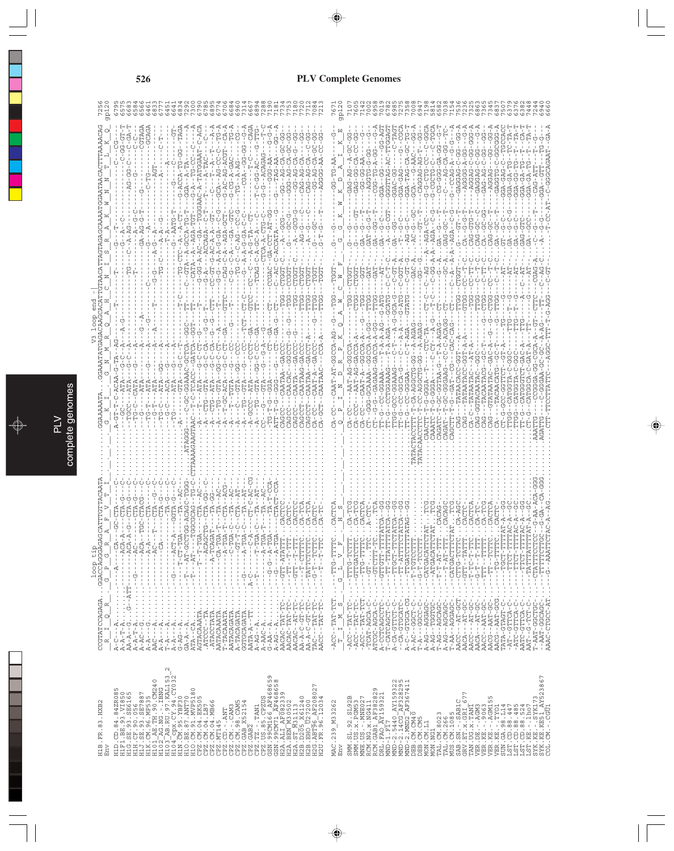| ŕ<br>ŕ.<br>ì |
|--------------|
|              |
| ŕ<br>r       |

8

| H1B.FR.83.HXB2                                                                                                                                                                                                                                                                                                                                                                                                                    | loop tip<br>CCGTATCCAGAGAGGACCAGGGAGAG                                                                                                                                                                                                                                                                                                                                                                                                                 |                                                                                                                                                                                                                                                                                                                                                                                                                                     |                                                                                                     |  |
|-----------------------------------------------------------------------------------------------------------------------------------------------------------------------------------------------------------------------------------------------------------------------------------------------------------------------------------------------------------------------------------------------------------------------------------|--------------------------------------------------------------------------------------------------------------------------------------------------------------------------------------------------------------------------------------------------------------------------------------------------------------------------------------------------------------------------------------------------------------------------------------------------------|-------------------------------------------------------------------------------------------------------------------------------------------------------------------------------------------------------------------------------------------------------------------------------------------------------------------------------------------------------------------------------------------------------------------------------------|-----------------------------------------------------------------------------------------------------|--|
| Env                                                                                                                                                                                                                                                                                                                                                                                                                               | $\simeq$<br>$\circ$<br>Н<br>œ                                                                                                                                                                                                                                                                                                                                                                                                                          | $\approx$<br>U<br>$\sim$<br>U                                                                                                                                                                                                                                                                                                                                                                                                       |                                                                                                     |  |
|                                                                                                                                                                                                                                                                                                                                                                                                                                   | $- - - A$<br>$A - C$                                                                                                                                                                                                                                                                                                                                                                                                                                   |                                                                                                                                                                                                                                                                                                                                                                                                                                     |                                                                                                     |  |
|                                                                                                                                                                                                                                                                                                                                                                                                                                   | $A - A - T - A$                                                                                                                                                                                                                                                                                                                                                                                                                                        | $-ACA-$<br>$\frac{1}{4}$                                                                                                                                                                                                                                                                                                                                                                                                            |                                                                                                     |  |
| $\begin{tabular}{l} \bf 121.121.123.134.34.242005\\ \bf 1117.1.125.93.3711550\\ \bf 1111.125.93.3711550\\ \bf 1111.125.93.1557837\\ \bf 1111.125.93.1557837\\ \bf 1111.125.151.93.1557837\\ \bf 1111.132.151.153.151.153.2\\ \bf 1111.134.151.151.151.153.2\\ \bf$                                                                                                                                                                | A-A-1-A<br>AA-A--GG--ATT                                                                                                                                                                                                                                                                                                                                                                                                                               | $-$ ACA $-$<br>$\frac{1}{1}$<br>Ì                                                                                                                                                                                                                                                                                                                                                                                                   |                                                                                                     |  |
|                                                                                                                                                                                                                                                                                                                                                                                                                                   |                                                                                                                                                                                                                                                                                                                                                                                                                                                        |                                                                                                                                                                                                                                                                                                                                                                                                                                     |                                                                                                     |  |
|                                                                                                                                                                                                                                                                                                                                                                                                                                   | $A - A - T - A$                                                                                                                                                                                                                                                                                                                                                                                                                                        | $- - \text{AC}$                                                                                                                                                                                                                                                                                                                                                                                                                     |                                                                                                     |  |
|                                                                                                                                                                                                                                                                                                                                                                                                                                   | $A - AC - C$                                                                                                                                                                                                                                                                                                                                                                                                                                           | $-ACA-$<br>ţ                                                                                                                                                                                                                                                                                                                                                                                                                        |                                                                                                     |  |
|                                                                                                                                                                                                                                                                                                                                                                                                                                   | $\frac{1}{2}$<br>$2-6$<br>$-6$<br>$-7$<br>$-7$<br>ローー<br>$A - A$                                                                                                                                                                                                                                                                                                                                                                                       | $- -A - A -$<br>$\overline{\phantom{a}}$                                                                                                                                                                                                                                                                                                                                                                                            |                                                                                                     |  |
|                                                                                                                                                                                                                                                                                                                                                                                                                                   | $\frac{1}{2}$<br>AAC                                                                                                                                                                                                                                                                                                                                                                                                                                   | $- -AC - -$<br>÷.                                                                                                                                                                                                                                                                                                                                                                                                                   |                                                                                                     |  |
|                                                                                                                                                                                                                                                                                                                                                                                                                                   | $A - A -$                                                                                                                                                                                                                                                                                                                                                                                                                                              | $  CA$ $-$<br>$\mathbf{I}$<br>$\mathsf I$                                                                                                                                                                                                                                                                                                                                                                                           |                                                                                                     |  |
| $\sim$                                                                                                                                                                                                                                                                                                                                                                                                                            | ţ.<br>$T - A - - - A$ .                                                                                                                                                                                                                                                                                                                                                                                                                                |                                                                                                                                                                                                                                                                                                                                                                                                                                     |                                                                                                     |  |
|                                                                                                                                                                                                                                                                                                                                                                                                                                   | $A - A - - - A$ .                                                                                                                                                                                                                                                                                                                                                                                                                                      | $- ACT$<br>$\frac{1}{2}$<br>$0 - 1 - 1$                                                                                                                                                                                                                                                                                                                                                                                             |                                                                                                     |  |
|                                                                                                                                                                                                                                                                                                                                                                                                                                   | $G - AG - -A$ .                                                                                                                                                                                                                                                                                                                                                                                                                                        | $-1 - 1 - 1 - 1 - 1 - 1$                                                                                                                                                                                                                                                                                                                                                                                                            |                                                                                                     |  |
|                                                                                                                                                                                                                                                                                                                                                                                                                                   | $GA - A - - A$ .                                                                                                                                                                                                                                                                                                                                                                                                                                       | $-1 - 1 - 1 - 1 - 2$                                                                                                                                                                                                                                                                                                                                                                                                                |                                                                                                     |  |
|                                                                                                                                                                                                                                                                                                                                                                                                                                   |                                                                                                                                                                                                                                                                                                                                                                                                                                                        |                                                                                                                                                                                                                                                                                                                                                                                                                                     |                                                                                                     |  |
|                                                                                                                                                                                                                                                                                                                                                                                                                                   | ATA--CA.                                                                                                                                                                                                                                                                                                                                                                                                                                               | $\frac{1}{1}$<br>$-T-1 - -T-$                                                                                                                                                                                                                                                                                                                                                                                                       |                                                                                                     |  |
|                                                                                                                                                                                                                                                                                                                                                                                                                                   | AIRT<br>AGTACAAATA                                                                                                                                                                                                                                                                                                                                                                                                                                     | $-1 - T - T - T - TG$<br>$\frac{1}{1}$                                                                                                                                                                                                                                                                                                                                                                                              |                                                                                                     |  |
|                                                                                                                                                                                                                                                                                                                                                                                                                                   | ATCCC--TA                                                                                                                                                                                                                                                                                                                                                                                                                                              | $  ACAG$<br>$\frac{1}{1}$                                                                                                                                                                                                                                                                                                                                                                                                           |                                                                                                     |  |
|                                                                                                                                                                                                                                                                                                                                                                                                                                   | <b>ATACCTATA</b>                                                                                                                                                                                                                                                                                                                                                                                                                                       | $---A-TCAG$<br>$\,$ $\,$                                                                                                                                                                                                                                                                                                                                                                                                            |                                                                                                     |  |
|                                                                                                                                                                                                                                                                                                                                                                                                                                   |                                                                                                                                                                                                                                                                                                                                                                                                                                                        |                                                                                                                                                                                                                                                                                                                                                                                                                                     |                                                                                                     |  |
|                                                                                                                                                                                                                                                                                                                                                                                                                                   | AATACAAATA                                                                                                                                                                                                                                                                                                                                                                                                                                             |                                                                                                                                                                                                                                                                                                                                                                                                                                     |                                                                                                     |  |
|                                                                                                                                                                                                                                                                                                                                                                                                                                   | T-TACAAATA                                                                                                                                                                                                                                                                                                                                                                                                                                             | $\frac{1}{1}$<br>Ì,                                                                                                                                                                                                                                                                                                                                                                                                                 |                                                                                                     |  |
|                                                                                                                                                                                                                                                                                                                                                                                                                                   | AATACAGATA                                                                                                                                                                                                                                                                                                                                                                                                                                             | $\mathbf I$<br>$\,$ I<br>$\mathbf{I}$                                                                                                                                                                                                                                                                                                                                                                                               |                                                                                                     |  |
|                                                                                                                                                                                                                                                                                                                                                                                                                                   | A-TACAGATA                                                                                                                                                                                                                                                                                                                                                                                                                                             | $-190 - -$<br>٠                                                                                                                                                                                                                                                                                                                                                                                                                     |                                                                                                     |  |
|                                                                                                                                                                                                                                                                                                                                                                                                                                   |                                                                                                                                                                                                                                                                                                                                                                                                                                                        |                                                                                                                                                                                                                                                                                                                                                                                                                                     |                                                                                                     |  |
|                                                                                                                                                                                                                                                                                                                                                                                                                                   | GGTGCAGATA                                                                                                                                                                                                                                                                                                                                                                                                                                             | $--A-TG$<br>$\frac{1}{1}$                                                                                                                                                                                                                                                                                                                                                                                                           |                                                                                                     |  |
| $\begin{smallmatrix} \texttt{CEZ} & \texttt{CRBZ} & \texttt{CEZ} & \texttt{CEZ} \\ \texttt{CEZ} & \texttt{CEZ} & \texttt{CRZ} & \texttt{CRZ} \\ \texttt{CEZ} & \texttt{CEZ} & \texttt{CRZ} & \texttt{CRZ} \\ \texttt{CSX} & \texttt{SSCM1} & \texttt{SEZ} & \texttt{RF4} & \texttt{66} & \texttt{65} & \texttt{65} \\ \texttt{CSX} & \texttt{SSCM1} & \texttt{SEZ} & \texttt{SEZ} & \texttt{66} & \texttt{65} & \texttt{66} \\ \$ | AATA-A--TT                                                                                                                                                                                                                                                                                                                                                                                                                                             | $- - - - -$<br>$\sf I$<br>t<br>$\begin{array}{c}\n0 \\ 1 \\ \vdots \\ n\end{array}$                                                                                                                                                                                                                                                                                                                                                 | ל להקתונה היהיה להקתונה ו<br>היהיה היהיה להקתונה<br>היהיה היהיה להקתונה לה<br>היהיה להקתונה להקתונה |  |
|                                                                                                                                                                                                                                                                                                                                                                                                                                   | $\cdot$<br>$A - AG - - A \ldots$                                                                                                                                                                                                                                                                                                                                                                                                                       | $--T-TG$<br>$\frac{1}{2}$                                                                                                                                                                                                                                                                                                                                                                                                           |                                                                                                     |  |
|                                                                                                                                                                                                                                                                                                                                                                                                                                   | $A-ABC-A$                                                                                                                                                                                                                                                                                                                                                                                                                                              | $- - A - T G.$<br>İ                                                                                                                                                                                                                                                                                                                                                                                                                 |                                                                                                     |  |
|                                                                                                                                                                                                                                                                                                                                                                                                                                   | $\vdots$                                                                                                                                                                                                                                                                                                                                                                                                                                               |                                                                                                                                                                                                                                                                                                                                                                                                                                     |                                                                                                     |  |
|                                                                                                                                                                                                                                                                                                                                                                                                                                   | $\cdot$<br>$G - AA - -A \ldots$                                                                                                                                                                                                                                                                                                                                                                                                                        | $G - 4 - 5 - 5 - -1$                                                                                                                                                                                                                                                                                                                                                                                                                |                                                                                                     |  |
|                                                                                                                                                                                                                                                                                                                                                                                                                                   | $\frac{1}{2}$<br>$A - AG - - A$                                                                                                                                                                                                                                                                                                                                                                                                                        | $- - - - - - - - - - 0$                                                                                                                                                                                                                                                                                                                                                                                                             |                                                                                                     |  |
|                                                                                                                                                                                                                                                                                                                                                                                                                                   | A-AG--A<br>AACAC-TAT-T                                                                                                                                                                                                                                                                                                                                                                                                                                 | $-GTT - ATATTTT$                                                                                                                                                                                                                                                                                                                                                                                                                    |                                                                                                     |  |
|                                                                                                                                                                                                                                                                                                                                                                                                                                   | $\frac{1}{2}$                                                                                                                                                                                                                                                                                                                                                                                                                                          |                                                                                                                                                                                                                                                                                                                                                                                                                                     |                                                                                                     |  |
|                                                                                                                                                                                                                                                                                                                                                                                                                                   | AACAC-TAT-TC                                                                                                                                                                                                                                                                                                                                                                                                                                           |                                                                                                                                                                                                                                                                                                                                                                                                                                     |                                                                                                     |  |
|                                                                                                                                                                                                                                                                                                                                                                                                                                   | AACAC--AT-TC                                                                                                                                                                                                                                                                                                                                                                                                                                           | $\begin{split} \texttt{LLL-L-L-LD} = \texttt{LLD} - \texttt{LLD} - \texttt{L-LD} - \texttt{L} \cdot \texttt{L} \cdot \texttt{L} \end{split}$                                                                                                                                                                                                                                                                                        |                                                                                                     |  |
|                                                                                                                                                                                                                                                                                                                                                                                                                                   |                                                                                                                                                                                                                                                                                                                                                                                                                                                        |                                                                                                                                                                                                                                                                                                                                                                                                                                     |                                                                                                     |  |
|                                                                                                                                                                                                                                                                                                                                                                                                                                   | i<br>J<br>$\overline{PA} - \overline{A} - \overline{C} - \overline{G}T - \overline{T}\overline{C}$                                                                                                                                                                                                                                                                                                                                                     | $- - - - - - -$                                                                                                                                                                                                                                                                                                                                                                                                                     |                                                                                                     |  |
|                                                                                                                                                                                                                                                                                                                                                                                                                                   | AA-A-C-GT-TC                                                                                                                                                                                                                                                                                                                                                                                                                                           | $- \cdots - \text{TATTCTCTTC}$                                                                                                                                                                                                                                                                                                                                                                                                      |                                                                                                     |  |
|                                                                                                                                                                                                                                                                                                                                                                                                                                   | $TAC---TAT-TC$                                                                                                                                                                                                                                                                                                                                                                                                                                         | $-G - T - T - T - T -$                                                                                                                                                                                                                                                                                                                                                                                                              |                                                                                                     |  |
|                                                                                                                                                                                                                                                                                                                                                                                                                                   | Ì                                                                                                                                                                                                                                                                                                                                                                                                                                                      | $-1 - 1 - 1 - 1 - 1 - 1$                                                                                                                                                                                                                                                                                                                                                                                                            |                                                                                                     |  |
| H2U.FR.96.12034                                                                                                                                                                                                                                                                                                                                                                                                                   | AACC-TRT-TC                                                                                                                                                                                                                                                                                                                                                                                                                                            |                                                                                                                                                                                                                                                                                                                                                                                                                                     |                                                                                                     |  |
|                                                                                                                                                                                                                                                                                                                                                                                                                                   |                                                                                                                                                                                                                                                                                                                                                                                                                                                        |                                                                                                                                                                                                                                                                                                                                                                                                                                     |                                                                                                     |  |
| MAC.239 M33262                                                                                                                                                                                                                                                                                                                                                                                                                    | $-ACC - TRT - TCT$ .                                                                                                                                                                                                                                                                                                                                                                                                                                   | $\begin{array}{cccc} -\text{-}\texttt{T}\texttt{T}\texttt{G}-\texttt{T}\texttt{T}\texttt{T}\texttt{T}\texttt{C} \\ \texttt{G} & \texttt{L} & \texttt{V} & \texttt{F} \end{array}$<br>I                                                                                                                                                                                                                                              |                                                                                                     |  |
| $\operatorname{Env}$                                                                                                                                                                                                                                                                                                                                                                                                              | C)<br>Σ<br>$\vdash$<br>$\vdash$                                                                                                                                                                                                                                                                                                                                                                                                                        | Ü                                                                                                                                                                                                                                                                                                                                                                                                                                   |                                                                                                     |  |
|                                                                                                                                                                                                                                                                                                                                                                                                                                   |                                                                                                                                                                                                                                                                                                                                                                                                                                                        |                                                                                                                                                                                                                                                                                                                                                                                                                                     |                                                                                                     |  |
| SMM.SL.92.SL92B                                                                                                                                                                                                                                                                                                                                                                                                                   | - ACC - - TAT - TC                                                                                                                                                                                                                                                                                                                                                                                                                                     | <b>LALDI-DILL-</b>                                                                                                                                                                                                                                                                                                                                                                                                                  |                                                                                                     |  |
| SMM. US. x. PCM53<br>MNE. US. - MNE027<br>RCM. NG. x. NG411<br>RCM. GAB1_AF382829<br>DRL. FAO_AY159321                                                                                                                                                                                                                                                                                                                            | $-ACC - TAT - TC$                                                                                                                                                                                                                                                                                                                                                                                                                                      | -GTTGATCTTC                                                                                                                                                                                                                                                                                                                                                                                                                         |                                                                                                     |  |
|                                                                                                                                                                                                                                                                                                                                                                                                                                   | $-ACC - TAT - TCT$                                                                                                                                                                                                                                                                                                                                                                                                                                     | $-TTG-TTTTC$                                                                                                                                                                                                                                                                                                                                                                                                                        |                                                                                                     |  |
|                                                                                                                                                                                                                                                                                                                                                                                                                                   |                                                                                                                                                                                                                                                                                                                                                                                                                                                        |                                                                                                                                                                                                                                                                                                                                                                                                                                     |                                                                                                     |  |
|                                                                                                                                                                                                                                                                                                                                                                                                                                   | $-TCAT-AGCA-C$                                                                                                                                                                                                                                                                                                                                                                                                                                         |                                                                                                                                                                                                                                                                                                                                                                                                                                     |                                                                                                     |  |
|                                                                                                                                                                                                                                                                                                                                                                                                                                   | ATCGC-AGCA-C                                                                                                                                                                                                                                                                                                                                                                                                                                           | $\frac{1}{2}$                                                                                                                                                                                                                                                                                                                                                                                                                       |                                                                                                     |  |
|                                                                                                                                                                                                                                                                                                                                                                                                                                   | A-CCHOOCHO                                                                                                                                                                                                                                                                                                                                                                                                                                             | $1111 - 110110 + 1 - 1$                                                                                                                                                                                                                                                                                                                                                                                                             |                                                                                                     |  |
|                                                                                                                                                                                                                                                                                                                                                                                                                                   |                                                                                                                                                                                                                                                                                                                                                                                                                                                        |                                                                                                                                                                                                                                                                                                                                                                                                                                     |                                                                                                     |  |
| $F\overline{17}$<br>$MD-1$                                                                                                                                                                                                                                                                                                                                                                                                        | $T-{\tt CATCAGCT-C}$ $A-{\tt C}A-{\tt GTTCT-C}$                                                                                                                                                                                                                                                                                                                                                                                                        | $-1T T + T T T T T T T$                                                                                                                                                                                                                                                                                                                                                                                                             |                                                                                                     |  |
|                                                                                                                                                                                                                                                                                                                                                                                                                                   |                                                                                                                                                                                                                                                                                                                                                                                                                                                        | $-TTT-TTGCT-TTC$                                                                                                                                                                                                                                                                                                                                                                                                                    |                                                                                                     |  |
|                                                                                                                                                                                                                                                                                                                                                                                                                                   | -CA-GTGCATC-                                                                                                                                                                                                                                                                                                                                                                                                                                           | $-TT$ -ATTTTC                                                                                                                                                                                                                                                                                                                                                                                                                       |                                                                                                     |  |
|                                                                                                                                                                                                                                                                                                                                                                                                                                   | A-C--GTGCA-CG                                                                                                                                                                                                                                                                                                                                                                                                                                          | -TTGATCTTT                                                                                                                                                                                                                                                                                                                                                                                                                          |                                                                                                     |  |
| MND-2.5440_AY159322<br>MND-2.14CG_AF328295<br>MND-2.MND2_AF367411<br>DEB.CM.CM40<br>DEB.CM.CM.CM                                                                                                                                                                                                                                                                                                                                  | $A - AC - CGCT - C -$                                                                                                                                                                                                                                                                                                                                                                                                                                  | $\begin{array}{cccccccccc} -\text{Tr} & -\text{Tr} & -\text{Tr} & -\text{Tr} & -\text{Tr} & -\text{Tr} & -\text{Tr} & -\text{Tr} & -\text{Tr} & -\text{Tr} & -\text{Tr} & -\text{Tr} & -\text{Tr} & -\text{Tr} & -\text{Tr} & -\text{Tr} & -\text{Tr} & -\text{Tr} & -\text{Tr} & -\text{Tr} & -\text{Tr} & -\text{Tr} & -\text{Tr} & -\text{Tr} & -\text{Tr} & -\text{Tr} & -\text{Tr} & -\text{Tr} & -\text{Tr} & -\text{Tr} & -$ |                                                                                                     |  |
|                                                                                                                                                                                                                                                                                                                                                                                                                                   |                                                                                                                                                                                                                                                                                                                                                                                                                                                        |                                                                                                                                                                                                                                                                                                                                                                                                                                     |                                                                                                     |  |
|                                                                                                                                                                                                                                                                                                                                                                                                                                   |                                                                                                                                                                                                                                                                                                                                                                                                                                                        | $- G - T - T C C T T T$                                                                                                                                                                                                                                                                                                                                                                                                             |                                                                                                     |  |
|                                                                                                                                                                                                                                                                                                                                                                                                                                   | $\begin{array}{ll} \mathbf{T} - \mathbf{A} - - \mathbf{G}\mathbf{G}\mathbf{G}\mathbf{C}\mathbf{C} - \mathbf{C} - \mathbf{I} \\ \mathbf{T} - \mathbf{A}\mathbf{G} - \mathbf{A}\mathbf{G}\mathbf{G}\mathbf{A}\mathbf{G}\mathbf{C} - \mathbf{I} \\ \mathbf{A} - \mathbf{A}\mathbf{G} - \mathbf{A}\mathbf{G}\mathbf{G}\mathbf{A}\mathbf{G}\mathbf{C} - \mathbf{I} \\ \mathbf{A} - \mathbf{A}\mathbf{G} - \mathbf{I}\mathbf{G}\mathbf{G}\mathbf{A}\mathbf{$ | -CATGACATTC                                                                                                                                                                                                                                                                                                                                                                                                                         |                                                                                                     |  |
| MON.NG1                                                                                                                                                                                                                                                                                                                                                                                                                           |                                                                                                                                                                                                                                                                                                                                                                                                                                                        | -- ATGACATTC                                                                                                                                                                                                                                                                                                                                                                                                                        |                                                                                                     |  |
|                                                                                                                                                                                                                                                                                                                                                                                                                                   |                                                                                                                                                                                                                                                                                                                                                                                                                                                        |                                                                                                                                                                                                                                                                                                                                                                                                                                     |                                                                                                     |  |
| TAL.CM.8023<br>TAL.CM.266                                                                                                                                                                                                                                                                                                                                                                                                         |                                                                                                                                                                                                                                                                                                                                                                                                                                                        | $\begin{array}{l} \mathbf{-T} - \mathbf{T} - \mathbf{A} \mathbf{T} - \mathbf{T} \mathbf{T} \\ \mathbf{T} \mathbf{T} - \mathbf{T} \mathbf{A} - \mathbf{T} \mathbf{A} - \mathbf{T} - \mathbf{T} \\ \mathbf{T} \mathbf{T} - \mathbf{T} \mathbf{A} - \mathbf{T} \mathbf{A} - \mathbf{T} \end{array}$                                                                                                                                    |                                                                                                     |  |
|                                                                                                                                                                                                                                                                                                                                                                                                                                   |                                                                                                                                                                                                                                                                                                                                                                                                                                                        |                                                                                                                                                                                                                                                                                                                                                                                                                                     |                                                                                                     |  |
| LN.<br>MUS.CM.108                                                                                                                                                                                                                                                                                                                                                                                                                 |                                                                                                                                                                                                                                                                                                                                                                                                                                                        | -CATGACTTTC<br>$\ddot{\phantom{0}}$                                                                                                                                                                                                                                                                                                                                                                                                 |                                                                                                     |  |
| $\begin{array}{lll} \texttt{SAB.SN}\cdot\texttt{-}.\texttt{SAB1C} \\ \texttt{GRV.ET} \cdot \texttt{x} \cdot \texttt{GRL\_6} \end{array}$                                                                                                                                                                                                                                                                                          | AACC---AT-GCT.                                                                                                                                                                                                                                                                                                                                                                                                                                         | $-CTTC - TCTTC$                                                                                                                                                                                                                                                                                                                                                                                                                     |                                                                                                     |  |
|                                                                                                                                                                                                                                                                                                                                                                                                                                   | AACA---AT-GC-.                                                                                                                                                                                                                                                                                                                                                                                                                                         | $-GTTT - TTATTT$                                                                                                                                                                                                                                                                                                                                                                                                                    |                                                                                                     |  |
| $\begin{array}{lll} \texttt{TAN} & \texttt{UC} & \texttt{x} \cdot \texttt{GRI} & \texttt{677} \\ \texttt{TAN} & \texttt{UG} \cdot \texttt{x} \cdot \texttt{TANI} \\ \texttt{VER} & \texttt{P}^\texttt{D} & \end{array}$                                                                                                                                                                                                           | AACC---AT-GC-.                                                                                                                                                                                                                                                                                                                                                                                                                                         | -- עריידי - עיידיידי.<br>-- פ-ידי -- עריידי<br>-- עיידי -- עיידידי.                                                                                                                                                                                                                                                                                                                                                                 |                                                                                                     |  |
|                                                                                                                                                                                                                                                                                                                                                                                                                                   |                                                                                                                                                                                                                                                                                                                                                                                                                                                        |                                                                                                                                                                                                                                                                                                                                                                                                                                     |                                                                                                     |  |
|                                                                                                                                                                                                                                                                                                                                                                                                                                   | $\begin{array}{lll} \texttt{AACA}--\texttt{AT-GC}--\\ \texttt{AACC}--\texttt{AAT-GC}-\ . \end{array}$                                                                                                                                                                                                                                                                                                                                                  |                                                                                                                                                                                                                                                                                                                                                                                                                                     |                                                                                                     |  |
|                                                                                                                                                                                                                                                                                                                                                                                                                                   |                                                                                                                                                                                                                                                                                                                                                                                                                                                        |                                                                                                                                                                                                                                                                                                                                                                                                                                     |                                                                                                     |  |
| VER.DE.-.AGM3<br>VER.KE.-.9063<br>VER.KE.-.AGM155                                                                                                                                                                                                                                                                                                                                                                                 | AACG--AAT-GC-                                                                                                                                                                                                                                                                                                                                                                                                                                          | $-1TT - TT - TTTC$                                                                                                                                                                                                                                                                                                                                                                                                                  |                                                                                                     |  |
|                                                                                                                                                                                                                                                                                                                                                                                                                                   | AACG--AAT-GCG                                                                                                                                                                                                                                                                                                                                                                                                                                          | $-1.5T - 5T - 5T - 5T$                                                                                                                                                                                                                                                                                                                                                                                                              |                                                                                                     |  |
|                                                                                                                                                                                                                                                                                                                                                                                                                                   | TATA-GTAGT-C                                                                                                                                                                                                                                                                                                                                                                                                                                           |                                                                                                                                                                                                                                                                                                                                                                                                                                     |                                                                                                     |  |
|                                                                                                                                                                                                                                                                                                                                                                                                                                   |                                                                                                                                                                                                                                                                                                                                                                                                                                                        | ШЛЛД - ДОДД - - -<br>ДЛЛД - ДОДД - - -<br>ДЛЛД - ДОӨД - - -                                                                                                                                                                                                                                                                                                                                                                         |                                                                                                     |  |
|                                                                                                                                                                                                                                                                                                                                                                                                                                   | $-AT - -GTTCA - C$<br>$-ATC - GTTCA - C$                                                                                                                                                                                                                                                                                                                                                                                                               |                                                                                                                                                                                                                                                                                                                                                                                                                                     |                                                                                                     |  |
|                                                                                                                                                                                                                                                                                                                                                                                                                                   |                                                                                                                                                                                                                                                                                                                                                                                                                                                        |                                                                                                                                                                                                                                                                                                                                                                                                                                     |                                                                                                     |  |
|                                                                                                                                                                                                                                                                                                                                                                                                                                   | AATC-GTTCA-C                                                                                                                                                                                                                                                                                                                                                                                                                                           | -- TTT- TOTT-                                                                                                                                                                                                                                                                                                                                                                                                                       |                                                                                                     |  |
| VER. KE. - . TYOI<br>SUN. CA. 98. LI14<br>LST. CD. 88. 447<br>LST. CD. 88. 485<br>LST. CD. 88. 524<br>LST. KE. - . Lho.                                                                                                                                                                                                                                                                                                           | AAT--G-TCT-C                                                                                                                                                                                                                                                                                                                                                                                                                                           | --TATTTATTI                                                                                                                                                                                                                                                                                                                                                                                                                         |                                                                                                     |  |
| SYK.KE.-.SYK173<br>SYK.KE.KE31_AY523867                                                                                                                                                                                                                                                                                                                                                                                           | UULUUU-HAT-H                                                                                                                                                                                                                                                                                                                                                                                                                                           | -CTATTTCCTC                                                                                                                                                                                                                                                                                                                                                                                                                         |                                                                                                     |  |
|                                                                                                                                                                                                                                                                                                                                                                                                                                   | - 2247-0000 - 1244<br>- 225000 - 1244 - 225                                                                                                                                                                                                                                                                                                                                                                                                            | $-TTTTTTTCTT$ G                                                                                                                                                                                                                                                                                                                                                                                                                     |                                                                                                     |  |
| For<br>C<br>M<br>i<br>C                                                                                                                                                                                                                                                                                                                                                                                                           |                                                                                                                                                                                                                                                                                                                                                                                                                                                        | $-2 - 22$                                                                                                                                                                                                                                                                                                                                                                                                                           |                                                                                                     |  |

 $\begin{tabular}{ll} \textbf{H1B}, \textbf{F1}, \textbf{31}, \textbf{420085} \\ \textbf{BN} & \textbf{111}, \textbf{12}, \textbf{13}, \textbf{34}, \textbf{3420085} \\ \textbf{H11}, \textbf{12}, \textbf{13}, \textbf{35}, \textbf{356155} \\ \textbf{H11}, \textbf{13}, \textbf{13}, \textbf{13}, \textbf{13}, \textbf{13}, \textbf{13}, \textbf{13}, \textbf{13}, \textbf{13}, \textbf{13}, \textbf{13}, \textbf$  $\begin{tabular}{ll} \texttt{MAC}, 239\_M33262\\ \texttt{BNN}, 151.92.51929\\ \texttt{SMM}, 151.92.519281\\ \texttt{MCM}, 152.19222\\ \texttt{MCM}, 152.192222\\ \texttt{MCM}, 152.1922223\\ \texttt{MCM}, 152.1922223\\ \texttt{MMD-2}, 1460\_AT382352\\ \texttt{MMD-2}, 1460\_AT382352\\ \texttt{MMD-2}, 1460\_AT382352\\ \texttt{$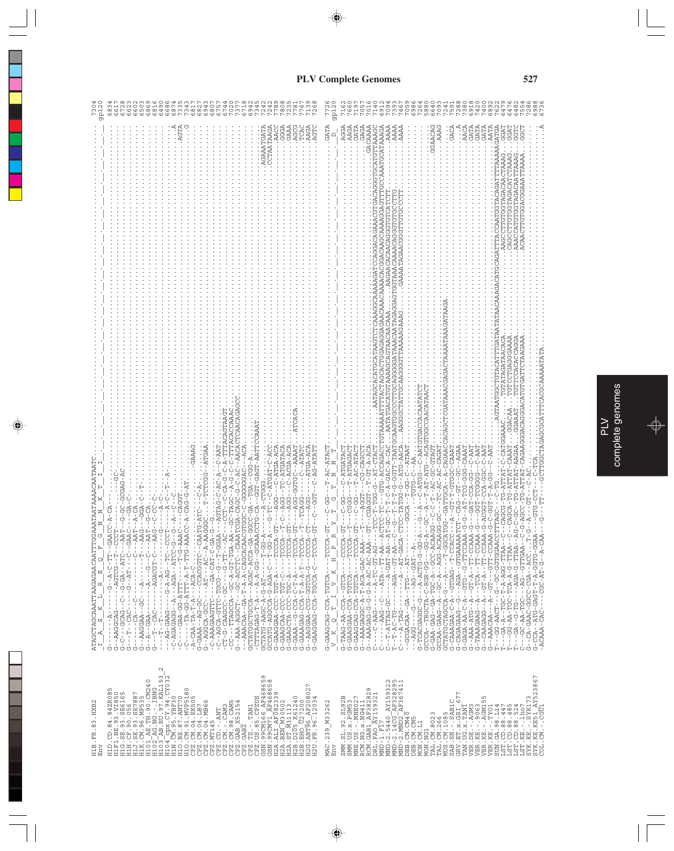| H1B.FR.83.HXB2<br>Env                                                                                                                                                                                                                                                                                        | 9p12<br>GAAATAATAAAACAATAAT<br>z<br>ATAGCTAGCAAATTAAGAGAACAATTT<br>Ŀ,<br>$\circ$<br>囯<br>$\approx$<br>$\Box$<br>K<br>C)<br>Ą<br>$\overline{a}$                                                                                                                                                                                                                                                                                                                                                                                                       |
|--------------------------------------------------------------------------------------------------------------------------------------------------------------------------------------------------------------------------------------------------------------------------------------------------------------|------------------------------------------------------------------------------------------------------------------------------------------------------------------------------------------------------------------------------------------------------------------------------------------------------------------------------------------------------------------------------------------------------------------------------------------------------------------------------------------------------------------------------------------------------|
|                                                                                                                                                                                                                                                                                                              | $\frac{8}{6}$<br>ヴーー<br>$-G$ -A-C-TT<br>$- - A$<br>ひ                                                                                                                                                                                                                                                                                                                                                                                                                                                                                                 |
|                                                                                                                                                                                                                                                                                                              | $-1$<br>$- -$ AGTCG--T<br>--AAGGCAG--<br>ひ                                                                                                                                                                                                                                                                                                                                                                                                                                                                                                           |
|                                                                                                                                                                                                                                                                                                              | $-0$ CGAG $-$ A<br><b>CO-D-</b><br>÷,<br>ひHぱ‐‐ぱり‐ひ‐‐ひ‐‐ひぱひひ‐‐‐し)‐<br>ひ                                                                                                                                                                                                                                                                                                                                                                                                                                                                               |
|                                                                                                                                                                                                                                                                                                              | EÃ<br><b>ワー・シー -- H ヸーー ヴーー</b><br>$---TT - TQAC - -$<br>ひ                                                                                                                                                                                                                                                                                                                                                                                                                                                                                           |
|                                                                                                                                                                                                                                                                                                              | <b>UGA-C</b><br>$-4-2-CA$<br>AAT<br>Í<br>$- - - - -$<br>$\frac{1}{2}$<br>- - U - - - KU - - - - - -<br>ひ                                                                                                                                                                                                                                                                                                                                                                                                                                             |
|                                                                                                                                                                                                                                                                                                              | $G-CA$<br>ひ<br>ひ                                                                                                                                                                                                                                                                                                                                                                                                                                                                                                                                     |
|                                                                                                                                                                                                                                                                                                              | ししーリー<br>AAG<br>ひ                                                                                                                                                                                                                                                                                                                                                                                                                                                                                                                                    |
| $\sim$                                                                                                                                                                                                                                                                                                       |                                                                                                                                                                                                                                                                                                                                                                                                                                                                                                                                                      |
|                                                                                                                                                                                                                                                                                                              | w<br>ပု                                                                                                                                                                                                                                                                                                                                                                                                                                                                                                                                              |
|                                                                                                                                                                                                                                                                                                              | リー<br>$-4$<br>٢<br>U-UULAF--AJF--UUNUAUAUF-U-                                                                                                                                                                                                                                                                                                                                                                                                                                                                                                        |
|                                                                                                                                                                                                                                                                                                              | .AGT.<br>-CAGGT<br>--GAA-0-TTTTA-DD-AAAAC<br>$-1$<br>$-1 - 1 - 1$                                                                                                                                                                                                                                                                                                                                                                                                                                                                                    |
|                                                                                                                                                                                                                                                                                                              |                                                                                                                                                                                                                                                                                                                                                                                                                                                                                                                                                      |
|                                                                                                                                                                                                                                                                                                              | AATG-ATC<br>$\begin{array}{ll} -A-CAA-TA-TPA--ACA-C. & . \cr -C-CACAA+-ACA-C--CCACGGTC--C. \cr -C-AACAACGTC--C---CACCGGTC--C. \cr -C-AACCAGGTC---C---A-C-C. \cr -A-CACAGGTC---C-A-C-A-C-C. \cr -C-ACAAGTC--TGGC--C---T-GG. \cr -C-AGCA-TCTC-TGGC---C--T-GG. \cr -C-ACAC-AGTC-TGGC---C---T-GG. \cr -C-ACAC-AGTC-TGGC---C--T-GG. \cr -C-ACAC-ACTC-TGGC---C---T-GG. \cr -C-ACAC-ACT$                                                                                                                                                                    |
|                                                                                                                                                                                                                                                                                                              | ATGAA<br>T-TCTCGG<br>AAGGGC                                                                                                                                                                                                                                                                                                                                                                                                                                                                                                                          |
|                                                                                                                                                                                                                                                                                                              | $-C-AAT$ .<br>--AGTAG-C-AC-A                                                                                                                                                                                                                                                                                                                                                                                                                                                                                                                         |
|                                                                                                                                                                                                                                                                                                              | -TTTACAGTAA<br>$A - C - C - C - C - C - R$<br>-ccr                                                                                                                                                                                                                                                                                                                                                                                                                                                                                                   |
|                                                                                                                                                                                                                                                                                                              | --A-G-FLFL-D-D-A--<br>CC----TTAGCCA--A-GT-TGA-AA-AA--                                                                                                                                                                                                                                                                                                                                                                                                                                                                                                |
|                                                                                                                                                                                                                                                                                                              | ОООКОКОКОНОКОКК--ОК-О-О-ООКО-КООНККО--ОНООК-ОО---НОООК-ККК--О                                                                                                                                                                                                                                                                                                                                                                                                                                                                                        |
|                                                                                                                                                                                                                                                                                                              | AU4---U4555555-<br>$CGG - A$<br>- - 45H - - 45 - UU55<br>CGLGGC-C<br>---AAACAA--GA-T-A-A-CAGCACA<br>GCTATGGCTGCCA---ACAC-ACCA-G                                                                                                                                                                                                                                                                                                                                                                                                                      |
|                                                                                                                                                                                                                                                                                                              | ASSETTED TO PRETTED TO THE TABLE<br>CTTTAGAG-T-A---A-AGG-GG                                                                                                                                                                                                                                                                                                                                                                                                                                                                                          |
|                                                                                                                                                                                                                                                                                                              | AGAAATGAT<br>-CTGGG.                                                                                                                                                                                                                                                                                                                                                                                                                                                                                                                                 |
|                                                                                                                                                                                                                                                                                                              | CCTAATAAGA<br>$-ATGAT-C$                                                                                                                                                                                                                                                                                                                                                                                                                                                                                                                             |
|                                                                                                                                                                                                                                                                                                              | $\therefore$ AAC                                                                                                                                                                                                                                                                                                                                                                                                                                                                                                                                     |
|                                                                                                                                                                                                                                                                                                              | $^\infty$<br>399<br>LAAD.<br>-C-AGG--DDF--DDF---<br>U<br>$-1 - 0 - 0 - 0 - 0$<br>G-GAAGCTA-CC-TGC-A----TCC                                                                                                                                                                                                                                                                                                                                                                                                                                           |
| H2A.ST M31113<br>H2B.D205_X61240                                                                                                                                                                                                                                                                             | U<br>RG<br>- - AGG - COLOO - DORT - -                                                                                                                                                                                                                                                                                                                                                                                                                                                                                                                |
|                                                                                                                                                                                                                                                                                                              | TCA<br>--ATATC<br>ビュントー                                                                                                                                                                                                                                                                                                                                                                                                                                                                                                                              |
| H2G.ABT96                                                                                                                                                                                                                                                                                                    | AAGI<br>-ATGA-ACA                                                                                                                                                                                                                                                                                                                                                                                                                                                                                                                                    |
|                                                                                                                                                                                                                                                                                                              | AGT<br>FHRHR-94-U--H55-<br>$\overline{C}$                                                                                                                                                                                                                                                                                                                                                                                                                                                                                                            |
|                                                                                                                                                                                                                                                                                                              |                                                                                                                                                                                                                                                                                                                                                                                                                                                                                                                                                      |
| MAC.239 M33262                                                                                                                                                                                                                                                                                               | GATA<br>$T - AC - A T A C T$<br>co<br>-<br>U<br>당<br>-<br>$\frac{1}{1-\frac{H}{1-\frac{P}{1-\frac{P}{1-\frac{P}{1-\frac{P}{1-\frac{P}{1-\frac{P}{1-\frac{P}{1-\frac{P}{1-\frac{P}{1-\frac{P}{1-\frac{P}{1-\frac{P}{1-\frac{P}{1-\frac{P}{1-\frac{P}{1-\frac{P}{1-\frac{P}{1-\frac{P}{1-\frac{P}{1-\frac{P}{1-\frac{P}{1-\frac{P}{1-\frac{P}{1-\frac{P}{1-\frac{P}{1-\frac{P}{1-\frac{P}{1-\frac{P}{1-\frac{P}{1-\frac{P}{1-\frac{P}{1-\frac{P}{1-\frac{P}{1-\frac{P}{1-\frac{P$<br>$\frac{G-GAAGCAG-CCA-TGTCA}{V-K-Q-T} = \frac{T}{T} \frac{V}{V-K}$ |
| $\rm{Env}$                                                                                                                                                                                                                                                                                                   | <b>gp12</b><br>≏<br>z<br>Κ<br>$\frac{1}{2}$<br>$\geq$ <sup>1</sup>                                                                                                                                                                                                                                                                                                                                                                                                                                                                                   |
| SMM.SL.92.SL92B<br>SMM.US.x.PGM53<br>MNE.US.-.MNE027                                                                                                                                                                                                                                                         | AGGA<br>C-ATGATACT<br><u>ფ</u><br>ひ                                                                                                                                                                                                                                                                                                                                                                                                                                                                                                                  |
|                                                                                                                                                                                                                                                                                                              | 99,<br>AAGA.<br>-ATGAGAC<br>5555<br>-GAAGGAA-CCA-TGTCA----TCCC<br>ひ                                                                                                                                                                                                                                                                                                                                                                                                                                                                                  |
|                                                                                                                                                                                                                                                                                                              | ATA.<br>$-T-T-AC-ATAC$<br>じゅし<br>5<br>UUUH - - - - - - - - JUUH - JUUU - DAUDARU -<br>ひ                                                                                                                                                                                                                                                                                                                                                                                                                                                              |
|                                                                                                                                                                                                                                                                                                              | GAGA<br>-CG-CAC-PC-<br>$-AGGT-$<br>- - AAAGAGGC-A-T-ACA-GAC-AAA                                                                                                                                                                                                                                                                                                                                                                                                                                                                                      |
| RCM.NG.x.NG411<br>RCM.GAB1 AF382829<br>DRL.FAO_AY159321                                                                                                                                                                                                                                                      | 4<br>GACAAAA<br>ATGTTAAAGC<br>:POOKOKOLOUKAROKOKOOKOOLAOKARARADOOKAULOLOUKALAOOLAOUKUOKLAR<br>$-1 - 1 - 2 - 3$<br>HURHU - HR - -ひ - 5DH - H - UUH -<br>--CCACCT<br>5h<br>ひひひひ                                                                                                                                                                                                                                                                                                                                                                        |
|                                                                                                                                                                                                                                                                                                              | GCATAAAGA<br>URDRUUR-DHD-<br>ACTCC-TC                                                                                                                                                                                                                                                                                                                                                                                                                                                                                                                |
|                                                                                                                                                                                                                                                                                                              | AAGAACACACAOCTOFICATCH<br>AATATGACATGTAAAAGCAGTAACAACAAA<br>URU - K - URU - K - U - H - H - UU - H                                                                                                                                                                                                                                                                                                                                                                                                                                                   |
| MND-1.1FT7<br>MND-2.5440 AX159322<br>MND-2.5440 AX159322<br>MND-2.MND2_AF328255<br>DBB.CM.CM3<br>DDB.CM.CM3<br>MON.MS1.<br>MON.MS1.                                                                                                                                                                          | UUKUKKRIO KKALDULUKUUKUKHKRUKKALKUUUUUUUUUUUUUUUUUUUUUULHKRLI - LLUU -                                                                                                                                                                                                                                                                                                                                                                                                                                                                               |
|                                                                                                                                                                                                                                                                                                              | 46<br>AAAA.<br>. GAAAATAGAAC<br>먹<br>A-CTCC-TATGG                                                                                                                                                                                                                                                                                                                                                                                                                                                                                                    |
|                                                                                                                                                                                                                                                                                                              | -- ATAAT<br>$-59 - 1 - -$<br>-GGCA                                                                                                                                                                                                                                                                                                                                                                                                                                                                                                                   |
|                                                                                                                                                                                                                                                                                                              | $---AA$<br>-- DGLOT--<br>$\frac{1}{2}$                                                                                                                                                                                                                                                                                                                                                                                                                                                                                                               |
|                                                                                                                                                                                                                                                                                                              | FUNARIAN CONCRETENT - U - - DUNATAN<br>$-9 - -1$                                                                                                                                                                                                                                                                                                                                                                                                                                                                                                     |
|                                                                                                                                                                                                                                                                                                              | GGAACAC<br>A--GC--A--T-AT-ATG--ACAGTGGCCAACATAACT<br>LDKLD-UD-UK--L-U-U---<br>AAGG                                                                                                                                                                                                                                                                                                                                                                                                                                                                   |
|                                                                                                                                                                                                                                                                                                              | AAGG-0C-AC-AC----DD-00AR                                                                                                                                                                                                                                                                                                                                                                                                                                                                                                                             |
|                                                                                                                                                                                                                                                                                                              | CGATAAACGAGA<br>CATGG--GATTGCA-CAGAACCACA<br>$\begin{array}{l} \texttt{G-TCACABGG-G--A-A-ACCG-} \\ \texttt{GCCQ*-TRQCDA--} \\ \texttt{G-CQ2*-} \\ \texttt{G-GA-} \\ \texttt{G-GA-} \\ \texttt{G-CA} \\ \texttt{G-CA} \\ \texttt{G-CA} \\ \texttt{GCTA\_C} \\ \texttt{GCTA\_C} \\ \texttt{GCTA\_C} \\ \texttt{GCTA\_C} \\ \texttt{GCTA\_C} \\ \texttt{GCTA\_C} \\ \texttt{GCTA\_C} \\ \texttt{GCTA\_C} \\ \texttt{GCTA\_C} \\ \texttt{GCTA\_C} \\ \texttt{GCTA\_C}$                                                                                   |
|                                                                                                                                                                                                                                                                                                              | CACZ<br>- A - - Ch-Ghoun - H - H-S - - 4 -                                                                                                                                                                                                                                                                                                                                                                                                                                                                                                           |
| 77<br>$\begin{smallmatrix} 1211 & 001 & 0023 \\ 121 & 001 & 065 \\ 132 & 011 & 065 \\ 133 & 01 & 01 & 065 \\ 134 & 01 & 01 & 01 & 01 \\ 135 & 01 & 01 & 01 & 01 \\ 136 & 01 & 01 & 01 & 01 \\ 137 & 01 & 01 & 01 & 01 \\ 138 & 01 & 01 & 01 & 01 \\ 139 & 01 & 01 & 01 & 01 \\ 130 & 01 & 01 & 01 & 01 \\ 1$ | AAGA--UG--HG--UGU--HUHA<br>G-CAAAGAA-C-A--GT0AG--T-CCA<br>G-CAGAGAAG--G---AGA--GTT0AAA<br>G-CAGAGAAG--A--CT--AGA--GTT0AAA<br>G-CAGA-AA-C-A--GTD--G-TTCOA<br>G-TAAAGAAG--A---TCA--TT-CCA                                                                                                                                                                                                                                                                                                                                                              |
|                                                                                                                                                                                                                                                                                                              | $^\infty$<br>AACA<br>RAC-000-000-HT-10-0-AR                                                                                                                                                                                                                                                                                                                                                                                                                                                                                                          |
|                                                                                                                                                                                                                                                                                                              | GATA<br>$-AAT$<br>$\frac{1}{1}$<br>ひひーstひひーIIstのーーー                                                                                                                                                                                                                                                                                                                                                                                                                                                                                                  |
|                                                                                                                                                                                                                                                                                                              | 42<br>GATA<br>$-AAT$<br>ひひひひひH‐Hひひ‐‐‐<br>$A - G$                                                                                                                                                                                                                                                                                                                                                                                                                                                                                                     |
| S                                                                                                                                                                                                                                                                                                            | $\circ$<br>ጣ<br>4<br>e<br>G<br>GATA<br>AATA<br>TAAT.<br>$-17A-7$<br>U-UUU-KUU-LUUUK-U-KR<br>- 00 - 4 - 1 - 1 - 1 - 00 - 0<br>- -CAAGAGG - - A - - GT - A - - TT - CCA<br>- - AAACAA - - - A - - GT - - - - GTT - CCA<br>ひひけ日                                                                                                                                                                                                                                                                                                                         |
|                                                                                                                                                                                                                                                                                                              | AAAGATGA<br>TTTACCAATGTACAGA<br>AGTAATGUTACATTURATAA<br>CTTTAGC<br>ARDDIDD-UD---D---IDAR-DD----                                                                                                                                                                                                                                                                                                                                                                                                                                                      |
|                                                                                                                                                                                                                                                                                                              | GGA.<br>CAACUPACACACHOPPEDUCAAC<br>TGTATAGATAACACA<br>- CATGGAAAC<br>$-ATTAT-CC$<br>-- CAGCG-TG<br>- 44TT-04-A-T-T-A-AGG-TRAA-                                                                                                                                                                                                                                                                                                                                                                                                                       |
|                                                                                                                                                                                                                                                                                                              | <b>GGA</b><br>CAGCUTG<br>GGACAA<br>--CAGCA-TG-ATTAT-CAAAT                                                                                                                                                                                                                                                                                                                                                                                                                                                                                            |
|                                                                                                                                                                                                                                                                                                              | 599<br>ğ<br>ACAACTEGRAC<br>AAACC<br>G-ATTAT-CAGAGAGGOGOGOGOGOGOGOGOGOGOGOGOGAGAG<br>TGTTCCACACCAGG<br>GGAAAT<br>H-DUGA-D<br>----GG-AA-TGC-TCA-A-G-TTAA-<br>----GA--G-TG----AGA-G-TTAA-<br>---GC-AA-TGC---AG--GTTGAA-<br>◡                                                                                                                                                                                                                                                                                                                            |
|                                                                                                                                                                                                                                                                                                              | $\overline{A}$<br>ひ                                                                                                                                                                                                                                                                                                                                                                                                                                                                                                                                  |
| SYK.KE.-.SYK173<br>SYK.KE.KES1 AY523867<br>COL.CM.-.CGU1                                                                                                                                                                                                                                                     | GTG-CCT<br>00-0100-A-1-1040-014--AUU-0                                                                                                                                                                                                                                                                                                                                                                                                                                                                                                               |
|                                                                                                                                                                                                                                                                                                              | GUTTGGURGGGUDOUDOOGCAAAAATRIP<br>U-4--5-H4-U5U--<br>$-ACAAA-CAC--$                                                                                                                                                                                                                                                                                                                                                                                                                                                                                   |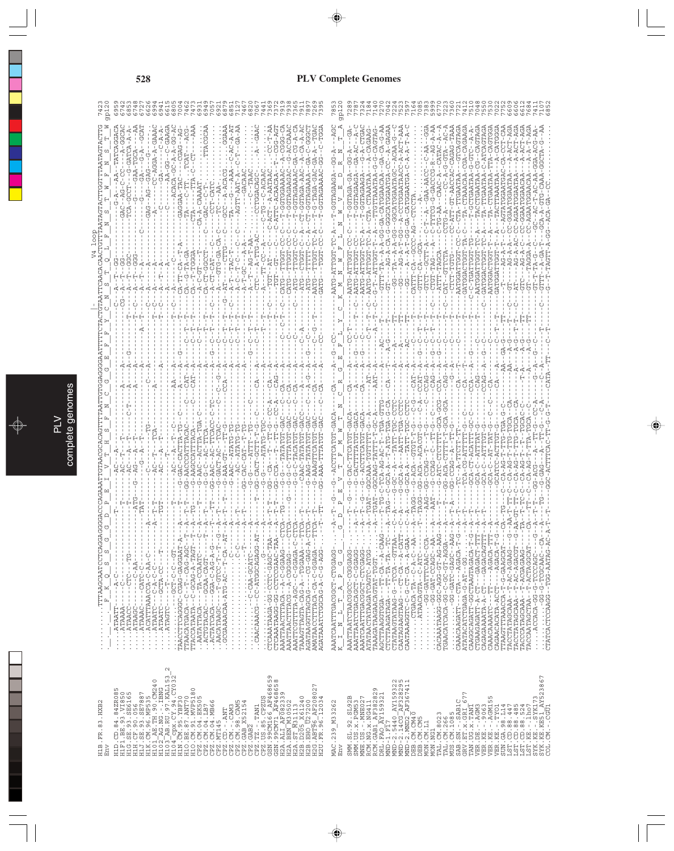| H1B. FR. 83. HXB2<br>$\operatorname{Env}$                                                                                                                                                                                                                                        | $\mathbb{R}$                                                                                                                                       | $\ldots$ TTTAAGCAATCCTCAG<br>$\mathbb{C}\Omega$<br>UΊ<br>$\circ$<br>×                                                                                                                                                                                                                                                                        |  |  |  |
|----------------------------------------------------------------------------------------------------------------------------------------------------------------------------------------------------------------------------------------------------------------------------------|----------------------------------------------------------------------------------------------------------------------------------------------------|----------------------------------------------------------------------------------------------------------------------------------------------------------------------------------------------------------------------------------------------------------------------------------------------------------------------------------------------|--|--|--|
| $\begin{tabular}{l ll} \hline 1.01. & 01. & 04. & 84.28085\\ 117. & 181. & 33. & 11550\\ 111. & 181. & 33. & 11550\\ 111. & 181. & 39. & 185788\\ 111. & 181. & 191. & 191. & 191. & 191. & 191. \\ 111. & 181. & 191. & 191. & 191. & 191. & 191. \\ 111. & 181. & 191. & 191.$ | -ATAATT-                                                                                                                                           | $- - - - - - - - - - -$                                                                                                                                                                                                                                                                                                                      |  |  |  |
|                                                                                                                                                                                                                                                                                  | I<br>ATAAAA-                                                                                                                                       | ţ<br>$\frac{1}{\sqrt{2}}$                                                                                                                                                                                                                                                                                                                    |  |  |  |
|                                                                                                                                                                                                                                                                                  | PEAACC---<br>PEAACC---                                                                                                                             | $-10T - 10T - 10T - 1$                                                                                                                                                                                                                                                                                                                       |  |  |  |
|                                                                                                                                                                                                                                                                                  |                                                                                                                                                    |                                                                                                                                                                                                                                                                                                                                              |  |  |  |
|                                                                                                                                                                                                                                                                                  | ATAAAC----CATC-C                                                                                                                                   | $\frac{1}{1}$                                                                                                                                                                                                                                                                                                                                |  |  |  |
|                                                                                                                                                                                                                                                                                  | ACATTTAAACCA-C                                                                                                                                     | $-AA-C--$                                                                                                                                                                                                                                                                                                                                    |  |  |  |
|                                                                                                                                                                                                                                                                                  | $\ddot{\cdot}$                                                                                                                                     |                                                                                                                                                                                                                                                                                                                                              |  |  |  |
| $\sim$                                                                                                                                                                                                                                                                           | ATAGTC                                                                                                                                             | --------                                                                                                                                                                                                                                                                                                                                     |  |  |  |
|                                                                                                                                                                                                                                                                                  |                                                                                                                                                    | - 1-0 - - 0 - 0 - 1-0 0 - - - - - - -                                                                                                                                                                                                                                                                                                        |  |  |  |
|                                                                                                                                                                                                                                                                                  |                                                                                                                                                    |                                                                                                                                                                                                                                                                                                                                              |  |  |  |
|                                                                                                                                                                                                                                                                                  | TTAACATGACA - - T - - T- CAG - AGC -                                                                                                               |                                                                                                                                                                                                                                                                                                                                              |  |  |  |
|                                                                                                                                                                                                                                                                                  | TTACCATAATA - - C-GCAG-A-TAGT-                                                                                                                     |                                                                                                                                                                                                                                                                                                                                              |  |  |  |
|                                                                                                                                                                                                                                                                                  | - AATATTACA----TA-CCAATC                                                                                                                           |                                                                                                                                                                                                                                                                                                                                              |  |  |  |
|                                                                                                                                                                                                                                                                                  | - ACTORO-ACAA-CASI-                                                                                                                                |                                                                                                                                                                                                                                                                                                                                              |  |  |  |
|                                                                                                                                                                                                                                                                                  | $\therefore$ ACTATCACA---GGA-C-AG-A-G-                                                                                                             |                                                                                                                                                                                                                                                                                                                                              |  |  |  |
|                                                                                                                                                                                                                                                                                  | . AACATAAGC----T-GTCC-T-T                                                                                                                          |                                                                                                                                                                                                                                                                                                                                              |  |  |  |
|                                                                                                                                                                                                                                                                                  | GCGAAAACAA-ATG-AC--T-CA--                                                                                                                          |                                                                                                                                                                                                                                                                                                                                              |  |  |  |
|                                                                                                                                                                                                                                                                                  |                                                                                                                                                    |                                                                                                                                                                                                                                                                                                                                              |  |  |  |
|                                                                                                                                                                                                                                                                                  |                                                                                                                                                    |                                                                                                                                                                                                                                                                                                                                              |  |  |  |
|                                                                                                                                                                                                                                                                                  |                                                                                                                                                    | $\cdots$ $C-C$ -                                                                                                                                                                                                                                                                                                                             |  |  |  |
|                                                                                                                                                                                                                                                                                  |                                                                                                                                                    | ÷                                                                                                                                                                                                                                                                                                                                            |  |  |  |
|                                                                                                                                                                                                                                                                                  | $\vdots$                                                                                                                                           | $\cdots$ $\cdots$ $\cdots$ $\cdots$ $\cdots$ $\cdots$ $\cdots$ $\cdots$ $\cdots$ $\cdots$ $\cdots$ $\cdots$ $\cdots$ $\cdots$ $\cdots$ $\cdots$ $\cdots$ $\cdots$ $\cdots$ $\cdots$ $\cdots$ $\cdots$ $\cdots$ $\cdots$ $\cdots$ $\cdots$ $\cdots$ $\cdots$ $\cdots$ $\cdots$ $\cdots$ $\cdots$ $\cdots$ $\cdots$ $\cdots$ $\cdots$ $\cdots$ |  |  |  |
|                                                                                                                                                                                                                                                                                  |                                                                                                                                                    |                                                                                                                                                                                                                                                                                                                                              |  |  |  |
|                                                                                                                                                                                                                                                                                  |                                                                                                                                                    |                                                                                                                                                                                                                                                                                                                                              |  |  |  |
|                                                                                                                                                                                                                                                                                  |                                                                                                                                                    |                                                                                                                                                                                                                                                                                                                                              |  |  |  |
|                                                                                                                                                                                                                                                                                  | CTCAAATAAGG-GG-CCTCCGAAC-TA                                                                                                                        |                                                                                                                                                                                                                                                                                                                                              |  |  |  |
|                                                                                                                                                                                                                                                                                  |                                                                                                                                                    |                                                                                                                                                                                                                                                                                                                                              |  |  |  |
|                                                                                                                                                                                                                                                                                  | AAATTAACTTACA - -A - C - GGAAG - -                                                                                                                 |                                                                                                                                                                                                                                                                                                                                              |  |  |  |
| H2A.BEN M30502                                                                                                                                                                                                                                                                   | AAATTAACTTTACG--A-CGGGAG-                                                                                                                          |                                                                                                                                                                                                                                                                                                                                              |  |  |  |
| H2A.ST M31113                                                                                                                                                                                                                                                                    | AAATTCGTTTA-AGCAGAGA-C                                                                                                                             |                                                                                                                                                                                                                                                                                                                                              |  |  |  |
| H2B.D205 X61240<br>H2B.EHO_U27200                                                                                                                                                                                                                                                | TAAAGTTAGTA-CAG-A--TGGAAA-                                                                                                                         |                                                                                                                                                                                                                                                                                                                                              |  |  |  |
|                                                                                                                                                                                                                                                                                  | AGATAAGGTTAGCAG----CG-GAG-Z                                                                                                                        |                                                                                                                                                                                                                                                                                                                                              |  |  |  |
|                                                                                                                                                                                                                                                                                  |                                                                                                                                                    |                                                                                                                                                                                                                                                                                                                                              |  |  |  |
| $\overline{ }$<br>H2G.ABT96_AF20802<br>H2U.FR.96.12034                                                                                                                                                                                                                           | AMATAACCTTTACA-CA-C-GGAGA-<br>AGATAAATCTGGCAG-A-G-AGG-                                                                                             |                                                                                                                                                                                                                                                                                                                                              |  |  |  |
|                                                                                                                                                                                                                                                                                  |                                                                                                                                                    |                                                                                                                                                                                                                                                                                                                                              |  |  |  |
|                                                                                                                                                                                                                                                                                  |                                                                                                                                                    |                                                                                                                                                                                                                                                                                                                                              |  |  |  |
| MAC.239 M33262                                                                                                                                                                                                                                                                   | AAATCAATTGACGGCT-CTGAGG-                                                                                                                           |                                                                                                                                                                                                                                                                                                                                              |  |  |  |
| Env                                                                                                                                                                                                                                                                              | $\mathsf{H}$<br>$\overline{a}$<br>z<br>$\overline{a}$<br>×                                                                                         | U<br>U<br>$\mathbf{a}$<br>4                                                                                                                                                                                                                                                                                                                  |  |  |  |
| SMM. SL. 92. SL92B                                                                                                                                                                                                                                                               | AAATTAATCTAACGGC-CGGAGAG-                                                                                                                          |                                                                                                                                                                                                                                                                                                                                              |  |  |  |
|                                                                                                                                                                                                                                                                                  | - COACO- U - LUCAURCHULHARHHARA                                                                                                                    |                                                                                                                                                                                                                                                                                                                                              |  |  |  |
| SMM . US . x . PGM53<br>MNE . US . - . MNE027                                                                                                                                                                                                                                    | UUCUULU - LUUCUCULLETAN LARA                                                                                                                       |                                                                                                                                                                                                                                                                                                                                              |  |  |  |
|                                                                                                                                                                                                                                                                                  |                                                                                                                                                    |                                                                                                                                                                                                                                                                                                                                              |  |  |  |
| RCM.NG.X.NG411                                                                                                                                                                                                                                                                   | ATATAACTATAAGATCAGTC-ATGG-                                                                                                                         |                                                                                                                                                                                                                                                                                                                                              |  |  |  |
| RCM.GAB1 AF382829<br>DRL.FAO AY159321                                                                                                                                                                                                                                            | TAAAGATAAGAACAGTAT-TGGT<br>AGCTTAAGGTGGA -- TT-CA -- A-CA                                                                                          |                                                                                                                                                                                                                                                                                                                                              |  |  |  |
|                                                                                                                                                                                                                                                                                  |                                                                                                                                                    |                                                                                                                                                                                                                                                                                                                                              |  |  |  |
| MND-1.1FT7<br>MND-2.15440 AY159322<br>MND-2.1M40 AY159325<br>MND-2.NND2_AP367411<br>DBB.CM.CM40<br>MOR.CM.LM5<br>MOR.NG1<br>MOR.NG1                                                                                                                                              | CTCTTAAGATAGA - - - TT-TA - TA - - I                                                                                                               |                                                                                                                                                                                                                                                                                                                                              |  |  |  |
|                                                                                                                                                                                                                                                                                  |                                                                                                                                                    |                                                                                                                                                                                                                                                                                                                                              |  |  |  |
|                                                                                                                                                                                                                                                                                  | CTRIPARTIRIRAG-G--TCCR--GTTA<br>CARIBAGRAGTRAG---CT-CR--A-CA<br>CARIBABAGTC-C-G-CT-CR--A-CA<br>CARIBABAGCTC-C-G-CT-C-A-C--A<br>CTGRCA-TA--C-A-C--A |                                                                                                                                                                                                                                                                                                                                              |  |  |  |
|                                                                                                                                                                                                                                                                                  |                                                                                                                                                    |                                                                                                                                                                                                                                                                                                                                              |  |  |  |
|                                                                                                                                                                                                                                                                                  |                                                                                                                                                    |                                                                                                                                                                                                                                                                                                                                              |  |  |  |
|                                                                                                                                                                                                                                                                                  |                                                                                                                                                    |                                                                                                                                                                                                                                                                                                                                              |  |  |  |
|                                                                                                                                                                                                                                                                                  |                                                                                                                                                    |                                                                                                                                                                                                                                                                                                                                              |  |  |  |
|                                                                                                                                                                                                                                                                                  |                                                                                                                                                    |                                                                                                                                                                                                                                                                                                                                              |  |  |  |
|                                                                                                                                                                                                                                                                                  | $\vdots$                                                                                                                                           |                                                                                                                                                                                                                                                                                                                                              |  |  |  |
|                                                                                                                                                                                                                                                                                  |                                                                                                                                                    |                                                                                                                                                                                                                                                                                                                                              |  |  |  |
| TAL.CM.8023<br>TAL.CM.266                                                                                                                                                                                                                                                        |                                                                                                                                                    |                                                                                                                                                                                                                                                                                                                                              |  |  |  |
|                                                                                                                                                                                                                                                                                  |                                                                                                                                                    |                                                                                                                                                                                                                                                                                                                                              |  |  |  |
| MUS.CM.1085                                                                                                                                                                                                                                                                      |                                                                                                                                                    |                                                                                                                                                                                                                                                                                                                                              |  |  |  |
|                                                                                                                                                                                                                                                                                  |                                                                                                                                                    |                                                                                                                                                                                                                                                                                                                                              |  |  |  |
|                                                                                                                                                                                                                                                                                  |                                                                                                                                                    |                                                                                                                                                                                                                                                                                                                                              |  |  |  |
|                                                                                                                                                                                                                                                                                  |                                                                                                                                                    |                                                                                                                                                                                                                                                                                                                                              |  |  |  |
| SAB. SN: - SAB1C<br>GRV. ET. x. GRI 677<br>TAN. UG. x. TANI<br>VER. KE. - 9063<br>VER. KE. - 9063<br>VER. KE. - AGM155                                                                                                                                                           | ATATACATCTGAGA-G-AT--GG<br>CAAGGCAGATT-GGCTAAGTAGACA-T                                                                                             |                                                                                                                                                                                                                                                                                                                                              |  |  |  |
|                                                                                                                                                                                                                                                                                  |                                                                                                                                                    |                                                                                                                                                                                                                                                                                                                                              |  |  |  |
|                                                                                                                                                                                                                                                                                  | CTGAAGAGATT-A-CT---GAGACT-T<br>CAGAGAGAARTA-A-CT---GAGACAGT<br>CAAACAAAATC---TT----AGACA-T                                                         |                                                                                                                                                                                                                                                                                                                                              |  |  |  |
|                                                                                                                                                                                                                                                                                  |                                                                                                                                                    |                                                                                                                                                                                                                                                                                                                                              |  |  |  |
|                                                                                                                                                                                                                                                                                  | CAGAACACATA-ACCT--                                                                                                                                 | $-ACACA-1$                                                                                                                                                                                                                                                                                                                                   |  |  |  |
|                                                                                                                                                                                                                                                                                  | TTAAGTTTAAACCA-T-G-GAAGCAT-                                                                                                                        |                                                                                                                                                                                                                                                                                                                                              |  |  |  |
|                                                                                                                                                                                                                                                                                  |                                                                                                                                                    |                                                                                                                                                                                                                                                                                                                                              |  |  |  |
|                                                                                                                                                                                                                                                                                  | TACCTATAGCAAA - - T-AC-AGAAG-                                                                                                                      |                                                                                                                                                                                                                                                                                                                                              |  |  |  |
|                                                                                                                                                                                                                                                                                  | TACCTATAGCAAA - - T-AC-AGACGT-                                                                                                                     |                                                                                                                                                                                                                                                                                                                                              |  |  |  |
|                                                                                                                                                                                                                                                                                  | TACCCATAGCAAA--T-ACGAGAAAG                                                                                                                         |                                                                                                                                                                                                                                                                                                                                              |  |  |  |
| VER. KE. - .TYO1<br>SUN. GA. 98. L14<br>LST. CD. 88. 447<br>LST. CD. 88. 524<br>LST. CD. 88. 524<br>LST. KE. - . lho7                                                                                                                                                            | TACCAATAGCTAA - - T-ACTAGGCAT-                                                                                                                     |                                                                                                                                                                                                                                                                                                                                              |  |  |  |
|                                                                                                                                                                                                                                                                                  |                                                                                                                                                    |                                                                                                                                                                                                                                                                                                                                              |  |  |  |
| SYK.KE.-.SYK173<br>SYK.KE.KE31_AY523867                                                                                                                                                                                                                                          |                                                                                                                                                    |                                                                                                                                                                                                                                                                                                                                              |  |  |  |
| CGŪ1<br><b>E</b><br>COL                                                                                                                                                                                                                                                          |                                                                                                                                                    |                                                                                                                                                                                                                                                                                                                                              |  |  |  |
|                                                                                                                                                                                                                                                                                  |                                                                                                                                                    |                                                                                                                                                                                                                                                                                                                                              |  |  |  |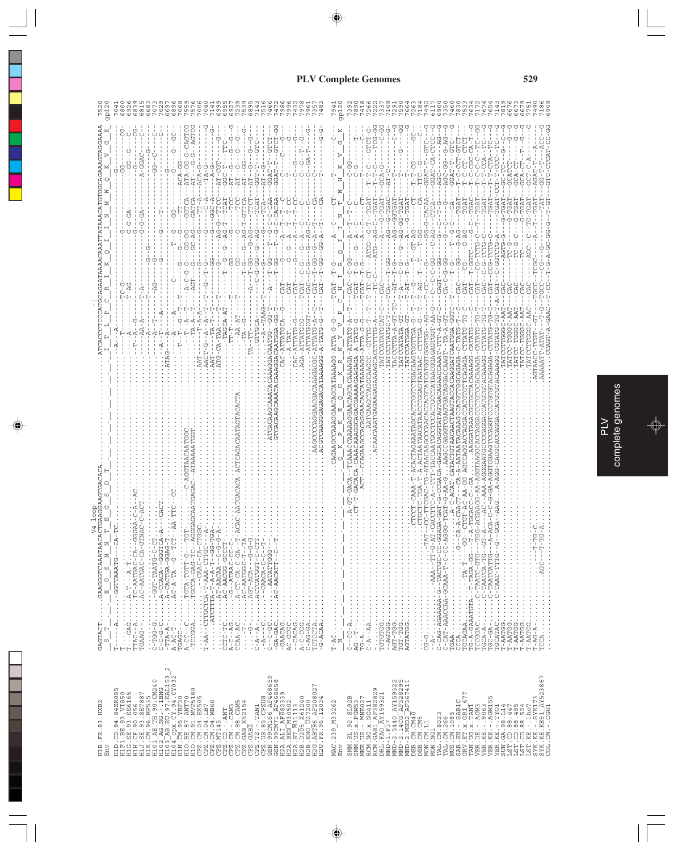| ţ              |
|----------------|
|                |
|                |
| <b>SIGIP's</b> |
| j              |
|                |
|                |
|                |
|                |
|                |
|                |
|                |
|                |

|                                                                          | $\alpha$ $\alpha$ $\alpha$<br>704<br>$\frac{8}{6}$<br>$^\infty$<br>99<br>$\circ$<br>$\circ$<br>99<br>$_{\infty}$<br>$\infty$                                                                                                                                                                                                                                                                                      | 739<br>gp12<br>G<br>৩<br>৩<br>78<br>∞<br>S<br>৩                                                                                                                                                                                                                                                                                                                                                                                                                                                                                                                                                                                                                                                                                                                                                                                                                                                                                    |
|--------------------------------------------------------------------------|-------------------------------------------------------------------------------------------------------------------------------------------------------------------------------------------------------------------------------------------------------------------------------------------------------------------------------------------------------------------------------------------------------------------|------------------------------------------------------------------------------------------------------------------------------------------------------------------------------------------------------------------------------------------------------------------------------------------------------------------------------------------------------------------------------------------------------------------------------------------------------------------------------------------------------------------------------------------------------------------------------------------------------------------------------------------------------------------------------------------------------------------------------------------------------------------------------------------------------------------------------------------------------------------------------------------------------------------------------------|
| ひ<br>₽<br>O                                                              | -CAGTCG<br><b>99-TDL9-</b><br>-AGTC<br>$\frac{1}{\mathcal{C}}$<br>ひ<br>לים<br>י<br>-1501-<br>$\stackrel{\shortparallel }{\circ }$<br>$\frac{1}{2}$<br>もーっ<br>Ġ<br>Ġ<br>ひ<br>-GLC<br><b>TTC</b><br>ဗံ<br>φ<br>Ġ<br>ب<br>$G-A-T$<br>-GGAC<br>リー<br>ひーウ<br>GGAT-T-<br>GGAT-T-<br>9<br>ひ<br>也<br>ġ<br>59<br>ن<br>ب<br>$AT-CG$<br>じー<br>$AT - -G$<br>$T-T55$<br>ပု<br>$ACA-C$<br>-<br>UU<br>ACA<br>ATA<br>$-TA$<br>AT- | 99 - 0<br>- 101-901<br>×<br><b>CHOLD-C</b><br>$-1 - 12TC - 1$<br>ウーー<br>$-1$<br>$-CGC-CA-T--$<br>C<br>- C<br>- HUHU-HUU-U-<br>CTCT-<br>ပု<br>$G - AG -$<br>÷<br>Ů<br>GGAT-CA-CTCC<br>$-AC$<br>Ü<br>É<br><b>GTC</b><br>$\frac{1}{2}$<br>けべりしします<br>$-1$<br>g<br>GGAT-T-<br>ti<br>F<br>$-T - CTA$<br>GGAT-T-<br>AGC-09-<br>CATCT-<br>しゅっ<br>$-6C-A$<br>⊭<br>ပု<br>ု<br>ု<br>ှ<br>၂<br>ں<br>!<br>U<br>CA-C<br>U-AU<br>AGAT-<br>AGC<br>투<br>Ξ<br>Σ                                                                                                                                                                                                                                                                                                                                                                                                                                                                                     |
| z<br>$\circ$                                                             | $-TCAT$<br>-TCAT-<br>$-C - A$<br>GGTCA<br>$\ddot{A}$<br>TTCC<br>UUL-<br>UUL-<br>$1 - C - C - C A A$<br>-TUTCH<br>GATCA<br>-GTTCA<br>Ŭ<br> <br>ひじひ<br>$-5 - 5 -$<br>ひ<br>먹<br>ひ<br>τŋ<br>$-54 - 5 -$<br>먹<br>$-54 - -5 -$<br>$-AG$<br>54--5--55-<br>ひょうじ<br>GC-A<br>$G - A$<br>턱<br>۴<br>$\dot{c}$<br>U<br>ひ<br>ᄞ<br>-99-<br>$T-GG-$<br><b>99-1</b><br>פי<br>Ū<br>也                                                | $-GG - G - CACAA -$<br>TGAT<br>TGAT<br>TGAC<br>TGAT<br>-TGAC<br>$-4G-0G-TCAT$<br>- AG--0-04-1<br>--GGTGAT<br>$-CA -$<br>$-TTGAT$<br>؋<br>ローロー<br>$-9 - 7 - 6 - 7$<br>z<br>$\mathsf{I}$<br>$- -7 - -$<br>ပ္ပံ<br>٢<br>U<br>U<br>U<br>$\frac{1}{2}-\frac{1}{2}-\frac{1}{2}$<br>$-1$<br>U<br>$\frac{1}{2}$<br>$- - GT - AG$<br>$-54-7-$<br>- 0 - 10 -<br>- 04 - 5 -<br>$-5 - -2$<br>υ<br>-TCTG-<br>ں<br>ت<br>CG-TCL6<br>UHUHU-<br>-TCLC<br>$- - -$<br>φ<br>しゅっ<br>უ<br>-<br>-<br>$\approx$                                                                                                                                                                                                                                                                                                                                                                                                                                            |
| $\alpha$<br>U<br>$\mathbf{\Omega}$                                       | ୍ର<br>$-1 - 1 -$<br>$-2 - C - C -$<br>じし<br>CAT<br>ひ<br>CAT<br>$-AC$<br>$\Gamma$ - $\Delta$<br>5<br>TAGCA-A<br>$-AA-AT$<br>$-TA - A$<br>$\tilde{A}$                                                                                                                                                                                                                                                               | - UAT--T--HU<br>$CA - C - G - G - G -$<br>ੱ।<br>-<br>୍ଚ<br>ひーーー<br>い<br>し<br>p-<br>$\frac{1}{\sqrt{2}}$<br>じーロ<br>9<br>C<br>U<br>U<br>$-CT$<br>$-1 - 1 - 1$<br>U<br>ひーリーひ<br>CAGT<br>$-$ CAC<br>CAC<br>$T - AG$<br>TCAT.<br>-T-AT<br>Ξ<br>$-TCA$<br>÷<br>$-1 - 7 - 7$<br>÷<br>Ü<br>부<br>U                                                                                                                                                                                                                                                                                                                                                                                                                                                                                                                                                                                                                                          |
|                                                                          | CAATGGA-G<br>AUDTID.<br>CAC-ATTATGCA<br>TTATG<br>CAAGGGAGACATAAAAGG-A-TATG<br>$-CA - TAA$<br>-A-TAT.<br>CAC-ATTATG<br>CACAATGG<br>$ACT-G--A$<br>$A - 2i$                                                                                                                                                                                                                                                          | L-CH-CHAHAU-ACAARAUGUCHCHUUU<br>A - - COLCOCLOURDE ALALOUAU<br>CGAGAGTGGT-A<br>- A - A - C<br>CTTTGA-C<br>CAAACCAAAAAGGAACCACAAAAAGA - ATTATG -<br>G-CATATG-<br>CAGAAGCCAAAGGAACAGCATAAAAGG-ATTA-G-<br>'ATCCATATA<br>$-TTA - A$<br>CATAAAGG-ATTA<br>Z<br>CAGAGA-C<br>叱<br>$\circ$                                                                                                                                                                                                                                                                                                                                                                                                                                                                                                                                                                                                                                                  |
|                                                                          |                                                                                                                                                                                                                                                                                                                                                                                                                   | UUUU - YUUUHYUHYUUYUYUUYUUYYUYYUYYUYUUUUUYUHYU - HYUY - J - Y<br>H-UHRHHU-RのRのRUHHUHのLRUひ式ののRUのRのRUひのRUのR-Dの-RR-DR)<br>-CA-A-AATAATACAAAGCCAGCAGAGAGA-C-TATG-<br>AAGGATAAACTOCTACAAAAG<br>FE-TATACONOUNCOURCOURCINE<br>しべなじなじむけいなけなけなけのなじょりじなじ! よしょじしし! じー<br>CCAGAACCACACACAACA<br>CAAACAAAGCAGAC<br>囯<br>$\circ$                                                                                                                                                                                                                                                                                                                                                                                                                                                                                                                                                                                                                 |
| AAGTGACACA<br>$\simeq$                                                   |                                                                                                                                                                                                                                                                                                                                                                                                                   | -TTCCAC-TG-ATAACAAG<br>CGAAGG-AA-AGGTAA<br>$-TCAT-G-PA-G-1$<br>CAACT-<br>TGCAC                                                                                                                                                                                                                                                                                                                                                                                                                                                                                                                                                                                                                                                                                                                                                                                                                                                     |
| GAAGGGTCAAATAACA<br>$\simeq$<br>$\mathbb{C}\Omega$<br>ひ<br>凹<br>$\vdots$ | .-GGTTAAATG---CA<br>$\vdots$                                                                                                                                                                                                                                                                                                                                                                                      | $\cdots$ - TA<br>.                                                                                                                                                                                                                                                                                                                                                                                                                                                                                                                                                                                                                                                                                                                                                                                                                                                                                                                 |
| $\cdot$<br>GAGTACT<br>$\mathbb H$<br>C)                                  | $----P$<br>$\vdash$                                                                                                                                                                                                                                                                                                                                                                                               | $TGAA$<br>$\frac{1}{2}$                                                                                                                                                                                                                                                                                                                                                                                                                                                                                                                                                                                                                                                                                                                                                                                                                                                                                                            |
|                                                                          | $\begin{tabular}{l} {\bf H11}, {\bf CD}, 84, 425085 \\ {\bf H15}, 125, 33, 01565 \\ {\bf H11}, 135, 35, 01565 \\ {\bf H11}, 135, 35, 187787 \\ {\bf H11}, 135, 35, 187787 \\ {\bf H11}, 135, 135, 187587 \\ {\bf H11}, 135, 135, 136, 137, 137, 137, 138 \\ {\bf H11}, 135, 136, 137, 137, 138, 139$<br>$\overline{\phantom{a}}$                                                                                  |                                                                                                                                                                                                                                                                                                                                                                                                                                                                                                                                                                                                                                                                                                                                                                                                                                                                                                                                    |
| H1B.FR.83.HXB2<br>$_{\rm Env}$                                           | CPZ, TZ, TANI<br>CPZ, US, 85, CPZ468659<br>GCR, 99CM71 AR468659<br>GCR, 99CM71 AR468658<br>H2A, ALT AF082339<br>H2A, 8T M31113<br>H2B.D205 X61240<br>H2B.BHO U27200<br>H2G.ABT96 AF208027<br>H2U.FR.96.12034<br>$CPZ$ . GAB $\overline{2}$                                                                                                                                                                        | SYK.KE.-.SYK173<br>SYK.KE.KES1 AY523867<br>COL.CM.-.CGU1<br>MMD-1.1F77<br>MMD-2.5440 AX159332<br>MMD-2.5440 AX159335<br>MMD-2.1MD2 AF367411<br>DBB.CNY.CW40<br>DBB.CNY.CMY.LM5<br>MOR.CMY.LM<br>RCM.GAB1_AF382829<br>DRL.FAO_AY159321<br>$\begin{array}{l} \text{MTG1:}\hspace{0.08cm}\text{MTG2:}\hspace{0.08cm}\text{MTG3:}\hspace{0.08cm}\text{MTG4:}\hspace{0.08cm}\text{MTG3:}\hspace{0.08cm}\text{R3.3}\hspace{0.08cm}\text{MT} \hspace{0.08cm}\text{G3.4}\hspace{0.08cm}\text{F3.5}\hspace{0.08cm}\text{MT} \hspace{0.08cm}\text{G7.5}\hspace{0.08cm}\text{TM} \hspace{0.08cm}\text{TM} \hspace{0.08cm}\text{TM} \hspace{0.08$<br>SMM.SL.92.SL92B<br>SMM.US.x.PGM53<br>MNE.US.-.MNE027<br>MAC.239 M33262<br>RCM.NG.X.NG411<br>VBR. 1:83 .<br>SUN: 03. 98. 1114<br>LIST. 03. 88. 447<br>LIST. 03. 88. 447<br>LIST. 03. 88. 425<br>LIST. 1:8. - . 1. ho <sup>7</sup><br>TAL.CM.8023<br>TAL.CM.266<br>MON.NG1<br>$_{\rm{Env}}$ |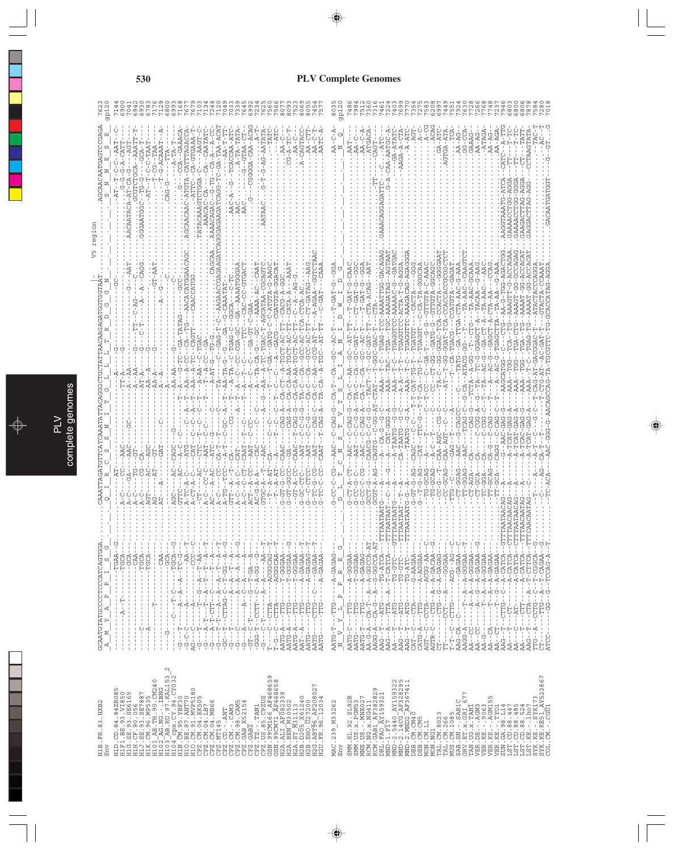| H1B.FR.83.HXB<br>Env                                                                                                                                                                                                                                                                                                                                                                                                 | GCAATGEACCCCCCCCCCATGEA<br>$\mathbf{\Omega}$<br>$\mathbf{\Omega}$<br>$\mathbb{A}^1_2$<br>Y<br>Σ<br>Ą                                                                                                                                                                                                                                                                                     | Ü<br>CΩ<br>$\mathbf{H}$                                                                                           |                    |                                                                                                                                                                                                                                                                                                                                                                                                              |                                         |                                                                                                                                                                                                                            |                                                                                              |           |                                                                                                                                                                                                                                                                                                                                                                                    |  |
|----------------------------------------------------------------------------------------------------------------------------------------------------------------------------------------------------------------------------------------------------------------------------------------------------------------------------------------------------------------------------------------------------------------------|------------------------------------------------------------------------------------------------------------------------------------------------------------------------------------------------------------------------------------------------------------------------------------------------------------------------------------------------------------------------------------------|-------------------------------------------------------------------------------------------------------------------|--------------------|--------------------------------------------------------------------------------------------------------------------------------------------------------------------------------------------------------------------------------------------------------------------------------------------------------------------------------------------------------------------------------------------------------------|-----------------------------------------|----------------------------------------------------------------------------------------------------------------------------------------------------------------------------------------------------------------------------|----------------------------------------------------------------------------------------------|-----------|------------------------------------------------------------------------------------------------------------------------------------------------------------------------------------------------------------------------------------------------------------------------------------------------------------------------------------------------------------------------------------|--|
| H1D.CD.84                                                                                                                                                                                                                                                                                                                                                                                                            |                                                                                                                                                                                                                                                                                                                                                                                          | <b>C</b><br>--<br>$-TGAA$<br>J.                                                                                   |                    |                                                                                                                                                                                                                                                                                                                                                                                                              |                                         |                                                                                                                                                                                                                            |                                                                                              |           |                                                                                                                                                                                                                                                                                                                                                                                    |  |
| : 842R085<br>33.VIB50<br>3.SE6165                                                                                                                                                                                                                                                                                                                                                                                    | $\mathbf{I}$<br>$---A---T$                                                                                                                                                                                                                                                                                                                                                               | $-TGCA$<br>$\mathbf{I}$                                                                                           |                    |                                                                                                                                                                                                                                                                                                                                                                                                              |                                         |                                                                                                                                                                                                                            |                                                                                              |           |                                                                                                                                                                                                                                                                                                                                                                                    |  |
|                                                                                                                                                                                                                                                                                                                                                                                                                      |                                                                                                                                                                                                                                                                                                                                                                                          | $--GCA$                                                                                                           |                    |                                                                                                                                                                                                                                                                                                                                                                                                              |                                         |                                                                                                                                                                                                                            |                                                                                              |           |                                                                                                                                                                                                                                                                                                                                                                                    |  |
|                                                                                                                                                                                                                                                                                                                                                                                                                      | t<br>$\,$ I<br>J.<br>$\frac{1}{4}$<br>$\mathbf{I}$<br>$\mathbb{I}$<br>$\,$ $\,$<br>$\,$ I<br>$\frac{1}{4}$<br>$-1 - 1 - 1$<br>$\mathbf{I}$<br>t<br>J.<br>$\mathfrak l$                                                                                                                                                                                                                   | $-0AA$ - $-$<br>l,<br>$  TGCA$<br>J.<br>t<br>٠                                                                    |                    |                                                                                                                                                                                                                                                                                                                                                                                                              |                                         |                                                                                                                                                                                                                            |                                                                                              | GCGTCTGCA |                                                                                                                                                                                                                                                                                                                                                                                    |  |
|                                                                                                                                                                                                                                                                                                                                                                                                                      | J.<br>$\mathbf{I}$<br>Ħ<br>$\blacksquare$<br>ŧ<br>$- - - A$                                                                                                                                                                                                                                                                                                                              | $\mathbf{I}$<br>$--TGCA$<br>$\mathbf{I}$                                                                          |                    |                                                                                                                                                                                                                                                                                                                                                                                                              |                                         |                                                                                                                                                                                                                            |                                                                                              |           |                                                                                                                                                                                                                                                                                                                                                                                    |  |
|                                                                                                                                                                                                                                                                                                                                                                                                                      | $-1 - 2 - 1 - 1 - 1 - 1 - 1$<br>$\mathbf{I}$<br>ţ                                                                                                                                                                                                                                                                                                                                        | $\,$<br>$\overline{\phantom{a}}$                                                                                  |                    |                                                                                                                                                                                                                                                                                                                                                                                                              |                                         |                                                                                                                                                                                                                            |                                                                                              |           |                                                                                                                                                                                                                                                                                                                                                                                    |  |
| $\begin{small} &\text{H111:} & \text{12:} & \text{13:} & \text{14:} & \text{15:} & \text{15:} & \text{15:} & \text{15:} & \text{15:} & \text{15:} & \text{15:} & \text{15:} & \text{15:} & \text{15:} & \text{15:} & \text{15:} & \text{15:} & \text{15:} & \text{15:} & \text{15:} & \text{15:} & \text{15:} & \text{15:} & \text{15:} & \text{15:} & \text{15:} & \text{1$                                         | ţ<br>ł<br>$\frac{1}{1}$                                                                                                                                                                                                                                                                                                                                                                  | $------CAA$                                                                                                       |                    |                                                                                                                                                                                                                                                                                                                                                                                                              |                                         |                                                                                                                                                                                                                            |                                                                                              |           |                                                                                                                                                                                                                                                                                                                                                                                    |  |
| $\sim$<br>T                                                                                                                                                                                                                                                                                                                                                                                                          | $\mathsf I$<br>ې<br>۱<br>$\frac{1}{4}$                                                                                                                                                                                                                                                                                                                                                   | $-$ -TGCA $-$ -G<br>$-6CA$                                                                                        |                    |                                                                                                                                                                                                                                                                                                                                                                                                              |                                         |                                                                                                                                                                                                                            |                                                                                              |           |                                                                                                                                                                                                                                                                                                                                                                                    |  |
|                                                                                                                                                                                                                                                                                                                                                                                                                      | ÷<br>+<br>؋                                                                                                                                                                                                                                                                                                                                                                              | ł                                                                                                                 |                    |                                                                                                                                                                                                                                                                                                                                                                                                              |                                         |                                                                                                                                                                                                                            |                                                                                              |           |                                                                                                                                                                                                                                                                                                                                                                                    |  |
|                                                                                                                                                                                                                                                                                                                                                                                                                      | 1<br>ŧ<br>$-4$<br>$\frac{1}{1}$<br>$C - C$<br>$\frac{1}{\sqrt{2}}$                                                                                                                                                                                                                                                                                                                       | H<br>J<br>$-4A$<br>$\mathbf{I}$                                                                                   |                    |                                                                                                                                                                                                                                                                                                                                                                                                              |                                         |                                                                                                                                                                                                                            |                                                                                              |           |                                                                                                                                                                                                                                                                                                                                                                                    |  |
|                                                                                                                                                                                                                                                                                                                                                                                                                      | AG.                                                                                                                                                                                                                                                                                                                                                                                      | U<br>                                                                                                             |                    |                                                                                                                                                                                                                                                                                                                                                                                                              |                                         | $-2I - 4 - 5C$                                                                                                                                                                                                             |                                                                                              |           |                                                                                                                                                                                                                                                                                                                                                                                    |  |
|                                                                                                                                                                                                                                                                                                                                                                                                                      | $\begin{array}{ll} 2\ddot{r} & -1 & -1 & -1 & -1 \\ 2\ddot{r} & -1 & -1 & -1 & -1 \\ 2\ddot{r} & -1 & -1 & -1 & -1 \\ 2\ddot{r} & -1 & -1 & -1 & -1 \\ 2\ddot{r} & -1 & -1 & -1 & -1 \\ 2\ddot{r} & -1 & -1 & -1 & -1 \\ 2\ddot{r} & -1 & -1 & -1 & -1 \\ 2\ddot{r} & -1 & -1 & -1 & -1 \\ 2\ddot{r} & -1 & -1 & -1 & -1 \\ 2\ddot{r} & -1 & -1 & -1 & -1 \\ 2\$<br>$\frac{1}{\sqrt{2}}$ | 부부<br>ŧ                                                                                                           | UU - -             |                                                                                                                                                                                                                                                                                                                                                                                                              |                                         | $A - A A - -C - T G A C$                                                                                                                                                                                                   |                                                                                              |           |                                                                                                                                                                                                                                                                                                                                                                                    |  |
|                                                                                                                                                                                                                                                                                                                                                                                                                      | ゃゃゃ                                                                                                                                                                                                                                                                                                                                                                                      | ŧ                                                                                                                 |                    |                                                                                                                                                                                                                                                                                                                                                                                                              |                                         | $A - A T - G$                                                                                                                                                                                                              |                                                                                              |           |                                                                                                                                                                                                                                                                                                                                                                                    |  |
|                                                                                                                                                                                                                                                                                                                                                                                                                      | ----------------                                                                                                                                                                                                                                                                                                                                                                         | $\Gamma$                                                                                                          |                    |                                                                                                                                                                                                                                                                                                                                                                                                              |                                         |                                                                                                                                                                                                                            |                                                                                              |           |                                                                                                                                                                                                                                                                                                                                                                                    |  |
|                                                                                                                                                                                                                                                                                                                                                                                                                      | U-DAHIU----UD-                                                                                                                                                                                                                                                                                                                                                                           | $\frac{1}{\sqrt{2}}$                                                                                              |                    |                                                                                                                                                                                                                                                                                                                                                                                                              | $\begin{array}{c}\n0 \\ 0\n\end{array}$ | $A-TA-C$                                                                                                                                                                                                                   |                                                                                              |           |                                                                                                                                                                                                                                                                                                                                                                                    |  |
|                                                                                                                                                                                                                                                                                                                                                                                                                      | $-4$<br>$\mathbf{I}$<br>$-1 - 1 - -$<br>$\frac{c}{1}$                                                                                                                                                                                                                                                                                                                                    | ł                                                                                                                 |                    |                                                                                                                                                                                                                                                                                                                                                                                                              |                                         | Η<br>Ο                                                                                                                                                                                                                     |                                                                                              |           |                                                                                                                                                                                                                                                                                                                                                                                    |  |
|                                                                                                                                                                                                                                                                                                                                                                                                                      | $- - A$<br>$\frac{1}{4}$<br>$\frac{1}{1}$<br>$\frac{c}{1}$                                                                                                                                                                                                                                                                                                                               | C                                                                                                                 |                    |                                                                                                                                                                                                                                                                                                                                                                                                              |                                         |                                                                                                                                                                                                                            | 3A - - G - CAAAT.<br>- C - - GGCA - - - -<br>3C - - GA - - AAA.<br>C - - - - - - - CA - - CC |           |                                                                                                                                                                                                                                                                                                                                                                                    |  |
|                                                                                                                                                                                                                                                                                                                                                                                                                      |                                                                                                                                                                                                                                                                                                                                                                                          | $\overline{\phantom{a}}$                                                                                          |                    |                                                                                                                                                                                                                                                                                                                                                                                                              |                                         |                                                                                                                                                                                                                            |                                                                                              |           |                                                                                                                                                                                                                                                                                                                                                                                    |  |
|                                                                                                                                                                                                                                                                                                                                                                                                                      |                                                                                                                                                                                                                                                                                                                                                                                          | $\begin{array}{c} \hline \end{array}$<br>$\frac{1}{4}$                                                            |                    |                                                                                                                                                                                                                                                                                                                                                                                                              |                                         |                                                                                                                                                                                                                            | $T - C - G$                                                                                  |           |                                                                                                                                                                                                                                                                                                                                                                                    |  |
|                                                                                                                                                                                                                                                                                                                                                                                                                      | $\begin{array}{cccc} -G & - & - & A & + & \\ -G & T & - & - & - & - & - & - \\ -G & T & - & - & - & - & - & - \\ -G & G & - & T & - & - & - & - & - \\ -G & G & - & - & - & - & - & - & - \\ - & - & - & - & - & - & - & - & - \\ \end{array}$                                                                                                                                           | ۲<br> -<br>t                                                                                                      |                    |                                                                                                                                                                                                                                                                                                                                                                                                              |                                         | $2A - CA - B - - - -$                                                                                                                                                                                                      |                                                                                              |           |                                                                                                                                                                                                                                                                                                                                                                                    |  |
|                                                                                                                                                                                                                                                                                                                                                                                                                      |                                                                                                                                                                                                                                                                                                                                                                                          | $-1$                                                                                                              |                    |                                                                                                                                                                                                                                                                                                                                                                                                              |                                         | $T - GA - CA$                                                                                                                                                                                                              |                                                                                              |           |                                                                                                                                                                                                                                                                                                                                                                                    |  |
|                                                                                                                                                                                                                                                                                                                                                                                                                      | $-$ -CTTA $-$<br>$\Gamma - \Gamma - \Gamma - \Gamma$                                                                                                                                                                                                                                                                                                                                     | 북<br>--ACGGCAA                                                                                                    |                    |                                                                                                                                                                                                                                                                                                                                                                                                              |                                         |                                                                                                                                                                                                                            |                                                                                              |           |                                                                                                                                                                                                                                                                                                                                                                                    |  |
|                                                                                                                                                                                                                                                                                                                                                                                                                      | AATG-A---TTG-                                                                                                                                                                                                                                                                                                                                                                            | $-T$ -GGGAA                                                                                                       | $C-C-C-C-C$        |                                                                                                                                                                                                                                                                                                                                                                                                              |                                         |                                                                                                                                                                                                                            |                                                                                              |           |                                                                                                                                                                                                                                                                                                                                                                                    |  |
|                                                                                                                                                                                                                                                                                                                                                                                                                      | $\begin{array}{l} \tt{AATCG-A--TTCG--}\\ \tt{AATCG-A--TTCG--} \end{array}$                                                                                                                                                                                                                                                                                                               | t<br>!<br>$-1 - T - GGGAA$                                                                                        |                    |                                                                                                                                                                                                                                                                                                                                                                                                              |                                         | $A - A A - T$                                                                                                                                                                                                              |                                                                                              |           | $-7 - A - T C$                                                                                                                                                                                                                                                                                                                                                                     |  |
|                                                                                                                                                                                                                                                                                                                                                                                                                      |                                                                                                                                                                                                                                                                                                                                                                                          | $\frac{1}{1}$<br>$-1 - T - 1 - T$                                                                                 |                    |                                                                                                                                                                                                                                                                                                                                                                                                              |                                         |                                                                                                                                                                                                                            |                                                                                              |           |                                                                                                                                                                                                                                                                                                                                                                                    |  |
|                                                                                                                                                                                                                                                                                                                                                                                                                      | $\frac{1}{1}$<br>$---TTG$<br>$---TTG$<br>AAT--A<br>AATG-                                                                                                                                                                                                                                                                                                                                 | ۲<br>ا<br>۲<br>-<br>------A-GAGAG<br>$- -A - GAGAA$                                                               |                    |                                                                                                                                                                                                                                                                                                                                                                                                              |                                         |                                                                                                                                                                                                                            |                                                                                              |           |                                                                                                                                                                                                                                                                                                                                                                                    |  |
|                                                                                                                                                                                                                                                                                                                                                                                                                      | Ĵ.<br>$\frac{1}{1}$<br>$- -$ CTTG<br>AATG                                                                                                                                                                                                                                                                                                                                                | 부<br>--GAGAA                                                                                                      |                    |                                                                                                                                                                                                                                                                                                                                                                                                              |                                         |                                                                                                                                                                                                                            |                                                                                              |           |                                                                                                                                                                                                                                                                                                                                                                                    |  |
|                                                                                                                                                                                                                                                                                                                                                                                                                      | $-1TTG$<br>AATG                                                                                                                                                                                                                                                                                                                                                                          | $- -A - GAGAA$                                                                                                    |                    |                                                                                                                                                                                                                                                                                                                                                                                                              |                                         |                                                                                                                                                                                                                            |                                                                                              |           |                                                                                                                                                                                                                                                                                                                                                                                    |  |
|                                                                                                                                                                                                                                                                                                                                                                                                                      |                                                                                                                                                                                                                                                                                                                                                                                          |                                                                                                                   |                    |                                                                                                                                                                                                                                                                                                                                                                                                              |                                         |                                                                                                                                                                                                                            |                                                                                              |           |                                                                                                                                                                                                                                                                                                                                                                                    |  |
| MAC.239_M33262<br>$_{\rm{Env}}$                                                                                                                                                                                                                                                                                                                                                                                      | $\Box_{i}$<br>$\mathbf{\Omega}$<br>1<br>$---TTG-$<br>$\Box$<br>$\rightarrow$<br>AATG-T<br>$\triangleright$<br>$\square$                                                                                                                                                                                                                                                                  | U<br>$- - - - - - - - - - -$<br>$[1]$<br>$\approx$                                                                |                    |                                                                                                                                                                                                                                                                                                                                                                                                              |                                         |                                                                                                                                                                                                                            |                                                                                              |           | -J<br>-AA                                                                                                                                                                                                                                                                                                                                                                          |  |
|                                                                                                                                                                                                                                                                                                                                                                                                                      |                                                                                                                                                                                                                                                                                                                                                                                          |                                                                                                                   |                    |                                                                                                                                                                                                                                                                                                                                                                                                              |                                         |                                                                                                                                                                                                                            |                                                                                              |           |                                                                                                                                                                                                                                                                                                                                                                                    |  |
| SMM.SL.92.SL92B<br>SMM.US.x.PGM53<br>MNE.US.-.MNE027                                                                                                                                                                                                                                                                                                                                                                 | t<br>$-$ - $-$ TTG<br>- $  \,$<br>$-$ -TTG<br>AATG-C                                                                                                                                                                                                                                                                                                                                     | ÷<br>$- -A - GGGAA$                                                                                               |                    |                                                                                                                                                                                                                                                                                                                                                                                                              |                                         |                                                                                                                                                                                                                            |                                                                                              |           |                                                                                                                                                                                                                                                                                                                                                                                    |  |
|                                                                                                                                                                                                                                                                                                                                                                                                                      | $-$ - $-$ TTG- $   \,$<br>AATG-T<br>AATG-                                                                                                                                                                                                                                                                                                                                                | 1<br>$- -A - GAGAG$<br>$-1 - T - T -$                                                                             |                    |                                                                                                                                                                                                                                                                                                                                                                                                              |                                         |                                                                                                                                                                                                                            |                                                                                              |           |                                                                                                                                                                                                                                                                                                                                                                                    |  |
| RCM.NG.X.NG411                                                                                                                                                                                                                                                                                                                                                                                                       |                                                                                                                                                                                                                                                                                                                                                                                          |                                                                                                                   |                    |                                                                                                                                                                                                                                                                                                                                                                                                              |                                         |                                                                                                                                                                                                                            | -CTA-ACAG                                                                                    |           | ATGAC                                                                                                                                                                                                                                                                                                                                                                              |  |
| RCM.GAB1 AF382829<br>DRL.FAO_AY159321                                                                                                                                                                                                                                                                                                                                                                                |                                                                                                                                                                                                                                                                                                                                                                                          |                                                                                                                   |                    |                                                                                                                                                                                                                                                                                                                                                                                                              | -C-C-G-5-TA<br>AU-C-C-G-AT-CIA          |                                                                                                                                                                                                                            |                                                                                              |           |                                                                                                                                                                                                                                                                                                                                                                                    |  |
|                                                                                                                                                                                                                                                                                                                                                                                                                      |                                                                                                                                                                                                                                                                                                                                                                                          |                                                                                                                   |                    |                                                                                                                                                                                                                                                                                                                                                                                                              |                                         |                                                                                                                                                                                                                            | CC-AAAATTGG-GAC                                                                              |           |                                                                                                                                                                                                                                                                                                                                                                                    |  |
| MND-1.FT7<br>MND-2.5440 AY159<br>MND-2.14CG AF328<br>MND-2.14CG AF328<br>MND-2.MND2_AF367<br>DEB.CM.CM5<br>DEB.CM.CM5                                                                                                                                                                                                                                                                                                |                                                                                                                                                                                                                                                                                                                                                                                          |                                                                                                                   |                    |                                                                                                                                                                                                                                                                                                                                                                                                              |                                         |                                                                                                                                                                                                                            | C-AAAGATA                                                                                    |           |                                                                                                                                                                                                                                                                                                                                                                                    |  |
| 9325<br>8295<br>7411                                                                                                                                                                                                                                                                                                                                                                                                 | ÄÄ - - - Ͳ - - - ĀTG- - - - - - ΤG- GTC- - - G"<br>ΆÄG - - Ͳ - - - - ΆΤG- - - - - - ΤG- GTC- - - - -<br>ΆÄG - - Ͳ - - - - ΆΤG - - - - - - ΤG- ATC - - - - - -<br>CAT - - C - - - C'TA - - - - - G- - AAGAA - - -                                                                                                                                                                         |                                                                                                                   |                    | $\begin{array}{rcl} -2 & -2 & -6 \\ -2 & -2 & -2 \\ -2 & -2 & -2 \\ -2 & -2 & -2 \\ -2 & -2 & -2 \\ -2 & -2 & -2 \\ -2 & -2 & -2 \\ -2 & -2 & -2 \\ -2 & -2 & -2 \\ -2 & -2 & -2 \\ -2 & -2 & -2 \\ -2 & -2 & -2 \\ -2 & -2 & -2 \\ -2 & -2 & -2 \\ -2 & -2 & -2 \\ -2 & -2 & -2 \\ -2 & -2 & -2 \\ -2 & -2 & -2 \\ -2 & -2 & -2 \\ -2 & -2 & -2 \\ -2 & -2 & -2 \\ -2 & -2 & -2 \\ -2 & -2 & -2 \\ -2 & -2$ |                                         |                                                                                                                                                                                                                            | C-AAAAAC                                                                                     |           |                                                                                                                                                                                                                                                                                                                                                                                    |  |
|                                                                                                                                                                                                                                                                                                                                                                                                                      |                                                                                                                                                                                                                                                                                                                                                                                          |                                                                                                                   |                    |                                                                                                                                                                                                                                                                                                                                                                                                              |                                         |                                                                                                                                                                                                                            | FTCC-ACTA-T-G-A<br>FTTC-AAAGACAG-A                                                           |           |                                                                                                                                                                                                                                                                                                                                                                                    |  |
|                                                                                                                                                                                                                                                                                                                                                                                                                      |                                                                                                                                                                                                                                                                                                                                                                                          |                                                                                                                   |                    |                                                                                                                                                                                                                                                                                                                                                                                                              |                                         |                                                                                                                                                                                                                            |                                                                                              |           |                                                                                                                                                                                                                                                                                                                                                                                    |  |
|                                                                                                                                                                                                                                                                                                                                                                                                                      | $CATG - A - -TTG - - -$                                                                                                                                                                                                                                                                                                                                                                  | $\frac{1}{1}$<br>$-4-7-ACGAA$                                                                                     |                    |                                                                                                                                                                                                                                                                                                                                                                                                              |                                         |                                                                                                                                                                                                                            |                                                                                              |           |                                                                                                                                                                                                                                                                                                                                                                                    |  |
|                                                                                                                                                                                                                                                                                                                                                                                                                      | $1 - 2(12A - 1)$<br>$AGT - -C$                                                                                                                                                                                                                                                                                                                                                           | $\begin{bmatrix} 1 \\ 1 \end{bmatrix}$<br>$-ACGG-AA$                                                              |                    |                                                                                                                                                                                                                                                                                                                                                                                                              |                                         |                                                                                                                                                                                                                            |                                                                                              |           | E                                                                                                                                                                                                                                                                                                                                                                                  |  |
| MON.NG1                                                                                                                                                                                                                                                                                                                                                                                                              | AGTR-C                                                                                                                                                                                                                                                                                                                                                                                   | $- -A - -A - GACAA - -G$                                                                                          |                    | $- A - C$                                                                                                                                                                                                                                                                                                                                                                                                    |                                         | Μ. - Τ, - - Τ, - - Τ, - - Τ, - - Τ, - - Τ, - - Τ, - - Τ, - - Τ, - - Τ, - - Τ, - - Τ, - - Τ, - - Τ, - - Τ, - - Τ, - - Τ, - - Τ, - - Τ, - - Τ, - - Τ, - - Τ, - - Τ, - - Τ, - - Τ, - - Τ, - - Τ, - - Τ, - - Τ, - Τ, - Τ, - Τ, | --GLLGIFIA-GC                                                                                |           | $\ldots$ AC <sub>Z</sub>                                                                                                                                                                                                                                                                                                                                                           |  |
|                                                                                                                                                                                                                                                                                                                                                                                                                      | <b>0--010--0-</b><br>$CT - 1$                                                                                                                                                                                                                                                                                                                                                            | -- - A-GAGAG-<br>-- - - GGGAA--                                                                                   |                    | $ CAA - AGC$                                                                                                                                                                                                                                                                                                                                                                                                 |                                         |                                                                                                                                                                                                                            |                                                                                              |           | $GA - AT$                                                                                                                                                                                                                                                                                                                                                                          |  |
|                                                                                                                                                                                                                                                                                                                                                                                                                      | $- -A - -$<br>J.<br>$\begin{aligned} &\text{T}^{\ast}\text{T}^{\ast}---------\\ &\text{T}-\text{T}^{\ast}-\text{T}^{\ast}--------\\ &\text{T}-\text{T}^{\ast}-\text{T}^{\ast}=-----\end{aligned}$                                                                                                                                                                                        | $- --AC - -AC - -C$                                                                                               |                    |                                                                                                                                                                                                                                                                                                                                                                                                              |                                         |                                                                                                                                                                                                                            | A-CCACCAUCG<br>- CCATGTA-                                                                    |           | <b>GR-AT</b>                                                                                                                                                                                                                                                                                                                                                                       |  |
| $\begin{array}{l} \textbf{TM}^1, \textbf{CM}, \textbf{8023} \\ \textbf{TM}^2, \textbf{CM}, \textbf{268} \\ \textbf{TM}^3, \textbf{CM}, \textbf{1268} \\ \textbf{SR}^3, \textbf{SM}, \textbf{1}, \textbf{S}, \textbf{RIL} \\ \textbf{SR}^3, \textbf{SM}, \textbf{1512}, \textbf{15131} \\ \textbf{TM}^3, \textbf{M}^3, \textbf{M}^3, \textbf{15131} \\ \textbf{VBR}, \textbf{DE}, \textbf{1512}, \textbf{1}, \textbf$ | $\mathbf{I}$<br>1<br>$\frac{1}{1}$<br>$\begin{matrix} 1 \\ 1 \end{matrix}$<br>AAG-CA                                                                                                                                                                                                                                                                                                     | U-44040--                                                                                                         |                    |                                                                                                                                                                                                                                                                                                                                                                                                              |                                         |                                                                                                                                                                                                                            |                                                                                              |           | $\begin{array}{c}\n 1.1.1 \text{ TCA} \\  2A - AG - DG - DG \\  1.1.1 \text{ G} \\  1.1.1 \text{ G} \\  1.1.1 \text{ G} \\  1.1.1 \text{ G} \\  1.1.1 \text{ G} \\  1.1.1 \text{ G} \\  1.1.1 \text{ G} \\  1.1.1 \text{ G} \\  1.1.1 \text{ G} \\  1.1.1 \text{ G} \\  1.1.1 \text{ G} \\  1.1.1 \text{ G} \\  1.1.1 \text{ G} \\  1.1.1 \text{ G} \\  1.1.1 \text{ G} \\  1.1.1$ |  |
|                                                                                                                                                                                                                                                                                                                                                                                                                      | AAGG-A                                                                                                                                                                                                                                                                                                                                                                                   | ۲<br>ا                                                                                                            | $-5455 - 111 - 11$ |                                                                                                                                                                                                                                                                                                                                                                                                              |                                         |                                                                                                                                                                                                                            |                                                                                              |           |                                                                                                                                                                                                                                                                                                                                                                                    |  |
|                                                                                                                                                                                                                                                                                                                                                                                                                      | $PA - -CC$                                                                                                                                                                                                                                                                                                                                                                               | Ĵ,<br>$A - A - GGGAA -$                                                                                           |                    |                                                                                                                                                                                                                                                                                                                                                                                                              |                                         |                                                                                                                                                                                                                            |                                                                                              |           | GAAA                                                                                                                                                                                                                                                                                                                                                                               |  |
|                                                                                                                                                                                                                                                                                                                                                                                                                      | $PA - CC$                                                                                                                                                                                                                                                                                                                                                                                | じー                                                                                                                |                    |                                                                                                                                                                                                                                                                                                                                                                                                              |                                         |                                                                                                                                                                                                                            |                                                                                              |           | $AA - A$                                                                                                                                                                                                                                                                                                                                                                           |  |
|                                                                                                                                                                                                                                                                                                                                                                                                                      | $- - A$<br>AA-G----------A<br>AA--CA----------                                                                                                                                                                                                                                                                                                                                           |                                                                                                                   |                    |                                                                                                                                                                                                                                                                                                                                                                                                              |                                         |                                                                                                                                                                                                                            |                                                                                              |           | $-ATA$                                                                                                                                                                                                                                                                                                                                                                             |  |
| VER.KE. - TYO1                                                                                                                                                                                                                                                                                                                                                                                                       | サー<br>$\frac{1}{1}$<br>$\frac{1}{4}$<br>もーー<br>AA.                                                                                                                                                                                                                                                                                                                                       | f,                                                                                                                |                    |                                                                                                                                                                                                                                                                                                                                                                                                              |                                         |                                                                                                                                                                                                                            |                                                                                              |           | $AA - A$                                                                                                                                                                                                                                                                                                                                                                           |  |
|                                                                                                                                                                                                                                                                                                                                                                                                                      | AAG--T                                                                                                                                                                                                                                                                                                                                                                                   | $\frac{1}{1}$<br>3 - - A - GAGAA-<br>A - - A - GGGAA-<br>A - - A - GAGAA-<br>3 - - A - GAGAA-<br>C - - A - CATCA- |                    |                                                                                                                                                                                                                                                                                                                                                                                                              |                                         |                                                                                                                                                                                                                            |                                                                                              |           |                                                                                                                                                                                                                                                                                                                                                                                    |  |
|                                                                                                                                                                                                                                                                                                                                                                                                                      | $AA - -T$                                                                                                                                                                                                                                                                                                                                                                                | י<br>י<br>$- -A - CATCA$                                                                                          |                    |                                                                                                                                                                                                                                                                                                                                                                                                              |                                         |                                                                                                                                                                                                                            |                                                                                              |           |                                                                                                                                                                                                                                                                                                                                                                                    |  |
| SUN 32.98.114<br>LST.CD.88.447<br>LST.CD.88.485<br>LST.CD.88.524<br>LST.KE.-1107                                                                                                                                                                                                                                                                                                                                     | $---AT - - -$<br>$AA$ ---C                                                                                                                                                                                                                                                                                                                                                               | ひ<br>!<br>$- -A - CATCA$                                                                                          |                    |                                                                                                                                                                                                                                                                                                                                                                                                              |                                         |                                                                                                                                                                                                                            |                                                                                              |           |                                                                                                                                                                                                                                                                                                                                                                                    |  |
|                                                                                                                                                                                                                                                                                                                                                                                                                      | AAG--T---CTA--A<br>$---CTTT-$<br>$AA---T$                                                                                                                                                                                                                                                                                                                                                | 부부<br>$\mathbf{I}$<br>$\mathbf{I}$<br>$- A - CATCA$<br>$-$ - $T$ - CTTCA                                          |                    |                                                                                                                                                                                                                                                                                                                                                                                                              |                                         |                                                                                                                                                                                                                            |                                                                                              |           |                                                                                                                                                                                                                                                                                                                                                                                    |  |
|                                                                                                                                                                                                                                                                                                                                                                                                                      | U<br>!<br>TTG--A                                                                                                                                                                                                                                                                                                                                                                         | ひ<br>!<br>$-1 - 1 - 1$                                                                                            |                    |                                                                                                                                                                                                                                                                                                                                                                                                              |                                         |                                                                                                                                                                                                                            |                                                                                              |           |                                                                                                                                                                                                                                                                                                                                                                                    |  |
| SYK.KE.-.SYK173<br>SYK.KE.KE31_AY523867                                                                                                                                                                                                                                                                                                                                                                              | $-4$<br>-TTG<br>÷,<br>Ü                                                                                                                                                                                                                                                                                                                                                                  | $C_1$<br>$- -T - CAGAA$                                                                                           |                    |                                                                                                                                                                                                                                                                                                                                                                                                              |                                         |                                                                                                                                                                                                                            |                                                                                              |           |                                                                                                                                                                                                                                                                                                                                                                                    |  |
| CCELI<br><b>E</b><br>COL                                                                                                                                                                                                                                                                                                                                                                                             | ピー!<br>-GG<br>ATCC-                                                                                                                                                                                                                                                                                                                                                                      | サート<br>$-1TCCAG-$                                                                                                 |                    |                                                                                                                                                                                                                                                                                                                                                                                                              |                                         |                                                                                                                                                                                                                            |                                                                                              |           |                                                                                                                                                                                                                                                                                                                                                                                    |  |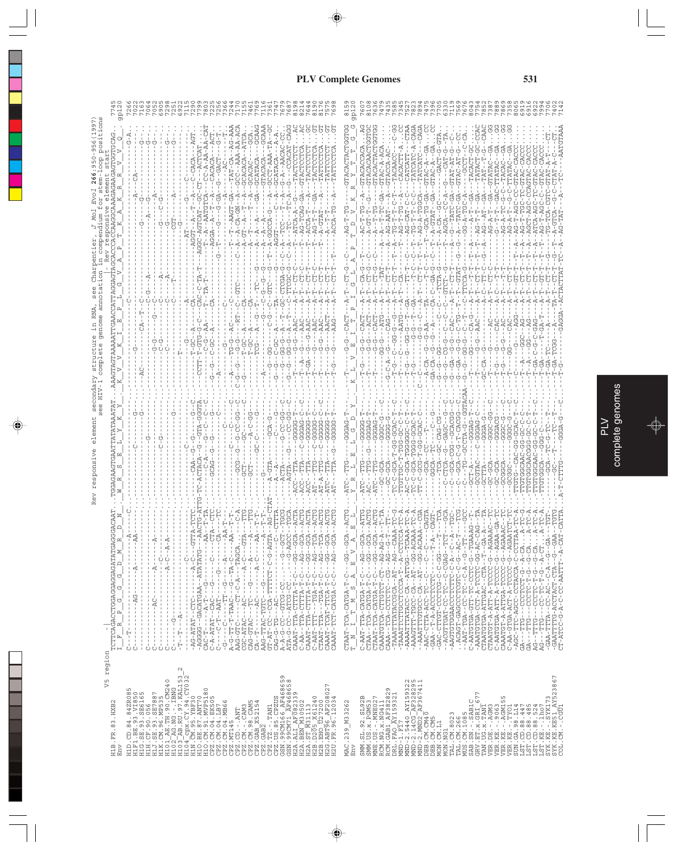|    | ă        |
|----|----------|
|    | ī        |
|    |          |
|    |          |
|    |          |
|    |          |
| ׇ֠ | nennm    |
|    |          |
|    | Ģ        |
|    | <u>ر</u> |
|    |          |
|    |          |
|    | j        |
|    | č<br>J   |
|    |          |
|    |          |

 $\overline{\Omega}$ 

| V5 region<br>3. HXB2<br>H1B.FR.8<br>Env                                                                                                                                                                                                                                                                                                                                                      | TCTTCAGACCTGGAGGAGATATGAGG<br>I F R P G G D M R<br>$\mathrel{\mathop{\scriptstyle\mathsf{H}}\nolimits}$                                                                                                                                                                                                                                                                                                                                                                                     | GGAGAAGT<br>U |     |  |
|----------------------------------------------------------------------------------------------------------------------------------------------------------------------------------------------------------------------------------------------------------------------------------------------------------------------------------------------------------------------------------------------|---------------------------------------------------------------------------------------------------------------------------------------------------------------------------------------------------------------------------------------------------------------------------------------------------------------------------------------------------------------------------------------------------------------------------------------------------------------------------------------------|---------------|-----|--|
|                                                                                                                                                                                                                                                                                                                                                                                              | $- - A$<br>$-1$<br>U                                                                                                                                                                                                                                                                                                                                                                                                                                                                        |               |     |  |
|                                                                                                                                                                                                                                                                                                                                                                                              | $-PA$<br>$---A--$<br>$\mathsf I$<br>$-7AC -$<br>$\mathsf I$<br>$\,$ I<br>$\mathbf{I}$<br>U                                                                                                                                                                                                                                                                                                                                                                                                  |               |     |  |
|                                                                                                                                                                                                                                                                                                                                                                                              | $\frac{1}{1}$<br>$\frac{1}{1}$<br>٠<br>J.<br>1<br>$\mathbf{I}$<br>t<br>$\mathbf{I}$<br>$\mathsf I$<br>ı<br>$\frac{1}{1}$<br>$\frac{1}{1}$<br>٠<br>U                                                                                                                                                                                                                                                                                                                                         |               |     |  |
|                                                                                                                                                                                                                                                                                                                                                                                              | $---A-$<br>-------<br>--UR---------<br>U                                                                                                                                                                                                                                                                                                                                                                                                                                                    |               |     |  |
|                                                                                                                                                                                                                                                                                                                                                                                              | $\frac{1}{1}$<br>U<br>-------<br>$\mathbf{I}$<br>$\mathfrak l$<br>J.<br>$\mathbf{I}$<br>$\frac{1}{4}$<br>ŧ<br>U                                                                                                                                                                                                                                                                                                                                                                             |               |     |  |
|                                                                                                                                                                                                                                                                                                                                                                                              | $\mathbf I$<br>ı<br>$\,$ I<br>$\mathbf{I}$<br>$\mathsf I$<br>$\mathbf{I}$<br>İ<br>$\frac{1}{1}$<br>U<br>U                                                                                                                                                                                                                                                                                                                                                                                   |               |     |  |
| $\sim$                                                                                                                                                                                                                                                                                                                                                                                       | $\frac{1}{1}$<br>$\mathbf{T}=-\mathbf{T}=-\mathbf{A}=-$                                                                                                                                                                                                                                                                                                                                                                                                                                     |               |     |  |
|                                                                                                                                                                                                                                                                                                                                                                                              | $- -C - -$<br>$\,$<br>J.<br>$\mathbf{I}$<br>$\mathbf{I}$<br>$\frac{1}{1}$<br>$\frac{1}{1}$<br>$\begin{array}{c} \hline \end{array}$<br>J.                                                                                                                                                                                                                                                                                                                                                   |               |     |  |
|                                                                                                                                                                                                                                                                                                                                                                                              | AGGGG--GACATGAA--ATATATG---A<br>----0TT<br>$---A-1$<br>AG-ATAT--CTC                                                                                                                                                                                                                                                                                                                                                                                                                         |               |     |  |
|                                                                                                                                                                                                                                                                                                                                                                                              | $- - - - A$<br>Ť.<br>$\frac{1}{4}$<br>------------<br>$CAC-T-$                                                                                                                                                                                                                                                                                                                                                                                                                              |               |     |  |
|                                                                                                                                                                                                                                                                                                                                                                                              | $-1 - 5 - 1 - 1$<br>ţ<br>$\ddot{\circ}$<br>$- A - A T A T - C A C$<br>U                                                                                                                                                                                                                                                                                                                                                                                                                     |               |     |  |
|                                                                                                                                                                                                                                                                                                                                                                                              | $---CA$<br>U                                                                                                                                                                                                                                                                                                                                                                                                                                                                                |               |     |  |
|                                                                                                                                                                                                                                                                                                                                                                                              | $- -A - - - - -A$<br>$--TTA-C$<br>ŧ<br>$-6 - TT - T - TAAC$                                                                                                                                                                                                                                                                                                                                                                                                                                 |               |     |  |
|                                                                                                                                                                                                                                                                                                                                                                                              | A-G-TT-T-TAA-----<br>AAG-GTC-----CT-C-A---TAGCA<br>--------------------------GTA                                                                                                                                                                                                                                                                                                                                                                                                            |               |     |  |
|                                                                                                                                                                                                                                                                                                                                                                                              |                                                                                                                                                                                                                                                                                                                                                                                                                                                                                             |               |     |  |
|                                                                                                                                                                                                                                                                                                                                                                                              | $- - - - - -$<br>$----AA$<br>CAG-GTAC---DH---DATO-DA<br>$- - - - - -$<br>CA---------------                                                                                                                                                                                                                                                                                                                                                                                                  |               |     |  |
|                                                                                                                                                                                                                                                                                                                                                                                              | $-4$<br>AAG-TTAC-TGTC--G-                                                                                                                                                                                                                                                                                                                                                                                                                                                                   |               |     |  |
|                                                                                                                                                                                                                                                                                                                                                                                              |                                                                                                                                                                                                                                                                                                                                                                                                                                                                                             |               |     |  |
|                                                                                                                                                                                                                                                                                                                                                                                              |                                                                                                                                                                                                                                                                                                                                                                                                                                                                                             |               |     |  |
|                                                                                                                                                                                                                                                                                                                                                                                              |                                                                                                                                                                                                                                                                                                                                                                                                                                                                                             |               |     |  |
|                                                                                                                                                                                                                                                                                                                                                                                              |                                                                                                                                                                                                                                                                                                                                                                                                                                                                                             |               |     |  |
|                                                                                                                                                                                                                                                                                                                                                                                              |                                                                                                                                                                                                                                                                                                                                                                                                                                                                                             |               |     |  |
|                                                                                                                                                                                                                                                                                                                                                                                              |                                                                                                                                                                                                                                                                                                                                                                                                                                                                                             |               |     |  |
|                                                                                                                                                                                                                                                                                                                                                                                              |                                                                                                                                                                                                                                                                                                                                                                                                                                                                                             |               |     |  |
|                                                                                                                                                                                                                                                                                                                                                                                              | $\begin{array}{l} \texttt{GT-AT-CC--CTOA-TTTTTCT--C--G-AGTA--}\\ \texttt{GRA-G-TOC--TCO--TCO--TTTTTCT--C--G-AGTA--}\\ \texttt{ATA-G-TO-C--ATO-CC}:\hspace*{1.0cm} \texttt{CTT}-\texttt{CT-CT}-\texttt{CT-CTO--C} \\ \texttt{GPAR-TTP-CTTTA-TC--GG--GG-A} \\ \texttt{GPAR-TTP-CTTTA-TTTA--C-TT-CT-C}-\texttt{GG--GG-A--}\\ \texttt{GPAR-TTP-CTTTA-TCTB-A-C--GG--GG-A--}\\ \texttt{GPAR-TTP-CTTTA-TT-CT-AG--T$                                                                                |               | ひ   |  |
|                                                                                                                                                                                                                                                                                                                                                                                              | $-4G - -GCA$<br>ပု<br>CAAAT-TCT-CATGA-C                                                                                                                                                                                                                                                                                                                                                                                                                                                     |               |     |  |
|                                                                                                                                                                                                                                                                                                                                                                                              |                                                                                                                                                                                                                                                                                                                                                                                                                                                                                             |               |     |  |
| MAC.239 M33262                                                                                                                                                                                                                                                                                                                                                                               | $-GCA$<br>-9<br>Ť<br>CTAAT-TCA-CATGA-T-C                                                                                                                                                                                                                                                                                                                                                                                                                                                    |               |     |  |
| Env                                                                                                                                                                                                                                                                                                                                                                                          | $\mathbb{A}$<br>$\mathord{\vartriangleright}^!$<br>$[ \underline{1} ]$<br>Ą<br>CΩ<br>$\geq$<br>$\overline{a}$<br>H<br>$\square$                                                                                                                                                                                                                                                                                                                                                             |               |     |  |
|                                                                                                                                                                                                                                                                                                                                                                                              | $-496 - 96$<br>$-AAT-TTA-CATGA-TT-C-C$<br>O                                                                                                                                                                                                                                                                                                                                                                                                                                                 |               |     |  |
| SMM.SL.92.SL92B<br>SMM.US.x.PGM53<br>MNE.US.-.MNE027                                                                                                                                                                                                                                                                                                                                         | $1 - -199 - -1999 - -1999$<br>Y<br>CTAA--TCA-CATGA-T                                                                                                                                                                                                                                                                                                                                                                                                                                        |               |     |  |
|                                                                                                                                                                                                                                                                                                                                                                                              | CAAATGTCA-CTTGTCT-CT-AG-AG-A<br>CTAAT-TCA-CATGA-T-C                                                                                                                                                                                                                                                                                                                                                                                                                                         |               |     |  |
| $\sigma$<br>RCM.NG.X.NG411                                                                                                                                                                                                                                                                                                                                                                   |                                                                                                                                                                                                                                                                                                                                                                                                                                                                                             |               |     |  |
| RCM.GAB1 AF38282<br>DRL.FAO AY159321                                                                                                                                                                                                                                                                                                                                                         | $\begin{array}{lll} \texttt{CAAA}--\texttt{TCA}-\texttt{CCTCT}--\texttt{CG}--\texttt{AG}--\texttt{G}-\texttt{T} \\ -\texttt{TAAATTTATACCCCA}--\texttt{AT}--\texttt{AG}--\texttt{G}-\texttt{CAA} \end{array}$                                                                                                                                                                                                                                                                                |               |     |  |
| $MID - 1 . F\overline{17}$                                                                                                                                                                                                                                                                                                                                                                   | -TAAATTCTTGCCCCA-T-A-CCTCC                                                                                                                                                                                                                                                                                                                                                                                                                                                                  |               |     |  |
|                                                                                                                                                                                                                                                                                                                                                                                              | - AAAATTTATACC- CA - - ATTGG - - TCAA<br>- AAAGTTT - TGCC - CA - - AT - - GG - ACAA                                                                                                                                                                                                                                                                                                                                                                                                         |               |     |  |
|                                                                                                                                                                                                                                                                                                                                                                                              |                                                                                                                                                                                                                                                                                                                                                                                                                                                                                             |               |     |  |
|                                                                                                                                                                                                                                                                                                                                                                                              |                                                                                                                                                                                                                                                                                                                                                                                                                                                                                             |               |     |  |
|                                                                                                                                                                                                                                                                                                                                                                                              |                                                                                                                                                                                                                                                                                                                                                                                                                                                                                             |               |     |  |
| MND-2.5440_AY159322<br>MND-2.14CG_AF328295<br>MND-2.MND2_AF367411<br>DEB.CM.CM40<br>DEB.CM.CM40<br>MON.CM.L1                                                                                                                                                                                                                                                                                 |                                                                                                                                                                                                                                                                                                                                                                                                                                                                                             |               |     |  |
| ION.NG1                                                                                                                                                                                                                                                                                                                                                                                      | $\begin{array}{l} -\lambda\lambda\lambda\text{Tr} \text{Tr} \text{Gr} \text{G}\text{G} - \text{C}\lambda - \lambda\text{C}^2 + \lambda\text{C}^2 + \lambda\text{G} \text{G} + \lambda\text{G} \text{G} \lambda\lambda \\ -\lambda\lambda\text{C} - \text{CT} \text{Tr}\lambda + \lambda\text{C}\text{C} - \text{TC} - \text{C} - \text{C} - \text{C} - \text{C} \\ -\text{G}\lambda\text{A} - \text{T} - \text{A} + \lambda\text{C}\text{C}\text{CT}\text{G} \text{CT} \text{C} - \text{C}$ |               |     |  |
|                                                                                                                                                                                                                                                                                                                                                                                              |                                                                                                                                                                                                                                                                                                                                                                                                                                                                                             |               |     |  |
|                                                                                                                                                                                                                                                                                                                                                                                              |                                                                                                                                                                                                                                                                                                                                                                                                                                                                                             |               |     |  |
|                                                                                                                                                                                                                                                                                                                                                                                              | $\begin{array}{rl} -\texttt{AAGTOTGGAACCTCTTC-C-A--C--A--}\\ \texttt{-AAGTOTGGAACCTCTCT-C-A--C--A--}\\ --\texttt{AAT-TGA--CSCCTCTC-C-A--C--TT--}\\ --\texttt{AAT-TGA--C-C--C--C--}+2-\texttt{C-TCA--}\\ -\texttt{AATCTGA--CCT-A--CCTC--G--A--}+2-\texttt{C-CA-G--}+2-\texttt{A--}+2-\texttt{A--}+2-\texttt{A--}+2-\texttt{A--}+2-\texttt{A--}+2-\texttt{A--}+2-\texttt{A--}+2-\texttt{A--}+2-\texttt{A--$                                                                                   |               |     |  |
|                                                                                                                                                                                                                                                                                                                                                                                              |                                                                                                                                                                                                                                                                                                                                                                                                                                                                                             |               | ひ   |  |
|                                                                                                                                                                                                                                                                                                                                                                                              |                                                                                                                                                                                                                                                                                                                                                                                                                                                                                             |               |     |  |
|                                                                                                                                                                                                                                                                                                                                                                                              |                                                                                                                                                                                                                                                                                                                                                                                                                                                                                             |               | G-A |  |
|                                                                                                                                                                                                                                                                                                                                                                                              |                                                                                                                                                                                                                                                                                                                                                                                                                                                                                             |               |     |  |
|                                                                                                                                                                                                                                                                                                                                                                                              | כהאמינים - אייבר - אייבר - אפלי - האמינים - - אפלי - אפלי - אייבר - אפלי - האמינים - - אפלי - האמינים - - האמי<br>כ- - אמינים - - אייבר - אייבר - - האמינים - - האמינים - - - האמינים - - - אמינים - - - אמינים - - - האמינים -<br>                                                                                                                                                                                                                                                         |               |     |  |
|                                                                                                                                                                                                                                                                                                                                                                                              |                                                                                                                                                                                                                                                                                                                                                                                                                                                                                             |               |     |  |
|                                                                                                                                                                                                                                                                                                                                                                                              | $-2A-CA$<br>GA---THO----DH----                                                                                                                                                                                                                                                                                                                                                                                                                                                              |               |     |  |
|                                                                                                                                                                                                                                                                                                                                                                                              | $- -G - CA \ldots$                                                                                                                                                                                                                                                                                                                                                                                                                                                                          |               |     |  |
|                                                                                                                                                                                                                                                                                                                                                                                              | $3 - -G - CA$<br>GA - - - TTG - - - CCCTC - T - G<br>AG - - TTTG - - - CCCTC - T - G<br>AG - - - TTG - - - CC - TC - T - G                                                                                                                                                                                                                                                                                                                                                                  |               |     |  |
|                                                                                                                                                                                                                                                                                                                                                                                              |                                                                                                                                                                                                                                                                                                                                                                                                                                                                                             |               |     |  |
| $\begin{tabular}{l} \hline \text{PA}^{\text{11}}, \text{CW}, 18023 \\ \text{TAU}, 266 \\ \text{SAU}, 266 \\ \text{SAU}, 1265 \\ \text{SAU}, 1265 \\ \text{SAU}, 1265 \\ \text{VAU}, 1265 \\ \text{VAU}, 1265 \\ \text{VAU}, 1265 \\ \text{VAU}, 1265 \\ \text{VAU}, 1265 \\ \text{VAU}, 1265 \\ \text{VAU}, 1265 \\ \text{VAU}, 1265 \\ \text{VAU}, 1265 \\ \text{VAU}, 1265 \\ \text{VAU},$ | $\begin{array}{lll} -\texttt{GAA}+\texttt{TTITA}-\texttt{CC}-\texttt{AC}-\texttt{C}+\texttt{A}-\texttt{G}-\texttt{G}+\texttt{A}+\\ -\texttt{GAA}+\texttt{TTITT}+\texttt{C}-\texttt{C}-\texttt{AC}-\texttt{C}+\texttt{A}-\texttt{G}-\texttt{G}-\texttt{G}+\\ -\texttt{GAA}+\texttt{TTITT}-\texttt{A}\texttt{CC}\texttt{T}\texttt{AC}-\texttt{C}\texttt{C}-\texttt{A}\texttt{ATITT}-\texttt{A}-\texttt{C}\texttt{A}\texttt{T} \end{array$                                                     |               |     |  |
|                                                                                                                                                                                                                                                                                                                                                                                              |                                                                                                                                                                                                                                                                                                                                                                                                                                                                                             |               |     |  |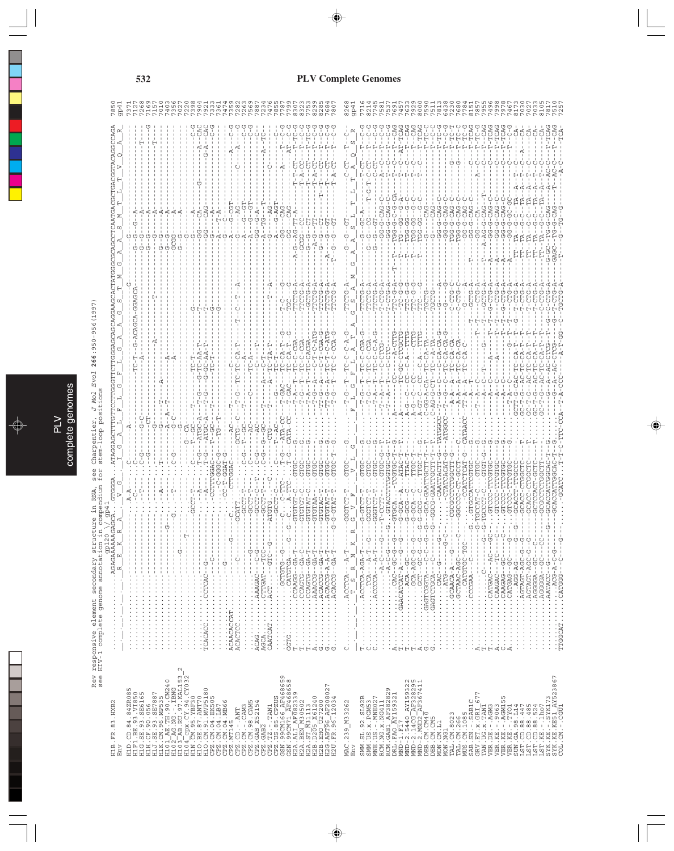Rev responsive element secondary structure in RNA, see Charpentier, J Mol Evol 266:950-956(1997)<br>see HIV-1 complete genome annotation in compendium for stem-loop positions Rev responsive element secondary structure in RNA, see Charpentier, J Mol Evol **266**:950-956(1997)

see HIV-1 complete genome annotation in compendium for stem-loop positions

|                                                                                                                                                                                                                                                                                                                     |                                                                                                                                                                                                                                                                        |   |                                                                                                                                                   |               |                                                                                                                                                                                                                                                                                                                     |                                                                                                                                                                                                                                                                                                                     |                                                                                                                                                                                                                                                                                                                     |               |          |              |                                |                                                                                                                                                                                                                                                                                                                     |                |            |          |                    |                     |  |    |  |               |   |                                                           |                |                     |                                                           |                                                                          |                           |                                                                                                                       |               |                |     |                                 |   |        |                 |                                                                                                                                                                                                                                                                                                                                                                                                                                         |  |                                                                                                                                |  |  |                  |                    |                      |                       |               |          |                |               |   |            |                         | 9999   9999       |                       |                                                                                                                                                                                     |               |               |              |         |                                         |                   |
|---------------------------------------------------------------------------------------------------------------------------------------------------------------------------------------------------------------------------------------------------------------------------------------------------------------------|------------------------------------------------------------------------------------------------------------------------------------------------------------------------------------------------------------------------------------------------------------------------|---|---------------------------------------------------------------------------------------------------------------------------------------------------|---------------|---------------------------------------------------------------------------------------------------------------------------------------------------------------------------------------------------------------------------------------------------------------------------------------------------------------------|---------------------------------------------------------------------------------------------------------------------------------------------------------------------------------------------------------------------------------------------------------------------------------------------------------------------|---------------------------------------------------------------------------------------------------------------------------------------------------------------------------------------------------------------------------------------------------------------------------------------------------------------------|---------------|----------|--------------|--------------------------------|---------------------------------------------------------------------------------------------------------------------------------------------------------------------------------------------------------------------------------------------------------------------------------------------------------------------|----------------|------------|----------|--------------------|---------------------|--|----|--|---------------|---|-----------------------------------------------------------|----------------|---------------------|-----------------------------------------------------------|--------------------------------------------------------------------------|---------------------------|-----------------------------------------------------------------------------------------------------------------------|---------------|----------------|-----|---------------------------------|---|--------|-----------------|-----------------------------------------------------------------------------------------------------------------------------------------------------------------------------------------------------------------------------------------------------------------------------------------------------------------------------------------------------------------------------------------------------------------------------------------|--|--------------------------------------------------------------------------------------------------------------------------------|--|--|------------------|--------------------|----------------------|-----------------------|---------------|----------|----------------|---------------|---|------------|-------------------------|-------------------|-----------------------|-------------------------------------------------------------------------------------------------------------------------------------------------------------------------------------|---------------|---------------|--------------|---------|-----------------------------------------|-------------------|
|                                                                                                                                                                                                                                                                                                                     |                                                                                                                                                                                                                                                                        |   |                                                                                                                                                   |               |                                                                                                                                                                                                                                                                                                                     |                                                                                                                                                                                                                                                                                                                     |                                                                                                                                                                                                                                                                                                                     |               |          |              |                                |                                                                                                                                                                                                                                                                                                                     |                |            |          |                    |                     |  |    |  |               |   |                                                           |                |                     |                                                           |                                                                          |                           |                                                                                                                       |               |                |     |                                 |   |        |                 |                                                                                                                                                                                                                                                                                                                                                                                                                                         |  |                                                                                                                                |  |  |                  |                    |                      |                       |               |          |                |               |   |            |                         |                   |                       |                                                                                                                                                                                     |               |               |              |         |                                         |                   |
|                                                                                                                                                                                                                                                                                                                     |                                                                                                                                                                                                                                                                        |   |                                                                                                                                                   |               |                                                                                                                                                                                                                                                                                                                     |                                                                                                                                                                                                                                                                                                                     |                                                                                                                                                                                                                                                                                                                     |               |          |              |                                |                                                                                                                                                                                                                                                                                                                     |                |            |          |                    |                     |  |    |  |               |   |                                                           |                |                     |                                                           |                                                                          |                           |                                                                                                                       |               |                |     |                                 |   |        |                 |                                                                                                                                                                                                                                                                                                                                                                                                                                         |  |                                                                                                                                |  |  |                  |                    |                      |                       |               |          |                |               |   |            |                         |                   |                       |                                                                                                                                                                                     |               |               |              |         |                                         |                   |
|                                                                                                                                                                                                                                                                                                                     |                                                                                                                                                                                                                                                                        |   |                                                                                                                                                   |               |                                                                                                                                                                                                                                                                                                                     |                                                                                                                                                                                                                                                                                                                     |                                                                                                                                                                                                                                                                                                                     |               |          |              |                                |                                                                                                                                                                                                                                                                                                                     |                |            |          |                    |                     |  |    |  |               |   |                                                           |                |                     |                                                           |                                                                          |                           |                                                                                                                       |               |                |     |                                 |   |        |                 |                                                                                                                                                                                                                                                                                                                                                                                                                                         |  |                                                                                                                                |  |  |                  |                    |                      |                       |               |          |                |               |   |            |                         |                   |                       |                                                                                                                                                                                     |               |               |              |         |                                         |                   |
|                                                                                                                                                                                                                                                                                                                     |                                                                                                                                                                                                                                                                        |   |                                                                                                                                                   |               |                                                                                                                                                                                                                                                                                                                     |                                                                                                                                                                                                                                                                                                                     |                                                                                                                                                                                                                                                                                                                     |               |          |              |                                |                                                                                                                                                                                                                                                                                                                     |                |            |          |                    |                     |  |    |  |               |   |                                                           |                |                     |                                                           |                                                                          |                           |                                                                                                                       |               |                |     |                                 |   |        |                 |                                                                                                                                                                                                                                                                                                                                                                                                                                         |  |                                                                                                                                |  |  |                  |                    |                      |                       |               |          |                |               |   |            |                         |                   |                       |                                                                                                                                                                                     |               |               |              |         |                                         |                   |
|                                                                                                                                                                                                                                                                                                                     |                                                                                                                                                                                                                                                                        |   |                                                                                                                                                   |               |                                                                                                                                                                                                                                                                                                                     |                                                                                                                                                                                                                                                                                                                     |                                                                                                                                                                                                                                                                                                                     |               |          |              |                                |                                                                                                                                                                                                                                                                                                                     |                |            |          |                    |                     |  |    |  |               |   |                                                           |                |                     |                                                           |                                                                          |                           |                                                                                                                       |               |                |     |                                 |   |        |                 |                                                                                                                                                                                                                                                                                                                                                                                                                                         |  |                                                                                                                                |  |  |                  |                    |                      |                       |               |          |                |               |   |            |                         |                   |                       |                                                                                                                                                                                     |               |               |              |         |                                         |                   |
|                                                                                                                                                                                                                                                                                                                     |                                                                                                                                                                                                                                                                        |   |                                                                                                                                                   |               |                                                                                                                                                                                                                                                                                                                     |                                                                                                                                                                                                                                                                                                                     |                                                                                                                                                                                                                                                                                                                     |               |          |              |                                |                                                                                                                                                                                                                                                                                                                     |                |            |          |                    |                     |  |    |  |               |   |                                                           |                |                     |                                                           |                                                                          |                           |                                                                                                                       |               |                |     |                                 |   |        |                 |                                                                                                                                                                                                                                                                                                                                                                                                                                         |  |                                                                                                                                |  |  |                  |                    |                      |                       |               |          |                |               |   |            |                         |                   |                       |                                                                                                                                                                                     |               |               |              |         |                                         |                   |
|                                                                                                                                                                                                                                                                                                                     |                                                                                                                                                                                                                                                                        |   |                                                                                                                                                   |               |                                                                                                                                                                                                                                                                                                                     |                                                                                                                                                                                                                                                                                                                     |                                                                                                                                                                                                                                                                                                                     |               |          |              |                                |                                                                                                                                                                                                                                                                                                                     |                |            |          |                    |                     |  |    |  |               |   |                                                           |                |                     |                                                           |                                                                          |                           |                                                                                                                       |               |                |     |                                 |   |        |                 |                                                                                                                                                                                                                                                                                                                                                                                                                                         |  |                                                                                                                                |  |  |                  |                    |                      |                       |               |          |                |               |   |            |                         |                   |                       |                                                                                                                                                                                     |               |               |              |         |                                         |                   |
|                                                                                                                                                                                                                                                                                                                     |                                                                                                                                                                                                                                                                        |   |                                                                                                                                                   |               |                                                                                                                                                                                                                                                                                                                     |                                                                                                                                                                                                                                                                                                                     |                                                                                                                                                                                                                                                                                                                     |               |          |              |                                |                                                                                                                                                                                                                                                                                                                     |                |            |          |                    |                     |  |    |  |               |   |                                                           |                |                     |                                                           |                                                                          |                           |                                                                                                                       |               |                |     |                                 |   |        |                 |                                                                                                                                                                                                                                                                                                                                                                                                                                         |  |                                                                                                                                |  |  |                  |                    |                      |                       |               |          |                |               |   |            |                         |                   |                       |                                                                                                                                                                                     |               |               |              |         |                                         |                   |
|                                                                                                                                                                                                                                                                                                                     |                                                                                                                                                                                                                                                                        |   |                                                                                                                                                   |               |                                                                                                                                                                                                                                                                                                                     |                                                                                                                                                                                                                                                                                                                     |                                                                                                                                                                                                                                                                                                                     |               |          |              |                                |                                                                                                                                                                                                                                                                                                                     |                |            |          |                    |                     |  |    |  |               |   |                                                           |                |                     |                                                           |                                                                          |                           |                                                                                                                       |               |                |     |                                 |   |        |                 |                                                                                                                                                                                                                                                                                                                                                                                                                                         |  |                                                                                                                                |  |  |                  |                    |                      |                       |               |          |                |               |   |            |                         |                   |                       |                                                                                                                                                                                     |               |               |              |         |                                         |                   |
|                                                                                                                                                                                                                                                                                                                     |                                                                                                                                                                                                                                                                        |   |                                                                                                                                                   |               |                                                                                                                                                                                                                                                                                                                     |                                                                                                                                                                                                                                                                                                                     |                                                                                                                                                                                                                                                                                                                     |               |          |              |                                |                                                                                                                                                                                                                                                                                                                     |                |            |          |                    |                     |  |    |  |               |   |                                                           |                |                     |                                                           |                                                                          |                           |                                                                                                                       |               |                |     |                                 |   |        |                 |                                                                                                                                                                                                                                                                                                                                                                                                                                         |  |                                                                                                                                |  |  |                  |                    |                      |                       |               |          |                |               |   |            |                         |                   |                       |                                                                                                                                                                                     |               |               |              |         |                                         |                   |
|                                                                                                                                                                                                                                                                                                                     |                                                                                                                                                                                                                                                                        |   |                                                                                                                                                   |               |                                                                                                                                                                                                                                                                                                                     |                                                                                                                                                                                                                                                                                                                     |                                                                                                                                                                                                                                                                                                                     |               |          |              |                                |                                                                                                                                                                                                                                                                                                                     |                |            |          |                    |                     |  |    |  |               |   |                                                           |                |                     |                                                           |                                                                          |                           |                                                                                                                       |               |                |     |                                 |   |        |                 |                                                                                                                                                                                                                                                                                                                                                                                                                                         |  |                                                                                                                                |  |  |                  |                    |                      |                       |               |          |                |               |   |            |                         |                   |                       |                                                                                                                                                                                     |               |               |              |         |                                         |                   |
|                                                                                                                                                                                                                                                                                                                     |                                                                                                                                                                                                                                                                        |   |                                                                                                                                                   |               |                                                                                                                                                                                                                                                                                                                     |                                                                                                                                                                                                                                                                                                                     |                                                                                                                                                                                                                                                                                                                     |               |          |              |                                |                                                                                                                                                                                                                                                                                                                     |                |            |          |                    |                     |  |    |  |               |   |                                                           |                |                     |                                                           |                                                                          |                           |                                                                                                                       |               |                |     |                                 |   |        |                 |                                                                                                                                                                                                                                                                                                                                                                                                                                         |  |                                                                                                                                |  |  |                  |                    |                      |                       |               |          |                |               |   |            |                         |                   |                       |                                                                                                                                                                                     |               |               |              |         |                                         |                   |
|                                                                                                                                                                                                                                                                                                                     |                                                                                                                                                                                                                                                                        |   |                                                                                                                                                   |               |                                                                                                                                                                                                                                                                                                                     |                                                                                                                                                                                                                                                                                                                     |                                                                                                                                                                                                                                                                                                                     |               |          |              |                                |                                                                                                                                                                                                                                                                                                                     |                |            |          |                    |                     |  |    |  |               |   |                                                           |                |                     |                                                           |                                                                          |                           |                                                                                                                       |               |                |     |                                 |   |        |                 |                                                                                                                                                                                                                                                                                                                                                                                                                                         |  |                                                                                                                                |  |  |                  |                    |                      |                       |               |          |                |               |   |            |                         |                   |                       |                                                                                                                                                                                     |               |               |              |         |                                         |                   |
|                                                                                                                                                                                                                                                                                                                     |                                                                                                                                                                                                                                                                        |   |                                                                                                                                                   |               |                                                                                                                                                                                                                                                                                                                     |                                                                                                                                                                                                                                                                                                                     |                                                                                                                                                                                                                                                                                                                     |               |          |              |                                |                                                                                                                                                                                                                                                                                                                     |                |            |          |                    |                     |  |    |  |               |   |                                                           |                |                     |                                                           | л,                                                                       | ш                         |                                                                                                                       |               |                | ∼   |                                 |   |        |                 |                                                                                                                                                                                                                                                                                                                                                                                                                                         |  |                                                                                                                                |  |  |                  |                    |                      |                       |               |          |                |               |   |            |                         |                   |                       |                                                                                                                                                                                     |               |               |              |         |                                         |                   |
|                                                                                                                                                                                                                                                                                                                     |                                                                                                                                                                                                                                                                        |   | I<br>$\frac{1}{1}$                                                                                                                                | $\frac{1}{1}$ |                                                                                                                                                                                                                                                                                                                     |                                                                                                                                                                                                                                                                                                                     | $\,$ I                                                                                                                                                                                                                                                                                                              |               | ı        | I            | $\frac{1}{1}$<br>$\frac{1}{2}$ |                                                                                                                                                                                                                                                                                                                     |                | $\,$       |          |                    | $-1$ $-1$ $-1$ $-1$ |  | J, |  |               |   |                                                           |                | $-45 - T$           |                                                           |                                                                          |                           | $-6A - T$                                                                                                             |               |                |     |                                 |   |        |                 |                                                                                                                                                                                                                                                                                                                                                                                                                                         |  |                                                                                                                                |  |  |                  | $\frac{1}{1}$<br>ı |                      |                       |               |          |                |               | í | $---AC---$ |                         |                   |                       |                                                                                                                                                                                     |               |               |              |         |                                         |                   |
| $\mathbf{I}$<br>$\vdots$                                                                                                                                                                                                                                                                                            | $\frac{1}{1}$                                                                                                                                                                                                                                                          |   | $\frac{1}{2}$                                                                                                                                     | $\frac{1}{4}$ | $\frac{1}{2}$ $\frac{1}{2}$ $\frac{1}{2}$ $\frac{1}{2}$ $\frac{1}{2}$ $\frac{1}{2}$ $\frac{1}{2}$ $\frac{1}{2}$ $\frac{1}{2}$ $\frac{1}{2}$ $\frac{1}{2}$ $\frac{1}{2}$ $\frac{1}{2}$ $\frac{1}{2}$ $\frac{1}{2}$ $\frac{1}{2}$ $\frac{1}{2}$ $\frac{1}{2}$ $\frac{1}{2}$ $\frac{1}{2}$ $\frac{1}{2}$ $\frac{1}{2}$ | $-1$<br>$\frac{1}{2}$                                                                                                                                                                                                                                                                                               |                                                                                                                                                                                                                                                                                                                     | $\frac{1}{2}$ |          | Î            |                                |                                                                                                                                                                                                                                                                                                                     |                |            | $-1$     | ÷<br>$\vdots$      |                     |  |    |  |               |   |                                                           |                |                     | T-ABACCG--GA-T                                            | $\ldots$ ACACC--500 $\ldots$                                             | $\therefore$ ACACCG-A-A-T |                                                                                                                       |               |                |     | $-1 - 20R - 20R - 30R - 3R - 5$ |   |        | $\cdots \cdots$ |                                                                                                                                                                                                                                                                                                                                                                                                                                         |  | ) - - UU - - KU<br>1                                                                                                           |  |  | --D--JdJ・・・・・・・・ | $\frac{1}{1}$      |                      | $\cdots$ CCLAAC-AGC-- |               |          |                | $\frac{1}{2}$ |   |            | $\ldots$ CAAGAC---TC--- | $CAAGAG - GC - -$ | $\ldots$ CATGAG--GC-- | $\cdots$ $\cdots$ $\cdots$ $\cdots$ $\cdots$ $\cdots$ $\cdots$ $\cdots$ $\cdots$ $\cdots$ $\cdots$ $\cdots$ $\cdots$ $\cdots$ $\cdots$ $\cdots$ $\cdots$ $\cdots$ $\cdots$ $\cdots$ | AGTAGT-AGC-G- | $$ AGGGA--GC- | --VV--KUUUUK |         |                                         |                   |
| $\vdots$                                                                                                                                                                                                                                                                                                            | .                                                                                                                                                                                                                                                                      |   |                                                                                                                                                   |               |                                                                                                                                                                                                                                                                                                                     |                                                                                                                                                                                                                                                                                                                     |                                                                                                                                                                                                                                                                                                                     |               |          | CACACCCCTCAC |                                |                                                                                                                                                                                                                                                                                                                     | $\ddot{\cdot}$ | $\vdots$   |          | $\cdot$<br>$\cdot$ |                     |  |    |  |               |   |                                                           |                | CCAGTG              |                                                           |                                                                          |                           | ACACCG<br>$\ddot{\cdot}$                                                                                              |               |                |     |                                 |   |        | $\vdots$        |                                                                                                                                                                                                                                                                                                                                                                                                                                         |  |                                                                                                                                |  |  |                  | <b>DEA</b>         |                      |                       |               |          |                | $\vdots$      |   |            |                         | ŧ                 |                       |                                                                                                                                                                                     |               |               |              | $\cdot$ | $\vdots$                                |                   |
| $\frac{1}{2}$ $\frac{1}{2}$ $\frac{1}{2}$ $\frac{1}{2}$ $\frac{1}{2}$ $\frac{1}{2}$ $\frac{1}{2}$ $\frac{1}{2}$ $\frac{1}{2}$ $\frac{1}{2}$ $\frac{1}{2}$ $\frac{1}{2}$ $\frac{1}{2}$ $\frac{1}{2}$ $\frac{1}{2}$ $\frac{1}{2}$ $\frac{1}{2}$ $\frac{1}{2}$ $\frac{1}{2}$ $\frac{1}{2}$ $\frac{1}{2}$ $\frac{1}{2}$ |                                                                                                                                                                                                                                                                        | . | $\begin{array}{cccc}\n\vdots & \vdots & \vdots & \vdots \\ \vdots & \vdots & \vdots & \vdots \\ \vdots & \vdots & \vdots & \vdots \\ \end{array}$ |               |                                                                                                                                                                                                                                                                                                                     | $\frac{1}{2}$ $\frac{1}{2}$ $\frac{1}{2}$ $\frac{1}{2}$ $\frac{1}{2}$ $\frac{1}{2}$ $\frac{1}{2}$ $\frac{1}{2}$ $\frac{1}{2}$ $\frac{1}{2}$ $\frac{1}{2}$ $\frac{1}{2}$ $\frac{1}{2}$ $\frac{1}{2}$ $\frac{1}{2}$ $\frac{1}{2}$ $\frac{1}{2}$ $\frac{1}{2}$ $\frac{1}{2}$ $\frac{1}{2}$ $\frac{1}{2}$ $\frac{1}{2}$ | $\frac{1}{2}$ $\frac{1}{2}$ $\frac{1}{2}$ $\frac{1}{2}$ $\frac{1}{2}$ $\frac{1}{2}$ $\frac{1}{2}$ $\frac{1}{2}$ $\frac{1}{2}$ $\frac{1}{2}$ $\frac{1}{2}$ $\frac{1}{2}$ $\frac{1}{2}$ $\frac{1}{2}$ $\frac{1}{2}$ $\frac{1}{2}$ $\frac{1}{2}$ $\frac{1}{2}$ $\frac{1}{2}$ $\frac{1}{2}$ $\frac{1}{2}$ $\frac{1}{2}$ |               |          |              |                                |                                                                                                                                                                                                                                                                                                                     |                | ACAACACCAT | $\vdots$ | $\vdots$           |                     |  |    |  |               |   |                                                           |                |                     |                                                           |                                                                          |                           |                                                                                                                       |               |                |     |                                 |   |        |                 |                                                                                                                                                                                                                                                                                                                                                                                                                                         |  |                                                                                                                                |  |  |                  |                    |                      |                       |               |          |                |               |   |            |                         |                   |                       |                                                                                                                                                                                     |               |               |              |         | $\vdots$                                |                   |
|                                                                                                                                                                                                                                                                                                                     |                                                                                                                                                                                                                                                                        |   |                                                                                                                                                   |               |                                                                                                                                                                                                                                                                                                                     |                                                                                                                                                                                                                                                                                                                     |                                                                                                                                                                                                                                                                                                                     | $\frac{1}{2}$ | $\vdots$ | н            |                                | $\frac{1}{2}$ $\frac{1}{2}$ $\frac{1}{2}$ $\frac{1}{2}$ $\frac{1}{2}$ $\frac{1}{2}$ $\frac{1}{2}$ $\frac{1}{2}$ $\frac{1}{2}$ $\frac{1}{2}$ $\frac{1}{2}$ $\frac{1}{2}$ $\frac{1}{2}$ $\frac{1}{2}$ $\frac{1}{2}$ $\frac{1}{2}$ $\frac{1}{2}$ $\frac{1}{2}$ $\frac{1}{2}$ $\frac{1}{2}$ $\frac{1}{2}$ $\frac{1}{2}$ | $\frac{1}{2}$  |            | ACACTCC  | $\cdot$            |                     |  |    |  | $GGTG \ldots$ | н | $\begin{array}{c} \vdots \\ \vdots \\ \vdots \end{array}$ | $\ddot{\cdot}$ | $\frac{1}{2}$<br>HH | $\begin{array}{c} \vdots \\ \vdots \\ \vdots \end{array}$ | $\begin{array}{c} \vdots \\ \vdots \\ \vdots \\ \vdots \end{array}$<br>ひ |                           | $\frac{1}{2}$<br><b>いい</b>                                                                                            | $\frac{1}{2}$ | U              |     | $\mathbb H$                     | ↻ | $\cup$ |                 | $\begin{array}{c} \mathbf{1} \\ \mathbf{1} \\ \mathbf{1} \\ \mathbf{1} \end{array}$                                                                                                                                                                                                                                                                                                                                                     |  |                                                                                                                                |  |  |                  | $\vdots$           | $\vdots$<br>$\vdots$ |                       | $\frac{1}{2}$ | $\vdots$ | $\ddot{\cdot}$ |               |   |            |                         |                   |                       |                                                                                                                                                                                     | $\frac{1}{2}$ | $\vdots$      | $\vdots$     |         |                                         | TTGGCAT.          |
|                                                                                                                                                                                                                                                                                                                     |                                                                                                                                                                                                                                                                        |   |                                                                                                                                                   |               |                                                                                                                                                                                                                                                                                                                     | $\sim$                                                                                                                                                                                                                                                                                                              |                                                                                                                                                                                                                                                                                                                     |               |          |              |                                |                                                                                                                                                                                                                                                                                                                     |                |            |          |                    |                     |  |    |  |               |   |                                                           |                |                     |                                                           |                                                                          |                           |                                                                                                                       |               |                |     |                                 |   |        |                 |                                                                                                                                                                                                                                                                                                                                                                                                                                         |  |                                                                                                                                |  |  |                  |                    |                      |                       |               |          |                |               |   |            |                         |                   |                       |                                                                                                                                                                                     |               |               |              |         |                                         |                   |
|                                                                                                                                                                                                                                                                                                                     |                                                                                                                                                                                                                                                                        |   |                                                                                                                                                   |               |                                                                                                                                                                                                                                                                                                                     |                                                                                                                                                                                                                                                                                                                     |                                                                                                                                                                                                                                                                                                                     |               |          |              |                                |                                                                                                                                                                                                                                                                                                                     |                |            |          |                    |                     |  |    |  |               |   |                                                           |                |                     |                                                           |                                                                          | $\overline{\phantom{a}}$  |                                                                                                                       |               |                |     |                                 |   |        |                 |                                                                                                                                                                                                                                                                                                                                                                                                                                         |  |                                                                                                                                |  |  |                  |                    |                      |                       |               |          |                |               |   |            |                         |                   |                       |                                                                                                                                                                                     |               |               |              |         |                                         |                   |
|                                                                                                                                                                                                                                                                                                                     |                                                                                                                                                                                                                                                                        |   |                                                                                                                                                   |               |                                                                                                                                                                                                                                                                                                                     |                                                                                                                                                                                                                                                                                                                     |                                                                                                                                                                                                                                                                                                                     |               |          |              |                                |                                                                                                                                                                                                                                                                                                                     |                |            |          |                    |                     |  |    |  |               |   |                                                           |                |                     |                                                           |                                                                          |                           |                                                                                                                       |               |                |     |                                 |   |        |                 |                                                                                                                                                                                                                                                                                                                                                                                                                                         |  |                                                                                                                                |  |  |                  |                    |                      |                       |               |          |                |               |   |            |                         |                   |                       |                                                                                                                                                                                     |               |               |              |         |                                         | $.CG\overline{U}$ |
|                                                                                                                                                                                                                                                                                                                     | $\begin{tabular}{ll} \bf 111D. CD 184. 94.2R005\\ \bf 1113. 133.371550\\ \bf 1114. 135.93.371550\\ \bf 1115. 137. 30.565\\ \bf 1115. 139. 30.565\\ \bf 1115. 139. 30.567\\ \bf 1115. 130. 246.1R0; .71.1R01.19\\ \bf 1115. 24. 187. 190.7092\\ \bf 1115. 24. 187. 191$ |   |                                                                                                                                                   |               |                                                                                                                                                                                                                                                                                                                     |                                                                                                                                                                                                                                                                                                                     |                                                                                                                                                                                                                                                                                                                     |               |          |              |                                |                                                                                                                                                                                                                                                                                                                     |                |            |          |                    |                     |  |    |  |               |   |                                                           |                |                     |                                                           |                                                                          |                           | HDA: BEN-W30502<br>HDA: ST_M31113<br>HDA: D205_X61240<br>HDA: D205_X61240<br>HDA: RFT96_AF208027<br>HDU: FR: 96-12034 |               | MAC.239_M33262 |     |                                 |   |        |                 | $\begin{array}{l} \texttt{SMM}, \texttt{SL}, 92, \texttt{SL92B} \\ \texttt{MSE}, \texttt{US} \times \texttt{PQB02} \\ \texttt{MSE}, \texttt{US} \times \texttt{PQB02} \\ \texttt{RCM}, \texttt{NG} \times \texttt{NG411} \\ \texttt{RCM}, \texttt{GAB1}, \texttt{AFS} \texttt{82829} \\ \texttt{RCM}, \texttt{GAB1}, \texttt{AFS} \texttt{82829} \\ \texttt{MUD-1}, \texttt{PT}, \texttt{S221} \\ \texttt{MUD-1}, \texttt{PT}, \texttt$ |  | MWD-2.5440_AY159322<br>MWD-2.14CG_AF328295<br>MWD-2.14CG_AF328295<br>DEB. CM. CM40<br>DEB. CM. CM5<br>MOB. I.L1<br>MON. NG1.11 |  |  |                  |                    |                      |                       |               |          |                |               |   |            |                         |                   |                       |                                                                                                                                                                                     |               |               |              |         | SYK.KE.-.SYK173<br>SYK.KE.KE51_AY523867 | ľ<br>EN.          |
|                                                                                                                                                                                                                                                                                                                     |                                                                                                                                                                                                                                                                        |   |                                                                                                                                                   |               |                                                                                                                                                                                                                                                                                                                     |                                                                                                                                                                                                                                                                                                                     |                                                                                                                                                                                                                                                                                                                     |               |          |              |                                |                                                                                                                                                                                                                                                                                                                     |                |            |          |                    |                     |  |    |  |               |   |                                                           |                |                     |                                                           |                                                                          |                           |                                                                                                                       |               |                | Env |                                 |   |        |                 |                                                                                                                                                                                                                                                                                                                                                                                                                                         |  |                                                                                                                                |  |  |                  |                    |                      |                       |               |          |                |               |   |            |                         |                   |                       |                                                                                                                                                                                     |               |               |              |         |                                         | COL.              |
|                                                                                                                                                                                                                                                                                                                     |                                                                                                                                                                                                                                                                        |   |                                                                                                                                                   |               |                                                                                                                                                                                                                                                                                                                     |                                                                                                                                                                                                                                                                                                                     |                                                                                                                                                                                                                                                                                                                     |               |          |              |                                |                                                                                                                                                                                                                                                                                                                     |                |            |          |                    |                     |  |    |  |               |   |                                                           |                |                     |                                                           |                                                                          |                           |                                                                                                                       |               |                |     |                                 |   |        |                 |                                                                                                                                                                                                                                                                                                                                                                                                                                         |  |                                                                                                                                |  |  |                  |                    |                      |                       |               |          |                |               |   |            |                         |                   |                       |                                                                                                                                                                                     |               |               |              |         |                                         |                   |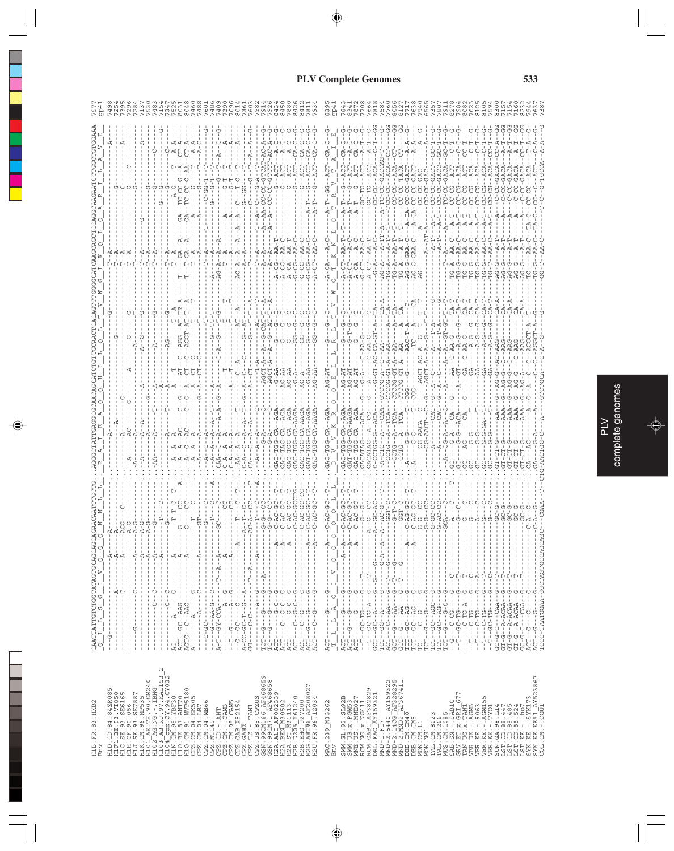| H1B.FR.83.HXB2<br>Env                                                                                                                                                                                                                                                                                                                                                                                                   |                                                                                                                                                                                             | CAATTATTGTCTGGTATAGTGCAGCAG<br>$-\frac{Q}{Q} - \frac{L}{L} - \frac{S}{S} - \frac{G}{G} - \frac{I}{L} - \frac{V}{Q} - \frac{Q}{Q}$<br>$\circ$                                |  |                  |  |  |
|-------------------------------------------------------------------------------------------------------------------------------------------------------------------------------------------------------------------------------------------------------------------------------------------------------------------------------------------------------------------------------------------------------------------------|---------------------------------------------------------------------------------------------------------------------------------------------------------------------------------------------|-----------------------------------------------------------------------------------------------------------------------------------------------------------------------------|--|------------------|--|--|
|                                                                                                                                                                                                                                                                                                                                                                                                                         | $\mathbf{I}$<br>$\mathbf{I}$<br>$\mathsf I$<br>$\frac{1}{4}$<br>$\ddot{\circ}$                                                                                                              | $- - A - -$<br>$\mathbf{I}$<br>J.<br>1<br>$\mathsf I$<br>J.<br>-                                                                                                            |  |                  |  |  |
|                                                                                                                                                                                                                                                                                                                                                                                                                         | $-1 - 5$<br>$\mathbf{I}$<br>$\,$<br>$\frac{1}{4}$<br>$\,$<br>$\mathbf{I}$<br>$\mathfrak l$<br>J.<br>$\mathbf{I}$<br>$\mathbf{I}$<br>$\mathfrak l$                                           | ٠<br>$\,$ I<br>$\,$ I<br>$-4 - 1$<br>$\mathfrak l$<br>J.<br>J.<br>٠<br>$\,$ I<br>$\,$ I<br>$\blacksquare$                                                                   |  |                  |  |  |
|                                                                                                                                                                                                                                                                                                                                                                                                                         | $\mathsf I$<br>$\mathbf{I}$<br>$\mathbf{I}$<br>$\overline{1}$<br>$\overline{\phantom{a}}$<br>$\mathsf I$<br>$\overline{\phantom{a}}$<br>ł<br>$\,$ I<br>$\frac{1}{1}$<br>$\overline{1}$<br>1 | ٠<br>$\overline{\phantom{a}}$<br>$\overline{\phantom{0}}$<br>$\mathbf I$<br>$\mathbf{I}$<br>$\mathsf I$<br>$\mathsf I$<br>$\mathbf{L}$<br>$\mathbf{I}$                      |  |                  |  |  |
|                                                                                                                                                                                                                                                                                                                                                                                                                         | $\frac{1}{2}$<br>$\mathsf I$<br>$\blacksquare$<br>$\mathbf{I}$<br>$\frac{1}{1}$<br>$\frac{1}{\sqrt{2}}$<br>$\mathsf I$<br>$\blacksquare$                                                    | $\overline{\phantom{a}}$<br>÷<br>$\mathbf{I}$                                                                                                                               |  |                  |  |  |
|                                                                                                                                                                                                                                                                                                                                                                                                                         | $\mathbf{I}$<br>$\blacksquare$<br>$\mathbf{I}$<br>- 11<br>- 1<br>$\mathbf{I}$<br>J.                                                                                                         | RARA<br>$\overline{1}$<br>$\mathbf{I}$<br>$\blacksquare$                                                                                                                    |  |                  |  |  |
|                                                                                                                                                                                                                                                                                                                                                                                                                         | 1<br>J.<br>$\mathbf{I}$<br>$\mathbf{I}$<br>$\frac{1}{1}$<br>$\mathsf I$                                                                                                                     | ٠<br>Ţ<br>$\overline{\phantom{a}}$<br>J.<br>٠<br>1                                                                                                                          |  |                  |  |  |
|                                                                                                                                                                                                                                                                                                                                                                                                                         | $-1 - 1 - 1$<br>÷<br>$\,$ I<br>$\mathbf{I}$<br>J.<br>$\mathbf I$<br>$\mathfrak l$                                                                                                           | Ą<br>$\mathbf{I}$<br>f,<br>$\mathsf I$<br>L.<br>$\mathbf{I}$<br>л.                                                                                                          |  |                  |  |  |
| $\frac{1}{2}$                                                                                                                                                                                                                                                                                                                                                                                                           |                                                                                                                                                                                             | $\overline{\phantom{0}}$<br>$\mathbf{I}$                                                                                                                                    |  |                  |  |  |
|                                                                                                                                                                                                                                                                                                                                                                                                                         |                                                                                                                                                                                             | $\overline{\phantom{a}}$<br>$-1$<br>$\mathsf I$<br>$\mathbf{I}$<br>$\mathbf{I}$<br>$\,$ $\,$                                                                                |  |                  |  |  |
|                                                                                                                                                                                                                                                                                                                                                                                                                         |                                                                                                                                                                                             | - 1<br>$\mathbf{I}$<br>К<br>Ť<br>J.<br>$\mathbf{I}$<br>$\,$ I                                                                                                               |  |                  |  |  |
|                                                                                                                                                                                                                                                                                                                                                                                                                         | $-044 - -$<br>$ACTC--------$                                                                                                                                                                | $\mathbf{I}$<br>$\blacksquare$<br>К<br>Ť<br>$\,$ $\,$<br>$\mathbf{I}$<br>j.<br>$\mathsf I$                                                                                  |  |                  |  |  |
|                                                                                                                                                                                                                                                                                                                                                                                                                         | $\blacksquare$<br>$- - A - -$<br>$- - A - -$<br>$\overline{1}$                                                                                                                              | $\mathbf{I}$<br>- 1<br>A<br>Ť<br>$\mathbf{I}$<br>$\mathbf{I}$<br>$\blacksquare$<br>$\mathbb{I}$<br>$\blacksquare$<br>$\begin{array}{c} 0 & 0 \\ + & 1 \\ + & 1 \end{array}$ |  |                  |  |  |
|                                                                                                                                                                                                                                                                                                                                                                                                                         | $\,$ I<br>$-100-0-1$                                                                                                                                                                        | - 1<br>$\overline{\phantom{a}}$                                                                                                                                             |  |                  |  |  |
|                                                                                                                                                                                                                                                                                                                                                                                                                         | $- - P A - G - C$                                                                                                                                                                           | $\mathbf{I}$<br>٠<br>J.                                                                                                                                                     |  |                  |  |  |
|                                                                                                                                                                                                                                                                                                                                                                                                                         | - 410-129-12-14<br>- 420-129-12-14                                                                                                                                                          | - 11<br>$- - A$<br>$- - A$<br>÷.<br>$\mathsf I$                                                                                                                             |  |                  |  |  |
|                                                                                                                                                                                                                                                                                                                                                                                                                         |                                                                                                                                                                                             | $-4$<br>Ť<br>$\frac{1}{4}$                                                                                                                                                  |  |                  |  |  |
|                                                                                                                                                                                                                                                                                                                                                                                                                         |                                                                                                                                                                                             | $- -A - -$<br>$\frac{1}{4}$<br>ł                                                                                                                                            |  |                  |  |  |
|                                                                                                                                                                                                                                                                                                                                                                                                                         |                                                                                                                                                                                             | $- - A$<br>$\frac{1}{4}$<br>ł                                                                                                                                               |  |                  |  |  |
|                                                                                                                                                                                                                                                                                                                                                                                                                         | $\begin{array}{l} \mathbf{A} - \mathbf{C} \mathbf{C} - \mathbf{G} \mathbf{C} - \mathbf{T} - - \mathbf{A} \\ - \mathbf{C} - \mathbf{A} - \mathbf{A} \end{array}$                             | $\,$ I<br>$\overline{\phantom{a}}$<br>$\overline{\phantom{a}}$<br>$\overline{1}$<br>$\overline{\phantom{a}}$<br>$\overline{\phantom{a}}$<br>$\frac{1}{4}$                   |  |                  |  |  |
|                                                                                                                                                                                                                                                                                                                                                                                                                         |                                                                                                                                                                                             | $\mathsf{I}$<br>$\frac{1}{4}$<br>$\mathbf{I}$<br>$\mathbf{I}$<br>$\overline{1}$<br>$- - A$<br>$-1$                                                                          |  |                  |  |  |
|                                                                                                                                                                                                                                                                                                                                                                                                                         |                                                                                                                                                                                             | $\blacksquare$<br>$- - A -$<br>$\mathbf{I}$<br>ł<br>$\mathbb{I}$<br>$\frac{1}{4}$                                                                                           |  |                  |  |  |
| Ō                                                                                                                                                                                                                                                                                                                                                                                                                       |                                                                                                                                                                                             | J<br>$---A---$<br>$\frac{1}{1}$<br>$\mathsf{I}$<br>ţ                                                                                                                        |  |                  |  |  |
|                                                                                                                                                                                                                                                                                                                                                                                                                         | I,<br>÷<br>ACT.                                                                                                                                                                             | $\mathbf{I}$                                                                                                                                                                |  |                  |  |  |
|                                                                                                                                                                                                                                                                                                                                                                                                                         |                                                                                                                                                                                             | $- - - - A$<br>$\frac{1}{1}$<br>ŧ                                                                                                                                           |  |                  |  |  |
|                                                                                                                                                                                                                                                                                                                                                                                                                         |                                                                                                                                                                                             | $- - A$<br>$\mathbf{I}$<br>-<br>$\mathsf I$<br>$\frac{1}{4}$                                                                                                                |  |                  |  |  |
|                                                                                                                                                                                                                                                                                                                                                                                                                         | ACT---C-<br>ACT------<br>ACT---C-                                                                                                                                                           | $\,$ I<br>$\,$ I<br>J.<br>J.<br>J.<br>$\mathbf I$<br>Ĵ                                                                                                                      |  |                  |  |  |
|                                                                                                                                                                                                                                                                                                                                                                                                                         | <b>ACT---C</b>                                                                                                                                                                              | $\,$<br>$\sf I$<br>ŧ<br>$\overline{\phantom{a}}$<br>$\frac{1}{1}$<br>$\mathsf I$<br>$\frac{1}{4}$                                                                           |  |                  |  |  |
|                                                                                                                                                                                                                                                                                                                                                                                                                         | $\begin{array}{c} 1 \\ 0 \\ 1 \end{array}$                                                                                                                                                  | $-1$<br>$\frac{1}{4}$<br>$\mathbf{I}$<br>$\frac{1}{1}$                                                                                                                      |  |                  |  |  |
| $\begin{array}{l} \texttt{CPE1} \texttt{?T2} \texttt{?} \texttt{?} \texttt{?} \texttt{?} \texttt{?} \texttt{?} \texttt{?} \texttt{?} \texttt{?} \texttt{?} \texttt{?} \texttt{?} \texttt{?} \texttt{?} \texttt{?} \texttt{?} \texttt{?} \texttt{?} \texttt{?} \texttt{?} \texttt{?} \texttt{?} \texttt{?} \texttt{?} \texttt{?} \texttt{?} \texttt{?} \texttt{?} \texttt{?} \texttt{?} \texttt{?} \texttt{?} \texttt{?$ | $\frac{1}{2}$<br>÷<br>ACT-                                                                                                                                                                  | $-4$<br>÷,                                                                                                                                                                  |  |                  |  |  |
|                                                                                                                                                                                                                                                                                                                                                                                                                         |                                                                                                                                                                                             |                                                                                                                                                                             |  |                  |  |  |
| MAC.239_M33262<br>Env                                                                                                                                                                                                                                                                                                                                                                                                   | $\frac{1}{4}$<br>$\dot{q}$<br>$\mathbf{I}$<br>$\,$ I<br>-<br>$\mathbf{I}$<br>ACT.                                                                                                           | $-4$<br>$\mathsf I$<br>J.<br>ひ                                                                                                                                              |  |                  |  |  |
|                                                                                                                                                                                                                                                                                                                                                                                                                         | Ą<br>$\Box$<br>$\Box$                                                                                                                                                                       | $\sim$<br>$\circ$<br>$\triangleright$<br>U                                                                                                                                  |  |                  |  |  |
|                                                                                                                                                                                                                                                                                                                                                                                                                         |                                                                                                                                                                                             | $- -A - -A$<br>$\mathsf I$<br>Ť                                                                                                                                             |  |                  |  |  |
|                                                                                                                                                                                                                                                                                                                                                                                                                         |                                                                                                                                                                                             | $\mathsf I$<br>$\mathbf{I}$<br>$\mathbb{I}$                                                                                                                                 |  |                  |  |  |
|                                                                                                                                                                                                                                                                                                                                                                                                                         |                                                                                                                                                                                             | $- - A$<br>л.<br>٠<br>I.<br>٠<br>J.<br>٠<br>ŧ                                                                                                                               |  |                  |  |  |
|                                                                                                                                                                                                                                                                                                                                                                                                                         |                                                                                                                                                                                             | $\mathbf{I}$<br>$\overline{\phantom{a}}$<br>$\overline{\phantom{a}}$<br>$\mathbf{I}$                                                                                        |  |                  |  |  |
|                                                                                                                                                                                                                                                                                                                                                                                                                         |                                                                                                                                                                                             | $\mathbb{L}$<br>$\mathbf{I}$<br>$\mathbf{I}$<br>$\mathsf I$                                                                                                                 |  |                  |  |  |
| $\begin{array}{l} \text{SMM, SL-32. SD2B} \\ \text{SMM, US}\ldots, \text{PGRIS} \\ \text{RCM, US}\ldots, \text{PGRIS} \\ \text{RCM, AGAB1} \hspace{0.08cm} \text{AFB} \hspace{0.08cm} \text{B} \hspace{0.08cm} \text{B} \hspace{0.08cm} \text{B} \hspace{0.08cm} \text{B} \hspace{0.08cm} \text{B} \hspace{0.08cm} \text{B} \hspace{0.08cm} \text{B} \hspace{0.08cm} \text{B} \hspace{0.08cm} \text{$                   |                                                                                                                                                                                             | $\mathbf{I}$<br>$\mathbf I$<br>$\,$<br>÷                                                                                                                                    |  |                  |  |  |
|                                                                                                                                                                                                                                                                                                                                                                                                                         |                                                                                                                                                                                             | $- A - - A$                                                                                                                                                                 |  |                  |  |  |
|                                                                                                                                                                                                                                                                                                                                                                                                                         |                                                                                                                                                                                             | $\blacksquare$<br>ּלִילְיָהָ<br> <br>  דְ                                                                                                                                   |  |                  |  |  |
|                                                                                                                                                                                                                                                                                                                                                                                                                         |                                                                                                                                                                                             | J.<br>抖击                                                                                                                                                                    |  |                  |  |  |
|                                                                                                                                                                                                                                                                                                                                                                                                                         |                                                                                                                                                                                             |                                                                                                                                                                             |  |                  |  |  |
|                                                                                                                                                                                                                                                                                                                                                                                                                         |                                                                                                                                                                                             | $- - - - A$                                                                                                                                                                 |  |                  |  |  |
|                                                                                                                                                                                                                                                                                                                                                                                                                         |                                                                                                                                                                                             | $-4$<br>$\frac{1}{4}$                                                                                                                                                       |  |                  |  |  |
|                                                                                                                                                                                                                                                                                                                                                                                                                         |                                                                                                                                                                                             | $\frac{1}{4}$<br>$\,$ $\,$<br>$\overline{\phantom{a}}$<br>1<br>$\mathbf{I}$<br>$\,$ I<br>$\frac{1}{4}$                                                                      |  |                  |  |  |
|                                                                                                                                                                                                                                                                                                                                                                                                                         |                                                                                                                                                                                             | t<br>$\frac{1}{1}$<br>t<br>$\overline{\phantom{a}}$<br>$\,$<br>$\frac{1}{4}$                                                                                                |  |                  |  |  |
|                                                                                                                                                                                                                                                                                                                                                                                                                         |                                                                                                                                                                                             | $\frac{1}{1}$<br>$\mathfrak l$<br>٠<br>$\mathsf I$<br>$\mathbb{I}=\mathbb{I}$                                                                                               |  |                  |  |  |
|                                                                                                                                                                                                                                                                                                                                                                                                                         |                                                                                                                                                                                             | $\overline{\phantom{0}}$                                                                                                                                                    |  |                  |  |  |
|                                                                                                                                                                                                                                                                                                                                                                                                                         |                                                                                                                                                                                             |                                                                                                                                                                             |  |                  |  |  |
|                                                                                                                                                                                                                                                                                                                                                                                                                         |                                                                                                                                                                                             | $\blacksquare$<br>U<br>Ĵ                                                                                                                                                    |  |                  |  |  |
|                                                                                                                                                                                                                                                                                                                                                                                                                         |                                                                                                                                                                                             | $\mathsf I$<br>$\frac{1}{4}$                                                                                                                                                |  |                  |  |  |
|                                                                                                                                                                                                                                                                                                                                                                                                                         |                                                                                                                                                                                             | ÷<br>ééé<br>TIT                                                                                                                                                             |  | 3        <br>! 1 |  |  |
|                                                                                                                                                                                                                                                                                                                                                                                                                         |                                                                                                                                                                                             | ÷,                                                                                                                                                                          |  |                  |  |  |
|                                                                                                                                                                                                                                                                                                                                                                                                                         |                                                                                                                                                                                             | $\frac{1}{1}$<br>$\,$ $\,$<br>$\begin{array}{c}\n-2 & -1 \\ -1 & -1\n\end{array}$                                                                                           |  |                  |  |  |
|                                                                                                                                                                                                                                                                                                                                                                                                                         |                                                                                                                                                                                             | j                                                                                                                                                                           |  |                  |  |  |
|                                                                                                                                                                                                                                                                                                                                                                                                                         |                                                                                                                                                                                             | $\frac{1}{2}$<br>$\frac{1}{2}$                                                                                                                                              |  |                  |  |  |
|                                                                                                                                                                                                                                                                                                                                                                                                                         |                                                                                                                                                                                             | $\frac{1}{1}$<br>부                                                                                                                                                          |  |                  |  |  |
|                                                                                                                                                                                                                                                                                                                                                                                                                         |                                                                                                                                                                                             | $\frac{1}{4}$                                                                                                                                                               |  |                  |  |  |
| $\begin{tabular}{l l l } \hline \textbf{TM} & \textbf{000}, \textbf{3023} \\ \textbf{MRL} & \textbf{000}, \textbf{5085} \\ \textbf{MRL} & \textbf{000}, \textbf{500}, \textbf{600}, \textbf{700} \\ \textbf{500}, \textbf{000}, \textbf{100}, \textbf{100}, \textbf{100}, \textbf{100} \\ \textbf{500}, \textbf{000}, \textbf{100}, \textbf{100}, \textbf{100}, \textbf{100} \\ \textbf{500}, \textbf{10$               |                                                                                                                                                                                             | $\frac{1}{4}$<br>부부부                                                                                                                                                        |  |                  |  |  |
|                                                                                                                                                                                                                                                                                                                                                                                                                         |                                                                                                                                                                                             |                                                                                                                                                                             |  |                  |  |  |
|                                                                                                                                                                                                                                                                                                                                                                                                                         | $-1$<br>ACT--G                                                                                                                                                                              | 부<br>ひ                                                                                                                                                                      |  |                  |  |  |
|                                                                                                                                                                                                                                                                                                                                                                                                                         |                                                                                                                                                                                             |                                                                                                                                                                             |  |                  |  |  |
| SYK.KE.-.SYK173<br>SYK.KE.KES1_AY523867<br>COL.CM.-.CGU1                                                                                                                                                                                                                                                                                                                                                                |                                                                                                                                                                                             | ACT--G---------------------<br>TCCC-TAATGGAA-GGCTAGTGCCAGC                                                                                                                  |  |                  |  |  |
|                                                                                                                                                                                                                                                                                                                                                                                                                         |                                                                                                                                                                                             |                                                                                                                                                                             |  |                  |  |  |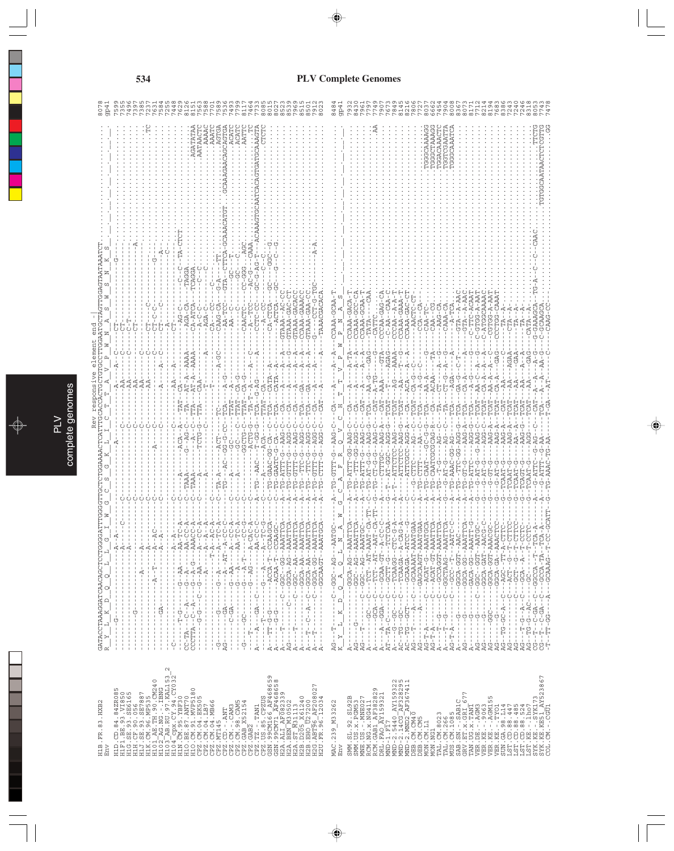|  | ř<br>ĭ |
|--|--------|
|  | í      |

nes

|                                                         |                                               |  |                                                                               |                       |                   |              |                                                                                                                                                                                                                                                                                                                                                                                                                                 |                        |              |             | GATATAL            | ATAACI           | AAAA.                                   |        | <b>RAAT</b> | PGL <sub>C</sub>         | AGCAGTG                 | . ACAT                   | .ACAT            | . AATT                                         |               | <b>TECAAACTI</b><br>ITOAAACTI |               | CTCL        |           |                                                     |                     |                                |                                  |                  |               |         |                 |  |                  |                              |                   |                      |                                                      |                   |                          |                    |                                                         |                                                            |         |                                                                                  |                    |                           |                                     |               | GGGCAAAAG               | <b>GGGCTAAAG</b>                                                                                                                      | <b>LGGACAAACT</b>         | TGGTCGAATT                | GGGCAAATC                          |                                     |                    |                                                                                              |                             |                             |               |                     |                        |                                                      |                                      |  |                                                                   |                        |                 |                 |
|---------------------------------------------------------|-----------------------------------------------|--|-------------------------------------------------------------------------------|-----------------------|-------------------|--------------|---------------------------------------------------------------------------------------------------------------------------------------------------------------------------------------------------------------------------------------------------------------------------------------------------------------------------------------------------------------------------------------------------------------------------------|------------------------|--------------|-------------|--------------------|------------------|-----------------------------------------|--------|-------------|--------------------------|-------------------------|--------------------------|------------------|------------------------------------------------|---------------|-------------------------------|---------------|-------------|-----------|-----------------------------------------------------|---------------------|--------------------------------|----------------------------------|------------------|---------------|---------|-----------------|--|------------------|------------------------------|-------------------|----------------------|------------------------------------------------------|-------------------|--------------------------|--------------------|---------------------------------------------------------|------------------------------------------------------------|---------|----------------------------------------------------------------------------------|--------------------|---------------------------|-------------------------------------|---------------|-------------------------|---------------------------------------------------------------------------------------------------------------------------------------|---------------------------|---------------------------|------------------------------------|-------------------------------------|--------------------|----------------------------------------------------------------------------------------------|-----------------------------|-----------------------------|---------------|---------------------|------------------------|------------------------------------------------------|--------------------------------------|--|-------------------------------------------------------------------|------------------------|-----------------|-----------------|
|                                                         |                                               |  |                                                                               |                       |                   |              |                                                                                                                                                                                                                                                                                                                                                                                                                                 |                        |              |             |                    |                  |                                         |        |             |                          |                         |                          |                  |                                                |               |                               |               |             |           |                                                     |                     |                                |                                  |                  |               |         |                 |  |                  |                              |                   |                      |                                                      |                   |                          |                    |                                                         |                                                            |         |                                                                                  |                    |                           |                                     |               |                         |                                                                                                                                       |                           |                           |                                    |                                     |                    |                                                                                              |                             |                             |               |                     |                        |                                                      |                                      |  |                                                                   |                        |                 |                 |
|                                                         |                                               |  |                                                                               |                       |                   |              |                                                                                                                                                                                                                                                                                                                                                                                                                                 |                        |              |             |                    |                  |                                         |        |             |                          |                         |                          |                  |                                                |               |                               |               |             |           |                                                     |                     |                                |                                  |                  |               |         |                 |  |                  |                              |                   |                      |                                                      |                   |                          |                    |                                                         |                                                            |         |                                                                                  |                    |                           |                                     |               |                         |                                                                                                                                       |                           |                           |                                    |                                     |                    |                                                                                              |                             |                             |               |                     |                        |                                                      |                                      |  |                                                                   |                        |                 |                 |
| GGAGTAATAAATC                                           |                                               |  |                                                                               |                       |                   |              |                                                                                                                                                                                                                                                                                                                                                                                                                                 |                        |              | TAGGA       |                    |                  |                                         |        |             | $-4 - -$                 | GTA--CTI                | しゅー                      |                  | $CC-GGG$ .                                     | $AC-G-$       | <b>GC-G-AG-T</b>              |               |             | ひひひ       |                                                     |                     |                                |                                  |                  |               |         |                 |  |                  |                              |                   |                      |                                                      |                   | G                        |                    |                                                         |                                                            |         |                                                                                  |                    |                           |                                     |               |                         |                                                                                                                                       |                           |                           |                                    |                                     |                    |                                                                                              |                             |                             |               |                     |                        |                                                      |                                      |  |                                                                   |                        |                 |                 |
|                                                         |                                               |  |                                                                               |                       |                   |              |                                                                                                                                                                                                                                                                                                                                                                                                                                 |                        |              |             |                    |                  |                                         | AGA-   |             | CAAG-                    | $AA-T$                  |                          |                  | CAACT                                          | $A - T$       | CCTC-                         |               | $-$ A $-$   | $-CA-CTC$ |                                                     | GTAAA               |                                | <b>GTAAA-G</b>                   | CCAAA-GAAZ       | GTAAA-GAA     | ひ‐LUU‐‐ | TAAACGACA       |  | CCAAA-GCAA-      | z<br>$\mathbf{\Omega}$<br>Z  | $-GACA-$<br>CCAAA |                      | CAAA                                                 | CCAAA-GCAA-       |                          | CATTC.             |                                                         |                                                            |         |                                                                                  |                    | CCAAA-GAAA<br>CCAAA-GAC-0 | <b>AACT</b>                         |               | CAA-TC                  |                                                                                                                                       | AAG-C                     | CAAA-CA                   | $-A-TCA$                           | $-4 - 2 - 4$<br>GTA                 |                    | -TTC-ACAA                                                                                    |                             | $1 - GTGG - A - AAT$        |               | CGTGG-A             |                        |                                                      |                                      |  | CATA                                                              |                        |                 |                 |
|                                                         |                                               |  |                                                                               |                       |                   |              |                                                                                                                                                                                                                                                                                                                                                                                                                                 |                        |              |             |                    |                  |                                         |        |             |                          |                         |                          |                  |                                                |               |                               |               |             |           |                                                     |                     |                                |                                  |                  |               |         |                 |  | d                | $\mathsf{p}_\mathsf{q}$      | - TA              |                      |                                                      | $-4$              | <b>CAG</b>               |                    |                                                         |                                                            |         |                                                                                  |                    |                           |                                     |               |                         |                                                                                                                                       |                           |                           |                                    | $-1$ - $C$ - $T$                    |                    |                                                                                              |                             |                             | $-1$          |                     | $-$ GAG                |                                                      | - - AGAP                             |  |                                                                   |                        |                 |                 |
|                                                         |                                               |  |                                                                               |                       |                   |              |                                                                                                                                                                                                                                                                                                                                                                                                                                 |                        |              |             |                    |                  |                                         |        |             |                          |                         |                          |                  |                                                |               | U                             |               |             |           |                                                     |                     |                                |                                  |                  |               |         |                 |  |                  |                              |                   |                      |                                                      |                   |                          |                    |                                                         |                                                            |         |                                                                                  |                    |                           | $CA-G$                              | じょーム          |                         | ACAA                                                                                                                                  |                           | $CT - G$                  | -AGA                               |                                     | $CA - A$           |                                                                                              |                             | $PA-C$                      | $CA - A$      | $AA - A$            | $CA - A -$             |                                                      |                                      |  |                                                                   |                        |                 |                 |
|                                                         |                                               |  |                                                                               |                       |                   |              |                                                                                                                                                                                                                                                                                                                                                                                                                                 |                        |              |             |                    |                  |                                         |        |             |                          |                         |                          |                  | <b>TAT</b>                                     |               |                               |               | <b>LRT-</b> |           |                                                     |                     |                                |                                  |                  |               |         |                 |  |                  | U                            |                   |                      |                                                      |                   |                          |                    |                                                         |                                                            |         |                                                                                  |                    |                           |                                     |               |                         |                                                                                                                                       |                           |                           |                                    |                                     |                    |                                                                                              |                             |                             |               |                     |                        |                                                      |                                      |  |                                                                   |                        |                 |                 |
|                                                         |                                               |  |                                                                               |                       |                   |              |                                                                                                                                                                                                                                                                                                                                                                                                                                 |                        | ACA          |             |                    | <b>D-PIDL</b>    |                                         |        |             |                          | ひーウーウウ                  | U<br>U                   |                  | GGCTG                                          |               |                               | <b>ACA</b>    |             | $-99-04$  |                                                     |                     |                                |                                  |                  |               |         |                 |  | AAG.             |                              |                   |                      |                                                      |                   |                          |                    |                                                         |                                                            |         |                                                                                  |                    |                           |                                     |               |                         |                                                                                                                                       |                           |                           | $-55-$                             |                                     |                    |                                                                                              |                             |                             |               |                     |                        |                                                      |                                      |  |                                                                   |                        |                 |                 |
|                                                         |                                               |  |                                                                               |                       |                   |              |                                                                                                                                                                                                                                                                                                                                                                                                                                 |                        |              | TAAA        |                    |                  |                                         |        |             | TA-                      |                         |                          |                  |                                                |               | $-AAC$<br>TG-                 |               |             | TG-GAAC   | G-GAAT                                              | $TG - A'$           | むしい                            | ローロロ                             |                  | $\frac{1}{2}$ | TG-GTTI | <b>G-CLLI</b>   |  | TG-GTTT          | К                            |                   | TG-ATTT              |                                                      | TG-ATTT           | $G - A$                  | ں<br>ا             |                                                         |                                                            |         |                                                                                  |                    |                           | ひーひ                                 | TG-           | G-CAAT                  | TG-CAAT                                                                                                                               | $TG -$                    | $G - A$                   | $A - 5$                            |                                     |                    |                                                                                              | $\overline{A}-\overline{D}$ | $\overline{A}-\overline{A}$ | $G - A T -$   | シーウ                 | $G - AT -$             | <b>CAA</b>                                           |                                      |  |                                                                   |                        |                 |                 |
|                                                         |                                               |  |                                                                               |                       |                   |              |                                                                                                                                                                                                                                                                                                                                                                                                                                 |                        |              |             |                    |                  |                                         |        |             |                          |                         |                          |                  |                                                |               |                               |               |             |           |                                                     |                     |                                |                                  |                  |               |         |                 |  |                  |                              |                   |                      |                                                      |                   |                          |                    |                                                         |                                                            |         |                                                                                  |                    |                           |                                     |               |                         |                                                                                                                                       |                           |                           |                                    |                                     |                    |                                                                                              |                             |                             |               |                     |                        |                                                      |                                      |  |                                                                   |                        |                 |                 |
| <b>U</b>                                                |                                               |  |                                                                               |                       |                   |              |                                                                                                                                                                                                                                                                                                                                                                                                                                 |                        |              |             |                    |                  |                                         |        |             |                          |                         |                          |                  |                                                |               |                               |               |             |           |                                                     |                     |                                |                                  |                  |               |         |                 |  |                  |                              |                   |                      |                                                      |                   |                          |                    |                                                         |                                                            |         |                                                                                  |                    |                           |                                     |               |                         |                                                                                                                                       |                           |                           |                                    |                                     |                    |                                                                                              |                             |                             |               |                     |                        |                                                      |                                      |  |                                                                   |                        |                 |                 |
| $\Box$<br>$\Box$                                        | $\begin{array}{c}\n- -A \\ - -A\n\end{array}$ |  |                                                                               | $-4$<br>J.<br>٠<br>J. |                   | $- -P - - -$ | $-4 -$                                                                                                                                                                                                                                                                                                                                                                                                                          | $-4$<br>J.             | $-AA-$<br>t  | $-AA$<br>J. | $-5 - -2AB$        | --A--            | $\,$ I                                  | $-A$ - | $-T - A$    | $-A$<br>٠                | $- - A$ $- - A$ $- - A$ |                          | $-AA-$           |                                                |               | $-AA-$<br>٠<br>I,             |               | $- - A - -$ |           | $-$ CCA                                             | ARA--55--050--0---  | -- 000A-A04-AAA'               | $-0 - -0 - -0 - -1 - 2 - -2 - -$ |                  |               |         | AAA--TUARUUA-   |  | $-AA$            | $\Box$<br>$\circ$            |                   | $-99-49-49-49-144$   | AAA--04--050-                                        | AAA--54--055--    | ---- TCT--AT-AAA         | $---TCT-12T-12A'$  |                                                         |                                                            |         | C---GCAA-GT--A-C<br>C---GCAA-GT---TCT<br>C----TCAAGG--CTC--<br>C----TCAAGA--A-CA |                    | $--CAAGA--ATC$            |                                     | -cad-horacer- |                         | $---ACAT-GT-AAAT$                                                                                                                     | -GCCAGGT-AAA'             | -C--GGCTAAG--AAA'         | - MY - - - H - - UUU - - - - U - - | -- 000-A000-AA                      | $-99-49-49-44$     | $-GACA-GG-FAAA'$                                                                             |                             |                             |               | --GGCA-GGH-AAA      | $-00R - 0R - 0P - 0PR$ | U - 4 - II - - - JO4 - - - - V - - 4 - JO - DI - - - | $-1 - 4$<br>$-1 - 5 - 1 - 5 - 1 - 5$ |  |                                                                   | --GGCCA--T--TC         | U-1-4004-120-1- | U-1-1-04440U-1- |
| $\circ$<br>$\circ$                                      |                                               |  |                                                                               | $-4 - 2$              |                   | $---A---T$   |                                                                                                                                                                                                                                                                                                                                                                                                                                 |                        | $-4A-1$      | $-4$<br>じー  | $--- A$<br>ウーー     | $-AA -$<br>ひーーワー |                                         | $-4-$  |             |                          | $-1$<br>J.              |                          | $-5 - - - - - -$ |                                                |               | Ť                             | ı.            |             |           | $---ACAA-T$                                         |                     |                                |                                  |                  |               |         |                 |  | $-5A - 10B - -1$ | Ц<br>$\circ$                 |                   |                      |                                                      |                   |                          |                    |                                                         |                                                            |         |                                                                                  |                    |                           |                                     |               |                         |                                                                                                                                       |                           |                           |                                    |                                     |                    |                                                                                              |                             |                             |               |                     |                        |                                                      |                                      |  |                                                                   |                        |                 |                 |
| $\Box$<br>×                                             |                                               |  | $\begin{array}{c} \n\downarrow \\ \n\downarrow \\ \n\downarrow \n\end{array}$ | $\mathfrak l$         | $\mathsf I$<br>J. |              | $- - G A - -$                                                                                                                                                                                                                                                                                                                                                                                                                   |                        | $-5 - 1 - -$ |             | $-1 - C - -A - -I$ | $-5 - 5 -$       |                                         |        |             | $\blacksquare$<br>$-1$   | $-GA$ -                 | $-45 - 1$                | Ì<br>٠           | $-50-$                                         | $\frac{1}{1}$ | $-4 - 4 - -1$                 | $\frac{1}{2}$ |             |           | J,<br>$-1 - 0 - 1$                                  | $\mathbf{I}$        | $\frac{1}{2}$<br>$\frac{1}{1}$ | t<br>$\,$                        |                  |               |         |                 |  |                  | $\Box$<br>×                  |                   | ٠<br>$\,$<br>J.<br>٠ |                                                      | ن<br>۱            | $\frac{1}{1}$<br>$-90 -$ | U--400--           | U                                                       |                                                            | U<br>I. |                                                                                  | ပုံ                | l,                        | $-4$                                | $-4$          |                         | ပုံ<br>٠                                                                                                                              | $-c$ -<br>1<br>$-5 - -$   | J<br>$\frac{1}{\sqrt{2}}$ | f,                                 | 1<br>$\overline{\phantom{a}}$<br>ロー | $\mathsf I$<br>じーー |                                                                                              | $\mathsf I$<br>じーー          | $\mathsf I$<br>ロー           | $\frac{6}{1}$ | f,<br>$-100 -$      | ロー                     |                                                      | $\frac{1}{2}$                        |  |                                                                   | $\frac{1}{2}$<br>$-GA$ |                 |                 |
| GATACCTAAAGGATCAACAGCTCCTGGG<br>占<br>Σ<br>$\mathbbm{R}$ | $\dot{c}$<br>$\mathbf I$<br>٠                 |  |                                                                               |                       |                   |              | J.<br>$\mathbf{I}$                                                                                                                                                                                                                                                                                                                                                                                                              | 1<br>$\mathbf{I}$<br>U |              | $CC-TA-$    | CCCTTA--C          |                  | $\overline{\phantom{a}}$<br>$\mathbf I$ |        |             | $\,$ I<br>$\,$<br>$-5 -$ | $AG - - -$              | I<br>$\frac{1}{1}$<br>I. | ţ                | $\overline{\phantom{a}}$<br>$\frac{1}{\sigma}$ | $-1$          | $A - -$                       |               | J.          |           | $\frac{1}{\sqrt{2}}$<br>J<br>I<br>$\mathbf{I}$<br>t | J,<br>$\frac{1}{2}$ | $AG - -$                       | $\frac{1}{2}$                    | $\overline{A}$ – |               | Æ       | К               |  | 턱<br>$AG-$       | $\Box$<br>$\rightarrow$<br>Χ | $\mathbf{I}$      | ٠<br>$\mathbb{A}^-$  | $-9 - -$<br>ı<br>$AG -$                              | $AG - -T - - - -$ | $\frac{1}{1}$<br>Ţ<br>K, | $\frac{1}{1}$<br>j | К                                                       | $\mathbf{A}\mathbf{T}--\mathbf{T}\mathbf{A}-\mathbf{C}---$ |         | ウーー<br>$\mathbb{A}^-$                                                            | $AC - TG - - GC -$ | <b>LUD--DH--</b>          | $\frac{1}{1}$<br>F<br>F<br>F<br>AC. | AG.           |                         | $\begin{array}{lcl} \mathbf{A}\mathbf{G}-\mathbf{T}-\mathbf{A} \cdot \\ \mathbf{A}\mathbf{G}-\mathbf{T}-\mathbf{A} \cdot \end{array}$ | י<br>י<br>$\mathbb{A}$ –  | $-1$<br>$A - -$           | t<br>$AG-T-A$                      |                                     | $AG - -$           | $\blacksquare$                                                                               | К                           | $\frac{1}{2}$<br>AG.<br>AG. | ÷             | $\frac{1}{1}$<br>AG | J.<br>AG               | AG.                                                  | AG.                                  |  |                                                                   | $\frac{1}{1}$<br>T--50 |                 |                 |
|                                                         |                                               |  |                                                                               |                       |                   |              |                                                                                                                                                                                                                                                                                                                                                                                                                                 |                        |              |             |                    |                  |                                         |        |             |                          |                         |                          |                  |                                                |               |                               |               |             | К         | К                                                   | A                   |                                |                                  |                  | К             |         |                 |  |                  |                              |                   |                      |                                                      |                   |                          | К                  |                                                         |                                                            |         |                                                                                  |                    |                           |                                     |               |                         |                                                                                                                                       |                           |                           |                                    | К                                   |                    |                                                                                              |                             |                             |               |                     |                        |                                                      |                                      |  |                                                                   |                        |                 |                 |
|                                                         |                                               |  |                                                                               |                       |                   |              | $\begin{small} &\text{HE11} & \text{BE1} & \text{GE2} & \text{GE3} & \text{GE4} \\ \text{HE11} & \text{GE1} & \text{GE1} & \text{GE2} & \text{GE3} \\ \text{HE12} & \text{GE1} & \text{GE2} & \text{GE3} \\ \text{HE12} & \text{GE1} & \text{GE1} & \text{GE2} \\ \text{HE12} & \text{GE1} & \text{GE2} & \text{GE3} \\ \text{HE12} & \text{GE2} & \text{GE3} & \text{GE4} \\ \text{HE12} & \text{GE2} & \text{GE3} & \text{GE$ |                        |              |             |                    |                  |                                         |        |             |                          |                         |                          |                  |                                                |               |                               |               |             |           |                                                     |                     |                                |                                  |                  |               |         |                 |  |                  |                              |                   |                      |                                                      |                   |                          |                    |                                                         |                                                            |         |                                                                                  |                    |                           |                                     |               |                         |                                                                                                                                       |                           |                           |                                    |                                     | 677                |                                                                                              |                             |                             |               |                     |                        |                                                      |                                      |  |                                                                   |                        | AY523867        |                 |
| SHXH.                                                   | .84ZR08                                       |  |                                                                               |                       |                   |              |                                                                                                                                                                                                                                                                                                                                                                                                                                 |                        |              |             |                    |                  |                                         |        |             |                          |                         |                          |                  |                                                |               |                               |               |             |           |                                                     |                     |                                |                                  |                  |               |         | H2U.FR.96.12034 |  | MAC.239 M33262   |                              |                   |                      | SMM.SL.92.SL92B<br>SMM.US.x.PGM53<br>MNE.US.-.MNE027 |                   |                          |                    | RCM.NG.x.NG411<br>RCM.GAB1_AF382829<br>DRL.FAO_AY159321 |                                                            |         | 1.F17<br>2.5440 AY159322<br>2.14CG AF328295<br>2.MND2 AF367411                   |                    |                           |                                     |               |                         |                                                                                                                                       |                           |                           | ١                                  |                                     |                    | SAB.SN. - SAB1C<br>GRV.ET. x. GRI 677<br>TAN.UG. x. TANI<br>VER.KE. - 9063<br>VER.KE. - 8063 |                             |                             |               |                     | .TYO1                  | SUN. GA. 98. L14                                     |                                      |  | 13T.CD.88.447<br>13T.CD.88.485<br>13T.CD.88.485<br>13T.KE.-.11007 |                        |                 |                 |
| H1B.FR.83<br>$_{\rm{Env}}$                              | .CD.84<br>H1D                                 |  |                                                                               |                       |                   |              |                                                                                                                                                                                                                                                                                                                                                                                                                                 |                        |              |             |                    |                  |                                         |        |             |                          |                         |                          |                  |                                                |               |                               |               |             |           |                                                     |                     |                                |                                  |                  |               |         |                 |  |                  | Env                          |                   |                      |                                                      |                   |                          |                    |                                                         |                                                            | $T-T$   | $MD-2$                                                                           | $MID-2$            | $MD-2$                    | DEB.CM.CM40                         |               | DEB.CM.CM5<br>MON.CM.L1 | MON.NG1                                                                                                                               | TAL.CM.8023<br>TAL.CM.266 |                           | MUS.CM.108                         |                                     |                    |                                                                                              |                             |                             |               |                     | JER.KE.-               |                                                      |                                      |  |                                                                   |                        |                 |                 |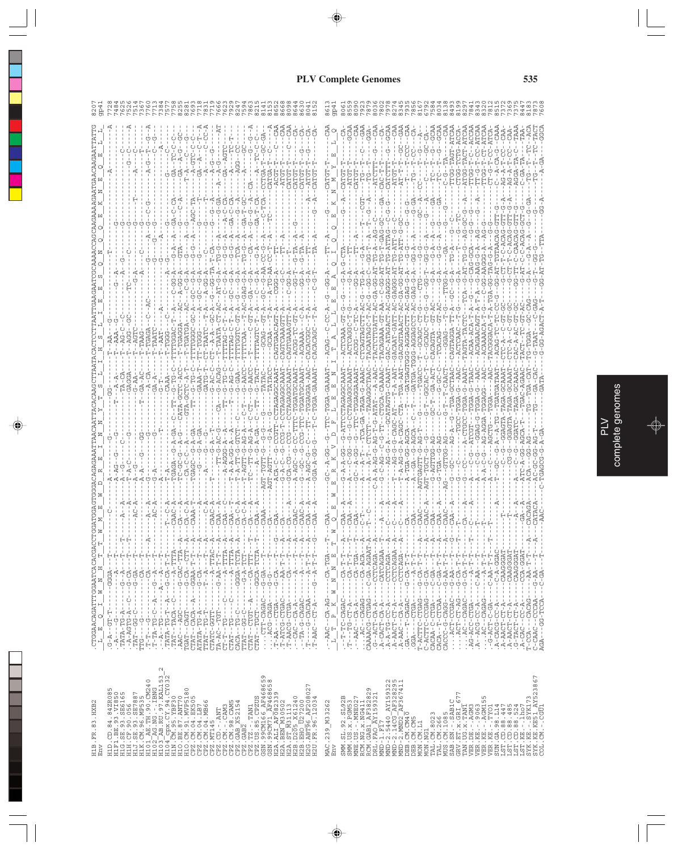| Ĭ<br>$\frac{1}{1}$<br>$- - - 7$<br>$-12T - 4T - 7$<br>F<br>$-1$<br>Ĩ<br>ĭ<br>AC--CAGAG-----CA-ACA-----<br>CAAAACG-CTGAG----C-GA-AGAAT--<br>-----CCTCAGAA--A<br>----CCTCAGAA--A<br>----G-CA-T-T----<br>$-1$<br>OROORORDEHERORORGODEO.<br>Ţ<br>$-1$<br>Η<br>$\frac{1}{1}$<br>$\frac{1}{1}$<br>$\mathfrak l$<br>Í<br>$---ATTTA--$<br>$\vdash$<br>$\frac{1}{1}$<br>f<br>$1 - - 2A C - C T - A - - - - - C A - T - T - - -1 - 2AC - - CA - A - - - - - C A - T C B - - - C A - - -$<br>f,<br>ţ<br>$\frac{1}{4}$<br>$\frac{1}{4}$<br>$-FTTTA-$<br>$-1 - 12T - 12G$<br>--CATCAGAA-<br>$\frac{1}{4}$<br>f,<br>t<br>÷<br>t<br>÷<br>$-C - A - C - C - C$<br>$\begin{array}{l} .6 - A C^2 - C A - A - \cdots - C C^2 C \Omega_0 G A - \cdots \\ .8 - A - T G - C C - A - \cdots - C C^2 C \Omega_0 A - \cdots \\ .8 - A C^2 - C C - A - \cdots - C C^2 C \Omega_0 A - \cdots \\ .8 - A C^2 - C^2 - A - \cdots - C^2 C \Omega_0 A - \cdots \\ .9 - A - T - C \Omega_0 A - \cdots - C C^2 C \Omega_0 A - \cdots \\ .9 - A - T - C \Omega_0 A - \cdots - C C^2 C \Omega_0 A - \cdots \\ .9 - C^2 C^2 - \cdots - C^2 C$<br>--CAAGGGAT<br>--CAAGGGAT<br>$- - - C A - T - T$<br>$\begin{array}{l} \rm TTAT--GG-C-------G-A-TCT\\ \rm CTAT--CTGT--AA--C.A-TTT\\ \end{array}$<br>$- - A - - - T$<br>$\begin{array}{cc} -\text{ }-\text{CA}-\text{TCA}-\\ \text{N} & \text{N} & \text{E} \end{array}$<br>Н<br>턱<br>$- - -C - C - - - -$<br>$- -A - -T$<br>$- C - PA - T - T$<br>$-CA$ --T<br>F-1-40-5-1-04040-1-1-0-1-<br>--CA----T<br>투<br>부<br>$- - - - - - - - -$<br>$- -7 - - - - - -$<br>$\mathbf{z}^{\text{I}}$<br>$- -A - T$<br>Ξ<br>$-GGGB -$<br>$\triangleright$<br>$\mathbf{I}$<br>۲<br>-<br>$\mathbf{I}$<br>1<br>N<br>ţ<br>$\mathbf{I}$<br>1<br>٠<br>$\geq$<br>$\mathbf{I}$<br>f,<br>$-1$<br>$-1$<br>$\mathbf{H}$<br>J.<br>÷,                                                                                                                                                                                                                                                                                                                            |                                                                                                                                  |
|-------------------------------------------------------------------------------------------------------------------------------------------------------------------------------------------------------------------------------------------------------------------------------------------------------------------------------------------------------------------------------------------------------------------------------------------------------------------------------------------------------------------------------------------------------------------------------------------------------------------------------------------------------------------------------------------------------------------------------------------------------------------------------------------------------------------------------------------------------------------------------------------------------------------------------------------------------------------------------------------------------------------------------------------------------------------------------------------------------------------------------------------------------------------------------------------------------------------------------------------------------------------------------------------------------------------------------------------------------------------------------------------------------------------------------------------------------------------------------------------------------------------------------------------------------------------------------------------------------------------------------------------------------------------------------------------------------------------------------------------------------------------------------------------------------------------------------------------------------------------------------------------------------------------------------------------------------------------------------------------------------------------------------------------------------------------------------------------------------------------------------------------------|----------------------------------------------------------------------------------------------------------------------------------|
|                                                                                                                                                                                                                                                                                                                                                                                                                                                                                                                                                                                                                                                                                                                                                                                                                                                                                                                                                                                                                                                                                                                                                                                                                                                                                                                                                                                                                                                                                                                                                                                                                                                                                                                                                                                                                                                                                                                                                                                                                                                                                                                                                 |                                                                                                                                  |
|                                                                                                                                                                                                                                                                                                                                                                                                                                                                                                                                                                                                                                                                                                                                                                                                                                                                                                                                                                                                                                                                                                                                                                                                                                                                                                                                                                                                                                                                                                                                                                                                                                                                                                                                                                                                                                                                                                                                                                                                                                                                                                                                                 |                                                                                                                                  |
|                                                                                                                                                                                                                                                                                                                                                                                                                                                                                                                                                                                                                                                                                                                                                                                                                                                                                                                                                                                                                                                                                                                                                                                                                                                                                                                                                                                                                                                                                                                                                                                                                                                                                                                                                                                                                                                                                                                                                                                                                                                                                                                                                 |                                                                                                                                  |
|                                                                                                                                                                                                                                                                                                                                                                                                                                                                                                                                                                                                                                                                                                                                                                                                                                                                                                                                                                                                                                                                                                                                                                                                                                                                                                                                                                                                                                                                                                                                                                                                                                                                                                                                                                                                                                                                                                                                                                                                                                                                                                                                                 |                                                                                                                                  |
|                                                                                                                                                                                                                                                                                                                                                                                                                                                                                                                                                                                                                                                                                                                                                                                                                                                                                                                                                                                                                                                                                                                                                                                                                                                                                                                                                                                                                                                                                                                                                                                                                                                                                                                                                                                                                                                                                                                                                                                                                                                                                                                                                 |                                                                                                                                  |
|                                                                                                                                                                                                                                                                                                                                                                                                                                                                                                                                                                                                                                                                                                                                                                                                                                                                                                                                                                                                                                                                                                                                                                                                                                                                                                                                                                                                                                                                                                                                                                                                                                                                                                                                                                                                                                                                                                                                                                                                                                                                                                                                                 |                                                                                                                                  |
|                                                                                                                                                                                                                                                                                                                                                                                                                                                                                                                                                                                                                                                                                                                                                                                                                                                                                                                                                                                                                                                                                                                                                                                                                                                                                                                                                                                                                                                                                                                                                                                                                                                                                                                                                                                                                                                                                                                                                                                                                                                                                                                                                 | $- - -$<br>$\frac{1}{1}$<br>--CCA-GGAT<br>--CAAGGGAT<br>$-AA-T-T$                                                                |
| $CACA - TG - C - - -$<br>$1 - A A - - C A B - -$<br>T-AA - - - CTGA - -<br>.T-ATCG-CTGAC-<br>$- - T A - G - C A G A C -$<br>$\begin{array}{r} -- \text{PAC}--\text{CA}-\text{AG}-\\ -\text{L} \hspace{2cm} \text{T} \hspace{2cm} \text{P} \hspace{2.5cm} \text{K} \\ \end{array}$<br>$\ldots$ $AC$ - $CAGAG$ -<br>.TAT--TACA--C<br>TTAT--TG-T----<br>CTATC-GGTT-----<br>TA-AC--TGT-----<br>$T------G-CACAA$<br>$-T-AACC-CTGA-$<br>$- -CAC - CA - A$<br>$-4 - 2C - 4C - 4$<br>$-45 - 7 - 17 - 17 - 17$<br>$A-CAC-G-CC-A-$<br>$T - A A C - - C T - A -$<br>$\begin{array}{l} \mathtt{TGAT--CAGT--}\\ \mathtt{CTAT--CACA--} \end{array}$<br>$CTAT - TGCT - -$<br>$-CTGA$<br>. AAC---AGC--<br>$G - A - G T - T -$<br>.TATA-TG-A<br>ATATA-TG-A<br>$\frac{1}{4}$<br>$A - A - A G T G - A$<br>ΥJ<br>÷<br>÷<br>$1 - 201 - 12410$<br>$\alpha$<br>.TAT--GG<br><b>PTG-----G</b><br>$\begin{array}{l} \displaystyle -T-T-T \\ \displaystyle -T\end{array}$<br>$- - - 400$ .<br>闰<br>$\frac{1}{n+1}$<br>$\overline{a}$                                                                                                                                                                                                                                                                                                                                                                                                                                                                                                                                                                                                                                                                                                                                                                                                                                                                                                                                                                                                                                                                                                                                       | A-AACT-CT-A---<br>-A-AACT-CT-A---<br>-G-TACT-CT-A---<br>-A-CAC--CC-A----<br>T-CCA----CACAG--<br>C-CAAC--CCCAA-<br>AGA---GG-TCCA- |
| $\mathcal{Q}$<br>$\begin{array}{l} {\tt CPZ} \text{ . } {\tt TZ} \text{ . } - \text{ TAU} \\ {\tt GSN} \text{ . } {\tt 9 \, SCML6} \text{ . } {\tt API4} \text{ 6 \, 8 \, 6 \, 5 \, 9} \\ {\tt GSN} \text{ . } {\tt 9 \, SCML6} \text{ . } {\tt API4} \text{ 6 \, 8 \, 6 \, 5 \, 9} \\ {\tt GSN} \text{ . } {\tt 9 \, SCMT1} \text{ . } \overline{\tt API4} \text{ 6 \, 8 \, 6 \, 5 \, 8} \\ {\tt GSN} \text{ . } {\tt 9 \, CNT1$<br>$\begin{array}{l} {\rm HD}, {\rm CD}, 84, 442005\\ {\rm H1F}, {\rm IB}, 93, {\rm V1850}\\ {\rm H1F}, {\rm IB}, 93, {\rm V1850}\\ {\rm H1F}, {\rm CE}, 93, {\rm SE785}\\ {\rm H1F}, {\rm TE}, 90, {\rm 056}\\ {\rm H1C}, {\rm IB}, 93, {\rm SE7887}\\ {\rm H1C1}, {\rm IB}, {\rm S12, 35788} \\ {\rm H1C1}, {\rm AB}, {\rm TE}, 90, {\rm C}00240\\ {\rm H1C2}, {\rm AB}, {\rm TE}, 90, {\rm C}00240\\ {\rm$<br>MRD-1.PT7<br>MRD-2.5440 AX159322<br>MRD-2.5440 AX159325<br>MRD-2.NMD2_RF367411<br>DEB1.CN.CM40<br>DEB1.CN.CM1.DT45<br>MON.CM1.DT45<br>$\overline{\phantom{a}}$<br>SMM. SI. 92. SI92B<br>SMM. US .x. PGM53<br>RME. US .- .MNB027<br>RCM. GAB1 AF382829<br>RCM. GAB1 AF382829<br>$\begin{array}{l} {\rm HIN}:\overline{\mathfrak{m}}Y.95137230\\ {\rm HIO.~BE187720}\\ {\rm HIO.~BE187720}\\ {\rm GPE2.~CMI.041~BK505}\\ {\rm GPE2.~CMI.041~BE65}\\ {\rm GPE2.~CMI.041~dB7}\\ {\rm GPE2.~ML145}\\ {\rm GPE3.~ML145}\\ {\rm GPE4.~ML145}\\ {\rm GPE5.~ML145}\\ {\rm GPE6}\\ {\rm GPE6}\\ {\rm GPE7.~ML145}\\ {\rm GPE8.~ML145}\\ {\rm GPE9.~ML145}\\ {\rm GPE1.~ML1$<br>H2A. ST_M31113<br>H2B. D205 X61240<br>H2B. RHT0 027200<br>H2U. FR. 96-12034<br>H2U. FR. 96-12034<br>77<br>$\begin{tabular}{r rrrr} \hline \color{red}{R11}. (N1,0023 \\ \hline \color{red}{R12}. (N1,2666 \\ \textbf{248}. (N1,2666 \\ \textbf{250}. (N1,2666 \\ \textbf{261}. (N1,2011,2011 \\ \textbf{270}. (N1,2011,2011 \\ \textbf{281}. (N1,2011,2011 \\ \textbf{281}. (N21,2011,2011 \\ \textbf{281}. (N21,2011,2011 \\ \textbf{281}. (N21,2011,201$<br>CPZ.CD.-.ANT<br>CPZ.CM.-.CAM3<br>CPZ.CM.98.CAM5<br>CPZ.GAB_X52154<br>9 M33262<br>H1B.FR.83.HXB2<br>CPZ.GABZ<br>MON.NG1<br>MAC.239<br>Env<br>$_{\rm{Env}}$ | AY523867<br>$-$ . $CG\overline{U}$ 1<br>COL.CM.                                                                                  |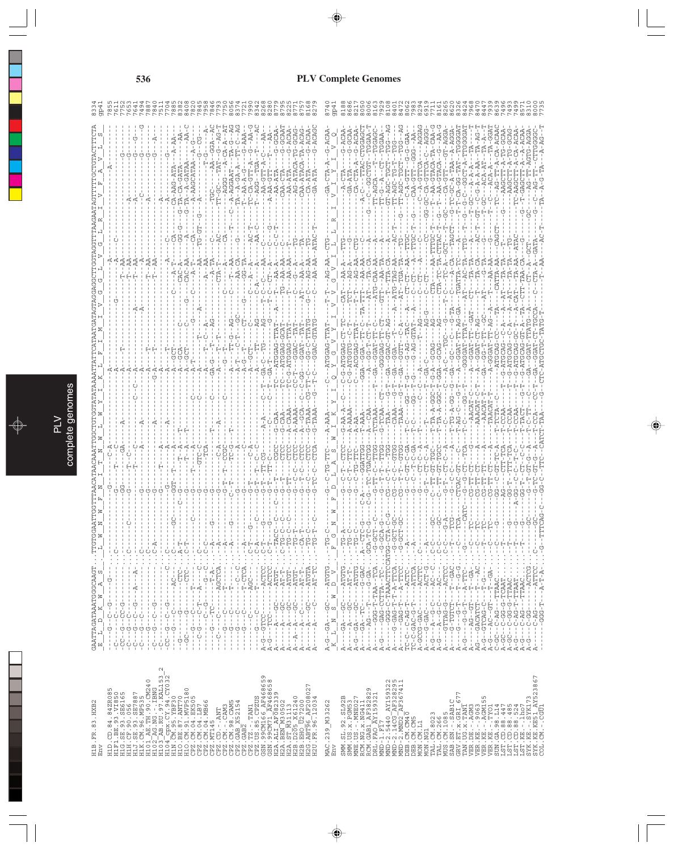|  | ř<br>ĭ |
|--|--------|
|  | í      |

| H1B.FR.83.HXB2<br>Env                                                                                                                                                                                                                                                                                                                                                                                                   | $\begin{array}{cccccc} \texttt{GAATTAGATPAAATGGGCAAGT} \, . & \texttt{B} & \texttt{B} & \texttt{S} \end{array} \label{eq:GATRATGGG} \cdot$<br>$\frac{1}{n}$                                                                                                                                                                                                                                                                                         | $\frac{1}{2}$<br>$\Box$                         |  |  |  |  |
|-------------------------------------------------------------------------------------------------------------------------------------------------------------------------------------------------------------------------------------------------------------------------------------------------------------------------------------------------------------------------------------------------------------------------|-----------------------------------------------------------------------------------------------------------------------------------------------------------------------------------------------------------------------------------------------------------------------------------------------------------------------------------------------------------------------------------------------------------------------------------------------------|-------------------------------------------------|--|--|--|--|
|                                                                                                                                                                                                                                                                                                                                                                                                                         | $\frac{1}{\sqrt{2}}$<br>$\frac{1}{\sqrt{2}}$                                                                                                                                                                                                                                                                                                                                                                                                        | $\mathbf{I}$                                    |  |  |  |  |
|                                                                                                                                                                                                                                                                                                                                                                                                                         | $\mathbf{I}$<br>-<br>$C - C$<br>÷<br>$\bigcup_{i=1}^r\bigcup_i$                                                                                                                                                                                                                                                                                                                                                                                     | $\frac{1}{4}$<br>÷<br>$\frac{1}{2}$             |  |  |  |  |
|                                                                                                                                                                                                                                                                                                                                                                                                                         | ひ<br>Ť<br>$\bigcup\limits_{i}$                                                                                                                                                                                                                                                                                                                                                                                                                      | J,<br>Ċ.                                        |  |  |  |  |
|                                                                                                                                                                                                                                                                                                                                                                                                                         | $-4$<br>$-1$<br>$\frac{1}{1}$<br>$\bigcup\limits_{i}$<br>$\frac{1}{\sqrt{2}}$                                                                                                                                                                                                                                                                                                                                                                       | 0.00<br>÷                                       |  |  |  |  |
|                                                                                                                                                                                                                                                                                                                                                                                                                         | Ħ<br>$\ddot{\circ}$ = $\ddot{\circ}$                                                                                                                                                                                                                                                                                                                                                                                                                |                                                 |  |  |  |  |
| $\mathcal{C}$                                                                                                                                                                                                                                                                                                                                                                                                           | $\frac{1}{2}$                                                                                                                                                                                                                                                                                                                                                                                                                                       |                                                 |  |  |  |  |
|                                                                                                                                                                                                                                                                                                                                                                                                                         |                                                                                                                                                                                                                                                                                                                                                                                                                                                     | Ħ<br>$\vdots$                                   |  |  |  |  |
|                                                                                                                                                                                                                                                                                                                                                                                                                         |                                                                                                                                                                                                                                                                                                                                                                                                                                                     | $1 + 7 + 7$<br>$1 + 7 + 7$<br>$0 + 4 + 7$       |  |  |  |  |
|                                                                                                                                                                                                                                                                                                                                                                                                                         |                                                                                                                                                                                                                                                                                                                                                                                                                                                     |                                                 |  |  |  |  |
|                                                                                                                                                                                                                                                                                                                                                                                                                         |                                                                                                                                                                                                                                                                                                                                                                                                                                                     |                                                 |  |  |  |  |
|                                                                                                                                                                                                                                                                                                                                                                                                                         |                                                                                                                                                                                                                                                                                                                                                                                                                                                     |                                                 |  |  |  |  |
|                                                                                                                                                                                                                                                                                                                                                                                                                         |                                                                                                                                                                                                                                                                                                                                                                                                                                                     |                                                 |  |  |  |  |
|                                                                                                                                                                                                                                                                                                                                                                                                                         |                                                                                                                                                                                                                                                                                                                                                                                                                                                     | 77777                                           |  |  |  |  |
|                                                                                                                                                                                                                                                                                                                                                                                                                         |                                                                                                                                                                                                                                                                                                                                                                                                                                                     | $\ddot{\cdot}$<br>$\vdots$                      |  |  |  |  |
|                                                                                                                                                                                                                                                                                                                                                                                                                         | $\begin{array}{c}\nC = 1 - 1 - 1 - 1 \\ C = 1 - 1 - 1 - 1 \\ C = 1 - 1 - 1 \\ C = 1 - 1 - 1 \\ C = 1 - 1 - 1 \\ C = 1 - 1 \\ C = 1 - 1 \\ C = 1 - 1 \\ C = 1 - 1 \\ C = 1 - 1 \\ C = 1 - 1 \\ C = 1 - 1 \\ C = 1 - 1 \\ C = 1 - 1 \\ C = 1 - 1 \\ C = 1 - 1 \\ C = 1 - 1 \\ C = 1 - 1 \\ C = 1 - 1 \\ C = 1 - 1 \\ C = 1 - 1 \\ C = 1 - 1 \\ C = 1 - 1 \\ C = 1 - 1$                                                                                |                                                 |  |  |  |  |
| $\begin{smallmatrix} \texttt{CE} & \texttt{CABZ} & \texttt{0ABZ} & \texttt{0ABZ} & \texttt{0ABZ} & \texttt{0ABZ} & \texttt{0ABZ} & \texttt{0ABZ} & \texttt{0ABZ} & \texttt{0ABZ} & \texttt{0ABZ} & \texttt{0ABZ} & \texttt{0ABZ} & \texttt{0ABZ} & \texttt{0ABZ} & \texttt{0ABZ} & \texttt{0ABZ} & \texttt{0ABZ} & \texttt{0ABZ} & \texttt{0BAZ} & \texttt{0BAZ} & \texttt{0BAZ} & \texttt{0BAZ} & \texttt{0BAZ} &$     |                                                                                                                                                                                                                                                                                                                                                                                                                                                     |                                                 |  |  |  |  |
|                                                                                                                                                                                                                                                                                                                                                                                                                         |                                                                                                                                                                                                                                                                                                                                                                                                                                                     |                                                 |  |  |  |  |
| $\sigma$                                                                                                                                                                                                                                                                                                                                                                                                                |                                                                                                                                                                                                                                                                                                                                                                                                                                                     |                                                 |  |  |  |  |
|                                                                                                                                                                                                                                                                                                                                                                                                                         |                                                                                                                                                                                                                                                                                                                                                                                                                                                     |                                                 |  |  |  |  |
|                                                                                                                                                                                                                                                                                                                                                                                                                         |                                                                                                                                                                                                                                                                                                                                                                                                                                                     |                                                 |  |  |  |  |
|                                                                                                                                                                                                                                                                                                                                                                                                                         |                                                                                                                                                                                                                                                                                                                                                                                                                                                     |                                                 |  |  |  |  |
|                                                                                                                                                                                                                                                                                                                                                                                                                         |                                                                                                                                                                                                                                                                                                                                                                                                                                                     | 부부<br>$\vdots$                                  |  |  |  |  |
|                                                                                                                                                                                                                                                                                                                                                                                                                         |                                                                                                                                                                                                                                                                                                                                                                                                                                                     | $\ddot{\cdot}$                                  |  |  |  |  |
|                                                                                                                                                                                                                                                                                                                                                                                                                         |                                                                                                                                                                                                                                                                                                                                                                                                                                                     | 오류<br>----                                      |  |  |  |  |
|                                                                                                                                                                                                                                                                                                                                                                                                                         |                                                                                                                                                                                                                                                                                                                                                                                                                                                     |                                                 |  |  |  |  |
| MAC.239 M33262                                                                                                                                                                                                                                                                                                                                                                                                          | $\frac{1 - \text{ATGTG}}{1 - \text{D}}$<br>$\overline{\phantom{a}}$<br>$A - G - - G A - - - G C -$<br>$K = L$ $N = S$                                                                                                                                                                                                                                                                                                                               |                                                 |  |  |  |  |
| $_{\rm{Env}}$                                                                                                                                                                                                                                                                                                                                                                                                           | $\geq$                                                                                                                                                                                                                                                                                                                                                                                                                                              | $\frac{1}{2}$                                   |  |  |  |  |
| SMM. 51.92. SI92B<br>SMM. US. x. PCM53<br>MNE. US. - MNE027<br>RCM. GAB1. AF3829<br>RCM. GAB1. RF382829                                                                                                                                                                                                                                                                                                                 |                                                                                                                                                                                                                                                                                                                                                                                                                                                     |                                                 |  |  |  |  |
|                                                                                                                                                                                                                                                                                                                                                                                                                         |                                                                                                                                                                                                                                                                                                                                                                                                                                                     |                                                 |  |  |  |  |
|                                                                                                                                                                                                                                                                                                                                                                                                                         |                                                                                                                                                                                                                                                                                                                                                                                                                                                     |                                                 |  |  |  |  |
| O)                                                                                                                                                                                                                                                                                                                                                                                                                      |                                                                                                                                                                                                                                                                                                                                                                                                                                                     |                                                 |  |  |  |  |
|                                                                                                                                                                                                                                                                                                                                                                                                                         |                                                                                                                                                                                                                                                                                                                                                                                                                                                     |                                                 |  |  |  |  |
| L.F17<br>$MND-1$                                                                                                                                                                                                                                                                                                                                                                                                        |                                                                                                                                                                                                                                                                                                                                                                                                                                                     |                                                 |  |  |  |  |
|                                                                                                                                                                                                                                                                                                                                                                                                                         |                                                                                                                                                                                                                                                                                                                                                                                                                                                     |                                                 |  |  |  |  |
| 325<br>295<br>411<br>$\overline{O}$ $\overline{O}$ $\overline{O}$<br>MND-2.5440 AY159<br>MND-2.14CG AF328<br>MND-2.MND2_AF326                                                                                                                                                                                                                                                                                           |                                                                                                                                                                                                                                                                                                                                                                                                                                                     |                                                 |  |  |  |  |
|                                                                                                                                                                                                                                                                                                                                                                                                                         |                                                                                                                                                                                                                                                                                                                                                                                                                                                     |                                                 |  |  |  |  |
|                                                                                                                                                                                                                                                                                                                                                                                                                         |                                                                                                                                                                                                                                                                                                                                                                                                                                                     |                                                 |  |  |  |  |
|                                                                                                                                                                                                                                                                                                                                                                                                                         |                                                                                                                                                                                                                                                                                                                                                                                                                                                     |                                                 |  |  |  |  |
|                                                                                                                                                                                                                                                                                                                                                                                                                         |                                                                                                                                                                                                                                                                                                                                                                                                                                                     |                                                 |  |  |  |  |
|                                                                                                                                                                                                                                                                                                                                                                                                                         |                                                                                                                                                                                                                                                                                                                                                                                                                                                     |                                                 |  |  |  |  |
|                                                                                                                                                                                                                                                                                                                                                                                                                         |                                                                                                                                                                                                                                                                                                                                                                                                                                                     |                                                 |  |  |  |  |
|                                                                                                                                                                                                                                                                                                                                                                                                                         |                                                                                                                                                                                                                                                                                                                                                                                                                                                     |                                                 |  |  |  |  |
| r                                                                                                                                                                                                                                                                                                                                                                                                                       |                                                                                                                                                                                                                                                                                                                                                                                                                                                     |                                                 |  |  |  |  |
|                                                                                                                                                                                                                                                                                                                                                                                                                         |                                                                                                                                                                                                                                                                                                                                                                                                                                                     |                                                 |  |  |  |  |
|                                                                                                                                                                                                                                                                                                                                                                                                                         |                                                                                                                                                                                                                                                                                                                                                                                                                                                     |                                                 |  |  |  |  |
|                                                                                                                                                                                                                                                                                                                                                                                                                         |                                                                                                                                                                                                                                                                                                                                                                                                                                                     |                                                 |  |  |  |  |
|                                                                                                                                                                                                                                                                                                                                                                                                                         |                                                                                                                                                                                                                                                                                                                                                                                                                                                     |                                                 |  |  |  |  |
|                                                                                                                                                                                                                                                                                                                                                                                                                         |                                                                                                                                                                                                                                                                                                                                                                                                                                                     |                                                 |  |  |  |  |
|                                                                                                                                                                                                                                                                                                                                                                                                                         |                                                                                                                                                                                                                                                                                                                                                                                                                                                     |                                                 |  |  |  |  |
|                                                                                                                                                                                                                                                                                                                                                                                                                         |                                                                                                                                                                                                                                                                                                                                                                                                                                                     |                                                 |  |  |  |  |
| $\begin{small} &\textbf{MHD}-2:144 \textbf{G}-\overline{2}183 \textbf{3}3 \\ \textbf{MHD}-2:144 \textbf{G}-\overline{2}183 \textbf{3}3 \\ \textbf{MBD}-2:14 \textbf{MDE}-\overline{2}183 \textbf{5}7 \\ \textbf{MBD}-2:14 \textbf{MDE}-\overline{2}183 \textbf{5}7 \\ \textbf{MOD}, \textbf{C}\textbf{M}, \textbf{10}, \textbf{10}, \textbf{20}, \textbf{30} \\ \textbf{MOD}, \textbf{C}\textbf{M}, \textbf{10}, \text$ | $\begin{array}{l} \mathbf{A} \mathbf{A} \mathbf{A} \mathbf{A} \mathbf{B} \mathbf{C} \mathbf{C} \mathbf{A} \mathbf{C} \mathbf{D} \mathbf{C} \mathbf{A} \mathbf{D} \mathbf{C} \mathbf{D} \mathbf{D} \mathbf{D} \mathbf{D} \mathbf{D} \mathbf{D} \mathbf{D} \mathbf{D} \mathbf{D} \mathbf{D} \mathbf{D} \mathbf{D} \mathbf{D} \mathbf{D} \mathbf{D} \mathbf{D} \mathbf{D} \mathbf{D} \mathbf{D} \mathbf{D} \mathbf{D} \mathbf$<br>TTAAC<br>-----ACTCG. |                                                 |  |  |  |  |
| SYK.KE.-.SYK173<br>SYK.KE.KE51 AY52386<br>COL.CM.-.CGU1                                                                                                                                                                                                                                                                                                                                                                 | ţ<br><b>UU-U-</b><br>$\ddot{\phi}$                                                                                                                                                                                                                                                                                                                                                                                                                  | $\frac{1}{4}$<br>$\mathbf I$<br>$\ddot{\cdot}$  |  |  |  |  |
|                                                                                                                                                                                                                                                                                                                                                                                                                         | $\begin{array}{l} -------\rightarrow\hspace{-0.7em}\text{ATTCC} \\ -T------\rightarrow\hspace{-0.7em}\text{--} \\ -T------\rightarrow\hspace{-0.7em}\text{--} \end{array}$<br>$-C-AG$<br>GGG                                                                                                                                                                                                                                                        | $\frac{1}{4}$<br>$\frac{1}{2}$<br>$\frac{1}{2}$ |  |  |  |  |
|                                                                                                                                                                                                                                                                                                                                                                                                                         |                                                                                                                                                                                                                                                                                                                                                                                                                                                     |                                                 |  |  |  |  |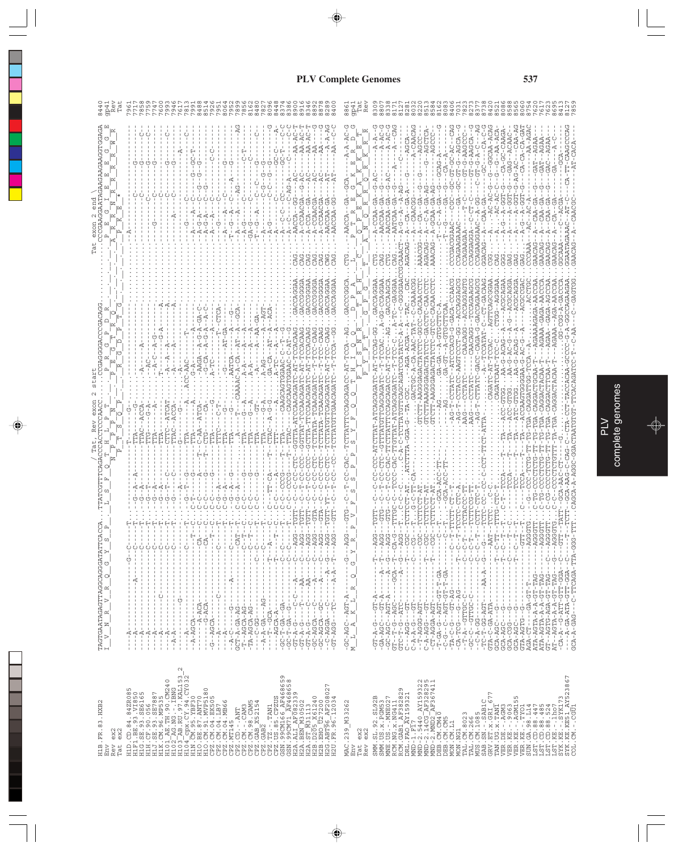| ì<br>š<br>۴ |   |  | ŕ |
|-------------|---|--|---|
|             | ì |  |   |
|             |   |  |   |
|             |   |  |   |
| è           |   |  |   |

|                                                                                                                                                                                                                                                                                                         | Ā<br>!<br>$-4$ | -CAACA<br>$A - AC$ .<br>ひひひ<br>AGCA<br>lα                                                                                                                                                                                                                                                                                                                                                                                                                                                                                        |
|---------------------------------------------------------------------------------------------------------------------------------------------------------------------------------------------------------------------------------------------------------------------------------------------------------|----------------|----------------------------------------------------------------------------------------------------------------------------------------------------------------------------------------------------------------------------------------------------------------------------------------------------------------------------------------------------------------------------------------------------------------------------------------------------------------------------------------------------------------------------------|
|                                                                                                                                                                                                                                                                                                         |                | œ<br>FC<br>-<br>てり                                                                                                                                                                                                                                                                                                                                                                                                                                                                                                               |
|                                                                                                                                                                                                                                                                                                         | ă              | AACCA<br>$\cdot$ ල                                                                                                                                                                                                                                                                                                                                                                                                                                                                                                               |
|                                                                                                                                                                                                                                                                                                         |                |                                                                                                                                                                                                                                                                                                                                                                                                                                                                                                                                  |
|                                                                                                                                                                                                                                                                                                         |                |                                                                                                                                                                                                                                                                                                                                                                                                                                                                                                                                  |
|                                                                                                                                                                                                                                                                                                         |                |                                                                                                                                                                                                                                                                                                                                                                                                                                                                                                                                  |
|                                                                                                                                                                                                                                                                                                         |                |                                                                                                                                                                                                                                                                                                                                                                                                                                                                                                                                  |
|                                                                                                                                                                                                                                                                                                         |                |                                                                                                                                                                                                                                                                                                                                                                                                                                                                                                                                  |
|                                                                                                                                                                                                                                                                                                         |                |                                                                                                                                                                                                                                                                                                                                                                                                                                                                                                                                  |
|                                                                                                                                                                                                                                                                                                         |                |                                                                                                                                                                                                                                                                                                                                                                                                                                                                                                                                  |
|                                                                                                                                                                                                                                                                                                         |                | $\left[ \begin{matrix} 1 \\ -1 \end{matrix} \right]$<br>$\rightarrow$<br>$\frac{1}{2}$<br>י ט                                                                                                                                                                                                                                                                                                                                                                                                                                    |
|                                                                                                                                                                                                                                                                                                         |                | Ŧ,<br>$\alpha$<br>-171<br>$\approx$                                                                                                                                                                                                                                                                                                                                                                                                                                                                                              |
| $\begin{tabular}{ll} \multicolumn{2}{l}{{\tt TAGTGRARGATRGCAGGATATTC}}\\ \multicolumn{2}{l}{\tt I} & {\tt V} & {\tt R} & {\tt V} & {\tt Q} & {\tt G} & {\tt Y} & {\tt S} \\ \multicolumn{2}{l}{\tt I} & {\tt V} & {\tt N} & {\tt R} & {\tt V} & {\tt Q} & {\tt G} & {\tt Y} & {\tt S} \\ \end{tabular}$ |                | $\begin{array}{rll} &\texttt{d} p_1 & \texttt{d} q_2 & \texttt{d} q_3 & \texttt{d} q_2 & \texttt{d} q_3 & \texttt{d} q_3 & \texttt{d} q_2 & \texttt{d} q_3 & \texttt{d} q_3 & \texttt{d} q_3 & \texttt{d} q_3 & \texttt{d} q_3 & \texttt{d} q_3 & \texttt{d} q_3 & \texttt{d} q_3 & \texttt{d} q_3 & \texttt{d} q_3 & \texttt{d} q_3 & \texttt{d} q_3 & \texttt{d} q_3 & \texttt{d} q_3 & \$<br>$\underbrace{\begin{array}{c} \text{G}\text{C}-\text{AG}\text{C}--\text{AG}\text{T}-\text{A}-\\ \text{L}\end{array}}_{\text{L}}$ |
|                                                                                                                                                                                                                                                                                                         | $\mathcal{Q}$  | $\mathop{\boxtimes}$                                                                                                                                                                                                                                                                                                                                                                                                                                                                                                             |
| $3.$ HXB <sub>2</sub>                                                                                                                                                                                                                                                                                   |                | SMM. SL. 92. SL92B<br>SMM. US. x. PCM53<br>MNE. US. - MNE027<br>MNE. US. - MNE027<br>RCM. GAB1. AF382829<br>DRL. FAO_AY159321                                                                                                                                                                                                                                                                                                                                                                                                    |
| $_{\infty}$<br>H1B.FR.<br>$ex2$<br>ex2<br>ev<br>Pat<br>$_{\rm{Env}}$                                                                                                                                                                                                                                    |                | MAC.239_M33262<br>Env<br>$ex2$<br>ex2<br>Jat.<br>Rev                                                                                                                                                                                                                                                                                                                                                                                                                                                                             |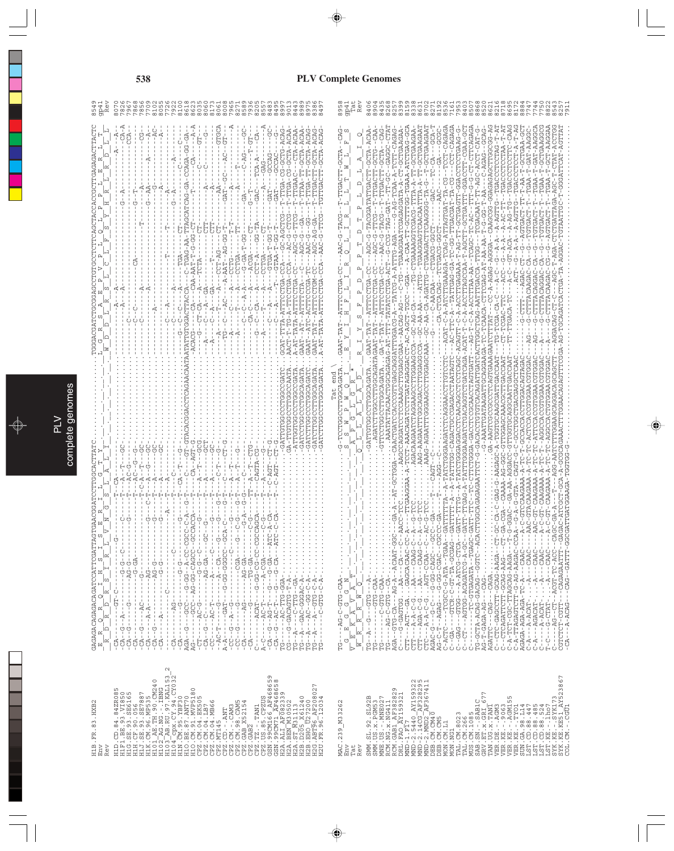| ì<br>ř<br>ř<br>ĭ |
|------------------|
| í                |
|                  |

ဒ္၀

mes

| H1B.FR.83.HXB2<br>Env                                                                                                                                                                                                                                                                                                                                                                                | GAGAGAGAGAGACAGATCCATTCGATTI                                                                                                                                                                                                                                                                                                                                                                                                                              |               |
|------------------------------------------------------------------------------------------------------------------------------------------------------------------------------------------------------------------------------------------------------------------------------------------------------------------------------------------------------------------------------------------------------|-----------------------------------------------------------------------------------------------------------------------------------------------------------------------------------------------------------------------------------------------------------------------------------------------------------------------------------------------------------------------------------------------------------------------------------------------------------|---------------|
| Rev                                                                                                                                                                                                                                                                                                                                                                                                  | 니<br>Н<br>Ιĸ<br>S<br>⊢<br>Ξ<br> ഗ<br>$\mapsto$<br>Ιĸ<br>$\circ$<br>∣q<br>$\simeq$<br>l≃<br>$\circ$<br>∣≏<br>α<br>l≃<br>凹                                                                                                                                                                                                                                                                                                                                  |               |
|                                                                                                                                                                                                                                                                                                                                                                                                      | $-1$<br>$-9 - 9 - -$<br>t<br>$-10-10-1$<br>J.<br>$- -A - -$<br>$\frac{1}{1}$<br>1<br>$-CA$ -                                                                                                                                                                                                                                                                                                                                                              |               |
|                                                                                                                                                                                                                                                                                                                                                                                                      | $-45 - - - - -$<br>$- - P - - -$<br>$-1$ $-1$ $-1$ $-1$ $-1$ $-1$<br>$\mathbf{I}$<br>$\mathbf{I}$<br>$\,$ $\,$<br>$\frac{1}{1}$<br>$\frac{1}{1}$<br>$-CA - C$<br>÷,<br>-CA                                                                                                                                                                                                                                                                                |               |
|                                                                                                                                                                                                                                                                                                                                                                                                      | ţ.<br>$\begin{array}{c}\n1 \\ 0 \\ 1\n\end{array}$<br>$- - - P_1 C - - - -$                                                                                                                                                                                                                                                                                                                                                                               |               |
|                                                                                                                                                                                                                                                                                                                                                                                                      | $\,$ I<br>$\mathbf{I}$<br>$-4G-$<br>$\,$ l<br>÷<br>J.<br>$\frac{1}{4}$<br>$- -A - A -$                                                                                                                                                                                                                                                                                                                                                                    |               |
| $\mathcal{L}$                                                                                                                                                                                                                                                                                                                                                                                        | ÷<br>J.<br>$\mathbf{I}$<br>$\frac{1}{4}$<br>$\frac{1}{1}$<br>U-U-I-<br>$\frac{1}{1}$<br>$-1$<br>$\frac{1}{4}$<br>$- - - - - - - - - - - - -$<br>$-CA$ --                                                                                                                                                                                                                                                                                                  |               |
|                                                                                                                                                                                                                                                                                                                                                                                                      | $-1 - 1 - 1$                                                                                                                                                                                                                                                                                                                                                                                                                                              |               |
|                                                                                                                                                                                                                                                                                                                                                                                                      | $\blacksquare$<br>$-9-9-$<br>ャ<br>İ<br>$-CA$ -                                                                                                                                                                                                                                                                                                                                                                                                            |               |
|                                                                                                                                                                                                                                                                                                                                                                                                      | AGA---G----G-C----G-G---A-CC--CG<br>AG---------GCC---AG--CAGCC---                                                                                                                                                                                                                                                                                                                                                                                         |               |
|                                                                                                                                                                                                                                                                                                                                                                                                      | ÷                                                                                                                                                                                                                                                                                                                                                                                                                                                         |               |
|                                                                                                                                                                                                                                                                                                                                                                                                      | ں<br>ا                                                                                                                                                                                                                                                                                                                                                                                                                                                    |               |
|                                                                                                                                                                                                                                                                                                                                                                                                      |                                                                                                                                                                                                                                                                                                                                                                                                                                                           |               |
|                                                                                                                                                                                                                                                                                                                                                                                                      | ÷<br>$\frac{1}{\sqrt{2}}$<br>÷<br>$- -A - C$<br>$-5 - - -$<br>$\,$ l<br>$A - A - -$                                                                                                                                                                                                                                                                                                                                                                       |               |
|                                                                                                                                                                                                                                                                                                                                                                                                      | ں<br>ا<br>じーー<br>÷<br><b>P--DD-</b>                                                                                                                                                                                                                                                                                                                                                                                                                       |               |
|                                                                                                                                                                                                                                                                                                                                                                                                      | Ť<br>- - 45-54-------<br>$- - - - -$<br>$-CA$ -                                                                                                                                                                                                                                                                                                                                                                                                           |               |
|                                                                                                                                                                                                                                                                                                                                                                                                      | )U-UU-UU-UU-UU-U----HKUK「-----<br>-------TG-GA<br>- CA------------<br>J.<br>U                                                                                                                                                                                                                                                                                                                                                                             |               |
|                                                                                                                                                                                                                                                                                                                                                                                                      | A-C------AC-T----------CGA<br>-CA--G--AG-T----G-GA                                                                                                                                                                                                                                                                                                                                                                                                        |               |
|                                                                                                                                                                                                                                                                                                                                                                                                      | $- - - A$<br>$-CA - - A$                                                                                                                                                                                                                                                                                                                                                                                                                                  |               |
|                                                                                                                                                                                                                                                                                                                                                                                                      |                                                                                                                                                                                                                                                                                                                                                                                                                                                           |               |
|                                                                                                                                                                                                                                                                                                                                                                                                      | $\vdots$<br>$-1 - 1 - 0 - 0$<br>ġ                                                                                                                                                                                                                                                                                                                                                                                                                         |               |
|                                                                                                                                                                                                                                                                                                                                                                                                      | $-4A - -1C - TTC - 1CA - 1$<br>Ė                                                                                                                                                                                                                                                                                                                                                                                                                          |               |
|                                                                                                                                                                                                                                                                                                                                                                                                      | Ë<br>Ë                                                                                                                                                                                                                                                                                                                                                                                                                                                    |               |
|                                                                                                                                                                                                                                                                                                                                                                                                      | Ė                                                                                                                                                                                                                                                                                                                                                                                                                                                         |               |
|                                                                                                                                                                                                                                                                                                                                                                                                      |                                                                                                                                                                                                                                                                                                                                                                                                                                                           |               |
| MAC.239 M33262                                                                                                                                                                                                                                                                                                                                                                                       | ATTTCCTGA<br>H F I.<br>ひけけひひひけけひり<br>$\ddot{\phantom{0}}$<br>$\vdots$<br>- 1 - 440 - 515 - 0 - 54 - - -<br>Ė                                                                                                                                                                                                                                                                                                                                              | CAG           |
| $_{\rm{Env}}$<br>Tat                                                                                                                                                                                                                                                                                                                                                                                 | $\frac{1}{1}$<br>Ļ.<br>F<br>Z<br>∣⊄<br>$\circ$<br>$\frac{1}{2}$<br>$\mathbf{r}$<br>U<br>$\mathbb k$<br>$[1] \centering% \includegraphics[width=1.0\textwidth]{Figures/PD1.png} \caption{The 3D (black) model for the $z$-axis. The left is the same time, the right is the same time. The right is the same time, the right is the same time.} \label{fig5}$<br><b>F</b><br>Ü<br>♭                                                                        |               |
| Rev                                                                                                                                                                                                                                                                                                                                                                                                  | $\circ$<br>Þ<br>İα<br>Ιc<br>İα<br> ≍                                                                                                                                                                                                                                                                                                                                                                                                                      |               |
| SMM. SL. 92. SL92B                                                                                                                                                                                                                                                                                                                                                                                   | $-4 -$<br>$-575 -$<br>$TG - -A - -G -$                                                                                                                                                                                                                                                                                                                                                                                                                    |               |
| SMM. US. x. PCM53<br>MNE. US. - MNE027<br>RCM. NG. x. NG411<br>RCM. GAB1_AF382829<br>DRL. FAO_AY159321                                                                                                                                                                                                                                                                                               | $-GTC-CAA-$<br>$-C-CTC-CFA-$<br>$\,$ I<br>$\frac{1}{4}$<br>입<br>Ė                                                                                                                                                                                                                                                                                                                                                                                         |               |
|                                                                                                                                                                                                                                                                                                                                                                                                      |                                                                                                                                                                                                                                                                                                                                                                                                                                                           |               |
|                                                                                                                                                                                                                                                                                                                                                                                                      | TG-----AG-C-GTG--CA--<br>AGA--GTG-CA---AG-A--ACAAT-GG<br>C-----G-GAGTGGAA---CA---C-                                                                                                                                                                                                                                                                                                                                                                       |               |
|                                                                                                                                                                                                                                                                                                                                                                                                      |                                                                                                                                                                                                                                                                                                                                                                                                                                                           |               |
| MND-1:1777<br>MND-2:5440 AY159322<br>MND-2:MAD2_AP159325<br>MND-2:MND2_AP367411<br>DBB:CM.CM40<br>MOR:CM.CM40                                                                                                                                                                                                                                                                                        | $\begin{array}{l} \texttt{CTT}^{\texttt{1}} \texttt{-} \texttt{ACT}^{\texttt{1}} \texttt{-} \texttt{G}\texttt{X} \texttt{1}, \texttt{G}\texttt{A}\texttt{B}\texttt{A}\texttt{A}\texttt{A}\texttt{C} \texttt{-} \texttt{C}\texttt{C} \texttt{-} \texttt{i} \\ \texttt{CCT}^{\texttt{1}} \texttt{-} \texttt{A}\texttt{B}\texttt{A} \texttt{C} \texttt{-} \texttt{G} \texttt{1}, \texttt{A}\texttt{A} \texttt{-} \texttt{-} \texttt{C}\texttt{B}\texttt{A}\$ |               |
|                                                                                                                                                                                                                                                                                                                                                                                                      |                                                                                                                                                                                                                                                                                                                                                                                                                                                           |               |
|                                                                                                                                                                                                                                                                                                                                                                                                      |                                                                                                                                                                                                                                                                                                                                                                                                                                                           |               |
|                                                                                                                                                                                                                                                                                                                                                                                                      |                                                                                                                                                                                                                                                                                                                                                                                                                                                           |               |
|                                                                                                                                                                                                                                                                                                                                                                                                      | U                                                                                                                                                                                                                                                                                                                                                                                                                                                         |               |
| <b>ISDN. NOW</b>                                                                                                                                                                                                                                                                                                                                                                                     | - KULU - UULK - K - - - - UULU - - - UKU - -<br>U<br>U                                                                                                                                                                                                                                                                                                                                                                                                    |               |
|                                                                                                                                                                                                                                                                                                                                                                                                      |                                                                                                                                                                                                                                                                                                                                                                                                                                                           |               |
|                                                                                                                                                                                                                                                                                                                                                                                                      | C - - CT - - - AGTGG - ACAGATCG - A - GC<br>C - - - - - - - - - TC - GTGAGATA - - TGAG<br>TG - GCTA - ACAG - GACAG - - GGTC - - AC                                                                                                                                                                                                                                                                                                                        | $-CA$         |
|                                                                                                                                                                                                                                                                                                                                                                                                      |                                                                                                                                                                                                                                                                                                                                                                                                                                                           |               |
|                                                                                                                                                                                                                                                                                                                                                                                                      |                                                                                                                                                                                                                                                                                                                                                                                                                                                           | <b>380050</b> |
|                                                                                                                                                                                                                                                                                                                                                                                                      |                                                                                                                                                                                                                                                                                                                                                                                                                                                           |               |
|                                                                                                                                                                                                                                                                                                                                                                                                      |                                                                                                                                                                                                                                                                                                                                                                                                                                                           |               |
|                                                                                                                                                                                                                                                                                                                                                                                                      |                                                                                                                                                                                                                                                                                                                                                                                                                                                           |               |
|                                                                                                                                                                                                                                                                                                                                                                                                      |                                                                                                                                                                                                                                                                                                                                                                                                                                                           |               |
|                                                                                                                                                                                                                                                                                                                                                                                                      |                                                                                                                                                                                                                                                                                                                                                                                                                                                           |               |
|                                                                                                                                                                                                                                                                                                                                                                                                      |                                                                                                                                                                                                                                                                                                                                                                                                                                                           |               |
| $\begin{array}{l} \text{TAU}, \text{700}, \text{701}, \text{701}, \text{8023} \\ \text{TAU}, \text{206}, \text{126}, \text{126}, \text{126}, \text{127}, \text{128}, \text{128}, \text{128}, \text{129}, \text{120}, \text{120}, \text{120}, \text{120}, \text{120}, \text{120}, \text{120}, \text{120}, \text{120}, \text{120}, \text{120}, \text{120}, \text{120}, \text{120}, \text{120}, \text{$ |                                                                                                                                                                                                                                                                                                                                                                                                                                                           |               |
|                                                                                                                                                                                                                                                                                                                                                                                                      |                                                                                                                                                                                                                                                                                                                                                                                                                                                           |               |
|                                                                                                                                                                                                                                                                                                                                                                                                      |                                                                                                                                                                                                                                                                                                                                                                                                                                                           |               |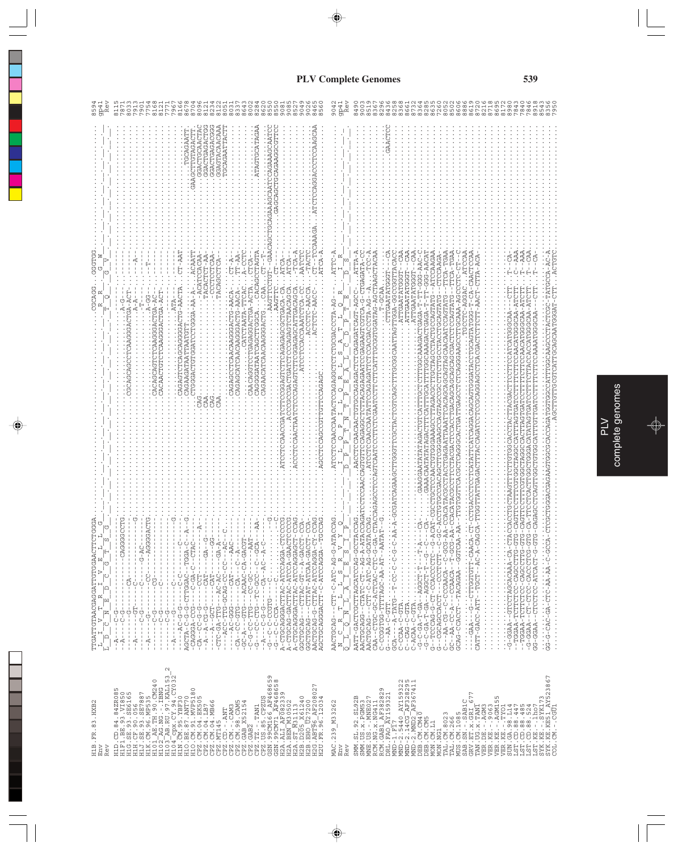| H1B.FR.83.HXB2<br>Env<br>Rev                                                                                                                                                                                                                                                                                                                                                       | CCCCCCCC<br>CGACO.<br>CTGGGA<br>TTGATTGTAACGAGGATTGTGGAACTT<br>L I V T R I V E L                                                                                                                                                                                                                                                                                                                                                                                                                                                                                                                                                                                     | 8594                       |
|------------------------------------------------------------------------------------------------------------------------------------------------------------------------------------------------------------------------------------------------------------------------------------------------------------------------------------------------------------------------------------|----------------------------------------------------------------------------------------------------------------------------------------------------------------------------------------------------------------------------------------------------------------------------------------------------------------------------------------------------------------------------------------------------------------------------------------------------------------------------------------------------------------------------------------------------------------------------------------------------------------------------------------------------------------------|----------------------------|
|                                                                                                                                                                                                                                                                                                                                                                                    | Z<br>Ü<br>lU<br>q<br>10<br>叱<br><sub>다.</sub><br>้∣∺<br>$\left\vert \mathcal{D}\right\vert ^{\mathcal{O}}$<br>$\frac{1}{2}$<br>` A<br>้¦¤<br>$\mathbb{R}^{ {\mathbf{Z}} }$<br>ှ<br> ပ<br>$\mathbf{q}^{\mathbf{p}^{\mathbf{q}}}$<br>$\overline{a}$                                                                                                                                                                                                                                                                                                                                                                                                                    | <b>9P41</b><br>Rev         |
|                                                                                                                                                                                                                                                                                                                                                                                    |                                                                                                                                                                                                                                                                                                                                                                                                                                                                                                                                                                                                                                                                      |                            |
| $\begin{small} \text{HD} & \text{CD} & 84. & 842\text{R}085\\ \text{HD} & \text{CD} & 84. & 842\text{R}085\\ \text{HL} & \text{CD} & 35. & 1155\\ \text{HL} & \text{CD} & 35. & 1155\\ \text{HL} & \text{CD} & 30. & 056\\ \text{HL} & \text{CD} & 30. & 056\\ \text{HL} & \text{CD} & 30. & 056\\ \text{HL} & \text{CD} & \text{CD} & 37. & 1841\\ \text{HL} & \text{CD} & \text$ | $A - G$<br><b>SCCCLC</b><br>$-CAGC$<br>÷<br>$\begin{bmatrix} 1 & 1 & 1 & 1 \\ 1 & 1 & 1 & 1 \\ 0 & 1 & 1 & 1 \\ 0 & 0 & 1 & 1 \\ 0 & 0 & 1 & 1 \\ 0 & 0 & 1 & 1 \\ 0 & 0 & 1 & 1 \\ 0 & 0 & 1 & 1 \\ 0 & 0 & 1 & 1 \\ 0 & 0 & 1 & 1 \\ 0 & 0 & 1 & 1 \\ 0 & 0 & 1 & 1 \\ 0 & 0 & 1 & 1 \\ 0 & 0 & 1 & 1 & 1 \\ 0 & 0 & 1 & 1 & 1 \\ 0 & 0 & 1 & 1 & 1 \\ 0 & 0 & 1 & 1 & $<br>$-A--$<br>$-$ A $-$                                                                                                                                                                                                                                                                    |                            |
|                                                                                                                                                                                                                                                                                                                                                                                    | CGCAGCAGCAGGAODOOKOOO<br>$- -C A - - -$                                                                                                                                                                                                                                                                                                                                                                                                                                                                                                                                                                                                                              |                            |
|                                                                                                                                                                                                                                                                                                                                                                                    | ₹,<br>- A-A-<br>ひ<br>$--CT--$<br>$-4 - -$                                                                                                                                                                                                                                                                                                                                                                                                                                                                                                                                                                                                                            | 긁                          |
|                                                                                                                                                                                                                                                                                                                                                                                    | $-10-7-10$<br>$- -C - - -$<br>$-5 - 7 - 1 - 1$                                                                                                                                                                                                                                                                                                                                                                                                                                                                                                                                                                                                                       | $\degree$                  |
|                                                                                                                                                                                                                                                                                                                                                                                    | Ę<br>$.A-GG$<br><b>SGACTG</b><br>$-4GC$<br>$\mathsf I$<br>$\mathbf{I}$<br>$\,$ I<br>$\begin{array}{c}\n1 \\ 0 \\ 1\n\end{array}$<br>$- A -$                                                                                                                                                                                                                                                                                                                                                                                                                                                                                                                          |                            |
|                                                                                                                                                                                                                                                                                                                                                                                    | CACAGCAGTCLAGGACTGA-AC                                                                                                                                                                                                                                                                                                                                                                                                                                                                                                                                                                                                                                               | ৩                          |
|                                                                                                                                                                                                                                                                                                                                                                                    | CACACUROOCACULOHOLOGIO                                                                                                                                                                                                                                                                                                                                                                                                                                                                                                                                                                                                                                               |                            |
| $\sim$                                                                                                                                                                                                                                                                                                                                                                             |                                                                                                                                                                                                                                                                                                                                                                                                                                                                                                                                                                                                                                                                      |                            |
|                                                                                                                                                                                                                                                                                                                                                                                    | ATA-<br>U                                                                                                                                                                                                                                                                                                                                                                                                                                                                                                                                                                                                                                                            | 96                         |
|                                                                                                                                                                                                                                                                                                                                                                                    | $CT-AA$<br>CAGAGTCECAGGGGGACTG-AACTA                                                                                                                                                                                                                                                                                                                                                                                                                                                                                                                                                                                                                                 | ৩                          |
|                                                                                                                                                                                                                                                                                                                                                                                    | TGCAGAATT<br>GAAGCTTGTAGACTT<br>. ACAATT<br>UPPROGRAMMENT IN HEATHER - AA-A-<br>UPPROGRAMMENT IN HEATHER<br>CAGAAGATAATTAATGTT<br>Ü<br>$\vec{A}$                                                                                                                                                                                                                                                                                                                                                                                                                                                                                                                     | ۱Ó                         |
|                                                                                                                                                                                                                                                                                                                                                                                    | GGACTGAACTA<br>- A - A CALI<br>- A CATCCACAA                                                                                                                                                                                                                                                                                                                                                                                                                                                                                                                                                                                                                         | ጣ<br>$\circ$               |
|                                                                                                                                                                                                                                                                                                                                                                                    | CHOACHOACH<br>TACACTCT-AA<br>AA<br>$\begin{array}{l} \begin{array}{l} \rule{0pt}{25pt} \rule{0pt}{25pt} \rule{0pt}{25pt} \rule{0pt}{25pt} \rule{0pt}{25pt} \rule{0pt}{25pt} \rule{0pt}{25pt} \rule{0pt}{25pt} \rule{0pt}{25pt} \rule{0pt}{25pt} \rule{0pt}{25pt} \rule{0pt}{25pt} \rule{0pt}{25pt} \rule{0pt}{25pt} \rule{0pt}{25pt} \rule{0pt}{25pt} \rule{0pt}{25pt} \rule{0pt}{25pt} \rule{0pt}{25pt} \rule{0pt}{25pt} \rule{0pt}{$                                                                                                                                                                                                                               |                            |
|                                                                                                                                                                                                                                                                                                                                                                                    | <b>UUURURULURUU</b><br>ARUHUUHUU -<br>.<br>CAG                                                                                                                                                                                                                                                                                                                                                                                                                                                                                                                                                                                                                       |                            |
|                                                                                                                                                                                                                                                                                                                                                                                    | GGAGTACAACAAA<br>TACAGCCTCA<br>CAA                                                                                                                                                                                                                                                                                                                                                                                                                                                                                                                                                                                                                                   | 23/12                      |
|                                                                                                                                                                                                                                                                                                                                                                                    | TGCAGAATTACT                                                                                                                                                                                                                                                                                                                                                                                                                                                                                                                                                                                                                                                         | 05                         |
|                                                                                                                                                                                                                                                                                                                                                                                    | CULCAACAAGGACTO-AACA- CT-A-<br>CAGAG                                                                                                                                                                                                                                                                                                                                                                                                                                                                                                                                                                                                                                 | $\circ$                    |
|                                                                                                                                                                                                                                                                                                                                                                                    | $TT - AA$<br>CAGAGCATCAACAAGGACTG-AACA-.                                                                                                                                                                                                                                                                                                                                                                                                                                                                                                                                                                                                                             |                            |
|                                                                                                                                                                                                                                                                                                                                                                                    | $\therefore$ A-CCTC<br>$-92450 - 7440 - -120240 - -4240$                                                                                                                                                                                                                                                                                                                                                                                                                                                                                                                                                                                                             | 33.4<br>$\infty$           |
|                                                                                                                                                                                                                                                                                                                                                                                    | CTCA-                                                                                                                                                                                                                                                                                                                                                                                                                                                                                                                                                                                                                                                                | $\overline{0}$<br>$\infty$ |
|                                                                                                                                                                                                                                                                                                                                                                                    | ATAGTGCATAGAA<br>CAGGGGATAATCAGCTIGGATAATAAGTA<br>$-AA$                                                                                                                                                                                                                                                                                                                                                                                                                                                                                                                                                                                                              | $\frac{8}{2}$              |
|                                                                                                                                                                                                                                                                                                                                                                                    | CAACT--T--<br>AAGTTCCTGT--GAACAG<br>$CT - -T$<br>CAGAACAACAACGAACTO                                                                                                                                                                                                                                                                                                                                                                                                                                                                                                                                                                                                  | $\mathbb{S}^2$             |
|                                                                                                                                                                                                                                                                                                                                                                                    | CTGCAGAAAGCAAACAAAAGCAATCC<br>$\vdots$                                                                                                                                                                                                                                                                                                                                                                                                                                                                                                                                                                                                                               | LN.                        |
|                                                                                                                                                                                                                                                                                                                                                                                    | UULLUUUUCAGAGUUUUUCU<br>$\ddot{C}$ .<br><b>AAGTTC</b>                                                                                                                                                                                                                                                                                                                                                                                                                                                                                                                                                                                                                | L<br>ம                     |
|                                                                                                                                                                                                                                                                                                                                                                                    | ATCA-<br>ATCCTCCAACCGATCTTCCGAGTCAGAGAGAGCGCTGACA-CA<br>CCCCG<br>-G--C-C-CCA------C<br>A-CTGCAGGGACTTAC-ATCCAGGA-C                                                                                                                                                                                                                                                                                                                                                                                                                                                                                                                                                   | $\frac{8}{2}$              |
|                                                                                                                                                                                                                                                                                                                                                                                    | ATCA-<br>ACCCCCCACTOROAGAGECTARCACA<br>UU<br>UU<br>Ū<br>A-CTGCAG-GACTTAC-ATCCA-GAAC                                                                                                                                                                                                                                                                                                                                                                                                                                                                                                                                                                                  | $\frac{8}{3}$              |
|                                                                                                                                                                                                                                                                                                                                                                                    | $-TCA-$<br>under der Straten der Straten under Straten under Straten under Schweizung der Straten under Straten under Str<br>1990 – Straten und der Straten under Straten under Straten und der Straten under Straten under Straten und der<br>-CCAG<br>A-CTGCAGGACTTAC-ATCCAGGAG                                                                                                                                                                                                                                                                                                                                                                                    | ١Ω                         |
|                                                                                                                                                                                                                                                                                                                                                                                    | AATCTC<br>U<br>U<br>J<br>ATCCTCCACCAAATCTCA<br>$-CCA$                                                                                                                                                                                                                                                                                                                                                                                                                                                                                                                                                                                                                | 04                         |
|                                                                                                                                                                                                                                                                                                                                                                                    | TACTC<br>-AACCA<br>ACCCTC<br>$-CCA$                                                                                                                                                                                                                                                                                                                                                                                                                                                                                                                                                                                                                                  | $\circ$                    |
| $\overline{ }$                                                                                                                                                                                                                                                                                                                                                                     | CCAAGCA<br>. ATCTCCAGAC<br>$- - TCCA$<br>E<br>ACTCTC-AACC<br>-CCAG<br>GGCTGCAG---CTTAC-GT--A-GAC<br>GGCTGCAG---CTTAT-ATCAA-GAC<br>AACTGCAG-G-CTTAC-ATCCAGGA-C                                                                                                                                                                                                                                                                                                                                                                                                                                                                                                        | 4                          |
| H2A.ST M31113<br>H2B.D205 X61240<br>H2B.BHO U27200<br>H2G.ABT96 AF208027<br>H2U.FR.96.12034                                                                                                                                                                                                                                                                                        | ATCA-<br><b>OUNCAULTERT CONCORDITIONS</b><br>TGCCAG<br>AGCTGCAGGACTT-C-ATCCAGGA                                                                                                                                                                                                                                                                                                                                                                                                                                                                                                                                                                                      | LN                         |
|                                                                                                                                                                                                                                                                                                                                                                                    |                                                                                                                                                                                                                                                                                                                                                                                                                                                                                                                                                                                                                                                                      |                            |
| MAC.239_M33262                                                                                                                                                                                                                                                                                                                                                                     | ATTC-A<br>ATCUPCCAACCAATACAGAGAGUNDEOTOCAGOORI<br><b>TACCAG</b>                                                                                                                                                                                                                                                                                                                                                                                                                                                                                                                                                                                                      | 904                        |
| Env                                                                                                                                                                                                                                                                                                                                                                                | $\approx$<br>C)<br>$\Box$<br>$\mathbf{p}$<br>$\circ$<br>$\mathbf{\Omega}$<br>$\circ$<br>$\overline{a}$                                                                                                                                                                                                                                                                                                                                                                                                                                                                                                                                                               |                            |
| Rev                                                                                                                                                                                                                                                                                                                                                                                | lc)<br>$\Box$<br> ロ<br>ļΕ<br>回<br>$\overline{P}$<br>$\mathbb{H}$<br>Þ<br>$\mathbb{H}$<br>$\overline{P}$<br>$\overline{P}$<br>$\overline{a}$<br>$\begin{array}{cccccc} \text{AA}.\text{CTGCAG--CTT--C-TT--D--D-AG--D--P} & \text{N} & \text{C} & \text{R} & \text{T} & \text{L} & \text{S} & \text{R} & \text{V} \\ \text{N} & \text{C} & \text{R} & \text{T} & \text{L} & \text{L} & \text{S} & \text{R} & \text{V} \\ \hline \text{O} & \text{T} & \text{Q} & \text{N} & \text{T} & \text{L} & \text{A} & \text{T} & \text{E} & \text{S} \end{array}$<br>$\mathbb{H}^{\mathbb{H}^1}$<br>$\mathbf{H}_{\mathbf{A}_i}^{[n]}$<br>$\sum_{i=1}^{n}$<br>$\mathbf{r}$<br>ЮÏ |                            |
|                                                                                                                                                                                                                                                                                                                                                                                    |                                                                                                                                                                                                                                                                                                                                                                                                                                                                                                                                                                                                                                                                      |                            |
| $\mathbf{\underline{m}}$<br>SMM. SL. 92. SL92                                                                                                                                                                                                                                                                                                                                      | ATTA-A<br>UUUK - LUKULKUKUKULULUKUKUKUUUULUKKUKKUULUUKK .<br>1 IAN CAGAT CONSCIPT COAGE CAGAGA CAGAGA CAGAGA COGAGA CHOCO TO CAGA CAGA CHO CAGAGA CHO CAGAGA CHO CAGAGA CHO<br>TACCAG.<br>AATT-GACTCGTRAGCATCCAG-GC                                                                                                                                                                                                                                                                                                                                                                                                                                                  | 849                        |
|                                                                                                                                                                                                                                                                                                                                                                                    | -CTGAGATA-CC<br>AACTGCAGG--CTATC-DEATC-A-A-A-A-A                                                                                                                                                                                                                                                                                                                                                                                                                                                                                                                                                                                                                     |                            |
| SMM. US. x. PCM53<br>MNE. US. - MNE027<br>RCM. NG. x. NG411<br>RCM. GAB1_AF382829<br>DRL. FAO_AY159321                                                                                                                                                                                                                                                                             | $-TCC - A$<br>. ATCCTCCAACCAATATTCCAGAGATTCTCCACGACCCTA-AG<br>TACCAG.<br>ADD-DA-DHA-D-HHD----<br><b>AACTGCAG</b>                                                                                                                                                                                                                                                                                                                                                                                                                                                                                                                                                     |                            |
|                                                                                                                                                                                                                                                                                                                                                                                    | UAA-UCCC-G-UCC-UCLU--KKU                                                                                                                                                                                                                                                                                                                                                                                                                                                                                                                                                                                                                                             | v                          |
|                                                                                                                                                                                                                                                                                                                                                                                    | T-GCAA<br>$\vdots$<br>$\ddot{\phi}$<br>TAT<br>C-CCGFGG-AA-AA-AF-AA-AF                                                                                                                                                                                                                                                                                                                                                                                                                                                                                                                                                                                                | Ō                          |
|                                                                                                                                                                                                                                                                                                                                                                                    | GAACT<br>-CA                                                                                                                                                                                                                                                                                                                                                                                                                                                                                                                                                                                                                                                         |                            |
|                                                                                                                                                                                                                                                                                                                                                                                    | VKUKILPOOJOO - KOOLLOKILRYKOOOJOLLILOOKOLDOLLOKIDODLLOOOLLOOKKOKOLKOOO - K - KY -                                                                                                                                                                                                                                                                                                                                                                                                                                                                                                                                                                                    |                            |
| $\begin{array}{l} \begin{smallmatrix} \text{MWD-1} & \text{1.75} & \text{T1} & \text{T2} & \text{1.75} & \text{2.75} & \text{2.87} \\ \text{MWD-2} & 1.5440 & \text{AY15} & 932 \\ \text{MWD-2} & 1.5440 & \text{AY15} & 932 \\ \text{MWD-2} & 1.040 & \text{MWD-2} & \text{AFS} & 641 \\ \text{MWD-2} & 1.040 & \text{MWD-2} & \text{AFS} & 641 \\ \text{MWD-2} & 1.04$           | ATTGAATATGGT--CAA<br>C-CCAA-C                                                                                                                                                                                                                                                                                                                                                                                                                                                                                                                                                                                                                                        |                            |
|                                                                                                                                                                                                                                                                                                                                                                                    | ATTGAATATGGT--CAA                                                                                                                                                                                                                                                                                                                                                                                                                                                                                                                                                                                                                                                    |                            |
|                                                                                                                                                                                                                                                                                                                                                                                    | ATTGAATATGGT--CAA                                                                                                                                                                                                                                                                                                                                                                                                                                                                                                                                                                                                                                                    |                            |
|                                                                                                                                                                                                                                                                                                                                                                                    | -CAAGGAATATATAGACTGTCATTTGCTTGGCAAAGACTGAGA-T-TT-GGG-AAC-C                                                                                                                                                                                                                                                                                                                                                                                                                                                                                                                                                                                                           |                            |
|                                                                                                                                                                                                                                                                                                                                                                                    | RUARCOARCARTATATAGACOCORGAAAGGOUPETTTURUPETTEURIONATAG-AAGG-AAGG                                                                                                                                                                                                                                                                                                                                                                                                                                                                                                                                                                                                     |                            |
|                                                                                                                                                                                                                                                                                                                                                                                    | -- ATCCAAGAA<br>ひ片&けひ&ひひはけひ&けひひはけひのけけひのとより&けにはしひのよみはののははけりけんよひひけりけしひしひしゃ!                                                                                                                                                                                                                                                                                                                                                                                                                                                                                                                                                                                            |                            |
|                                                                                                                                                                                                                                                                                                                                                                                    | --CTCCAAGA<br>ひ片ないひないひけいひないひひにいひにいひひひじひないのはないひのなみののひしにいひないのなしひりにひにひしな!<br>じゅー                                                                                                                                                                                                                                                                                                                                                                                                                                                                                                                                                                                        |                            |
|                                                                                                                                                                                                                                                                                                                                                                                    | --TTCA-TGAA<br>UHAUDAOUHAAOAAODAHDAODAODAUAOHUHAAOHDAUUDOUAHUUODOAHAOAOU-AA                                                                                                                                                                                                                                                                                                                                                                                                                                                                                                                                                                                          |                            |
|                                                                                                                                                                                                                                                                                                                                                                                    | $-$ -TTCA-TGAA<br>- CCACATACOCCTTCCTACGACTCCACCAGCAGCAGCAGCGACCACCTCCAGTATG<br>$-AA$<br>C---AA-CG--C-CCCAACA--C-GCG<br>GC--AA-CC-A---CCAACA--T-GC                                                                                                                                                                                                                                                                                                                                                                                                                                                                                                                    |                            |
|                                                                                                                                                                                                                                                                                                                                                                                    | HU-UHUUUQK-KKKUUHHUUUKKUUUKUHUHUUQKUHHKUHUKUUDUKUHUUUKUHHUUHHH<br>$A - AA -$<br>GCACCACCACAGAA---TOOKOO                                                                                                                                                                                                                                                                                                                                                                                                                                                                                                                                                              |                            |
|                                                                                                                                                                                                                                                                                                                                                                                    | CCAA<br>$\ldots$ AT<br>CTC-AGGAC<br>Ŭ<br>TGC                                                                                                                                                                                                                                                                                                                                                                                                                                                                                                                                                                                                                         |                            |
|                                                                                                                                                                                                                                                                                                                                                                                    | SUSACAACHICAA<br>-CA-CAACHICAA<br>ę                                                                                                                                                                                                                                                                                                                                                                                                                                                                                                                                                                                                                                  |                            |
|                                                                                                                                                                                                                                                                                                                                                                                    | CATT-GACC-ATT--TGCT                                                                                                                                                                                                                                                                                                                                                                                                                                                                                                                                                                                                                                                  |                            |
|                                                                                                                                                                                                                                                                                                                                                                                    | LDAY-LLDULDUNDUYOLDOOYOOYOOYODULDOLAOYOUYLLDUYOYOLLYALLDOLLL-YOOY<br>$-4 - 2A - -$                                                                                                                                                                                                                                                                                                                                                                                                                                                                                                                                                                                   |                            |
|                                                                                                                                                                                                                                                                                                                                                                                    | $\ddot{\cdot}$                                                                                                                                                                                                                                                                                                                                                                                                                                                                                                                                                                                                                                                       |                            |
|                                                                                                                                                                                                                                                                                                                                                                                    |                                                                                                                                                                                                                                                                                                                                                                                                                                                                                                                                                                                                                                                                      | O                          |
|                                                                                                                                                                                                                                                                                                                                                                                    |                                                                                                                                                                                                                                                                                                                                                                                                                                                                                                                                                                                                                                                                      |                            |
|                                                                                                                                                                                                                                                                                                                                                                                    | <b>ARUOODLRULRUULLLUULLLUADURLLUALUURUDDLLULLLUARLLUDLUURUUR</b>                                                                                                                                                                                                                                                                                                                                                                                                                                                                                                                                                                                                     | 98                         |
|                                                                                                                                                                                                                                                                                                                                                                                    | $-AAA$<br>GTGGCTAGCCATTTAGTGATCCTTTCTTCCAACATGGGCAA-ATCTT<br>ひけけけひけけのより!                                                                                                                                                                                                                                                                                                                                                                                                                                                                                                                                                                                             | $\infty$                   |
|                                                                                                                                                                                                                                                                                                                                                                                    | $-AA$<br>HTOHT-TAOOODHAOKAOOHHOHHHHOOHAOHOKHHOAOOOOKHOOOHHDOHHHOOHHOAO-                                                                                                                                                                                                                                                                                                                                                                                                                                                                                                                                                                                              |                            |
|                                                                                                                                                                                                                                                                                                                                                                                    | $T - CAA$<br>-CA-TTCCTCACTTGGCTGGACATATAGTGATCCTTTCTTACCACCATGGGCAA-ATCTT                                                                                                                                                                                                                                                                                                                                                                                                                                                                                                                                                                                            |                            |
|                                                                                                                                                                                                                                                                                                                                                                                    | $CA -$<br>- ללטטטטבלל לאלטטברים הוא לטאר לאפיר המטטס לאפיר המטטס המטטסט                                                                                                                                                                                                                                                                                                                                                                                                                                                                                                                                                                                              |                            |
|                                                                                                                                                                                                                                                                                                                                                                                    |                                                                                                                                                                                                                                                                                                                                                                                                                                                                                                                                                                                                                                                                      |                            |
|                                                                                                                                                                                                                                                                                                                                                                                    |                                                                                                                                                                                                                                                                                                                                                                                                                                                                                                                                                                                                                                                                      |                            |
|                                                                                                                                                                                                                                                                                                                                                                                    | .ACTGTC<br>HHU-HRUUUHRRUURUUHHRUHUUUHHUHHUUR                                                                                                                                                                                                                                                                                                                                                                                                                                                                                                                                                                                                                         |                            |
|                                                                                                                                                                                                                                                                                                                                                                                    |                                                                                                                                                                                                                                                                                                                                                                                                                                                                                                                                                                                                                                                                      |                            |
|                                                                                                                                                                                                                                                                                                                                                                                    |                                                                                                                                                                                                                                                                                                                                                                                                                                                                                                                                                                                                                                                                      |                            |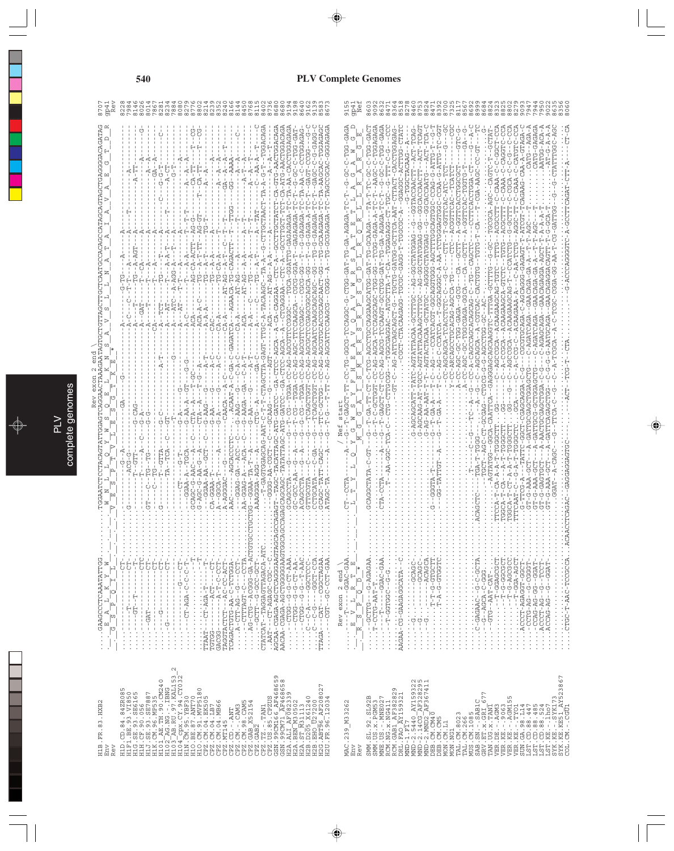| ŕ<br>ŕ.<br>ì |
|--------------|
|              |
| ŕ<br>r       |

| ACAGATAG<br>T n R<br>$\Box$                                                                 |                                                                                                                                                                                                                                                                                                                                                                                                                                                                                                                                                                                                                                                                                                                                                                                                                                                                                                                                                                                                                                                                                                                                                                                                                                                                                                                                                                                                                                                                                                                                                                                                                                                                                                                                                                | $-100$<br>$\circ$<br>GACAGA<br><b>AACTGGACAG</b><br>-CCTGGAGA<br>$-1$<br>$-1$<br>יירי<br>ווו                                                                                                                                                                                                                                                                                                                                                                                                                                                                                                                                                                                                                                                                                                                                                                                                                                                                                                                                                                                                                                                                                                                                       |
|---------------------------------------------------------------------------------------------|----------------------------------------------------------------------------------------------------------------------------------------------------------------------------------------------------------------------------------------------------------------------------------------------------------------------------------------------------------------------------------------------------------------------------------------------------------------------------------------------------------------------------------------------------------------------------------------------------------------------------------------------------------------------------------------------------------------------------------------------------------------------------------------------------------------------------------------------------------------------------------------------------------------------------------------------------------------------------------------------------------------------------------------------------------------------------------------------------------------------------------------------------------------------------------------------------------------------------------------------------------------------------------------------------------------------------------------------------------------------------------------------------------------------------------------------------------------------------------------------------------------------------------------------------------------------------------------------------------------------------------------------------------------------------------------------------------------------------------------------------------------|------------------------------------------------------------------------------------------------------------------------------------------------------------------------------------------------------------------------------------------------------------------------------------------------------------------------------------------------------------------------------------------------------------------------------------------------------------------------------------------------------------------------------------------------------------------------------------------------------------------------------------------------------------------------------------------------------------------------------------------------------------------------------------------------------------------------------------------------------------------------------------------------------------------------------------------------------------------------------------------------------------------------------------------------------------------------------------------------------------------------------------------------------------------------------------------------------------------------------------|
| 5<br>$\overline{\text{CA}}$<br>$\begin{array}{c}\n\Box \\ \Box \\ \Box\n\end{array}$<br>-11 | <b>AAAA</b><br>--A--T<br>--AA-A<br>$-TA - A - G -$<br>$A - AA - C$<br>$A-T$<br>W<br>44<br>$-CA-GTG$<br>G<br>S<br>HH<br>$\begin{array}{l} \texttt{-}\texttt{G}\texttt{C}\texttt{CT}\texttt{T}\texttt{G}\texttt{CT}\texttt{2}\texttt{TC}\texttt{T} \\ \texttt{-}\texttt{G}\texttt{C}\texttt{CT}\texttt{T}\texttt{G}\texttt{CT}\texttt{-}\texttt{TC}\texttt{T} \end{array}$<br>$-$ -TAT<br>-G-CTTGCTAA<br>부<br>۳<br>-<br>Ť<br>÷<br>$\frac{1}{1}$<br>÷<br>÷                                                                                                                                                                                                                                                                                                                                                                                                                                                                                                                                                                                                                                                                                                                                                                                                                                                                                                                                                                                                                                                                                                                                                                                                                                                                                                        | - CAAA - C - C - GGCT - CCA<br>- CAAA - C - CAGCT C - CCA<br>4545-554-0-05-5<br>CCAG-G-ATTG-T--G-T<br>CCAA-G-ATTG-D-OCD<br>CTTGG-CTAT<br>$\begin{array}{l} \texttt{CCAACTT--ACT--TCAAG}\\ \texttt{CCAACTT--ACT--TCAAG'} \end{array}$<br>CTTCA-AAT-CTTACT-CACCTGAGAGAG<br>GCACCAATG---ACT-TCA<br>G-CAA-A-GTAGA<br><b>COL-C-C-C-</b><br>$\begin{array}{c} \texttt{G}\texttt{CA}-\texttt{C}-\texttt{C}+\texttt{G}-\texttt{I} \\ \texttt{A}\texttt{AA}-\texttt{C}-\texttt{C}\texttt{A}\texttt{T}\texttt{G}\texttt{T} \end{array}$<br>-<br>-<br>-<br>-<br>-<br>-<br>-<br>-<br><br><br><br><br><br><br><br><br><br><br><br><br><br>333<br>てり<br>Ιĸ<br>Æ<br>$-TT-A-T-T$<br>ATCGT-TCAGAAG<br>AGC----T.<br>GTA<br>CTTT-C<br>$C-TTT-C$<br>CTTT-C<br>Ť,<br>$\vdash$<br>한학학<br>: : : : :<br>$1 - 12000001$<br>$-GAGA - A$<br>GAGA<br>İα<br>TGGAGAGG<br>99-<br>$- - ACG$<br>lo,<br>$T-T-P$<br>$\vdash$<br>İα                                                                                                                                                                                                                                                                                                                                    |
| $-1 - 1$                                                                                    | $\begin{array}{lll} \texttt{GFTCCGGGC--TBGA-GAATTG-GAAGAGA-F} \\ \texttt{-TTCGAGC-A-GCG-GGA--T--GAGAGAG-A-F} \\ \texttt{-TTCGAGG-A-GCG-GGA-A--T--GAGAGAG-A-F} \\ \texttt{GCTCCGAGCGGAGAGG-A-G--T--T--G-GAG-A-F} \\ \texttt{GCTCCGAGCGGAGGAGG-A-G--T--T--G-GAG-A-F} \\ \end{array}$<br>号<br>Ħ<br>$1 - 1 - 2$<br>$1 - 2 - 3 - 2$<br>$1 - 1 - 2$<br>$- -A - T$<br>רררר<br>לַטְקָטָ<br>A<br>"A-CAGGAA--CTC-A<br>~"~^"^"CAAA--CTC-A<br>$TA-$<br>$\begin{array}{c} \begin{array}{c} 1 & 0 \\ 0 & 0 \\ 0 & 1 \end{array} \\ \begin{array}{c} 1 & 0 \\ 0 & 1 \end{array} \\ \begin{array}{c} 1 & 0 \\ 0 & 1 \end{array} \end{array}$<br>$-AG$<br>---AT-AG-<br>---AT-AG-<br>$-1 - 10$<br>$\vec{A}$<br>투<br>C-A-TACAAGC<br>÷<br>÷<br>$-ACA - A - C$                                                                                                                                                                                                                                                                                                                                                                                                                                                                                                                                                                                                                                                                                                                                                                                                                                                                                                                                                                                                                      | H-UH-KUKUK-KU-UH-HKU-UUHU-U-UUUKUUH-UUUU-UH-UU-HH-<br>:F-GCCAGCTGGG-AGCTTTTGCCAGTG<br>T-GCCAGGGC-A-AA-TCTGGGAGTGGGAGTG<br>G-ACCCA-TG-C---CTTC--TCGGAGTGG<br>GACCCA-TG-C---CTTC--TCGCTT<br>GA--GCG---CA--CCTT--A-GCTT<br>-C-TCG-AGCCCCCCAGGAAGCATGG-GAT-TAD-C-<br>$-GAGAGT-T-FA$<br>-GGCTATGGAG<br>URUUHRHUUUUUT--<br>590<br>CTG-GATG-DD<br>К<br>ř<br>CGC-GAGG<br>GG-GAT-T<br>$-CCAT$<br>f,<br>$-CA-A$<br>C)<br>∣≏<br>-TTTGA-GCTTTG-<br>ひゅーひの<br>TGCTTA-T<br>CACAG-AGCCA-TG<br>cل<br>$- - AG$<br>C-TGG-GAGA--GCG--<br>C-TGGCGAGA-GGCA--<br>Σ<br> ທ<br>⊳<br>İΑ.<br>ひ<br>CCAAGT<br>Ιĸ                                                                                                                                                                                                                                                                                                                                                                                                                                                                                                                                                                                                                                                 |
|                                                                                             | ACA.<br>ACA.<br>:-GAGATCA---<br>-- --CA-A-<br>$-ACA$<br>CAC-<br>$A - A - C$<br>$A - C$<br>-TTGC<br>$\sim 1-1$<br>$C - \overline{A}$<br>ု<br>부모<br>$\tilde{A}$<br>$\vec{A}$<br>UHU-KU--UUHKU-<br>-c<br>$-100A-CC$<br>$-$ -TGGA $-$ C                                                                                                                                                                                                                                                                                                                                                                                                                                                                                                                                                                                                                                                                                                                                                                                                                                                                                                                                                                                                                                                                                                                                                                                                                                                                                                                                                                                                                                                                                                                            | $\circ$<br>Ιm<br>턱<br>F<br>Ι∝<br><b>GCA</b><br>ひひり<br>$G - A$<br>Ū1-<br>$--AG-A$<br>$-5$<br>凹<br>Ă<br>U<br>ļω                                                                                                                                                                                                                                                                                                                                                                                                                                                                                                                                                                                                                                                                                                                                                                                                                                                                                                                                                                                                                                                                                                                      |
| てり                                                                                          | CAACA<br>U<br>H<br>- 1<br>- 1<br>- 1<br>ひひ<br>ひ<br>てりてり<br>HH<br>C-TATATTAG<br>$- - A$<br>$\frac{1}{T^2} - GTT^2.$<br>$-4$<br>U<br>U<br>ひ<br>$\frac{c}{1}$                                                                                                                                                                                                                                                                                                                                                                                                                                                                                                                                                                                                                                                                                                                                                                                                                                                                                                                                                                                                                                                                                                                                                                                                                                                                                                                                                                                                                                                                                                                                                                                                     | $- - \mathbf{T} - \mathbf{G} \mathbf{A} - \mathbf{T} \mathbf{T} - \mathbf{C} \mathbf{T}$<br>- AAT-T-<br>- - A - - - T-<br>- - A - - - - T-<br><b>99179-</b><br>$-1170 - 0170 - -$<br>Σ<br>$V = \frac{S}{S}$<br>$3 - 1 - 1 - 1 - 1$<br>خ<br>ط<br>cل<br>Σ<br>Ω<br>A-GATTG<br>н<br>Nef<br>$\pm$<br>-TATTC-GGCT<br>ひ<br>ひ<br>먹<br>ひ<br>てり<br>$-T-T-GG$<br>$C - GT$<br>Ť<br>$\circ$                                                                                                                                                                                                                                                                                                                                                                                                                                                                                                                                                                                                                                                                                                                                                                                                                                                     |
|                                                                                             | $-TTG - -TG$<br>$-AAC$<br>GAA-T<br>-AGGGAC<br>GGAA<br>ひし<br>GAA<br>GCA<br>-GGDD-<br>GGA<br>999<br>CAGCAG<br>CAGCO<br>ğ<br>CA-G<br>やー<br>AAAG                                                                                                                                                                                                                                                                                                                                                                                                                                                                                                                                                                                                                                                                                                                                                                                                                                                                                                                                                                                                                                                                                                                                                                                                                                                                                                                                                                                                                                                                                                                                                                                                                   | <b>000H-H-A-A-HD-</b><br>-CA-A-A-T-TGC<br>GAGGAGGAGTG<br>UU-AAA-U-UU<br>GCAGGCTATA-<br>$\begin{array}{c} \text{CCTA} \\ \text{T} \end{array}$<br>$-CA$                                                                                                                                                                                                                                                                                                                                                                                                                                                                                                                                                                                                                                                                                                                                                                                                                                                                                                                                                                                                                                                                             |
| -CF<br>$\mathbf{P}_{\mathbf{p}}^{(i)}$                                                      | AACAA - CGAGA - AGCTGGGAAGTGGC<br>$\begin{array}{ll} \ldots & \ldots & \ldots \\ \ldots & \ldots & \ldots \\ \ldots & \ldots & \ldots \\ \ldots & \ldots & \ldots \\ \ldots & \ldots & \ldots \\ \ldots & \ldots & \ldots \\ \ldots & \ldots & \ldots \\ \ldots & \ldots & \ldots \\ \ldots & \ldots & \ldots \\ \ldots & \ldots & \ldots \\ \ldots & \ldots & \ldots \\ \ldots & \ldots & \ldots \\ \ldots & \ldots & \ldots \\ \ldots & \ldots & \ldots \\ \ldots & \ldots & \ldots \\ \ldots & \ldots & \ldots \\ \ldots & \ldots & \ldots \\ \ldots & \ldots & \$<br>$\begin{minipage}[t]{0.99\textwidth} \begin{picture}(1,0) \put(0,0) \put(0,0) \put(0,0) \put(0,0) \put(0,0) \put(0,0) \put(0,0) \put(0,0) \put(0,0) \put(0,0) \put(0,0) \put(0,0) \put(0,0) \put(0,0) \put(0,0) \put(0,0) \put(0,0) \put(0,0) \put(0,0) \put(0,0) \put(0,0) \put(0,0) \put(0,0) \put(0,0) \put(0,0) \put(0,0) \put(0,0) \put(0,$<br>$\begin{minipage}{0.9\textwidth} \begin{minipage}{0.9\textwidth} \begin{itemize} \begin{itemize} \begin{itemize} \begin{itemize} \end{itemize} \end{itemize} \end{minipage} \begin{itemize} \begin{itemize} \begin{itemize} \end{itemize} \end{itemize} \end{itemize} \end{itemize} \end{minipage} \begin{minipage}{0.9\textwidth} \begin{itemize} \begin{itemize} \end{itemize} \end{itemize} \end{minipage} \begin{itemize} \begin{itemize} \end{itemize} \end{itemize} \end{minipage} \begin{minipage}{0.9\textwidth} \begin{itemize} \end{item$<br>$- CTC$<br>$-1$ - $T$ - $\ldots$ -<br><br>TTAGA---CAT---CGGCT-CCA<br>TTAGA---CAT---CGGCTAGAA<br>445-H00-D5--H50----<br>$\begin{array}{cccccccccc} -1 & - & - & - & - & - \\ -1 & - & - & - & - \\ -1 & - & - & - & - \end{array}$<br>$-10$<br>$\frac{1}{4}$<br>$\mathsf I$ | $\begin{array}{ccccccccc}\n- & - & - & GGAC - GAA & \ldots & \ldots \\ L & R & T & E & \ldots & \ldots\n\end{array}$<br>$\begin{array}{l} \dots \dots - 6 {\mathbb C} {\rm Tr}{\mathbb C} - - 6 - {\tt A}{\tt G}{\tt A}{\tt B}{\tt A}{\tt B}{\tt A} \dots \\ \dots \dots \dots - {\tt T} - {\tt C}{\tt C}{\tt T}{\tt G} - {\tt A}{\tt A}{\tt T} - \dots \\ \dots \dots \dots - {\tt T} - {\tt T} - {\tt T} - {\tt G}{\tt G}{\tt A}{\tt C} - {\tt G}{\tt A}{\tt A} \dots \\ \dots \dots \dots \end{array}$<br>AAGAA-CG-GAAGAGGCATA-C.<br>$\begin{minipage}{0.9\textwidth} \begin{minipage}{0.9\textwidth} \begin{tabular}{@{}l@{}} \hline \multicolumn{2}{c}{\textbf{\textit{1}}}\\ \hline \multicolumn{2}{c}{\textbf{\textit{2}}}\\ \hline \multicolumn{2}{c}{\textbf{\textit{2}}}\\ \hline \multicolumn{2}{c}{\textbf{\textit{2}}}\\ \hline \multicolumn{2}{c}{\textbf{\textit{3}}}\\ \hline \multicolumn{2}{c}{\textbf{\textit{2}}}\\ \hline \multicolumn{2}{c}{\textbf{\textit{3}}}\\ \hline \multicolumn{2}{c}{\textbf{\textit{2}}}\\ \hline \$<br>$\begin{bmatrix} x \end{bmatrix}$<br>Rev exon 2 end \<br>$\vert^*$<br>$\frac{E}{1-\frac{1}{2}} = \frac{1}{2} \frac{E}{1-\frac{1}{2}} = \frac{1}{2} \frac{E}{1-\frac{1}{2}}$ |
| $\left.\begin{matrix} \omega\end{matrix}\right _{\mathbb{H}},$<br>$\vdots$                  | $\vdots$                                                                                                                                                                                                                                                                                                                                                                                                                                                                                                                                                                                                                                                                                                                                                                                                                                                                                                                                                                                                                                                                                                                                                                                                                                                                                                                                                                                                                                                                                                                                                                                                                                                                                                                                                       | $\mathbf{p}^{\mathbf{p}}$<br>$\frac{1}{2}$<br>÷,                                                                                                                                                                                                                                                                                                                                                                                                                                                                                                                                                                                                                                                                                                                                                                                                                                                                                                                                                                                                                                                                                                                                                                                   |
|                                                                                             | $\begin{small} \rm HD: 102.84\cdot 842R085\\ \rm H117.1\,B2.93\cdot 0.1565\\ \rm H111.1\,C12.93\cdot 0.1565\\ \rm H111.1\cdot 0.150\cdot 0.056\\ \rm H111.1\cdot 0.151\cdot 0.151\cdot 0.0124\\ \rm H111.1\cdot 0.152\cdot 0.0124\\ \rm H111.1\cdot 0.152\cdot 0.0124\\ \rm H111.1\cdot 0.152\cdot 0.0124\\ \rm H11$<br>CEPZ, TZ, TANI<br>CEPZ, US, 85, CERUS<br>CERZ, US, 95, CERUS<br>CSN, 95, CMT1, AF468659<br>CSN, 95, NT1, AF68233<br>HZA, BEN 18, 05, 26, 240<br>HZA, DZ05_X6, 240<br>HZA, DZ05_X6, 240<br>H2G.ABT96 AF208027<br>H2U.FR.96.12034<br><b>U27200</b>                                                                                                                                                                                                                                                                                                                                                                                                                                                                                                                                                                                                                                                                                                                                                                                                                                                                                                                                                                                                                                                                                                                                                                                       | SYK.KE.-.SYK173<br>SYK.KE.KES1 AY523867<br>COL.CM.-.CGU1<br>MWD-1, FT7<br>MWD-2, 5440 AX159322<br>MWD-2, 5440 AX159322<br>MWD-2, IMD2 AF367411<br>DBB, CM, CM40<br>DBB, CM, LT45<br>MOR, CM, LT45<br>SMM. 51.92. S192B<br>SMM. US. x. PGM53<br>RME. US. - MNB027<br>RCM. GAB1. AF382829<br>RCM. GAB1. RA9 AF382829<br>$\begin{smallmatrix} 1211.000, 3023\\ 1212.000, 3003\\ 1213.005\\ 1214.005\\ 1215.000\\ 1215.000\\ 1215.000\\ 1215.000\\ 1215.000\\ 1215.000\\ 1215.000\\ 1215.000\\ 1215.000\\ 1215.000\\ 1215.000\\ 1215.000\\ 1215.000\\ 1215.000\\ 1215.000\\ 1215.000\\ 1$<br>MAC.239 M33262                                                                                                                                                                                                                                                                                                                                                                                                                                                                                                                                                                                                                            |
| H1B. FR. 83. HXB2<br>$_{\rm{Env}}$<br>Rev                                                   | H2B. EHO                                                                                                                                                                                                                                                                                                                                                                                                                                                                                                                                                                                                                                                                                                                                                                                                                                                                                                                                                                                                                                                                                                                                                                                                                                                                                                                                                                                                                                                                                                                                                                                                                                                                                                                                                       | MON.NG1<br>$_{\rm{Env}}$<br>Rev                                                                                                                                                                                                                                                                                                                                                                                                                                                                                                                                                                                                                                                                                                                                                                                                                                                                                                                                                                                                                                                                                                                                                                                                    |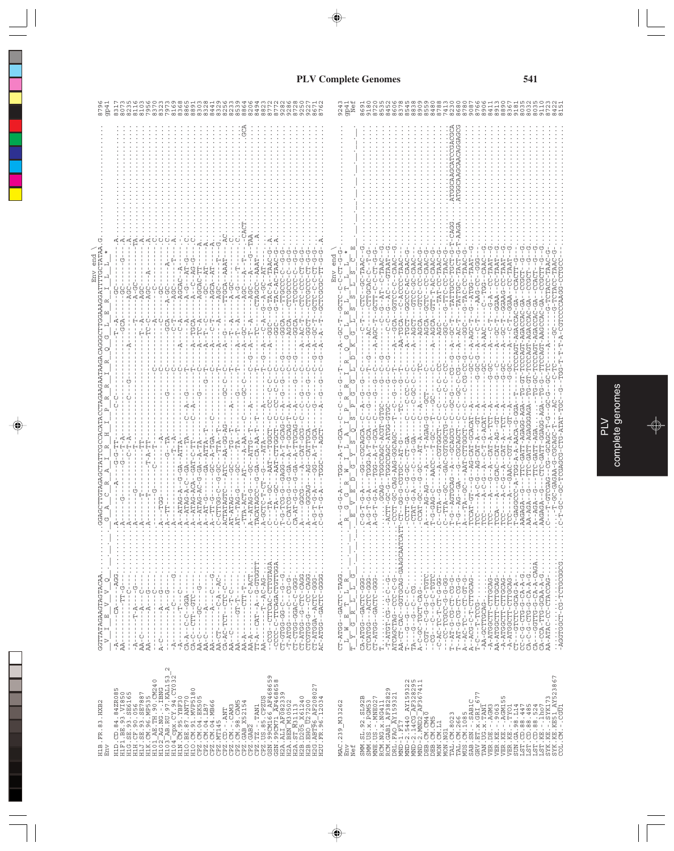| <b>ים המה</b><br>j<br>г<br>ļ<br>֜֝<br>í |
|-----------------------------------------|

| $\circ$<br>4                                                                                                                                                                                                                                                                                                                                                                                                                                                                                                                                                                                                                                                                                                                                                                                                                                                                                                                                                                                                                                                                                                                                                                                                                                                                                                                                                                                                            | $\frac{4}{3}$<br>ನ ದಿ                                                                                                                                                                                                                                                                                                                                                                                                                                                                                                                                                                                                                                                                                                                                                          |
|-------------------------------------------------------------------------------------------------------------------------------------------------------------------------------------------------------------------------------------------------------------------------------------------------------------------------------------------------------------------------------------------------------------------------------------------------------------------------------------------------------------------------------------------------------------------------------------------------------------------------------------------------------------------------------------------------------------------------------------------------------------------------------------------------------------------------------------------------------------------------------------------------------------------------------------------------------------------------------------------------------------------------------------------------------------------------------------------------------------------------------------------------------------------------------------------------------------------------------------------------------------------------------------------------------------------------------------------------------------------------------------------------------------------------|--------------------------------------------------------------------------------------------------------------------------------------------------------------------------------------------------------------------------------------------------------------------------------------------------------------------------------------------------------------------------------------------------------------------------------------------------------------------------------------------------------------------------------------------------------------------------------------------------------------------------------------------------------------------------------------------------------------------------------------------------------------------------------|
|                                                                                                                                                                                                                                                                                                                                                                                                                                                                                                                                                                                                                                                                                                                                                                                                                                                                                                                                                                                                                                                                                                                                                                                                                                                                                                                                                                                                                         |                                                                                                                                                                                                                                                                                                                                                                                                                                                                                                                                                                                                                                                                                                                                                                                |
|                                                                                                                                                                                                                                                                                                                                                                                                                                                                                                                                                                                                                                                                                                                                                                                                                                                                                                                                                                                                                                                                                                                                                                                                                                                                                                                                                                                                                         | UUCUUCAUUUCUUCHA                                                                                                                                                                                                                                                                                                                                                                                                                                                                                                                                                                                                                                                                                                                                                               |
| PAAC<br>$-AAAT$<br>۲<br>ا                                                                                                                                                                                                                                                                                                                                                                                                                                                                                                                                                                                                                                                                                                                                                                                                                                                                                                                                                                                                                                                                                                                                                                                                                                                                                                                                                                                               | 凹<br><b>0-0-10-</b><br>TACT-G<br>end<br><b>GTAAT</b>                                                                                                                                                                                                                                                                                                                                                                                                                                                                                                                                                                                                                                                                                                                           |
| TTGCA--AAAT<br>$-1$<br>Εn<br>$-AGCAC-$<br>$-AGCA -$<br>$-TAC-P$<br>$- A - G$<br>.AGC<br>ロー<br>9<br>C<br>-AGC<br>CTAGC<br>ロー<br>$-AGC$<br>$-40$<br>GGAAAGGAT<br>Ω                                                                                                                                                                                                                                                                                                                                                                                                                                                                                                                                                                                                                                                                                                                                                                                                                                                                                                                                                                                                                                                                                                                                                                                                                                                        | $-CC-TAAC$<br>$-20G-C-$<br>$\frac{1}{1}$<br>◡<br>$-GC-C-A$<br>-TATTGC<br>$-9-17-9-$<br>$-1 - 1 - 1 - 2 - 4$<br>$-TTAT-C$<br>- 0- 14 - 0-<br>C-ACC<br><b>C--TG</b><br>$\begin{array}{ccccc}\n & -\text{GCTC}-\text{C} \\  & \text{F} & \text{I} & \text{T}\n\end{array}$<br><b>COLD</b><br>$-TATTG$<br>$G - A - -$<br>CGTCCCAAGG<br>$-2AT$<br>$-4AC$<br>ししけい<br>$-6-TPC$<br>UUU<br>UU<br>しけじり<br>-GCTC<br><b>--GGAA</b><br>EUS<br>C<br>lω                                                                                                                                                                                                                                                                                                                                       |
| GCA<br>$C - A$<br><b>A</b><br>⊂-A<br>י<br>י<br>$-1$<br>$- - A$<br>$-1$<br>$-4$<br>GCA<br>3<br>CO<br>$\overline{a}$<br>$\frac{1}{2}$<br>スーひ<br>ひひひ<br>J.<br>უ<br>ს<br>್ರ<br>ᄲ<br>н<br>Н<br>⊢<br>T.<br>O<br>ᄞ<br>℧<br>פ                                                                                                                                                                                                                                                                                                                                                                                                                                                                                                                                                                                                                                                                                                                                                                                                                                                                                                                                                                                                                                                                                                                                                                                                   | -AGACCAC-GA<br>凹<br>AGACCAC<br>AGACCAC<br>ローリ<br>רורות<br>המהליף<br>בולי<br>T-D<br>ᆞ<br>g<br>$-AAC$<br>lU<br>$-4A - TC$<br>$-2A - TC$<br>଼<br>$-AC$<br>ローー<br>ひ<br>$\circ$<br>ပု<br>α                                                                                                                                                                                                                                                                                                                                                                                                                                                                                                                                                                                          |
| FICOOOACKOKAARKAGAKOKHUOKAUKUWOODHFAHOOKOKDELUOKOO<br>$\alpha$<br>ġ<br>9<br>G<br>ひ<br>후<br>ひ<br>$\Omega$                                                                                                                                                                                                                                                                                                                                                                                                                                                                                                                                                                                                                                                                                                                                                                                                                                                                                                                                                                                                                                                                                                                                                                                                                                                                                                                | ပု<br>먹<br>ပု<br>Ο<br>ひ<br>ひ<br>也<br>$\approx$<br>ひしし<br><b>C-CC</b><br>$-$ GCT $-$<br>ပု<br>i<br>せし<br>ロー<br>R<br>y<br>$-4$<br>U<br>ロー<br>д<br>루<br>$\mathbb T$<br>$\blacksquare$<br>Ť<br>Ù UD.<br>$\mathcal{A}$<br>$\mathbf{1}$<br>lc)<br>U<br>ಲ<br>$-$ -TCT<br>U                                                                                                                                                                                                                                                                                                                                                                                                                                                                                                            |
| $-40 - 40 - 40 - 40 - 5$<br>$- - P A - G G - P$<br>CTTGGC<br>$-TGA$<br>$-A-AA$<br>$-TA$<br>$-TA$<br>ATTA<br>TTA<br>$-TTG$<br>--ATTG<br>Ë<br>$-ATTA$<br>ά<br>$-1$<br>Ť<br>ά<br>$ AAT$<br>ს<br>ს<br>CO-<br>ひゅー<br>$ GAG$<br>- CL-- 12                                                                                                                                                                                                                                                                                                                                                                                                                                                                                                                                                                                                                                                                                                                                                                                                                                                                                                                                                                                                                                                                                                                                                                                     | ひけひ‐けひりん‐ひひんひひひひけ<br>$- - CAT - A - TCT$<br>$-T-T-G-ACATT$<br>CAT-GCACAT<br>-AACA-G<br>$T - R G A G -$<br>-GAC-CGTGGCTG-<br>CGLGGCL-<br>$\circ$<br>CAT-AG-<br>$A-T-GCA$<br>CGCAGCA<br>-GCAGCG<br>CGCAGCT<br>CTTGGCT<br>К<br>$-T-T-CC$<br>-CAG-AAG-GGCAGC<br>$-CT - GA$<br>$CAT - A$<br>$-5-5-$<br>$-AT - A$<br>$-00T - P$<br>$CAT-P$<br>$A-T$<br>ᆸ<br>GGCCA<br>TGGG-<br>$-AACC-$<br>ု<br><b>C-0-0-</b><br>ひりー<br>$A - -GCAC$<br>$A - C - G - A$<br>-GAAC<br>z<br>ပု<br>무                                                                                                                                                                                                                                                                                                       |
| CTATAGTC<br>TTA-ACT<br>ACATAGC<br><b>L-CLC-L-L-</b><br>$G-TCG$<br>$2A - AT - G$<br>AT-G<br>-ATAG<br>T-ATAG<br>-CATCC<br>НF<br>- - -<br>ტ ტ                                                                                                                                                                                                                                                                                                                                                                                                                                                                                                                                                                                                                                                                                                                                                                                                                                                                                                                                                                                                                                                                                                                                                                                                                                                                              | --AGTGCAG--A<br>$C - A - T$<br>$C-C$<br>$C - C$<br>$-GA$<br>α<br>$\mathbb{I}$<br>$-2-4$<br>CAG<br>UU -<br>回<br>CCAT-GT-<br>ひ<br>$-049 - 0 - 0$<br>-GAGGC<br>$\frac{1}{9}$ $\frac{1}{9}$<br>다<br>-<br>번<br>じーせい<br>CTAT-G<br>CTT-G<br>CTA.<br>$-TA$<br>$A - AGI$<br>CCAT<br>CCA-<br>÷<br>J<br>ပုံ ပုံ                                                                                                                                                                                                                                                                                                                                                                                                                                                                           |
| $- - AGG$<br>$\begin{array}{c} 1 \ 0 \ -1 \end{array}$<br>$\circ$<br>$\frac{1}{1}$<br>ł<br>$\frac{1}{1}$<br>Ť                                                                                                                                                                                                                                                                                                                                                                                                                                                                                                                                                                                                                                                                                                                                                                                                                                                                                                                                                                                                                                                                                                                                                                                                                                                                                                           | ł,<br>÷,<br>lФ<br>α<br>$\begin{array}{c} \vdots \circ \\ \cdot \end{array}$<br>$\mathbb{A}^{ \mathcal{A} }_{\mathbb{A}}$                                                                                                                                                                                                                                                                                                                                                                                                                                                                                                                                                                                                                                                       |
| TT-A--CAT--A--GTGGTT<br>AA - - - - - - - - T - - AC - AG -<br>- - CCG - - CTTCAC - CTTGTAGA<br>-CCCC-C-TTCAGACTGTTGGA<br>・1 ウーーウーーーひーひの! ひひロワーロひ<br>$\begin{array}{lll} &\text{CT}-\texttt{ATGG--G--G--CTC--CAGG--}\\ &\text{CTCCTCGG--G--CC--CAGG--}\\ &\text{CT}-\texttt{ATGGA--ACTC--GGG--}\\ &\text{CT}-\texttt{ATGG--ACTC--GGG--} \end{array}.$<br>$-5 - 5 - 5 - - - - - -$<br>--555-5-5455-55HD-HD<br>$AA - CT - - - - - - - A - AC - .$<br>GGTTATAGAAGTAGTACAA<br>$------C-ACCT$<br>- - - - - - - - - - - - -<br>$\begin{array}{l} \mbox{CA-A--C--GGA----}\\ \mbox{CA-A--C--CTT--CTC----}\\ \end{array}$<br>$-1$ - $-1$ - $-1$ - $-1$ - $-1$ - $-1$<br>- - 5 - - - - J5 - - - - - J - 44<br>$- -5 - -1 - 2 - -1 - -1 - -1 -$<br>$- - - - - - - - - - - - -$<br>$-5 - 17 - - - -$<br>$- - \square - \square - \square -$<br>$-1$ - $-1$<br>$\triangleright$<br>0 - - - - - - - - - -<br>-- 1<br>-- 1<br>$- - CA - -$<br>$\triangleright$<br>İ<br>$\mathsf I$<br>囯<br>٠<br>J.<br>$-1 - 29TG - 1$<br>$\mathbf{I}$<br>$\mathbf{I}$<br>$\frac{1}{1}$<br>$PA - C - - - -$<br>$PA - - - - - -$<br>$\mathbf{I}$<br>f,<br>$\mathbf{I}$<br>Н<br>$\,$<br>I.<br>$PA-C--$<br>$AA - A - -$<br>$\,$<br>$\sf I$<br>I<br>I<br>$\frac{1}{1}$<br>$PA - - -$<br>$\frac{1}{4}$<br>J.<br>$AA -$<br>$AA -$<br>1<br>$\frac{1}{1}$<br>$-4 -$<br>$AA -$<br>t,<br>ł<br>$\triangleright$<br>$A - C$<br>$-4$<br>AA<br>$-4$<br>К<br>$\,$<br>I. | AA-CT-CAC--GGTGCAG-GAAGCAATC<br>- - - - - - - DDKH-DLDKD--DDLK-LD<br>- C-AC-TC-T-CT-G-GG-<br>- -C-CC-TCGCC-G-G-GG-<br>T--AT-G-CG-CT-CG-G-<br>CT-ATGG--GACTC-GGG--<br>-A-ATGGCTT-CTTGCAG--<br>A-C-GC-TGCT-CAG-<br>--CGT--C-G-G-C-TGTC<br>--CG----C---G-C-TGTC<br>ひ‐≮‐≮ひ‐ひ‐ひ⊥ひ‐ひ‐ひ‐ひ)<br>CA-C-C-C-C-C-C-C-A-C-<br>$A - ACG - C - T - CTTGCAG - T - C - T - C = -$<br>CA-ATGG--GACTC-GGG<br>ひひひ‐ひ[ひべ‐‐‐ひひ[ぱひ][ひ<br>ATCAGCTAG--CCC-C<br>$T = -2T - G - CG - CT - CG - G$ $A = -AC - TC - C - CT - GT - G$<br>-A-ATGGCTT-CTTGCAG<br>AA-ATGCTT-CTTGCAG<br>-A-ATGGTE-CTT-A-<br>- 4-5400-0HUDP-1-1<br><b>L</b><br>-PA-GCTGCAG-<br>$\overline{\mathbb{H}}$<br>Ιc<br>$\ensuremath{\mathop{\boxtimes}\!}$<br>lФ<br>$\geq$<br>$\begin{array}{c} \mathbb{E}[\mathbb{R}^d] \end{array}$<br>H |
| $\sim$<br>Б<br>84ZR08                                                                                                                                                                                                                                                                                                                                                                                                                                                                                                                                                                                                                                                                                                                                                                                                                                                                                                                                                                                                                                                                                                                                                                                                                                                                                                                                                                                                   | .SYK173<br>E51 AY523867<br>Ō                                                                                                                                                                                                                                                                                                                                                                                                                                                                                                                                                                                                                                                                                                                                                   |
| HHI, CR. 190, 1956<br>HHI, CR. 191, 1937<br>HI, 1, 28, 1937, 1938, 1938, 1938, 1938, 1938, 1938, 1938, 1939, 1939, 1939, 1939, 1939, 1939, 1939, 1939, 1939, 1939, 1939, 1939, 1939, 1939, 1939, 1939, 1939, 1939, 1939, 1939, 1939<br>H2A.ST M31113<br>H2B.D2O5 X61240<br>H2B.BHO U27200<br>H2G.ABT96 AF208027<br>H2U.FR.96.12034<br>H1F1.BE.93.VI850<br>H1G.SE.93.SE6165<br>H2A.BEN M30502<br>H1B. FR. 83. HXB2<br>.CD.84<br>H1D<br>Env                                                                                                                                                                                                                                                                                                                                                                                                                                                                                                                                                                                                                                                                                                                                                                                                                                                                                                                                                                               | MND-2.5440 AY159322<br>MND-2.14CG AF328295<br>MND-2.MND2 AF367411<br>DEB.CM.CM40<br>DEB.CM.CM40<br>MON.CM.L1<br>SMM. SL. 92. SL92B<br>SMM. US. x. PCM53<br>MNE. US. - MNE027<br>RCM. GAB1. AF382829<br>RCM. GAB1. RAQ_AY159322<br>MUS. CM. 1085<br>SAB. SM. - . SAB1C<br>TAN . UG. 3: . TANI<br>TAN . UG. 3: . TANI<br>VER. RE. - . 9063<br>VER. RE. - TYO1<br>VER. RE. - TYO1<br>IAC.239 M33262<br>SUN 32, 38, 1114<br>LST CD, 38, 447<br>LST CD, 38, 437<br>LST CD, 38, 524<br>LST KE. - 1107<br>.ceū1<br>SYK.KE.KE51<br>TAL.CM.8023<br>TAL.CM.266<br>$F\overline{T}$<br>COL.CM.-<br>SYK.KE.-<br>MON.NG1<br>$AD-1$<br>$\operatorname*{Env}$<br>Nef                                                                                                                           |

 $[\begin{array}{l} \text{HIB}.\text{B3. HXB2}\\ \text{RID}.\text{CD.84, 84R085}\\ \text{HID}.\text{CD:84, 84R085}\\ \text{HID}.\text{CD:84, 84R085}\\ \text{HID}.\text{SD:33. VIBS05}\\ \text{HID}.\text{SD:35}.\text{SBS165}\\ \text{HID}.\text{SD:36}.\text{SBS165}\\ \text{HID}.\text{CD:36, 1001},\\ \text{HID}.\text{CD:36, 101}\\ \text{HID}.\text{CD:37, 101}\\ \text{HID}$ MAC. 239 193262<br>
Ray (193262)<br>
Samu US .: Read (1932)<br>
Samu US .: Read (1932)<br>
Samu US .: Read (1940 AX159321)<br>
RAW (3AB1 AF38282321)<br>
RAW (3AB1 AF3828232321)<br>
RAW (3AB1 AF3828232321)<br>
RAW (1940 AX159321)<br>
RAW (1940 AX159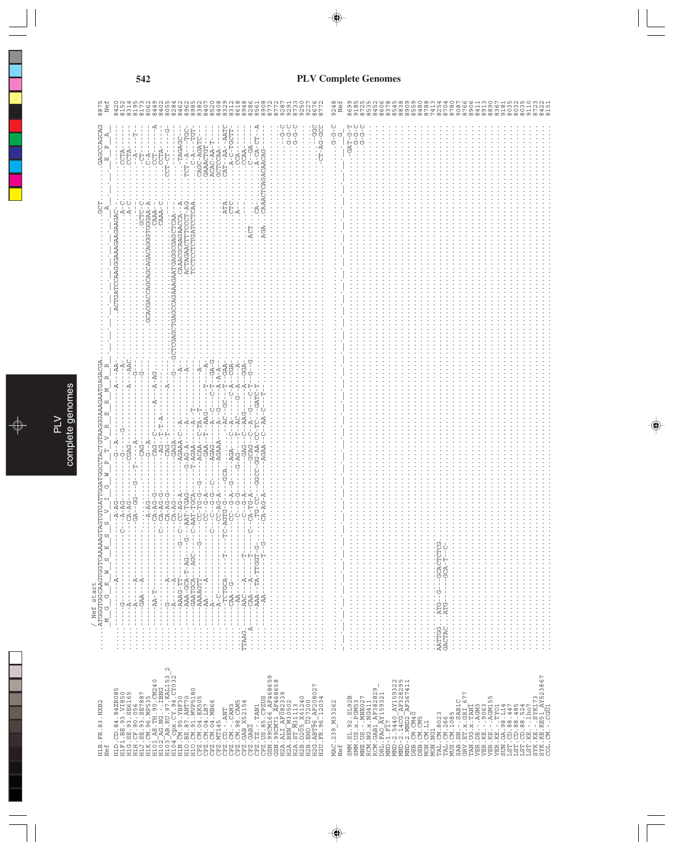| Ō) |
|----|
|    |
|    |
|    |
|    |
|    |
|    |

es

| 8875<br>Nef                                                                     |                                                                                                                                                                                                                                                                                                                    |                                         |                                                      |                          |                              |                                                  |                                                                                                                                                                                                                                                                    |                              |     |                                         |                                                |                                                                         |                  |                                |                                      |                                                                                                                   |                                                                                                                                                                                                                                                                                                                                      |                          |                                                           |                                                                           |                                     |                                                        |                                                                   |                                                                 |                  |  |                                                                         |  |   |                                                                                                                           | 9248            | Nef          |                          |                                                    |                                |                     |                                                         |  |   |                                                                                                          |                       |  |   |               |         |                                                                                                                                                                                                                                                                                                                                              |  |  |  |  |  |  |  |                    |             |            |
|---------------------------------------------------------------------------------|--------------------------------------------------------------------------------------------------------------------------------------------------------------------------------------------------------------------------------------------------------------------------------------------------------------------|-----------------------------------------|------------------------------------------------------|--------------------------|------------------------------|--------------------------------------------------|--------------------------------------------------------------------------------------------------------------------------------------------------------------------------------------------------------------------------------------------------------------------|------------------------------|-----|-----------------------------------------|------------------------------------------------|-------------------------------------------------------------------------|------------------|--------------------------------|--------------------------------------|-------------------------------------------------------------------------------------------------------------------|--------------------------------------------------------------------------------------------------------------------------------------------------------------------------------------------------------------------------------------------------------------------------------------------------------------------------------------|--------------------------|-----------------------------------------------------------|---------------------------------------------------------------------------|-------------------------------------|--------------------------------------------------------|-------------------------------------------------------------------|-----------------------------------------------------------------|------------------|--|-------------------------------------------------------------------------|--|---|---------------------------------------------------------------------------------------------------------------------------|-----------------|--------------|--------------------------|----------------------------------------------------|--------------------------------|---------------------|---------------------------------------------------------|--|---|----------------------------------------------------------------------------------------------------------|-----------------------|--|---|---------------|---------|----------------------------------------------------------------------------------------------------------------------------------------------------------------------------------------------------------------------------------------------------------------------------------------------------------------------------------------------|--|--|--|--|--|--|--|--------------------|-------------|------------|
| GAGCCAGCAG<br>К<br>$\mathbf{\Omega}$<br>闰                                       | CCTA                                                                                                                                                                                                                                                                                                               | CCTA                                    | -A                                                   | FD-                      | $C - A$                      | CCT                                              | <b>CCTA</b>                                                                                                                                                                                                                                                        | りー<br>5                      |     |                                         | -TAGAGC--                                      |                                                                         |                  |                                |                                      | ÷                                                                                                                 |                                                                                                                                                                                                                                                                                                                                      |                          | $-AAT$<br>$CAT --AA$                                      | $\ldots A-C-TGCTT$                                                        |                                     | ACCAA                                                  | U                                                                 | $2 - -GB - - - - -$<br>A-CA-CT--A<br>$\boldsymbol{\mathcal{A}}$ |                  |  | $\begin{array}{c}\n 0 \\  -1 \\  -1 \\  -1 \\  -1 \\  -1\n \end{array}$ |  | Ħ | $-999 - 94 - 1$<br>5                                                                                                      | U<br>ָט ל<br>්. |              |                          |                                                    | 5-9-9-45<br>--9-9-45<br>--9-45 |                     |                                                         |  |   |                                                                                                          |                       |  |   |               |         |                                                                                                                                                                                                                                                                                                                                              |  |  |  |  |  |  |  |                    |             |            |
| <b>UCL</b><br>К                                                                 |                                                                                                                                                                                                                                                                                                                    |                                         |                                                      |                          |                              |                                                  |                                                                                                                                                                                                                                                                    | ים<br>:5:                    |     | ÷,<br>J.                                |                                                |                                                                         |                  |                                |                                      |                                                                                                                   |                                                                                                                                                                                                                                                                                                                                      |                          |                                                           | <b>CHO</b>                                                                | $\ldots$ CCA-                       |                                                        |                                                                   |                                                                 | CAAACTCAGACAACAG |  |                                                                         |  |   |                                                                                                                           |                 |              |                          |                                                    |                                |                     |                                                         |  |   |                                                                                                          |                       |  |   |               |         |                                                                                                                                                                                                                                                                                                                                              |  |  |  |  |  |  |  |                    |             |            |
|                                                                                 | $\cdots$ $\cdots$ $\cdots$<br>ACTGATCCAAGGGAAAGAAGAAGAC                                                                                                                                                                                                                                                            | $\overline{A}$ -C                       |                                                      | しーしロロ                    | A - ARGOODOOCAGAOAOAOOAOOAOO | CAAA--<br>Ī,                                     | CAAA-C                                                                                                                                                                                                                                                             |                              |     |                                         |                                                | CAAACGCAAGAACCA--A<br>D.C.TACTAGAACTTTCCCT-AG<br>D.C.TCCTCCTCTCATCCTCAA |                  |                                |                                      |                                                                                                                   |                                                                                                                                                                                                                                                                                                                                      | $\ldots$ ATA             |                                                           |                                                                           |                                     |                                                        | .ACT                                                              | $\mathcal{E}$<br>AGA                                            |                  |  |                                                                         |  |   |                                                                                                                           |                 |              |                          |                                                    |                                |                     |                                                         |  |   |                                                                                                          |                       |  |   |               |         |                                                                                                                                                                                                                                                                                                                                              |  |  |  |  |  |  |  |                    |             |            |
|                                                                                 |                                                                                                                                                                                                                                                                                                                    |                                         |                                                      |                          |                              |                                                  |                                                                                                                                                                                                                                                                    |                              |     | --GCLCGYGCGYGYYYCYYCHOLOGCGYGCGYGYCHO   |                                                |                                                                         |                  |                                |                                      |                                                                                                                   |                                                                                                                                                                                                                                                                                                                                      |                          |                                                           |                                                                           |                                     |                                                        |                                                                   |                                                                 |                  |  |                                                                         |  |   |                                                                                                                           |                 |              |                          |                                                    |                                |                     |                                                         |  |   |                                                                                                          |                       |  |   |               |         |                                                                                                                                                                                                                                                                                                                                              |  |  |  |  |  |  |  |                    |             |            |
|                                                                                 | $-AA$<br>$-4$<br>$-A$ -                                                                                                                                                                                                                                                                                            | $-AAC$<br>$-4$                          | ひ                                                    | ひ                        |                              | $-A-AG$<br>À-                                    | $\vec{A}$                                                                                                                                                                                                                                                          | $-4$                         |     | $\overset{\shortmid}{\circlearrowleft}$ |                                                |                                                                         |                  | $-4$<br>부부<br>$-2A - 7B - 7$   | $-4$                                 | $-4B - G$<br>$-1$ - $-1$                                                                                          | $-1 - A - C$                                                                                                                                                                                                                                                                                                                         | $-4A - A - A - -$        | $- -AC - CC -$                                            | $-$ -CGA $-$<br>$ C - A$                                                  | $-4-7$<br>$-5 - -1$                 | $-490 -$<br>$-4$<br>$-PAG$                             | 무<br>U<br>$\frac{1}{2}$                                           |                                                                 |                  |  |                                                                         |  |   |                                                                                                                           |                 |              |                          |                                                    |                                |                     |                                                         |  |   |                                                                                                          |                       |  |   |               |         |                                                                                                                                                                                                                                                                                                                                              |  |  |  |  |  |  |  |                    |             |            |
| GTAGTGTGATTGGATGGCCTACTGTAAGGGAAAGAATGAGACGA<br>S S V I G W P T V R E R M R R   | $G - -A$<br>ပ္ပ်                                                                                                                                                                                                                                                                                                   | $-CCGAG$                                | $- - - A$<br>ပု                                      | CAG                      | $-4$                         |                                                  | 투<br>$-0.249 - 0.049 - 0.049 - 0.049 - 0.049 - 0.049 - 0.049 - 0.049 - 0.049 - 0.049 - 0.049 - 0.049 - 0.049 - 0.049 - 0.049 - 0.049 - 0.049 - 0.049 - 0.049 - 0.049 - 0.049 - 0.049 - 0.049 - 0.049 - 0.049 - 0.049 - 0.049 - 0.049 - 0.049 - 0.049 - 0.049 - 0.$ |                              |     | $-GAGA-$                                | $-4$<br>$-AGAAA-C$                             | $-16 - 24 - 24 - 1 - 1 - 1 - 1$                                         | $\mathbb{F}_{-}$ | $\frac{C}{1}$<br>$-ACAA$<br>ロー |                                      | $\mathbf{I}$<br>U<br>                                                                                             |                                                                                                                                                                                                                                                                                                                                      | $-4$<br>$-$ - AGAAA- $-$ |                                                           | $- - A$<br>ပု                                                             | F-<br>$-5A-5$                       | U<br>!<br>$-GAG$                                       | ပု<br>$-GCAG-$                                                    | UU-KR-UU-UUU                                                    | U<br>AGAA        |  |                                                                         |  |   |                                                                                                                           |                 |              |                          |                                                    |                                |                     |                                                         |  |   |                                                                                                          |                       |  |   |               |         |                                                                                                                                                                                                                                                                                                                                              |  |  |  |  |  |  |  |                    |             |            |
| ×<br>C)                                                                         | $\frac{1}{2}$                                                                                                                                                                                                                                                                                                      |                                         | $-50 - 45$                                           |                          |                              |                                                  | t                                                                                                                                                                                                                                                                  |                              |     | $\frac{1}{1}$                           | $-5 - 1$<br>J.<br>ï                            |                                                                         |                  |                                | $\blacksquare$                       | $\frac{1}{1}$<br>$\,$ $\,$                                                                                        |                                                                                                                                                                                                                                                                                                                                      | $\frac{1}{1}$            | TC-AGTG-G<br>$\mathbf{I}$                                 | $-6 - 8$<br>U<br>U<br>U<br>U<br>U<br>U<br>U<br>I<br>i                     | ု<br>$\frac{1}{1}$                  | -A<br>ن<br>۱<br>ုပ်<br>$\frac{1}{2}$ – $\frac{1}{2}$ – | ∱<br>⊦<br>$CA-TCG$<br>$\frac{1}{2}$<br>÷                          | $TG-CC-CA-AG-A-$                                                | -- 1-- 1-        |  |                                                                         |  |   |                                                                                                                           |                 | Á            |                          |                                                    |                                |                     |                                                         |  |   | $\frac{1}{2}$                                                                                            |                       |  |   | $\vdots$      |         |                                                                                                                                                                                                                                                                                                                                              |  |  |  |  |  |  |  |                    |             |            |
| / Nef start<br>.ATGGGTGGCAAGTGGTCAAAAA<br>Σ<br>×<br>Ü<br>Ü<br>$\geq$<br>$\cdot$ | $- - A -$<br>J.<br>J.<br>$\mathbf{I}$<br>$\frac{1}{2}$<br>$C - C$<br>$\frac{1}{2}$<br>J.<br>J.                                                                                                                                                                                                                     | $\,$ I<br>$- -A - - -$<br>$\frac{1}{1}$ | $- -A - -$<br>ŧ<br>$-4$<br>ŧ<br>$\vdots$<br>$\vdots$ | $- -GAA - - -A - -$<br>ţ | $\mathsf{I}$<br>$\mathbf{I}$ | ٠<br>$-$ - PAA – T – $-$<br>$\,$<br>$\mathbf{1}$ | f,<br>-<br>$\mathbf{I}$                                                                                                                                                                                                                                            | $\mathbf{I}$<br>$\mathbf{I}$ |     | $\frac{1}{1}$<br>$\vdots$               | t<br>$- PAA-G-TT$<br>$\frac{1}{1}$<br>$\vdots$ | $\frac{1}{2}$                                                           | $\frac{1}{2}$    | $\frac{1}{2}$                  | - 1<br>$\,$ $\,$<br>$-AA$ ---- $A$ - | $\overline{\phantom{a}}$<br>$\mathbf{I}$<br>$\begin{array}{c}\n\vdots \\ \vdots \\ \vdots \\ \vdots\n\end{array}$ | J.<br>$\begin{bmatrix} 1 & 1 & 1 & 1 \\ 1 & 1 & 1 & 1 \\ 1 & 1 & 1 & 1 \\ 1 & 1 & 1 & 1 \\ 1 & 1 & 1 & 1 \\ 1 & 1 & 1 & 1 \\ 1 & 1 & 1 & 1 \\ 1 & 1 & 1 & 1 \\ 1 & 1 & 1 & 1 \\ 1 & 1 & 1 & 1 \\ 1 & 1 & 1 & 1 \\ 1 & 1 & 1 & 1 & 1 \\ 1 & 1 & 1 & 1 & 1 \\ 1 & 1 & 1 & 1 & 1 \\ 1 & 1 & 1 & 1 & 1 \\ 1 & 1 & 1 & 1 & 1 \\ 1 & 1 & $ | $\frac{1}{1}$<br>J.      | $\frac{1}{1}$                                             | $\frac{1}{1}$<br>$-5 - CAA - C - C - C$<br>$\frac{1}{4}$<br>$\frac{1}{2}$ | $\frac{1}{1}$<br>$---AA - - -$<br>ţ | $- -A - -$<br>$-2AC-$<br>$\mathbf{I}$                  | $-4-$<br>$\mathsf I$<br>$-$ CAA $-$<br>1<br>$\cdots$ <sup>1</sup> | $-0 - 1000$ $H = 4H - 1 - 4H$                                   | --AA--           |  |                                                                         |  |   |                                                                                                                           |                 | ÷<br>$\cdot$ |                          | $\vdots$                                           |                                |                     |                                                         |  | . |                                                                                                          |                       |  | . | .<br>$\vdots$ |         |                                                                                                                                                                                                                                                                                                                                              |  |  |  |  |  |  |  |                    |             |            |
| FR.83. HXB2                                                                     | $\begin{tabular}{l} \bf 11D, CD & 84. 842R085 \\ \bf 11D, CD & 84. 842R085 \\ \bf 11D, 1 & 1 & 1 & 1 & 1 \\ \bf 11D, 1 & 1 & 1 & 1 & 1 \\ \bf 11D, 1 & 1 & 1 & 1 & 1 \\ \bf 11D, 1 & 1 & 1 & 1 & 1 \\ \bf 11D, 1 & 1 & 1 & 1 & 1 \\ \bf 11D, 1 & 1 & 1 & 1 & 1 \\ \bf 11D, 1 & 1 & 1 & 1 & 1 \\ \bf 11D, 1 & 1 & $ |                                         |                                                      | $\frac{1}{2}$            |                              |                                                  |                                                                                                                                                                                                                                                                    | $\mathcal{C}$                | - 1 |                                         |                                                |                                                                         |                  |                                |                                      |                                                                                                                   |                                                                                                                                                                                                                                                                                                                                      |                          | $\begin{array}{c} \vdots \\ \vdots \\ \vdots \end{array}$ |                                                                           |                                     | TTAAG.                                                 |                                                                   | $\vdots$                                                        | $\frac{1}{2}$    |  |                                                                         |  |   | H2A: BENT M30562>><br>H2A: ST_M31113<br>H2B: D2O5_X61240<br>H2B: D2O5_X61240<br>H2B: ABT96_XP208027<br>H2U: FR: 96, 12034 | MAC.239 M33262  |              | $\mathbf{\underline{m}}$ | $\ddot{\cdot}$<br>SMM.SL.92.SL92<br>SMM.US.x.PGM53 |                                | MNE. US. - . MNE027 | RCM.NG.X.NG411<br>RCM.GAB1_AF382829<br>DRL.FAO_AY159321 |  |   | MND-1.1777<br>MND-2.5440_AY159<br>MND-2.14CG_AF328<br>MND-2.14CG_AF328<br>MND-2.MND2_AF367<br>DBB.CM.CMS | 93295<br>8295<br>7411 |  |   | $\vdots$      |         | $\begin{array}{l} \text{TM1. (N1,8023)}\\ \text{HM2. (N1,266)}\\ \text{MB3. (N1,266)}\\ \text{SR3. (N1,267)}\\ \text{GRN 1. (N1,268)}\\ \text{MRN 1. (N2,1,268)}\\ \text{VRN 1. (N2,1,268)}\\ \text{VRN 1. (N2,1,268)}\\ \text{VRN 1. (N2,1,268)}\\ \text{VRN 1. (N2,1,268)}\\ \text{VRN 1. (N2,1,268)}\\ \text{MR1. (N2,1,268)}\\ \text{MR$ |  |  |  |  |  |  |  | SYK.KE. - . SYK173 | AY523867    | $-$ . CGU1 |
| H1B.<br>Nef                                                                     |                                                                                                                                                                                                                                                                                                                    |                                         |                                                      |                          |                              |                                                  |                                                                                                                                                                                                                                                                    |                              |     |                                         |                                                |                                                                         |                  |                                |                                      |                                                                                                                   |                                                                                                                                                                                                                                                                                                                                      |                          |                                                           |                                                                           |                                     |                                                        |                                                                   |                                                                 |                  |  |                                                                         |  |   |                                                                                                                           |                 | Nef          |                          |                                                    |                                |                     |                                                         |  |   |                                                                                                          |                       |  |   |               | MON.NG1 |                                                                                                                                                                                                                                                                                                                                              |  |  |  |  |  |  |  |                    | SYK.KE.KE51 | COL.CM     |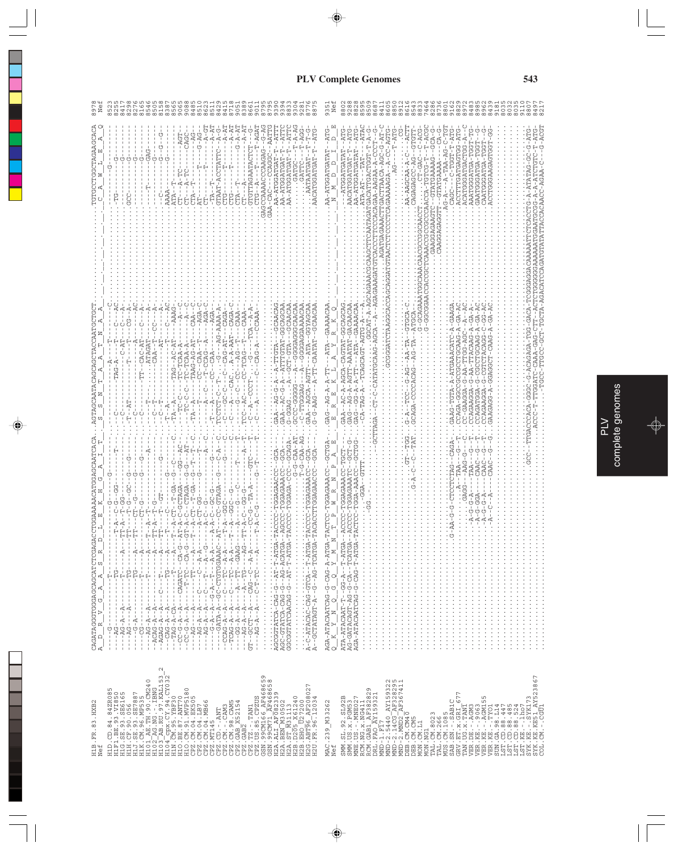| ٦ | mold |
|---|------|
|   | č    |

| H1B.FR.83.HXB2<br>Nef                                                                                                                                                                                                                                                                                                                                                                                                                      | CAGATAGGGTGGGAGCAGCATCTCGAGAGCTGGAAAAACATGGAGCAATCACA<br>A D R V G A A S R D L E K H G A I T                                                                                                                                                                                                                                                                                                                               | AGTAGCAATACAGCAGCTACCAATGCTGCT.<br>S S N T A A T N A                                                                                                                                               | <b>AUAUDARUAHUUULUUHU</b><br>К<br>凹<br>Σ<br>U                   | 897             |
|--------------------------------------------------------------------------------------------------------------------------------------------------------------------------------------------------------------------------------------------------------------------------------------------------------------------------------------------------------------------------------------------------------------------------------------------|----------------------------------------------------------------------------------------------------------------------------------------------------------------------------------------------------------------------------------------------------------------------------------------------------------------------------------------------------------------------------------------------------------------------------|----------------------------------------------------------------------------------------------------------------------------------------------------------------------------------------------------|-----------------------------------------------------------------|-----------------|
|                                                                                                                                                                                                                                                                                                                                                                                                                                            | -<br>$-1 - 1 - -1 -$<br>$\mathbf{I}$<br>٠<br>$\,$ I<br>$\mathbf{I}$<br>$\overset{\shortmid}{\circlearrowleft}$<br>J.                                                                                                                                                                                                                                                                                                       |                                                                                                                                                                                                    |                                                                 |                 |
|                                                                                                                                                                                                                                                                                                                                                                                                                                            | どり<br>ပု<br>$- - - - - - - -$<br>$\,$<br>$\,$<br>$\mathbf{I}$<br>$\sim$<br>$\overline{1}$<br>$- -79$                                                                                                                                                                                                                                                                                                                       | TAG-A<br>↻                                                                                                                                                                                         |                                                                 |                 |
|                                                                                                                                                                                                                                                                                                                                                                                                                                            | ᄞ<br>どり<br>$- -A$<br>$- -A$<br>$- - -RG - A$                                                                                                                                                                                                                                                                                                                                                                               | $-AT$                                                                                                                                                                                              |                                                                 |                 |
|                                                                                                                                                                                                                                                                                                                                                                                                                                            |                                                                                                                                                                                                                                                                                                                                                                                                                            |                                                                                                                                                                                                    | てり                                                              |                 |
|                                                                                                                                                                                                                                                                                                                                                                                                                                            |                                                                                                                                                                                                                                                                                                                                                                                                                            | $- - A$<br>$-4$<br>. ATAGAT<br>부<br>÷<br>Ϋ́                                                                                                                                                        | U<br>CA<br>U                                                    | പ സ             |
|                                                                                                                                                                                                                                                                                                                                                                                                                                            |                                                                                                                                                                                                                                                                                                                                                                                                                            | $- -$ CC $   -$ A<br>CAA--T<br>۲<br>ا<br>$\frac{1}{2}$                                                                                                                                             |                                                                 |                 |
| $\sim$                                                                                                                                                                                                                                                                                                                                                                                                                                     | -95                                                                                                                                                                                                                                                                                                                                                                                                                        | ۳<br>-<br>Ÿ                                                                                                                                                                                        | ひ‐‐り‐‐<br>(5)                                                   |                 |
|                                                                                                                                                                                                                                                                                                                                                                                                                                            | U<br>$-CT - T - GA$                                                                                                                                                                                                                                                                                                                                                                                                        | -AAAG<br>ó<br>$-TAG - PGC - PAT -$<br>$TA - -A$<br>$-1 - 1 - 2$                                                                                                                                    | $ATA - T$<br>AAAA                                               | m m             |
|                                                                                                                                                                                                                                                                                                                                                                                                                                            | $- - AC$<br>ပု<br>-GCTAGA                                                                                                                                                                                                                                                                                                                                                                                                  | $-4C - T - T - A - A$<br>$-1 - 1$                                                                                                                                                                  | $-$ -AGT<br>コロー・トーーロコ                                           |                 |
|                                                                                                                                                                                                                                                                                                                                                                                                                                            | $- - P T$<br>먹<br>--CTAGA                                                                                                                                                                                                                                                                                                                                                                                                  | $-4C-CA-A$<br>$-1-C-C$                                                                                                                                                                             | UUCAU<br>$-10$<br>$-1T - 2T$                                    |                 |
|                                                                                                                                                                                                                                                                                                                                                                                                                                            | i<br>Fr<br>$- -A - CT - T - GB$<br>$-CT - GC$                                                                                                                                                                                                                                                                                                                                                                              | $-AGA-$<br>--DA-DART--<br>$TA - -A$                                                                                                                                                                | $-AG$<br>$-5-7$<br>CTA--T                                       |                 |
|                                                                                                                                                                                                                                                                                                                                                                                                                                            | ゥー                                                                                                                                                                                                                                                                                                                                                                                                                         | $-AGA-$<br>$-4$                                                                                                                                                                                    |                                                                 | <u>LO LO LO</u> |
|                                                                                                                                                                                                                                                                                                                                                                                                                                            | ٢<br>-- 00 --<br>$-A - A - C$<br>$\begin{split} \mathbf{1}^{1} &\cdots \mathbf{1}^{n} \mathbf{1}^{n} \mathbf{1}^{n} \mathbf{1}^{n} \mathbf{1}^{n} \mathbf{1}^{n} \mathbf{1}^{n} \mathbf{1}^{n} \mathbf{1}^{n} \mathbf{1}^{n} \mathbf{1}^{n} \mathbf{1}^{n} \mathbf{1}^{n} \mathbf{1}^{n} \mathbf{1}^{n} \mathbf{1}^{n} \mathbf{1}^{n} \mathbf{1}^{n} \mathbf{1}^{n} \mathbf{1}^{n} \mathbf{1}^{n} \mathbf{1}^{n} \mathbf{$ | $-AGA-$<br>$-440 - 0 - 0$<br>$-T$ -- $-A$                                                                                                                                                          | $-4 - A - P$<br>$TA - T$                                        |                 |
|                                                                                                                                                                                                                                                                                                                                                                                                                                            | $-4$<br>U<br>ά<br>AGAHO-UU-                                                                                                                                                                                                                                                                                                                                                                                                |                                                                                                                                                                                                    | $-4 - C$<br>GTAAT-ACCTATTC                                      |                 |
| CPZ.CD. - . ANT<br>CPZ.CM. - . CAM3<br>CPZ.CM. 98. CAM3<br>CPZ. CAB_X52154                                                                                                                                                                                                                                                                                                                                                                 | ᄲ<br>-<br>GGC<br>- - A - - 4 - -<br>$T - A -$                                                                                                                                                                                                                                                                                                                                                                              | $C--A--CAC$ $A-A-AA$ - $T--CAGA-C$                                                                                                                                                                 | $-4 - A - A$<br>$-4 - A - P$<br>$\frac{1}{1}$<br>$-10$<br>--ptp | 4               |
|                                                                                                                                                                                                                                                                                                                                                                                                                                            |                                                                                                                                                                                                                                                                                                                                                                                                                            | $---CAAA$<br>U – U – U –                                                                                                                                                                           | $-6 - A - P$<br>$CTA - T$                                       |                 |
| CPZ.GABZ                                                                                                                                                                                                                                                                                                                                                                                                                                   | $\frac{1}{\sqrt{2}}$<br>$- - AG$<br>÷<br>$-1 - 1 - 1 - 1$<br>$-4$<br>$-AG - A$<br>$\frac{1}{1}$                                                                                                                                                                                                                                                                                                                            | $ CAA$<br>C-TCAG<br>$-100 -$                                                                                                                                                                       | $- -A - P$                                                      |                 |
|                                                                                                                                                                                                                                                                                                                                                                                                                                            | $-1 - A - A$<br>$T - -GCCT - -A - - - CAG - - - C - T - C C - A - - A - - - - - C - T - T - C$<br>GT--GCT                                                                                                                                                                                                                                                                                                                  | $-TCA - A - A$<br>--- CCCT<br>$-4$                                                                                                                                                                 | GTGTTAGAATACTCT-                                                | $\circ$         |
| $\begin{smallmatrix} \texttt{CEZ} & \texttt{TX} & \texttt{TAM1} \\ \texttt{CEZ} & \texttt{US} & \texttt{SS} & \texttt{CEZUS} \\ \texttt{CEZ} & \texttt{US} & \texttt{SS} & \texttt{CEZUS} \\ \texttt{CSX1} & \texttt{SS} & \texttt{S9} & \texttt{CMM1} & \texttt{6} & \texttt{2} \\ \texttt{CSX1} & \texttt{SSU} & \texttt{S9} & \texttt{CMM1} & \texttt{6} & \texttt{2} \\ \texttt{H2A} & \texttt{A} & \texttt{A} & \texttt{A} & \texttt$ |                                                                                                                                                                                                                                                                                                                                                                                                                            | --CCAAP                                                                                                                                                                                            | $-1 - T - A G A$<br>CCAAAACCCAAGAG--G-A                         |                 |
|                                                                                                                                                                                                                                                                                                                                                                                                                                            |                                                                                                                                                                                                                                                                                                                                                                                                                            |                                                                                                                                                                                                    | - CA4 - - JOUNGU - - - - JAN -<br>GAA                           |                 |
|                                                                                                                                                                                                                                                                                                                                                                                                                                            |                                                                                                                                                                                                                                                                                                                                                                                                                            |                                                                                                                                                                                                    | AA-ATGGATGAT-T-ATT                                              |                 |
|                                                                                                                                                                                                                                                                                                                                                                                                                                            | TACCCC-TGAGAACCC--GCA--<br>- AGCCC-TGAGAAACC--GCA--<br>TACCCC-TGAGAAACC--GCA--<br>AGGGGTATCA - CAG-G--AT-T-ATGA<br>AGC-GTATCA - CAG-G--AG-ACATGA<br>GGCGGTATCAACAG-G--AT-T-ATGA                                                                                                                                                                                                                                            | $\begin{array}{l} \mathrm{GAA} - \mathrm{AG-G-A} - \mathrm{A}\text{-}\mathrm{TTGTA} -\text{-}\mathrm{GCAACA}\\ \mathrm{GAA} - \mathrm{AC-G-A} - \mathrm{ATTTGTA} - \mathrm{GGCAGCA}\\ \end{array}$ | $-471$<br>AA-ATGGATGAT-T                                        |                 |
|                                                                                                                                                                                                                                                                                                                                                                                                                                            |                                                                                                                                                                                                                                                                                                                                                                                                                            | -GCAACA<br>G-GGAG-A--CCT-GTA-                                                                                                                                                                      | $---T - A - P$<br>AA-ATGATGAT-T-AT                              |                 |
|                                                                                                                                                                                                                                                                                                                                                                                                                                            | $G-G-CAA-AT$<br>$-AA$ -BAN-P                                                                                                                                                                                                                                                                                                                                                                                               | AUAAAAADOOOO--<br>C-TTGGAG                                                                                                                                                                         | $-T-T$                                                          |                 |
| 8027                                                                                                                                                                                                                                                                                                                                                                                                                                       | C-TGGAGAACC--GCA                                                                                                                                                                                                                                                                                                                                                                                                           | AUGYAGCA<br>$---ATA$<br>GAA--AGCA-AGTT                                                                                                                                                             | AATAATGAT--T-T                                                  |                 |
| 4                                                                                                                                                                                                                                                                                                                                                                                                                                          |                                                                                                                                                                                                                                                                                                                                                                                                                            | --GCAACA<br>$- A - TT - C AATATT$<br>$G-G - PAG$                                                                                                                                                   |                                                                 | $\infty$        |
|                                                                                                                                                                                                                                                                                                                                                                                                                                            | - DARAGAGA - POLA ARA                                                                                                                                                                                                                                                                                                                                                                                                      | GAAAACAA<br>$GAG - A - A - A - T T$                                                                                                                                                                | $- - A T G$<br>AA-ATGGATGATAT                                   |                 |
| MAC.239_M33262<br>Nef                                                                                                                                                                                                                                                                                                                                                                                                                      | $-$ GCTGA-<br>$\mathbf{\Omega}$<br>AGA-ATACAATCAG-G-CAG-A-ATGA<br>Q K Y N Q G Q Y M I                                                                                                                                                                                                                                                                                                                                      | $-ATA-$<br>囸<br>R<br>凹                                                                                                                                                                             | $\Box$                                                          |                 |
| $\hbox{m}$<br>SMM.SL.92.SL92                                                                                                                                                                                                                                                                                                                                                                                                               | こひひH‐ひひええのえひみひひH‐<br>ACCCC<br>ATA-ATACAAT--GG-A--T-ATGA                                                                                                                                                                                                                                                                                                                                                                    | URUURUUU - HRHURU - KUUR - K - UK - - KRU                                                                                                                                                          | $- - ATC$<br>--ATGATGATAT                                       |                 |
| SMM . US . x . PGM53<br>MNE . US . - . MNE027<br>RCM . NG . x . NG4 11<br>RCM . GAB1 _ AF3 82829<br>DRL . FAO_AY159321                                                                                                                                                                                                                                                                                                                     | <b>ウーロワーー</b><br>-TGGAGAAATC<br>UUU.<br>AG-GATACAGT-AG-G-CA--TCATGA<br>AGA-ATACAATCAG-G-CAG-T-ATGA                                                                                                                                                                                                                                                                                                                         | GAG--AG-A-AGTT-AAATAT-GACAACAA                                                                                                                                                                     | AACATGGATGAT-T                                                  |                 |
|                                                                                                                                                                                                                                                                                                                                                                                                                                            | UULUU - - JUNARA - KUUL - JULUKH                                                                                                                                                                                                                                                                                                                                                                                           | -GAAAACAA<br>A-DHDA-HDAUDAUH--<br>$-ATA-$<br>$GAG-$                                                                                                                                                | AA-ATGGATGATAT                                                  |                 |
|                                                                                                                                                                                                                                                                                                                                                                                                                                            |                                                                                                                                                                                                                                                                                                                                                                                                                            | GGCAT-A-A                                                                                                                                                                                          | A-T-TOOLOACHTAOCOHO<br>ATA-AT                                   |                 |
|                                                                                                                                                                                                                                                                                                                                                                                                                                            |                                                                                                                                                                                                                                                                                                                                                                                                                            |                                                                                                                                                                                                    | -CCCCT-<br>CAGAA-AAGAA-A                                        |                 |
|                                                                                                                                                                                                                                                                                                                                                                                                                                            |                                                                                                                                                                                                                                                                                                                                                                                                                            | CCGGATCTAAGCACCACAG                                                                                                                                                                                | TGACTTAACA-AGC-AT                                               |                 |
| MND-1:1777<br>MND-2:5440 AY159322<br>MND-2:1440 AY159325<br>MND-2:MND2_AP367411<br>DBB.CM.CM40<br>MOR.CM.LL1                                                                                                                                                                                                                                                                                                                               |                                                                                                                                                                                                                                                                                                                                                                                                                            |                                                                                                                                                                                                    | TCAGAAAAAGA - - A - CC - AGT                                    | LΟ              |
|                                                                                                                                                                                                                                                                                                                                                                                                                                            |                                                                                                                                                                                                                                                                                                                                                                                                                            |                                                                                                                                                                                                    |                                                                 |                 |
|                                                                                                                                                                                                                                                                                                                                                                                                                                            |                                                                                                                                                                                                                                                                                                                                                                                                                            | AUUUHU - -                                                                                                                                                                                         | $-2 - -1 - -2 -$<br>AA-AAGCAA-A                                 |                 |
|                                                                                                                                                                                                                                                                                                                                                                                                                                            |                                                                                                                                                                                                                                                                                                                                                                                                                            | ATGCA<br>GCAGA-CCCACAG                                                                                                                                                                             | CAGAGAGCC-AG--GTGTT                                             |                 |
| <b>MON.NG1</b>                                                                                                                                                                                                                                                                                                                                                                                                                             |                                                                                                                                                                                                                                                                                                                                                                                                                            | C-GCCGAAC<br>G-GCAGAZ                                                                                                                                                                              | UU4-U--U4U-HU<br>$- -T - ACG$                                   | $\infty$        |
|                                                                                                                                                                                                                                                                                                                                                                                                                                            |                                                                                                                                                                                                                                                                                                                                                                                                                            |                                                                                                                                                                                                    | AAGTC--GEAAAAC--DECA-G                                          |                 |
|                                                                                                                                                                                                                                                                                                                                                                                                                                            |                                                                                                                                                                                                                                                                                                                                                                                                                            |                                                                                                                                                                                                    | $-CA$<br>CAAGGAGAGGTT--GTATGAAAAA                               |                 |
|                                                                                                                                                                                                                                                                                                                                                                                                                                            |                                                                                                                                                                                                                                                                                                                                                                                                                            |                                                                                                                                                                                                    | . . AG-A----A-TAA-AG-C-TG                                       |                 |
|                                                                                                                                                                                                                                                                                                                                                                                                                                            | --CAGA                                                                                                                                                                                                                                                                                                                                                                                                                     | $- A - G A A G A$<br>AAG-TGTA-A-ATGAAACATC                                                                                                                                                         | CAGC---0-1-0-1-0-4T                                             |                 |
| $\begin{array}{l} \textbf{F111} \dots \textbf{C01} \textbf{01} \textbf{02} \textbf{3} \\ \textbf{F21} \textbf{C1} \textbf{01} \textbf{1} \textbf{2} \textbf{6} \textbf{5} \\ \textbf{F31} \textbf{C2} \textbf{01} \textbf{1} \textbf{2} \textbf{6} \textbf{5} \\ \textbf{F31} \textbf{S1} \textbf{01} \textbf{1} \textbf{1} \textbf{2} \textbf{3} \textbf{3} \textbf{1} \textbf{1} \\ \textbf{F31} \textbf{S1$                             | <b>H--9--1</b><br>$\frac{1}{1}$<br>$-AA-G-G-$<br>$A - TAA$                                                                                                                                                                                                                                                                                                                                                                 | A-AG-A-GARDOLOOOOOOOOOO-AGAO<br>A--A--A--OOA-OO-A-A-D-AOOAAO-O                                                                                                                                     | ACCTTGATGATGE-ATG<br>ACATGATGATOURT-                            | 57<br>œ         |
|                                                                                                                                                                                                                                                                                                                                                                                                                                            | $-TAA$ --G---<br>$A-G-G-A$ ---                                                                                                                                                                                                                                                                                                                                                                                             | CCAGAAGGA-G-AA-TTACAAG-A-GA-A                                                                                                                                                                      | AAATGATGA-TGU-TGA                                               |                 |
|                                                                                                                                                                                                                                                                                                                                                                                                                                            | CAAC<br>$-GGA$<br>$A - G$                                                                                                                                                                                                                                                                                                                                                                                                  | $-6A - A$<br>じむむけいひひりー<br>CCAGATGA-G                                                                                                                                                               |                                                                 | 4000            |
|                                                                                                                                                                                                                                                                                                                                                                                                                                            | CAAC--G<br>$-5-5-7$<br>K,                                                                                                                                                                                                                                                                                                                                                                                                  | $A - C - C - C$<br>ひえしたけしけひし - ひーえひひえんひょりひ                                                                                                                                                         | CAATGGATGA-TGT-                                                 |                 |
|                                                                                                                                                                                                                                                                                                                                                                                                                                            |                                                                                                                                                                                                                                                                                                                                                                                                                            | GAAGAGG                                                                                                                                                                                            | CCTGGGAA                                                        |                 |
|                                                                                                                                                                                                                                                                                                                                                                                                                                            |                                                                                                                                                                                                                                                                                                                                                                                                                            |                                                                                                                                                                                                    |                                                                 | $\circ$         |
|                                                                                                                                                                                                                                                                                                                                                                                                                                            |                                                                                                                                                                                                                                                                                                                                                                                                                            |                                                                                                                                                                                                    |                                                                 | $\circ$         |
|                                                                                                                                                                                                                                                                                                                                                                                                                                            |                                                                                                                                                                                                                                                                                                                                                                                                                            |                                                                                                                                                                                                    |                                                                 |                 |
|                                                                                                                                                                                                                                                                                                                                                                                                                                            |                                                                                                                                                                                                                                                                                                                                                                                                                            |                                                                                                                                                                                                    | $G - ATC$                                                       |                 |
| SYK.KE.-.SYK173<br>SYK.KE.KES1_AY523867<br>COL.CM.-.CGU1                                                                                                                                                                                                                                                                                                                                                                                   |                                                                                                                                                                                                                                                                                                                                                                                                                            |                                                                                                                                                                                                    | $T - ATC$<br>-A-ATCTGTC-                                        |                 |
|                                                                                                                                                                                                                                                                                                                                                                                                                                            |                                                                                                                                                                                                                                                                                                                                                                                                                            | KROK-DORROUGDUKEEKEREPERORDOEKDROUF-RDD-EDUF-DOBEE-DOBE                                                                                                                                            | $G - ACG$<br>ς                                                  |                 |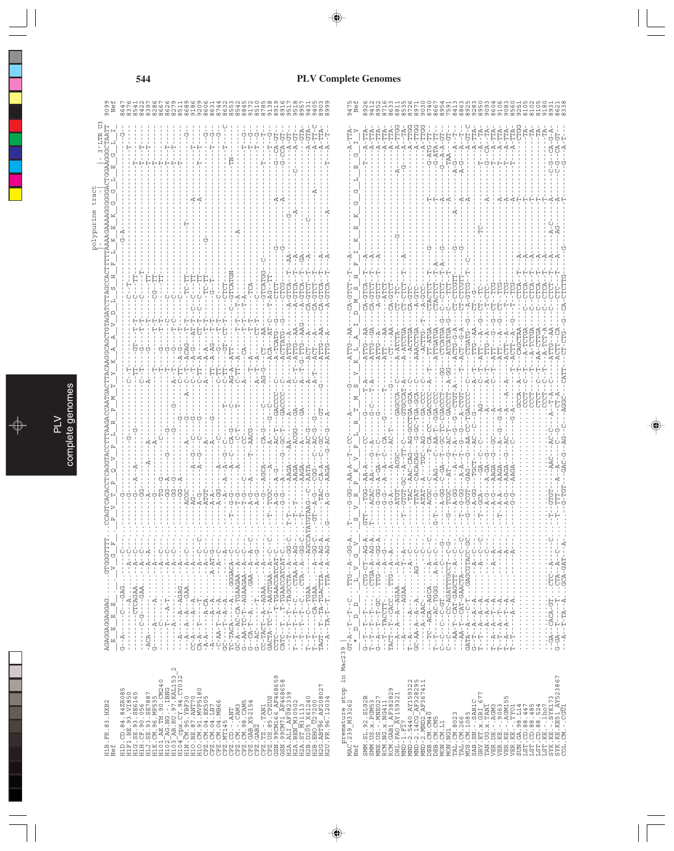|                                                                                                                              |                                                                                                                                                                                                                                                                                                                                                                                               |    |   |                                                                                                                                                                                                                                                                                                                                                                                                                                                                         |                        |  |    |           |   |                      |                        |              |        |              |            |                      |                                    |  |  |                                                                                                                                                                                                                                                                                                                                                                                                                                                   |                                            |   |                                                                                                                   |                                                                                                                                  |                |                | מ הממר משפט מ ה הפממממס כם מספט הם<br>שפט ר מסר שפט מ שפט מ מספט הם שמח<br>מ מ מ מ מ מ מ מ שפט מ מ מ מ מ מ מ מ מ מ מ מ מ מ מ ש |                     |                                                                                                                 |           |        |                     |                             |              |   |           |        |  |                                                                                                                                                                                                                                                                                                                                                                                                                      |  |                                                                                                                                                                                                                                                                                                                                                                                                                                                                                                                                  |
|------------------------------------------------------------------------------------------------------------------------------|-----------------------------------------------------------------------------------------------------------------------------------------------------------------------------------------------------------------------------------------------------------------------------------------------------------------------------------------------------------------------------------------------|----|---|-------------------------------------------------------------------------------------------------------------------------------------------------------------------------------------------------------------------------------------------------------------------------------------------------------------------------------------------------------------------------------------------------------------------------------------------------------------------------|------------------------|--|----|-----------|---|----------------------|------------------------|--------------|--------|--------------|------------|----------------------|------------------------------------|--|--|---------------------------------------------------------------------------------------------------------------------------------------------------------------------------------------------------------------------------------------------------------------------------------------------------------------------------------------------------------------------------------------------------------------------------------------------------|--------------------------------------------|---|-------------------------------------------------------------------------------------------------------------------|----------------------------------------------------------------------------------------------------------------------------------|----------------|----------------|--------------------------------------------------------------------------------------------------------------------------------|---------------------|-----------------------------------------------------------------------------------------------------------------|-----------|--------|---------------------|-----------------------------|--------------|---|-----------|--------|--|----------------------------------------------------------------------------------------------------------------------------------------------------------------------------------------------------------------------------------------------------------------------------------------------------------------------------------------------------------------------------------------------------------------------|--|----------------------------------------------------------------------------------------------------------------------------------------------------------------------------------------------------------------------------------------------------------------------------------------------------------------------------------------------------------------------------------------------------------------------------------------------------------------------------------------------------------------------------------|
|                                                                                                                              |                                                                                                                                                                                                                                                                                                                                                                                               | н  |   |                                                                                                                                                                                                                                                                                                                                                                                                                                                                         |                        |  |    |           |   |                      |                        |              |        |              |            | <b>CO-0</b><br>ひ     |                                    |  |  |                                                                                                                                                                                                                                                                                                                                                                                                                                                   |                                            |   | ひ<br>凹                                                                                                            |                                                                                                                                  |                |                | К                                                                                                                              |                     |                                                                                                                 |           |        |                     | $A - G - A$                 |              |   |           |        |  |                                                                                                                                                                                                                                                                                                                                                                                                                      |  |                                                                                                                                                                                                                                                                                                                                                                                                                                                                                                                                  |
|                                                                                                                              |                                                                                                                                                                                                                                                                                                                                                                                               |    |   |                                                                                                                                                                                                                                                                                                                                                                                                                                                                         |                        |  |    |           |   |                      |                        |              |        |              |            |                      |                                    |  |  |                                                                                                                                                                                                                                                                                                                                                                                                                                                   |                                            |   |                                                                                                                   |                                                                                                                                  |                |                |                                                                                                                                |                     |                                                                                                                 |           |        |                     |                             |              |   |           |        |  |                                                                                                                                                                                                                                                                                                                                                                                                                      |  |                                                                                                                                                                                                                                                                                                                                                                                                                                                                                                                                  |
|                                                                                                                              |                                                                                                                                                                                                                                                                                                                                                                                               |    |   |                                                                                                                                                                                                                                                                                                                                                                                                                                                                         |                        |  |    |           |   |                      |                        |              |        |              |            |                      |                                    |  |  |                                                                                                                                                                                                                                                                                                                                                                                                                                                   |                                            |   |                                                                                                                   |                                                                                                                                  |                |                |                                                                                                                                |                     |                                                                                                                 |           |        |                     |                             |              |   |           |        |  |                                                                                                                                                                                                                                                                                                                                                                                                                      |  |                                                                                                                                                                                                                                                                                                                                                                                                                                                                                                                                  |
|                                                                                                                              |                                                                                                                                                                                                                                                                                                                                                                                               |    |   |                                                                                                                                                                                                                                                                                                                                                                                                                                                                         |                        |  |    |           |   |                      |                        |              |        | <b>GTCAT</b> |            |                      |                                    |  |  |                                                                                                                                                                                                                                                                                                                                                                                                                                                   |                                            |   | Γz.<br>C)                                                                                                         |                                                                                                                                  |                |                |                                                                                                                                |                     |                                                                                                                 |           |        |                     |                             |              |   |           |        |  |                                                                                                                                                                                                                                                                                                                                                                                                                      |  |                                                                                                                                                                                                                                                                                                                                                                                                                                                                                                                                  |
|                                                                                                                              |                                                                                                                                                                                                                                                                                                                                                                                               |    | g |                                                                                                                                                                                                                                                                                                                                                                                                                                                                         |                        |  |    |           |   | U                    | .<br>-<br>-            | $T - A$      |        |              | $-AG$<br>탁 |                      |                                    |  |  |                                                                                                                                                                                                                                                                                                                                                                                                                                                   |                                            | 5 |                                                                                                                   | GTCP                                                                                                                             | $\overline{A}$ | $\mathfrak{S}$ |                                                                                                                                |                     |                                                                                                                 |           |        |                     |                             | <b>COLO-</b> | Ę |           |        |  |                                                                                                                                                                                                                                                                                                                                                                                                                      |  | S                                                                                                                                                                                                                                                                                                                                                                                                                                                                                                                                |
| TTACAAGGCAGCTGTAGATCTTA<br>'Y K A A V D L                                                                                    |                                                                                                                                                                                                                                                                                                                                                                                               | ひひ |   | ひひひひ                                                                                                                                                                                                                                                                                                                                                                                                                                                                    |                        |  |    |           |   |                      | 부부                     |              |        |              |            |                      |                                    |  |  |                                                                                                                                                                                                                                                                                                                                                                                                                                                   |                                            |   |                                                                                                                   |                                                                                                                                  |                |                |                                                                                                                                | AAACCTG<br>$-ACTTG$ |                                                                                                                 | $-TT - A$ |        |                     |                             | TGAT         |   |           |        |  |                                                                                                                                                                                                                                                                                                                                                                                                                      |  |                                                                                                                                                                                                                                                                                                                                                                                                                                                                                                                                  |
|                                                                                                                              |                                                                                                                                                                                                                                                                                                                                                                                               |    |   |                                                                                                                                                                                                                                                                                                                                                                                                                                                                         |                        |  |    | $-$ A $($ |   |                      |                        |              | Н<br>Н |              |            |                      | $\mathbf{1}=\mathbf{1}=\mathbf{1}$ |  |  |                                                                                                                                                                                                                                                                                                                                                                                                                                                   |                                            |   |                                                                                                                   |                                                                                                                                  |                |                |                                                                                                                                |                     |                                                                                                                 |           | -ATTGA |                     |                             |              |   |           |        |  |                                                                                                                                                                                                                                                                                                                                                                                                                      |  |                                                                                                                                                                                                                                                                                                                                                                                                                                                                                                                                  |
| <b>CCAAT</b>                                                                                                                 |                                                                                                                                                                                                                                                                                                                                                                                               |    |   |                                                                                                                                                                                                                                                                                                                                                                                                                                                                         |                        |  |    |           |   |                      |                        |              |        |              |            |                      |                                    |  |  |                                                                                                                                                                                                                                                                                                                                                                                                                                                   |                                            |   |                                                                                                                   |                                                                                                                                  |                |                |                                                                                                                                |                     |                                                                                                                 | GACCCC    |        | C-CGACCCT<br>GACCCT | $3--A-CTGT$<br>$C-TGACCCCC$ |              |   |           |        |  |                                                                                                                                                                                                                                                                                                                                                                                                                      |  |                                                                                                                                                                                                                                                                                                                                                                                                                                                                                                                                  |
|                                                                                                                              |                                                                                                                                                                                                                                                                                                                                                                                               |    |   |                                                                                                                                                                                                                                                                                                                                                                                                                                                                         |                        |  |    |           | ΰ | U                    | $A - G$<br>$\Gamma$ -7 | $- - 2C - 1$ |        | $CA-G$       |            | Γ-J<br>ラし            |                                    |  |  |                                                                                                                                                                                                                                                                                                                                                                                                                                                   |                                            |   |                                                                                                                   |                                                                                                                                  |                |                |                                                                                                                                |                     |                                                                                                                 |           |        |                     |                             |              |   | $\vec{c}$ | י<br>ט |  |                                                                                                                                                                                                                                                                                                                                                                                                                      |  |                                                                                                                                                                                                                                                                                                                                                                                                                                                                                                                                  |
| CAGGTACCTTTAAGA<br>O V P L R<br>$\circ$                                                                                      |                                                                                                                                                                                                                                                                                                                                                                                               |    |   |                                                                                                                                                                                                                                                                                                                                                                                                                                                                         |                        |  | じり |           |   | $\frac{1}{2}$<br>면 모 |                        |              |        | AGCA         |            | $\frac{1}{\sqrt{2}}$ |                                    |  |  |                                                                                                                                                                                                                                                                                                                                                                                                                                                   |                                            |   |                                                                                                                   |                                                                                                                                  | U              |                |                                                                                                                                |                     |                                                                                                                 |           |        | $-GB$               |                             |              |   |           |        |  |                                                                                                                                                                                                                                                                                                                                                                                                                      |  |                                                                                                                                                                                                                                                                                                                                                                                                                                                                                                                                  |
| GTCA                                                                                                                         |                                                                                                                                                                                                                                                                                                                                                                                               |    |   |                                                                                                                                                                                                                                                                                                                                                                                                                                                                         |                        |  |    |           |   |                      |                        | ひ            | ひ<br>ひ |              |            |                      |                                    |  |  |                                                                                                                                                                                                                                                                                                                                                                                                                                                   |                                            |   |                                                                                                                   |                                                                                                                                  | ပု             |                |                                                                                                                                |                     |                                                                                                                 | ACG       |        |                     |                             |              |   |           |        |  |                                                                                                                                                                                                                                                                                                                                                                                                                      |  |                                                                                                                                                                                                                                                                                                                                                                                                                                                                                                                                  |
|                                                                                                                              |                                                                                                                                                                                                                                                                                                                                                                                               |    |   |                                                                                                                                                                                                                                                                                                                                                                                                                                                                         |                        |  |    |           |   |                      |                        |              |        |              |            |                      |                                    |  |  |                                                                                                                                                                                                                                                                                                                                                                                                                                                   |                                            |   |                                                                                                                   |                                                                                                                                  |                |                |                                                                                                                                |                     |                                                                                                                 |           |        |                     |                             |              |   |           |        |  |                                                                                                                                                                                                                                                                                                                                                                                                                      |  |                                                                                                                                                                                                                                                                                                                                                                                                                                                                                                                                  |
|                                                                                                                              | $\mathbf{I}$<br>$\frac{1}{\sqrt{2}}$<br>$\frac{1}{1}$<br>$\mathbf{I}$<br>К<br>К<br>$\mathbf{I}$                                                                                                                                                                                                                                                                                               |    |   | ookiooo<br>Titutti                                                                                                                                                                                                                                                                                                                                                                                                                                                      |                        |  |    |           |   |                      |                        |              |        |              |            |                      |                                    |  |  |                                                                                                                                                                                                                                                                                                                                                                                                                                                   |                                            |   |                                                                                                                   |                                                                                                                                  |                |                |                                                                                                                                |                     |                                                                                                                 |           |        |                     |                             |              |   |           |        |  |                                                                                                                                                                                                                                                                                                                                                                                                                      |  |                                                                                                                                                                                                                                                                                                                                                                                                                                                                                                                                  |
| $\begin{tabular}{cccccc} AGAGGAGGAGGAG & \ldots & \ldots & GTGGGTTTT \\ E & E & E & E & \ldots & V & G \\ E & \end{tabular}$ | Ŧ<br>Ħ<br>$\ddot{\cdot}$<br>$---GAG$                                                                                                                                                                                                                                                                                                                                                          |    |   |                                                                                                                                                                                                                                                                                                                                                                                                                                                                         |                        |  |    |           |   |                      |                        |              |        |              |            |                      |                                    |  |  | $\begin{array}{l} \mathbb{T}^n-\mathbb{T}^n-\cdots-\mathbb{C}^n-\mathbb{T} \text{G} \text{G} \text{G} \lambda \\ \mathbb{T}^n-\mathbb{T}^n-\mathbb{T}^n-\cdots-\mathbb{T}^n+\mathbb{T} \text{G} \text{G} \text{G} \lambda \\ \mathbb{T}^n-\mathbb{T}^n-\mathbb{T}^n-\mathbb{T} \text{G} \text{G} \text{G} \text{G} \text{G} \lambda \\ \mathbb{T}^n-\mathbb{T}^n-\mathbb{T}^n-\mathbb{T} \text{G} \text{G} \text{G} \text{G} \text{G} \text{G} \$ |                                            |   | $\frac{GT - A - - T - - T - - C \dots TTG - -A - -GG - A \dots}{\frac{X}{\cdot} - D - D \dots - D \dots - L - L}$ |                                                                                                                                  |                |                |                                                                                                                                |                     |                                                                                                                 |           |        |                     |                             |              |   |           |        |  |                                                                                                                                                                                                                                                                                                                                                                                                                      |  |                                                                                                                                                                                                                                                                                                                                                                                                                                                                                                                                  |
|                                                                                                                              | $- - - A \ldots$<br>CTCAGAA<br>$- - A$<br>$C$ - $C$<br>Ť<br>$\mathsf I$<br>$\mathbf{I}$<br>$\mathbb{L}$                                                                                                                                                                                                                                                                                       |    |   |                                                                                                                                                                                                                                                                                                                                                                                                                                                                         |                        |  |    |           |   |                      |                        |              |        |              |            |                      |                                    |  |  |                                                                                                                                                                                                                                                                                                                                                                                                                                                   |                                            |   |                                                                                                                   |                                                                                                                                  |                |                |                                                                                                                                |                     |                                                                                                                 |           |        |                     |                             |              |   |           |        |  |                                                                                                                                                                                                                                                                                                                                                                                                                      |  |                                                                                                                                                                                                                                                                                                                                                                                                                                                                                                                                  |
|                                                                                                                              | $\mathbf{I}$<br>$\mathsf I$<br>$\mathsf I$<br>$-4 - 7$<br>$\mathbf{I}$<br>$\mathbb{L}$<br>ひ                                                                                                                                                                                                                                                                                                   | 击击 |   | $\begin{array}{c} 6-\cdots -2\cdot -2\cdot -2\cdot \\ -2\cdot -2\cdot -2\cdot -2\cdot -2\cdot \\ -2\cdot -2\cdot -2\cdot -2\cdot \\ -2\cdot -2\cdot -2\cdot -2\cdot \\ -2\cdot -2\cdot -2\cdot -2\cdot \\ -2\cdot -2\cdot -2\cdot -2\cdot \\ -2\cdot -2\cdot -2\cdot -2\cdot \\ -2\cdot -2\cdot -2\cdot -2\cdot \\ -2\cdot -2\cdot -2\cdot -2\cdot \\ -2\cdot -2\cdot -2\cdot -2\cdot \\ -2\cdot -2\cdot -2\cdot -2\cdot \\ -2\cdot -2\cdot -2\cdot -2\cdot \\ -2\cdot$ |                        |  |    |           |   |                      |                        |              |        |              |            |                      |                                    |  |  |                                                                                                                                                                                                                                                                                                                                                                                                                                                   |                                            |   |                                                                                                                   |                                                                                                                                  |                |                |                                                                                                                                |                     |                                                                                                                 |           |        |                     |                             |              |   |           |        |  |                                                                                                                                                                                                                                                                                                                                                                                                                      |  | $\begin{array}{ll} \overline{6-1} \overline{1}, \overline{1}, \overline{1}, \overline{1}, \overline{1}, \overline{1}, \overline{1}, \overline{1}, \overline{1}, \overline{1}, \overline{1}, \overline{1}, \overline{1}, \overline{1}, \overline{1}, \overline{1}, \overline{1}, \overline{1}, \overline{1}, \overline{1}, \overline{1}, \overline{1}, \overline{1}, \overline{1}, \overline{1}, \overline{1}, \overline{1}, \overline{1}, \overline{1}, \overline{1}, \overline{1}, \overline{1}, \overline{1}, \overline{1}, \$ |
|                                                                                                                              |                                                                                                                                                                                                                                                                                                                                                                                               |    |   |                                                                                                                                                                                                                                                                                                                                                                                                                                                                         | $\mathsf{\sim}$<br>ന'സ |  |    |           |   |                      |                        |              |        |              |            | C                    |                                    |  |  |                                                                                                                                                                                                                                                                                                                                                                                                                                                   |                                            |   |                                                                                                                   |                                                                                                                                  |                | $\sigma$       |                                                                                                                                |                     |                                                                                                                 |           |        |                     |                             |              |   |           |        |  |                                                                                                                                                                                                                                                                                                                                                                                                                      |  |                                                                                                                                                                                                                                                                                                                                                                                                                                                                                                                                  |
| 83.HXB2                                                                                                                      |                                                                                                                                                                                                                                                                                                                                                                                               |    |   |                                                                                                                                                                                                                                                                                                                                                                                                                                                                         |                        |  |    |           |   |                      |                        |              |        |              |            |                      |                                    |  |  |                                                                                                                                                                                                                                                                                                                                                                                                                                                   |                                            |   |                                                                                                                   |                                                                                                                                  |                |                |                                                                                                                                |                     |                                                                                                                 |           |        |                     |                             |              |   |           |        |  |                                                                                                                                                                                                                                                                                                                                                                                                                      |  |                                                                                                                                                                                                                                                                                                                                                                                                                                                                                                                                  |
| H1B.FR.8<br>Nef                                                                                                              | $\begin{small} \text{H1D}_1 & \text{CD}_2 & \text{84}, \text{84ZR085} \\ \text{H1D}_1 & \text{H25} & \text{33}, \text{y17550} \\ \text{H1D}_2 & \text{H25} & \text{19}, \text{0.56} \\ \text{H1D}_3 & \text{H25} & \text{19}, \text{0.56} \\ \text{H1D}_4 & \text{H1D}_5 & \text{19}, \text{0.56} \\ \text{H1D}_5 & \text{H1D}_5 & \text{H1D}_5 \\ \text{H1D}_6 & \text{CDS}_5 & \text{CY} &$ |    |   |                                                                                                                                                                                                                                                                                                                                                                                                                                                                         |                        |  |    |           |   |                      |                        |              |        |              |            |                      |                                    |  |  |                                                                                                                                                                                                                                                                                                                                                                                                                                                   | premature stop in Mac239<br>MAC.239_M33262 |   |                                                                                                                   | SMM. 51. 92. 51.92B<br>MSM. US. - NGMS<br>MCM. NG. - NGMS<br>RCM. NG. - NG411<br>DCM. GAB1_AF38282<br>DCM. - NGHT<br>MUD-1. FIT, |                |                |                                                                                                                                |                     | MWD-2.5440 AY159322<br>MWD-2.14CG-AF328295<br>MWD-2.1MWD2 AF3678295<br>DBB.CM.CM40<br>DBB.CM.CM40<br>MON.CM.L11 |           |        | MON.NG1             |                             |              |   |           |        |  | $\begin{tabular}{l l l l } \hline \texttt{PA1} & \texttt{ON} & \texttt{3023} \\ \hline \texttt{MA1} & \texttt{OSB} & \texttt{SABIL} \\ \texttt{MB1} & \texttt{S1} & \texttt{S1} & \texttt{S1} & \texttt{S2} \\ \texttt{SR1} & \texttt{S1} & \texttt{S2} & \texttt{S2} & \texttt{S2} & \texttt{S3} \\ \texttt{SR2} & \texttt{S1} & \texttt{S2} & \texttt{S3} & \texttt{S4} & \texttt{S4} \\ \texttt{MR2} & \texttt{S$ |  | SYK.KE.-.SYK173<br>SYK.KE.KES1 AY523867<br>COL.CM.-.CGU1                                                                                                                                                                                                                                                                                                                                                                                                                                                                         |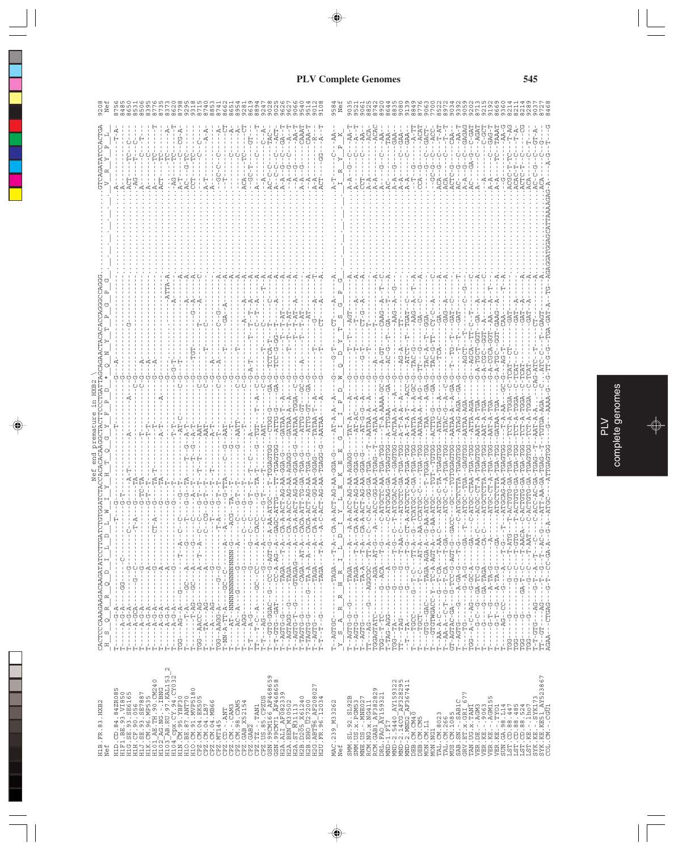| aenomes<br>ì  |
|---------------|
| ete           |
|               |
|               |
|               |
| י<br>המה<br>ī |
|               |
| ĭ             |
|               |
|               |

 $\overline{\Omega}$ 

| FR.83.HXB2<br>H1B.<br>Nef                                                                                                                                                                                                                                                                                                                            | CACTCCCAAGAAGACAAGATATCCTTGA<br>$\mathbf{p}$<br>$\approx$<br>$\circ$<br>C)<br>Ξ                                                                                                                                                                                                                                                                                                                                                                  | Ĺ,<br>$\vdash$<br>$\Box$<br>$\circ$                                                                                                                                                                                                                                                                                                                                                                | $\Box$                                                                                                                                                                                                                                                                                                                                                                                                                                                                                 |        |                                  | <b>UUAUUUUAUU</b> |     |         |  |
|------------------------------------------------------------------------------------------------------------------------------------------------------------------------------------------------------------------------------------------------------------------------------------------------------------------------------------------------------|--------------------------------------------------------------------------------------------------------------------------------------------------------------------------------------------------------------------------------------------------------------------------------------------------------------------------------------------------------------------------------------------------------------------------------------------------|----------------------------------------------------------------------------------------------------------------------------------------------------------------------------------------------------------------------------------------------------------------------------------------------------------------------------------------------------------------------------------------------------|----------------------------------------------------------------------------------------------------------------------------------------------------------------------------------------------------------------------------------------------------------------------------------------------------------------------------------------------------------------------------------------------------------------------------------------------------------------------------------------|--------|----------------------------------|-------------------|-----|---------|--|
|                                                                                                                                                                                                                                                                                                                                                      | J.<br>$\frac{1}{1}$<br>$-5 - -$<br>J.<br>J.                                                                                                                                                                                                                                                                                                                                                                                                      | 1<br>$\mathbf{I}$                                                                                                                                                                                                                                                                                                                                                                                  |                                                                                                                                                                                                                                                                                                                                                                                                                                                                                        |        |                                  |                   |     |         |  |
|                                                                                                                                                                                                                                                                                                                                                      | $-55 -$                                                                                                                                                                                                                                                                                                                                                                                                                                          | $\frac{1}{2}$<br>$\mathbf{I}$                                                                                                                                                                                                                                                                                                                                                                      |                                                                                                                                                                                                                                                                                                                                                                                                                                                                                        |        |                                  |                   |     |         |  |
|                                                                                                                                                                                                                                                                                                                                                      | $\mathbf{I}$<br>$\overline{1}$                                                                                                                                                                                                                                                                                                                                                                                                                   | $\frac{1}{\sqrt{2}}$                                                                                                                                                                                                                                                                                                                                                                               |                                                                                                                                                                                                                                                                                                                                                                                                                                                                                        |        |                                  |                   |     |         |  |
|                                                                                                                                                                                                                                                                                                                                                      | $\mathbf{I}$<br>$\frac{1}{4}$                                                                                                                                                                                                                                                                                                                                                                                                                    | $\frac{1}{1}$<br>$-1 - 6 - 6$                                                                                                                                                                                                                                                                                                                                                                      |                                                                                                                                                                                                                                                                                                                                                                                                                                                                                        |        |                                  |                   |     |         |  |
|                                                                                                                                                                                                                                                                                                                                                      | $\mathfrak l$<br>t                                                                                                                                                                                                                                                                                                                                                                                                                               | ŧ                                                                                                                                                                                                                                                                                                                                                                                                  |                                                                                                                                                                                                                                                                                                                                                                                                                                                                                        |        |                                  |                   |     |         |  |
|                                                                                                                                                                                                                                                                                                                                                      |                                                                                                                                                                                                                                                                                                                                                                                                                                                  | K,<br>$\frac{1}{4}$                                                                                                                                                                                                                                                                                                                                                                                |                                                                                                                                                                                                                                                                                                                                                                                                                                                                                        |        |                                  |                   |     |         |  |
|                                                                                                                                                                                                                                                                                                                                                      |                                                                                                                                                                                                                                                                                                                                                                                                                                                  | $\frac{0}{1}$                                                                                                                                                                                                                                                                                                                                                                                      | $\frac{1}{4}$                                                                                                                                                                                                                                                                                                                                                                                                                                                                          |        |                                  |                   |     |         |  |
|                                                                                                                                                                                                                                                                                                                                                      |                                                                                                                                                                                                                                                                                                                                                                                                                                                  | Ť                                                                                                                                                                                                                                                                                                                                                                                                  | $\frac{1}{4}$                                                                                                                                                                                                                                                                                                                                                                                                                                                                          |        |                                  |                   |     |         |  |
| $\sim$                                                                                                                                                                                                                                                                                                                                               | $\begin{array}{cccccccccc} . & . & . & . & . & . \\ . & . & . & . & . & . \\ . & . & . & . & . & . \\ . & . & . & . & . & . \\ . & . & . & . & . & . \\ . & . & . & . & . & . \end{array}$                                                                                                                                                                                                                                                       | $A \triangleleft C$<br>÷                                                                                                                                                                                                                                                                                                                                                                           | てりてり                                                                                                                                                                                                                                                                                                                                                                                                                                                                                   |        |                                  |                   |     |         |  |
|                                                                                                                                                                                                                                                                                                                                                      | $\overline{\phantom{a}}$<br>$\frac{1}{1}$                                                                                                                                                                                                                                                                                                                                                                                                        | $\frac{1}{4}$                                                                                                                                                                                                                                                                                                                                                                                      |                                                                                                                                                                                                                                                                                                                                                                                                                                                                                        |        |                                  |                   |     |         |  |
|                                                                                                                                                                                                                                                                                                                                                      | $G - -2AG - -A$                                                                                                                                                                                                                                                                                                                                                                                                                                  | ÷,<br>I,                                                                                                                                                                                                                                                                                                                                                                                           |                                                                                                                                                                                                                                                                                                                                                                                                                                                                                        |        |                                  |                   |     | $C - D$ |  |
|                                                                                                                                                                                                                                                                                                                                                      | $\mathbb{L}$                                                                                                                                                                                                                                                                                                                                                                                                                                     | $-4$<br>$\mathsf I$                                                                                                                                                                                                                                                                                                                                                                                |                                                                                                                                                                                                                                                                                                                                                                                                                                                                                        |        |                                  |                   |     |         |  |
|                                                                                                                                                                                                                                                                                                                                                      | $-1 - 2 - 4 - 1 - 3 - 1 - 1$<br>Ť<br>$\mathsf I$<br>$\mathbf{I}$                                                                                                                                                                                                                                                                                                                                                                                 | $- - A$                                                                                                                                                                                                                                                                                                                                                                                            |                                                                                                                                                                                                                                                                                                                                                                                                                                                                                        |        |                                  |                   |     |         |  |
|                                                                                                                                                                                                                                                                                                                                                      | $-GG--AACC-AG--$                                                                                                                                                                                                                                                                                                                                                                                                                                 | $-$ – $\mbox{T}$ – $-$ A                                                                                                                                                                                                                                                                                                                                                                           |                                                                                                                                                                                                                                                                                                                                                                                                                                                                                        |        |                                  | н                 |     |         |  |
|                                                                                                                                                                                                                                                                                                                                                      | $-AG-$<br>$-TR -$<br>$\mathbf{I}$<br>Ť                                                                                                                                                                                                                                                                                                                                                                                                           | $\begin{array}{l} \Delta=-\frac{1}{2} \left( \begin{array}{ccc} 1 & -1 & -1 \\ -1 & -1 & -1 \\ 0 & -1 & -1 \\ 0 & -1 & -1 \\ 0 & -1 & -1 \\ 0 & -1 & -1 \\ 0 & -1 & -1 \\ 0 & -1 & -1 \\ 0 & -1 & -1 \\ 0 & -1 & -1 \\ 0 & -1 & -1 \\ 0 & -1 & -1 \\ 0 & -1 & -1 \\ 0 & -1 & -1 \\ 0 & -1 & -1 \\ 0 & -1 & -1 \\ 0 & -1 & -1 \\ 0 & -1 & -1 \\ 0 & -1 & -1 \\ 0 & -1 & -1 \\ 0 & -1 & -1 \\ 0 & -$ |                                                                                                                                                                                                                                                                                                                                                                                                                                                                                        |        |                                  |                   |     |         |  |
|                                                                                                                                                                                                                                                                                                                                                      |                                                                                                                                                                                                                                                                                                                                                                                                                                                  |                                                                                                                                                                                                                                                                                                                                                                                                    |                                                                                                                                                                                                                                                                                                                                                                                                                                                                                        |        |                                  |                   |     |         |  |
|                                                                                                                                                                                                                                                                                                                                                      | $----P-1$<br>Ť                                                                                                                                                                                                                                                                                                                                                                                                                                   | $\,$ $\,$                                                                                                                                                                                                                                                                                                                                                                                          |                                                                                                                                                                                                                                                                                                                                                                                                                                                                                        |        |                                  |                   |     |         |  |
|                                                                                                                                                                                                                                                                                                                                                      | $GG - PAGG - A$                                                                                                                                                                                                                                                                                                                                                                                                                                  |                                                                                                                                                                                                                                                                                                                                                                                                    |                                                                                                                                                                                                                                                                                                                                                                                                                                                                                        |        |                                  |                   |     |         |  |
|                                                                                                                                                                                                                                                                                                                                                      | $-NTT - A - TT - A$                                                                                                                                                                                                                                                                                                                                                                                                                              | $\vec{A}$                                                                                                                                                                                                                                                                                                                                                                                          |                                                                                                                                                                                                                                                                                                                                                                                                                                                                                        |        |                                  | යි                |     |         |  |
|                                                                                                                                                                                                                                                                                                                                                      | - AT- - NMMMMMMMMMMMH-G<br>Ť                                                                                                                                                                                                                                                                                                                                                                                                                     |                                                                                                                                                                                                                                                                                                                                                                                                    |                                                                                                                                                                                                                                                                                                                                                                                                                                                                                        |        |                                  |                   |     |         |  |
|                                                                                                                                                                                                                                                                                                                                                      |                                                                                                                                                                                                                                                                                                                                                                                                                                                  | ÷.<br>ウー                                                                                                                                                                                                                                                                                                                                                                                           | $-4$                                                                                                                                                                                                                                                                                                                                                                                                                                                                                   |        |                                  |                   |     |         |  |
|                                                                                                                                                                                                                                                                                                                                                      |                                                                                                                                                                                                                                                                                                                                                                                                                                                  | ÷                                                                                                                                                                                                                                                                                                                                                                                                  |                                                                                                                                                                                                                                                                                                                                                                                                                                                                                        |        |                                  |                   |     |         |  |
|                                                                                                                                                                                                                                                                                                                                                      |                                                                                                                                                                                                                                                                                                                                                                                                                                                  | $-24$<br>Ħ                                                                                                                                                                                                                                                                                                                                                                                         |                                                                                                                                                                                                                                                                                                                                                                                                                                                                                        |        |                                  |                   |     |         |  |
|                                                                                                                                                                                                                                                                                                                                                      |                                                                                                                                                                                                                                                                                                                                                                                                                                                  |                                                                                                                                                                                                                                                                                                                                                                                                    | $\blacksquare$                                                                                                                                                                                                                                                                                                                                                                                                                                                                         |        |                                  |                   |     |         |  |
|                                                                                                                                                                                                                                                                                                                                                      | $\mathbf{I}$<br>-<br>$-T$ -------                                                                                                                                                                                                                                                                                                                                                                                                                | ÷<br>$C_1$                                                                                                                                                                                                                                                                                                                                                                                         |                                                                                                                                                                                                                                                                                                                                                                                                                                                                                        |        |                                  |                   |     |         |  |
|                                                                                                                                                                                                                                                                                                                                                      | D-ID 4-D-JJJ--D--JYDD-DID-<br>$\frac{1}{1}$                                                                                                                                                                                                                                                                                                                                                                                                      |                                                                                                                                                                                                                                                                                                                                                                                                    |                                                                                                                                                                                                                                                                                                                                                                                                                                                                                        |        |                                  |                   |     |         |  |
|                                                                                                                                                                                                                                                                                                                                                      | $-TT-GTG - -GTT- -$                                                                                                                                                                                                                                                                                                                                                                                                                              |                                                                                                                                                                                                                                                                                                                                                                                                    |                                                                                                                                                                                                                                                                                                                                                                                                                                                                                        |        |                                  |                   |     |         |  |
|                                                                                                                                                                                                                                                                                                                                                      | $\mathsf I$<br>l.<br><b>0-DIDE-1</b>                                                                                                                                                                                                                                                                                                                                                                                                             |                                                                                                                                                                                                                                                                                                                                                                                                    |                                                                                                                                                                                                                                                                                                                                                                                                                                                                                        |        |                                  |                   |     |         |  |
|                                                                                                                                                                                                                                                                                                                                                      | ----KORH------D--DOKHOK--<br>Н                                                                                                                                                                                                                                                                                                                                                                                                                   | $-4$                                                                                                                                                                                                                                                                                                                                                                                               | $\mathbf{I}$                                                                                                                                                                                                                                                                                                                                                                                                                                                                           |        |                                  |                   |     |         |  |
|                                                                                                                                                                                                                                                                                                                                                      | -- 545455----5-- 1-5-5564--<br>H                                                                                                                                                                                                                                                                                                                                                                                                                 | $- - A$                                                                                                                                                                                                                                                                                                                                                                                            | t                                                                                                                                                                                                                                                                                                                                                                                                                                                                                      |        |                                  |                   |     |         |  |
|                                                                                                                                                                                                                                                                                                                                                      | $\frac{1}{4}$<br>먹<br>-TAGTG                                                                                                                                                                                                                                                                                                                                                                                                                     | $-1 - CAGA - TAT - A$                                                                                                                                                                                                                                                                                                                                                                              |                                                                                                                                                                                                                                                                                                                                                                                                                                                                                        |        |                                  |                   |     |         |  |
|                                                                                                                                                                                                                                                                                                                                                      | -TAGTG-G                                                                                                                                                                                                                                                                                                                                                                                                                                         |                                                                                                                                                                                                                                                                                                                                                                                                    |                                                                                                                                                                                                                                                                                                                                                                                                                                                                                        |        |                                  |                   |     |         |  |
|                                                                                                                                                                                                                                                                                                                                                      |                                                                                                                                                                                                                                                                                                                                                                                                                                                  | -- TAGA---                                                                                                                                                                                                                                                                                                                                                                                         |                                                                                                                                                                                                                                                                                                                                                                                                                                                                                        |        |                                  |                   |     |         |  |
|                                                                                                                                                                                                                                                                                                                                                      | $\mathbf I$<br>$\frac{1}{4}$<br>$\mathbf{1}$<br>$\frac{1}{4}$<br>$-$ -AGTG<br>$T = -T -$                                                                                                                                                                                                                                                                                                                                                         | - TAGA - - - - - A<br>- TAGA - - - T-A                                                                                                                                                                                                                                                                                                                                                             |                                                                                                                                                                                                                                                                                                                                                                                                                                                                                        |        |                                  |                   |     |         |  |
|                                                                                                                                                                                                                                                                                                                                                      | $\frac{1}{\sqrt{2}}$                                                                                                                                                                                                                                                                                                                                                                                                                             |                                                                                                                                                                                                                                                                                                                                                                                                    |                                                                                                                                                                                                                                                                                                                                                                                                                                                                                        |        |                                  |                   |     |         |  |
|                                                                                                                                                                                                                                                                                                                                                      |                                                                                                                                                                                                                                                                                                                                                                                                                                                  |                                                                                                                                                                                                                                                                                                                                                                                                    |                                                                                                                                                                                                                                                                                                                                                                                                                                                                                        |        |                                  |                   |     |         |  |
| MAC.239 M33262                                                                                                                                                                                                                                                                                                                                       | -- AGTGC<br>н                                                                                                                                                                                                                                                                                                                                                                                                                                    | $-$ - TAGA - - - T-A                                                                                                                                                                                                                                                                                                                                                                               |                                                                                                                                                                                                                                                                                                                                                                                                                                                                                        |        |                                  |                   |     |         |  |
| Nef                                                                                                                                                                                                                                                                                                                                                  | $\simeq$<br>$\mathbf{p}$<br>$\operatorname{\mathsf{K}}\nolimits_i$<br>C)<br>$\rightarrow$                                                                                                                                                                                                                                                                                                                                                        | $\Box$<br>$\overline{H}$<br>$\approx$<br>Ξ                                                                                                                                                                                                                                                                                                                                                         | $\Box$                                                                                                                                                                                                                                                                                                                                                                                                                                                                                 | $\Box$ |                                  |                   |     |         |  |
|                                                                                                                                                                                                                                                                                                                                                      |                                                                                                                                                                                                                                                                                                                                                                                                                                                  |                                                                                                                                                                                                                                                                                                                                                                                                    | $-4$                                                                                                                                                                                                                                                                                                                                                                                                                                                                                   |        |                                  |                   |     |         |  |
| SMM. SL. 92. SL92B<br>SMM. US. x. pcM53<br>MNE. US. - MNE027<br>RCM. GAB1. AF3829<br>RCM. GAB1. RAO_AY1593229<br>DRL. PAO_AY159321                                                                                                                                                                                                                   | $- - P1G1G - G - -$                                                                                                                                                                                                                                                                                                                                                                                                                              |                                                                                                                                                                                                                                                                                                                                                                                                    |                                                                                                                                                                                                                                                                                                                                                                                                                                                                                        |        |                                  |                   |     | UUÜ     |  |
|                                                                                                                                                                                                                                                                                                                                                      | $- - 2GTC - - - -$                                                                                                                                                                                                                                                                                                                                                                                                                               |                                                                                                                                                                                                                                                                                                                                                                                                    |                                                                                                                                                                                                                                                                                                                                                                                                                                                                                        |        |                                  |                   |     |         |  |
|                                                                                                                                                                                                                                                                                                                                                      | $TT-$                                                                                                                                                                                                                                                                                                                                                                                                                                            |                                                                                                                                                                                                                                                                                                                                                                                                    |                                                                                                                                                                                                                                                                                                                                                                                                                                                                                        |        |                                  |                   |     |         |  |
|                                                                                                                                                                                                                                                                                                                                                      | $\begin{array}{l} 1.1 - - 48 - -1 - 6 - - 4860000 - 777 - 4 - 0 \\ 7004070470 - 1 - 1 - - 1 - 464 - 347 - 6 - - 1 \\ 7 - 794 - 307 - 1 - 6 - 1 - 24 - 1 - 7 - 6 - 1 \\ 7 - 794 - 307 - 1 - 1 - 6 - 1 - 24 - 1 - 1 \\ 706 - 774 - 1 - 1 - 1 - 6 - 1 - 6 - 1 - 7 - 1 - 1 \\ 706 - 774 - 1 - 1 - 1 - 6 - 1$                                                                                                                                         |                                                                                                                                                                                                                                                                                                                                                                                                    |                                                                                                                                                                                                                                                                                                                                                                                                                                                                                        |        |                                  |                   |     |         |  |
| G                                                                                                                                                                                                                                                                                                                                                    | TGGAGTATC-------                                                                                                                                                                                                                                                                                                                                                                                                                                 |                                                                                                                                                                                                                                                                                                                                                                                                    |                                                                                                                                                                                                                                                                                                                                                                                                                                                                                        |        |                                  |                   |     |         |  |
|                                                                                                                                                                                                                                                                                                                                                      |                                                                                                                                                                                                                                                                                                                                                                                                                                                  |                                                                                                                                                                                                                                                                                                                                                                                                    |                                                                                                                                                                                                                                                                                                                                                                                                                                                                                        | ŏ      |                                  |                   |     | ↻       |  |
|                                                                                                                                                                                                                                                                                                                                                      |                                                                                                                                                                                                                                                                                                                                                                                                                                                  |                                                                                                                                                                                                                                                                                                                                                                                                    |                                                                                                                                                                                                                                                                                                                                                                                                                                                                                        |        |                                  |                   |     |         |  |
|                                                                                                                                                                                                                                                                                                                                                      |                                                                                                                                                                                                                                                                                                                                                                                                                                                  |                                                                                                                                                                                                                                                                                                                                                                                                    |                                                                                                                                                                                                                                                                                                                                                                                                                                                                                        |        |                                  |                   |     |         |  |
|                                                                                                                                                                                                                                                                                                                                                      | $TT---TAG---$                                                                                                                                                                                                                                                                                                                                                                                                                                    |                                                                                                                                                                                                                                                                                                                                                                                                    |                                                                                                                                                                                                                                                                                                                                                                                                                                                                                        |        |                                  |                   |     |         |  |
|                                                                                                                                                                                                                                                                                                                                                      |                                                                                                                                                                                                                                                                                                                                                                                                                                                  |                                                                                                                                                                                                                                                                                                                                                                                                    |                                                                                                                                                                                                                                                                                                                                                                                                                                                                                        |        |                                  |                   |     |         |  |
|                                                                                                                                                                                                                                                                                                                                                      |                                                                                                                                                                                                                                                                                                                                                                                                                                                  |                                                                                                                                                                                                                                                                                                                                                                                                    |                                                                                                                                                                                                                                                                                                                                                                                                                                                                                        |        |                                  |                   |     |         |  |
|                                                                                                                                                                                                                                                                                                                                                      |                                                                                                                                                                                                                                                                                                                                                                                                                                                  |                                                                                                                                                                                                                                                                                                                                                                                                    |                                                                                                                                                                                                                                                                                                                                                                                                                                                                                        |        | $-TAC$                           |                   |     |         |  |
|                                                                                                                                                                                                                                                                                                                                                      | $\mathbb{I}=\mathbb{I}$<br>$\overline{1}$<br>$-1 - 1 - 1 - 1 - 1$<br>Н                                                                                                                                                                                                                                                                                                                                                                           | $-TT - A$<br>$-1 - 1 - 1$                                                                                                                                                                                                                                                                                                                                                                          |                                                                                                                                                                                                                                                                                                                                                                                                                                                                                        | ٢      |                                  |                   |     |         |  |
|                                                                                                                                                                                                                                                                                                                                                      |                                                                                                                                                                                                                                                                                                                                                                                                                                                  |                                                                                                                                                                                                                                                                                                                                                                                                    |                                                                                                                                                                                                                                                                                                                                                                                                                                                                                        |        | $TAC - A = T'$<br>$TAC - G - T'$ |                   |     |         |  |
|                                                                                                                                                                                                                                                                                                                                                      |                                                                                                                                                                                                                                                                                                                                                                                                                                                  |                                                                                                                                                                                                                                                                                                                                                                                                    |                                                                                                                                                                                                                                                                                                                                                                                                                                                                                        |        | යි                               |                   |     |         |  |
|                                                                                                                                                                                                                                                                                                                                                      |                                                                                                                                                                                                                                                                                                                                                                                                                                                  |                                                                                                                                                                                                                                                                                                                                                                                                    |                                                                                                                                                                                                                                                                                                                                                                                                                                                                                        |        |                                  |                   | ACA |         |  |
|                                                                                                                                                                                                                                                                                                                                                      |                                                                                                                                                                                                                                                                                                                                                                                                                                                  |                                                                                                                                                                                                                                                                                                                                                                                                    |                                                                                                                                                                                                                                                                                                                                                                                                                                                                                        |        |                                  |                   |     |         |  |
|                                                                                                                                                                                                                                                                                                                                                      | GT-AGTAC-GA---G-TCC-AGT-C-CH                                                                                                                                                                                                                                                                                                                                                                                                                     |                                                                                                                                                                                                                                                                                                                                                                                                    |                                                                                                                                                                                                                                                                                                                                                                                                                                                                                        |        |                                  |                   |     |         |  |
|                                                                                                                                                                                                                                                                                                                                                      | ひ‐ぱり‐ぱ‐‐‐り‐‐‐‐ひHひぱ‐‐                                                                                                                                                                                                                                                                                                                                                                                                                             | $-1 - 1 - 1$                                                                                                                                                                                                                                                                                                                                                                                       |                                                                                                                                                                                                                                                                                                                                                                                                                                                                                        |        |                                  |                   |     |         |  |
|                                                                                                                                                                                                                                                                                                                                                      |                                                                                                                                                                                                                                                                                                                                                                                                                                                  |                                                                                                                                                                                                                                                                                                                                                                                                    |                                                                                                                                                                                                                                                                                                                                                                                                                                                                                        |        |                                  |                   |     |         |  |
|                                                                                                                                                                                                                                                                                                                                                      |                                                                                                                                                                                                                                                                                                                                                                                                                                                  |                                                                                                                                                                                                                                                                                                                                                                                                    |                                                                                                                                                                                                                                                                                                                                                                                                                                                                                        |        |                                  |                   |     |         |  |
|                                                                                                                                                                                                                                                                                                                                                      |                                                                                                                                                                                                                                                                                                                                                                                                                                                  |                                                                                                                                                                                                                                                                                                                                                                                                    |                                                                                                                                                                                                                                                                                                                                                                                                                                                                                        |        |                                  |                   |     |         |  |
|                                                                                                                                                                                                                                                                                                                                                      | Ħ                                                                                                                                                                                                                                                                                                                                                                                                                                                | ĦĦ                                                                                                                                                                                                                                                                                                                                                                                                 | $\begin{array}{c}\n -\text{GA} - \\  -\text{GA} - \\  -\text{AA} - \\  -\text{AA} - \\  -\text{CA} - \\  -\text{CA} - \\  -\text{CA} - \\  -\text{CA} - \\  -\text{CA} - \\  -\text{CA} - \\  -\text{CA} - \\  -\text{CA} - \\  -\text{CA} - \\  -\text{CA} - \\  -\text{CA} - \\  -\text{CA} - \\  -\text{CA} - \\  -\text{CA} - \\  -\text{CA} - \\  -\text{CA} - \\  -\text{CA} - \\  -\text{CA} - \\  -\text{CA} - \\  -\text{CA} - \\  -\text{CA} - \\  -\text{CA} - \\  -\text{$ |        |                                  |                   |     |         |  |
|                                                                                                                                                                                                                                                                                                                                                      | 日日                                                                                                                                                                                                                                                                                                                                                                                                                                               | ÷                                                                                                                                                                                                                                                                                                                                                                                                  |                                                                                                                                                                                                                                                                                                                                                                                                                                                                                        |        |                                  |                   |     |         |  |
| $\begin{array}{l} \texttt{MWD-1:FT} \\\texttt{MWD-2:1440} \\\texttt{MWD-2:1440} \\\texttt{MWD-2:1440} \\\texttt{MWD-2:1440} \\\texttt{MWD-2:140} \\\texttt{MWD-2:140} \\\texttt{MWD-2:140} \\\texttt{MWD-2:140} \\\texttt{M001, C01, 11} \\\texttt{M01, C01, 10} \\\texttt{M02, C02} \\\texttt{M03, C03} \\\texttt{M04} \\\texttt{M05}, \texttt{C01$ | ÷                                                                                                                                                                                                                                                                                                                                                                                                                                                | $\blacksquare$                                                                                                                                                                                                                                                                                                                                                                                     | $- - P -$                                                                                                                                                                                                                                                                                                                                                                                                                                                                              |        |                                  |                   |     |         |  |
| VER. KE. - TYO1<br>SUN. GA. 98. L14<br>LST. CD. 88. 447<br>LST. CD. 88. 485<br>LST. CD. 88. 524<br>LST. CD. 88. 524                                                                                                                                                                                                                                  | $\begin{array}{l} \mathbf{1} & \mathbf{1} & \mathbf{1} & \mathbf{1} & \mathbf{1} \\ \mathbf{1} & \mathbf{1} & \mathbf{1} & \mathbf{1} & \mathbf{1} \\ \mathbf{1} & \mathbf{1} & \mathbf{1} & \mathbf{1} & \mathbf{1} \\ \mathbf{1} & \mathbf{1} & \mathbf{1} & \mathbf{1} & \mathbf{1} \\ \mathbf{1} & \mathbf{1} & \mathbf{1} & \mathbf{1} & \mathbf{1} \\ \mathbf{1} & \mathbf{1} & \mathbf{1} & \mathbf{1} & \mathbf{1} \\ \mathbf$<br>ŧ<br>н | $\frac{1}{2}$                                                                                                                                                                                                                                                                                                                                                                                      | $-$ GA $-$                                                                                                                                                                                                                                                                                                                                                                                                                                                                             |        |                                  |                   |     |         |  |
|                                                                                                                                                                                                                                                                                                                                                      | $\mathbf{I}$<br>$\mathbb{I}$                                                                                                                                                                                                                                                                                                                                                                                                                     |                                                                                                                                                                                                                                                                                                                                                                                                    |                                                                                                                                                                                                                                                                                                                                                                                                                                                                                        |        |                                  |                   |     |         |  |
|                                                                                                                                                                                                                                                                                                                                                      | $\,$<br>J.<br>$\frac{1}{6}$<br>ł<br>TGG.                                                                                                                                                                                                                                                                                                                                                                                                         | $A \cup C \cup C$<br>$\frac{1}{\sqrt{2}}$                                                                                                                                                                                                                                                                                                                                                          |                                                                                                                                                                                                                                                                                                                                                                                                                                                                                        |        |                                  |                   |     |         |  |
|                                                                                                                                                                                                                                                                                                                                                      | $\mathsf I$<br>$-9 - -$<br>$\frac{1}{1}$                                                                                                                                                                                                                                                                                                                                                                                                         | -----------<br>やーー                                                                                                                                                                                                                                                                                                                                                                                 |                                                                                                                                                                                                                                                                                                                                                                                                                                                                                        |        |                                  |                   |     |         |  |
|                                                                                                                                                                                                                                                                                                                                                      | $-45 - 1$<br>÷<br>ggg<br>PPP                                                                                                                                                                                                                                                                                                                                                                                                                     | $--T-AAC$                                                                                                                                                                                                                                                                                                                                                                                          |                                                                                                                                                                                                                                                                                                                                                                                                                                                                                        |        |                                  |                   |     |         |  |
|                                                                                                                                                                                                                                                                                                                                                      | J.<br>f,<br>$\frac{1}{2}$<br>I<br>f,                                                                                                                                                                                                                                                                                                                                                                                                             | $- - -T - PAT$<br>$-1$<br>먹                                                                                                                                                                                                                                                                                                                                                                        |                                                                                                                                                                                                                                                                                                                                                                                                                                                                                        |        |                                  |                   |     |         |  |
|                                                                                                                                                                                                                                                                                                                                                      | H-5---54---5H5-H-H                                                                                                                                                                                                                                                                                                                                                                                                                               | $-1 - 1 - 1 - 1 - 1$<br>$-4$                                                                                                                                                                                                                                                                                                                                                                       |                                                                                                                                                                                                                                                                                                                                                                                                                                                                                        |        |                                  |                   |     |         |  |
| SYK.KE.-.SYK173<br>SYK.KE.KES1_AY523867<br>SYK.KE.KES1_AY523867                                                                                                                                                                                                                                                                                      | TT------AG--------                                                                                                                                                                                                                                                                                                                                                                                                                               | $- -T - T - -$<br>$C - C$                                                                                                                                                                                                                                                                                                                                                                          |                                                                                                                                                                                                                                                                                                                                                                                                                                                                                        |        |                                  |                   |     |         |  |
| CCEL<br>EM<br>d                                                                                                                                                                                                                                                                                                                                      | H-5---545HU-<br>GAA-                                                                                                                                                                                                                                                                                                                                                                                                                             | $-450 - 70 - - -$                                                                                                                                                                                                                                                                                                                                                                                  |                                                                                                                                                                                                                                                                                                                                                                                                                                                                                        |        |                                  |                   |     |         |  |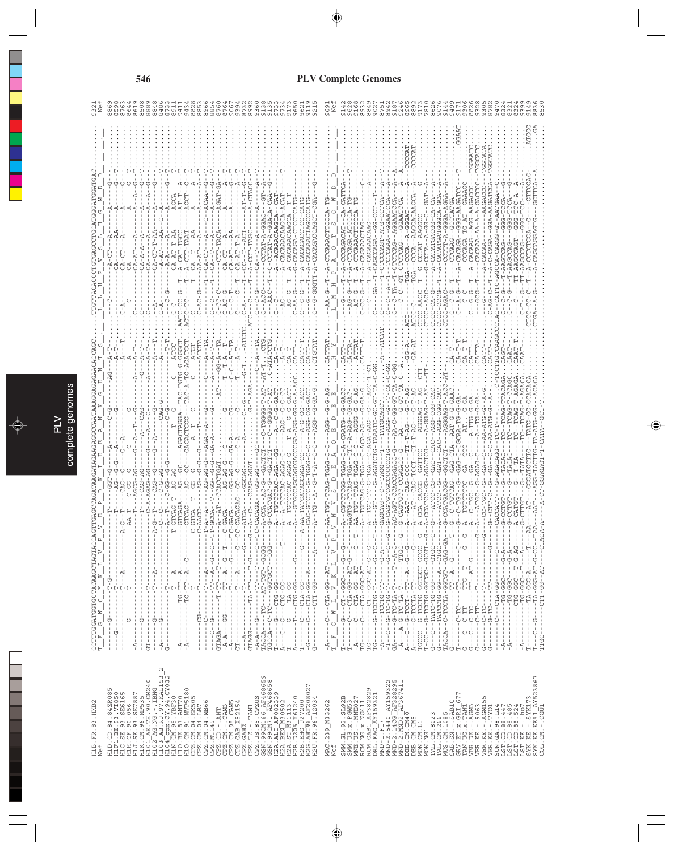|  | ř<br>ĭ |
|--|--------|
|  | í      |

| H1B.FR.83.HXB2<br>Nef                                                                                                                                                                                                                                                                                                                                                                                                                                  | CCTTTGGATGGTGCTACAAGCTAGTAC<br>T F G W C Y K L V I<br>$\Box$<br>$\cup$<br>U                                                                                                                                                                                                                                                                                                                                                                                                                                             |  |
|--------------------------------------------------------------------------------------------------------------------------------------------------------------------------------------------------------------------------------------------------------------------------------------------------------------------------------------------------------------------------------------------------------------------------------------------------------|-------------------------------------------------------------------------------------------------------------------------------------------------------------------------------------------------------------------------------------------------------------------------------------------------------------------------------------------------------------------------------------------------------------------------------------------------------------------------------------------------------------------------|--|
|                                                                                                                                                                                                                                                                                                                                                                                                                                                        | $-5-4$<br>-<br>$\blacksquare$<br>$\frac{1}{\sqrt{2}}$                                                                                                                                                                                                                                                                                                                                                                                                                                                                   |  |
|                                                                                                                                                                                                                                                                                                                                                                                                                                                        | $\mathbf{I}$<br>J.<br>1<br>٠<br>$\frac{1}{4}$<br>$\mathbf{I}$<br>J.<br>$\blacksquare$<br>$\mathsf I$<br>$\mathbb{L}$<br>f,<br>$-1$<br>$\,$ I<br>$\mathbf{I}$                                                                                                                                                                                                                                                                                                                                                            |  |
|                                                                                                                                                                                                                                                                                                                                                                                                                                                        | $\blacksquare$<br>$\frac{1}{4}$<br>$- - - A$<br>$\begin{array}{ccccccccc} \dot{F} & \dot{F} & \dot{F} & \dot{F} & \dot{F} & \dot{F} & \dot{F} & \dot{F} & \dot{F} & \dot{F} & \dot{F} & \dot{F} & \dot{F} & \dot{F} & \dot{F} & \dot{F} & \dot{F} & \dot{F} & \dot{F} & \dot{F} & \dot{F} & \dot{F} & \dot{F} & \dot{F} & \dot{F} & \dot{F} & \dot{F} & \dot{F} & \dot{F} & \dot{F} & \dot{F} & \dot{F} & \dot{F} & \dot{F} & \dot{F} & \$<br>$\mathbf{I}$<br>$\mathbf{1}$<br>$\,$ $\,$<br>$\frac{1}{1}$<br>ı<br>ı<br>٠ |  |
|                                                                                                                                                                                                                                                                                                                                                                                                                                                        | f,<br>T-<br>$\overline{\phantom{a}}$<br>$\mathbf{I}$<br>$\mathbf{I}$<br>ې<br>۱<br>$\,$ I<br>$\,$<br>$\,$ I                                                                                                                                                                                                                                                                                                                                                                                                              |  |
|                                                                                                                                                                                                                                                                                                                                                                                                                                                        | $\mathbf{I}$<br>$\mathbf{I}$<br>$\frac{1}{4}$<br>$\frac{1}{4}$<br>J<br>$-A$ -                                                                                                                                                                                                                                                                                                                                                                                                                                           |  |
|                                                                                                                                                                                                                                                                                                                                                                                                                                                        | J.<br>÷<br>$\frac{1}{4}$<br>C<br>$\blacksquare$                                                                                                                                                                                                                                                                                                                                                                                                                                                                         |  |
|                                                                                                                                                                                                                                                                                                                                                                                                                                                        | $\,$ I<br>$\frac{1}{4}$<br>-----------<br>1<br>п<br>$G T -$                                                                                                                                                                                                                                                                                                                                                                                                                                                             |  |
|                                                                                                                                                                                                                                                                                                                                                                                                                                                        | $---A---$<br>÷<br> <br>$\frac{1}{4}$<br>$\frac{0}{1}$<br>J.                                                                                                                                                                                                                                                                                                                                                                                                                                                             |  |
| $\mathbf{\sim}$                                                                                                                                                                                                                                                                                                                                                                                                                                        | I.<br>$\frac{1}{1}$<br>ţ<br>$\mathbf{I}$<br>Ŷ.<br>$C - C$<br>$\mathfrak l$<br>$-A$ -                                                                                                                                                                                                                                                                                                                                                                                                                                    |  |
|                                                                                                                                                                                                                                                                                                                                                                                                                                                        | ד<br>ד<br>ひ                                                                                                                                                                                                                                                                                                                                                                                                                                                                                                             |  |
|                                                                                                                                                                                                                                                                                                                                                                                                                                                        | $-4 - 2 - 1$<br>H--<br>$\mathbf{I}$                                                                                                                                                                                                                                                                                                                                                                                                                                                                                     |  |
|                                                                                                                                                                                                                                                                                                                                                                                                                                                        | ı<br>÷<br>I.<br>$\frac{1}{4}$<br>$-4$                                                                                                                                                                                                                                                                                                                                                                                                                                                                                   |  |
|                                                                                                                                                                                                                                                                                                                                                                                                                                                        | f,<br>$\frac{1}{1}$<br>$-4$                                                                                                                                                                                                                                                                                                                                                                                                                                                                                             |  |
|                                                                                                                                                                                                                                                                                                                                                                                                                                                        | 1<br>Ï<br>ł.<br>ł<br>턱<br>$\mathbb{I}$<br>٠<br>ł<br>t<br>t<br>$\,$<br>$\mathbb{R}^2$                                                                                                                                                                                                                                                                                                                                                                                                                                    |  |
|                                                                                                                                                                                                                                                                                                                                                                                                                                                        | f,<br>$\frac{1}{1}$<br>$\mathbf{I}$<br>$\mathbf{I}$<br>ţ                                                                                                                                                                                                                                                                                                                                                                                                                                                                |  |
|                                                                                                                                                                                                                                                                                                                                                                                                                                                        | $---A---$<br>$\ddot{E}$<br>$\frac{1}{2}$<br>$\frac{1}{2}$<br>$\,$ I<br>$\mathsf I$                                                                                                                                                                                                                                                                                                                                                                                                                                      |  |
|                                                                                                                                                                                                                                                                                                                                                                                                                                                        | U<br>!<br>$-2 - 4 - 6$<br>$\Gamma\Gamma$<br>$\blacksquare$<br>$\mathbf{I}$<br>÷<br>$\frac{1}{\sqrt{2}}$<br>$\frac{1}{2}$<br>$\overline{\phantom{a}}$                                                                                                                                                                                                                                                                                                                                                                    |  |
|                                                                                                                                                                                                                                                                                                                                                                                                                                                        | í<br>$\frac{1}{1}$<br>$\mathbf{I}$<br>$GTRAGA - -$                                                                                                                                                                                                                                                                                                                                                                                                                                                                      |  |
|                                                                                                                                                                                                                                                                                                                                                                                                                                                        | $- - - - - - - - -$<br>$-1$<br>$-A - A -$                                                                                                                                                                                                                                                                                                                                                                                                                                                                               |  |
|                                                                                                                                                                                                                                                                                                                                                                                                                                                        | $-9 - -$<br>$\frac{1}{1}$<br>--------<br>$\mathbf{I}$<br>$-A$ -                                                                                                                                                                                                                                                                                                                                                                                                                                                         |  |
|                                                                                                                                                                                                                                                                                                                                                                                                                                                        | じー<br>$---A---$<br>$\frac{1}{2}$<br>$\frac{1}{4}$<br>$\mathsf I$<br>$\mathsf I$<br>÷<br>텅                                                                                                                                                                                                                                                                                                                                                                                                                               |  |
|                                                                                                                                                                                                                                                                                                                                                                                                                                                        | $\frac{1}{\sqrt{2}}$                                                                                                                                                                                                                                                                                                                                                                                                                                                                                                    |  |
|                                                                                                                                                                                                                                                                                                                                                                                                                                                        | -- 554LP                                                                                                                                                                                                                                                                                                                                                                                                                                                                                                                |  |
|                                                                                                                                                                                                                                                                                                                                                                                                                                                        | $\begin{array}{c}\n0 \\ 1\n\end{array}$                                                                                                                                                                                                                                                                                                                                                                                                                                                                                 |  |
|                                                                                                                                                                                                                                                                                                                                                                                                                                                        | TACCA--                                                                                                                                                                                                                                                                                                                                                                                                                                                                                                                 |  |
|                                                                                                                                                                                                                                                                                                                                                                                                                                                        | j                                                                                                                                                                                                                                                                                                                                                                                                                                                                                                                       |  |
|                                                                                                                                                                                                                                                                                                                                                                                                                                                        | --GGTGCT--CGG<br>$-10$<br>TGCCA--C                                                                                                                                                                                                                                                                                                                                                                                                                                                                                      |  |
|                                                                                                                                                                                                                                                                                                                                                                                                                                                        | $\mathbf{I}$<br>1<br>じー<br>$\,$<br>$\frac{1}{4}$<br>е                                                                                                                                                                                                                                                                                                                                                                                                                                                                   |  |
|                                                                                                                                                                                                                                                                                                                                                                                                                                                        | $-1$<br>$\,$ $\,$<br>$\blacksquare$<br>$\overline{\phantom{a}}$<br>$C - C$<br>$\frac{1}{2}$                                                                                                                                                                                                                                                                                                                                                                                                                             |  |
|                                                                                                                                                                                                                                                                                                                                                                                                                                                        | $\frac{1}{1}$<br>$\begin{array}{c} \vspace{0.5mm} \rule{0.5mm}{0.5mm} \end{array}$<br>$\,$<br>じーー<br>f,<br>ΚH                                                                                                                                                                                                                                                                                                                                                                                                           |  |
|                                                                                                                                                                                                                                                                                                                                                                                                                                                        | -- 5----- 55-55-5<br>н<br>Ĩ.<br>÷.                                                                                                                                                                                                                                                                                                                                                                                                                                                                                      |  |
|                                                                                                                                                                                                                                                                                                                                                                                                                                                        | $\begin{array}{c} 1 \\ 0 \\ 1 \end{array}$<br>$\frac{1}{2}$<br>$\frac{1}{1}$<br>$\mathbb{R}$ H                                                                                                                                                                                                                                                                                                                                                                                                                          |  |
|                                                                                                                                                                                                                                                                                                                                                                                                                                                        |                                                                                                                                                                                                                                                                                                                                                                                                                                                                                                                         |  |
|                                                                                                                                                                                                                                                                                                                                                                                                                                                        | $\mathbf{I}$<br>$\mathbf{I}$<br>1<br>U<br>Ť<br>$\mathbf{I}$<br>$\frac{1}{\sigma}$<br>J.                                                                                                                                                                                                                                                                                                                                                                                                                                 |  |
|                                                                                                                                                                                                                                                                                                                                                                                                                                                        | $- - P -$<br>$\blacksquare$<br>ひ                                                                                                                                                                                                                                                                                                                                                                                                                                                                                        |  |
|                                                                                                                                                                                                                                                                                                                                                                                                                                                        |                                                                                                                                                                                                                                                                                                                                                                                                                                                                                                                         |  |
| MAC.239_M33262<br>Nef                                                                                                                                                                                                                                                                                                                                                                                                                                  | $\bigcup\limits_{i}$<br>İ<br>$- -$ CTA $-$ GG $-$ -AT<br>U<br>$\mathbf{I}$<br>K.                                                                                                                                                                                                                                                                                                                                                                                                                                        |  |
|                                                                                                                                                                                                                                                                                                                                                                                                                                                        | $\triangleright$<br>$\Box$<br>$\mathbb{R}$<br>$\geq$<br>$\mathbf{r}$<br>$\geq$<br>U<br>$\mathbb{E}$<br>$\vdash$                                                                                                                                                                                                                                                                                                                                                                                                         |  |
|                                                                                                                                                                                                                                                                                                                                                                                                                                                        | ウー<br>Н                                                                                                                                                                                                                                                                                                                                                                                                                                                                                                                 |  |
|                                                                                                                                                                                                                                                                                                                                                                                                                                                        | $\begin{array}{c} 1 \\ 0 \\ 1 \end{array}$<br>$-1000 - 100 - 1$<br>ι<br>Ω<br>Τ<br>$\mathbf{I}$<br>е                                                                                                                                                                                                                                                                                                                                                                                                                     |  |
|                                                                                                                                                                                                                                                                                                                                                                                                                                                        | $\begin{array}{c}\n1 \\ 0 \\ 1\n\end{array}$<br>$-100$<br>$\,$ 1                                                                                                                                                                                                                                                                                                                                                                                                                                                        |  |
|                                                                                                                                                                                                                                                                                                                                                                                                                                                        | f,<br>$-4 -$                                                                                                                                                                                                                                                                                                                                                                                                                                                                                                            |  |
|                                                                                                                                                                                                                                                                                                                                                                                                                                                        | $-16C - 4C - 4C - 4C - 4C$<br>$\frac{1}{1}$<br>$\bar{1}$<br>f,<br>PG.                                                                                                                                                                                                                                                                                                                                                                                                                                                   |  |
|                                                                                                                                                                                                                                                                                                                                                                                                                                                        | $\frac{1}{1}$<br>$\frac{1}{4}$<br>Ė                                                                                                                                                                                                                                                                                                                                                                                                                                                                                     |  |
|                                                                                                                                                                                                                                                                                                                                                                                                                                                        | <b>H-DHJUH-1</b><br>Ť<br>Ċ.                                                                                                                                                                                                                                                                                                                                                                                                                                                                                             |  |
|                                                                                                                                                                                                                                                                                                                                                                                                                                                        | $\mathsf I$<br>t<br>$\frac{1}{4}$                                                                                                                                                                                                                                                                                                                                                                                                                                                                                       |  |
|                                                                                                                                                                                                                                                                                                                                                                                                                                                        | $-1$                                                                                                                                                                                                                                                                                                                                                                                                                                                                                                                    |  |
| 251<br>MND-2.5440 AY159322<br>MND-2.14CG AF328295<br>MND-2.MND2 AF328295<br>MND-2.MND2 AF367411<br>DEB.CM.CM5<br>DEB.CM.CM5                                                                                                                                                                                                                                                                                                                            | $GA - -$                                                                                                                                                                                                                                                                                                                                                                                                                                                                                                                |  |
|                                                                                                                                                                                                                                                                                                                                                                                                                                                        |                                                                                                                                                                                                                                                                                                                                                                                                                                                                                                                         |  |
|                                                                                                                                                                                                                                                                                                                                                                                                                                                        | $-2DTT-T$<br>- A - - - A - G - TA - T - - - - - - - - T<br>A - - - - - - - - - - - T - TH - - A - - - - -                                                                                                                                                                                                                                                                                                                                                                                                               |  |
|                                                                                                                                                                                                                                                                                                                                                                                                                                                        |                                                                                                                                                                                                                                                                                                                                                                                                                                                                                                                         |  |
|                                                                                                                                                                                                                                                                                                                                                                                                                                                        |                                                                                                                                                                                                                                                                                                                                                                                                                                                                                                                         |  |
|                                                                                                                                                                                                                                                                                                                                                                                                                                                        |                                                                                                                                                                                                                                                                                                                                                                                                                                                                                                                         |  |
| MON.NG1                                                                                                                                                                                                                                                                                                                                                                                                                                                |                                                                                                                                                                                                                                                                                                                                                                                                                                                                                                                         |  |
|                                                                                                                                                                                                                                                                                                                                                                                                                                                        |                                                                                                                                                                                                                                                                                                                                                                                                                                                                                                                         |  |
|                                                                                                                                                                                                                                                                                                                                                                                                                                                        |                                                                                                                                                                                                                                                                                                                                                                                                                                                                                                                         |  |
|                                                                                                                                                                                                                                                                                                                                                                                                                                                        |                                                                                                                                                                                                                                                                                                                                                                                                                                                                                                                         |  |
|                                                                                                                                                                                                                                                                                                                                                                                                                                                        |                                                                                                                                                                                                                                                                                                                                                                                                                                                                                                                         |  |
|                                                                                                                                                                                                                                                                                                                                                                                                                                                        |                                                                                                                                                                                                                                                                                                                                                                                                                                                                                                                         |  |
|                                                                                                                                                                                                                                                                                                                                                                                                                                                        | ה- - ס-ידפ- - - - מדי - א<br>- - - סידפ- - - - - מדי - - - - - - בית<br>- - - סידפ- - - - - מדי - - - - בית                                                                                                                                                                                                                                                                                                                                                                                                             |  |
|                                                                                                                                                                                                                                                                                                                                                                                                                                                        | ひ                                                                                                                                                                                                                                                                                                                                                                                                                                                                                                                       |  |
|                                                                                                                                                                                                                                                                                                                                                                                                                                                        | $\begin{array}{c c c c} & - & - & - \\ \hline & - & - & - \\ \hline & - & - & - \\ \hline & - & - & - \\ \hline & - & - & - \\ \hline \end{array}$<br>$\frac{1}{2}$<br>ひ                                                                                                                                                                                                                                                                                                                                                |  |
|                                                                                                                                                                                                                                                                                                                                                                                                                                                        | $\frac{1}{2}$<br>÷<br>ひ                                                                                                                                                                                                                                                                                                                                                                                                                                                                                                 |  |
|                                                                                                                                                                                                                                                                                                                                                                                                                                                        |                                                                                                                                                                                                                                                                                                                                                                                                                                                                                                                         |  |
|                                                                                                                                                                                                                                                                                                                                                                                                                                                        | J<br>J.<br>$\frac{1}{1}$<br>$\frac{1}{1}$<br><b>ひ ひ</b>                                                                                                                                                                                                                                                                                                                                                                                                                                                                 |  |
| $\begin{array}{l} \textbf{TM1.} \textbf{CM.} \textbf{8023} \\ \textbf{TM2.} \textbf{CM.} \textbf{268} \\ \textbf{TM3.} \textbf{CM.} \textbf{268} \\ \textbf{SB3.} \textbf{SM.} - \textbf{SABIC} \\ \textbf{SR3.} \textbf{BN.} \textbf{ET.} \textbf{ST.} \textbf{G} \textbf{NT} \\ \textbf{GRN.} \textbf{BT.} \textbf{X.} \textbf{GRI} \\ \textbf{VBR.} \textbf{KB.} - \textbf{1.8001} \\ \textbf{VBR.} \textbf{KB.}$                                   | ウーー<br>ł                                                                                                                                                                                                                                                                                                                                                                                                                                                                                                                |  |
|                                                                                                                                                                                                                                                                                                                                                                                                                                                        | $\frac{1}{2}$<br>$\frac{1}{1}$                                                                                                                                                                                                                                                                                                                                                                                                                                                                                          |  |
|                                                                                                                                                                                                                                                                                                                                                                                                                                                        | $\frac{1}{4}$<br>$\overline{A}$                                                                                                                                                                                                                                                                                                                                                                                                                                                                                         |  |
|                                                                                                                                                                                                                                                                                                                                                                                                                                                        | $-A$ -                                                                                                                                                                                                                                                                                                                                                                                                                                                                                                                  |  |
|                                                                                                                                                                                                                                                                                                                                                                                                                                                        | $\frac{1}{1}$<br>ţ<br>$\mathbf{I}$                                                                                                                                                                                                                                                                                                                                                                                                                                                                                      |  |
|                                                                                                                                                                                                                                                                                                                                                                                                                                                        | $-4 -$                                                                                                                                                                                                                                                                                                                                                                                                                                                                                                                  |  |
|                                                                                                                                                                                                                                                                                                                                                                                                                                                        | $\frac{1}{1}$<br>J,<br>$\begin{array}{c} \rule{0.2cm}{0.15mm} \rule{0.2cm}{0.15mm} \rule{0.2cm}{0.15mm} \rule{0.2cm}{0.15mm} \rule{0.2cm}{0.15mm} \rule{0.2cm}{0.15mm} \rule{0.2cm}{0.15mm} \rule{0.2cm}{0.15mm} \rule{0.2cm}{0.15mm} \rule{0.2cm}{0.15mm} \rule{0.2cm}{0.15mm} \rule{0.2cm}{0.15mm} \rule{0.2cm}{0.15mm} \rule{0.2cm}{0.15mm} \rule{0.2cm}{0.15mm} \rule{$<br>t<br>н                                                                                                                                   |  |
| $\begin{array}{l} \texttt{SU}(1,2,3,4) \\ \texttt{SU}(2,3,4,4) \\ \texttt{LST} \cdot \texttt{CD} \cdot 88 \cdot 447 \\ \texttt{LST} \cdot \texttt{CD} \cdot 88 \cdot 524 \\ \texttt{LST} \cdot \texttt{TD} \cdot 74 \\ \texttt{LST} \cdot \texttt{TD} \cdot 74 \\ \texttt{LST} \cdot \texttt{TD} \cdot 74 \\ \texttt{LST} \cdot \texttt{ND} \cdot 74 \\ \texttt{SIX} \cdot \texttt{NE} \cdot \texttt{ND} \cdot 74 \\ \texttt{SIX} \cdot \texttt{ND} \$ | $\frac{1}{\sqrt{2}}$<br>$\frac{1}{2}$<br>$\mathbb{H}$                                                                                                                                                                                                                                                                                                                                                                                                                                                                   |  |
| <b>CGU</b><br><b>ND</b><br>ā                                                                                                                                                                                                                                                                                                                                                                                                                           | <b>TGC</b>                                                                                                                                                                                                                                                                                                                                                                                                                                                                                                              |  |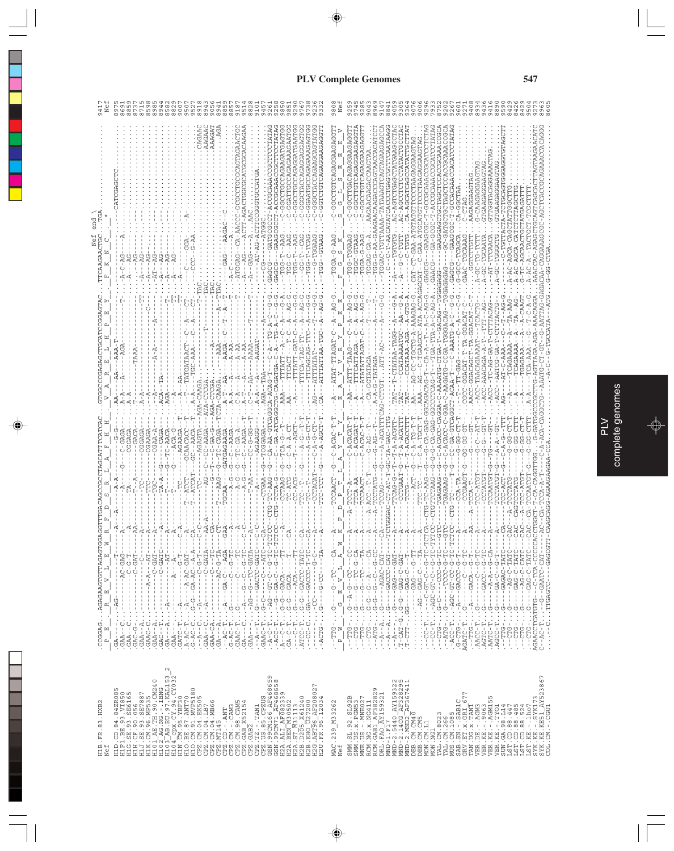| FR.83. HXB2<br>H1B<br>Nef                                               | CCGGAG.<br>国<br>$\mathbf{\Omega}$                                    | .AGAGAAGTGTAGAGTG<br>凹<br>$\Box$<br>$\overline{ }$<br>凹<br>$\mathbbm{R}$                                                                                                                                                                                                                                                                                                                                                                                                                                                                                                                                                      | ≍ |  |  |         |  |
|-------------------------------------------------------------------------|----------------------------------------------------------------------|-------------------------------------------------------------------------------------------------------------------------------------------------------------------------------------------------------------------------------------------------------------------------------------------------------------------------------------------------------------------------------------------------------------------------------------------------------------------------------------------------------------------------------------------------------------------------------------------------------------------------------|---|--|--|---------|--|
|                                                                         | $GAA - C$<br>ŧ<br>E                                                  | $---AC-GAG$<br>턱<br>Í<br>$-AG-$                                                                                                                                                                                                                                                                                                                                                                                                                                                                                                                                                                                               |   |  |  |         |  |
|                                                                         | $GAA - C$                                                            | 투<br>5-2--<br>$\blacksquare$                                                                                                                                                                                                                                                                                                                                                                                                                                                                                                                                                                                                  |   |  |  |         |  |
|                                                                         | $GAC-G-$                                                             | $\mathbf{I}$<br>$-1 - 0 - 0 - 0$                                                                                                                                                                                                                                                                                                                                                                                                                                                                                                                                                                                              |   |  |  |         |  |
|                                                                         | $GAA - -A$ .                                                         | -- - - -<br>$\begin{array}{c} \rule{0.2cm}{0.15mm} \rule{0.2cm}{0.15mm} \rule{0.2cm}{0.15mm} \rule{0.2cm}{0.15mm} \rule{0.2cm}{0.15mm} \rule{0.2cm}{0.15mm} \rule{0.2cm}{0.15mm} \rule{0.2cm}{0.15mm} \rule{0.2cm}{0.15mm} \rule{0.2cm}{0.15mm} \rule{0.2cm}{0.15mm} \rule{0.2cm}{0.15mm} \rule{0.2cm}{0.15mm} \rule{0.2cm}{0.15mm} \rule{0.2cm}{0.15mm} \rule{$<br>$\mathsf I$<br>$\vdots$                                                                                                                                                                                                                                   |   |  |  |         |  |
|                                                                         | $\cdot$<br>GAAC-C                                                    | - TA-4-4-4-1<br>$- - - - - - - - - - - - - - - -$<br>$\,$<br>ţ<br>$\mathsf I$<br>$\vdots$                                                                                                                                                                                                                                                                                                                                                                                                                                                                                                                                     |   |  |  |         |  |
|                                                                         | $\begin{array}{c} \n\text{GAA} - -\text{A} \cdot \n\end{array}$      | <b>ULAU-U-U-ULATU</b><br>$\mathbf{I}$<br>$\mathsf I$<br>$\cdot$                                                                                                                                                                                                                                                                                                                                                                                                                                                                                                                                                               |   |  |  |         |  |
| $\sim$                                                                  | $G-A$ - $-A$ .<br>$-AA-$                                             | $---AT$<br>$\mathbf{I}$<br>$-4 - -$                                                                                                                                                                                                                                                                                                                                                                                                                                                                                                                                                                                           |   |  |  |         |  |
|                                                                         |                                                                      | Ĵ,                                                                                                                                                                                                                                                                                                                                                                                                                                                                                                                                                                                                                            |   |  |  |         |  |
|                                                                         |                                                                      |                                                                                                                                                                                                                                                                                                                                                                                                                                                                                                                                                                                                                               |   |  |  |         |  |
|                                                                         |                                                                      |                                                                                                                                                                                                                                                                                                                                                                                                                                                                                                                                                                                                                               |   |  |  |         |  |
|                                                                         |                                                                      |                                                                                                                                                                                                                                                                                                                                                                                                                                                                                                                                                                                                                               |   |  |  |         |  |
|                                                                         |                                                                      | $\Gamma$<br>$-1$ $-1$ $-1$ $-1$ $-1$ $-1$<br>$\begin{array}{c} \vspace{0.05in} \end{array}$<br>$\mathsf I$                                                                                                                                                                                                                                                                                                                                                                                                                                                                                                                    |   |  |  |         |  |
|                                                                         |                                                                      | $- - - AC - G - T A$<br>$\,$ I<br>$\mathbf{I}$                                                                                                                                                                                                                                                                                                                                                                                                                                                                                                                                                                                |   |  |  |         |  |
|                                                                         |                                                                      | $1 - -A G A$<br>$- - - - - C$<br>$C - C + C$                                                                                                                                                                                                                                                                                                                                                                                                                                                                                                                                                                                  |   |  |  |         |  |
|                                                                         |                                                                      | U – – – –                                                                                                                                                                                                                                                                                                                                                                                                                                                                                                                                                                                                                     |   |  |  |         |  |
|                                                                         |                                                                      | $-1$ C<br>$\frac{1}{4}$<br>U<br>I<br>J.                                                                                                                                                                                                                                                                                                                                                                                                                                                                                                                                                                                       |   |  |  |         |  |
|                                                                         | $-AA-$                                                               |                                                                                                                                                                                                                                                                                                                                                                                                                                                                                                                                                                                                                               |   |  |  |         |  |
|                                                                         |                                                                      | --GACTC-GATC                                                                                                                                                                                                                                                                                                                                                                                                                                                                                                                                                                                                                  |   |  |  | $-AG-2$ |  |
|                                                                         | $\begin{array}{c}\n - -A - T \\  - GAA C - T\n \end{array}$          | $- - ATC$<br>$\frac{1}{2}$<br>Ť<br>$\begin{array}{ccc}\n & 0 & -1 \\  & 0 & -1 \\  & \vdots & \vdots \\  & \vdots & \vdots\n\end{array}$                                                                                                                                                                                                                                                                                                                                                                                                                                                                                      |   |  |  |         |  |
|                                                                         | $\vdots$<br>$-2A-C-T$                                                | $-1 - 5 - 5 - -$<br>$-2G - -GT - C$                                                                                                                                                                                                                                                                                                                                                                                                                                                                                                                                                                                           |   |  |  |         |  |
|                                                                         |                                                                      | $-9 - 7 - 5 - 1$<br>- TT-                                                                                                                                                                                                                                                                                                                                                                                                                                                                                                                                                                                                     |   |  |  |         |  |
|                                                                         | $-2 - -C - T$<br>$-3A - C - T$                                       | ÷<br>                                                                                                                                                                                                                                                                                                                                                                                                                                                                                                                                                                                                                         |   |  |  |         |  |
|                                                                         | $\overline{\phantom{a}}_{\!\!\!1}^{\phantom{\dagger}}$<br>$C-A$<br>J |                                                                                                                                                                                                                                                                                                                                                                                                                                                                                                                                                                                                                               |   |  |  |         |  |
|                                                                         | 턱<br>. ATCC<br>$\frac{1}{2}$                                         | UHAH-UHUAU--U-U<br>$\ddot{c}$ .                                                                                                                                                                                                                                                                                                                                                                                                                                                                                                                                                                                               |   |  |  |         |  |
|                                                                         | $-10$                                                                | $\cdot$ GA---GACCC-T-TC                                                                                                                                                                                                                                                                                                                                                                                                                                                                                                                                                                                                       |   |  |  |         |  |
|                                                                         |                                                                      | $\frac{1}{1}$<br>ロー<br>Ť<br>$\cdots$ - CC - -                                                                                                                                                                                                                                                                                                                                                                                                                                                                                                                                                                                 |   |  |  |         |  |
|                                                                         | $-ACTCG$                                                             | $-\mathbb{T} \mathbb{A}$<br>$-5$<br>ਾਂ<br>:                                                                                                                                                                                                                                                                                                                                                                                                                                                                                                                                                                                   |   |  |  |         |  |
|                                                                         |                                                                      |                                                                                                                                                                                                                                                                                                                                                                                                                                                                                                                                                                                                                               |   |  |  |         |  |
| MAC.239 M33262                                                          | <b>0.</b> -bhr--                                                     | $-4C$<br>$-9 - -10 - 2$                                                                                                                                                                                                                                                                                                                                                                                                                                                                                                                                                                                                       | ř |  |  |         |  |
| Nef                                                                     | $\boxtimes$<br>$\Delta$                                              | $\Delta_i^t$<br>$\Box$<br>$\overline{a}$<br>囯<br>ひ                                                                                                                                                                                                                                                                                                                                                                                                                                                                                                                                                                            |   |  |  |         |  |
|                                                                         | $-TTTG-$                                                             | j.<br>U<br>-<br>$-50 - 1$<br>$-4-6$<br>$\ddot{a}$                                                                                                                                                                                                                                                                                                                                                                                                                                                                                                                                                                             |   |  |  |         |  |
| SMM.SL.92.SL92B<br>SMM.US.x.PGM53<br>MNE.US.-.MNE027<br>MNE.US.-.MNE027 |                                                                      | $-45 - 5 - -1$<br>$\begin{split} \vdots \quad \qquad \vdots \\ \quad \ddots \quad \qquad \vdots \\ \quad \ddots \quad \qquad \vdots \\ \quad \ddots \quad \quad \vdots \\ \quad \ddots \quad \quad \vdots \\ \quad \ddots \quad \quad \vdots \\ \quad \ddots \quad \quad \vdots \\ \quad \ddots \quad \quad \vdots \\ \quad \ddots \quad \quad \vdots \\ \quad \ddots \quad \quad \vdots \\ \quad \ddots \quad \quad \vdots \\ \quad \ddots \quad \quad \vdots \\ \quad \ddots \quad \quad \vdots \\ \quad \ddots \quad \quad \vdots \\ \quad \ddots \quad \quad \vdots \\ \quad \ddots \quad \quad \vdots \\ \quad \ddots \$ |   |  |  |         |  |
|                                                                         |                                                                      | $---TC$ ---TA-                                                                                                                                                                                                                                                                                                                                                                                                                                                                                                                                                                                                                |   |  |  |         |  |
|                                                                         |                                                                      |                                                                                                                                                                                                                                                                                                                                                                                                                                                                                                                                                                                                                               |   |  |  |         |  |
|                                                                         |                                                                      |                                                                                                                                                                                                                                                                                                                                                                                                                                                                                                                                                                                                                               |   |  |  |         |  |
| RCM.GAB1_AF382829<br>DRL.FAO_AY159321<br>MMD-1.FI7<br>MMD-1.FI7         |                                                                      |                                                                                                                                                                                                                                                                                                                                                                                                                                                                                                                                                                                                                               |   |  |  |         |  |
|                                                                         |                                                                      |                                                                                                                                                                                                                                                                                                                                                                                                                                                                                                                                                                                                                               |   |  |  |         |  |
|                                                                         |                                                                      |                                                                                                                                                                                                                                                                                                                                                                                                                                                                                                                                                                                                                               |   |  |  |         |  |
|                                                                         | .T-CAT-G.<br>.T-CTT-                                                 |                                                                                                                                                                                                                                                                                                                                                                                                                                                                                                                                                                                                                               |   |  |  |         |  |
|                                                                         | $\ddot{\cdot}$                                                       | $-111 - 0 - - - - - - - -$<br>$\,$<br>$\cdot$                                                                                                                                                                                                                                                                                                                                                                                                                                                                                                                                                                                 |   |  |  |         |  |
|                                                                         |                                                                      |                                                                                                                                                                                                                                                                                                                                                                                                                                                                                                                                                                                                                               |   |  |  |         |  |
|                                                                         |                                                                      |                                                                                                                                                                                                                                                                                                                                                                                                                                                                                                                                                                                                                               |   |  |  |         |  |
|                                                                         |                                                                      |                                                                                                                                                                                                                                                                                                                                                                                                                                                                                                                                                                                                                               |   |  |  |         |  |
|                                                                         |                                                                      | $\begin{split} \mathbf{1}_{\{1,2\}} = & \mathbf{1}_{\{2,3\}} = & \mathbf{1}_{\{2,4\}} = & \mathbf{1}_{\{2,4\}} = & \mathbf{1}_{\{2,4\}} = & \mathbf{1}_{\{2,4\}} = & \mathbf{1}_{\{2,4\}} = & \mathbf{1}_{\{2,4\}} = & \mathbf{1}_{\{2,4\}} = & \mathbf{1}_{\{2,4\}} = & \mathbf{1}_{\{2,4\}} = & \mathbf{1}_{\{2,4\}} = & \mathbf{1}_{\{2,4\}} = & \mathbf{1}_{\{2,4\}} = & \mathbf{1$                                                                                                                                                                                                                                       |   |  |  |         |  |
|                                                                         |                                                                      | <b>C-G-TC-T</b>                                                                                                                                                                                                                                                                                                                                                                                                                                                                                                                                                                                                               |   |  |  |         |  |
|                                                                         |                                                                      | -ACC-T-AGC-GT-CC-G-TC-<br>--CTG--A---CACC-G-TC-                                                                                                                                                                                                                                                                                                                                                                                                                                                                                                                                                                               |   |  |  |         |  |
|                                                                         |                                                                      |                                                                                                                                                                                                                                                                                                                                                                                                                                                                                                                                                                                                                               |   |  |  |         |  |
|                                                                         |                                                                      |                                                                                                                                                                                                                                                                                                                                                                                                                                                                                                                                                                                                                               |   |  |  |         |  |
|                                                                         |                                                                      |                                                                                                                                                                                                                                                                                                                                                                                                                                                                                                                                                                                                                               |   |  |  |         |  |
|                                                                         |                                                                      |                                                                                                                                                                                                                                                                                                                                                                                                                                                                                                                                                                                                                               |   |  |  |         |  |
|                                                                         |                                                                      |                                                                                                                                                                                                                                                                                                                                                                                                                                                                                                                                                                                                                               |   |  |  |         |  |
|                                                                         |                                                                      |                                                                                                                                                                                                                                                                                                                                                                                                                                                                                                                                                                                                                               |   |  |  |         |  |
|                                                                         | $-$ - CTG $-$ .                                                      | $\ddot{a}$                                                                                                                                                                                                                                                                                                                                                                                                                                                                                                                                                                                                                    |   |  |  |         |  |
|                                                                         | $-CTG-$                                                              |                                                                                                                                                                                                                                                                                                                                                                                                                                                                                                                                                                                                                               |   |  |  |         |  |
|                                                                         |                                                                      | $\frac{1}{2}$                                                                                                                                                                                                                                                                                                                                                                                                                                                                                                                                                                                                                 |   |  |  |         |  |
|                                                                         | $-200 - 100 - 0$                                                     | ---AG-C-CATC<br>--GAG-C-TATC                                                                                                                                                                                                                                                                                                                                                                                                                                                                                                                                                                                                  |   |  |  |         |  |
|                                                                         |                                                                      | AGAACCTCATGTG---C-TCA-CCC                                                                                                                                                                                                                                                                                                                                                                                                                                                                                                                                                                                                     |   |  |  |         |  |
| SYK.KE.-.SYK173<br>SYK.KE.KES1 AY523867<br>COL.CM.-.CGU1                | $C - AC - T$                                                         | --GAATC-CAT<br>ပု<br>i i<br>İ                                                                                                                                                                                                                                                                                                                                                                                                                                                                                                                                                                                                 |   |  |  |         |  |
|                                                                         | $-1$                                                                 | --GAGCGT<br>ı<br>. TTGAGTC-                                                                                                                                                                                                                                                                                                                                                                                                                                                                                                                                                                                                   |   |  |  |         |  |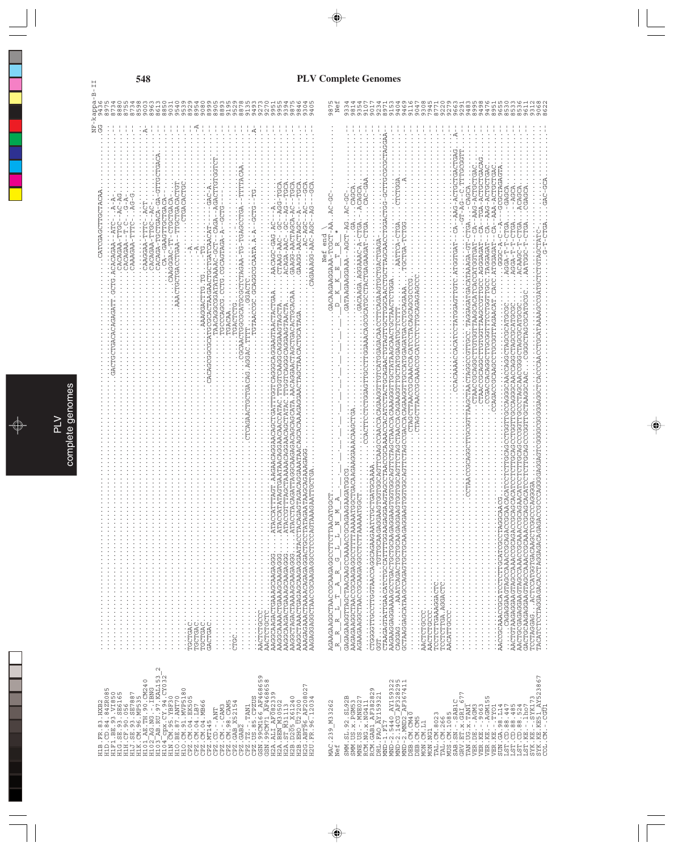| r | à<br>i<br>r<br>ŧ<br>e<br>ì |
|---|----------------------------|
|   |                            |

<u>es</u>

|                   | יות של סוג של המשפט של המשפט של המשפט של המשפט של המשפט של המשפט של המשפט של המשפט של המשפט של המשפט של המשפט של המשפט של המשפט של המשפט של המשפט של המשפט של המשפט של המשפט של המשפט של המשפט של המשפט של המשפט של המשפט של                                                                                                                                                                                                                                          |              |                                                                                            |                           |                                                       |           |                                                    |                                                                                        |                                         |                    |            |                                                                    |                    |                                                                                                                                                                                                                         | $\circ$<br>984                                                                                                                                                                               | 300                                                                                                                                                                              |                                    | 875<br>Nef                                                                                                                                                                                                                                            |                                                                                   |                                                                                                                                                                                                 |                           |                                                                                                                                                        |                                                                                                                                                    |                                                                                                                                                                                                                                                                                    |                                                                       |                                                                                                                                             |                |                                                                                                        |                                                                                                                                                                                                                                                                      |                                                                                                                                  |                                                                                   |                                                                                                                                                                                                                                                                                                                      |                                                                                                                                                                                                                                                                                                                                                                                                      |                                                                                                                             |                                                                                  |                                                                                                                                                                                                                                                                                                                                                    |
|-------------------|-----------------------------------------------------------------------------------------------------------------------------------------------------------------------------------------------------------------------------------------------------------------------------------------------------------------------------------------------------------------------------------------------------------------------------------------------------------------------|--------------|--------------------------------------------------------------------------------------------|---------------------------|-------------------------------------------------------|-----------|----------------------------------------------------|----------------------------------------------------------------------------------------|-----------------------------------------|--------------------|------------|--------------------------------------------------------------------|--------------------|-------------------------------------------------------------------------------------------------------------------------------------------------------------------------------------------------------------------------|----------------------------------------------------------------------------------------------------------------------------------------------------------------------------------------------|----------------------------------------------------------------------------------------------------------------------------------------------------------------------------------|------------------------------------|-------------------------------------------------------------------------------------------------------------------------------------------------------------------------------------------------------------------------------------------------------|-----------------------------------------------------------------------------------|-------------------------------------------------------------------------------------------------------------------------------------------------------------------------------------------------|---------------------------|--------------------------------------------------------------------------------------------------------------------------------------------------------|----------------------------------------------------------------------------------------------------------------------------------------------------|------------------------------------------------------------------------------------------------------------------------------------------------------------------------------------------------------------------------------------------------------------------------------------|-----------------------------------------------------------------------|---------------------------------------------------------------------------------------------------------------------------------------------|----------------|--------------------------------------------------------------------------------------------------------|----------------------------------------------------------------------------------------------------------------------------------------------------------------------------------------------------------------------------------------------------------------------|----------------------------------------------------------------------------------------------------------------------------------|-----------------------------------------------------------------------------------|----------------------------------------------------------------------------------------------------------------------------------------------------------------------------------------------------------------------------------------------------------------------------------------------------------------------|------------------------------------------------------------------------------------------------------------------------------------------------------------------------------------------------------------------------------------------------------------------------------------------------------------------------------------------------------------------------------------------------------|-----------------------------------------------------------------------------------------------------------------------------|----------------------------------------------------------------------------------|----------------------------------------------------------------------------------------------------------------------------------------------------------------------------------------------------------------------------------------------------------------------------------------------------------------------------------------------------|
| È                 |                                                                                                                                                                                                                                                                                                                                                                                                                                                                       |              |                                                                                            |                           |                                                       |           |                                                    |                                                                                        |                                         |                    |            |                                                                    |                    |                                                                                                                                                                                                                         |                                                                                                                                                                                              |                                                                                                                                                                                  |                                    |                                                                                                                                                                                                                                                       |                                                                                   |                                                                                                                                                                                                 |                           |                                                                                                                                                        |                                                                                                                                                    |                                                                                                                                                                                                                                                                                    |                                                                       |                                                                                                                                             |                |                                                                                                        |                                                                                                                                                                                                                                                                      |                                                                                                                                  |                                                                                   |                                                                                                                                                                                                                                                                                                                      |                                                                                                                                                                                                                                                                                                                                                                                                      |                                                                                                                             |                                                                                  |                                                                                                                                                                                                                                                                                                                                                    |
| CATCGAGCTTGCTACAA | $-AC$<br>$T.C-. G-A-$<br>$\dot{A}$<br>$-40$<br>CAAAGAA-TTTC<br>$-ATC$<br>CACAGAA-TTGC<br>CACAGAA-<br>GACTGCTGACAGAGATT.G.ACACAGAA                                                                                                                                                                                                                                                                                                                                     | $AG-G$<br>Ĵ. | CACAGAA-TTGC--AC-<br>CACAGA-TGCTGACA-GFTGCTGACA<br>$\vdots$ ACT $\vdots$<br>CAAGGAA - TTTC | AURUHUUHHURRU--<br>S      | . AAACTGACTGAA--TTGPA--TTGAA<br>CAAGGGAAC-TT-OAGGGAAC | CTGACADHU | $\dots - A \dots$<br>P.<br>FG<br><b>AAAGGACTTG</b> | $-$ GAC<br>$\begin{array}{c} \vdots \\ \vdots \end{array}$<br>CATGCACTAAGAACTGATCAACAT | TAACAGGGGATAAAAAC-CCAGA--AGACTTGGTGGTCT | TGACTCTG<br>TGACAA | --TTTTACAA | -TG<br>CTCAGAACTGACAGAG AGGAC TTTT.<br>CCAGAACTGACAGAG AGGAC TTTT. | Ą<br>MACAGC-GAG.AC | $-TGCA$<br>$-$ . $GC - PGG - TGCA$<br>$-100 - 100 -$<br>. ACAGA-AAC<br>CTAAG-AAC<br>GAATAACAGGAACAACCATAC.TTGGTCAAGGCAGGAAGTAGCA<br>TCAGGGGGAAGTAA<br>Ğ<br>CTATAC<br>CTAAAAACAGGAACAG<br><b>CCATATAG</b><br><b>TTAG</b> | $-TTGCA$<br>TGCA<br>GAAGG-AACTAGCA-AC<br>$-4$<br>GAAGG-AACTAGC<br>GCAGAGACHOUGACAGGAA (AACAGOGCOGCOGCOGCOAGCAG<br>GAAATAACACACAAAGGAACTAACAACTAACATAAGA<br>CTACAGATTAG<br>Ū<br>CA<br>GAGTAGA | GCA<br>GCA<br>$- - AC$<br>$- - P G$<br>$$ $AC-AGC$<br>CAGAAAGG-AAC-AGC<br>CAGAAAGAGG<br>AAAGAATTGCTGA<br>AGAATAAG<br>AAAGAGAAACTAAACAGAGGACTGCCTA<br>OROUPUUUUUNGAGAGUUUUUUUUUUU | Nefenda<br>GACAAGAAGGAAA-TCGCT-AA. | .AC-GC<br>$\ast$<br>α<br>$\vdash$<br>囯<br>×<br>×<br>$\Box$<br>CATGGCT<br>Σ<br>AGAAGAAGCTAACCAAGGCCCTTCTTA<br>$\mathbf{a}^{\dagger}$<br>$\Box$<br>U<br>$\mathbbm{R}$<br>$\mathcal{A}$<br>$\mathbb{H}$<br>ᆌ<br>$\mathbbmss{R}^{\mid}$<br>$\approx$<br>œ | .AC-GC<br>GATAAGAAAA - - AGCT - AG.<br>GAAGAAGATGCC<br>COOORROOGACUREDOREEOORROOG | .CAGCA<br>GACAAGA AGGAAAC-A-CTGA . - ACAGCA<br>GACAAGA AGGAAAC-A-CTGA . - ACAGCA<br>AATGGCTGACAAGAAACAAGCTGA<br>LODGLAN<br>AAGAGAAGGCTAACCGAAGAGGCCTTTTAAI<br>AGAAGAAGAAGCTAACCOOCAAGAAGCTTTAAZ | CAC-GAA<br>CTGCTGATGCAAAA | ĸŊĸŎĿŎĿŎĿŎĸŔŔŔŔŎŔŎĿĿĿŎŎĸŔŎŔŎŔŎŔŔŎĿŔŎĿĿĎĊĿĿŎŎŔŔŎŔŎŔŎŎŎŔŔŎĿĿŎŔŎŎŎĿŎŎĿŎŔĿŎŔŔŎ<br>OGAARATITTATOPTATATATATATATATATATATU<br>DAPARATITTATOPTITTTTTTTTTTTTTPDA | $\ldots \ldots \ldots \ldots \ldots \ldots \ldots \ldots$ AATTCA-CTGA CTCTGGA .<br>GGCAGTTCTAGCTAACCAAAGGGTTGCTATAAGCAACTGCTAACTCAGAA.<br>GAAGTGGT | TGCTGA-TCTGG<br>$\frac{1}{2}$<br>$\ddot{\phantom{0}}$<br>ATARDAUのLUUAのLADAのUULAUUのLLOUATOAUUAUUUのRLULLOAUのDUUDDLOAAU<br>GAAGTGGCAGCAGCTAACCACAAGAAGCTATOCTATGGAGAGATGCTCTTT<br>AAGAAGGAGGAAAGCCTGACTGCTGAAGAGAG<br>CAGGAG AAATCAGACTGCTGCAAGAG<br>GCTAAGGAGCATAAGCCAGAGTGCTGCAAGAG | COORGROMPHOLOGORAMOOOOKANOOOO<br>CTAGCTTAACCGCAAACCATCCTACACAGCAGCGCC |                                                                                                                                             | $\ddot{\cdot}$ | -ACTGCTGACTGAG<br>$-CT-AG- -C$ . TTTGCGGTT<br>$-CA - -AAG$<br>-TARAAAACCACCACCACCACCACCACCACCACCCOCCOC | GCTAACTAGGCCGTTGCC . TAGGAGACATAAAGA-GT-CTGA - CAGCA<br>CTAACCGCAGGCTTGGTTAAGCATCACCATGGTGAT - - CA - - AAG-ACTGGTGAC<br>ccTAACCGCAGGCTTGCGGTTAAGCTAACTAGGCCGTTGCC.TAGGAGATGACATAAGA-GT-CTGA<br>CCTAACCGCAGGCTTGCGGTTAAGCTAACTAGGCCGTTGCC.TAGGAGATGACATAAAGA-GT-CTGA | . CTAACCGCAGGCTTGTGGTTAAGCCGTTGCC.AGGGAGAT--CA--TGA-ACTGCTGACAG.<br>CCGACCACAGGCTTGCGGTTTCCCTGGTTGCC.TAGGAGAT--CA--AAG-ACTGCTGAC | CA-AAA-ACTGCTGAC<br>-- HAGAGAGA : JOAO : HAGAGA GARAGA HAGO DE LO GARO DO CARO DO | -GCGCTAGAGTA<br>-GAGCA<br>$-CTGA$<br>턱<br>$\ldots$ AGGA-T<br>CAT<br>CAACA<br><i>i</i> aiciosariaciosaricininistrationistrationistrationistrationistrationistrationistrationistrationistrationistra<br>participalitationistrationistrationistrationistrationistrationistrationistrationistrationistrationistrationist | $-AGCA$<br>ACAGCA<br>$-T-T-T-CTGA$<br>ACAAGC-T-CTGA<br>.AGGA-T<br>ひひひひ L ばひひひひ Y J L ひひばひひ Y Y J ひひのばひひひ L L ひひしひひばひひ L L しけしし L Y D Y J D Y J D Y<br>ひひひひF≮ひひひひ≮LLひひひひひひ≮よひひ≮LLひひひのLLLのひひひひでよひひFLLひしLLくびょくひょりひ<br>CAARCOCCORGAGENGENEOUD                                                                                                                                                            | CGAGCA<br>AATGG-T-USA<br>CGGCGCALDOOOO<br>しずむひのはずはいのだけのひしひしのはひのだけにいいことはないかない<br>むひひひひとひひひ<br>GACTGCAAGAAGGAAGCCAAACCGCAAACC | <b>GTAGCTAT</b><br>TCCTAGGAGACTCCATGACAACAAGTCC<br>TACATCTCCTAGGAGACTAGGAGACACAG | GAC.<br><b>ムートーローク</b><br>.<br>$\frac{1}{2}$ $\frac{1}{2}$ $\frac{1}{2}$ $\frac{1}{2}$ $\frac{1}{2}$ $\frac{1}{2}$ $\frac{1}{2}$ $\frac{1}{2}$ $\frac{1}{2}$ $\frac{1}{2}$ $\frac{1}{2}$ $\frac{1}{2}$ $\frac{1}{2}$ $\frac{1}{2}$ $\frac{1}{2}$ $\frac{1}{2}$ $\frac{1}{2}$ $\frac{1}{2}$ $\frac{1}{2}$ $\frac{1}{2}$ $\frac{1}{2}$ $\frac{1}{2}$ |
|                   | $\begin{small} &\text{HE} & \text{HE} & \text{HE} & \text{HE} & \text{HE} \\ \text{HE} & \text{HE} & \text{HE} & \text{HE} \\ \text{HE} & \text{HE} & \text{HE} & \text{HE} \\ \text{HE} & \text{HE} & \text{HE} & \text{HE} \\ \text{HE} & \text{HE} & \text{HE} & \text{HE} \\ \text{HE} & \text{HE} & \text{HE} & \text{HE} \\ \text{HE} & \text{HE} & \text{HE} & \text{HE} \\ \text{HE} & \text{HE} & \text{HE} & \text{HE} \\ \text{HE} & \text{HE} & \text{HE$ |              |                                                                                            | $\mathcal{C}$<br>$\omega$ |                                                       |           |                                                    |                                                                                        |                                         |                    |            |                                                                    |                    |                                                                                                                                                                                                                         | <b>U27200</b>                                                                                                                                                                                | H2G.ABT96 AF208027                                                                                                                                                               |                                    |                                                                                                                                                                                                                                                       |                                                                                   |                                                                                                                                                                                                 | ጣ<br>AF38282              |                                                                                                                                                        |                                                                                                                                                    | 93251<br>93251<br>98741                                                                                                                                                                                                                                                            |                                                                       |                                                                                                                                             |                |                                                                                                        |                                                                                                                                                                                                                                                                      |                                                                                                                                  |                                                                                   |                                                                                                                                                                                                                                                                                                                      |                                                                                                                                                                                                                                                                                                                                                                                                      | .-.SYK173                                                                                                                   | SYK.KE.KE51 AY523867                                                             | i<br>CCT                                                                                                                                                                                                                                                                                                                                           |
| H1B. FR. 83. HXB2 | HID.CD.84.84ZR085<br>H1F1.BE.93.VI850<br>H1G.SE.93.SE6165                                                                                                                                                                                                                                                                                                                                                                                                             |              |                                                                                            |                           |                                                       |           |                                                    |                                                                                        |                                         |                    |            |                                                                    |                    |                                                                                                                                                                                                                         | H2B. EHO                                                                                                                                                                                     | H2U.FR.96.1203                                                                                                                                                                   |                                    | MAC.239_M33262<br>Nef                                                                                                                                                                                                                                 |                                                                                   | SMM. SL. 92. SL92B<br>SMM. US. x. PGM53<br>MNE. US. - MNE027<br>MNE. US. - MNE027                                                                                                               | RCM.GAB1                  | DRL.FAO AY15932                                                                                                                                        |                                                                                                                                                    |                                                                                                                                                                                                                                                                                    |                                                                       | MND-1: FT?<br>MND-2: 5440 AX159:<br>MND-2: 5440 AX159:<br>MND-2: MND2_AF367:<br>DBB. CM. CM40<br>MOR. CM. LI<br>MOR. MC1. MC1.<br>MOR. MC1. |                |                                                                                                        |                                                                                                                                                                                                                                                                      |                                                                                                                                  |                                                                                   |                                                                                                                                                                                                                                                                                                                      | $\begin{array}{l} \textbf{F111} \dots \textbf{C1N} \textbf{.} \textbf{0023} \\ \textbf{011} \textbf{.} \textbf{024} \\ \textbf{031} \textbf{.} \textbf{033} \\ \textbf{041} \textbf{.} \textbf{034} \\ \textbf{051} \textbf{.} \textbf{031} \textbf{.} \textbf{.} \textbf{033} \\ \textbf{031} \textbf{.} \textbf{031} \textbf{.} \textbf{.} \textbf{034} \\ \textbf{031} \textbf{.} \textbf{031} \$ | KE<br>SYK.                                                                                                                  |                                                                                  | NV.<br>COL                                                                                                                                                                                                                                                                                                                                         |

- 
- 
-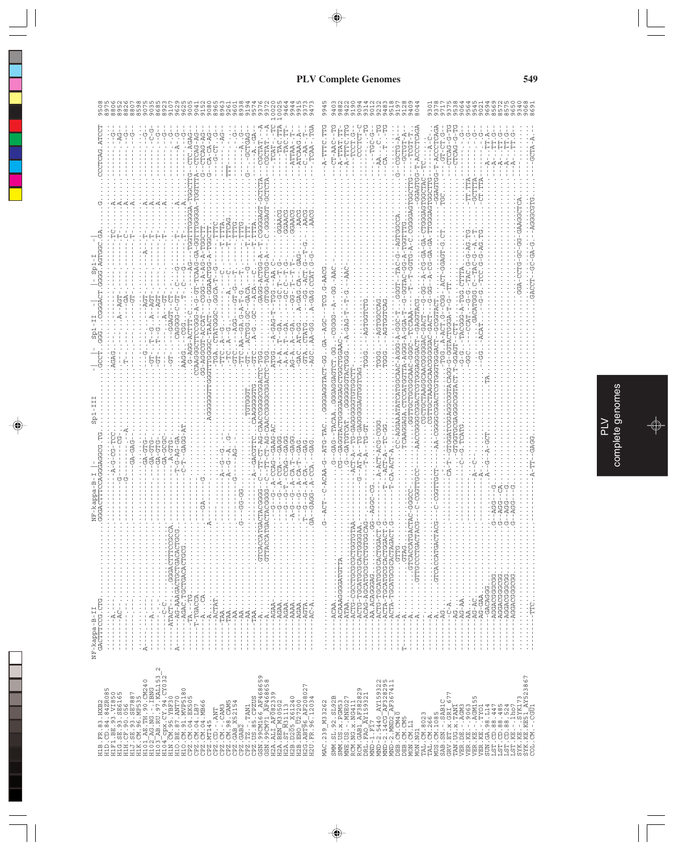|                                                                                              | NF-kappa-B-II<br>GACTTTCCG.CTG.                                                                                                                                                                                                                                                                                                                                                                                                                          |                                              |                                            |                                                             |                         |                           |                   |                 |  |
|----------------------------------------------------------------------------------------------|----------------------------------------------------------------------------------------------------------------------------------------------------------------------------------------------------------------------------------------------------------------------------------------------------------------------------------------------------------------------------------------------------------------------------------------------------------|----------------------------------------------|--------------------------------------------|-------------------------------------------------------------|-------------------------|---------------------------|-------------------|-----------------|--|
|                                                                                              |                                                                                                                                                                                                                                                                                                                                                                                                                                                          |                                              |                                            |                                                             |                         |                           |                   |                 |  |
|                                                                                              |                                                                                                                                                                                                                                                                                                                                                                                                                                                          |                                              |                                            |                                                             |                         |                           |                   |                 |  |
|                                                                                              |                                                                                                                                                                                                                                                                                                                                                                                                                                                          |                                              |                                            |                                                             |                         |                           |                   |                 |  |
|                                                                                              |                                                                                                                                                                                                                                                                                                                                                                                                                                                          | GA-GAG                                       |                                            |                                                             |                         |                           |                   |                 |  |
|                                                                                              |                                                                                                                                                                                                                                                                                                                                                                                                                                                          |                                              |                                            |                                                             |                         |                           |                   |                 |  |
|                                                                                              |                                                                                                                                                                                                                                                                                                                                                                                                                                                          |                                              |                                            |                                                             |                         |                           |                   |                 |  |
|                                                                                              |                                                                                                                                                                                                                                                                                                                                                                                                                                                          | <b>CHO-KD</b>                                |                                            |                                                             |                         |                           |                   |                 |  |
|                                                                                              |                                                                                                                                                                                                                                                                                                                                                                                                                                                          | GA-GTG                                       |                                            |                                                             |                         |                           |                   |                 |  |
|                                                                                              |                                                                                                                                                                                                                                                                                                                                                                                                                                                          | <b>CO-ASCO</b>                               |                                            |                                                             |                         |                           |                   |                 |  |
|                                                                                              | $\mathbf{A}^-$                                                                                                                                                                                                                                                                                                                                                                                                                                           |                                              |                                            |                                                             |                         |                           |                   |                 |  |
|                                                                                              | -AGAC.TGCTGACACTGC.<br>$\frac{1}{1}$                                                                                                                                                                                                                                                                                                                                                                                                                     |                                              |                                            |                                                             |                         |                           |                   |                 |  |
|                                                                                              |                                                                                                                                                                                                                                                                                                                                                                                                                                                          |                                              |                                            | G-AGG-ACTET                                                 |                         |                           |                   | CTC.AGAG        |  |
|                                                                                              |                                                                                                                                                                                                                                                                                                                                                                                                                                                          |                                              |                                            | - A - JOUUULLUUUUG                                          | $: 5 - 5$               | <b>U-CA-CH-U</b><br>-TCAA |                   | CTCAG-A         |  |
|                                                                                              |                                                                                                                                                                                                                                                                                                                                                                                                                                                          |                                              |                                            | - HAUUA-HUUUUA-U                                            | 5555                    | そーひ                       | <b>LLOCOLL-</b>   | $A - CTCAG - P$ |  |
|                                                                                              |                                                                                                                                                                                                                                                                                                                                                                                                                                                          |                                              |                                            | PTTGGGGC-TAACT                                              | -GGAACTG                | $G - A$                   |                   | $CA-CA-A$       |  |
|                                                                                              |                                                                                                                                                                                                                                                                                                                                                                                                                                                          |                                              |                                            | CTAT                                                        | GGCA-T                  |                           |                   |                 |  |
|                                                                                              |                                                                                                                                                                                                                                                                                                                                                                                                                                                          |                                              |                                            |                                                             |                         |                           |                   |                 |  |
|                                                                                              |                                                                                                                                                                                                                                                                                                                                                                                                                                                          |                                              |                                            | $TTC \cdot A -- G.$                                         |                         |                           |                   |                 |  |
|                                                                                              |                                                                                                                                                                                                                                                                                                                                                                                                                                                          |                                              |                                            |                                                             |                         |                           |                   |                 |  |
|                                                                                              |                                                                                                                                                                                                                                                                                                                                                                                                                                                          |                                              |                                            | $TC$ . AA--GA. $G-A$ -                                      | 3-A-T-G.<br>3C--GACA.-- |                           |                   |                 |  |
|                                                                                              |                                                                                                                                                                                                                                                                                                                                                                                                                                                          |                                              |                                            |                                                             |                         |                           |                   |                 |  |
|                                                                                              |                                                                                                                                                                                                                                                                                                                                                                                                                                                          |                                              |                                            |                                                             |                         |                           |                   |                 |  |
|                                                                                              |                                                                                                                                                                                                                                                                                                                                                                                                                                                          | ひひ<br>トト                                     |                                            |                                                             | <b>GAGG</b>             | $-AC$                     | <b>GGGG2</b>      | CGCTAT          |  |
|                                                                                              |                                                                                                                                                                                                                                                                                                                                                                                                                                                          | <b>CGCCC</b>                                 |                                            |                                                             |                         | GTGG-ACTGG-A              | U GOOD.<br>U      | $-CCGCTAT$      |  |
|                                                                                              |                                                                                                                                                                                                                                                                                                                                                                                                                                                          | G--G--- A-CCAG--GAAG-A                       |                                            |                                                             | $TGG - -AA$ .           |                           |                   | $-$ TCAT-       |  |
|                                                                                              |                                                                                                                                                                                                                                                                                                                                                                                                                                                          | 400-4.-0--0                                  |                                            |                                                             |                         |                           | GGAAC             |                 |  |
|                                                                                              | .<br>$ -$ AGAA<br>$\frac{1}{1}$                                                                                                                                                                                                                                                                                                                                                                                                                          | $-CCA$<br>ローローロー                             |                                            |                                                             |                         |                           | CGAAC             |                 |  |
|                                                                                              | $\cdots \cdots \cdots$<br>J<br>Í                                                                                                                                                                                                                                                                                                                                                                                                                         | $A-CA$ .<br>.<br>ب<br>$\frac{1}{\mathbf{C}}$ |                                            |                                                             |                         |                           | CGAAC             | -ATTAA          |  |
|                                                                                              |                                                                                                                                                                                                                                                                                                                                                                                                                                                          |                                              |                                            |                                                             |                         |                           |                   | ATCAAG.         |  |
| $\overline{ }$                                                                               | $\mathbf I$                                                                                                                                                                                                                                                                                                                                                                                                                                              |                                              |                                            |                                                             |                         |                           |                   |                 |  |
|                                                                                              | f,                                                                                                                                                                                                                                                                                                                                                                                                                                                       |                                              |                                            |                                                             |                         |                           |                   | ACAA.           |  |
|                                                                                              |                                                                                                                                                                                                                                                                                                                                                                                                                                                          |                                              |                                            |                                                             |                         |                           |                   |                 |  |
| MAC.239 M33262                                                                               |                                                                                                                                                                                                                                                                                                                                                                                                                                                          | --ATG-TAC<br>Ġ<br>$C-ACAA-$<br>$-ACT$        | GGGGAGGGOO                                 | $-45 - - 0$<br>.<br>- 0<br>-                                | TCG.G-AACG              |                           |                   | $A-TTTTC$ .     |  |
|                                                                                              |                                                                                                                                                                                                                                                                                                                                                                                                                                                          |                                              |                                            |                                                             |                         |                           |                   |                 |  |
| $\mathbf{\underline{m}}$<br>SMM. SL. 92. SL92                                                | $\mathbf{I}$                                                                                                                                                                                                                                                                                                                                                                                                                                             |                                              | - TACAA                                    |                                                             |                         |                           |                   | CT-AAC          |  |
|                                                                                              | $\frac{1}{1}$                                                                                                                                                                                                                                                                                                                                                                                                                                            | UUULUKLUUKU--U                               |                                            |                                                             |                         |                           |                   | A-TTTAT         |  |
|                                                                                              |                                                                                                                                                                                                                                                                                                                                                                                                                                                          |                                              |                                            |                                                             |                         |                           |                   | A-TTTC.         |  |
| SMM.US.x.PCM53<br>MNE.US.-.MNE027<br>RCM.NG.x.NG411<br>RCM.GAB1_AF382829<br>DRL.FAO_AY159321 |                                                                                                                                                                                                                                                                                                                                                                                                                                                          | .<br>Т-А--1<br>Т-А--                         |                                            |                                                             |                         |                           |                   | TCCT            |  |
|                                                                                              |                                                                                                                                                                                                                                                                                                                                                                                                                                                          |                                              |                                            |                                                             |                         |                           |                   | UUUU            |  |
|                                                                                              |                                                                                                                                                                                                                                                                                                                                                                                                                                                          |                                              |                                            |                                                             | AGTGGTC                 |                           |                   |                 |  |
| $MD-1.F\overline{17}$                                                                        |                                                                                                                                                                                                                                                                                                                                                                                                                                                          |                                              |                                            |                                                             |                         |                           |                   |                 |  |
|                                                                                              |                                                                                                                                                                                                                                                                                                                                                                                                                                                          |                                              |                                            |                                                             | AGTGGCCAG               |                           |                   |                 |  |
|                                                                                              | ------AA.ACRGGGAG<br>------ACTG-TGCATGCGCACTGG<br>------ACTA-TGCATGCGCACTGG<br>-----ACTA-TGCATGCGCACTAG                                                                                                                                                                                                                                                                                                                                                  |                                              |                                            |                                                             | AGTGGTCA                |                           |                   |                 |  |
|                                                                                              | $\,$ I                                                                                                                                                                                                                                                                                                                                                                                                                                                   | $-CA-ACT$                                    |                                            |                                                             |                         |                           |                   |                 |  |
|                                                                                              |                                                                                                                                                                                                                                                                                                                                                                                                                                                          |                                              |                                            |                                                             |                         |                           |                   |                 |  |
|                                                                                              |                                                                                                                                                                                                                                                                                                                                                                                                                                                          |                                              | TCAAGAGA                                   | 3001 - 10004 - 10004 - 10004 - 10004 - 10004 - 10004 - 1000 |                         |                           |                   | GCTGH-A         |  |
|                                                                                              |                                                                                                                                                                                                                                                                                                                                                                                                                                                          |                                              |                                            | --TCCAAA<br><b>UUU-</b>                                     |                         | ひひひひし・ワーダーひけひひーピー!        |                   |                 |  |
|                                                                                              |                                                                                                                                                                                                                                                                                                                                                                                                                                                          | <b>COLLOG</b>                                | . 50KH50K5--H0K550K555H50H50H0K55055555H4- |                                                             |                         |                           |                   | G-T-ACCTCAG     |  |
|                                                                                              |                                                                                                                                                                                                                                                                                                                                                                                                                                                          |                                              |                                            |                                                             |                         | $-4-7$                    | ひひひけし - d - d - d | $-TC$ .         |  |
|                                                                                              | $\,$                                                                                                                                                                                                                                                                                                                                                                                                                                                     |                                              |                                            | 4--55-5----HD45-D455555044055                               |                         | P                         |                   | $\frac{1}{2}$   |  |
|                                                                                              |                                                                                                                                                                                                                                                                                                                                                                                                                                                          |                                              |                                            | :) 455555---554555555                                       |                         |                           |                   | $-T-ACCCTC$     |  |
|                                                                                              | $\begin{tabular}{cccccccccc} \multicolumn{1}{c}{\rule{0pt}{2cm} \multicolumn{1}{c}{\rule{0pt}{2cm} \multicolumn{1}{c}{\rule{0pt}{2cm} \multicolumn{1}{c}{\rule{0pt}{2cm} \multicolumn{1}{c}{\rule{0pt}{2cm} \multicolumn{1}{c}{\rule{0pt}{2cm} \multicolumn{1}{c}{\rule{0pt}{2cm} \multicolumn{1}{c}{\rule{0pt}{2cm} \multicolumn{1}{c}{\rule{0pt}{2cm} \multicolumn{1}{c}{\rule{0pt}{2cm} \multicolumn{1}{c}{\rule{0pt}{2cm} \multicolumn{1}{c}{\rule{$ |                                              |                                            |                                                             |                         |                           |                   |                 |  |
|                                                                                              |                                                                                                                                                                                                                                                                                                                                                                                                                                                          |                                              |                                            |                                                             |                         |                           |                   |                 |  |
|                                                                                              |                                                                                                                                                                                                                                                                                                                                                                                                                                                          |                                              |                                            |                                                             |                         |                           |                   |                 |  |
|                                                                                              |                                                                                                                                                                                                                                                                                                                                                                                                                                                          |                                              |                                            |                                                             |                         |                           |                   |                 |  |
|                                                                                              |                                                                                                                                                                                                                                                                                                                                                                                                                                                          |                                              |                                            |                                                             |                         |                           |                   |                 |  |
|                                                                                              |                                                                                                                                                                                                                                                                                                                                                                                                                                                          |                                              |                                            |                                                             |                         |                           |                   |                 |  |
|                                                                                              |                                                                                                                                                                                                                                                                                                                                                                                                                                                          |                                              |                                            |                                                             |                         |                           | SCTTTP            |                 |  |
|                                                                                              | $---AG-GAA$                                                                                                                                                                                                                                                                                                                                                                                                                                              |                                              |                                            |                                                             |                         |                           |                   |                 |  |
|                                                                                              | $-$ -GACAGGG                                                                                                                                                                                                                                                                                                                                                                                                                                             |                                              |                                            |                                                             |                         |                           |                   |                 |  |
|                                                                                              | UUUUUUUKUUK--<br>$\frac{1}{1}$                                                                                                                                                                                                                                                                                                                                                                                                                           |                                              |                                            |                                                             |                         |                           |                   |                 |  |
|                                                                                              | UUUUUUUKUUK--                                                                                                                                                                                                                                                                                                                                                                                                                                            |                                              |                                            |                                                             |                         |                           |                   |                 |  |
|                                                                                              | -- AGGACGGCGG                                                                                                                                                                                                                                                                                                                                                                                                                                            |                                              |                                            |                                                             |                         |                           |                   |                 |  |
|                                                                                              | UUUUUUUKUUK--<br>$\frac{1}{1}$                                                                                                                                                                                                                                                                                                                                                                                                                           |                                              |                                            |                                                             |                         |                           |                   |                 |  |
| SYK.KE.-.SYK173<br>SYK.KE.KE51_AY523867                                                      | .                                                                                                                                                                                                                                                                                                                                                                                                                                                        |                                              |                                            |                                                             |                         |                           |                   |                 |  |
|                                                                                              |                                                                                                                                                                                                                                                                                                                                                                                                                                                          |                                              |                                            |                                                             |                         |                           |                   |                 |  |
| COL.CM. - . CGU1                                                                             |                                                                                                                                                                                                                                                                                                                                                                                                                                                          |                                              |                                            |                                                             |                         |                           |                   |                 |  |
|                                                                                              |                                                                                                                                                                                                                                                                                                                                                                                                                                                          |                                              |                                            |                                                             |                         |                           |                   |                 |  |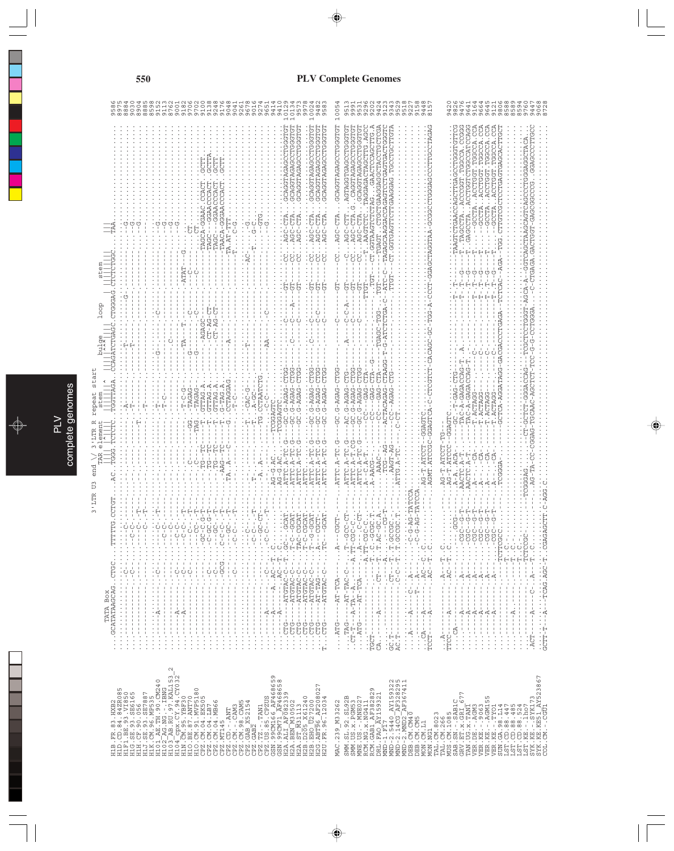| $\infty$<br>ጣ<br>900<br>$\overline{0}$<br>904<br>26<br>48<br>$\frac{8}{1}$<br>70<br>PO<br>$\frac{0}{1}$<br>1002<br>1<br>5<br>Ō<br>$^{\circ}$<br>w<br>G<br>$\overline{0}$<br>$\overline{\circ}$<br>$\infty$                                                                                                                                                                                                                                                                                                                                                                                                                                                                                                                                                                                                                                                                                                                                                                                                                                                                                                                                                                                                                                                                                                                                                                                                                                                                                                                                                                                                                                                                                                                                                                                                                                                                                                                                                                                                                                                                                                                                                                                                                                                                                                                                                                                                                                                                          | 7141<br>916<br>64<br>966<br>964<br>005<br>ന സ<br>912<br>৩<br>ம<br>4<br>4<br>$\infty$<br>$\sigma$<br>$\sigma$<br>$\infty$<br>$\infty$                                                                                                                                                                                                                                                                                                                                                                                                                                                                                                                                                                                                                                                                                                                                                                                                                                                                                                                                                                                                                                                                                                                                                                                                                                                                                                                                                                                                                                                                                                                                                                                         |
|-------------------------------------------------------------------------------------------------------------------------------------------------------------------------------------------------------------------------------------------------------------------------------------------------------------------------------------------------------------------------------------------------------------------------------------------------------------------------------------------------------------------------------------------------------------------------------------------------------------------------------------------------------------------------------------------------------------------------------------------------------------------------------------------------------------------------------------------------------------------------------------------------------------------------------------------------------------------------------------------------------------------------------------------------------------------------------------------------------------------------------------------------------------------------------------------------------------------------------------------------------------------------------------------------------------------------------------------------------------------------------------------------------------------------------------------------------------------------------------------------------------------------------------------------------------------------------------------------------------------------------------------------------------------------------------------------------------------------------------------------------------------------------------------------------------------------------------------------------------------------------------------------------------------------------------------------------------------------------------------------------------------------------------------------------------------------------------------------------------------------------------------------------------------------------------------------------------------------------------------------------------------------------------------------------------------------------------------------------------------------------------------------------------------------------------------------------------------------------------|------------------------------------------------------------------------------------------------------------------------------------------------------------------------------------------------------------------------------------------------------------------------------------------------------------------------------------------------------------------------------------------------------------------------------------------------------------------------------------------------------------------------------------------------------------------------------------------------------------------------------------------------------------------------------------------------------------------------------------------------------------------------------------------------------------------------------------------------------------------------------------------------------------------------------------------------------------------------------------------------------------------------------------------------------------------------------------------------------------------------------------------------------------------------------------------------------------------------------------------------------------------------------------------------------------------------------------------------------------------------------------------------------------------------------------------------------------------------------------------------------------------------------------------------------------------------------------------------------------------------------------------------------------------------------------------------------------------------------|
| <b>LOROUDORUMENTORIO</b><br><b>LOLOUDUCAGAGALOUCU</b><br>GCTT.<br><b>LLDP</b><br>-TAACAGGAACCACH<br>URUUURRUU---UURH<br>$\ldots$ agc-cta<br>CTA<br>AGC-CTA<br>-TAGCA-GG<br>$AGC -$<br>ι<br>Ου                                                                                                                                                                                                                                                                                                                                                                                                                                                                                                                                                                                                                                                                                                                                                                                                                                                                                                                                                                                                                                                                                                                                                                                                                                                                                                                                                                                                                                                                                                                                                                                                                                                                                                                                                                                                                                                                                                                                                                                                                                                                                                                                                                                                                                                                                       | LOLOUDULUUURUKLUURUU<br>ADO : ADOODH : HOOHDDA : : AHDDO<br>GCCTAACCTGGT.TGGCCA.CCA<br>GCCTAACCTGGT.TGGCCA.CCA<br>COUCCURITOURIS<br>4HDHHUUHUUDH,UKUUKKUHHUHHUKUHUU,HU<br>CTTGCCTAGA<br>ひらひひりいひひとのけのはひれば<br>CCLOSCIO<br>CACCOCCUPA ATOOPOHOUNG<br><b>CHROPOLIC</b><br>ひひひし・よりひひひH・Hひひし<br><b>UULLUUUUG</b><br>CTTG.AG<br>.GAACTCAGCTTG<br>TAGGAGACTAG<br>CAGGTAGAG<br>CTTGAG<br>ŪRUP.<br>AGCURACC<br>.GGTAAGTCTCTAG<br>TAGAGCAAGGACCA<br>AGC-CTA<br>$\ldots$ AGC-<br>$$ AGC<br>.495c<br><b>TGAGT</b><br>턱                                                                                                                                                                                                                                                                                                                                                                                                                                                                                                                                                                                                                                                                                                                                                                                                                                                                                                                                                                                                                                                                                                                                                                                                                    |
| 5<br>5<br>븅<br>5<br>5<br>CTGGGA<br>$-4$<br>CT-AG-LJ<br>$CT - PG - CT$<br>Ù<br>.-AGAGC                                                                                                                                                                                                                                                                                                                                                                                                                                                                                                                                                                                                                                                                                                                                                                                                                                                                                                                                                                                                                                                                                                                                                                                                                                                                                                                                                                                                                                                                                                                                                                                                                                                                                                                                                                                                                                                                                                                                                                                                                                                                                                                                                                                                                                                                                                                                                                                               | 5<br>5<br>5<br>$-$ C $-$ A<br>U<br>じりび                                                                                                                                                                                                                                                                                                                                                                                                                                                                                                                                                                                                                                                                                                                                                                                                                                                                                                                                                                                                                                                                                                                                                                                                                                                                                                                                                                                                                                                                                                                                                                                                                                                                                       |
| CC.G-AGAG-CTGG<br>G-AGAG-CTGG<br>ひけひーひえひえーひ<br>star<br>ひIIU-DEDE-D : UD<br>U-DAGA-D.J<br>G-AGAG-C<br>A. CATTAG.A<br>.CCTAGGA<br>$G-TAG \cdot P$<br>. GTTAG.<br>-TAGAG<br>- TAGAG<br>ලී<br>GGAGT<br>ن<br>ون                                                                                                                                                                                                                                                                                                                                                                                                                                                                                                                                                                                                                                                                                                                                                                                                                                                                                                                                                                                                                                                                                                                                                                                                                                                                                                                                                                                                                                                                                                                                                                                                                                                                                                                                                                                                                                                                                                                                                                                                                                                                                                                                                                                                                                                                          | AULULULA-U-L-UUARLU-UAURURLUA-<br>UULU-UKUK-U.UU<br>--AGAG-CTG<br>-<br>0-<br>0-<br>0-<br>0-<br>0-<br>0-<br>0-<br>1<br>CAG-C<br>-TAC-A-GAGAC<br>しょうよう<br>- AC . G-AGAG-C'I<br>- GC . G-AGAG-C'I<br>- GC . G-AGAG-C'I<br>TAC-A-GAGAC<br>T.ACTAGG<br>T.ACTAGG<br>T.ACTAG<br>T.ACTAG<br>ים<br>ט<br>$\overline{C}$<br>-GGAGTC                                                                                                                                                                                                                                                                                                                                                                                                                                                                                                                                                                                                                                                                                                                                                                                                                                                                                                                                                                                                                                                                                                                                                                                                                                                                                                                                                                                                     |
| Ť<br>부<br>ATTC.A-TC<br>$-1$<br>ATTC.A<br>ATTC.A<br>ATTC.<br><b>TTC</b><br>$3'$ LTR                                                                                                                                                                                                                                                                                                                                                                                                                                                                                                                                                                                                                                                                                                                                                                                                                                                                                                                                                                                                                                                                                                                                                                                                                                                                                                                                                                                                                                                                                                                                                                                                                                                                                                                                                                                                                                                                                                                                                                                                                                                                                                                                                                                                                                                                                                                                                                                                  | AG-T.ATCCT<br>AG-T.ATCCC<br>ATTC.A-TC<br>AAGT-A<br>$\ldots$ ACA<br>AAAC<br>$- - C \cdot A$<br>A-AACG<br>AACTC.A<br>ACTC.<br>AGMT.<br>ATTC<br>ひひひ<br>$A - A$                                                                                                                                                                                                                                                                                                                                                                                                                                                                                                                                                                                                                                                                                                                                                                                                                                                                                                                                                                                                                                                                                                                                                                                                                                                                                                                                                                                                                                                                                                                                                                  |
| $-6CAT$<br>$-6CAT$<br>CGCT<br>$\bigcup_{i=1}^{n}$<br>$\overline{5}$<br>უ<br>ს<br>ひし<br>$C-C$<br>Ę<br>$\vdots$<br>$\ddot{C}$<br>ု<br>÷<br>Ă,<br>$\begin{picture}(120,110) \put(0,0){\line(1,0){15}} \put(15,0){\line(1,0){15}} \put(15,0){\line(1,0){15}} \put(15,0){\line(1,0){15}} \put(15,0){\line(1,0){15}} \put(15,0){\line(1,0){15}} \put(15,0){\line(1,0){15}} \put(15,0){\line(1,0){15}} \put(15,0){\line(1,0){15}} \put(15,0){\line(1,0){15}} \put(15,0){\line(1,0){15}} \put(15,0){\line$<br>$\frac{1}{2}$<br>$\vdots$<br>۲,<br>$\overline{\phantom{a}}$<br>부부<br>$\frac{1}{2}$<br>Ť<br>$-1$ $-1$ $-1$ $-1$<br>Ħ<br>$\mathsf I$<br>$\mathbf{I}$<br>$\mathbf{I}$<br>Y<br>$\Gamma$<br>$\begin{array}{c}\n\cup & \cup \\ \vdots & \vdots\n\end{array}$<br>$\overline{\phantom{a}}$                                                                                                                                                                                                                                                                                                                                                                                                                                                                                                                                                                                                                                                                                                                                                                                                                                                                                                                                                                                                                                                                                                                                                                                                                                                                                                                                                                                                                                                                                                                                                                                                                                                                                            | ย่า<br>ά<br>U-UUU<br>CGCI<br>CO-<br>ひひひ<br>U<br>UU<br>UU<br>÷<br>P<br>$\begin{array}{c}\n\vdots \\ \vdots \\ \vdots \\ \vdots\n\n\end{array}$<br>$A_1 + \cdots + C_n$<br>$A_2 + \cdots + C_n$<br>$A_3 + \cdots + C_n$<br>$A_4 + \cdots + C_n$<br>$A_5 + \cdots + C_n$<br>÷<br>$\begin{matrix} 1 & 0 & 0 & 0 \\ 0 & 1 & 0 & 0 \\ \vdots & \vdots & \vdots & \vdots \\ 0 & 0 & 0 & 0 \\ 0 & 0 & 0 & 0 \\ \vdots & \vdots & \vdots & \vdots \\ 0 & 0 & 0 & 0 \\ 0 & 0 & 0 & 0 \\ \end{matrix}$<br>Ŏ - .<br>.<br>$\frac{0}{1}$<br>ך<br>י<br>g<br>t,<br>ţ<br>'. U<br>÷<br>$\ddot{\cdot}$ CGA<br>$\ddot{\cdot}$ .<br>$\begin{bmatrix} 1 & 1 & 1 \\ 1 & 1 & 1 \\ 1 & 1 & 1 \\ 1 & 1 & 1 \\ 1 & 1 & 1 \\ 1 & 1 & 1 \\ 1 & 1 & 1 \\ 1 & 1 & 1 \\ 1 & 1 & 1 \\ 1 & 1 & 1 \\ 1 & 1 & 1 \\ 1 & 1 & 1 \\ 1 & 1 & 1 \\ 1 & 1 & 1 \\ 1 & 1 & 1 \\ 1 & 1 & 1 \\ 1 & 1 & 1 \\ 1 & 1 & 1 \\ 1 & 1 & 1 \\ 1 & 1 & 1 \\ 1 & 1 & 1 \\ 1 & 1 & 1 \\ 1 & 1 & 1 \\ 1 & 1 & $<br>$\frac{1}{2}$<br>$\ddot{A}$<br>$\begin{minipage}{0.9\linewidth} \begin{tabular}{@{}c@{}} \hline \multicolumn{1}{c}{\textbf{1}} & \multicolumn{1}{c}{\textbf{1}} & \multicolumn{1}{c}{\textbf{2}} & \multicolumn{1}{c}{\textbf{3}} & \multicolumn{1}{c}{\textbf{4}} & \multicolumn{1}{c}{\textbf{5}} & \multicolumn{1}{c}{\textbf{6}} & \multicolumn{1}{c}{\textbf{7}} & \multicolumn{1}{c}{\textbf{8}} & \multicolumn{1}{c}{\textbf{9}} & \multicolumn{1}{c}{\textbf{1}} & \multicolumn{1}{c}{\textbf{1}} &$<br>$- - 1. A - - T$ .<br>- - - AC - - T.<br>$--.AC--C.$<br>$-1$<br>$\frac{1}{1}$<br>$\cdots$<br>$\cdots$<br>$\cdots$<br>$\cdots$<br>$\cdots$<br>$\cdots$<br>$\cdots$<br>$\cdots$<br>$\cdots$<br>$\cdots$<br>$- - - \cdot$ . $A - - -$<br>$-4.7A-$<br>L. |
| TATA Box<br>GCATATAGCAGCTGC<br>$\frac{1}{2}$ , $\frac{1}{2}$ , $\frac{1}{2}$ , $\frac{1}{2}$ , $\frac{1}{2}$ , $\frac{1}{2}$ , $\frac{1}{2}$ , $\frac{1}{2}$ , $\frac{1}{2}$ , $\frac{1}{2}$ , $\frac{1}{2}$ , $\frac{1}{2}$ , $\frac{1}{2}$ , $\frac{1}{2}$ , $\frac{1}{2}$ , $\frac{1}{2}$ , $\frac{1}{2}$ , $\frac{1}{2}$ , $\frac{1$<br>$\begin{array}{cccccccccc} . & . & . & . & . & . \\ . & . & . & . & . & . \\ . & . & . & . & . & . \\ . & . & . & . & . & . \\ . & . & . & . & . & . \\ . & . & . & . & . & . \\ . & . & . & . & . & . \\ . & . & . & . & . & . \\ . & . & . & . & . & . \\ . & . & . & . & . & . \\ . & . & . & . & . & . \\ . & . & . & . & . & . \\ . & . & . & . & . & . \\ . & . & . & . & . & . \\ . & . & . & . & . & . \\ . & . & . & . & . & . \\ . & . & . & . & . & . \\ . & . & . & .$<br>$\cdots$<br>$\cdots$<br>$\cdots$<br>$\cdots$<br>$\cdots$<br>$\cdots$<br>$\cdots$<br>$\cdots$<br>$\cdots$<br>$\cdots$<br>$\cdots$<br>$\cdots$<br>$\cdots$<br>$\cdots$<br>$\cdots$<br>$\cdots$<br>$\cdots$<br>$\cdots$<br>$\cdots$<br>$\cdots$<br>$\cdots$<br>$\cdots$<br>$\cdots$<br>ATGTAC-C<br>ţ<br>Ì<br>÷.<br>Ì<br>ţ<br>ţ<br>ł<br>Ì<br>È<br>.<br>Ì<br>Ì<br>--ATGTAC<br>---ATGTAC-<br>--AT-TAG-<br>$\vdots$<br>$\vdots$<br>$-$ ATGTAC<br>ï<br>$\mathbf{1}$<br>ï<br>$\mathbf{I}$<br>$\mathbf{I}$<br>Î<br>$\mathbf{I}$<br>1<br>-<br>1<br>$\frac{1}{2}$<br>-<br>Ħ<br>$\mathbf{I}$<br>$\mathsf I$<br>$\mathsf I$<br>$\mathsf I$<br>$-1 - 4 - 1 - 1 - 1 - 1 - 1$<br>ł<br>$\blacksquare$<br>$\frac{1}{4}$<br>f,<br>$\mathbf{I}$<br>$\mathbf{I}$<br>$\mathsf I$<br>$\mathsf I$<br>$\frac{1}{1}$<br>Ħ<br>$\cdots$<br>Ħ<br>$\begin{array}{c} 1 \\ 1 \\ 1 \\ 1 \end{array}$<br>$\,$ I<br>$\frac{1}{1}$<br>İ<br>$\,$ I<br>$\mathbf I$<br>ı<br>$\sf I$<br>ł<br>$\frac{1}{4}$<br>÷<br>$\mathbf{I}$<br>$\frac{1}{4}$<br>$\frac{1}{4}$<br>J<br>÷.<br>Ŷ.<br>$\begin{bmatrix} 1 & 1 & 1 \\ 1 & 1 & 1 \\ 1 & 1 & 1 \\ 1 & 1 & 1 \\ 1 & 1 & 1 \\ 1 & 1 & 1 \\ 1 & 1 & 1 \\ 1 & 1 & 1 \\ 1 & 1 & 1 \\ 1 & 1 & 1 \\ 1 & 1 & 1 \\ 1 & 1 & 1 \\ 1 & 1 & 1 \\ 1 & 1 & 1 \\ 1 & 1 & 1 \\ 1 & 1 & 1 \\ 1 & 1 & 1 \\ 1 & 1 & 1 \\ 1 & 1 & 1 \\ 1 & 1 & 1 \\ 1 & 1 & 1 \\ 1 & 1 & 1 \\ 1 & 1 & 1 \\ 1 & 1 & $<br>$\mathbf I$<br>$\frac{1}{2}$<br>$\vdots$<br>ţ<br>$\ddot{\cdot}$<br>$\vdots$<br>$\ddot{\cdot}$<br>$\vdots$<br>$\ddot{\cdot}$<br>$\cdot$<br>$\ddot{\cdot}$<br>$\cdot$<br>$\cdot$<br>$\cdot$<br>$\cdot$<br>$\cdot$<br>$\cdot$<br>$\cdot$<br>$\cdot$<br>$\cdot$ | $- - - - - - - - - - -$<br>$-AT-TCA-$<br>$- \cdot \cdot$ A<br>$- \cdot \cdot$<br>$\frac{1}{1}$<br>$\frac{1}{1}$<br>$\vdots$<br>ii<br>L<br>Ì<br>÷.<br>ķ.<br>$\cdots$ $\cdots$ $\cdots$ $\cdots$ $\cdots$ $\cdots$ $\cdots$<br>î.<br>$\ddot{r}$<br>$\mathbb{I}$<br>$\overline{\phantom{a}}$<br>٠<br>ŧ<br>$\mathsf I$<br>$\,$<br>$\mathbf{I}$<br>$\mathbf{I}$<br>$\mathbf{I}$<br>$\mathbf{I}$<br>$\mathsf I$<br>. - - - - - A<br>$\mathbf I$<br>$\mathbf I$<br>٠<br>$\frac{1}{4}$<br>$\mathbf{I}$<br>$\frac{1}{4}$<br>$\frac{1}{1}$<br>$\mathbb{I}$<br>t,<br>٠<br>л.<br>÷,<br>٠<br>$- -A - -$<br>$\mathbb{I}$<br>$\mathsf{I}$<br>$\mathbf{1}$<br>$\mathsf{I}$<br>$\mathsf I$<br>$\frac{1}{1}$<br>$- - - - -$<br>$- - A$<br>$A$ $A$ $A$ $A$ $A$ $A$<br>Î<br>---DAT<br>---DAT<br>---DAT<br>$T G C T - - - - - -$<br>$\frac{1}{1}$<br>$\frac{1}{1}$<br>Ť<br>$\frac{1}{4}$<br>1<br>$\mathbf{I}$<br>$\ldots$ $ATG-$<br>$\cdots$ CA--<br>ţ<br>f,<br>$\overline{\phantom{a}}$<br>$\mathfrak l$<br>ţ<br>ţ<br>$ACT -$<br>$TTCC-$<br>$\frac{1}{2}$<br>$\frac{1}{2}$<br>J.<br>$\frac{1}{2}$<br>Ì<br>Ì<br>$\vdots$<br>$\cdot$                                                                                                                                                                                                                                                                                                                                                                                                                                                                                                                                                                                                               |
| $\sim$<br>$\begin{tabular}{ll} \bf 1211. \bf 122. \bf 133. \bf 1432. \bf 1433. \bf 1433. \bf 1433. \bf 1433. \bf 1433. \bf 1433. \bf 1433. \bf 1433. \bf 1433. \bf 1433. \bf 1433. \bf 1433. \bf 1433. \bf 1433. \bf 1433. \bf 1433. \bf 1433. \bf 1433. \bf 1433. \bf 1433. \bf 1433. \bf 1433. \bf 143$<br>$\sigma$<br>$\begin{array}{l} {\rm CPE2:TZ2--} \begin{tabular}{l} \multicolumn{2}{l}{{\bf T221\_}}\end{tabular} \begin{tabular}{l} \multicolumn{2}{l}{{\bf T231\_}}\end{tabular} \end{array} \begin{tabular}{l} {\bf T231\_}} \begin{tabular}{l} {\bf T241\_}}\end{tabular} \end{array} \begin{tabular}{l} {\bf CPE2:US} \end{tabular} \end{array} \begin{tabular}{l} {\bf CPE3:}} \end{tabular} \begin{tabular}{l} {\bf CPE3:}} \end{tabular} \end{array} \begin{tabular}{l} {\bf CPE3:}} \end$<br>P.<br>HZA.ST M31113<br>HZB.DZO5 X61240<br>HZB.BHO UZ7200<br>HZG.ABT96 AF208027<br>HZU.FR.96.12034<br>M30502<br>H2A.BEN                                                                                                                                                                                                                                                                                                                                                                                                                                                                                                                                                                                                                                                                                                                                                                                                                                                                                                                                                                                                                                                                                                                                                                                                                                                                                                                                                                                                                                                                                                                                             | SYK.KE.-.SYK173<br>SYK.KE.KE51_AY523867<br>COL.CM.-.CTT<br>MND - 2. 5440 AY159322<br>MND - 2. 14CG AF328295<br>MND - 2. MND2 AF367411<br>DEB. CM. CM40<br>DEB. CM. CM40<br>MON. CM. L1<br>Q)<br>SMM. SL. 92. SL92B<br>SMM. US. x. pcM53<br>MNE. US. - MNE027<br>RCM. GAB1. AF3829<br>RCM. GAB1. RAO_AY1593229<br>DRL. PAO_AY159321<br>$\begin{array}{l} \textbf{TM}^1, \textbf{CM}, \textbf{8023} \\ \textbf{MT1}, \textbf{CM}, \textbf{208} \\ \textbf{MT2}, \textbf{CM}, \textbf{208} \\ \textbf{SR1}, \textbf{SM}, \textbf{1}, \textbf{SAB1C} \\ \textbf{SR2}, \textbf{SM}, \textbf{ST2}, \textbf{1}, \textbf{1}, \textbf{1}, \textbf{1}, \textbf{1}, \textbf{1}, \textbf{1}, \textbf{1}, \textbf{1}, \textbf{1}, \textbf{1}, \textbf{1}, \textbf{1}, \textbf{1}, \textbf{1}, \textbf{1$<br>MAC.239 M33262<br>VER. KE. - TYOI<br>SUN. GA. 98. L14<br>LST. CD. 88. 447<br>LST. CD. 88. 485<br>LST. CD. 88. 524<br>LST. CD. 88. 524<br>$MID - 1. F\overline{17}$<br>LNG1<br><b>NOW</b>                                                                                                                                                                                                                                                                                                                                                                                                                                                                                                                                                                                                                                                                                                                                      |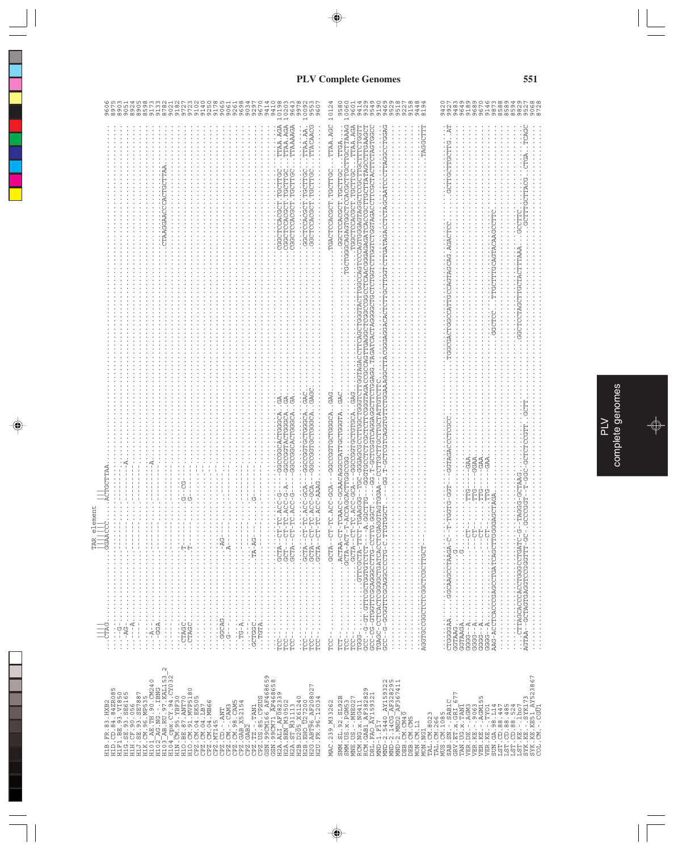| ř<br>à<br>ŋ |
|-------------|
| ù<br>٥      |

| סמסטמממטטמטמטמטמטמטמטמטמטמטמטמטמטמט<br>ספרטמטמטמטמטמטמטמטמטמטמטמטמטמטמט<br>ספרטמטמטמטמטמטמטמטמטמטמטמטמטמט<br>שמחה שמחה מכסמטה המטלר ספרטמטמטמט<br>שמחה שממחה מדמר המססמטה ה                                                                                                                                                                                                                                                                                                                                                                                                                                                                                                                                                                                                                                                                                                |                                                                                                                                                                                                                                                                                                                                                                                                                                                                                                                                                                                                                                                                                                                                                                                                                                                                                                                                                                                                                                                                                                 | 0507<br>050<br>$\overline{10}$<br>G<br>$\sigma$                                                                                                                                                                                                                                                                                                                                                                                                                                                                                                                                                                                                                                                                                                                                                                                                                                                                                                                                                                                                                                                                                                                                                                            | 10124<br>$\overline{a}$                                                                                                                                                                                                                      |                                                                                                                                                                                                                                                                                                                                                                                                                                                                                                                                                                                                                                                                                                                                                                                                                                                                                                                      |
|----------------------------------------------------------------------------------------------------------------------------------------------------------------------------------------------------------------------------------------------------------------------------------------------------------------------------------------------------------------------------------------------------------------------------------------------------------------------------------------------------------------------------------------------------------------------------------------------------------------------------------------------------------------------------------------------------------------------------------------------------------------------------------------------------------------------------------------------------------------------------|-------------------------------------------------------------------------------------------------------------------------------------------------------------------------------------------------------------------------------------------------------------------------------------------------------------------------------------------------------------------------------------------------------------------------------------------------------------------------------------------------------------------------------------------------------------------------------------------------------------------------------------------------------------------------------------------------------------------------------------------------------------------------------------------------------------------------------------------------------------------------------------------------------------------------------------------------------------------------------------------------------------------------------------------------------------------------------------------------|----------------------------------------------------------------------------------------------------------------------------------------------------------------------------------------------------------------------------------------------------------------------------------------------------------------------------------------------------------------------------------------------------------------------------------------------------------------------------------------------------------------------------------------------------------------------------------------------------------------------------------------------------------------------------------------------------------------------------------------------------------------------------------------------------------------------------------------------------------------------------------------------------------------------------------------------------------------------------------------------------------------------------------------------------------------------------------------------------------------------------------------------------------------------------------------------------------------------------|----------------------------------------------------------------------------------------------------------------------------------------------------------------------------------------------------------------------------------------------|----------------------------------------------------------------------------------------------------------------------------------------------------------------------------------------------------------------------------------------------------------------------------------------------------------------------------------------------------------------------------------------------------------------------------------------------------------------------------------------------------------------------------------------------------------------------------------------------------------------------------------------------------------------------------------------------------------------------------------------------------------------------------------------------------------------------------------------------------------------------------------------------------------------------|
| CTARGGAACCOMASCTTAA<br>ACTGCTTAA<br>element<br><b>TAR</b><br>LADD.<br>ł<br>.<br>$\frac{1}{2}$ $\frac{1}{2}$ $\frac{1}{2}$ $\frac{1}{2}$ $\frac{1}{2}$ $\frac{1}{2}$ $\frac{1}{2}$ $\frac{1}{2}$ $\frac{1}{2}$ $\frac{1}{2}$ $\frac{1}{2}$ $\frac{1}{2}$ $\frac{1}{2}$ $\frac{1}{2}$ $\frac{1}{2}$ $\frac{1}{2}$ $\frac{1}{2}$ $\frac{1}{2}$ $\frac{1}{2}$ $\frac{1}{2}$ $\frac{1}{2}$ $\frac{1}{2}$<br>$\cdots \cdots \cdots$<br>$-96A$<br>$\ldots$ $\ldots$ $\ldots$ $\ldots$ $\ldots$ $\ldots$<br>$\cdots$ $\cdots$ $\cdots$ $\cdots$ $\cdots$ $\cdots$ $\cdots$ $\cdots$ $\cdots$ $\cdots$ $\cdots$ $\cdots$ $\cdots$ $\cdots$ $\cdots$ $\cdots$ $\cdots$ $\cdots$ $\cdots$ $\cdots$ $\cdots$ $\cdots$ $\cdots$ $\cdots$ $\cdots$ $\cdots$ $\cdots$ $\cdots$ $\cdots$ $\cdots$ $\cdots$ $\cdots$ $\cdots$ $\cdots$ $\cdots$ $\cdots$ $\cdots$<br>CTAG.<br>$\frac{1}{1}$ | c<br>Ŭ<br>٢ŋ<br>Ċ.<br>也<br>$\ldots$ . $\ldots$ TA-AG<br>$\begin{minipage}{0.9\textwidth} \begin{tabular}{@{}l@{}} \hline \multicolumn{1}{c}{\textbf{\textcolor{blue}{\bf{1}}}} & \multicolumn{1}{c}{\textbf{\textcolor{blue}{\bf{2}}}} \\ \multicolumn{1}{c}{\textbf{\textcolor{blue}{\bf{2}}}} & \multicolumn{1}{c}{\textbf{\textcolor{blue}{\bf{2}}}} \\ \multicolumn{1}{c}{\textbf{\textcolor{blue}{\bf{2}}}} & \multicolumn{1}{c}{\textbf{\textcolor{blue}{\bf{2}}}} \\ \multicolumn{1}{c}{\textbf{\textcolor{blue}{\bf{2}}}} & \multicolumn{1}{c}{\textbf{\textcolor{$<br>$\begin{minipage}{0.9\textwidth} \begin{tabular}{@{}l@{}} \hline \multicolumn{2}{c}{\textbf{\textcolor{blue}{\bf{1}}}} & \multicolumn{2}{c}{\textbf{\textcolor{blue}{\bf{1}}}} & \multicolumn{2}{c}{\textbf{\textcolor{blue}{\bf{1}}}} & \multicolumn{2}{c}{\textbf{\textcolor{blue}{\bf{1}}}} & \multicolumn{2}{c}{\textbf{\textcolor{blue}{\bf{1}}}} & \multicolumn{2}{c}{\textbf{\textcolor{blue}{\bf{1}}}} & \multicolumn{2}{c}{\textbf{\textcolor{blue}{\bf{1}}}} & \multicolumn{2}{c}{\textbf{\textcolor{$ | . . TTAA . AGA<br>. . TTAA . AGA<br>. TTAAAAGA<br>.TTACAACG<br>$TTAA . AA$ .<br>CGGCTCCACGT.TGCTTGC<br>CGGCTCCACGCT.TGCTTGC<br>CGGCTCCACGCT.TGCTTGC<br>ひひけけひひけ・けひひひなひひけひひの<br>GGCTCCACGL.TGCTTGC<br>CAGC.<br>U<br>.GA<br>-GGCCGGTGCTGGGCA.GA<br>GA.<br>- rue - acc-aca - - - accosaracrasses.<br>- rue - acc-aca - - - accosaracrasses.<br>- rue - acc-aca - - - accosaracrasses.<br>$-{\tt GCCGGTRCTGGGGA}\ .\\ -{\tt GCGCGGCRCTGGGGA}\ .$<br><b>AUGGOLOGOUDGU</b><br>$\mathbf{I}$<br>$\overline{\phantom{a}}$<br>CT-TC.ACC-AAAG<br>$-4$<br>CT-TC.ACC-G-<br>$1 - TC$ . ACC-G-<br>$1 - TC$ . ACC-G-<br>5<br>Ü<br>5<br>$\cdots$ . GCTA--<br>$\begin{minipage}{0.9\textwidth} \begin{tabular}{@{}l@{}} \textbf{r}{\textbf{c}} {\textbf{c}} {\textbf{c}} {\textbf{c}} {\textbf{c}} {\textbf{c}} {\textbf{c}} {\textbf{c}} {\textbf{c}} {\textbf{c}} {\textbf{c}} {\textbf{c}} {\textbf{c}} {\textbf{c}} {\textbf{c}} {\textbf{c}} {\textbf{c}} {\textbf{c}} {\textbf{c}} {\textbf{c}} {\textbf{c}} {\textbf{c}} {\textbf{c}} {\textbf{c}} {\textbf{c}} {\textbf{c}} {\textbf{c}} {\textbf{c}} {\textbf{c}} {\textbf{c}} {\textbf{c}} {\text$<br>$\cdots \cdots$<br>. <u>.</u><br>.<br>$\frac{1}{4}$<br>: co<br>∷<br><b>DO</b> | .TTAA.AGC<br>.TAGGCTTT<br>UULUUL TUUCAUULUKUL<br>TGAGC-CCTCACTCGGGGCTGACCTCGAGGTAGGAA--CCTTGCTTGCTTGCTATTGTTC.<br>.GAG<br>TTGTGGCT<br>$-4000$<br>.<br>U-ULUUUUUUUUULLUUUU -U--UUU<br>x.com/departments/state=<br>TCC.                        | UURUH ,RUHU, UURHHUUHHHUU,<br>$\begin{array}{c} \overline{1} & \overline{1} \\ \overline{1} & \overline{1} \end{array}$<br>crrecrre<br>E<br>$\vdots$<br>:<br>. TTGCTTGCAGTACAAGCCTTC<br>.GCCTTC<br>TGGACGACCAGTAGTAGAG AGACAGTAG<br>GGCTCCHAGCTAGCTACTTAAA<br>GGCTCC<br>GCTT<br>HHUUUHUHUU-UUU-H-<br>-GGLAGACCLCG<br>GGAA.<br>$-GAA$ .<br>GAA.<br>GAA.<br>-TAGGG-GCTAAG<br>$\begin{array}{c} 1.5 \\ 0.1 \end{array}$<br><b>DLIT</b><br>:<br>EE<br>TTG<br>$\therefore$ TTG-<br>-GOCCOP-<br>100T<br>þ<br>: 두<br>ひ<br>5<br>5<br>5<br>5<br>**************************<br>$\frac{1}{2}$ $\frac{1}{2}$ $\frac{1}{2}$ $\frac{1}{2}$ $\frac{1}{2}$ $\frac{1}{2}$ $\frac{1}{2}$ $\frac{1}{2}$ $\frac{1}{2}$ $\frac{1}{2}$ $\frac{1}{2}$ $\frac{1}{2}$ $\frac{1}{2}$ $\frac{1}{2}$ $\frac{1}{2}$ $\frac{1}{2}$ $\frac{1}{2}$ $\frac{1}{2}$ $\frac{1}{2}$ $\frac{1}{2}$ $\frac{1}{2}$ $\frac{1}{2}$<br>$GGG - -A$ .<br>$\vdots$ |
| $\begin{tabular}{ll} \bf H1B. \tt PR, 83. IXRB \\ \bf H1D. \tt CD: 93. VTB805 \\ \bf H1D. \tt CD: 93. VTB805 \\ \bf H1D. \tt CD: 93. SIE6165 \\ \bf H1D. \tt CD: 93. SIE6165 \\ \bf H1D. \tt CD: 90.056 \\ \bf H1D. \tt CD: 90.056 \\ \bf H1D. \tt CD: 90.056 \\ \bf H1D. \tt CD: 90.057 \\ \bf H1D. \tt CD: 90.057 \\ \bf H1D. \tt CD: 97. KAL1532 \\ \bf$                                                                                                                                                                                                                                                                                                                                                                                                                                                                                                                |                                                                                                                                                                                                                                                                                                                                                                                                                                                                                                                                                                                                                                                                                                                                                                                                                                                                                                                                                                                                                                                                                                 | H2G.ABT96 AF208027<br>H2U.FR.96.12034<br>HZA, ALT AFO82339<br>HZA, BEN M30502<br>HZA, ST M31113<br>HZB, D205_X61240<br>H2B. EHO U27200                                                                                                                                                                                                                                                                                                                                                                                                                                                                                                                                                                                                                                                                                                                                                                                                                                                                                                                                                                                                                                                                                     | MWD-2.5440_AY159322<br>MWD-2.14CG_AF328295<br>DMD-2.MWD2_AF367411<br>DBB.CM.CM5<br>DBB.CM.CM5<br>MON.CM.L1<br>G<br>RCM.GAB1 AF38282<br>DRL.FAO AY159321<br>SMM. SL. 92. SL92B<br>SMM. US. x. PGM53<br>MME. US. - MNB027<br>RCM. NG. x. NG411 | AY523867<br>3AB : SW : - 3AB1C<br>GRV : ET : x . GRI 677<br>TAM : UG : x . TAMI<br>TAM : UG : x . TAMI<br>VER : KE : - . 9063<br>VER : KE : - . AGM155<br>SYK.KE. - . SYK173<br>LN.                                                                                                                                                                                                                                                                                                                                                                                                                                                                                                                                                                                                                                                                                                                                  |
|                                                                                                                                                                                                                                                                                                                                                                                                                                                                                                                                                                                                                                                                                                                                                                                                                                                                            |                                                                                                                                                                                                                                                                                                                                                                                                                                                                                                                                                                                                                                                                                                                                                                                                                                                                                                                                                                                                                                                                                                 |                                                                                                                                                                                                                                                                                                                                                                                                                                                                                                                                                                                                                                                                                                                                                                                                                                                                                                                                                                                                                                                                                                                                                                                                                            | MAC.239 M33262<br>$MID - 1. F\overline{17}$<br>MON.NG1                                                                                                                                                                                       | $\begin{array}{l} {\rm sum}\ {\rm G} {\rm H} \cdot {\rm G} \cdot {\rm G} \cdot {\rm G} \cdot {\rm G} \cdot {\rm G} \cdot {\rm G} \cdot {\rm G} \cdot {\rm G} \cdot {\rm G} \cdot {\rm G} \cdot {\rm G} \cdot {\rm G} \cdot {\rm G} \cdot {\rm G} \cdot {\rm G} \cdot {\rm G} \cdot {\rm G} \cdot {\rm G} \cdot {\rm G} \cdot {\rm G} \cdot {\rm G} \cdot {\rm G} \cdot {\rm G} \cdot {\rm G} \cdot {\rm G} \cdot {\rm G} \cdot {\rm G} \cdot {\rm G} \cdot {\rm G} \cdot {\rm G} \cdot {\rm G} \cdot {\rm G} \cdot {\rm G} \cdot {\$<br>VER. KE. - . TYO1<br>COL.CM.-.CGU1<br>SYK.KE.KE51<br>TAL.CM.8023<br>TAL.CM.266<br>MUS.CM.108                                                                                                                                                                                                                                                                                 |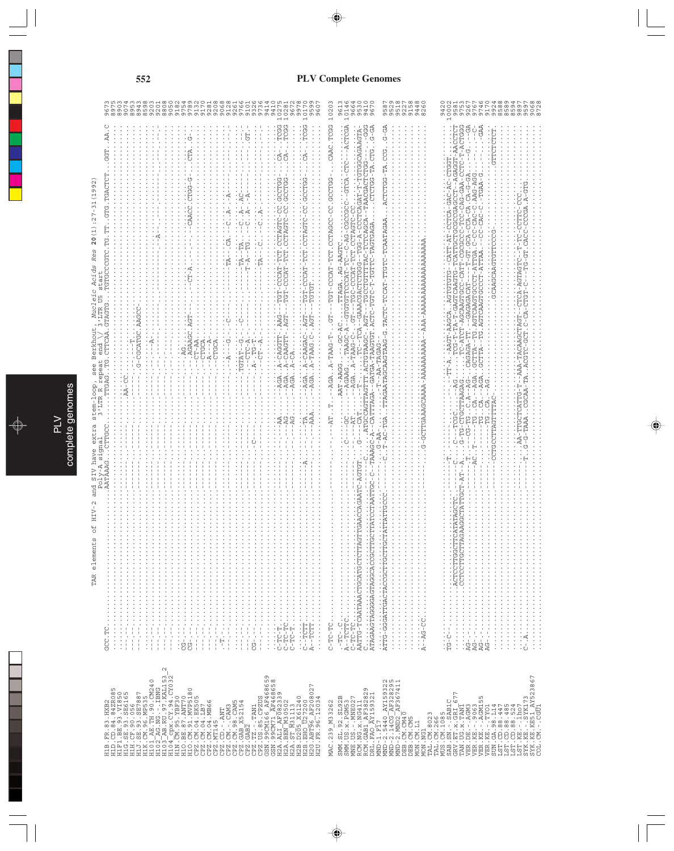complete genomes  $\geq$ 

| 9599<br>9607<br>890<br>997<br>1017                                                                                                                                                                                                                                                                                                                                                                                                                                                                                                                                                                                                                                                                                                                                                                                                                                                                                                                                                                                                                                                                                                                                                                                                                                                                                                                                                                                                                                                                                                                                                                                                                                                                                                                                                                                                                                                                                                                                            | $\infty$ $\infty$ $\infty$<br>$\circ$<br>$\circ$<br>$\circ$<br>Ō<br>$\infty$ $\sim$<br>1020                                                                                                                                                                                                                                                                                                                                                                                                                                                                                                                                                                                                                                                                                                                                                                                                                                                                                                                                   |                                                                                                                                                                                                                                                                                                                                                                                                                                                                                                                                                                                                                                                                                                                                                                                                                                                                                                                                                                                                             |
|-------------------------------------------------------------------------------------------------------------------------------------------------------------------------------------------------------------------------------------------------------------------------------------------------------------------------------------------------------------------------------------------------------------------------------------------------------------------------------------------------------------------------------------------------------------------------------------------------------------------------------------------------------------------------------------------------------------------------------------------------------------------------------------------------------------------------------------------------------------------------------------------------------------------------------------------------------------------------------------------------------------------------------------------------------------------------------------------------------------------------------------------------------------------------------------------------------------------------------------------------------------------------------------------------------------------------------------------------------------------------------------------------------------------------------------------------------------------------------------------------------------------------------------------------------------------------------------------------------------------------------------------------------------------------------------------------------------------------------------------------------------------------------------------------------------------------------------------------------------------------------------------------------------------------------------------------------------------------------|-------------------------------------------------------------------------------------------------------------------------------------------------------------------------------------------------------------------------------------------------------------------------------------------------------------------------------------------------------------------------------------------------------------------------------------------------------------------------------------------------------------------------------------------------------------------------------------------------------------------------------------------------------------------------------------------------------------------------------------------------------------------------------------------------------------------------------------------------------------------------------------------------------------------------------------------------------------------------------------------------------------------------------|-------------------------------------------------------------------------------------------------------------------------------------------------------------------------------------------------------------------------------------------------------------------------------------------------------------------------------------------------------------------------------------------------------------------------------------------------------------------------------------------------------------------------------------------------------------------------------------------------------------------------------------------------------------------------------------------------------------------------------------------------------------------------------------------------------------------------------------------------------------------------------------------------------------------------------------------------------------------------------------------------------------|
| $CA - 1.2CGE$<br>ს<br>:<br>TGACTCT<br>CTAGTC-CC.GCCTGG<br>CTAGTC-CC.GCCTGG<br>CTAGTC-CC.GCCTGG<br>-CAACC.CDG-<br>$-31(1992)$<br>$-12C$<br>.GTG.<br>$C \cdot A$ -<br>$-C \cdot A$ -<br>.<br>. . 4<br>: 27<br>20(1)<br>Ë<br>$-$ TA $\ldots$<br>.<br>E<br>$-T - A - T G$ .<br>$\frac{1}{2}$<br>TGT-CCCAT-TCT.C<br>TGT-CCCAT-TCT.C<br>Res<br>start<br>TGTGCCCGTC<br>$---T A---T$<br>$-TA-$<br>$-TA-$<br>Nucleic Acids<br>- TOTOT<br>U5<br>CTTCAA.GTAGTG.<br><b>ILTR</b><br>$-.$ AAG<br>$-264$<br>$-.AGT$<br>- . AGAAGC. AGT<br>-CGCATGC.AA<br>see Berkhout<br>$CT-AA$ .<br>AGA.A-CAAGAC<br>AGAA-TAAG.C<br>CTGCA.<br>$\begin{array}{c}\n\ddots \\ \circ \\ \hline\n\end{array}$<br>$-4 - -2 -$<br>A-CAAGTT<br>CTGCA<br>$-CTC - A$<br>$-2i-1$<br>$A - TG - T$<br>$-CT - -A$<br>$\begin{minipage}{.4\linewidth} \label{eq:optimal} \begin{minipage}{.4\linewidth} \vspace{-0.5cm} \begin{minipage}{.4\linewidth} \vspace{-0.5cm} \vspace{-0.5cm} \vspace{-0.5cm} \vspace{-0.5cm} \vspace{-0.5cm} \vspace{-0.5cm} \vspace{-0.5cm} \vspace{-0.5cm} \vspace{-0.5cm} \vspace{-0.5cm} \vspace{-0.5cm} \vspace{-0.5cm} \vspace{-0.5cm} \vspace{-0.5cm} \vspace{-0.5cm} \vspace{-0.5cm} \vspace{-0.5cm} \vspace{-0.5cm} \vspace{-0$<br>end<br>AGAA-CA.<br>$\frac{1}{2}$ . TG.<br>$\overline{v}$<br>repea<br>. TTGAG<br><b>AGA</b><br>.AA-CC<br>stem-loop<br>$\approx$<br>LTR<br>$-AG$ .<br>- AAA<br>AC<br>TA.<br>extra<br>CTTGCC.<br>signa<br>and SIV have<br><b>AATAAAG</b><br>$V - A$<br>Po <sub>1</sub><br>Ν<br>$HIV-$<br>ъ<br>TAR elements<br>*****************************<br>.<br>.<br>-----------------------<br>$\begin{bmatrix} 1 & 0 & 0 & 0 \\ 0 & 1 & 0 & 0 \\ 0 & 0 & 0 & 0 \\ 0 & 0 & 0 & 0 \\ 0 & 0 & 0 & 0 \\ 0 & 0 & 0 & 0 \\ 0 & 0 & 0 & 0 \\ 0 & 0 & 0 & 0 & 0 \\ 0 & 0 & 0 & 0 & 0 \\ 0 & 0 & 0 & 0 & 0 \\ 0 & 0 & 0 & 0 & 0 \\ 0 & 0 & 0 & 0 & 0 & 0 \\ 0 & 0 & 0 & 0 & 0 & 0 \\ 0 & 0 & 0 & 0 & 0 & 0 \\ 0 & 0 & 0 & 0 & 0 & $<br>CCC. TC<br>$\ddot{\cdot}$<br>$\sim$ | CAAC.TCGG<br>$---ACTCGA$<br>$-999 - 7$<br>$A5 - 5 - 121$<br>$-5 - 5 - 5$<br>$\begin{minipage}[t]{.01\textwidth} \begin{minipage}[t]{0.01\textwidth} \begin{minipage}[t]{0.01\textwidth} \begin{minipage}[t]{0.01\textwidth} \begin{minipage}[t]{0.01\textwidth} \begin{minipage}[t]{0.01\textwidth} \begin{minipage}[t]{0.01\textwidth} \begin{minipage}[t]{0.01\textwidth} \begin{minipage}[t]{0.01\textwidth} \begin{minipage}[t]{0.01\textwidth} \begin{minipage}[t]{0.01\textwidth} \begin{minipage}[t]{0.01\textwidth} \begin{minipage}[t]{0.01\textwidth}$<br>ACTCFG-TA.CCG<br>AAT-AAGG-- GC-ACTTAGAAG-AAGTC<br>--AGAAGTAAGC-A--GTGTCCTCAT-TC--C-AG-CGCCCCC-GTCA-CTC<br>--AGAA-TAAG-C-GT---TGC-CCCCAT-TCT.CCTAGTC-CC<br>00HUUD : UU - UUDQEHUU : HUH - HAUUU - HUH -<br>$\therefore$ GT-<br>$-$ AGAA-TAAG-T-<br>AAT-AAGG-<br>$- - - - 2T$<br>$-AT$ .<br>$\frac{1}{2}$<br><b>ATTATTGCCC</b><br>ATTG-GGGATTGACTACCGTTGCTTGCT<br>$\frac{1}{2}$<br>***************************<br>$C-TC-TC\cdot\ldots\cdot\ldots\cdot$<br>К | $-GAA$<br>GTTCTCTCT<br>$\begin{minipage}{0.9\textwidth} \begin{minipage}{0.9\textwidth} \begin{itemize} \begin{itemize} \begin{itemize} \begin{itemize} \begin{itemize} \end{itemize} \end{itemize} \end{itemize} \end{itemize} \end{minipage} \end{minipage} \begin{minipage}{0.9\textwidth} \begin{itemize} \begin{itemize} \begin{itemize} \end{itemize} \end{itemize} \end{itemize} \end{minipage} \end{minipage} \begin{minipage}{0.9\textwidth} \begin{itemize} \begin{itemize} \end{itemize} \end{itemize} \end{minipage} \end{minipage} \begin{minipage}{0$<br>U-KRUH - U-URU-UU-<br>CCGA.A-GT<br>.GCAAGCAAGTGTTCCCG<br>U<br>CAC<br>$-TCGCA. - RGAGCTTA--TCG.AAGTCAAGTCCCCCCT-ATTAA.$<br>$-5-5$<br>CTCA-AGTAGTC<br>$-CA$ -<br>ひ・ヒリー<br>.ACGT<br>AAA<br>$TG$ $CA$ . $-AG$ .<br>CGCAA-TA<br>AA-TTGCTCATTG<br>CCTGCCTAGTTTTAC<br>$G-G-TAAA$ .<br>$--TCG$<br>$\vdots$<br>$\bigcup\limits_{i}$<br>$-AT$<br>- . A<br>$\begin{array}{c} \vdots \\ \vdots \\ \vdots \\ \vdots \end{array}$<br>$\vdots$<br>U |
| $\begin{small} \rm H1B\cdot1B_2&34.1XB2\\ \rm H1B\cdot1B_2&34.34Z8\\ \rm H1B\cdot1B_2&33.38616\\ \rm H1B\cdot1B\cdot30&358616\\ \rm H1B\cdot1B\cdot30&358616\\ \rm H1B\cdot1B\cdot30&358616\\ \rm H1B\cdot1B\cdot30&358616\\ \rm H1B\cdot1B\cdot30&358616\\ \rm H1B\cdot1B\cdot1B\cdot1B\cdot1B\cdot1B\cdot1B\cdot1B\cdot2\\ \rm H1B\cdot1B\cdot1$                                                                                                                                                                                                                                                                                                                                                                                                                                                                                                                                                                                                                                                                                                                                                                                                                                                                                                                                                                                                                                                                                                                                                                                                                                                                                                                                                                                                                                                                                                                                                                                                                            | MWD-2.5440_AY159322<br>MWD-2.14CG_AF328295<br>DWD-2.MWD2_AF3678295<br>DEB1.CM.CM5<br>DEB1.CM.CM5<br>Ō<br>SMM. 5L. 92. SL92B<br>SMM. US. x. PCM53<br>RMB. US. - MNB027<br>RCM. GAB. X. AF3828<br>RCM. GAB. AF382829<br>DRL. FAO_AY159321<br>MAC.239 M33262<br>$MID - 1. F\overline{17}$<br>MON.NG1                                                                                                                                                                                                                                                                                                                                                                                                                                                                                                                                                                                                                                                                                                                             | AY523867<br>$\overline{ }$<br>$\begin{array}{ll} \text{TM1. (W1 0023)} \\ \text{TM2. (W1 266)} \\ \text{TM3. (W1 266)} \\ \text{M15. (W1 261)} \\ \text{TM4. (W1 2621)} \\ \text{GN1. (W1 26121)} \\ \text{TM5. (W1 26121)} \\ \text{TM6. (W1 26121)} \\ \text{VER. (W1 - 200631)} \\ \text{VER. (W2 - 200015)} \\ \text{VER. (W2 - 200015)} \\ \end{array}$<br>.SYK173<br>$\begin{array}{l} {\rm SU}(1071, 020, 030, 0114 \\ {\rm LIST1}, {\rm CD1}, 080, 4447 \\ {\rm LIST1}, {\rm CD1}, 080, 480 \\ {\rm LIST1}, {\rm CD1}, 080, 534 \\ {\rm LIST1}, {\rm KE11}, 1.000 \\ {\rm LIST1}, {\rm EC11}, 1.000 \\ {\rm LIST1}, {\rm EC11}, 1.000 \\ {\rm LIST1}, {\rm EC11}, 1.000 \\ {\rm LIST1}, {\rm EC11}, 1.000 \\ {\rm LIST2}, {\rm EC11}, 1.000 \\ {\rm LIST2}, {\rm EC1$<br>VER.KE. - TYO1<br>COL.CM.-.CGU1<br>SYK.KE.KE51<br>KE.-<br>SYK.                                                                                                                                                             |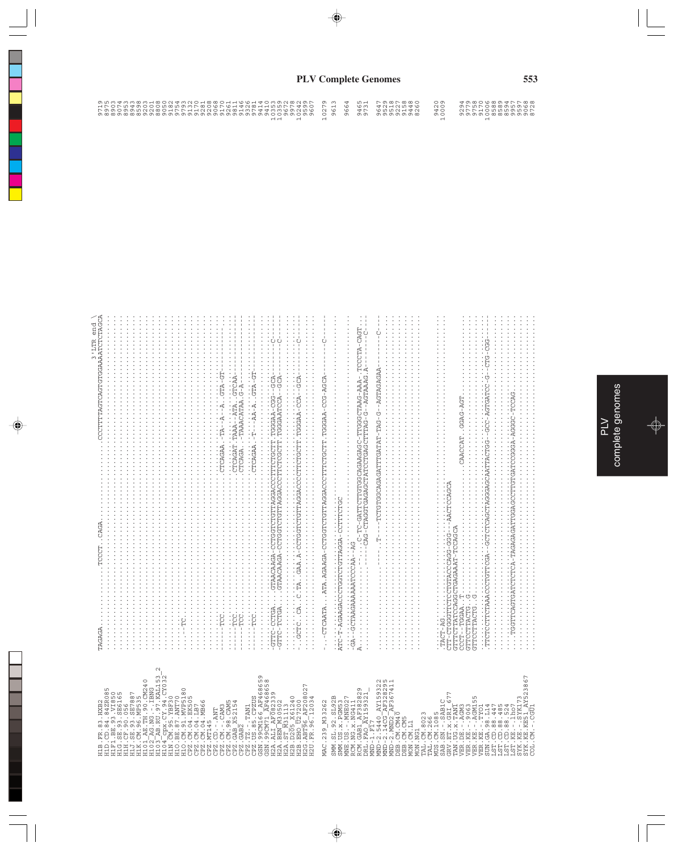|  | ------OOO-OLO-- - O-OOLKULOK-OOO --OOLOKILAKYOOKOOKILOVYOLOLO --KOOLLOLOOOKKKILOLULULL |  | 医血清性的 医血管性皮炎 医血管性皮炎 医血管性皮炎 医血管性皮炎 医血管性皮炎 医血管性皮炎 医血管性皮炎 医血管性皮炎 医血管性皮炎 医血管性皮炎 医血管性皮炎 |  |  |  |
|--|----------------------------------------------------------------------------------------|--|------------------------------------------------------------------------------------|--|--|--|
|  |                                                                                        |  |                                                                                    |  |  |  |
|  |                                                                                        |  |                                                                                    |  |  |  |
|  |                                                                                        |  |                                                                                    |  |  |  |
|  |                                                                                        |  |                                                                                    |  |  |  |
|  |                                                                                        |  |                                                                                    |  |  |  |

553

ADSELOIDENT SE SUITE PROPIERIE REPORT AND A LONG CONTINUES ON A LONG CONTINUES OF SALL AND SUITE PROPIER CHARGE CONTINUES.  $\begin{minipage}[t]{0.01\textwidth} \begin{tabular}{|c|c|c|} \hline \multicolumn{1}{|c|}{\textwidth} \begin{tabular}{|c|c|} \hline \multicolumn{1}{|c|}{\textwidth} \begin{tabular}{|c|c|} \hline \multicolumn{1}{|c|}{\textwidth} \begin{tabular}{|c|c|} \hline \multicolumn{1}{|c|}{\textwidth} \begin{tabular}{|c|c|} \hline \multicolumn{1}{|c|}{\textwidth} \begin{tabular}{|c|c|} \hline \multicolumn{1}{|c|}{\textwidth} \begin{tabular}{|c|c|} \hline \multicolumn{1$ . . . . . . . . . . . . - GTTC-CCTGA<br>- GTTC-CCTGA<br>- GTTC-TCTGA  $\frac{1}{1}$ <br> $\frac{1}{1}$ <br> $\frac{1}{1}$ <br> $\frac{1}{1}$ <br> $\frac{1}{1}$ <br> $\frac{1}{1}$ <br> $\frac{1}{1}$ <br> $\frac{1}{1}$ <br> $\frac{1}{1}$ <br> $\frac{1}{1}$ <br> $\frac{1}{1}$ <br> $\frac{1}{1}$ <br> $\frac{1}{1}$ <br> $\frac{1}{1}$ <br> $\frac{1}{1}$ <br> $\frac{1}{1}$ <br> $\frac{1}{1}$ <br><br> $\frac{1}{1}$ <br><br><br><br><br><br><br><br><br><br><br><br><br><br><br><br><br><br><br><br><br><br><br><br><br><br><br><br><br><br><br>  $\frac{1}{2}$  $\ldots$  $\begin{minipage}{.4\linewidth} \label{eq:opt2} \begin{minipage}{.4\linewidth} \hspace*{-0.03cm} \textbf{Tr} \textbf{C} \textbf{C} \textbf{C} \textbf{C} \textbf{T} \textbf{T} \end{minipage} \end{minipage}$  $\begin{small} \textbf{H1B} & \textbf{1B} & \textbf{1B} & \textbf{1B2} & \textbf{1B3} & \textbf{1H12} \\ \textbf{H1D} & \textbf{1B} & \textbf{39} & \textbf{39} & \textbf{54} & \textbf{55} \\ \textbf{H1D} & \textbf{1B} & \textbf{39} & \textbf{39} & \textbf{54} & \textbf{55} \\ \textbf{H1D} & \textbf{1B} & \textbf{39} & \textbf{39} & \textbf{55} & \textbf{56} \\ \textbf{H1D} & \textbf{1B$  $\begin{tabular}{ll} \texttt{MAC.239 M3262}\\ \texttt{SMM.51.92.529B} \\ \texttt{SMM.193.429B} \\ \texttt{RMM.193.429B} \\ \texttt{RMM.193.43223} \\ \texttt{RMM.193.432323} \\ \texttt{RMM.193.432323} \\ \texttt{RMM.193.432323} \\ \texttt{M.193.432323} \\ \texttt{M.193.432323} \\ \texttt{M.193.432323} \\ \texttt{M.193.4323$